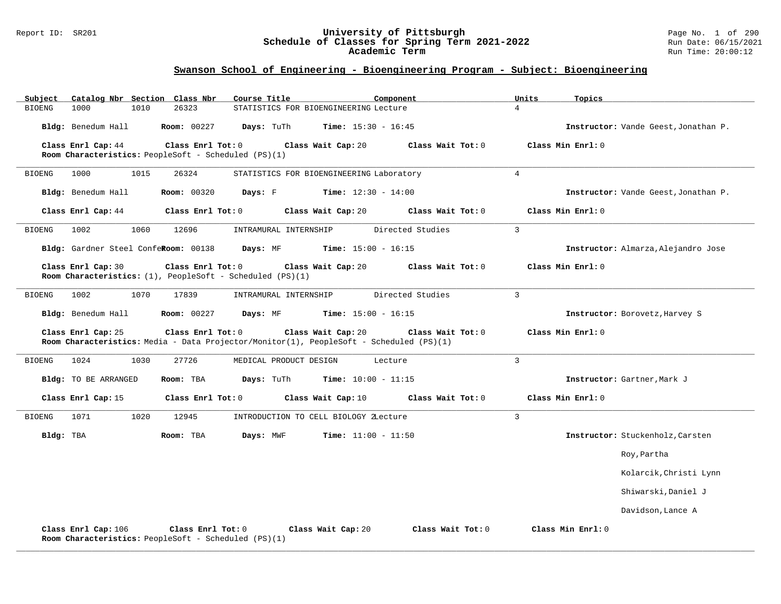#### Report ID: SR201 **University of Pittsburgh** Page No. 1 of 290 **Schedule of Classes for Spring Term 2021-2022** Run Date: 06/15/2021 **Academic Term** Run Time: 20:00:12

| Catalog Nbr Section Class Nbr<br>Subject<br>26323<br><b>BIOENG</b><br>1000<br>1010                        | Course Title<br>Component<br>STATISTICS FOR BIOENGINEERING Lecture                                                                 | Units<br>Topics<br>$\overline{4}$    |
|-----------------------------------------------------------------------------------------------------------|------------------------------------------------------------------------------------------------------------------------------------|--------------------------------------|
| Bldg: Benedum Hall<br><b>Room: 00227</b>                                                                  | Days: TuTh<br><b>Time:</b> $15:30 - 16:45$                                                                                         | Instructor: Vande Geest, Jonathan P. |
| Class Enrl Tot: 0                                                                                         | Class Wait Tot: 0                                                                                                                  | Class Min Enrl: 0                    |
| Class Enrl Cap: 44<br>Room Characteristics: PeopleSoft - Scheduled (PS)(1)                                | Class Wait Cap: 20                                                                                                                 |                                      |
| 1015<br><b>BIOENG</b><br>1000<br>26324                                                                    | STATISTICS FOR BIOENGINEERING Laboratory                                                                                           | $\overline{4}$                       |
| Bldg: Benedum Hall<br>Room: 00320                                                                         | <b>Time:</b> $12:30 - 14:00$<br>Days: F                                                                                            | Instructor: Vande Geest, Jonathan P. |
| Class Enrl Tot: 0<br>Class Enrl Cap: 44                                                                   | Class Wait Cap: 20<br>Class Wait Tot: 0                                                                                            | Class Min Enrl: 0                    |
| 1002<br>1060<br><b>BIOENG</b><br>12696                                                                    | Directed Studies<br>INTRAMURAL INTERNSHIP                                                                                          | $\overline{3}$                       |
| Bldg: Gardner Steel ConfeRoom: 00138                                                                      | Days: MF<br><b>Time:</b> $15:00 - 16:15$                                                                                           | Instructor: Almarza, Alejandro Jose  |
| Class Enrl Tot: 0<br>Class Enrl Cap: 30<br>Room Characteristics: $(1)$ , PeopleSoft - Scheduled $(PS)(1)$ | Class Wait Cap: 20<br>Class Wait Tot: 0                                                                                            | Class Min Enrl: 0                    |
| 1002<br>1070<br>17839<br>BIOENG                                                                           | INTRAMURAL INTERNSHIP<br>Directed Studies                                                                                          | 3                                    |
| Bldg: Benedum Hall<br><b>Room: 00227</b>                                                                  | Days: MF<br><b>Time:</b> $15:00 - 16:15$                                                                                           | Instructor: Borovetz, Harvey S       |
| Class Enrl Tot: 0<br>Class Enrl Cap: 25                                                                   | Class Wait Cap: 20<br>Class Wait Tot: 0<br>Room Characteristics: Media - Data Projector/Monitor(1), PeopleSoft - Scheduled (PS)(1) | Class Min Enrl: 0                    |
| 1024<br>1030<br>27726<br>BIOENG                                                                           | MEDICAL PRODUCT DESIGN<br>Lecture                                                                                                  | $\overline{3}$                       |
| Bldg: TO BE ARRANGED<br>Room: TBA                                                                         | Days: TuTh<br><b>Time:</b> $10:00 - 11:15$                                                                                         | Instructor: Gartner, Mark J          |
| Class Enrl Cap: 15<br>Class Enrl Tot: 0                                                                   | Class Wait Cap: 10<br>Class Wait Tot: 0                                                                                            | Class Min Enrl: 0                    |
| 1071<br>1020<br>12945<br><b>BIOENG</b>                                                                    | INTRODUCTION TO CELL BIOLOGY ZLecture                                                                                              | $\overline{3}$                       |
| Bldg: TBA<br>Room: TBA                                                                                    | Days: MWF<br><b>Time:</b> $11:00 - 11:50$                                                                                          | Instructor: Stuckenholz, Carsten     |
|                                                                                                           |                                                                                                                                    | Roy, Partha                          |
|                                                                                                           |                                                                                                                                    | Kolarcik, Christi Lynn               |
|                                                                                                           |                                                                                                                                    | Shiwarski, Daniel J                  |
|                                                                                                           |                                                                                                                                    | Davidson, Lance A                    |
| Class Enrl Cap: 106<br>Class Enrl Tot: 0<br>Room Characteristics: PeopleSoft - Scheduled (PS)(1)          | Class Wait Cap: 20<br>Class Wait Tot: 0                                                                                            | Class Min Enrl: 0                    |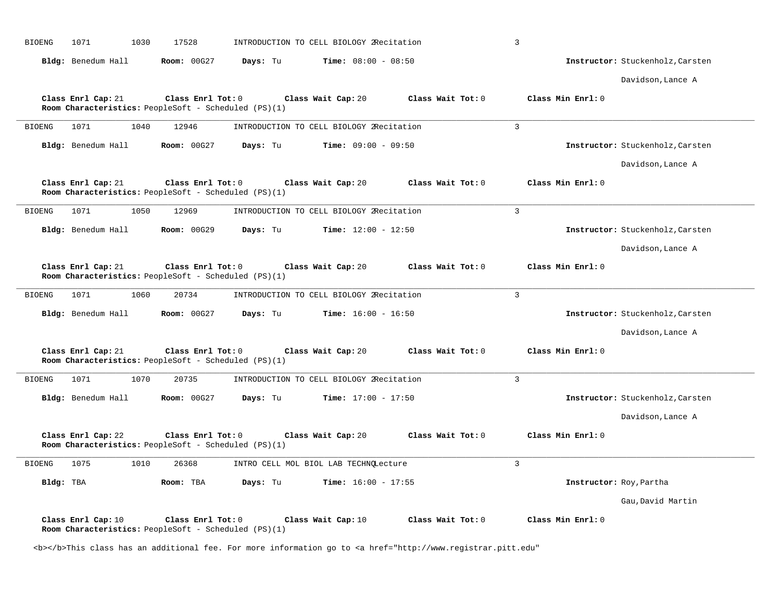| <b>BIOENG</b><br>1071<br>1030<br>17528                                                          | INTRODUCTION TO CELL BIOLOGY 2Recitation | $\overline{3}$                   |
|-------------------------------------------------------------------------------------------------|------------------------------------------|----------------------------------|
| Bldg: Benedum Hall<br><b>Room: 00G27</b>                                                        | <b>Time:</b> $08:00 - 08:50$<br>Days: Tu | Instructor: Stuckenholz, Carsten |
|                                                                                                 |                                          | Davidson, Lance A                |
| Class Enrl Cap: 21<br>Class Enrl Tot: 0<br>Room Characteristics: PeopleSoft - Scheduled (PS)(1) | Class Wait Tot: 0<br>Class Wait Cap: 20  | Class Min Enrl: 0                |
| 1071<br>1040<br>12946<br><b>BIOENG</b>                                                          | INTRODUCTION TO CELL BIOLOGY 2Recitation | $\overline{3}$                   |
| Bldg: Benedum Hall<br>Room: 00G27                                                               | Time: $09:00 - 09:50$<br>Days: Tu        | Instructor: Stuckenholz, Carsten |
|                                                                                                 |                                          | Davidson, Lance A                |
| Class Enrl Cap: 21<br>Class Enrl Tot: 0<br>Room Characteristics: PeopleSoft - Scheduled (PS)(1) | Class Wait Cap: 20<br>Class Wait Tot: 0  | Class Min Enrl: 0                |
| 1050<br>12969<br><b>BIOENG</b><br>1071                                                          | INTRODUCTION TO CELL BIOLOGY 2Recitation | $\overline{3}$                   |
| Bldg: Benedum Hall<br><b>Room: 00G29</b>                                                        | Days: Tu<br><b>Time:</b> $12:00 - 12:50$ | Instructor: Stuckenholz, Carsten |
|                                                                                                 |                                          | Davidson, Lance A                |
| Class Enrl Cap: 21<br>Class Enrl Tot: 0<br>Room Characteristics: PeopleSoft - Scheduled (PS)(1) | Class Wait Cap: 20<br>Class Wait Tot: 0  | Class Min Enrl: 0                |
| 1071<br>1060<br>20734<br><b>BIOENG</b>                                                          | INTRODUCTION TO CELL BIOLOGY 2Recitation | $\overline{3}$                   |
| Bldg: Benedum Hall<br><b>Room: 00G27</b>                                                        | Days: Tu<br><b>Time:</b> $16:00 - 16:50$ | Instructor: Stuckenholz, Carsten |
|                                                                                                 |                                          | Davidson, Lance A                |
| Class Enrl Cap: 21<br>Class Enrl Tot: 0<br>Room Characteristics: PeopleSoft - Scheduled (PS)(1) | Class Wait Cap: 20<br>Class Wait Tot: 0  | Class Min Enrl: 0                |
| <b>BIOENG</b><br>1071<br>1070<br>20735                                                          | INTRODUCTION TO CELL BIOLOGY 2Recitation | $\overline{3}$                   |
| Bldg: Benedum Hall<br>Room: 00G27                                                               | Days: Tu<br><b>Time:</b> $17:00 - 17:50$ | Instructor: Stuckenholz, Carsten |
|                                                                                                 |                                          | Davidson, Lance A                |
| Class Enrl Cap: 22<br>Class Enrl Tot: 0<br>Room Characteristics: PeopleSoft - Scheduled (PS)(1) | Class Wait Cap: 20<br>Class Wait Tot: 0  | Class Min Enrl: 0                |
| 1075<br>1010<br><b>BIOENG</b><br>26368                                                          | INTRO CELL MOL BIOL LAB TECHNQLecture    | $\overline{3}$                   |
| Bldg: TBA<br>Room: TBA                                                                          | Days: Tu<br><b>Time:</b> $16:00 - 17:55$ | Instructor: Roy, Partha          |
|                                                                                                 |                                          | Gau, David Martin                |
| Class Enrl Cap: 10<br>Class Enrl Tot: 0<br>Room Characteristics: PeopleSoft - Scheduled (PS)(1) | Class Wait Tot: 0<br>Class Wait Cap: 10  | Class Min Enrl: 0                |

<b></b>This class has an additional fee. For more information go to <a href="http://www.registrar.pitt.edu"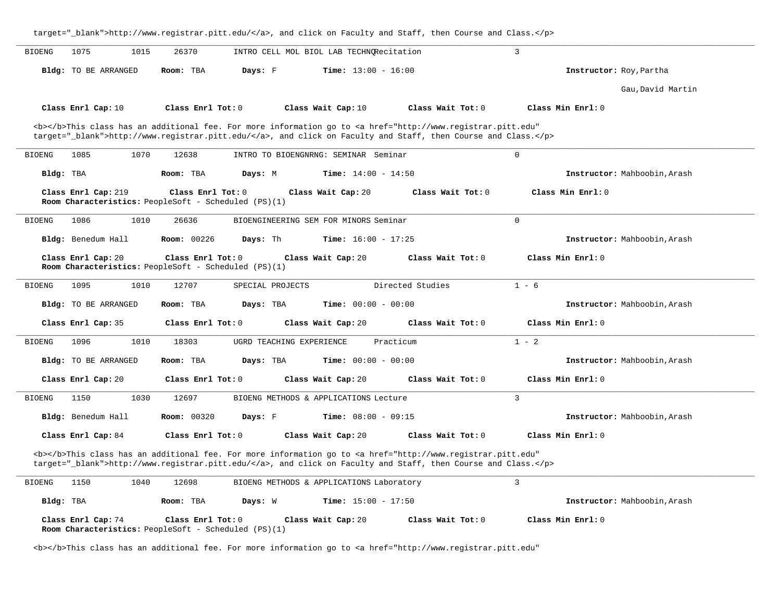|                               |                                                                           | target="_blank">http://www.registrar.pitt.edu/, and click on Faculty and Staff, then Course and Class.                                                                                                                             |                              |
|-------------------------------|---------------------------------------------------------------------------|------------------------------------------------------------------------------------------------------------------------------------------------------------------------------------------------------------------------------------|------------------------------|
| 1075<br>1015<br><b>BIOENG</b> | 26370                                                                     | INTRO CELL MOL BIOL LAB TECHNORecitation                                                                                                                                                                                           | 3                            |
| Bldg: TO BE ARRANGED          | Room: TBA<br>Days: F                                                      | <b>Time:</b> $13:00 - 16:00$                                                                                                                                                                                                       | Instructor: Roy, Partha      |
|                               |                                                                           |                                                                                                                                                                                                                                    | Gau, David Martin            |
| Class Enrl Cap: 10            | Class Enrl Tot: 0                                                         | Class Wait Cap: 10<br>Class Wait Tot: 0                                                                                                                                                                                            | Class Min Enrl: 0            |
|                               |                                                                           | <b></b> This class has an additional fee. For more information go to <a <br="" href="http://www.registrar.pitt.edu">target="_blank"&gt;http://www.registrar.pitt.edu/</a> , and click on Faculty and Staff, then Course and Class. |                              |
| 1085<br>1070<br><b>BIOENG</b> | 12638                                                                     | INTRO TO BIOENGNRNG: SEMINAR Seminar                                                                                                                                                                                               | $\mathbf 0$                  |
| Bldg: TBA                     | Room: TBA<br>Days: M                                                      | <b>Time:</b> $14:00 - 14:50$                                                                                                                                                                                                       | Instructor: Mahboobin, Arash |
| Class Enrl Cap: 219           | Class Enrl Tot: 0<br>Room Characteristics: PeopleSoft - Scheduled (PS)(1) | Class Wait Cap: 20<br>Class Wait Tot: 0                                                                                                                                                                                            | Class Min Enrl: 0            |
| <b>BIOENG</b><br>1086<br>1010 | 26636                                                                     | BIOENGINEERING SEM FOR MINORS Seminar                                                                                                                                                                                              | $\mathbf 0$                  |
| Bldg: Benedum Hall            | Room: 00226<br>Days: Th                                                   | <b>Time:</b> $16:00 - 17:25$                                                                                                                                                                                                       | Instructor: Mahboobin, Arash |
| Class Enrl Cap: 20            | Class Enrl Tot: 0<br>Room Characteristics: PeopleSoft - Scheduled (PS)(1) | Class Wait Cap: 20<br>Class Wait Tot: 0                                                                                                                                                                                            | Class Min Enrl: 0            |
| 1095<br>1010<br><b>BIOENG</b> | 12707<br>SPECIAL PROJECTS                                                 | Directed Studies                                                                                                                                                                                                                   | $1 - 6$                      |
| <b>Bldg:</b> TO BE ARRANGED   | Days: TBA<br>Room: TBA                                                    | <b>Time:</b> $00:00 - 00:00$                                                                                                                                                                                                       | Instructor: Mahboobin, Arash |
| Class Enrl Cap: 35            | Class Enrl Tot: 0                                                         | Class Wait Cap: 20<br>Class Wait Tot: 0                                                                                                                                                                                            | Class Min Enrl: 0            |
| 1096<br>1010<br><b>BIOENG</b> | 18303<br>UGRD TEACHING EXPERIENCE                                         | Practicum                                                                                                                                                                                                                          | $1 - 2$                      |
| <b>Bldg:</b> TO BE ARRANGED   | Room: TBA<br>Days: TBA                                                    | <b>Time:</b> $00:00 - 00:00$                                                                                                                                                                                                       | Instructor: Mahboobin, Arash |
| Class Enrl Cap: 20            | Class Enrl Tot: 0                                                         | Class Wait Cap: 20<br>Class Wait Tot: 0                                                                                                                                                                                            | Class Min Enrl: 0            |
| 1150<br>1030<br><b>BIOENG</b> | 12697                                                                     | BIOENG METHODS & APPLICATIONS Lecture                                                                                                                                                                                              | 3                            |
| Bldg: Benedum Hall            | <b>Room: 00320</b><br>Days: F                                             | <b>Time:</b> $08:00 - 09:15$                                                                                                                                                                                                       | Instructor: Mahboobin, Arash |
| Class Enrl Cap: 84            | Class Enrl Tot: 0                                                         | Class Wait Cap: 20<br>Class Wait Tot: 0                                                                                                                                                                                            | Class Min Enrl: 0            |
|                               |                                                                           | <b></b> This class has an additional fee. For more information go to <a <br="" href="http://www.registrar.pitt.edu">target="_blank"&gt;http://www.registrar.pitt.edu/</a> , and click on Faculty and Staff, then Course and Class. |                              |
| <b>BIOENG</b><br>1150<br>1040 | 12698                                                                     | BIOENG METHODS & APPLICATIONS Laboratory                                                                                                                                                                                           | 3                            |
| Bldg: TBA                     | Room: TBA<br>Days: W                                                      | Time: $15:00 - 17:50$                                                                                                                                                                                                              | Instructor: Mahboobin, Arash |
| Class Enrl Cap: 74            | Class Enrl Tot: 0<br>Room Characteristics: PeopleSoft - Scheduled (PS)(1) | Class Wait Cap: 20<br>Class Wait Tot: 0                                                                                                                                                                                            | Class Min Enrl: 0            |

<b></b>This class has an additional fee. For more information go to <a href="http://www.registrar.pitt.edu"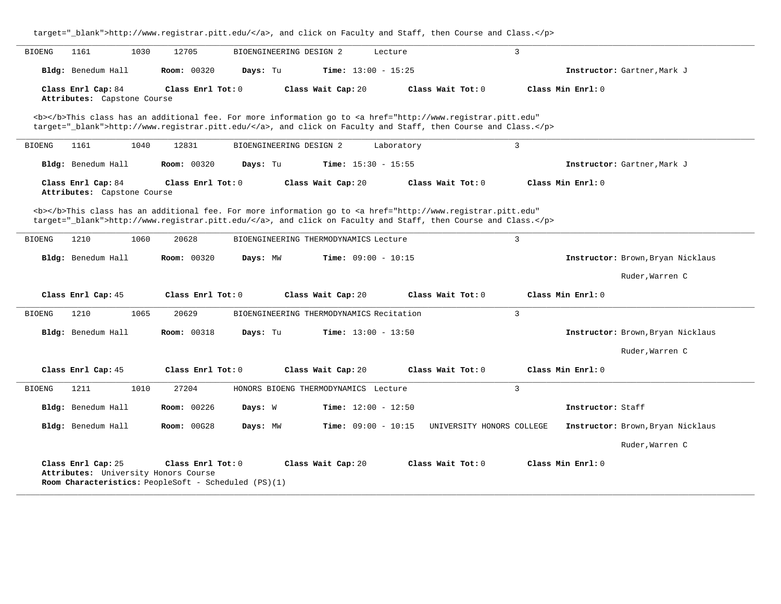|                                | 1030<br>1161                                      | 12705              | BIOENGINEERING DESIGN 2 |                                          | Lecture                                                                                                                                                                                                                            | $\mathbf{3}$      |                                   |
|--------------------------------|---------------------------------------------------|--------------------|-------------------------|------------------------------------------|------------------------------------------------------------------------------------------------------------------------------------------------------------------------------------------------------------------------------------|-------------------|-----------------------------------|
|                                | Bldg: Benedum Hall                                | <b>Room: 00320</b> | Davs: Tu                | Time: $13:00 - 15:25$                    |                                                                                                                                                                                                                                    |                   | Instructor: Gartner, Mark J       |
|                                | Class Enrl Cap: 84<br>Attributes: Capstone Course | Class Enrl Tot: 0  |                         | Class Wait Cap: 20                       | Class Wait Tot: 0                                                                                                                                                                                                                  | Class Min Enrl: 0 |                                   |
|                                |                                                   |                    |                         |                                          | <b></b> This class has an additional fee. For more information go to <a <br="" href="http://www.registrar.pitt.edu">target="_blank"&gt;http://www.registrar.pitt.edu/</a> , and click on Faculty and Staff, then Course and Class. |                   |                                   |
| <b>BIOENG</b>                  | 1161<br>1040                                      | 12831              | BIOENGINEERING DESIGN 2 |                                          | Laboratory                                                                                                                                                                                                                         | 3                 |                                   |
|                                | Bldg: Benedum Hall                                | <b>Room: 00320</b> | Days: Tu                | Time: $15:30 - 15:55$                    |                                                                                                                                                                                                                                    |                   | Instructor: Gartner, Mark J       |
|                                | Class Enrl Cap: 84<br>Attributes: Capstone Course | Class Enrl Tot: 0  |                         | Class Wait Cap: 20                       | Class Wait Tot: 0                                                                                                                                                                                                                  | Class Min Enrl: 0 |                                   |
| <b>BIOENG</b>                  | 1210<br>1060                                      | 20628              |                         | BIOENGINEERING THERMODYNAMICS Lecture    | target="_blank">http://www.registrar.pitt.edu/, and click on Faculty and Staff, then Course and Class.                                                                                                                             | $\overline{3}$    |                                   |
|                                | Bldg: Benedum Hall                                | <b>Room: 00320</b> | Days: MW                | <b>Time:</b> $09:00 - 10:15$             |                                                                                                                                                                                                                                    |                   | Instructor: Brown, Bryan Nicklaus |
|                                |                                                   |                    |                         |                                          |                                                                                                                                                                                                                                    |                   | Ruder, Warren C                   |
|                                | Class Enrl Cap: 45                                | Class Enrl Tot: 0  |                         | Class Wait Cap: 20                       | Class Wait Tot: 0                                                                                                                                                                                                                  | Class Min Enrl: 0 |                                   |
|                                |                                                   |                    |                         |                                          |                                                                                                                                                                                                                                    |                   |                                   |
|                                | 1210<br>1065                                      | 20629              |                         | BIOENGINEERING THERMODYNAMICS Recitation |                                                                                                                                                                                                                                    | $\overline{3}$    |                                   |
|                                | Bldg: Benedum Hall                                | <b>Room: 00318</b> | Days: Tu                | <b>Time:</b> $13:00 - 13:50$             |                                                                                                                                                                                                                                    |                   | Instructor: Brown, Bryan Nicklaus |
|                                |                                                   |                    |                         |                                          |                                                                                                                                                                                                                                    |                   | Ruder, Warren C                   |
|                                | Class Enrl Cap: 45                                | Class Enrl Tot: 0  |                         | Class Wait Cap: 20                       | Class Wait Tot: 0                                                                                                                                                                                                                  | Class Min Enrl: 0 |                                   |
|                                | 1211<br>1010                                      | 27204              |                         | HONORS BIOENG THERMODYNAMICS Lecture     |                                                                                                                                                                                                                                    | $\overline{3}$    |                                   |
| <b>BIOENG</b><br><b>BIOENG</b> | Bldg: Benedum Hall                                | Room: 00226        | Days: W                 | Time: $12:00 - 12:50$                    |                                                                                                                                                                                                                                    |                   | Instructor: Staff                 |
|                                | Bldg: Benedum Hall                                | <b>Room: 00G28</b> | Days: MW                | Time: $09:00 - 10:15$                    | UNIVERSITY HONORS COLLEGE                                                                                                                                                                                                          |                   | Instructor: Brown, Bryan Nicklaus |
|                                |                                                   |                    |                         |                                          |                                                                                                                                                                                                                                    |                   | Ruder, Warren C                   |

**\_\_\_\_\_\_\_\_\_\_\_\_\_\_\_\_\_\_\_\_\_\_\_\_\_\_\_\_\_\_\_\_\_\_\_\_\_\_\_\_\_\_\_\_\_\_\_\_\_\_\_\_\_\_\_\_\_\_\_\_\_\_\_\_\_\_\_\_\_\_\_\_\_\_\_\_\_\_\_\_\_\_\_\_\_\_\_\_\_\_\_\_\_\_\_\_\_\_\_\_\_\_\_\_\_\_\_\_\_\_\_\_\_\_\_\_\_\_\_\_\_\_\_\_\_\_\_\_\_\_\_\_\_\_\_\_\_\_\_\_\_\_\_\_\_\_\_\_\_\_\_\_\_\_\_\_**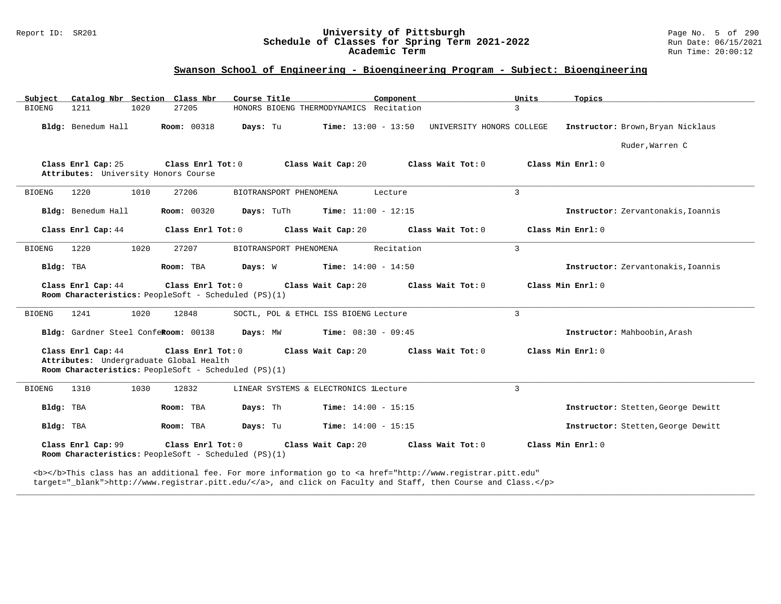# Report ID: SR201 **University of Pittsburgh University of Pittsburgh** Page No. 5 of 290 Page No. 5 of 290 **Schedule of Classes for Spring Term 2021-2022** Run Date: 06/15/2021 Schedule of Classes for Spring Term 2021-2022<br>**Academic Term**

### **Swanson School of Engineering - Bioengineering Program - Subject: Bioengineering**

| Catalog Nbr Section Class Nbr<br>Subject                      | Course Title                                                              | Component                                                                                                                             | Units<br>Topics                    |
|---------------------------------------------------------------|---------------------------------------------------------------------------|---------------------------------------------------------------------------------------------------------------------------------------|------------------------------------|
| 1211<br>1020<br><b>BIOENG</b>                                 | 27205                                                                     | HONORS BIOENG THERMODYNAMICS Recitation                                                                                               | $\mathcal{L}$                      |
| Bldg: Benedum Hall                                            | Room: 00318<br>Days: Tu                                                   | Time: 13:00 - 13:50 UNIVERSITY HONORS COLLEGE                                                                                         | Instructor: Brown, Bryan Nicklaus  |
|                                                               |                                                                           |                                                                                                                                       | Ruder, Warren C                    |
| Class Enrl Cap: 25<br>Attributes: University Honors Course    | Class Enrl Tot: 0                                                         | Class Wait Cap: 20<br>Class Wait Tot: 0                                                                                               | Class Min Enrl: 0                  |
| <b>BIOENG</b><br>1220<br>1010                                 | 27206<br>BIOTRANSPORT PHENOMENA                                           | Lecture                                                                                                                               | 3                                  |
| Bldg: Benedum Hall                                            | Room: 00320<br>Days: TuTh                                                 | <b>Time:</b> $11:00 - 12:15$                                                                                                          | Instructor: Zervantonakis, Ioannis |
| Class Enrl Cap: 44                                            | Class Enrl Tot: 0                                                         | Class Wait Cap: 20<br>Class Wait Tot: 0                                                                                               | Class Min Enrl: 0                  |
| 1220<br>1020<br><b>BIOENG</b>                                 | 27207<br>BIOTRANSPORT PHENOMENA                                           | Recitation                                                                                                                            | 3                                  |
| Bldg: TBA                                                     | Room: TBA<br>Days: W                                                      | <b>Time:</b> $14:00 - 14:50$                                                                                                          | Instructor: Zervantonakis, Ioannis |
| Class Enrl Cap: 44                                            | Class Enrl Tot: 0<br>Room Characteristics: PeopleSoft - Scheduled (PS)(1) | Class Wait Cap: 20<br>Class Wait Tot: 0                                                                                               | Class Min Enrl: 0                  |
| 1241<br>1020<br><b>BIOENG</b>                                 | 12848                                                                     | SOCTL, POL & ETHCL ISS BIOENG Lecture                                                                                                 | 3                                  |
| Bldg: Gardner Steel ConfeRoom: 00138                          | Days: MW                                                                  | <b>Time:</b> $08:30 - 09:45$                                                                                                          | Instructor: Mahboobin, Arash       |
| Class Enrl Cap: 44<br>Attributes: Undergraduate Global Health | Class Enrl Tot: 0<br>Room Characteristics: PeopleSoft - Scheduled (PS)(1) | Class Wait Cap: 20<br>Class Wait Tot: 0                                                                                               | Class Min Enrl: 0                  |
| 1310<br>1030<br><b>BIOENG</b>                                 | 12832                                                                     | LINEAR SYSTEMS & ELECTRONICS lLecture                                                                                                 | 3                                  |
| Bldg: TBA                                                     | Days: Th<br>Room: TBA                                                     | <b>Time:</b> $14:00 - 15:15$                                                                                                          | Instructor: Stetten, George Dewitt |
| Bldg: TBA                                                     | Room: TBA<br>Days: Tu                                                     | <b>Time:</b> $14:00 - 15:15$                                                                                                          | Instructor: Stetten, George Dewitt |
| Class Enrl Cap: 99                                            | Class Enrl Tot: 0<br>Room Characteristics: PeopleSoft - Scheduled (PS)(1) | Class Wait Cap: 20<br>Class Wait Tot: 0                                                                                               | Class Min Enrl: 0                  |
|                                                               |                                                                           | <b></b> This class has an additional fee. For more information go to <a <="" href="http://www.registrar.pitt.edu" td=""><td></td></a> |                                    |

**\_\_\_\_\_\_\_\_\_\_\_\_\_\_\_\_\_\_\_\_\_\_\_\_\_\_\_\_\_\_\_\_\_\_\_\_\_\_\_\_\_\_\_\_\_\_\_\_\_\_\_\_\_\_\_\_\_\_\_\_\_\_\_\_\_\_\_\_\_\_\_\_\_\_\_\_\_\_\_\_\_\_\_\_\_\_\_\_\_\_\_\_\_\_\_\_\_\_\_\_\_\_\_\_\_\_\_\_\_\_\_\_\_\_\_\_\_\_\_\_\_\_\_\_\_\_\_\_\_\_\_\_\_\_\_\_\_\_\_\_\_\_\_\_\_\_\_\_\_\_\_\_\_\_\_\_**

target="\_blank">http://www.registrar.pitt.edu/</a>, and click on Faculty and Staff, then Course and Class.</p>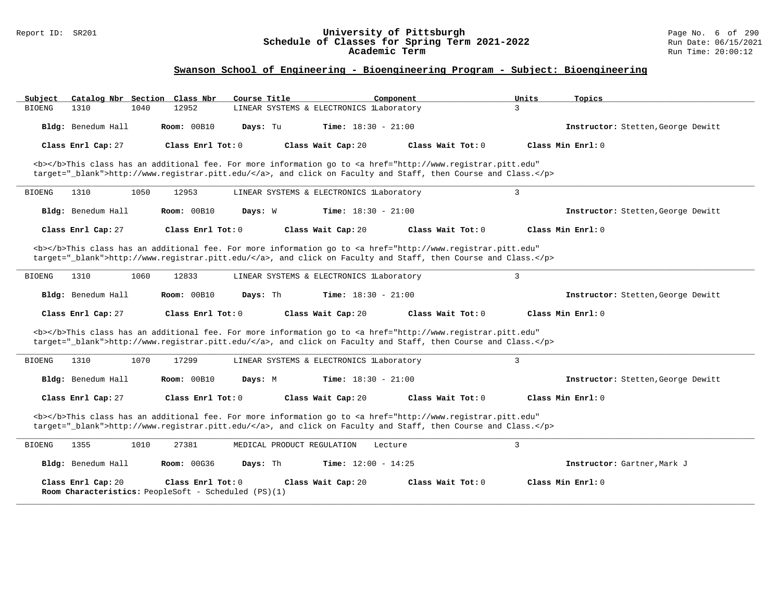#### Report ID: SR201 **University of Pittsburgh** Page No. 6 of 290 **Schedule of Classes for Spring Term 2021-2022** Run Date: 06/15/2021 **Academic Term** Run Time: 20:00:12

| Catalog Nbr Section Class Nbr<br>Subject                                                                                                                                                                                           | Course Title                             | Component                    | Units               | Topics                             |
|------------------------------------------------------------------------------------------------------------------------------------------------------------------------------------------------------------------------------------|------------------------------------------|------------------------------|---------------------|------------------------------------|
| 1310<br>1040<br>12952<br><b>BIOENG</b>                                                                                                                                                                                             | LINEAR SYSTEMS & ELECTRONICS lLaboratory |                              | 3                   |                                    |
| Bldg: Benedum Hall<br><b>Room: 00B10</b>                                                                                                                                                                                           | Days: Tu                                 | <b>Time:</b> $18:30 - 21:00$ |                     | Instructor: Stetten, George Dewitt |
| Class Enrl Cap: 27<br>Class Enrl Tot: 0                                                                                                                                                                                            | Class Wait Cap: 20                       | Class Wait Tot: $0$          | Class Min Enrl: 0   |                                    |
| <b></b> This class has an additional fee. For more information go to <a <br="" href="http://www.registrar.pitt.edu">target="_blank"&gt;http://www.registrar.pitt.edu/</a> , and click on Faculty and Staff, then Course and Class. |                                          |                              |                     |                                    |
| 1310<br>1050<br>12953<br><b>BIOENG</b>                                                                                                                                                                                             | LINEAR SYSTEMS & ELECTRONICS lLaboratory |                              | 3                   |                                    |
| Bldg: Benedum Hall<br>Room: 00B10                                                                                                                                                                                                  | Days: W                                  | <b>Time:</b> $18:30 - 21:00$ |                     | Instructor: Stetten, George Dewitt |
| Class Enrl Cap: 27<br>Class Enrl Tot: $0$                                                                                                                                                                                          | Class Wait Cap: 20                       | Class Wait Tot: 0            | Class Min $Enr1: 0$ |                                    |
| <b></b> This class has an additional fee. For more information go to <a <br="" href="http://www.registrar.pitt.edu">target="_blank"&gt;http://www.registrar.pitt.edu/</a> , and click on Faculty and Staff, then Course and Class. |                                          |                              |                     |                                    |
| <b>BIOENG</b><br>1310<br>1060<br>12833                                                                                                                                                                                             | LINEAR SYSTEMS & ELECTRONICS lLaboratory |                              | $\overline{3}$      |                                    |
| Bldg: Benedum Hall<br>Room: 00B10                                                                                                                                                                                                  | Days: Th                                 | <b>Time:</b> $18:30 - 21:00$ |                     | Instructor: Stetten, George Dewitt |
| Class Enrl Cap: 27<br>Class Enrl Tot: 0                                                                                                                                                                                            | Class Wait Cap: 20                       | Class Wait Tot: $0$          | Class Min Enrl: 0   |                                    |
| <b></b> This class has an additional fee. For more information go to <a <br="" href="http://www.registrar.pitt.edu">target="_blank"&gt;http://www.registrar.pitt.edu/</a> , and click on Faculty and Staff, then Course and Class. |                                          |                              |                     |                                    |
| 1070<br><b>BIOENG</b><br>1310<br>17299                                                                                                                                                                                             | LINEAR SYSTEMS & ELECTRONICS lLaboratory |                              | $\overline{3}$      |                                    |
| Bldg: Benedum Hall<br><b>Room: 00B10</b>                                                                                                                                                                                           | Days: M                                  | <b>Time:</b> $18:30 - 21:00$ |                     | Instructor: Stetten, George Dewitt |
| Class Enrl Cap: 27<br>Class Enrl Tot: 0                                                                                                                                                                                            | Class Wait Cap: 20                       | Class Wait Tot: 0            | Class Min Enrl: 0   |                                    |
| <b></b> This class has an additional fee. For more information go to <a <br="" href="http://www.registrar.pitt.edu">target=" blank"&gt;http://www.registrar.pitt.edu/</a> , and click on Faculty and Staff, then Course and Class. |                                          |                              |                     |                                    |
| 1355<br>1010<br>27381<br><b>BIOENG</b>                                                                                                                                                                                             | MEDICAL PRODUCT REGULATION               | Lecture                      | $\overline{3}$      |                                    |
| Bldg: Benedum Hall<br><b>Room: 00G36</b>                                                                                                                                                                                           | Days: Th                                 | Time: $12:00 - 14:25$        |                     | Instructor: Gartner, Mark J        |
| Class Enrl Cap: 20<br>Class Enrl Tot: $0$<br>Room Characteristics: PeopleSoft - Scheduled (PS)(1)                                                                                                                                  | Class Wait Cap: 20                       | Class Wait Tot: 0            | Class Min Enrl: 0   |                                    |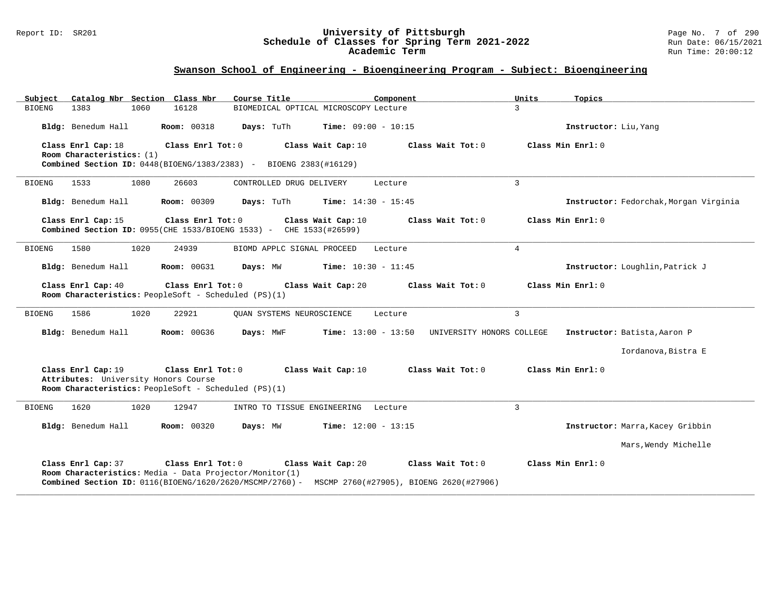#### Report ID: SR201 **University of Pittsburgh** Page No. 7 of 290 **Schedule of Classes for Spring Term 2021-2022** Run Date: 06/15/2021 **Academic Term** Run Time: 20:00:12

| Catalog Nbr Section Class Nbr<br>Subject                                                                                                  | Course Title<br>Component                                                                                                                   | Units<br>Topics                        |
|-------------------------------------------------------------------------------------------------------------------------------------------|---------------------------------------------------------------------------------------------------------------------------------------------|----------------------------------------|
| 1383<br>1060<br>16128<br>BIOENG                                                                                                           | BIOMEDICAL OPTICAL MICROSCOPY Lecture                                                                                                       | $\overline{3}$                         |
| <b>Room: 00318</b><br>Bldg: Benedum Hall                                                                                                  | Days: TuTh<br>Time: $09:00 - 10:15$                                                                                                         | Instructor: Liu, Yang                  |
| Class Enrl Cap: 18<br>Class Enrl Tot: 0<br>Room Characteristics: (1)<br>Combined Section ID: 0448(BIOENG/1383/2383) - BIOENG 2383(#16129) | Class Wait Cap: 10<br>Class Wait Tot: 0                                                                                                     | Class Min $Enr1: 0$                    |
| 1533<br>1080<br>26603<br>BIOENG                                                                                                           | CONTROLLED DRUG DELIVERY<br>Lecture                                                                                                         | $\overline{3}$                         |
| Bldg: Benedum Hall<br><b>Room: 00309</b>                                                                                                  | Days: TuTh<br><b>Time:</b> $14:30 - 15:45$                                                                                                  | Instructor: Fedorchak, Morgan Virginia |
| Class Enrl Cap: 15<br>Class Enrl Tot: 0<br>Combined Section ID: 0955(CHE 1533/BIOENG 1533) - CHE 1533(#26599)                             | Class Wait Cap: 10<br>Class Wait Tot: 0                                                                                                     | Class Min Enrl: 0                      |
| 1580<br>1020<br>24939<br>BIOENG                                                                                                           | BIOMD APPLC SIGNAL PROCEED<br>Lecture                                                                                                       | $\overline{4}$                         |
| Bldg: Benedum Hall<br><b>Room: 00G31</b>                                                                                                  | <b>Time:</b> $10:30 - 11:45$<br>Days: MW                                                                                                    | Instructor: Loughlin, Patrick J        |
| Class Enrl Cap: 40<br>Class Enrl Tot: 0<br>Room Characteristics: PeopleSoft - Scheduled (PS)(1)                                           | Class Wait Tot: 0<br>Class Wait Cap: 20                                                                                                     | Class Min Enrl: 0                      |
| 1586<br>1020<br>22921<br><b>BIOENG</b>                                                                                                    | OUAN SYSTEMS NEUROSCIENCE<br>Lecture                                                                                                        | $\overline{3}$                         |
| Bldg: Benedum Hall<br><b>Room: 00G36</b>                                                                                                  | Days: MWF<br><b>Time:</b> $13:00 - 13:50$<br>UNIVERSITY HONORS COLLEGE                                                                      | Instructor: Batista, Aaron P           |
|                                                                                                                                           |                                                                                                                                             | Iordanova, Bistra E                    |
| Class Enrl Cap: 19<br>Class Enrl Tot: 0<br>Attributes: University Honors Course<br>Room Characteristics: PeopleSoft - Scheduled (PS)(1)   | Class Wait Cap: 10<br>Class Wait Tot: 0                                                                                                     | Class Min Enrl: 0                      |
| 1620<br>1020<br>12947<br><b>BIOENG</b>                                                                                                    | INTRO TO TISSUE ENGINEERING Lecture                                                                                                         | $\overline{3}$                         |
| Bldg: Benedum Hall<br><b>Room: 00320</b>                                                                                                  | Days: MW<br><b>Time:</b> $12:00 - 13:15$                                                                                                    | Instructor: Marra, Kacey Gribbin       |
|                                                                                                                                           |                                                                                                                                             | Mars, Wendy Michelle                   |
| Class Enrl Tot: 0<br>Class Enrl Cap: 37<br>Room Characteristics: Media - Data Projector/Monitor(1)                                        | Class Wait Cap: 20<br>Class Wait Tot: 0<br>Combined Section ID: 0116(BIOENG/1620/2620/MSCMP/2760) - MSCMP 2760(#27905), BIOENG 2620(#27906) | Class Min $Enr1: 0$                    |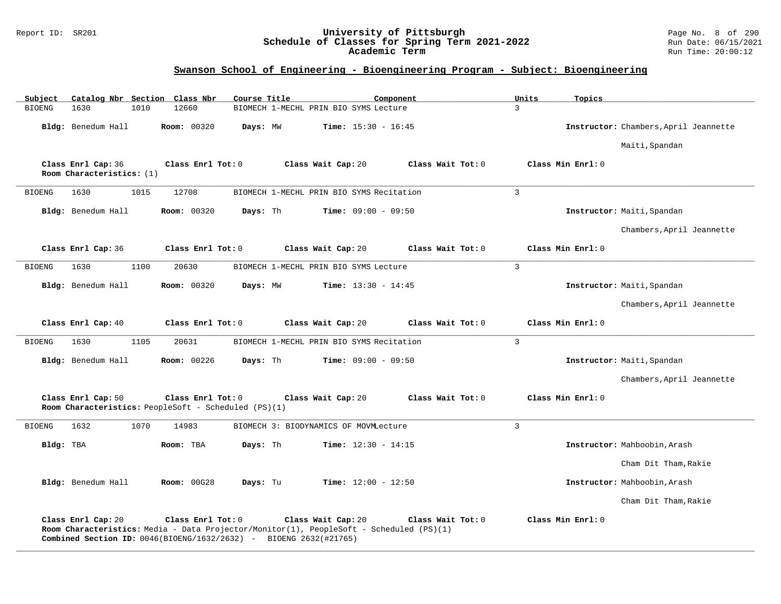### Report ID: SR201 **University of Pittsburgh** Page No. 8 of 290 **Schedule of Classes for Spring Term 2021-2022** Run Date: 06/15/2021 **Academic Term** Run Time: 20:00:12

| Subject       | Catalog Nbr Section Class Nbr                                                                                                                                                      |      |                    | Course Title |                                          |                              | Component         | Units          | Topics            |                                       |
|---------------|------------------------------------------------------------------------------------------------------------------------------------------------------------------------------------|------|--------------------|--------------|------------------------------------------|------------------------------|-------------------|----------------|-------------------|---------------------------------------|
| <b>BIOENG</b> | 1630                                                                                                                                                                               | 1010 | 12660              |              | BIOMECH 1-MECHL PRIN BIO SYMS Lecture    |                              |                   | $\mathbf{3}$   |                   |                                       |
|               | Bldg: Benedum Hall                                                                                                                                                                 |      | Room: 00320        | Days: MW     |                                          | <b>Time:</b> $15:30 - 16:45$ |                   |                |                   | Instructor: Chambers, April Jeannette |
|               |                                                                                                                                                                                    |      |                    |              |                                          |                              |                   |                |                   | Maiti, Spandan                        |
|               | Class Enrl Cap: 36<br>Room Characteristics: (1)                                                                                                                                    |      | Class Enrl Tot: 0  |              | Class Wait Cap: 20                       |                              | Class Wait Tot: 0 |                | Class Min Enrl: 0 |                                       |
| <b>BIOENG</b> | 1630                                                                                                                                                                               | 1015 | 12708              |              | BIOMECH 1-MECHL PRIN BIO SYMS Recitation |                              |                   | $\overline{3}$ |                   |                                       |
|               | Bldg: Benedum Hall                                                                                                                                                                 |      | <b>Room: 00320</b> | Days: Th     |                                          | <b>Time:</b> $09:00 - 09:50$ |                   |                |                   | Instructor: Maiti, Spandan            |
|               |                                                                                                                                                                                    |      |                    |              |                                          |                              |                   |                |                   | Chambers, April Jeannette             |
|               | Class Enrl Cap: 36                                                                                                                                                                 |      | Class Enrl Tot: 0  |              | Class Wait Cap: 20                       |                              | Class Wait Tot: 0 |                | Class Min Enrl: 0 |                                       |
| <b>BIOENG</b> | 1630                                                                                                                                                                               | 1100 | 20630              |              | BIOMECH 1-MECHL PRIN BIO SYMS Lecture    |                              |                   | $\overline{3}$ |                   |                                       |
|               | Bldg: Benedum Hall                                                                                                                                                                 |      | <b>Room: 00320</b> | Days: MW     |                                          | <b>Time:</b> $13:30 - 14:45$ |                   |                |                   | Instructor: Maiti, Spandan            |
|               |                                                                                                                                                                                    |      |                    |              |                                          |                              |                   |                |                   | Chambers, April Jeannette             |
|               | Class Enrl Cap: 40                                                                                                                                                                 |      | Class Enrl Tot: 0  |              | Class Wait Cap: 20                       |                              | Class Wait Tot: 0 |                | Class Min Enrl: 0 |                                       |
| <b>BIOENG</b> | 1630                                                                                                                                                                               | 1105 | 20631              |              | BIOMECH 1-MECHL PRIN BIO SYMS Recitation |                              |                   | $\overline{3}$ |                   |                                       |
|               | Bldg: Benedum Hall                                                                                                                                                                 |      | <b>Room: 00226</b> | Days: Th     |                                          | <b>Time:</b> $09:00 - 09:50$ |                   |                |                   | Instructor: Maiti, Spandan            |
|               |                                                                                                                                                                                    |      |                    |              |                                          |                              |                   |                |                   | Chambers, April Jeannette             |
|               | Class Enrl Cap: 50<br>Room Characteristics: PeopleSoft - Scheduled (PS)(1)                                                                                                         |      | Class Enrl Tot: 0  |              | Class Wait Cap: 20                       |                              | Class Wait Tot: 0 |                | Class Min Enrl: 0 |                                       |
| <b>BIOENG</b> | 1632                                                                                                                                                                               | 1070 | 14983              |              | BIOMECH 3: BIODYNAMICS OF MOVMLecture    |                              |                   | $\overline{3}$ |                   |                                       |
| Bldg: TBA     |                                                                                                                                                                                    |      | Room: TBA          | Days: Th     |                                          | <b>Time:</b> $12:30 - 14:15$ |                   |                |                   | Instructor: Mahboobin, Arash          |
|               |                                                                                                                                                                                    |      |                    |              |                                          |                              |                   |                |                   | Cham Dit Tham, Rakie                  |
|               | Bldg: Benedum Hall                                                                                                                                                                 |      | <b>Room: 00G28</b> | Days: Tu     |                                          | <b>Time:</b> $12:00 - 12:50$ |                   |                |                   | Instructor: Mahboobin, Arash          |
|               |                                                                                                                                                                                    |      |                    |              |                                          |                              |                   |                |                   | Cham Dit Tham, Rakie                  |
|               | Class Enrl Cap: 20<br>Room Characteristics: Media - Data Projector/Monitor(1), PeopleSoft - Scheduled (PS)(1)<br>Combined Section ID: 0046(BIOENG/1632/2632) - BIOENG 2632(#21765) |      | Class Enrl Tot: 0  |              | Class Wait Cap: 20                       |                              | Class Wait Tot: 0 |                | Class Min Enrl: 0 |                                       |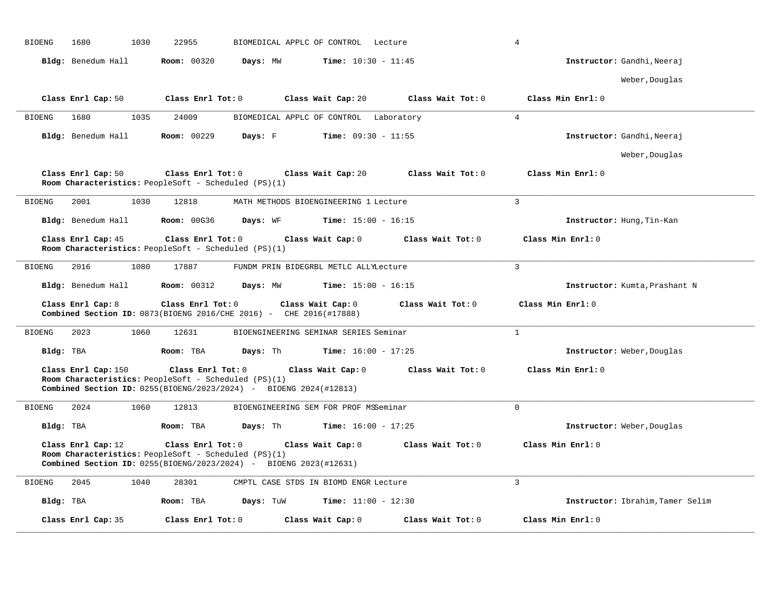| <b>BIOENG</b><br>1680<br>1030 | 22955<br>BIOMEDICAL APPLC OF CONTROL<br>Lecture                                                                                                                                          | $\overline{4}$                   |
|-------------------------------|------------------------------------------------------------------------------------------------------------------------------------------------------------------------------------------|----------------------------------|
| Bldg: Benedum Hall            | <b>Room: 00320</b><br>Days: MW<br><b>Time:</b> $10:30 - 11:45$                                                                                                                           | Instructor: Gandhi, Neeraj       |
|                               |                                                                                                                                                                                          | Weber, Douglas                   |
| Class Enrl Cap: 50            | Class Enrl Tot: 0<br>Class Wait Cap: 20<br>Class Wait Tot: 0                                                                                                                             | Class Min Enrl: 0                |
| 1680<br>1035<br><b>BIOENG</b> | 24009<br>BIOMEDICAL APPLC OF CONTROL Laboratory                                                                                                                                          | $\overline{4}$                   |
| Bldg: Benedum Hall            | <b>Room: 00229</b><br>Days: F<br><b>Time:</b> $09:30 - 11:55$                                                                                                                            | Instructor: Gandhi, Neeraj       |
|                               |                                                                                                                                                                                          | Weber, Douglas                   |
| Class Enrl Cap: 50            | Class Enrl Tot: 0<br>Class Wait Cap: 20<br>Class Wait Tot: 0<br>Room Characteristics: PeopleSoft - Scheduled (PS)(1)                                                                     | Class Min Enrl: 0                |
| 2001<br>1030<br><b>BIOENG</b> | 12818<br>MATH METHODS BIOENGINEERING 1 Lecture                                                                                                                                           | $\overline{3}$                   |
| Bldg: Benedum Hall            | <b>Room: 00G36</b><br>Days: WF<br><b>Time:</b> $15:00 - 16:15$                                                                                                                           | Instructor: Hung, Tin-Kan        |
| Class Enrl Cap: 45            | Class Enrl Tot: 0<br>Class Wait Cap: 0<br>Class Wait Tot: 0<br>Room Characteristics: PeopleSoft - Scheduled (PS)(1)                                                                      | Class Min Enrl: 0                |
| <b>BIOENG</b><br>2016<br>1080 | 17887<br>FUNDM PRIN BIDEGRBL METLC ALLYLecture                                                                                                                                           | 3                                |
| Bldg: Benedum Hall            | <b>Room: 00312</b><br><b>Time:</b> $15:00 - 16:15$<br>Days: MW                                                                                                                           | Instructor: Kumta, Prashant N    |
| Class Enrl Cap: 8             | Class Enrl Tot: 0<br>Class Wait Tot: 0<br>Class Wait Cap: 0<br>Combined Section ID: 0873(BIOENG 2016/CHE 2016) - CHE 2016(#17888)                                                        | Class Min Enrl: 0                |
| <b>BIOENG</b><br>2023<br>1060 | 12631<br>BIOENGINEERING SEMINAR SERIES Seminar                                                                                                                                           | $\mathbf{1}$                     |
| Bldg: TBA                     | Room: TBA<br>Days: Th<br><b>Time:</b> $16:00 - 17:25$                                                                                                                                    | Instructor: Weber, Douglas       |
| Class Enrl Cap: 150           | Class Enrl Tot: 0<br>Class Wait Cap: 0<br>Class Wait Tot: 0<br>Room Characteristics: PeopleSoft - Scheduled (PS)(1)<br>Combined Section ID: 0255(BIOENG/2023/2024) - BIOENG 2024(#12813) | Class Min Enrl: 0                |
| 2024<br>1060<br><b>BIOENG</b> | 12813<br>BIOENGINEERING SEM FOR PROF MSSeminar                                                                                                                                           | $\Omega$                         |
| Bldg: TBA                     | <b>Time:</b> $16:00 - 17:25$<br>Room: TBA<br>Days: Th                                                                                                                                    | Instructor: Weber, Douglas       |
| Class Enrl Cap: 12            | Class Enrl Tot: 0<br>Class Wait Cap: 0<br>Class Wait Tot: 0<br>Room Characteristics: PeopleSoft - Scheduled (PS)(1)<br>Combined Section ID: 0255(BIOENG/2023/2024) - BIOENG 2023(#12631) | Class Min Enrl: 0                |
| <b>BIOENG</b><br>2045<br>1040 | 28301<br>CMPTL CASE STDS IN BIOMD ENGR Lecture                                                                                                                                           | $\mathcal{L}$                    |
| Bldg: TBA                     | <b>Time:</b> $11:00 - 12:30$<br>Room: TBA<br>Days: TuW                                                                                                                                   | Instructor: Ibrahim, Tamer Selim |
| Class Enrl Cap: 35            | Class Enrl Tot: 0<br>Class Wait Cap: 0<br>Class Wait Tot: 0                                                                                                                              | Class Min Enrl: 0                |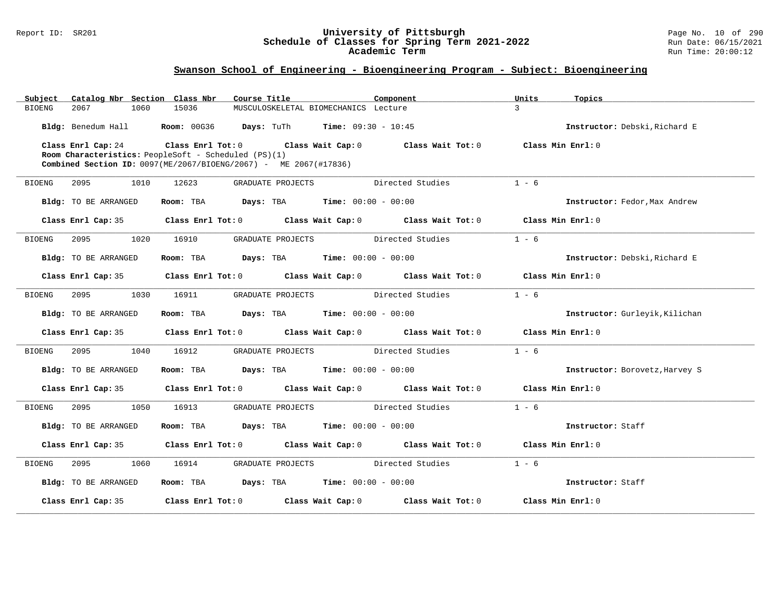#### Report ID: SR201 **University of Pittsburgh** Page No. 10 of 290 **Schedule of Classes for Spring Term 2021-2022** Run Date: 06/15/2021 **Academic Term** Run Time: 20:00:12

| Catalog Nbr Section Class Nbr<br>Subject | Course Title                                                                          | Component                                                                                  | Units<br>Topics                |
|------------------------------------------|---------------------------------------------------------------------------------------|--------------------------------------------------------------------------------------------|--------------------------------|
| 2067<br>1060<br><b>BIOENG</b>            | 15036                                                                                 | MUSCULOSKELETAL BIOMECHANICS Lecture                                                       | $\mathbf{z}$                   |
|                                          | Bldg: Benedum Hall <b>Room:</b> 00G36 <b>Days:</b> TuTh <b>Time:</b> 09:30 - 10:45    |                                                                                            | Instructor: Debski, Richard E  |
| Class Enrl Cap: 24                       |                                                                                       | Class Enrl Tot: $0$ Class Wait Cap: $0$ Class Wait Tot: $0$ Class Min Enrl: $0$            |                                |
|                                          | Room Characteristics: PeopleSoft - Scheduled (PS)(1)                                  |                                                                                            |                                |
|                                          | Combined Section ID: 0097(ME/2067/BIOENG/2067) - ME 2067(#17836)                      |                                                                                            |                                |
| 2095<br>BIOENG<br>1010                   | 12623<br>GRADUATE PROJECTS                                                            | Directed Studies                                                                           | $1 - 6$                        |
| Bldg: TO BE ARRANGED                     | Room: TBA $Days:$ TBA $Time: 00:00 - 00:00$                                           |                                                                                            | Instructor: Fedor, Max Andrew  |
| Class Enrl Cap: 35                       |                                                                                       | Class Enrl Tot: $0$ Class Wait Cap: $0$ Class Wait Tot: $0$ Class Min Enrl: $0$            |                                |
| 1020<br>BIOENG<br>2095                   | 16910<br>GRADUATE PROJECTS                                                            | Directed Studies                                                                           | $1 - 6$                        |
| Bldg: TO BE ARRANGED                     | Room: TBA $Days:$ TBA $Time: 00:00 - 00:00$                                           |                                                                                            | Instructor: Debski, Richard E  |
| Class Enrl Cap: 35                       |                                                                                       | Class Enrl Tot: $0$ Class Wait Cap: $0$ Class Wait Tot: $0$ Class Min Enrl: $0$            |                                |
| 2095<br>1030<br>BIOENG                   | 16911                                                                                 | GRADUATE PROJECTS Directed Studies                                                         | $1 - 6$                        |
| Bldg: TO BE ARRANGED                     | <b>Room:</b> TBA <b>Days:</b> TBA <b>Time:</b> 00:00 - 00:00                          |                                                                                            | Instructor: Gurleyik, Kilichan |
|                                          |                                                                                       | Class Enrl Cap: 35 Class Enrl Tot: 0 Class Wait Cap: 0 Class Wait Tot: 0 Class Min Enrl: 0 |                                |
|                                          |                                                                                       |                                                                                            |                                |
| 2095<br>1040<br>BIOENG                   | 16912                                                                                 | GRADUATE PROJECTS Directed Studies                                                         | $1 - 6$                        |
| Bldg: TO BE ARRANGED                     | Room: TBA $\rule{1em}{0.15mm}$ Days: TBA $\rule{1.5mm}{0.15mm}$ Time: $00:00 - 00:00$ |                                                                                            | Instructor: Borovetz, Harvey S |
| Class Enrl Cap: 35                       |                                                                                       | Class Enrl Tot: $0$ Class Wait Cap: $0$ Class Wait Tot: $0$ Class Min Enrl: $0$            |                                |
| 2095<br>1050<br>BIOENG                   | 16913                                                                                 | GRADUATE PROJECTS Directed Studies                                                         | $1 - 6$                        |
| Bldg: TO BE ARRANGED                     | Room: TBA $Days: TBA$ Time: $00:00 - 00:00$                                           |                                                                                            | Instructor: Staff              |
| Class Enrl Cap: 35                       |                                                                                       | Class Enrl Tot: $0$ Class Wait Cap: $0$ Class Wait Tot: $0$ Class Min Enrl: $0$            |                                |
| 2095<br>1060<br>BIOENG                   | 16914                                                                                 | GRADUATE PROJECTS Directed Studies                                                         | $1 - 6$                        |
| Bldg: TO BE ARRANGED                     | Room: TBA $Days:$ TBA $Time: 00:00 - 00:00$                                           |                                                                                            | Instructor: Staff              |
| Class Enrl Cap: 35                       | Class Enrl Tot: 0 Class Wait Cap: 0                                                   | Class Wait Tot: 0                                                                          | Class Min Enrl: 0              |
|                                          |                                                                                       |                                                                                            |                                |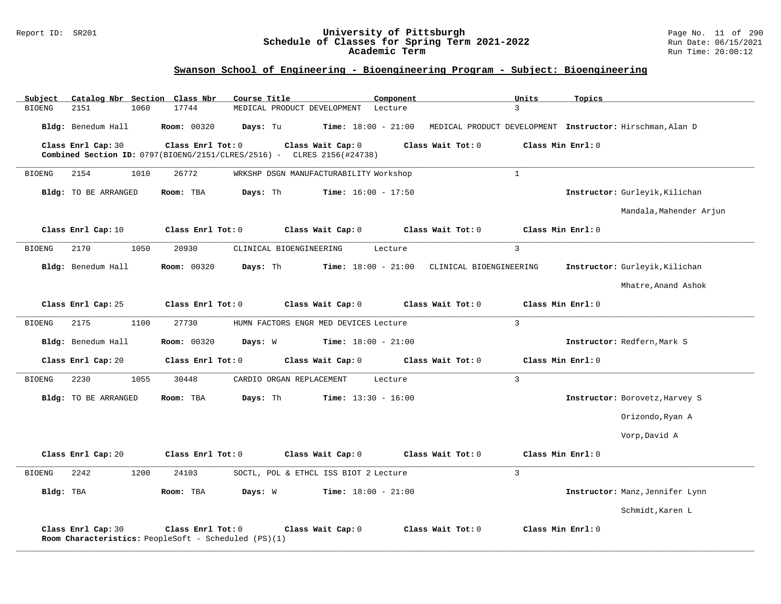#### Report ID: SR201 **University of Pittsburgh** Page No. 11 of 290 **Schedule of Classes for Spring Term 2021-2022** Run Date: 06/15/2021 **Academic Term** Run Time: 20:00:12

| Subject               | Catalog Nbr Section Class Nbr                        |      |                    |                   | Course Title |                          |                                                                          | Component |                         | Units             | Topics |                                                           |
|-----------------------|------------------------------------------------------|------|--------------------|-------------------|--------------|--------------------------|--------------------------------------------------------------------------|-----------|-------------------------|-------------------|--------|-----------------------------------------------------------|
| <b>BIOENG</b><br>2151 |                                                      | 1060 | 17744              |                   |              |                          | MEDICAL PRODUCT DEVELOPMENT                                              | Lecture   |                         | 3                 |        |                                                           |
|                       | Bldg: Benedum Hall                                   |      | <b>Room: 00320</b> |                   | Days: Tu     |                          | <b>Time:</b> $18:00 - 21:00$                                             |           |                         |                   |        | MEDICAL PRODUCT DEVELOPMENT Instructor: Hirschman, Alan D |
| Class Enrl Cap: 30    |                                                      |      |                    | Class Enrl Tot: 0 |              |                          | Class Wait Cap: 0                                                        |           | Class Wait Tot: 0       | Class Min Enrl: 0 |        |                                                           |
|                       |                                                      |      |                    |                   |              |                          | Combined Section ID: $0797(BIOENG/2151/CLRES/2516)$ - CLRES 2156(#24738) |           |                         |                   |        |                                                           |
| <b>BIOENG</b><br>2154 |                                                      | 1010 | 26772              |                   |              |                          | WRKSHP DSGN MANUFACTURABILITY Workshop                                   |           |                         | $\mathbf{1}$      |        |                                                           |
|                       | <b>Bldg:</b> TO BE ARRANGED                          |      | Room: TBA          |                   | Days: Th     |                          | <b>Time:</b> $16:00 - 17:50$                                             |           |                         |                   |        | Instructor: Gurleyik, Kilichan                            |
|                       |                                                      |      |                    |                   |              |                          |                                                                          |           |                         |                   |        | Mandala, Mahender Arjun                                   |
| Class Enrl Cap: 10    |                                                      |      |                    | Class Enrl Tot: 0 |              |                          | Class Wait Cap: 0                                                        |           | Class Wait Tot: 0       | Class Min Enrl: 0 |        |                                                           |
| <b>BIOENG</b><br>2170 |                                                      | 1050 | 20930              |                   |              | CLINICAL BIOENGINEERING  |                                                                          | Lecture   |                         | 3                 |        |                                                           |
|                       | Bldg: Benedum Hall                                   |      | <b>Room: 00320</b> |                   | Days: Th     |                          | <b>Time:</b> $18:00 - 21:00$                                             |           | CLINICAL BIOENGINEERING |                   |        | Instructor: Gurleyik, Kilichan                            |
|                       |                                                      |      |                    |                   |              |                          |                                                                          |           |                         |                   |        | Mhatre, Anand Ashok                                       |
| Class Enrl Cap: 25    |                                                      |      |                    | Class Enrl Tot: 0 |              |                          | Class Wait Cap: 0                                                        |           | Class Wait Tot: 0       | Class Min Enrl: 0 |        |                                                           |
| 2175<br><b>BIOENG</b> |                                                      | 1100 | 27730              |                   |              |                          | HUMN FACTORS ENGR MED DEVICES Lecture                                    |           |                         | $\overline{3}$    |        |                                                           |
|                       | Bldg: Benedum Hall                                   |      | Room: 00320        |                   | Days: W      |                          | <b>Time:</b> $18:00 - 21:00$                                             |           |                         |                   |        | Instructor: Redfern, Mark S                               |
| Class Enrl Cap: 20    |                                                      |      |                    | Class Enrl Tot: 0 |              |                          | Class Wait Cap: 0                                                        |           | Class Wait Tot: 0       | Class Min Enrl: 0 |        |                                                           |
| 2230<br><b>BIOENG</b> |                                                      | 1055 | 30448              |                   |              | CARDIO ORGAN REPLACEMENT |                                                                          | Lecture   |                         | 3                 |        |                                                           |
|                       | Bldg: TO BE ARRANGED                                 |      | Room: TBA          |                   | Days: Th     |                          | <b>Time:</b> $13:30 - 16:00$                                             |           |                         |                   |        | Instructor: Borovetz, Harvey S                            |
|                       |                                                      |      |                    |                   |              |                          |                                                                          |           |                         |                   |        | Orizondo, Ryan A                                          |
|                       |                                                      |      |                    |                   |              |                          |                                                                          |           |                         |                   |        | Vorp, David A                                             |
| Class Enrl Cap: 20    |                                                      |      |                    | Class Enrl Tot: 0 |              |                          | Class Wait Cap: 0                                                        |           | Class Wait Tot: 0       | Class Min Enrl: 0 |        |                                                           |
| 2242<br><b>BIOENG</b> |                                                      | 1200 | 24103              |                   |              |                          | SOCTL, POL & ETHCL ISS BIOT 2 Lecture                                    |           |                         | $\overline{3}$    |        |                                                           |
| Bldg: TBA             |                                                      |      | Room: TBA          |                   | Days: W      |                          | <b>Time:</b> $18:00 - 21:00$                                             |           |                         |                   |        | Instructor: Manz, Jennifer Lynn                           |
|                       |                                                      |      |                    |                   |              |                          |                                                                          |           |                         |                   |        | Schmidt, Karen L                                          |
| Class Enrl Cap: 30    | Room Characteristics: PeopleSoft - Scheduled (PS)(1) |      |                    | Class Enrl Tot: 0 |              |                          | Class Wait Cap: 0                                                        |           | Class Wait Tot: 0       | Class Min Enrl: 0 |        |                                                           |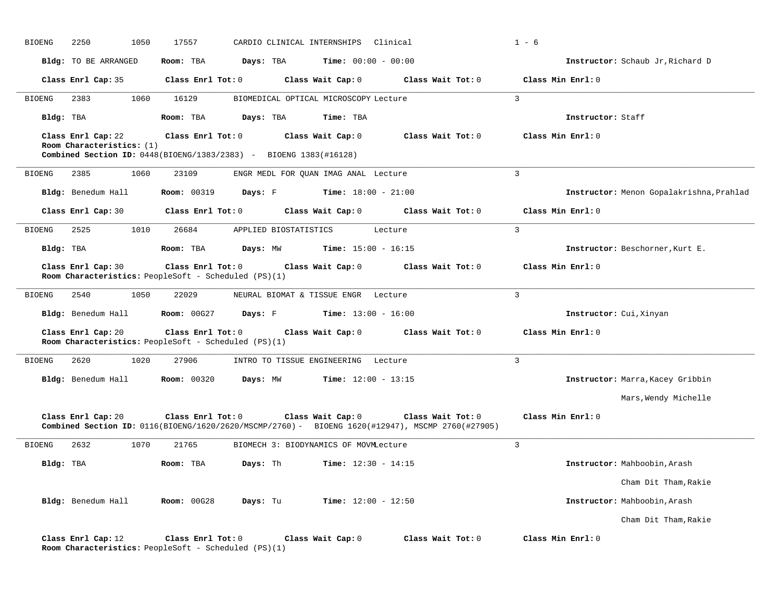| <b>BIOENG</b> | 2250<br>1050                                                                                                         | 17557                   |                       | CARDIO CLINICAL INTERNSHIPS Clinical  |                                                                                                                       | $1 - 6$           |                                          |
|---------------|----------------------------------------------------------------------------------------------------------------------|-------------------------|-----------------------|---------------------------------------|-----------------------------------------------------------------------------------------------------------------------|-------------------|------------------------------------------|
|               | Bldg: TO BE ARRANGED                                                                                                 | Room: TBA               | Days: TBA             | <b>Time:</b> $00:00 - 00:00$          |                                                                                                                       |                   | Instructor: Schaub Jr, Richard D         |
|               | Class Enrl Cap: 35                                                                                                   | Class Enrl Tot: 0       |                       | Class Wait Cap: 0                     | Class Wait Tot: 0                                                                                                     | Class Min Enrl: 0 |                                          |
| <b>BIOENG</b> | 2383<br>1060                                                                                                         | 16129                   |                       | BIOMEDICAL OPTICAL MICROSCOPY Lecture |                                                                                                                       | $\overline{3}$    |                                          |
| Bldg: TBA     |                                                                                                                      | Room: TBA               | Days: TBA             | Time: TBA                             |                                                                                                                       | Instructor: Staff |                                          |
|               | Class Enrl Cap: 22<br>Room Characteristics: (1)<br>Combined Section ID: 0448(BIOENG/1383/2383) - BIOENG 1383(#16128) | Class Enrl Tot: 0       |                       | Class Wait Cap: 0                     | Class Wait Tot: 0                                                                                                     | Class Min Enrl: 0 |                                          |
| <b>BIOENG</b> | 2385<br>1060                                                                                                         | 23109                   |                       | ENGR MEDL FOR QUAN IMAG ANAL Lecture  |                                                                                                                       | 3                 |                                          |
|               | Bldg: Benedum Hall                                                                                                   | <b>Room: 00319</b>      | Days: F               | <b>Time:</b> $18:00 - 21:00$          |                                                                                                                       |                   | Instructor: Menon Gopalakrishna, Prahlad |
|               | Class Enrl Cap: 30                                                                                                   | Class Enrl Tot: 0       |                       | Class Wait Cap: 0                     | Class Wait Tot: 0                                                                                                     | Class Min Enrl: 0 |                                          |
| <b>BIOENG</b> | 2525<br>1010                                                                                                         | 26684                   | APPLIED BIOSTATISTICS |                                       | Lecture                                                                                                               | $\mathbf{3}$      |                                          |
| Bldg: TBA     |                                                                                                                      | Room: TBA               | Days: MW              | <b>Time:</b> $15:00 - 16:15$          |                                                                                                                       |                   | Instructor: Beschorner, Kurt E.          |
|               | Class Enrl Cap: 30<br>Room Characteristics: PeopleSoft - Scheduled (PS)(1)                                           | Class Enrl Tot: 0       |                       | Class Wait Cap: 0                     | Class Wait Tot: 0                                                                                                     | Class Min Enrl: 0 |                                          |
| <b>BIOENG</b> | 2540<br>1050                                                                                                         | 22029                   |                       | NEURAL BIOMAT & TISSUE ENGR Lecture   |                                                                                                                       | $\overline{3}$    |                                          |
|               | Bldg: Benedum Hall                                                                                                   | <b>Room: 00G27</b>      | Days: F               | <b>Time:</b> $13:00 - 16:00$          |                                                                                                                       |                   | Instructor: Cui, Xinyan                  |
|               | Class Enrl Cap: 20<br>Room Characteristics: PeopleSoft - Scheduled (PS)(1)                                           | Class Enrl Tot: 0       |                       | Class Wait Cap: 0                     | Class Wait Tot: 0                                                                                                     | Class Min Enrl: 0 |                                          |
| <b>BIOENG</b> | 2620<br>1020                                                                                                         | 27906                   |                       | INTRO TO TISSUE ENGINEERING Lecture   |                                                                                                                       | 3                 |                                          |
|               | Bldg: Benedum Hall                                                                                                   | <b>Room:</b> 00320      | Days: MW              | <b>Time:</b> $12:00 - 13:15$          |                                                                                                                       |                   | Instructor: Marra, Kacey Gribbin         |
|               |                                                                                                                      |                         |                       |                                       |                                                                                                                       |                   | Mars, Wendy Michelle                     |
|               | Class Enrl Cap: 20                                                                                                   | $Class$ $Enrl$ $Tot: 0$ |                       | Class Wait Cap: 0                     | Class Wait Tot: 0<br>Combined Section ID: 0116(BIOENG/1620/2620/MSCMP/2760) - BIOENG 1620(#12947), MSCMP 2760(#27905) | Class Min Enrl: 0 |                                          |
| <b>BIOENG</b> | 2632<br>1070                                                                                                         | 21765                   |                       | BIOMECH 3: BIODYNAMICS OF MOVMLecture |                                                                                                                       | 3                 |                                          |
| Bldg: TBA     |                                                                                                                      | Room: TBA               | Days: Th              | <b>Time:</b> $12:30 - 14:15$          |                                                                                                                       |                   | Instructor: Mahboobin, Arash             |
|               |                                                                                                                      |                         |                       |                                       |                                                                                                                       |                   | Cham Dit Tham, Rakie                     |
|               | Bldg: Benedum Hall                                                                                                   | <b>Room: 00G28</b>      | Days: Tu              | <b>Time:</b> $12:00 - 12:50$          |                                                                                                                       |                   | Instructor: Mahboobin, Arash             |
|               |                                                                                                                      |                         |                       |                                       |                                                                                                                       |                   | Cham Dit Tham, Rakie                     |
|               | Class Enrl Cap: 12<br>Room Characteristics: PeopleSoft - Scheduled (PS)(1)                                           | Class Enrl Tot: 0       |                       | Class Wait Cap: 0                     | Class Wait Tot: 0                                                                                                     | Class Min Enrl: 0 |                                          |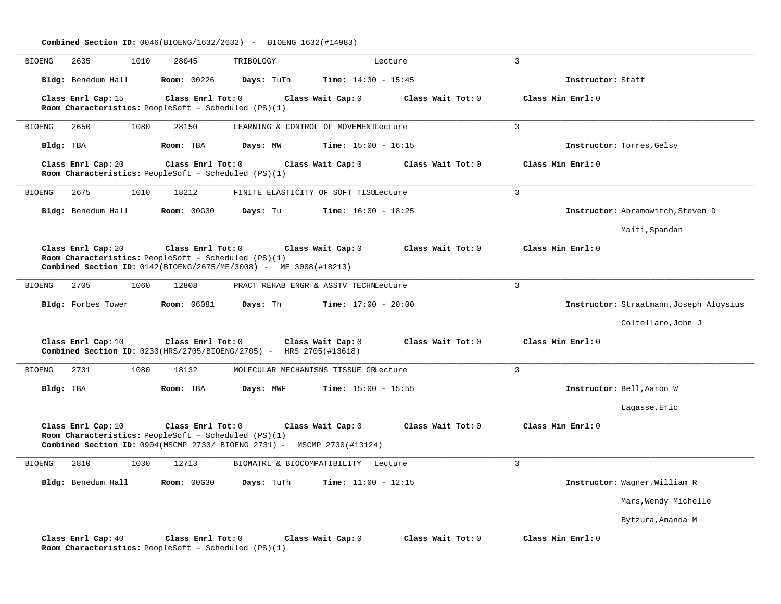|                                                                                                                                                                                                                                    | <b>Combined Section ID:</b> $0046(BIOENG/1632/2632)$ - BIOENG 1632(#14983)                                                                           |            |                                       |                   |                   |                                         |  |  |  |
|------------------------------------------------------------------------------------------------------------------------------------------------------------------------------------------------------------------------------------|------------------------------------------------------------------------------------------------------------------------------------------------------|------------|---------------------------------------|-------------------|-------------------|-----------------------------------------|--|--|--|
| 2635<br>BIOENG                                                                                                                                                                                                                     | 1010<br>28045                                                                                                                                        | TRIBOLOGY  |                                       | Lecture           | $\overline{3}$    |                                         |  |  |  |
| Bldg: Benedum Hall                                                                                                                                                                                                                 | <b>Room: 00226</b>                                                                                                                                   | Days: TuTh | <b>Time:</b> $14:30 - 15:45$          |                   | Instructor: Staff |                                         |  |  |  |
| Class Enrl Cap: 15                                                                                                                                                                                                                 | Class Enrl Tot: 0<br>Room Characteristics: PeopleSoft - Scheduled (PS)(1)                                                                            |            | Class Wait Cap: 0                     | Class Wait Tot: 0 | Class Min Enrl: 0 |                                         |  |  |  |
| 2650<br>BIOENG                                                                                                                                                                                                                     | 1080<br>28150                                                                                                                                        |            | LEARNING & CONTROL OF MOVEMENTLecture |                   | $\overline{3}$    |                                         |  |  |  |
| Bldg: TBA                                                                                                                                                                                                                          | Room: TBA                                                                                                                                            | Days: MW   | <b>Time:</b> $15:00 - 16:15$          |                   |                   | Instructor: Torres, Gelsy               |  |  |  |
| Class Enrl Cap: 20                                                                                                                                                                                                                 | Class Enrl Tot: 0<br>Room Characteristics: PeopleSoft - Scheduled $(PS)(1)$                                                                          |            | Class Wait Cap: 0                     | Class Wait Tot: 0 | Class Min Enrl: 0 |                                         |  |  |  |
| 2675<br>BIOENG                                                                                                                                                                                                                     | 1010<br>18212                                                                                                                                        |            | FINITE ELASTICITY OF SOFT TISULecture |                   | $\overline{3}$    |                                         |  |  |  |
| Bldg: Benedum Hall                                                                                                                                                                                                                 | <b>Room: 00G30</b>                                                                                                                                   | Days: Tu   | <b>Time:</b> $16:00 - 18:25$          |                   |                   | Instructor: Abramowitch, Steven D       |  |  |  |
|                                                                                                                                                                                                                                    |                                                                                                                                                      |            |                                       |                   |                   | Maiti, Spandan                          |  |  |  |
| Class Enrl Cap: 20<br>Class Enrl Tot: 0<br>Class Wait Tot: 0<br>Class Min Enrl: 0<br>Class Wait Cap: 0<br>Room Characteristics: PeopleSoft - Scheduled (PS)(1)<br>Combined Section ID: 0142(BIOENG/2675/ME/3008) - ME 3008(#18213) |                                                                                                                                                      |            |                                       |                   |                   |                                         |  |  |  |
| 2705<br><b>BIOENG</b>                                                                                                                                                                                                              | 1060<br>12808                                                                                                                                        |            | PRACT REHAB ENGR & ASSTV TECHNLecture |                   | 3                 |                                         |  |  |  |
| Bldg: Forbes Tower                                                                                                                                                                                                                 | <b>Room:</b> 06081                                                                                                                                   | Days: Th   | <b>Time:</b> $17:00 - 20:00$          |                   |                   | Instructor: Straatmann, Joseph Aloysius |  |  |  |
|                                                                                                                                                                                                                                    |                                                                                                                                                      |            |                                       |                   |                   | Coltellaro, John J                      |  |  |  |
| Class Enrl Cap: 10                                                                                                                                                                                                                 | Class Enrl Tot: 0<br>Combined Section ID: 0230(HRS/2705/BIOENG/2705) - HRS 2705(#13618)                                                              |            | Class Wait Cap: 0                     | Class Wait Tot: 0 | Class Min Enrl: 0 |                                         |  |  |  |
| <b>BIOENG</b><br>2731                                                                                                                                                                                                              | 1080<br>18132                                                                                                                                        |            | MOLECULAR MECHANISNS TISSUE GRLecture |                   | 3                 |                                         |  |  |  |
| Bldg: TBA                                                                                                                                                                                                                          | Room: TBA                                                                                                                                            | Days: MWF  | <b>Time:</b> $15:00 - 15:55$          |                   |                   | Instructor: Bell, Aaron W               |  |  |  |
|                                                                                                                                                                                                                                    |                                                                                                                                                      |            |                                       |                   |                   | Lagasse, Eric                           |  |  |  |
| Class Enrl Cap: 10                                                                                                                                                                                                                 | Class Enrl Tot: 0<br>Room Characteristics: PeopleSoft - Scheduled (PS)(1)<br>Combined Section ID: 0904(MSCMP 2730/ BIOENG 2731) - MSCMP 2730(#13124) |            | Class Wait Cap: 0                     | Class Wait Tot: 0 | Class Min Enrl: 0 |                                         |  |  |  |
| 2810<br><b>BIOENG</b>                                                                                                                                                                                                              | 1030<br>12713                                                                                                                                        |            | BIOMATRL & BIOCOMPATIBILITY Lecture   |                   | 3                 |                                         |  |  |  |
| Bldg: Benedum Hall                                                                                                                                                                                                                 | <b>Room:</b> 00G30                                                                                                                                   | Days: TuTh | <b>Time:</b> $11:00 - 12:15$          |                   |                   | Instructor: Wagner, William R           |  |  |  |
|                                                                                                                                                                                                                                    |                                                                                                                                                      |            |                                       |                   |                   | Mars, Wendy Michelle                    |  |  |  |
|                                                                                                                                                                                                                                    |                                                                                                                                                      |            |                                       |                   |                   | Bytzura, Amanda M                       |  |  |  |
| Class Enrl Cap: 40                                                                                                                                                                                                                 | Class Enrl Tot: 0<br>Room Characteristics: PeopleSoft - Scheduled (PS)(1)                                                                            |            | Class Wait Cap: 0                     | Class Wait Tot: 0 | Class Min Enrl: 0 |                                         |  |  |  |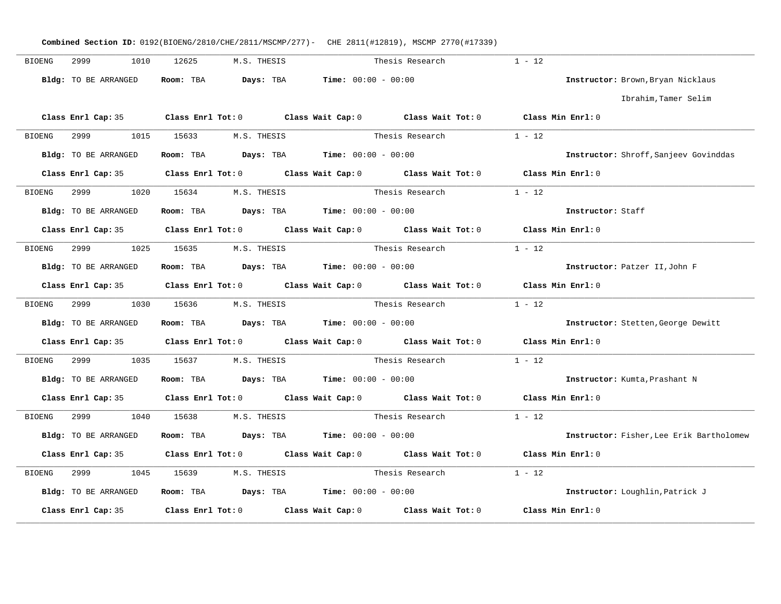|        |                                    |                                                                          |                 | Combined Section ID: 0192(BIOENG/2810/CHE/2811/MSCMP/277)- CHE 2811(#12819), MSCMP 2770(#17339) |                                          |
|--------|------------------------------------|--------------------------------------------------------------------------|-----------------|-------------------------------------------------------------------------------------------------|------------------------------------------|
| BIOENG | 2999 — 200<br>1010                 | 12625 M.S. THESIS                                                        |                 | Thesis Research                                                                                 | $1 - 12$                                 |
|        | Bldg: TO BE ARRANGED               | Room: TBA $Days:$ TBA $Time: 00:00 - 00:00$                              |                 |                                                                                                 | Instructor: Brown, Bryan Nicklaus        |
|        |                                    |                                                                          |                 |                                                                                                 | Ibrahim, Tamer Selim                     |
|        |                                    |                                                                          |                 | Class Enrl Cap: 35 Class Enrl Tot: 0 Class Wait Cap: 0 Class Wait Tot: 0 Class Min Enrl: 0      |                                          |
| BIOENG | 2999 120                           | 1015 15633 M.S. THESIS                                                   |                 | Thesis Research $1 - 12$                                                                        |                                          |
|        | Bldg: TO BE ARRANGED               | Room: TBA $\rule{1em}{0.15mm}$ Days: TBA Time: $00:00 - 00:00$           |                 |                                                                                                 | Instructor: Shroff, Sanjeev Govinddas    |
|        |                                    |                                                                          |                 | Class Enrl Cap: 35 Class Enrl Tot: 0 Class Wait Cap: 0 Class Wait Tot: 0 Class Min Enrl: 0      |                                          |
|        | BIOENG 2999 1020 15634 M.S. THESIS |                                                                          |                 | Thesis Research                                                                                 | $1 - 12$                                 |
|        | Bldg: TO BE ARRANGED               | Room: TBA $Days: TBA$ Time: $00:00 - 00:00$                              |                 |                                                                                                 | Instructor: Staff                        |
|        |                                    | Class Enrl Cap: 35 Class Enrl Tot: 0 Class Wait Cap: 0 Class Wait Tot: 0 |                 |                                                                                                 | Class Min Enrl: 0                        |
| BIOENG | 2999<br>1025                       | 15635 M.S. THESIS                                                        | Thesis Research |                                                                                                 | $1 - 12$                                 |
|        | Bldg: TO BE ARRANGED               | Room: TBA $Days: TBA$ Time: $00:00 - 00:00$                              |                 |                                                                                                 | Instructor: Patzer II, John F            |
|        |                                    |                                                                          |                 | Class Enrl Cap: 35 Class Enrl Tot: 0 Class Wait Cap: 0 Class Wait Tot: 0                        | Class Min Enrl: 0                        |
|        |                                    | BIOENG 2999 1030 15636 M.S. THESIS                                       |                 | Thesis Research $1 - 12$                                                                        |                                          |
|        | Bldg: TO BE ARRANGED               | Room: TBA $\rule{1em}{0.15mm}$ Days: TBA Time: $00:00 - 00:00$           |                 |                                                                                                 | Instructor: Stetten, George Dewitt       |
|        |                                    |                                                                          |                 | Class Enrl Cap: 35 Class Enrl Tot: 0 Class Wait Cap: 0 Class Wait Tot: 0 Class Min Enrl: 0      |                                          |
| BIOENG | 2999 1035 15637 M.S. THESIS        |                                                                          | Thesis Research |                                                                                                 | $1 - 12$                                 |
|        | Bldg: TO BE ARRANGED               | <b>Room:</b> TBA $Days: TBA$ <b>Time:</b> $00:00 - 00:00$                |                 |                                                                                                 | Instructor: Kumta, Prashant N            |
|        |                                    | Class Enrl Cap: 35 Class Enrl Tot: 0 Class Wait Cap: 0 Class Wait Tot: 0 |                 |                                                                                                 | Class Min Enrl: 0                        |
| BIOENG | 2999<br>1040                       | 15638 M.S. THESIS                                                        | Thesis Research |                                                                                                 | $1 - 12$                                 |
|        | Bldg: TO BE ARRANGED               | Room: TBA $Days: TBA$ Time: $00:00 - 00:00$                              |                 |                                                                                                 | Instructor: Fisher, Lee Erik Bartholomew |
|        |                                    |                                                                          |                 | Class Enrl Cap: 35 Class Enrl Tot: 0 Class Wait Cap: 0 Class Wait Tot: 0                        | Class Min Enrl: 0                        |
| BIOENG | 2999 1045 15639 M.S. THESIS        |                                                                          |                 | Thesis Research                                                                                 | $1 - 12$                                 |
|        | Bldg: TO BE ARRANGED               | Room: TBA $Days:$ TBA $Time: 00:00 - 00:00$                              |                 |                                                                                                 | Instructor: Loughlin, Patrick J          |
|        | Class Enrl Cap: 35                 |                                                                          |                 | Class Enrl Tot: $0$ Class Wait Cap: $0$ Class Wait Tot: $0$                                     | Class Min Enrl: 0                        |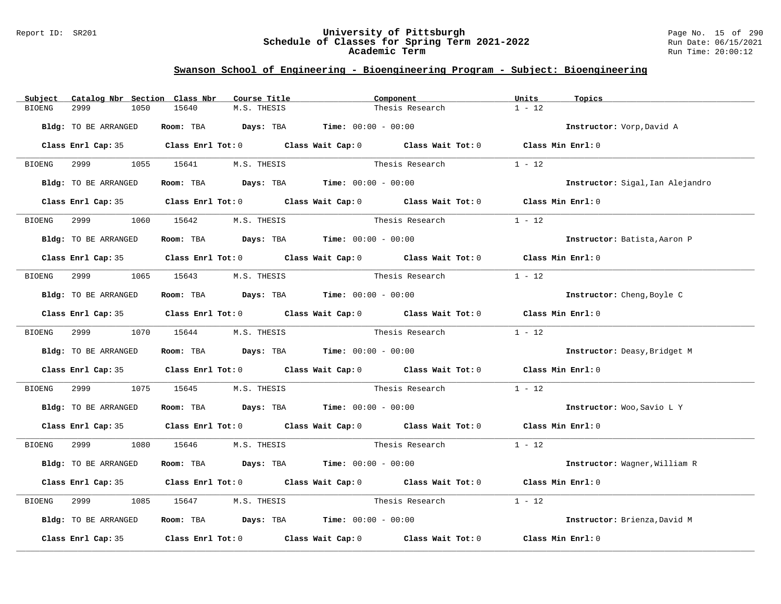#### Report ID: SR201 **University of Pittsburgh** Page No. 15 of 290 **Schedule of Classes for Spring Term 2021-2022** Run Date: 06/15/2021 **Academic Term** Run Time: 20:00:12

| Subject<br>Catalog Nbr Section Class Nbr | Course Title                                                                          | Component                                                                                                                                                                                                                     | Units<br>Topics                  |
|------------------------------------------|---------------------------------------------------------------------------------------|-------------------------------------------------------------------------------------------------------------------------------------------------------------------------------------------------------------------------------|----------------------------------|
| 2999<br>1050<br><b>BIOENG</b>            | 15640<br>M.S. THESIS                                                                  | Thesis Research                                                                                                                                                                                                               | $1 - 12$                         |
| Bldg: TO BE ARRANGED                     | Room: TBA $Days:$ TBA $Time: 00:00 - 00:00$                                           |                                                                                                                                                                                                                               | Instructor: Vorp, David A        |
|                                          |                                                                                       | Class Enrl Cap: 35 Class Enrl Tot: 0 Class Wait Cap: 0 Class Wait Tot: 0 Class Min Enrl: 0                                                                                                                                    |                                  |
|                                          | BIOENG 2999 1055 15641 M.S. THESIS                                                    | Thesis Research                                                                                                                                                                                                               | $1 - 12$                         |
| Bldg: TO BE ARRANGED                     | Room: TBA $Days:$ TBA $Time: 00:00 - 00:00$                                           |                                                                                                                                                                                                                               | Instructor: Sigal, Ian Alejandro |
|                                          |                                                                                       | Class Enrl Cap: 35 Class Enrl Tot: 0 Class Wait Cap: 0 Class Wait Tot: 0 Class Min Enrl: 0                                                                                                                                    |                                  |
|                                          |                                                                                       |                                                                                                                                                                                                                               |                                  |
| 2999 72<br>BIOENG                        | 1060 15642 M.S. THESIS                                                                | Thesis Research                                                                                                                                                                                                               | $1 - 12$                         |
| Bldg: TO BE ARRANGED                     | Room: TBA $Days: TBA$ Time: $00:00 - 00:00$                                           |                                                                                                                                                                                                                               | Instructor: Batista, Aaron P     |
|                                          |                                                                                       | Class Enrl Cap: 35 Class Enrl Tot: 0 Class Wait Cap: 0 Class Wait Tot: 0 Class Min Enrl: 0                                                                                                                                    |                                  |
| BIOENG                                   | 2999 1065 15643 M.S. THESIS                                                           | Thesis Research                                                                                                                                                                                                               | $1 - 12$                         |
| Bldg: TO BE ARRANGED                     | Room: TBA $\rule{1em}{0.15mm}$ Days: TBA $\rule{1.5mm}{0.15mm}$ Time: $00:00 - 00:00$ |                                                                                                                                                                                                                               | Instructor: Cheng, Boyle C       |
|                                          |                                                                                       | Class Enrl Cap: 35 Class Enrl Tot: 0 Class Wait Cap: 0 Class Wait Tot: 0 Class Min Enrl: 0                                                                                                                                    |                                  |
|                                          | BIOENG 2999 1070 15644 M.S. THESIS                                                    | Thesis Research                                                                                                                                                                                                               | $1 - 12$                         |
| Bldg: TO BE ARRANGED                     | Room: TBA $Days:$ TBA Time: $00:00 - 00:00$                                           |                                                                                                                                                                                                                               | Instructor: Deasy, Bridget M     |
|                                          |                                                                                       | Class Enrl Cap: 35 Class Enrl Tot: 0 Class Wait Cap: 0 Class Wait Tot: 0 Class Min Enrl: 0                                                                                                                                    |                                  |
| 2999 720<br>BIOENG                       |                                                                                       | 1075 15645 M.S. THESIS Thesis Research                                                                                                                                                                                        | $1 - 12$                         |
|                                          | Bldg: TO BE ARRANGED Room: TBA Days: TBA Time: 00:00 - 00:00                          |                                                                                                                                                                                                                               | Instructor: Woo, Savio L Y       |
|                                          |                                                                                       | Class Enrl Cap: 35 Class Enrl Tot: 0 Class Wait Cap: 0 Class Wait Tot: 0 Class Min Enrl: 0                                                                                                                                    |                                  |
|                                          | BIOENG 2999 1080 15646 M.S. THESIS                                                    | Thesis Research 1 - 12                                                                                                                                                                                                        |                                  |
| Bldg: TO BE ARRANGED                     | Room: TBA $Days:$ TBA $Time:$ $00:00 - 00:00$                                         |                                                                                                                                                                                                                               | Instructor: Wagner, William R    |
|                                          |                                                                                       | Class Enrl Cap: 35 Class Enrl Tot: 0 Class Wait Cap: 0 Class Wait Tot: 0 Class Min Enrl: 0                                                                                                                                    |                                  |
| 2999<br>BIOENG                           | 1085 15647 M.S. THESIS                                                                | Thesis Research                                                                                                                                                                                                               | $1 - 12$                         |
| Bldg: TO BE ARRANGED                     | Room: TBA $\rule{1em}{0.15mm}$ Days: TBA Time: $00:00 - 00:00$                        |                                                                                                                                                                                                                               | Instructor: Brienza, David M     |
|                                          |                                                                                       | Class Enrl Cap: 35 $\,$ Class Enrl Tot: 0 $\,$ Class Wait Cap: 0 $\,$ Class Wait Tot: 0 $\,$ Class Enrl Tot: 0 $\,$ Class Enrl Tot: 0 $\,$ Class Enrl Tot: 0 $\,$ Class Enrl Tot: 0 $\,$ Class Enrl Tot: 0 $\,$ Class Enrl To | Class Min Enrl: 0                |
|                                          |                                                                                       |                                                                                                                                                                                                                               |                                  |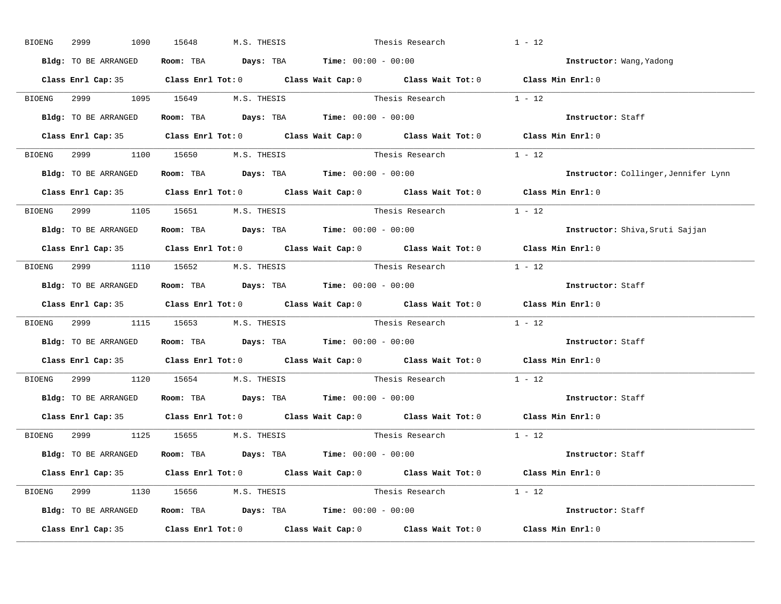| BIOENG | 2999<br>1090         | M.S. THESIS<br>15648               |                                                                                            | Thesis Research          | $1 - 12$                             |
|--------|----------------------|------------------------------------|--------------------------------------------------------------------------------------------|--------------------------|--------------------------------------|
|        | Bldg: TO BE ARRANGED |                                    | Room: TBA $\rule{1em}{0.15mm}$ Days: TBA Time: $00:00 - 00:00$                             |                          | Instructor: Wang, Yadong             |
|        |                      |                                    | Class Enrl Cap: 35 Class Enrl Tot: 0 Class Wait Cap: 0 Class Wait Tot: 0 Class Min Enrl: 0 |                          |                                      |
|        |                      |                                    | BIOENG 2999 1095 15649 M.S. THESIS Thesis Research 1 - 12                                  |                          |                                      |
|        | Bldg: TO BE ARRANGED |                                    | Room: TBA $\rule{1em}{0.15mm}$ Days: TBA Time: $00:00 - 00:00$                             |                          | Instructor: Staff                    |
|        |                      |                                    | Class Enrl Cap: 35 Class Enrl Tot: 0 Class Wait Cap: 0 Class Wait Tot: 0 Class Min Enrl: 0 |                          |                                      |
|        |                      | BIOENG 2999 1100 15650 M.S. THESIS |                                                                                            | Thesis Research 1 - 12   |                                      |
|        |                      |                                    | Bldg: TO BE ARRANGED Room: TBA Days: TBA Time: 00:00 - 00:00                               |                          | Instructor: Collinger, Jennifer Lynn |
|        |                      |                                    | Class Enrl Cap: 35 Class Enrl Tot: 0 Class Wait Cap: 0 Class Wait Tot: 0 Class Min Enrl: 0 |                          |                                      |
|        |                      | BIOENG 2999 1105 15651 M.S. THESIS |                                                                                            | Thesis Research 1 - 12   |                                      |
|        | Bldg: TO BE ARRANGED |                                    | Room: TBA $Days:$ TBA Time: $00:00 - 00:00$                                                |                          | Instructor: Shiva, Sruti Sajjan      |
|        |                      |                                    | Class Enrl Cap: 35 Class Enrl Tot: 0 Class Wait Cap: 0 Class Wait Tot: 0 Class Min Enrl: 0 |                          |                                      |
|        |                      | BIOENG 2999 1110 15652 M.S. THESIS |                                                                                            | Thesis Research 1 - 12   |                                      |
|        |                      |                                    | Bldg: TO BE ARRANGED Room: TBA Days: TBA Time: 00:00 - 00:00                               |                          | Instructor: Staff                    |
|        |                      |                                    | Class Enrl Cap: 35 Class Enrl Tot: 0 Class Wait Cap: 0 Class Wait Tot: 0 Class Min Enrl: 0 |                          |                                      |
|        |                      |                                    | BIOENG 2999 1115 15653 M.S. THESIS Thesis Research 1 - 12                                  |                          |                                      |
|        |                      |                                    | Bldg: TO BE ARRANGED Room: TBA Days: TBA Time: 00:00 - 00:00                               |                          | Instructor: Staff                    |
|        |                      |                                    | Class Enrl Cap: 35 Class Enrl Tot: 0 Class Wait Cap: 0 Class Wait Tot: 0 Class Min Enrl: 0 |                          |                                      |
|        |                      | BIOENG 2999 1120 15654 M.S. THESIS |                                                                                            | Thesis Research          | $1 - 12$                             |
|        |                      |                                    | Bldg: TO BE ARRANGED Room: TBA Days: TBA Time: 00:00 - 00:00                               |                          | Instructor: Staff                    |
|        |                      |                                    | Class Enrl Cap: 35 Class Enrl Tot: 0 Class Wait Cap: 0 Class Wait Tot: 0 Class Min Enrl: 0 |                          |                                      |
|        |                      | BIOENG 2999 1125 15655 M.S. THESIS |                                                                                            | Thesis Research 1 - 12   |                                      |
|        |                      |                                    | Bldg: TO BE ARRANGED ROOM: TBA Days: TBA Time: 00:00 - 00:00                               |                          | Instructor: Staff                    |
|        |                      |                                    | Class Enrl Cap: 35 Class Enrl Tot: 0 Class Wait Cap: 0 Class Wait Tot: 0 Class Min Enrl: 0 |                          |                                      |
|        |                      | BIOENG 2999 1130 15656 M.S. THESIS |                                                                                            | Thesis Research $1 - 12$ |                                      |
|        |                      |                                    |                                                                                            |                          |                                      |
|        |                      |                                    | Bldg: TO BE ARRANGED ROOM: TBA Days: TBA Time: 00:00 - 00:00                               |                          | Instructor: Staff                    |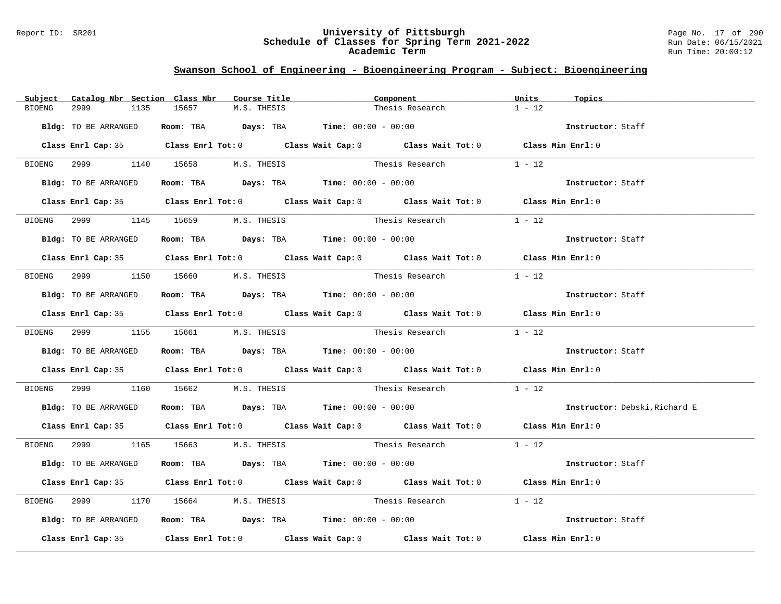#### Report ID: SR201 **University of Pittsburgh** Page No. 17 of 290 **Schedule of Classes for Spring Term 2021-2022** Run Date: 06/15/2021 **Academic Term** Run Time: 20:00:12

| Subject       | Catalog Nbr Section Class Nbr |                                                                | Course Title | Component       |                                                                                            | Units    | Topics                        |
|---------------|-------------------------------|----------------------------------------------------------------|--------------|-----------------|--------------------------------------------------------------------------------------------|----------|-------------------------------|
| <b>BIOENG</b> | 1135<br>2999                  | 15657                                                          | M.S. THESIS  |                 | Thesis Research                                                                            | $1 - 12$ |                               |
|               | Bldg: TO BE ARRANGED          | Room: TBA $Days:$ TBA $Time: 00:00 - 00:00$                    |              |                 |                                                                                            |          | Instructor: Staff             |
|               |                               |                                                                |              |                 | Class Enrl Cap: 35 Class Enrl Tot: 0 Class Wait Cap: 0 Class Wait Tot: 0 Class Min Enrl: 0 |          |                               |
|               |                               | BIOENG 2999 1140 15658 M.S. THESIS                             |              |                 | Thesis Research $1 - 12$                                                                   |          |                               |
|               | Bldg: TO BE ARRANGED          | Room: TBA $Days:$ TBA $Times: 00:00 - 00:00$                   |              |                 |                                                                                            |          | Instructor: Staff             |
|               |                               |                                                                |              |                 | Class Enrl Cap: 35 Class Enrl Tot: 0 Class Wait Cap: 0 Class Wait Tot: 0 Class Min Enrl: 0 |          |                               |
|               |                               | BIOENG 2999 1145 15659 M.S. THESIS                             |              | Thesis Research |                                                                                            | $1 - 12$ |                               |
|               | Bldg: TO BE ARRANGED          | Room: TBA $\rule{1em}{0.15mm}$ Days: TBA Time: $00:00 - 00:00$ |              |                 |                                                                                            |          | Instructor: Staff             |
|               |                               |                                                                |              |                 | Class Enrl Cap: 35 Class Enrl Tot: 0 Class Wait Cap: 0 Class Wait Tot: 0 Class Min Enrl: 0 |          |                               |
|               |                               | BIOENG 2999 1150 15660 M.S. THESIS Thesis Research             |              |                 |                                                                                            | $1 - 12$ |                               |
|               | Bldg: TO BE ARRANGED          | Room: TBA $Days:$ TBA Time: $00:00 - 00:00$                    |              |                 |                                                                                            |          | Instructor: Staff             |
|               |                               |                                                                |              |                 | Class Enrl Cap: 35 Class Enrl Tot: 0 Class Wait Cap: 0 Class Wait Tot: 0 Class Min Enrl: 0 |          |                               |
|               |                               | BIOENG 2999 1155 15661 M.S. THESIS                             |              |                 | Thesis Research $1 - 12$                                                                   |          |                               |
|               | Bldg: TO BE ARRANGED          | Room: TBA $Days:$ TBA $Time:$ 00:00 - 00:00                    |              |                 |                                                                                            |          | Instructor: Staff             |
|               |                               |                                                                |              |                 | Class Enrl Cap: 35 Class Enrl Tot: 0 Class Wait Cap: 0 Class Wait Tot: 0 Class Min Enrl: 0 |          |                               |
|               |                               |                                                                |              |                 | BIOENG 2999 1160 15662 M.S. THESIS Thesis Research 1 - 12                                  |          |                               |
|               |                               | Bldg: TO BE ARRANGED ROOM: TBA Days: TBA Time: 00:00 - 00:00   |              |                 |                                                                                            |          | Instructor: Debski, Richard E |
|               |                               |                                                                |              |                 | Class Enrl Cap: 35 Class Enrl Tot: 0 Class Wait Cap: 0 Class Wait Tot: 0 Class Min Enrl: 0 |          |                               |
|               |                               | BIOENG 2999 1165 15663 M.S. THESIS                             |              |                 | Thesis Research 1 - 12                                                                     |          |                               |
|               | Bldg: TO BE ARRANGED          | Room: TBA $Days:$ TBA $Time: 00:00 - 00:00$                    |              |                 |                                                                                            |          | Instructor: Staff             |
|               |                               |                                                                |              |                 | Class Enrl Cap: 35 Class Enrl Tot: 0 Class Wait Cap: 0 Class Wait Tot: 0 Class Min Enrl: 0 |          |                               |
| BIOENG        | 2999 — 100                    |                                                                |              |                 | 1170 15664 M.S. THESIS Thesis Research 1 - 12                                              |          |                               |
|               | Bldg: TO BE ARRANGED          | Room: TBA $Days: TBA$ Time: $00:00 - 00:00$                    |              |                 |                                                                                            |          | Instructor: Staff             |
|               |                               |                                                                |              |                 | Class Enrl Cap: 35 Class Enrl Tot: 0 Class Wait Cap: 0 Class Wait Tot: 0 Class Min Enrl: 0 |          |                               |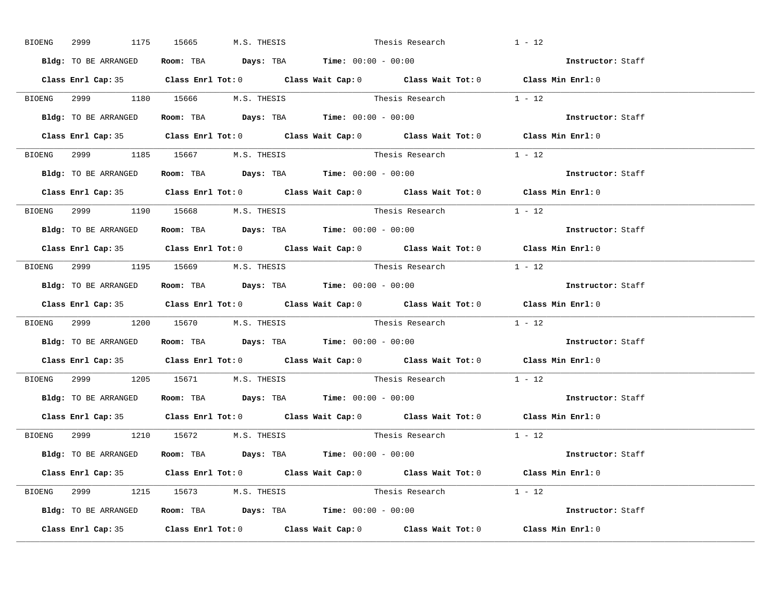|                      | BIOENG 2999 1175 15665 M.S. THESIS |                                                                                            | Thesis Research          | $1 - 12$                 |
|----------------------|------------------------------------|--------------------------------------------------------------------------------------------|--------------------------|--------------------------|
| Bldg: TO BE ARRANGED |                                    | Room: TBA $Days:$ TBA Time: $00:00 - 00:00$                                                |                          | Instructor: Staff        |
|                      |                                    | Class Enrl Cap: 35 Class Enrl Tot: 0 Class Wait Cap: 0 Class Wait Tot: 0 Class Min Enrl: 0 |                          |                          |
|                      |                                    | BIOENG 2999 1180 15666 M.S. THESIS Thesis Research 1 - 12                                  |                          |                          |
|                      |                                    | Bldg: TO BE ARRANGED Room: TBA Days: TBA Time: 00:00 - 00:00                               |                          | Instructor: Staff        |
|                      |                                    | Class Enrl Cap: 35 Class Enrl Tot: 0 Class Wait Cap: 0 Class Wait Tot: 0 Class Min Enrl: 0 |                          |                          |
|                      | BIOENG 2999 1185 15667 M.S. THESIS |                                                                                            | Thesis Research $1 - 12$ |                          |
|                      |                                    | Bldg: TO BE ARRANGED Room: TBA Days: TBA Time: 00:00 - 00:00                               |                          | <b>Instructor:</b> Staff |
|                      |                                    | Class Enrl Cap: 35 Class Enrl Tot: 0 Class Wait Cap: 0 Class Wait Tot: 0 Class Min Enrl: 0 |                          |                          |
|                      | BIOENG 2999 1190 15668 M.S. THESIS |                                                                                            | Thesis Research $1 - 12$ |                          |
| Bldg: TO BE ARRANGED |                                    | Room: TBA Days: TBA Time: $00:00 - 00:00$                                                  |                          | Instructor: Staff        |
|                      |                                    | Class Enrl Cap: 35 Class Enrl Tot: 0 Class Wait Cap: 0 Class Wait Tot: 0 Class Min Enrl: 0 |                          |                          |
|                      | BIOENG 2999 1195 15669 M.S. THESIS |                                                                                            | Thesis Research 1 - 12   |                          |
|                      |                                    | Bldg: TO BE ARRANGED Room: TBA Days: TBA Time: 00:00 - 00:00                               |                          | Instructor: Staff        |
|                      |                                    | Class Enrl Cap: 35 Class Enrl Tot: 0 Class Wait Cap: 0 Class Wait Tot: 0 Class Min Enrl: 0 |                          |                          |
|                      |                                    | BIOENG 2999 1200 15670 M.S. THESIS Thesis Research 1 - 12                                  |                          |                          |
|                      |                                    | Bldg: TO BE ARRANGED ROOM: TBA Days: TBA Time: 00:00 - 00:00                               |                          | Instructor: Staff        |
|                      |                                    | Class Enrl Cap: 35 Class Enrl Tot: 0 Class Wait Cap: 0 Class Wait Tot: 0 Class Min Enrl: 0 |                          |                          |
|                      |                                    | BIOENG 2999 1205 15671 M.S. THESIS Thesis Research                                         |                          | $1 - 12$                 |
|                      |                                    | Bldg: TO BE ARRANGED ROOM: TBA Days: TBA Time: 00:00 - 00:00                               |                          | Instructor: Staff        |
| Class Enrl Cap: 35   |                                    | Class Enrl Tot: $0$ Class Wait Cap: $0$ Class Wait Tot: $0$ Class Min Enrl: $0$            |                          |                          |
|                      | BIOENG 2999 1210 15672 M.S. THESIS |                                                                                            | Thesis Research $1 - 12$ |                          |
|                      |                                    | Bldg: TO BE ARRANGED ROOM: TBA Days: TBA Time: 00:00 - 00:00                               |                          | Instructor: Staff        |
|                      |                                    | Class Enrl Cap: 35 Class Enrl Tot: 0 Class Wait Cap: 0 Class Wait Tot: 0 Class Min Enrl: 0 |                          |                          |
|                      | BIOENG 2999 1215 15673 M.S. THESIS |                                                                                            | Thesis Research $1 - 12$ |                          |
|                      |                                    | Bldg: TO BE ARRANGED Room: TBA Days: TBA Time: 00:00 - 00:00                               |                          | Instructor: Staff        |
|                      |                                    | Class Enrl Cap: 35 Class Enrl Tot: 0 Class Wait Cap: 0 Class Wait Tot: 0 Class Min Enrl: 0 |                          |                          |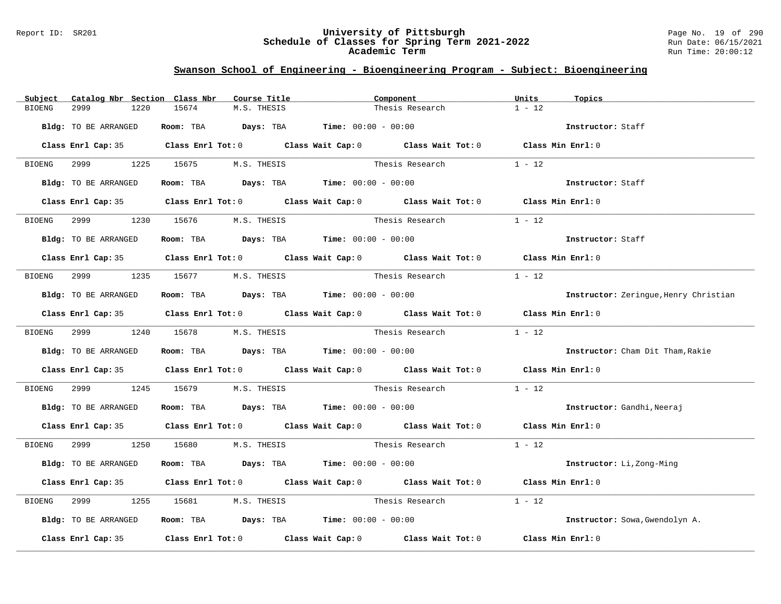#### Report ID: SR201 **University of Pittsburgh** Page No. 19 of 290 **Schedule of Classes for Spring Term 2021-2022** Run Date: 06/15/2021 **Academic Term** Run Time: 20:00:12

| Subject       | Catalog Nbr Section Class Nbr |                                                                                       | Course Title | Component       |                                                                                            | Units    | Topics                                |
|---------------|-------------------------------|---------------------------------------------------------------------------------------|--------------|-----------------|--------------------------------------------------------------------------------------------|----------|---------------------------------------|
| <b>BIOENG</b> | 2999<br>1220                  | 15674                                                                                 | M.S. THESIS  |                 | Thesis Research                                                                            | $1 - 12$ |                                       |
|               | Bldg: TO BE ARRANGED          | Room: TBA $Days:$ TBA $Time: 00:00 - 00:00$                                           |              |                 |                                                                                            |          | Instructor: Staff                     |
|               |                               |                                                                                       |              |                 | Class Enrl Cap: 35 Class Enrl Tot: 0 Class Wait Cap: 0 Class Wait Tot: 0 Class Min Enrl: 0 |          |                                       |
| BIOENG        |                               | 2999 1225 15675 M.S. THESIS                                                           |              |                 | Thesis Research                                                                            | $1 - 12$ |                                       |
|               | Bldg: TO BE ARRANGED          | Room: TBA $Days:$ TBA $Time: 00:00 - 00:00$                                           |              |                 |                                                                                            |          | Instructor: Staff                     |
|               |                               |                                                                                       |              |                 | Class Enrl Cap: 35 Class Enrl Tot: 0 Class Wait Cap: 0 Class Wait Tot: 0 Class Min Enrl: 0 |          |                                       |
| BIOENG        | 2999 — 200                    | 1230 15676 M.S. THESIS                                                                |              | Thesis Research |                                                                                            | $1 - 12$ |                                       |
|               | Bldg: TO BE ARRANGED          | Room: TBA $\rule{1em}{0.15mm}$ Days: TBA $\rule{1.5mm}{0.15mm}$ Time: $00:00 - 00:00$ |              |                 |                                                                                            |          | Instructor: Staff                     |
|               |                               |                                                                                       |              |                 | Class Enrl Cap: 35 Class Enrl Tot: 0 Class Wait Cap: 0 Class Wait Tot: 0 Class Min Enrl: 0 |          |                                       |
| BIOENG        |                               | 2999 1235 15677 M.S. THESIS Thesis Research                                           |              |                 |                                                                                            | $1 - 12$ |                                       |
|               | Bldg: TO BE ARRANGED          | Room: TBA $Days:$ TBA $Time: 00:00 - 00:00$                                           |              |                 |                                                                                            |          | Instructor: Zerinque, Henry Christian |
|               |                               |                                                                                       |              |                 | Class Enrl Cap: 35 Class Enrl Tot: 0 Class Wait Cap: 0 Class Wait Tot: 0 Class Min Enrl: 0 |          |                                       |
|               |                               | BIOENG 2999 1240 15678 M.S. THESIS                                                    |              |                 |                                                                                            |          |                                       |
|               | Bldg: TO BE ARRANGED          | Room: TBA $\rule{1em}{0.15mm}$ Days: TBA $\rule{1.5mm}{0.15mm}$ Time: $00:00 - 00:00$ |              |                 |                                                                                            |          | Instructor: Cham Dit Tham, Rakie      |
|               |                               |                                                                                       |              |                 | Class Enrl Cap: 35 Class Enrl Tot: 0 Class Wait Cap: 0 Class Wait Tot: 0 Class Min Enrl: 0 |          |                                       |
| BIOENG        | 2999 — 200                    |                                                                                       |              |                 | 1245 15679 M.S. THESIS Thesis Research 1 - 12                                              |          |                                       |
|               |                               | Bldg: TO BE ARRANGED ROOM: TBA Days: TBA Time: 00:00 - 00:00                          |              |                 |                                                                                            |          | Instructor: Gandhi, Neeraj            |
|               |                               |                                                                                       |              |                 | Class Enrl Cap: 35 Class Enrl Tot: 0 Class Wait Cap: 0 Class Wait Tot: 0 Class Min Enrl: 0 |          |                                       |
|               |                               | BIOENG 2999 1250 15680 M.S. THESIS                                                    |              |                 | Thesis Research $1 - 12$                                                                   |          |                                       |
|               | Bldg: TO BE ARRANGED          | Room: TBA $Days:$ TBA $Time: 00:00 - 00:00$                                           |              |                 |                                                                                            |          | Instructor: Li, Zong-Ming             |
|               |                               |                                                                                       |              |                 | Class Enrl Cap: 35 Class Enrl Tot: 0 Class Wait Cap: 0 Class Wait Tot: 0 Class Min Enrl: 0 |          |                                       |
| BIOENG        | 2999                          | 1255 15681 M.S. THESIS                                                                |              |                 | Thesis Research                                                                            | $1 - 12$ |                                       |
|               | Bldg: TO BE ARRANGED          | Room: TBA $\rule{1em}{0.15mm}$ Days: TBA Time: $00:00 - 00:00$                        |              |                 |                                                                                            |          | Instructor: Sowa, Gwendolyn A.        |
|               |                               |                                                                                       |              |                 | Class Enrl Cap: 35 Class Enrl Tot: 0 Class Wait Cap: 0 Class Wait Tot: 0 Class Min Enrl: 0 |          |                                       |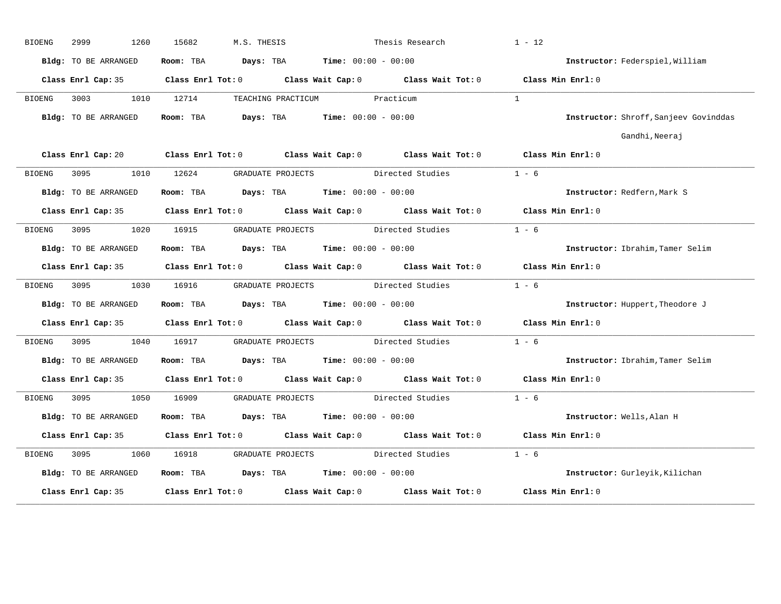| <b>BIOENG</b> | 2999<br>1260         | 15682<br>M.S. THESIS                                                                                                           |                                    | Thesis Research  | $1 - 12$                              |
|---------------|----------------------|--------------------------------------------------------------------------------------------------------------------------------|------------------------------------|------------------|---------------------------------------|
|               | Bldg: TO BE ARRANGED | Room: TBA $Days:$ TBA $Time: 00:00 - 00:00$                                                                                    |                                    |                  | Instructor: Federspiel, William       |
|               |                      | Class Enrl Cap: 35 Class Enrl Tot: 0 Class Wait Cap: 0 Class Wait Tot: 0 Class Min Enrl: 0                                     |                                    |                  |                                       |
| BIOENG        | 3003                 | 1010 12714                                                                                                                     | TEACHING PRACTICUM Practicum       |                  | $\mathbf{1}$                          |
|               | Bldg: TO BE ARRANGED | Room: TBA $Days:$ TBA $Time: 00:00 - 00:00$                                                                                    |                                    |                  | Instructor: Shroff, Sanjeev Govinddas |
|               |                      |                                                                                                                                |                                    |                  | Gandhi, Neeraj                        |
|               |                      | Class Enrl Cap: 20 $\qquad$ Class Enrl Tot: 0 $\qquad$ Class Wait Cap: 0 $\qquad$ Class Wait Tot: 0 $\qquad$ Class Min Enrl: 0 |                                    |                  |                                       |
| BIOENG        |                      | 3095 1010 12624 GRADUATE PROJECTS Directed Studies                                                                             |                                    |                  | $1 - 6$                               |
|               | Bldg: TO BE ARRANGED | Room: TBA $Days:$ TBA $Time: 00:00 - 00:00$                                                                                    |                                    |                  | Instructor: Redfern, Mark S           |
|               |                      | Class Enrl Cap: 35 Class Enrl Tot: 0 Class Wait Cap: 0 Class Wait Tot: 0                                                       |                                    |                  | Class Min Enrl: 0                     |
| BIOENG        | 3095 300<br>1020     | 16915                                                                                                                          | GRADUATE PROJECTS Directed Studies |                  | $1 - 6$                               |
|               | Bldg: TO BE ARRANGED | Room: TBA $Days:$ TBA $Time: 00:00 - 00:00$                                                                                    |                                    |                  | Instructor: Ibrahim, Tamer Selim      |
|               |                      | Class Enrl Cap: 35 Class Enrl Tot: 0 Class Wait Cap: 0 Class Wait Tot: 0 Class Min Enrl: 0                                     |                                    |                  |                                       |
| BIOENG        |                      | 3095 1030 16916 GRADUATE PROJECTS Directed Studies                                                                             |                                    |                  | $1 - 6$                               |
|               | Bldg: TO BE ARRANGED | Room: TBA $Days:$ TBA $Time:$ $00:00 - 00:00$                                                                                  |                                    |                  | Instructor: Huppert, Theodore J       |
|               |                      | Class Enrl Cap: 35 Class Enrl Tot: 0 Class Wait Cap: 0 Class Wait Tot: 0 Class Min Enrl: 0                                     |                                    |                  |                                       |
| BIOENG        | 3095<br>1040         | 16917 GRADUATE PROJECTS                                                                                                        |                                    | Directed Studies | $1 - 6$                               |
|               | Bldg: TO BE ARRANGED | <b>Room:</b> TBA <b>Days:</b> TBA <b>Time:</b> 00:00 - 00:00                                                                   |                                    |                  | Instructor: Ibrahim, Tamer Selim      |
|               |                      | Class Enrl Cap: 35 Class Enrl Tot: 0 Class Wait Cap: 0 Class Wait Tot: 0 Class Min Enrl: 0                                     |                                    |                  |                                       |
| BIOENG        | 3095 300<br>1050     |                                                                                                                                |                                    |                  | $1 - 6$                               |
|               | Bldg: TO BE ARRANGED | Room: TBA $Days:$ TBA $Time: 00:00 - 00:00$                                                                                    |                                    |                  | Instructor: Wells, Alan H             |
|               | Class Enrl Cap: 35   | Class Enrl Tot: $0$ Class Wait Cap: $0$ Class Wait Tot: $0$                                                                    |                                    |                  | Class Min Enrl: 0                     |
| BIOENG        | 3095<br>1060         | 16918                                                                                                                          | GRADUATE PROJECTS                  | Directed Studies | $1 - 6$                               |
|               | Bldg: TO BE ARRANGED | Room: TBA $Days:$ TBA $Time:$ $00:00 - 00:00$                                                                                  |                                    |                  | Instructor: Gurleyik, Kilichan        |
|               | Class Enrl Cap: 35   | Class Enrl Tot: 0 Class Wait Cap: 0 Class Wait Tot: 0                                                                          |                                    |                  | Class Min Enrl: 0                     |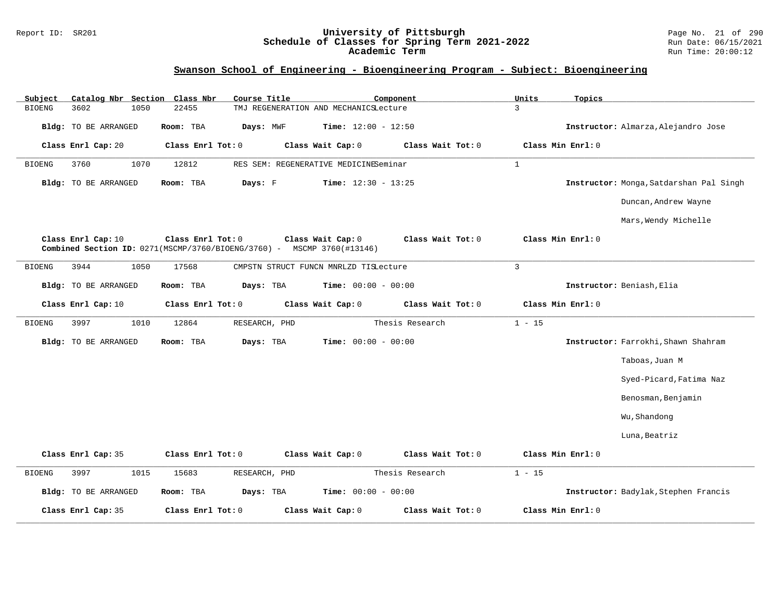#### Report ID: SR201 **University of Pittsburgh** Page No. 21 of 290 **Schedule of Classes for Spring Term 2021-2022** Run Date: 06/15/2021 **Academic Term** Run Time: 20:00:12

| Subject<br>Catalog Nbr Section Class Nbr | Course Title                                                                                | Component                              | Units<br>Topics                         |
|------------------------------------------|---------------------------------------------------------------------------------------------|----------------------------------------|-----------------------------------------|
| <b>BIOENG</b><br>3602<br>1050            | 22455                                                                                       | TMJ REGENERATION AND MECHANICSLecture  | 3                                       |
| <b>Bldg:</b> TO BE ARRANGED              | Room: TBA<br>Days: MWF                                                                      | <b>Time:</b> $12:00 - 12:50$           | Instructor: Almarza, Alejandro Jose     |
| Class Enrl Cap: 20                       | Class Enrl Tot: 0                                                                           | Class Wait Cap: 0<br>Class Wait Tot: 0 | Class Min Enrl: 0                       |
| 3760<br>1070<br>BIOENG                   | 12812                                                                                       | RES SEM: REGENERATIVE MEDICINESeminar  | $\mathbf{1}$                            |
| Bldg: TO BE ARRANGED                     | Days: F<br>Room: TBA                                                                        | <b>Time:</b> $12:30 - 13:25$           | Instructor: Monga, Satdarshan Pal Singh |
|                                          |                                                                                             |                                        | Duncan, Andrew Wayne                    |
|                                          |                                                                                             |                                        | Mars, Wendy Michelle                    |
| Class Enrl Cap: 10                       | Class Enrl Tot: 0<br>Combined Section ID: 0271(MSCMP/3760/BIOENG/3760) - MSCMP 3760(#13146) | Class Wait Cap: 0<br>Class Wait Tot: 0 | Class Min Enrl: 0                       |
| 3944<br>1050<br><b>BIOENG</b>            | 17568                                                                                       | CMPSTN STRUCT FUNCN MNRLZD TISLecture  | $\overline{3}$                          |
| Bldg: TO BE ARRANGED                     | Room: TBA<br>Days: TBA                                                                      | <b>Time:</b> $00:00 - 00:00$           | Instructor: Beniash, Elia               |
| Class Enrl Cap: 10                       | Class Enrl Tot: 0                                                                           | Class Wait Cap: 0<br>Class Wait Tot: 0 | Class Min Enrl: 0                       |
| 3997<br>1010<br><b>BIOENG</b>            | 12864<br>RESEARCH, PHD                                                                      | Thesis Research                        | $1 - 15$                                |
| <b>Bldg:</b> TO BE ARRANGED              | Room: TBA<br>Days: TBA                                                                      | Time: $00:00 - 00:00$                  | Instructor: Farrokhi, Shawn Shahram     |
|                                          |                                                                                             |                                        | Taboas, Juan M                          |
|                                          |                                                                                             |                                        | Syed-Picard, Fatima Naz                 |
|                                          |                                                                                             |                                        | Benosman, Benjamin                      |
|                                          |                                                                                             |                                        | Wu, Shandong                            |
|                                          |                                                                                             |                                        | Luna, Beatriz                           |
| Class Enrl Cap: 35                       | Class Enrl Tot: 0                                                                           | Class Wait Cap: 0<br>Class Wait Tot: 0 | Class Min Enrl: 0                       |
| 3997<br>1015<br><b>BIOENG</b>            | 15683<br>RESEARCH, PHD                                                                      | Thesis Research                        | $1 - 15$                                |
| <b>Bldg:</b> TO BE ARRANGED              | Room: TBA<br>Days: TBA                                                                      | <b>Time:</b> $00:00 - 00:00$           | Instructor: Badylak, Stephen Francis    |
| Class Enrl Cap: 35                       | Class Enrl Tot: 0                                                                           | Class Wait Cap: 0<br>Class Wait Tot: 0 | Class Min Enrl: 0                       |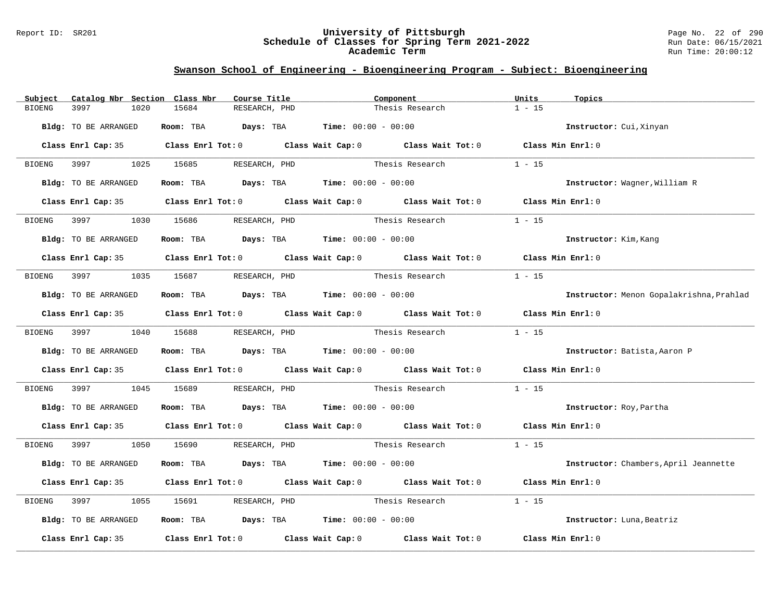#### Report ID: SR201 **University of Pittsburgh** Page No. 22 of 290 **Schedule of Classes for Spring Term 2021-2022** Run Date: 06/15/2021 **Academic Term** Run Time: 20:00:12

| Subject       | Catalog Nbr Section Class Nbr |                                             | Course Title  | Component       |                                                                                            | Units    | Topics                                   |
|---------------|-------------------------------|---------------------------------------------|---------------|-----------------|--------------------------------------------------------------------------------------------|----------|------------------------------------------|
| <b>BIOENG</b> | 3997<br>1020                  | 15684                                       | RESEARCH, PHD |                 | Thesis Research                                                                            | $1 - 15$ |                                          |
|               | Bldg: TO BE ARRANGED          | Room: TBA $Days:$ TBA $Time: 00:00 - 00:00$ |               |                 |                                                                                            |          | Instructor: Cui, Xinyan                  |
|               |                               |                                             |               |                 | Class Enrl Cap: 35 Class Enrl Tot: 0 Class Wait Cap: 0 Class Wait Tot: 0 Class Min Enrl: 0 |          |                                          |
|               |                               | BIOENG 3997 1025 15685 RESEARCH, PHD        |               |                 | Thesis Research                                                                            | $1 - 15$ |                                          |
|               | Bldg: TO BE ARRANGED          | Room: TBA $Days:$ TBA $Time: 00:00 - 00:00$ |               |                 |                                                                                            |          | Instructor: Wagner, William R            |
|               |                               |                                             |               |                 | Class Enrl Cap: 35 Class Enrl Tot: 0 Class Wait Cap: 0 Class Wait Tot: 0 Class Min Enrl: 0 |          |                                          |
| BIOENG        | 3997                          | 1030 15686                                  | RESEARCH, PHD | Thesis Research |                                                                                            | $1 - 15$ |                                          |
|               | Bldg: TO BE ARRANGED          | Room: TBA $Days:$ TBA $Time: 00:00 - 00:00$ |               |                 |                                                                                            |          | Instructor: Kim, Kang                    |
|               |                               |                                             |               |                 | Class Enrl Cap: 35 Class Enrl Tot: 0 Class Wait Cap: 0 Class Wait Tot: 0 Class Min Enrl: 0 |          |                                          |
|               |                               | BIOENG 3997 1035 15687 RESEARCH, PHD        |               | Thesis Research |                                                                                            | $1 - 15$ |                                          |
|               | Bldg: TO BE ARRANGED          | Room: TBA $Days:$ TBA $Time: 00:00 - 00:00$ |               |                 |                                                                                            |          | Instructor: Menon Gopalakrishna, Prahlad |
|               |                               |                                             |               |                 | Class Enrl Cap: 35 Class Enrl Tot: 0 Class Wait Cap: 0 Class Wait Tot: 0 Class Min Enrl: 0 |          |                                          |
|               | BIOENG 3997 1040 15688        |                                             | RESEARCH, PHD |                 | Thesis Research                                                                            | $1 - 15$ |                                          |
|               | Bldg: TO BE ARRANGED          | Room: TBA $Days:$ TBA $Time: 00:00 - 00:00$ |               |                 |                                                                                            |          | Instructor: Batista, Aaron P             |
|               |                               |                                             |               |                 | Class Enrl Cap: 35 Class Enrl Tot: 0 Class Wait Cap: 0 Class Wait Tot: 0 Class Min Enrl: 0 |          |                                          |
| BIOENG        | 3997<br>1045                  | 15689                                       | RESEARCH, PHD |                 | Thesis Research                                                                            | $1 - 15$ |                                          |
|               | Bldg: TO BE ARRANGED          | Room: TBA $Days: TBA$ Time: $00:00 - 00:00$ |               |                 |                                                                                            |          | Instructor: Roy, Partha                  |
|               |                               |                                             |               |                 | Class Enrl Cap: 35 Class Enrl Tot: 0 Class Wait Cap: 0 Class Wait Tot: 0 Class Min Enrl: 0 |          |                                          |
| BIOENG 3997   |                               | 1050 15690 RESEARCH, PHD                    |               |                 | Thesis Research $1 - 15$                                                                   |          |                                          |
|               | Bldg: TO BE ARRANGED          | Room: TBA $Days:$ TBA $Time: 00:00 - 00:00$ |               |                 |                                                                                            |          | Instructor: Chambers, April Jeannette    |
|               |                               |                                             |               |                 | Class Enrl Cap: 35 Class Enrl Tot: 0 Class Wait Cap: 0 Class Wait Tot: 0 Class Min Enrl: 0 |          |                                          |
| BIOENG        | 1055<br>3997                  | 15691                                       | RESEARCH, PHD | Thesis Research |                                                                                            | $1 - 15$ |                                          |
|               | Bldg: TO BE ARRANGED          | Room: TBA $Days: TBA$ Time: $00:00 - 00:00$ |               |                 |                                                                                            |          | Instructor: Luna, Beatriz                |
|               | Class Enrl Cap: 35            |                                             |               |                 | Class Enrl Tot: $0$ Class Wait Cap: $0$ Class Wait Tot: $0$ Class Min Enrl: $0$            |          |                                          |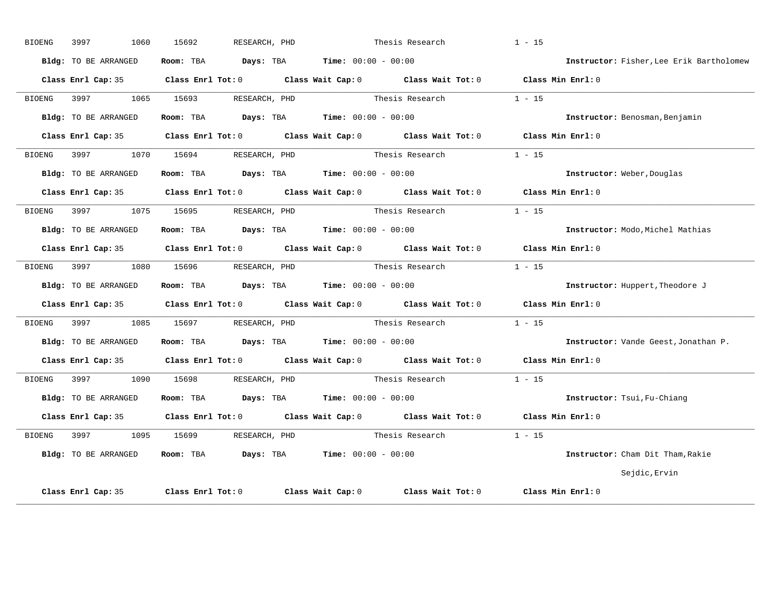| <b>BIOENG</b> | 3997<br>1060                | 15692             | RESEARCH, PHD                                             | Thesis Research                                                                            | $1 - 15$                                 |
|---------------|-----------------------------|-------------------|-----------------------------------------------------------|--------------------------------------------------------------------------------------------|------------------------------------------|
|               | Bldg: TO BE ARRANGED        |                   | Room: TBA $Days:$ TBA $Time: 00:00 - 00:00$               |                                                                                            | Instructor: Fisher, Lee Erik Bartholomew |
|               |                             |                   |                                                           | Class Enrl Cap: 35 Class Enrl Tot: 0 Class Wait Cap: 0 Class Wait Tot: 0 Class Min Enrl: 0 |                                          |
| BIOENG        | 3997 1065 15693             |                   | RESEARCH, PHD                                             | Thesis Research                                                                            | $1 - 15$                                 |
|               | Bldg: TO BE ARRANGED        |                   | Room: TBA $Days:$ TBA $Time: 00:00 - 00:00$               |                                                                                            | Instructor: Benosman, Benjamin           |
|               | Class Enrl Cap: 35          |                   |                                                           | Class Enrl Tot: 0 Class Wait Cap: 0 Class Wait Tot: 0                                      | Class Min Enrl: 0                        |
| BIOENG        | 3997<br>1070                | 15694             | RESEARCH, PHD                                             | Thesis Research                                                                            | $1 - 15$                                 |
|               | <b>Bldg:</b> TO BE ARRANGED |                   | Room: TBA $Days:$ TBA $Time: 00:00 - 00:00$               |                                                                                            | Instructor: Weber, Douglas               |
|               |                             |                   |                                                           | Class Enrl Cap: 35 Class Enrl Tot: 0 Class Wait Cap: 0 Class Wait Tot: 0                   | Class Min Enrl: 0                        |
| BIOENG        | 3997 1075 15695             |                   | RESEARCH, PHD                                             | Thesis Research                                                                            | $1 - 15$                                 |
|               | Bldg: TO BE ARRANGED        |                   | Room: TBA $Days:$ TBA $Time: 00:00 - 00:00$               |                                                                                            | Instructor: Modo, Michel Mathias         |
|               |                             |                   |                                                           | Class Enrl Cap: 35 Class Enrl Tot: 0 Class Wait Cap: 0 Class Wait Tot: 0                   | Class Min Enrl: 0                        |
| BIOENG        | 3997<br>1080                | 15696             | RESEARCH, PHD                                             | Thesis Research                                                                            | $1 - 15$                                 |
|               | Bldg: TO BE ARRANGED        |                   | <b>Room:</b> TBA $Days: TBA$ <b>Time:</b> $00:00 - 00:00$ |                                                                                            | Instructor: Huppert, Theodore J          |
|               | Class Enrl Cap: 35          |                   |                                                           | Class Enrl Tot: 0 Class Wait Cap: 0 Class Wait Tot: 0 Class Min Enrl: 0                    |                                          |
| <b>BIOENG</b> | 3997 1085                   |                   | 15697 RESEARCH, PHD                                       | Thesis Research                                                                            | $1 - 15$                                 |
|               | <b>Bldg:</b> TO BE ARRANGED |                   | Room: TBA $Days:$ TBA $Time:$ $00:00 - 00:00$             |                                                                                            | Instructor: Vande Geest, Jonathan P.     |
|               | Class Enrl Cap: 35          |                   |                                                           | Class Enrl Tot: 0 Class Wait Cap: 0 Class Wait Tot: 0                                      | Class Min Enrl: 0                        |
| <b>BIOENG</b> | 3997<br>1090                | 15698             | RESEARCH, PHD                                             | Thesis Research                                                                            | $1 - 15$                                 |
|               | Bldg: TO BE ARRANGED        |                   | Room: TBA $Days:$ TBA $Time: 00:00 - 00:00$               |                                                                                            | Instructor: Tsui, Fu-Chiang              |
|               | Class Enrl Cap: 35          |                   |                                                           | Class Enrl Tot: 0 Class Wait Cap: 0 Class Wait Tot: 0 Class Min Enrl: 0                    |                                          |
| BIOENG        | 3997 1095                   |                   | 15699 RESEARCH, PHD                                       | Thesis Research                                                                            | $1 - 15$                                 |
|               | Bldg: TO BE ARRANGED        | Room: TBA         | <b>Days:</b> TBA <b>Time:</b> $00:00 - 00:00$             |                                                                                            | Instructor: Cham Dit Tham, Rakie         |
|               |                             |                   |                                                           |                                                                                            | Sejdic, Ervin                            |
|               | Class Enrl Cap: 35          | Class Enrl Tot: 0 |                                                           | Class Wait Cap: $0$ Class Wait Tot: $0$                                                    | Class Min Enrl: 0                        |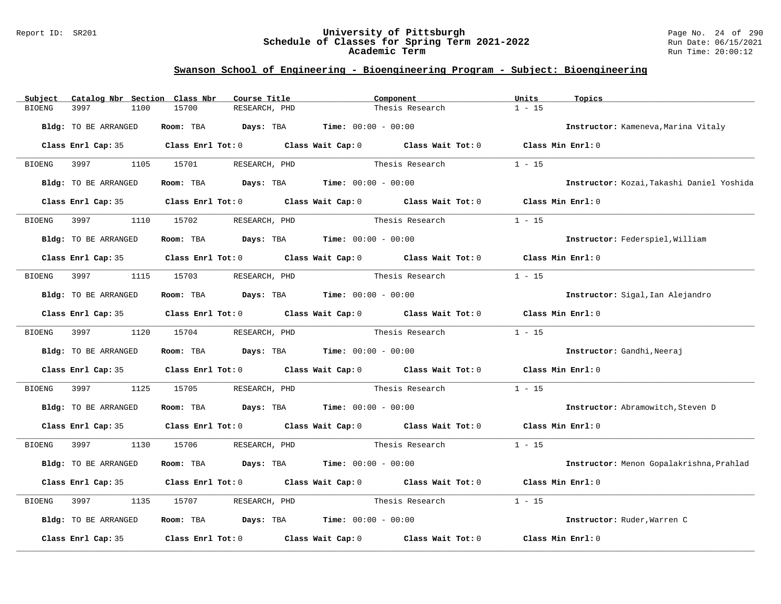#### Report ID: SR201 **University of Pittsburgh** Page No. 24 of 290 **Schedule of Classes for Spring Term 2021-2022** Run Date: 06/15/2021 **Academic Term** Run Time: 20:00:12

| Subject       | Catalog Nbr Section Class Nbr | Course Title                                                                               |                 | Component                     | Units<br>Topics                           |  |
|---------------|-------------------------------|--------------------------------------------------------------------------------------------|-----------------|-------------------------------|-------------------------------------------|--|
| <b>BIOENG</b> | 3997<br>1100                  | 15700<br>RESEARCH, PHD                                                                     |                 | Thesis Research               | $1 - 15$                                  |  |
|               | Bldg: TO BE ARRANGED          | Room: TBA $Days:$ TBA $Time: 00:00 - 00:00$                                                |                 |                               | Instructor: Kameneva, Marina Vitaly       |  |
|               |                               | Class Enrl Cap: 35 Class Enrl Tot: 0 Class Wait Cap: 0 Class Wait Tot: 0 Class Min Enrl: 0 |                 |                               |                                           |  |
|               | BIOENG 3997                   | 1105 15701<br>RESEARCH, PHD                                                                |                 | Thesis Research               | $1 - 15$                                  |  |
|               | Bldg: TO BE ARRANGED          | Room: TBA $Days:$ TBA $Time: 00:00 - 00:00$                                                |                 |                               | Instructor: Kozai, Takashi Daniel Yoshida |  |
|               |                               | Class Enrl Cap: 35 Class Enrl Tot: 0 Class Wait Cap: 0 Class Wait Tot: 0 Class Min Enrl: 0 |                 |                               |                                           |  |
| BIOENG        | 3997<br>1110                  | 15702<br>RESEARCH, PHD                                                                     |                 | Thesis Research               | $1 - 15$                                  |  |
|               | Bldg: TO BE ARRANGED          | Room: TBA $Days:$ TBA $Time: 00:00 - 00:00$                                                |                 |                               | Instructor: Federspiel, William           |  |
|               |                               | Class Enrl Cap: 35 Class Enrl Tot: 0 Class Wait Cap: 0 Class Wait Tot: 0 Class Min Enrl: 0 |                 |                               |                                           |  |
| <b>BIOENG</b> | 3997                          | 1115 15703<br>RESEARCH, PHD                                                                |                 | Thesis Research               | $1 - 15$                                  |  |
|               | Bldg: TO BE ARRANGED          | Room: TBA $Days:$ TBA $Time: 00:00 - 00:00$                                                |                 |                               | Instructor: Sigal, Ian Alejandro          |  |
|               |                               | Class Enrl Cap: 35 Class Enrl Tot: 0 Class Wait Cap: 0 Class Wait Tot: 0 Class Min Enrl: 0 |                 |                               |                                           |  |
|               | BIOENG 3997                   | 1120 15704<br>RESEARCH, PHD                                                                |                 | Thesis Research               | $1 - 15$                                  |  |
|               | Bldg: TO BE ARRANGED          | Room: TBA $\rule{1em}{0.15mm}$ Days: TBA $\qquad$ Time: $00:00 - 00:00$                    |                 |                               | Instructor: Gandhi, Neeraj                |  |
|               |                               | Class Enrl Cap: 35 Class Enrl Tot: 0 Class Wait Cap: 0 Class Wait Tot: 0                   |                 |                               | Class Min Enrl: 0                         |  |
| BIOENG        | 3997<br>1125                  | 15705                                                                                      |                 | RESEARCH, PHD Thesis Research | $1 - 15$                                  |  |
|               | Bldg: TO BE ARRANGED          | Room: TBA $Days:$ TBA $Time: 00:00 - 00:00$                                                |                 |                               | Instructor: Abramowitch, Steven D         |  |
|               |                               | Class Enrl Cap: 35 Class Enrl Tot: 0 Class Wait Cap: 0 Class Wait Tot: 0 Class Min Enrl: 0 |                 |                               |                                           |  |
| <b>BIOENG</b> | 3997 3997                     | 1130 15706<br>RESEARCH, PHD                                                                |                 | Thesis Research               | $1 - 15$                                  |  |
|               | Bldg: TO BE ARRANGED          | Room: TBA $Days:$ TBA $Time: 00:00 - 00:00$                                                |                 |                               | Instructor: Menon Gopalakrishna, Prahlad  |  |
|               |                               | Class Enrl Cap: 35 Class Enrl Tot: 0 Class Wait Cap: 0 Class Wait Tot: 0                   |                 |                               | Class Min Enrl: 0                         |  |
| BIOENG        | 3997<br>1135                  | RESEARCH, PHD<br>15707                                                                     | Thesis Research |                               | $1 - 15$                                  |  |
|               | Bldg: TO BE ARRANGED          | Room: TBA $Days:$ TBA $Time: 00:00 - 00:00$                                                |                 |                               | Instructor: Ruder, Warren C               |  |
|               | Class Enrl Cap: 35            | Class Enrl Tot: $0$ Class Wait Cap: $0$ Class Wait Tot: $0$                                |                 |                               | Class Min Enrl: 0                         |  |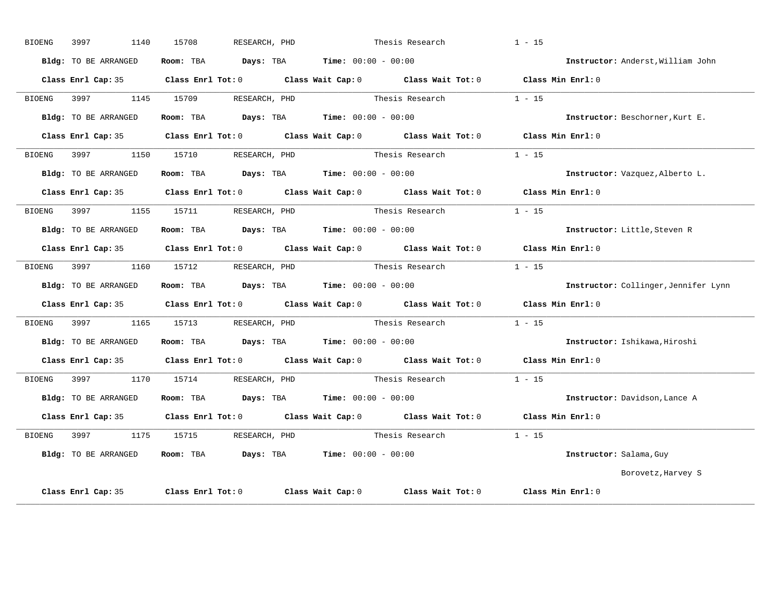| <b>BIOENG</b> | 3997                 | 1140<br>15708 | RESEARCH, PHD                                                                         | Thesis Research                                                                            | $1 - 15$                             |
|---------------|----------------------|---------------|---------------------------------------------------------------------------------------|--------------------------------------------------------------------------------------------|--------------------------------------|
|               | Bldg: TO BE ARRANGED |               | Room: TBA $Days:$ TBA $Time: 00:00 - 00:00$                                           |                                                                                            | Instructor: Anderst, William John    |
|               |                      |               |                                                                                       | Class Enrl Cap: 35 Class Enrl Tot: 0 Class Wait Cap: 0 Class Wait Tot: 0 Class Min Enrl: 0 |                                      |
| BIOENG        | 3997 — 100           | 1145 15709    | RESEARCH, PHD                                                                         | Thesis Research                                                                            | $1 - 15$                             |
|               | Bldg: TO BE ARRANGED |               | Room: TBA $Days: TBA$ Time: $00:00 - 00:00$                                           |                                                                                            | Instructor: Beschorner, Kurt E.      |
|               | Class Enrl Cap: 35   |               |                                                                                       | Class Enrl Tot: 0 Class Wait Cap: 0 Class Wait Tot: 0                                      | Class Min Enrl: 0                    |
| BIOENG        | 3997 39              | 1150<br>15710 | RESEARCH, PHD                                                                         | Thesis Research                                                                            | $1 - 15$                             |
|               | Bldg: TO BE ARRANGED |               | Room: TBA $Days:$ TBA $Time: 00:00 - 00:00$                                           |                                                                                            | Instructor: Vazquez, Alberto L.      |
|               |                      |               |                                                                                       | Class Enrl Cap: 35 Class Enrl Tot: 0 Class Wait Cap: 0 Class Wait Tot: 0 Class Min Enrl: 0 |                                      |
| BIOENG        | 3997 — 100           |               | 1155 15711 RESEARCH, PHD                                                              | Thesis Research                                                                            | $1 - 15$                             |
|               | Bldg: TO BE ARRANGED |               | Room: TBA $Days:$ TBA $Time: 00:00 - 00:00$                                           |                                                                                            | Instructor: Little, Steven R         |
|               | Class Enrl Cap: 35   |               |                                                                                       | Class Enrl Tot: 0 Class Wait Cap: 0 Class Wait Tot: 0                                      | Class Min Enrl: 0                    |
| BIOENG        | 3997                 | 1160<br>15712 | RESEARCH, PHD                                                                         | Thesis Research                                                                            | $1 - 15$                             |
|               | Bldg: TO BE ARRANGED |               | Room: TBA $\rule{1em}{0.15mm}$ Days: TBA $\rule{1.5mm}{0.15mm}$ Time: $00:00 - 00:00$ |                                                                                            | Instructor: Collinger, Jennifer Lynn |
|               |                      |               |                                                                                       | Class Enrl Cap: 35 Class Enrl Tot: 0 Class Wait Cap: 0 Class Wait Tot: 0 Class Min Enrl: 0 |                                      |
| BIOENG        |                      |               | 1165 15713 RESEARCH, PHD                                                              | Thesis Research                                                                            | $1 - 15$                             |
|               | Bldg: TO BE ARRANGED |               | Room: TBA $Days:$ TBA $Time: 00:00 - 00:00$                                           |                                                                                            | Instructor: Ishikawa, Hiroshi        |
|               | Class Enrl Cap: 35   |               |                                                                                       | Class Enrl Tot: 0 Class Wait Cap: 0 Class Wait Tot: 0                                      | Class Min Enrl: 0                    |
| BIOENG        | 3997 399             | 1170<br>15714 | RESEARCH, PHD                                                                         | Thesis Research                                                                            | $1 - 15$                             |
|               | Bldg: TO BE ARRANGED |               | Room: TBA $Days:$ TBA $Time:$ $00:00 - 00:00$                                         |                                                                                            | Instructor: Davidson, Lance A        |
|               |                      |               |                                                                                       | Class Enrl Cap: 35 Class Enrl Tot: 0 Class Wait Cap: 0 Class Wait Tot: 0 Class Min Enrl: 0 |                                      |
| <b>BIOENG</b> | 3997 1175            |               | 15715 RESEARCH, PHD                                                                   | Thesis Research                                                                            | $1 - 15$                             |
|               | Bldg: TO BE ARRANGED | Room: TBA     | $\texttt{Davis:}$ TBA $\texttt{Time:}$ 00:00 - 00:00                                  |                                                                                            | Instructor: Salama, Guy              |
|               |                      |               |                                                                                       |                                                                                            | Borovetz, Harvey S                   |
|               | Class Enrl Cap: 35   |               |                                                                                       | Class Enrl Tot: 0 Class Wait Cap: 0 Class Wait Tot: 0                                      | Class Min Enrl: 0                    |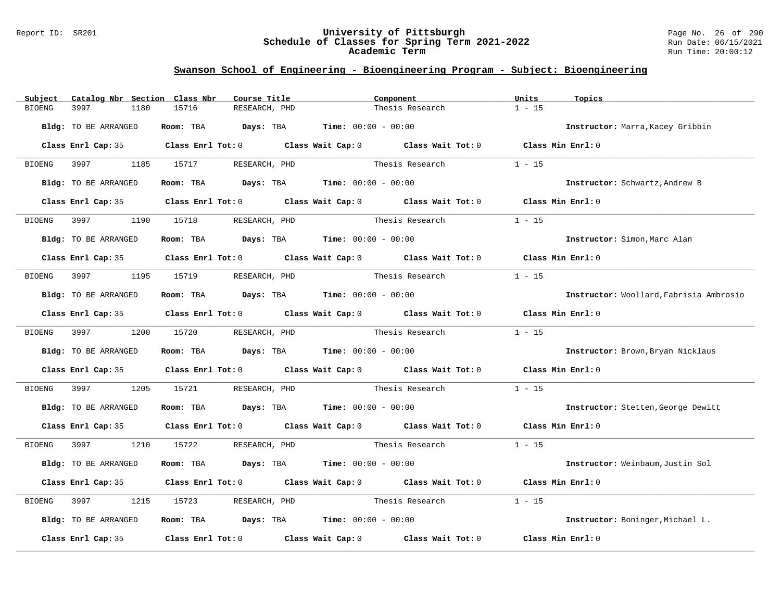#### Report ID: SR201 **University of Pittsburgh** Page No. 26 of 290 **Schedule of Classes for Spring Term 2021-2022** Run Date: 06/15/2021 **Academic Term** Run Time: 20:00:12

| Catalog Nbr Section Class Nbr<br>Subject | Course Title                                                                          | Component                                                                                  | Units<br>Topics                         |
|------------------------------------------|---------------------------------------------------------------------------------------|--------------------------------------------------------------------------------------------|-----------------------------------------|
| 3997<br><b>BIOENG</b><br>1180            | 15716<br>RESEARCH, PHD                                                                | Thesis Research                                                                            | $1 - 15$                                |
| Bldg: TO BE ARRANGED                     | Room: TBA $Days:$ TBA $Time: 00:00 - 00:00$                                           |                                                                                            | Instructor: Marra, Kacey Gribbin        |
|                                          |                                                                                       | Class Enrl Cap: 35 Class Enrl Tot: 0 Class Wait Cap: 0 Class Wait Tot: 0 Class Min Enrl: 0 |                                         |
| 3997 399<br>BIOENG                       | 1185 15717 RESEARCH, PHD                                                              | Thesis Research                                                                            | $1 - 15$                                |
| Bldg: TO BE ARRANGED                     | Room: TBA $\rule{1em}{0.15mm}$ Days: TBA $\rule{1.5mm}{0.15mm}$ Time: $00:00 - 00:00$ |                                                                                            | Instructor: Schwartz, Andrew B          |
|                                          |                                                                                       | Class Enrl Cap: 35 Class Enrl Tot: 0 Class Wait Cap: 0 Class Wait Tot: 0 Class Min Enrl: 0 |                                         |
| 3997<br>BIOENG                           | 1190 15718<br>RESEARCH, PHD                                                           | Thesis Research                                                                            | $1 - 15$                                |
| Bldg: TO BE ARRANGED                     | Room: TBA $\rule{1em}{0.15mm}$ Days: TBA $\qquad$ Time: $00:00 - 00:00$               |                                                                                            | Instructor: Simon, Marc Alan            |
|                                          |                                                                                       | Class Enrl Cap: 35 Class Enrl Tot: 0 Class Wait Cap: 0 Class Wait Tot: 0 Class Min Enrl: 0 |                                         |
| BIOENG                                   | 1195 15719<br>RESEARCH, PHD                                                           | Thesis Research                                                                            | $1 - 15$                                |
| Bldg: TO BE ARRANGED                     | Room: TBA $Days:$ TBA $Time: 00:00 - 00:00$                                           |                                                                                            | Instructor: Woollard, Fabrisia Ambrosio |
|                                          |                                                                                       | Class Enrl Cap: 35 Class Enrl Tot: 0 Class Wait Cap: 0 Class Wait Tot: 0 Class Min Enrl: 0 |                                         |
| BIOENG 3997                              | 1200 15720<br>RESEARCH, PHD                                                           | Thesis Research                                                                            | $1 - 15$                                |
| Bldg: TO BE ARRANGED                     | Room: TBA $Days:$ TBA $Time: 00:00 - 00:00$                                           |                                                                                            | Instructor: Brown, Bryan Nicklaus       |
|                                          |                                                                                       | Class Enrl Cap: 35 Class Enrl Tot: 0 Class Wait Cap: 0 Class Wait Tot: 0                   | Class Min Enrl: 0                       |
| 3997<br>1205<br>BIOENG                   | 15721                                                                                 | RESEARCH, PHD Thesis Research                                                              | $1 - 15$                                |
| Bldg: TO BE ARRANGED                     | Room: TBA $Days:$ TBA $Time: 00:00 - 00:00$                                           |                                                                                            | Instructor: Stetten, George Dewitt      |
|                                          |                                                                                       | Class Enrl Cap: 35 Class Enrl Tot: 0 Class Wait Cap: 0 Class Wait Tot: 0 Class Min Enrl: 0 |                                         |
| BIOENG<br>3997 399                       | 1210 15722<br>RESEARCH, PHD                                                           | Thesis Research $1 - 15$                                                                   |                                         |
| Bldg: TO BE ARRANGED                     | Room: TBA $Days:$ TBA $Time: 00:00 - 00:00$                                           |                                                                                            | Instructor: Weinbaum, Justin Sol        |
|                                          |                                                                                       | Class Enrl Cap: 35 Class Enrl Tot: 0 Class Wait Cap: 0 Class Wait Tot: 0                   | Class Min Enrl: 0                       |
| BIOENG<br>3997<br>1215                   | 15723<br>RESEARCH, PHD                                                                | Thesis Research                                                                            | $1 - 15$                                |
| Bldg: TO BE ARRANGED                     | Room: TBA $Days:$ TBA $Time: 00:00 - 00:00$                                           |                                                                                            | Instructor: Boninger, Michael L.        |
| Class Enrl Cap: 35                       |                                                                                       | Class Enrl Tot: $0$ Class Wait Cap: $0$ Class Wait Tot: $0$                                | Class Min Enrl: 0                       |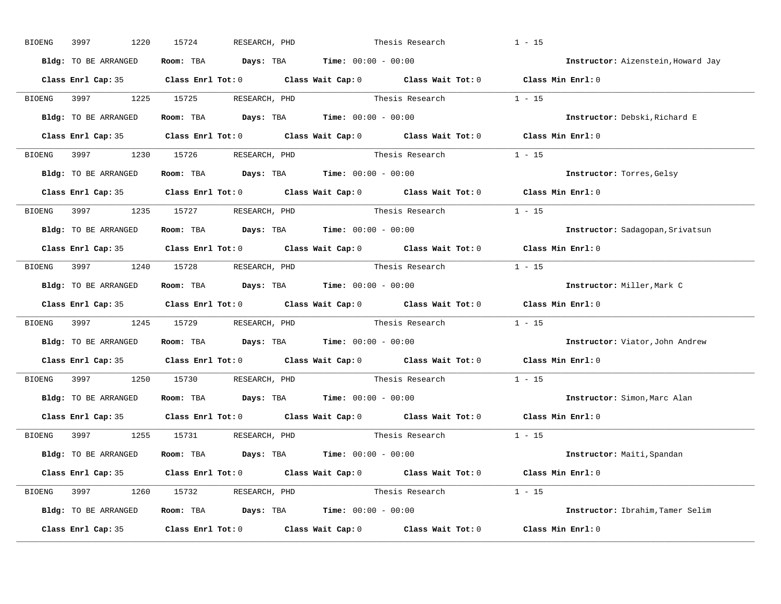| BIOENG | 1220<br>3997         | 15724<br>RESEARCH, PHD                                         | Thesis Research                                                                                     | $1 - 15$                           |
|--------|----------------------|----------------------------------------------------------------|-----------------------------------------------------------------------------------------------------|------------------------------------|
|        | Bldg: TO BE ARRANGED | Room: TBA $Days:$ TBA $Time: 00:00 - 00:00$                    |                                                                                                     | Instructor: Aizenstein, Howard Jay |
|        |                      |                                                                | Class Enrl Cap: 35 Class Enrl Tot: 0 Class Wait Cap: 0 Class Wait Tot: 0 Class Min Enrl: 0          |                                    |
|        |                      | BIOENG 3997 1225 15725 RESEARCH, PHD                           | Thesis Research 1 - 15                                                                              |                                    |
|        | Bldg: TO BE ARRANGED | Room: TBA $Days:$ TBA Time: $00:00 - 00:00$                    |                                                                                                     | Instructor: Debski, Richard E      |
|        |                      |                                                                | Class Enrl Cap: 35 Class Enrl Tot: 0 Class Wait Cap: 0 Class Wait Tot: 0 Class Min Enrl: 0          |                                    |
|        |                      |                                                                | BIOENG 3997 1230 15726 RESEARCH, PHD Thesis Research 1 - 15                                         |                                    |
|        | Bldg: TO BE ARRANGED | Room: TBA $Days:$ TBA $Time: 00:00 - 00:00$                    |                                                                                                     | Instructor: Torres, Gelsy          |
|        |                      |                                                                | Class Enrl Cap: 35 Class Enrl Tot: 0 Class Wait Cap: 0 Class Wait Tot: 0 Class Min Enrl: 0          |                                    |
|        |                      | BIOENG 3997 1235 15727 RESEARCH, PHD                           | Thesis Research 1 - 15                                                                              |                                    |
|        | Bldg: TO BE ARRANGED | Room: TBA $Days:$ TBA $Time: 00:00 - 00:00$                    |                                                                                                     | Instructor: Sadagopan, Srivatsun   |
|        |                      |                                                                | Class Enrl Cap: 35 Class Enrl Tot: 0 Class Wait Cap: 0 Class Wait Tot: 0 Class Min Enrl: 0          |                                    |
|        |                      | BIOENG 3997 1240 15728 RESEARCH, PHD                           | Thesis Research 1 - 15                                                                              |                                    |
|        | Bldg: TO BE ARRANGED | Room: TBA $Days:$ TBA $Time: 00:00 - 00:00$                    |                                                                                                     | Instructor: Miller, Mark C         |
|        |                      |                                                                | Class Enrl Cap: 35 Class Enrl Tot: 0 Class Wait Cap: 0 Class Wait Tot: 0 Class Min Enrl: 0          |                                    |
| BIOENG |                      |                                                                | 3997 1245 15729 RESEARCH, PHD Thesis Research 1 - 15                                                |                                    |
|        | Bldg: TO BE ARRANGED | Room: TBA $Days:$ TBA $Time: 00:00 - 00:00$                    |                                                                                                     | Instructor: Viator, John Andrew    |
|        |                      |                                                                | Class Enrl Cap: 35 $\qquad$ Class Enrl Tot: 0 $\qquad$ Class Wait Cap: 0 $\qquad$ Class Wait Tot: 0 | Class Min Enrl: 0                  |
|        | BIOENG 3997          | 1250 15730 RESEARCH, PHD                                       | Thesis Research                                                                                     | $1 - 15$                           |
|        | Bldg: TO BE ARRANGED | Room: TBA $\rule{1em}{0.15mm}$ Days: TBA Time: $00:00 - 00:00$ |                                                                                                     | Instructor: Simon, Marc Alan       |
|        |                      |                                                                | Class Enrl Cap: 35 Class Enrl Tot: 0 Class Wait Cap: 0 Class Wait Tot: 0                            | Class Min Enrl: 0                  |
|        |                      | BIOENG 3997 1255 15731 RESEARCH, PHD                           | Thesis Research $1 - 15$                                                                            |                                    |
|        | Bldg: TO BE ARRANGED | Room: TBA $Days:$ TBA $Time: 00:00 - 00:00$                    |                                                                                                     | Instructor: Maiti, Spandan         |
|        |                      |                                                                | Class Enrl Cap: 35 Class Enrl Tot: 0 Class Wait Cap: 0 Class Wait Tot: 0 Class Min Enrl: 0          |                                    |
|        |                      | BIOENG 3997 1260 15732 RESEARCH, PHD                           | Thesis Research $1 - 15$                                                                            |                                    |
|        | Bldg: TO BE ARRANGED | Room: TBA $Days:$ TBA $Time: 00:00 - 00:00$                    |                                                                                                     | Instructor: Ibrahim, Tamer Selim   |
|        | Class Enrl Cap: 35   |                                                                | Class Enrl Tot: $0$ Class Wait Cap: $0$ Class Wait Tot: $0$ Class Min Enrl: $0$                     |                                    |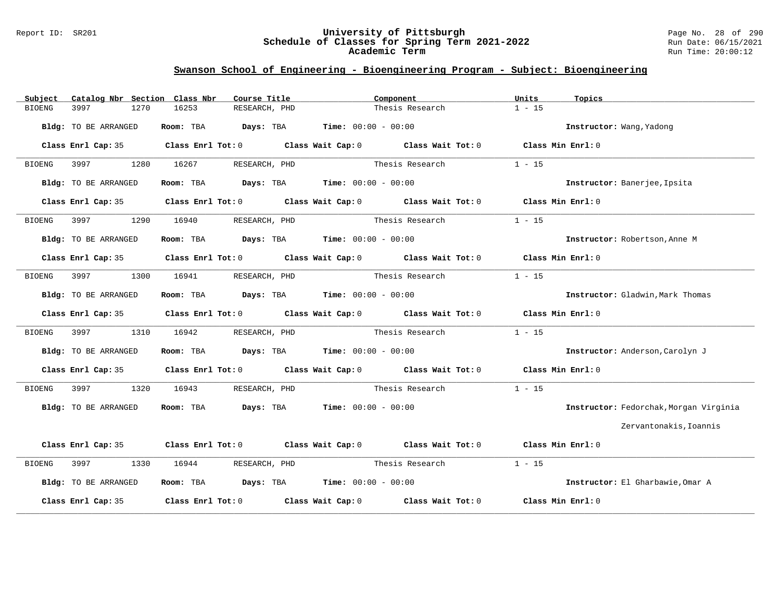#### Report ID: SR201 **University of Pittsburgh** Page No. 28 of 290 **Schedule of Classes for Spring Term 2021-2022** Run Date: 06/15/2021 **Academic Term** Run Time: 20:00:12

| Catalog Nbr Section Class Nbr<br>Subject | Course Title                                                   | Component                                                                                  | Units<br>Topics                        |
|------------------------------------------|----------------------------------------------------------------|--------------------------------------------------------------------------------------------|----------------------------------------|
| 3997<br>1270<br><b>BIOENG</b>            | 16253<br>RESEARCH, PHD                                         | Thesis Research                                                                            | $1 - 15$                               |
| Bldg: TO BE ARRANGED                     | Room: TBA $Days:$ TBA $Time: 00:00 - 00:00$                    |                                                                                            | Instructor: Wang, Yadong               |
| Class Enrl Cap: 35                       |                                                                | Class Enrl Tot: $0$ Class Wait Cap: $0$ Class Wait Tot: $0$ Class Min Enrl: $0$            |                                        |
| 3997<br>1280<br>BIOENG                   | 16267<br>RESEARCH, PHD                                         | Thesis Research                                                                            | $1 - 15$                               |
| Bldg: TO BE ARRANGED                     | Room: TBA $Days:$ TBA $Time: 00:00 - 00:00$                    |                                                                                            | Instructor: Banerjee, Ipsita           |
|                                          |                                                                | Class Enrl Cap: 35 Class Enrl Tot: 0 Class Wait Cap: 0 Class Wait Tot: 0 Class Min Enrl: 0 |                                        |
| 1290<br><b>BIOENG</b><br>3997            | 16940                                                          | RESEARCH, PHD Thesis Research                                                              | $1 - 15$                               |
| Bldg: TO BE ARRANGED                     | Room: TBA $Days:$ TBA $Time: 00:00 - 00:00$                    |                                                                                            | Instructor: Robertson, Anne M          |
|                                          |                                                                | Class Enrl Cap: 35 Class Enrl Tot: 0 Class Wait Cap: 0 Class Wait Tot: 0 Class Min Enrl: 0 |                                        |
| 3997<br>1300<br>BIOENG                   | 16941<br>RESEARCH, PHD                                         | Thesis Research                                                                            | $1 - 15$                               |
| Bldg: TO BE ARRANGED                     | Room: TBA $Days:$ TBA $Time: 00:00 - 00:00$                    |                                                                                            | Instructor: Gladwin, Mark Thomas       |
|                                          |                                                                | Class Enrl Cap: 35 Class Enrl Tot: 0 Class Wait Cap: 0 Class Wait Tot: 0 Class Min Enrl: 0 |                                        |
| 3997<br>1310<br>BIOENG                   | 16942                                                          |                                                                                            | $1 - 15$                               |
| Bldg: TO BE ARRANGED                     | Room: TBA $\rule{1em}{0.15mm}$ Days: TBA Time: $00:00 - 00:00$ |                                                                                            | Instructor: Anderson, Carolyn J        |
|                                          |                                                                | Class Enrl Cap: 35 Class Enrl Tot: 0 Class Wait Cap: 0 Class Wait Tot: 0 Class Min Enrl: 0 |                                        |
| 3997<br>1320<br>BIOENG                   | 16943<br>RESEARCH, PHD                                         | Thesis Research                                                                            | $1 - 15$                               |
| Bldg: TO BE ARRANGED                     | Room: TBA $Days:$ TBA $Time: 00:00 - 00:00$                    |                                                                                            | Instructor: Fedorchak, Morgan Virginia |
|                                          |                                                                |                                                                                            | Zervantonakis, Ioannis                 |
|                                          |                                                                | Class Enrl Cap: 35 Class Enrl Tot: 0 Class Wait Cap: 0 Class Wait Tot: 0 Class Min Enrl: 0 |                                        |
| 3997<br><b>BIOENG</b>                    | 1330 16944 RESEARCH, PHD                                       | Thesis Research                                                                            | $1 - 15$                               |
| Bldg: TO BE ARRANGED                     | Room: TBA $Days:$ TBA $Time: 00:00 - 00:00$                    |                                                                                            | Instructor: El Gharbawie, Omar A       |
| Class Enrl Cap: 35                       |                                                                | Class Enrl Tot: $0$ Class Wait Cap: $0$ Class Wait Tot: $0$                                | Class Min Enrl: 0                      |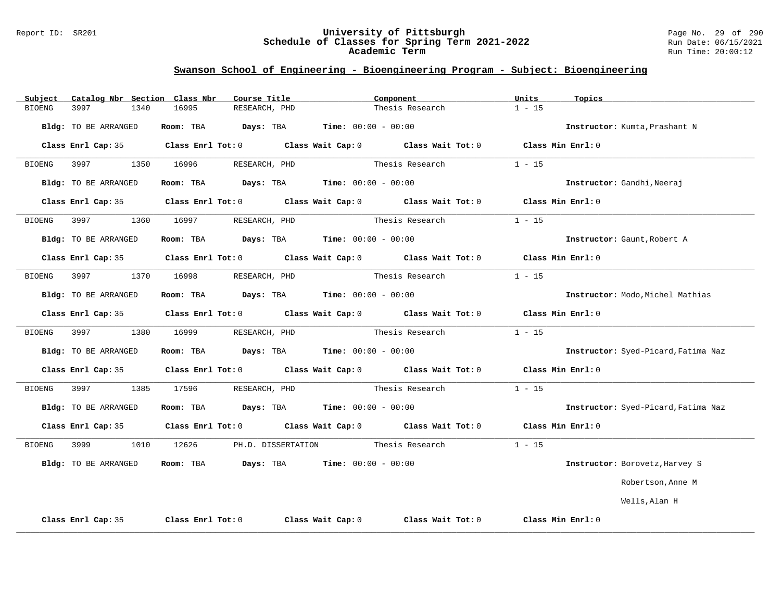#### Report ID: SR201 **University of Pittsburgh** Page No. 29 of 290 **Schedule of Classes for Spring Term 2021-2022** Run Date: 06/15/2021 **Academic Term** Run Time: 20:00:12

| Catalog Nbr Section Class Nbr<br>Subject | Course Title                                  | Component                                                                                           | Units<br>Topics                     |
|------------------------------------------|-----------------------------------------------|-----------------------------------------------------------------------------------------------------|-------------------------------------|
| <b>BIOENG</b><br>3997<br>1340            | 16995<br>RESEARCH, PHD                        | Thesis Research                                                                                     | $1 - 15$                            |
| Bldg: TO BE ARRANGED                     | Room: TBA                                     | $\texttt{DayS:}$ TBA $\texttt{Time:}$ 00:00 - 00:00                                                 | Instructor: Kumta, Prashant N       |
| Class Enrl Cap: 35                       |                                               | Class Enrl Tot: O $\qquad$ Class Wait Cap: O $\qquad$ Class Wait Tot: O $\qquad$ Class Min Enrl: O  |                                     |
| 3997<br>1350<br>BIOENG                   | 16996<br>RESEARCH, PHD                        | Thesis Research                                                                                     | $1 - 15$                            |
| Bldg: TO BE ARRANGED                     | Room: TBA $Days:$ TBA $Time: 00:00 - 00:00$   |                                                                                                     | Instructor: Gandhi, Neeraj          |
|                                          |                                               | Class Enrl Cap: 35 Class Enrl Tot: 0 Class Wait Cap: 0 Class Wait Tot: 0 Class Min Enrl: 0          |                                     |
| BIOENG 3997                              | 1360 16997<br>RESEARCH, PHD                   | Thesis Research                                                                                     | $1 - 15$                            |
| Bldg: TO BE ARRANGED                     | Room: TBA $Days:$ TBA $Time: 00:00 - 00:00$   |                                                                                                     | Instructor: Gaunt, Robert A         |
|                                          |                                               | Class Enrl Cap: 35 Class Enrl Tot: 0 Class Wait Cap: 0 Class Wait Tot: 0 Class Min Enrl: 0          |                                     |
| BIOENG 3997 1370 16998                   | RESEARCH, PHD                                 | Thesis Research                                                                                     | $1 - 15$                            |
| Bldg: TO BE ARRANGED                     | Room: TBA $Days:$ TBA $Time: 00:00 - 00:00$   |                                                                                                     | Instructor: Modo, Michel Mathias    |
| Class Enrl Cap: 35                       |                                               | Class Enrl Tot: 0 Class Wait Cap: 0 Class Wait Tot: 0 Class Min Enrl: 0                             |                                     |
| 3997<br>1380<br>BIOENG                   | 16999<br>RESEARCH, PHD                        | Thesis Research                                                                                     | $1 - 15$                            |
| Bldg: TO BE ARRANGED                     | Room: TBA $Days:$ TBA $Time:$ $00:00 - 00:00$ |                                                                                                     | Instructor: Syed-Picard, Fatima Naz |
|                                          |                                               | Class Enrl Cap: 35 $\qquad$ Class Enrl Tot: 0 $\qquad$ Class Wait Cap: 0 $\qquad$ Class Wait Tot: 0 | Class Min Enrl: 0                   |
| <b>BIOENG</b><br>3997<br>1385            | 17596<br>RESEARCH, PHD                        | Thesis Research                                                                                     | $1 - 15$                            |
| Bldg: TO BE ARRANGED                     | Room: TBA $Days:$ TBA $Time: 00:00 - 00:00$   |                                                                                                     | Instructor: Syed-Picard, Fatima Naz |
|                                          |                                               | Class Enrl Cap: 35 Class Enrl Tot: 0 Class Wait Cap: 0 Class Wait Tot: 0 Class Min Enrl: 0          |                                     |
| <b>BIOENG</b>                            | 1010 12626 PH.D. DISSERTATION Thesis Research |                                                                                                     | $1 - 15$                            |
| Bldg: TO BE ARRANGED                     | Room: TBA $Days:$ TBA $Time: 00:00 - 00:00$   |                                                                                                     | Instructor: Borovetz, Harvey S      |
|                                          |                                               |                                                                                                     | Robertson, Anne M                   |
|                                          |                                               |                                                                                                     | Wells, Alan H                       |
| Class Enrl Cap: 35                       | Class Enrl Tot: 0                             | Class Wait Cap: $0$ Class Wait Tot: $0$                                                             | Class Min Enrl: 0                   |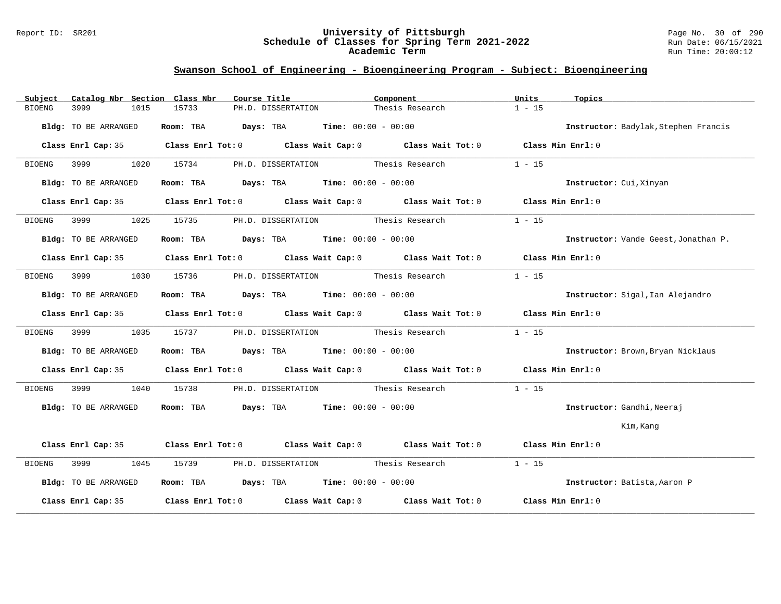#### Report ID: SR201 **University of Pittsburgh** Page No. 30 of 290 **Schedule of Classes for Spring Term 2021-2022** Run Date: 06/15/2021 **Academic Term** Run Time: 20:00:12

| Catalog Nbr Section Class Nbr<br>Subject | Course Title                                                                                                        | Component       | Units<br>Topics                      |
|------------------------------------------|---------------------------------------------------------------------------------------------------------------------|-----------------|--------------------------------------|
| 3999<br>1015<br><b>BIOENG</b>            | 15733<br>PH.D. DISSERTATION                                                                                         | Thesis Research | $1 - 15$                             |
| Bldg: TO BE ARRANGED                     | Room: TBA $\rule{1em}{0.15mm}$ Days: TBA $\rule{1.5mm}{0.15mm}$ Time: $00:00 - 00:00$                               |                 | Instructor: Badylak, Stephen Francis |
| Class Enrl Cap: 35                       | Class Enrl Tot: 0 Class Wait Cap: 0 Class Wait Tot: 0 Class Min Enrl: 0                                             |                 |                                      |
| 1020<br><b>BIOENG</b><br>3999            | PH.D. DISSERTATION Thesis Research<br>15734                                                                         |                 | $1 - 15$                             |
| Bldg: TO BE ARRANGED                     | Room: TBA $\rule{1em}{0.15mm}$ Days: TBA Time: $00:00 - 00:00$                                                      |                 | Instructor: Cui, Xinyan              |
| Class Enrl Cap: 35                       | Class Enrl Tot: $0$ Class Wait Cap: $0$ Class Wait Tot: $0$ Class Min Enrl: $0$                                     |                 |                                      |
| 3999<br>1025<br>BIOENG                   | PH.D. DISSERTATION Thesis Research<br>15735                                                                         |                 | $1 - 15$                             |
| Bldg: TO BE ARRANGED                     | Room: TBA $Days:$ TBA $Time: 00:00 - 00:00$                                                                         |                 | Instructor: Vande Geest, Jonathan P. |
|                                          | Class Enrl Cap: 35 Class Enrl Tot: 0 Class Wait Cap: 0 Class Wait Tot: 0 Class Min Enrl: 0                          |                 |                                      |
| 1030<br><b>BIOENG</b><br>3999            | PH.D. DISSERTATION Thesis Research<br>15736                                                                         |                 | $1 - 15$                             |
| Bldg: TO BE ARRANGED                     | Room: TBA $Days:$ TBA $Time: 00:00 - 00:00$                                                                         |                 | Instructor: Sigal, Ian Alejandro     |
|                                          | Class Enrl Cap: 35 Class Enrl Tot: 0 Class Wait Cap: 0 Class Wait Tot: 0 Class Min Enrl: 0                          |                 |                                      |
| 3999<br>1035<br>BIOENG                   | PH.D. DISSERTATION Thesis Research<br>15737                                                                         |                 | $1 - 15$                             |
| Bldg: TO BE ARRANGED                     | Room: TBA $Days:$ TBA $Time: 00:00 - 00:00$                                                                         |                 | Instructor: Brown, Bryan Nicklaus    |
|                                          | Class Enrl Cap: 35 Class Enrl Tot: 0 Class Wait Cap: 0 Class Wait Tot: 0 Class Min Enrl: 0                          |                 |                                      |
| 1040<br>3999<br>BIOENG                   | PH.D. DISSERTATION Thesis Research<br>15738                                                                         |                 | $1 - 15$                             |
| Bldg: TO BE ARRANGED                     | Room: TBA $Days: TBA$ Time: $00:00 - 00:00$                                                                         |                 | Instructor: Gandhi, Neeraj           |
|                                          |                                                                                                                     |                 | Kim, Kang                            |
|                                          | Class Enrl Cap: 35 Class Enrl Tot: 0 Class Wait Cap: 0 Class Wait Tot: 0 Class Min Enrl: 0                          |                 |                                      |
| 3999 300<br>1045<br>BIOENG               | 15739 PH.D. DISSERTATION Thesis Research                                                                            |                 | $1 - 15$                             |
| Bldg: TO BE ARRANGED                     | Room: TBA $Days:$ TBA $Time: 00:00 - 00:00$                                                                         |                 | Instructor: Batista, Aaron P         |
|                                          | Class Enrl Cap: 35 $\,$ Class Enrl Tot: 0 $\,$ Class Wait Cap: 0 $\,$ Class Wait Tot: 0 $\,$ Class Wait Tot: 0 $\,$ |                 | Class Min Enrl: 0                    |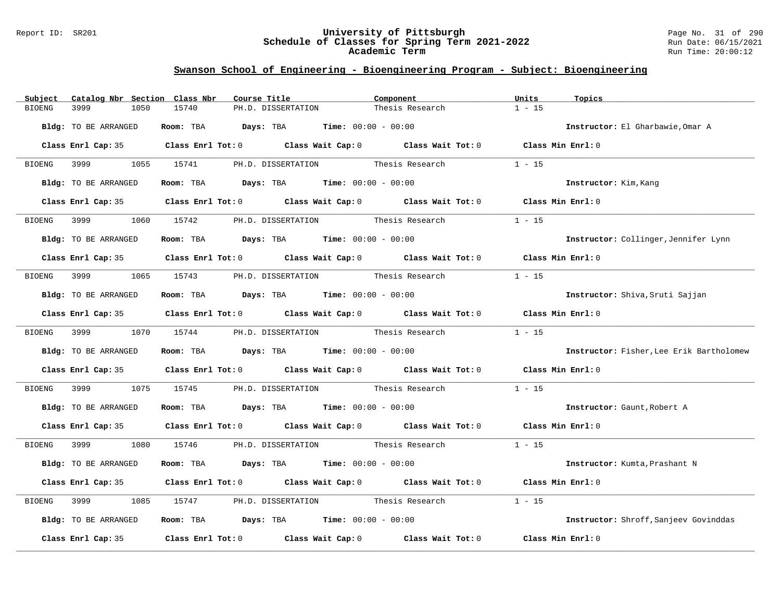#### Report ID: SR201 **University of Pittsburgh** Page No. 31 of 290 **Schedule of Classes for Spring Term 2021-2022** Run Date: 06/15/2021 **Academic Term** Run Time: 20:00:12

| Catalog Nbr Section Class Nbr<br>Subject | Course Title                                                                               | Component                          | Units<br>Topics                          |
|------------------------------------------|--------------------------------------------------------------------------------------------|------------------------------------|------------------------------------------|
| 3999<br><b>BIOENG</b><br>1050            | 15740<br>PH.D. DISSERTATION                                                                | Thesis Research                    | $1 - 15$                                 |
| Bldg: TO BE ARRANGED                     | Room: TBA $Days:$ TBA $Time: 00:00 - 00:00$                                                |                                    | Instructor: El Gharbawie, Omar A         |
|                                          | Class Enrl Cap: 35 Class Enrl Tot: 0 Class Wait Cap: 0 Class Wait Tot: 0 Class Min Enrl: 0 |                                    |                                          |
| BIOENG 3999                              | 1055 15741                                                                                 | PH.D. DISSERTATION Thesis Research | $1 - 15$                                 |
| Bldg: TO BE ARRANGED                     | Room: TBA $Days:$ TBA $Time: 00:00 - 00:00$                                                |                                    | Instructor: Kim, Kang                    |
| Class Enrl Cap: 35                       | Class Enrl Tot: $0$ Class Wait Cap: $0$ Class Wait Tot: $0$                                |                                    | Class Min Enrl: 0                        |
| 3999<br>1060<br>BIOENG                   | 15742                                                                                      | PH.D. DISSERTATION Thesis Research | $1 - 15$                                 |
| Bldg: TO BE ARRANGED                     | Room: TBA $Days: TBA$ Time: $00:00 - 00:00$                                                |                                    | Instructor: Collinger, Jennifer Lynn     |
|                                          | Class Enrl Cap: 35 Class Enrl Tot: 0 Class Wait Cap: 0 Class Wait Tot: 0 Class Min Enrl: 0 |                                    |                                          |
|                                          | BIOENG 3999 1065 15743 PH.D. DISSERTATION Thesis Research                                  |                                    | $1 - 15$                                 |
| Bldg: TO BE ARRANGED                     | Room: TBA $Days: TBA$ Time: $00:00 - 00:00$                                                |                                    | Instructor: Shiva, Sruti Sajjan          |
|                                          | Class Enrl Cap: 35 Class Enrl Tot: 0 Class Wait Cap: 0 Class Wait Tot: 0 Class Min Enrl: 0 |                                    |                                          |
|                                          |                                                                                            |                                    | $1 - 15$                                 |
| Bldg: TO BE ARRANGED                     | Room: TBA $Days:$ TBA $Time: 00:00 - 00:00$                                                |                                    | Instructor: Fisher, Lee Erik Bartholomew |
|                                          | Class Enrl Cap: 35 Class Enrl Tot: 0 Class Wait Cap: 0 Class Wait Tot: 0 Class Min Enrl: 0 |                                    |                                          |
| 3999 7<br>BIOENG                         | 1075 15745 PH.D. DISSERTATION Thesis Research                                              |                                    | $1 - 15$                                 |
| Bldg: TO BE ARRANGED                     | Room: TBA $Days:$ TBA $Time:$ $00:00 - 00:00$                                              |                                    | Instructor: Gaunt, Robert A              |
|                                          | Class Enrl Cap: 35 Class Enrl Tot: 0 Class Wait Cap: 0 Class Wait Tot: 0 Class Min Enrl: 0 |                                    |                                          |
| <b>BIOENG</b>                            | 3999 1080 15746 PH.D. DISSERTATION Thesis Research                                         |                                    | $1 - 15$                                 |
| Bldg: TO BE ARRANGED                     | Room: TBA $Days:$ TBA $Time: 00:00 - 00:00$                                                |                                    | Instructor: Kumta, Prashant N            |
|                                          | Class Enrl Cap: 35 Class Enrl Tot: 0 Class Wait Cap: 0 Class Wait Tot: 0 Class Min Enrl: 0 |                                    |                                          |
| 3999<br>1085<br>BIOENG                   | 15747                                                                                      | PH.D. DISSERTATION Thesis Research | $1 - 15$                                 |
| Bldg: TO BE ARRANGED                     | Room: TBA $Days:$ TBA $Time: 00:00 - 00:00$                                                |                                    | Instructor: Shroff, Sanjeev Govinddas    |
| Class Enrl Cap: 35                       | Class Enrl Tot: $0$ Class Wait Cap: $0$ Class Wait Tot: $0$                                |                                    | Class Min Enrl: 0                        |
|                                          |                                                                                            |                                    |                                          |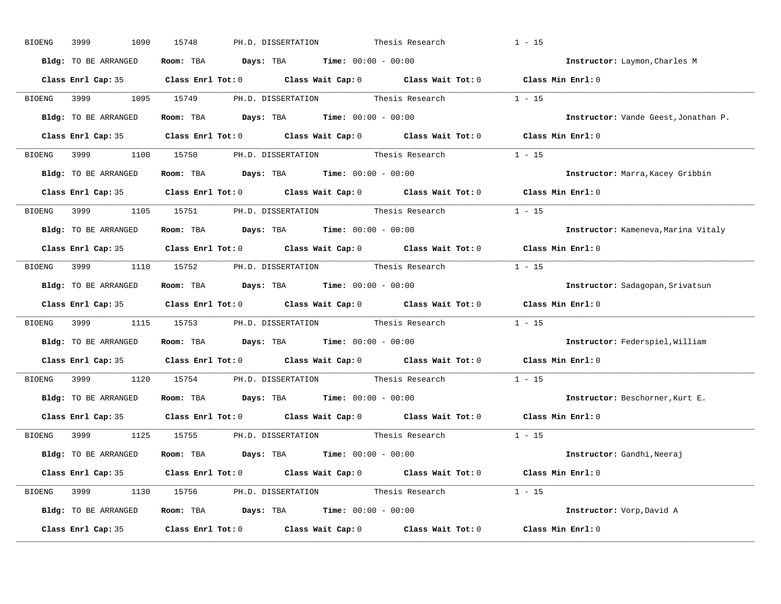| BIOENG | 3999<br>1090         | 15748<br>PH.D. DISSERTATION                                                                | Thesis Research | $1 - 15$                             |
|--------|----------------------|--------------------------------------------------------------------------------------------|-----------------|--------------------------------------|
|        | Bldg: TO BE ARRANGED | Room: TBA $Days:$ TBA $Time: 00:00 - 00:00$                                                |                 | Instructor: Laymon, Charles M        |
|        |                      | Class Enrl Cap: 35 Class Enrl Tot: 0 Class Wait Cap: 0 Class Wait Tot: 0 Class Min Enrl: 0 |                 |                                      |
|        |                      | BIOENG 3999 1095 15749 PH.D. DISSERTATION Thesis Research                                  |                 | $1 - 15$                             |
|        | Bldg: TO BE ARRANGED | Room: TBA $Days:$ TBA Time: $00:00 - 00:00$                                                |                 | Instructor: Vande Geest, Jonathan P. |
|        |                      | Class Enrl Cap: 35 Class Enrl Tot: 0 Class Wait Cap: 0 Class Wait Tot: 0 Class Min Enrl: 0 |                 |                                      |
|        |                      | BIOENG 3999 1100 15750 PH.D. DISSERTATION Thesis Research 1 - 15                           |                 |                                      |
|        |                      | <b>Bldg:</b> TO BE ARRANGED <b>Room:</b> TBA <b>Days:</b> TBA <b>Time:</b> $00:00 - 00:00$ |                 | Instructor: Marra, Kacey Gribbin     |
|        |                      | Class Enrl Cap: 35 Class Enrl Tot: 0 Class Wait Cap: 0 Class Wait Tot: 0 Class Min Enrl: 0 |                 |                                      |
|        |                      | BIOENG 3999 1105 15751 PH.D. DISSERTATION Thesis Research                                  |                 | $1 - 15$                             |
|        | Bldg: TO BE ARRANGED | Room: TBA $Days:$ TBA $Time: 00:00 - 00:00$                                                |                 | Instructor: Kameneva, Marina Vitaly  |
|        |                      | Class Enrl Cap: 35 Class Enrl Tot: 0 Class Wait Cap: 0 Class Wait Tot: 0 Class Min Enrl: 0 |                 |                                      |
|        |                      | BIOENG 3999 1110 15752 PH.D. DISSERTATION Thesis Research 1 - 15                           |                 |                                      |
|        | Bldg: TO BE ARRANGED | Room: TBA $Days: TBA$ Time: $00:00 - 00:00$                                                |                 | Instructor: Sadagopan, Srivatsun     |
|        |                      | Class Enrl Cap: 35 Class Enrl Tot: 0 Class Wait Cap: 0 Class Wait Tot: 0 Class Min Enrl: 0 |                 |                                      |
|        |                      | BIOENG 3999 1115 15753 PH.D. DISSERTATION Thesis Research 1 - 15                           |                 |                                      |
|        | Bldg: TO BE ARRANGED | Room: TBA $Days:$ TBA $Time: 00:00 - 00:00$                                                |                 | Instructor: Federspiel, William      |
|        |                      | Class Enrl Cap: 35 Class Enrl Tot: 0 Class Wait Cap: 0 Class Wait Tot: 0                   |                 | Class Min Enrl: 0                    |
|        |                      | BIOENG 3999 1120 15754 PH.D. DISSERTATION Thesis Research                                  |                 | $1 - 15$                             |
|        |                      | Bldg: TO BE ARRANGED Room: TBA Days: TBA Time: 00:00 - 00:00                               |                 | Instructor: Beschorner, Kurt E.      |
|        |                      | Class Enrl Cap: 35 Class Enrl Tot: 0 Class Wait Cap: 0 Class Wait Tot: 0                   |                 | Class Min Enrl: 0                    |
|        |                      | BIOENG 3999 1125 15755 PH.D. DISSERTATION Thesis Research 1 - 15                           |                 |                                      |
|        | Bldg: TO BE ARRANGED | Room: TBA $\rule{1em}{0.15mm}$ Days: TBA $\rule{1.15mm}]{0.15mm}$ Time: $0.000 - 0.000$    |                 | Instructor: Gandhi, Neeraj           |
|        |                      | Class Enrl Cap: 35 Class Enrl Tot: 0 Class Wait Cap: 0 Class Wait Tot: 0 Class Min Enrl: 0 |                 |                                      |
|        |                      | BIOENG 3999 1130 15756 PH.D. DISSERTATION Thesis Research 1 - 15                           |                 |                                      |
|        |                      | Bldg: TO BE ARRANGED Room: TBA Days: TBA Time: 00:00 - 00:00                               |                 | Instructor: Vorp, David A            |
|        |                      | Class Enrl Cap: 35 Class Enrl Tot: 0 Class Wait Cap: 0 Class Wait Tot: 0 Class Min Enrl: 0 |                 |                                      |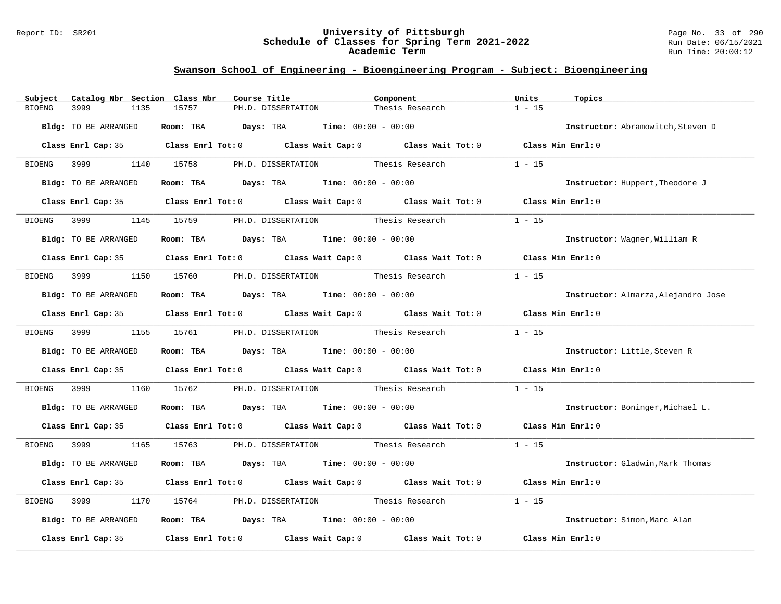#### Report ID: SR201 **University of Pittsburgh** Page No. 33 of 290 **Schedule of Classes for Spring Term 2021-2022** Run Date: 06/15/2021 **Academic Term** Run Time: 20:00:12

| Subject               | Catalog Nbr Section Class Nbr | Course Title                                                   | Component                                                                                                                                                                                                                     | Units<br>Topics   |                                     |
|-----------------------|-------------------------------|----------------------------------------------------------------|-------------------------------------------------------------------------------------------------------------------------------------------------------------------------------------------------------------------------------|-------------------|-------------------------------------|
| 3999<br><b>BIOENG</b> | 1135<br>15757                 | PH.D. DISSERTATION                                             | Thesis Research                                                                                                                                                                                                               | $1 - 15$          |                                     |
| Bldg: TO BE ARRANGED  |                               | Room: TBA $Days:$ TBA $Time: 00:00 - 00:00$                    |                                                                                                                                                                                                                               |                   | Instructor: Abramowitch, Steven D   |
|                       |                               |                                                                | Class Enrl Cap: 35 Class Enrl Tot: 0 Class Wait Cap: 0 Class Wait Tot: 0 Class Min Enrl: 0                                                                                                                                    |                   |                                     |
| 3999 300<br>BIOENG    | 1140 15758                    |                                                                | PH.D. DISSERTATION Thesis Research                                                                                                                                                                                            | $1 - 15$          |                                     |
| Bldg: TO BE ARRANGED  |                               | Room: TBA $Days:$ TBA $Time: 00:00 - 00:00$                    |                                                                                                                                                                                                                               |                   | Instructor: Huppert, Theodore J     |
|                       |                               |                                                                | Class Enrl Cap: 35 Class Enrl Tot: 0 Class Wait Cap: 0 Class Wait Tot: 0 Class Min Enrl: 0                                                                                                                                    |                   |                                     |
| 3999<br>BIOENG        | 1145 15759                    |                                                                | PH.D. DISSERTATION Thesis Research                                                                                                                                                                                            | $1 - 15$          |                                     |
| Bldg: TO BE ARRANGED  |                               | Room: TBA $Days:$ TBA $Time: 00:00 - 00:00$                    |                                                                                                                                                                                                                               |                   | Instructor: Wagner, William R       |
|                       |                               |                                                                | Class Enrl Cap: 35 Class Enrl Tot: 0 Class Wait Cap: 0 Class Wait Tot: 0 Class Min Enrl: 0                                                                                                                                    |                   |                                     |
| 3999 7<br>BIOENG      |                               |                                                                | 1150 15760 PH.D. DISSERTATION Thesis Research                                                                                                                                                                                 | $1 - 15$          |                                     |
| Bldg: TO BE ARRANGED  |                               | Room: TBA $Days:$ TBA $Time: 00:00 - 00:00$                    |                                                                                                                                                                                                                               |                   | Instructor: Almarza, Alejandro Jose |
|                       |                               |                                                                | Class Enrl Cap: 35 Class Enrl Tot: 0 Class Wait Cap: 0 Class Wait Tot: 0 Class Min Enrl: 0                                                                                                                                    |                   |                                     |
| BIOENG 3999           | 1155 15761                    |                                                                | PH.D. DISSERTATION Thesis Research                                                                                                                                                                                            | $1 - 15$          |                                     |
| Bldg: TO BE ARRANGED  |                               | Room: TBA $Days:$ TBA $Time: 00:00 - 00:00$                    |                                                                                                                                                                                                                               |                   | Instructor: Little, Steven R        |
|                       |                               |                                                                | Class Enrl Cap: 35 Class Enrl Tot: 0 Class Wait Cap: 0 Class Wait Tot: 0 Class Min Enrl: 0                                                                                                                                    |                   |                                     |
| 3999<br>BIOENG        | 15762<br>1160                 |                                                                | PH.D. DISSERTATION Thesis Research                                                                                                                                                                                            | $1 - 15$          |                                     |
| Bldg: TO BE ARRANGED  |                               | Room: TBA $Days:$ TBA $Time: 00:00 - 00:00$                    |                                                                                                                                                                                                                               |                   | Instructor: Boninger, Michael L.    |
|                       |                               |                                                                | Class Enrl Cap: 35 Class Enrl Tot: 0 Class Wait Cap: 0 Class Wait Tot: 0 Class Min Enrl: 0                                                                                                                                    |                   |                                     |
| 3999 700<br>BIOENG    | 1165 15763                    |                                                                | PH.D. DISSERTATION Thesis Research                                                                                                                                                                                            | $1 - 15$          |                                     |
| Bldg: TO BE ARRANGED  |                               | Room: TBA $Days:$ TBA $Time: 00:00 - 00:00$                    |                                                                                                                                                                                                                               |                   | Instructor: Gladwin, Mark Thomas    |
|                       |                               |                                                                | Class Enrl Cap: 35 Class Enrl Tot: 0 Class Wait Cap: 0 Class Wait Tot: 0 Class Min Enrl: 0                                                                                                                                    |                   |                                     |
| 3999<br>BIOENG        | 1170<br>15764                 |                                                                | PH.D. DISSERTATION Thesis Research                                                                                                                                                                                            | $1 - 15$          |                                     |
| Bldg: TO BE ARRANGED  |                               | Room: TBA $\rule{1em}{0.15mm}$ Days: TBA Time: $00:00 - 00:00$ |                                                                                                                                                                                                                               |                   | Instructor: Simon, Marc Alan        |
|                       |                               |                                                                | Class Enrl Cap: 35 $\,$ Class Enrl Tot: 0 $\,$ Class Wait Cap: 0 $\,$ Class Wait Tot: 0 $\,$ Class Enrl Tot: 0 $\,$ Class Enrl Tot: 0 $\,$ Class Enrl Tot: 0 $\,$ Class Enrl Tot: 0 $\,$ Class Enrl Tot: 0 $\,$ Class Enrl To | Class Min Enrl: 0 |                                     |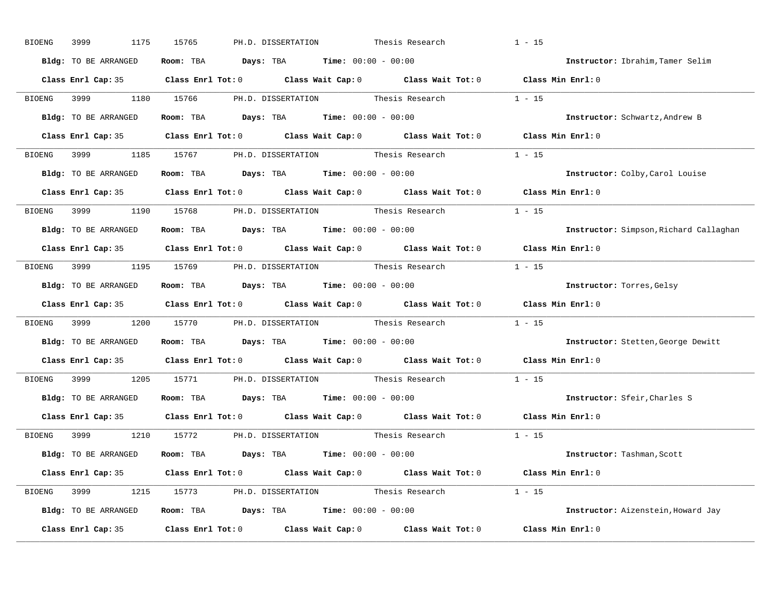| 3999<br>1175<br>BIOENG | 15765<br>PH.D. DISSERTATION<br>Thesis Research                                                      | $1 - 15$                               |
|------------------------|-----------------------------------------------------------------------------------------------------|----------------------------------------|
| Bldg: TO BE ARRANGED   | Room: TBA $Days:$ TBA $Time: 00:00 - 00:00$                                                         | Instructor: Ibrahim, Tamer Selim       |
|                        | Class Enrl Cap: 35 Class Enrl Tot: 0 Class Wait Cap: 0 Class Wait Tot: 0 Class Min Enrl: 0          |                                        |
|                        | BIOENG 3999 1180 15766 PH.D. DISSERTATION Thesis Research 1 - 15                                    |                                        |
| Bldg: TO BE ARRANGED   | Room: TBA $Days:$ TBA Time: $00:00 - 00:00$                                                         | Instructor: Schwartz, Andrew B         |
|                        | Class Enrl Cap: 35 Class Enrl Tot: 0 Class Wait Cap: 0 Class Wait Tot: 0 Class Min Enrl: 0          |                                        |
|                        | BIOENG 3999 1185 15767 PH.D. DISSERTATION Thesis Research 1 - 15                                    |                                        |
| Bldg: TO BE ARRANGED   | Room: TBA $Days:$ TBA Time: $00:00 - 00:00$                                                         | Instructor: Colby, Carol Louise        |
|                        | Class Enrl Cap: 35 Class Enrl Tot: 0 Class Wait Cap: 0 Class Wait Tot: 0 Class Min Enrl: 0          |                                        |
|                        | BIOENG 3999 1190 15768 PH.D. DISSERTATION Thesis Research 1 - 15                                    |                                        |
| Bldg: TO BE ARRANGED   | Room: TBA $\rule{1em}{0.15mm}$ Days: TBA Time: $00:00 - 00:00$                                      | Instructor: Simpson, Richard Callaghan |
|                        | Class Enrl Cap: 35 Class Enrl Tot: 0 Class Wait Cap: 0 Class Wait Tot: 0 Class Min Enrl: 0          |                                        |
|                        | BIOENG 3999 1195 15769 PH.D. DISSERTATION Thesis Research 1 - 15                                    |                                        |
| Bldg: TO BE ARRANGED   | Room: TBA $\rule{1em}{0.15mm}$ Days: TBA $\rule{1.5mm}{0.15mm}$ Time: $00:00 - 00:00$               | Instructor: Torres, Gelsy              |
|                        | Class Enrl Cap: 35 Class Enrl Tot: 0 Class Wait Cap: 0 Class Wait Tot: 0 Class Min Enrl: 0          |                                        |
| BIOENG                 | 3999 1200 15770 PH.D. DISSERTATION Thesis Research 1 - 15                                           |                                        |
| Bldg: TO BE ARRANGED   | Room: TBA $Days:$ TBA $Time: 00:00 - 00:00$                                                         | Instructor: Stetten, George Dewitt     |
|                        | Class Enrl Cap: 35 $\qquad$ Class Enrl Tot: 0 $\qquad$ Class Wait Cap: 0 $\qquad$ Class Wait Tot: 0 | Class Min Enrl: 0                      |
|                        | BIOENG 3999 1205 15771 PH.D. DISSERTATION Thesis Research                                           | $1 - 15$                               |
| Bldg: TO BE ARRANGED   | Room: TBA $\rule{1em}{0.15mm}$ Days: TBA Time: $00:00 - 00:00$                                      | Instructor: Sfeir, Charles S           |
|                        | Class Enrl Cap: 35 Class Enrl Tot: 0 Class Wait Cap: 0 Class Wait Tot: 0 Class Min Enrl: 0          |                                        |
|                        | BIOENG 3999 1210 15772 PH.D. DISSERTATION Thesis Research                                           | $1 - 15$                               |
| Bldg: TO BE ARRANGED   | Room: TBA $\rule{1em}{0.15mm}$ Days: TBA $\rule{1.15mm}]{0.15mm}$ Time: $0.000 - 0.000$             | Instructor: Tashman, Scott             |
|                        | Class Enrl Cap: 35 Class Enrl Tot: 0 Class Wait Cap: 0 Class Wait Tot: 0 Class Min Enrl: 0          |                                        |
|                        | BIOENG 3999 1215 15773 PH.D. DISSERTATION Thesis Research 1 - 15                                    |                                        |
| Bldg: TO BE ARRANGED   | Room: TBA $Days:$ TBA $Time: 00:00 - 00:00$                                                         | Instructor: Aizenstein, Howard Jay     |
|                        | Class Enrl Cap: 35 Class Enrl Tot: 0 Class Wait Cap: 0 Class Wait Tot: 0 Class Min Enrl: 0          |                                        |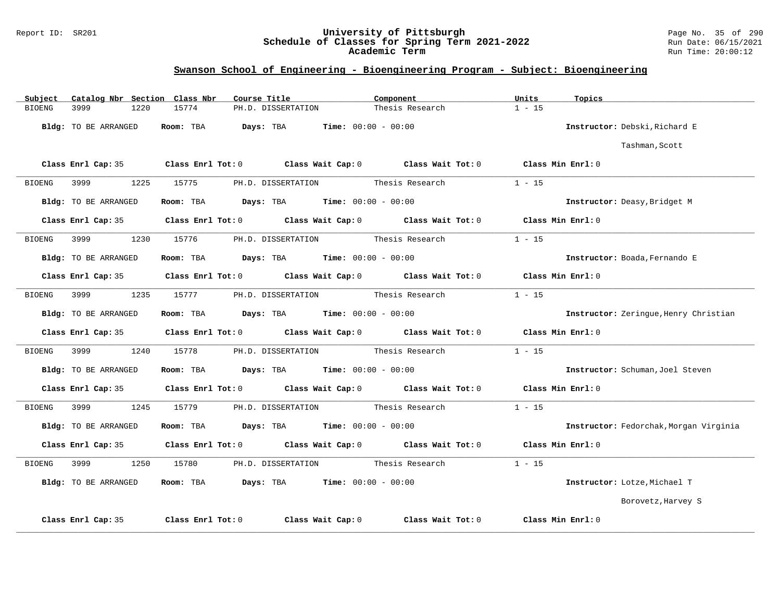### Report ID: SR201 **University of Pittsburgh** Page No. 35 of 290 **Schedule of Classes for Spring Term 2021-2022** Run Date: 06/15/2021 **Academic Term** Run Time: 20:00:12

| Catalog Nbr Section Class Nbr<br>Subject | Course Title                                                                               | Component                                 | Units<br>Topics                        |
|------------------------------------------|--------------------------------------------------------------------------------------------|-------------------------------------------|----------------------------------------|
| 3999<br>1220<br><b>BIOENG</b>            | 15774<br>PH.D. DISSERTATION                                                                | Thesis Research                           | $1 - 15$                               |
| Bldg: TO BE ARRANGED                     | Room: TBA $Days:$ TBA $Times: 00:00 - 00:00$                                               |                                           | Instructor: Debski, Richard E          |
|                                          |                                                                                            |                                           | Tashman, Scott                         |
|                                          | Class Enrl Cap: 35 Class Enrl Tot: 0 Class Wait Cap: 0 Class Wait Tot: 0 Class Min Enrl: 0 |                                           |                                        |
| BIOENG<br>3999 7                         | 1225 15775                                                                                 | PH.D. DISSERTATION Thesis Research 1 - 15 |                                        |
| Bldg: TO BE ARRANGED                     | Room: TBA $Days:$ TBA $Time: 00:00 - 00:00$                                                |                                           | Instructor: Deasy, Bridget M           |
| Class Enrl Cap: 35                       | Class Enrl Tot: 0 Class Wait Cap: 0 Class Wait Tot: 0 Class Min Enrl: 0                    |                                           |                                        |
| 3999<br>1230<br>BIOENG                   | 15776                                                                                      | PH.D. DISSERTATION Thesis Research        | $1 - 15$                               |
| Bldg: TO BE ARRANGED                     | <b>Room:</b> TBA <b>Days:</b> TBA <b>Time:</b> 00:00 - 00:00                               |                                           | Instructor: Boada, Fernando E          |
|                                          | Class Enrl Cap: 35 Class Enrl Tot: 0 Class Wait Cap: 0 Class Wait Tot: 0 Class Min Enrl: 0 |                                           |                                        |
| 1235<br>3999<br>BIOENG                   | 15777                                                                                      | PH.D. DISSERTATION Thesis Research        | $1 - 15$                               |
| Bldg: TO BE ARRANGED                     | Room: TBA $Days: TBA$ Time: $00:00 - 00:00$                                                |                                           | Instructor: Zeringue, Henry Christian  |
|                                          | Class Enrl Cap: 35 Class Enrl Tot: 0 Class Wait Cap: 0 Class Wait Tot: 0 Class Min Enrl: 0 |                                           |                                        |
| BIOENG                                   | 1240 15778 PH.D. DISSERTATION Thesis Research                                              |                                           | $1 - 15$                               |
| Bldg: TO BE ARRANGED                     | Room: TBA $Days:$ TBA $Time: 00:00 - 00:00$                                                |                                           | Instructor: Schuman, Joel Steven       |
|                                          | Class Enrl Cap: 35 Class Enrl Tot: 0 Class Wait Cap: 0 Class Wait Tot: 0 Class Min Enrl: 0 |                                           |                                        |
| BIOENG 3999 1245 15779                   |                                                                                            | PH.D. DISSERTATION Thesis Research        | $1 - 15$                               |
| Bldg: TO BE ARRANGED                     | Room: TBA $Days: TBA$ Time: $00:00 - 00:00$                                                |                                           | Instructor: Fedorchak, Morgan Virginia |
|                                          | Class Enrl Cap: 35 Class Enrl Tot: 0 Class Wait Cap: 0 Class Wait Tot: 0                   |                                           | Class Min $Enr1:0$                     |
| 1250<br>BIOENG                           | PH.D. DISSERTATION Thesis Research<br>15780                                                |                                           | $1 - 15$                               |
| Bldg: TO BE ARRANGED                     | Room: TBA $Days:$ TBA $Time: 00:00 - 00:00$                                                |                                           | Instructor: Lotze, Michael T           |
|                                          |                                                                                            |                                           | Borovetz, Harvey S                     |
| Class Enrl Cap: 35                       | Class Enrl Tot: 0                                                                          | Class Wait Cap: 0 Class Wait Tot: 0       | Class Min Enrl: 0                      |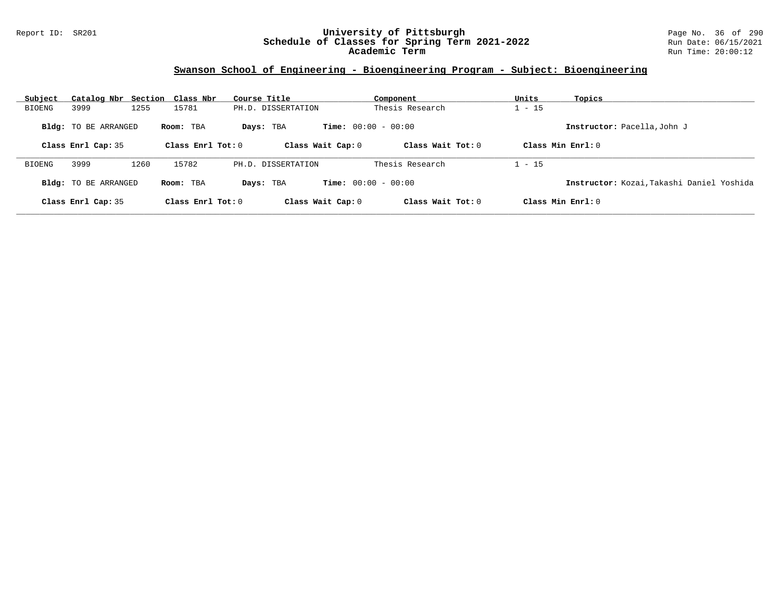### Report ID: SR201 **University of Pittsburgh** Page No. 36 of 290 **Schedule of Classes for Spring Term 2021-2022** Run Date: 06/15/2021 **Academic Term** Run Time: 20:00:12

| Subject                                  | Catalog Nbr Section Class Nbr |                                           |                     | Course Title                |                              | Component           | Units               | Topics                                    |
|------------------------------------------|-------------------------------|-------------------------------------------|---------------------|-----------------------------|------------------------------|---------------------|---------------------|-------------------------------------------|
| BIOENG                                   | 3999                          | 1255                                      | 15781               | PH.D. DISSERTATION          |                              | Thesis Research     | $1 - 15$            |                                           |
| <b>Bldg:</b> TO BE ARRANGED<br>Room: TBA |                               | <b>Time:</b> $00:00 - 00:00$<br>Days: TBA |                     | Instructor: Pacella, John J |                              |                     |                     |                                           |
|                                          | Class Enrl Cap: 35            |                                           | Class Enrl Tot: $0$ |                             | Class Wait Cap: 0            | Class Wait $Tot: 0$ | Class Min $Enrl: 0$ |                                           |
| BIOENG                                   | 3999                          | 1260                                      | 15782               | PH.D. DISSERTATION          |                              | Thesis Research     | $1 - 15$            |                                           |
|                                          | <b>Bldg:</b> TO BE ARRANGED   |                                           | Room: TBA           | Days: TBA                   | <b>Time:</b> $00:00 - 00:00$ |                     |                     | Instructor: Kozai, Takashi Daniel Yoshida |
|                                          | Class Enrl Cap: 35            |                                           | Class Enrl Tot: $0$ |                             | Class Wait Cap: 0            | Class Wait Tot: $0$ | Class Min $Enrl: 0$ |                                           |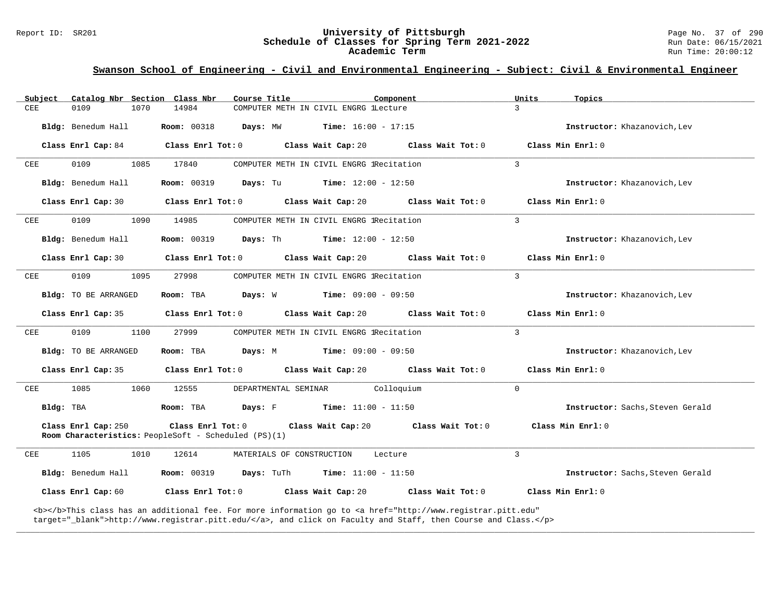#### Report ID: SR201 **University of Pittsburgh** Page No. 37 of 290 **Schedule of Classes for Spring Term 2021-2022** Run Date: 06/15/2021 **Academic Term** Run Time: 20:00:12

# **Swanson School of Engineering - Civil and Environmental Engineering - Subject: Civil & Environmental Engineer**

| Subject      | Catalog Nbr Section Class Nbr | Course Title                                                                     | Component                                                    | Units<br>Topics                  |
|--------------|-------------------------------|----------------------------------------------------------------------------------|--------------------------------------------------------------|----------------------------------|
| <b>CEE</b>   | 0109<br>1070                  | 14984                                                                            | COMPUTER METH IN CIVIL ENGRG lLecture                        | $\mathcal{L}$                    |
|              | Bldg: Benedum Hall            | <b>Room: 00318</b><br>Days: MW                                                   | <b>Time:</b> $16:00 - 17:15$                                 | Instructor: Khazanovich, Lev     |
|              | Class Enrl Cap: 84            | Class Enrl Tot: 0                                                                | Class Wait Cap: 20<br>Class Wait Tot: 0                      | Class Min Enrl: 0                |
| <b>CEE</b>   | 0109<br>1085                  | 17840                                                                            | COMPUTER METH IN CIVIL ENGRG IRecitation                     | $\overline{3}$                   |
|              | Bldg: Benedum Hall            | <b>Room: 00319</b>                                                               | <b>Days:</b> Tu <b>Time:</b> $12:00 - 12:50$                 | Instructor: Khazanovich, Lev     |
|              | Class Enrl Cap: 30            | Class Enrl Tot: 0 Class Wait Cap: 20                                             | Class Wait Tot: 0                                            | Class Min Enrl: 0                |
| $_{\rm CEE}$ | 0109<br>1090                  | 14985                                                                            | COMPUTER METH IN CIVIL ENGRG IRecitation                     | $\overline{3}$                   |
|              | Bldg: Benedum Hall            | <b>Room:</b> 00319 <b>Days:</b> Th <b>Time:</b> $12:00 - 12:50$                  |                                                              | Instructor: Khazanovich, Lev     |
|              | Class Enrl Cap: 30            | Class Enrl Tot: 0 Class Wait Cap: 20                                             | Class Wait Tot: 0                                            | Class Min Enrl: 0                |
| CEE          | 0109<br>1095                  | 27998                                                                            | COMPUTER METH IN CIVIL ENGRG lRecitation                     | $\overline{3}$                   |
|              | Bldg: TO BE ARRANGED          | Room: TBA                                                                        | <b>Days:</b> W <b>Time:</b> $09:00 - 09:50$                  | Instructor: Khazanovich, Lev     |
|              | Class Enrl Cap: 35            | Class Enrl Tot: 0                                                                | Class Wait Cap: 20<br>Class Wait Tot: 0                      | Class Min Enrl: 0                |
| CEE          | 0109<br>1100                  | 27999                                                                            | COMPUTER METH IN CIVIL ENGRG IRecitation                     | 3                                |
|              | Bldg: TO BE ARRANGED          | Room: TBA                                                                        | <b>Days:</b> M <b>Time:</b> $09:00 - 09:50$                  | Instructor: Khazanovich, Lev     |
|              |                               |                                                                                  |                                                              |                                  |
|              | Class Enrl Cap: 35            | Class Enrl Tot: 0                                                                | Class Wait Cap: 20<br>Class Wait Tot: 0                      | Class Min Enrl: 0                |
| CEE          | 1085<br>1060                  | 12555<br>DEPARTMENTAL SEMINAR                                                    | Colloquium                                                   | $\Omega$                         |
|              | Bldg: TBA                     | Room: TBA                                                                        | <b>Days:</b> F <b>Time:</b> $11:00 - 11:50$                  | Instructor: Sachs, Steven Gerald |
|              | Class Enrl Cap: 250           | Class Enrl Tot: 0<br><b>Room Characteristics:</b> PeopleSoft - Scheduled (PS)(1) | Class Wait Cap: 20 Class Wait Tot: 0                         | Class Min Enrl: 0                |
| CEE          | 1105<br>1010                  | 12614<br>MATERIALS OF CONSTRUCTION                                               | Lecture                                                      | $\mathcal{L}$                    |
|              | Bldg: Benedum Hall            | <b>Room:</b> 00319<br><b>Days:</b> TuTh                                          | <b>Time:</b> $11:00 - 11:50$                                 | Instructor: Sachs, Steven Gerald |
|              | Class Enrl Cap: 60            |                                                                                  | Class Enrl Tot: $0$ Class Wait Cap: $20$ Class Wait Tot: $0$ | Class Min $Err1:0$               |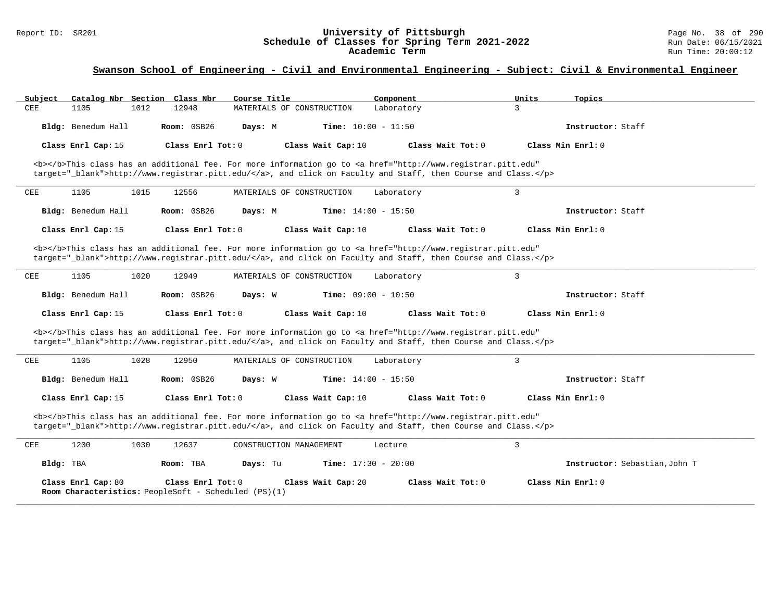### Report ID: SR201 **University of Pittsburgh** Page No. 38 of 290 **Schedule of Classes for Spring Term 2021-2022** Run Date: 06/15/2021 **Academic Term** Run Time: 20:00:12

| Subject<br>Catalog Nbr Section Class Nbr                                   | Course Title                                                                                                                                                                                                                       | Component                   | Units<br>Topics               |
|----------------------------------------------------------------------------|------------------------------------------------------------------------------------------------------------------------------------------------------------------------------------------------------------------------------------|-----------------------------|-------------------------------|
| CEE<br>1105<br>1012<br>12948                                               | MATERIALS OF CONSTRUCTION                                                                                                                                                                                                          | $\mathcal{L}$<br>Laboratory |                               |
| Bldg: Benedum Hall                                                         | Room: 0SB26<br><b>Time:</b> $10:00 - 11:50$<br>Days: M                                                                                                                                                                             |                             | Instructor: Staff             |
| Class Enrl Cap: 15                                                         | Class Enrl Tot: 0<br>Class Wait Cap: 10                                                                                                                                                                                            | Class Wait Tot: 0           | Class Min Enrl: 0             |
|                                                                            | <b></b> This class has an additional fee. For more information go to <a <br="" href="http://www.registrar.pitt.edu">target="_blank"&gt;http://www.registrar.pitt.edu/</a> , and click on Faculty and Staff, then Course and Class. |                             |                               |
| 1105<br>1015<br>12556<br>CEE                                               | MATERIALS OF CONSTRUCTION                                                                                                                                                                                                          | 3<br>Laboratory             |                               |
| Bldg: Benedum Hall                                                         | Room: 0SB26<br><b>Time:</b> $14:00 - 15:50$<br>Days: M                                                                                                                                                                             |                             | Instructor: Staff             |
| Class Enrl Cap: 15                                                         | Class Enrl Tot: 0<br>Class Wait Cap: 10                                                                                                                                                                                            | Class Wait Tot: 0           | Class Min Enrl: 0             |
|                                                                            | <b></b> This class has an additional fee. For more information go to <a <br="" href="http://www.registrar.pitt.edu">target="_blank"&gt;http://www.registrar.pitt.edu/</a> , and click on Faculty and Staff, then Course and Class. |                             |                               |
| 1105<br>CEE<br>1020<br>12949                                               | MATERIALS OF CONSTRUCTION                                                                                                                                                                                                          | 3<br>Laboratory             |                               |
| Bldg: Benedum Hall                                                         | Room: 0SB26<br><b>Time:</b> $09:00 - 10:50$<br>Days: W                                                                                                                                                                             |                             | Instructor: Staff             |
| Class Enrl Cap: 15                                                         | Class Enrl Tot: 0<br>Class Wait Cap: 10                                                                                                                                                                                            | Class Wait Tot: 0           | Class Min Enrl: 0             |
|                                                                            | <b></b> This class has an additional fee. For more information go to <a <br="" href="http://www.registrar.pitt.edu">target="_blank"&gt;http://www.registrar.pitt.edu/</a> , and click on Faculty and Staff, then Course and Class. |                             |                               |
| 1105<br>1028<br>12950<br>CEE                                               | MATERIALS OF CONSTRUCTION                                                                                                                                                                                                          | 3<br>Laboratory             |                               |
| Bldg: Benedum Hall                                                         | Room: 0SB26<br><b>Time:</b> $14:00 - 15:50$<br>Days: W                                                                                                                                                                             |                             | Instructor: Staff             |
| Class Enrl Cap: 15                                                         | Class Enrl Tot: $0$<br>Class Wait Cap: 10                                                                                                                                                                                          | Class Wait Tot: 0           | Class Min Enrl: 0             |
|                                                                            | <b></b> This class has an additional fee. For more information go to <a <br="" href="http://www.registrar.pitt.edu">target="_blank"&gt;http://www.registrar.pitt.edu/</a> , and click on Faculty and Staff, then Course and Class. |                             |                               |
| 1200<br>CEE<br>1030<br>12637                                               | CONSTRUCTION MANAGEMENT                                                                                                                                                                                                            | 3<br>Lecture                |                               |
| Bldg: TBA<br>Room: TBA                                                     | Days: Tu<br><b>Time:</b> $17:30 - 20:00$                                                                                                                                                                                           |                             | Instructor: Sebastian, John T |
| Class Enrl Cap: 80<br>Room Characteristics: PeopleSoft - Scheduled (PS)(1) | Class Enrl Tot: 0<br>Class Wait Cap: 20                                                                                                                                                                                            | Class Wait Tot: 0           | Class Min Enrl: 0             |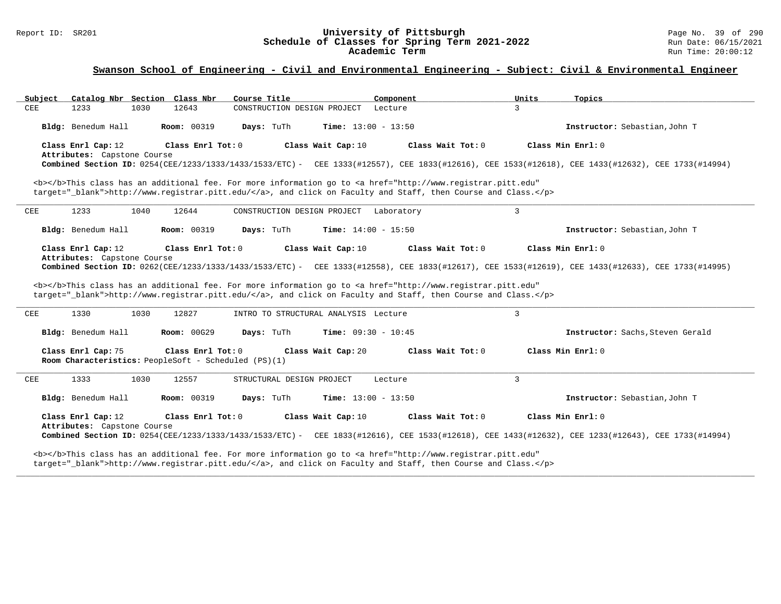#### Report ID: SR201 **University of Pittsburgh** Page No. 39 of 290 **Schedule of Classes for Spring Term 2021-2022** Run Date: 06/15/2021 **Academic Term** Run Time: 20:00:12

### **Swanson School of Engineering - Civil and Environmental Engineering - Subject: Civil & Environmental Engineer**

| Catalog Nbr Section Class Nbr<br>Subject                                   |                    | Course Title                               | Component                                                                                                                                                                                                                                               | Units<br>Topics                                                                                                                                                        |
|----------------------------------------------------------------------------|--------------------|--------------------------------------------|---------------------------------------------------------------------------------------------------------------------------------------------------------------------------------------------------------------------------------------------------------|------------------------------------------------------------------------------------------------------------------------------------------------------------------------|
| ${\tt CEE}$<br>1233<br>1030                                                | 12643              | CONSTRUCTION DESIGN PROJECT                | Lecture                                                                                                                                                                                                                                                 | $\mathbf{3}$                                                                                                                                                           |
| Bldg: Benedum Hall                                                         | <b>Room: 00319</b> | Days: TuTh<br><b>Time:</b> $13:00 - 13:50$ |                                                                                                                                                                                                                                                         | Instructor: Sebastian, John T                                                                                                                                          |
| Class Enrl Cap: 12                                                         | Class Enrl Tot: 0  | Class Wait Cap: 10                         | Class Wait Tot: 0                                                                                                                                                                                                                                       | Class Min Enrl: 0                                                                                                                                                      |
| Attributes: Capstone Course                                                |                    |                                            |                                                                                                                                                                                                                                                         | Combined Section ID: 0254(CEE/1233/1333/1433/1533/ETC) - CEE 1333(#12557), CEE 1833(#12616), CEE 1533(#12618), CEE 1433(#12632), CEE 1733(#14994)                      |
|                                                                            |                    |                                            | <b></b> This class has an additional fee. For more information go to <a <br="" href="http://www.registrar.pitt.edu">target=" blank"&gt;http://www.registrar.pitt.edu/</a> , and click on Faculty and Staff, then Course and Class.                      |                                                                                                                                                                        |
| 1233<br>CEE<br>1040                                                        | 12644              | CONSTRUCTION DESIGN PROJECT                | Laboratory                                                                                                                                                                                                                                              | 3                                                                                                                                                                      |
| Bldg: Benedum Hall                                                         | <b>Room: 00319</b> | Days: TuTh<br><b>Time:</b> $14:00 - 15:50$ |                                                                                                                                                                                                                                                         | Instructor: Sebastian, John T                                                                                                                                          |
| Class Enrl Cap: 12<br>Attributes: Capstone Course                          | Class Enrl Tot: 0  | Class Wait Cap: 10                         | Class Wait Tot: 0<br><b></b> This class has an additional fee. For more information go to <a <br="" href="http://www.registrar.pitt.edu">target="_blank"&gt;http://www.registrar.pitt.edu/</a> , and click on Faculty and Staff, then Course and Class. | Class Min Enrl: 0<br>Combined Section ID: 0262(CEE/1233/1333/1433/1533/ETC) - CEE 1333(#12558), CEE 1833(#12617), CEE 1533(#12619), CEE 1433(#12633), CEE 1733(#14995) |
| 1330<br>1030<br>CEE                                                        | 12827              | INTRO TO STRUCTURAL ANALYSIS Lecture       |                                                                                                                                                                                                                                                         | 3                                                                                                                                                                      |
| Bldg: Benedum Hall                                                         | <b>Room: 00G29</b> | Days: TuTh<br><b>Time:</b> $09:30 - 10:45$ |                                                                                                                                                                                                                                                         | Instructor: Sachs, Steven Gerald                                                                                                                                       |
| Class Enrl Cap: 75<br>Room Characteristics: PeopleSoft - Scheduled (PS)(1) | Class Enrl Tot: 0  | Class Wait Cap: 20                         | Class Wait $Tot: 0$                                                                                                                                                                                                                                     | Class Min Enrl: 0                                                                                                                                                      |
| 1333<br>1030<br>CEE                                                        | 12557              | STRUCTURAL DESIGN PROJECT                  | Lecture                                                                                                                                                                                                                                                 | 3                                                                                                                                                                      |
| Bldg: Benedum Hall                                                         | <b>Room: 00319</b> | Days: TuTh<br><b>Time:</b> $13:00 - 13:50$ |                                                                                                                                                                                                                                                         | Instructor: Sebastian, John T                                                                                                                                          |
|                                                                            |                    | Class Wait Cap: 10                         | Class Wait Tot: 0                                                                                                                                                                                                                                       | Class Min Enrl: 0                                                                                                                                                      |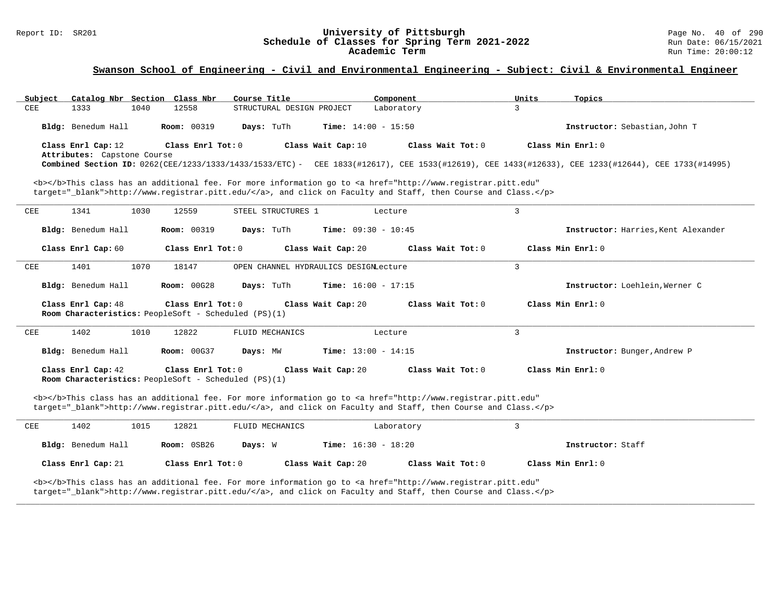#### Report ID: SR201 **University of Pittsburgh** Page No. 40 of 290 **Schedule of Classes for Spring Term 2021-2022** Run Date: 06/15/2021 **Academic Term** Run Time: 20:00:12

| Catalog Nbr Section Class Nbr<br>Subject                                                                                                                                                                                           | Course Title                               | Component           | Units<br>Topics                                                                                                                                   |  |
|------------------------------------------------------------------------------------------------------------------------------------------------------------------------------------------------------------------------------------|--------------------------------------------|---------------------|---------------------------------------------------------------------------------------------------------------------------------------------------|--|
| 1333<br>1040<br>12558<br>CEE                                                                                                                                                                                                       | STRUCTURAL DESIGN PROJECT                  | Laboratory          | 3                                                                                                                                                 |  |
| Bldg: Benedum Hall<br><b>Room: 00319</b>                                                                                                                                                                                           | Days: TuTh<br><b>Time:</b> $14:00 - 15:50$ |                     | Instructor: Sebastian, John T                                                                                                                     |  |
| Class Enrl Cap: 12<br>Class Enrl Tot: 0                                                                                                                                                                                            | Class Wait Cap: 10                         | Class Wait $Tot: 0$ | Class Min Enrl: 0                                                                                                                                 |  |
| Attributes: Capstone Course                                                                                                                                                                                                        |                                            |                     |                                                                                                                                                   |  |
|                                                                                                                                                                                                                                    |                                            |                     | Combined Section ID: 0262(CEE/1233/1333/1433/1533/ETC) - CEE 1833(#12617), CEE 1533(#12619), CEE 1433(#12633), CEE 1233(#12644), CEE 1733(#14995) |  |
| <b></b> This class has an additional fee. For more information go to <a <="" href="http://www.registrar.pitt.edu" td=""><td></td><td></td><td></td><td></td></a>                                                                   |                                            |                     |                                                                                                                                                   |  |
| target=" blank">http://www.registrar.pitt.edu/, and click on Faculty and Staff, then Course and Class.                                                                                                                             |                                            |                     |                                                                                                                                                   |  |
| CEE<br>1341<br>1030<br>12559                                                                                                                                                                                                       | STEEL STRUCTURES 1                         | Lecture             | 3                                                                                                                                                 |  |
| Bldg: Benedum Hall<br><b>Room: 00319</b>                                                                                                                                                                                           | Days: TuTh<br><b>Time:</b> $09:30 - 10:45$ |                     | Instructor: Harries, Kent Alexander                                                                                                               |  |
| Class Enrl Cap: 60<br>Class Enrl Tot: 0                                                                                                                                                                                            | Class Wait Cap: 20                         | Class Wait Tot: 0   | Class Min Enrl: 0                                                                                                                                 |  |
| 1070<br><b>CEE</b><br>1401<br>18147                                                                                                                                                                                                | OPEN CHANNEL HYDRAULICS DESIGNLecture      |                     | $\overline{3}$                                                                                                                                    |  |
| Bldg: Benedum Hall<br><b>Room: 00G28</b>                                                                                                                                                                                           | Time: $16:00 - 17:15$<br>Days: TuTh        |                     | Instructor: Loehlein, Werner C                                                                                                                    |  |
| Class Enrl Cap: 48<br>Class Enrl Tot: 0<br>Room Characteristics: PeopleSoft - Scheduled (PS)(1)                                                                                                                                    | Class Wait Cap: 20                         | Class Wait Tot: 0   | Class Min Enrl: 0                                                                                                                                 |  |
| 1402<br>1010<br>12822<br>CEE                                                                                                                                                                                                       | FLUID MECHANICS                            | Lecture             | $\overline{3}$                                                                                                                                    |  |
| Bldg: Benedum Hall<br><b>Room: 00G37</b>                                                                                                                                                                                           | Time: $13:00 - 14:15$<br>Days: MW          |                     | Instructor: Bunger, Andrew P                                                                                                                      |  |
| Class Enrl Cap: 42<br>Class Enrl Tot: $0$<br>Room Characteristics: PeopleSoft - Scheduled (PS)(1)                                                                                                                                  | Class Wait Cap: 20                         | Class Wait Tot: 0   | Class Min Enrl: 0                                                                                                                                 |  |
| <b></b> This class has an additional fee. For more information go to <a <br="" href="http://www.registrar.pitt.edu">target="_blank"&gt;http://www.registrar.pitt.edu/</a> , and click on Faculty and Staff, then Course and Class. |                                            |                     |                                                                                                                                                   |  |
| 1402<br>1015<br>12821<br>CEE                                                                                                                                                                                                       | FLUID MECHANICS                            | Laboratory          | 3                                                                                                                                                 |  |
| Bldg: Benedum Hall<br>Room: 0SB26                                                                                                                                                                                                  | <b>Time:</b> $16:30 - 18:20$<br>Days: W    |                     | Instructor: Staff                                                                                                                                 |  |
| Class Enrl Tot: $0$<br>Class Enrl Cap: 21                                                                                                                                                                                          | Class Wait Cap: 20                         | Class Wait Tot: 0   | Class Min Enrl: 0                                                                                                                                 |  |
| <b></b> This class has an additional fee. For more information go to <a <br="" href="http://www.registrar.pitt.edu">target="_blank"&gt;http://www.registrar.pitt.edu/</a> , and click on Faculty and Staff, then Course and Class. |                                            |                     |                                                                                                                                                   |  |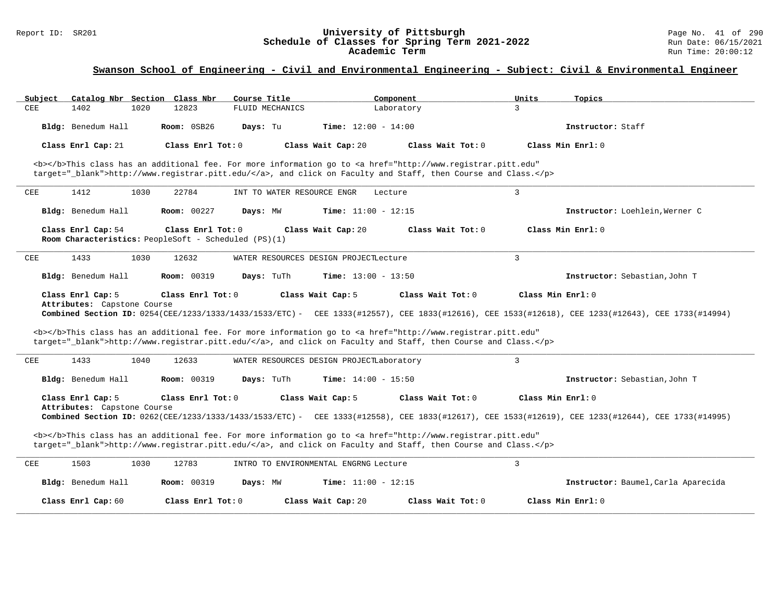#### Report ID: SR201 **University of Pittsburgh** Page No. 41 of 290 **Schedule of Classes for Spring Term 2021-2022** Run Date: 06/15/2021 **Academic Term** Run Time: 20:00:12

| Catalog Nbr Section Class Nbr<br>Subiect                                                                                                                                                                                           | Course Title                             | Component                    | Units<br>Topics                                                                                                                                                        |  |
|------------------------------------------------------------------------------------------------------------------------------------------------------------------------------------------------------------------------------------|------------------------------------------|------------------------------|------------------------------------------------------------------------------------------------------------------------------------------------------------------------|--|
| CEE<br>1402<br>1020<br>12823                                                                                                                                                                                                       | FLUID MECHANICS                          | Laboratory                   | 3                                                                                                                                                                      |  |
| Room: 0SB26<br>Bldg: Benedum Hall                                                                                                                                                                                                  | Days: Tu                                 | <b>Time:</b> $12:00 - 14:00$ | Instructor: Staff                                                                                                                                                      |  |
| Class Enrl Tot: 0<br>Class Enrl Cap: 21                                                                                                                                                                                            | Class Wait Cap: 20                       | Class Wait Tot: $0$          | Class Min $Enrl: 0$                                                                                                                                                    |  |
| <b></b> This class has an additional fee. For more information go to <a <br="" href="http://www.registrar.pitt.edu">target="_blank"&gt;http://www.registrar.pitt.edu/</a> , and click on Faculty and Staff, then Course and Class. |                                          |                              |                                                                                                                                                                        |  |
| ${\tt CEE}$<br>1412<br>1030<br>22784                                                                                                                                                                                               | INT TO WATER RESOURCE ENGR               | Lecture                      | 3                                                                                                                                                                      |  |
| Bldg: Benedum Hall<br><b>Room: 00227</b>                                                                                                                                                                                           | Days: MW                                 | <b>Time:</b> $11:00 - 12:15$ | Instructor: Loehlein, Werner C                                                                                                                                         |  |
| Class Enrl Cap: 54<br>Class Enrl Tot: 0<br>Room Characteristics: PeopleSoft - Scheduled (PS)(1)                                                                                                                                    | Class Wait Cap: 20                       | Class Wait Tot: 0            | Class Min Enrl: 0                                                                                                                                                      |  |
| CEE<br>1433<br>1030<br>12632                                                                                                                                                                                                       | WATER RESOURCES DESIGN PROJECTLecture    |                              | $\mathbf{R}$                                                                                                                                                           |  |
| Bldg: Benedum Hall<br><b>Room: 00319</b>                                                                                                                                                                                           | Days: TuTh                               | <b>Time:</b> $13:00 - 13:50$ | Instructor: Sebastian, John T                                                                                                                                          |  |
| Class Enrl Cap: 5<br>Class Enrl Tot: 0<br>Attributes: Capstone Course                                                                                                                                                              | Class Wait Cap: 5                        | Class Wait Tot: 0            | Class Min Enrl: 0                                                                                                                                                      |  |
|                                                                                                                                                                                                                                    |                                          |                              | Combined Section ID: 0254(CEE/1233/1333/1433/1533/ETC) - CEE 1333(#12557), CEE 1833(#12616), CEE 1533(#12618), CEE 1233(#12643), CEE 1733(#14994)                      |  |
| <b></b> This class has an additional fee. For more information go to <a <br="" href="http://www.registrar.pitt.edu">target="_blank"&gt;http://www.registrar.pitt.edu/</a> , and click on Faculty and Staff, then Course and Class. |                                          |                              |                                                                                                                                                                        |  |
| 1433<br>CEE<br>1040<br>12633                                                                                                                                                                                                       | WATER RESOURCES DESIGN PROJECTLaboratory |                              | 3                                                                                                                                                                      |  |
| Bldg: Benedum Hall<br>Room: 00319                                                                                                                                                                                                  | Days: TuTh                               | <b>Time:</b> $14:00 - 15:50$ | Instructor: Sebastian, John T                                                                                                                                          |  |
| Class Enrl Cap: 5<br>Class Enrl Tot: 0<br>Attributes: Capstone Course                                                                                                                                                              | Class Wait Cap: 5                        | Class Wait Tot: 0            | Class Min Enrl: 0<br>Combined Section ID: 0262(CEE/1233/1333/1433/1533/ETC) - CEE 1333(#12558), CEE 1833(#12617), CEE 1533(#12619), CEE 1233(#12644), CEE 1733(#14995) |  |
| <b></b> This class has an additional fee. For more information go to <a <br="" href="http://www.registrar.pitt.edu">target="_blank"&gt;http://www.registrar.pitt.edu/</a> , and click on Faculty and Staff, then Course and Class. |                                          |                              |                                                                                                                                                                        |  |
| CEE<br>1503<br>1030<br>12783                                                                                                                                                                                                       | INTRO TO ENVIRONMENTAL ENGRNG Lecture    |                              | 3                                                                                                                                                                      |  |
| Bldg: Benedum Hall<br><b>Room: 00319</b>                                                                                                                                                                                           | Days: MW                                 | <b>Time:</b> $11:00 - 12:15$ | Instructor: Baumel, Carla Aparecida                                                                                                                                    |  |
| Class Enrl Tot: 0<br>Class Enrl Cap: 60                                                                                                                                                                                            | Class Wait Cap: 20                       | Class Wait Tot: 0            | Class Min Enrl: 0                                                                                                                                                      |  |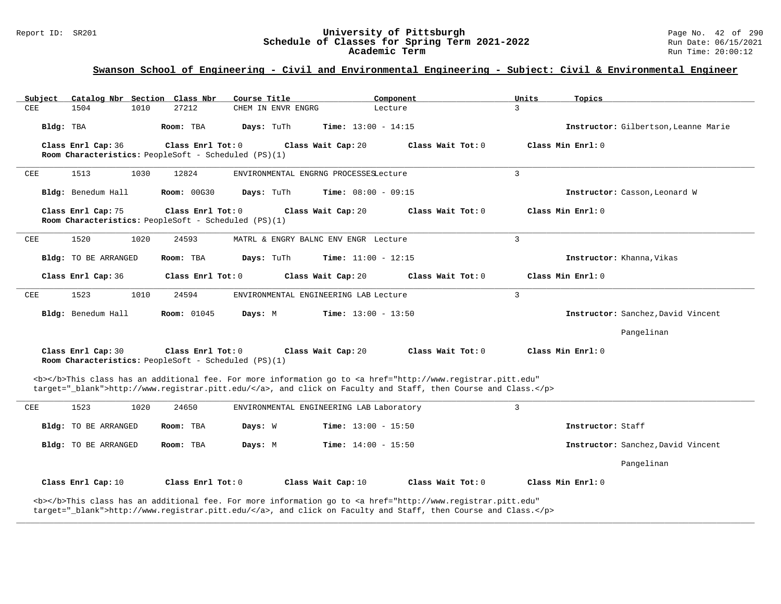#### Report ID: SR201 **University of Pittsburgh** Page No. 42 of 290 **Schedule of Classes for Spring Term 2021-2022** Run Date: 06/15/2021 **Academic Term** Run Time: 20:00:12

# **Swanson School of Engineering - Civil and Environmental Engineering - Subject: Civil & Environmental Engineer**

| Catalog Nbr Section Class Nbr<br>Subject | Course Title                                                              |                                          | Component                                                                                                                                                                                                                          | Units<br>Topics                      |  |
|------------------------------------------|---------------------------------------------------------------------------|------------------------------------------|------------------------------------------------------------------------------------------------------------------------------------------------------------------------------------------------------------------------------------|--------------------------------------|--|
| 1504<br>1010<br>CEE                      | 27212                                                                     | CHEM IN ENVR ENGRG                       | Lecture                                                                                                                                                                                                                            | $\mathbf{R}$                         |  |
| Bldg: TBA                                | Room: TBA<br>Days: TuTh                                                   | <b>Time:</b> $13:00 - 14:15$             |                                                                                                                                                                                                                                    | Instructor: Gilbertson, Leanne Marie |  |
| Class Enrl Cap: 36                       | Class Enrl Tot: 0<br>Room Characteristics: PeopleSoft - Scheduled (PS)(1) | Class Wait Cap: 20                       | Class Wait Tot: 0                                                                                                                                                                                                                  | Class Min Enrl: 0                    |  |
| CEE<br>1513<br>1030                      | 12824                                                                     | ENVIRONMENTAL ENGRNG PROCESSESLecture    |                                                                                                                                                                                                                                    | $\mathbf{3}$                         |  |
| Bldg: Benedum Hall                       | <b>Room: 00G30</b><br>Days: TuTh                                          | <b>Time:</b> $08:00 - 09:15$             |                                                                                                                                                                                                                                    | Instructor: Casson, Leonard W        |  |
| Class Enrl Cap: 75                       | Class Enrl Tot: 0<br>Room Characteristics: PeopleSoft - Scheduled (PS)(1) | Class Wait Cap: 20                       | Class Wait Tot: 0                                                                                                                                                                                                                  | Class Min Enrl: 0                    |  |
| 1520<br>CEE<br>1020                      | 24593                                                                     | MATRL & ENGRY BALNC ENV ENGR Lecture     |                                                                                                                                                                                                                                    | 3                                    |  |
| Bldg: TO BE ARRANGED                     | Room: TBA<br>Days: TuTh                                                   | <b>Time:</b> $11:00 - 12:15$             |                                                                                                                                                                                                                                    | Instructor: Khanna, Vikas            |  |
| Class Enrl Cap: 36                       | Class Enrl Tot: 0                                                         | Class Wait Cap: 20                       | Class Wait Tot: 0                                                                                                                                                                                                                  | Class Min Enrl: 0                    |  |
| 1523<br>1010<br>CEE                      | 24594                                                                     | ENVIRONMENTAL ENGINEERING LAB Lecture    |                                                                                                                                                                                                                                    | $\overline{3}$                       |  |
| Bldg: Benedum Hall                       | <b>Room: 01045</b><br>Days: M                                             | <b>Time:</b> $13:00 - 13:50$             |                                                                                                                                                                                                                                    | Instructor: Sanchez, David Vincent   |  |
|                                          |                                                                           |                                          |                                                                                                                                                                                                                                    | Pangelinan                           |  |
| Class Enrl Cap: 30                       | Class Enrl Tot: 0<br>Room Characteristics: PeopleSoft - Scheduled (PS)(1) | Class Wait Cap: 20                       | Class Wait Tot: 0                                                                                                                                                                                                                  | Class Min Enrl: 0                    |  |
|                                          |                                                                           |                                          | <b></b> This class has an additional fee. For more information go to <a <br="" href="http://www.registrar.pitt.edu">target="_blank"&gt;http://www.registrar.pitt.edu/</a> , and click on Faculty and Staff, then Course and Class. |                                      |  |
| 1523<br>CEE<br>1020                      | 24650                                                                     | ENVIRONMENTAL ENGINEERING LAB Laboratory |                                                                                                                                                                                                                                    | $\overline{3}$                       |  |
| Bldg: TO BE ARRANGED                     | Room: TBA<br>Days: W                                                      | Time: $13:00 - 15:50$                    |                                                                                                                                                                                                                                    | Instructor: Staff                    |  |
| Bldg: TO BE ARRANGED                     | Room: TBA<br>Days: M                                                      | <b>Time:</b> $14:00 - 15:50$             |                                                                                                                                                                                                                                    | Instructor: Sanchez, David Vincent   |  |
|                                          |                                                                           |                                          |                                                                                                                                                                                                                                    | Pangelinan                           |  |
| Class Enrl Cap: 10                       | Class Enrl Tot: 0                                                         | Class Wait Cap: 10                       | Class Wait Tot: 0                                                                                                                                                                                                                  | Class Min Enrl: 0                    |  |
|                                          |                                                                           |                                          | <b></b> This class has an additional fee. For more information go to <a <br="" href="http://www.registrar.pitt.edu">target="_blank"&gt;http://www.registrar.pitt.edu/</a> , and click on Faculty and Staff, then Course and Class. |                                      |  |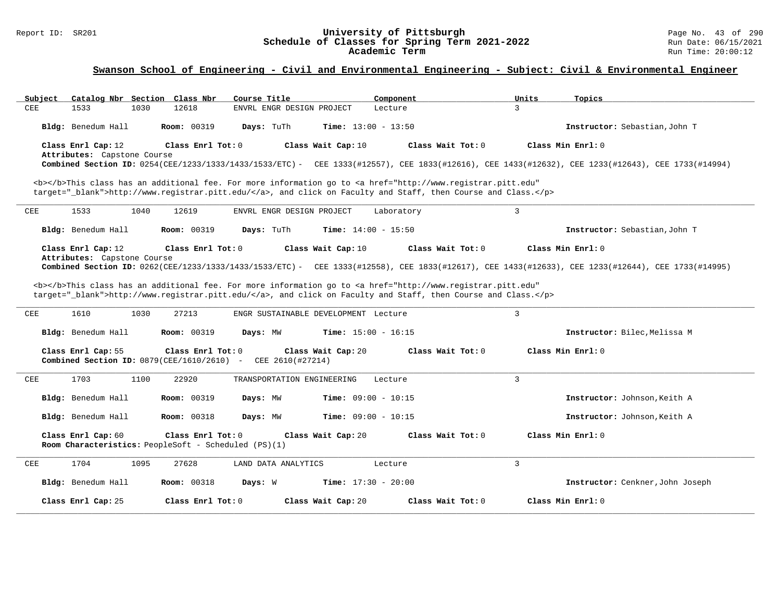#### Report ID: SR201 **University of Pittsburgh** Page No. 43 of 290 **Schedule of Classes for Spring Term 2021-2022** Run Date: 06/15/2021 **Academic Term** Run Time: 20:00:12

| Catalog Nbr Section Class Nbr<br>Subject             | Course Title<br>Component                                                                                                             | Topics<br>Units                                                                                                                                   |
|------------------------------------------------------|---------------------------------------------------------------------------------------------------------------------------------------|---------------------------------------------------------------------------------------------------------------------------------------------------|
| 1533<br>1030<br>12618<br>CEE                         | ENVRL ENGR DESIGN PROJECT<br>Lecture                                                                                                  | 3                                                                                                                                                 |
| Bldg: Benedum Hall<br><b>Room: 00319</b>             | Days: TuTh<br><b>Time:</b> $13:00 - 13:50$                                                                                            | Instructor: Sebastian, John T                                                                                                                     |
| Class Enrl Cap: 12<br>Class Enrl Tot: $0$            | Class Wait Cap: 10<br>Class Wait $Tot: 0$                                                                                             | Class Min Enrl: 0                                                                                                                                 |
| Attributes: Capstone Course                          |                                                                                                                                       |                                                                                                                                                   |
|                                                      |                                                                                                                                       | Combined Section ID: 0254(CEE/1233/1333/1433/1533/ETC) - CEE 1333(#12557), CEE 1833(#12616), CEE 1433(#12632), CEE 1233(#12643), CEE 1733(#14994) |
|                                                      |                                                                                                                                       |                                                                                                                                                   |
|                                                      | <b></b> This class has an additional fee. For more information go to <a <="" href="http://www.registrar.pitt.edu" td=""><td></td></a> |                                                                                                                                                   |
|                                                      | target="_blank">http://www.registrar.pitt.edu/, and click on Faculty and Staff, then Course and Class.                                |                                                                                                                                                   |
| 1533<br>1040<br>12619<br>CEE                         | ENVRL ENGR DESIGN PROJECT<br>Laboratory                                                                                               | $\mathbf{3}$                                                                                                                                      |
| Bldg: Benedum Hall<br><b>Room: 00319</b>             | Days: TuTh<br><b>Time:</b> $14:00 - 15:50$                                                                                            | Instructor: Sebastian, John T                                                                                                                     |
| Class Enrl Cap: 12<br>Class Enrl Tot: 0              | Class Wait Cap: 10<br>Class Wait Tot: 0                                                                                               | Class Min Enrl: 0                                                                                                                                 |
| Attributes: Capstone Course                          |                                                                                                                                       |                                                                                                                                                   |
|                                                      |                                                                                                                                       | Combined Section ID: 0262(CEE/1233/1333/1433/1533/ETC) - CEE 1333(#12558), CEE 1833(#12617), CEE 1433(#12633), CEE 1233(#12644), CEE 1733(#14995) |
|                                                      | <b></b> This class has an additional fee. For more information go to <a <="" href="http://www.registrar.pitt.edu" td=""><td></td></a> |                                                                                                                                                   |
|                                                      | target="_blank">http://www.registrar.pitt.edu/, and click on Faculty and Staff, then Course and Class.                                |                                                                                                                                                   |
|                                                      |                                                                                                                                       |                                                                                                                                                   |
| 1610<br>1030<br>27213<br>CEE                         | ENGR SUSTAINABLE DEVELOPMENT Lecture                                                                                                  | $\overline{3}$                                                                                                                                    |
| Bldg: Benedum Hall<br><b>Room: 00319</b>             | Time: $15:00 - 16:15$<br>Days: MW                                                                                                     | Instructor: Bilec. Melissa M                                                                                                                      |
| Class Enrl Tot: 0<br>Class Enrl Cap: 55              | Class Wait Cap: 20<br>Class Wait Tot: $0$                                                                                             | Class Min Enrl: 0                                                                                                                                 |
| Combined Section ID: $0879$ (CEE/1610/2610) -        | CEE 2610(#27214)                                                                                                                      |                                                                                                                                                   |
|                                                      |                                                                                                                                       |                                                                                                                                                   |
| 1703<br>1100<br>22920<br>CEE                         | TRANSPORTATION ENGINEERING<br>Lecture                                                                                                 | $\overline{3}$                                                                                                                                    |
| Bldg: Benedum Hall<br>Room: 00319                    | Time: $09:00 - 10:15$<br>Days: MW                                                                                                     | Instructor: Johnson, Keith A                                                                                                                      |
|                                                      |                                                                                                                                       |                                                                                                                                                   |
| Bldg: Benedum Hall<br><b>Room: 00318</b>             | Time: $09:00 - 10:15$<br>Days: MW                                                                                                     | Instructor: Johnson, Keith A                                                                                                                      |
|                                                      |                                                                                                                                       |                                                                                                                                                   |
| Class Enrl Cap: 60<br>Class Enrl Tot: 0              | Class Wait Cap: 20<br>Class Wait $Tot: 0$                                                                                             | Class Min Enrl: 0                                                                                                                                 |
| Room Characteristics: PeopleSoft - Scheduled (PS)(1) |                                                                                                                                       |                                                                                                                                                   |
| 1704<br>1095<br>27628<br>CEE                         | LAND DATA ANALYTICS<br>Lecture                                                                                                        | $\overline{3}$                                                                                                                                    |
|                                                      |                                                                                                                                       |                                                                                                                                                   |
|                                                      |                                                                                                                                       |                                                                                                                                                   |
| Bldg: Benedum Hall<br><b>Room: 00318</b>             | Days: W<br>Time: $17:30 - 20:00$                                                                                                      | Instructor: Cenkner, John Joseph                                                                                                                  |
| Class Enrl Cap: 25<br>Class Enrl Tot: 0              | Class Wait Tot: 0<br>Class Wait Cap: 20                                                                                               | Class Min Enrl: 0                                                                                                                                 |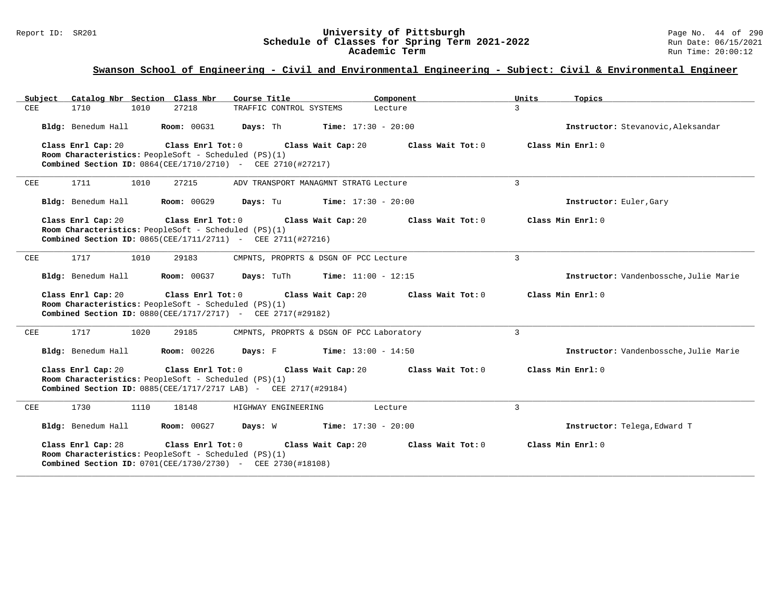### Report ID: SR201 **University of Pittsburgh** Page No. 44 of 290 **Schedule of Classes for Spring Term 2021-2022** Run Date: 06/15/2021 **Academic Term** Run Time: 20:00:12

| Catalog Nbr Section Class Nbr<br>Course Title<br>Subject<br>Component                                                                        | Units<br>Topics                        |
|----------------------------------------------------------------------------------------------------------------------------------------------|----------------------------------------|
| 1710<br>1010<br>27218<br>CEE<br>TRAFFIC CONTROL SYSTEMS<br>Lecture                                                                           | 3                                      |
| Bldg: Benedum Hall<br>Room: 00G31<br>Days: Th<br><b>Time:</b> $17:30 - 20:00$                                                                | Instructor: Stevanovic.Aleksandar      |
| Class Enrl Cap: 20<br>Class Enrl Tot: 0<br>Class Wait Cap: 20<br>Class Wait $Tot: 0$<br>Room Characteristics: PeopleSoft - Scheduled (PS)(1) | Class Min Enrl: 0                      |
| Combined Section ID: 0864(CEE/1710/2710) - CEE 2710(#27217)                                                                                  |                                        |
| 1711<br>CEE<br>1010<br>27215<br>ADV TRANSPORT MANAGMNT STRATG Lecture                                                                        | 3                                      |
| Bldg: Benedum Hall<br><b>Room: 00G29</b><br>Days: Tu<br><b>Time:</b> $17:30 - 20:00$                                                         | Instructor: Euler, Gary                |
| Class Enrl Cap: 20<br>Class Enrl Tot: 0<br>Class Wait Cap: 20<br>Class Wait Tot: 0                                                           | Class Min Enrl: 0                      |
| Room Characteristics: PeopleSoft - Scheduled (PS)(1)<br>Combined Section ID: 0865(CEE/1711/2711) - CEE 2711(#27216)                          |                                        |
| 1717<br>1010<br>29183<br>CMPNTS, PROPRTS & DSGN OF PCC Lecture<br>CEE                                                                        | $\overline{3}$                         |
|                                                                                                                                              |                                        |
| Bldg: Benedum Hall<br>Room: 00G37<br>Days: TuTh<br><b>Time:</b> $11:00 - 12:15$                                                              | Instructor: Vandenbossche, Julie Marie |
|                                                                                                                                              |                                        |
| Class Enrl Tot: 0<br>Class Enrl Cap: 20<br>Class Wait Cap: 20<br>Class Wait Tot: 0                                                           | Class Min Enrl: 0                      |
| Room Characteristics: PeopleSoft - Scheduled (PS)(1)<br>Combined Section ID: 0880(CEE/1717/2717) - CEE 2717(#29182)                          |                                        |
|                                                                                                                                              |                                        |
| 1717<br>1020<br>29185<br>CEE<br>CMPNTS, PROPRTS & DSGN OF PCC Laboratory                                                                     | 3                                      |
| Bldg: Benedum Hall<br><b>Room: 00226</b><br>Days: F<br><b>Time:</b> $13:00 - 14:50$                                                          | Instructor: Vandenbossche, Julie Marie |
| Class Enrl Cap: 20<br>Class Enrl Tot: 0<br>Class Wait Cap: 20<br>Class Wait Tot: 0                                                           | Class Min Enrl: 0                      |
| Room Characteristics: PeopleSoft - Scheduled (PS)(1)                                                                                         |                                        |
| Combined Section ID: 0885(CEE/1717/2717 LAB) - CEE 2717(#29184)                                                                              |                                        |
| 1730<br>1110<br>18148<br>HIGHWAY ENGINEERING<br>CEE<br>Lecture                                                                               | $\overline{3}$                         |
| Bldg: Benedum Hall<br><b>Room: 00G27</b><br><b>Days:</b> W <b>Time:</b> $17:30 - 20:00$                                                      | Instructor: Telega, Edward T           |
| Class Enrl Cap: 28<br>Class Enrl Tot: 0<br>Class Wait Tot: 0<br>Class Wait Cap: 20                                                           | Class Min Enrl: 0                      |
| Room Characteristics: PeopleSoft - Scheduled (PS)(1)<br>Combined Section ID: 0701(CEE/1730/2730) - CEE 2730(#18108)                          |                                        |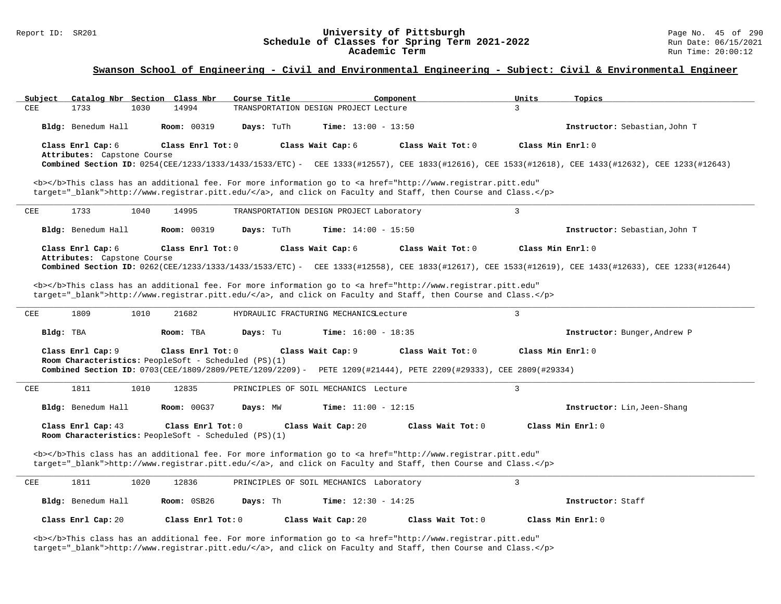# Report ID: SR201 **1988 Magnet 10: SR201 University of Pittsburgh University of Pittsburgh** Page No. 45 of 290<br>**Schedule of Classes for Spring Term 2021-2022** Run Date: 06/15/2021 Schedule of Classes for Spring Term 2021-2022<br>Academic Term

### **Swanson School of Engineering - Civil and Environmental Engineering - Subject: Civil & Environmental Engineer**

| Subject                     | Catalog Nbr Section Class Nbr<br>Course Title                             | Component                                                                                                                                                                                                                          | Units<br>Topics                                                                                                                                   |
|-----------------------------|---------------------------------------------------------------------------|------------------------------------------------------------------------------------------------------------------------------------------------------------------------------------------------------------------------------------|---------------------------------------------------------------------------------------------------------------------------------------------------|
| CEE<br>1733<br>1030         | 14994                                                                     | TRANSPORTATION DESIGN PROJECT Lecture                                                                                                                                                                                              | 3                                                                                                                                                 |
| Bldg: Benedum Hall          | <b>Room: 00319</b><br>Days: TuTh                                          | Time: $13:00 - 13:50$                                                                                                                                                                                                              | Instructor: Sebastian, John T                                                                                                                     |
| Class Enrl Cap: 6           | Class Enrl Tot: 0                                                         | Class Wait Tot: 0<br>Class Wait Cap: 6                                                                                                                                                                                             | Class Min Enrl: 0                                                                                                                                 |
| Attributes: Capstone Course |                                                                           |                                                                                                                                                                                                                                    | Combined Section ID: 0254(CEE/1233/1333/1433/1533/ETC) - CEE 1333(#12557), CEE 1833(#12616), CEE 1533(#12618), CEE 1433(#12632), CEE 1233(#12643) |
|                             |                                                                           | <b></b> This class has an additional fee. For more information go to <a <="" href="http://www.registrar.pitt.edu" td=""><td></td></a>                                                                                              |                                                                                                                                                   |
|                             |                                                                           | target="_blank">http://www.registrar.pitt.edu/, and click on Faculty and Staff, then Course and Class.                                                                                                                             |                                                                                                                                                   |
| 1733<br>1040<br>CEE         | 14995                                                                     | TRANSPORTATION DESIGN PROJECT Laboratory                                                                                                                                                                                           | 3                                                                                                                                                 |
| Bldg: Benedum Hall          | <b>Room: 00319</b><br>Days: TuTh                                          | Time: $14:00 - 15:50$                                                                                                                                                                                                              | Instructor: Sebastian, John T                                                                                                                     |
| Class Enrl Cap: 6           | Class Enrl Tot: 0                                                         | Class Wait Tot: 0<br>Class Wait Cap: 6                                                                                                                                                                                             | Class Min Enrl: 0                                                                                                                                 |
| Attributes: Capstone Course |                                                                           |                                                                                                                                                                                                                                    | Combined Section ID: 0262(CEE/1233/1333/1433/1533/ETC) - CEE 1333(#12558), CEE 1833(#12617), CEE 1533(#12619), CEE 1433(#12633), CEE 1233(#12644) |
|                             |                                                                           |                                                                                                                                                                                                                                    |                                                                                                                                                   |
|                             |                                                                           | <b></b> This class has an additional fee. For more information go to <a <br="" href="http://www.registrar.pitt.edu">target="_blank"&gt;http://www.registrar.pitt.edu/</a> , and click on Faculty and Staff, then Course and Class. |                                                                                                                                                   |
| 1809<br>CEE<br>1010         | 21682                                                                     | HYDRAULIC FRACTURING MECHANICSLecture                                                                                                                                                                                              | $\mathbf{3}$                                                                                                                                      |
|                             |                                                                           |                                                                                                                                                                                                                                    |                                                                                                                                                   |
| Bldg: TBA                   | Room: TBA<br>Days: Tu                                                     | Time: $16:00 - 18:35$                                                                                                                                                                                                              | Instructor: Bunger, Andrew P                                                                                                                      |
| Class Enrl Cap: 9           | Class Enrl Tot: 0                                                         | Class Wait Cap: 9<br>Class Wait Tot: 0                                                                                                                                                                                             | Class Min Enrl: 0                                                                                                                                 |
|                             | Room Characteristics: PeopleSoft - Scheduled (PS)(1)                      |                                                                                                                                                                                                                                    |                                                                                                                                                   |
|                             |                                                                           | Combined Section ID: 0703(CEE/1809/2809/PETE/1209/2209) - PETE 1209(#21444), PETE 2209(#29333), CEE 2809(#29334)                                                                                                                   |                                                                                                                                                   |
| 1811<br>1010<br>CEE         | 12835                                                                     | PRINCIPLES OF SOIL MECHANICS Lecture                                                                                                                                                                                               | 3                                                                                                                                                 |
| Bldg: Benedum Hall          | <b>Room: 00G37</b><br>Days: MW                                            | Time: $11:00 - 12:15$                                                                                                                                                                                                              | Instructor: Lin, Jeen-Shang                                                                                                                       |
| Class Enrl Cap: 43          | Class Enrl Tot: 0<br>Room Characteristics: PeopleSoft - Scheduled (PS)(1) | Class Wait Tot: 0<br>Class Wait Cap: 20                                                                                                                                                                                            | Class Min Enrl: 0                                                                                                                                 |
|                             |                                                                           |                                                                                                                                                                                                                                    |                                                                                                                                                   |
|                             |                                                                           | <b></b> This class has an additional fee. For more information go to <a <br="" href="http://www.registrar.pitt.edu">target="_blank"&gt;http://www.registrar.pitt.edu/</a> , and click on Faculty and Staff, then Course and Class. |                                                                                                                                                   |
| 1811<br>1020<br>CEE         | 12836                                                                     | PRINCIPLES OF SOIL MECHANICS Laboratory                                                                                                                                                                                            | $\overline{3}$                                                                                                                                    |
| Bldg: Benedum Hall          | Room: 0SB26<br>Days: Th                                                   | <b>Time:</b> $12:30 - 14:25$                                                                                                                                                                                                       | Instructor: Staff                                                                                                                                 |
| Class Enrl Cap: 20          | Class Enrl Tot: $0$                                                       | Class Wait Cap: 20<br>Class Wait Tot: $0$                                                                                                                                                                                          | Class Min Enrl: 0                                                                                                                                 |

<b></b>This class has an additional fee. For more information go to <a href="http://www.registrar.pitt.edu" target="\_blank">http://www.registrar.pitt.edu/</a>, and click on Faculty and Staff, then Course and Class.</p>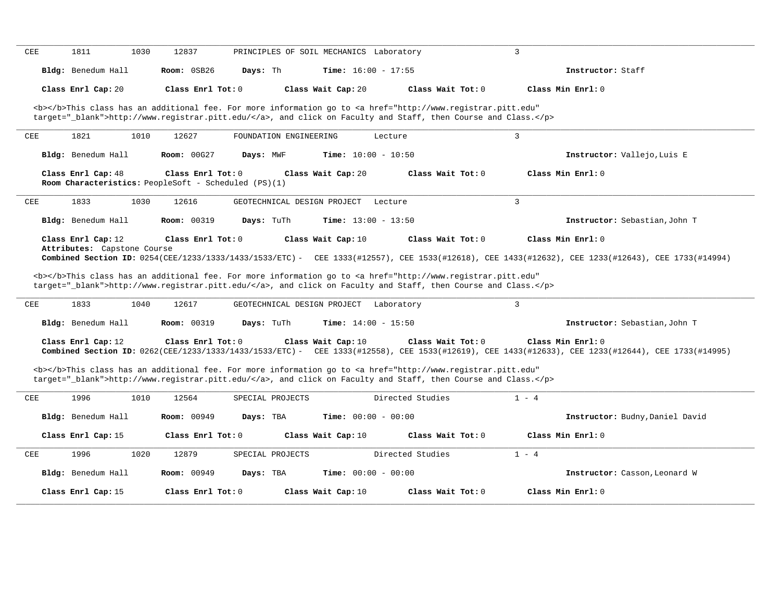|            | 1811                                              | 1030 | 12837               |                                                      | PRINCIPLES OF SOIL MECHANICS Laboratory |                                                                                                                                                                                                                                                         |                                                                                                                                                                        |  |
|------------|---------------------------------------------------|------|---------------------|------------------------------------------------------|-----------------------------------------|---------------------------------------------------------------------------------------------------------------------------------------------------------------------------------------------------------------------------------------------------------|------------------------------------------------------------------------------------------------------------------------------------------------------------------------|--|
|            | Bldg: Benedum Hall                                |      | Room: 0SB26         | Days: Th                                             | <b>Time:</b> $16:00 - 17:55$            |                                                                                                                                                                                                                                                         | Instructor: Staff                                                                                                                                                      |  |
|            | Class Enrl Cap: 20                                |      | Class Enrl Tot: $0$ |                                                      | Class Wait Cap: 20                      | Class Wait Tot: 0                                                                                                                                                                                                                                       | Class Min Enrl: 0                                                                                                                                                      |  |
|            |                                                   |      |                     |                                                      |                                         | <b></b> This class has an additional fee. For more information go to <a <br="" href="http://www.registrar.pitt.edu">target="_blank"&gt;http://www.registrar.pitt.edu/</a> , and click on Faculty and Staff, then Course and Class.                      |                                                                                                                                                                        |  |
| CEE        | 1821                                              | 1010 | 12627               | FOUNDATION ENGINEERING                               |                                         | Lecture                                                                                                                                                                                                                                                 | $\overline{3}$                                                                                                                                                         |  |
|            | Bldg: Benedum Hall                                |      | <b>Room: 00G27</b>  | Days: MWF                                            | <b>Time:</b> $10:00 - 10:50$            |                                                                                                                                                                                                                                                         | Instructor: Vallejo, Luis E                                                                                                                                            |  |
|            | Class Enrl Cap: 48                                |      | Class Enrl Tot: 0   | Room Characteristics: PeopleSoft - Scheduled (PS)(1) | Class Wait Cap: 20                      | Class Wait Tot: 0                                                                                                                                                                                                                                       | Class Min Enrl: 0                                                                                                                                                      |  |
| <b>CEE</b> | 1833                                              | 1030 | 12616               |                                                      | GEOTECHNICAL DESIGN PROJECT             | Lecture                                                                                                                                                                                                                                                 | $\overline{3}$                                                                                                                                                         |  |
|            | Bldg: Benedum Hall                                |      | Room: 00319         | Days: TuTh                                           | <b>Time:</b> $13:00 - 13:50$            |                                                                                                                                                                                                                                                         | Instructor: Sebastian, John T                                                                                                                                          |  |
|            | Class Enrl Cap: 12<br>Attributes: Capstone Course |      | Class Enrl Tot: 0   |                                                      |                                         |                                                                                                                                                                                                                                                         | Combined Section ID: 0254(CEE/1233/1333/1433/1533/ETC) - CEE 1333(#12557), CEE 1533(#12618), CEE 1433(#12632), CEE 1233(#12643), CEE 1733(#14994)                      |  |
|            | 1833                                              | 1040 | 12617               |                                                      | GEOTECHNICAL DESIGN PROJECT             | <b></b> This class has an additional fee. For more information go to <a <br="" href="http://www.registrar.pitt.edu">target="_blank"&gt;http://www.registrar.pitt.edu/</a> , and click on Faculty and Staff, then Course and Class.<br>Laboratory        | $\overline{3}$                                                                                                                                                         |  |
| <b>CEE</b> | Bldg: Benedum Hall                                |      | <b>Room: 00319</b>  | Days: TuTh                                           | <b>Time:</b> $14:00 - 15:50$            |                                                                                                                                                                                                                                                         | Instructor: Sebastian, John T                                                                                                                                          |  |
|            | Class Enrl Cap: 12                                |      | Class Enrl Tot: 0   |                                                      | Class Wait Cap: 10                      | Class Wait Tot: 0<br><b></b> This class has an additional fee. For more information go to <a <br="" href="http://www.registrar.pitt.edu">target="_blank"&gt;http://www.registrar.pitt.edu/</a> , and click on Faculty and Staff, then Course and Class. | Class Min Enrl: 0<br>Combined Section ID: 0262(CEE/1233/1333/1433/1533/ETC) - CEE 1333(#12558), CEE 1533(#12619), CEE 1433(#12633), CEE 1233(#12644), CEE 1733(#14995) |  |
|            | 1996                                              | 1010 | 12564               | SPECIAL PROJECTS                                     |                                         | Directed Studies                                                                                                                                                                                                                                        | $1 - 4$                                                                                                                                                                |  |
|            | Bldg: Benedum Hall                                |      | Room: 00949         | Days: TBA                                            | <b>Time:</b> $00:00 - 00:00$            |                                                                                                                                                                                                                                                         | Instructor: Budny, Daniel David                                                                                                                                        |  |
|            | Class Enrl Cap: 15                                |      | Class Enrl Tot: $0$ |                                                      | Class Wait Cap: 10                      | Class Wait Tot: $0$                                                                                                                                                                                                                                     | $Class Min Ernst: 0$                                                                                                                                                   |  |
|            | 1996                                              | 1020 | 12879               | SPECIAL PROJECTS                                     |                                         | Directed Studies                                                                                                                                                                                                                                        | $1 - 4$                                                                                                                                                                |  |
| CEE<br>CEE | Bldg: Benedum Hall                                |      | Room: 00949         | Days: TBA                                            | <b>Time:</b> $00:00 - 00:00$            |                                                                                                                                                                                                                                                         | Instructor: Casson, Leonard W                                                                                                                                          |  |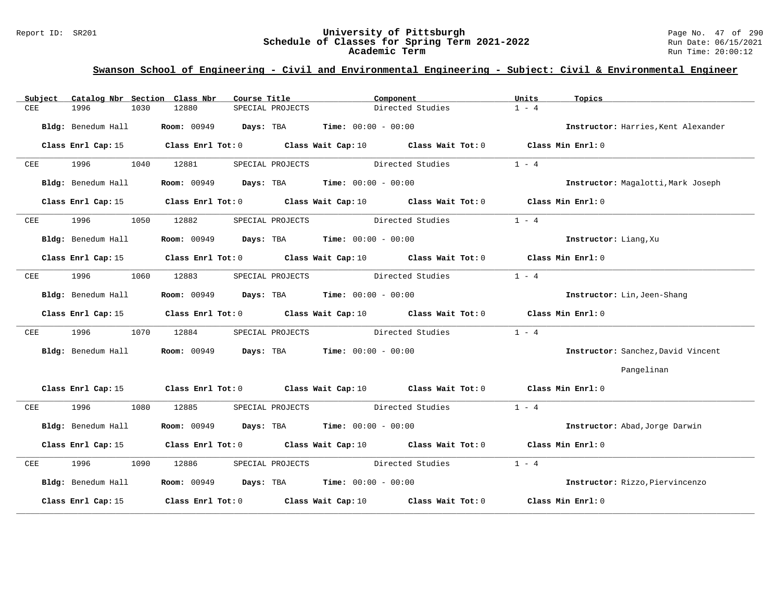### Report ID: SR201 **University of Pittsburgh** Page No. 47 of 290 **Schedule of Classes for Spring Term 2021-2022** Run Date: 06/15/2021 **Academic Term** Run Time: 20:00:12

| Subject                 |                    |      | Catalog Nbr Section Class Nbr            | Course Title |                  |                                                                  | Component                                                                                   | Units   | Topics                              |
|-------------------------|--------------------|------|------------------------------------------|--------------|------------------|------------------------------------------------------------------|---------------------------------------------------------------------------------------------|---------|-------------------------------------|
| CEE                     | 1996               | 1030 | 12880                                    |              | SPECIAL PROJECTS |                                                                  | Directed Studies                                                                            | $1 - 4$ |                                     |
|                         | Bldg: Benedum Hall |      |                                          |              |                  | <b>Room:</b> 00949 <b>Days:</b> TBA <b>Time:</b> $00:00 - 00:00$ |                                                                                             |         | Instructor: Harries, Kent Alexander |
|                         | Class Enrl Cap: 15 |      |                                          |              |                  |                                                                  | Class Enrl Tot: $0$ Class Wait Cap: $10$ Class Wait Tot: $0$ Class Min Enrl: $0$            |         |                                     |
| CEE                     | 1996               | 1040 | 12881                                    |              | SPECIAL PROJECTS |                                                                  | Directed Studies                                                                            | $1 - 4$ |                                     |
|                         | Bldg: Benedum Hall |      |                                          |              |                  | <b>Room:</b> 00949 <b>Days:</b> TBA <b>Time:</b> 00:00 - 00:00   |                                                                                             |         | Instructor: Magalotti, Mark Joseph  |
|                         | Class Enrl Cap: 15 |      |                                          |              |                  |                                                                  | Class Enrl Tot: $0$ Class Wait Cap: $10$ Class Wait Tot: $0$ Class Min Enrl: $0$            |         |                                     |
| CEE                     | 1996               | 1050 | 12882                                    |              |                  |                                                                  | SPECIAL PROJECTS Directed Studies                                                           | $1 - 4$ |                                     |
|                         | Bldg: Benedum Hall |      |                                          |              |                  | <b>Room:</b> 00949 <b>Days:</b> TBA <b>Time:</b> $00:00 - 00:00$ |                                                                                             |         | Instructor: Liang, Xu               |
|                         | Class Enrl Cap: 15 |      |                                          |              |                  |                                                                  | Class Enrl Tot: $0$ Class Wait Cap: $10$ Class Wait Tot: $0$ Class Min Enrl: $0$            |         |                                     |
| CEE                     | 1996               | 1060 | 12883                                    |              |                  |                                                                  | SPECIAL PROJECTS Directed Studies                                                           | $1 - 4$ |                                     |
|                         | Bldg: Benedum Hall |      |                                          |              |                  | <b>Room:</b> 00949 <b>Days:</b> TBA <b>Time:</b> $00:00 - 00:00$ |                                                                                             |         | Instructor: Lin, Jeen-Shang         |
|                         | Class Enrl Cap: 15 |      |                                          |              |                  |                                                                  | Class Enrl Tot: 0 Class Wait Cap: 10 Class Wait Tot: 0                                      |         | Class Min Enrl: 0                   |
| CEE                     | 1996               | 1070 | 12884                                    |              |                  | SPECIAL PROJECTS                                                 | Directed Studies                                                                            | $1 - 4$ |                                     |
|                         | Bldg: Benedum Hall |      |                                          |              |                  | <b>Room:</b> 00949 <b>Days:</b> TBA <b>Time:</b> 00:00 - 00:00   |                                                                                             |         | Instructor: Sanchez, David Vincent  |
|                         |                    |      |                                          |              |                  |                                                                  |                                                                                             |         | Pangelinan                          |
|                         |                    |      |                                          |              |                  |                                                                  | Class Enrl Cap: 15 Class Enrl Tot: 0 Class Wait Cap: 10 Class Wait Tot: 0 Class Min Enrl: 0 |         |                                     |
| CEE                     | 1996               | 1080 | 12885                                    |              |                  | SPECIAL PROJECTS Directed Studies                                |                                                                                             | $1 - 4$ |                                     |
|                         | Bldg: Benedum Hall |      |                                          |              |                  | <b>Room:</b> 00949 <b>Days:</b> TBA <b>Time:</b> $00:00 - 00:00$ |                                                                                             |         | Instructor: Abad, Jorge Darwin      |
|                         | Class Enrl Cap: 15 |      |                                          |              |                  |                                                                  | Class Enrl Tot: 0 Class Wait Cap: 10 Class Wait Tot: 0 Class Min Enrl: 0                    |         |                                     |
| $\overline{\text{CEE}}$ | 1996 1997          | 1090 | 12886                                    |              |                  | SPECIAL PROJECTS Directed Studies                                |                                                                                             | $1 - 4$ |                                     |
|                         | Bldg: Benedum Hall |      |                                          |              |                  | <b>Room:</b> 00949 <b>Days:</b> TBA <b>Time:</b> $00:00 - 00:00$ |                                                                                             |         | Instructor: Rizzo, Piervincenzo     |
|                         | Class Enrl Cap: 15 |      | Class Enrl Tot: $0$ Class Wait Cap: $10$ |              |                  |                                                                  | Class Wait Tot: 0                                                                           |         | Class Min Enrl: 0                   |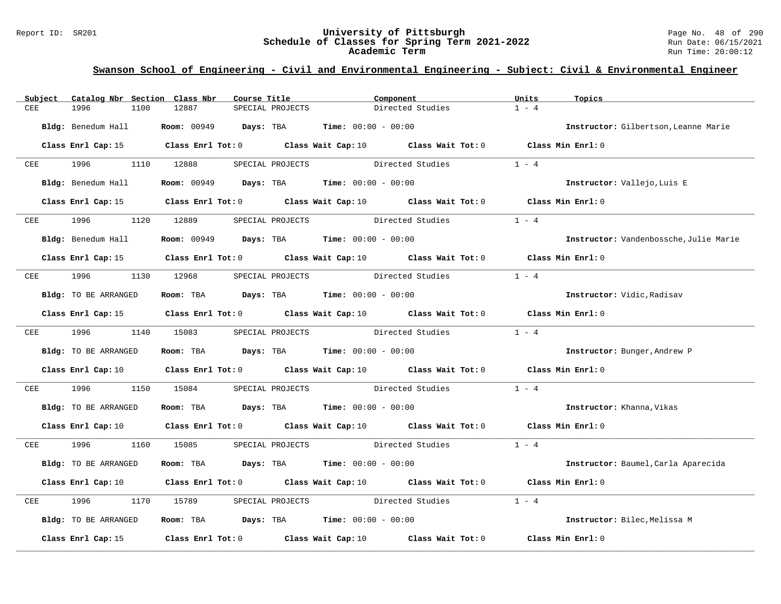#### Report ID: SR201 **University of Pittsburgh** Page No. 48 of 290 **Schedule of Classes for Spring Term 2021-2022** Run Date: 06/15/2021 **Academic Term** Run Time: 20:00:12

| Subject                  | Catalog Nbr Section Class Nbr | Course Title                                                                                                                    |                                   | Component                         | Units<br>Topics                        |  |
|--------------------------|-------------------------------|---------------------------------------------------------------------------------------------------------------------------------|-----------------------------------|-----------------------------------|----------------------------------------|--|
| CEE                      | 1996<br>1100                  | 12887<br>SPECIAL PROJECTS                                                                                                       |                                   | Directed Studies                  | $1 - 4$                                |  |
|                          | Bldg: Benedum Hall            | Room: 00949 Days: TBA                                                                                                           | <b>Time:</b> $00:00 - 00:00$      |                                   | Instructor: Gilbertson, Leanne Marie   |  |
|                          |                               | Class Enrl Cap: 15 Class Enrl Tot: 0 Class Wait Cap: 10 Class Wait Tot: 0 Class Min Enrl: 0                                     |                                   |                                   |                                        |  |
| <b>CEE</b>               | 1996 1110 12888               |                                                                                                                                 | SPECIAL PROJECTS Directed Studies |                                   | $1 - 4$                                |  |
|                          | Bldg: Benedum Hall            | <b>Room:</b> 00949 <b>Days:</b> TBA <b>Time:</b> 00:00 - 00:00                                                                  |                                   |                                   | Instructor: Vallejo, Luis E            |  |
|                          |                               | Class Enrl Cap: 15 Class Enrl Tot: 0 Class Wait Cap: 10 Class Wait Tot: 0 Class Min Enrl: 0                                     |                                   |                                   |                                        |  |
| $CEE$ and $CEE$ and $TE$ | 1996                          | 1120 12889                                                                                                                      | SPECIAL PROJECTS Directed Studies |                                   | $1 - 4$                                |  |
|                          | Bldg: Benedum Hall            | <b>Room:</b> 00949 <b>Days:</b> TBA <b>Time:</b> $00:00 - 00:00$                                                                |                                   |                                   | Instructor: Vandenbossche, Julie Marie |  |
|                          |                               | Class Enrl Cap: 15 Class Enrl Tot: 0 Class Wait Cap: 10 Class Wait Tot: 0 Class Min Enrl: 0                                     |                                   |                                   |                                        |  |
| CEE                      | 1996 1130 12968               |                                                                                                                                 | SPECIAL PROJECTS Directed Studies |                                   | $1 - 4$                                |  |
|                          | Bldg: TO BE ARRANGED          | Room: TBA $Days:$ TBA Time: $00:00 - 00:00$                                                                                     |                                   |                                   | <b>Instructor:</b> Vidic, Radisav      |  |
|                          |                               | Class Enrl Cap: 15 Class Enrl Tot: 0 Class Wait Cap: 10 Class Wait Tot: 0 Class Min Enrl: 0                                     |                                   |                                   |                                        |  |
|                          | CEE 1996 1140 15083           |                                                                                                                                 |                                   | SPECIAL PROJECTS Directed Studies | $1 - 4$                                |  |
|                          | Bldg: TO BE ARRANGED          | Room: TBA Days: TBA Time: $00:00 - 00:00$                                                                                       |                                   |                                   | Instructor: Bunger, Andrew P           |  |
|                          |                               | Class Enrl Cap: 10 Class Enrl Tot: 0 Class Wait Cap: 10 Class Wait Tot: 0                                                       |                                   |                                   | Class Min Enrl: 0                      |  |
| CEE                      | 1996<br>1150                  | 15084                                                                                                                           | SPECIAL PROJECTS Directed Studies |                                   | $1 - 4$                                |  |
|                          | Bldg: TO BE ARRANGED          | Room: TBA $Days:$ TBA $Time: 00:00 - 00:00$                                                                                     |                                   |                                   | Instructor: Khanna, Vikas              |  |
|                          |                               | Class Enrl Cap: 10 $\qquad$ Class Enrl Tot: 0 $\qquad$ Class Wait Cap: 10 $\qquad$ Class Wait Tot: 0 $\qquad$ Class Min Enrl: 0 |                                   |                                   |                                        |  |
|                          | CEE 1996                      | 1160 15085                                                                                                                      |                                   | SPECIAL PROJECTS Directed Studies | $1 - 4$                                |  |
|                          | Bldg: TO BE ARRANGED          | Room: TBA $Days:$ TBA $Time: 00:00 - 00:00$                                                                                     |                                   |                                   | Instructor: Baumel, Carla Aparecida    |  |
|                          |                               | Class Enrl Cap: 10 Class Enrl Tot: 0 Class Wait Cap: 10 Class Wait Tot: 0                                                       |                                   |                                   | Class Min Enrl: 0                      |  |
| CEE                      | 1996<br>1170                  | 15789                                                                                                                           |                                   | SPECIAL PROJECTS Directed Studies | $1 - 4$                                |  |
|                          | Bldg: TO BE ARRANGED          | Room: TBA $Days:$ TBA $Time: 00:00 - 00:00$                                                                                     |                                   |                                   | Instructor: Bilec, Melissa M           |  |
|                          | Class Enrl Cap: 15            | Class Enrl Tot: 0 Class Wait Cap: 10                                                                                            |                                   | Class Wait Tot: 0                 | Class Min Enrl: 0                      |  |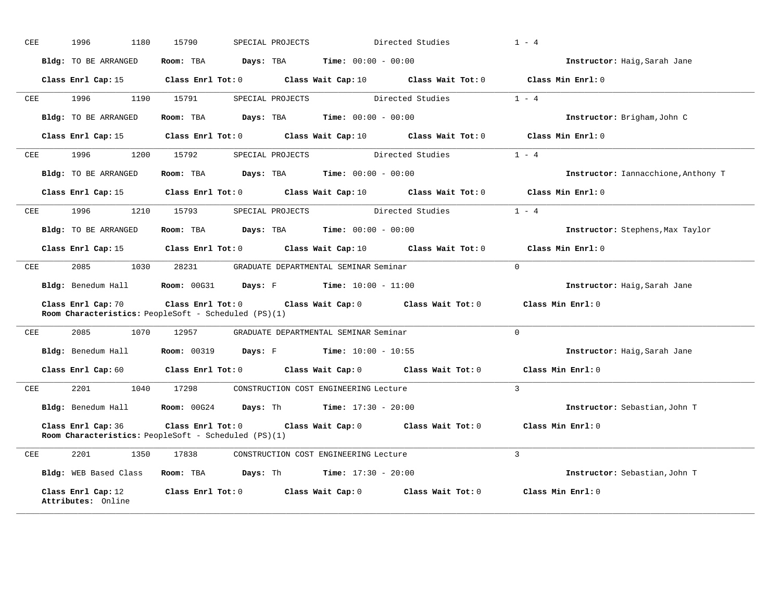| CEE | 1996<br>1180                             | 15790                                                | SPECIAL PROJECTS                                                                                     | Directed Studies | $1 - 4$                             |
|-----|------------------------------------------|------------------------------------------------------|------------------------------------------------------------------------------------------------------|------------------|-------------------------------------|
|     | Bldg: TO BE ARRANGED                     |                                                      | Room: TBA $Days: TBA$ Time: $00:00 - 00:00$                                                          |                  | Instructor: Haig, Sarah Jane        |
|     |                                          |                                                      | Class Enrl Cap: 15 Class Enrl Tot: 0 Class Wait Cap: 10 Class Wait Tot: 0 Class Min Enrl: 0          |                  |                                     |
| CEE | 1996 — 1996                              | 1190 15791                                           | SPECIAL PROJECTS                                                                                     | Directed Studies | $1 - 4$                             |
|     | Bldg: TO BE ARRANGED                     |                                                      | Room: TBA $Days:$ TBA $Time: 00:00 - 00:00$                                                          |                  | Instructor: Brigham, John C         |
|     | Class Enrl Cap: 15                       |                                                      | Class Enrl Tot: $0$ Class Wait Cap: $10$ Class Wait Tot: $0$                                         |                  | Class Min Enrl: 0                   |
| CEE | 1996<br>1200                             | 15792                                                | SPECIAL PROJECTS Directed Studies                                                                    |                  | $1 - 4$                             |
|     | Bldg: TO BE ARRANGED                     |                                                      | Room: TBA $Days: TBA$ Time: $00:00 - 00:00$                                                          |                  | Instructor: Iannacchione, Anthony T |
|     |                                          |                                                      | Class Enrl Cap: 15 $\qquad$ Class Enrl Tot: 0 $\qquad$ Class Wait Cap: 10 $\qquad$ Class Wait Tot: 0 |                  | Class Min $Err1:0$                  |
| CEE | 1996 — 1996                              | 1210 15793                                           | SPECIAL PROJECTS Directed Studies                                                                    |                  | $1 - 4$                             |
|     | Bldg: TO BE ARRANGED                     |                                                      | Room: TBA $Days:$ TBA $Time: 00:00 - 00:00$                                                          |                  | Instructor: Stephens, Max Taylor    |
|     |                                          |                                                      | Class Enrl Cap: 15 Class Enrl Tot: 0 Class Wait Cap: 10 Class Wait Tot: 0                            |                  | Class Min Enrl: 0                   |
| CEE |                                          |                                                      | 2085 1030 28231 GRADUATE DEPARTMENTAL SEMINAR Seminar                                                |                  | $\Omega$                            |
|     |                                          |                                                      | Bldg: Benedum Hall <b>Room:</b> $00G31$ <b>Days:</b> F <b>Time:</b> $10:00 - 11:00$                  |                  | Instructor: Haig, Sarah Jane        |
|     | Class Enrl Cap: 70                       | Room Characteristics: PeopleSoft - Scheduled (PS)(1) | Class Enrl Tot: $0$ Class Wait Cap: $0$ Class Wait Tot: $0$ Class Min Enrl: $0$                      |                  |                                     |
| CEE | 2085<br>1070                             | 12957                                                | GRADUATE DEPARTMENTAL SEMINAR Seminar                                                                |                  | $\mathbf 0$                         |
|     |                                          |                                                      | <b>Bldg:</b> Benedum Hall <b>Room:</b> 00319 <b>Days:</b> F <b>Time:</b> $10:00 - 10:55$             |                  | <b>Instructor:</b> Haig, Sarah Jane |
|     |                                          |                                                      | Class Enrl Cap: 60 Class Enrl Tot: 0 Class Wait Cap: 0 Class Wait Tot: 0                             |                  | Class Min Enrl: 0                   |
| CEE | 2201 1040 17298                          |                                                      | CONSTRUCTION COST ENGINEERING Lecture                                                                |                  | $\mathcal{L}$                       |
|     |                                          |                                                      | Bldg: Benedum Hall <b>Room:</b> 00G24 <b>Days:</b> Th <b>Time:</b> 17:30 - 20:00                     |                  | Instructor: Sebastian, John T       |
|     | Class Enrl Cap: 36                       | Room Characteristics: PeopleSoft - Scheduled (PS)(1) | Class Enrl Tot: $0$ Class Wait Cap: $0$ Class Wait Tot: $0$ Class Min Enrl: $0$                      |                  |                                     |
| CEE | 2201 1350                                | 17838                                                | CONSTRUCTION COST ENGINEERING Lecture                                                                |                  | $\mathbf{3}$                        |
|     | Bldg: WEB Based Class                    |                                                      | <b>Room:</b> TBA <b>Days:</b> Th <b>Time:</b> $17:30 - 20:00$                                        |                  | Instructor: Sebastian, John T       |
|     | Class Enrl Cap: 12<br>Attributes: Online |                                                      | Class Enrl Tot: 0 Class Wait Cap: 0 Class Wait Tot: 0                                                |                  | Class Min Enrl: 0                   |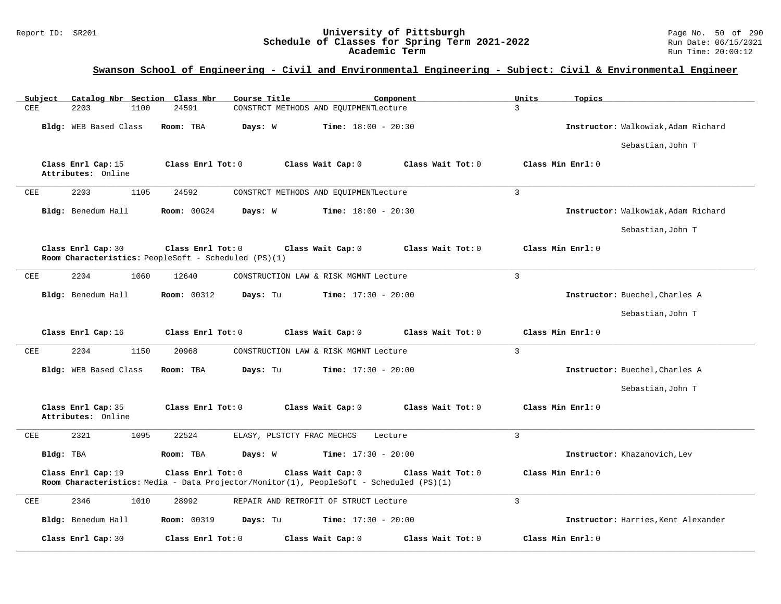### Report ID: SR201 **University of Pittsburgh** Page No. 50 of 290 **Schedule of Classes for Spring Term 2021-2022** Run Date: 06/15/2021 **Academic Term** Run Time: 20:00:12

| Subject<br>Catalog Nbr Section Class Nbr | Course Title                                                                                                 | Component                              | Units<br>Topics                     |
|------------------------------------------|--------------------------------------------------------------------------------------------------------------|----------------------------------------|-------------------------------------|
| CEE<br>2203<br>1100                      | 24591                                                                                                        | CONSTRCT METHODS AND EQUIPMENTLecture  | $\overline{3}$                      |
| Bldg: WEB Based Class                    | Room: TBA<br>Days: W                                                                                         | <b>Time:</b> $18:00 - 20:30$           | Instructor: Walkowiak, Adam Richard |
|                                          |                                                                                                              |                                        | Sebastian, John T                   |
| Class Enrl Cap: 15<br>Attributes: Online | Class Enrl Tot: 0                                                                                            | Class Wait Cap: 0<br>Class Wait Tot: 0 | Class Min Enrl: 0                   |
| 2203<br>CEE<br>1105                      | 24592                                                                                                        | CONSTRCT METHODS AND EQUIPMENTLecture  | 3                                   |
| Bldg: Benedum Hall                       | <b>Room: 00G24</b><br>Days: W                                                                                | <b>Time:</b> $18:00 - 20:30$           | Instructor: Walkowiak, Adam Richard |
|                                          |                                                                                                              |                                        | Sebastian, John T                   |
| Class Enrl Cap: 30                       | Class Enrl Tot: 0<br>Room Characteristics: PeopleSoft - Scheduled (PS)(1)                                    | Class Wait Cap: 0<br>Class Wait Tot: 0 | Class Min Enrl: 0                   |
| CEE<br>2204<br>1060                      | 12640                                                                                                        | CONSTRUCTION LAW & RISK MGMNT Lecture  | 3                                   |
| Bldg: Benedum Hall                       | <b>Room: 00312</b><br>Days: Tu                                                                               | <b>Time:</b> $17:30 - 20:00$           | Instructor: Buechel, Charles A      |
|                                          |                                                                                                              |                                        | Sebastian, John T                   |
| Class Enrl Cap: 16                       | Class Enrl Tot: 0                                                                                            | Class Wait Cap: 0<br>Class Wait Tot: 0 | Class Min Enrl: 0                   |
| 2204<br>CEE<br>1150                      | 20968                                                                                                        | CONSTRUCTION LAW & RISK MGMNT Lecture  | $\overline{3}$                      |
| Bldg: WEB Based Class                    | Days: Tu<br>Room: TBA                                                                                        | <b>Time:</b> $17:30 - 20:00$           | Instructor: Buechel, Charles A      |
|                                          |                                                                                                              |                                        | Sebastian, John T                   |
| Class Enrl Cap: 35<br>Attributes: Online | Class Enrl Tot: 0                                                                                            | Class Wait Cap: 0<br>Class Wait Tot: 0 | Class Min Enrl: 0                   |
| 2321<br>1095<br>CEE                      | 22524<br>ELASY, PLSTCTY FRAC MECHCS                                                                          | Lecture                                | 3                                   |
| Bldg: TBA                                | Days: W<br>Room: TBA                                                                                         | <b>Time:</b> $17:30 - 20:00$           | Instructor: Khazanovich, Lev        |
| Class Enrl Cap: 19                       | Class Enrl Tot: 0<br>Room Characteristics: Media - Data Projector/Monitor(1), PeopleSoft - Scheduled (PS)(1) | Class Wait Cap: 0<br>Class Wait Tot: 0 | Class Min Enrl: 0                   |
| <b>CEE</b><br>2346<br>1010               | 28992                                                                                                        | REPAIR AND RETROFIT OF STRUCT Lecture  | 3                                   |
| Bldg: Benedum Hall                       | <b>Room: 00319</b><br>Days: Tu                                                                               | <b>Time:</b> $17:30 - 20:00$           | Instructor: Harries, Kent Alexander |
| Class Enrl Cap: 30                       | Class Enrl Tot: 0                                                                                            | Class Wait Cap: 0<br>Class Wait Tot: 0 | Class Min Enrl: 0                   |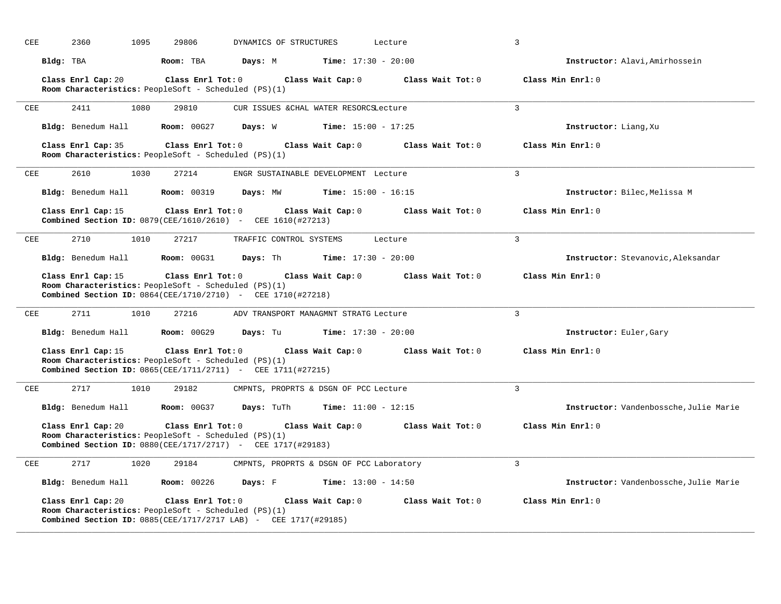| CEE | 1095<br>2360                                                                                                                                  | 29806              | DYNAMICS OF STRUCTURES                   |                              | Lecture           | $\mathbf{3}$                           |
|-----|-----------------------------------------------------------------------------------------------------------------------------------------------|--------------------|------------------------------------------|------------------------------|-------------------|----------------------------------------|
|     | Bldg: TBA                                                                                                                                     | Room: TBA          | Days: M                                  | <b>Time:</b> $17:30 - 20:00$ |                   | Instructor: Alavi, Amirhossein         |
|     | Class Enrl Cap: 20<br>Room Characteristics: PeopleSoft - Scheduled (PS)(1)                                                                    | Class Enrl Tot: 0  |                                          | Class Wait Cap: 0            | Class Wait Tot: 0 | Class Min Enrl: 0                      |
| CEE | 1080<br>2411                                                                                                                                  | 29810              | CUR ISSUES & CHAL WATER RESORCSLecture   |                              |                   | 3                                      |
|     | Bldg: Benedum Hall                                                                                                                            | <b>Room: 00G27</b> | Days: W                                  | <b>Time:</b> $15:00 - 17:25$ |                   | Instructor: Liang, Xu                  |
|     | Class Enrl Cap: 35<br>Room Characteristics: PeopleSoft - Scheduled (PS)(1)                                                                    | Class Enrl Tot: 0  |                                          | Class Wait Cap: 0            | Class Wait Tot: 0 | Class Min Enrl: 0                      |
| CEE | 1030<br>2610                                                                                                                                  | 27214              | ENGR SUSTAINABLE DEVELOPMENT Lecture     |                              |                   | $\overline{3}$                         |
|     | Bldg: Benedum Hall                                                                                                                            | <b>Room: 00319</b> | Days: MW                                 | <b>Time:</b> $15:00 - 16:15$ |                   | Instructor: Bilec, Melissa M           |
|     | Class Enrl Cap: 15<br><b>Combined Section ID:</b> 0879(CEE/1610/2610) - CEE 1610(#27213)                                                      | Class Enrl Tot: 0  |                                          | Class Wait Cap: 0            | Class Wait Tot: 0 | Class Min Enrl: 0                      |
| CEE | 1010<br>2710                                                                                                                                  | 27217              | TRAFFIC CONTROL SYSTEMS                  |                              | Lecture           | $\overline{3}$                         |
|     | Bldg: Benedum Hall                                                                                                                            | <b>Room: 00G31</b> | Days: Th                                 | <b>Time:</b> $17:30 - 20:00$ |                   | Instructor: Stevanovic, Aleksandar     |
|     | Class Enrl Cap: 15                                                                                                                            | Class Enrl Tot: 0  |                                          | Class Wait Cap: 0            | Class Wait Tot: 0 | Class Min Enrl: 0                      |
|     | Room Characteristics: PeopleSoft - Scheduled (PS)(1)<br>Combined Section ID: 0864(CEE/1710/2710) - CEE 1710(#27218)                           |                    |                                          |                              |                   |                                        |
| CEE | 2711<br>1010                                                                                                                                  | 27216              | ADV TRANSPORT MANAGMNT STRATG Lecture    |                              |                   | $\overline{3}$                         |
|     | Bldg: Benedum Hall                                                                                                                            | Room: 00G29        | Days: Tu                                 | <b>Time:</b> $17:30 - 20:00$ |                   | Instructor: Euler, Gary                |
|     | Class Enrl Cap: 15<br>Room Characteristics: PeopleSoft - Scheduled (PS)(1)                                                                    | Class Enrl Tot: 0  |                                          | Class Wait Cap: 0            | Class Wait Tot: 0 | Class Min Enrl: 0                      |
|     | <b>Combined Section ID:</b> $0865(CEE/1711/2711)$ - CEE 1711(#27215)                                                                          |                    |                                          |                              |                   |                                        |
| CEE | 2717<br>1010                                                                                                                                  | 29182              | CMPNTS, PROPRTS & DSGN OF PCC Lecture    |                              |                   | 3                                      |
|     | Bldg: Benedum Hall                                                                                                                            | Room: 00G37        | Days: TuTh                               | <b>Time:</b> $11:00 - 12:15$ |                   | Instructor: Vandenbossche, Julie Marie |
|     | Class Enrl Cap: 20<br>Room Characteristics: PeopleSoft - Scheduled (PS)(1)<br>Combined Section ID: 0880(CEE/1717/2717) - CEE 1717(#29183)     | Class Enrl Tot: 0  |                                          | Class Wait Cap: 0            | Class Wait Tot: 0 | Class Min Enrl: 0                      |
| CEE | 2717<br>1020                                                                                                                                  | 29184              | CMPNTS, PROPRTS & DSGN OF PCC Laboratory |                              |                   | 3                                      |
|     | Bldg: Benedum Hall                                                                                                                            | <b>Room: 00226</b> | Days: F                                  | <b>Time:</b> $13:00 - 14:50$ |                   | Instructor: Vandenbossche, Julie Marie |
|     | Class Enrl Cap: 20<br>Room Characteristics: PeopleSoft - Scheduled (PS)(1)<br>Combined Section ID: 0885(CEE/1717/2717 LAB) - CEE 1717(#29185) | Class Enrl Tot: 0  |                                          | Class Wait Cap: 0            | Class Wait Tot: 0 | Class Min Enrl: 0                      |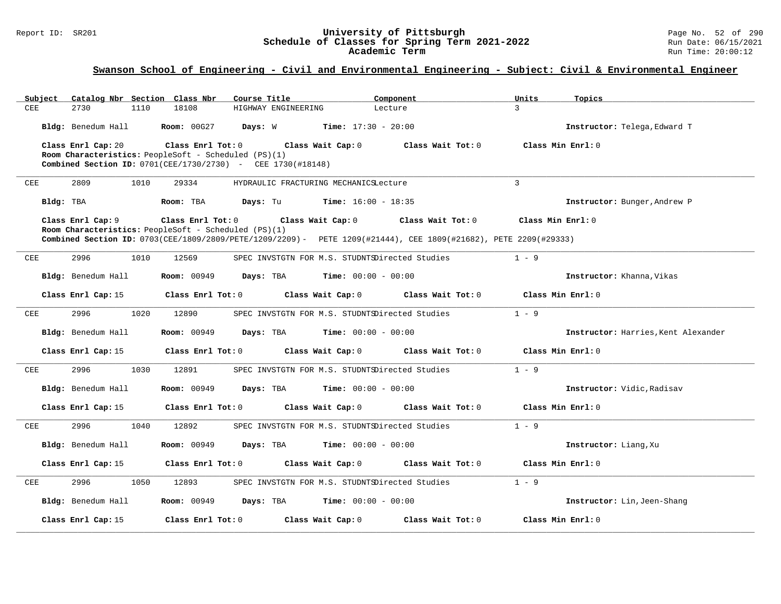### Report ID: SR201 **University of Pittsburgh** Page No. 52 of 290 **Schedule of Classes for Spring Term 2021-2022** Run Date: 06/15/2021 **Academic Term** Run Time: 20:00:12

| Subject    | Catalog Nbr Section Class Nbr |                                                                        | Course Title                                                                                                     | Component         | Units             | Topics                              |
|------------|-------------------------------|------------------------------------------------------------------------|------------------------------------------------------------------------------------------------------------------|-------------------|-------------------|-------------------------------------|
| CEE        | 2730<br>1110                  | 18108                                                                  | HIGHWAY ENGINEERING                                                                                              | Lecture           | 3                 |                                     |
|            | Bldg: Benedum Hall            | <b>Room: 00G27</b>                                                     | Days: W<br>$Time: 17:30 - 20:00$                                                                                 |                   |                   | Instructor: Telega, Edward T        |
|            | Class Enrl Cap: 20            | Class $Enr1$ Tot: $0$                                                  | Class Wait Cap: 0                                                                                                | Class Wait Tot: 0 | Class Min Enrl: 0 |                                     |
|            |                               | <b>Room Characteristics:</b> PeopleSoft - Scheduled (PS)(1)            |                                                                                                                  |                   |                   |                                     |
|            |                               | <b>Combined Section ID:</b> $0701(CEE/1730/2730)$ - CEE $1730(#18148)$ |                                                                                                                  |                   |                   |                                     |
| CEE        | 2809<br>1010                  | 29334                                                                  | HYDRAULIC FRACTURING MECHANICSLecture                                                                            |                   | $\mathbf{3}$      |                                     |
|            | Bldg: TBA                     | Room: TBA                                                              | Days: Tu<br><b>Time:</b> $16:00 - 18:35$                                                                         |                   |                   | Instructor: Bunger, Andrew P        |
|            | Class Enrl Cap: 9             | Class Enrl Tot: 0                                                      | Class Wait Cap: 0                                                                                                | Class Wait Tot: 0 | Class Min Enrl: 0 |                                     |
|            |                               | Room Characteristics: PeopleSoft - Scheduled (PS)(1)                   | Combined Section ID: 0703(CEE/1809/2809/PETE/1209/2209) - PETE 1209(#21444), CEE 1809(#21682), PETE 2209(#29333) |                   |                   |                                     |
| CEE        | 2996<br>1010                  | 12569                                                                  | SPEC INVSTGTN FOR M.S. STUDNTSDirected Studies                                                                   |                   | $1 - 9$           |                                     |
|            | Bldg: Benedum Hall            | <b>Room:</b> 00949                                                     | <b>Days:</b> TBA <b>Time:</b> $00:00 - 00:00$                                                                    |                   |                   | Instructor: Khanna, Vikas           |
|            | Class Enrl Cap: 15            | Class Enrl Tot: 0                                                      | Class Wait Cap: 0                                                                                                | Class Wait Tot: 0 | Class Min Enrl: 0 |                                     |
| CEE        | 2996<br>1020                  | 12890                                                                  | SPEC INVSTGTN FOR M.S. STUDNTSDirected Studies                                                                   |                   | $1 - 9$           |                                     |
|            | Bldg: Benedum Hall            | <b>Room: 00949</b>                                                     | <b>Days:</b> TBA <b>Time:</b> $00:00 - 00:00$                                                                    |                   |                   | Instructor: Harries, Kent Alexander |
|            | Class Enrl Cap: 15            | Class Enrl Tot: 0                                                      | Class Wait Cap: 0                                                                                                | Class Wait Tot: 0 | Class Min Enrl: 0 |                                     |
| CEE        | 2996<br>1030                  | 12891                                                                  | SPEC INVSTGTN FOR M.S. STUDNTSDirected Studies                                                                   |                   | $1 - 9$           |                                     |
|            | Bldg: Benedum Hall            | <b>Room: 00949</b>                                                     | $Time: 00:00 - 00:00$<br>Days: TBA                                                                               |                   |                   | Instructor: Vidic, Radisav          |
|            | Class Enrl Cap: 15            | Class Enrl Tot: 0                                                      | Class Wait Cap: 0                                                                                                | Class Wait Tot: 0 | Class Min Enrl: 0 |                                     |
| <b>CEE</b> | 2996<br>1040                  | 12892                                                                  | SPEC INVSTGTN FOR M.S. STUDNTSDirected Studies                                                                   |                   | $1 - 9$           |                                     |
|            | Bldg: Benedum Hall            | <b>Room:</b> 00949                                                     | <b>Days:</b> TBA <b>Time:</b> $00:00 - 00:00$                                                                    |                   |                   | Instructor: Liang, Xu               |
|            | Class Enrl Cap: 15            | Class Enrl Tot: 0                                                      | Class Wait Cap: 0                                                                                                | Class Wait Tot: 0 | Class Min Enrl: 0 |                                     |
| CEE        | 2996<br>1050                  | 12893                                                                  | SPEC INVSTGTN FOR M.S. STUDNTSDirected Studies                                                                   |                   | $1 - 9$           |                                     |
|            | Bldg: Benedum Hall            | <b>Room: 00949</b>                                                     | Days: TBA<br>$Time: 00:00 - 00:00$                                                                               |                   |                   | Instructor: Lin, Jeen-Shang         |
|            | Class Enrl Cap: 15            | Class Enrl Tot: 0                                                      | Class Wait Cap: 0                                                                                                | Class Wait Tot: 0 | Class Min Enrl: 0 |                                     |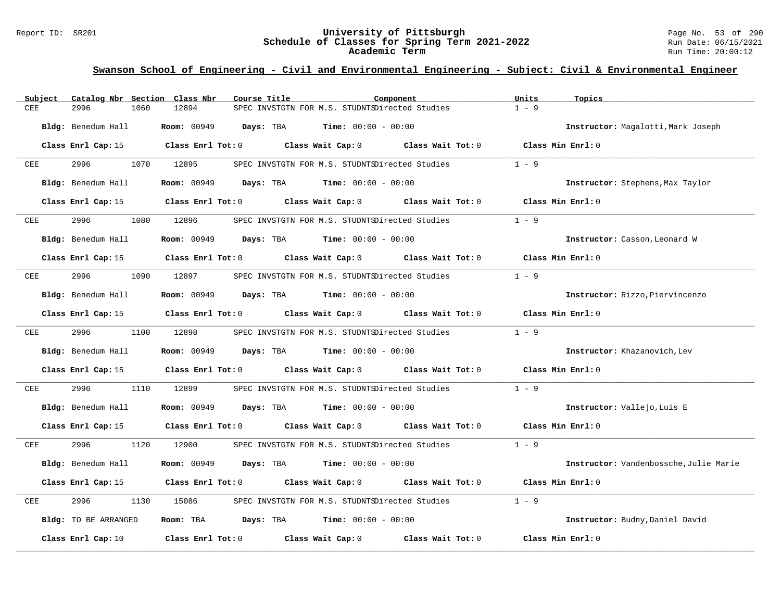#### Report ID: SR201 **University of Pittsburgh** Page No. 53 of 290 **Schedule of Classes for Spring Term 2021-2022** Run Date: 06/15/2021 **Academic Term** Run Time: 20:00:12

| Catalog Nbr Section Class Nbr<br>Subject | Course Title                                                                                    | Component         | Units<br>Topics                        |
|------------------------------------------|-------------------------------------------------------------------------------------------------|-------------------|----------------------------------------|
| CEE<br>2996<br>1060                      | 12894<br>SPEC INVSTGTN FOR M.S. STUDNTSDirected Studies                                         |                   | $1 - 9$                                |
| Bldg: Benedum Hall                       | <b>Room:</b> 00949 <b>Days:</b> TBA <b>Time:</b> $00:00 - 00:00$                                |                   | Instructor: Magalotti, Mark Joseph     |
|                                          | Class Enrl Cap: 15 Class Enrl Tot: 0 Class Wait Cap: 0 Class Wait Tot: 0 Class Min Enrl: 0      |                   |                                        |
| 2996<br>CEE                              | 1070 12895<br>SPEC INVSTGTN FOR M.S. STUDNTSDirected Studies                                    |                   | $1 - 9$                                |
| Bldg: Benedum Hall                       | <b>Days:</b> TBA <b>Time:</b> $00:00 - 00:00$<br><b>Room:</b> 00949                             |                   | Instructor: Stephens, Max Taylor       |
|                                          | Class Enrl Cap: 15 Class Enrl Tot: 0 Class Wait Cap: 0 Class Wait Tot: 0                        |                   | Class Min Enrl: 0                      |
| 2996<br>CEE                              | 1080 12896<br>SPEC INVSTGTN FOR M.S. STUDNTSDirected Studies                                    |                   | $1 - 9$                                |
| Bldg: Benedum Hall                       | <b>Room:</b> $00949$ <b>Days:</b> TBA <b>Time:</b> $00:00 - 00:00$                              |                   | Instructor: Casson, Leonard W          |
|                                          | Class Enrl Cap: 15 (Class Enrl Tot: 0 (Class Wait Cap: 0 (Class Wait Tot: 0                     |                   | Class Min Enrl: 0                      |
| 2996<br>CEE                              | 1090 12897<br>SPEC INVSTGTN FOR M.S. STUDNTSDirected Studies                                    |                   | $1 - 9$                                |
| Bldg: Benedum Hall                       | <b>Room:</b> 00949 <b>Days:</b> TBA <b>Time:</b> $00:00 - 00:00$                                |                   | Instructor: Rizzo, Piervincenzo        |
|                                          | Class Enrl Cap: 15 (Class Enrl Tot: 0 (Class Wait Cap: 0 (Class Wait Tot: 0 (Class Min Enrl: 0) |                   |                                        |
| 2996 7<br>CEE                            | 1100 12898<br>SPEC INVSTGTN FOR M.S. STUDNTSDirected Studies                                    |                   | $1 - 9$                                |
| Bldg: Benedum Hall                       | <b>Room:</b> 00949 <b>Days:</b> TBA <b>Time:</b> $00:00 - 00:00$                                |                   | Instructor: Khazanovich, Lev           |
|                                          | Class Enrl Cap: 15 (class Enrl Tot: 0 (class Wait Cap: 0 (class Wait Tot: 0)                    |                   | Class Min Enrl: 0                      |
| CEE<br>2996<br>1110                      | 12899<br>SPEC INVSTGTN FOR M.S. STUDNTSDirected Studies                                         |                   | $1 - 9$                                |
| Bldg: Benedum Hall                       | <b>Room:</b> 00949 <b>Days:</b> TBA <b>Time:</b> $00:00 - 00:00$                                |                   | Instructor: Vallejo, Luis E            |
|                                          | Class Enrl Cap: 15 Class Enrl Tot: 0 Class Wait Cap: 0 Class Wait Tot: 0 Class Min Enrl: 0      |                   |                                        |
| 2996<br>CEE                              | 1120 12900<br>SPEC INVSTGTN FOR M.S. STUDNTSDirected Studies                                    |                   | $1 - 9$                                |
| Bldg: Benedum Hall                       | <b>Room: 00949</b><br><b>Days:</b> TBA <b>Time:</b> $00:00 - 00:00$                             |                   | Instructor: Vandenbossche, Julie Marie |
|                                          | Class Enrl Cap: 15 (class Enrl Tot: 0 (class Wait Cap: 0 (class Wait Tot: 0)                    |                   | Class Min Enrl: 0                      |
| 2996<br>1130<br>CEE                      | 15086<br>SPEC INVSTGTN FOR M.S. STUDNTSDirected Studies                                         |                   | $1 - 9$                                |
| Bldg: TO BE ARRANGED                     | Room: TBA $Days:$ TBA $Time: 00:00 - 00:00$                                                     |                   | Instructor: Budny, Daniel David        |
| Class Enrl Cap: 10                       | Class Enrl Tot: 0 Class Wait Cap: 0                                                             | Class Wait Tot: 0 | Class Min Enrl: 0                      |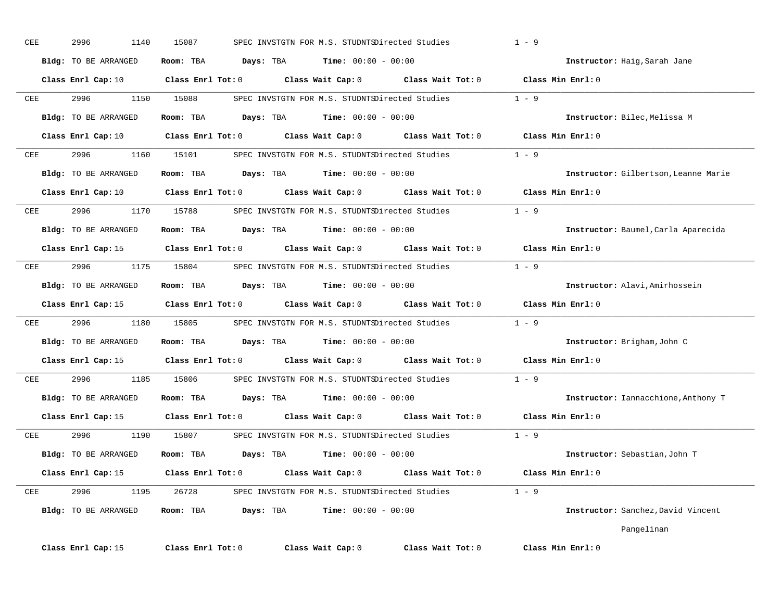| CEE | 2996<br>1140                | 15087                                                                                               | SPEC INVSTGTN FOR M.S. STUDNTSDirected Studies      |                                                            | $1 - 9$                              |
|-----|-----------------------------|-----------------------------------------------------------------------------------------------------|-----------------------------------------------------|------------------------------------------------------------|--------------------------------------|
|     | Bldg: TO BE ARRANGED        | Room: TBA<br>Days: TBA                                                                              | <b>Time:</b> $00:00 - 00:00$                        |                                                            | Instructor: Haig, Sarah Jane         |
|     | $Class$ $Enrl$ $Cap:10$     | $Class$ $Enrl$ $Tot: 0$                                                                             |                                                     | Class Wait Cap: 0 Class Wait Tot: 0                        | Class Min Enrl: 0                    |
| CEE | 2996<br>1150                | 15088                                                                                               | SPEC INVSTGTN FOR M.S. STUDNTSDirected Studies      |                                                            | $1 - 9$                              |
|     | <b>Bldg:</b> TO BE ARRANGED | Room: TBA                                                                                           | <b>Days:</b> TBA <b>Time:</b> $00:00 - 00:00$       |                                                            | Instructor: Bilec, Melissa M         |
|     | Class Enrl Cap: 10          | Class Enrl Tot: 0 Class Wait Cap: 0 Class Wait Tot: 0                                               |                                                     |                                                            | Class Min Enrl: 0                    |
| CEE | 2996<br>1160                | 15101                                                                                               |                                                     | SPEC INVSTGTN FOR M.S. STUDNTSDirected Studies 1 - 9       |                                      |
|     | Bldg: TO BE ARRANGED        | Room: TBA<br>Days: TBA                                                                              | $Time: 00:00 - 00:00$                               |                                                            | Instructor: Gilbertson, Leanne Marie |
|     | Class Enrl Cap: 10          | Class Enrl Tot: 0 $\qquad$ Class Wait Cap: 0 $\qquad$ Class Wait Tot: 0 $\qquad$ Class Min Enrl: 0  |                                                     |                                                            |                                      |
| CEE | 2996<br>1170                | 15788                                                                                               | SPEC INVSTGTN FOR M.S. STUDNTSDirected Studies      |                                                            | $1 - 9$                              |
|     | Bldg: TO BE ARRANGED        | Room: TBA<br>Days: TBA                                                                              | $Time: 00:00 - 00:00$                               |                                                            | Instructor: Baumel, Carla Aparecida  |
|     |                             | Class Enrl Cap: 15 $\qquad$ Class Enrl Tot: 0 $\qquad$ Class Wait Cap: 0 $\qquad$ Class Wait Tot: 0 |                                                     |                                                            | Class Min Enrl: 0                    |
| CEE | 2996                        | 1175 15804                                                                                          |                                                     | SPEC INVSTGTN FOR M.S. STUDNTSDirected Studies 1 - 9       |                                      |
|     | Bldg: TO BE ARRANGED        | Room: TBA                                                                                           | $\texttt{Days:}$ TBA $\texttt{Time:}$ 00:00 - 00:00 |                                                            | Instructor: Alavi, Amirhossein       |
|     | Class Enrl Cap: 15          | Class Enrl Tot: 0                                                                                   |                                                     | Class Wait Cap: 0 Class Wait Tot: 0                        | Class Min Enrl: 0                    |
| CEE | 2996 — 100<br>1180          | 15805                                                                                               |                                                     | SPEC INVSTGTN FOR M.S. STUDNTSDirected Studies 1 - 9       |                                      |
|     | Bldg: TO BE ARRANGED        | Room: TBA                                                                                           | <b>Days:</b> TBA <b>Time:</b> $00:00 - 00:00$       |                                                            | Instructor: Brigham, John C          |
|     | Class Enrl Cap: 15          | $Class$ $Enr1$ $Tot: 0$                                                                             |                                                     | $\texttt{Class Nat Cap: 0}$ $\texttt{Class Wait Tot: 0}$   | Class Min Enrl: 0                    |
| CEE | 2996 — 10<br>1185           | 15806                                                                                               | SPEC INVSTGTN FOR M.S. STUDNTSDirected Studies      |                                                            | $1 - 9$                              |
|     | <b>Bldg:</b> TO BE ARRANGED | Room: TBA                                                                                           | <b>Days:</b> TBA <b>Time:</b> $00:00 - 00:00$       |                                                            | Instructor: Iannacchione, Anthony T  |
|     | Class Enrl Cap: 15          | Class Enrl Tot: 0 Class Wait Cap: 0 Class Wait Tot: 0                                               |                                                     |                                                            | Class Min Enrl: 0                    |
| CEE | 2996 1190                   | 15807                                                                                               | SPEC INVSTGTN FOR M.S. STUDNTSDirected Studies      |                                                            | $1 - 9$                              |
|     | Bldg: TO BE ARRANGED        | Room: TBA                                                                                           | <b>Days:</b> TBA <b>Time:</b> $00:00 - 00:00$       |                                                            | Instructor: Sebastian, John T        |
|     | Class Enrl Cap: 15          | Class Enrl Tot: 0                                                                                   | Class Wait Cap: 0 Class Wait Tot: 0                 |                                                            | Class Min Enrl: 0                    |
| CEE | 2996<br>1195                |                                                                                                     |                                                     | 26728 SPEC INVSTGTN FOR M.S. STUDNTSDirected Studies 1 - 9 |                                      |
|     | <b>Bldg:</b> TO BE ARRANGED | Room: TBA<br>Days: TBA                                                                              | $Time: 00:00 - 00:00$                               |                                                            | Instructor: Sanchez, David Vincent   |
|     |                             |                                                                                                     |                                                     |                                                            | Pangelinan                           |
|     | Class Enrl Cap: 15          | Class Enrl Tot: 0                                                                                   | Class Wait Cap: 0                                   | Class Wait Tot: 0                                          | Class Min Enrl: 0                    |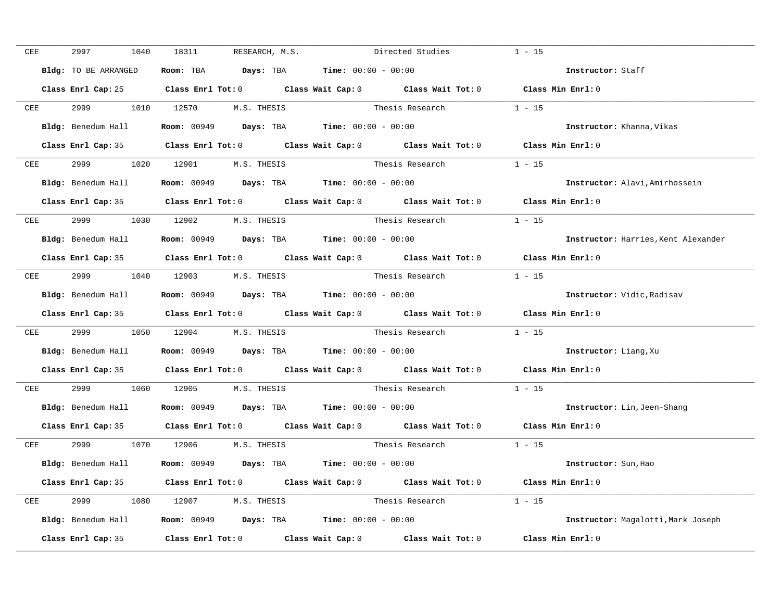| CEE        | 2997<br>1040         | 18311<br>RESEARCH, M.S.                                                                    |                 | Directed Studies         | $1 - 15$                            |
|------------|----------------------|--------------------------------------------------------------------------------------------|-----------------|--------------------------|-------------------------------------|
|            | Bldg: TO BE ARRANGED | Room: TBA $\rule{1em}{0.15mm}$ Days: TBA Time: $00:00 - 00:00$                             |                 |                          | Instructor: Staff                   |
|            |                      | Class Enrl Cap: 25 Class Enrl Tot: 0 Class Wait Cap: 0 Class Wait Tot: 0 Class Min Enrl: 0 |                 |                          |                                     |
| CEE        |                      | 2999 1010 12570 M.S. THESIS                                                                |                 | Thesis Research $1 - 15$ |                                     |
|            | Bldg: Benedum Hall   | <b>Room:</b> 00949 <b>Days:</b> TBA <b>Time:</b> $00:00 - 00:00$                           |                 |                          | <b>Instructor:</b> Khanna, Vikas    |
|            |                      | Class Enrl Cap: 35 Class Enrl Tot: 0 Class Wait Cap: 0 Class Wait Tot: 0 Class Min Enrl: 0 |                 |                          |                                     |
| CEE        |                      | 2999 1020 12901 M.S. THESIS                                                                | Thesis Research |                          | $1 - 15$                            |
|            | Bldg: Benedum Hall   | <b>Room:</b> 00949 <b>Days:</b> TBA <b>Time:</b> $00:00 - 00:00$                           |                 |                          | Instructor: Alavi, Amirhossein      |
|            |                      | Class Enrl Cap: 35 Class Enrl Tot: 0 Class Wait Cap: 0 Class Wait Tot: 0 Class Min Enrl: 0 |                 |                          |                                     |
| <b>CEE</b> |                      | 2999 1030 12902 M.S. THESIS Thesis Research                                                |                 |                          | $1 - 15$                            |
|            |                      | Bldg: Benedum Hall <b>Room:</b> 00949 <b>Days:</b> TBA <b>Time:</b> 00:00 - 00:00          |                 |                          | Instructor: Harries, Kent Alexander |
|            |                      | Class Enrl Cap: 35 Class Enrl Tot: 0 Class Wait Cap: 0 Class Wait Tot: 0                   |                 |                          | Class Min $Enr1:0$                  |
| CEE        |                      | 2999 1040 12903 M.S. THESIS Thesis Research                                                |                 |                          | $1 - 15$                            |
|            |                      | Bldg: Benedum Hall <b>Room:</b> 00949 <b>Days:</b> TBA <b>Time:</b> 00:00 - 00:00          |                 |                          | Instructor: Vidic, Radisav          |
|            |                      | Class Enrl Cap: 35 Class Enrl Tot: 0 Class Wait Cap: 0 Class Wait Tot: 0 Class Min Enrl: 0 |                 |                          |                                     |
| CEE        | 2999 72              | 1050 12904 M.S. THESIS                                                                     |                 | Thesis Research          | $1 - 15$                            |
|            |                      | Bldg: Benedum Hall <b>Room:</b> 00949 <b>Days:</b> TBA <b>Time:</b> 00:00 - 00:00          |                 |                          | Instructor: Liang, Xu               |
|            |                      | Class Enrl Cap: 35 Class Enrl Tot: 0 Class Wait Cap: 0 Class Wait Tot: 0 Class Min Enrl: 0 |                 |                          |                                     |
|            |                      | CEE 2999 1060 12905 M.S. THESIS                                                            |                 | Thesis Research          | $1 - 15$                            |
|            |                      | Bldg: Benedum Hall <b>Room:</b> 00949 <b>Days:</b> TBA <b>Time:</b> 00:00 - 00:00          |                 |                          | Instructor: Lin, Jeen-Shang         |
|            |                      | Class Enrl Cap: 35 Class Enrl Tot: 0 Class Wait Cap: 0 Class Wait Tot: 0 Class Min Enrl: 0 |                 |                          |                                     |
|            |                      | CEE 2999 1070 12906 M.S. THESIS                                                            |                 | Thesis Research $1 - 15$ |                                     |
|            |                      | Bldg: Benedum Hall Room: 00949 Days: TBA Time: 00:00 - 00:00                               |                 |                          | Instructor: Sun, Hao                |
|            |                      | Class Enrl Cap: 35 Class Enrl Tot: 0 Class Wait Cap: 0 Class Wait Tot: 0 Class Min Enrl: 0 |                 |                          |                                     |
|            |                      | CEE 2999 1080 12907 M.S. THESIS                                                            |                 | Thesis Research $1 - 15$ |                                     |
|            |                      | Bldg: Benedum Hall Room: 00949 Days: TBA Time: 00:00 - 00:00                               |                 |                          | Instructor: Magalotti, Mark Joseph  |
|            | Class Enrl Cap: 35   | Class Enrl Tot: $0$ Class Wait Cap: $0$ Class Wait Tot: $0$ Class Min Enrl: $0$            |                 |                          |                                     |
|            |                      |                                                                                            |                 |                          |                                     |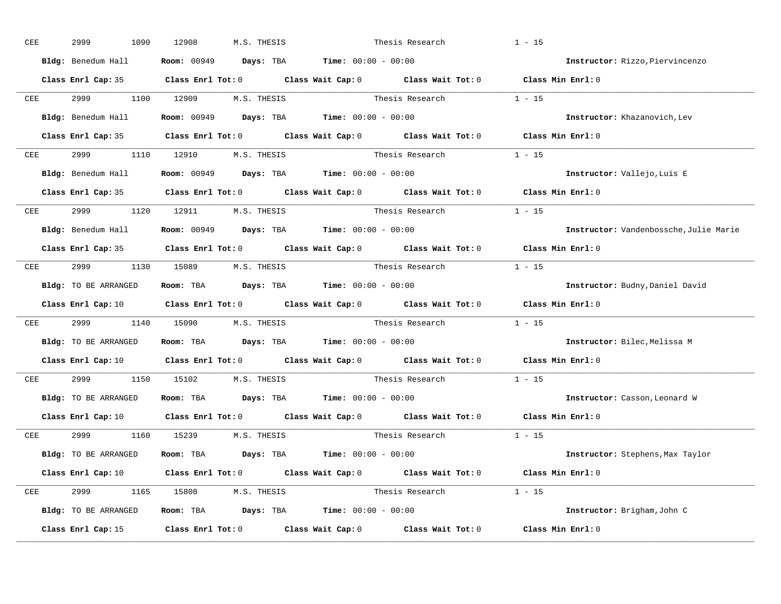| CEE        | 2999<br>1090         | 12908<br>M.S. THESIS                                                                                                           | Thesis Research          |                          | $1 - 15$                               |
|------------|----------------------|--------------------------------------------------------------------------------------------------------------------------------|--------------------------|--------------------------|----------------------------------------|
|            | Bldg: Benedum Hall   | <b>Room:</b> 00949 <b>Days:</b> TBA <b>Time:</b> $00:00 - 00:00$                                                               |                          |                          | Instructor: Rizzo, Piervincenzo        |
|            |                      | Class Enrl Cap: 35 Class Enrl Tot: 0 Class Wait Cap: 0 Class Wait Tot: 0 Class Min Enrl: 0                                     |                          |                          |                                        |
|            |                      | CEE 2999 1100 12909 M.S. THESIS Thesis Research 1 - 15                                                                         |                          |                          |                                        |
|            |                      | Bldg: Benedum Hall <b>Room:</b> 00949 <b>Days:</b> TBA <b>Time:</b> 00:00 - 00:00                                              |                          |                          | Instructor: Khazanovich, Lev           |
|            |                      | Class Enrl Cap: 35 Class Enrl Tot: 0 Class Wait Cap: 0 Class Wait Tot: 0 Class Min Enrl: 0                                     |                          |                          |                                        |
|            |                      | CEE 2999 1110 12910 M.S. THESIS                                                                                                | Thesis Research $1 - 15$ |                          |                                        |
|            |                      | Bldg: Benedum Hall Room: 00949 Days: TBA Time: 00:00 - 00:00                                                                   |                          |                          | Instructor: Vallejo, Luis E            |
|            |                      | Class Enrl Cap: 35 Class Enrl Tot: 0 Class Wait Cap: 0 Class Wait Tot: 0 Class Min Enrl: 0                                     |                          |                          |                                        |
|            |                      | CEE 2999 1120 12911 M.S. THESIS                                                                                                |                          | Thesis Research $1 - 15$ |                                        |
|            |                      | Bldg: Benedum Hall Room: 00949 Days: TBA Time: 00:00 - 00:00                                                                   |                          |                          | Instructor: Vandenbossche, Julie Marie |
|            |                      | Class Enrl Cap: 35 Class Enrl Tot: 0 Class Wait Cap: 0 Class Wait Tot: 0 Class Min Enrl: 0                                     |                          |                          |                                        |
| CEE        |                      | 2999 1130 15089 M.S. THESIS                                                                                                    |                          |                          |                                        |
|            | Bldg: TO BE ARRANGED | Room: TBA $\rule{1em}{0.15mm}$ Days: TBA Time: $00:00 - 00:00$                                                                 |                          |                          | Instructor: Budny, Daniel David        |
|            |                      | Class Enrl Cap: 10 Class Enrl Tot: 0 Class Wait Cap: 0 Class Wait Tot: 0 Class Min Enrl: 0                                     |                          |                          |                                        |
| CEE        |                      | 2999 1140 15090 M.S. THESIS Thesis Research                                                                                    |                          |                          | $1 - 15$                               |
|            | Bldg: TO BE ARRANGED | Room: TBA $\rule{1em}{0.15mm}$ Days: TBA $\rule{1.5mm}{0.15mm}$ Time: $00:00 - 00:00$                                          |                          |                          | Instructor: Bilec, Melissa M           |
|            |                      | Class Enrl Cap: 10 $\qquad$ Class Enrl Tot: 0 $\qquad$ Class Wait Cap: 0 $\qquad$ Class Wait Tot: 0                            |                          |                          | Class Min Enrl: 0                      |
| <b>CEE</b> |                      | 2999 1150 15102 M.S. THESIS                                                                                                    | Thesis Research          |                          | $1 - 15$                               |
|            | Bldg: TO BE ARRANGED | Room: TBA $\rule{1em}{0.15mm}$ Days: TBA Time: $00:00 - 00:00$                                                                 |                          |                          | Instructor: Casson, Leonard W          |
|            | Class Enrl Cap: 10   | Class Enrl Tot: $0$ Class Wait Cap: $0$ Class Wait Tot: $0$                                                                    |                          |                          | Class Min Enrl: 0                      |
|            |                      | CEE 2999 1160 15239 M.S. THESIS                                                                                                | Thesis Research          |                          | $1 - 15$                               |
|            | Bldg: TO BE ARRANGED | Room: TBA $Days:$ TBA $Time: 00:00 - 00:00$                                                                                    |                          |                          | Instructor: Stephens, Max Taylor       |
|            |                      | Class Enrl Cap: 10 $\qquad$ Class Enrl Tot: 0 $\qquad$ Class Wait Cap: 0 $\qquad$ Class Wait Tot: 0 $\qquad$ Class Min Enrl: 0 |                          |                          |                                        |
|            |                      | CEE 2999 1165 15808 M.S. THESIS                                                                                                | Thesis Research $1 - 15$ |                          |                                        |
|            | Bldg: TO BE ARRANGED | Room: TBA $Days:$ TBA $Time: 00:00 - 00:00$                                                                                    |                          |                          | Instructor: Brigham, John C            |
|            | Class Enrl Cap: 15   | Class Enrl Tot: $0$ Class Wait Cap: $0$ Class Wait Tot: $0$                                                                    |                          |                          | Class Min Enrl: 0                      |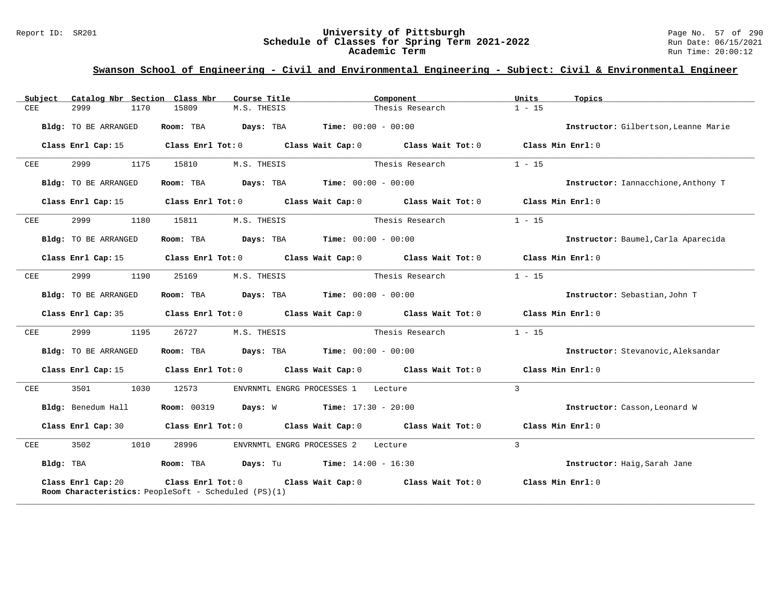#### Report ID: SR201 **University of Pittsburgh** Page No. 57 of 290 **Schedule of Classes for Spring Term 2021-2022** Run Date: 06/15/2021 **Academic Term** Run Time: 20:00:12

| Catalog Nbr Section Class Nbr<br>Subject | Course Title                                                                          | Component                                                                                  | Units<br>Topics                      |
|------------------------------------------|---------------------------------------------------------------------------------------|--------------------------------------------------------------------------------------------|--------------------------------------|
| CEE<br>2999<br>1170                      | 15809<br>M.S. THESIS                                                                  | Thesis Research                                                                            | $1 - 15$                             |
| <b>Bldg:</b> TO BE ARRANGED              | Room: TBA                                                                             | <b>Days:</b> TBA <b>Time:</b> $00:00 - 00:00$                                              | Instructor: Gilbertson, Leanne Marie |
| Class Enrl Cap: 15                       |                                                                                       | Class Enrl Tot: $0$ Class Wait Cap: $0$ Class Wait Tot: $0$ Class Min Enrl: $0$            |                                      |
| 2999<br>1175<br>CEE                      | 15810<br>M.S. THESIS                                                                  | Thesis Research                                                                            | $1 - 15$                             |
| Bldg: TO BE ARRANGED                     | Room: TBA $\rule{1em}{0.15mm}$ Days: TBA $\rule{1.5mm}{0.15mm}$ Time: $00:00 - 00:00$ |                                                                                            | Instructor: Iannacchione, Anthony T  |
| Class Enrl Cap: 15                       |                                                                                       | Class Enrl Tot: $0$ Class Wait Cap: $0$ Class Wait Tot: $0$ Class Min Enrl: $0$            |                                      |
| 2999<br>1180<br>CEE                      | 15811<br>M.S. THESIS                                                                  | Thesis Research                                                                            | $1 - 15$                             |
| Bldg: TO BE ARRANGED                     | Room: TBA $Days:$ TBA $Time: 00:00 - 00:00$                                           |                                                                                            | Instructor: Baumel, Carla Aparecida  |
| Class Enrl Cap: 15                       |                                                                                       | Class Enrl Tot: $0$ Class Wait Cap: $0$ Class Wait Tot: $0$ Class Min Enrl: $0$            |                                      |
| 2999 — 200<br>CEE<br>1190                | 25169<br>M.S. THESIS                                                                  | Thesis Research                                                                            | $1 - 15$                             |
| Bldg: TO BE ARRANGED                     | Room: TBA $Days:$ TBA $Time: 00:00 - 00:00$                                           |                                                                                            | Instructor: Sebastian, John T        |
|                                          |                                                                                       | Class Enrl Cap: 35 Class Enrl Tot: 0 Class Wait Cap: 0 Class Wait Tot: 0 Class Min Enrl: 0 |                                      |
| 2999<br>1195<br>CEE                      | 26727<br>M.S. THESIS                                                                  | Thesis Research                                                                            | $1 - 15$                             |
| Bldg: TO BE ARRANGED                     | Room: TBA $Days:$ TBA $Time: 00:00 - 00:00$                                           |                                                                                            | Instructor: Stevanovic, Aleksandar   |
| Class Enrl Cap: 15                       |                                                                                       | Class Enrl Tot: $0$ Class Wait Cap: $0$ Class Wait Tot: $0$ Class Min Enrl: $0$            |                                      |
| 3501<br>1030<br>CEE                      | 12573                                                                                 | ENVRNMTL ENGRG PROCESSES 1 Lecture                                                         | $\mathcal{E}$                        |
| Bldg: Benedum Hall                       | <b>Room:</b> 00319 <b>Days:</b> W <b>Time:</b> 17:30 - 20:00                          |                                                                                            | Instructor: Casson, Leonard W        |
| Class Enrl Cap: 30                       |                                                                                       | Class Enrl Tot: $0$ Class Wait Cap: $0$ Class Wait Tot: $0$ Class Min Enrl: $0$            |                                      |
| 3502<br>1010<br>CEE                      | 28996                                                                                 | ENVRNMTL ENGRG PROCESSES 2 Lecture                                                         | 3                                    |
| Bldg: TBA                                | Room: TBA Days: Tu Time: $14:00 - 16:30$                                              |                                                                                            | Instructor: Haig, Sarah Jane         |
| Class Enrl Cap: 20                       | Room Characteristics: PeopleSoft - Scheduled (PS)(1)                                  | Class Enrl Tot: $0$ Class Wait Cap: $0$ Class Wait Tot: $0$                                | Class Min Enrl: 0                    |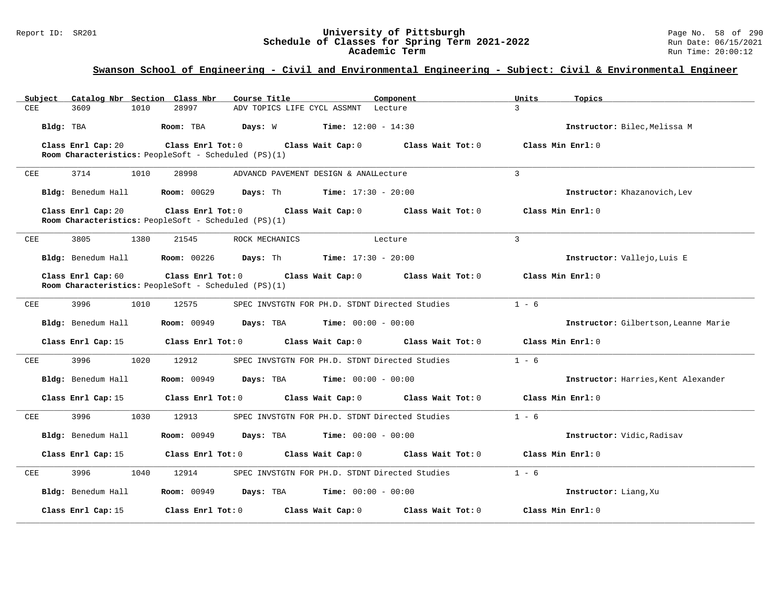#### Report ID: SR201 **University of Pittsburgh** Page No. 58 of 290 **Schedule of Classes for Spring Term 2021-2022** Run Date: 06/15/2021 **Academic Term** Run Time: 20:00:12

| Subject<br>Catalog Nbr Section Class Nbr | Course Title                                                                    |                                                                   | Component         | Units<br>Topics                      |
|------------------------------------------|---------------------------------------------------------------------------------|-------------------------------------------------------------------|-------------------|--------------------------------------|
| 3609<br>1010<br>CEE                      | 28997                                                                           | ADV TOPICS LIFE CYCL ASSMNT Lecture                               |                   | $\mathcal{L}$                        |
| Bldg: TBA                                | Room: TBA<br>Days: W                                                            | <b>Time:</b> $12:00 - 14:30$                                      |                   | Instructor: Bilec, Melissa M         |
| Class Enrl Cap: 20                       | Class Enrl Tot: 0<br>Room Characteristics: PeopleSoft - Scheduled (PS)(1)       | Class Wait Cap: 0                                                 | Class Wait Tot: 0 | Class Min Enrl: 0                    |
| 1010<br>CEE<br>3714                      | 28998                                                                           | ADVANCD PAVEMENT DESIGN & ANAILecture                             |                   | $\overline{3}$                       |
| Bldg: Benedum Hall                       |                                                                                 | <b>Room:</b> $00G29$ <b>Days:</b> Th <b>Time:</b> $17:30 - 20:00$ |                   | Instructor: Khazanovich, Lev         |
| Class Enrl Cap: 20                       | $Class$ $Enr1$ $Tot: 0$<br>Room Characteristics: PeopleSoft - Scheduled (PS)(1) | Class Wait Cap: 0                                                 | Class Wait Tot: 0 | Class Min Enrl: 0                    |
| CEE<br>3805<br>1380                      | 21545<br>ROCK MECHANICS                                                         |                                                                   | Lecture           | $\mathbf{3}$                         |
| Bldg: Benedum Hall                       | <b>Room: 00226</b>                                                              | <b>Days:</b> Th <b>Time:</b> $17:30 - 20:00$                      |                   | Instructor: Vallejo, Luis E          |
| Class Enrl Cap: 60                       | Class Enrl Tot: 0<br>Room Characteristics: PeopleSoft - Scheduled (PS)(1)       | Class Wait Cap: 0                                                 | Class Wait Tot: 0 | Class Min Enrl: 0                    |
| 3996<br>1010<br>CEE                      | 12575                                                                           | SPEC INVSTGTN FOR PH.D. STDNT Directed Studies                    |                   | $1 - 6$                              |
| Bldg: Benedum Hall                       | <b>Room: 00949</b><br>Days: TBA                                                 | $Time: 00:00 - 00:00$                                             |                   | Instructor: Gilbertson, Leanne Marie |
| Class Enrl Cap: 15                       | Class Enrl Tot: 0                                                               | Class Wait Cap: 0                                                 | Class Wait Tot: 0 | Class Min Enrl: 0                    |
| 3996<br>1020<br>CEE                      | 12912                                                                           | SPEC INVSTGTN FOR PH.D. STDNT Directed Studies                    |                   | $1 - 6$                              |
| Bldg: Benedum Hall                       | <b>Room: 00949</b>                                                              | <b>Days:</b> TBA <b>Time:</b> $00:00 - 00:00$                     |                   | Instructor: Harries, Kent Alexander  |
| Class Enrl Cap: 15                       | Class Enrl Tot: 0                                                               | Class Wait Cap: 0 Class Wait Tot: 0                               |                   | Class Min Enrl: 0                    |
| CEE<br>3996<br>1030                      | 12913                                                                           | SPEC INVSTGTN FOR PH.D. STDNT Directed Studies                    |                   | $1 - 6$                              |
| Bldg: Benedum Hall                       | <b>Room:</b> 00949                                                              | <b>Days:</b> TBA <b>Time:</b> $00:00 - 00:00$                     |                   | Instructor: Vidic, Radisav           |
| Class Enrl Cap: 15                       | Class Enrl Tot: 0                                                               | Class Wait Cap: 0                                                 | Class Wait Tot: 0 | Class Min Enrl: 0                    |
| CEE<br>3996<br>1040                      | 12914                                                                           | SPEC INVSTGTN FOR PH.D. STDNT Directed Studies                    |                   | $1 - 6$                              |
| Bldg: Benedum Hall                       | Room: 00949 Days: TBA                                                           | $Time: 00:00 - 00:00$                                             |                   | Instructor: Liang, Xu                |
| Class Enrl Cap: 15                       | Class Enrl Tot: 0                                                               | Class Wait Cap: 0                                                 | Class Wait Tot: 0 | Class Min Enrl: 0                    |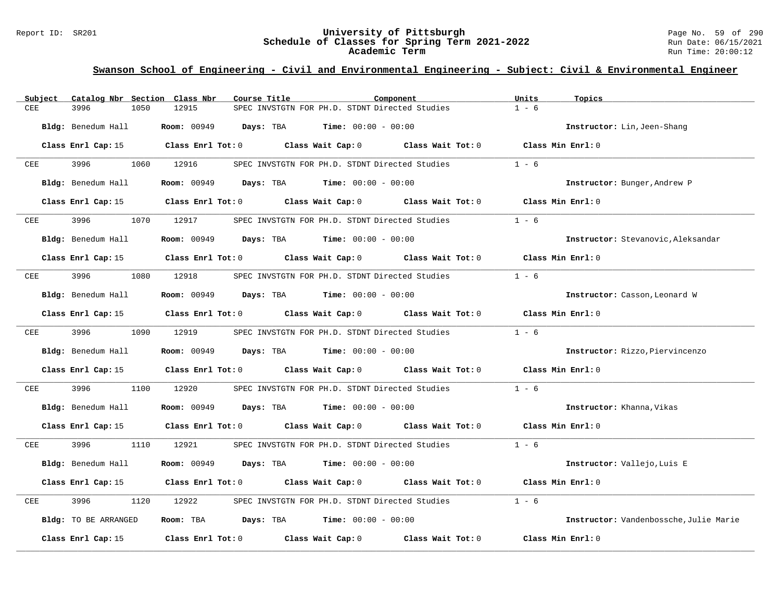#### Report ID: SR201 **University of Pittsburgh** Page No. 59 of 290 **Schedule of Classes for Spring Term 2021-2022** Run Date: 06/15/2021 **Academic Term** Run Time: 20:00:12

| Subject              | Catalog Nbr Section Class Nbr                                                                  | Course Title                                                                    | Component         | Units<br>Topics                        |
|----------------------|------------------------------------------------------------------------------------------------|---------------------------------------------------------------------------------|-------------------|----------------------------------------|
| 3996<br>CEE          | 12915<br>1050                                                                                  | SPEC INVSTGTN FOR PH.D. STDNT Directed Studies                                  |                   | $1 - 6$                                |
| Bldg: Benedum Hall   |                                                                                                | <b>Room:</b> 00949 <b>Days:</b> TBA <b>Time:</b> $00:00 - 00:00$                |                   | Instructor: Lin, Jeen-Shang            |
|                      | Class Enrl Cap: 15 Class Enrl Tot: 0 Class Wait Cap: 0 Class Wait Tot: 0 Class Min Enrl: 0     |                                                                                 |                   |                                        |
| 3996<br>CEE          | 1060 12916                                                                                     | SPEC INVSTGTN FOR PH.D. STDNT Directed Studies                                  |                   | $1 - 6$                                |
| Bldg: Benedum Hall   |                                                                                                | <b>Room:</b> 00949 <b>Days:</b> TBA <b>Time:</b> $00:00 - 00:00$                |                   | Instructor: Bunger, Andrew P           |
| Class Enrl Cap: 15   |                                                                                                | Class Enrl Tot: $0$ Class Wait Cap: $0$ Class Wait Tot: $0$                     |                   | Class Min Enrl: 0                      |
| 3996<br>CEE          | 1070<br>12917                                                                                  | SPEC INVSTGTN FOR PH.D. STDNT Directed Studies                                  |                   | $1 - 6$                                |
| Bldg: Benedum Hall   |                                                                                                | <b>Room:</b> $00949$ <b>Days:</b> TBA <b>Time:</b> $00:00 - 00:00$              |                   | Instructor: Stevanovic, Aleksandar     |
|                      | Class Enrl Cap: 15 $\,$ Class Enrl Tot: 0 $\,$ Class Wait Cap: 0 $\,$ Class Wait Tot: 0 $\,$   |                                                                                 |                   | Class Min Enrl: 0                      |
| 3996<br>$_{\rm CEE}$ | 1080<br>12918                                                                                  | SPEC INVSTGTN FOR PH.D. STDNT Directed Studies                                  |                   | $1 - 6$                                |
| Bldg: Benedum Hall   |                                                                                                | <b>Room:</b> 00949 <b>Days:</b> TBA <b>Time:</b> $00:00 - 00:00$                |                   | Instructor: Casson, Leonard W          |
| Class Enrl Cap: 15   |                                                                                                | Class Enrl Tot: $0$ Class Wait Cap: $0$ Class Wait Tot: $0$ Class Min Enrl: $0$ |                   |                                        |
| 3996 700<br>CEE      | 1090 12919                                                                                     | SPEC INVSTGTN FOR PH.D. STDNT Directed Studies                                  |                   | $1 - 6$                                |
| Bldg: Benedum Hall   |                                                                                                | <b>Room:</b> 00949 <b>Days:</b> TBA <b>Time:</b> $00:00 - 00:00$                |                   | Instructor: Rizzo, Piervincenzo        |
|                      | Class Enrl Cap: 15 Class Enrl Tot: 0 Class Wait Cap: 0 Class Wait Tot: 0                       |                                                                                 |                   | Class Min Enrl: 0                      |
| 3996<br>CEE          | 1100<br>12920                                                                                  | SPEC INVSTGTN FOR PH.D. STDNT Directed Studies                                  |                   | $1 - 6$                                |
| Bldg: Benedum Hall   |                                                                                                | <b>Room:</b> 00949 <b>Days:</b> TBA <b>Time:</b> $00:00 - 00:00$                |                   | Instructor: Khanna, Vikas              |
|                      | Class Enrl Cap: 15 (Class Enrl Tot: 0 (Class Wait Cap: 0 (Class Wait Tot: 0 (Class Min Enrl: 0 |                                                                                 |                   |                                        |
| 3996<br>CEE          | 1110 12921                                                                                     | SPEC INVSTGTN FOR PH.D. STDNT Directed Studies                                  |                   | $1 - 6$                                |
| Bldg: Benedum Hall   |                                                                                                | <b>Room:</b> 00949 <b>Days:</b> TBA <b>Time:</b> $00:00 - 00:00$                |                   | Instructor: Vallejo, Luis E            |
| Class Enrl Cap: 15   | Class Enrl Tot: $0$ Class Wait Cap: $0$ Class Wait Tot: $0$                                    |                                                                                 |                   | Class Min Enrl: 0                      |
| 3996<br>CEE          | 1120<br>12922                                                                                  | SPEC INVSTGTN FOR PH.D. STDNT Directed Studies                                  |                   | $1 - 6$                                |
| Bldg: TO BE ARRANGED |                                                                                                | Room: TBA $Days:$ TBA $Time: 00:00 - 00:00$                                     |                   | Instructor: Vandenbossche, Julie Marie |
| Class Enrl Cap: 15   |                                                                                                | Class Enrl Tot: 0 Class Wait Cap: 0                                             | Class Wait Tot: 0 | Class Min Enrl: 0                      |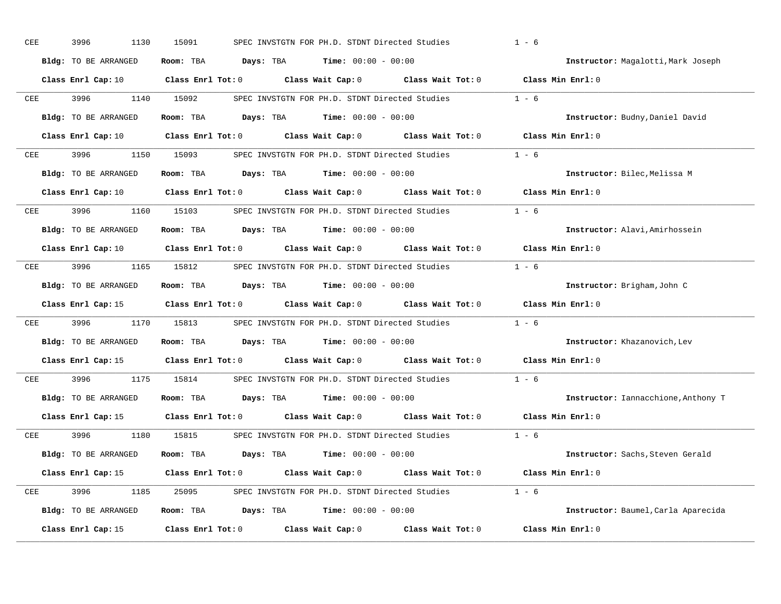| CEE | 3996<br>1130                | 15091                   |           | SPEC INVSTGTN FOR PH.D. STDNT Directed Studies |                                                       | $1 - 6$                             |
|-----|-----------------------------|-------------------------|-----------|------------------------------------------------|-------------------------------------------------------|-------------------------------------|
|     | Bldg: TO BE ARRANGED        | Room: TBA               | Days: TBA | <b>Time:</b> $00:00 - 00:00$                   |                                                       | Instructor: Magalotti, Mark Joseph  |
|     | Class Enrl Cap: 10          | $Class$ $Enr1$ $Tot: 0$ |           | Class Wait Cap: 0                              |                                                       | Class Wait Tot: 0 Class Min Enrl: 0 |
| CEE | 3996<br>1140                | 15092                   |           |                                                | SPEC INVSTGTN FOR PH.D. STDNT Directed Studies        | $1 - 6$                             |
|     | <b>Bldg:</b> TO BE ARRANGED | Room: TBA               | Days: TBA | $Time: 00:00 - 00:00$                          |                                                       | Instructor: Budny, Daniel David     |
|     | Class Enrl Cap: 10          | Class Enrl Tot: 0       |           |                                                | Class Wait Cap: 0 Class Wait Tot: 0 Class Min Enrl: 0 |                                     |
| CEE | 3996<br>1150                | 15093                   |           |                                                | SPEC INVSTGTN FOR PH.D. STDNT Directed Studies 1 - 6  |                                     |
|     | Bldg: TO BE ARRANGED        | Room: TBA               |           | <b>Days:</b> TBA <b>Time:</b> $00:00 - 00:00$  |                                                       | Instructor: Bilec, Melissa M        |
|     | Class Enrl Cap: 10          | $Class$ $Enr1$ $Tot: 0$ |           |                                                | Class Wait Cap: 0 Class Wait Tot: 0                   | Class Min Enrl: 0                   |
| CEE | 3996<br>1160                | 15103                   |           |                                                | SPEC INVSTGTN FOR PH.D. STDNT Directed Studies        | $1 - 6$                             |
|     | Bldg: TO BE ARRANGED        | Room: TBA               |           | <b>Days:</b> TBA <b>Time:</b> $00:00 - 00:00$  |                                                       | Instructor: Alavi, Amirhossein      |
|     | Class Enrl Cap: 10          | $Class$ $Enr1$ $Tot: 0$ |           |                                                | Class Wait Cap: 0 Class Wait Tot: 0                   | Class Min Enrl: 0                   |
| CEE | 3996<br>1165                | 15812                   |           |                                                | SPEC INVSTGTN FOR PH.D. STDNT Directed Studies        | $1 - 6$                             |
|     | Bldg: TO BE ARRANGED        | Room: TBA               |           | <b>Days:</b> TBA <b>Time:</b> $00:00 - 00:00$  |                                                       | Instructor: Brigham, John C         |
|     | Class Enrl Cap: 15          | $Class$ $Enr1$ $Tot: 0$ |           |                                                | Class Wait Cap: 0 Class Wait Tot: 0                   | Class Min Enrl: 0                   |
| CEE | 3996<br>1170                | 15813                   |           |                                                | SPEC INVSTGTN FOR PH.D. STDNT Directed Studies        | $1 - 6$                             |
|     | <b>Bldg:</b> TO BE ARRANGED | Room: TBA               |           | <b>Days:</b> TBA <b>Time:</b> $00:00 - 00:00$  |                                                       | Instructor: Khazanovich, Lev        |
|     | Class Enrl Cap: 15          |                         |           |                                                | Class Enrl Tot: 0 Class Wait Cap: 0 Class Wait Tot: 0 | Class Min Enrl: 0                   |
| CEE | 3996<br>1175                | 15814                   |           |                                                | SPEC INVSTGTN FOR PH.D. STDNT Directed Studies        | $1 - 6$                             |
|     | Bldg: TO BE ARRANGED        | Room: TBA               |           | <b>Days:</b> TBA <b>Time:</b> $00:00 - 00:00$  |                                                       | Instructor: Iannacchione, Anthony T |
|     | Class Enrl Cap: 15          | $Class$ $Enr1$ $Tot: 0$ |           |                                                | Class Wait Cap: 0 Class Wait Tot: 0                   | Class Min Enrl: 0                   |
| CEE | 3996<br>1180                | 15815                   |           |                                                | SPEC INVSTGTN FOR PH.D. STDNT Directed Studies        | $1 - 6$                             |
|     | Bldg: TO BE ARRANGED        | Room: TBA               |           | <b>Days:</b> TBA <b>Time:</b> $00:00 - 00:00$  |                                                       | Instructor: Sachs, Steven Gerald    |
|     | Class Enrl Cap: 15          | Class Enrl Tot: 0       |           |                                                | Class Wait Cap: 0 Class Wait Tot: 0 Class Min Enrl: 0 |                                     |
| CEE | 3996<br>1185                | 25095                   |           |                                                | SPEC INVSTGTN FOR PH.D. STDNT Directed Studies 1 - 6  |                                     |
|     | Bldg: TO BE ARRANGED        | Room: TBA               |           | <b>Days:</b> TBA <b>Time:</b> $00:00 - 00:00$  |                                                       | Instructor: Baumel, Carla Aparecida |
|     | Class Enrl Cap: 15          | Class Enrl Tot: 0       |           | Class Wait Cap: 0                              | Class Wait Tot: 0                                     | Class Min Enrl: 0                   |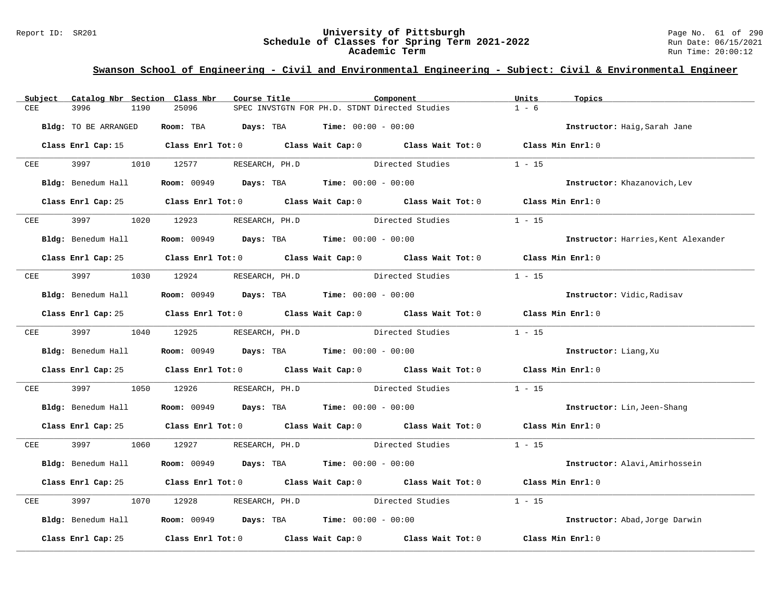### Report ID: SR201 **University of Pittsburgh** Page No. 61 of 290 **Schedule of Classes for Spring Term 2021-2022** Run Date: 06/15/2021 **Academic Term** Run Time: 20:00:12

| Subject      | Catalog Nbr Section Class Nbr | Course Title                                                               | Component                                                                                  | Units<br>Topics                     |
|--------------|-------------------------------|----------------------------------------------------------------------------|--------------------------------------------------------------------------------------------|-------------------------------------|
| CEE          | 3996<br>1190                  | 25096                                                                      | SPEC INVSTGTN FOR PH.D. STDNT Directed Studies                                             | $1 - 6$                             |
|              | Bldg: TO BE ARRANGED          | Room: TBA $Days:$ TBA $Time: 00:00 - 00:00$                                |                                                                                            | Instructor: Haig, Sarah Jane        |
|              |                               |                                                                            | Class Enrl Cap: 15 Class Enrl Tot: 0 Class Wait Cap: 0 Class Wait Tot: 0 Class Min Enrl: 0 |                                     |
| CEE          | 3997 — 100                    | 1010 12577<br>RESEARCH, PH.D                                               | Directed Studies                                                                           | $1 - 15$                            |
|              | Bldg: Benedum Hall            | <b>Room:</b> 00949 <b>Days:</b> TBA <b>Time:</b> $00:00 - 00:00$           |                                                                                            | Instructor: Khazanovich, Lev        |
|              |                               |                                                                            | Class Enrl Cap: 25 Class Enrl Tot: 0 Class Wait Cap: 0 Class Wait Tot: 0 Class Min Enrl: 0 |                                     |
| CEE          |                               | 1020 12923<br>RESEARCH, PH.D                                               | Directed Studies                                                                           | $1 - 15$                            |
|              | Bldg: Benedum Hall            | <b>Room:</b> 00949 <b>Days:</b> TBA <b>Time:</b> $00:00 - 00:00$           |                                                                                            | Instructor: Harries, Kent Alexander |
|              |                               |                                                                            | Class Enrl Cap: 25 Class Enrl Tot: 0 Class Wait Cap: 0 Class Wait Tot: 0 Class Min Enrl: 0 |                                     |
| ${\tt CEE}$  | 3997                          | 1030 12924                                                                 | RESEARCH, PH.D Directed Studies                                                            | $1 - 15$                            |
|              | Bldg: Benedum Hall            | <b>Room:</b> $00949$ <b>Days:</b> TBA <b>Time:</b> $00:00 - 00:00$         |                                                                                            | Instructor: Vidic, Radisav          |
|              |                               |                                                                            | Class Enrl Cap: 25 Class Enrl Tot: 0 Class Wait Cap: 0 Class Wait Tot: 0 Class Min Enrl: 0 |                                     |
| CEE          | 3997 1040 12925               |                                                                            | RESEARCH, PH.D Directed Studies                                                            | $1 - 15$                            |
|              | Bldg: Benedum Hall            | <b>Room:</b> 00949 <b>Days:</b> TBA <b>Time:</b> $00:00 - 00:00$           |                                                                                            | Instructor: Liang, Xu               |
|              |                               |                                                                            | Class Enrl Cap: 25 Class Enrl Tot: 0 Class Wait Cap: 0 Class Wait Tot: 0 Class Min Enrl: 0 |                                     |
| ${\tt CEE}$  | 3997<br>1050                  | 12926                                                                      | RESEARCH, PH.D Directed Studies                                                            | $1 - 15$                            |
|              | Bldg: Benedum Hall            | <b>Room:</b> 00949 <b>Days:</b> TBA <b>Time:</b> $00:00 - 00:00$           |                                                                                            | Instructor: Lin, Jeen-Shang         |
|              |                               |                                                                            | Class Enrl Cap: 25 Class Enrl Tot: 0 Class Wait Cap: 0 Class Wait Tot: 0 Class Min Enrl: 0 |                                     |
| CEE          | 3997 399                      | 1060 12927 RESEARCH, PH.D                                                  | Directed Studies                                                                           | $1 - 15$                            |
|              | Bldg: Benedum Hall            | <b>Room:</b> 00949 <b>Days:</b> TBA <b>Time:</b> $00:00 - 00:00$           |                                                                                            | Instructor: Alavi, Amirhossein      |
|              |                               |                                                                            | Class Enrl Cap: 25 Class Enrl Tot: 0 Class Wait Cap: 0 Class Wait Tot: 0                   | Class Min Enrl: 0                   |
| $_{\rm CEE}$ | 3997<br>1070                  | 12928                                                                      | RESEARCH, PH.D Directed Studies                                                            | $1 - 15$                            |
|              |                               | Bldg: Benedum Hall <b>Room:</b> 00949 <b>Days: TBA Time:</b> 00:00 - 00:00 |                                                                                            | Instructor: Abad, Jorge Darwin      |
|              | Class Enrl Cap: 25            |                                                                            | Class Enrl Tot: $0$ Class Wait Cap: $0$ Class Wait Tot: $0$                                | Class Min Enrl: 0                   |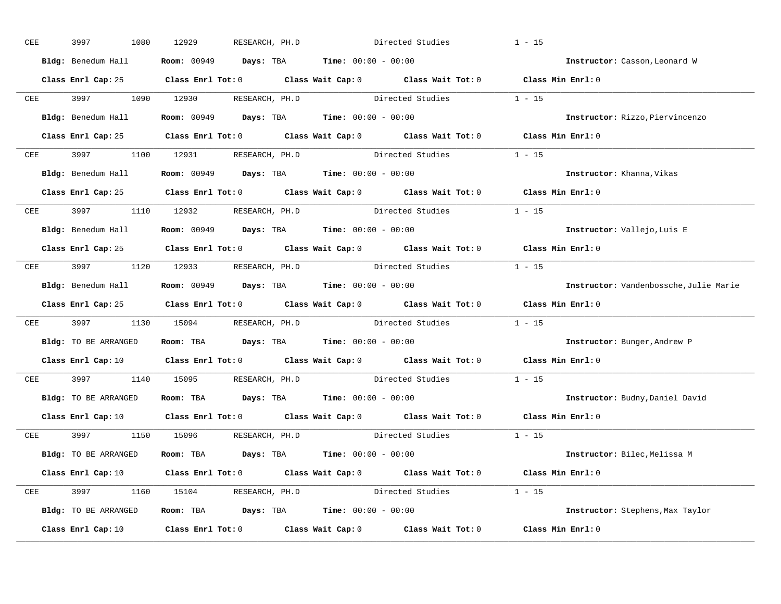| CEE        | 3997<br>1080         | 12929<br>RESEARCH, PH.D                                                                                                        | Directed Studies |                         | $1 - 15$                               |
|------------|----------------------|--------------------------------------------------------------------------------------------------------------------------------|------------------|-------------------------|----------------------------------------|
|            | Bldg: Benedum Hall   | <b>Room:</b> 00949 <b>Days:</b> TBA <b>Time:</b> $00:00 - 00:00$                                                               |                  |                         | Instructor: Casson, Leonard W          |
|            |                      | Class Enrl Cap: 25 Class Enrl Tot: 0 Class Wait Cap: 0 Class Wait Tot: 0 Class Min Enrl: 0                                     |                  |                         |                                        |
|            |                      | CEE 3997 1090 12930 RESEARCH, PH.D Directed Studies 1 - 15                                                                     |                  |                         |                                        |
|            |                      | Bldg: Benedum Hall <b>Room:</b> 00949 <b>Days:</b> TBA <b>Time:</b> 00:00 - 00:00                                              |                  |                         | Instructor: Rizzo, Piervincenzo        |
|            |                      | Class Enrl Cap: 25 Class Enrl Tot: 0 Class Wait Cap: 0 Class Wait Tot: 0 Class Min Enrl: 0                                     |                  |                         |                                        |
|            |                      | CEE 3997 1100 12931 RESEARCH, PH.D Directed Studies 1 - 15                                                                     |                  |                         |                                        |
|            |                      | <b>Bldg:</b> Benedum Hall <b>Room:</b> $00949$ <b>Days:</b> TBA <b>Time:</b> $00:00 - 00:00$                                   |                  |                         | Instructor: Khanna, Vikas              |
|            |                      | Class Enrl Cap: 25 Class Enrl Tot: 0 Class Wait Cap: 0 Class Wait Tot: 0 Class Min Enrl: 0                                     |                  |                         |                                        |
|            |                      | CEE 3997 1110 12932 RESEARCH, PH.D                                                                                             | Directed Studies |                         | $1 - 15$                               |
|            |                      | Bldg: Benedum Hall <b>Room:</b> 00949 <b>Days: TBA Time:</b> 00:00 - 00:00                                                     |                  |                         | Instructor: Vallejo, Luis E            |
|            |                      | Class Enrl Cap: 25 Class Enrl Tot: 0 Class Wait Cap: 0 Class Wait Tot: 0 Class Min Enrl: 0                                     |                  |                         |                                        |
|            |                      | CEE 3997 1120 12933 RESEARCH, PH.D Directed Studies 1 - 15                                                                     |                  |                         |                                        |
|            |                      | Bldg: Benedum Hall <b>Room:</b> 00949 <b>Days:</b> TBA <b>Time:</b> 00:00 - 00:00                                              |                  |                         | Instructor: Vandenbossche, Julie Marie |
|            |                      | Class Enrl Cap: 25 Class Enrl Tot: 0 Class Wait Cap: 0 Class Wait Tot: 0 Class Min Enrl: 0                                     |                  |                         |                                        |
| <b>CEE</b> |                      | 3997 1130 15094 RESEARCH, PH.D Directed Studies 1 - 15                                                                         |                  |                         |                                        |
|            | Bldg: TO BE ARRANGED | Room: TBA $Days:$ TBA $Time: 00:00 - 00:00$                                                                                    |                  |                         | Instructor: Bunger, Andrew P           |
|            |                      | Class Enrl Cap: 10 $\qquad$ Class Enrl Tot: 0 $\qquad$ Class Wait Cap: 0 $\qquad$ Class Wait Tot: 0                            |                  |                         | Class Min Enrl: 0                      |
| CEE        |                      | 3997 1140 15095 RESEARCH, PH.D Directed Studies                                                                                |                  |                         | $1 - 15$                               |
|            |                      | Bldg: TO BE ARRANGED Room: TBA Days: TBA Time: 00:00 - 00:00                                                                   |                  |                         | Instructor: Budny, Daniel David        |
|            |                      | Class Enrl Cap: 10 $\qquad$ Class Enrl Tot: 0 $\qquad$ Class Wait Cap: 0 $\qquad$ Class Wait Tot: 0 $\qquad$ Class Min Enrl: 0 |                  |                         |                                        |
|            |                      | CEE 3997 1150 15096 RESEARCH, PH.D                                                                                             |                  | Directed Studies 1 - 15 |                                        |
|            | Bldg: TO BE ARRANGED | Room: TBA $Days:$ TBA $Time: 00:00 - 00:00$                                                                                    |                  |                         | Instructor: Bilec, Melissa M           |
|            |                      | Class Enrl Cap: 10 $\qquad$ Class Enrl Tot: 0 $\qquad$ Class Wait Cap: 0 $\qquad$ Class Wait Tot: 0 $\qquad$ Class Min Enrl: 0 |                  |                         |                                        |
|            |                      | CEE 3997 1160 15104 RESEARCH, PH.D Directed Studies 1 - 15                                                                     |                  |                         |                                        |
|            |                      | Bldg: TO BE ARRANGED Room: TBA Days: TBA Time: 00:00 - 00:00                                                                   |                  |                         | Instructor: Stephens, Max Taylor       |
|            | Class Enrl Cap: 10   | Class Enrl Tot: $0$ Class Wait Cap: $0$ Class Wait Tot: $0$ Class Min Enrl: $0$                                                |                  |                         |                                        |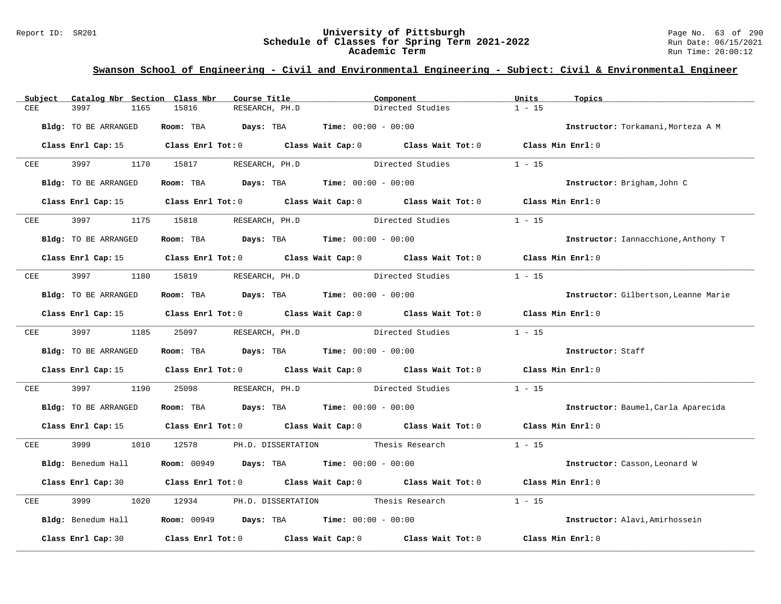### Report ID: SR201 **University of Pittsburgh** Page No. 63 of 290 **Schedule of Classes for Spring Term 2021-2022** Run Date: 06/15/2021 **Academic Term** Run Time: 20:00:12

| Subject | Catalog Nbr Section Class Nbr | Course Title                                                                           | Component                                                                                  | Units<br>Topics                      |
|---------|-------------------------------|----------------------------------------------------------------------------------------|--------------------------------------------------------------------------------------------|--------------------------------------|
| CEE     | 3997<br>1165                  | 15816<br>RESEARCH, PH.D                                                                | Directed Studies                                                                           | $1 - 15$                             |
|         | Bldg: TO BE ARRANGED          | Room: TBA                                                                              | <b>Days:</b> TBA <b>Time:</b> $00:00 - 00:00$                                              | Instructor: Torkamani, Morteza A M   |
|         |                               |                                                                                        | Class Enrl Cap: 15 Class Enrl Tot: 0 Class Wait Cap: 0 Class Wait Tot: 0 Class Min Enrl: 0 |                                      |
| CEE     | 3997 399                      | 1170 15817 RESEARCH, PH.D                                                              | Directed Studies                                                                           | $1 - 15$                             |
|         | Bldg: TO BE ARRANGED          | Room: TBA $\rule{1em}{0.15mm}$ Days: TBA Time: $00:00 - 00:00$                         |                                                                                            | Instructor: Brigham, John C          |
|         |                               |                                                                                        | Class Enrl Cap: 15 Class Enrl Tot: 0 Class Wait Cap: 0 Class Wait Tot: 0 Class Min Enrl: 0 |                                      |
| CEE     | 3997 399                      | 1175 15818 RESEARCH, PH.D                                                              | Directed Studies                                                                           | $1 - 15$                             |
|         | Bldg: TO BE ARRANGED          | Room: TBA $Days:$ TBA $Time: 00:00 - 00:00$                                            |                                                                                            | Instructor: Iannacchione, Anthony T  |
|         |                               |                                                                                        | Class Enrl Cap: 15 Class Enrl Tot: 0 Class Wait Cap: 0 Class Wait Tot: 0 Class Min Enrl: 0 |                                      |
| CEE     |                               | 3997 1180 15819 RESEARCH, PH.D                                                         | Directed Studies                                                                           | $1 - 15$                             |
|         | Bldg: TO BE ARRANGED          | Room: TBA $Days:$ TBA $Time: 00:00 - 00:00$                                            |                                                                                            | Instructor: Gilbertson, Leanne Marie |
|         |                               |                                                                                        | Class Enrl Cap: 15 Class Enrl Tot: 0 Class Wait Cap: 0 Class Wait Tot: 0 Class Min Enrl: 0 |                                      |
|         |                               |                                                                                        | CEE 3997 1185 25097 RESEARCH, PH.D Directed Studies                                        | $1 - 15$                             |
|         | Bldg: TO BE ARRANGED          | Room: TBA $\rule{1em}{0.15mm}$ Days: TBA Time: $00:00 - 00:00$                         |                                                                                            | Instructor: Staff                    |
|         |                               |                                                                                        | Class Enrl Cap: 15 Class Enrl Tot: 0 Class Wait Cap: 0 Class Wait Tot: 0 Class Min Enrl: 0 |                                      |
| CEE     | 3997<br>1190                  | 25098                                                                                  | RESEARCH, PH.D Directed Studies                                                            | $1 - 15$                             |
|         | Bldg: TO BE ARRANGED          | Room: TBA $Days:$ TBA $Time: 00:00 - 00:00$                                            |                                                                                            | Instructor: Baumel, Carla Aparecida  |
|         |                               |                                                                                        | Class Enrl Cap: 15 Class Enrl Tot: 0 Class Wait Cap: 0 Class Wait Tot: 0 Class Min Enrl: 0 |                                      |
| CEE     | 3999 1010 12578               |                                                                                        | PH.D. DISSERTATION Thesis Research                                                         | $1 - 15$                             |
|         | Bldg: Benedum Hall            | <b>Room:</b> 00949 <b>Days:</b> TBA <b>Time:</b> $00:00 - 00:00$                       |                                                                                            | Instructor: Casson, Leonard W        |
|         |                               |                                                                                        | Class Enrl Cap: 30 Class Enrl Tot: 0 Class Wait Cap: 0 Class Wait Tot: 0                   | Class Min Enrl: 0                    |
| CEE     | 3999<br>1020                  | 12934                                                                                  | PH.D. DISSERTATION Thesis Research                                                         | $1 - 15$                             |
|         |                               | $Bldq$ : Benedum Hall <b>Room:</b> 00949 <b>Days:</b> TBA <b>Time:</b> $00:00 - 00:00$ |                                                                                            | Instructor: Alavi, Amirhossein       |
|         | Class Enrl Cap: 30            |                                                                                        | Class Enrl Tot: $0$ Class Wait Cap: $0$ Class Wait Tot: $0$                                | Class Min Enrl: 0                    |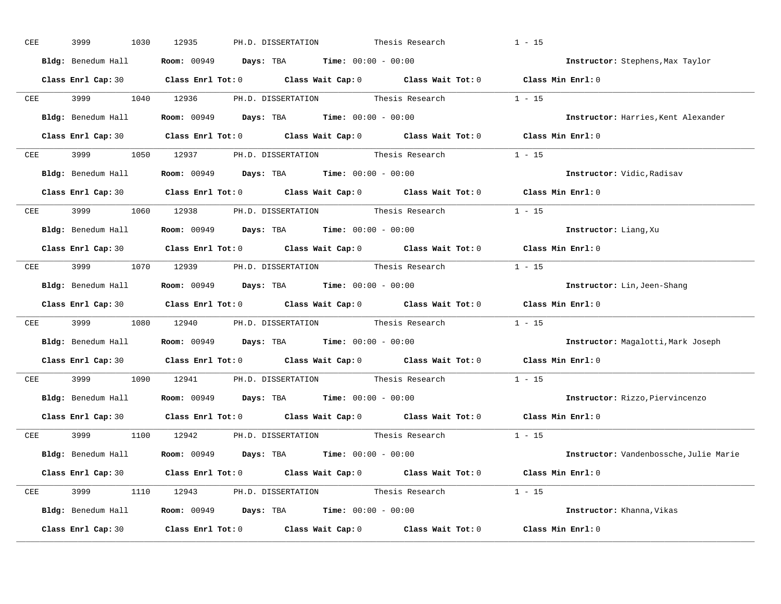| CEE        | 3999<br>1030        | 12935<br>PH.D. DISSERTATION<br>Thesis Research                                                                                 | $1 - 15$          |                                        |
|------------|---------------------|--------------------------------------------------------------------------------------------------------------------------------|-------------------|----------------------------------------|
|            | Bldg: Benedum Hall  | <b>Room:</b> 00949 <b>Days:</b> TBA <b>Time:</b> $00:00 - 00:00$                                                               |                   | Instructor: Stephens, Max Taylor       |
|            |                     | Class Enrl Cap: 30 Class Enrl Tot: 0 Class Wait Cap: 0 Class Wait Tot: 0 Class Min Enrl: 0                                     |                   |                                        |
|            | CEE 3999 1040 12936 | PH.D. DISSERTATION Thesis Research 1 - 15                                                                                      |                   |                                        |
|            |                     | Bldg: Benedum Hall <b>Room: 00949 Days: TBA Time: 00:00 - 00:00</b>                                                            |                   | Instructor: Harries, Kent Alexander    |
|            |                     | Class Enrl Cap: 30 Class Enrl Tot: 0 Class Wait Cap: 0 Class Wait Tot: 0 Class Min Enrl: 0                                     |                   |                                        |
|            |                     | CEE 3999 1050 12937 PH.D. DISSERTATION Thesis Research 1 - 15                                                                  |                   |                                        |
|            |                     | Bldg: Benedum Hall <b>Room:</b> 00949 <b>Days: TBA Time:</b> 00:00 - 00:00                                                     |                   | Instructor: Vidic, Radisav             |
|            |                     | Class Enrl Cap: 30 Class Enrl Tot: 0 Class Wait Cap: 0 Class Wait Tot: 0 Class Min Enrl: 0                                     |                   |                                        |
|            |                     | CEE 3999 1060 12938 PH.D. DISSERTATION Thesis Research 1 - 15                                                                  |                   |                                        |
|            |                     | Bldg: Benedum Hall <b>Room:</b> 00949 <b>Days:</b> TBA <b>Time:</b> 00:00 - 00:00                                              |                   | Instructor: Liang, Xu                  |
|            |                     | Class Enrl Cap: 30 $\qquad$ Class Enrl Tot: 0 $\qquad$ Class Wait Cap: 0 $\qquad$ Class Wait Tot: 0 $\qquad$ Class Min Enrl: 0 |                   |                                        |
|            |                     | CEE 3999 1070 12939 PH.D. DISSERTATION Thesis Research 1 - 15                                                                  |                   |                                        |
|            |                     | Bldg: Benedum Hall <b>Room:</b> 00949 <b>Days:</b> TBA <b>Time:</b> 00:00 - 00:00                                              |                   | Instructor: Lin, Jeen-Shang            |
|            |                     | Class Enrl Cap: 30 Class Enrl Tot: 0 Class Wait Cap: 0 Class Wait Tot: 0 Class Min Enrl: 0                                     |                   |                                        |
| <b>CEE</b> |                     | 3999 1080 12940 PH.D. DISSERTATION Thesis Research 1 - 15                                                                      |                   |                                        |
|            |                     | Bldg: Benedum Hall <b>Room:</b> 00949 <b>Days: TBA Time:</b> 00:00 - 00:00                                                     |                   | Instructor: Magalotti, Mark Joseph     |
|            |                     | Class Enrl Cap: 30 $\qquad$ Class Enrl Tot: 0 $\qquad$ Class Wait Cap: 0 $\qquad$ Class Wait Tot: 0                            | Class Min Enrl: 0 |                                        |
| CEE        |                     | 3999 1090 12941 PH.D. DISSERTATION Thesis Research                                                                             | $1 - 15$          |                                        |
|            |                     | Bldg: Benedum Hall <b>Room:</b> 00949 <b>Days:</b> TBA <b>Time:</b> 00:00 - 00:00                                              |                   | Instructor: Rizzo, Piervincenzo        |
|            |                     | Class Enrl Cap: 30 Class Enrl Tot: 0 Class Wait Cap: 0 Class Wait Tot: 0 Class Min Enrl: 0                                     |                   |                                        |
|            |                     | CEE 3999 1100 12942 PH.D. DISSERTATION Thesis Research 1 - 15                                                                  |                   |                                        |
|            |                     | Bldg: Benedum Hall <b>Room:</b> 00949 <b>Days:</b> TBA <b>Time:</b> 00:00 - 00:00                                              |                   | Instructor: Vandenbossche, Julie Marie |
|            |                     | Class Enrl Cap: 30 Class Enrl Tot: 0 Class Wait Cap: 0 Class Wait Tot: 0 Class Min Enrl: 0                                     |                   |                                        |
|            |                     | CEE 3999 1110 12943 PH.D. DISSERTATION Thesis Research 1 - 15                                                                  |                   |                                        |
|            |                     | Bldg: Benedum Hall Room: 00949 Days: TBA Time: 00:00 - 00:00                                                                   |                   | Instructor: Khanna, Vikas              |
|            | Class Enrl Cap: 30  | Class Enrl Tot: $0$ Class Wait Cap: $0$ Class Wait Tot: $0$ Class Min Enrl: $0$                                                |                   |                                        |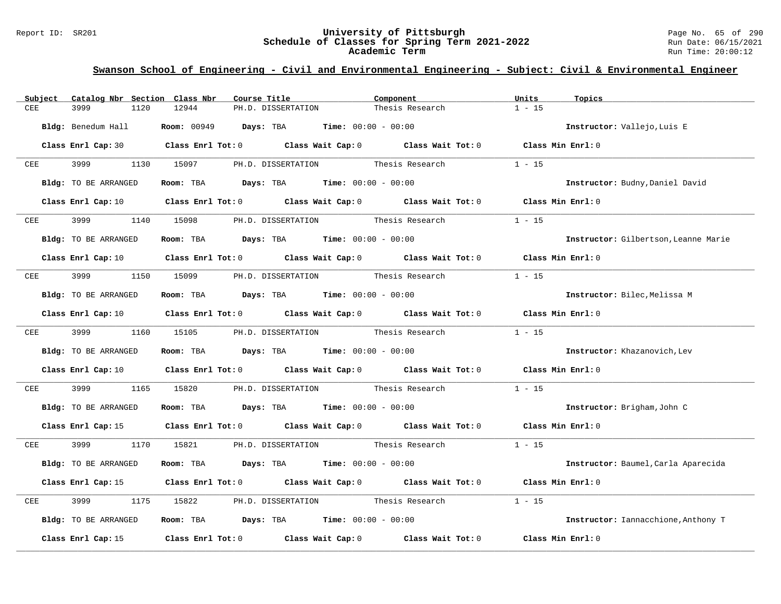### Report ID: SR201 **University of Pittsburgh** Page No. 65 of 290 **Schedule of Classes for Spring Term 2021-2022** Run Date: 06/15/2021 **Academic Term** Run Time: 20:00:12

| Subject     | Catalog Nbr Section Class Nbr | Course Title                                                                                                                   | Component                          | Units<br>Topics                      |
|-------------|-------------------------------|--------------------------------------------------------------------------------------------------------------------------------|------------------------------------|--------------------------------------|
| CEE         | 3999<br>1120                  | 12944<br>PH.D. DISSERTATION                                                                                                    | Thesis Research                    | $1 - 15$                             |
|             | Bldg: Benedum Hall            | <b>Room:</b> $00949$ <b>Days:</b> TBA <b>Time:</b> $00:00 - 00:00$                                                             |                                    | Instructor: Vallejo, Luis E          |
|             |                               | Class Enrl Cap: 30 Class Enrl Tot: 0 Class Wait Cap: 0 Class Wait Tot: 0 Class Min Enrl: 0                                     |                                    |                                      |
| CEE         | 3999 700                      | 1130 15097 PH.D. DISSERTATION                                                                                                  | Thesis Research                    | $1 - 15$                             |
|             | Bldg: TO BE ARRANGED          | Room: TBA $\rule{1em}{0.15mm}$ Days: TBA Time: $00:00 - 00:00$                                                                 |                                    | Instructor: Budny, Daniel David      |
|             |                               | Class Enrl Cap: 10 Class Enrl Tot: 0 Class Wait Cap: 0 Class Wait Tot: 0 Class Min Enrl: 0                                     |                                    |                                      |
| CEE         | 3999                          | 1140 15098 PH.D. DISSERTATION Thesis Research                                                                                  |                                    | $1 - 15$                             |
|             | Bldg: TO BE ARRANGED          | Room: TBA $Days:$ TBA $Time: 00:00 - 00:00$                                                                                    |                                    | Instructor: Gilbertson, Leanne Marie |
|             |                               | Class Enrl Cap: 10 $\qquad$ Class Enrl Tot: 0 $\qquad$ Class Wait Cap: 0 $\qquad$ Class Wait Tot: 0 $\qquad$ Class Min Enrl: 0 |                                    |                                      |
| CEE         | 3999                          | 1150 15099 PH.D. DISSERTATION Thesis Research                                                                                  |                                    | $1 - 15$                             |
|             | Bldg: TO BE ARRANGED          | Room: TBA $Days:$ TBA $Time: 00:00 - 00:00$                                                                                    |                                    | Instructor: Bilec, Melissa M         |
|             |                               | Class Enrl Cap: 10 $\qquad$ Class Enrl Tot: 0 $\qquad$ Class Wait Cap: 0 $\qquad$ Class Wait Tot: 0                            |                                    | Class Min Enrl: 0                    |
|             | CEE 3999 1160 15105           |                                                                                                                                | PH.D. DISSERTATION Thesis Research | $1 - 15$                             |
|             | Bldg: TO BE ARRANGED          | Room: TBA $Days:$ TBA $Time: 00:00 - 00:00$                                                                                    |                                    | Instructor: Khazanovich, Lev         |
|             |                               | Class Enrl Cap: 10 $\qquad$ Class Enrl Tot: 0 $\qquad$ Class Wait Cap: 0 $\qquad$ Class Wait Tot: 0 $\qquad$ Class Min Enrl: 0 |                                    |                                      |
| ${\tt CEE}$ | 3999<br>1165                  | PH.D. DISSERTATION Thesis Research<br>15820                                                                                    |                                    | $1 - 15$                             |
|             | Bldg: TO BE ARRANGED          | <b>Room:</b> TBA <b>Days:</b> TBA <b>Time:</b> 00:00 - 00:00                                                                   |                                    | Instructor: Brigham, John C          |
|             |                               | Class Enrl Cap: 15 Class Enrl Tot: 0 Class Wait Cap: 0 Class Wait Tot: 0 Class Min Enrl: 0                                     |                                    |                                      |
| CEE         | 3999 700                      | 1170 15821 PH.D. DISSERTATION Thesis Research                                                                                  |                                    | $1 - 15$                             |
|             | Bldg: TO BE ARRANGED          | Room: TBA $Days:$ TBA $Time: 00:00 - 00:00$                                                                                    |                                    | Instructor: Baumel, Carla Aparecida  |
|             |                               | Class Enrl Cap: 15 Class Enrl Tot: 0 Class Wait Cap: 0 Class Wait Tot: 0                                                       |                                    | Class Min Enrl: 0                    |
| CEE         | 3999<br>1175                  | PH.D. DISSERTATION Thesis Research<br>15822                                                                                    |                                    | $1 - 15$                             |
|             | Bldg: TO BE ARRANGED          | <b>Room:</b> TBA <b>Days:</b> TBA <b>Time:</b> 00:00 - 00:00                                                                   |                                    | Instructor: Iannacchione, Anthony T  |
|             | Class Enrl Cap: 15            | Class Enrl Tot: $0$ Class Wait Cap: $0$ Class Wait Tot: $0$                                                                    |                                    | Class Min Enrl: 0                    |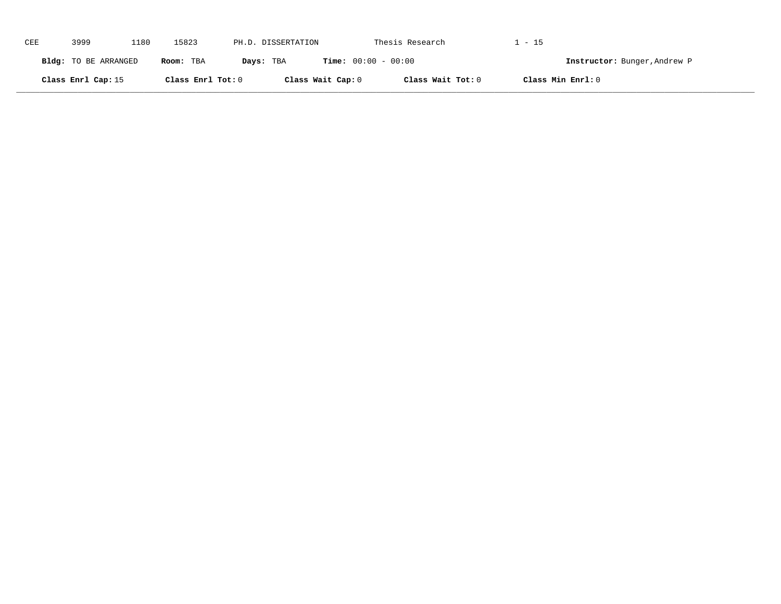| CEE | 3999                 | 1180 | 15823             | PH.D. DISSERTATION |                              | Thesis Research   | . - 15                       |  |
|-----|----------------------|------|-------------------|--------------------|------------------------------|-------------------|------------------------------|--|
|     | Bldg: TO BE ARRANGED |      | Room: TBA         | Days: TBA          | <b>Time:</b> $00:00 - 00:00$ |                   | Instructor: Bunger, Andrew P |  |
|     | Class Enrl Cap: 15   |      | Class Enrl Tot: 0 |                    | Class Wait Cap: 0            | Class Wait Tot: 0 | Class Min Enrl: 0            |  |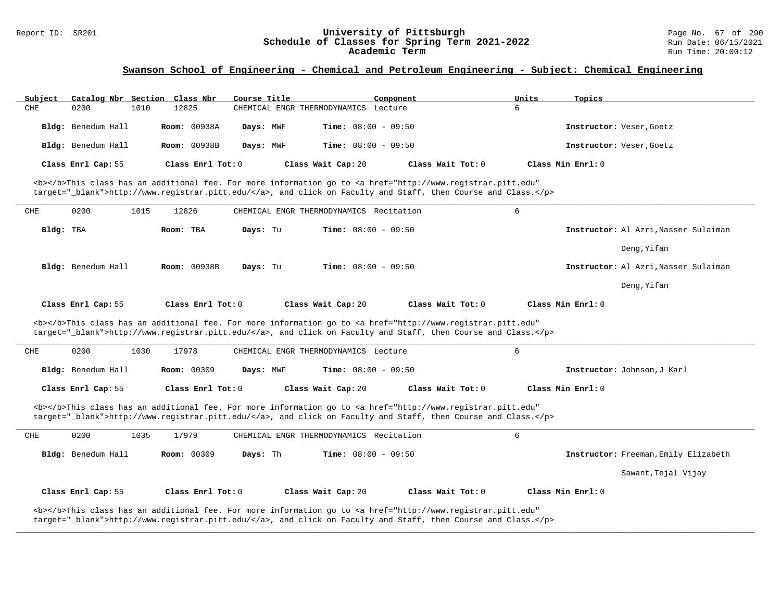#### Report ID: SR201 **University of Pittsburgh** Page No. 67 of 290 **Schedule of Classes for Spring Term 2021-2022** Run Date: 06/15/2021 **Academic Term** Run Time: 20:00:12

### **Swanson School of Engineering - Chemical and Petroleum Engineering - Subject: Chemical Engineering**

| Subject   | Catalog Nbr Section Class Nbr |                     | Course Title |                                         | Component                                                                                                                                                                                                                          | Units | Topics                               |
|-----------|-------------------------------|---------------------|--------------|-----------------------------------------|------------------------------------------------------------------------------------------------------------------------------------------------------------------------------------------------------------------------------------|-------|--------------------------------------|
| CHE       | 0200<br>1010                  | 12825               |              | CHEMICAL ENGR THERMODYNAMICS Lecture    |                                                                                                                                                                                                                                    | 6     |                                      |
|           | Bldg: Benedum Hall            | <b>Room: 00938A</b> | Days: MWF    | <b>Time:</b> $08:00 - 09:50$            |                                                                                                                                                                                                                                    |       | Instructor: Veser, Goetz             |
|           | Bldg: Benedum Hall            | Room: 00938B        | Days: MWF    | Time: $08:00 - 09:50$                   |                                                                                                                                                                                                                                    |       | Instructor: Veser, Goetz             |
|           | Class Enrl Cap: 55            | Class Enrl Tot: 0   |              | Class Wait Cap: 20                      | Class Wait Tot: 0                                                                                                                                                                                                                  |       | Class Min Enrl: 0                    |
|           |                               |                     |              |                                         | <b></b> This class has an additional fee. For more information go to <a <br="" href="http://www.registrar.pitt.edu">target="_blank"&gt;http://www.registrar.pitt.edu/</a> , and click on Faculty and Staff, then Course and Class. |       |                                      |
| CHE       | 1015<br>0200                  | 12826               |              | CHEMICAL ENGR THERMODYNAMICS Recitation |                                                                                                                                                                                                                                    | 6     |                                      |
| Bldg: TBA |                               | Room: TBA           | Days: Tu     | <b>Time:</b> $08:00 - 09:50$            |                                                                                                                                                                                                                                    |       | Instructor: Al Azri, Nasser Sulaiman |
|           |                               |                     |              |                                         |                                                                                                                                                                                                                                    |       | Deng, Yifan                          |
|           | Bldg: Benedum Hall            | <b>Room: 00938B</b> | Days: Tu     | <b>Time:</b> $08:00 - 09:50$            |                                                                                                                                                                                                                                    |       | Instructor: Al Azri, Nasser Sulaiman |
|           |                               |                     |              |                                         |                                                                                                                                                                                                                                    |       | Deng, Yifan                          |
|           | Class Enrl Cap: 55            | Class Enrl Tot: 0   |              | Class Wait Cap: 20                      | Class Wait Tot: 0                                                                                                                                                                                                                  |       | Class Min Enrl: 0                    |
|           |                               |                     |              |                                         | <b></b> This class has an additional fee. For more information go to <a <br="" href="http://www.registrar.pitt.edu">target="_blank"&gt;http://www.registrar.pitt.edu/</a> , and click on Faculty and Staff, then Course and Class. |       |                                      |
| CHE       | 0200<br>1030                  | 17978               |              | CHEMICAL ENGR THERMODYNAMICS Lecture    |                                                                                                                                                                                                                                    | 6     |                                      |
|           | Bldg: Benedum Hall            | Room: 00309         | Days: MWF    | Time: $08:00 - 09:50$                   |                                                                                                                                                                                                                                    |       | Instructor: Johnson, J Karl          |
|           | Class Enrl Cap: 55            | Class Enrl Tot: 0   |              | Class Wait Cap: 20                      | Class Wait Tot: 0                                                                                                                                                                                                                  |       | Class Min Enrl: 0                    |
|           |                               |                     |              |                                         | <b></b> This class has an additional fee. For more information go to <a <="" href="http://www.registrar.pitt.edu" td=""><td></td><td></td></a>                                                                                     |       |                                      |
|           |                               |                     |              |                                         | target="_blank">http://www.registrar.pitt.edu/, and click on Faculty and Staff, then Course and Class.                                                                                                                             |       |                                      |
| CHE       | 0200<br>1035                  | 17979               |              | CHEMICAL ENGR THERMODYNAMICS Recitation |                                                                                                                                                                                                                                    | 6     |                                      |
|           | Bldg: Benedum Hall            | <b>Room: 00309</b>  | Days: Th     | <b>Time:</b> $08:00 - 09:50$            |                                                                                                                                                                                                                                    |       | Instructor: Freeman, Emily Elizabeth |
|           |                               |                     |              |                                         |                                                                                                                                                                                                                                    |       | Sawant, Tejal Vijay                  |
|           | Class Enrl Cap: 55            | Class Enrl Tot: 0   |              | Class Wait Cap: 20                      | Class Wait Tot: 0                                                                                                                                                                                                                  |       | Class Min Enrl: 0                    |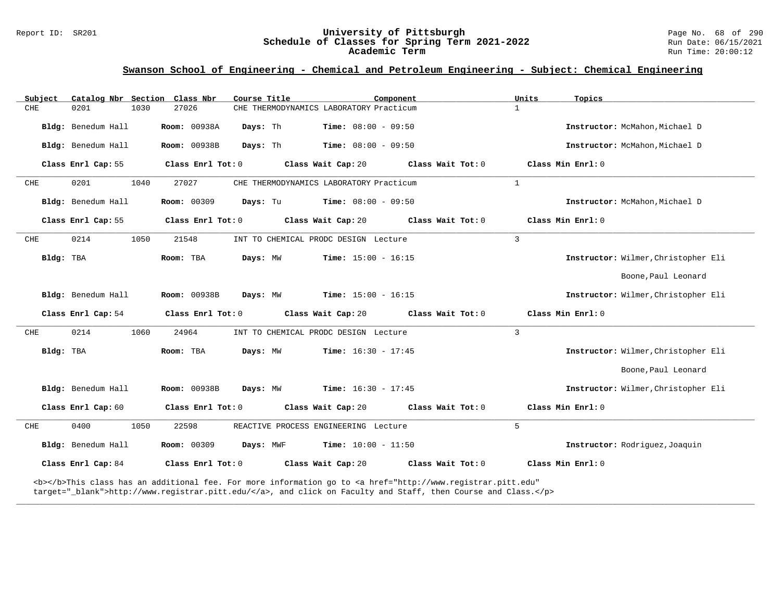#### Report ID: SR201 **University of Pittsburgh** Page No. 68 of 290 **Schedule of Classes for Spring Term 2021-2022** Run Date: 06/15/2021 **Academic Term** Run Time: 20:00:12

### **Swanson School of Engineering - Chemical and Petroleum Engineering - Subject: Chemical Engineering**

| Subject    | Catalog Nbr Section Class Nbr |                     | Course Title |                                         | Component                                                                                                                                                                                                                          | Units          | Topics                              |
|------------|-------------------------------|---------------------|--------------|-----------------------------------------|------------------------------------------------------------------------------------------------------------------------------------------------------------------------------------------------------------------------------------|----------------|-------------------------------------|
| <b>CHE</b> | 0201<br>1030                  | 27026               |              | CHE THERMODYNAMICS LABORATORY Practicum |                                                                                                                                                                                                                                    | $\mathbf{1}$   |                                     |
|            | Bldg: Benedum Hall            | <b>Room: 00938A</b> | Days: Th     | <b>Time:</b> $08:00 - 09:50$            |                                                                                                                                                                                                                                    |                | Instructor: McMahon, Michael D      |
|            | Bldg: Benedum Hall            | Room: 00938B        | Days: Th     | <b>Time:</b> $08:00 - 09:50$            |                                                                                                                                                                                                                                    |                | Instructor: McMahon, Michael D      |
|            | Class Enrl Cap: 55            | Class Enrl Tot: 0   |              | Class Wait Cap: 20                      | Class Wait Tot: 0                                                                                                                                                                                                                  |                | Class Min Enrl: 0                   |
| CHE        | 0201<br>1040                  | 27027               |              | CHE THERMODYNAMICS LABORATORY Practicum |                                                                                                                                                                                                                                    | $\mathbf{1}$   |                                     |
|            | Bldg: Benedum Hall            | <b>Room: 00309</b>  | Days: Tu     | <b>Time:</b> $08:00 - 09:50$            |                                                                                                                                                                                                                                    |                | Instructor: McMahon, Michael D      |
|            | Class Enrl Cap: 55            | Class Enrl Tot: 0   |              | Class Wait Cap: 20                      | Class Wait Tot: 0                                                                                                                                                                                                                  |                | Class Min Enrl: 0                   |
| CHE        | 0214<br>1050                  | 21548               |              | INT TO CHEMICAL PRODC DESIGN Lecture    |                                                                                                                                                                                                                                    | $\overline{3}$ |                                     |
| Bldg: TBA  |                               | Room: TBA           | Days: MW     | <b>Time:</b> $15:00 - 16:15$            |                                                                                                                                                                                                                                    |                | Instructor: Wilmer, Christopher Eli |
|            |                               |                     |              |                                         |                                                                                                                                                                                                                                    |                | Boone, Paul Leonard                 |
|            | Bldg: Benedum Hall            | <b>Room: 00938B</b> | Days: MW     | <b>Time:</b> $15:00 - 16:15$            |                                                                                                                                                                                                                                    |                | Instructor: Wilmer, Christopher Eli |
|            | Class Enrl Cap: 54            | Class Enrl Tot: 0   |              | Class Wait Cap: 20                      | Class Wait Tot: 0                                                                                                                                                                                                                  |                | Class Min Enrl: 0                   |
| CHE        | 0214<br>1060                  | 24964               |              | INT TO CHEMICAL PRODC DESIGN Lecture    |                                                                                                                                                                                                                                    | $\overline{3}$ |                                     |
| Bldg: TBA  |                               | Room: TBA           | Days: MW     | <b>Time:</b> $16:30 - 17:45$            |                                                                                                                                                                                                                                    |                | Instructor: Wilmer, Christopher Eli |
|            |                               |                     |              |                                         |                                                                                                                                                                                                                                    |                | Boone, Paul Leonard                 |
|            | Bldg: Benedum Hall            | <b>Room: 00938B</b> | Days: MW     | <b>Time:</b> $16:30 - 17:45$            |                                                                                                                                                                                                                                    |                | Instructor: Wilmer, Christopher Eli |
|            | Class Enrl Cap: 60            | Class Enrl Tot: 0   |              | Class Wait Cap: 20                      | Class Wait Tot: 0                                                                                                                                                                                                                  |                | Class Min Enrl: 0                   |
| CHE        | 0400<br>1050                  | 22598               |              | REACTIVE PROCESS ENGINEERING Lecture    |                                                                                                                                                                                                                                    | 5              |                                     |
|            | Bldg: Benedum Hall            | <b>Room: 00309</b>  | Days: MWF    | <b>Time:</b> $10:00 - 11:50$            |                                                                                                                                                                                                                                    |                | Instructor: Rodriquez, Joaquin      |
|            | Class Enrl Cap: 84            | Class Enrl Tot: 0   |              | Class Wait Cap: 20                      | Class Wait Tot: 0                                                                                                                                                                                                                  |                | Class Min Enrl: 0                   |
|            |                               |                     |              |                                         | <b></b> This class has an additional fee. For more information go to <a <br="" href="http://www.registrar.pitt.edu">target="_blank"&gt;http://www.registrar.pitt.edu/</a> , and click on Faculty and Staff, then Course and Class. |                |                                     |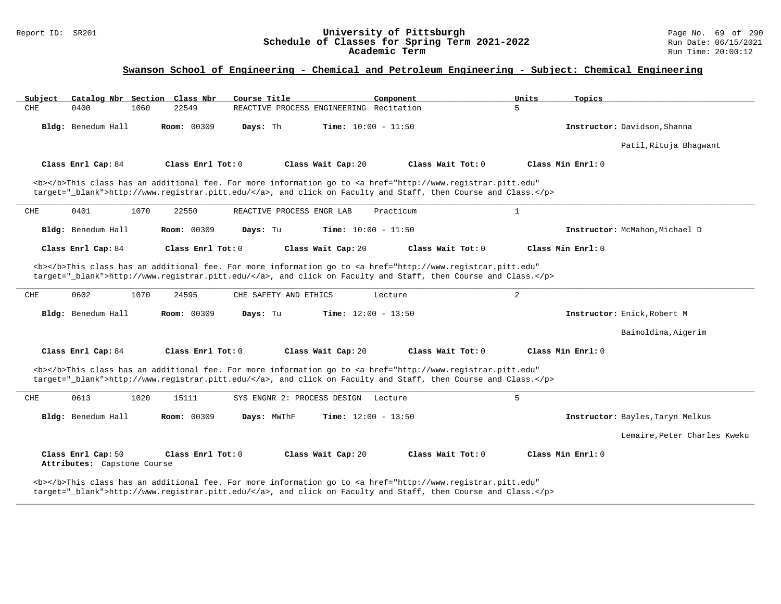### Report ID: SR201 **University of Pittsburgh** Page No. 69 of 290 **Schedule of Classes for Spring Term 2021-2022** Run Date: 06/15/2021 **Academic Term** Run Time: 20:00:12

### **Swanson School of Engineering - Chemical and Petroleum Engineering - Subject: Chemical Engineering**

| Subject<br>Catalog Nbr Section Class Nbr          | Course Title                                                                                                                                                                                                                       | Component<br>Units           | Topics                           |
|---------------------------------------------------|------------------------------------------------------------------------------------------------------------------------------------------------------------------------------------------------------------------------------------|------------------------------|----------------------------------|
| CHE<br>0400<br>1060                               | REACTIVE PROCESS ENGINEERING Recitation<br>22549                                                                                                                                                                                   | 5                            |                                  |
| Bldg: Benedum Hall                                | <b>Room: 00309</b><br>Days: Th                                                                                                                                                                                                     | <b>Time:</b> $10:00 - 11:50$ | Instructor: Davidson, Shanna     |
|                                                   |                                                                                                                                                                                                                                    |                              | Patil, Rituja Bhagwant           |
| Class Enrl Cap: 84                                | Class Enrl Tot: $0$<br>Class Wait Cap: 20                                                                                                                                                                                          | Class Wait Tot: 0            | Class Min Enrl: 0                |
|                                                   | <b></b> This class has an additional fee. For more information go to <a <br="" href="http://www.registrar.pitt.edu">target="_blank"&gt;http://www.registrar.pitt.edu/</a> , and click on Faculty and Staff, then Course and Class. |                              |                                  |
| 0401<br>1070<br>CHE                               | 22550<br>REACTIVE PROCESS ENGR LAB                                                                                                                                                                                                 | $\mathbf{1}$<br>Practicum    |                                  |
| Bldg: Benedum Hall                                | <b>Room: 00309</b><br>Days: Tu                                                                                                                                                                                                     | <b>Time:</b> $10:00 - 11:50$ | Instructor: McMahon, Michael D   |
| Class Enrl Cap: 84                                | Class Wait Cap: 20<br>Class Enrl Tot: 0                                                                                                                                                                                            | Class Wait Tot: 0            | Class Min Enrl: 0                |
|                                                   | <b></b> This class has an additional fee. For more information go to <a <br="" href="http://www.registrar.pitt.edu">target="_blank"&gt;http://www.registrar.pitt.edu/</a> , and click on Faculty and Staff, then Course and Class. |                              |                                  |
| CHE<br>0602<br>1070                               | 24595<br>CHE SAFETY AND ETHICS                                                                                                                                                                                                     | 2<br>Lecture                 |                                  |
| Bldg: Benedum Hall                                | <b>Room: 00309</b><br>Days: Tu                                                                                                                                                                                                     | <b>Time:</b> $12:00 - 13:50$ | Instructor: Enick, Robert M      |
|                                                   |                                                                                                                                                                                                                                    |                              | Baimoldina, Aigerim              |
| Class Enrl Cap: 84                                | Class Enrl Tot: 0<br>Class Wait Cap: 20                                                                                                                                                                                            | Class Wait Tot: 0            | Class Min Enrl: 0                |
|                                                   | <b></b> This class has an additional fee. For more information go to <a <br="" href="http://www.registrar.pitt.edu">target="_blank"&gt;http://www.registrar.pitt.edu/</a> , and click on Faculty and Staff, then Course and Class. |                              |                                  |
| 0613<br>1020<br>CHE                               | 15111<br>SYS ENGNR 2: PROCESS DESIGN                                                                                                                                                                                               | 5<br>Lecture                 |                                  |
| Bldg: Benedum Hall                                | Room: 00309<br>Days: MWThF                                                                                                                                                                                                         | <b>Time:</b> $12:00 - 13:50$ | Instructor: Bayles, Taryn Melkus |
|                                                   |                                                                                                                                                                                                                                    |                              | Lemaire, Peter Charles Kweku     |
| Class Enrl Cap: 50<br>Attributes: Capstone Course | Class Wait Cap: 20<br>Class Enrl Tot: 0                                                                                                                                                                                            | Class Wait Tot: 0            | Class Min Enrl: 0                |
|                                                   | <b></b> This class has an additional fee. For more information go to <a <br="" href="http://www.registrar.pitt.edu">target="_blank"&gt;http://www.registrar.pitt.edu/</a> , and click on Faculty and Staff, then Course and Class. |                              |                                  |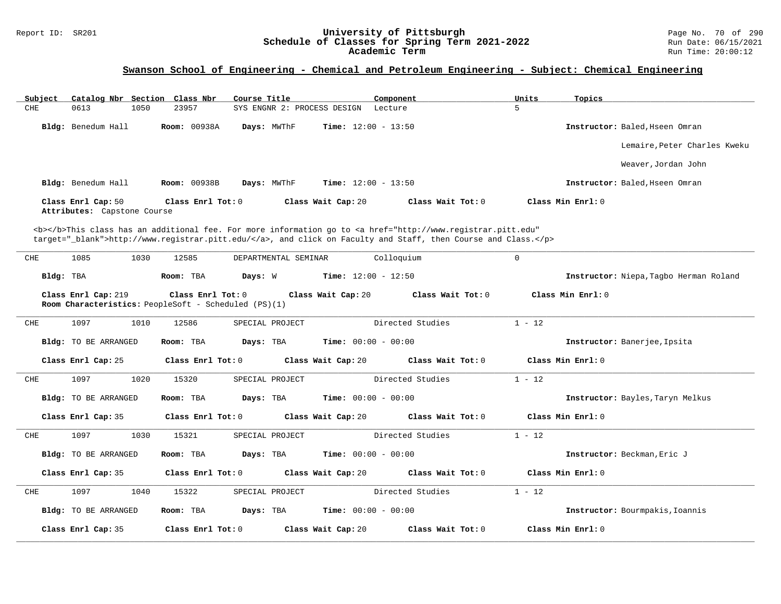#### Report ID: SR201 **University of Pittsburgh** Page No. 70 of 290 **Schedule of Classes for Spring Term 2021-2022** Run Date: 06/15/2021 **Academic Term** Run Time: 20:00:12

### **Swanson School of Engineering - Chemical and Petroleum Engineering - Subject: Chemical Engineering**

| Catalog Nbr Section Class Nbr<br>Subject          | Course Title                                                              | Component                              | Units                                                                                                                                                                                                                              | Topics                                 |
|---------------------------------------------------|---------------------------------------------------------------------------|----------------------------------------|------------------------------------------------------------------------------------------------------------------------------------------------------------------------------------------------------------------------------------|----------------------------------------|
| 0613<br>CHE<br>1050                               | 23957                                                                     | SYS ENGNR 2: PROCESS DESIGN<br>Lecture | 5                                                                                                                                                                                                                                  |                                        |
| Bldg: Benedum Hall                                | Room: 00938A<br>Days: MWThF                                               | <b>Time:</b> $12:00 - 13:50$           |                                                                                                                                                                                                                                    | Instructor: Baled, Hseen Omran         |
|                                                   |                                                                           |                                        |                                                                                                                                                                                                                                    | Lemaire, Peter Charles Kweku           |
|                                                   |                                                                           |                                        |                                                                                                                                                                                                                                    | Weaver, Jordan John                    |
| Bldg: Benedum Hall                                | Room: 00938B<br>Days: MWThF                                               | <b>Time:</b> $12:00 - 13:50$           |                                                                                                                                                                                                                                    | Instructor: Baled, Hseen Omran         |
| Class Enrl Cap: 50<br>Attributes: Capstone Course | Class Enrl Tot: 0                                                         | Class Wait Cap: 20                     | Class Wait Tot: 0                                                                                                                                                                                                                  | Class Min Enrl: 0                      |
|                                                   |                                                                           |                                        | <b></b> This class has an additional fee. For more information go to <a <br="" href="http://www.registrar.pitt.edu">target="_blank"&gt;http://www.registrar.pitt.edu/</a> , and click on Faculty and Staff, then Course and Class. |                                        |
| CHE<br>1085<br>1030                               | 12585                                                                     | Colloquium<br>DEPARTMENTAL SEMINAR     | $\Omega$                                                                                                                                                                                                                           |                                        |
| Bldg: TBA                                         | Room: TBA<br>Days: W                                                      | <b>Time:</b> $12:00 - 12:50$           |                                                                                                                                                                                                                                    | Instructor: Niepa, Tagbo Herman Roland |
| Class Enrl Cap: 219                               | Class Enrl Tot: 0<br>Room Characteristics: PeopleSoft - Scheduled (PS)(1) | Class Wait Cap: 20                     | Class Wait Tot: 0                                                                                                                                                                                                                  | Class Min Enrl: 0                      |
| CHE<br>1097<br>1010                               | 12586<br>SPECIAL PROJECT                                                  |                                        | Directed Studies<br>$1 - 12$                                                                                                                                                                                                       |                                        |
| <b>Bldg:</b> TO BE ARRANGED                       | Room: TBA<br>Days: TBA                                                    | <b>Time:</b> $00:00 - 00:00$           |                                                                                                                                                                                                                                    | Instructor: Banerjee, Ipsita           |
| Class Enrl Cap: 25                                | Class Enrl Tot: 0                                                         | Class Wait Cap: 20                     | Class Wait Tot: 0                                                                                                                                                                                                                  | Class Min Enrl: 0                      |
| CHE<br>1097<br>1020                               | 15320<br>SPECIAL PROJECT                                                  |                                        | $1 - 12$<br>Directed Studies                                                                                                                                                                                                       |                                        |
| Bldg: TO BE ARRANGED                              | Days: TBA<br>Room: TBA                                                    | <b>Time:</b> $00:00 - 00:00$           |                                                                                                                                                                                                                                    | Instructor: Bayles, Taryn Melkus       |
| Class Enrl Cap: 35                                | Class Enrl Tot: $0$                                                       | Class Wait Cap: 20                     | Class Wait $Tot: 0$                                                                                                                                                                                                                | Class Min Enrl: 0                      |
| 1097<br>1030<br>CHE                               | 15321<br>SPECIAL PROJECT                                                  |                                        | Directed Studies<br>$1 - 12$                                                                                                                                                                                                       |                                        |
| <b>Bldg:</b> TO BE ARRANGED                       | Room: TBA<br>Days: TBA                                                    | Time: $00:00 - 00:00$                  |                                                                                                                                                                                                                                    | Instructor: Beckman, Eric J            |
| Class Enrl Cap: 35                                | Class Enrl Tot: 0                                                         | Class Wait Cap: 20                     | Class Wait Tot: 0                                                                                                                                                                                                                  | Class Min Enrl: 0                      |
| ${\rm CHE}$<br>1097<br>1040                       | 15322<br>SPECIAL PROJECT                                                  |                                        | Directed Studies<br>$1 - 12$                                                                                                                                                                                                       |                                        |
| <b>Bldg:</b> TO BE ARRANGED                       | Days: TBA<br>Room: TBA                                                    | Time: $00:00 - 00:00$                  |                                                                                                                                                                                                                                    | Instructor: Bourmpakis, Ioannis        |
| Class Enrl Cap: 35                                | Class Enrl Tot: 0                                                         | Class Wait Cap: 20                     | Class Wait Tot: 0                                                                                                                                                                                                                  | Class Min Enrl: 0                      |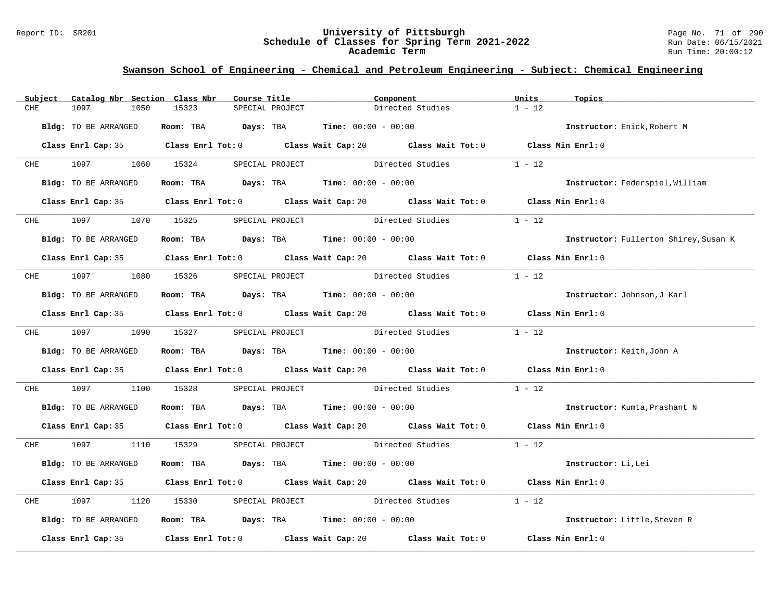#### Report ID: SR201 **University of Pittsburgh** Page No. 71 of 290 **Schedule of Classes for Spring Term 2021-2022** Run Date: 06/15/2021 **Academic Term** Run Time: 20:00:12

### **Swanson School of Engineering - Chemical and Petroleum Engineering - Subject: Chemical Engineering**

|     | Subject Catalog Nbr Section Class Nbr | Course Title                                                                                         |                 | Component                               | Units    | Topics                                |
|-----|---------------------------------------|------------------------------------------------------------------------------------------------------|-----------------|-----------------------------------------|----------|---------------------------------------|
| CHE | 1097<br>1050                          | 15323                                                                                                | SPECIAL PROJECT | Directed Studies                        | $1 - 12$ |                                       |
|     | Bldg: TO BE ARRANGED                  | Room: TBA $Days: TBA$ Time: $00:00 - 00:00$                                                          |                 |                                         |          | Instructor: Enick, Robert M           |
|     |                                       | Class Enrl Cap: 35 Class Enrl Tot: 0 Class Wait Cap: 20 Class Wait Tot: 0 Class Min Enrl: 0          |                 |                                         |          |                                       |
|     | CHE 1097                              | 1060 15324                                                                                           | SPECIAL PROJECT | Directed Studies                        | $1 - 12$ |                                       |
|     | Bldg: TO BE ARRANGED                  | Room: TBA $Days:$ TBA $Time: 00:00 - 00:00$                                                          |                 |                                         |          | Instructor: Federspiel, William       |
|     |                                       | Class Enrl Cap: 35 Class Enrl Tot: 0 Class Wait Cap: 20 Class Wait Tot: 0 Class Min Enrl: 0          |                 |                                         |          |                                       |
|     | CHE 1097                              | 1070 15325<br>SPECIAL PROJECT                                                                        |                 | Directed Studies                        | $1 - 12$ |                                       |
|     | Bldg: TO BE ARRANGED                  | Room: TBA $Days:$ TBA $Time: 00:00 - 00:00$                                                          |                 |                                         |          | Instructor: Fullerton Shirey, Susan K |
|     |                                       | Class Enrl Cap: 35 Class Enrl Tot: 0 Class Wait Cap: 20 Class Wait Tot: 0 Class Min Enrl: 0          |                 |                                         |          |                                       |
|     |                                       | CHE 1097 1080 15326 SPECIAL PROJECT                                                                  |                 | Directed Studies                        | $1 - 12$ |                                       |
|     | Bldg: TO BE ARRANGED                  | Room: TBA $Days:$ TBA $Time: 00:00 - 00:00$                                                          |                 |                                         |          | Instructor: Johnson, J Karl           |
|     |                                       | Class Enrl Cap: 35 Class Enrl Tot: 0 Class Wait Cap: 20 Class Wait Tot: 0 Class Min Enrl: 0          |                 |                                         |          |                                       |
|     | CHE 1097 1090 15327                   |                                                                                                      |                 | SPECIAL PROJECT Directed Studies 1 - 12 |          |                                       |
|     | Bldg: TO BE ARRANGED                  | Room: TBA $Days:$ TBA $Time: 00:00 - 00:00$                                                          |                 |                                         |          | Instructor: Keith, John A             |
|     |                                       | Class Enrl Cap: 35 Class Enrl Tot: 0 Class Wait Cap: 20 Class Wait Tot: 0 Class Min Enrl: 0          |                 |                                         |          |                                       |
| CHE | 1097<br>1100                          | 15328                                                                                                |                 | SPECIAL PROJECT Directed Studies 1 - 12 |          |                                       |
|     | Bldg: TO BE ARRANGED                  | Room: TBA $Days:$ TBA $Time: 00:00 - 00:00$                                                          |                 |                                         |          | Instructor: Kumta, Prashant N         |
|     |                                       | Class Enrl Cap: 35 Class Enrl Tot: 0 Class Wait Cap: 20 Class Wait Tot: 0 Class Min Enrl: 0          |                 |                                         |          |                                       |
|     |                                       | CHE 1097 1110 15329 SPECIAL PROJECT Directed Studies 1 - 12                                          |                 |                                         |          |                                       |
|     | Bldg: TO BE ARRANGED                  | Room: TBA $Days:$ TBA $Time: 00:00 - 00:00$                                                          |                 |                                         |          | Instructor: Li, Lei                   |
|     |                                       | Class Enrl Cap: 35 Class Enrl Tot: 0 Class Wait Cap: 20 Class Wait Tot: 0 Class Min Enrl: 0          |                 |                                         |          |                                       |
| CHE | 1097                                  | 1120 15330                                                                                           |                 | SPECIAL PROJECT Directed Studies        | $1 - 12$ |                                       |
|     | Bldg: TO BE ARRANGED                  | Room: TBA $\rule{1em}{0.15mm}$ Days: TBA Time: $00:00 - 00:00$                                       |                 |                                         |          | Instructor: Little, Steven R          |
|     |                                       | Class Enrl Cap: 35 $\qquad$ Class Enrl Tot: 0 $\qquad$ Class Wait Cap: 20 $\qquad$ Class Wait Tot: 0 |                 |                                         |          | Class Min Enrl: 0                     |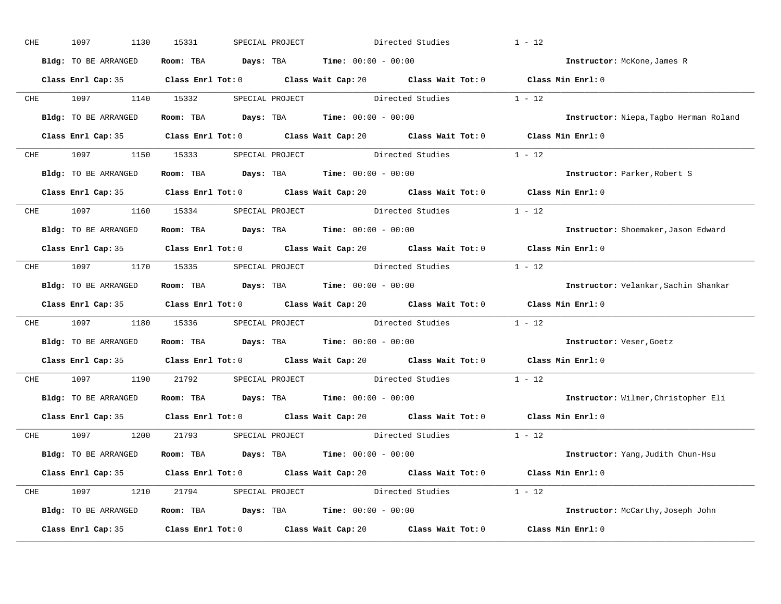| CHE |            | 1097                                | 1130 | 15331 | SPECIAL PROJECT |                                             | Directed Studies                                                          | $1 - 12$                                                                                    |
|-----|------------|-------------------------------------|------|-------|-----------------|---------------------------------------------|---------------------------------------------------------------------------|---------------------------------------------------------------------------------------------|
|     |            | Bldg: TO BE ARRANGED                |      |       |                 | Room: TBA $Days:$ TBA $Time: 00:00 - 00:00$ |                                                                           | Instructor: McKone, James R                                                                 |
|     |            |                                     |      |       |                 |                                             |                                                                           | Class Enrl Cap: 35 Class Enrl Tot: 0 Class Wait Cap: 20 Class Wait Tot: 0 Class Min Enrl: 0 |
|     |            | CHE 1097 1140 15332                 |      |       |                 |                                             | SPECIAL PROJECT Directed Studies 1 - 12                                   |                                                                                             |
|     |            | Bldg: TO BE ARRANGED                |      |       |                 | Room: TBA $Days:$ TBA Time: $00:00 - 00:00$ |                                                                           | Instructor: Niepa, Tagbo Herman Roland                                                      |
|     |            |                                     |      |       |                 |                                             |                                                                           | Class Enrl Cap: 35 Class Enrl Tot: 0 Class Wait Cap: 20 Class Wait Tot: 0 Class Min Enrl: 0 |
|     |            |                                     |      |       |                 |                                             | CHE 1097 1150 15333 SPECIAL PROJECT Directed Studies 1 - 12               |                                                                                             |
|     |            | Bldg: TO BE ARRANGED                |      |       |                 | Room: TBA Days: TBA Time: $00:00 - 00:00$   |                                                                           | Instructor: Parker, Robert S                                                                |
|     |            |                                     |      |       |                 |                                             |                                                                           | Class Enrl Cap: 35 Class Enrl Tot: 0 Class Wait Cap: 20 Class Wait Tot: 0 Class Min Enrl: 0 |
|     |            | CHE 1097 1160 15334 SPECIAL PROJECT |      |       |                 |                                             | Directed Studies                                                          | $1 - 12$                                                                                    |
|     |            | Bldg: TO BE ARRANGED                |      |       |                 | Room: TBA $Days:$ TBA $Time: 00:00 - 00:00$ |                                                                           | Instructor: Shoemaker, Jason Edward                                                         |
|     |            |                                     |      |       |                 |                                             |                                                                           | Class Enrl Cap: 35 Class Enrl Tot: 0 Class Wait Cap: 20 Class Wait Tot: 0 Class Min Enrl: 0 |
|     |            |                                     |      |       |                 |                                             | CHE 1097 1170 15335 SPECIAL PROJECT Directed Studies 1 - 12               |                                                                                             |
|     |            | Bldg: TO BE ARRANGED                |      |       |                 | Room: TBA $Days:$ TBA $Time: 00:00 - 00:00$ |                                                                           | Instructor: Velankar, Sachin Shankar                                                        |
|     |            |                                     |      |       |                 |                                             |                                                                           | Class Enrl Cap: 35 Class Enrl Tot: 0 Class Wait Cap: 20 Class Wait Tot: 0 Class Min Enrl: 0 |
|     |            |                                     |      |       |                 |                                             | CHE 1097 1180 15336 SPECIAL PROJECT Directed Studies 1 - 12               |                                                                                             |
|     |            | Bldg: TO BE ARRANGED                |      |       |                 | Room: TBA $Days:$ TBA $Time: 00:00 - 00:00$ |                                                                           | Instructor: Veser, Goetz                                                                    |
|     |            |                                     |      |       |                 |                                             |                                                                           | Class Enrl Cap: 35 Class Enrl Tot: 0 Class Wait Cap: 20 Class Wait Tot: 0 Class Min Enrl: 0 |
|     | <b>CHE</b> | 1097 1190 21792                     |      |       |                 |                                             | SPECIAL PROJECT Directed Studies                                          | $1 - 12$                                                                                    |
|     |            | Bldg: TO BE ARRANGED                |      |       |                 | Room: TBA $Days:$ TBA $Time: 00:00 - 00:00$ |                                                                           | Instructor: Wilmer, Christopher Eli                                                         |
|     |            |                                     |      |       |                 |                                             |                                                                           | Class Enrl Cap: 35 Class Enrl Tot: 0 Class Wait Cap: 20 Class Wait Tot: 0 Class Min Enrl: 0 |
|     |            | CHE 1097 1200 21793 SPECIAL PROJECT |      |       |                 |                                             | Directed Studies 1 - 12                                                   |                                                                                             |
|     |            | Bldg: TO BE ARRANGED                |      |       |                 | Room: TBA $Days:$ TBA $Time: 00:00 - 00:00$ |                                                                           | Instructor: Yang, Judith Chun-Hsu                                                           |
|     |            |                                     |      |       |                 |                                             |                                                                           | Class Enrl Cap: 35 Class Enrl Tot: 0 Class Wait Cap: 20 Class Wait Tot: 0 Class Min Enrl: 0 |
|     |            |                                     |      |       |                 |                                             | CHE 1097 1210 21794 SPECIAL PROJECT Directed Studies 1 - 12               |                                                                                             |
|     |            | Bldg: TO BE ARRANGED                |      |       |                 | Room: TBA $Days:$ TBA $Time: 00:00 - 00:00$ |                                                                           | Instructor: McCarthy, Joseph John                                                           |
|     |            |                                     |      |       |                 |                                             | Class Enrl Cap: 35 Class Enrl Tot: 0 Class Wait Cap: 20 Class Wait Tot: 0 | Class Min Enrl: 0                                                                           |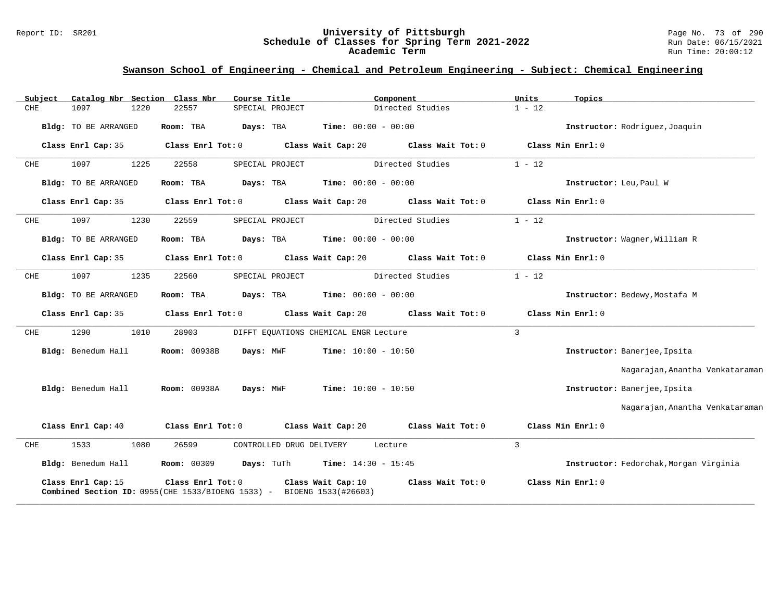#### Report ID: SR201 **University of Pittsburgh** Page No. 73 of 290 **Schedule of Classes for Spring Term 2021-2022** Run Date: 06/15/2021 **Academic Term** Run Time: 20:00:12

| Subject     | Catalog Nbr Section Class Nbr |      |                     | Course Title |                          |                                                                                                       | Component         | Units          | Topics                                 |
|-------------|-------------------------------|------|---------------------|--------------|--------------------------|-------------------------------------------------------------------------------------------------------|-------------------|----------------|----------------------------------------|
| <b>CHE</b>  | 1097                          | 1220 | 22557               |              | SPECIAL PROJECT          |                                                                                                       | Directed Studies  | $1 - 12$       |                                        |
|             | Bldg: TO BE ARRANGED          |      | Room: TBA           | Days: TBA    |                          | <b>Time:</b> $00:00 - 00:00$                                                                          |                   |                | Instructor: Rodriquez, Joaquin         |
|             | Class Enrl Cap: 35            |      | Class Enrl Tot: 0   |              |                          | Class Wait Cap: 20                                                                                    | Class Wait Tot: 0 |                | Class Min Enrl: 0                      |
| CHE         | 1097                          | 1225 | 22558               |              | SPECIAL PROJECT          |                                                                                                       | Directed Studies  | $1 - 12$       |                                        |
|             | Bldg: TO BE ARRANGED          |      | Room: TBA           | Days: TBA    |                          | <b>Time:</b> $00:00 - 00:00$                                                                          |                   |                | Instructor: Leu, Paul W                |
|             | Class Enrl Cap: 35            |      | Class Enrl Tot: 0   |              |                          | Class Wait Cap: 20                                                                                    | Class Wait Tot: 0 |                | Class Min Enrl: 0                      |
| ${\rm CHE}$ | 1097                          | 1230 | 22559               |              | SPECIAL PROJECT          |                                                                                                       | Directed Studies  | $1 - 12$       |                                        |
|             | Bldg: TO BE ARRANGED          |      | Room: TBA           | Days: TBA    |                          | <b>Time:</b> $00:00 - 00:00$                                                                          |                   |                | Instructor: Wagner, William R          |
|             | Class Enrl Cap: 35            |      | Class Enrl Tot: 0   |              |                          | Class Wait Cap: 20                                                                                    | Class Wait Tot: 0 |                | Class Min Enrl: 0                      |
| CHE         | 1097                          | 1235 | 22560               |              | SPECIAL PROJECT          |                                                                                                       | Directed Studies  | $1 - 12$       |                                        |
|             | Bldg: TO BE ARRANGED          |      | Room: TBA           | Days: TBA    |                          | <b>Time:</b> $00:00 - 00:00$                                                                          |                   |                | Instructor: Bedewy, Mostafa M          |
|             | Class Enrl Cap: 35            |      | Class Enrl Tot: 0   |              |                          | Class Wait Cap: 20                                                                                    | Class Wait Tot: 0 |                | Class Min Enrl: 0                      |
| CHE         | 1290                          | 1010 | 28903               |              |                          | DIFFT EQUATIONS CHEMICAL ENGR Lecture                                                                 |                   | $\overline{3}$ |                                        |
|             | Bldg: Benedum Hall            |      | <b>Room: 00938B</b> | Days: MWF    |                          | <b>Time:</b> $10:00 - 10:50$                                                                          |                   |                | Instructor: Banerjee, Ipsita           |
|             |                               |      |                     |              |                          |                                                                                                       |                   |                | Nagarajan, Anantha Venkataraman        |
|             | Bldg: Benedum Hall            |      | <b>Room: 00938A</b> | Days: MWF    |                          | <b>Time:</b> $10:00 - 10:50$                                                                          |                   |                | Instructor: Banerjee, Ipsita           |
|             |                               |      |                     |              |                          |                                                                                                       |                   |                | Nagarajan, Anantha Venkataraman        |
|             | Class Enrl Cap: 40            |      | Class Enrl Tot: 0   |              |                          | Class Wait Cap: 20                                                                                    | Class Wait Tot: 0 |                | Class Min Enrl: 0                      |
| CHE         | 1533                          | 1080 | 26599               |              | CONTROLLED DRUG DELIVERY |                                                                                                       | Lecture           | $\overline{3}$ |                                        |
|             | Bldg: Benedum Hall            |      | <b>Room: 00309</b>  | Days: TuTh   |                          | $Time: 14:30 - 15:45$                                                                                 |                   |                | Instructor: Fedorchak, Morgan Virginia |
|             | Class Enrl Cap: 15            |      | Class Enrl Tot: 0   |              |                          | Class Wait Cap: 10<br><b>Combined Section ID:</b> $0955$ (CHE 1533/BIOENG 1533) - BIOENG 1533(#26603) | Class Wait Tot: 0 |                | Class Min Enrl: 0                      |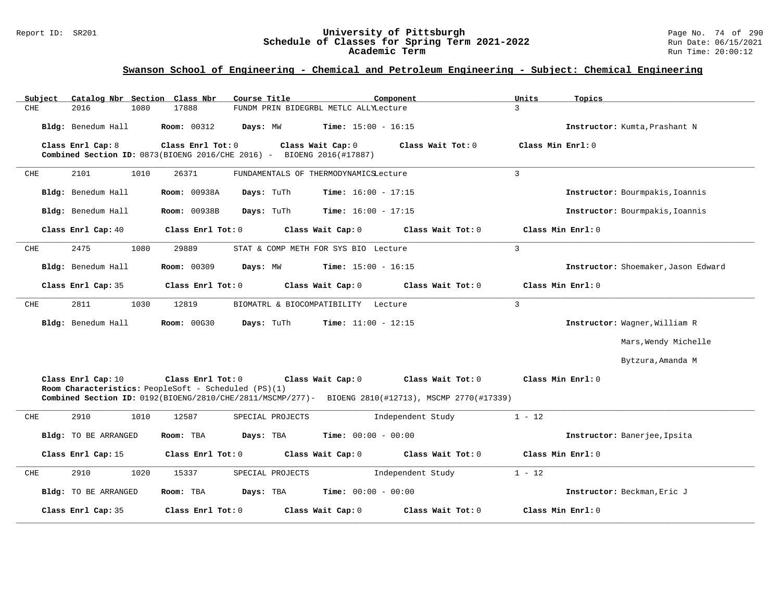#### Report ID: SR201 **University of Pittsburgh** Page No. 74 of 290 **Schedule of Classes for Spring Term 2021-2022** Run Date: 06/15/2021 **Academic Term** Run Time: 20:00:12

| Subject |                      | Catalog Nbr Section Class Nbr                                                              | Course Title     |                                       | Component                                                                                          | Units             | Topics                              |
|---------|----------------------|--------------------------------------------------------------------------------------------|------------------|---------------------------------------|----------------------------------------------------------------------------------------------------|-------------------|-------------------------------------|
| CHE     | 2016                 | 1080<br>17888                                                                              |                  | FUNDM PRIN BIDEGRBL METLC ALLYLecture |                                                                                                    | $\mathcal{L}$     |                                     |
|         | Bldg: Benedum Hall   | <b>Room: 00312</b>                                                                         | Days: MW         | <b>Time:</b> $15:00 - 16:15$          |                                                                                                    |                   | Instructor: Kumta, Prashant N       |
|         | Class Enrl Cap: 8    | Class Enrl Tot: 0<br>Combined Section ID: 0873(BIOENG 2016/CHE 2016) - BIOENG 2016(#17887) |                  | Class Wait Cap: 0                     | Class Wait $Tot: 0$                                                                                | Class Min Enrl: 0 |                                     |
| CHE     | 2101                 | 1010<br>26371                                                                              |                  | FUNDAMENTALS OF THERMODYNAMICSLecture |                                                                                                    | 3                 |                                     |
|         | Bldg: Benedum Hall   | <b>Room: 00938A</b>                                                                        | Days: TuTh       | <b>Time:</b> $16:00 - 17:15$          |                                                                                                    |                   | Instructor: Bourmpakis, Ioannis     |
|         | Bldg: Benedum Hall   | Room: 00938B                                                                               | Days: TuTh       | <b>Time:</b> $16:00 - 17:15$          |                                                                                                    |                   | Instructor: Bourmpakis, Ioannis     |
|         | Class Enrl Cap: 40   | Class Enrl Tot: 0                                                                          |                  | Class Wait Cap: 0                     | Class Wait Tot: 0                                                                                  |                   | Class Min Enrl: 0                   |
| CHE     | 2475                 | 1080<br>29889                                                                              |                  | STAT & COMP METH FOR SYS BIO Lecture  |                                                                                                    | $\mathbf{3}$      |                                     |
|         | Bldg: Benedum Hall   | Room: 00309                                                                                | Days: MW         | <b>Time:</b> $15:00 - 16:15$          |                                                                                                    |                   | Instructor: Shoemaker, Jason Edward |
|         | Class Enrl Cap: 35   | Class Enrl Tot: 0                                                                          |                  | Class Wait Cap: 0                     | Class Wait Tot: 0                                                                                  |                   | Class Min Enrl: 0                   |
| CHE     | 2811                 | 1030<br>12819                                                                              |                  | BIOMATRL & BIOCOMPATIBILITY Lecture   |                                                                                                    | $\mathbf{3}$      |                                     |
|         | Bldg: Benedum Hall   | <b>Room: 00G30</b>                                                                         | Days: TuTh       | <b>Time:</b> $11:00 - 12:15$          |                                                                                                    |                   | Instructor: Wagner, William R       |
|         |                      |                                                                                            |                  |                                       |                                                                                                    |                   | Mars, Wendy Michelle                |
|         |                      |                                                                                            |                  |                                       |                                                                                                    |                   | Bytzura, Amanda M                   |
|         | Class Enrl Cap: 10   | Class Enrl Tot: 0<br>Room Characteristics: PeopleSoft - Scheduled (PS)(1)                  |                  | Class Wait Cap: 0                     | Class Wait Tot: 0                                                                                  |                   | Class Min $Enrl: 0$                 |
|         |                      |                                                                                            |                  |                                       | Combined Section ID: 0192(BIOENG/2810/CHE/2811/MSCMP/277)- BIOENG 2810(#12713), MSCMP 2770(#17339) |                   |                                     |
| CHE     | 2910                 | 1010<br>12587                                                                              | SPECIAL PROJECTS |                                       | Independent Study                                                                                  | $1 - 12$          |                                     |
|         | Bldg: TO BE ARRANGED | Room: TBA                                                                                  | Days: TBA        | <b>Time:</b> $00:00 - 00:00$          |                                                                                                    |                   | Instructor: Banerjee, Ipsita        |
|         | Class Enrl Cap: 15   | Class Enrl Tot: 0                                                                          |                  | Class Wait Cap: 0                     | Class Wait Tot: 0                                                                                  |                   | Class Min Enrl: 0                   |
| CHE     | 2910                 | 1020<br>15337                                                                              | SPECIAL PROJECTS |                                       | Independent Study                                                                                  | $1 - 12$          |                                     |
|         | Bldg: TO BE ARRANGED | Room: TBA                                                                                  | Days: TBA        | <b>Time:</b> $00:00 - 00:00$          |                                                                                                    |                   | Instructor: Beckman, Eric J         |
|         | Class Enrl Cap: 35   | Class Enrl Tot: 0                                                                          |                  | Class Wait Cap: 0                     | Class Wait Tot: 0                                                                                  |                   | Class Min Enrl: 0                   |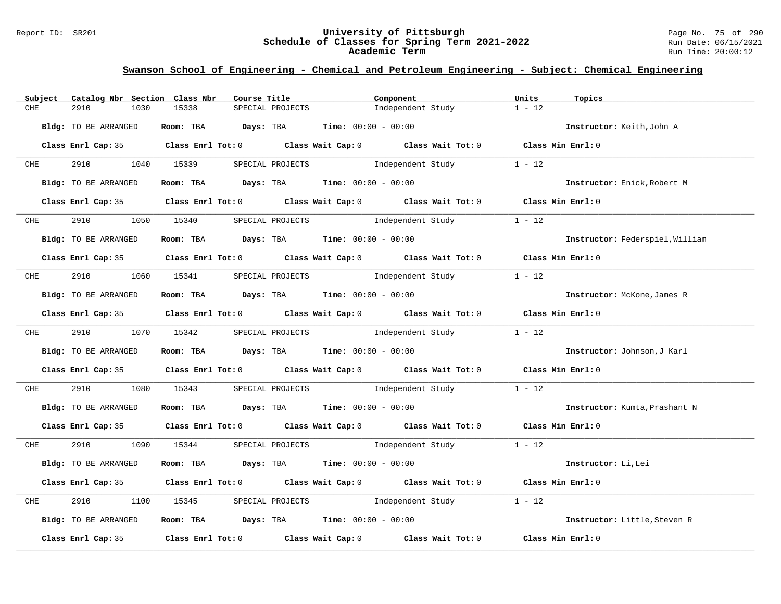#### Report ID: SR201 **University of Pittsburgh** Page No. 75 of 290 **Schedule of Classes for Spring Term 2021-2022** Run Date: 06/15/2021 **Academic Term** Run Time: 20:00:12

| Subject    | Catalog Nbr Section Class Nbr | Course Title                                                                                        |                  | Component        |                   | Units             | Topics                          |
|------------|-------------------------------|-----------------------------------------------------------------------------------------------------|------------------|------------------|-------------------|-------------------|---------------------------------|
| CHE        | 2910<br>1030                  | 15338                                                                                               | SPECIAL PROJECTS |                  | Independent Study | $1 - 12$          |                                 |
|            | Bldg: TO BE ARRANGED          | Room: TBA $Days: TBA$ Time: $00:00 - 00:00$                                                         |                  |                  |                   |                   | Instructor: Keith, John A       |
|            |                               | Class Enrl Cap: 35 Class Enrl Tot: 0 Class Wait Cap: 0 Class Wait Tot: 0 Class Min Enrl: 0          |                  |                  |                   |                   |                                 |
| <b>CHE</b> | 2910                          | 1040 15339                                                                                          |                  | SPECIAL PROJECTS | Independent Study | $1 - 12$          |                                 |
|            | Bldg: TO BE ARRANGED          | Room: TBA $Days:$ TBA $Time: 00:00 - 00:00$                                                         |                  |                  |                   |                   | Instructor: Enick, Robert M     |
|            |                               | Class Enrl Cap: 35 Class Enrl Tot: 0 Class Wait Cap: 0 Class Wait Tot: 0 Class Min Enrl: 0          |                  |                  |                   |                   |                                 |
| CHE        | 2910 7                        | 1050 15340 SPECIAL PROJECTS                                                                         |                  |                  | Independent Study | $1 - 12$          |                                 |
|            | Bldg: TO BE ARRANGED          | Room: TBA $Days:$ TBA $Time: 00:00 - 00:00$                                                         |                  |                  |                   |                   | Instructor: Federspiel, William |
|            |                               | Class Enrl Cap: 35 Class Enrl Tot: 0 Class Wait Cap: 0 Class Wait Tot: 0 Class Min Enrl: 0          |                  |                  |                   |                   |                                 |
|            |                               | CHE 2910 1060 15341 SPECIAL PROJECTS Independent Study                                              |                  |                  |                   | $1 - 12$          |                                 |
|            | Bldg: TO BE ARRANGED          | Room: TBA $Days:$ TBA $Time: 00:00 - 00:00$                                                         |                  |                  |                   |                   | Instructor: McKone, James R     |
|            |                               | Class Enrl Cap: 35 Class Enrl Tot: 0 Class Wait Cap: 0 Class Wait Tot: 0 Class Min Enrl: 0          |                  |                  |                   |                   |                                 |
|            |                               | CHE 2910 1070 15342 SPECIAL PROJECTS Independent Study 1 - 12                                       |                  |                  |                   |                   |                                 |
|            | Bldg: TO BE ARRANGED          | Room: TBA $\rule{1em}{0.15mm}$ Days: TBA $\rule{1.5mm}{0.15mm}$ Time: $00:00 - 00:00$               |                  |                  |                   |                   | Instructor: Johnson, J Karl     |
|            |                               | Class Enrl Cap: 35 Class Enrl Tot: 0 Class Wait Cap: 0 Class Wait Tot: 0 Class Min Enrl: 0          |                  |                  |                   |                   |                                 |
| CHE        | 2910                          | 1080 15343 SPECIAL PROJECTS 1ndependent Study 1 - 12                                                |                  |                  |                   |                   |                                 |
|            | Bldg: TO BE ARRANGED          | Room: TBA $Days:$ TBA $Time: 00:00 - 00:00$                                                         |                  |                  |                   |                   | Instructor: Kumta, Prashant N   |
|            |                               | Class Enrl Cap: 35 Class Enrl Tot: 0 Class Wait Cap: 0 Class Wait Tot: 0 Class Min Enrl: 0          |                  |                  |                   |                   |                                 |
| <b>CHE</b> | 2910                          | 1090 15344 SPECIAL PROJECTS 1ndependent Study 1 - 12                                                |                  |                  |                   |                   |                                 |
|            | Bldg: TO BE ARRANGED          | Room: TBA $Days:$ TBA $Time: 00:00 - 00:00$                                                         |                  |                  |                   |                   | Instructor: Li, Lei             |
|            |                               | Class Enrl Cap: 35 Class Enrl Tot: 0 Class Wait Cap: 0 Class Wait Tot: 0 Class Min Enrl: 0          |                  |                  |                   |                   |                                 |
| CHE        | 2910                          | 1100 15345 SPECIAL PROJECTS 1ndependent Study                                                       |                  |                  |                   | $1 - 12$          |                                 |
|            | Bldg: TO BE ARRANGED          | Room: TBA $\rule{1em}{0.15mm}$ Days: TBA $\rule{1.15mm}{0.15mm}$ Time: $00:00 - 00:00$              |                  |                  |                   |                   | Instructor: Little, Steven R    |
|            |                               | Class Enrl Cap: 35 $\qquad$ Class Enrl Tot: 0 $\qquad$ Class Wait Cap: 0 $\qquad$ Class Wait Tot: 0 |                  |                  |                   | Class Min Enrl: 0 |                                 |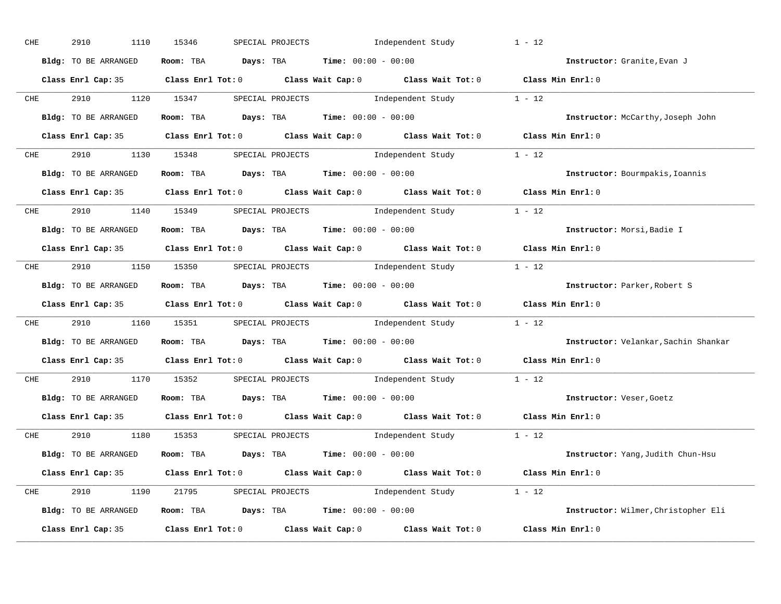| CHE        | 2910<br>1110                     | 15346 | SPECIAL PROJECTS |                                                                | Independent Study                                                                                   | $1 - 12$                                                                                   |
|------------|----------------------------------|-------|------------------|----------------------------------------------------------------|-----------------------------------------------------------------------------------------------------|--------------------------------------------------------------------------------------------|
|            | Bldg: TO BE ARRANGED             |       |                  | Room: TBA $Days:$ TBA $Time: 00:00 - 00:00$                    |                                                                                                     | Instructor: Granite, Evan J                                                                |
|            |                                  |       |                  |                                                                |                                                                                                     | Class Enrl Cap: 35 Class Enrl Tot: 0 Class Wait Cap: 0 Class Wait Tot: 0 Class Min Enrl: 0 |
|            |                                  |       |                  |                                                                | CHE 2910 1120 15347 SPECIAL PROJECTS Independent Study 1 - 12                                       |                                                                                            |
|            | Bldg: TO BE ARRANGED             |       |                  | Room: TBA $Days:$ TBA Time: $00:00 - 00:00$                    |                                                                                                     | Instructor: McCarthy, Joseph John                                                          |
|            |                                  |       |                  |                                                                |                                                                                                     | Class Enrl Cap: 35 Class Enrl Tot: 0 Class Wait Cap: 0 Class Wait Tot: 0 Class Min Enrl: 0 |
|            |                                  |       |                  |                                                                | CHE 2910 1130 15348 SPECIAL PROJECTS Independent Study 1 - 12                                       |                                                                                            |
|            | Bldg: TO BE ARRANGED             |       |                  | Room: TBA $Days:$ TBA $Time: 00:00 - 00:00$                    |                                                                                                     | Instructor: Bourmpakis, Ioannis                                                            |
|            |                                  |       |                  |                                                                |                                                                                                     | Class Enrl Cap: 35 Class Enrl Tot: 0 Class Wait Cap: 0 Class Wait Tot: 0 Class Min Enrl: 0 |
|            |                                  |       |                  |                                                                | CHE 2910 1140 15349 SPECIAL PROJECTS Independent Study 1 - 12                                       |                                                                                            |
|            | Bldg: TO BE ARRANGED             |       |                  | Room: TBA $Days:$ TBA $Time: 00:00 - 00:00$                    |                                                                                                     | Instructor: Morsi, Badie I                                                                 |
|            |                                  |       |                  |                                                                |                                                                                                     | Class Enrl Cap: 35 Class Enrl Tot: 0 Class Wait Cap: 0 Class Wait Tot: 0 Class Min Enrl: 0 |
|            |                                  |       |                  |                                                                | CHE 2910 1150 15350 SPECIAL PROJECTS Independent Study 1 - 12                                       |                                                                                            |
|            | Bldg: TO BE ARRANGED             |       |                  | Room: TBA $Days:$ TBA $Time:$ $00:00 - 00:00$                  |                                                                                                     | Instructor: Parker, Robert S                                                               |
|            |                                  |       |                  |                                                                |                                                                                                     | Class Enrl Cap: 35 Class Enrl Tot: 0 Class Wait Cap: 0 Class Wait Tot: 0 Class Min Enrl: 0 |
| <b>CHE</b> |                                  |       |                  |                                                                | 2910 1160 15351 SPECIAL PROJECTS Independent Study 1 - 12                                           |                                                                                            |
|            | Bldg: TO BE ARRANGED             |       |                  | Room: TBA $Days:$ TBA $Time: 00:00 - 00:00$                    |                                                                                                     | Instructor: Velankar, Sachin Shankar                                                       |
|            |                                  |       |                  |                                                                | Class Enrl Cap: 35 $\qquad$ Class Enrl Tot: 0 $\qquad$ Class Wait Cap: 0 $\qquad$ Class Wait Tot: 0 | Class Min Enrl: 0                                                                          |
| <b>CHE</b> | 2910 1170 15352 SPECIAL PROJECTS |       |                  |                                                                | Independent Study 1 - 12                                                                            |                                                                                            |
|            | Bldg: TO BE ARRANGED             |       |                  | Room: TBA $Days: TBA$ Time: $00:00 - 00:00$                    |                                                                                                     | Instructor: Veser, Goetz                                                                   |
|            |                                  |       |                  |                                                                |                                                                                                     | Class Enrl Cap: 35 Class Enrl Tot: 0 Class Wait Cap: 0 Class Wait Tot: 0 Class Min Enrl: 0 |
|            |                                  |       |                  |                                                                | CHE 2910 1180 15353 SPECIAL PROJECTS Independent Study 1 - 12                                       |                                                                                            |
|            | Bldg: TO BE ARRANGED             |       |                  | Room: TBA $\rule{1em}{0.15mm}$ Days: TBA Time: $00:00 - 00:00$ |                                                                                                     | Instructor: Yang, Judith Chun-Hsu                                                          |
|            |                                  |       |                  |                                                                |                                                                                                     | Class Enrl Cap: 35 Class Enrl Tot: 0 Class Wait Cap: 0 Class Wait Tot: 0 Class Min Enrl: 0 |
|            |                                  |       |                  |                                                                | CHE 2910 1190 21795 SPECIAL PROJECTS Independent Study 1 - 12                                       |                                                                                            |
|            | Bldg: TO BE ARRANGED             |       |                  | Room: TBA $\rule{1em}{0.15mm}$ Days: TBA Time: $00:00 - 00:00$ |                                                                                                     | Instructor: Wilmer, Christopher Eli                                                        |
|            |                                  |       |                  |                                                                | Class Enrl Cap: 35 $\qquad$ Class Enrl Tot: 0 $\qquad$ Class Wait Cap: 0 $\qquad$ Class Wait Tot: 0 | Class Min Enrl: 0                                                                          |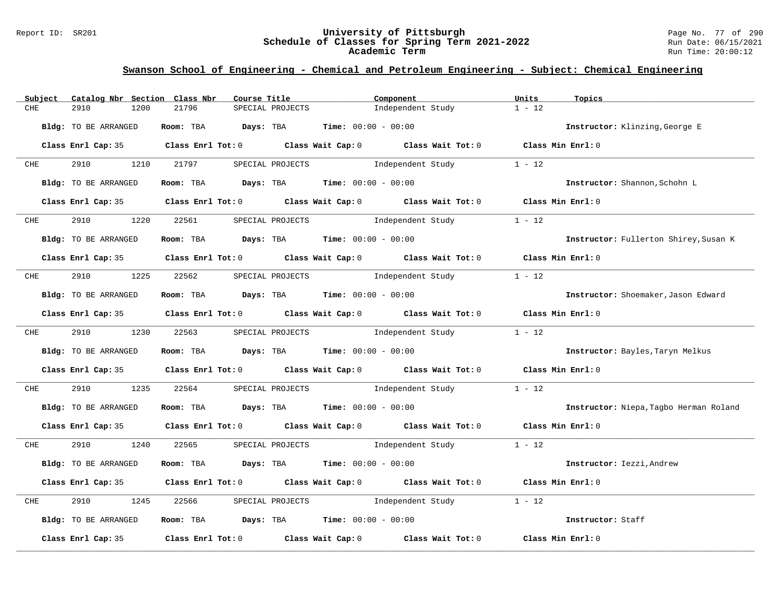#### Report ID: SR201 **University of Pittsburgh** Page No. 77 of 290 **Schedule of Classes for Spring Term 2021-2022** Run Date: 06/15/2021 **Academic Term** Run Time: 20:00:12

| Subject    | Catalog Nbr Section Class Nbr | Course Title                                |                  | Component                                                                                           | Units<br>Topics                  |                                        |
|------------|-------------------------------|---------------------------------------------|------------------|-----------------------------------------------------------------------------------------------------|----------------------------------|----------------------------------------|
| CHE        | 2910<br>1200                  | 21796                                       | SPECIAL PROJECTS | Independent Study                                                                                   | $1 - 12$                         |                                        |
|            | Bldg: TO BE ARRANGED          | Room: TBA Days: TBA                         |                  | <b>Time:</b> $00:00 - 00:00$                                                                        | Instructor: Klinzing, George E   |                                        |
|            |                               |                                             |                  | Class Enrl Cap: 35 Class Enrl Tot: 0 Class Wait Cap: 0 Class Wait Tot: 0 Class Min Enrl: 0          |                                  |                                        |
| <b>CHE</b> | 2910<br>1210                  | 21797                                       |                  | SPECIAL PROJECTS and independent Study                                                              | $1 - 12$                         |                                        |
|            | Bldg: TO BE ARRANGED          | Room: TBA $Days:$ TBA $Time: 00:00 - 00:00$ |                  |                                                                                                     | Instructor: Shannon, Schohn L    |                                        |
|            |                               |                                             |                  | Class Enrl Cap: 35 Class Enrl Tot: 0 Class Wait Cap: 0 Class Wait Tot: 0 Class Min Enrl: 0          |                                  |                                        |
| <b>CHE</b> | 2910<br>1220                  | 22561                                       | SPECIAL PROJECTS | Independent Study                                                                                   | $1 - 12$                         |                                        |
|            | Bldg: TO BE ARRANGED          | Room: TBA $Days:$ TBA $Time: 00:00 - 00:00$ |                  |                                                                                                     |                                  | Instructor: Fullerton Shirey, Susan K  |
|            |                               |                                             |                  | Class Enrl Cap: 35 Class Enrl Tot: 0 Class Wait Cap: 0 Class Wait Tot: 0 Class Min Enrl: 0          |                                  |                                        |
| CHE        | 2910<br>1225                  | 22562                                       | SPECIAL PROJECTS | Independent Study                                                                                   | $1 - 12$                         |                                        |
|            | Bldg: TO BE ARRANGED          | Room: TBA $Days:$ TBA $Time: 00:00 - 00:00$ |                  |                                                                                                     |                                  | Instructor: Shoemaker, Jason Edward    |
|            |                               |                                             |                  | Class Enrl Cap: 35 Class Enrl Tot: 0 Class Wait Cap: 0 Class Wait Tot: 0 Class Min Enrl: 0          |                                  |                                        |
| <b>CHE</b> | 2910                          | 1230 22563                                  |                  | SPECIAL PROJECTS 1ndependent Study                                                                  | $1 - 12$                         |                                        |
|            | Bldg: TO BE ARRANGED          | Room: TBA $Days:$ TBA $Time: 00:00 - 00:00$ |                  |                                                                                                     | Instructor: Bayles, Taryn Melkus |                                        |
|            |                               |                                             |                  | Class Enrl Cap: 35 Class Enrl Tot: 0 Class Wait Cap: 0 Class Wait Tot: 0 Class Min Enrl: 0          |                                  |                                        |
| CHE        | 2910<br>1235                  | 22564                                       |                  | SPECIAL PROJECTS and independent Study                                                              | $1 - 12$                         |                                        |
|            | Bldg: TO BE ARRANGED          | Room: TBA $Days:$ TBA $Time: 00:00 - 00:00$ |                  |                                                                                                     |                                  | Instructor: Niepa, Tagbo Herman Roland |
|            |                               |                                             |                  | Class Enrl Cap: 35 Class Enrl Tot: 0 Class Wait Cap: 0 Class Wait Tot: 0 Class Min Enrl: 0          |                                  |                                        |
| <b>CHE</b> | 2910<br>1240                  | 22565                                       |                  | SPECIAL PROJECTS 1ndependent Study 1 - 12                                                           |                                  |                                        |
|            | Bldg: TO BE ARRANGED          | Room: TBA $Days:$ TBA $Time: 00:00 - 00:00$ |                  |                                                                                                     | Instructor: Iezzi, Andrew        |                                        |
|            |                               |                                             |                  | Class Enrl Cap: 35 Class Enrl Tot: 0 Class Wait Cap: 0 Class Wait Tot: 0 Class Min Enrl: 0          |                                  |                                        |
| CHE        | 2910<br>1245                  | 22566                                       | SPECIAL PROJECTS | Independent Study                                                                                   | $1 - 12$                         |                                        |
|            | Bldg: TO BE ARRANGED          | Room: TBA $Days:$ TBA $Time: 00:00 - 00:00$ |                  |                                                                                                     | Instructor: Staff                |                                        |
|            |                               |                                             |                  | Class Enrl Cap: 35 $\qquad$ Class Enrl Tot: 0 $\qquad$ Class Wait Cap: 0 $\qquad$ Class Wait Tot: 0 | Class Min Enrl: 0                |                                        |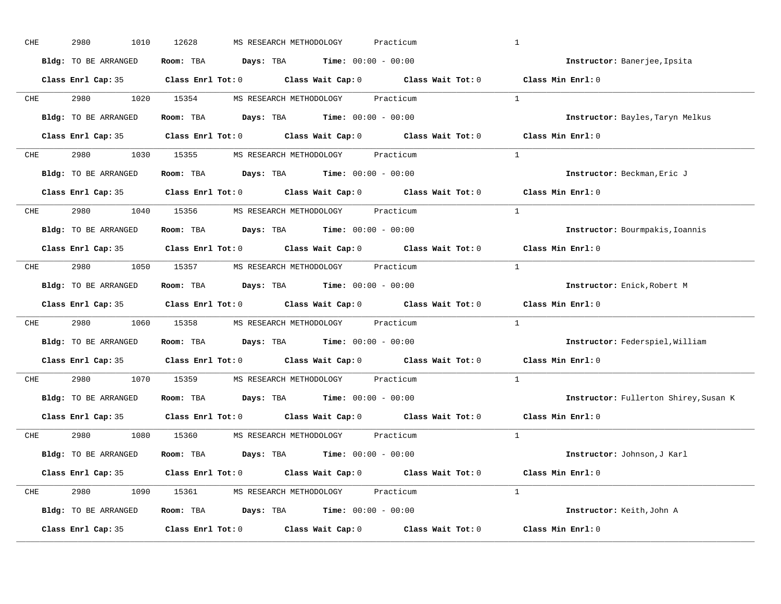| Room: TBA $Days:$ TBA $Time: 00:00 - 00:00$<br>Bldg: TO BE ARRANGED<br>Instructor: Banerjee, Ipsita<br>Class Enrl Cap: 35 Class Enrl Tot: 0 Class Wait Cap: 0 Class Wait Tot: 0 Class Min Enrl: 0<br>$\mathbf{1}$<br>2980 1020 15354 MS RESEARCH METHODOLOGY Practicum<br><b>CHE</b><br>Room: TBA $Days:$ TBA $Time: 00:00 - 00:00$<br>Bldg: TO BE ARRANGED<br>Instructor: Bayles, Taryn Melkus<br>Class Enrl Cap: 35 Class Enrl Tot: 0 Class Wait Cap: 0 Class Wait Tot: 0 Class Min Enrl: 0 |  |
|-----------------------------------------------------------------------------------------------------------------------------------------------------------------------------------------------------------------------------------------------------------------------------------------------------------------------------------------------------------------------------------------------------------------------------------------------------------------------------------------------|--|
|                                                                                                                                                                                                                                                                                                                                                                                                                                                                                               |  |
|                                                                                                                                                                                                                                                                                                                                                                                                                                                                                               |  |
|                                                                                                                                                                                                                                                                                                                                                                                                                                                                                               |  |
|                                                                                                                                                                                                                                                                                                                                                                                                                                                                                               |  |
|                                                                                                                                                                                                                                                                                                                                                                                                                                                                                               |  |
| 2980 1030 15355 MS RESEARCH METHODOLOGY Practicum<br>CHE<br>$\mathbf{1}$                                                                                                                                                                                                                                                                                                                                                                                                                      |  |
| Bldg: TO BE ARRANGED<br>Room: TBA $Days:$ TBA $Time:$ $00:00 - 00:00$<br>Instructor: Beckman, Eric J                                                                                                                                                                                                                                                                                                                                                                                          |  |
| Class Enrl Cap: 35 Class Enrl Tot: 0 Class Wait Cap: 0 Class Wait Tot: 0 Class Min Enrl: 0                                                                                                                                                                                                                                                                                                                                                                                                    |  |
| 2980 1040 15356 MS RESEARCH METHODOLOGY Practicum<br><sup>1</sup><br>CHE                                                                                                                                                                                                                                                                                                                                                                                                                      |  |
| Room: TBA Days: TBA Time: $00:00 - 00:00$<br>Bldg: TO BE ARRANGED<br>Instructor: Bourmpakis, Ioannis                                                                                                                                                                                                                                                                                                                                                                                          |  |
| Class Enrl Cap: 35 Class Enrl Tot: 0 Class Wait Cap: 0 Class Wait Tot: 0<br>Class Min Enrl: 0                                                                                                                                                                                                                                                                                                                                                                                                 |  |
| 2980 1050 15357 MS RESEARCH METHODOLOGY Practicum<br>$\overline{1}$<br>CHE                                                                                                                                                                                                                                                                                                                                                                                                                    |  |
| Room: TBA Days: TBA Time: $00:00 - 00:00$<br>Bldg: TO BE ARRANGED<br>Instructor: Enick, Robert M                                                                                                                                                                                                                                                                                                                                                                                              |  |
| Class Enrl Cap: 35 Class Enrl Tot: 0 Class Wait Cap: 0 Class Wait Tot: 0<br>Class Min Enrl: 0                                                                                                                                                                                                                                                                                                                                                                                                 |  |
| $\mathbf{1}$<br>CHE<br>2980<br>1060 15358 MS RESEARCH METHODOLOGY Practicum                                                                                                                                                                                                                                                                                                                                                                                                                   |  |
| Bldg: TO BE ARRANGED<br>Room: TBA $Days:$ TBA $Time: 00:00 - 00:00$<br>Instructor: Federspiel, William                                                                                                                                                                                                                                                                                                                                                                                        |  |
| Class Enrl Cap: 35 Class Enrl Tot: 0 Class Wait Cap: 0 Class Wait Tot: 0<br>Class Min Enrl: 0                                                                                                                                                                                                                                                                                                                                                                                                 |  |
| 2980 000<br>1070 15359 MS RESEARCH METHODOLOGY<br>$\mathbf{1}$<br><b>CHE</b><br>Practicum                                                                                                                                                                                                                                                                                                                                                                                                     |  |
| Room: TBA $Days:$ TBA $Time: 00:00 - 00:00$<br>Bldg: TO BE ARRANGED<br>Instructor: Fullerton Shirey, Susan K                                                                                                                                                                                                                                                                                                                                                                                  |  |
| Class Enrl Tot: 0 $\qquad$ Class Wait Cap: 0 $\qquad$ Class Wait Tot: 0<br>Class Min Enrl: 0<br>Class Enrl Cap: 35                                                                                                                                                                                                                                                                                                                                                                            |  |
| CHE 2980 1080 15360 MS RESEARCH METHODOLOGY Practicum<br>$\mathbf{1}$                                                                                                                                                                                                                                                                                                                                                                                                                         |  |
| Room: TBA $Days:$ TBA $Time: 00:00 - 00:00$<br>Bldg: TO BE ARRANGED<br>Instructor: Johnson, J Karl                                                                                                                                                                                                                                                                                                                                                                                            |  |
| Class Enrl Cap: 35 Class Enrl Tot: 0 Class Wait Cap: 0 Class Wait Tot: 0 Class Min Enrl: 0                                                                                                                                                                                                                                                                                                                                                                                                    |  |
| $\mathbf{1}$<br>CHE<br>2980 1090 15361 MS RESEARCH METHODOLOGY Practicum                                                                                                                                                                                                                                                                                                                                                                                                                      |  |
| Bldg: TO BE ARRANGED<br>Room: TBA $Days:$ TBA $Time: 00:00 - 00:00$<br>Instructor: Keith, John A                                                                                                                                                                                                                                                                                                                                                                                              |  |
| Class Enrl Tot: $0$ Class Wait Cap: $0$ Class Wait Tot: $0$<br>Class Enrl Cap: 35<br>Class Min Enrl: 0                                                                                                                                                                                                                                                                                                                                                                                        |  |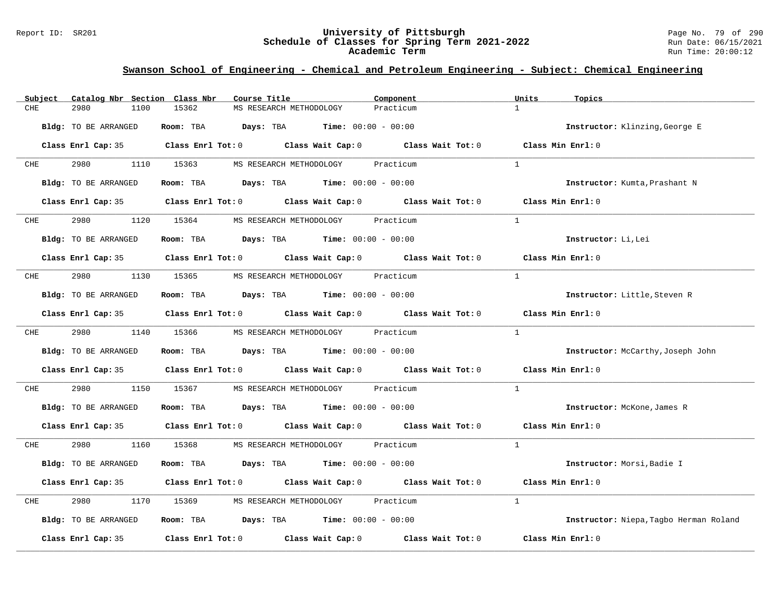#### Report ID: SR201 **University of Pittsburgh** Page No. 79 of 290 **Schedule of Classes for Spring Term 2021-2022** Run Date: 06/15/2021 **Academic Term** Run Time: 20:00:12

| Catalog Nbr Section Class Nbr<br>Subject | Course Title                                                                                        | Component<br>Units        | Topics                                   |
|------------------------------------------|-----------------------------------------------------------------------------------------------------|---------------------------|------------------------------------------|
| 2980<br>1100<br>CHE                      | 15362<br>MS RESEARCH METHODOLOGY                                                                    | $\mathbf{1}$<br>Practicum |                                          |
| Bldg: TO BE ARRANGED                     | Room: TBA $Days:$ TBA $Time: 00:00 - 00:00$                                                         |                           | Instructor: Klinzing, George E           |
|                                          | Class Enrl Cap: 35 $\qquad$ Class Enrl Tot: 0 $\qquad$ Class Wait Cap: 0 $\qquad$ Class Wait Tot: 0 |                           | Class Min Enrl: 0                        |
| 2980 7<br><b>CHE</b>                     | 1110 15363<br>MS RESEARCH METHODOLOGY                                                               | Practicum<br>$\mathbf{1}$ |                                          |
| <b>Bldg:</b> TO BE ARRANGED              | Room: TBA $Days:$ TBA $Time: 00:00 - 00:00$                                                         |                           | Instructor: Kumta, Prashant N            |
|                                          | Class Enrl Cap: 35 Class Enrl Tot: 0 Class Wait Cap: 0 Class Wait Tot: 0 Class Min Enrl: 0          |                           |                                          |
| <b>CHE</b>                               | 2980 1120 15364 MS RESEARCH METHODOLOGY Practicum                                                   | $\overline{1}$            |                                          |
| Bldg: TO BE ARRANGED                     | Room: TBA $Days:$ TBA $Time: 00:00 - 00:00$                                                         |                           | Instructor: Li, Lei                      |
|                                          | Class Enrl Cap: 35 Class Enrl Tot: 0 Class Wait Cap: 0 Class Wait Tot: 0                            | Class Min $Enr1:0$        |                                          |
| 2980 70<br>CHE                           | 1130 15365<br>MS RESEARCH METHODOLOGY Practicum                                                     | $\mathbf{1}$              |                                          |
| Bldg: TO BE ARRANGED                     | Room: TBA $Days:$ TBA $Time: 00:00 - 00:00$                                                         |                           | Instructor: Little, Steven R             |
|                                          | Class Enrl Cap: 35 Class Enrl Tot: 0 Class Wait Cap: 0 Class Wait Tot: 0 Class Min Enrl: 0          |                           |                                          |
| <b>CHE</b>                               | 2980 1140 15366 MS RESEARCH METHODOLOGY Practicum                                                   | $\mathbf{1}$              |                                          |
| Bldg: TO BE ARRANGED                     | Room: TBA $Days:$ TBA $Time: 00:00 - 00:00$                                                         |                           | <b>Instructor:</b> McCarthy, Joseph John |
|                                          | Class Enrl Cap: 35 Class Enrl Tot: 0 Class Wait Cap: 0 Class Wait Tot: 0 Class Min Enrl: 0          |                           |                                          |
| 2980<br>1150<br>CHE                      | 15367<br>MS RESEARCH METHODOLOGY Practicum                                                          | $\mathbf{1}$              |                                          |
| Bldg: TO BE ARRANGED                     | Room: TBA $Days:$ TBA $Time: 00:00 - 00:00$                                                         |                           | Instructor: McKone, James R              |
|                                          | Class Enrl Cap: 35 Class Enrl Tot: 0 Class Wait Cap: 0 Class Wait Tot: 0 Class Min Enrl: 0          |                           |                                          |
| 2980 70<br>CHE                           | 1160 15368 MS RESEARCH METHODOLOGY Practicum                                                        | $\mathbf{1}$              |                                          |
| Bldg: TO BE ARRANGED                     | Room: TBA $Days:$ TBA $Time: 00:00 - 00:00$                                                         |                           | Instructor: Morsi, Badie I               |
|                                          | Class Enrl Cap: 35 Class Enrl Tot: 0 Class Wait Cap: 0 Class Wait Tot: 0                            | Class Min Enrl: 0         |                                          |
| 2980<br>CHE                              | 1170 15369 MS RESEARCH METHODOLOGY Practicum                                                        | $\mathbf{1}$              |                                          |
| Bldg: TO BE ARRANGED                     | Room: TBA $Days:$ TBA $Time: 00:00 - 00:00$                                                         |                           | Instructor: Niepa, Tagbo Herman Roland   |
| Class Enrl Cap: 35                       | Class Enrl Tot: $0$ Class Wait Cap: $0$ Class Wait Tot: $0$                                         |                           | Class Min Enrl: 0                        |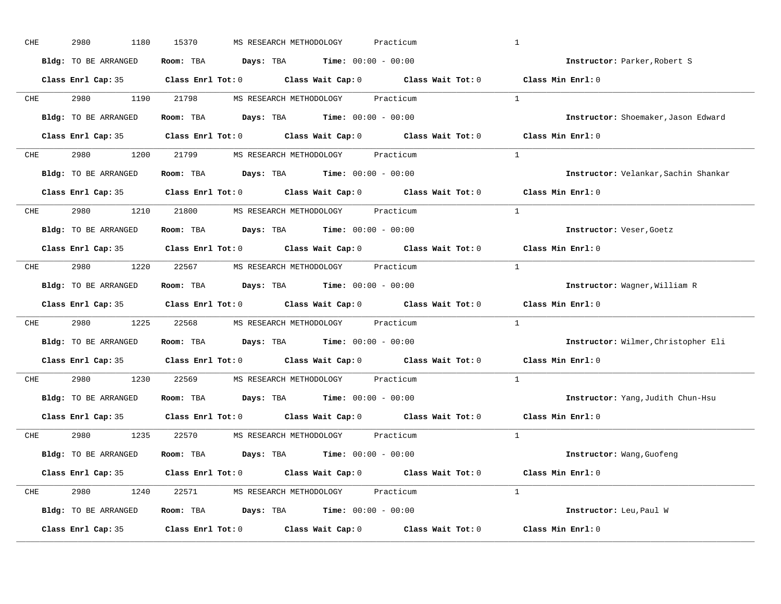| CHE        | 2980<br>1180         | 15370<br>MS RESEARCH METHODOLOGY<br>Practicum                                              | $\mathbf{1}$                         |
|------------|----------------------|--------------------------------------------------------------------------------------------|--------------------------------------|
|            | Bldg: TO BE ARRANGED | Room: TBA $\rule{1em}{0.15mm}$ Days: TBA $\rule{1.15mm}]{0.15mm}$ Time: $0.000 - 0.0000$   | Instructor: Parker, Robert S         |
|            |                      | Class Enrl Cap: 35 Class Enrl Tot: 0 Class Wait Cap: 0 Class Wait Tot: 0 Class Min Enrl: 0 |                                      |
|            |                      | CHE 2980 1190 21798 MS RESEARCH METHODOLOGY Practicum                                      | <sup>1</sup>                         |
|            | Bldg: TO BE ARRANGED | Room: TBA $Days:$ TBA $Time: 00:00 - 00:00$                                                | Instructor: Shoemaker, Jason Edward  |
|            |                      | Class Enrl Cap: 35 Class Enrl Tot: 0 Class Wait Cap: 0 Class Wait Tot: 0 Class Min Enrl: 0 |                                      |
|            |                      | CHE 2980 1200 21799 MS RESEARCH METHODOLOGY Practicum                                      | $\mathbf{1}$                         |
|            |                      | Bldg: TO BE ARRANGED Room: TBA Days: TBA Time: 00:00 - 00:00                               | Instructor: Velankar, Sachin Shankar |
|            |                      | Class Enrl Cap: 35 Class Enrl Tot: 0 Class Wait Cap: 0 Class Wait Tot: 0 Class Min Enrl: 0 |                                      |
|            |                      | CHE 2980 1210 21800 MS RESEARCH METHODOLOGY Practicum                                      | <sup>1</sup>                         |
|            | Bldg: TO BE ARRANGED | Room: TBA $\rule{1em}{0.15mm}$ Days: TBA $\rule{1.15mm}]{0.15mm}$ Time: $0.000 - 0.0000$   | Instructor: Veser, Goetz             |
|            |                      | Class Enrl Cap: 35 Class Enrl Tot: 0 Class Wait Cap: 0 Class Wait Tot: 0                   | Class Min Enrl: 0                    |
| CHE        |                      | 2980 1220 22567 MS RESEARCH METHODOLOGY Practicum                                          | $\overline{1}$                       |
|            | Bldg: TO BE ARRANGED | Room: TBA Days: TBA Time: $00:00 - 00:00$                                                  | Instructor: Wagner, William R        |
|            |                      | Class Enrl Cap: 35 Class Enrl Tot: 0 Class Wait Cap: 0 Class Wait Tot: 0                   | Class Min Enrl: 0                    |
| CHE        |                      | 2980 1225 22568 MS RESEARCH METHODOLOGY Practicum                                          | $\mathbf{1}$                         |
|            | Bldg: TO BE ARRANGED | Room: TBA $Days:$ TBA $Time: 00:00 - 00:00$                                                | Instructor: Wilmer, Christopher Eli  |
|            |                      | Class Enrl Cap: 35 Class Enrl Tot: 0 Class Wait Cap: 0 Class Wait Tot: 0                   | Class Min Enrl: 0                    |
| <b>CHE</b> |                      | 2980 1230 22569 MS RESEARCH METHODOLOGY Practicum                                          | $\mathbf{1}$                         |
|            | Bldg: TO BE ARRANGED | Room: TBA $Days:$ TBA $Time: 00:00 - 00:00$                                                | Instructor: Yang, Judith Chun-Hsu    |
|            | Class Enrl Cap: 35   | Class Enrl Tot: 0 $\qquad$ Class Wait Cap: 0 $\qquad$ Class Wait Tot: 0                    | Class Min Enrl: 0                    |
|            |                      | CHE 2980 1235 22570 MS RESEARCH METHODOLOGY Practicum                                      | $\mathbf{1}$                         |
|            | Bldg: TO BE ARRANGED | Room: TBA $Days:$ TBA $Time: 00:00 - 00:00$                                                | Instructor: Wang, Guofeng            |
|            |                      | Class Enrl Cap: 35 Class Enrl Tot: 0 Class Wait Cap: 0 Class Wait Tot: 0 Class Min Enrl: 0 |                                      |
|            |                      | CHE 2980 1240 22571 MS RESEARCH METHODOLOGY Practicum                                      | $\mathbf{1}$                         |
|            | Bldg: TO BE ARRANGED | Room: TBA $Days:$ TBA $Time: 00:00 - 00:00$                                                | Instructor: Leu, Paul W              |
|            | Class Enrl Cap: 35   | Class Enrl Tot: $0$ Class Wait Cap: $0$ Class Wait Tot: $0$                                | Class Min Enrl: 0                    |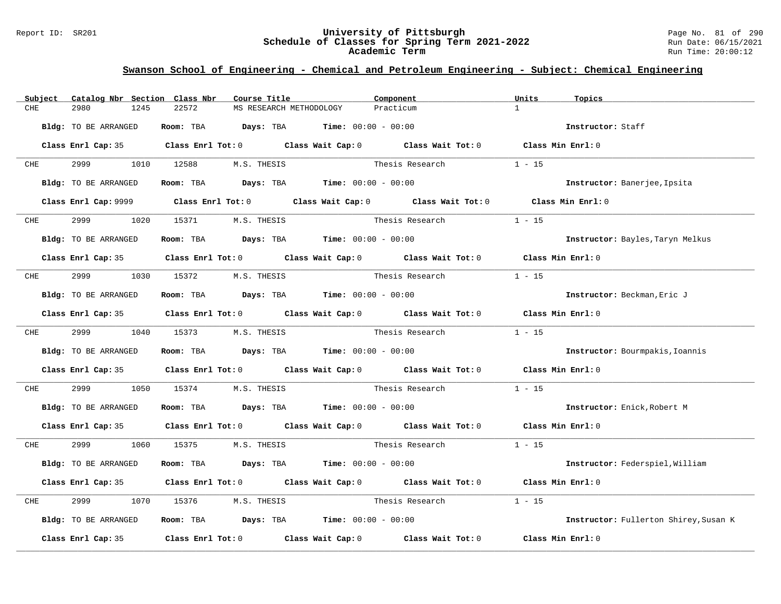#### Report ID: SR201 **University of Pittsburgh** Page No. 81 of 290 **Schedule of Classes for Spring Term 2021-2022** Run Date: 06/15/2021 **Academic Term** Run Time: 20:00:12

| Subject    | Catalog Nbr Section Class Nbr | Course Title                                                            | Component                                                                                           | Units<br>Topics                       |
|------------|-------------------------------|-------------------------------------------------------------------------|-----------------------------------------------------------------------------------------------------|---------------------------------------|
| CHE        | 2980<br>1245                  | 22572<br>MS RESEARCH METHODOLOGY                                        | Practicum                                                                                           | $\mathbf{1}$                          |
|            | Bldg: TO BE ARRANGED          | Room: TBA $Days:$ TBA $Time: 00:00 - 00:00$                             |                                                                                                     | Instructor: Staff                     |
|            |                               |                                                                         | Class Enrl Cap: 35 $\qquad$ Class Enrl Tot: 0 $\qquad$ Class Wait Cap: 0 $\qquad$ Class Wait Tot: 0 | Class Min Enrl: 0                     |
| CHE        | 2999 — 100                    | 1010 12588<br>M.S. THESIS                                               | Thesis Research                                                                                     | $1 - 15$                              |
|            | Bldg: TO BE ARRANGED          | Room: TBA $\rule{1em}{0.15mm}$ Days: TBA Time: $00:00 - 00:00$          |                                                                                                     | Instructor: Banerjee, Ipsita          |
|            |                               |                                                                         | Class Enrl Cap: 9999 Class Enrl Tot: 0 Class Wait Cap: 0 Class Wait Tot: 0 Class Min Enrl: 0        |                                       |
|            | CHE 2999                      | 1020 15371 M.S. THESIS                                                  | Thesis Research                                                                                     | $1 - 15$                              |
|            | Bldg: TO BE ARRANGED          | Room: TBA $\rule{1em}{0.15mm}$ Days: TBA $\qquad$ Time: $00:00 - 00:00$ |                                                                                                     | Instructor: Bayles, Taryn Melkus      |
|            |                               |                                                                         | Class Enrl Cap: 35 $\qquad$ Class Enrl Tot: 0 $\qquad$ Class Wait Cap: 0 $\qquad$ Class Wait Tot: 0 | Class Min $Enr1:0$                    |
| CHE        | 2999                          | 1030 15372                                                              | M.S. THESIS Thesis Research                                                                         | $1 - 15$                              |
|            | Bldg: TO BE ARRANGED          | Room: TBA $\rule{1em}{0.15mm}$ Days: TBA Time: $00:00 - 00:00$          |                                                                                                     | Instructor: Beckman, Eric J           |
|            |                               |                                                                         | Class Enrl Cap: 35 Class Enrl Tot: 0 Class Wait Cap: 0 Class Wait Tot: 0 Class Min Enrl: 0          |                                       |
| <b>CHE</b> |                               | 2999 1040 15373 M.S. THESIS                                             | Thesis Research                                                                                     | $1 - 15$                              |
|            | Bldg: TO BE ARRANGED          | Room: TBA $Days:$ TBA $Time: 00:00 - 00:00$                             |                                                                                                     | Instructor: Bourmpakis, Ioannis       |
|            |                               |                                                                         | Class Enrl Cap: 35 Class Enrl Tot: 0 Class Wait Cap: 0 Class Wait Tot: 0 Class Min Enrl: 0          |                                       |
| CHE        | 2999<br>1050                  | 15374                                                                   | M.S. THESIS Thesis Research                                                                         | $1 - 15$                              |
|            | Bldg: TO BE ARRANGED          | Room: TBA $Days:$ TBA $Time: 00:00 - 00:00$                             |                                                                                                     | Instructor: Enick, Robert M           |
|            |                               |                                                                         | Class Enrl Cap: 35 Class Enrl Tot: 0 Class Wait Cap: 0 Class Wait Tot: 0 Class Min Enrl: 0          |                                       |
| CHE        | 2999 720                      | 1060 15375 M.S. THESIS                                                  | Thesis Research                                                                                     | $1 - 15$                              |
|            | Bldg: TO BE ARRANGED          | Room: TBA $Days:$ TBA $Time: 00:00 - 00:00$                             |                                                                                                     | Instructor: Federspiel, William       |
|            |                               |                                                                         | Class Enrl Cap: 35 Class Enrl Tot: 0 Class Wait Cap: 0 Class Wait Tot: 0                            | Class Min Enrl: 0                     |
| CHE        | 2999<br>1070                  | 15376 M.S. THESIS                                                       | Thesis Research                                                                                     | $1 - 15$                              |
|            | Bldg: TO BE ARRANGED          | Room: TBA $Days:$ TBA $Time: 00:00 - 00:00$                             |                                                                                                     | Instructor: Fullerton Shirey, Susan K |
|            | Class Enrl Cap: 35            |                                                                         | Class Enrl Tot: $0$ Class Wait Cap: $0$ Class Wait Tot: $0$                                         | Class Min Enrl: 0                     |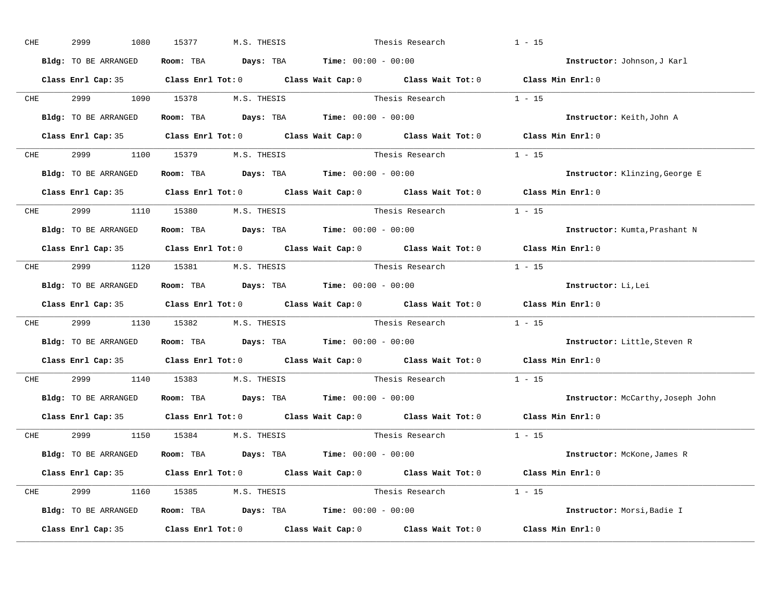|            | 2999<br>1080         | 15377<br>M.S. THESIS                                                                     | Thesis Research                                                                                     | $1 - 15$                          |
|------------|----------------------|------------------------------------------------------------------------------------------|-----------------------------------------------------------------------------------------------------|-----------------------------------|
|            | Bldg: TO BE ARRANGED | Room: TBA $\rule{1em}{0.15mm}$ Days: TBA $\rule{1.15mm}]{0.15mm}$ Time: $0.000 - 0.0000$ |                                                                                                     | Instructor: Johnson, J Karl       |
|            |                      |                                                                                          | Class Enrl Cap: 35 Class Enrl Tot: 0 Class Wait Cap: 0 Class Wait Tot: 0 Class Min Enrl: 0          |                                   |
|            |                      |                                                                                          | CHE 2999 1090 15378 M.S. THESIS Thesis Research 1 - 15                                              |                                   |
|            | Bldg: TO BE ARRANGED | Room: TBA $Days:$ TBA $Time: 00:00 - 00:00$                                              |                                                                                                     | Instructor: Keith, John A         |
|            |                      |                                                                                          | Class Enrl Cap: 35 Class Enrl Tot: 0 Class Wait Cap: 0 Class Wait Tot: 0 Class Min Enrl: 0          |                                   |
|            |                      | CHE 2999 1100 15379 M.S. THESIS                                                          | Thesis Research $1 - 15$                                                                            |                                   |
|            |                      | Bldg: TO BE ARRANGED Room: TBA Days: TBA Time: 00:00 - 00:00                             |                                                                                                     | Instructor: Klinzing, George E    |
|            |                      |                                                                                          | Class Enrl Cap: 35 $\qquad$ Class Enrl Tot: 0 $\qquad$ Class Wait Cap: 0 $\qquad$ Class Wait Tot: 0 | Class Min Enrl: 0                 |
|            |                      | CHE 2999 1110 15380 M.S. THESIS                                                          | Thesis Research $1 - 15$                                                                            |                                   |
|            | Bldg: TO BE ARRANGED | Room: TBA $Days:$ TBA $Time: 00:00 - 00:00$                                              |                                                                                                     | Instructor: Kumta, Prashant N     |
|            |                      |                                                                                          | Class Enrl Cap: 35 Class Enrl Tot: 0 Class Wait Cap: 0 Class Wait Tot: 0 Class Min Enrl: 0          |                                   |
|            |                      | CHE 2999 1120 15381 M.S. THESIS                                                          | Thesis Research $1 - 15$                                                                            |                                   |
|            | Bldg: TO BE ARRANGED | Room: TBA $Days:$ TBA $Time: 00:00 - 00:00$                                              |                                                                                                     | Instructor: Li, Lei               |
|            |                      |                                                                                          |                                                                                                     |                                   |
|            |                      |                                                                                          | Class Enrl Cap: 35 Class Enrl Tot: 0 Class Wait Cap: 0 Class Wait Tot: 0 Class Min Enrl: 0          |                                   |
| <b>CHE</b> |                      |                                                                                          | 2999 1130 15382 M.S. THESIS Thesis Research 1 - 15                                                  |                                   |
|            | Bldg: TO BE ARRANGED | Room: TBA $\rule{1em}{0.15mm}$ Days: TBA Time: $00:00 - 00:00$                           |                                                                                                     | Instructor: Little, Steven R      |
|            |                      |                                                                                          | Class Enrl Cap: 35 Class Enrl Tot: 0 Class Wait Cap: 0 Class Wait Tot: 0                            | Class Min Enrl: 0                 |
| <b>CHE</b> |                      | 2999 1140 15383 M.S. THESIS                                                              | Thesis Research                                                                                     | $1 - 15$                          |
|            |                      | Bldg: TO BE ARRANGED Room: TBA Days: TBA Time: 00:00 - 00:00                             |                                                                                                     | Instructor: McCarthy, Joseph John |
|            | Class Enrl Cap: 35   |                                                                                          | Class Enrl Tot: $0$ Class Wait Cap: $0$ Class Wait Tot: $0$                                         | Class Min Enrl: 0                 |
|            |                      | CHE 2999 1150 15384 M.S. THESIS                                                          | Thesis Research                                                                                     | $1 - 15$                          |
|            | Bldg: TO BE ARRANGED | Room: TBA $\rule{1em}{0.15mm}$ Days: TBA Time: $00:00 - 00:00$                           |                                                                                                     | Instructor: McKone, James R       |
|            |                      |                                                                                          | Class Enrl Cap: 35 Class Enrl Tot: 0 Class Wait Cap: 0 Class Wait Tot: 0 Class Min Enrl: 0          |                                   |
|            |                      | CHE 2999 1160 15385 M.S. THESIS                                                          | Thesis Research $1 - 15$                                                                            |                                   |
|            | Bldg: TO BE ARRANGED | Room: TBA $\rule{1em}{0.15mm}$ Days: TBA Time: $00:00 - 00:00$                           |                                                                                                     | Instructor: Morsi, Badie I        |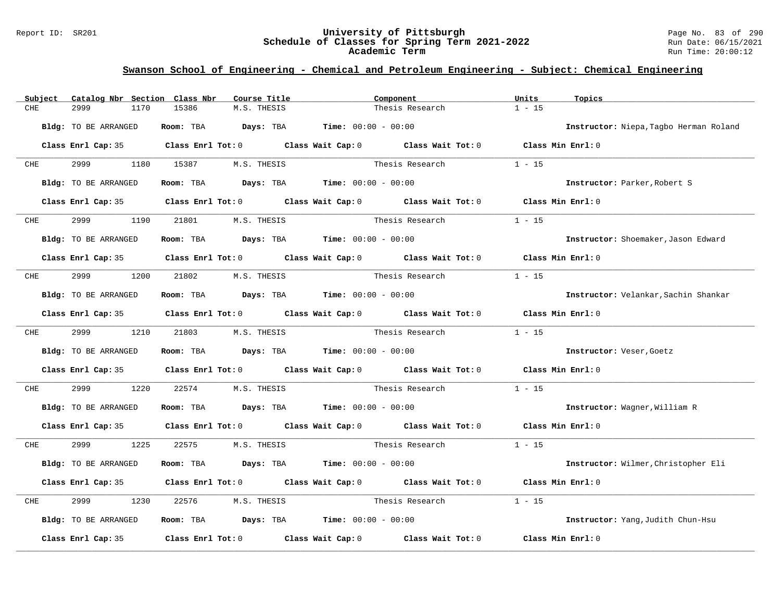#### Report ID: SR201 **University of Pittsburgh** Page No. 83 of 290 **Schedule of Classes for Spring Term 2021-2022** Run Date: 06/15/2021 **Academic Term** Run Time: 20:00:12

| Subject                     | Catalog Nbr Section Class Nbr | Course Title           |                                                                                       | Component                                                                                           | Units             | Topics                                 |
|-----------------------------|-------------------------------|------------------------|---------------------------------------------------------------------------------------|-----------------------------------------------------------------------------------------------------|-------------------|----------------------------------------|
| CHE<br>2999                 | 1170<br>15386                 | M.S. THESIS            |                                                                                       | Thesis Research                                                                                     | $1 - 15$          |                                        |
| <b>Bldg:</b> TO BE ARRANGED |                               |                        | Room: TBA $Days:$ TBA $Time: 00:00 - 00:00$                                           |                                                                                                     |                   | Instructor: Niepa, Tagbo Herman Roland |
|                             |                               |                        |                                                                                       | Class Enrl Cap: 35 Class Enrl Tot: 0 Class Wait Cap: 0 Class Wait Tot: 0 Class Min Enrl: 0          |                   |                                        |
| 2999<br>CHE                 | 1180 15387                    | M.S. THESIS            |                                                                                       | Thesis Research                                                                                     | $1 - 15$          |                                        |
| Bldg: TO BE ARRANGED        |                               |                        | Room: TBA $Days: TBA$ Time: $00:00 - 00:00$                                           |                                                                                                     |                   | Instructor: Parker, Robert S           |
|                             |                               |                        |                                                                                       | Class Enrl Cap: 35 Class Enrl Tot: 0 Class Wait Cap: 0 Class Wait Tot: 0 Class Min Enrl: 0          |                   |                                        |
| 2999<br><b>CHE</b>          | 1190                          | 21801<br>M.S. THESIS   |                                                                                       | Thesis Research                                                                                     | $1 - 15$          |                                        |
| <b>Bldg:</b> TO BE ARRANGED |                               |                        | Room: TBA $Days:$ TBA $Time: 00:00 - 00:00$                                           |                                                                                                     |                   | Instructor: Shoemaker, Jason Edward    |
|                             |                               |                        |                                                                                       | Class Enrl Cap: 35 $\qquad$ Class Enrl Tot: 0 $\qquad$ Class Wait Cap: 0 $\qquad$ Class Wait Tot: 0 | Class Min Enrl: 0 |                                        |
| 2999<br>CHE                 |                               | 1200 21802 M.S. THESIS | Thesis Research                                                                       |                                                                                                     | $1 - 15$          |                                        |
| Bldg: TO BE ARRANGED        |                               |                        | Room: TBA $Days:$ TBA $Time: 00:00 - 00:00$                                           |                                                                                                     |                   | Instructor: Velankar, Sachin Shankar   |
|                             |                               |                        |                                                                                       | Class Enrl Cap: 35 Class Enrl Tot: 0 Class Wait Cap: 0 Class Wait Tot: 0                            | Class Min Enrl: 0 |                                        |
| 2999 — 200<br><b>CHE</b>    | 1210 21803                    | M.S. THESIS            |                                                                                       | Thesis Research                                                                                     | $1 - 15$          |                                        |
| Bldg: TO BE ARRANGED        |                               |                        | Room: TBA $Days:$ TBA $Time: 00:00 - 00:00$                                           |                                                                                                     |                   | Instructor: Veser, Goetz               |
|                             |                               |                        |                                                                                       | Class Enrl Cap: 35 Class Enrl Tot: 0 Class Wait Cap: 0 Class Wait Tot: 0                            | Class Min Enrl: 0 |                                        |
| CHE<br>2999                 | 22574<br>1220                 | M.S. THESIS            |                                                                                       | Thesis Research                                                                                     | $1 - 15$          |                                        |
| Bldg: TO BE ARRANGED        |                               |                        | Room: TBA $Days:$ TBA $Time: 00:00 - 00:00$                                           |                                                                                                     |                   | Instructor: Wagner, William R          |
|                             |                               |                        |                                                                                       | Class Enrl Cap: 35 Class Enrl Tot: 0 Class Wait Cap: 0 Class Wait Tot: 0 Class Min Enrl: 0          |                   |                                        |
| 2999 — 200<br>CHE           | 1225                          | 22575 M.S. THESIS      |                                                                                       | Thesis Research                                                                                     | $1 - 15$          |                                        |
| Bldg: TO BE ARRANGED        |                               |                        | Room: TBA $Days:$ TBA $Time: 00:00 - 00:00$                                           |                                                                                                     |                   | Instructor: Wilmer, Christopher Eli    |
|                             |                               |                        |                                                                                       | Class Enrl Cap: 35 Class Enrl Tot: 0 Class Wait Cap: 0 Class Wait Tot: 0                            | Class Min Enrl: 0 |                                        |
| 2999<br>CHE                 | 1230<br>22576                 | M.S. THESIS            | Thesis Research                                                                       |                                                                                                     | $1 - 15$          |                                        |
| Bldg: TO BE ARRANGED        |                               |                        | Room: TBA $\rule{1em}{0.15mm}$ Days: TBA $\rule{1.5mm}{0.15mm}$ Time: $00:00 - 00:00$ |                                                                                                     |                   | Instructor: Yang, Judith Chun-Hsu      |
| Class Enrl Cap: 35          |                               |                        |                                                                                       | Class Enrl Tot: $0$ Class Wait Cap: $0$ Class Wait Tot: $0$                                         | Class Min Enrl: 0 |                                        |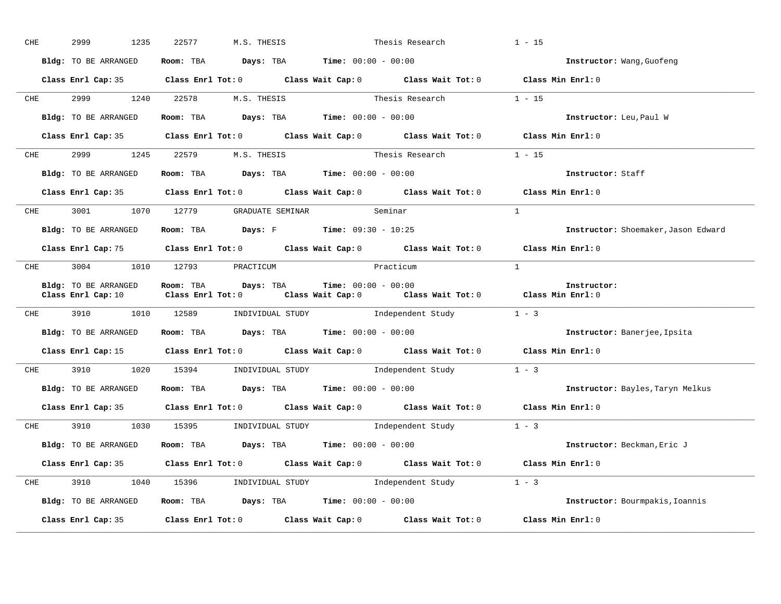| CHE |            | 2999<br>1235         | M.S. THESIS<br>22577                                         | Thesis Research                                                                                                                                         | $1 - 15$                            |
|-----|------------|----------------------|--------------------------------------------------------------|---------------------------------------------------------------------------------------------------------------------------------------------------------|-------------------------------------|
|     |            | Bldg: TO BE ARRANGED | Room: TBA $Days:$ TBA $Time: 00:00 - 00:00$                  |                                                                                                                                                         | Instructor: Wang, Guofeng           |
|     |            |                      |                                                              | Class Enrl Cap: 35 Class Enrl Tot: 0 Class Wait Cap: 0 Class Wait Tot: 0 Class Min Enrl: 0                                                              |                                     |
|     |            |                      | CHE 2999 1240 22578 M.S. THESIS                              | Thesis Research 1 - 15                                                                                                                                  |                                     |
|     |            |                      | Bldg: TO BE ARRANGED Room: TBA Days: TBA Time: 00:00 - 00:00 |                                                                                                                                                         | Instructor: Leu, Paul W             |
|     |            |                      |                                                              | Class Enrl Cap: 35 Class Enrl Tot: 0 Class Wait Cap: 0 Class Wait Tot: 0 Class Min Enrl: 0                                                              |                                     |
|     | <b>CHE</b> |                      | 2999 1245 22579 M.S. THESIS                                  | Thesis Research $1 - 15$                                                                                                                                |                                     |
|     |            | Bldg: TO BE ARRANGED | Room: TBA $Days:$ TBA Time: $00:00 - 00:00$                  |                                                                                                                                                         | Instructor: Staff                   |
|     |            |                      |                                                              | Class Enrl Cap: 35 Class Enrl Tot: 0 Class Wait Cap: 0 Class Wait Tot: 0 Class Min Enrl: 0                                                              |                                     |
|     |            |                      | CHE 3001 1070 12779 GRADUATE SEMINAR Seminar                 |                                                                                                                                                         | $\mathbf{1}$                        |
|     |            | Bldg: TO BE ARRANGED | <b>Room:</b> TBA <b>Days:</b> F <b>Time:</b> 09:30 - 10:25   |                                                                                                                                                         | Instructor: Shoemaker, Jason Edward |
|     |            |                      |                                                              | Class Enrl Cap: 75 Class Enrl Tot: 0 Class Wait Cap: 0 Class Wait Tot: 0 Class Min Enrl: 0                                                              |                                     |
|     | <b>CHE</b> |                      | 3004 1010 12793 PRACTICUM                                    | Practicum                                                                                                                                               | $\mathbf{1}$                        |
|     |            | Bldg: TO BE ARRANGED | Room: TBA Davs: TBA                                          | $Time: 00:00 - 00:00$<br>Class Enrl Cap: 10 $\qquad$ Class Enrl Tot: 0 $\qquad$ Class Wait Cap: 0 $\qquad$ Class Wait Tot: 0 $\qquad$ Class Min Enrl: 0 | Instructor:                         |
|     |            |                      |                                                              | CHE 3910 1010 12589 INDIVIDUAL STUDY Independent Study 1 - 3                                                                                            |                                     |
|     |            | Bldg: TO BE ARRANGED | Room: TBA $Days:$ TBA $Time: 00:00 - 00:00$                  |                                                                                                                                                         | Instructor: Banerjee, Ipsita        |
|     |            |                      |                                                              | Class Enrl Cap: 15 Class Enrl Tot: 0 Class Wait Cap: 0 Class Wait Tot: 0 Class Min Enrl: 0                                                              |                                     |
|     |            |                      |                                                              | CHE 3910 1020 15394 INDIVIDUAL STUDY Independent Study 1 - 3                                                                                            |                                     |
|     |            | Bldg: TO BE ARRANGED | Room: TBA $Days:$ TBA Time: $00:00 - 00:00$                  |                                                                                                                                                         | Instructor: Bayles, Taryn Melkus    |
|     |            |                      |                                                              | Class Enrl Cap: 35 Class Enrl Tot: 0 Class Wait Cap: 0 Class Wait Tot: 0 Class Min Enrl: 0                                                              |                                     |
|     | <b>CHE</b> |                      |                                                              | 3910 1030 15395 INDIVIDUAL STUDY Independent Study 1 - 3                                                                                                |                                     |
|     |            |                      | Bldg: TO BE ARRANGED Room: TBA Days: TBA Time: 00:00 - 00:00 |                                                                                                                                                         | Instructor: Beckman, Eric J         |
|     |            |                      |                                                              | Class Enrl Cap: 35 Class Enrl Tot: 0 Class Wait Cap: 0 Class Wait Tot: 0 Class Min Enrl: 0                                                              |                                     |
|     |            |                      |                                                              | CHE 3910 1040 15396 INDIVIDUAL STUDY Independent Study 1 - 3                                                                                            |                                     |
|     |            | Bldg: TO BE ARRANGED |                                                              | Room: TBA $Days:$ TBA $Time: 00:00 - 00:00$                                                                                                             | Instructor: Bourmpakis, Ioannis     |
|     |            |                      |                                                              | Class Enrl Cap: 35 Class Enrl Tot: 0 Class Wait Cap: 0 Class Wait Tot: 0 Class Min Enrl: 0                                                              |                                     |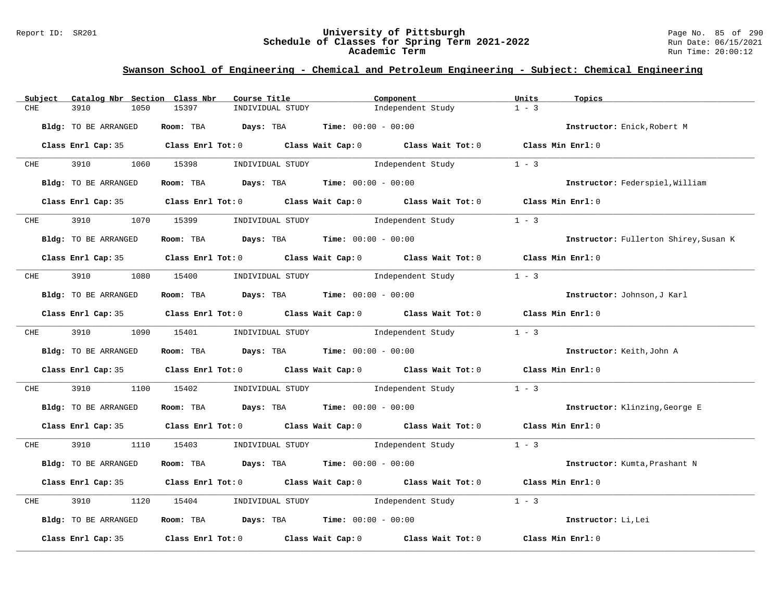#### Report ID: SR201 **University of Pittsburgh** Page No. 85 of 290 **Schedule of Classes for Spring Term 2021-2022** Run Date: 06/15/2021 **Academic Term** Run Time: 20:00:12

| Subject    | Catalog Nbr Section Class Nbr | Course Title                                | Component                                                                                  | Units<br>Topics                       |
|------------|-------------------------------|---------------------------------------------|--------------------------------------------------------------------------------------------|---------------------------------------|
| CHE        | 3910<br>1050                  | 15397<br>INDIVIDUAL STUDY                   | Independent Study                                                                          | $1 - 3$                               |
|            | Bldg: TO BE ARRANGED          | Room: TBA Days: TBA                         | <b>Time:</b> $00:00 - 00:00$                                                               | Instructor: Enick, Robert M           |
|            |                               |                                             | Class Enrl Cap: 35 Class Enrl Tot: 0 Class Wait Cap: 0 Class Wait Tot: 0 Class Min Enrl: 0 |                                       |
| <b>CHE</b> | 3910 1060 15398               | INDIVIDUAL STUDY                            | Independent Study                                                                          | $1 - 3$                               |
|            | Bldg: TO BE ARRANGED          | Room: TBA $Days:$ TBA $Time: 00:00 - 00:00$ |                                                                                            | Instructor: Federspiel, William       |
|            |                               |                                             | Class Enrl Cap: 35 Class Enrl Tot: 0 Class Wait Cap: 0 Class Wait Tot: 0 Class Min Enrl: 0 |                                       |
| <b>CHE</b> | 3910                          | 1070 15399<br>INDIVIDUAL STUDY              | Independent Study                                                                          | $1 - 3$                               |
|            | Bldg: TO BE ARRANGED          | Room: TBA $Days:$ TBA $Time: 00:00 - 00:00$ |                                                                                            | Instructor: Fullerton Shirey, Susan K |
|            |                               |                                             | Class Enrl Cap: 35 Class Enrl Tot: 0 Class Wait Cap: 0 Class Wait Tot: 0 Class Min Enrl: 0 |                                       |
|            |                               |                                             | CHE 3910 1080 15400 INDIVIDUAL STUDY Independent Study                                     | $1 - 3$                               |
|            | Bldg: TO BE ARRANGED          | Room: TBA $Days:$ TBA $Time: 00:00 - 00:00$ |                                                                                            | Instructor: Johnson, J Karl           |
|            |                               |                                             | Class Enrl Cap: 35 Class Enrl Tot: 0 Class Wait Cap: 0 Class Wait Tot: 0 Class Min Enrl: 0 |                                       |
|            | CHE 3910 1090 15401           |                                             | INDIVIDUAL STUDY 1ndependent Study                                                         | $1 - 3$                               |
|            | Bldg: TO BE ARRANGED          | Room: TBA $Days:$ TBA $Time: 00:00 - 00:00$ |                                                                                            | Instructor: Keith, John A             |
|            |                               |                                             | Class Enrl Cap: 35 Class Enrl Tot: 0 Class Wait Cap: 0 Class Wait Tot: 0 Class Min Enrl: 0 |                                       |
| CHE        | 3910<br>1100                  | 15402                                       | INDIVIDUAL STUDY 1ndependent Study                                                         | $1 - 3$                               |
|            | Bldg: TO BE ARRANGED          | Room: TBA $Days:$ TBA $Time: 00:00 - 00:00$ |                                                                                            | Instructor: Klinzing, George E        |
|            |                               |                                             | Class Enrl Cap: 35 Class Enrl Tot: 0 Class Wait Cap: 0 Class Wait Tot: 0 Class Min Enrl: 0 |                                       |
| <b>CHE</b> |                               |                                             | 3910 1110 15403 INDIVIDUAL STUDY 1ndependent Study 1 - 3                                   |                                       |
|            | Bldg: TO BE ARRANGED          | Room: TBA $Days:$ TBA $Time: 00:00 - 00:00$ |                                                                                            | Instructor: Kumta, Prashant N         |
|            |                               |                                             | Class Enrl Cap: 35 Class Enrl Tot: 0 Class Wait Cap: 0 Class Wait Tot: 0 Class Min Enrl: 0 |                                       |
| CHE        | 3910<br>1120                  | 15404                                       | INDIVIDUAL STUDY 1ndependent Study                                                         | $1 - 3$                               |
|            | Bldg: TO BE ARRANGED          | Room: TBA $Days:$ TBA $Time: 00:00 - 00:00$ |                                                                                            | Instructor: Li, Lei                   |
|            | Class Enrl Cap: 35            |                                             | Class Enrl Tot: $0$ Class Wait Cap: $0$ Class Wait Tot: $0$                                | Class Min Enrl: 0                     |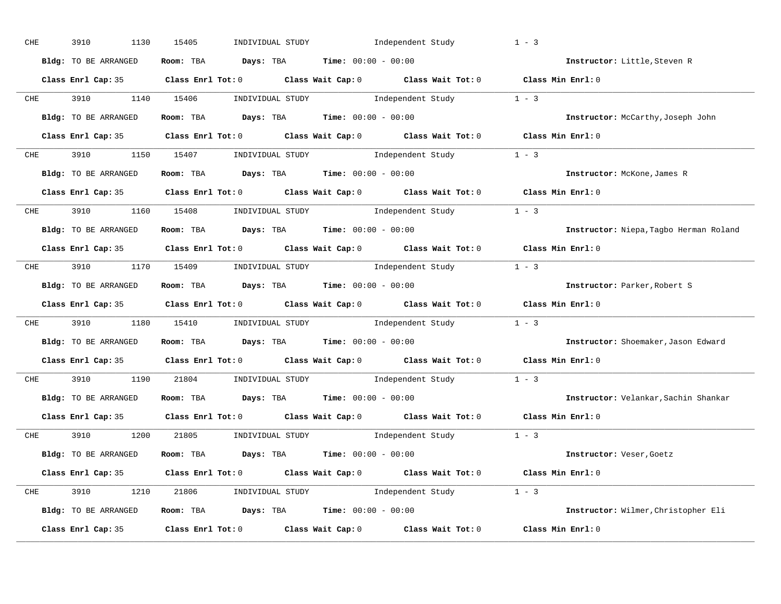| CHE        | 3910<br>1130         | 15405 | INDIVIDUAL STUDY                              | Independent Study |                                                                                            | $1 - 3$                                |
|------------|----------------------|-------|-----------------------------------------------|-------------------|--------------------------------------------------------------------------------------------|----------------------------------------|
|            | Bldg: TO BE ARRANGED |       | Room: TBA $Days:$ TBA $Time: 00:00 - 00:00$   |                   |                                                                                            | Instructor: Little, Steven R           |
|            |                      |       |                                               |                   | Class Enrl Cap: 35 Class Enrl Tot: 0 Class Wait Cap: 0 Class Wait Tot: 0 Class Min Enrl: 0 |                                        |
|            |                      |       |                                               |                   | CHE 3910 1140 15406 INDIVIDUAL STUDY Independent Study 1 - 3                               |                                        |
|            | Bldg: TO BE ARRANGED |       | Room: TBA $Days:$ TBA $Time: 00:00 - 00:00$   |                   |                                                                                            | Instructor: McCarthy, Joseph John      |
|            |                      |       |                                               |                   | Class Enrl Cap: 35 Class Enrl Tot: 0 Class Wait Cap: 0 Class Wait Tot: 0 Class Min Enrl: 0 |                                        |
|            |                      |       |                                               |                   | CHE 3910 1150 15407 INDIVIDUAL STUDY Independent Study 1 - 3                               |                                        |
|            | Bldg: TO BE ARRANGED |       | Room: TBA $Days:$ TBA $Time: 00:00 - 00:00$   |                   |                                                                                            | Instructor: McKone, James R            |
|            |                      |       |                                               |                   | Class Enrl Cap: 35 Class Enrl Tot: 0 Class Wait Cap: 0 Class Wait Tot: 0 Class Min Enrl: 0 |                                        |
|            |                      |       |                                               |                   | CHE 3910 1160 15408 INDIVIDUAL STUDY Independent Study 1 - 3                               |                                        |
|            | Bldg: TO BE ARRANGED |       | Room: TBA $Days:$ TBA $Time: 00:00 - 00:00$   |                   |                                                                                            | Instructor: Niepa, Tagbo Herman Roland |
|            |                      |       |                                               |                   | Class Enrl Cap: 35 Class Enrl Tot: 0 Class Wait Cap: 0 Class Wait Tot: 0 Class Min Enrl: 0 |                                        |
|            |                      |       |                                               |                   | CHE 3910 1170 15409 INDIVIDUAL STUDY Independent Study 1 - 3                               |                                        |
|            | Bldg: TO BE ARRANGED |       | Room: TBA $Days:$ TBA $Time:$ $00:00 - 00:00$ |                   |                                                                                            | Instructor: Parker, Robert S           |
|            |                      |       |                                               |                   | Class Enrl Cap: 35 Class Enrl Tot: 0 Class Wait Cap: 0 Class Wait Tot: 0 Class Min Enrl: 0 |                                        |
| <b>CHE</b> |                      |       |                                               |                   | 3910 1180 15410 INDIVIDUAL STUDY Independent Study 1 - 3                                   |                                        |
|            | Bldg: TO BE ARRANGED |       | Room: TBA $Days:$ TBA $Time: 00:00 - 00:00$   |                   |                                                                                            | Instructor: Shoemaker, Jason Edward    |
|            |                      |       |                                               |                   | Class Enrl Cap: 35 Class Enrl Tot: 0 Class Wait Cap: 0 Class Wait Tot: 0 Class Min Enrl: 0 |                                        |
| <b>CHE</b> |                      |       | 3910 1190 21804 INDIVIDUAL STUDY              |                   | Independent Study 1 - 3                                                                    |                                        |
|            | Bldg: TO BE ARRANGED |       | Room: TBA $Days:$ TBA $Time: 00:00 - 00:00$   |                   |                                                                                            | Instructor: Velankar, Sachin Shankar   |
|            |                      |       |                                               |                   | Class Enrl Cap: 35 Class Enrl Tot: 0 Class Wait Cap: 0 Class Wait Tot: 0                   | Class Min Enrl: 0                      |
|            |                      |       |                                               |                   | CHE 3910 1200 21805 INDIVIDUAL STUDY Independent Study 1 - 3                               |                                        |
|            | Bldg: TO BE ARRANGED |       | Room: TBA $Days:$ TBA $Time: 00:00 - 00:00$   |                   |                                                                                            | Instructor: Veser, Goetz               |
|            |                      |       |                                               |                   | Class Enrl Cap: 35 Class Enrl Tot: 0 Class Wait Cap: 0 Class Wait Tot: 0 Class Min Enrl: 0 |                                        |
|            |                      |       |                                               |                   | CHE 3910 1210 21806 INDIVIDUAL STUDY Independent Study 1 - 3                               |                                        |
|            | Bldg: TO BE ARRANGED |       | Room: TBA $Days:$ TBA Time: $00:00 - 00:00$   |                   |                                                                                            | Instructor: Wilmer, Christopher Eli    |
|            | Class Enrl Cap: 35   |       |                                               |                   | Class Enrl Tot: $0$ Class Wait Cap: $0$ Class Wait Tot: $0$ Class Min Enrl: $0$            |                                        |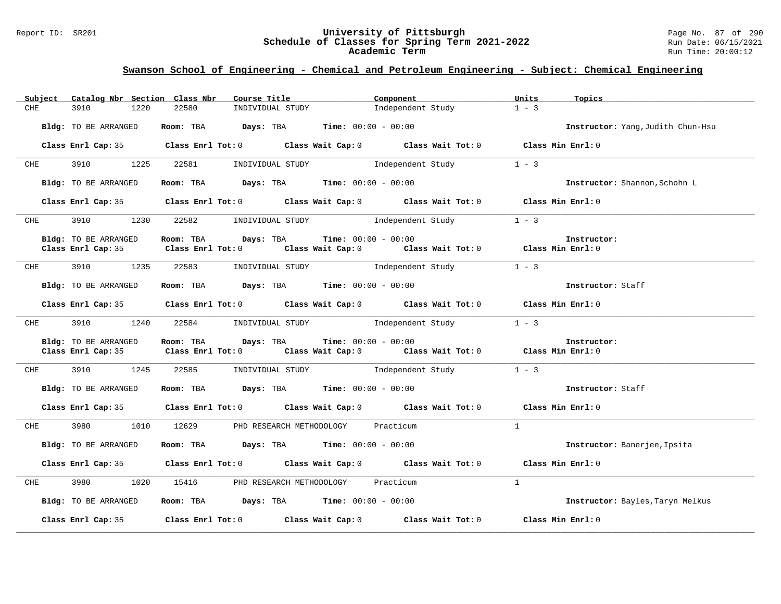#### Report ID: SR201 **University of Pittsburgh** Page No. 87 of 290 **Schedule of Classes for Spring Term 2021-2022** Run Date: 06/15/2021 **Academic Term** Run Time: 20:00:12

| Subject              | Catalog Nbr Section Class Nbr | Course Title                                                 |                              | Component                                                                                  | Units        | Topics                            |
|----------------------|-------------------------------|--------------------------------------------------------------|------------------------------|--------------------------------------------------------------------------------------------|--------------|-----------------------------------|
| 3910<br>CHE          | 1220<br>22580                 | INDIVIDUAL STUDY                                             |                              | Independent Study                                                                          | $1 - 3$      |                                   |
| Bldg: TO BE ARRANGED |                               | Room: TBA $Days:$ TBA $Time: 00:00 - 00:00$                  |                              |                                                                                            |              | Instructor: Yang, Judith Chun-Hsu |
|                      |                               |                                                              |                              | Class Enrl Cap: 35 Class Enrl Tot: 0 Class Wait Cap: 0 Class Wait Tot: 0 Class Min Enrl: 0 |              |                                   |
| 3910<br>CHE          | 1225<br>22581                 | INDIVIDUAL STUDY 1ndependent Study                           |                              |                                                                                            | $1 - 3$      |                                   |
| Bldg: TO BE ARRANGED |                               | Room: TBA $Days:$ TBA $Time: 00:00 - 00:00$                  |                              |                                                                                            |              | Instructor: Shannon, Schohn L     |
|                      |                               |                                                              |                              | Class Enrl Cap: 35 Class Enrl Tot: 0 Class Wait Cap: 0 Class Wait Tot: 0 Class Min Enrl: 0 |              |                                   |
| <b>CHE</b>           |                               |                                                              |                              | 3910 1230 22582 INDIVIDUAL STUDY Independent Study                                         | $1 - 3$      |                                   |
| Bldg: TO BE ARRANGED |                               | <b>Room:</b> TBA <b>Days:</b> TBA <b>Time:</b> 00:00 - 00:00 |                              |                                                                                            |              | Instructor:                       |
|                      |                               |                                                              |                              | Class Enrl Cap: 35 Class Enrl Tot: 0 Class Wait Cap: 0 Class Wait Tot: 0 Class Min Enrl: 0 |              |                                   |
| <b>CHE</b>           | 3910 1235<br>22583            |                                                              |                              | INDIVIDUAL STUDY <b>Example 1</b> Independent Study                                        | $1 - 3$      |                                   |
| Bldg: TO BE ARRANGED |                               | Room: TBA $Days:$ TBA $Time: 00:00 - 00:00$                  |                              |                                                                                            |              | Instructor: Staff                 |
|                      |                               |                                                              |                              | Class Enrl Cap: 35 Class Enrl Tot: 0 Class Wait Cap: 0 Class Wait Tot: 0 Class Min Enrl: 0 |              |                                   |
| <b>CHE</b>           | 3910 1240 22584               |                                                              |                              | INDIVIDUAL STUDY <b>Independent Study</b>                                                  | $1 - 3$      |                                   |
| Bldg: TO BE ARRANGED | Room: TBA                     | Days: TBA                                                    | <b>Time:</b> $00:00 - 00:00$ | Class Enrl Cap: 35 Class Enrl Tot: 0 Class Wait Cap: 0 Class Wait Tot: 0 Class Min Enrl: 0 |              | Instructor:                       |
| CHE 3910 1245        | 22585                         |                                                              |                              | INDIVIDUAL STUDY 1 - 3                                                                     |              |                                   |
| Bldg: TO BE ARRANGED |                               | Room: TBA $Days:$ TBA $Time: 00:00 - 00:00$                  |                              |                                                                                            |              | Instructor: Staff                 |
|                      |                               |                                                              |                              | Class Enrl Cap: 35 Class Enrl Tot: 0 Class Wait Cap: 0 Class Wait Tot: 0 Class Min Enrl: 0 |              |                                   |
| 3980<br>CHE          | 1010                          | 12629 PHD RESEARCH METHODOLOGY                               |                              | Practicum                                                                                  | $\mathbf{1}$ |                                   |
| Bldg: TO BE ARRANGED |                               | Room: TBA $Days:$ TBA $Time: 00:00 - 00:00$                  |                              |                                                                                            |              | Instructor: Banerjee, Ipsita      |
|                      |                               |                                                              |                              | Class Enrl Cap: 35 Class Enrl Tot: 0 Class Wait Cap: 0 Class Wait Tot: 0 Class Min Enrl: 0 |              |                                   |
| 3980<br>CHE          | 1020                          | 15416 PHD RESEARCH METHODOLOGY Practicum                     |                              |                                                                                            | $\mathbf{1}$ |                                   |
| Bldg: TO BE ARRANGED |                               | Room: TBA Days: TBA Time: $00:00 - 00:00$                    |                              |                                                                                            |              | Instructor: Bayles, Taryn Melkus  |
| Class Enrl Cap: 35   |                               |                                                              |                              | Class Enrl Tot: $0$ Class Wait Cap: $0$ Class Wait Tot: $0$ Class Min Enrl: $0$            |              |                                   |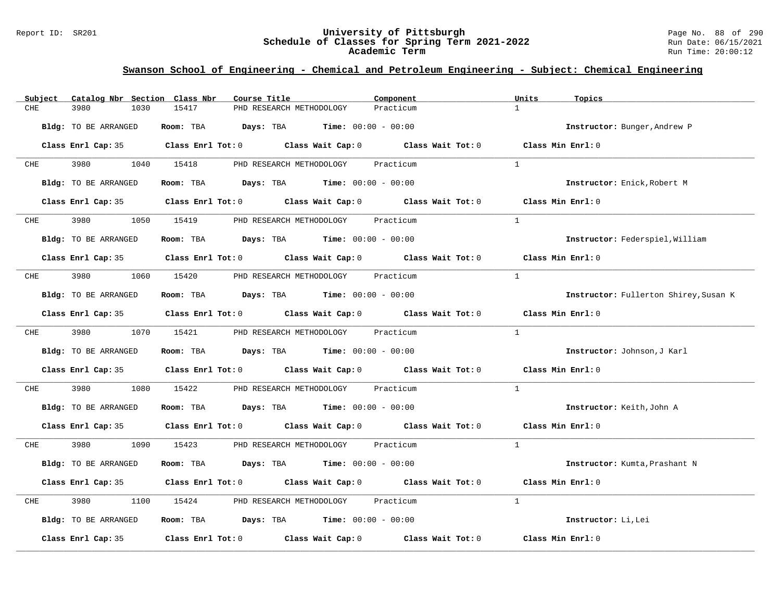#### Report ID: SR201 **University of Pittsburgh** Page No. 88 of 290 **Schedule of Classes for Spring Term 2021-2022** Run Date: 06/15/2021 **Academic Term** Run Time: 20:00:12

| Subject              | Catalog Nbr Section Class Nbr<br>Course Title                                                       | Component                 | Units<br>Topics                       |
|----------------------|-----------------------------------------------------------------------------------------------------|---------------------------|---------------------------------------|
| 3980<br>1030<br>CHE  | 15417<br>PHD RESEARCH METHODOLOGY                                                                   | $\mathbf{1}$<br>Practicum |                                       |
| Bldg: TO BE ARRANGED | Room: TBA $Days:$ TBA $Time: 00:00 - 00:00$                                                         |                           | Instructor: Bunger, Andrew P          |
|                      | Class Enrl Cap: 35 $\qquad$ Class Enrl Tot: 0 $\qquad$ Class Wait Cap: 0 $\qquad$ Class Wait Tot: 0 |                           | Class Min Enrl: 0                     |
| <b>CHE</b>           | 3980 1040 15418<br>PHD RESEARCH METHODOLOGY                                                         | Practicum<br>$\mathbf{1}$ |                                       |
| Bldg: TO BE ARRANGED | Room: TBA $\rule{1em}{0.15mm}$ Days: TBA $\qquad$ Time: $00:00 - 00:00$                             |                           | Instructor: Enick, Robert M           |
|                      | Class Enrl Cap: 35 Class Enrl Tot: 0 Class Wait Cap: 0 Class Wait Tot: 0 Class Min Enrl: 0          |                           |                                       |
|                      | CHE 3980 1050 15419 PHD RESEARCH METHODOLOGY Practicum                                              | $\overline{1}$            |                                       |
| Bldg: TO BE ARRANGED | Room: TBA $Days:$ TBA $Time: 00:00 - 00:00$                                                         |                           | Instructor: Federspiel, William       |
|                      | Class Enrl Cap: 35 Class Enrl Tot: 0 Class Wait Cap: 0 Class Wait Tot: 0 Class Min Enrl: 0          |                           |                                       |
| 3980<br>CHE          | 1060 15420 PHD RESEARCH METHODOLOGY Practicum                                                       | $\mathbf{1}$              |                                       |
| Bldg: TO BE ARRANGED | Room: TBA $\rule{1em}{0.15mm}$ Days: TBA Time: $00:00 - 00:00$                                      |                           | Instructor: Fullerton Shirey, Susan K |
|                      | Class Enrl Cap: 35 Class Enrl Tot: 0 Class Wait Cap: 0 Class Wait Tot: 0 Class Min Enrl: 0          |                           |                                       |
|                      | CHE 3980 1070 15421 PHD RESEARCH METHODOLOGY Practicum                                              | $\mathbf{1}$              |                                       |
| Bldg: TO BE ARRANGED | Room: TBA $Days:$ TBA $Time: 00:00 - 00:00$                                                         |                           | Instructor: Johnson, J Karl           |
|                      | Class Enrl Cap: 35 Class Enrl Tot: 0 Class Wait Cap: 0 Class Wait Tot: 0 Class Min Enrl: 0          |                           |                                       |
| 3980<br>CHE          | 1080<br>15422<br>PHD RESEARCH METHODOLOGY Practicum                                                 | $\mathbf{1}$              |                                       |
| Bldg: TO BE ARRANGED | Room: TBA $Days:$ TBA $Time: 00:00 - 00:00$                                                         |                           | Instructor: Keith, John A             |
|                      | Class Enrl Cap: 35 Class Enrl Tot: 0 Class Wait Cap: 0 Class Wait Tot: 0 Class Min Enrl: 0          |                           |                                       |
| CHE                  | 3980 1090 15423 PHD RESEARCH METHODOLOGY Practicum                                                  | $\mathbf{1}$              |                                       |
| Bldg: TO BE ARRANGED | Room: TBA $Days:$ TBA $Time: 00:00 - 00:00$                                                         |                           | Instructor: Kumta, Prashant N         |
|                      | Class Enrl Cap: 35 Class Enrl Tot: 0 Class Wait Cap: 0 Class Wait Tot: 0 Class Min Enrl: 0          |                           |                                       |
| 3980<br>CHE          | 1100 15424 PHD RESEARCH METHODOLOGY Practicum                                                       | $\mathbf{1}$              |                                       |
| Bldg: TO BE ARRANGED | Room: TBA $Days:$ TBA $Time: 00:00 - 00:00$                                                         |                           | Instructor: Li, Lei                   |
|                      | Class Enrl Cap: 35 $\qquad$ Class Enrl Tot: 0 $\qquad$ Class Wait Cap: 0 $\qquad$ Class Wait Tot: 0 |                           | Class Min Enrl: 0                     |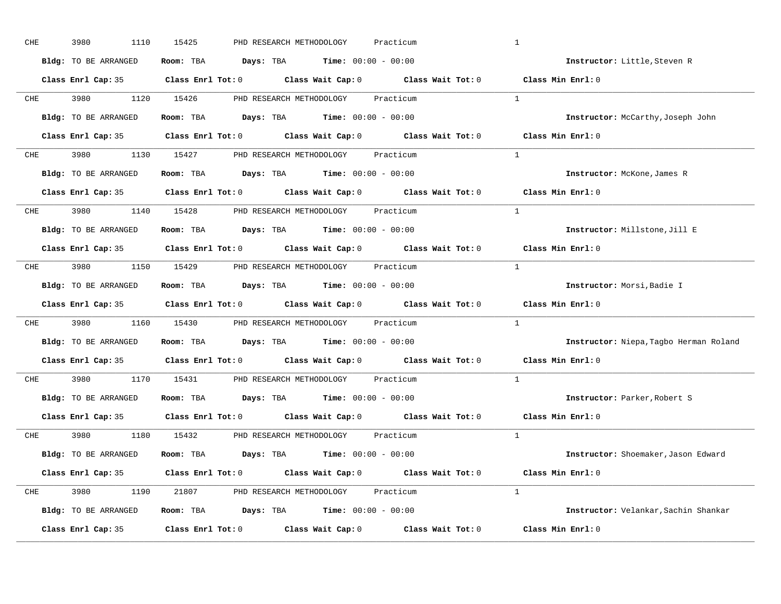| CHE        | 3980<br>1110                | 15425<br>PHD RESEARCH METHODOLOGY<br>Practicum                                             | $\mathbf{1}$                           |
|------------|-----------------------------|--------------------------------------------------------------------------------------------|----------------------------------------|
|            | Bldg: TO BE ARRANGED        | Room: TBA $Days:$ TBA $Time: 00:00 - 00:00$                                                | Instructor: Little, Steven R           |
|            |                             | Class Enrl Cap: 35 Class Enrl Tot: 0 Class Wait Cap: 0 Class Wait Tot: 0 Class Min Enrl: 0 |                                        |
|            |                             | CHE 3980 1120 15426 PHD RESEARCH METHODOLOGY Practicum                                     | <sup>1</sup>                           |
|            | Bldg: TO BE ARRANGED        | Room: TBA $Days:$ TBA $Time: 00:00 - 00:00$                                                | Instructor: McCarthy, Joseph John      |
|            |                             | Class Enrl Cap: 35 Class Enrl Tot: 0 Class Wait Cap: 0 Class Wait Tot: 0 Class Min Enrl: 0 |                                        |
| CHE        |                             | 3980 1130 15427 PHD RESEARCH METHODOLOGY Practicum                                         | $\mathbf{1}$                           |
|            | Bldg: TO BE ARRANGED        | <b>Room:</b> TBA $Days: TBA$ <b>Time:</b> $00:00 - 00:00$                                  | Instructor: McKone, James R            |
|            |                             | Class Enrl Cap: 35 Class Enrl Tot: 0 Class Wait Cap: 0 Class Wait Tot: 0 Class Min Enrl: 0 |                                        |
| CHE        |                             | 3980 1140 15428 PHD RESEARCH METHODOLOGY Practicum                                         | <sup>1</sup>                           |
|            | <b>Bldg:</b> TO BE ARRANGED | Room: TBA $\rule{1em}{0.15mm}$ Days: TBA Time: $00:00 - 00:00$                             | Instructor: Millstone, Jill E          |
|            |                             | Class Enrl Cap: 35 Class Enrl Tot: 0 Class Wait Cap: 0 Class Wait Tot: 0                   | Class Min Enrl: 0                      |
| CHE        |                             | 3980 1150 15429 PHD RESEARCH METHODOLOGY Practicum                                         | $\overline{1}$                         |
|            | Bldg: TO BE ARRANGED        | Room: TBA $\rule{1em}{0.15mm}$ Days: TBA Time: $00:00 - 00:00$                             | Instructor: Morsi, Badie I             |
|            |                             | Class Enrl Cap: 35 Class Enrl Tot: 0 Class Wait Cap: 0 Class Wait Tot: 0                   | Class Min Enrl: 0                      |
| CHE        |                             | 3980 1160 15430 PHD RESEARCH METHODOLOGY Practicum                                         | $\mathbf{1}$                           |
|            | Bldg: TO BE ARRANGED        | Room: TBA $Days:$ TBA $Time: 00:00 - 00:00$                                                | Instructor: Niepa, Tagbo Herman Roland |
|            |                             | Class Enrl Cap: 35 Class Enrl Tot: 0 Class Wait Cap: 0 Class Wait Tot: 0                   | Class Min Enrl: 0                      |
| <b>CHE</b> |                             | 3980 1170 15431 PHD RESEARCH METHODOLOGY<br>Practicum                                      | $\mathbf{1}$                           |
|            | Bldg: TO BE ARRANGED        | Room: TBA $Days:$ TBA $Time: 00:00 - 00:00$                                                | Instructor: Parker, Robert S           |
|            | Class Enrl Cap: 35          | Class Enrl Tot: $0$ Class Wait Cap: $0$ Class Wait Tot: $0$                                | Class Min Enrl: 0                      |
|            |                             | CHE 3980 1180 15432 PHD RESEARCH METHODOLOGY Practicum                                     | $\mathbf{1}$                           |
|            | Bldg: TO BE ARRANGED        | Room: TBA $Days: TBA$ Time: $00:00 - 00:00$                                                | Instructor: Shoemaker, Jason Edward    |
|            |                             | Class Enrl Cap: 35 Class Enrl Tot: 0 Class Wait Cap: 0 Class Wait Tot: 0 Class Min Enrl: 0 |                                        |
| CHE        |                             | 3980 1190 21807 PHD RESEARCH METHODOLOGY Practicum                                         | $\mathbf{1}$                           |
|            | Bldg: TO BE ARRANGED        | Room: TBA $Days: TBA$ Time: $00:00 - 00:00$                                                | Instructor: Velankar, Sachin Shankar   |
|            | Class Enrl Cap: 35          | Class Enrl Tot: $0$ Class Wait Cap: $0$ Class Wait Tot: $0$                                | Class Min Enrl: 0                      |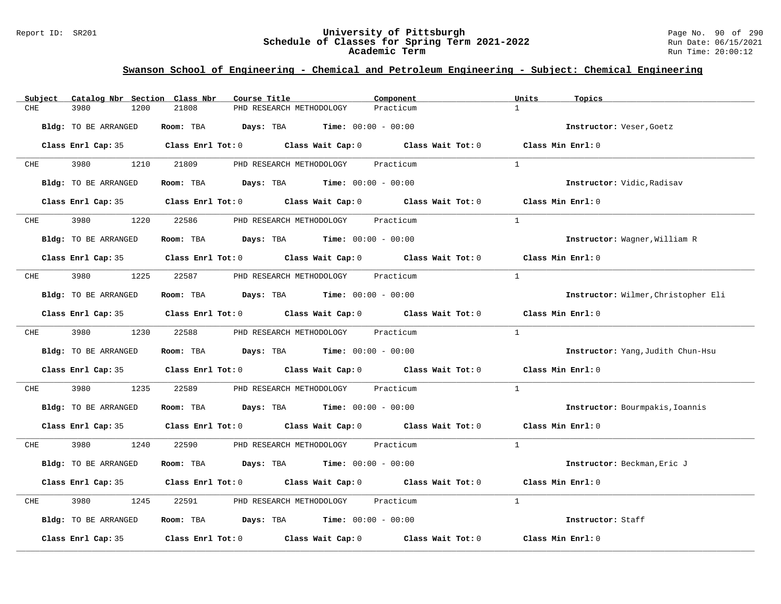#### Report ID: SR201 **University of Pittsburgh** Page No. 90 of 290 **Schedule of Classes for Spring Term 2021-2022** Run Date: 06/15/2021 **Academic Term** Run Time: 20:00:12

| Catalog Nbr Section Class Nbr<br>Subject | Course Title<br>Component                                                                           | Units<br>Topics                     |
|------------------------------------------|-----------------------------------------------------------------------------------------------------|-------------------------------------|
| 3980<br>1200<br>CHE                      | 21808<br>PHD RESEARCH METHODOLOGY<br>Practicum                                                      | $\mathbf{1}$                        |
| Bldg: TO BE ARRANGED                     | Room: TBA $Days:$ TBA $Time: 00:00 - 00:00$                                                         | Instructor: Veser, Goetz            |
|                                          | Class Enrl Cap: 35 $\qquad$ Class Enrl Tot: 0 $\qquad$ Class Wait Cap: 0 $\qquad$ Class Wait Tot: 0 | Class Min Enrl: 0                   |
| 3980 3980<br>CHE                         | 1210<br>21809<br>Practicum<br>PHD RESEARCH METHODOLOGY                                              | $\mathbf{1}$                        |
| Bldg: TO BE ARRANGED                     | <b>Room:</b> TBA <b>Days:</b> TBA <b>Time:</b> 00:00 - 00:00                                        | Instructor: Vidic, Radisav          |
|                                          | Class Enrl Cap: 35 Class Enrl Tot: 0 Class Wait Cap: 0 Class Wait Tot: 0 Class Min Enrl: 0          |                                     |
| CHE 3980                                 | 1220 22586 PHD RESEARCH METHODOLOGY Practicum                                                       | $\overline{1}$                      |
| Bldg: TO BE ARRANGED                     | Room: TBA $Days: TBA$ Time: $00:00 - 00:00$                                                         | Instructor: Wagner, William R       |
|                                          | Class Enrl Cap: 35 Class Enrl Tot: 0 Class Wait Cap: 0 Class Wait Tot: 0                            | Class Min $Enr1:0$                  |
| 3980<br>CHE                              | 1225 22587<br>PHD RESEARCH METHODOLOGY Practicum                                                    | 1                                   |
| Bldg: TO BE ARRANGED                     | Room: TBA $Days:$ TBA $Time: 00:00 - 00:00$                                                         | Instructor: Wilmer, Christopher Eli |
|                                          | Class Enrl Cap: 35 Class Enrl Tot: 0 Class Wait Cap: 0 Class Wait Tot: 0 Class Min Enrl: 0          |                                     |
| CHE 3980 1230                            | 22588 PHD RESEARCH METHODOLOGY Practicum                                                            | $\mathbf{1}$                        |
| Bldg: TO BE ARRANGED                     | Room: TBA $Days:$ TBA $Time: 00:00 - 00:00$                                                         | Instructor: Yang, Judith Chun-Hsu   |
|                                          | Class Enrl Cap: 35 Class Enrl Tot: 0 Class Wait Cap: 0 Class Wait Tot: 0                            | Class Min Enrl: 0                   |
| 3980<br>1235<br>CHE                      | 22589<br>PHD RESEARCH METHODOLOGY Practicum                                                         | <sup>1</sup>                        |
| Bldg: TO BE ARRANGED                     | Room: TBA $Days:$ TBA $Time: 00:00 - 00:00$                                                         | Instructor: Bourmpakis, Ioannis     |
|                                          | Class Enrl Cap: 35 Class Enrl Tot: 0 Class Wait Cap: 0 Class Wait Tot: 0 Class Min Enrl: 0          |                                     |
| 3980 3980<br>CHE                         | 1240<br>22590 PHD RESEARCH METHODOLOGY Practicum                                                    | $\mathbf{1}$                        |
| Bldg: TO BE ARRANGED                     | Room: TBA $Days: TBA$ Time: $00:00 - 00:00$                                                         | Instructor: Beckman, Eric J         |
|                                          | Class Enrl Cap: 35 Class Enrl Tot: 0 Class Wait Cap: 0 Class Wait Tot: 0                            | Class Min Enrl: 0                   |
| 3980<br>CHE<br>1245                      | 22591 PHD RESEARCH METHODOLOGY Practicum                                                            | $\mathbf{1}$                        |
| Bldg: TO BE ARRANGED                     | Room: TBA $Days:$ TBA $Time: 00:00 - 00:00$                                                         | Instructor: Staff                   |
| Class Enrl Cap: 35                       | Class Enrl Tot: $0$ Class Wait Cap: $0$ Class Wait Tot: $0$                                         | Class Min Enrl: 0                   |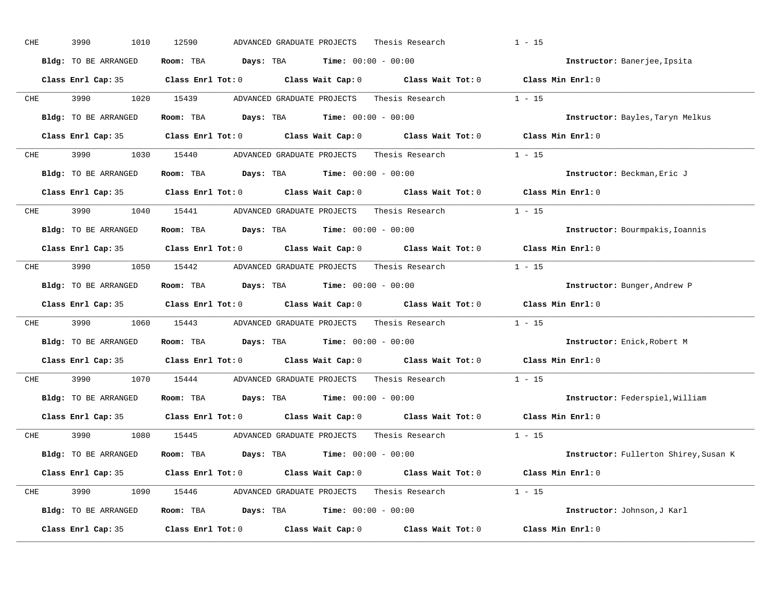| CHE        | 3990<br>1010         | 12590<br>Thesis Research<br>ADVANCED GRADUATE PROJECTS                                              | $1 - 15$                              |
|------------|----------------------|-----------------------------------------------------------------------------------------------------|---------------------------------------|
|            | Bldg: TO BE ARRANGED | Room: TBA $Days:$ TBA $Time: 00:00 - 00:00$                                                         | Instructor: Banerjee, Ipsita          |
|            |                      | Class Enrl Cap: 35 Class Enrl Tot: 0 Class Wait Cap: 0 Class Wait Tot: 0 Class Min Enrl: 0          |                                       |
| CHE        | 3990 000             | 1020 15439<br>ADVANCED GRADUATE PROJECTS<br>Thesis Research                                         | $1 - 15$                              |
|            | Bldg: TO BE ARRANGED | Room: TBA $Days:$ TBA $Time: 00:00 - 00:00$                                                         | Instructor: Bayles, Taryn Melkus      |
|            |                      | Class Enrl Cap: 35 Class Enrl Tot: 0 Class Wait Cap: 0 Class Wait Tot: 0 Class Min Enrl: 0          |                                       |
| CHE        |                      | 3990 1030 15440 ADVANCED GRADUATE PROJECTS Thesis Research 1 - 15                                   |                                       |
|            | Bldg: TO BE ARRANGED | Room: TBA $Days:$ TBA $Time: 00:00 - 00:00$                                                         | Instructor: Beckman, Eric J           |
|            |                      | Class Enrl Cap: 35 Class Enrl Tot: 0 Class Wait Cap: 0 Class Wait Tot: 0 Class Min Enrl: 0          |                                       |
| CHE        |                      | 3990 1040 15441 ADVANCED GRADUATE PROJECTS Thesis Research                                          | $1 - 15$                              |
|            | Bldg: TO BE ARRANGED | Room: TBA $Days:$ TBA $Time: 00:00 - 00:00$                                                         | Instructor: Bourmpakis, Ioannis       |
|            |                      | Class Enrl Cap: 35 Class Enrl Tot: 0 Class Wait Cap: 0 Class Wait Tot: 0                            | Class Min Enrl: 0                     |
| CHE        |                      | 3990 1050 15442 ADVANCED GRADUATE PROJECTS Thesis Research 1 - 15                                   |                                       |
|            | Bldg: TO BE ARRANGED | Room: TBA $Days: TBA$ Time: $00:00 - 00:00$                                                         | Instructor: Bunger, Andrew P          |
|            |                      | Class Enrl Cap: 35 Class Enrl Tot: 0 Class Wait Cap: 0 Class Wait Tot: 0 Class Min Enrl: 0          |                                       |
| CHE        | 3990 700             | 1060 15443 ADVANCED GRADUATE PROJECTS Thesis Research                                               | $1 - 15$                              |
|            | Bldg: TO BE ARRANGED | Room: TBA $Days: TBA$ Time: $00:00 - 00:00$                                                         | Instructor: Enick, Robert M           |
|            |                      | Class Enrl Cap: 35 $\qquad$ Class Enrl Tot: 0 $\qquad$ Class Wait Cap: 0 $\qquad$ Class Wait Tot: 0 | Class Min Enrl: 0                     |
| <b>CHE</b> | 3990 700             | 1070 15444<br>ADVANCED GRADUATE PROJECTS Thesis Research                                            | $1 - 15$                              |
|            | Bldg: TO BE ARRANGED | Room: TBA $Days:$ TBA $Time: 00:00 - 00:00$                                                         | Instructor: Federspiel, William       |
|            |                      | Class Enrl Cap: 35 $\qquad$ Class Enrl Tot: 0 $\qquad$ Class Wait Cap: 0 $\qquad$ Class Wait Tot: 0 | Class Min Enrl: 0                     |
|            | CHE 3990             | Thesis Research $1 - 15$<br>1080 15445 ADVANCED GRADUATE PROJECTS                                   |                                       |
|            | Bldg: TO BE ARRANGED | Room: TBA $Days:$ TBA $Time: 00:00 - 00:00$                                                         | Instructor: Fullerton Shirey, Susan K |
|            |                      | Class Enrl Cap: 35 Class Enrl Tot: 0 Class Wait Cap: 0 Class Wait Tot: 0 Class Min Enrl: 0          |                                       |
| CHE        |                      | 3990 1090 15446 ADVANCED GRADUATE PROJECTS Thesis Research 1 - 15                                   |                                       |
|            | Bldg: TO BE ARRANGED | Room: TBA $Days: TBA$ Time: $00:00 - 00:00$                                                         | Instructor: Johnson, J Karl           |
|            | Class Enrl Cap: 35   | Class Enrl Tot: $0$ Class Wait Cap: $0$ Class Wait Tot: $0$                                         | Class Min Enrl: 0                     |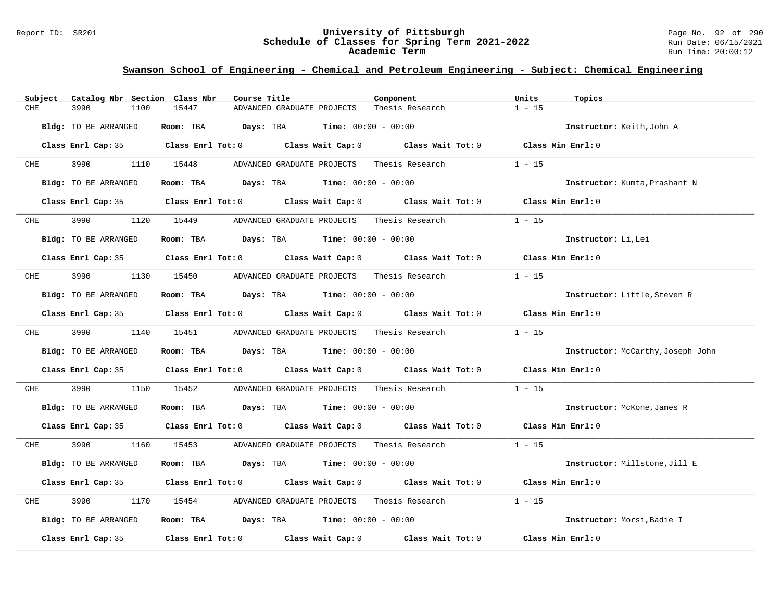#### Report ID: SR201 **University of Pittsburgh** Page No. 92 of 290 **Schedule of Classes for Spring Term 2021-2022** Run Date: 06/15/2021 **Academic Term** Run Time: 20:00:12

| Subject | Catalog Nbr Section Class Nbr | Course Title                                                                               | Component       | Units<br>Topics                          |
|---------|-------------------------------|--------------------------------------------------------------------------------------------|-----------------|------------------------------------------|
| CHE     | 3990<br>1100                  | 15447<br>ADVANCED GRADUATE PROJECTS                                                        | Thesis Research | $1 - 15$                                 |
|         | Bldg: TO BE ARRANGED          | Room: TBA $Days:$ TBA $Time: 00:00 - 00:00$                                                |                 | Instructor: Keith, John A                |
|         |                               | Class Enrl Cap: 35 Class Enrl Tot: 0 Class Wait Cap: 0 Class Wait Tot: 0 Class Min Enrl: 0 |                 |                                          |
| CHE     | 3990 3990                     | 1110 15448<br>ADVANCED GRADUATE PROJECTS Thesis Research                                   |                 | $1 - 15$                                 |
|         | Bldg: TO BE ARRANGED          | Room: TBA $Days:$ TBA $Time: 00:00 - 00:00$                                                |                 | Instructor: Kumta, Prashant N            |
|         |                               | Class Enrl Cap: 35 Class Enrl Tot: 0 Class Wait Cap: 0 Class Wait Tot: 0 Class Min Enrl: 0 |                 |                                          |
|         | CHE 3990                      | 1120 15449 ADVANCED GRADUATE PROJECTS Thesis Research                                      |                 | $1 - 15$                                 |
|         | Bldg: TO BE ARRANGED          | Room: TBA $Days: TBA$ Time: $00:00 - 00:00$                                                |                 | Instructor: Li, Lei                      |
|         |                               | Class Enrl Cap: 35 Class Enrl Tot: 0 Class Wait Cap: 0 Class Wait Tot: 0                   |                 | Class Min Enrl: 0                        |
| CHE     | 3990                          | 1130 15450<br>ADVANCED GRADUATE PROJECTS Thesis Research                                   |                 | $1 - 15$                                 |
|         | Bldg: TO BE ARRANGED          | Room: TBA $Days:$ TBA $Time: 00:00 - 00:00$                                                |                 | Instructor: Little, Steven R             |
|         |                               | Class Enrl Cap: 35 Class Enrl Tot: 0 Class Wait Cap: 0 Class Wait Tot: 0 Class Min Enrl: 0 |                 |                                          |
|         |                               | CHE 3990 1140 15451 ADVANCED GRADUATE PROJECTS Thesis Research                             |                 | $1 - 15$                                 |
|         | Bldg: TO BE ARRANGED          | Room: TBA $Days:$ TBA $Time: 00:00 - 00:00$                                                |                 | <b>Instructor:</b> McCarthy, Joseph John |
|         |                               | Class Enrl Cap: 35 Class Enrl Tot: 0 Class Wait Cap: 0 Class Wait Tot: 0 Class Min Enrl: 0 |                 |                                          |
| CHE     | 3990<br>1150                  |                                                                                            |                 | $1 - 15$                                 |
|         | Bldg: TO BE ARRANGED          | Room: TBA $Days:$ TBA $Time: 00:00 - 00:00$                                                |                 | Instructor: McKone, James R              |
|         |                               | Class Enrl Cap: 35 Class Enrl Tot: 0 Class Wait Cap: 0 Class Wait Tot: 0 Class Min Enrl: 0 |                 |                                          |
| CHE     | 3990 000                      | 1160 15453 ADVANCED GRADUATE PROJECTS Thesis Research                                      |                 | $1 - 15$                                 |
|         | Bldg: TO BE ARRANGED          | Room: TBA $Days:$ TBA $Time: 00:00 - 00:00$                                                |                 | Instructor: Millstone, Jill E            |
|         |                               | Class Enrl Cap: 35 Class Enrl Tot: 0 Class Wait Cap: 0 Class Wait Tot: 0                   |                 | Class Min Enrl: 0                        |
| CHE     | 3990<br>1170                  |                                                                                            |                 | $1 - 15$                                 |
|         | Bldg: TO BE ARRANGED          | Room: TBA $Days:$ TBA $Time: 00:00 - 00:00$                                                |                 | Instructor: Morsi, Badie I               |
|         | Class Enrl Cap: 35            | Class Enrl Tot: $0$ Class Wait Cap: $0$ Class Wait Tot: $0$                                |                 | Class Min Enrl: 0                        |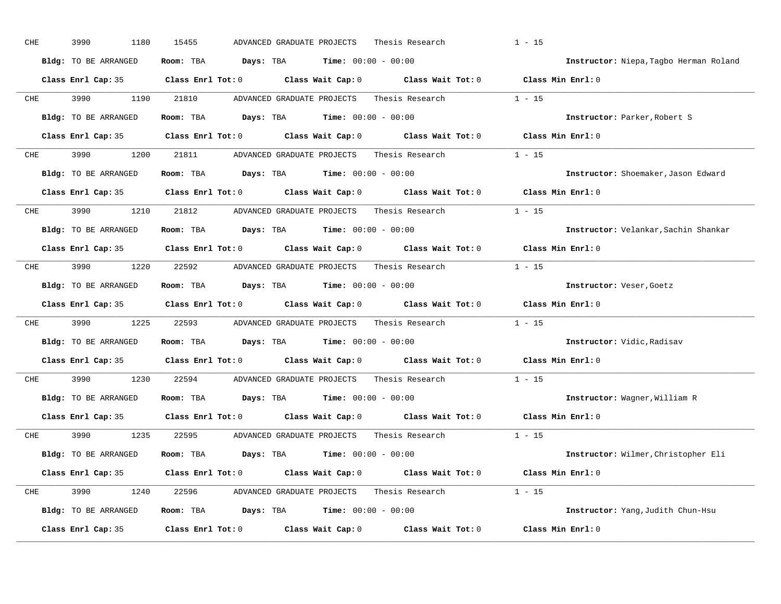| 3990<br>1180                | 15455<br>ADVANCED GRADUATE PROJECTS<br>Thesis Research                           | $1 - 15$                                                                                                                                               |
|-----------------------------|----------------------------------------------------------------------------------|--------------------------------------------------------------------------------------------------------------------------------------------------------|
| Bldg: TO BE ARRANGED        | <b>Time:</b> $00:00 - 00:00$<br>Room: TBA<br>Days: TBA                           | Instructor: Niepa, Tagbo Herman Roland                                                                                                                 |
|                             | Class Enrl Tot: 0 Class Wait Cap: 0                                              | Class Wait Tot: 0 Class Min Enrl: 0                                                                                                                    |
| 3990<br>1190                | 21810<br>ADVANCED GRADUATE PROJECTS<br>Thesis Research                           | $1 - 15$                                                                                                                                               |
| Bldg: TO BE ARRANGED        | <b>Days:</b> TBA <b>Time:</b> $00:00 - 00:00$<br>Room: TBA                       | Instructor: Parker, Robert S                                                                                                                           |
|                             | Class Enrl Tot: $0$ Class Wait Cap: $0$ Class Wait Tot: $0$ Class Min Enrl: $0$  |                                                                                                                                                        |
| 3990<br>1200                | 21811<br>ADVANCED GRADUATE PROJECTS Thesis Research 1 - 15                       |                                                                                                                                                        |
| Bldg: TO BE ARRANGED        | Room: TBA<br>Days: TBA<br><b>Time:</b> $00:00 - 00:00$                           | Instructor: Shoemaker, Jason Edward                                                                                                                    |
|                             | $Class$ $Enr1$ $Tot: 0$<br>Class Wait Cap: 0 Class Wait Tot: 0 Class Min Enrl: 0 |                                                                                                                                                        |
| 3990 7<br>1210              | 21812<br>ADVANCED GRADUATE PROJECTS<br>Thesis Research                           | $1 - 15$                                                                                                                                               |
| Bldg: TO BE ARRANGED        | Room: TBA<br><b>Days:</b> TBA <b>Time:</b> $00:00 - 00:00$                       | Instructor: Velankar, Sachin Shankar                                                                                                                   |
|                             | Class Enrl Tot: 0<br>Class Wait Cap: 0 Class Wait Tot: 0                         | Class Min Enrl: 0                                                                                                                                      |
| 3990<br>1220                | 22592<br>ADVANCED GRADUATE PROJECTS Thesis Research                              | $1 - 15$                                                                                                                                               |
| Bldg: TO BE ARRANGED        | <b>Days:</b> TBA <b>Time:</b> $00:00 - 00:00$<br>Room: TBA                       | Instructor: Veser, Goetz                                                                                                                               |
|                             | Class Enrl Tot: 0 Class Wait Cap: 0 Class Wait Tot: 0                            | Class Min Enrl: 0                                                                                                                                      |
| 3990<br>1225                | 22593<br>ADVANCED GRADUATE PROJECTS Thesis Research                              | $1 - 15$                                                                                                                                               |
| Bldg: TO BE ARRANGED        | <b>Days:</b> TBA <b>Time:</b> $00:00 - 00:00$<br>Room: TBA                       | Instructor: Vidic, Radisav                                                                                                                             |
|                             | Class Enrl Tot: 0 Class Wait Cap: 0<br>Class Wait Tot: 0                         | Class Min Enrl: 0                                                                                                                                      |
| 3990<br>1230                | 22594<br>ADVANCED GRADUATE PROJECTS<br>Thesis Research                           | $1 - 15$                                                                                                                                               |
| <b>Bldg:</b> TO BE ARRANGED | <b>Days:</b> TBA <b>Time:</b> $00:00 - 00:00$<br>Room: TBA                       | Instructor: Wagner, William R                                                                                                                          |
|                             | Class Enrl Tot: 0 Class Wait Cap: 0<br>Class Wait Tot: 0                         | Class Min Enrl: 0                                                                                                                                      |
| 3990<br>1235                | 22595<br>ADVANCED GRADUATE PROJECTS<br>Thesis Research                           | $1 - 15$                                                                                                                                               |
| Bldg: TO BE ARRANGED        | Room: TBA<br>$\texttt{DayS:}$ TBA $\texttt{Time:}$ 00:00 - 00:00                 | Instructor: Wilmer, Christopher Eli                                                                                                                    |
|                             |                                                                                  |                                                                                                                                                        |
| Class Enrl Cap: 35          | Class Enrl Tot: $0$ Class Wait Cap: $0$ Class Wait Tot: $0$ Class Min Enrl: $0$  |                                                                                                                                                        |
| 3990<br>1240                | 22596<br>ADVANCED GRADUATE PROJECTS Thesis Research 1 - 15                       |                                                                                                                                                        |
| Bldg: TO BE ARRANGED        | <b>Days:</b> TBA <b>Time:</b> $00:00 - 00:00$<br>Room: TBA                       | Instructor: Yang, Judith Chun-Hsu                                                                                                                      |
|                             |                                                                                  | Class Enrl Cap: 35<br>Class Enrl Cap: 35<br>Class Enrl Cap: 35<br>Class Enrl Cap: 35<br>Class Enrl Cap: 35<br>Class Enrl Cap: 35<br>Class Enrl Cap: 35 |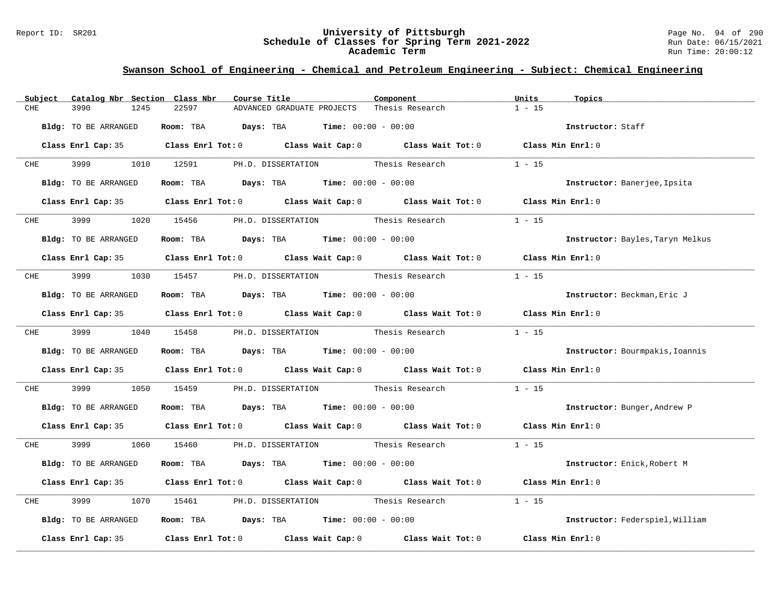#### Report ID: SR201 **University of Pittsburgh** Page No. 94 of 290 **Schedule of Classes for Spring Term 2021-2022** Run Date: 06/15/2021 **Academic Term** Run Time: 20:00:12

| Catalog Nbr Section Class Nbr<br>Subject | Course Title                                                                               | Component       | Units<br>Topics                  |
|------------------------------------------|--------------------------------------------------------------------------------------------|-----------------|----------------------------------|
| <b>CHE</b><br>3990<br>1245               | 22597<br>ADVANCED GRADUATE PROJECTS                                                        | Thesis Research | $1 - 15$                         |
| Bldg: TO BE ARRANGED                     | Room: TBA $Days:$ TBA $Time: 00:00 - 00:00$                                                |                 | Instructor: Staff                |
|                                          | Class Enrl Cap: 35 Class Enrl Tot: 0 Class Wait Cap: 0 Class Wait Tot: 0 Class Min Enrl: 0 |                 |                                  |
| CHE 3999                                 | 1010 12591<br>PH.D. DISSERTATION Thesis Research                                           |                 | $1 - 15$                         |
| Bldg: TO BE ARRANGED                     | Room: TBA $Days:$ TBA $Time: 00:00 - 00:00$                                                |                 | Instructor: Banerjee, Ipsita     |
|                                          | Class Enrl Cap: 35 Class Enrl Tot: 0 Class Wait Cap: 0 Class Wait Tot: 0 Class Min Enrl: 0 |                 |                                  |
| CHE 3999                                 | 1020 15456 PH.D. DISSERTATION Thesis Research                                              |                 | $1 - 15$                         |
| Bldg: TO BE ARRANGED                     | Room: TBA $Days:$ TBA $Time: 00:00 - 00:00$                                                |                 | Instructor: Bayles, Taryn Melkus |
|                                          | Class Enrl Cap: 35 Class Enrl Tot: 0 Class Wait Cap: 0 Class Wait Tot: 0 Class Min Enrl: 0 |                 |                                  |
| CHE 3999                                 | 1030 15457 PH.D. DISSERTATION Thesis Research                                              |                 | $1 - 15$                         |
| Bldg: TO BE ARRANGED                     | Room: TBA $Days:$ TBA $Time: 00:00 - 00:00$                                                |                 | Instructor: Beckman, Eric J      |
|                                          | Class Enrl Cap: 35 Class Enrl Tot: 0 Class Wait Cap: 0 Class Wait Tot: 0 Class Min Enrl: 0 |                 |                                  |
|                                          | CHE 3999 1040 15458 PH.D. DISSERTATION Thesis Research                                     |                 | $1 - 15$                         |
| Bldg: TO BE ARRANGED                     | Room: TBA $Days:$ TBA $Time: 00:00 - 00:00$                                                |                 | Instructor: Bourmpakis, Ioannis  |
|                                          | Class Enrl Cap: 35 Class Enrl Tot: 0 Class Wait Cap: 0 Class Wait Tot: 0 Class Min Enrl: 0 |                 |                                  |
| 3999<br>CHE                              | 1050 15459 PH.D. DISSERTATION Thesis Research                                              |                 | $1 - 15$                         |
| Bldg: TO BE ARRANGED                     | Room: TBA $Days:$ TBA $Time: 00:00 - 00:00$                                                |                 | Instructor: Bunger, Andrew P     |
|                                          | Class Enrl Cap: 35 Class Enrl Tot: 0 Class Wait Cap: 0 Class Wait Tot: 0 Class Min Enrl: 0 |                 |                                  |
| CHE 3999                                 | 1060 15460 PH.D. DISSERTATION Thesis Research 1 - 15                                       |                 |                                  |
| Bldg: TO BE ARRANGED                     | Room: TBA $Days:$ TBA $Time: 00:00 - 00:00$                                                |                 | Instructor: Enick, Robert M      |
|                                          | Class Enrl Cap: 35 Class Enrl Tot: 0 Class Wait Cap: 0 Class Wait Tot: 0 Class Min Enrl: 0 |                 |                                  |
| 3999<br>CHE                              | 1070 15461 PH.D. DISSERTATION Thesis Research                                              |                 | $1 - 15$                         |
| Bldg: TO BE ARRANGED                     | Room: TBA $Days:$ TBA $Time: 00:00 - 00:00$                                                |                 | Instructor: Federspiel, William  |
|                                          | Class Enrl Cap: 35 Class Enrl Tot: 0 Class Wait Cap: 0 Class Wait Tot: 0 Class Min Enrl: 0 |                 |                                  |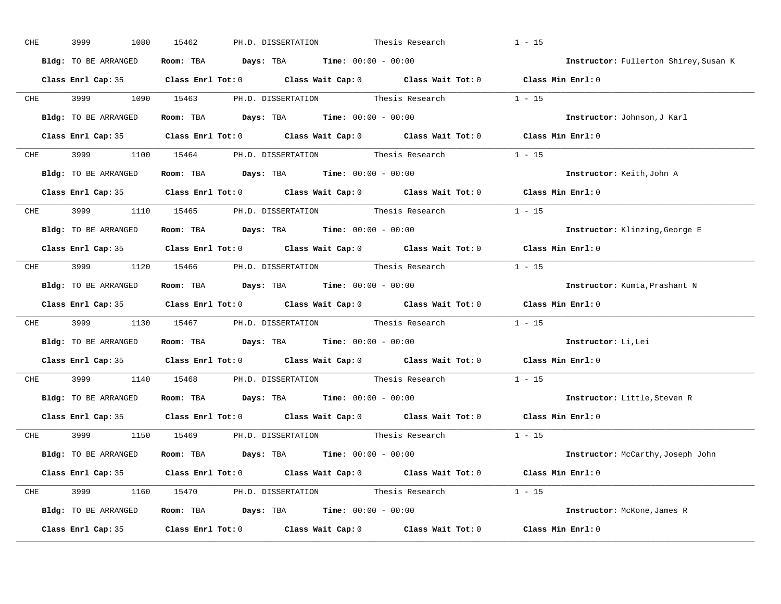| CHE        | 3999<br>1080         | 15462<br>PH.D. DISSERTATION                                                                         | Thesis Research                           | $1 - 15$                              |
|------------|----------------------|-----------------------------------------------------------------------------------------------------|-------------------------------------------|---------------------------------------|
|            | Bldg: TO BE ARRANGED | Room: TBA $Days:$ TBA $Time: 00:00 - 00:00$                                                         |                                           | Instructor: Fullerton Shirey, Susan K |
|            |                      | Class Enrl Cap: 35 Class Enrl Tot: 0 Class Wait Cap: 0 Class Wait Tot: 0 Class Min Enrl: 0          |                                           |                                       |
|            | CHE 3999             | 1090 15463                                                                                          | PH.D. DISSERTATION Thesis Research 1 - 15 |                                       |
|            | Bldg: TO BE ARRANGED | Room: TBA $\rule{1em}{0.15mm}$ Days: TBA $\rule{1.5mm}{0.15mm}$ Time: $00:00 - 00:00$               |                                           | Instructor: Johnson, J Karl           |
|            |                      | Class Enrl Cap: 35 Class Enrl Tot: 0 Class Wait Cap: 0 Class Wait Tot: 0 Class Min Enrl: 0          |                                           |                                       |
| CHE        |                      | 3999 1100 15464 PH.D. DISSERTATION Thesis Research 1 - 15                                           |                                           |                                       |
|            |                      | <b>Bldg:</b> TO BE ARRANGED <b>ROOM:</b> TBA <b>Days:</b> TBA <b>Time:</b> $00:00 - 00:00$          |                                           | Instructor: Keith, John A             |
|            |                      | Class Enrl Cap: 35 Class Enrl Tot: 0 Class Wait Cap: 0 Class Wait Tot: 0 Class Min Enrl: 0          |                                           |                                       |
|            |                      | CHE 3999 1110 15465 PH.D. DISSERTATION Thesis Research 1 - 15                                       |                                           |                                       |
|            | Bldg: TO BE ARRANGED | Room: TBA $\rule{1em}{0.15mm}$ Days: TBA Time: $00:00 - 00:00$                                      |                                           | Instructor: Klinzing, George E        |
|            |                      | Class Enrl Cap: 35 Class Enrl Tot: 0 Class Wait Cap: 0 Class Wait Tot: 0 Class Min Enrl: 0          |                                           |                                       |
|            |                      | CHE 3999 1120 15466 PH.D. DISSERTATION Thesis Research 1 - 15                                       |                                           |                                       |
|            | Bldg: TO BE ARRANGED | Room: TBA $\rule{1em}{0.15mm}$ Days: TBA $\rule{1.15mm}]{0.15mm}$ Time: $0.000 - 0.000$             |                                           | Instructor: Kumta, Prashant N         |
|            |                      | Class Enrl Cap: 35 Class Enrl Tot: 0 Class Wait Cap: 0 Class Wait Tot: 0 Class Min Enrl: 0          |                                           |                                       |
| CHE        |                      | 3999 1130 15467 PH.D. DISSERTATION Thesis Research 1 - 15                                           |                                           |                                       |
|            | Bldg: TO BE ARRANGED | Room: TBA $Days:$ TBA $Time:$ 00:00 - 00:00                                                         |                                           | Instructor: Li, Lei                   |
|            |                      | Class Enrl Cap: 35 Class Enrl Tot: 0 Class Wait Cap: 0 Class Wait Tot: 0 Class Min Enrl: 0          |                                           |                                       |
| <b>CHE</b> | 3999 7               | 1140 15468                                                                                          | PH.D. DISSERTATION Thesis Research 1 - 15 |                                       |
|            | Bldg: TO BE ARRANGED | Room: TBA $Days:$ TBA Time: $00:00 - 00:00$                                                         |                                           | Instructor: Little, Steven R          |
|            |                      | Class Enrl Cap: 35 Class Enrl Tot: 0 Class Wait Cap: 0 Class Wait Tot: 0 Class Min Enrl: 0          |                                           |                                       |
|            |                      | CHE 3999 1150 15469 PH.D. DISSERTATION Thesis Research 1 - 15                                       |                                           |                                       |
|            | Bldg: TO BE ARRANGED | Room: TBA $\rule{1em}{0.15mm}$ Days: TBA $\rule{1.15mm}]{0.15mm}$ Time: $0.000 - 0.000$             |                                           | Instructor: McCarthy, Joseph John     |
|            |                      | Class Enrl Cap: 35 Class Enrl Tot: 0 Class Wait Cap: 0 Class Wait Tot: 0 Class Min Enrl: 0          |                                           |                                       |
|            |                      | CHE 3999 1160 15470 PH.D. DISSERTATION Thesis Research 1 - 15                                       |                                           |                                       |
|            | Bldg: TO BE ARRANGED | Room: TBA $\rule{1em}{0.15mm}$ Days: TBA Time: $00:00 - 00:00$                                      |                                           | Instructor: McKone, James R           |
|            |                      | Class Enrl Cap: 35 $\qquad$ Class Enrl Tot: 0 $\qquad$ Class Wait Cap: 0 $\qquad$ Class Wait Tot: 0 |                                           | Class Min Enrl: 0                     |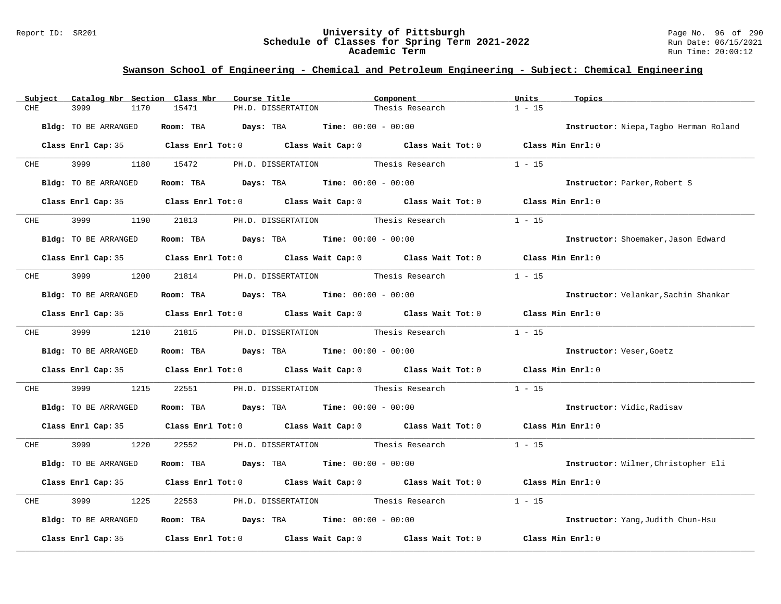#### Report ID: SR201 **University of Pittsburgh** Page No. 96 of 290 **Schedule of Classes for Spring Term 2021-2022** Run Date: 06/15/2021 **Academic Term** Run Time: 20:00:12

| Catalog Nbr Section Class Nbr<br>Subject | Course Title                                                                                        | Component                          | Units<br>Topics                        |
|------------------------------------------|-----------------------------------------------------------------------------------------------------|------------------------------------|----------------------------------------|
| CHE<br>3999<br>1170                      | 15471<br>PH.D. DISSERTATION                                                                         | Thesis Research                    | $1 - 15$                               |
| Bldg: TO BE ARRANGED                     | Room: TBA $Days:$ TBA $Time: 00:00 - 00:00$                                                         |                                    | Instructor: Niepa, Tagbo Herman Roland |
|                                          | Class Enrl Cap: 35 Class Enrl Tot: 0 Class Wait Cap: 0 Class Wait Tot: 0 Class Min Enrl: 0          |                                    |                                        |
| 3999 700<br><b>CHE</b>                   | 1180 15472<br>PH.D. DISSERTATION                                                                    | Thesis Research                    | $1 - 15$                               |
| Bldg: TO BE ARRANGED                     | Room: TBA $Days: TBA$ Time: $00:00 - 00:00$                                                         |                                    | Instructor: Parker, Robert S           |
|                                          | Class Enrl Cap: 35 Class Enrl Tot: 0 Class Wait Cap: 0 Class Wait Tot: 0 Class Min Enrl: 0          |                                    |                                        |
| 3999 700<br><b>CHE</b>                   | 1190 21813 PH.D. DISSERTATION Thesis Research                                                       |                                    | $1 - 15$                               |
| Bldg: TO BE ARRANGED                     | Room: TBA $\rule{1em}{0.15mm}$ Days: TBA $\rule{1.15mm}]{0.15mm}$ Time: $00:00 - 00:00$             |                                    | Instructor: Shoemaker, Jason Edward    |
|                                          | Class Enrl Cap: 35 $\qquad$ Class Enrl Tot: 0 $\qquad$ Class Wait Cap: 0 $\qquad$ Class Wait Tot: 0 |                                    | Class Min Enrl: 0                      |
| CHE 3999                                 | 1200 21814 PH.D. DISSERTATION Thesis Research                                                       |                                    | $1 - 15$                               |
| Bldg: TO BE ARRANGED                     | Room: TBA $Days:$ TBA $Time: 00:00 - 00:00$                                                         |                                    | Instructor: Velankar, Sachin Shankar   |
|                                          | Class Enrl Cap: 35 Class Enrl Tot: 0 Class Wait Cap: 0 Class Wait Tot: 0 Class Min Enrl: 0          |                                    |                                        |
| CHE 3999                                 | 1210 21815 PH.D. DISSERTATION Thesis Research                                                       |                                    | $1 - 15$                               |
| Bldg: TO BE ARRANGED                     | Room: TBA $Days: TBA$ Time: $00:00 - 00:00$                                                         |                                    | Instructor: Veser, Goetz               |
|                                          | Class Enrl Cap: 35 Class Enrl Tot: 0 Class Wait Cap: 0 Class Wait Tot: 0 Class Min Enrl: 0          |                                    |                                        |
| 3999<br>CHE<br>1215                      | 22551                                                                                               | PH.D. DISSERTATION Thesis Research | $1 - 15$                               |
| Bldg: TO BE ARRANGED                     | Room: TBA $Days:$ TBA $Time: 00:00 - 00:00$                                                         |                                    | Instructor: Vidic, Radisav             |
|                                          | Class Enrl Cap: 35 Class Enrl Tot: 0 Class Wait Cap: 0 Class Wait Tot: 0 Class Min Enrl: 0          |                                    |                                        |
| CHE 3999<br>1220                         | 22552 PH.D. DISSERTATION Thesis Research                                                            |                                    | $1 - 15$                               |
| Bldg: TO BE ARRANGED                     | Room: TBA $Days:$ TBA $Time: 00:00 - 00:00$                                                         |                                    | Instructor: Wilmer, Christopher Eli    |
|                                          | Class Enrl Cap: 35 Class Enrl Tot: 0 Class Wait Cap: 0 Class Wait Tot: 0                            |                                    | Class Min Enrl: 0                      |
| 3999<br>CHE<br>1225                      | 22553                                                                                               | PH.D. DISSERTATION Thesis Research | $1 - 15$                               |
| Bldg: TO BE ARRANGED                     | Room: TBA $Days:$ TBA $Time: 00:00 - 00:00$                                                         |                                    | Instructor: Yang, Judith Chun-Hsu      |
| Class Enrl Cap: 35                       | Class Enrl Tot: $0$ Class Wait Cap: $0$ Class Wait Tot: $0$                                         |                                    | Class Min Enrl: 0                      |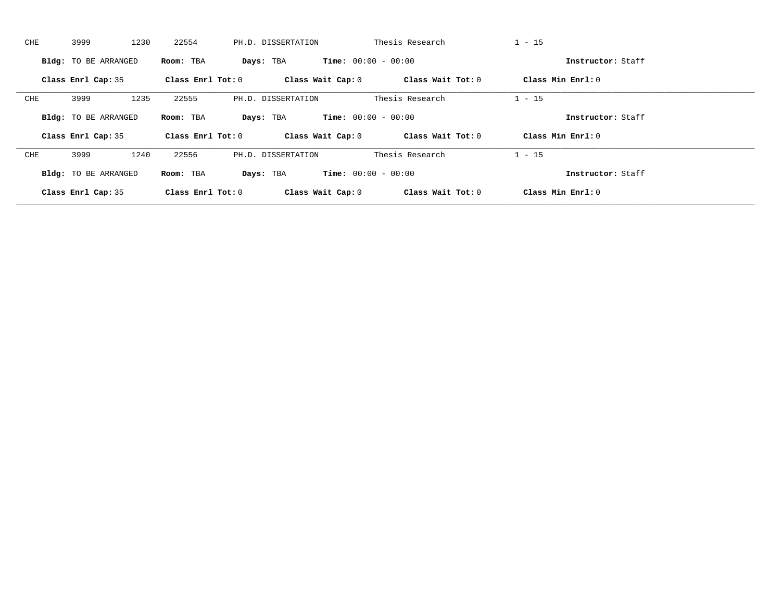| CHE | 1230<br>3999                | 22554               | PH.D. DISSERTATION                        | Thesis Research   | $1 - 15$            |  |
|-----|-----------------------------|---------------------|-------------------------------------------|-------------------|---------------------|--|
|     | <b>Bldg:</b> TO BE ARRANGED | Room: TBA           | <b>Time:</b> $00:00 - 00:00$<br>Days: TBA |                   | Instructor: Staff   |  |
|     | Class Enrl Cap: 35          | Class Enrl Tot: $0$ | Class Wait Cap: 0                         | Class Wait Tot: 0 | Class Min Enrl: 0   |  |
| CHE | 1235<br>3999                | 22555               | PH.D. DISSERTATION                        | Thesis Research   | $1 - 15$            |  |
|     | <b>Bldg:</b> TO BE ARRANGED | Room: TBA           | <b>Time:</b> $00:00 - 00:00$<br>Days: TBA |                   | Instructor: Staff   |  |
|     | Class Enrl Cap: 35          | Class Enrl Tot: $0$ | Class Wait Cap: 0                         | Class Wait Tot: 0 | Class Min $Enrl: 0$ |  |
|     |                             |                     |                                           |                   |                     |  |
| CHE | 3999<br>1240                | 22556               | PH.D. DISSERTATION                        | Thesis Research   | $1 - 15$            |  |
|     | Bldg: TO BE ARRANGED        | Room: TBA           | <b>Time:</b> $00:00 - 00:00$<br>Days: TBA |                   | Instructor: Staff   |  |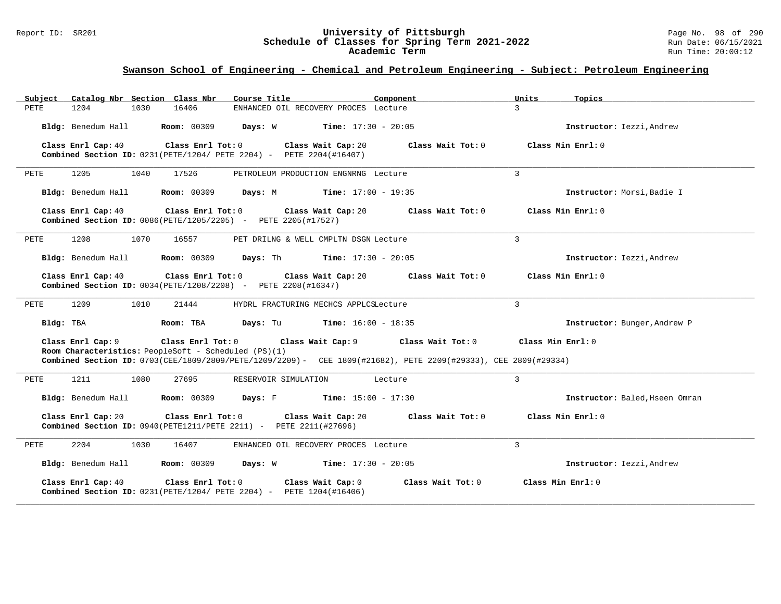#### Report ID: SR201 **University of Pittsburgh** Page No. 98 of 290 **Schedule of Classes for Spring Term 2021-2022** Run Date: 06/15/2021 **Academic Term** Run Time: 20:00:12

| Subject Catalog Nbr Section Class Nbr<br>Course Title<br>Component                                                                                                     | Units<br>Topics                        |
|------------------------------------------------------------------------------------------------------------------------------------------------------------------------|----------------------------------------|
| PETE<br>1204<br>1030<br>16406<br>ENHANCED OIL RECOVERY PROCES Lecture                                                                                                  | $\mathcal{L}$                          |
| <b>Days:</b> W <b>Time:</b> $17:30 - 20:05$<br>Bldg: Benedum Hall<br><b>Room: 00309</b>                                                                                | Instructor: Iezzi, Andrew              |
| Class Enrl Cap: 40<br>Class Enrl Tot: 0<br>Class Wait Cap: 20<br>Combined Section ID: 0231 (PETE/1204/ PETE 2204) - PETE 2204 (#16407)                                 | Class Min Enrl: 0<br>Class Wait Tot: 0 |
| 1205<br>1040<br>17526<br>PETE<br>PETROLEUM PRODUCTION ENGNRNG Lecture                                                                                                  | 3                                      |
| Room: 00309<br>Bldg: Benedum Hall<br><b>Time:</b> $17:00 - 19:35$<br>Days: M                                                                                           | Instructor: Morsi, Badie I             |
| Class Enrl Cap: 40<br>Class Enrl Tot: 0<br>Class Wait Cap: 20<br>Combined Section ID: 0086(PETE/1205/2205) - PETE 2205(#17527)                                         | Class Wait Tot: 0<br>Class Min Enrl: 0 |
| 1070<br>PETE<br>1208<br>16557<br>PET DRILNG & WELL CMPLTN DSGN Lecture                                                                                                 | 3                                      |
| Bldg: Benedum Hall<br><b>Room: 00309</b><br><b>Days:</b> Th <b>Time:</b> $17:30 - 20:05$                                                                               | Instructor: Iezzi, Andrew              |
| Class Enrl Cap: 40<br>Class Enrl Tot: 0 Class Wait Cap: 20<br>Combined Section ID: 0034(PETE/1208/2208) - PETE 2208(#16347)                                            | Class Wait Tot: 0<br>Class Min Enrl: 0 |
| 1209<br>1010<br>21444<br>PETE<br>HYDRL FRACTURING MECHCS APPLCSLecture                                                                                                 | 3                                      |
| Room: TBA<br><b>Days:</b> Tu <b>Time:</b> $16:00 - 18:35$<br>Bldg: TBA                                                                                                 | Instructor: Bunger, Andrew P           |
| Class Enrl Cap: 9<br>Class Enrl Tot: 0<br>Class Wait Cap: 9                                                                                                            | Class Min Enrl: 0<br>Class Wait Tot: 0 |
| Room Characteristics: PeopleSoft - Scheduled (PS)(1)<br>Combined Section ID: 0703(CEE/1809/2809/PETE/1209/2209)- CEE 1809(#21682), PETE 2209(#29333), CEE 2809(#29334) |                                        |
| 1211<br>1080<br>27695<br>RESERVOIR SIMULATION<br>Lecture<br>PETE                                                                                                       | $\overline{3}$                         |
| Bldg: Benedum Hall<br><b>Room:</b> 00309 <b>Days:</b> F <b>Time:</b> $15:00 - 17:30$                                                                                   | Instructor: Baled, Hseen Omran         |
| Class Enrl Cap: 20<br>Class Enrl Tot: 0<br>Class Wait Cap: 20<br>Combined Section ID: 0940(PETE1211/PETE 2211) - PETE 2211(#27696)                                     | Class Wait Tot: 0<br>Class Min Enrl: 0 |
| PETE<br>2204<br>1030<br>16407<br>ENHANCED OIL RECOVERY PROCES Lecture                                                                                                  | 3                                      |
| Bldg: Benedum Hall<br><b>Room:</b> 00309 <b>Days:</b> W <b>Time:</b> $17:30 - 20:05$                                                                                   | Instructor: Iezzi, Andrew              |
| Class Enrl Cap: 40<br>Class Enrl Tot: 0<br>Class Wait Cap: 0<br><b>Combined Section ID:</b> $0231(PETE/1204/PETE 2204)$ - PETE $1204(H16406)$                          | Class Wait Tot: 0<br>Class Min Enrl: 0 |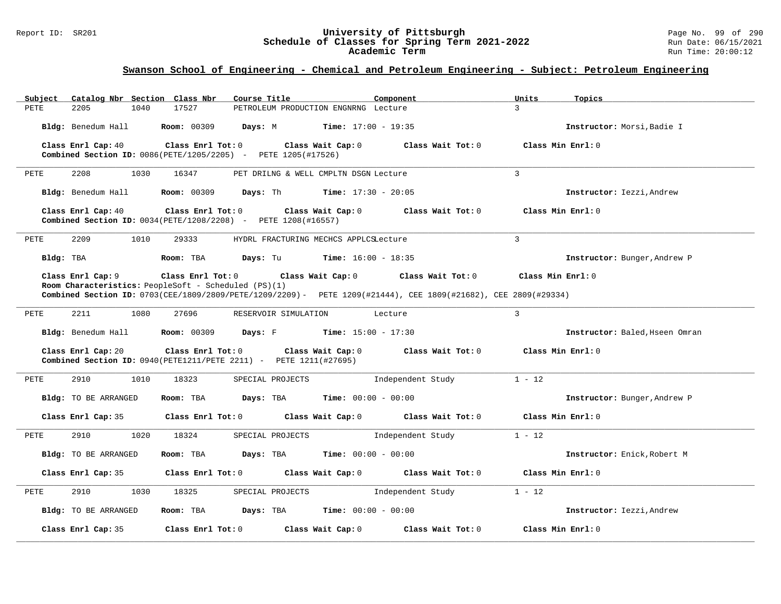#### Report ID: SR201 **University of Pittsburgh** Page No. 99 of 290 **Schedule of Classes for Spring Term 2021-2022** Run Date: 06/15/2021 **Academic Term** Run Time: 20:00:12

| Catalog Nbr Section Class Nbr<br>Subject | Course Title                                                                                                                                                                                                   | Units<br>Component            | Topics                         |
|------------------------------------------|----------------------------------------------------------------------------------------------------------------------------------------------------------------------------------------------------------------|-------------------------------|--------------------------------|
| 2205<br>1040<br>PETE                     | 17527<br>PETROLEUM PRODUCTION ENGNRNG Lecture                                                                                                                                                                  | $\mathcal{L}$                 |                                |
|                                          | Bldg: Benedum Hall $\blacksquare$ Room: 00309 Days: M Time: 17:00 - 19:35                                                                                                                                      |                               | Instructor: Morsi, Badie I     |
| Class Enrl Cap: 40                       | Class Enrl Tot: 0<br>Class Wait Cap: 0<br><b>Combined Section ID:</b> 0086(PETE/1205/2205) - PETE 1205(#17526)                                                                                                 | Class Wait Tot: 0             | Class Min $Err1:0$             |
| 2208<br>1030<br>PETE                     | 16347<br>PET DRILNG & WELL CMPLTN DSGN Lecture                                                                                                                                                                 | $\mathcal{L}$                 |                                |
|                                          | Bldg: Benedum Hall <b>Room:</b> 00309 <b>Days:</b> Th <b>Time:</b> 17:30 - 20:05                                                                                                                               |                               | Instructor: Iezzi, Andrew      |
| Class Enrl Cap: 40                       | Class Enrl Tot: $0$<br>Class Wait Cap: 0<br><b>Combined Section ID:</b> $0034(PETE/1208/2208)$ - PETE $1208(#16557)$                                                                                           | Class Wait Tot: $0$           | Class Min Enrl: 0              |
| 2209<br>1010<br>PETE                     | 29333<br>HYDRL FRACTURING MECHCS APPLCSLecture                                                                                                                                                                 | $\overline{3}$                |                                |
| Bldg: TBA                                | Room: TBA<br><b>Days:</b> Tu <b>Time:</b> $16:00 - 18:35$                                                                                                                                                      |                               | Instructor: Bunger, Andrew P   |
| Class Enrl Cap: 9                        | Class Enrl Tot: 0 Class Wait Cap: 0<br>Room Characteristics: PeopleSoft - Scheduled (PS)(1)<br>Combined Section ID: 0703(CEE/1809/2809/PETE/1209/2209) - PETE 1209(#21444), CEE 1809(#21682), CEE 2809(#29334) | Class Wait Tot: $0$           | Class Min Enrl: 0              |
| 2211<br>1080<br>PETE                     | 27696<br>RESERVOIR SIMULATION                                                                                                                                                                                  | $\mathcal{L}$<br>Lecture      |                                |
|                                          | Bldg: Benedum Hall <b>Room:</b> 00309 <b>Days:</b> F <b>Time:</b> $15:00 - 17:30$                                                                                                                              |                               | Instructor: Baled, Hseen Omran |
| Class Enrl Cap: 20                       | Class Enrl Tot: 0 Class Wait Cap: 0<br>Combined Section ID: 0940(PETE1211/PETE 2211) - PETE 1211(#27695)                                                                                                       | Class Wait Tot: $0$           | Class Min Enrl: 0              |
| 2910<br>PETE<br>1010                     | 18323<br>SPECIAL PROJECTS                                                                                                                                                                                      | $1 - 12$<br>Independent Study |                                |
| Bldg: TO BE ARRANGED                     | Room: TBA Days: TBA<br><b>Time:</b> $00:00 - 00:00$                                                                                                                                                            |                               | Instructor: Bunger, Andrew P   |
| Class Enrl Cap: 35                       | Class Enrl Tot: 0 Class Wait Cap: 0 Class Wait Tot: 0                                                                                                                                                          |                               | Class Min Enrl: 0              |
| 1020<br>PETE<br>2910                     | 18324<br>SPECIAL PROJECTS                                                                                                                                                                                      | $1 - 12$<br>Independent Study |                                |
| Bldg: TO BE ARRANGED                     | Room: TBA<br>Days: TBA<br><b>Time:</b> $00:00 - 00:00$                                                                                                                                                         |                               | Instructor: Enick, Robert M    |
| Class Enrl Cap: 35                       | Class Enrl Tot: $0$ Class Wait Cap: $0$ Class Wait Tot: $0$                                                                                                                                                    |                               | Class Min Enrl: 0              |
| 2910<br>1030<br>PETE                     | 18325<br>SPECIAL PROJECTS                                                                                                                                                                                      | Independent Study<br>$1 - 12$ |                                |
| Bldg: TO BE ARRANGED                     | Room: TBA Days: TBA<br><b>Time:</b> $00:00 - 00:00$                                                                                                                                                            |                               | Instructor: Iezzi, Andrew      |
| Class Enrl Cap: 35                       | Class Enrl Tot: 0 Class Wait Cap: 0                                                                                                                                                                            | Class Wait Tot: 0             | Class Min Enrl: 0              |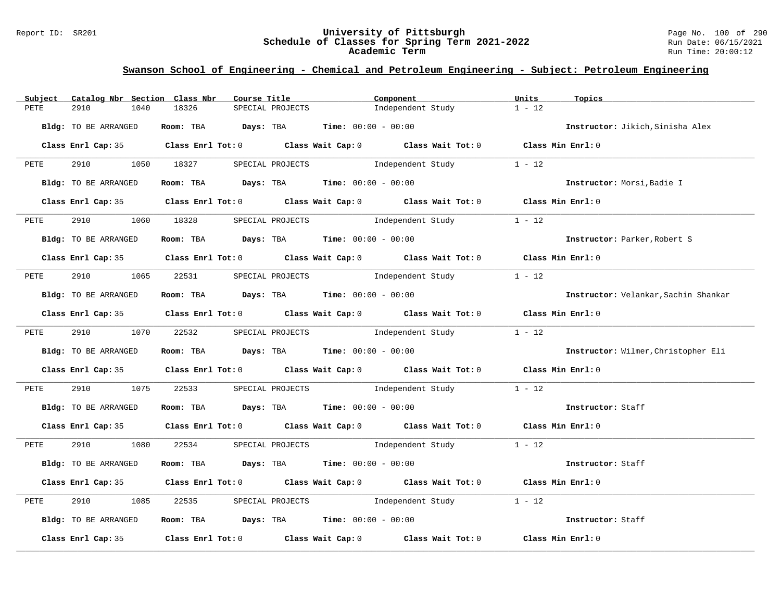#### Report ID: SR201 **University of Pittsburgh** Page No. 100 of 290 **Schedule of Classes for Spring Term 2021-2022** Run Date: 06/15/2021 **Academic Term** Run Time: 20:00:12

|      | Subject Catalog Nbr Section Class Nbr | Course Title                                  |                                          | Component                                                                                  | Units<br>Topics                      |  |
|------|---------------------------------------|-----------------------------------------------|------------------------------------------|--------------------------------------------------------------------------------------------|--------------------------------------|--|
| PETE | 2910<br>1040                          | 18326                                         | SPECIAL PROJECTS                         | Independent Study                                                                          | $1 - 12$                             |  |
|      | Bldg: TO BE ARRANGED                  | Room: TBA $Days:$ TBA $Time: 00:00 - 00:00$   |                                          |                                                                                            | Instructor: Jikich, Sinisha Alex     |  |
|      |                                       |                                               |                                          | Class Enrl Cap: 35 Class Enrl Tot: 0 Class Wait Cap: 0 Class Wait Tot: 0 Class Min Enrl: 0 |                                      |  |
| PETE |                                       |                                               |                                          | 2910 1050 18327 SPECIAL PROJECTS Independent Study 1 - 12                                  |                                      |  |
|      | Bldg: TO BE ARRANGED                  | Room: TBA $Days:$ TBA $Time: 00:00 - 00:00$   |                                          |                                                                                            | Instructor: Morsi, Badie I           |  |
|      |                                       |                                               |                                          | Class Enrl Cap: 35 Class Enrl Tot: 0 Class Wait Cap: 0 Class Wait Tot: 0 Class Min Enrl: 0 |                                      |  |
| PETE | 2910                                  | 1060 18328 SPECIAL PROJECTS                   |                                          | Independent Study                                                                          | $1 - 12$                             |  |
|      | Bldg: TO BE ARRANGED                  | Room: TBA $Days:$ TBA $Time: 00:00 - 00:00$   |                                          |                                                                                            | Instructor: Parker, Robert S         |  |
|      |                                       |                                               |                                          | Class Enrl Cap: 35 Class Enrl Tot: 0 Class Wait Cap: 0 Class Wait Tot: 0 Class Min Enrl: 0 |                                      |  |
|      |                                       | PETE 2910 1065 22531 SPECIAL PROJECTS         |                                          | Independent Study                                                                          | $1 - 12$                             |  |
|      | Bldg: TO BE ARRANGED                  | Room: TBA $Days:$ TBA $Time: 00:00 - 00:00$   |                                          |                                                                                            | Instructor: Velankar, Sachin Shankar |  |
|      |                                       |                                               |                                          | Class Enrl Cap: 35 Class Enrl Tot: 0 Class Wait Cap: 0 Class Wait Tot: 0 Class Min Enrl: 0 |                                      |  |
|      |                                       |                                               |                                          | PETE 2910 1070 22532 SPECIAL PROJECTS Independent Study 1 - 12                             |                                      |  |
|      | Bldg: TO BE ARRANGED                  | Room: TBA $Days:$ TBA $Time: 00:00 - 00:00$   |                                          |                                                                                            | Instructor: Wilmer, Christopher Eli  |  |
|      |                                       |                                               |                                          | Class Enrl Cap: 35 Class Enrl Tot: 0 Class Wait Cap: 0 Class Wait Tot: 0 Class Min Enrl: 0 |                                      |  |
| PETE | 2910                                  |                                               |                                          | 1075 22533 SPECIAL PROJECTS Independent Study 1 - 12                                       |                                      |  |
|      | Bldg: TO BE ARRANGED                  | Room: TBA $Days:$ TBA $Time:$ $00:00 - 00:00$ |                                          |                                                                                            | Instructor: Staff                    |  |
|      |                                       |                                               |                                          | Class Enrl Cap: 35 Class Enrl Tot: 0 Class Wait Cap: 0 Class Wait Tot: 0 Class Min Enrl: 0 |                                      |  |
|      |                                       |                                               |                                          | PETE 2910 1080 22534 SPECIAL PROJECTS Independent Study 1 - 12                             |                                      |  |
|      | Bldg: TO BE ARRANGED                  | Room: TBA $Days:$ TBA $Time: 00:00 - 00:00$   |                                          |                                                                                            | Instructor: Staff                    |  |
|      |                                       |                                               |                                          | Class Enrl Cap: 35 Class Enrl Tot: 0 Class Wait Cap: 0 Class Wait Tot: 0 Class Min Enrl: 0 |                                      |  |
| PETE | 2910<br>1085                          |                                               | 22535 SPECIAL PROJECTS 1ndependent Study |                                                                                            | $1 - 12$                             |  |
|      | Bldg: TO BE ARRANGED                  | Room: TBA $Days:$ TBA $Time: 00:00 - 00:00$   |                                          |                                                                                            | Instructor: Staff                    |  |
|      |                                       |                                               |                                          | Class Enrl Cap: 35 Class Enrl Tot: 0 Class Wait Cap: 0 Class Wait Tot: 0 Class Min Enrl: 0 |                                      |  |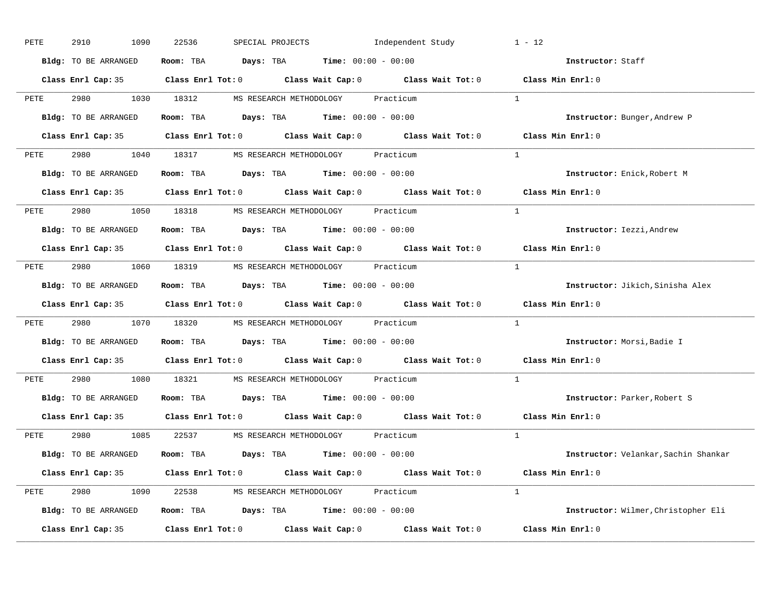| PETE | 2910<br>1090         | 22536<br>SPECIAL PROJECTS<br>Independent Study                                             | $1 - 12$                             |
|------|----------------------|--------------------------------------------------------------------------------------------|--------------------------------------|
|      | Bldg: TO BE ARRANGED | Room: TBA $Days:$ TBA $Time: 00:00 - 00:00$                                                | Instructor: Staff                    |
|      |                      | Class Enrl Cap: 35 Class Enrl Tot: 0 Class Wait Cap: 0 Class Wait Tot: 0 Class Min Enrl: 0 |                                      |
| PETE |                      | 2980 1030 18312 MS RESEARCH METHODOLOGY Practicum                                          | $\overline{1}$                       |
|      | Bldg: TO BE ARRANGED | Room: TBA $\rule{1em}{0.15mm}$ Days: TBA Time: $00:00 - 00:00$                             | Instructor: Bunger, Andrew P         |
|      |                      | Class Enrl Cap: 35 Class Enrl Tot: 0 Class Wait Cap: 0 Class Wait Tot: 0 Class Min Enrl: 0 |                                      |
|      |                      | PETE 2980 1040 18317 MS RESEARCH METHODOLOGY Practicum                                     | $\overline{1}$                       |
|      | Bldg: TO BE ARRANGED | Room: TBA Days: TBA Time: $00:00 - 00:00$                                                  | Instructor: Enick, Robert M          |
|      |                      | Class Enrl Cap: 35 Class Enrl Tot: 0 Class Wait Cap: 0 Class Wait Tot: 0 Class Min Enrl: 0 |                                      |
|      |                      | PETE 2980 1050 18318 MS RESEARCH METHODOLOGY Practicum                                     | $\mathbf{1}$                         |
|      | Bldg: TO BE ARRANGED | Room: TBA $\rule{1em}{0.15mm}$ Days: TBA $\rule{1.15mm}]{0.15mm}$ Time: $0.000 - 0.0000$   | Instructor: Iezzi, Andrew            |
|      |                      | Class Enrl Cap: 35 Class Enrl Tot: 0 Class Wait Cap: 0 Class Wait Tot: 0                   | Class Min Enrl: 0                    |
|      |                      | PETE 2980 1060 18319 MS RESEARCH METHODOLOGY Practicum                                     | $\mathbf{1}$                         |
|      | Bldg: TO BE ARRANGED | Room: TBA Days: TBA Time: $00:00 - 00:00$                                                  | Instructor: Jikich, Sinisha Alex     |
|      |                      | Class Enrl Cap: 35 Class Enrl Tot: 0 Class Wait Cap: 0 Class Wait Tot: 0                   | Class Min Enrl: 0                    |
| PETE |                      | 2980 1070 18320 MS RESEARCH METHODOLOGY Practicum                                          | $\mathbf{1}$                         |
|      | Bldg: TO BE ARRANGED | Room: TBA $Days:$ TBA Time: $00:00 - 00:00$                                                | Instructor: Morsi, Badie I           |
|      |                      | Class Enrl Cap: 35 Class Enrl Tot: 0 Class Wait Cap: 0 Class Wait Tot: 0                   | $Class$ Min $Enrl: 0$                |
| PETE |                      | 2980 1080 18321 MS RESEARCH METHODOLOGY Practicum                                          | $\mathbf{1}$                         |
|      | Bldg: TO BE ARRANGED | Room: TBA $\rule{1em}{0.15mm}$ Days: TBA $\rule{1.15mm}]{0.15mm}$ Time: $0.000 - 0.0000$   | Instructor: Parker, Robert S         |
|      |                      | Class Enrl Cap: 35 Class Enrl Tot: 0 Class Wait Cap: 0 Class Wait Tot: 0                   | Class Min Enrl: 0                    |
|      |                      | PETE 2980 1085 22537 MS RESEARCH METHODOLOGY Practicum                                     | $\overline{1}$                       |
|      | Bldg: TO BE ARRANGED | Room: TBA $\rule{1em}{0.15mm}$ Days: TBA Time: $00:00 - 00:00$                             | Instructor: Velankar, Sachin Shankar |
|      |                      | Class Enrl Cap: 35 Class Enrl Tot: 0 Class Wait Cap: 0 Class Wait Tot: 0 Class Min Enrl: 0 |                                      |
|      |                      | PETE 2980 1090 22538 MS RESEARCH METHODOLOGY Practicum                                     | $\overline{1}$                       |
|      | Bldg: TO BE ARRANGED | Room: TBA $Days:$ TBA $Time: 00:00 - 00:00$                                                | Instructor: Wilmer, Christopher Eli  |
|      | Class Enrl Cap: 35   | Class Enrl Tot: $0$ Class Wait Cap: $0$ Class Wait Tot: $0$ Class Min Enrl: $0$            |                                      |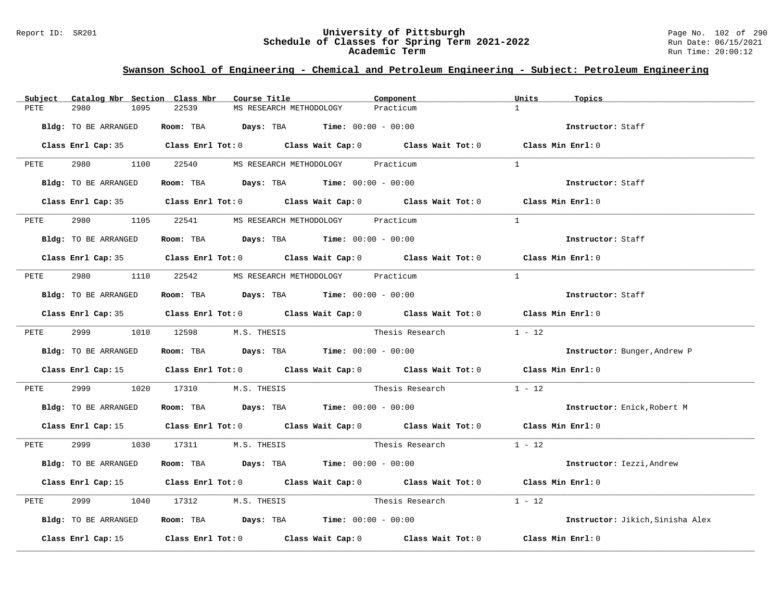#### Report ID: SR201 **University of Pittsburgh** Page No. 102 of 290 **Schedule of Classes for Spring Term 2021-2022** Run Date: 06/15/2021 **Academic Term** Run Time: 20:00:12

| Catalog Nbr Section Class Nbr<br>Subject | Course Title                                                                               | Component                | Units<br>Topics                  |
|------------------------------------------|--------------------------------------------------------------------------------------------|--------------------------|----------------------------------|
| 2980<br>1095<br>PETE                     | 22539<br>MS RESEARCH METHODOLOGY                                                           | Practicum                | $\mathbf{1}$                     |
| Bldg: TO BE ARRANGED                     | Room: TBA $Days:$ TBA $Time: 00:00 - 00:00$                                                |                          | Instructor: Staff                |
|                                          | Class Enrl Cap: 35 Class Enrl Tot: 0 Class Wait Cap: 0 Class Wait Tot: 0 Class Min Enrl: 0 |                          |                                  |
| PETE                                     | 2980 1100 22540 MS RESEARCH METHODOLOGY Practicum                                          |                          | $\overline{1}$                   |
| Bldg: TO BE ARRANGED                     | Room: TBA $Days:$ TBA $Time: 00:00 - 00:00$                                                |                          | Instructor: Staff                |
|                                          | Class Enrl Cap: 35 Class Enrl Tot: 0 Class Wait Cap: 0 Class Wait Tot: 0 Class Min Enrl: 0 |                          |                                  |
|                                          | PETE 2980 1105 22541 MS RESEARCH METHODOLOGY Practicum                                     |                          | $\overline{1}$                   |
| Bldg: TO BE ARRANGED                     | Room: TBA $Days:$ TBA $Time: 00:00 - 00:00$                                                |                          | Instructor: Staff                |
|                                          | Class Enrl Cap: 35 Class Enrl Tot: 0 Class Wait Cap: 0 Class Wait Tot: 0 Class Min Enrl: 0 |                          |                                  |
|                                          | PETE 2980 1110 22542 MS RESEARCH METHODOLOGY Practicum                                     |                          | $\mathbf{1}$                     |
| Bldg: TO BE ARRANGED                     | Room: TBA $Days:$ TBA $Time: 00:00 - 00:00$                                                |                          | Instructor: Staff                |
|                                          | Class Enrl Cap: 35 Class Enrl Tot: 0 Class Wait Cap: 0 Class Wait Tot: 0 Class Min Enrl: 0 |                          |                                  |
|                                          | PETE 2999 1010 12598 M.S. THESIS                                                           | Thesis Research $1 - 12$ |                                  |
| Bldg: TO BE ARRANGED                     | Room: TBA $Days:$ TBA $Time:$ 00:00 - 00:00                                                |                          | Instructor: Bunger, Andrew P     |
|                                          | Class Enrl Cap: 15 Class Enrl Tot: 0 Class Wait Cap: 0 Class Wait Tot: 0 Class Min Enrl: 0 |                          |                                  |
| 2999 72<br>PETE                          | 1020 17310 M.S. THESIS Thesis Research                                                     |                          | $1 - 12$                         |
| Bldg: TO BE ARRANGED                     | Room: TBA $\rule{1em}{0.15mm}$ Days: TBA Time: $00:00 - 00:00$                             |                          | Instructor: Enick, Robert M      |
|                                          | Class Enrl Cap: 15 Class Enrl Tot: 0 Class Wait Cap: 0 Class Wait Tot: 0 Class Min Enrl: 0 |                          |                                  |
|                                          | PETE 2999 1030 17311 M.S. THESIS                                                           | Thesis Research $1 - 12$ |                                  |
| Bldg: TO BE ARRANGED                     | Room: TBA $Days:$ TBA $Time: 00:00 - 00:00$                                                |                          | Instructor: Iezzi, Andrew        |
|                                          | Class Enrl Cap: 15 Class Enrl Tot: 0 Class Wait Cap: 0 Class Wait Tot: 0 Class Min Enrl: 0 |                          |                                  |
| 2999<br>PETE                             | 1040 17312 M.S. THESIS Thesis Research                                                     |                          | $1 - 12$                         |
| Bldg: TO BE ARRANGED                     | Room: TBA $Days:$ TBA $Time: 00:00 - 00:00$                                                |                          | Instructor: Jikich, Sinisha Alex |
|                                          | Class Enrl Cap: 15 Class Enrl Tot: 0 Class Wait Cap: 0 Class Wait Tot: 0 Class Min Enrl: 0 |                          |                                  |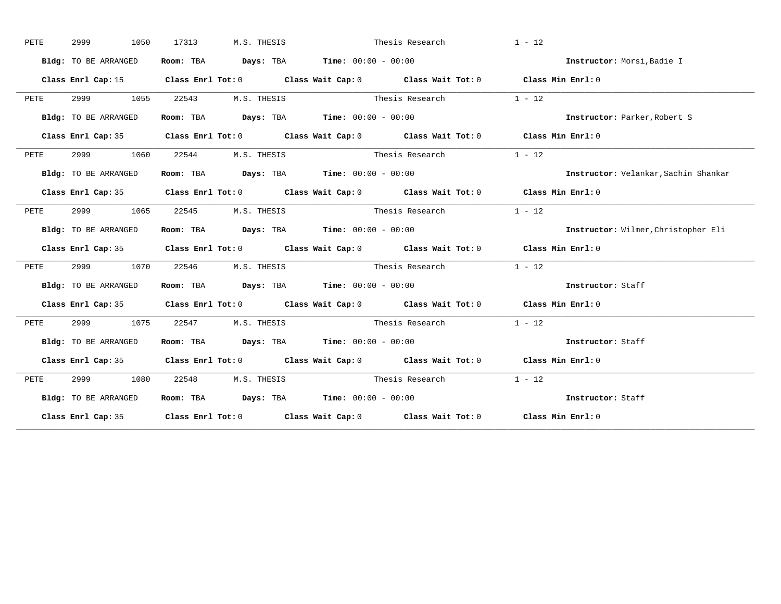| PETE | 2999<br>1050         | 17313<br>M.S. THESIS        |                                                                                                 | Thesis Research | $1 - 12$                             |
|------|----------------------|-----------------------------|-------------------------------------------------------------------------------------------------|-----------------|--------------------------------------|
|      | Bldg: TO BE ARRANGED |                             | Room: TBA $Days:$ TBA $Time: 00:00 - 00:00$                                                     |                 | Instructor: Morsi, Badie I           |
|      |                      |                             | Class Enrl Cap: 15 (Class Enrl Tot: 0 (Class Wait Cap: 0 (Class Wait Tot: 0 (Class Min Enrl: 0) |                 |                                      |
| PETE | 2999 1055            | 22543 M.S. THESIS           |                                                                                                 | Thesis Research | $1 - 12$                             |
|      | Bldg: TO BE ARRANGED |                             | Room: TBA $Days: TBA$ Time: $00:00 - 00:00$                                                     |                 | Instructor: Parker, Robert S         |
|      |                      |                             | Class Enrl Cap: 35 Class Enrl Tot: 0 Class Wait Cap: 0 Class Wait Tot: 0 Class Min Enrl: 0      |                 |                                      |
| PETE | 2999 1060            | 22544                       | M.S. THESIS Thesis Research                                                                     |                 | $1 - 12$                             |
|      | Bldg: TO BE ARRANGED |                             | Room: TBA $Days:$ TBA $Time: 00:00 - 00:00$                                                     |                 | Instructor: Velankar, Sachin Shankar |
|      |                      |                             | Class Enrl Cap: 35 Class Enrl Tot: 0 Class Wait Cap: 0 Class Wait Tot: 0 Class Min Enrl: 0      |                 |                                      |
| PETE | 2999 — 200<br>1065   | 22545 M.S. THESIS           | Thesis Research                                                                                 |                 | $1 - 12$                             |
|      | Bldg: TO BE ARRANGED |                             | Room: TBA Days: TBA Time: 00:00 - 00:00                                                         |                 | Instructor: Wilmer, Christopher Eli  |
|      |                      |                             | Class Enrl Cap: 35 Class Enrl Tot: 0 Class Wait Cap: 0 Class Wait Tot: 0 Class Min Enrl: 0      |                 |                                      |
| PETE |                      | 2999 1070 22546 M.S. THESIS |                                                                                                 | Thesis Research | $1 - 12$                             |
|      | Bldg: TO BE ARRANGED |                             | Room: TBA $\rule{1em}{0.15mm}$ Days: TBA Time: $00:00 - 00:00$                                  |                 | Instructor: Staff                    |
|      |                      |                             | Class Enrl Cap: 35 Class Enrl Tot: 0 Class Wait Cap: 0 Class Wait Tot: 0 Class Min Enrl: 0      |                 |                                      |
| PETE | 2999<br>1075         |                             | 22547 M.S. THESIS Thesis Research 1 - 12                                                        |                 |                                      |
|      | Bldg: TO BE ARRANGED |                             | Room: TBA $\rule{1em}{0.15mm}$ Days: TBA $\rule{1.15mm}]{0.15mm}$ Time: $0.000 - 0.000$         |                 | Instructor: Staff                    |
|      |                      |                             | Class Enrl Cap: 35 Class Enrl Tot: 0 Class Wait Cap: 0 Class Wait Tot: 0 Class Min Enrl: 0      |                 |                                      |
| PETE | 2999 1080            | 22548 M.S. THESIS           |                                                                                                 | Thesis Research | $1 - 12$                             |
|      | Bldg: TO BE ARRANGED |                             | Room: TBA $\rule{1em}{0.15mm}$ Days: TBA Time: $00:00 - 00:00$                                  |                 | Instructor: Staff                    |
|      |                      |                             | Class Enrl Cap: 35 Class Enrl Tot: 0 Class Wait Cap: 0 Class Wait Tot: 0 Class Min Enrl: 0      |                 |                                      |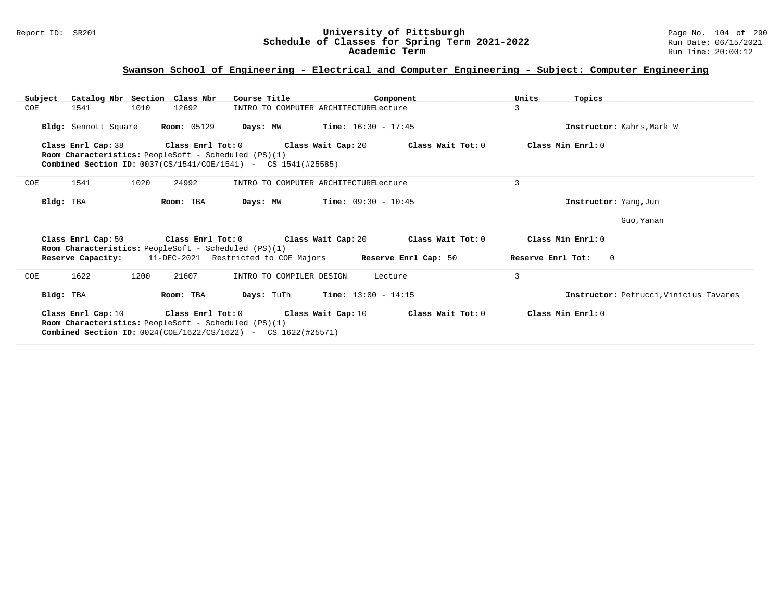#### Report ID: SR201 **University of Pittsburgh** Page No. 104 of 290 **Schedule of Classes for Spring Term 2021-2022** Run Date: 06/15/2021 **Academic Term** Run Time: 20:00:12

# **Swanson School of Engineering - Electrical and Computer Engineering - Subject: Computer Engineering**

| Subject |                      | Catalog Nbr Section Class Nbr                                                                                                                             | Course Title             | Component                                                                                            | Units<br>Topics                        |
|---------|----------------------|-----------------------------------------------------------------------------------------------------------------------------------------------------------|--------------------------|------------------------------------------------------------------------------------------------------|----------------------------------------|
| COE     | 1541                 | 12692<br>1010                                                                                                                                             |                          | INTRO TO COMPUTER ARCHITECTURELecture                                                                | 3                                      |
|         | Bldg: Sennott Square | <b>Room: 05129</b>                                                                                                                                        |                          | <b>Days:</b> MW <b>Time:</b> $16:30 - 17:45$                                                         | Instructor: Kahrs, Mark W              |
|         |                      |                                                                                                                                                           |                          | Class Enrl Cap: 38 $\qquad$ Class Enrl Tot: 0 $\qquad$ Class Wait Cap: 20 $\qquad$ Class Wait Tot: 0 | Class Min Enrl: 0                      |
|         |                      | <b>Room Characteristics:</b> PeopleSoft - Scheduled (PS)(1)                                                                                               |                          |                                                                                                      |                                        |
|         |                      | <b>Combined Section ID:</b> 0037(CS/1541/COE/1541) - CS 1541(#25585)                                                                                      |                          |                                                                                                      |                                        |
| COE     | 1541                 | 1020<br>24992                                                                                                                                             |                          | INTRO TO COMPUTER ARCHITECTURELecture                                                                | 3                                      |
|         | Bldg: TBA            | Room: TBA                                                                                                                                                 | Days: MW                 | <b>Time:</b> $09:30 - 10:45$                                                                         | Instructor: Yang, Jun                  |
|         |                      |                                                                                                                                                           |                          |                                                                                                      | Guo, Yanan                             |
|         | Class Enrl Cap: 50   | Class Enrl Tot: 0 Class Wait Cap: 20<br>Room Characteristics: PeopleSoft - Scheduled (PS)(1)                                                              |                          | Class Wait Tot: 0                                                                                    | Class Min Enrl: 0                      |
|         |                      |                                                                                                                                                           |                          | <b>Reserve Capacity:</b> 11-DEC-2021 Restricted to COE Majors Reserve Enrl Cap: 50                   | Reserve Enrl Tot:<br>$\overline{0}$    |
| COE     | 1622                 | 1200<br>21607                                                                                                                                             | INTRO TO COMPILER DESIGN | Lecture                                                                                              | $\overline{3}$                         |
|         | Bldg: TBA            | Room: TBA                                                                                                                                                 |                          | <b>Days:</b> TuTh <b>Time:</b> $13:00 - 14:15$                                                       | Instructor: Petrucci, Vinicius Tavares |
|         | Class Enrl Cap: 10   | Class Enrl Tot: 0<br>Room Characteristics: PeopleSoft - Scheduled (PS)(1)<br><b>Combined Section ID:</b> $0024 (COE/1622 / CS/1622)$ - CS $1622 (#25571)$ | Class Wait Cap: 10       | Class Wait Tot: 0                                                                                    | Class Min Enrl: 0                      |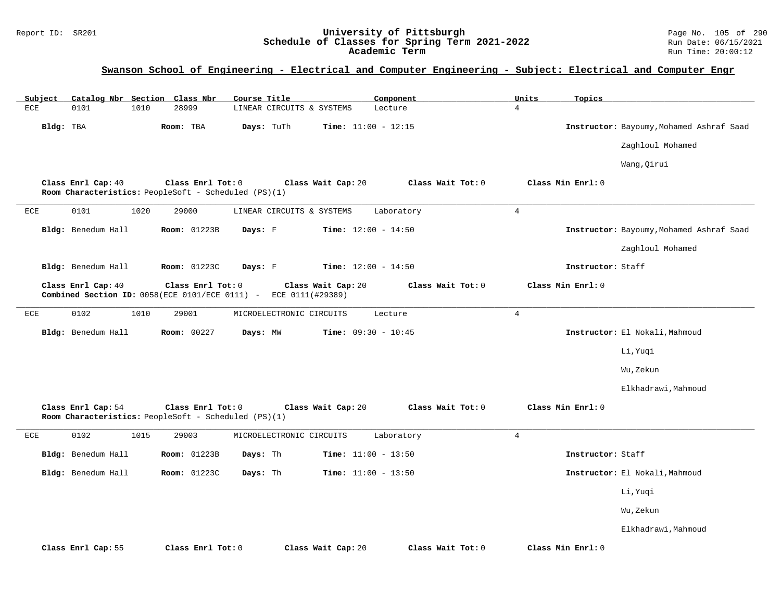#### Report ID: SR201 **University of Pittsburgh** Page No. 105 of 290 **Schedule of Classes for Spring Term 2021-2022** Run Date: 06/15/2021 **Academic Term** Run Time: 20:00:12

# **Swanson School of Engineering - Electrical and Computer Engineering - Subject: Electrical and Computer Engr**

| Catalog Nbr Section Class Nbr<br>Subject |                                                                           | Course Title                            | Component         | Units<br>Topics   |                                          |
|------------------------------------------|---------------------------------------------------------------------------|-----------------------------------------|-------------------|-------------------|------------------------------------------|
| <b>ECE</b><br>0101<br>1010               | 28999                                                                     | LINEAR CIRCUITS & SYSTEMS               | Lecture           | $\overline{4}$    |                                          |
| Bldg: TBA                                | Room: TBA                                                                 | Days: TuTh<br>Time: $11:00 - 12:15$     |                   |                   | Instructor: Bayoumy, Mohamed Ashraf Saad |
|                                          |                                                                           |                                         |                   |                   | Zaghloul Mohamed                         |
|                                          |                                                                           |                                         |                   |                   | Wang, Qirui                              |
| Class Enrl Cap: 40                       | Class Enrl Tot: 0<br>Room Characteristics: PeopleSoft - Scheduled (PS)(1) | Class Wait Cap: 20                      | Class Wait Tot: 0 | Class Min Enrl: 0 |                                          |
| 0101<br>1020<br>ECE                      | 29000                                                                     | LINEAR CIRCUITS & SYSTEMS               | Laboratory        | $\overline{4}$    |                                          |
| Bldg: Benedum Hall                       | Room: 01223B                                                              | Days: F<br>Time: $12:00 - 14:50$        |                   |                   | Instructor: Bayoumy, Mohamed Ashraf Saad |
|                                          |                                                                           |                                         |                   |                   | Zaghloul Mohamed                         |
| Bldg: Benedum Hall                       | Room: 01223C                                                              | Days: F<br><b>Time:</b> $12:00 - 14:50$ |                   | Instructor: Staff |                                          |
| Class Enrl Cap: 40                       | Class Enrl Tot: 0<br>Combined Section ID: $0058$ (ECE $0101$ /ECE 0111) - | Class Wait Cap: 20<br>ECE 0111(#29389)  | Class Wait Tot: 0 | Class Min Enrl: 0 |                                          |
| 0102<br>1010<br>ECE                      | 29001                                                                     | MICROELECTRONIC CIRCUITS                | Lecture           | $\overline{4}$    |                                          |
| Bldg: Benedum Hall                       | Room: 00227                                                               | Time: $09:30 - 10:45$<br>Days: MW       |                   |                   | Instructor: El Nokali, Mahmoud           |
|                                          |                                                                           |                                         |                   |                   | Li, Yuqi                                 |
|                                          |                                                                           |                                         |                   |                   | Wu,Zekun                                 |
|                                          |                                                                           |                                         |                   |                   | Elkhadrawi, Mahmoud                      |
| Class Enrl Cap: 54                       | Class Enrl Tot: 0<br>Room Characteristics: PeopleSoft - Scheduled (PS)(1) | Class Wait Cap: 20                      | Class Wait Tot: 0 | Class Min Enrl: 0 |                                          |
| 0102<br>1015<br>ECE                      | 29003                                                                     | MICROELECTRONIC CIRCUITS                | Laboratory        | $\overline{4}$    |                                          |
| Bldg: Benedum Hall                       | Room: 01223B                                                              | Time: $11:00 - 13:50$<br>Days: Th       |                   | Instructor: Staff |                                          |
| Bldg: Benedum Hall                       | Room: 01223C                                                              | Days: Th<br>Time: $11:00 - 13:50$       |                   |                   | Instructor: El Nokali, Mahmoud           |
|                                          |                                                                           |                                         |                   |                   | Li, Yuqi                                 |
|                                          |                                                                           |                                         |                   |                   | Wu, Zekun                                |
|                                          |                                                                           |                                         |                   |                   | Elkhadrawi, Mahmoud                      |
| Class Enrl Cap: 55                       | Class Enrl Tot: 0                                                         | Class Wait Cap: 20                      | Class Wait Tot: 0 | Class Min Enrl: 0 |                                          |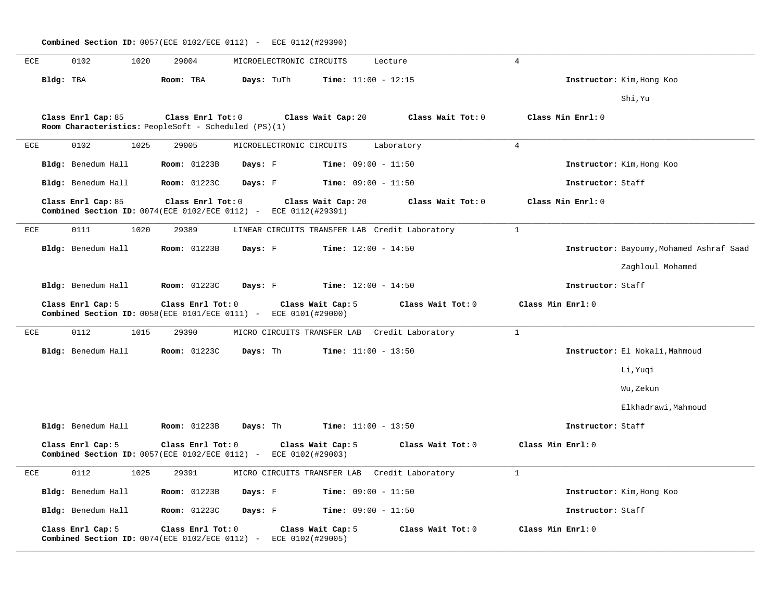|     |           | <b>Combined Section ID:</b> 0057(ECE 0102/ECE 0112) - ECE 0112(#29390)                            |                     |            |                                       |                              |                                                |                   |                   |                                          |
|-----|-----------|---------------------------------------------------------------------------------------------------|---------------------|------------|---------------------------------------|------------------------------|------------------------------------------------|-------------------|-------------------|------------------------------------------|
| ECE |           | 0102<br>1020                                                                                      | 29004               |            | MICROELECTRONIC CIRCUITS              |                              | Lecture                                        | $\overline{4}$    |                   |                                          |
|     | Bldg: TBA |                                                                                                   | Room: TBA           | Days: TuTh |                                       | <b>Time:</b> $11:00 - 12:15$ |                                                |                   |                   | Instructor: Kim, Hong Koo                |
|     |           |                                                                                                   |                     |            |                                       |                              |                                                |                   |                   | Shi, Yu                                  |
|     |           | Class Enrl Cap: 85<br>Room Characteristics: PeopleSoft - Scheduled (PS)(1)                        | Class Enrl Tot: 0   |            | Class Wait Cap: 20                    |                              | Class Wait Tot: 0                              |                   | Class Min Enrl: 0 |                                          |
| ECE |           | 0102<br>1025                                                                                      | 29005               |            | MICROELECTRONIC CIRCUITS              |                              | Laboratory                                     | $\overline{4}$    |                   |                                          |
|     |           | Bldg: Benedum Hall                                                                                | <b>Room: 01223B</b> | Days: F    |                                       | <b>Time:</b> $09:00 - 11:50$ |                                                |                   |                   | Instructor: Kim, Hong Koo                |
|     |           | Bldg: Benedum Hall                                                                                | Room: 01223C        | Days: F    |                                       | <b>Time:</b> $09:00 - 11:50$ |                                                |                   | Instructor: Staff |                                          |
|     |           | Class Enrl Cap: 85<br>Combined Section ID: 0074 (ECE 0102/ECE 0112) - ECE 0112 (#29391)           | Class Enrl Tot: 0   |            | Class Wait Cap: 20                    |                              | Class Wait Tot: 0                              |                   | Class Min Enrl: 0 |                                          |
| ECE |           | 1020<br>0111                                                                                      | 29389               |            |                                       |                              | LINEAR CIRCUITS TRANSFER LAB Credit Laboratory | $\mathbf{1}$      |                   |                                          |
|     |           | Bldg: Benedum Hall                                                                                | Room: 01223B        | Days: F    |                                       | <b>Time:</b> $12:00 - 14:50$ |                                                |                   |                   | Instructor: Bayoumy, Mohamed Ashraf Saad |
|     |           |                                                                                                   |                     |            |                                       |                              |                                                |                   |                   | Zaghloul Mohamed                         |
|     |           | Bldg: Benedum Hall                                                                                | <b>Room:</b> 01223C | Days: F    |                                       | <b>Time:</b> $12:00 - 14:50$ |                                                |                   | Instructor: Staff |                                          |
|     |           | Class Enrl Cap: 5<br><b>Combined Section ID:</b> $0058$ (ECE $0101$ /ECE 0111) - ECE 0101(#29000) | Class Enrl Tot: 0   |            | Class Wait Cap: 5                     |                              | Class Wait Tot: 0                              | Class Min Enrl: 0 |                   |                                          |
| ECE |           | 0112<br>1015                                                                                      | 29390               |            | MICRO CIRCUITS TRANSFER LAB           |                              | Credit Laboratory                              | $\mathbf{1}$      |                   |                                          |
|     |           | Bldg: Benedum Hall                                                                                | Room: 01223C        | Days: Th   |                                       | <b>Time:</b> $11:00 - 13:50$ |                                                |                   |                   | Instructor: El Nokali, Mahmoud           |
|     |           |                                                                                                   |                     |            |                                       |                              |                                                |                   |                   | Li,Yuqi                                  |
|     |           |                                                                                                   |                     |            |                                       |                              |                                                |                   |                   | Wu,Zekun                                 |
|     |           |                                                                                                   |                     |            |                                       |                              |                                                |                   |                   | Elkhadrawi, Mahmoud                      |
|     |           | Bldg: Benedum Hall                                                                                | <b>Room: 01223B</b> | Days: Th   |                                       | <b>Time:</b> $11:00 - 13:50$ |                                                |                   | Instructor: Staff |                                          |
|     |           | Class Enrl Cap: 5<br>Combined Section ID: 0057(ECE 0102/ECE 0112) - ECE 0102(#29003)              | Class Enrl Tot: 0   |            | Class Wait Cap: 5                     |                              | Class Wait Tot: 0                              | Class Min Enrl: 0 |                   |                                          |
| ECE |           | 0112<br>1025                                                                                      | 29391               |            |                                       |                              | MICRO CIRCUITS TRANSFER LAB Credit Laboratory  | $\mathbf{1}$      |                   |                                          |
|     |           | Bldg: Benedum Hall                                                                                | <b>Room:</b> 01223B | Days: F    |                                       | <b>Time:</b> $09:00 - 11:50$ |                                                |                   |                   | Instructor: Kim, Hong Koo                |
|     |           | Bldg: Benedum Hall                                                                                | <b>Room:</b> 01223C | Days: F    |                                       | <b>Time:</b> $09:00 - 11:50$ |                                                |                   | Instructor: Staff |                                          |
|     |           | Class Enrl Cap: 5<br>Combined Section ID: 0074(ECE 0102/ECE 0112) -                               | Class Enrl Tot: 0   |            | Class Wait Cap: 5<br>ECE 0102(#29005) |                              | Class Wait Tot: 0                              | Class Min Enrl: 0 |                   |                                          |

**\_\_\_\_\_\_\_\_\_\_\_\_\_\_\_\_\_\_\_\_\_\_\_\_\_\_\_\_\_\_\_\_\_\_\_\_\_\_\_\_\_\_\_\_\_\_\_\_\_\_\_\_\_\_\_\_\_\_\_\_\_\_\_\_\_\_\_\_\_\_\_\_\_\_\_\_\_\_\_\_\_\_\_\_\_\_\_\_\_\_\_\_\_\_\_\_\_\_\_\_\_\_\_\_\_\_\_\_\_\_\_\_\_\_\_\_\_\_\_\_\_\_\_\_\_\_\_\_\_\_\_\_\_\_\_\_\_\_\_\_\_\_\_\_\_\_\_\_\_\_\_\_\_\_\_\_**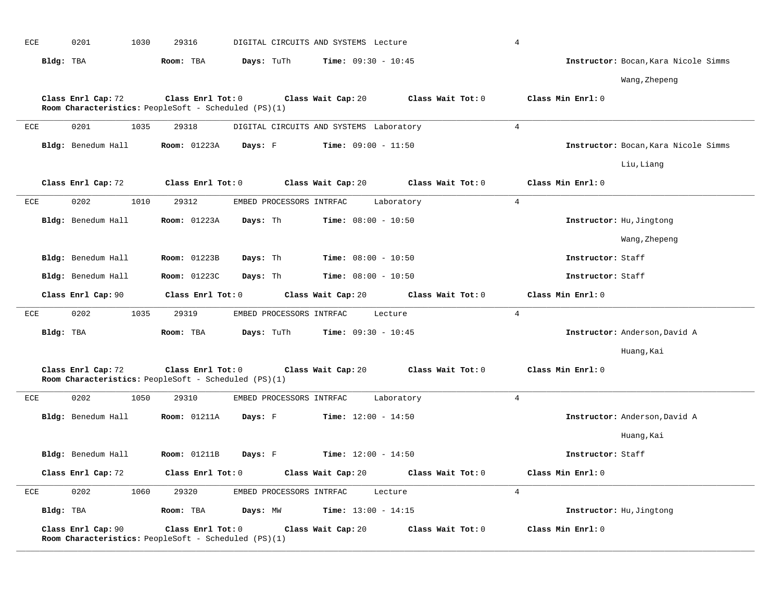| ECE | 0201                                                                       | 1030 | 29316               |                          | DIGITAL CIRCUITS AND SYSTEMS Lecture        |                   | $\overline{4}$ |                          |                                      |
|-----|----------------------------------------------------------------------------|------|---------------------|--------------------------|---------------------------------------------|-------------------|----------------|--------------------------|--------------------------------------|
|     | Bldg: TBA                                                                  |      | Room: TBA           | Days: TuTh               | <b>Time:</b> $09:30 - 10:45$                |                   |                |                          | Instructor: Bocan, Kara Nicole Simms |
|     |                                                                            |      |                     |                          |                                             |                   |                |                          | Wang, Zhepeng                        |
|     | Class Enrl Cap: 72                                                         |      | Class Enrl Tot: 0   |                          | Class Wait Cap: 20                          | Class Wait Tot: 0 |                | Class Min Enrl: 0        |                                      |
|     | Room Characteristics: PeopleSoft - Scheduled (PS)(1)                       |      |                     |                          |                                             |                   |                |                          |                                      |
| ECE | 0201                                                                       | 1035 | 29318               |                          | DIGITAL CIRCUITS AND SYSTEMS Laboratory     |                   | $\overline{4}$ |                          |                                      |
|     | Bldg: Benedum Hall                                                         |      | <b>Room:</b> 01223A | Days: F                  | $Time: 09:00 - 11:50$                       |                   |                |                          | Instructor: Bocan, Kara Nicole Simms |
|     |                                                                            |      |                     |                          |                                             |                   |                |                          | Liu, Liang                           |
|     | Class Enrl Cap: 72                                                         |      | Class Enrl Tot: 0   |                          | Class Wait Cap: 20                          | Class Wait Tot: 0 |                | Class Min Enrl: 0        |                                      |
| ECE | 0202                                                                       | 1010 | 29312               | EMBED PROCESSORS INTRFAC |                                             | Laboratory        | $\overline{4}$ |                          |                                      |
|     | Bldg: Benedum Hall                                                         |      | <b>Room: 01223A</b> | Days: Th                 | <b>Time:</b> $08:00 - 10:50$                |                   |                | Instructor: Hu, Jingtong |                                      |
|     |                                                                            |      |                     |                          |                                             |                   |                |                          | Wang, Zhepeng                        |
|     | Bldg: Benedum Hall                                                         |      | <b>Room:</b> 01223B | Days: Th                 | <b>Time:</b> $08:00 - 10:50$                |                   |                | Instructor: Staff        |                                      |
|     | Bldg: Benedum Hall                                                         |      | <b>Room: 01223C</b> | Days: Th                 | $Time: 08:00 - 10:50$                       |                   |                | Instructor: Staff        |                                      |
|     |                                                                            |      |                     |                          |                                             |                   |                |                          |                                      |
|     | Class Enrl Cap: 90                                                         |      | Class Enrl Tot: 0   |                          | Class Wait Cap: 20                          | Class Wait Tot: 0 |                | Class Min Enrl: 0        |                                      |
| ECE | 0202                                                                       | 1035 | 29319               | EMBED PROCESSORS INTRFAC |                                             | Lecture           | $\overline{4}$ |                          |                                      |
|     | Bldg: TBA                                                                  |      | Room: TBA           | Days: TuTh               | <b>Time:</b> $09:30 - 10:45$                |                   |                |                          | Instructor: Anderson, David A        |
|     |                                                                            |      |                     |                          |                                             |                   |                |                          | Huang, Kai                           |
|     | Class Enrl Cap: 72<br>Room Characteristics: PeopleSoft - Scheduled (PS)(1) |      | Class Enrl Tot: 0   |                          | Class Wait Cap: 20                          | Class Wait Tot: 0 |                | Class Min Enrl: 0        |                                      |
| ECE | 0202                                                                       | 1050 | 29310               | EMBED PROCESSORS INTRFAC |                                             | Laboratory        | $\overline{4}$ |                          |                                      |
|     | Bldg: Benedum Hall                                                         |      | <b>Room: 01211A</b> | Days: F                  | <b>Time:</b> $12:00 - 14:50$                |                   |                |                          | Instructor: Anderson, David A        |
|     |                                                                            |      |                     |                          |                                             |                   |                |                          | Huang, Kai                           |
|     | Bldg: Benedum Hall                                                         |      | <b>Room:</b> 01211B |                          | <b>Days:</b> F <b>Time:</b> $12:00 - 14:50$ |                   |                | Instructor: Staff        |                                      |
|     | Class Enrl Cap: 72                                                         |      | Class Enrl Tot: 0   |                          | Class Wait Cap: 20                          | Class Wait Tot: 0 |                | Class Min Enrl: 0        |                                      |
| ECE | 0202                                                                       | 1060 | 29320               | EMBED PROCESSORS INTRFAC |                                             | Lecture           | $\overline{4}$ |                          |                                      |
|     | Bldg: TBA                                                                  |      | Room: TBA           | Days: MW                 | <b>Time:</b> $13:00 - 14:15$                |                   |                | Instructor: Hu, Jingtong |                                      |

**\_\_\_\_\_\_\_\_\_\_\_\_\_\_\_\_\_\_\_\_\_\_\_\_\_\_\_\_\_\_\_\_\_\_\_\_\_\_\_\_\_\_\_\_\_\_\_\_\_\_\_\_\_\_\_\_\_\_\_\_\_\_\_\_\_\_\_\_\_\_\_\_\_\_\_\_\_\_\_\_\_\_\_\_\_\_\_\_\_\_\_\_\_\_\_\_\_\_\_\_\_\_\_\_\_\_\_\_\_\_\_\_\_\_\_\_\_\_\_\_\_\_\_\_\_\_\_\_\_\_\_\_\_\_\_\_\_\_\_\_\_\_\_\_\_\_\_\_\_\_\_\_\_\_\_\_**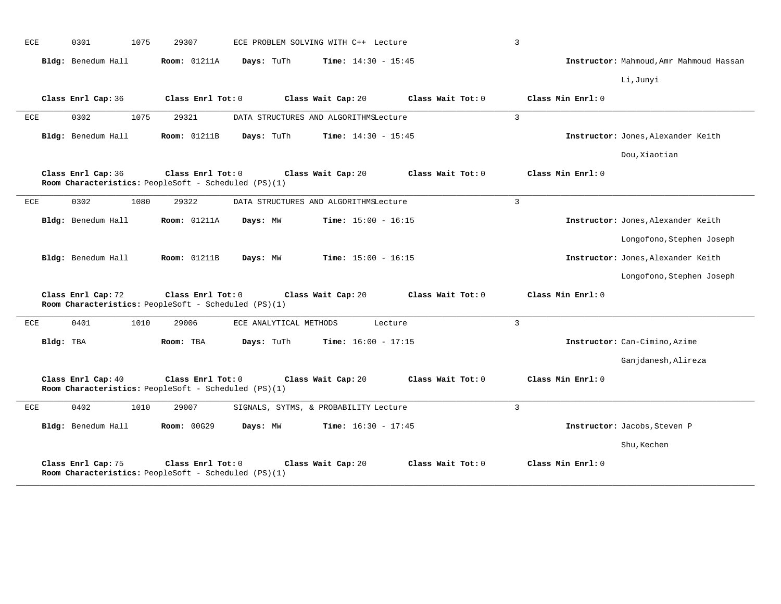| ECE | 0301<br>1075       | 29307                                                                     | ECE PROBLEM SOLVING WITH C++ Lecture  |                   | $\overline{3}$    |                                         |
|-----|--------------------|---------------------------------------------------------------------------|---------------------------------------|-------------------|-------------------|-----------------------------------------|
|     | Bldg: Benedum Hall | <b>Room: 01211A</b><br>Days: TuTh                                         | <b>Time:</b> $14:30 - 15:45$          |                   |                   | Instructor: Mahmoud, Amr Mahmoud Hassan |
|     |                    |                                                                           |                                       |                   |                   | Li, Junyi                               |
|     | Class Enrl Cap: 36 | Class Enrl Tot: 0                                                         | Class Wait Cap: 20                    | Class Wait Tot: 0 | Class Min Enrl: 0 |                                         |
| ECE | 0302<br>1075       | 29321                                                                     | DATA STRUCTURES AND ALGORITHMSLecture |                   | 3                 |                                         |
|     | Bldg: Benedum Hall | <b>Room: 01211B</b><br>Days: TuTh                                         | <b>Time:</b> $14:30 - 15:45$          |                   |                   | Instructor: Jones, Alexander Keith      |
|     |                    |                                                                           |                                       |                   |                   | Dou, Xiaotian                           |
|     | Class Enrl Cap: 36 | Class Enrl Tot: 0<br>Room Characteristics: PeopleSoft - Scheduled (PS)(1) | Class Wait Cap: 20                    | Class Wait Tot: 0 | Class Min Enrl: 0 |                                         |
| ECE | 0302<br>1080       | 29322                                                                     | DATA STRUCTURES AND ALGORITHMSLecture |                   | 3                 |                                         |
|     | Bldg: Benedum Hall | <b>Room: 01211A</b><br>Days: MW                                           | <b>Time:</b> $15:00 - 16:15$          |                   |                   | Instructor: Jones, Alexander Keith      |
|     |                    |                                                                           |                                       |                   |                   | Longofono, Stephen Joseph               |
|     | Bldg: Benedum Hall | <b>Room: 01211B</b><br>Days: MW                                           | <b>Time:</b> $15:00 - 16:15$          |                   |                   | Instructor: Jones, Alexander Keith      |
|     |                    |                                                                           |                                       |                   |                   | Longofono, Stephen Joseph               |
|     | Class Enrl Cap: 72 | Class Enrl Tot: 0<br>Room Characteristics: PeopleSoft - Scheduled (PS)(1) | Class Wait Cap: 20                    | Class Wait Tot: 0 | Class Min Enrl: 0 |                                         |
| ECE | 0401<br>1010       | 29006                                                                     | ECE ANALYTICAL METHODS<br>Lecture     |                   | $\overline{3}$    |                                         |
|     | Bldg: TBA          | Room: TBA<br>Days: TuTh                                                   | <b>Time:</b> $16:00 - 17:15$          |                   |                   | Instructor: Can-Cimino, Azime           |
|     |                    |                                                                           |                                       |                   |                   | Ganjdanesh, Alireza                     |
|     | Class Enrl Cap: 40 | Class Enrl Tot: 0<br>Room Characteristics: PeopleSoft - Scheduled (PS)(1) | Class Wait Cap: 20                    | Class Wait Tot: 0 | Class Min Enrl: 0 |                                         |
| ECE | 0402<br>1010       | 29007                                                                     | SIGNALS, SYTMS, & PROBABILITY Lecture |                   | 3                 |                                         |
|     | Bldg: Benedum Hall | <b>Room: 00G29</b><br>Days: MW                                            | <b>Time:</b> $16:30 - 17:45$          |                   |                   | Instructor: Jacobs, Steven P            |
|     |                    |                                                                           |                                       |                   |                   | Shu, Kechen                             |
|     | Class Enrl Cap: 75 | Class Enrl Tot: 0<br>Room Characteristics: PeopleSoft - Scheduled (PS)(1) | Class Wait Cap: 20                    | Class Wait Tot: 0 | Class Min Enrl: 0 |                                         |

**\_\_\_\_\_\_\_\_\_\_\_\_\_\_\_\_\_\_\_\_\_\_\_\_\_\_\_\_\_\_\_\_\_\_\_\_\_\_\_\_\_\_\_\_\_\_\_\_\_\_\_\_\_\_\_\_\_\_\_\_\_\_\_\_\_\_\_\_\_\_\_\_\_\_\_\_\_\_\_\_\_\_\_\_\_\_\_\_\_\_\_\_\_\_\_\_\_\_\_\_\_\_\_\_\_\_\_\_\_\_\_\_\_\_\_\_\_\_\_\_\_\_\_\_\_\_\_\_\_\_\_\_\_\_\_\_\_\_\_\_\_\_\_\_\_\_\_\_\_\_\_\_\_\_\_\_**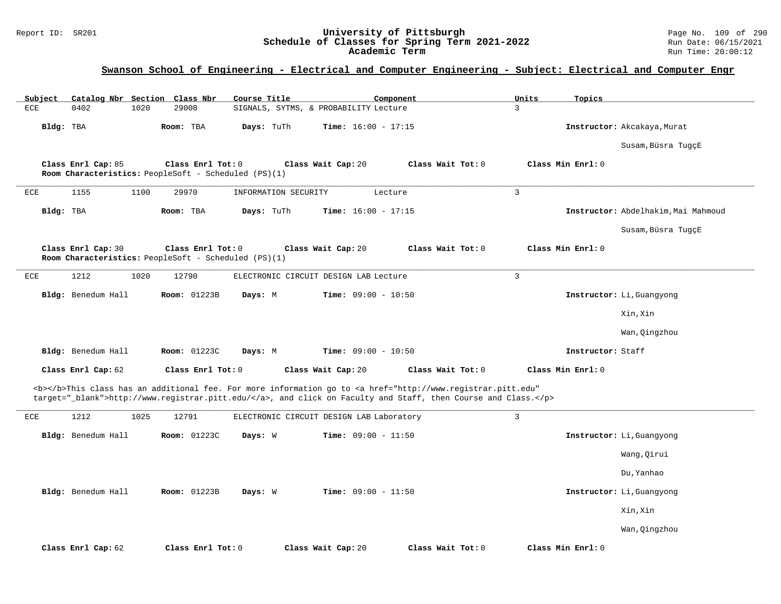### Report ID: SR201 **University of Pittsburgh** Page No. 109 of 290 **Schedule of Classes for Spring Term 2021-2022** Run Date: 06/15/2021 **Academic Term** Run Time: 20:00:12

| Subject      | Catalog Nbr Section Class Nbr |      |                                                                           | Course Title         |                                          | Component                                                                                                                                                                                                                          | Units          | Topics            |                                     |
|--------------|-------------------------------|------|---------------------------------------------------------------------------|----------------------|------------------------------------------|------------------------------------------------------------------------------------------------------------------------------------------------------------------------------------------------------------------------------------|----------------|-------------------|-------------------------------------|
| $_{\rm ECE}$ | 0402                          | 1020 | 29008                                                                     |                      | SIGNALS, SYTMS, & PROBABILITY Lecture    |                                                                                                                                                                                                                                    | $\overline{3}$ |                   |                                     |
| Bldg: TBA    |                               |      | Room: TBA                                                                 | Days: TuTh           | <b>Time:</b> $16:00 - 17:15$             |                                                                                                                                                                                                                                    |                |                   | Instructor: Akcakaya, Murat         |
|              |                               |      |                                                                           |                      |                                          |                                                                                                                                                                                                                                    |                |                   | Susam, Büsra TugçE                  |
|              | Class Enrl Cap: 85            |      | Class Enrl Tot: 0<br>Room Characteristics: PeopleSoft - Scheduled (PS)(1) |                      | Class Wait Cap: 20                       | Class Wait Tot: 0                                                                                                                                                                                                                  |                | Class Min Enrl: 0 |                                     |
| ECE          | 1155                          | 1100 | 29970                                                                     | INFORMATION SECURITY |                                          | Lecture                                                                                                                                                                                                                            | 3              |                   |                                     |
| Bldg: TBA    |                               |      | Room: TBA                                                                 | Days: TuTh           | <b>Time:</b> $16:00 - 17:15$             |                                                                                                                                                                                                                                    |                |                   | Instructor: Abdelhakim, Mai Mahmoud |
|              |                               |      |                                                                           |                      |                                          |                                                                                                                                                                                                                                    |                |                   | Susam, Büsra TugçE                  |
|              | Class Enrl Cap: 30            |      | Class Enrl Tot: 0<br>Room Characteristics: PeopleSoft - Scheduled (PS)(1) |                      | Class Wait Cap: 20                       | Class Wait Tot: 0                                                                                                                                                                                                                  |                | Class Min Enrl: 0 |                                     |
| ECE          | 1212                          | 1020 | 12790                                                                     |                      | ELECTRONIC CIRCUIT DESIGN LAB Lecture    |                                                                                                                                                                                                                                    | 3              |                   |                                     |
|              | Bldg: Benedum Hall            |      | Room: 01223B                                                              | Days: M              | Time: $09:00 - 10:50$                    |                                                                                                                                                                                                                                    |                |                   | Instructor: Li, Guangyong           |
|              |                               |      |                                                                           |                      |                                          |                                                                                                                                                                                                                                    |                |                   | Xin, Xin                            |
|              |                               |      |                                                                           |                      |                                          |                                                                                                                                                                                                                                    |                |                   | Wan, Qingzhou                       |
|              | Bldg: Benedum Hall            |      | Room: 01223C                                                              | Days: M              | Time: $09:00 - 10:50$                    |                                                                                                                                                                                                                                    |                | Instructor: Staff |                                     |
|              | Class Enrl Cap: 62            |      | Class Enrl Tot: 0                                                         |                      | Class Wait Cap: 20                       | Class Wait Tot: 0                                                                                                                                                                                                                  |                | Class Min Enrl: 0 |                                     |
|              |                               |      |                                                                           |                      |                                          | <b></b> This class has an additional fee. For more information go to <a <br="" href="http://www.registrar.pitt.edu">target="_blank"&gt;http://www.registrar.pitt.edu/</a> , and click on Faculty and Staff, then Course and Class. |                |                   |                                     |
| ECE          | 1212                          | 1025 | 12791                                                                     |                      | ELECTRONIC CIRCUIT DESIGN LAB Laboratory |                                                                                                                                                                                                                                    | $\overline{3}$ |                   |                                     |
|              | Bldg: Benedum Hall            |      | Room: 01223C                                                              | Days: W              | Time: $09:00 - 11:50$                    |                                                                                                                                                                                                                                    |                |                   | Instructor: Li, Guangyong           |
|              |                               |      |                                                                           |                      |                                          |                                                                                                                                                                                                                                    |                |                   | Wang, Qirui                         |
|              |                               |      |                                                                           |                      |                                          |                                                                                                                                                                                                                                    |                |                   | Du, Yanhao                          |
|              | Bldg: Benedum Hall            |      | <b>Room: 01223B</b>                                                       | Days: W              | <b>Time:</b> $09:00 - 11:50$             |                                                                                                                                                                                                                                    |                |                   | Instructor: Li, Guangyong           |
|              |                               |      |                                                                           |                      |                                          |                                                                                                                                                                                                                                    |                |                   | Xin, Xin                            |
|              |                               |      |                                                                           |                      |                                          |                                                                                                                                                                                                                                    |                |                   | Wan, Qingzhou                       |
|              | Class Enrl Cap: 62            |      | Class Enrl Tot: 0                                                         |                      | Class Wait Cap: 20                       | Class Wait Tot: 0                                                                                                                                                                                                                  |                | Class Min Enrl: 0 |                                     |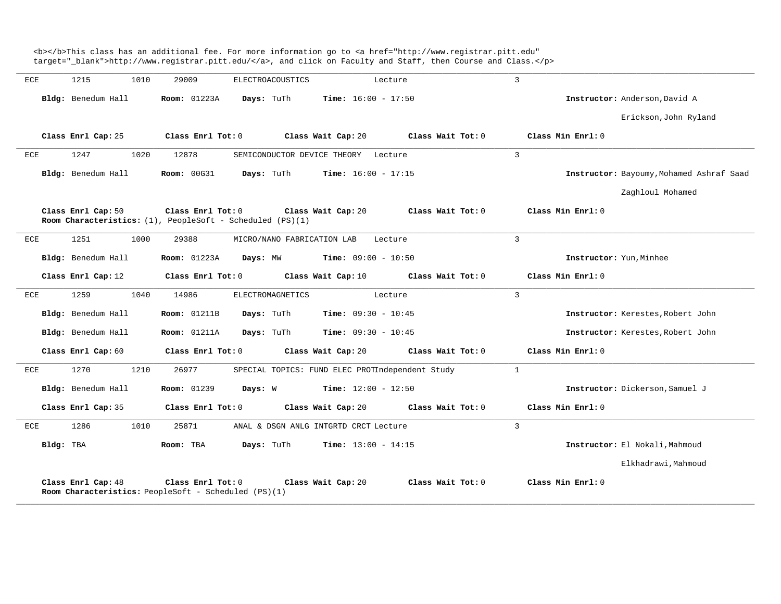|           |                    |                                                                                     | target="_blank">http://www.registrar.pitt.edu/, and click on Faculty and Staff, then Course and Class. |                                          |
|-----------|--------------------|-------------------------------------------------------------------------------------|--------------------------------------------------------------------------------------------------------|------------------------------------------|
| ECE       | 1215<br>1010       | 29009<br>ELECTROACOUSTICS                                                           | Lecture                                                                                                | 3                                        |
|           | Bldg: Benedum Hall | Room: 01223A<br>Days: TuTh                                                          | Time: $16:00 - 17:50$                                                                                  | Instructor: Anderson, David A            |
|           |                    |                                                                                     |                                                                                                        | Erickson, John Ryland                    |
|           | Class Enrl Cap: 25 | Class Enrl Tot: 0                                                                   | Class Wait Tot: 0<br>Class Wait Cap: 20                                                                | Class Min Enrl: 0                        |
| ECE       | 1247<br>1020       | 12878                                                                               | SEMICONDUCTOR DEVICE THEORY Lecture                                                                    | $\overline{3}$                           |
|           | Bldg: Benedum Hall | <b>Room: 00G31</b><br>Days: TuTh                                                    | <b>Time:</b> $16:00 - 17:15$                                                                           | Instructor: Bayoumy, Mohamed Ashraf Saad |
|           |                    |                                                                                     |                                                                                                        | Zaghloul Mohamed                         |
|           | Class Enrl Cap: 50 | Class Enrl Tot: 0<br>Room Characteristics: $(1)$ , PeopleSoft - Scheduled $(PS)(1)$ | Class Wait Cap: 20<br>Class Wait Tot: 0                                                                | Class Min Enrl: 0                        |
| ECE       | 1251<br>1000       | 29388                                                                               | MICRO/NANO FABRICATION LAB<br>Lecture                                                                  | $\overline{3}$                           |
|           | Bldg: Benedum Hall | <b>Room:</b> 01223A<br>Days: MW                                                     | <b>Time:</b> $09:00 - 10:50$                                                                           | Instructor: Yun, Minhee                  |
|           | Class Enrl Cap: 12 | Class Enrl Tot: 0                                                                   | Class Wait Cap: 10<br>Class Wait Tot: 0                                                                | Class Min Enrl: 0                        |
| ECE       | 1259<br>1040       | 14986<br>ELECTROMAGNETICS                                                           | Lecture                                                                                                | $\overline{3}$                           |
|           | Bldg: Benedum Hall | <b>Room: 01211B</b><br>Days: TuTh                                                   | <b>Time:</b> $09:30 - 10:45$                                                                           | Instructor: Kerestes, Robert John        |
|           | Bldg: Benedum Hall | <b>Room: 01211A</b><br>Days: TuTh                                                   | <b>Time:</b> $09:30 - 10:45$                                                                           | Instructor: Kerestes, Robert John        |
|           | Class Enrl Cap: 60 | Class Enrl Tot: 0                                                                   | Class Wait Cap: 20<br>Class Wait Tot: 0                                                                | Class Min Enrl: 0                        |
| ECE       | 1270<br>1210       | 26977                                                                               | SPECIAL TOPICS: FUND ELEC PROTIndependent Study                                                        | $\mathbf{1}$                             |
|           | Bldg: Benedum Hall | <b>Room: 01239</b><br>Days: W                                                       | <b>Time:</b> $12:00 - 12:50$                                                                           | Instructor: Dickerson, Samuel J          |
|           | Class Enrl Cap: 35 | Class Enrl Tot: 0                                                                   | Class Wait Cap: 20<br>Class Wait Tot: 0                                                                | Class Min Enrl: 0                        |
| ECE       | 1286<br>1010       | 25871                                                                               | ANAL & DSGN ANLG INTGRTD CRCT Lecture                                                                  | 3                                        |
| Bldg: TBA |                    | Days: TuTh<br>Room: TBA                                                             | <b>Time:</b> $13:00 - 14:15$                                                                           | Instructor: El Nokali, Mahmoud           |
|           |                    |                                                                                     |                                                                                                        | Elkhadrawi, Mahmoud                      |
|           | Class Enrl Cap: 48 | Class Enrl Tot: 0<br>Room Characteristics: PeopleSoft - Scheduled (PS)(1)           | Class Wait Tot: 0<br>Class Wait Cap: 20                                                                | Class Min Enrl: 0                        |

<b></b>This class has an additional fee. For more information go to <a href="http://www.registrar.pitt.edu"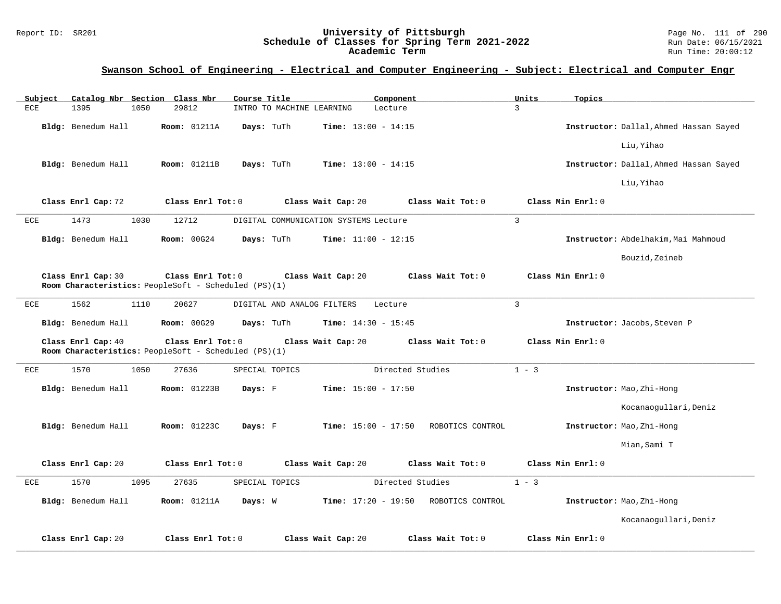### Report ID: SR201 **University of Pittsburgh** Page No. 111 of 290 **Schedule of Classes for Spring Term 2021-2022** Run Date: 06/15/2021 **Academic Term** Run Time: 20:00:12

| Subject      | Catalog Nbr Section Class Nbr                                              |                     | Course Title               | Component                             |                   | Units        | Topics                                 |
|--------------|----------------------------------------------------------------------------|---------------------|----------------------------|---------------------------------------|-------------------|--------------|----------------------------------------|
| ECE          | 1395<br>1050                                                               | 29812               | INTRO TO MACHINE LEARNING  | Lecture                               |                   | 3            |                                        |
|              | Bldg: Benedum Hall                                                         | <b>Room: 01211A</b> | Days: TuTh                 | <b>Time:</b> $13:00 - 14:15$          |                   |              | Instructor: Dallal, Ahmed Hassan Sayed |
|              |                                                                            |                     |                            |                                       |                   |              | Liu, Yihao                             |
|              | Bldg: Benedum Hall                                                         | <b>Room:</b> 01211B | Days: TuTh                 | <b>Time:</b> $13:00 - 14:15$          |                   |              | Instructor: Dallal, Ahmed Hassan Sayed |
|              |                                                                            |                     |                            |                                       |                   |              | Liu, Yihao                             |
|              | Class Enrl Cap: 72                                                         | Class Enrl Tot: 0   |                            | Class Wait Cap: 20                    | Class Wait Tot: 0 |              | Class Min Enrl: 0                      |
| ECE          | 1473<br>1030                                                               | 12712               |                            | DIGITAL COMMUNICATION SYSTEMS Lecture |                   | $\mathbf{3}$ |                                        |
|              | Bldg: Benedum Hall                                                         | <b>Room: 00G24</b>  | Days: TuTh                 | Time: $11:00 - 12:15$                 |                   |              | Instructor: Abdelhakim, Mai Mahmoud    |
|              |                                                                            |                     |                            |                                       |                   |              | Bouzid, Zeineb                         |
|              | Class Enrl Cap: 30<br>Room Characteristics: PeopleSoft - Scheduled (PS)(1) | Class Enrl Tot: 0   |                            | Class Wait Cap: 20                    | Class Wait Tot: 0 |              | Class Min Enrl: 0                      |
| ECE          | 1562<br>1110                                                               | 20627               | DIGITAL AND ANALOG FILTERS | Lecture                               |                   | 3            |                                        |
|              | Bldg: Benedum Hall                                                         | Room: 00G29         | Days: TuTh                 | <b>Time:</b> $14:30 - 15:45$          |                   |              | Instructor: Jacobs, Steven P           |
|              | Class Enrl Cap: 40<br>Room Characteristics: PeopleSoft - Scheduled (PS)(1) | Class Enrl Tot: 0   |                            | Class Wait Cap: 20                    | Class Wait Tot: 0 |              | Class Min Enrl: 0                      |
| $_{\rm ECE}$ | 1570<br>1050                                                               | 27636               | SPECIAL TOPICS             | Directed Studies                      |                   | $1 - 3$      |                                        |
|              | Bldg: Benedum Hall                                                         | Room: 01223B        | Days: F                    | Time: $15:00 - 17:50$                 |                   |              | Instructor: Mao, Zhi-Hong              |
|              |                                                                            |                     |                            |                                       |                   |              | Kocanaogullari, Deniz                  |
|              | Bldg: Benedum Hall                                                         | Room: 01223C        | Days: F                    | <b>Time:</b> $15:00 - 17:50$          | ROBOTICS CONTROL  |              | Instructor: Mao, Zhi-Hong              |
|              |                                                                            |                     |                            |                                       |                   |              | Mian, Sami T                           |
|              | Class Enrl Cap: 20                                                         | Class Enrl Tot: 0   |                            | Class Wait Cap: 20                    | Class Wait Tot: 0 |              | Class Min Enrl: 0                      |
| $_{\rm ECE}$ | 1095<br>1570                                                               | 27635               | SPECIAL TOPICS             | Directed Studies                      |                   | $1 - 3$      |                                        |
|              | Bldg: Benedum Hall                                                         | <b>Room: 01211A</b> | Days: W                    | <b>Time:</b> $17:20 - 19:50$          | ROBOTICS CONTROL  |              | Instructor: Mao, Zhi-Hong              |
|              |                                                                            |                     |                            |                                       |                   |              | Kocanaogullari, Deniz                  |
|              | Class Enrl Cap: 20                                                         | Class Enrl Tot: 0   |                            | Class Wait Cap: 20                    | Class Wait Tot: 0 |              | Class Min Enrl: 0                      |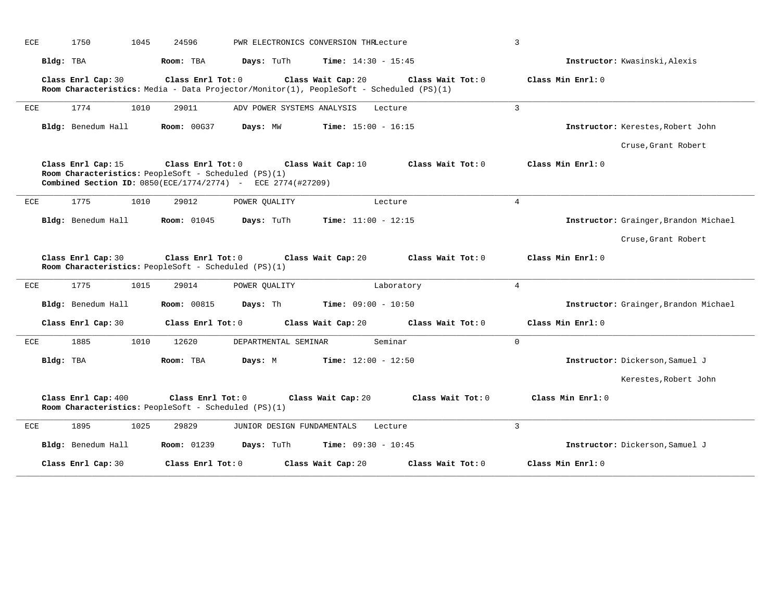| ECE | 1750<br>1045                                                                                                                                | 24596              |                            |                                                                                                               |                   | $\overline{3}$                        |
|-----|---------------------------------------------------------------------------------------------------------------------------------------------|--------------------|----------------------------|---------------------------------------------------------------------------------------------------------------|-------------------|---------------------------------------|
|     | Bldg: TBA                                                                                                                                   | Room: TBA          | Days: TuTh                 | <b>Time:</b> $14:30 - 15:45$                                                                                  |                   | Instructor: Kwasinski, Alexis         |
|     | Class Enrl Cap: 30                                                                                                                          | Class Enrl Tot: 0  |                            | Class Wait Cap: 20<br>Room Characteristics: Media - Data Projector/Monitor(1), PeopleSoft - Scheduled (PS)(1) | Class Wait Tot: 0 | Class Min Enrl: 0                     |
| ECE | 1774<br>1010                                                                                                                                | 29011              | ADV POWER SYSTEMS ANALYSIS |                                                                                                               | Lecture           | $\overline{3}$                        |
|     | Bldg: Benedum Hall                                                                                                                          | <b>Room: 00G37</b> | Days: MW                   | <b>Time:</b> $15:00 - 16:15$                                                                                  |                   | Instructor: Kerestes, Robert John     |
|     |                                                                                                                                             |                    |                            |                                                                                                               |                   | Cruse, Grant Robert                   |
|     | Class Enrl Cap: 15<br>Room Characteristics: PeopleSoft - Scheduled $(PS)(1)$<br>Combined Section ID: 0850(ECE/1774/2774) - ECE 2774(#27209) | Class Enrl Tot: 0  |                            | Class Wait Cap: 10                                                                                            | Class Wait Tot: 0 | Class Min Enrl: 0                     |
| ECE | 1775<br>1010                                                                                                                                | 29012              | POWER OUALITY              |                                                                                                               | Lecture           | $\overline{4}$                        |
|     | Bldg: Benedum Hall                                                                                                                          | <b>Room:</b> 01045 | Days: TuTh                 | Time: $11:00 - 12:15$                                                                                         |                   | Instructor: Grainger, Brandon Michael |
|     |                                                                                                                                             |                    |                            |                                                                                                               |                   |                                       |
|     |                                                                                                                                             |                    |                            |                                                                                                               |                   | Cruse, Grant Robert                   |
|     | Class Enrl Cap: 30<br>Room Characteristics: PeopleSoft - Scheduled (PS)(1)                                                                  | Class Enrl Tot: 0  |                            | Class Wait Cap: 20                                                                                            | Class Wait Tot: 0 | Class Min Enrl: 0                     |
|     | 1775<br>1015                                                                                                                                | 29014              | POWER QUALITY              |                                                                                                               | Laboratory        | 4                                     |
|     | Bldg: Benedum Hall                                                                                                                          | <b>Room: 00815</b> | Days: Th                   | Time: $09:00 - 10:50$                                                                                         |                   | Instructor: Grainger, Brandon Michael |
|     | Class Enrl Cap: 30                                                                                                                          | Class Enrl Tot: 0  |                            | Class Wait Cap: 20                                                                                            | Class Wait Tot: 0 | Class Min Enrl: 0                     |
| ECE | 1885<br>1010                                                                                                                                | 12620              | DEPARTMENTAL SEMINAR       |                                                                                                               | Seminar           | $\mathbf 0$                           |
| ECE | Bldg: TBA                                                                                                                                   | Room: TBA          | Days: M                    | <b>Time:</b> $12:00 - 12:50$                                                                                  |                   | Instructor: Dickerson, Samuel J       |
|     |                                                                                                                                             |                    |                            |                                                                                                               |                   | Kerestes, Robert John                 |
|     | Class Enrl Cap: 400<br>Room Characteristics: PeopleSoft - Scheduled (PS)(1)                                                                 | Class Enrl Tot: 0  |                            | Class Wait Cap: 20                                                                                            | Class Wait Tot: 0 | Class Min Enrl: 0                     |
| ECE | 1895<br>1025                                                                                                                                | 29829              | JUNIOR DESIGN FUNDAMENTALS |                                                                                                               | Lecture           | 3                                     |
|     | Bldg: Benedum Hall                                                                                                                          | <b>Room: 01239</b> | Days: TuTh                 | <b>Time:</b> $09:30 - 10:45$                                                                                  |                   | Instructor: Dickerson, Samuel J       |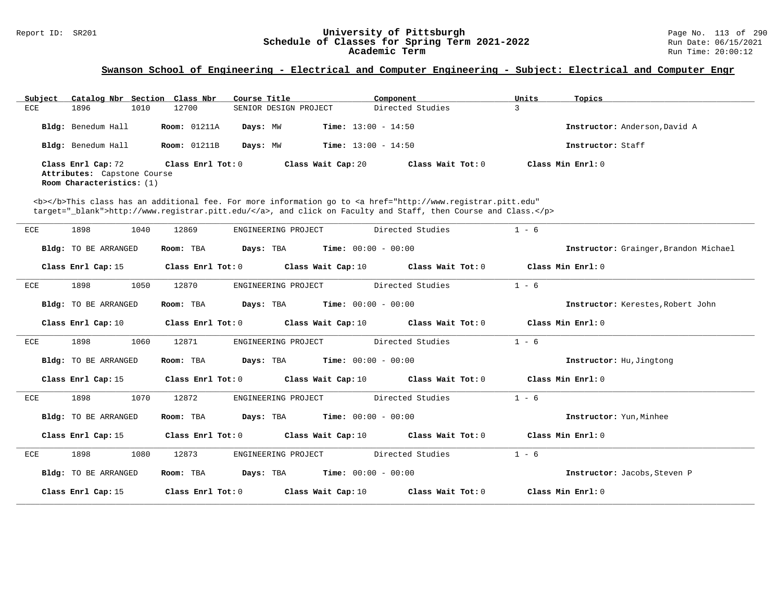# Report ID: SR201 **12.1 CHEEREN SCHEDUIST UNIVERSITY OF PITTSburgh** Page No. 113 of 290 **Schedule of Classes for Spring Term 2021-2022** Page No. 113 of 290 Page No. 113 of 290 **Schedule of Classes for Spring Term 2021-2022** Schedule of Classes for Spring Term 2021-2022<br>Academic Term

### **Swanson School of Engineering - Electrical and Computer Engineering - Subject: Electrical and Computer Engr**

| Subject | Catalog Nbr Section Class Nbr                                                  |      |                     | Course Title |                              | Component           | Units | Topics                        |
|---------|--------------------------------------------------------------------------------|------|---------------------|--------------|------------------------------|---------------------|-------|-------------------------------|
| ECE     | 1896                                                                           | 1010 | 12700               |              | SENIOR DESIGN PROJECT        | Directed Studies    |       |                               |
|         | Bldg: Benedum Hall                                                             |      | <b>Room:</b> 01211A | Days: MW     | <b>Time:</b> $13:00 - 14:50$ |                     |       | Instructor: Anderson, David A |
|         | Bldg: Benedum Hall                                                             |      | <b>Room:</b> 01211B | Days: MW     | <b>Time:</b> $13:00 - 14:50$ |                     |       | Instructor: Staff             |
|         | Class Enrl Cap: 72<br>Attributes: Capstone Course<br>Room Characteristics: (1) |      | Class Enrl Tot: 0   |              | Class Wait Cap: 20           | Class Wait Tot: $0$ |       | Class Min Enrl: 0             |

<b></b>This class has an additional fee. For more information go to <a href="http://www.registrar.pitt.edu" target="\_blank">http://www.registrar.pitt.edu/</a>, and click on Faculty and Staff, then Course and Class.</p>

| ECE        | 1898<br>1040                | 12869<br>ENGINEERING PROJECT | Directed Studies                                                                                    | $1 - 6$                               |
|------------|-----------------------------|------------------------------|-----------------------------------------------------------------------------------------------------|---------------------------------------|
|            | <b>Bldg:</b> TO BE ARRANGED | Room: TBA                    | <b>Days:</b> TBA <b>Time:</b> $00:00 - 00:00$                                                       | Instructor: Grainger, Brandon Michael |
|            | Class Enrl Cap: 15          |                              | Class Enrl Tot: 0 $\qquad$ Class Wait Cap: 10 $\qquad$ Class Wait Tot: 0 $\qquad$ Class Min Enrl: 0 |                                       |
| ECE        | 1050<br>1898                | 12870<br>ENGINEERING PROJECT | Directed Studies                                                                                    | $1 - 6$                               |
|            | <b>Bldg:</b> TO BE ARRANGED | Room: TBA                    | <b>Days:</b> TBA <b>Time:</b> $00:00 - 00:00$                                                       | Instructor: Kerestes, Robert John     |
|            | Class Enrl Cap: 10          |                              | Class Enrl Tot: 0 $\qquad$ Class Wait Cap: 10 $\qquad$ Class Wait Tot: 0 $\qquad$ Class Min Enrl: 0 |                                       |
| ECE        | 1060<br>1898                | 12871                        | ENGINEERING PROJECT Directed Studies                                                                | $1 - 6$                               |
|            | Bldg: TO BE ARRANGED        | Room: TBA                    | <b>Days:</b> TBA <b>Time:</b> $00:00 - 00:00$                                                       | Instructor: Hu, Jingtong              |
|            | Class Enrl Cap: 15          |                              | Class Enrl Tot: 0 $\qquad$ Class Wait Cap: 10 $\qquad$ Class Wait Tot: 0 $\qquad$ Class Min Enrl: 0 |                                       |
| <b>ECE</b> | 1898<br>1070                | 12872<br>ENGINEERING PROJECT | Directed Studies                                                                                    | $1 - 6$                               |
|            | Bldg: TO BE ARRANGED        | Room: TBA                    | <b>Days:</b> TBA <b>Time:</b> $00:00 - 00:00$                                                       | Instructor: Yun, Minhee               |
|            | Class Enrl Cap: 15          |                              | Class Enrl Tot: 0 $\qquad$ Class Wait Cap: 10 $\qquad$ Class Wait Tot: 0 $\qquad$ Class Min Enrl: 0 |                                       |
| ECE        | 1080<br>1898                | 12873<br>ENGINEERING PROJECT | Directed Studies                                                                                    | $1 - 6$                               |
|            | <b>Bldg:</b> TO BE ARRANGED | Room: TBA                    | $\texttt{Days:}$ TBA $\texttt{Time:}$ 00:00 - 00:00                                                 | Instructor: Jacobs, Steven P          |
|            | Class Enrl Cap: 15          | Class Enrl Tot: $0$          | Class Wait Cap: $10$ Class Wait Tot: $0$                                                            | Class Min Enrl: 0                     |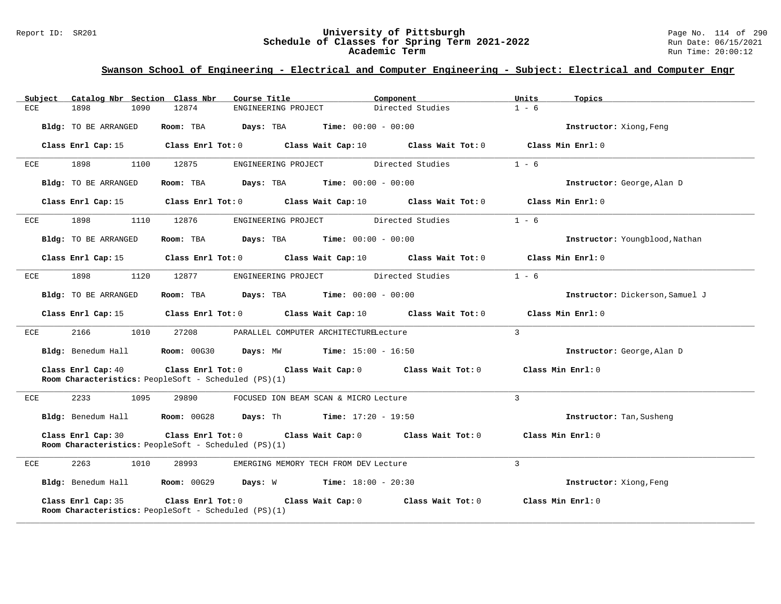#### Report ID: SR201 **University of Pittsburgh** Page No. 114 of 290 **Schedule of Classes for Spring Term 2021-2022** Run Date: 06/15/2021 **Academic Term** Run Time: 20:00:12

| Subject              |      | Catalog Nbr Section Class Nbr                               | Course Title                                                                              | Component                                                                                 | Units<br>Topics                 |  |
|----------------------|------|-------------------------------------------------------------|-------------------------------------------------------------------------------------------|-------------------------------------------------------------------------------------------|---------------------------------|--|
| <b>ECE</b><br>1898   | 1090 | 12874                                                       | ENGINEERING PROJECT                                                                       | Directed Studies                                                                          | $1 - 6$                         |  |
| Bldg: TO BE ARRANGED |      | Room: TBA                                                   | Days: TBA                                                                                 | <b>Time:</b> $00:00 - 00:00$                                                              | Instructor: Xiong, Feng         |  |
| Class Enrl Cap: 15   |      |                                                             | Class Enrl Tot: $0$ Class Wait Cap: $10$ Class Wait Tot: $0$                              |                                                                                           | Class Min Enrl: 0               |  |
| 1898<br>ECE          | 1100 | 12875                                                       | ENGINEERING PROJECT                                                                       | Directed Studies                                                                          | $1 - 6$                         |  |
| Bldg: TO BE ARRANGED |      | Room: TBA                                                   | <b>Days:</b> TBA <b>Time:</b> $00:00 - 00:00$                                             |                                                                                           | Instructor: George, Alan D      |  |
|                      |      |                                                             |                                                                                           | Class Enrl Cap: 15 Class Enrl Tot: 0 Class Wait Cap: 10 Class Wait Tot: 0                 | Class Min Enrl: 0               |  |
| 1898<br>ECE          | 1110 | 12876                                                       | ENGINEERING PROJECT Directed Studies                                                      |                                                                                           | $1 - 6$                         |  |
| Bldg: TO BE ARRANGED |      |                                                             | Room: TBA $Days:$ TBA $Time: 00:00 - 00:00$                                               |                                                                                           | Instructor: Youngblood, Nathan  |  |
|                      |      |                                                             |                                                                                           | Class Enrl Cap:15 $\,$ Class Enrl Tot:0 $\,$ Class Wait Cap:10 $\,$ Class Wait Tot:0 $\,$ | Class Min Enrl: 0               |  |
| 1898<br>ECE          | 1120 | 12877                                                       | ENGINEERING PROJECT Directed Studies                                                      |                                                                                           | $1 - 6$                         |  |
| Bldg: TO BE ARRANGED |      |                                                             | Room: TBA Days: TBA Time: $00:00 - 00:00$                                                 |                                                                                           | Instructor: Dickerson, Samuel J |  |
|                      |      |                                                             |                                                                                           | Class Enrl Cap:15 $\,$ Class Enrl Tot:0 $\,$ Class Wait Cap:10 $\,$ Class Wait Tot:0 $\,$ | Class Min Enrl: 0               |  |
| 2166<br>ECE          | 1010 | 27208                                                       | PARALLEL COMPUTER ARCHITECTURELecture                                                     |                                                                                           | $\mathbf{3}$                    |  |
|                      |      |                                                             | Bldg: Benedum Hall <b>Room:</b> 00G30 <b>Days:</b> MW <b>Time:</b> 15:00 - 16:50          |                                                                                           | Instructor: George, Alan D      |  |
| Class Enrl Cap: 40   |      | Room Characteristics: PeopleSoft - Scheduled (PS)(1)        |                                                                                           | Class Enrl Tot: $0$ Class Wait Cap: $0$ Class Wait Tot: $0$ Class Min Enrl: $0$           |                                 |  |
| 2233<br>ECE          | 1095 | 29890                                                       | FOCUSED ION BEAM SCAN & MICRO Lecture                                                     |                                                                                           | $\mathbf{3}$                    |  |
|                      |      |                                                             | <b>Bldg:</b> Benedum Hall <b>Room:</b> 00G28 <b>Days:</b> Th <b>Time:</b> $17:20 - 19:50$ |                                                                                           | Instructor: Tan, Susheng        |  |
| Class Enrl Cap: 30   |      | Room Characteristics: PeopleSoft - Scheduled (PS)(1)        |                                                                                           | Class Enrl Tot: $0$ Class Wait Cap: $0$ Class Wait Tot: $0$ Class Min Enrl: $0$           |                                 |  |
| 2263<br>ECE          | 1010 | 28993                                                       | EMERGING MEMORY TECH FROM DEV Lecture                                                     |                                                                                           | $\mathbf{3}$                    |  |
|                      |      |                                                             | Bldg: Benedum Hall Room: 00G29 Days: W Time: 18:00 - 20:30                                |                                                                                           | Instructor: Xiong, Feng         |  |
| Class Enrl Cap: 35   |      | <b>Room Characteristics:</b> PeopleSoft - Scheduled (PS)(1) |                                                                                           | Class Enrl Tot: $0$ Class Wait Cap: $0$ Class Wait Tot: $0$                               | Class Min Enrl: 0               |  |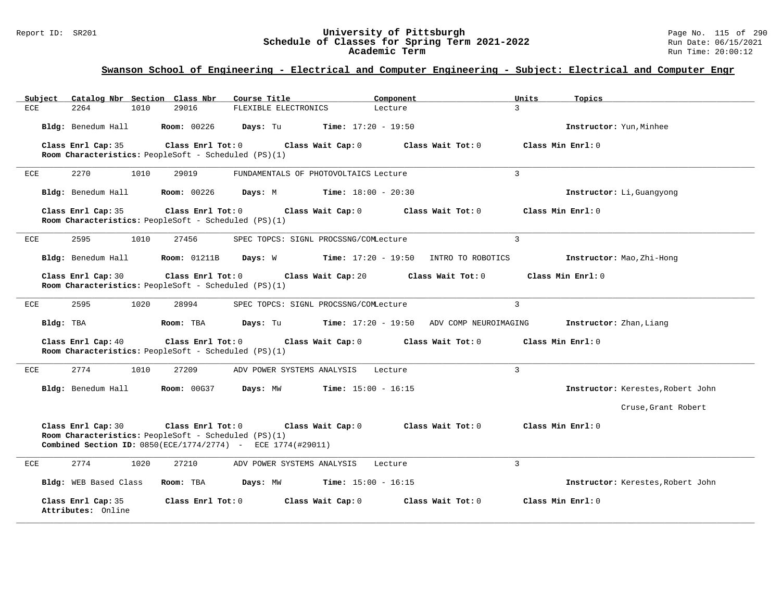#### Report ID: SR201 **University of Pittsburgh** Page No. 115 of 290 **Schedule of Classes for Spring Term 2021-2022** Run Date: 06/15/2021 **Academic Term** Run Time: 20:00:12

| Subject                                                                    | Catalog Nbr Section Class Nbr                                                                                                                                                                                    | Course Title                          | Component                                   |                   | Units             | Topics                            |  |  |
|----------------------------------------------------------------------------|------------------------------------------------------------------------------------------------------------------------------------------------------------------------------------------------------------------|---------------------------------------|---------------------------------------------|-------------------|-------------------|-----------------------------------|--|--|
| 2264<br>1010<br>ECE                                                        | 29016                                                                                                                                                                                                            | FLEXIBLE ELECTRONICS                  | Lecture                                     |                   | $\mathcal{L}$     |                                   |  |  |
| Bldg: Benedum Hall                                                         | <b>Room: 00226</b>                                                                                                                                                                                               | Days: Tu                              | <b>Time:</b> $17:20 - 19:50$                |                   |                   | Instructor: Yun, Minhee           |  |  |
| Class Enrl Cap: 35<br>Room Characteristics: PeopleSoft - Scheduled (PS)(1) | Class Enrl Tot: 0                                                                                                                                                                                                | Class Wait Cap: 0                     |                                             | Class Wait Tot: 0 | Class Min Enrl: 0 |                                   |  |  |
| 2270<br>1010<br>ECE                                                        | 29019                                                                                                                                                                                                            | FUNDAMENTALS OF PHOTOVOLTAICS Lecture |                                             |                   | 3                 |                                   |  |  |
| Bldg: Benedum Hall                                                         | <b>Room: 00226</b>                                                                                                                                                                                               | Days: M                               | <b>Time:</b> $18:00 - 20:30$                |                   |                   | Instructor: Li, Guangyong         |  |  |
| Class Enrl Cap: 35<br>Room Characteristics: PeopleSoft - Scheduled (PS)(1) | Class Enrl Tot: 0                                                                                                                                                                                                | Class Wait Cap: 0                     |                                             | Class Wait Tot: 0 | Class Min Enrl: 0 |                                   |  |  |
| 2595<br>1010<br>ECE                                                        | 27456                                                                                                                                                                                                            | SPEC TOPCS: SIGNL PROCSSNG/COMLecture |                                             |                   | 3                 |                                   |  |  |
| Bldg: Benedum Hall                                                         | <b>Room:</b> 01211B                                                                                                                                                                                              | Days: W                               | $Time: 17:20 - 19:50$ INTRO TO ROBOTICS     |                   |                   | Instructor: Mao, Zhi-Hong         |  |  |
| Class Enrl Cap: 30                                                         | Class Enrl Tot: 0<br>Class Wait Cap: 20<br>Class Wait Tot: 0<br>Class Min Enrl: 0<br>Room Characteristics: PeopleSoft - Scheduled (PS)(1)                                                                        |                                       |                                             |                   |                   |                                   |  |  |
| ECE<br>2595<br>1020                                                        | 28994                                                                                                                                                                                                            | SPEC TOPCS: SIGNL PROCSSNG/COMLecture |                                             |                   | 3                 |                                   |  |  |
| Bldg: TBA                                                                  | Room: TBA                                                                                                                                                                                                        | Days: Tu                              | $Time: 17:20 - 19:50$ ADV COMP NEUROIMAGING |                   |                   | Instructor: Zhan, Liang           |  |  |
| Class Enrl Cap: 40<br>Room Characteristics: PeopleSoft - Scheduled (PS)(1) | Class Enrl Tot: 0                                                                                                                                                                                                | Class Wait Cap: 0                     |                                             | Class Wait Tot: 0 | Class Min Enrl: 0 |                                   |  |  |
| 2774<br>1010<br>ECE                                                        | 27209                                                                                                                                                                                                            | ADV POWER SYSTEMS ANALYSIS            | Lecture                                     |                   | $\mathbf{3}$      |                                   |  |  |
| Bldg: Benedum Hall                                                         | <b>Room: 00G37</b>                                                                                                                                                                                               | Days: MW                              | <b>Time:</b> $15:00 - 16:15$                |                   |                   | Instructor: Kerestes, Robert John |  |  |
|                                                                            |                                                                                                                                                                                                                  |                                       |                                             |                   |                   | Cruse, Grant Robert               |  |  |
| Class Enrl Cap: 30                                                         | Class Enrl Tot: 0<br>Class Wait Tot: 0<br>Class Min Enrl: 0<br>Class Wait Cap: 0<br>Room Characteristics: PeopleSoft - Scheduled (PS)(1)<br><b>Combined Section ID:</b> $0850(ECE/1774/2774) - ECE 1774(#29011)$ |                                       |                                             |                   |                   |                                   |  |  |
| 2774<br>1020<br>ECE                                                        | 27210                                                                                                                                                                                                            | ADV POWER SYSTEMS ANALYSIS            | Lecture                                     |                   | 3                 |                                   |  |  |
| Bldg: WEB Based Class                                                      | Room: TBA                                                                                                                                                                                                        | Days: MW                              | <b>Time:</b> $15:00 - 16:15$                |                   |                   | Instructor: Kerestes, Robert John |  |  |
| Class Enrl Cap: 35<br>Attributes: Online                                   | Class Enrl Tot: 0                                                                                                                                                                                                | Class Wait Cap: 0                     |                                             | Class Wait Tot: 0 | Class Min Enrl: 0 |                                   |  |  |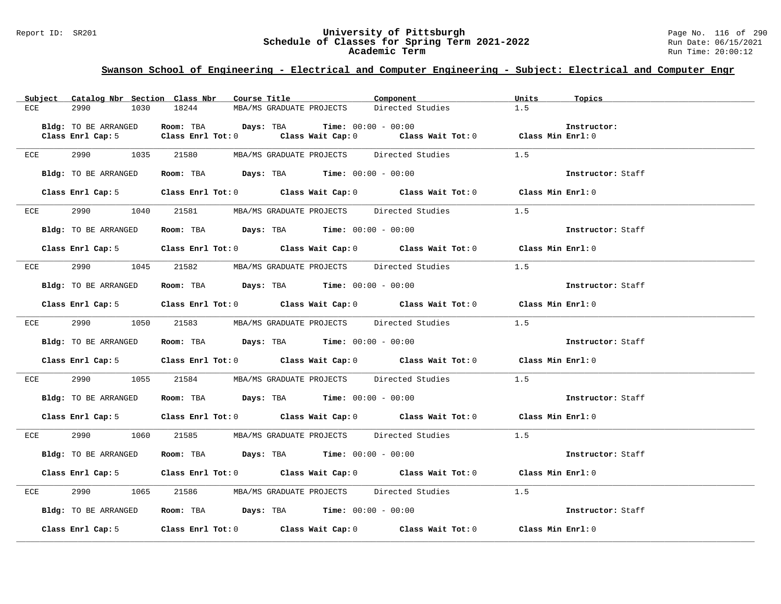#### Report ID: SR201 **University of Pittsburgh** Page No. 116 of 290 **Schedule of Classes for Spring Term 2021-2022** Run Date: 06/15/2021 **Academic Term** Run Time: 20:00:12

|     |                      | Subject Catalog Nbr Section Class Nbr Course Title                                        | Component                                     | Units<br>Topics   |
|-----|----------------------|-------------------------------------------------------------------------------------------|-----------------------------------------------|-------------------|
| ECE | 2990<br>1030         | 18244<br>MBA/MS GRADUATE PROJECTS                                                         | Directed Studies                              | 1.5               |
|     |                      |                                                                                           |                                               |                   |
|     | Bldg: TO BE ARRANGED | Room: TBA Days: TBA                                                                       | <b>Time:</b> $00:00 - 00:00$                  | Instructor:       |
|     |                      | Class Enrl Cap: 5 $\qquad$ Class Enrl Tot: 0 $\qquad$ Class Wait Cap: 0                   | Class Wait Tot: 0 Class Min Enrl: 0           |                   |
|     |                      |                                                                                           |                                               |                   |
| ECE | 2990 729             | 1035 21580                                                                                | MBA/MS GRADUATE PROJECTS Directed Studies 1.5 |                   |
|     | Bldg: TO BE ARRANGED | Room: TBA $\rule{1em}{0.15mm}$ Days: TBA Time: $00:00 - 00:00$                            |                                               | Instructor: Staff |
|     |                      |                                                                                           |                                               |                   |
|     |                      | Class Enrl Cap: 5 Class Enrl Tot: 0 Class Wait Cap: 0 Class Wait Tot: 0 Class Min Enrl: 0 |                                               |                   |
|     |                      |                                                                                           |                                               |                   |
| ECE | 2990 1040            | 21581 MBA/MS GRADUATE PROJECTS Directed Studies                                           | 1.5                                           |                   |
|     |                      |                                                                                           |                                               |                   |
|     | Bldg: TO BE ARRANGED | Room: TBA $Days:$ TBA Time: $00:00 - 00:00$                                               |                                               | Instructor: Staff |
|     |                      |                                                                                           |                                               |                   |
|     |                      | Class Enrl Cap: 5 Class Enrl Tot: 0 Class Wait Cap: 0 Class Wait Tot: 0 Class Min Enrl: 0 |                                               |                   |
|     |                      |                                                                                           |                                               |                   |
| ECE |                      | 2990 1045 21582 MBA/MS GRADUATE PROJECTS Directed Studies                                 | 1.5                                           |                   |
|     |                      | Room: TBA $Days:$ TBA $Time: 00:00 - 00:00$                                               |                                               |                   |
|     | Bldg: TO BE ARRANGED |                                                                                           |                                               | Instructor: Staff |
|     |                      | Class Enrl Cap: 5 Class Enrl Tot: 0 Class Wait Cap: 0 Class Wait Tot: 0 Class Min Enrl: 0 |                                               |                   |
|     |                      |                                                                                           |                                               |                   |
| ECE | 2990 700             | 1050 21583 MBA/MS GRADUATE PROJECTS Directed Studies                                      |                                               | 1.5               |
|     |                      |                                                                                           |                                               |                   |
|     | Bldg: TO BE ARRANGED | Room: TBA $\rule{1em}{0.15mm}$ Days: TBA Time: $00:00 - 00:00$                            |                                               | Instructor: Staff |
|     |                      |                                                                                           |                                               |                   |
|     |                      | Class Enrl Cap: 5 Class Enrl Tot: 0 Class Wait Cap: 0 Class Wait Tot: 0 Class Min Enrl: 0 |                                               |                   |
|     |                      | 2990 1055 21584 MBA/MS GRADUATE PROJECTS Directed Studies 1.5                             |                                               |                   |
| ECE |                      |                                                                                           |                                               |                   |
|     | Bldg: TO BE ARRANGED | Room: TBA $\rule{1em}{0.15mm}$ Days: TBA Time: $00:00 - 00:00$                            |                                               | Instructor: Staff |
|     |                      |                                                                                           |                                               |                   |
|     |                      | Class Enrl Cap: 5 Class Enrl Tot: 0 Class Wait Cap: 0 Class Wait Tot: 0 Class Min Enrl: 0 |                                               |                   |
|     |                      |                                                                                           |                                               |                   |
| ECE | 2990 720             | 1060 21585 MBA/MS GRADUATE PROJECTS Directed Studies                                      |                                               | 1.5               |
|     |                      |                                                                                           |                                               |                   |
|     | Bldg: TO BE ARRANGED | Room: TBA Days: TBA Time: $00:00 - 00:00$                                                 |                                               | Instructor: Staff |
|     |                      |                                                                                           |                                               |                   |
|     |                      | Class Enrl Cap: 5 Class Enrl Tot: 0 Class Wait Cap: 0 Class Wait Tot: 0 Class Min Enrl: 0 |                                               |                   |
|     |                      |                                                                                           |                                               |                   |
| ECE | 2990 72              | 1065 21586 MBA/MS GRADUATE PROJECTS Directed Studies                                      |                                               | 1.5               |
|     | Bldg: TO BE ARRANGED | Room: TBA $\rule{1em}{0.15mm}$ Days: TBA Time: $00:00 - 00:00$                            |                                               | Instructor: Staff |
|     |                      |                                                                                           |                                               |                   |
|     | Class Enrl Cap: 5    | Class Enrl Tot: 0 Class Wait Cap: 0 Class Wait Tot: 0 Class Min Enrl: 0                   |                                               |                   |
|     |                      |                                                                                           |                                               |                   |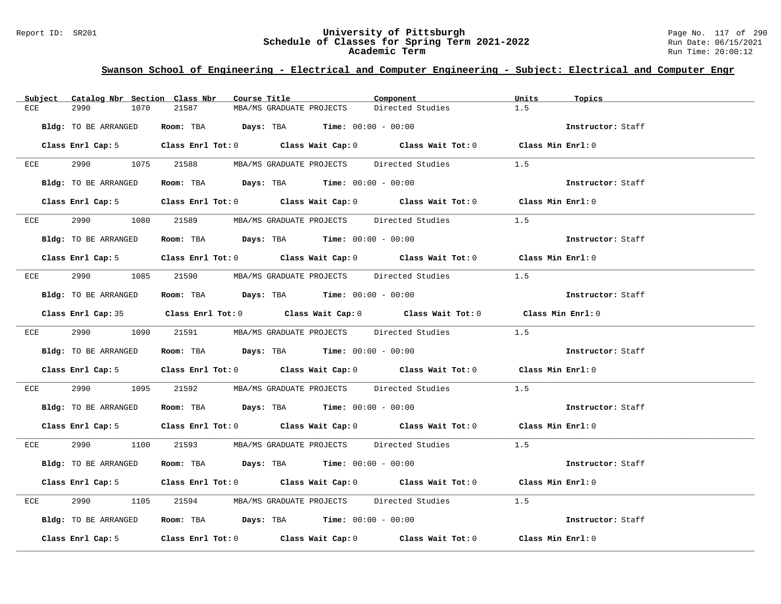#### Report ID: SR201 **University of Pittsburgh** Page No. 117 of 290 **Schedule of Classes for Spring Term 2021-2022** Run Date: 06/15/2021 **Academic Term** Run Time: 20:00:12

|     | Subject Catalog Nbr Section Class Nbr | Course Title                                                                                       | Component        | Units<br>Topics   |
|-----|---------------------------------------|----------------------------------------------------------------------------------------------------|------------------|-------------------|
| ECE | 2990<br>1070                          | 21587<br>MBA/MS GRADUATE PROJECTS                                                                  | Directed Studies | 1.5               |
|     | Bldg: TO BE ARRANGED                  | <b>Room:</b> TBA $Days: TBA$ <b>Time:</b> $00:00 - 00:00$                                          |                  | Instructor: Staff |
|     |                                       | Class Enrl Cap: 5 Class Enrl Tot: 0 Class Wait Cap: 0 Class Wait Tot: 0 Class Min Enrl: 0          |                  |                   |
|     |                                       | ECE 2990 1075 21588 MBA/MS GRADUATE PROJECTS Directed Studies                                      |                  | 1.5               |
|     | Bldg: TO BE ARRANGED                  | Room: TBA $Days:$ TBA $Time: 00:00 - 00:00$                                                        |                  | Instructor: Staff |
|     |                                       | Class Enrl Cap: 5 Class Enrl Tot: 0 Class Wait Cap: 0 Class Wait Tot: 0 Class Min Enrl: 0          |                  |                   |
|     | ECE 2990                              | 1080 21589 MBA/MS GRADUATE PROJECTS Directed Studies                                               |                  | 1.5               |
|     | Bldg: TO BE ARRANGED                  | Room: TBA $\rule{1em}{0.15mm}$ Days: TBA Time: $00:00 - 00:00$                                     |                  | Instructor: Staff |
|     |                                       | Class Enrl Cap: 5 Class Enrl Tot: 0 Class Wait Cap: 0 Class Wait Tot: 0 Class Min Enrl: 0          |                  |                   |
|     |                                       | ECE 2990 1085 21590 MBA/MS GRADUATE PROJECTS Directed Studies                                      |                  | 1.5               |
|     | Bldg: TO BE ARRANGED                  | Room: TBA Days: TBA Time: $00:00 - 00:00$                                                          |                  | Instructor: Staff |
|     |                                       | Class Enrl Cap: 35 Class Enrl Tot: 0 Class Wait Cap: 0 Class Wait Tot: 0 Class Min Enrl: 0         |                  |                   |
|     |                                       | ECE 2990 1090 21591 MBA/MS GRADUATE PROJECTS Directed Studies 1.5                                  |                  |                   |
|     | Bldg: TO BE ARRANGED                  | Room: TBA $\rule{1em}{0.15mm}$ Days: TBA Time: $00:00 - 00:00$                                     |                  | Instructor: Staff |
|     |                                       | Class Enrl Cap: 5 Class Enrl Tot: 0 Class Wait Cap: 0 Class Wait Tot: 0 Class Min Enrl: 0          |                  |                   |
| ECE | 2990 700                              | 1095 21592 MBA/MS GRADUATE PROJECTS Directed Studies                                               |                  | 1.5               |
|     | Bldg: TO BE ARRANGED                  | Room: TBA $Days:$ TBA $Time:$ 00:00 - 00:00                                                        |                  | Instructor: Staff |
|     |                                       | Class Enrl Cap: 5 Class Enrl Tot: 0 Class Wait Cap: 0 Class Wait Tot: 0 Class Min Enrl: 0          |                  |                   |
|     |                                       | ECE 2990 1100 21593 MBA/MS GRADUATE PROJECTS Directed Studies 1.5                                  |                  |                   |
|     | Bldg: TO BE ARRANGED                  | Room: TBA $\rule{1em}{0.15mm}$ Days: TBA Time: $00:00 - 00:00$                                     |                  | Instructor: Staff |
|     |                                       | Class Enrl Cap: 5 Class Enrl Tot: 0 Class Wait Cap: 0 Class Wait Tot: 0 Class Min Enrl: 0          |                  |                   |
| ECE | 2990<br>1105                          | 21594 MBA/MS GRADUATE PROJECTS Directed Studies                                                    |                  | 1.5               |
|     | Bldg: TO BE ARRANGED                  | Room: TBA $Days: TBA$ Time: $00:00 - 00:00$                                                        |                  | Instructor: Staff |
|     |                                       | Class Enrl Cap: 5 $\qquad$ Class Enrl Tot: 0 $\qquad$ Class Wait Cap: 0 $\qquad$ Class Wait Tot: 0 |                  | Class Min Enrl: 0 |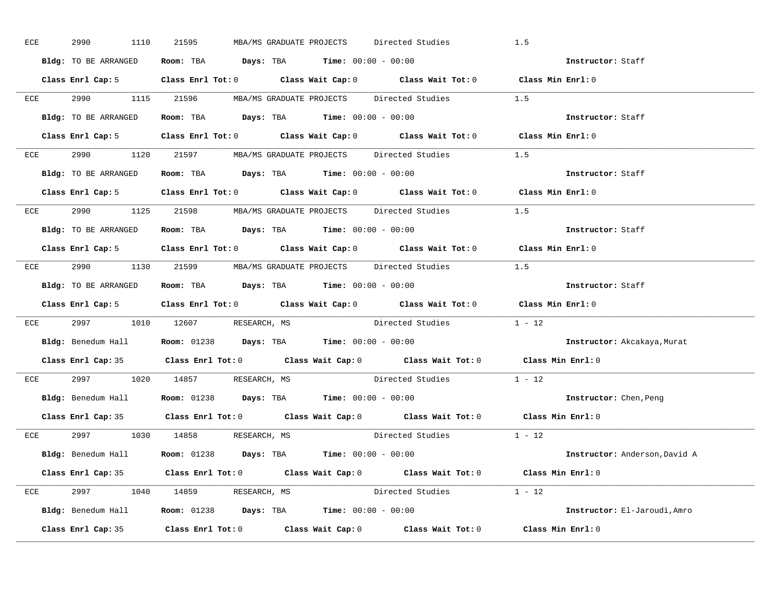| ECE | 2990<br>1110         | 21595<br>MBA/MS GRADUATE PROJECTS                                                          | Directed Studies                                                                           | 1.5                           |
|-----|----------------------|--------------------------------------------------------------------------------------------|--------------------------------------------------------------------------------------------|-------------------------------|
|     | Bldg: TO BE ARRANGED | Room: TBA $\rule{1em}{0.15mm}$ Days: TBA $\rule{1.15mm}]{0.15mm}$ Time: $0.000 - 0.0000$   |                                                                                            | Instructor: Staff             |
|     |                      |                                                                                            | Class Enrl Cap: 5 Class Enrl Tot: 0 Class Wait Cap: 0 Class Wait Tot: 0 Class Min Enrl: 0  |                               |
|     |                      |                                                                                            | ECE 2990 1115 21596 MBA/MS GRADUATE PROJECTS Directed Studies 1.5                          |                               |
|     | Bldg: TO BE ARRANGED | Room: TBA $Days:$ TBA $Time: 00:00 - 00:00$                                                |                                                                                            | Instructor: Staff             |
|     |                      |                                                                                            | Class Enrl Cap: 5 Class Enrl Tot: 0 Class Wait Cap: 0 Class Wait Tot: 0 Class Min Enrl: 0  |                               |
|     |                      |                                                                                            | ECE 2990 1120 21597 MBA/MS GRADUATE PROJECTS Directed Studies 1.5                          |                               |
|     |                      | <b>Bldg:</b> TO BE ARRANGED <b>Room:</b> TBA <b>Days:</b> TBA <b>Time:</b> $00:00 - 00:00$ |                                                                                            | Instructor: Staff             |
|     |                      |                                                                                            | Class Enrl Cap: 5 Class Enrl Tot: 0 Class Wait Cap: 0 Class Wait Tot: 0 Class Min Enrl: 0  |                               |
|     |                      |                                                                                            | ECE 2990 1125 21598 MBA/MS GRADUATE PROJECTS Directed Studies 1.5                          |                               |
|     | Bldg: TO BE ARRANGED | <b>Room:</b> TBA $Days:$ TBA $Time: 00:00 - 00:00$                                         |                                                                                            | Instructor: Staff             |
|     |                      |                                                                                            | Class Enrl Cap: 5 Class Enrl Tot: 0 Class Wait Cap: 0 Class Wait Tot: 0 Class Min Enrl: 0  |                               |
|     |                      |                                                                                            | ECE 2990 1130 21599 MBA/MS GRADUATE PROJECTS Directed Studies 1.5                          |                               |
|     |                      | Bldg: TO BE ARRANGED Room: TBA Days: TBA Time: 00:00 - 00:00                               |                                                                                            | Instructor: Staff             |
|     |                      |                                                                                            |                                                                                            |                               |
|     |                      |                                                                                            | Class Enrl Cap: 5 Class Enrl Tot: 0 Class Wait Cap: 0 Class Wait Tot: 0 Class Min Enrl: 0  |                               |
|     |                      |                                                                                            | ECE 2997 1010 12607 RESEARCH, MS Directed Studies 1 - 12                                   |                               |
|     |                      | Bldg: Benedum Hall <b>Room:</b> 01238 <b>Days: TBA Time:</b> 00:00 - 00:00                 |                                                                                            | Instructor: Akcakaya, Murat   |
|     |                      |                                                                                            | Class Enrl Cap: 35 Class Enrl Tot: 0 Class Wait Cap: 0 Class Wait Tot: 0 Class Min Enrl: 0 |                               |
| ECE |                      | 2997 1020 14857 RESEARCH, MS                                                               | Directed Studies                                                                           | $1 - 12$                      |
|     |                      | Bldg: Benedum Hall <b>Room:</b> 01238 <b>Days:</b> TBA <b>Time:</b> 00:00 - 00:00          |                                                                                            | <b>Instructor:</b> Chen, Peng |
|     |                      |                                                                                            | Class Enrl Cap: 35 Class Enrl Tot: 0 Class Wait Cap: 0 Class Wait Tot: 0 Class Min Enrl: 0 |                               |
|     |                      | ECE 2997 1030 14858 RESEARCH, MS                                                           | Directed Studies 1 - 12                                                                    |                               |
|     |                      | Bldg: Benedum Hall <b>Room:</b> 01238 <b>Days:</b> TBA <b>Time:</b> 00:00 - 00:00          |                                                                                            | Instructor: Anderson, David A |
|     |                      |                                                                                            | Class Enrl Cap: 35 Class Enrl Tot: 0 Class Wait Cap: 0 Class Wait Tot: 0 Class Min Enrl: 0 |                               |
|     |                      | ECE 2997 1040 14859 RESEARCH, MS                                                           | Directed Studies 1 - 12                                                                    |                               |
|     |                      | <b>Bldg:</b> Benedum Hall <b>Room:</b> 01238 <b>Days:</b> TBA <b>Time:</b> $00:00 - 00:00$ |                                                                                            | Instructor: El-Jaroudi, Amro  |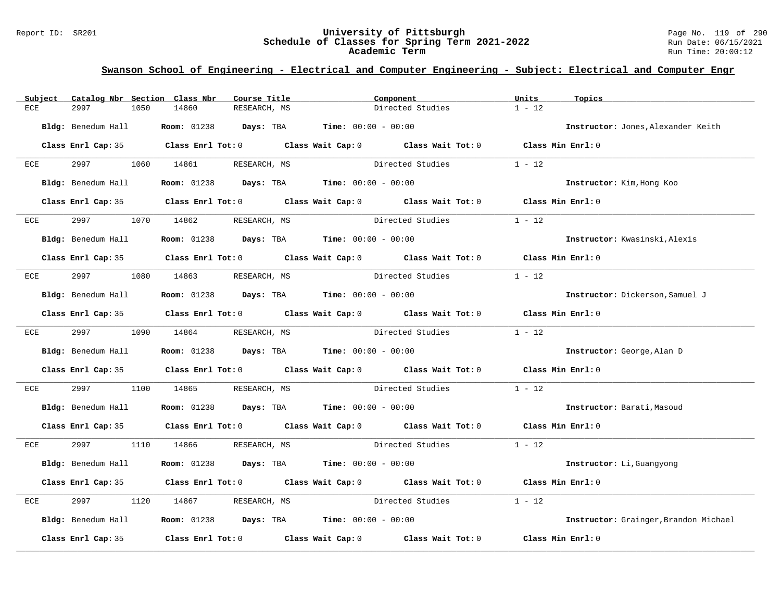#### Report ID: SR201 **University of Pittsburgh** Page No. 119 of 290 **Schedule of Classes for Spring Term 2021-2022** Run Date: 06/15/2021 **Academic Term** Run Time: 20:00:12

| Subject      | Catalog Nbr Section Class Nbr |                              | Course Title                                                                                 | Component                                                                                  | Units<br>Topics                       |  |
|--------------|-------------------------------|------------------------------|----------------------------------------------------------------------------------------------|--------------------------------------------------------------------------------------------|---------------------------------------|--|
| ECE          | 2997<br>1050                  | 14860                        | RESEARCH, MS                                                                                 | Directed Studies                                                                           | $1 - 12$                              |  |
|              | Bldg: Benedum Hall            |                              | <b>Room:</b> 01238 <b>Days:</b> TBA <b>Time:</b> $00:00 - 00:00$                             |                                                                                            | Instructor: Jones, Alexander Keith    |  |
|              |                               |                              |                                                                                              | Class Enrl Cap: 35 Class Enrl Tot: 0 Class Wait Cap: 0 Class Wait Tot: 0 Class Min Enrl: 0 |                                       |  |
| ECE          |                               | 2997 1060 14861              | RESEARCH, MS                                                                                 | Directed Studies                                                                           | $1 - 12$                              |  |
|              | Bldg: Benedum Hall            |                              | <b>Room:</b> $01238$ <b>Days:</b> TBA <b>Time:</b> $00:00 - 00:00$                           |                                                                                            | Instructor: Kim, Hong Koo             |  |
|              |                               |                              |                                                                                              | Class Enrl Cap: 35 Class Enrl Tot: 0 Class Wait Cap: 0 Class Wait Tot: 0 Class Min Enrl: 0 |                                       |  |
| ECE          | 2997                          | 1070 14862                   | RESEARCH, MS                                                                                 | Directed Studies                                                                           | $1 - 12$                              |  |
|              |                               |                              | $Bldq$ : Benedum Hall <b>Room:</b> 01238 <b>Days: TBA Time:</b> 00:00 - 00:00                |                                                                                            | Instructor: Kwasinski, Alexis         |  |
|              |                               |                              |                                                                                              | Class Enrl Cap: 35 Class Enrl Tot: 0 Class Wait Cap: 0 Class Wait Tot: 0 Class Min Enrl: 0 |                                       |  |
| ECE          | 2997 — 2007                   | 1080 14863 RESEARCH, MS      |                                                                                              | Directed Studies                                                                           | $1 - 12$                              |  |
|              | Bldg: Benedum Hall            |                              | <b>Room:</b> $01238$ <b>Days:</b> TBA <b>Time:</b> $00:00 - 00:00$                           |                                                                                            | Instructor: Dickerson, Samuel J       |  |
|              |                               |                              |                                                                                              | Class Enrl Cap: 35 Class Enrl Tot: 0 Class Wait Cap: 0 Class Wait Tot: 0 Class Min Enrl: 0 |                                       |  |
| ECE          | 2997                          | 1090 14864                   | RESEARCH, MS                                                                                 | Directed Studies 1 - 12                                                                    |                                       |  |
|              |                               |                              | <b>Bldg:</b> Benedum Hall <b>Room:</b> $01238$ <b>Days:</b> TBA <b>Time:</b> $00:00 - 00:00$ |                                                                                            | Instructor: George, Alan D            |  |
|              |                               |                              | Class Enrl Cap: 35 Class Enrl Tot: 0 Class Wait Cap: 0 Class Wait Tot: 0                     |                                                                                            | Class Min Enrl: 0                     |  |
| $_{\rm ECE}$ | 2997<br>1100                  | 14865                        |                                                                                              |                                                                                            | $1 - 12$                              |  |
|              |                               |                              | <b>Bldg:</b> Benedum Hall <b>Room:</b> 01238 <b>Days:</b> TBA <b>Time:</b> $00:00 - 00:00$   |                                                                                            | Instructor: Barati, Masoud            |  |
|              |                               |                              |                                                                                              | Class Enrl Cap: 35 Class Enrl Tot: 0 Class Wait Cap: 0 Class Wait Tot: 0 Class Min Enrl: 0 |                                       |  |
| ECE          |                               | 2997 1110 14866 RESEARCH, MS |                                                                                              | Directed Studies 1 - 12                                                                    |                                       |  |
|              | Bldg: Benedum Hall            |                              | <b>Room:</b> $01238$ <b>Days:</b> TBA <b>Time:</b> $00:00 - 00:00$                           |                                                                                            | Instructor: Li, Guangyong             |  |
|              |                               |                              | Class Enrl Cap: 35 Class Enrl Tot: 0 Class Wait Cap: 0 Class Wait Tot: 0                     |                                                                                            | Class Min Enrl: 0                     |  |
| ECE          | 2997<br>1120                  | 14867                        | RESEARCH, MS                                                                                 | Directed Studies                                                                           | $1 - 12$                              |  |
|              |                               |                              | $Bldq$ : Benedum Hall <b>Room:</b> 01238 <b>Days:</b> TBA <b>Time:</b> $00:00 - 00:00$       |                                                                                            | Instructor: Grainger, Brandon Michael |  |
|              | Class Enrl Cap: 35            |                              |                                                                                              | Class Enrl Tot: $0$ Class Wait Cap: $0$ Class Wait Tot: $0$                                | Class Min Enrl: 0                     |  |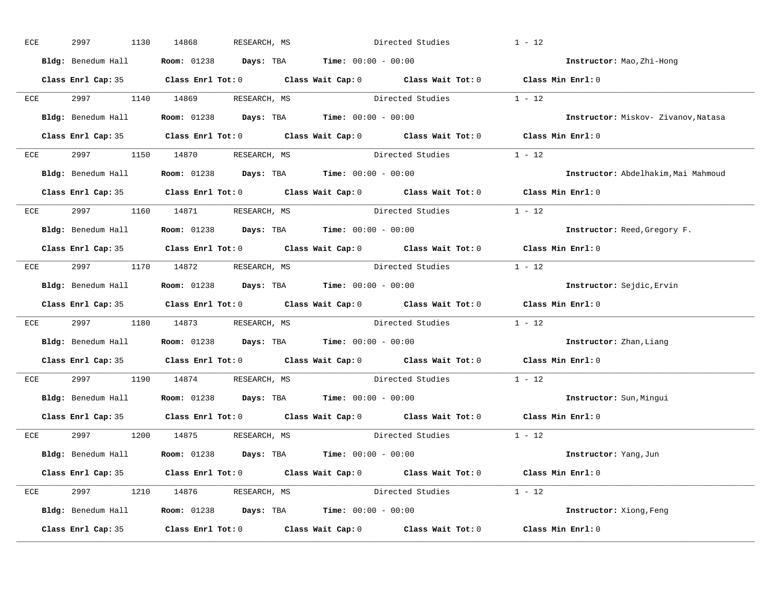| ECE | 2997 | 1130 | 14868 | RESEARCH, MS                     | Directed Studies                                                                           |                                                                                            | $1 - 12$                            |
|-----|------|------|-------|----------------------------------|--------------------------------------------------------------------------------------------|--------------------------------------------------------------------------------------------|-------------------------------------|
|     |      |      |       |                                  | Bldg: Benedum Hall <b>Room:</b> 01238 <b>Days: TBA Time:</b> 00:00 - 00:00                 |                                                                                            | Instructor: Mao, Zhi-Hong           |
|     |      |      |       |                                  |                                                                                            | Class Enrl Cap: 35 Class Enrl Tot: 0 Class Wait Cap: 0 Class Wait Tot: 0 Class Min Enrl: 0 |                                     |
|     |      |      |       |                                  |                                                                                            | ECE 2997 1140 14869 RESEARCH, MS Directed Studies 1 - 12                                   |                                     |
|     |      |      |       |                                  | Bldg: Benedum Hall <b>Room:</b> 01238 <b>Days:</b> TBA <b>Time:</b> 00:00 - 00:00          |                                                                                            | Instructor: Miskov- Zivanov, Natasa |
|     |      |      |       |                                  |                                                                                            | Class Enrl Cap: 35 Class Enrl Tot: 0 Class Wait Cap: 0 Class Wait Tot: 0 Class Min Enrl: 0 |                                     |
|     |      |      |       | ECE 2997 1150 14870 RESEARCH, MS |                                                                                            | Directed Studies 1 - 12                                                                    |                                     |
|     |      |      |       |                                  | Bldg: Benedum Hall Room: 01238 Days: TBA Time: 00:00 - 00:00                               |                                                                                            | Instructor: Abdelhakim, Mai Mahmoud |
|     |      |      |       |                                  |                                                                                            | Class Enrl Cap: 35 Class Enrl Tot: 0 Class Wait Cap: 0 Class Wait Tot: 0 Class Min Enrl: 0 |                                     |
|     |      |      |       | ECE 2997 1160 14871 RESEARCH, MS |                                                                                            | Directed Studies 1 - 12                                                                    |                                     |
|     |      |      |       |                                  | Bldg: Benedum Hall <b>Room:</b> 01238 <b>Days: TBA Time:</b> 00:00 - 00:00                 |                                                                                            | Instructor: Reed, Gregory F.        |
|     |      |      |       |                                  |                                                                                            | Class Enrl Cap: 35 Class Enrl Tot: 0 Class Wait Cap: 0 Class Wait Tot: 0 Class Min Enrl: 0 |                                     |
|     |      |      |       | ECE 2997 1170 14872 RESEARCH, MS |                                                                                            | Directed Studies 1 - 12                                                                    |                                     |
|     |      |      |       |                                  | Bldg: Benedum Hall <b>Room:</b> 01238 <b>Days: TBA Time:</b> 00:00 - 00:00                 |                                                                                            | Instructor: Sejdic, Ervin           |
|     |      |      |       |                                  |                                                                                            | Class Enrl Cap: 35 Class Enrl Tot: 0 Class Wait Cap: 0 Class Wait Tot: 0 Class Min Enrl: 0 |                                     |
| ECE |      |      |       |                                  |                                                                                            | 2997 1180 14873 RESEARCH, MS Directed Studies 1 - 12                                       |                                     |
|     |      |      |       |                                  | Bldg: Benedum Hall <b>Room:</b> 01238 <b>Days: TBA Time:</b> 00:00 - 00:00                 |                                                                                            | Instructor: Zhan, Liang             |
|     |      |      |       |                                  |                                                                                            | Class Enrl Cap: 35 Class Enrl Tot: 0 Class Wait Cap: 0 Class Wait Tot: 0 Class Min Enrl: 0 |                                     |
| ECE |      |      |       | 2997 1190 14874 RESEARCH, MS     |                                                                                            | Directed Studies                                                                           | $1 - 12$                            |
|     |      |      |       |                                  | Bldg: Benedum Hall <b>Room:</b> 01238 <b>Days:</b> TBA <b>Time:</b> 00:00 - 00:00          |                                                                                            | Instructor: Sun, Minqui             |
|     |      |      |       |                                  |                                                                                            | Class Enrl Cap: 35 Class Enrl Tot: 0 Class Wait Cap: 0 Class Wait Tot: 0 Class Min Enrl: 0 |                                     |
|     |      |      |       | ECE 2997 1200 14875 RESEARCH, MS |                                                                                            | Directed Studies 1 - 12                                                                    |                                     |
|     |      |      |       |                                  | Bldg: Benedum Hall <b>Room:</b> 01238 <b>Days:</b> TBA <b>Time:</b> 00:00 - 00:00          |                                                                                            | Instructor: Yang, Jun               |
|     |      |      |       |                                  |                                                                                            | Class Enrl Cap: 35 Class Enrl Tot: 0 Class Wait Cap: 0 Class Wait Tot: 0 Class Min Enrl: 0 |                                     |
|     |      |      |       | ECE 2997 1210 14876 RESEARCH, MS |                                                                                            | Directed Studies 1 - 12                                                                    |                                     |
|     |      |      |       |                                  | <b>Bldg:</b> Benedum Hall <b>Room:</b> 01238 <b>Days:</b> TBA <b>Time:</b> $00:00 - 00:00$ |                                                                                            | Instructor: Xiong, Feng             |
|     |      |      |       |                                  |                                                                                            | Class Enrl Cap: 35 Class Enrl Tot: 0 Class Wait Cap: 0 Class Wait Tot: 0 Class Min Enrl: 0 |                                     |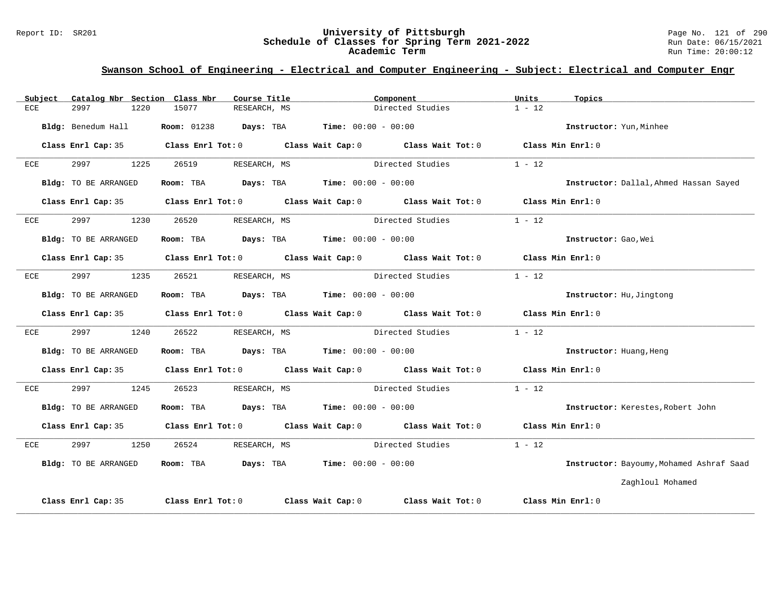#### Report ID: SR201 **University of Pittsburgh** Page No. 121 of 290 **Schedule of Classes for Spring Term 2021-2022** Run Date: 06/15/2021 **Academic Term** Run Time: 20:00:12

| Subject | Catalog Nbr Section Class Nbr | Course Title                                                                            | Component                                                                                  | Units<br>Topics                          |
|---------|-------------------------------|-----------------------------------------------------------------------------------------|--------------------------------------------------------------------------------------------|------------------------------------------|
| ECE     | 2997<br>1220                  | 15077<br>RESEARCH, MS                                                                   | Directed Studies                                                                           | $1 - 12$                                 |
|         | Bldg: Benedum Hall            | <b>Room:</b> $01238$ <b>Days:</b> TBA <b>Time:</b> $00:00 - 00:00$                      |                                                                                            | Instructor: Yun, Minhee                  |
|         |                               |                                                                                         | Class Enrl Cap: 35 Class Enrl Tot: 0 Class Wait Cap: 0 Class Wait Tot: 0 Class Min Enrl: 0 |                                          |
| ECE     | 2997<br>1225                  | 26519<br>RESEARCH, MS                                                                   | Directed Studies                                                                           | $1 - 12$                                 |
|         | Bldg: TO BE ARRANGED          | Room: TBA $\rule{1em}{0.15mm}$ Days: TBA $\rule{1.5mm}{0.15mm}$ Time: $00:00 - 00:00$   |                                                                                            | Instructor: Dallal, Ahmed Hassan Sayed   |
|         |                               |                                                                                         | Class Enrl Cap: 35 Class Enrl Tot: 0 Class Wait Cap: 0 Class Wait Tot: 0 Class Min Enrl: 0 |                                          |
| ECE     | 2997<br>1230                  | 26520<br>RESEARCH, MS                                                                   | Directed Studies                                                                           | $1 - 12$                                 |
|         | Bldg: TO BE ARRANGED          | Room: TBA $Days:$ TBA $Time: 00:00 - 00:00$                                             |                                                                                            | Instructor: Gao, Wei                     |
|         |                               |                                                                                         | Class Enrl Cap: 35 Class Enrl Tot: 0 Class Wait Cap: 0 Class Wait Tot: 0 Class Min Enrl: 0 |                                          |
| ECE     | 2997<br>1235                  | 26521                                                                                   | RESEARCH, MS Directed Studies                                                              | $1 - 12$                                 |
|         | Bldg: TO BE ARRANGED          | Room: TBA $\rule{1em}{0.15mm}$ Days: TBA $\rule{1.15mm}]{0.15mm}$ Time: $0.000 - 0.000$ |                                                                                            | Instructor: Hu, Jingtong                 |
|         |                               |                                                                                         | Class Enrl Cap: 35 Class Enrl Tot: 0 Class Wait Cap: 0 Class Wait Tot: 0 Class Min Enrl: 0 |                                          |
| ECE     | 2997<br>1240                  | 26522                                                                                   | RESEARCH, MS Directed Studies                                                              | $1 - 12$                                 |
|         | Bldg: TO BE ARRANGED          | Room: TBA $Days:$ TBA $Time: 00:00 - 00:00$                                             |                                                                                            | Instructor: Huang, Heng                  |
|         |                               |                                                                                         | Class Enrl Cap: 35 Class Enrl Tot: 0 Class Wait Cap: 0 Class Wait Tot: 0 Class Min Enrl: 0 |                                          |
| ECE     | 2997<br>1245                  | 26523                                                                                   |                                                                                            | $1 - 12$                                 |
|         | Bldg: TO BE ARRANGED          | Room: TBA $Days: TBA$ Time: $00:00 - 00:00$                                             |                                                                                            | Instructor: Kerestes, Robert John        |
|         |                               |                                                                                         | Class Enrl Cap: 35 Class Enrl Tot: 0 Class Wait Cap: 0 Class Wait Tot: 0 Class Min Enrl: 0 |                                          |
| ECE     | 2997<br>1250                  | 26524                                                                                   | RESEARCH, MS Directed Studies                                                              | $1 - 12$                                 |
|         | Bldg: TO BE ARRANGED          | Room: TBA $Days:$ TBA $Time: 00:00 - 00:00$                                             |                                                                                            | Instructor: Bayoumy, Mohamed Ashraf Saad |
|         |                               |                                                                                         |                                                                                            | Zaghloul Mohamed                         |
|         | Class Enrl Cap: 35            |                                                                                         | Class Enrl Tot: $0$ Class Wait Cap: $0$ Class Wait Tot: $0$ Class Min Enrl: $0$            |                                          |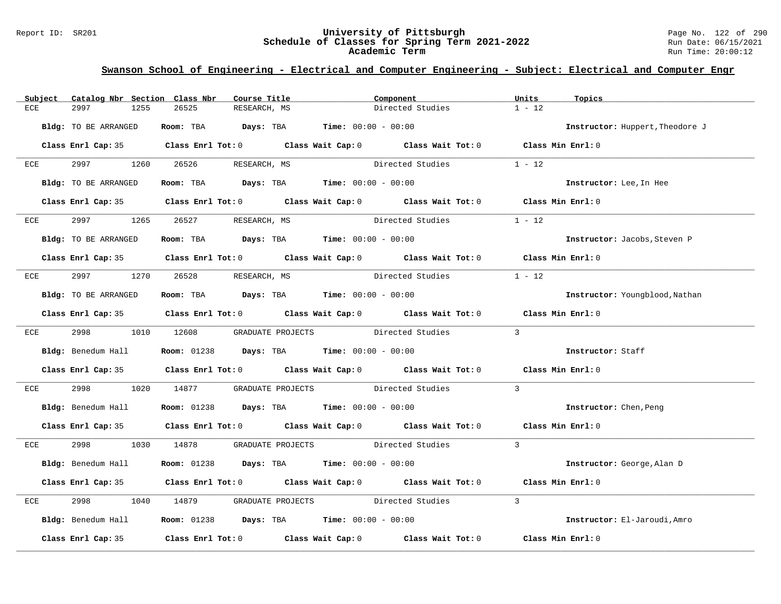#### Report ID: SR201 **University of Pittsburgh** Page No. 122 of 290 **Schedule of Classes for Spring Term 2021-2022** Run Date: 06/15/2021 **Academic Term** Run Time: 20:00:12

| Subject | Catalog Nbr Section Class Nbr | Course Title                                                                                 | Component                                                                                  | Units<br>Topics                 |
|---------|-------------------------------|----------------------------------------------------------------------------------------------|--------------------------------------------------------------------------------------------|---------------------------------|
| ECE     | 2997<br>1255                  | 26525<br>RESEARCH, MS                                                                        | Directed Studies                                                                           | $1 - 12$                        |
|         | Bldg: TO BE ARRANGED          | Room: TBA $Days:$ TBA $Time: 00:00 - 00:00$                                                  |                                                                                            | Instructor: Huppert, Theodore J |
|         |                               |                                                                                              | Class Enrl Cap: 35 Class Enrl Tot: 0 Class Wait Cap: 0 Class Wait Tot: 0 Class Min Enrl: 0 |                                 |
| ECE     |                               | 2997 1260 26526 RESEARCH, MS                                                                 | Directed Studies                                                                           | $1 - 12$                        |
|         | Bldg: TO BE ARRANGED          | Room: TBA $Days:$ TBA $Time:$ $00:00 - 00:00$                                                |                                                                                            | Instructor: Lee, In Hee         |
|         |                               |                                                                                              | Class Enrl Cap: 35 Class Enrl Tot: 0 Class Wait Cap: 0 Class Wait Tot: 0 Class Min Enrl: 0 |                                 |
| ECE     | 2997 — 2007                   | 1265 26527 RESEARCH, MS                                                                      | Directed Studies                                                                           | $1 - 12$                        |
|         | Bldg: TO BE ARRANGED          | Room: TBA $\rule{1em}{0.15mm}$ Days: TBA $\rule{1.5mm}{0.15mm}$ Time: $00:00 - 00:00$        |                                                                                            | Instructor: Jacobs, Steven P    |
|         |                               |                                                                                              | Class Enrl Cap: 35 Class Enrl Tot: 0 Class Wait Cap: 0 Class Wait Tot: 0 Class Min Enrl: 0 |                                 |
|         |                               | ECE 2997 1270 26528 RESEARCH, MS                                                             | Directed Studies                                                                           | $1 - 12$                        |
|         | Bldg: TO BE ARRANGED          | Room: TBA $Days:$ TBA $Time: 00:00 - 00:00$                                                  |                                                                                            | Instructor: Youngblood, Nathan  |
|         |                               |                                                                                              | Class Enrl Cap: 35 Class Enrl Tot: 0 Class Wait Cap: 0 Class Wait Tot: 0 Class Min Enrl: 0 |                                 |
|         |                               | ECE 2998 1010 12608 GRADUATE PROJECTS Directed Studies                                       | $\sim$ 3                                                                                   |                                 |
|         |                               | <b>Bldg:</b> Benedum Hall <b>Room:</b> $01238$ <b>Days:</b> TBA <b>Time:</b> $00:00 - 00:00$ |                                                                                            | Instructor: Staff               |
|         |                               |                                                                                              | Class Enrl Cap: 35 Class Enrl Tot: 0 Class Wait Cap: 0 Class Wait Tot: 0 Class Min Enrl: 0 |                                 |
| ECE     |                               |                                                                                              | 1020 14877 GRADUATE PROJECTS Directed Studies                                              | $\overline{3}$                  |
|         |                               | Bldg: Benedum Hall <b>Room:</b> 01238 <b>Days:</b> TBA <b>Time:</b> 00:00 - 00:00            |                                                                                            | Instructor: Chen, Peng          |
|         |                               |                                                                                              | Class Enrl Cap: 35 Class Enrl Tot: 0 Class Wait Cap: 0 Class Wait Tot: 0 Class Min Enrl: 0 |                                 |
|         |                               |                                                                                              | ECE 2998 1030 14878 GRADUATE PROJECTS Directed Studies 3                                   |                                 |
|         |                               | Bldg: Benedum Hall <b>Room:</b> 01238 <b>Days: TBA Time:</b> 00:00 - 00:00                   |                                                                                            | Instructor: George, Alan D      |
|         |                               |                                                                                              | Class Enrl Cap: 35 Class Enrl Tot: 0 Class Wait Cap: 0 Class Wait Tot: 0 Class Min Enrl: 0 |                                 |
| ECE     | 2998                          |                                                                                              | 1040 14879 GRADUATE PROJECTS Directed Studies                                              | $\overline{3}$                  |
|         |                               | Bldg: Benedum Hall <b>Room:</b> 01238 <b>Days: TBA Time:</b> 00:00 - 00:00                   |                                                                                            | Instructor: El-Jaroudi, Amro    |
|         |                               |                                                                                              | Class Enrl Cap: 35 Class Enrl Tot: 0 Class Wait Cap: 0 Class Wait Tot: 0 Class Min Enrl: 0 |                                 |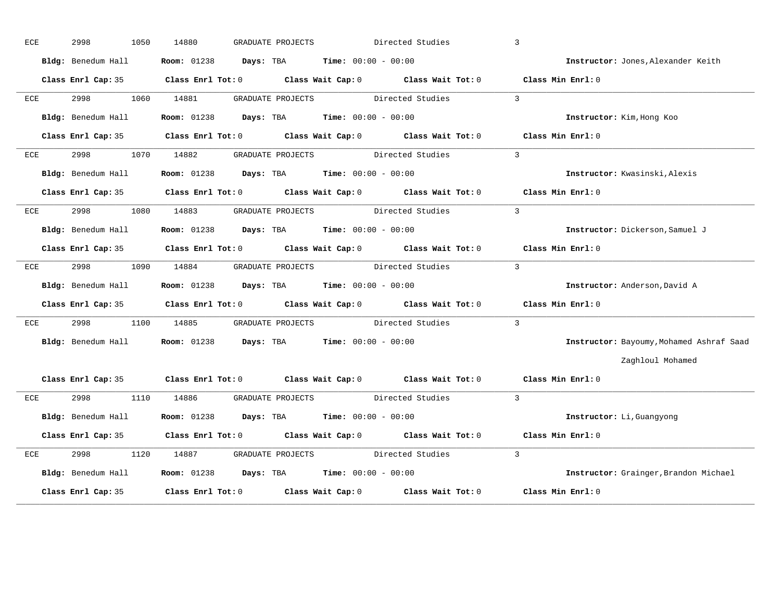| ECE          | 2998<br>1050       | 14880<br>GRADUATE PROJECTS                                                                   | Directed Studies         | $\overline{3}$                           |
|--------------|--------------------|----------------------------------------------------------------------------------------------|--------------------------|------------------------------------------|
|              | Bldg: Benedum Hall | <b>Room:</b> 01238 <b>Days:</b> TBA <b>Time:</b> $00:00 - 00:00$                             |                          | Instructor: Jones, Alexander Keith       |
|              |                    | Class Enrl Cap: 35 Class Enrl Tot: 0 Class Wait Cap: 0 Class Wait Tot: 0 Class Min Enrl: 0   |                          |                                          |
| ECE          | 2998 — 100         | 1060 14881<br>GRADUATE PROJECTS Directed Studies                                             |                          | $\overline{3}$                           |
|              | Bldg: Benedum Hall | <b>Room:</b> $01238$ <b>Days:</b> TBA <b>Time:</b> $00:00 - 00:00$                           |                          | Instructor: Kim, Hong Koo                |
|              |                    | Class Enrl Cap: 35 Class Enrl Tot: 0 Class Wait Cap: 0 Class Wait Tot: 0 Class Min Enrl: 0   |                          |                                          |
| ECE          | 2998               | GRADUATE PROJECTS Directed Studies<br>1070 14882                                             |                          | $\overline{3}$                           |
|              | Bldg: Benedum Hall | <b>Room:</b> $01238$ <b>Days:</b> TBA <b>Time:</b> $00:00 - 00:00$                           |                          | Instructor: Kwasinski, Alexis            |
|              |                    | Class Enrl Cap: 35 Class Enrl Tot: 0 Class Wait Cap: 0 Class Wait Tot: 0 Class Min Enrl: 0   |                          |                                          |
| ECE          |                    | GRADUATE PROJECTS Directed Studies<br>2998 1080 14883                                        |                          | $\mathbf{3}$                             |
|              | Bldg: Benedum Hall | <b>Room:</b> 01238 <b>Days:</b> TBA <b>Time:</b> $00:00 - 00:00$                             |                          | Instructor: Dickerson, Samuel J          |
|              |                    | Class Enrl Cap: 35 Class Enrl Tot: 0 Class Wait Cap: 0 Class Wait Tot: 0 Class Min Enrl: 0   |                          |                                          |
| ECE          |                    | GRADUATE PROJECTS<br>1090 14884                                                              | Directed Studies         | $\overline{3}$                           |
|              |                    | <b>Bldg:</b> Benedum Hall <b>Room:</b> $01238$ <b>Days:</b> TBA <b>Time:</b> $00:00 - 00:00$ |                          | Instructor: Anderson, David A            |
|              |                    | Class Enrl Cap: 35 Class Enrl Tot: 0 Class Wait Cap: 0 Class Wait Tot: 0 Class Min Enrl: 0   |                          |                                          |
| ECE          |                    | 2998 1100 14885 GRADUATE PROJECTS Directed Studies                                           | $\overline{\phantom{a}}$ |                                          |
|              | Bldg: Benedum Hall | <b>Room:</b> $01238$ <b>Days:</b> TBA <b>Time:</b> $00:00 - 00:00$                           |                          | Instructor: Bayoumy, Mohamed Ashraf Saad |
|              |                    |                                                                                              |                          | Zaghloul Mohamed                         |
|              |                    | Class Enrl Cap: 35 Class Enrl Tot: 0 Class Wait Cap: 0 Class Wait Tot: 0 Class Min Enrl: 0   |                          |                                          |
| $_{\rm ECE}$ |                    | 2998 1110 14886 GRADUATE PROJECTS Directed Studies                                           | $\sim$ 3                 |                                          |
|              | Bldg: Benedum Hall | <b>Room:</b> $01238$ <b>Days:</b> TBA <b>Time:</b> $00:00 - 00:00$                           |                          | Instructor: Li, Guangyong                |
|              |                    | Class Enrl Cap: 35 Class Enrl Tot: 0 Class Wait Cap: 0 Class Wait Tot: 0 Class Min Enrl: 0   |                          |                                          |
| ECE          | 2998<br>1120       | 14887<br>GRADUATE PROJECTS Directed Studies                                                  |                          | $\overline{3}$                           |
|              |                    | Bldg: Benedum Hall <b>Room:</b> 01238 <b>Days: TBA Time:</b> 00:00 - 00:00                   |                          | Instructor: Grainger, Brandon Michael    |
|              | Class Enrl Cap: 35 | Class Enrl Tot: 0 Class Wait Cap: 0 Class Wait Tot: 0                                        |                          | Class Min Enrl: 0                        |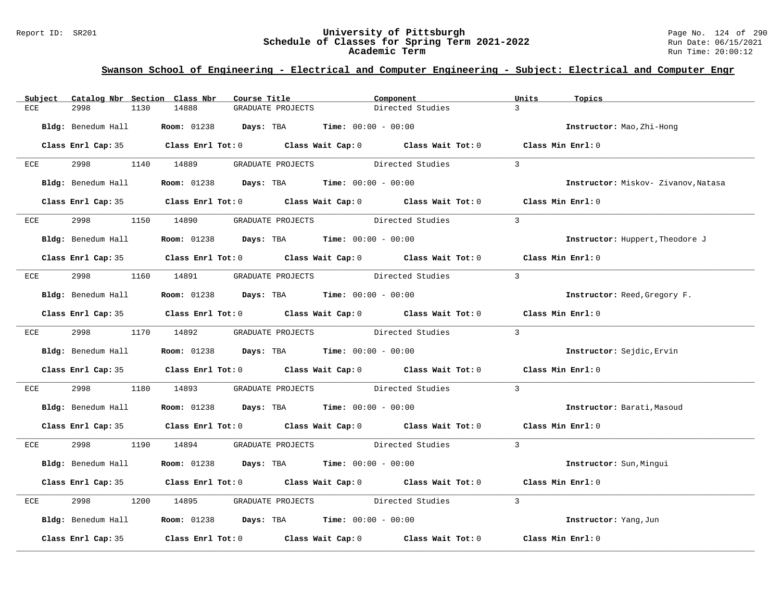#### Report ID: SR201 **University of Pittsburgh** Page No. 124 of 290 **Schedule of Classes for Spring Term 2021-2022** Run Date: 06/15/2021 **Academic Term** Run Time: 20:00:12

| Subject | Catalog Nbr Section Class Nbr | Course Title                                                                                 | Component                                                                                           | Units<br>Topics                     |
|---------|-------------------------------|----------------------------------------------------------------------------------------------|-----------------------------------------------------------------------------------------------------|-------------------------------------|
| ECE     | 2998<br>1130                  | 14888<br>GRADUATE PROJECTS                                                                   | Directed Studies                                                                                    | $\mathcal{E}$                       |
|         | Bldg: Benedum Hall            | <b>Room:</b> $01238$ <b>Days:</b> TBA <b>Time:</b> $00:00 - 00:00$                           |                                                                                                     | Instructor: Mao, Zhi-Hong           |
|         |                               |                                                                                              | Class Enrl Cap: 35 Class Enrl Tot: 0 Class Wait Cap: 0 Class Wait Tot: 0 Class Min Enrl: 0          |                                     |
| ECE     | 2998 1140 14889               |                                                                                              | GRADUATE PROJECTS Directed Studies                                                                  | $\mathbf{3}$                        |
|         |                               | <b>Bldg:</b> Benedum Hall <b>Room:</b> $01238$ <b>Days:</b> TBA <b>Time:</b> $00:00 - 00:00$ |                                                                                                     | Instructor: Miskov- Zivanov, Natasa |
|         |                               |                                                                                              | Class Enrl Cap: 35 Class Enrl Tot: 0 Class Wait Cap: 0 Class Wait Tot: 0 Class Min Enrl: 0          |                                     |
| ECE     |                               | 2998 1150 14890 GRADUATE PROJECTS Directed Studies                                           |                                                                                                     | $\overline{3}$                      |
|         |                               | <b>Bldg:</b> Benedum Hall <b>Room:</b> 01238 <b>Days:</b> TBA <b>Time:</b> $00:00 - 00:00$   |                                                                                                     | Instructor: Huppert, Theodore J     |
|         |                               |                                                                                              | Class Enrl Cap: 35 Class Enrl Tot: 0 Class Wait Cap: 0 Class Wait Tot: 0 Class Min Enrl: 0          |                                     |
|         |                               | ECE 2998 1160 14891 GRADUATE PROJECTS Directed Studies                                       |                                                                                                     | $\overline{3}$                      |
|         | Bldg: Benedum Hall            | <b>Room:</b> $01238$ <b>Days:</b> TBA <b>Time:</b> $00:00 - 00:00$                           |                                                                                                     | Instructor: Reed, Gregory F.        |
|         |                               |                                                                                              | Class Enrl Cap: 35 Class Enrl Tot: 0 Class Wait Cap: 0 Class Wait Tot: 0 Class Min Enrl: 0          |                                     |
|         |                               | ECE 2998 1170 14892 GRADUATE PROJECTS Directed Studies                                       |                                                                                                     | $\overline{\phantom{a}}$            |
|         |                               | Bldg: Benedum Hall <b>Room:</b> 01238 <b>Days: TBA Time:</b> 00:00 - 00:00                   |                                                                                                     | Instructor: Sejdic, Ervin           |
|         |                               |                                                                                              | Class Enrl Cap: 35 Class Enrl Tot: 0 Class Wait Cap: 0 Class Wait Tot: 0 Class Min Enrl: 0          |                                     |
| ECE     |                               |                                                                                              | 1180 14893 GRADUATE PROJECTS Directed Studies                                                       | $\overline{3}$                      |
|         |                               | Bldg: Benedum Hall <b>Room:</b> 01238 <b>Days: TBA Time:</b> 00:00 - 00:00                   |                                                                                                     | Instructor: Barati, Masoud          |
|         |                               |                                                                                              | Class Enrl Cap: 35 Class Enrl Tot: 0 Class Wait Cap: 0 Class Wait Tot: 0 Class Min Enrl: 0          |                                     |
|         |                               |                                                                                              | ECE 2998 1190 14894 GRADUATE PROJECTS Directed Studies 3                                            |                                     |
|         |                               | Bldg: Benedum Hall <b>Room:</b> 01238 <b>Days: TBA Time:</b> 00:00 - 00:00                   |                                                                                                     | Instructor: Sun, Mingui             |
|         |                               |                                                                                              | Class Enrl Cap: 35 Class Enrl Tot: 0 Class Wait Cap: 0 Class Wait Tot: 0 Class Min Enrl: 0          |                                     |
| ECE     | 2998                          |                                                                                              | 1200 14895 GRADUATE PROJECTS Directed Studies                                                       | $\overline{3}$                      |
|         |                               | Bldg: Benedum Hall <b>Room:</b> 01238 <b>Days: TBA Time:</b> 00:00 - 00:00                   |                                                                                                     | Instructor: Yang, Jun               |
|         |                               |                                                                                              | Class Enrl Cap: 35 $\qquad$ Class Enrl Tot: 0 $\qquad$ Class Wait Cap: 0 $\qquad$ Class Wait Tot: 0 | Class Min Enrl: 0                   |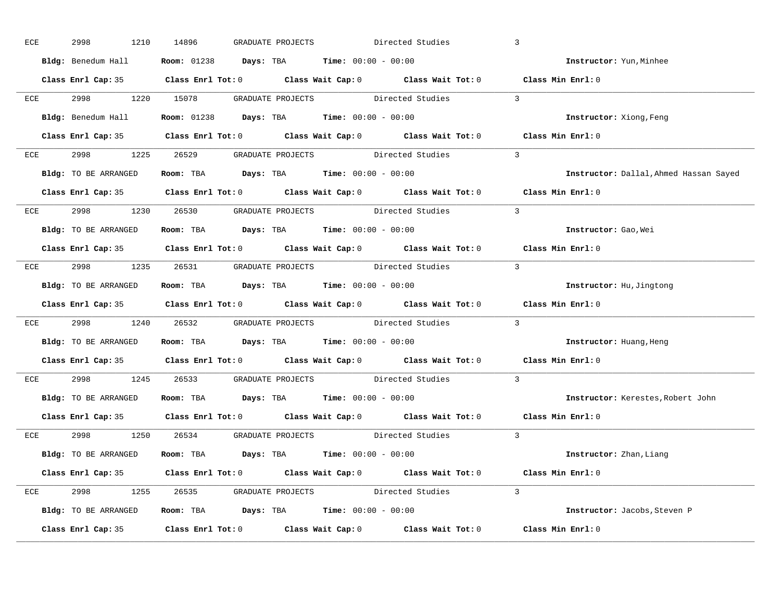| ECE | 2998<br>1210         | 14896<br>Directed Studies<br>GRADUATE PROJECTS                                               | $\overline{3}$                         |
|-----|----------------------|----------------------------------------------------------------------------------------------|----------------------------------------|
|     |                      | <b>Bldg:</b> Benedum Hall <b>Room:</b> $01238$ <b>Days:</b> TBA <b>Time:</b> $00:00 - 00:00$ | Instructor: Yun, Minhee                |
|     |                      | Class Enrl Cap: 35 Class Enrl Tot: 0 Class Wait Cap: 0 Class Wait Tot: 0 Class Min Enrl: 0   |                                        |
|     |                      | ECE 2998 1220 15078 GRADUATE PROJECTS Directed Studies 3                                     |                                        |
|     |                      | Bldg: Benedum Hall <b>Room:</b> 01238 <b>Days: TBA Time:</b> 00:00 - 00:00                   | Instructor: Xiong, Feng                |
|     |                      | Class Enrl Cap: 35 Class Enrl Tot: 0 Class Wait Cap: 0 Class Wait Tot: 0 Class Min Enrl: 0   |                                        |
|     |                      | ECE 2998 1225 26529 GRADUATE PROJECTS Directed Studies 3                                     |                                        |
|     |                      | Bldg: TO BE ARRANGED Room: TBA Days: TBA Time: 00:00 - 00:00                                 | Instructor: Dallal, Ahmed Hassan Sayed |
|     |                      | Class Enrl Cap: 35 Class Enrl Tot: 0 Class Wait Cap: 0 Class Wait Tot: 0 Class Min Enrl: 0   |                                        |
|     |                      | ECE 2998 1230 26530 GRADUATE PROJECTS Directed Studies                                       | $\overline{\phantom{a}}$               |
|     | Bldg: TO BE ARRANGED | Room: TBA $Days:$ TBA $Time: 00:00 - 00:00$                                                  | Instructor: Gao, Wei                   |
|     |                      | Class Enrl Cap: 35 Class Enrl Tot: 0 Class Wait Cap: 0 Class Wait Tot: 0 Class Min Enrl: 0   |                                        |
|     |                      | ECE 2998 1235 26531 GRADUATE PROJECTS Directed Studies 3                                     |                                        |
|     | Bldg: TO BE ARRANGED | Room: TBA $\rule{1em}{0.15mm}$ Days: TBA Time: $00:00 - 00:00$                               | Instructor: Hu, Jingtong               |
|     |                      | Class Enrl Cap: 35 Class Enrl Tot: 0 Class Wait Cap: 0 Class Wait Tot: 0 Class Min Enrl: 0   |                                        |
|     |                      | ECE 2998 1240 26532 GRADUATE PROJECTS Directed Studies 3                                     |                                        |
|     |                      | Bldg: TO BE ARRANGED Room: TBA Days: TBA Time: 00:00 - 00:00                                 | Instructor: Huang, Heng                |
|     |                      | Class Enrl Cap: 35 Class Enrl Tot: 0 Class Wait Cap: 0 Class Wait Tot: 0 Class Min Enrl: 0   |                                        |
| ECE |                      | 2998 1245 26533 GRADUATE PROJECTS Directed Studies                                           | $\overline{3}$                         |
|     |                      | Bldg: TO BE ARRANGED Room: TBA Days: TBA Time: 00:00 - 00:00                                 | Instructor: Kerestes, Robert John      |
|     |                      | Class Enrl Cap: 35 Class Enrl Tot: 0 Class Wait Cap: 0 Class Wait Tot: 0 Class Min Enrl: 0   |                                        |
|     |                      | ECE 2998 1250 26534 GRADUATE PROJECTS Directed Studies 3                                     |                                        |
|     | Bldg: TO BE ARRANGED | Room: TBA $\rule{1em}{0.15mm}$ Days: TBA $\rule{1.5mm}{0.15mm}$ Time: $00:00 - 00:00$        | Instructor: Zhan, Liang                |
|     |                      | Class Enrl Cap: 35 Class Enrl Tot: 0 Class Wait Cap: 0 Class Wait Tot: 0 Class Min Enrl: 0   |                                        |
|     |                      | ECE 2998 1255 26535 GRADUATE PROJECTS Directed Studies 3                                     |                                        |
|     | Bldg: TO BE ARRANGED | Room: TBA $Days:$ TBA Time: $00:00 - 00:00$                                                  | Instructor: Jacobs, Steven P           |
|     |                      | Class Enrl Cap: 35 Class Enrl Tot: 0 Class Wait Cap: 0 Class Wait Tot: 0 Class Min Enrl: 0   |                                        |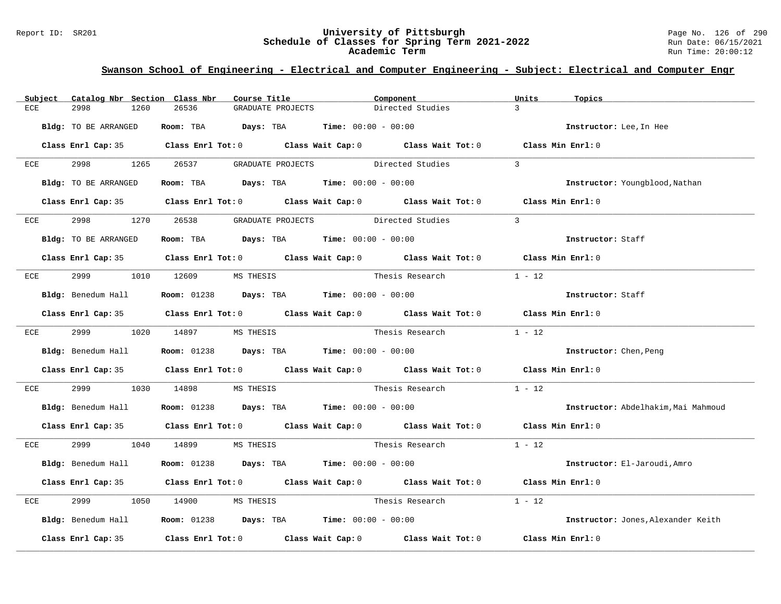#### Report ID: SR201 **University of Pittsburgh** Page No. 126 of 290 **Schedule of Classes for Spring Term 2021-2022** Run Date: 06/15/2021 **Academic Term** Run Time: 20:00:12

| Subject     | Catalog Nbr Section Class Nbr |                               | Course Title                                                                                 | Component       |                                                                                            | Units             | Topics                              |
|-------------|-------------------------------|-------------------------------|----------------------------------------------------------------------------------------------|-----------------|--------------------------------------------------------------------------------------------|-------------------|-------------------------------------|
| 2998<br>ECE | 1260                          | 26536                         | GRADUATE PROJECTS                                                                            |                 | Directed Studies                                                                           | $\mathcal{R}$     |                                     |
|             | Bldg: TO BE ARRANGED          |                               | Room: TBA $Days:$ TBA $Time: 00:00 - 00:00$                                                  |                 |                                                                                            |                   | Instructor: Lee, In Hee             |
|             |                               |                               |                                                                                              |                 | Class Enrl Cap: 35 Class Enrl Tot: 0 Class Wait Cap: 0 Class Wait Tot: 0 Class Min Enrl: 0 |                   |                                     |
| ECE         | 2998 1265                     | 26537                         | GRADUATE PROJECTS Directed Studies                                                           |                 |                                                                                            | $\mathcal{R}$     |                                     |
|             | Bldg: TO BE ARRANGED          |                               | Room: TBA $Days:$ TBA $Time: 00:00 - 00:00$                                                  |                 |                                                                                            |                   | Instructor: Youngblood, Nathan      |
|             |                               |                               |                                                                                              |                 | Class Enrl Cap: 35 Class Enrl Tot: 0 Class Wait Cap: 0 Class Wait Tot: 0 Class Min Enrl: 0 |                   |                                     |
| 2998<br>ECE |                               | 1270 26538                    | GRADUATE PROJECTS Directed Studies                                                           |                 |                                                                                            | $\mathcal{R}$     |                                     |
|             | <b>Bldg:</b> TO BE ARRANGED   |                               | Room: TBA $Days:$ TBA $Time: 00:00 - 00:00$                                                  |                 |                                                                                            |                   | Instructor: Staff                   |
|             |                               |                               |                                                                                              |                 | Class Enrl Cap: 35 Class Enrl Tot: 0 Class Wait Cap: 0 Class Wait Tot: 0 Class Min Enrl: 0 |                   |                                     |
| ECE         |                               | 2999 1010 12609 MS THESIS     |                                                                                              |                 | Thesis Research                                                                            | $1 - 12$          |                                     |
|             | Bldg: Benedum Hall            |                               | <b>Room:</b> $01238$ <b>Days:</b> TBA <b>Time:</b> $00:00 - 00:00$                           |                 |                                                                                            |                   | Instructor: Staff                   |
|             |                               |                               |                                                                                              |                 | Class Enrl Cap: 35 Class Enrl Tot: 0 Class Wait Cap: 0 Class Wait Tot: 0 Class Min Enrl: 0 |                   |                                     |
|             | ECE 2999 1020 14897           |                               | MS THESIS                                                                                    |                 | Thesis Research                                                                            | $1 - 12$          |                                     |
|             |                               |                               | Bldg: Benedum Hall $\blacksquare$ Room: 01238 Days: TBA Time: 00:00 - 00:00                  |                 |                                                                                            |                   | Instructor: Chen, Peng              |
|             |                               |                               |                                                                                              |                 | Class Enrl Cap: 35 Class Enrl Tot: 0 Class Wait Cap: 0 Class Wait Tot: 0 Class Min Enrl: 0 |                   |                                     |
| ECE         | 2999 — 200                    | 1030 14898                    |                                                                                              |                 |                                                                                            | $1 - 12$          |                                     |
|             |                               |                               | <b>Bldg:</b> Benedum Hall <b>Room:</b> $01238$ <b>Days:</b> TBA <b>Time:</b> $00:00 - 00:00$ |                 |                                                                                            |                   | Instructor: Abdelhakim, Mai Mahmoud |
|             |                               |                               |                                                                                              |                 | Class Enrl Cap: 35 Class Enrl Tot: 0 Class Wait Cap: 0 Class Wait Tot: 0 Class Min Enrl: 0 |                   |                                     |
|             |                               | ECE 2999 1040 14899 MS THESIS |                                                                                              |                 | Thesis Research 1 - 12                                                                     |                   |                                     |
|             | Bldg: Benedum Hall            |                               | <b>Room:</b> $01238$ <b>Days:</b> TBA <b>Time:</b> $00:00 - 00:00$                           |                 |                                                                                            |                   | Instructor: El-Jaroudi, Amro        |
|             |                               |                               |                                                                                              |                 | Class Enrl Cap: 35 Class Enrl Tot: 0 Class Wait Cap: 0 Class Wait Tot: 0 Class Min Enrl: 0 |                   |                                     |
| 2999<br>ECE |                               | 1050 14900 MS THESIS          |                                                                                              | Thesis Research |                                                                                            | $1 - 12$          |                                     |
|             |                               |                               | Bldg: Benedum Hall <b>Room:</b> 01238 <b>Days: TBA Time:</b> 00:00 - 00:00                   |                 |                                                                                            |                   | Instructor: Jones, Alexander Keith  |
|             | Class Enrl Cap: 35            |                               |                                                                                              |                 | Class Enrl Tot: $0$ Class Wait Cap: $0$ Class Wait Tot: $0$                                | Class Min Enrl: 0 |                                     |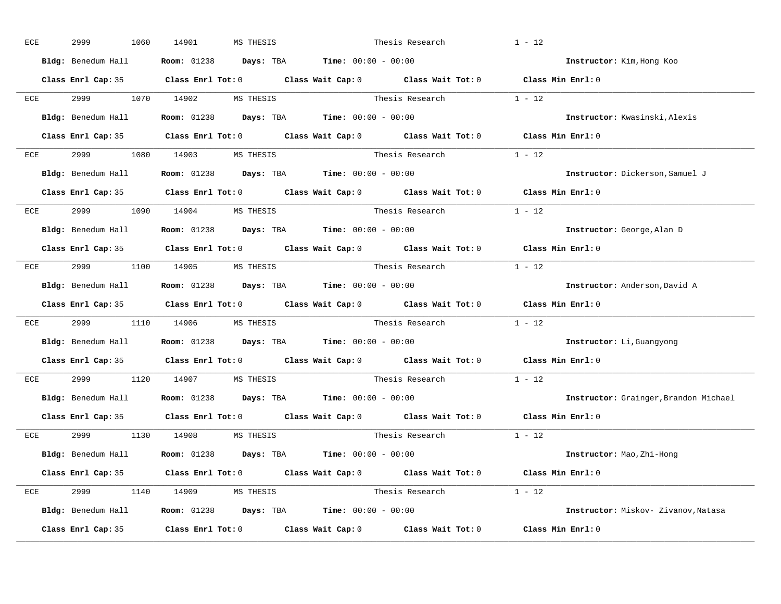|     | 2999                          | 1060 | 14901 | MS THESIS                     |                                                                                              | Thesis Research                                                                                     | $1 - 12$                              |
|-----|-------------------------------|------|-------|-------------------------------|----------------------------------------------------------------------------------------------|-----------------------------------------------------------------------------------------------------|---------------------------------------|
|     | Bldg: Benedum Hall            |      |       |                               | <b>Room:</b> $01238$ <b>Days:</b> TBA <b>Time:</b> $00:00 - 00:00$                           |                                                                                                     | Instructor: Kim, Hong Koo             |
|     |                               |      |       |                               |                                                                                              | Class Enrl Cap: 35 Class Enrl Tot: 0 Class Wait Cap: 0 Class Wait Tot: 0 Class Min Enrl: 0          |                                       |
| ECE |                               |      |       |                               | 2999 1070 14902 MS THESIS                                                                    | Thesis Research $1 - 12$                                                                            |                                       |
|     |                               |      |       |                               | <b>Bldg:</b> Benedum Hall <b>Room:</b> $01238$ <b>Days:</b> TBA <b>Time:</b> $00:00 - 00:00$ |                                                                                                     | Instructor: Kwasinski, Alexis         |
|     |                               |      |       |                               |                                                                                              | Class Enrl Cap: 35 Class Enrl Tot: 0 Class Wait Cap: 0 Class Wait Tot: 0 Class Min Enrl: 0          |                                       |
|     | ECE 2999 1080 14903 MS THESIS |      |       |                               |                                                                                              | Thesis Research $1 - 12$                                                                            |                                       |
|     |                               |      |       |                               | Bldg: Benedum Hall <b>Room:</b> 01238 <b>Days: TBA Time:</b> 00:00 - 00:00                   |                                                                                                     | Instructor: Dickerson, Samuel J       |
|     |                               |      |       |                               |                                                                                              | Class Enrl Cap: 35 $\qquad$ Class Enrl Tot: 0 $\qquad$ Class Wait Cap: 0 $\qquad$ Class Wait Tot: 0 | Class Min Enrl: 0                     |
| ECE |                               |      |       | 2999 1090 14904 MS THESIS     |                                                                                              | Thesis Research $1 - 12$                                                                            |                                       |
|     |                               |      |       |                               | Bldg: Benedum Hall <b>Room:</b> 01238 <b>Days: TBA Time:</b> 00:00 - 00:00                   |                                                                                                     | Instructor: George, Alan D            |
|     |                               |      |       |                               |                                                                                              | Class Enrl Cap: 35 Class Enrl Tot: 0 Class Wait Cap: 0 Class Wait Tot: 0 Class Min Enrl: 0          |                                       |
|     |                               |      |       | ECE 2999 1100 14905 MS THESIS |                                                                                              |                                                                                                     |                                       |
|     |                               |      |       |                               | Bldg: Benedum Hall <b>Room:</b> 01238 <b>Days: TBA Time:</b> 00:00 - 00:00                   |                                                                                                     | Instructor: Anderson, David A         |
|     |                               |      |       |                               |                                                                                              | Class Enrl Cap: 35 Class Enrl Tot: 0 Class Wait Cap: 0 Class Wait Tot: 0 Class Min Enrl: 0          |                                       |
|     |                               |      |       |                               |                                                                                              |                                                                                                     |                                       |
| ECE |                               |      |       |                               |                                                                                              | 2999 1110 14906 MSTHESIS Thesis Research 1 - 12                                                     |                                       |
|     |                               |      |       |                               | <b>Bldg:</b> Benedum Hall <b>Room:</b> $01238$ <b>Days:</b> TBA <b>Time:</b> $00:00 - 00:00$ |                                                                                                     | Instructor: Li, Guangyong             |
|     |                               |      |       |                               |                                                                                              | Class Enrl Cap: 35 Class Enrl Tot: 0 Class Wait Cap: 0 Class Wait Tot: 0                            | Class Min Enrl: 0                     |
| ECE |                               |      |       | 2999 1120 14907 MS THESIS     |                                                                                              | Thesis Research                                                                                     | $1 - 12$                              |
|     |                               |      |       |                               | Bldg: Benedum Hall Room: 01238 Days: TBA Time: 00:00 - 00:00                                 |                                                                                                     | Instructor: Grainger, Brandon Michael |
|     |                               |      |       |                               |                                                                                              | Class Enrl Cap: 35 $\qquad$ Class Enrl Tot: 0 $\qquad$ Class Wait Cap: 0 $\qquad$ Class Wait Tot: 0 | Class Min Enrl: 0                     |
|     |                               |      |       | ECE 2999 1130 14908 MSTHESIS  |                                                                                              | Thesis Research                                                                                     | $1 - 12$                              |
|     |                               |      |       |                               | Bldg: Benedum Hall <b>Room:</b> 01238 <b>Days: TBA Time:</b> 00:00 - 00:00                   |                                                                                                     | Instructor: Mao, Zhi-Hong             |
|     |                               |      |       |                               |                                                                                              | Class Enrl Cap: 35 Class Enrl Tot: 0 Class Wait Cap: 0 Class Wait Tot: 0 Class Min Enrl: 0          |                                       |
|     |                               |      |       | ECE 2999 1140 14909 MS THESIS |                                                                                              | Thesis Research $1 - 12$                                                                            |                                       |
|     |                               |      |       |                               | Bldg: Benedum Hall Room: 01238 Days: TBA Time: 00:00 - 00:00                                 |                                                                                                     | Instructor: Miskov- Zivanov, Natasa   |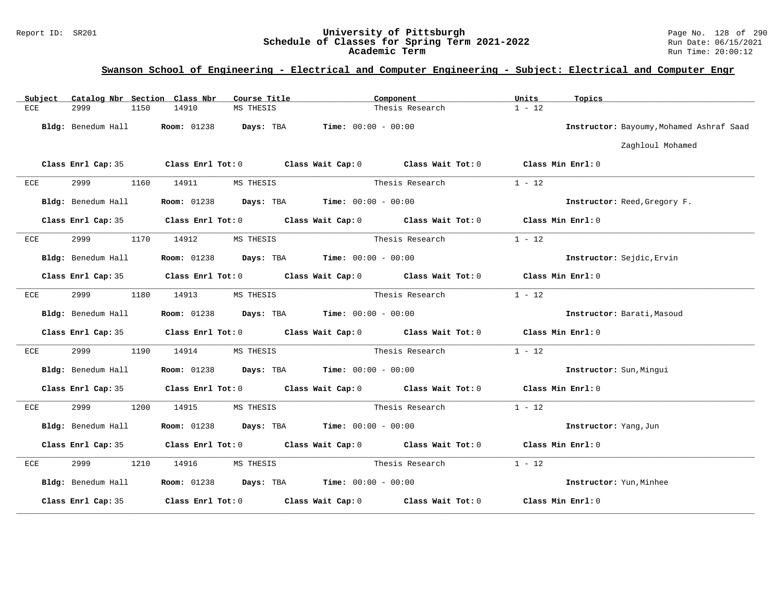### Report ID: SR201 **University of Pittsburgh** Page No. 128 of 290 **Schedule of Classes for Spring Term 2021-2022** Run Date: 06/15/2021 **Academic Term** Run Time: 20:00:12

| Subject | Catalog Nbr Section Class Nbr | Course Title                                                                               | Component       |                 | Units<br>Topics                          |  |
|---------|-------------------------------|--------------------------------------------------------------------------------------------|-----------------|-----------------|------------------------------------------|--|
| ECE     | 2999<br>1150                  | 14910<br>MS THESIS                                                                         |                 | Thesis Research | $1 - 12$                                 |  |
|         | Bldg: Benedum Hall            | <b>Room:</b> $01238$ <b>Days:</b> TBA <b>Time:</b> $00:00 - 00:00$                         |                 |                 | Instructor: Bayoumy, Mohamed Ashraf Saad |  |
|         |                               |                                                                                            |                 |                 | Zaghloul Mohamed                         |  |
|         |                               | Class Enrl Cap: 35 Class Enrl Tot: 0 Class Wait Cap: 0 Class Wait Tot: 0 Class Min Enrl: 0 |                 |                 |                                          |  |
| ECE     | 2999                          | 1160 14911<br>MS THESIS                                                                    |                 | Thesis Research | $1 - 12$                                 |  |
|         | Bldg: Benedum Hall            | <b>Room:</b> $01238$ <b>Days:</b> TBA <b>Time:</b> $00:00 - 00:00$                         |                 |                 | Instructor: Reed, Gregory F.             |  |
|         |                               | Class Enrl Cap: 35 Class Enrl Tot: 0 Class Wait Cap: 0 Class Wait Tot: 0 Class Min Enrl: 0 |                 |                 |                                          |  |
| ECE     | 2999                          | 1170 14912<br>MS THESIS                                                                    |                 | Thesis Research | $1 - 12$                                 |  |
|         | Bldg: Benedum Hall            | <b>Room:</b> $01238$ <b>Days:</b> TBA <b>Time:</b> $00:00 - 00:00$                         |                 |                 | Instructor: Sejdic, Ervin                |  |
|         |                               | Class Enrl Cap: 35 Class Enrl Tot: 0 Class Wait Cap: 0 Class Wait Tot: 0 Class Min Enrl: 0 |                 |                 |                                          |  |
| ECE     | 2999<br>1180                  | 14913<br>MS THESIS                                                                         |                 | Thesis Research | $1 - 12$                                 |  |
|         | Bldg: Benedum Hall            | <b>Room:</b> 01238 <b>Days:</b> TBA <b>Time:</b> $00:00 - 00:00$                           |                 |                 | Instructor: Barati, Masoud               |  |
|         |                               | Class Enrl Cap: 35 Class Enrl Tot: 0 Class Wait Cap: 0 Class Wait Tot: 0 Class Min Enrl: 0 |                 |                 |                                          |  |
| ECE     | 2999<br>1190                  | 14914<br>MS THESIS                                                                         |                 | Thesis Research | $1 - 12$                                 |  |
|         | Bldg: Benedum Hall            | <b>Room:</b> $01238$ <b>Days:</b> TBA <b>Time:</b> $00:00 - 00:00$                         |                 |                 | Instructor: Sun, Mingui                  |  |
|         |                               | Class Enrl Cap: 35 Class Enrl Tot: 0 Class Wait Cap: 0 Class Wait Tot: 0 Class Min Enrl: 0 |                 |                 |                                          |  |
| ECE     | 2999<br>1200                  | 14915<br>MS THESIS                                                                         |                 | Thesis Research | $1 - 12$                                 |  |
|         | Bldg: Benedum Hall            | <b>Room:</b> $01238$ <b>Days:</b> TBA <b>Time:</b> $00:00 - 00:00$                         |                 |                 | Instructor: Yang, Jun                    |  |
|         |                               | Class Enrl Cap: 35 Class Enrl Tot: 0 Class Wait Cap: 0 Class Wait Tot: 0 Class Min Enrl: 0 |                 |                 |                                          |  |
| ECE     | 2999<br>1210                  | 14916<br>MS THESIS                                                                         | Thesis Research |                 | $1 - 12$                                 |  |
|         | Bldg: Benedum Hall            | <b>Room:</b> $01238$ <b>Days:</b> TBA <b>Time:</b> $00:00 - 00:00$                         |                 |                 | Instructor: Yun, Minhee                  |  |
|         | Class Enrl Cap: 35            | Class Enrl Tot: $0$ Class Wait Cap: $0$ Class Wait Tot: $0$                                |                 |                 | Class Min Enrl: 0                        |  |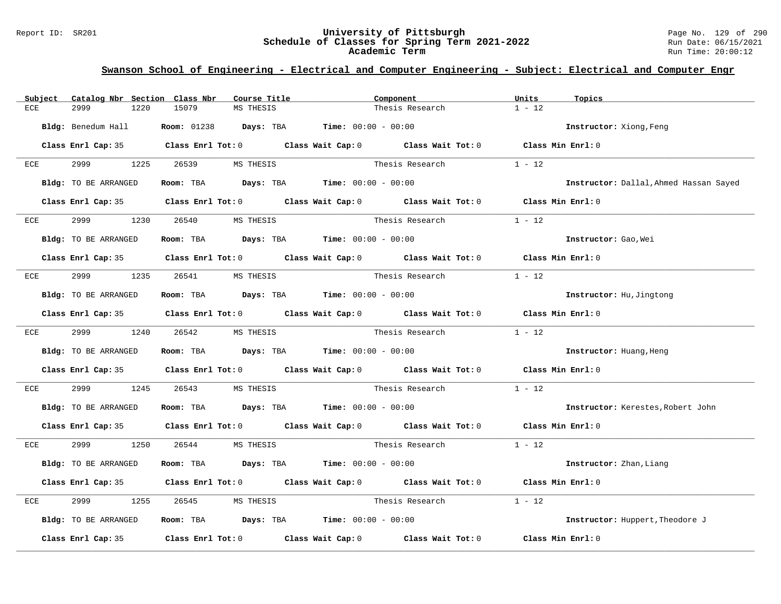#### Report ID: SR201 **University of Pittsburgh** Page No. 129 of 290 **Schedule of Classes for Spring Term 2021-2022** Run Date: 06/15/2021 **Academic Term** Run Time: 20:00:12

| Subject                       | Catalog Nbr Section Class Nbr | Course Title                                                                            |                 | Component                                                                                  | Units<br>Topics |                                        |
|-------------------------------|-------------------------------|-----------------------------------------------------------------------------------------|-----------------|--------------------------------------------------------------------------------------------|-----------------|----------------------------------------|
| 2999<br>ECE                   | 15079<br>1220                 | MS THESIS                                                                               |                 | Thesis Research                                                                            | $1 - 12$        |                                        |
| Bldg: Benedum Hall            |                               | <b>Room:</b> $01238$ <b>Days:</b> TBA <b>Time:</b> $00:00 - 00:00$                      |                 |                                                                                            |                 | Instructor: Xiong, Feng                |
|                               |                               |                                                                                         |                 | Class Enrl Cap: 35 Class Enrl Tot: 0 Class Wait Cap: 0 Class Wait Tot: 0 Class Min Enrl: 0 |                 |                                        |
| ECE                           | 2999 1225 26539 MS THESIS     |                                                                                         |                 | Thesis Research                                                                            | $1 - 12$        |                                        |
| Bldg: TO BE ARRANGED          |                               | Room: TBA $Days:$ TBA $Time: 00:00 - 00:00$                                             |                 |                                                                                            |                 | Instructor: Dallal, Ahmed Hassan Sayed |
|                               |                               |                                                                                         |                 | Class Enrl Cap: 35 Class Enrl Tot: 0 Class Wait Cap: 0 Class Wait Tot: 0 Class Min Enrl: 0 |                 |                                        |
| 2999 — 200<br>ECE             |                               |                                                                                         |                 | Thesis Research                                                                            | $1 - 12$        |                                        |
| Bldg: TO BE ARRANGED          |                               | Room: TBA $Days:$ TBA $Time: 00:00 - 00:00$                                             |                 |                                                                                            |                 | Instructor: Gao, Wei                   |
|                               |                               |                                                                                         |                 | Class Enrl Cap: 35 Class Enrl Tot: 0 Class Wait Cap: 0 Class Wait Tot: 0 Class Min Enrl: 0 |                 |                                        |
| ECE                           | 2999 1235 26541 MS THESIS     |                                                                                         |                 | Thesis Research                                                                            | $1 - 12$        |                                        |
| Bldg: TO BE ARRANGED          |                               | Room: TBA $Days: TBA$ Time: $00:00 - 00:00$                                             |                 |                                                                                            |                 | Instructor: Hu, Jingtong               |
|                               |                               |                                                                                         |                 | Class Enrl Cap: 35 Class Enrl Tot: 0 Class Wait Cap: 0 Class Wait Tot: 0 Class Min Enrl: 0 |                 |                                        |
| ECE 2999 1240 26542 MS THESIS |                               |                                                                                         |                 | Thesis Research $1 - 12$                                                                   |                 |                                        |
| Bldg: TO BE ARRANGED          |                               | Room: TBA $Days:$ TBA $Time: 00:00 - 00:00$                                             |                 |                                                                                            |                 | Instructor: Huang, Heng                |
|                               |                               |                                                                                         |                 | Class Enrl Cap: 35 Class Enrl Tot: 0 Class Wait Cap: 0 Class Wait Tot: 0 Class Min Enrl: 0 |                 |                                        |
| 2999<br>ECE                   | 1245 26543                    | MS THESIS                                                                               |                 | Thesis Research                                                                            | $1 - 12$        |                                        |
| Bldg: TO BE ARRANGED          |                               | Room: TBA $\rule{1em}{0.15mm}$ Days: TBA $\rule{1.15mm}]{0.15mm}$ Time: $0.000 - 0.000$ |                 |                                                                                            |                 | Instructor: Kerestes, Robert John      |
|                               |                               |                                                                                         |                 | Class Enrl Cap: 35 Class Enrl Tot: 0 Class Wait Cap: 0 Class Wait Tot: 0 Class Min Enrl: 0 |                 |                                        |
| ECE 2999 1250 26544 MS THESIS |                               |                                                                                         |                 | Thesis Research 1 - 12                                                                     |                 |                                        |
| Bldg: TO BE ARRANGED          |                               | Room: TBA $Days:$ TBA $Time: 00:00 - 00:00$                                             |                 |                                                                                            |                 | Instructor: Zhan, Liang                |
|                               |                               |                                                                                         |                 | Class Enrl Cap: 35 Class Enrl Tot: 0 Class Wait Cap: 0 Class Wait Tot: 0 Class Min Enrl: 0 |                 |                                        |
| 2999<br>ECE                   | 1255                          | 26545 MS THESIS                                                                         | Thesis Research |                                                                                            | $1 - 12$        |                                        |
| Bldg: TO BE ARRANGED          |                               | Room: TBA $\rule{1em}{0.15mm}$ Days: TBA $\rule{1.15mm}]{0.15mm}$ Time: $00:00 - 00:00$ |                 |                                                                                            |                 | Instructor: Huppert, Theodore J        |
|                               |                               |                                                                                         |                 | Class Enrl Cap: 35 Class Enrl Tot: 0 Class Wait Cap: 0 Class Wait Tot: 0 Class Min Enrl: 0 |                 |                                        |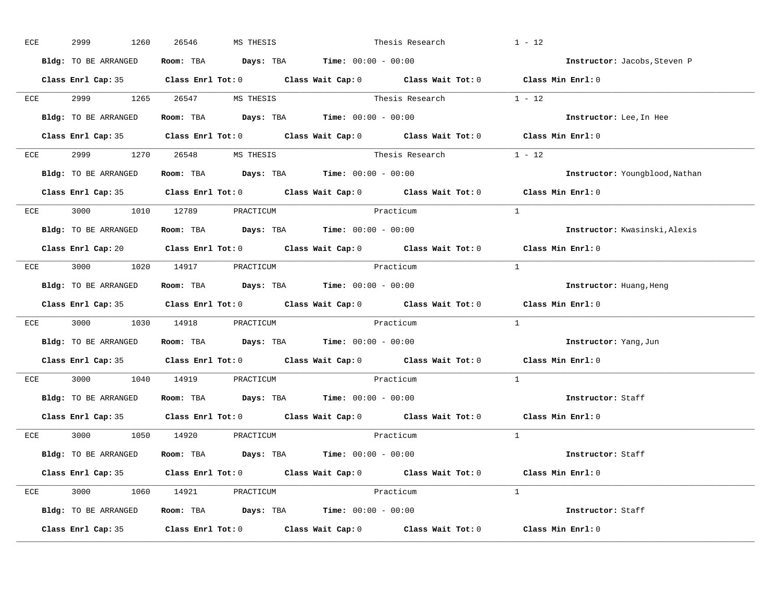| ECE | 2999                          | 1260 | 26546 | MS THESIS |                                                                                          | Thesis Research                                                          | $1 - 12$                                                                                           |
|-----|-------------------------------|------|-------|-----------|------------------------------------------------------------------------------------------|--------------------------------------------------------------------------|----------------------------------------------------------------------------------------------------|
|     | Bldg: TO BE ARRANGED          |      |       |           | Room: TBA $\rule{1em}{0.15mm}$ Days: TBA $\rule{1.15mm}]{0.15mm}$ Time: $0.000 - 0.0000$ |                                                                          | Instructor: Jacobs, Steven P                                                                       |
|     |                               |      |       |           |                                                                                          |                                                                          | Class Enrl Cap: 35 Class Enrl Tot: 0 Class Wait Cap: 0 Class Wait Tot: 0 Class Min Enrl: 0         |
|     | ECE 2999 1265 26547 MS THESIS |      |       |           |                                                                                          | Thesis Research $1 - 12$                                                 |                                                                                                    |
|     | Bldg: TO BE ARRANGED          |      |       |           | Room: TBA $Days:$ TBA $Time: 00:00 - 00:00$                                              |                                                                          | Instructor: Lee, In Hee                                                                            |
|     |                               |      |       |           |                                                                                          |                                                                          | Class Enrl Cap: 35 Class Enrl Tot: 0 Class Wait Cap: 0 Class Wait Tot: 0 Class Min Enrl: 0         |
|     | ECE 2999 1270 26548 MS THESIS |      |       |           |                                                                                          | Thesis Research $1 - 12$                                                 |                                                                                                    |
|     |                               |      |       |           | Bldg: TO BE ARRANGED Room: TBA Days: TBA Time: 00:00 - 00:00                             |                                                                          | Instructor: Youngblood, Nathan                                                                     |
|     |                               |      |       |           |                                                                                          |                                                                          | Class Enrl Cap: 35 Class Enrl Tot: 0 Class Wait Cap: 0 Class Wait Tot: 0 Class Min Enrl: 0         |
|     | ECE 3000 1010 12789 PRACTICUM |      |       |           | Practicum                                                                                |                                                                          | $\overline{1}$                                                                                     |
|     | Bldg: TO BE ARRANGED          |      |       |           | Room: TBA $Days:$ TBA Time: $00:00 - 00:00$                                              |                                                                          | Instructor: Kwasinski, Alexis                                                                      |
|     |                               |      |       |           |                                                                                          |                                                                          | Class Enrl Cap: 20 Class Enrl Tot: 0 Class Wait Cap: 0 Class Wait Tot: 0 Class Min Enrl: 0         |
|     | ECE 3000 1020 14917 PRACTICUM |      |       |           | Practicum                                                                                |                                                                          | $\frac{1}{2}$                                                                                      |
|     | Bldg: TO BE ARRANGED          |      |       |           | Room: TBA $Days:$ TBA $Time: 00:00 - 00:00$                                              |                                                                          | Instructor: Huang, Heng                                                                            |
|     |                               |      |       |           |                                                                                          |                                                                          |                                                                                                    |
|     |                               |      |       |           |                                                                                          |                                                                          | Class Enrl Cap: 35 Class Enrl Tot: 0 Class Wait Cap: 0 Class Wait Tot: 0 Class Min Enrl: 0         |
|     |                               |      |       |           | ECE 3000 1030 14918 PRACTICUM PORACTICUM Practicum                                       |                                                                          | $\mathbf{1}$                                                                                       |
|     | Bldg: TO BE ARRANGED          |      |       |           | Room: TBA $Days:$ TBA $Time: 00:00 - 00:00$                                              |                                                                          | Instructor: Yang, Jun                                                                              |
|     |                               |      |       |           |                                                                                          | Class Enrl Cap: 35 Class Enrl Tot: 0 Class Wait Cap: 0 Class Wait Tot: 0 | Class Min $Enr1:0$                                                                                 |
| ECE | 3000 1040 14919 PRACTICUM     |      |       |           |                                                                                          | Practicum                                                                | $\mathbf{1}$                                                                                       |
|     |                               |      |       |           | Bldg: TO BE ARRANGED Room: TBA Days: TBA Time: 00:00 - 00:00                             |                                                                          | Instructor: Staff                                                                                  |
|     | Class Enrl Cap: 35            |      |       |           |                                                                                          |                                                                          | Class Enrl Tot: 0 $\qquad$ Class Wait Cap: 0 $\qquad$ Class Wait Tot: 0 $\qquad$ Class Min Enrl: 0 |
|     | ECE 3000 1050 14920 PRACTICUM |      |       |           |                                                                                          | Practicum                                                                | $\overline{1}$                                                                                     |
|     | Bldg: TO BE ARRANGED          |      |       |           | Room: TBA $\rule{1em}{0.15mm}$ Days: TBA Time: $00:00 - 00:00$                           |                                                                          | Instructor: Staff                                                                                  |
|     |                               |      |       |           |                                                                                          |                                                                          | Class Enrl Cap: 35 Class Enrl Tot: 0 Class Wait Cap: 0 Class Wait Tot: 0 Class Min Enrl: 0         |
|     | ECE 3000 1060 14921 PRACTICUM |      |       |           | Practicum                                                                                |                                                                          | $\mathbf{1}$                                                                                       |
|     |                               |      |       |           | Bldg: TO BE ARRANGED Room: TBA Days: TBA Time: 00:00 - 00:00                             |                                                                          | Instructor: Staff                                                                                  |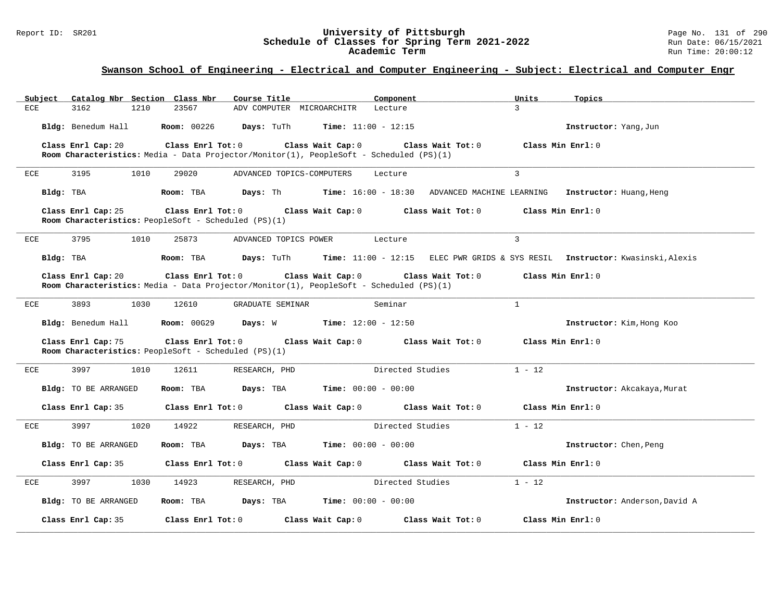#### Report ID: SR201 **University of Pittsburgh** Page No. 131 of 290 **Schedule of Classes for Spring Term 2021-2022** Run Date: 06/15/2021 **Academic Term** Run Time: 20:00:12

| Catalog Nbr Section Class Nbr<br>Subject | Course Title                                                                                                                      | Units<br>Component                                                             | Topics                        |
|------------------------------------------|-----------------------------------------------------------------------------------------------------------------------------------|--------------------------------------------------------------------------------|-------------------------------|
| <b>ECE</b><br>3162<br>1210               | 23567<br>ADV COMPUTER MICROARCHITR                                                                                                | $\mathcal{L}$<br>Lecture                                                       |                               |
| Bldg: Benedum Hall                       | <b>Room: 00226</b><br><b>Time:</b> $11:00 - 12:15$<br><b>Days:</b> TuTh                                                           |                                                                                | Instructor: Yang, Jun         |
| Class Enrl Cap: 20                       | Class Enrl Tot: 0<br>Class Wait Cap: 0                                                                                            | Class Wait Tot: 0                                                              | Class Min Enrl: 0             |
|                                          | Room Characteristics: Media - Data Projector/Monitor(1), PeopleSoft - Scheduled (PS)(1)                                           |                                                                                |                               |
| ECE<br>3195<br>1010                      | 29020<br>ADVANCED TOPICS-COMPUTERS                                                                                                | $\overline{3}$<br>Lecture                                                      |                               |
| Bldg: TBA                                | Room: TBA                                                                                                                         | Days: Th Time: 16:00 - 18:30 ADVANCED MACHINE LEARNING Instructor: Huang, Heng |                               |
| Class Enrl Cap: 25                       | Class Enrl Tot: $0$ Class Wait Cap: $0$ Class Wait Tot: $0$<br>Room Characteristics: PeopleSoft - Scheduled (PS)(1)               |                                                                                | Class Min Enrl: 0             |
| 3795<br>1010<br>ECE                      | 25873<br>ADVANCED TOPICS POWER                                                                                                    | $\overline{3}$<br>Lecture                                                      |                               |
| Bldg: TBA                                | Room: TBA<br>Days: TuTh                                                                                                           | Time: 11:00 - 12:15 ELEC PWR GRIDS & SYS RESIL Instructor: Kwasinski, Alexis   |                               |
| Class Enrl Cap: 20                       | Class Enrl Tot: 0<br>Class Wait Cap: 0<br>Room Characteristics: Media - Data Projector/Monitor(1), PeopleSoft - Scheduled (PS)(1) | Class Wait Tot: 0                                                              | Class Min Enrl: 0             |
| 3893<br>1030<br>ECE                      | 12610<br>GRADUATE SEMINAR                                                                                                         | $\mathbf{1}$<br>Seminar                                                        |                               |
| Bldg: Benedum Hall                       | <b>Room:</b> $00G29$ <b>Days:</b> W <b>Time:</b> $12:00 - 12:50$                                                                  |                                                                                | Instructor: Kim, Hong Koo     |
| Class Enrl Cap: 75                       | Class Enrl Tot: 0 Class Wait Cap: 0 Class Wait Tot: 0<br>Room Characteristics: PeopleSoft - Scheduled (PS)(1)                     |                                                                                | Class Min Enrl: 0             |
| 3997<br><b>ECE</b><br>1010               | 12611<br>RESEARCH, PHD                                                                                                            | $1 - 12$<br>Directed Studies                                                   |                               |
| Bldg: TO BE ARRANGED                     | Room: TBA<br><b>Days:</b> TBA <b>Time:</b> $00:00 - 00:00$                                                                        |                                                                                | Instructor: Akcakaya, Murat   |
| Class Enrl Cap: 35                       | Class Enrl Tot: 0<br>Class Wait Cap: 0                                                                                            | Class Wait Tot: 0                                                              | Class Min Enrl: 0             |
| 3997<br>1020<br>ECE                      | 14922<br>RESEARCH, PHD                                                                                                            | $1 - 12$<br>Directed Studies                                                   |                               |
| Bldg: TO BE ARRANGED                     | Room: TBA<br><b>Days:</b> TBA <b>Time:</b> $00:00 - 00:00$                                                                        |                                                                                | Instructor: Chen, Peng        |
| Class Enrl Cap: 35                       | Class Enrl Tot: 0<br>Class Wait Cap: 0                                                                                            | Class Wait Tot: 0                                                              | Class Min Enrl: 0             |
| 3997<br>1030<br>ECE                      | 14923<br>RESEARCH, PHD                                                                                                            | Directed Studies<br>$1 - 12$                                                   |                               |
| Bldg: TO BE ARRANGED                     | Room: TBA<br><b>Days:</b> TBA <b>Time:</b> $00:00 - 00:00$                                                                        |                                                                                | Instructor: Anderson, David A |
| Class Enrl Cap: 35                       | $Class$ $Enr1$ $Tot: 0$<br>Class Wait Cap: 0                                                                                      | Class Wait Tot: 0                                                              | Class Min Enrl: 0             |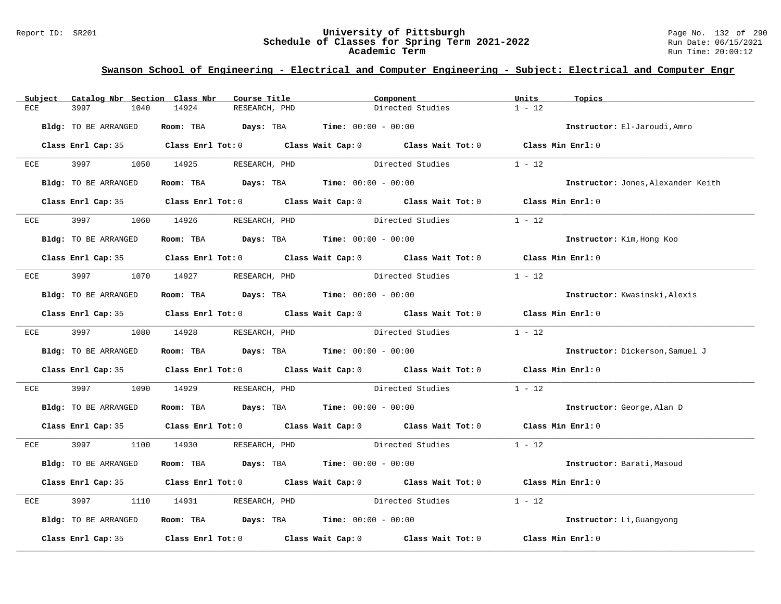#### Report ID: SR201 **University of Pittsburgh** Page No. 132 of 290 **Schedule of Classes for Spring Term 2021-2022** Run Date: 06/15/2021 **Academic Term** Run Time: 20:00:12

| Subject                     | Catalog Nbr Section Class Nbr | Course Title                                | Component                                                                                           | Units<br>Topics   |                                    |
|-----------------------------|-------------------------------|---------------------------------------------|-----------------------------------------------------------------------------------------------------|-------------------|------------------------------------|
| 3997<br>ECE                 | 1040                          | 14924<br>RESEARCH, PHD                      | Directed Studies                                                                                    | $1 - 12$          |                                    |
| Bldg: TO BE ARRANGED        |                               | Room: TBA $Days:$ TBA $Time: 00:00 - 00:00$ |                                                                                                     |                   | Instructor: El-Jaroudi, Amro       |
|                             |                               |                                             | Class Enrl Cap: 35 Class Enrl Tot: 0 Class Wait Cap: 0 Class Wait Tot: 0 Class Min Enrl: 0          |                   |                                    |
| ECE                         |                               | 3997 1050 14925 RESEARCH, PHD               | Directed Studies                                                                                    | $1 - 12$          |                                    |
| Bldg: TO BE ARRANGED        |                               | Room: TBA $Days:$ TBA $Time: 00:00 - 00:00$ |                                                                                                     |                   | Instructor: Jones, Alexander Keith |
|                             |                               |                                             | Class Enrl Cap: 35 Class Enrl Tot: 0 Class Wait Cap: 0 Class Wait Tot: 0 Class Min Enrl: 0          |                   |                                    |
| 3997 — 100<br>ECE           | 1060 14926                    | RESEARCH, PHD                               | Directed Studies                                                                                    | $1 - 12$          |                                    |
| <b>Bldg:</b> TO BE ARRANGED |                               | Room: TBA $Days:$ TBA Time: $00:00 - 00:00$ |                                                                                                     |                   | Instructor: Kim, Hong Koo          |
|                             |                               |                                             | Class Enrl Cap: 35 Class Enrl Tot: 0 Class Wait Cap: 0 Class Wait Tot: 0 Class Min Enrl: 0          |                   |                                    |
| ECE                         |                               | 3997 1070 14927 RESEARCH, PHD               | Directed Studies                                                                                    | $1 - 12$          |                                    |
| Bldg: TO BE ARRANGED        |                               | Room: TBA $Days:$ TBA $Time: 00:00 - 00:00$ |                                                                                                     |                   | Instructor: Kwasinski, Alexis      |
|                             |                               |                                             | Class Enrl Cap: 35 Class Enrl Tot: 0 Class Wait Cap: 0 Class Wait Tot: 0 Class Min Enrl: 0          |                   |                                    |
| ECE 3997 1080 14928         |                               | RESEARCH, PHD                               | Directed Studies                                                                                    | $1 - 12$          |                                    |
| Bldg: TO BE ARRANGED        |                               | Room: TBA $Days:$ TBA $Time: 00:00 - 00:00$ |                                                                                                     |                   | Instructor: Dickerson, Samuel J    |
|                             |                               |                                             | Class Enrl Cap: 35 Class Enrl Tot: 0 Class Wait Cap: 0 Class Wait Tot: 0 Class Min Enrl: 0          |                   |                                    |
| ECE                         | 1090                          | 14929                                       | RESEARCH, PHD Directed Studies                                                                      | $1 - 12$          |                                    |
| Bldg: TO BE ARRANGED        |                               | Room: TBA $Days:$ TBA Time: $00:00 - 00:00$ |                                                                                                     |                   | Instructor: George, Alan D         |
|                             |                               |                                             | Class Enrl Cap: 35 Class Enrl Tot: 0 Class Wait Cap: 0 Class Wait Tot: 0 Class Min Enrl: 0          |                   |                                    |
|                             |                               | ECE 3997 1100 14930 RESEARCH, PHD           | Directed Studies 1 - 12                                                                             |                   |                                    |
| Bldg: TO BE ARRANGED        |                               | Room: TBA $Days:$ TBA $Time: 00:00 - 00:00$ |                                                                                                     |                   | Instructor: Barati, Masoud         |
|                             |                               |                                             | Class Enrl Cap: 35 Class Enrl Tot: 0 Class Wait Cap: 0 Class Wait Tot: 0 Class Min Enrl: 0          |                   |                                    |
| 3997<br>ECE                 | 1110 14931                    | RESEARCH, PHD                               | Directed Studies                                                                                    | $1 - 12$          |                                    |
| Bldg: TO BE ARRANGED        |                               | Room: TBA $Days:$ TBA Time: $00:00 - 00:00$ |                                                                                                     |                   | Instructor: Li, Guangyong          |
|                             |                               |                                             | Class Enrl Cap: 35 $\qquad$ Class Enrl Tot: 0 $\qquad$ Class Wait Cap: 0 $\qquad$ Class Wait Tot: 0 | Class Min Enrl: 0 |                                    |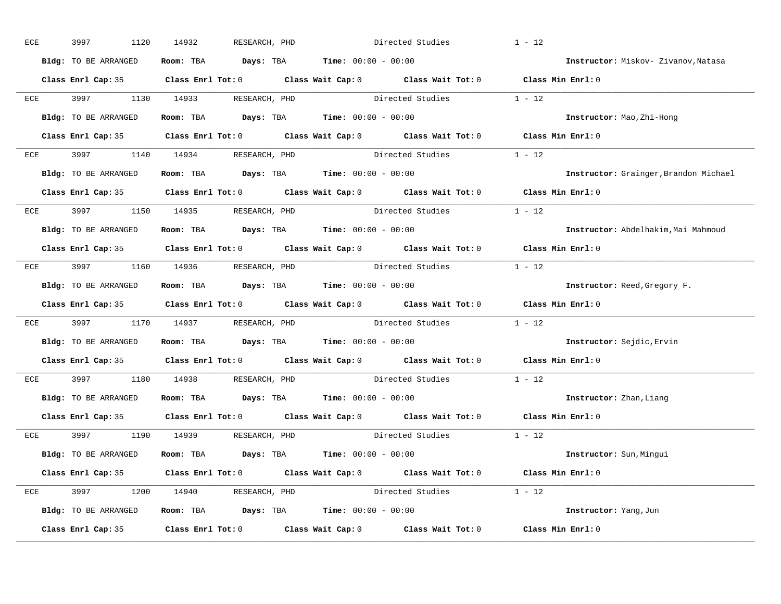| ECE |     | 3997<br>1120         | 14932<br>RESEARCH, PHD                                                                              | Directed Studies |                         | $1 - 12$                              |
|-----|-----|----------------------|-----------------------------------------------------------------------------------------------------|------------------|-------------------------|---------------------------------------|
|     |     | Bldg: TO BE ARRANGED | Room: TBA $Days:$ TBA $Time: 00:00 - 00:00$                                                         |                  |                         | Instructor: Miskov- Zivanov, Natasa   |
|     |     |                      | Class Enrl Cap: 35 Class Enrl Tot: 0 Class Wait Cap: 0 Class Wait Tot: 0 Class Min Enrl: 0          |                  |                         |                                       |
|     |     |                      | ECE 3997 1130 14933 RESEARCH, PHD Directed Studies 1 - 12                                           |                  |                         |                                       |
|     |     | Bldg: TO BE ARRANGED | Room: TBA $Days:$ TBA Time: $00:00 - 00:00$                                                         |                  |                         | Instructor: Mao, Zhi-Hong             |
|     |     |                      | Class Enrl Cap: 35 Class Enrl Tot: 0 Class Wait Cap: 0 Class Wait Tot: 0 Class Min Enrl: 0          |                  |                         |                                       |
|     |     |                      | ECE 3997 1140 14934 RESEARCH, PHD Directed Studies 1 - 12                                           |                  |                         |                                       |
|     |     |                      | <b>Bldg:</b> TO BE ARRANGED <b>Room:</b> TBA <b>Days:</b> TBA <b>Time:</b> $00:00 - 00:00$          |                  |                         | Instructor: Grainger, Brandon Michael |
|     |     |                      | Class Enrl Cap: 35 Class Enrl Tot: 0 Class Wait Cap: 0 Class Wait Tot: 0 Class Min Enrl: 0          |                  |                         |                                       |
|     |     |                      | ECE 3997 1150 14935 RESEARCH, PHD                                                                   | Directed Studies |                         | $1 - 12$                              |
|     |     | Bldg: TO BE ARRANGED | Room: TBA $Days:$ TBA $Time: 00:00 - 00:00$                                                         |                  |                         | Instructor: Abdelhakim, Mai Mahmoud   |
|     |     |                      | Class Enrl Cap: 35 Class Enrl Tot: 0 Class Wait Cap: 0 Class Wait Tot: 0 Class Min Enrl: 0          |                  |                         |                                       |
|     |     |                      | ECE 3997 1160 14936 RESEARCH, PHD Directed Studies 1 - 12                                           |                  |                         |                                       |
|     |     | Bldg: TO BE ARRANGED | Room: TBA $Days: TBA$ Time: $00:00 - 00:00$                                                         |                  |                         | Instructor: Reed, Gregory F.          |
|     |     |                      | Class Enrl Cap: 35 Class Enrl Tot: 0 Class Wait Cap: 0 Class Wait Tot: 0 Class Min Enrl: 0          |                  |                         |                                       |
|     |     |                      | ECE 3997 1170 14937 RESEARCH, PHD Directed Studies 1 - 12                                           |                  |                         |                                       |
|     |     | Bldg: TO BE ARRANGED | Room: TBA $Days:$ TBA $Time: 00:00 - 00:00$                                                         |                  |                         | Instructor: Sejdic, Ervin             |
|     |     |                      | Class Enrl Cap: 35 $\qquad$ Class Enrl Tot: 0 $\qquad$ Class Wait Cap: 0 $\qquad$ Class Wait Tot: 0 |                  |                         | Class Min Enrl: 0                     |
|     | ECE |                      | 3997 1180 14938 RESEARCH, PHD                                                                       |                  | Directed Studies        | $1 - 12$                              |
|     |     |                      | Bldg: TO BE ARRANGED Room: TBA Days: TBA Time: 00:00 - 00:00                                        |                  |                         | Instructor: Zhan, Liang               |
|     |     |                      | Class Enrl Cap: 35 Class Enrl Tot: 0 Class Wait Cap: 0 Class Wait Tot: 0 Class Min Enrl: 0          |                  |                         |                                       |
|     |     |                      | ECE 3997 1190 14939 RESEARCH, PHD                                                                   |                  | Directed Studies 1 - 12 |                                       |
|     |     | Bldg: TO BE ARRANGED | Room: TBA $\rule{1em}{0.15mm}$ Days: TBA $\rule{1.15mm}{0.15mm}$ Time: $00:00 - 00:00$              |                  |                         | Instructor: Sun, Mingui               |
|     |     |                      | Class Enrl Cap: 35 Class Enrl Tot: 0 Class Wait Cap: 0 Class Wait Tot: 0 Class Min Enrl: 0          |                  |                         |                                       |
|     |     |                      | ECE 3997 1200 14940 RESEARCH, PHD                                                                   |                  | Directed Studies 1 - 12 |                                       |
|     |     |                      | Bldg: TO BE ARRANGED Room: TBA Days: TBA Time: 00:00 - 00:00                                        |                  |                         | Instructor: Yang, Jun                 |
|     |     |                      | Class Enrl Cap: 35 Class Enrl Tot: 0 Class Wait Cap: 0 Class Wait Tot: 0 Class Min Enrl: 0          |                  |                         |                                       |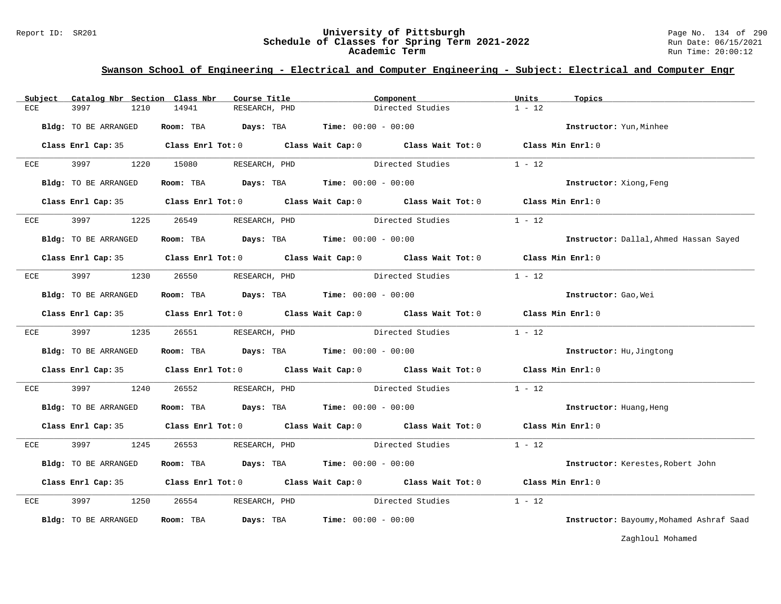#### Report ID: SR201 **University of Pittsburgh** Page No. 134 of 290 **Schedule of Classes for Spring Term 2021-2022** Run Date: 06/15/2021 **Academic Term** Run Time: 20:00:12

### **Swanson School of Engineering - Electrical and Computer Engineering - Subject: Electrical and Computer Engr**

| Subject | Catalog Nbr Section Class Nbr | Course Title                                                   | Component                                                                                  | Units<br>Topics                          |
|---------|-------------------------------|----------------------------------------------------------------|--------------------------------------------------------------------------------------------|------------------------------------------|
| ECE     | 3997<br>1210                  | 14941<br>RESEARCH, PHD                                         | Directed Studies                                                                           | $1 - 12$                                 |
|         | Bldg: TO BE ARRANGED          | Room: TBA $Days:$ TBA $Time: 00:00 - 00:00$                    |                                                                                            | Instructor: Yun, Minhee                  |
|         |                               |                                                                | Class Enrl Cap: 35 Class Enrl Tot: 0 Class Wait Cap: 0 Class Wait Tot: 0 Class Min Enrl: 0 |                                          |
| ECE     | 3997                          | 1220 15080<br>RESEARCH, PHD                                    | Directed Studies                                                                           | $1 - 12$                                 |
|         | Bldg: TO BE ARRANGED          | Room: TBA $Days:$ TBA $Time: 00:00 - 00:00$                    |                                                                                            | Instructor: Xiong, Feng                  |
|         |                               |                                                                | Class Enrl Cap: 35 Class Enrl Tot: 0 Class Wait Cap: 0 Class Wait Tot: 0 Class Min Enrl: 0 |                                          |
| ECE     |                               | 3997 1225 26549 RESEARCH, PHD                                  | Directed Studies                                                                           | $1 - 12$                                 |
|         | Bldg: TO BE ARRANGED          | Room: TBA $Days:$ TBA Time: $00:00 - 00:00$                    |                                                                                            | Instructor: Dallal, Ahmed Hassan Sayed   |
|         |                               |                                                                | Class Enrl Cap: 35 Class Enrl Tot: 0 Class Wait Cap: 0 Class Wait Tot: 0 Class Min Enrl: 0 |                                          |
| ECE     | 3997 1230                     | 26550<br>RESEARCH, PHD                                         | Directed Studies 1 - 12                                                                    |                                          |
|         | Bldg: TO BE ARRANGED          | Room: TBA $\rule{1em}{0.15mm}$ Days: TBA Time: $00:00 - 00:00$ |                                                                                            | Instructor: Gao, Wei                     |
|         |                               |                                                                | Class Enrl Cap: 35 Class Enrl Tot: 0 Class Wait Cap: 0 Class Wait Tot: 0 Class Min Enrl: 0 |                                          |
| ECE     | 3997 — 100                    | 1235 26551<br>RESEARCH, PHD                                    | Directed Studies                                                                           | $1 - 12$                                 |
|         | Bldg: TO BE ARRANGED          | Room: TBA $Days:$ TBA Time: $00:00 - 00:00$                    |                                                                                            | Instructor: Hu, Jingtong                 |
|         |                               |                                                                | Class Enrl Cap: 35 Class Enrl Tot: 0 Class Wait Cap: 0 Class Wait Tot: 0 Class Min Enrl: 0 |                                          |
| ECE     | 3997<br>1240                  | 26552                                                          | RESEARCH, PHD Directed Studies 1 - 12                                                      |                                          |
|         | Bldg: TO BE ARRANGED          | Room: TBA $Days:$ TBA $Time: 00:00 - 00:00$                    |                                                                                            | Instructor: Huang, Heng                  |
|         |                               |                                                                | Class Enrl Cap: 35 Class Enrl Tot: 0 Class Wait Cap: 0 Class Wait Tot: 0 Class Min Enrl: 0 |                                          |
| ECE     | 3997<br>1245                  | 26553 RESEARCH, PHD                                            | Directed Studies                                                                           | $1 - 12$                                 |
|         | Bldg: TO BE ARRANGED          | Room: TBA $Days:$ TBA $Time: 00:00 - 00:00$                    |                                                                                            | Instructor: Kerestes, Robert John        |
|         |                               |                                                                | Class Enrl Cap: 35 Class Enrl Tot: 0 Class Wait Cap: 0 Class Wait Tot: 0 Class Min Enrl: 0 |                                          |
| ECE     | 3997 1250                     | 26554 RESEARCH, PHD                                            | Directed Studies                                                                           | $1 - 12$                                 |
|         | Bldg: TO BE ARRANGED          | Room: TBA                                                      | <b>Days:</b> TBA <b>Time:</b> $00:00 - 00:00$                                              | Instructor: Bayoumy, Mohamed Ashraf Saad |

Zaghloul Mohamed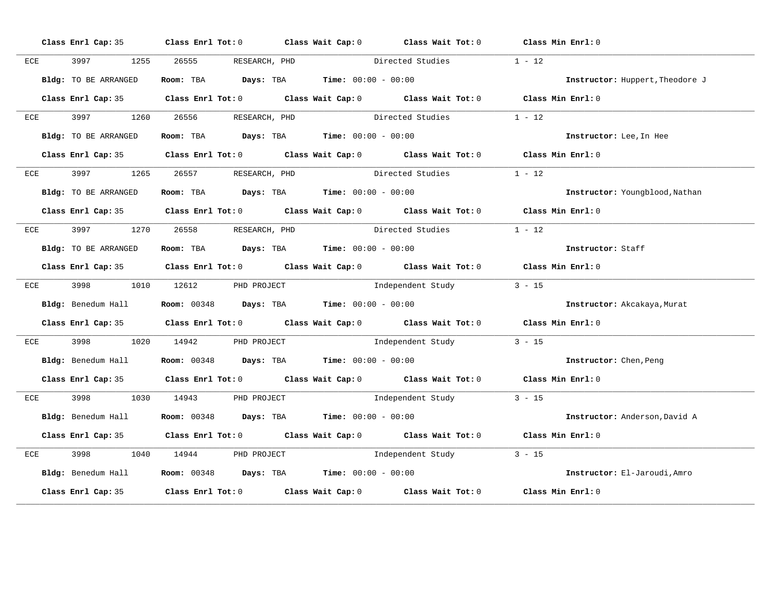|            |                      | Class Enrl Cap: 35 Class Enrl Tot: 0 Class Wait Cap: 0 Class Wait Tot: 0 Class Min Enrl: 0 |                  |                          |                                 |
|------------|----------------------|--------------------------------------------------------------------------------------------|------------------|--------------------------|---------------------------------|
| ECE        |                      | 3997 1255 26555 RESEARCH, PHD                                                              |                  | Directed Studies         | $1 - 12$                        |
|            | Bldg: TO BE ARRANGED | Room: TBA $Days:$ TBA $Time: 00:00 - 00:00$                                                |                  |                          | Instructor: Huppert, Theodore J |
|            |                      | Class Enrl Cap: 35 Class Enrl Tot: 0 Class Wait Cap: 0 Class Wait Tot: 0 Class Min Enrl: 0 |                  |                          |                                 |
|            |                      | ECE 3997 1260 26556 RESEARCH, PHD                                                          | Directed Studies |                          | $1 - 12$                        |
|            | Bldg: TO BE ARRANGED | Room: TBA $Days:$ TBA $Time: 00:00 - 00:00$                                                |                  |                          | Instructor: Lee, In Hee         |
|            |                      | Class Enrl Cap: 35 Class Enrl Tot: 0 Class Wait Cap: 0 Class Wait Tot: 0 Class Min Enrl: 0 |                  |                          |                                 |
|            |                      | ECE 3997 1265 26557 RESEARCH, PHD                                                          |                  | Directed Studies         | $1 - 12$                        |
|            | Bldg: TO BE ARRANGED | Room: TBA $Days:$ TBA $Time: 00:00 - 00:00$                                                |                  |                          | Instructor: Youngblood, Nathan  |
|            |                      | Class Enrl Cap: 35 Class Enrl Tot: 0 Class Wait Cap: 0 Class Wait Tot: 0 Class Min Enrl: 0 |                  |                          |                                 |
| <b>ECE</b> |                      | 3997 1270 26558 RESEARCH, PHD                                                              | Directed Studies |                          | $1 - 12$                        |
|            | Bldg: TO BE ARRANGED | Room: TBA $Days:$ TBA $Time: 00:00 - 00:00$                                                |                  |                          | Instructor: Staff               |
|            |                      | Class Enrl Cap: 35 Class Enrl Tot: 0 Class Wait Cap: 0 Class Wait Tot: 0 Class Min Enrl: 0 |                  |                          |                                 |
| ECE        |                      | 3998 1010 12612 PHD PROJECT                                                                |                  | Independent Study 3 - 15 |                                 |
|            |                      | Bldg: Benedum Hall <b>Room:</b> 00348 <b>Days:</b> TBA <b>Time:</b> 00:00 - 00:00          |                  |                          | Instructor: Akcakaya, Murat     |
|            |                      | Class Enrl Cap: 35 Class Enrl Tot: 0 Class Wait Cap: 0 Class Wait Tot: 0 Class Min Enrl: 0 |                  |                          |                                 |
| ECE        |                      | 3998 1020 14942 PHD PROJECT                                                                |                  | Independent Study        | $3 - 15$                        |
|            |                      | Bldg: Benedum Hall <b>Room:</b> 00348 <b>Days: TBA Time:</b> 00:00 - 00:00                 |                  |                          | Instructor: Chen, Peng          |
|            |                      | Class Enrl Cap: 35 Class Enrl Tot: 0 Class Wait Cap: 0 Class Wait Tot: 0 Class Min Enrl: 0 |                  |                          |                                 |
| ECE        |                      | 3998 1030 14943 PHD PROJECT                                                                |                  | Independent Study 3 - 15 |                                 |
|            |                      | Bldg: Benedum Hall <b>Room:</b> 00348 <b>Days: TBA Time:</b> 00:00 - 00:00                 |                  |                          | Instructor: Anderson, David A   |
|            |                      | Class Enrl Cap: 35 Class Enrl Tot: 0 Class Wait Cap: 0 Class Wait Tot: 0 Class Min Enrl: 0 |                  |                          |                                 |
| ECE        |                      | 3998 1040 14944 PHD PROJECT                                                                |                  | Independent Study        | $3 - 15$                        |
|            |                      | <b>Bldg:</b> Benedum Hall <b>Room:</b> 00348 <b>Days:</b> TBA <b>Time:</b> $00:00 - 00:00$ |                  |                          | Instructor: El-Jaroudi, Amro    |
|            |                      | Class Enrl Cap: 35 Class Enrl Tot: 0 Class Wait Cap: 0 Class Wait Tot: 0 Class Min Enrl: 0 |                  |                          |                                 |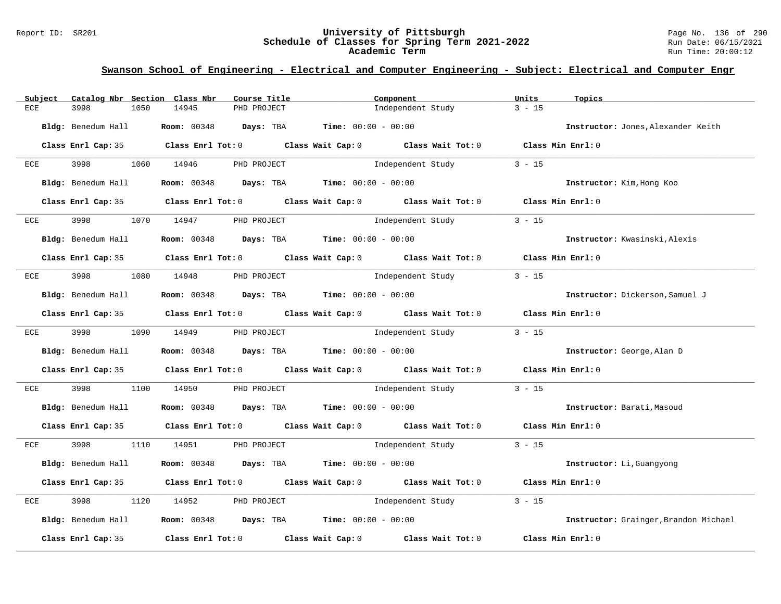#### Report ID: SR201 **University of Pittsburgh** Page No. 136 of 290 **Schedule of Classes for Spring Term 2021-2022** Run Date: 06/15/2021 **Academic Term** Run Time: 20:00:12

| Catalog Nbr Section Class Nbr<br>Subject | Course Title                                                       | Component                                                                                           | Units<br>Topics                       |
|------------------------------------------|--------------------------------------------------------------------|-----------------------------------------------------------------------------------------------------|---------------------------------------|
| 3998<br>1050<br>ECE                      | 14945<br>PHD PROJECT                                               | Independent Study                                                                                   | $3 - 15$                              |
| Bldg: Benedum Hall                       | Room: 00348 Days: TBA                                              | <b>Time:</b> $00:00 - 00:00$                                                                        | Instructor: Jones, Alexander Keith    |
|                                          |                                                                    | Class Enrl Cap: 35 Class Enrl Tot: 0 Class Wait Cap: 0 Class Wait Tot: 0 Class Min Enrl: 0          |                                       |
| 3998 1060 14946<br>ECE                   | PHD PROJECT                                                        | Independent Study                                                                                   | $3 - 15$                              |
| Bldg: Benedum Hall                       | <b>Room:</b> $00348$ <b>Days:</b> TBA <b>Time:</b> $00:00 - 00:00$ |                                                                                                     | Instructor: Kim, Hong Koo             |
|                                          |                                                                    | Class Enrl Cap: 35 Class Enrl Tot: 0 Class Wait Cap: 0 Class Wait Tot: 0 Class Min Enrl: 0          |                                       |
| ECE<br>3998                              | 1070 14947<br>PHD PROJECT                                          | Independent Study                                                                                   | $3 - 15$                              |
| Bldg: Benedum Hall                       | <b>Room:</b> $00348$ <b>Days:</b> TBA <b>Time:</b> $00:00 - 00:00$ |                                                                                                     | Instructor: Kwasinski, Alexis         |
|                                          |                                                                    | Class Enrl Cap: 35 $\qquad$ Class Enrl Tot: 0 $\qquad$ Class Wait Cap: 0 $\qquad$ Class Wait Tot: 0 | Class Min Enrl: 0                     |
| 3998<br>1080 14948<br>ECE                | PHD PROJECT                                                        | Independent Study                                                                                   | $3 - 15$                              |
| Bldg: Benedum Hall                       | <b>Room:</b> $00348$ <b>Days:</b> TBA <b>Time:</b> $00:00 - 00:00$ |                                                                                                     | Instructor: Dickerson, Samuel J       |
|                                          |                                                                    | Class Enrl Cap: 35 Class Enrl Tot: 0 Class Wait Cap: 0 Class Wait Tot: 0 Class Min Enrl: 0          |                                       |
| ECE 3998 1090 14949                      | PHD PROJECT                                                        | Independent Study                                                                                   | $3 - 15$                              |
| Bldg: Benedum Hall                       | <b>Room:</b> $00348$ <b>Days:</b> TBA <b>Time:</b> $00:00 - 00:00$ |                                                                                                     | Instructor: George, Alan D            |
|                                          |                                                                    | Class Enrl Cap: 35 Class Enrl Tot: 0 Class Wait Cap: 0 Class Wait Tot: 0 Class Min Enrl: 0          |                                       |
| 3998<br>1100<br>ECE                      | 14950 PHD PROJECT Noter that the independent Study                 |                                                                                                     | $3 - 15$                              |
| Bldg: Benedum Hall                       | <b>Room:</b> $00348$ <b>Days:</b> TBA <b>Time:</b> $00:00 - 00:00$ |                                                                                                     | Instructor: Barati, Masoud            |
|                                          |                                                                    | Class Enrl Cap: 35 Class Enrl Tot: 0 Class Wait Cap: 0 Class Wait Tot: 0 Class Min Enrl: 0          |                                       |
| ECE                                      | 3998 1110 14951 PHD PROJECT                                        | Independent Study                                                                                   | $3 - 15$                              |
| Bldg: Benedum Hall                       | <b>Room:</b> $00348$ <b>Days:</b> TBA <b>Time:</b> $00:00 - 00:00$ |                                                                                                     | Instructor: Li, Guangyong             |
|                                          |                                                                    | Class Enrl Cap: 35 Class Enrl Tot: 0 Class Wait Cap: 0 Class Wait Tot: 0 Class Min Enrl: 0          |                                       |
| 3998<br>1120<br>ECE                      | 14952<br>PHD PROJECT                                               | Independent Study                                                                                   | $3 - 15$                              |
| Bldg: Benedum Hall                       | <b>Room:</b> 00348 <b>Days:</b> TBA <b>Time:</b> $00:00 - 00:00$   |                                                                                                     | Instructor: Grainger, Brandon Michael |
| Class Enrl Cap: 35                       | Class Enrl Tot: $0$ Class Wait Cap: $0$                            | Class Wait Tot: 0                                                                                   | Class Min Enrl: 0                     |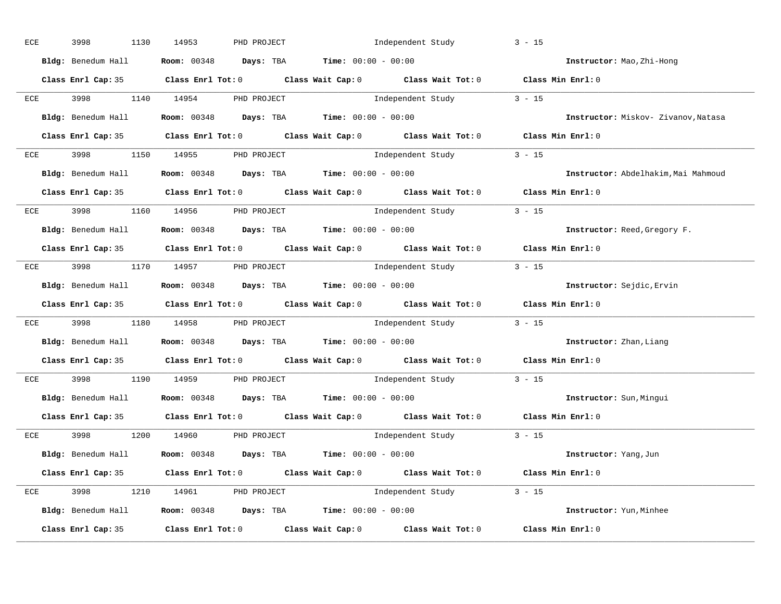| ECE        | 3998<br>1130 | 14953<br>PHD PROJECT                                                                       | Independent Study                                                                          | $3 - 15$                            |
|------------|--------------|--------------------------------------------------------------------------------------------|--------------------------------------------------------------------------------------------|-------------------------------------|
|            |              | Bldg: Benedum Hall <b>Room:</b> 00348 <b>Days:</b> TBA <b>Time:</b> 00:00 - 00:00          |                                                                                            | Instructor: Mao, Zhi-Hong           |
|            |              |                                                                                            | Class Enrl Cap: 35 Class Enrl Tot: 0 Class Wait Cap: 0 Class Wait Tot: 0 Class Min Enrl: 0 |                                     |
|            |              |                                                                                            | ECE 3998 1140 14954 PHD PROJECT 10 Independent Study 3 - 15                                |                                     |
|            |              | Bldg: Benedum Hall Room: 00348 Days: TBA Time: 00:00 - 00:00                               |                                                                                            | Instructor: Miskov- Zivanov, Natasa |
|            |              |                                                                                            | Class Enrl Cap: 35 Class Enrl Tot: 0 Class Wait Cap: 0 Class Wait Tot: 0 Class Min Enrl: 0 |                                     |
|            |              | ECE 3998 1150 14955 PHD PROJECT                                                            | Independent Study 3 - 15                                                                   |                                     |
|            |              | Bldg: Benedum Hall <b>Room:</b> 00348 <b>Days:</b> TBA <b>Time:</b> 00:00 - 00:00          |                                                                                            | Instructor: Abdelhakim, Mai Mahmoud |
|            |              |                                                                                            | Class Enrl Cap: 35 Class Enrl Tot: 0 Class Wait Cap: 0 Class Wait Tot: 0 Class Min Enrl: 0 |                                     |
|            |              | ECE 3998 1160 14956 PHD PROJECT                                                            | Independent Study 3 - 15                                                                   |                                     |
|            |              | Bldg: Benedum Hall <b>Room:</b> 00348 <b>Days: TBA Time:</b> 00:00 - 00:00                 |                                                                                            | Instructor: Reed, Gregory F.        |
|            |              |                                                                                            | Class Enrl Cap: 35 Class Enrl Tot: 0 Class Wait Cap: 0 Class Wait Tot: 0 Class Min Enrl: 0 |                                     |
|            |              | ECE 3998 1170 14957 PHD PROJECT                                                            | Independent Study 3 - 15                                                                   |                                     |
|            |              | Bldg: Benedum Hall <b>Room:</b> 00348 <b>Days: TBA Time:</b> 00:00 - 00:00                 |                                                                                            | Instructor: Sejdic, Ervin           |
|            |              |                                                                                            | Class Enrl Cap: 35 Class Enrl Tot: 0 Class Wait Cap: 0 Class Wait Tot: 0 Class Min Enrl: 0 |                                     |
| <b>ECE</b> |              |                                                                                            | 3998 1180 14958 PHD PROJECT 10 Independent Study 3 - 15                                    |                                     |
|            |              | Bldg: Benedum Hall <b>Room:</b> 00348 <b>Days: TBA Time:</b> 00:00 - 00:00                 |                                                                                            | Instructor: Zhan, Liang             |
|            |              |                                                                                            | Class Enrl Cap: 35 Class Enrl Tot: 0 Class Wait Cap: 0 Class Wait Tot: 0 Class Min Enrl: 0 |                                     |
| ECE        |              | 3998 1190 14959 PHD PROJECT                                                                | Independent Study 3 - 15                                                                   |                                     |
|            |              | Bldg: Benedum Hall <b>Room:</b> 00348 <b>Days:</b> TBA <b>Time:</b> 00:00 - 00:00          |                                                                                            | Instructor: Sun, Minqui             |
|            |              |                                                                                            | Class Enrl Cap: 35 Class Enrl Tot: 0 Class Wait Cap: 0 Class Wait Tot: 0 Class Min Enrl: 0 |                                     |
|            |              | $ECE$ 3998 1200 14960 PHD PROJECT                                                          | Independent Study 3 - 15                                                                   |                                     |
|            |              | $Bldg:$ Benedum Hall Room: 00348 Days: TBA Time: 00:00 - 00:00                             |                                                                                            | Instructor: Yang, Jun               |
|            |              |                                                                                            |                                                                                            |                                     |
|            |              | Class Enrl Cap: 35 Class Enrl Tot: 0 Class Wait Cap: 0 Class Wait Tot: 0 Class Min Enrl: 0 |                                                                                            |                                     |
|            |              | ECE 3998 1210 14961 PHD PROJECT                                                            | Independent Study 3 - 15                                                                   |                                     |
|            |              |                                                                                            | Bldg: Benedum Hall <b>Room:</b> 00348 <b>Days:</b> TBA <b>Time:</b> 00:00 - 00:00          | Instructor: Yun, Minhee             |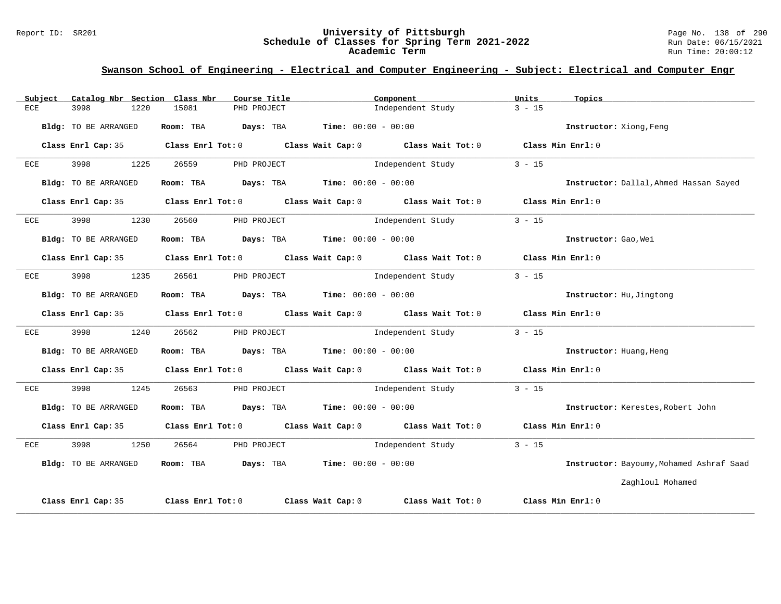#### Report ID: SR201 **University of Pittsburgh** Page No. 138 of 290 **Schedule of Classes for Spring Term 2021-2022** Run Date: 06/15/2021 **Academic Term** Run Time: 20:00:12

| Catalog Nbr Section Class Nbr<br>Subject | Course Title                                                                              | Component                                                                                  | Units<br>Topics                          |
|------------------------------------------|-------------------------------------------------------------------------------------------|--------------------------------------------------------------------------------------------|------------------------------------------|
| <b>ECE</b><br>3998<br>1220               | 15081<br>PHD PROJECT                                                                      | Independent Study                                                                          | $3 - 15$                                 |
| Bldg: TO BE ARRANGED                     | Room: TBA $\rule{1em}{0.15mm}$ Days: TBA Time: $00:00 - 00:00$                            |                                                                                            | Instructor: Xiong, Feng                  |
|                                          |                                                                                           | Class Enrl Cap: 35 Class Enrl Tot: 0 Class Wait Cap: 0 Class Wait Tot: 0 Class Min Enrl: 0 |                                          |
| ECE<br>3998                              | 1225<br>26559<br>PHD PROJECT                                                              | Independent Study                                                                          | $3 - 15$                                 |
| Bldg: TO BE ARRANGED                     | Room: TBA $\rule{1em}{0.15mm}$ Days: TBA Time: $00:00 - 00:00$                            |                                                                                            | Instructor: Dallal, Ahmed Hassan Sayed   |
|                                          |                                                                                           | Class Enrl Cap: 35 Class Enrl Tot: 0 Class Wait Cap: 0 Class Wait Tot: 0 Class Min Enrl: 0 |                                          |
| 3998<br>1230<br>ECE                      | 26560<br>PHD PROJECT                                                                      | Independent Study                                                                          | $3 - 15$                                 |
| Bldg: TO BE ARRANGED                     | Room: TBA $\rule{1em}{0.15mm}$ Days: TBA $\rule{1.15mm}]{0.15mm}$ Time: $0.0100 - 0.0100$ |                                                                                            | Instructor: Gao, Wei                     |
|                                          |                                                                                           | Class Enrl Cap: 35 Class Enrl Tot: 0 Class Wait Cap: 0 Class Wait Tot: 0 Class Min Enrl: 0 |                                          |
| 3998<br>ECE                              | 1235<br>26561 200<br>PHD PROJECT                                                          | Independent Study                                                                          | $3 - 15$                                 |
| Bldg: TO BE ARRANGED                     | Room: TBA $\rule{1em}{0.15mm}$ Days: TBA Time: $00:00 - 00:00$                            |                                                                                            | Instructor: Hu, Jingtong                 |
|                                          |                                                                                           | Class Enrl Cap: 35 Class Enrl Tot: 0 Class Wait Cap: 0 Class Wait Tot: 0 Class Min Enrl: 0 |                                          |
| 3998<br>1240<br><b>ECE</b>               |                                                                                           | 26562 PHD PROJECT 2001 Independent Study                                                   | $3 - 15$                                 |
| Bldg: TO BE ARRANGED                     | Room: TBA $Days: TBA$ Time: $00:00 - 00:00$                                               |                                                                                            | Instructor: Huang, Heng                  |
|                                          |                                                                                           | Class Enrl Cap: 35 Class Enrl Tot: 0 Class Wait Cap: 0 Class Wait Tot: 0 Class Min Enrl: 0 |                                          |
| 3998<br>1245<br>ECE                      |                                                                                           | 26563 PHD PROJECT 2001 Independent Study                                                   | $3 - 15$                                 |
| Bldg: TO BE ARRANGED                     | Room: TBA $Days:$ TBA $Time: 00:00 - 00:00$                                               |                                                                                            | Instructor: Kerestes, Robert John        |
|                                          |                                                                                           | Class Enrl Cap: 35 Class Enrl Tot: 0 Class Wait Cap: 0 Class Wait Tot: 0 Class Min Enrl: 0 |                                          |
| 3998<br>1250<br>ECE                      | 26564                                                                                     | PHD PROJECT 15 Independent Study 3 - 15                                                    |                                          |
| Bldg: TO BE ARRANGED                     | Room: TBA $\rule{1em}{0.15mm}$ Days: TBA Time: $00:00 - 00:00$                            |                                                                                            | Instructor: Bayoumy, Mohamed Ashraf Saad |
|                                          |                                                                                           |                                                                                            | Zaghloul Mohamed                         |
| Class Enrl Cap: 35                       |                                                                                           | Class Enrl Tot: $0$ Class Wait Cap: $0$ Class Wait Tot: $0$                                | Class Min Enrl: 0                        |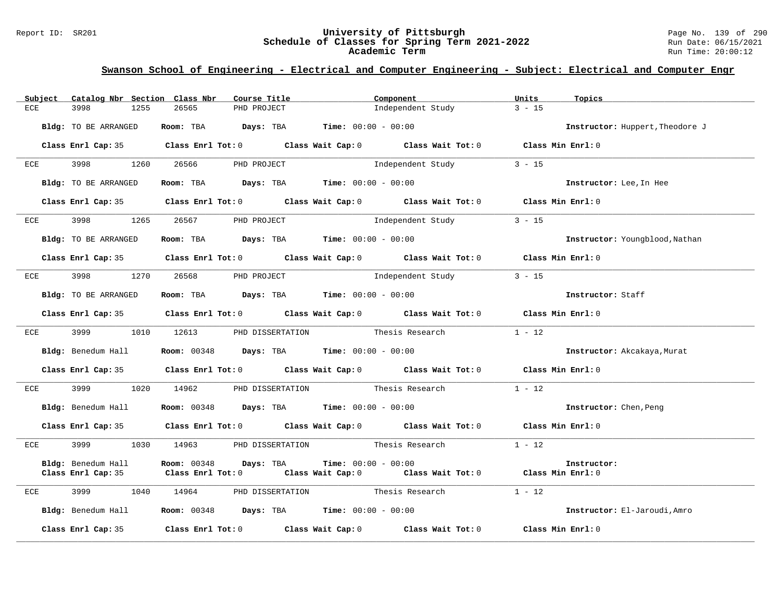#### Report ID: SR201 **University of Pittsburgh** Page No. 139 of 290 **Schedule of Classes for Spring Term 2021-2022** Run Date: 06/15/2021 **Academic Term** Run Time: 20:00:12

|            | Subject |                      |      | Catalog Nbr Section Class Nbr                                                              | Course Title |                                                                    | Component         |                                                                                            | Units    | Topics                          |
|------------|---------|----------------------|------|--------------------------------------------------------------------------------------------|--------------|--------------------------------------------------------------------|-------------------|--------------------------------------------------------------------------------------------|----------|---------------------------------|
| <b>ECE</b> |         | 3998                 | 1255 | 26565                                                                                      | PHD PROJECT  |                                                                    | Independent Study |                                                                                            | $3 - 15$ |                                 |
|            |         |                      |      |                                                                                            |              |                                                                    |                   |                                                                                            |          |                                 |
|            |         | Bldg: TO BE ARRANGED |      |                                                                                            |              | Room: TBA $Days:$ TBA $Time: 00:00 - 00:00$                        |                   |                                                                                            |          | Instructor: Huppert, Theodore J |
|            |         |                      |      |                                                                                            |              |                                                                    |                   |                                                                                            |          |                                 |
|            |         |                      |      |                                                                                            |              |                                                                    |                   | Class Enrl Cap: 35 Class Enrl Tot: 0 Class Wait Cap: 0 Class Wait Tot: 0 Class Min Enrl: 0 |          |                                 |
|            |         |                      |      | ECE 3998 1260 26566 PHD PROJECT                                                            |              |                                                                    |                   | Independent Study                                                                          | $3 - 15$ |                                 |
|            |         |                      |      |                                                                                            |              |                                                                    |                   |                                                                                            |          |                                 |
|            |         | Bldg: TO BE ARRANGED |      |                                                                                            |              | Room: TBA Days: TBA Time: $00:00 - 00:00$                          |                   |                                                                                            |          | Instructor: Lee, In Hee         |
|            |         |                      |      |                                                                                            |              |                                                                    |                   |                                                                                            |          |                                 |
|            |         |                      |      |                                                                                            |              |                                                                    |                   | Class Enrl Cap: 35 Class Enrl Tot: 0 Class Wait Cap: 0 Class Wait Tot: 0 Class Min Enrl: 0 |          |                                 |
|            |         |                      |      | ECE 3998 1265 26567 PHD PROJECT                                                            |              |                                                                    |                   | Independent Study 3 - 15                                                                   |          |                                 |
|            |         |                      |      |                                                                                            |              |                                                                    |                   |                                                                                            |          |                                 |
|            |         | Bldg: TO BE ARRANGED |      |                                                                                            |              | Room: TBA $Days:$ TBA $Time: 00:00 - 00:00$                        |                   |                                                                                            |          | Instructor: Youngblood, Nathan  |
|            |         |                      |      |                                                                                            |              |                                                                    |                   |                                                                                            |          |                                 |
|            |         |                      |      |                                                                                            |              |                                                                    |                   | Class Enrl Cap: 35 Class Enrl Tot: 0 Class Wait Cap: 0 Class Wait Tot: 0 Class Min Enrl: 0 |          |                                 |
|            |         |                      |      |                                                                                            |              |                                                                    |                   |                                                                                            |          |                                 |
| ECE        |         | 3998                 | 1270 | 26568                                                                                      |              |                                                                    |                   | PHD PROJECT                            Independent Study                                   | $3 - 15$ |                                 |
|            |         | Bldg: TO BE ARRANGED |      |                                                                                            |              | Room: TBA $Days:$ TBA $Time: 00:00 - 00:00$                        |                   |                                                                                            |          | Instructor: Staff               |
|            |         |                      |      |                                                                                            |              |                                                                    |                   |                                                                                            |          |                                 |
|            |         |                      |      |                                                                                            |              |                                                                    |                   | Class Enrl Cap: 35 Class Enrl Tot: 0 Class Wait Cap: 0 Class Wait Tot: 0 Class Min Enrl: 0 |          |                                 |
|            |         |                      |      |                                                                                            |              |                                                                    |                   |                                                                                            |          |                                 |
|            |         |                      |      | ECE 3999 1010 12613 PHD DISSERTATION Thesis Research                                       |              |                                                                    |                   |                                                                                            | $1 - 12$ |                                 |
|            |         | Bldg: Benedum Hall   |      |                                                                                            |              | <b>Room:</b> $00348$ <b>Days:</b> TBA <b>Time:</b> $00:00 - 00:00$ |                   |                                                                                            |          | Instructor: Akcakaya, Murat     |
|            |         |                      |      |                                                                                            |              |                                                                    |                   |                                                                                            |          |                                 |
|            |         |                      |      |                                                                                            |              |                                                                    |                   | Class Enrl Cap: 35 Class Enrl Tot: 0 Class Wait Cap: 0 Class Wait Tot: 0 Class Min Enrl: 0 |          |                                 |
|            |         |                      |      |                                                                                            |              |                                                                    |                   |                                                                                            |          |                                 |
|            |         |                      |      |                                                                                            |              |                                                                    |                   | ECE 3999 1020 14962 PHD DISSERTATION Thesis Research                                       | $1 - 12$ |                                 |
|            |         |                      |      |                                                                                            |              |                                                                    |                   |                                                                                            |          |                                 |
|            |         |                      |      | Bldg: Benedum Hall <b>Room:</b> 00348 <b>Days:</b> TBA <b>Time:</b> 00:00 - 00:00          |              |                                                                    |                   |                                                                                            |          | Instructor: Chen, Peng          |
|            |         |                      |      |                                                                                            |              |                                                                    |                   | Class Enrl Cap: 35 Class Enrl Tot: 0 Class Wait Cap: 0 Class Wait Tot: 0 Class Min Enrl: 0 |          |                                 |
|            |         |                      |      |                                                                                            |              |                                                                    |                   |                                                                                            |          |                                 |
| ECE        |         | 3999                 | 1030 |                                                                                            |              |                                                                    |                   | 14963 PHD DISSERTATION Thesis Research                                                     | $1 - 12$ |                                 |
|            |         |                      |      |                                                                                            |              |                                                                    |                   |                                                                                            |          |                                 |
|            |         |                      |      | Bldg: Benedum Hall Room: 00348 Days: TBA                                                   |              | <b>Time:</b> $00:00 - 00:00$                                       |                   |                                                                                            |          | Instructor:                     |
|            |         |                      |      |                                                                                            |              |                                                                    |                   | Class Enrl Cap: 35 Class Enrl Tot: 0 Class Wait Cap: 0 Class Wait Tot: 0 Class Min Enrl: 0 |          |                                 |
| ECE        |         | 3999                 |      |                                                                                            |              |                                                                    |                   | 1040 14964 PHD DISSERTATION Thesis Research                                                | $1 - 12$ |                                 |
|            |         |                      |      |                                                                                            |              |                                                                    |                   |                                                                                            |          |                                 |
|            |         |                      |      | Bldg: Benedum Hall <b>Room:</b> 00348 <b>Days: TBA Time:</b> 00:00 - 00:00                 |              |                                                                    |                   |                                                                                            |          | Instructor: El-Jaroudi, Amro    |
|            |         |                      |      |                                                                                            |              |                                                                    |                   |                                                                                            |          |                                 |
|            |         |                      |      | Class Enrl Cap: 35 Class Enrl Tot: 0 Class Wait Cap: 0 Class Wait Tot: 0 Class Min Enrl: 0 |              |                                                                    |                   |                                                                                            |          |                                 |
|            |         |                      |      |                                                                                            |              |                                                                    |                   |                                                                                            |          |                                 |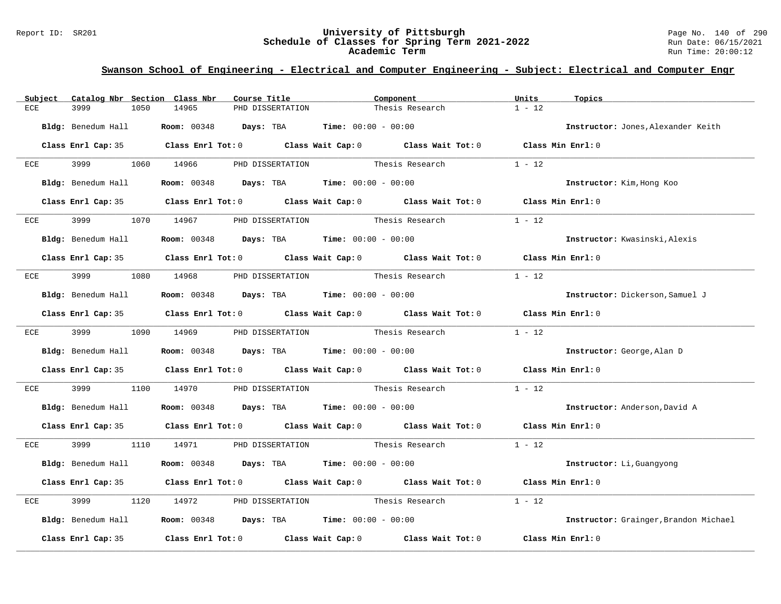#### Report ID: SR201 **University of Pittsburgh** Page No. 140 of 290 **Schedule of Classes for Spring Term 2021-2022** Run Date: 06/15/2021 **Academic Term** Run Time: 20:00:12

| Subject      | Catalog Nbr Section Class Nbr | Course Title                                                                                 |                                                                    | Component       | Units<br>Topics                       |  |
|--------------|-------------------------------|----------------------------------------------------------------------------------------------|--------------------------------------------------------------------|-----------------|---------------------------------------|--|
| ECE          | 3999<br>1050                  | 14965                                                                                        | PHD DISSERTATION                                                   | Thesis Research | $1 - 12$                              |  |
|              | Bldg: Benedum Hall            | Room: 00348 Days: TBA                                                                        | <b>Time:</b> $00:00 - 00:00$                                       |                 | Instructor: Jones, Alexander Keith    |  |
|              |                               | Class Enrl Cap: 35 Class Enrl Tot: 0 Class Wait Cap: 0 Class Wait Tot: 0 Class Min Enrl: 0   |                                                                    |                 |                                       |  |
| ECE          | 3999 1060 14966               |                                                                                              | PHD DISSERTATION Thesis Research                                   |                 | $1 - 12$                              |  |
|              | Bldg: Benedum Hall            |                                                                                              | <b>Room:</b> $00348$ <b>Days:</b> TBA <b>Time:</b> $00:00 - 00:00$ |                 | Instructor: Kim, Hong Koo             |  |
|              |                               | Class Enrl Cap: 35 Class Enrl Tot: 0 Class Wait Cap: 0 Class Wait Tot: 0 Class Min Enrl: 0   |                                                                    |                 |                                       |  |
| ECE          | 3999                          | 1070 14967                                                                                   | PHD DISSERTATION Thesis Research                                   |                 | $1 - 12$                              |  |
|              |                               | <b>Bldg:</b> Benedum Hall <b>Room:</b> 00348 <b>Days:</b> TBA <b>Time:</b> $00:00 - 00:00$   |                                                                    |                 | Instructor: Kwasinski, Alexis         |  |
|              |                               | Class Enrl Cap: 35 Class Enrl Tot: 0 Class Wait Cap: 0 Class Wait Tot: 0 Class Min Enrl: 0   |                                                                    |                 |                                       |  |
| ECE          | 3999 — 100                    | 1080 14968 PHD DISSERTATION Thesis Research                                                  |                                                                    |                 | $1 - 12$                              |  |
|              |                               | $Bldq$ : Benedum Hall <b>Room:</b> 00348 <b>Days:</b> TBA <b>Time:</b> $00:00 - 00:00$       |                                                                    |                 | Instructor: Dickerson, Samuel J       |  |
|              |                               | Class Enrl Cap: 35 Class Enrl Tot: 0 Class Wait Cap: 0 Class Wait Tot: 0 Class Min Enrl: 0   |                                                                    |                 |                                       |  |
|              | ECE 3999                      | 1090 14969                                                                                   | PHD DISSERTATION Thesis Research 1 - 12                            |                 |                                       |  |
|              |                               | <b>Bldg:</b> Benedum Hall <b>Room:</b> $00348$ <b>Days:</b> TBA <b>Time:</b> $00:00 - 00:00$ |                                                                    |                 | Instructor: George, Alan D            |  |
|              |                               | Class Enrl Cap: 35 Class Enrl Tot: 0 Class Wait Cap: 0 Class Wait Tot: 0 Class Min Enrl: 0   |                                                                    |                 |                                       |  |
| $_{\rm ECE}$ | 3999<br>1100                  | 14970                                                                                        | PHD DISSERTATION Thesis Research                                   |                 | $1 - 12$                              |  |
|              |                               | Bldg: Benedum Hall Room: 00348 Days: TBA Time: 00:00 - 00:00                                 |                                                                    |                 | Instructor: Anderson, David A         |  |
|              |                               | Class Enrl Cap: 35 Class Enrl Tot: 0 Class Wait Cap: 0 Class Wait Tot: 0 Class Min Enrl: 0   |                                                                    |                 |                                       |  |
|              |                               | ECE 3999 1110 14971 PHD DISSERTATION Thesis Research 1 - 12                                  |                                                                    |                 |                                       |  |
|              | Bldg: Benedum Hall            |                                                                                              | <b>Room:</b> $00348$ <b>Days:</b> TBA <b>Time:</b> $00:00 - 00:00$ |                 | Instructor: Li, Guangyong             |  |
|              |                               | Class Enrl Cap: 35 Class Enrl Tot: 0 Class Wait Cap: 0 Class Wait Tot: 0                     |                                                                    |                 | Class Min Enrl: 0                     |  |
| ECE          | 3999<br>1120                  | 14972                                                                                        | PHD DISSERTATION Thesis Research                                   |                 | $1 - 12$                              |  |
|              |                               | Bldg: Benedum Hall <b>Room:</b> 00348 <b>Days:</b> TBA <b>Time:</b> 00:00 - 00:00            |                                                                    |                 | Instructor: Grainger, Brandon Michael |  |
|              | Class Enrl Cap: 35            | Class Enrl Tot: $0$ Class Wait Cap: $0$ Class Wait Tot: $0$                                  |                                                                    |                 | Class Min Enrl: 0                     |  |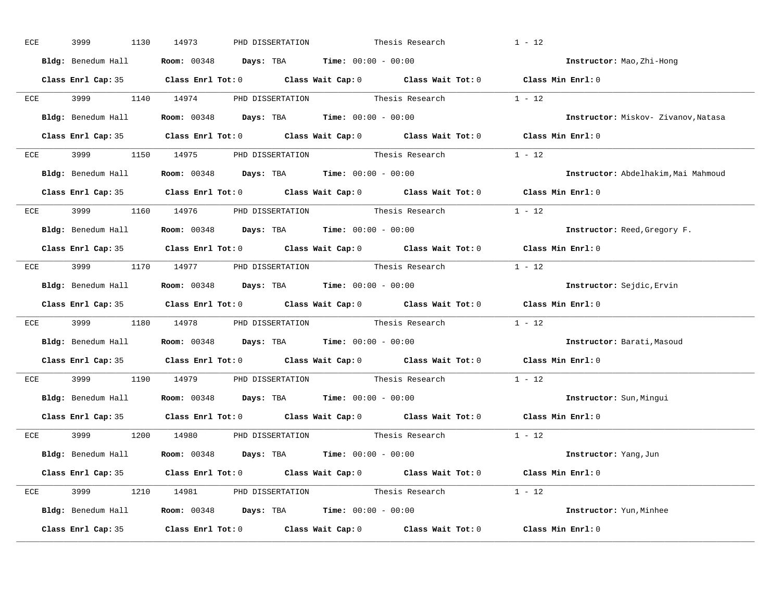| ECE | 3999 | 1130 | 14973 | PHD DISSERTATION                                                                  | Thesis Research                                                    | $1 - 12$                                                                                   |
|-----|------|------|-------|-----------------------------------------------------------------------------------|--------------------------------------------------------------------|--------------------------------------------------------------------------------------------|
|     |      |      |       | Bldg: Benedum Hall <b>Room:</b> 00348 <b>Days: TBA Time:</b> 00:00 - 00:00        |                                                                    | Instructor: Mao, Zhi-Hong                                                                  |
|     |      |      |       |                                                                                   |                                                                    | Class Enrl Cap: 35 Class Enrl Tot: 0 Class Wait Cap: 0 Class Wait Tot: 0 Class Min Enrl: 0 |
|     |      |      |       |                                                                                   | ECE 3999 1140 14974 PHD DISSERTATION Thesis Research 1 - 12        |                                                                                            |
|     |      |      |       | Bldg: Benedum Hall <b>Room:</b> 00348 <b>Days: TBA Time:</b> 00:00 - 00:00        |                                                                    | Instructor: Miskov- Zivanov, Natasa                                                        |
|     |      |      |       |                                                                                   |                                                                    | Class Enrl Cap: 35 Class Enrl Tot: 0 Class Wait Cap: 0 Class Wait Tot: 0 Class Min Enrl: 0 |
|     |      |      |       |                                                                                   | ECE 3999 1150 14975 PHD DISSERTATION Thesis Research 1 - 12        |                                                                                            |
|     |      |      |       | Bldg: Benedum Hall <b>Room:</b> 00348 <b>Days:</b> TBA <b>Time:</b> 00:00 - 00:00 |                                                                    | Instructor: Abdelhakim, Mai Mahmoud                                                        |
|     |      |      |       |                                                                                   |                                                                    | Class Enrl Cap: 35 Class Enrl Tot: 0 Class Wait Cap: 0 Class Wait Tot: 0 Class Min Enrl: 0 |
|     |      |      |       |                                                                                   | ECE 3999 1160 14976 PHD DISSERTATION Thesis Research 1 - 12        |                                                                                            |
|     |      |      |       | Bldg: Benedum Hall <b>Room:</b> 00348 <b>Days:</b> TBA <b>Time:</b> 00:00 - 00:00 |                                                                    | Instructor: Reed, Gregory F.                                                               |
|     |      |      |       |                                                                                   |                                                                    | Class Enrl Cap: 35 Class Enrl Tot: 0 Class Wait Cap: 0 Class Wait Tot: 0 Class Min Enrl: 0 |
|     |      |      |       |                                                                                   | ECE 3999 1170 14977 PHD DISSERTATION Thesis Research 1 - 12        |                                                                                            |
|     |      |      |       | Bldg: Benedum Hall <b>Room:</b> 00348 <b>Days: TBA Time:</b> 00:00 - 00:00        |                                                                    | Instructor: Sejdic, Ervin                                                                  |
|     |      |      |       |                                                                                   |                                                                    | Class Enrl Cap: 35 Class Enrl Tot: 0 Class Wait Cap: 0 Class Wait Tot: 0 Class Min Enrl: 0 |
|     |      |      |       |                                                                                   | ECE 3999 1180 14978 PHD DISSERTATION Thesis Research 1 - 12        |                                                                                            |
|     |      |      |       | Bldg: Benedum Hall <b>Room:</b> 00348 <b>Days: TBA Time:</b> 00:00 - 00:00        |                                                                    | Instructor: Barati, Masoud                                                                 |
|     |      |      |       |                                                                                   |                                                                    | Class Enrl Cap: 35 Class Enrl Tot: 0 Class Wait Cap: 0 Class Wait Tot: 0 Class Min Enrl: 0 |
| ECE |      |      |       |                                                                                   | 3999 1190 14979 PHD DISSERTATION Thesis Research                   | $1 - 12$                                                                                   |
|     |      |      |       | Bldg: Benedum Hall <b>Room:</b> 00348 <b>Days: TBA Time:</b> 00:00 - 00:00        |                                                                    | Instructor: Sun, Mingui                                                                    |
|     |      |      |       |                                                                                   |                                                                    | Class Enrl Cap: 35 Class Enrl Tot: 0 Class Wait Cap: 0 Class Wait Tot: 0 Class Min Enrl: 0 |
|     |      |      |       |                                                                                   | ECE 3999 1200 14980 PHD DISSERTATION Thesis Research        1 - 12 |                                                                                            |
|     |      |      |       | Bldg: Benedum Hall <b>Room:</b> 00348 <b>Days:</b> TBA <b>Time:</b> 00:00 - 00:00 |                                                                    | Instructor: Yang, Jun                                                                      |
|     |      |      |       |                                                                                   |                                                                    | Class Enrl Cap: 35 Class Enrl Tot: 0 Class Wait Cap: 0 Class Wait Tot: 0 Class Min Enrl: 0 |
|     |      |      |       |                                                                                   | ECE 3999 1210 14981 PHD DISSERTATION Thesis Research 1 - 12        |                                                                                            |
|     |      |      |       | $Bldg:$ Benedum Hall Room: 00348  Days: TBA  Time: 00:00 - 00:00                  |                                                                    | Instructor: Yun, Minhee                                                                    |
|     |      |      |       |                                                                                   |                                                                    | Class Enrl Cap: 35 Class Enrl Tot: 0 Class Wait Cap: 0 Class Wait Tot: 0 Class Min Enrl: 0 |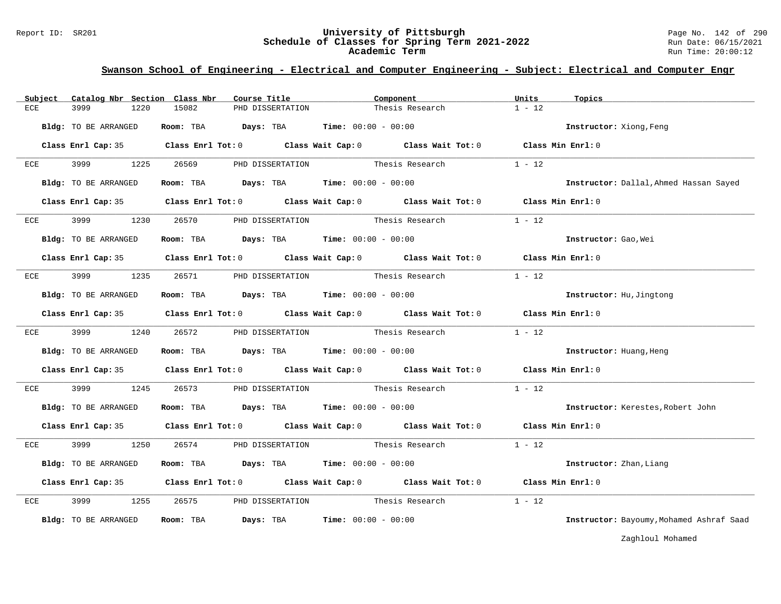#### Report ID: SR201 **University of Pittsburgh** Page No. 142 of 290 **Schedule of Classes for Spring Term 2021-2022** Run Date: 06/15/2021 **Academic Term** Run Time: 20:00:12

### **Swanson School of Engineering - Electrical and Computer Engineering - Subject: Electrical and Computer Engr**

| Subject | Catalog Nbr Section Class Nbr | Course Title                                                                             | Component                                                                                  | Units<br>Topics                          |
|---------|-------------------------------|------------------------------------------------------------------------------------------|--------------------------------------------------------------------------------------------|------------------------------------------|
| ECE     | 3999<br>1220                  | 15082<br>PHD DISSERTATION                                                                | Thesis Research                                                                            | $1 - 12$                                 |
|         | Bldg: TO BE ARRANGED          | Room: TBA $Days:$ TBA $Time: 00:00 - 00:00$                                              |                                                                                            | Instructor: Xiong, Feng                  |
|         |                               |                                                                                          | Class Enrl Cap: 35 Class Enrl Tot: 0 Class Wait Cap: 0 Class Wait Tot: 0 Class Min Enrl: 0 |                                          |
| ECE     | 3999<br>1225                  | 26569                                                                                    | PHD DISSERTATION Thesis Research 1 - 12                                                    |                                          |
|         | Bldg: TO BE ARRANGED          | Room: TBA $\rule{1em}{0.15mm}$ Days: TBA $\rule{1.15mm}]{0.15mm}$ Time: $0.000 - 0.0000$ |                                                                                            | Instructor: Dallal, Ahmed Hassan Sayed   |
|         |                               |                                                                                          | Class Enrl Cap: 35 Class Enrl Tot: 0 Class Wait Cap: 0 Class Wait Tot: 0 Class Min Enrl: 0 |                                          |
| ECE     | 3999 1230                     |                                                                                          | 26570 PHD DISSERTATION Thesis Research                                                     | $1 - 12$                                 |
|         | Bldg: TO BE ARRANGED          | Room: TBA $Days:$ TBA $Time: 00:00 - 00:00$                                              |                                                                                            | Instructor: Gao, Wei                     |
|         |                               |                                                                                          | Class Enrl Cap: 35 Class Enrl Tot: 0 Class Wait Cap: 0 Class Wait Tot: 0 Class Min Enrl: 0 |                                          |
| ECE     | 3999 1235                     |                                                                                          | 26571 PHD DISSERTATION Thesis Research 1 - 12                                              |                                          |
|         | Bldg: TO BE ARRANGED          | Room: TBA $\rule{1em}{0.15mm}$ Days: TBA Time: $00:00 - 00:00$                           |                                                                                            | Instructor: Hu, Jingtong                 |
|         |                               |                                                                                          | Class Enrl Cap: 35 Class Enrl Tot: 0 Class Wait Cap: 0 Class Wait Tot: 0 Class Min Enrl: 0 |                                          |
| ECE     | 3999                          | 1240 26572 PHD DISSERTATION                                                              | Thesis Research                                                                            | $1 - 12$                                 |
|         | Bldg: TO BE ARRANGED          | Room: TBA $\rule{1em}{0.15mm}$ Days: TBA Time: $00:00 - 00:00$                           |                                                                                            | Instructor: Huang, Heng                  |
|         |                               |                                                                                          | Class Enrl Cap: 35 Class Enrl Tot: 0 Class Wait Cap: 0 Class Wait Tot: 0 Class Min Enrl: 0 |                                          |
| ECE     | 3999<br>1245                  | 26573                                                                                    | PHD DISSERTATION Thesis Research 1 - 12                                                    |                                          |
|         | Bldg: TO BE ARRANGED          | Room: TBA $Days: TBA$ Time: $00:00 - 00:00$                                              |                                                                                            | Instructor: Kerestes, Robert John        |
|         |                               |                                                                                          | Class Enrl Cap: 35 Class Enrl Tot: 0 Class Wait Cap: 0 Class Wait Tot: 0 Class Min Enrl: 0 |                                          |
| ECE     | 3999 300<br>1250              |                                                                                          | 26574 PHD DISSERTATION Thesis Research                                                     | $1 - 12$                                 |
|         | Bldg: TO BE ARRANGED          | Room: TBA $\rule{1em}{0.15mm}$ Days: TBA $\rule{1.15mm}]{0.15mm}$ Time: $0.000 - 0.0000$ |                                                                                            | Instructor: Zhan, Liang                  |
|         |                               |                                                                                          | Class Enrl Cap: 35 Class Enrl Tot: 0 Class Wait Cap: 0 Class Wait Tot: 0 Class Min Enrl: 0 |                                          |
| ECE     | 3999 1255                     |                                                                                          | $1 - 12$<br>26575 PHD DISSERTATION Thesis Research                                         |                                          |
|         | Bldg: TO BE ARRANGED          | Room: TBA<br>Days: TBA                                                                   | <b>Time:</b> $00:00 - 00:00$                                                               | Instructor: Bayoumy, Mohamed Ashraf Saad |

Zaghloul Mohamed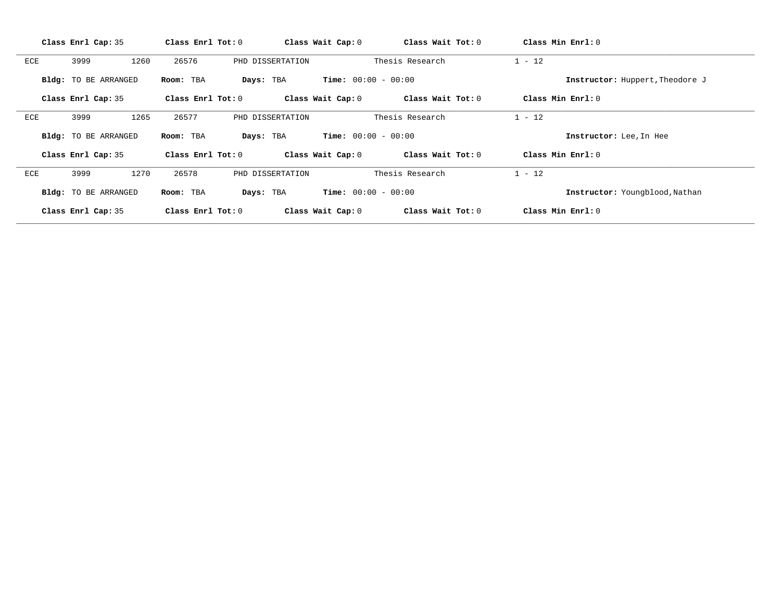|     | Class Enrl Cap: 35   | Class Enrl Tot: 0      | Class Wait Cap: 0            | Class Wait Tot: 0 | Class Min Enrl: 0               |  |
|-----|----------------------|------------------------|------------------------------|-------------------|---------------------------------|--|
| ECE | 3999<br>1260         | 26576                  | PHD DISSERTATION             | Thesis Research   | $1 - 12$                        |  |
|     | Bldg: TO BE ARRANGED | Room: TBA<br>Days: TBA | <b>Time:</b> $00:00 - 00:00$ |                   | Instructor: Huppert, Theodore J |  |
|     | Class Enrl Cap: 35   | Class $Enr1 Tot: 0$    | Class Wait Cap: 0            | Class Wait Tot: 0 | Class Min $Enr1: 0$             |  |
| ECE | 1265<br>3999         | 26577                  | PHD DISSERTATION             | Thesis Research   | $1 - 12$                        |  |
|     | Bldg: TO BE ARRANGED | Room: TBA<br>Days: TBA | <b>Time:</b> $00:00 - 00:00$ |                   | Instructor: Lee, In Hee         |  |
|     | Class Enrl Cap: 35   | Class $Enr1 Tot: 0$    | Class Wait Cap: 0            | Class Wait Tot: 0 | Class Min Enrl: 0               |  |
| ECE | 1270<br>3999         | 26578                  | PHD DISSERTATION             | Thesis Research   | $1 - 12$                        |  |
|     | Bldg: TO BE ARRANGED | Room: TBA<br>Days: TBA | <b>Time:</b> $00:00 - 00:00$ |                   | Instructor: Youngblood, Nathan  |  |
|     | Class Enrl Cap: 35   | Class Enrl Tot: $0$    | Class Wait Cap: 0            | Class Wait Tot: 0 | Class Min Enrl: 0               |  |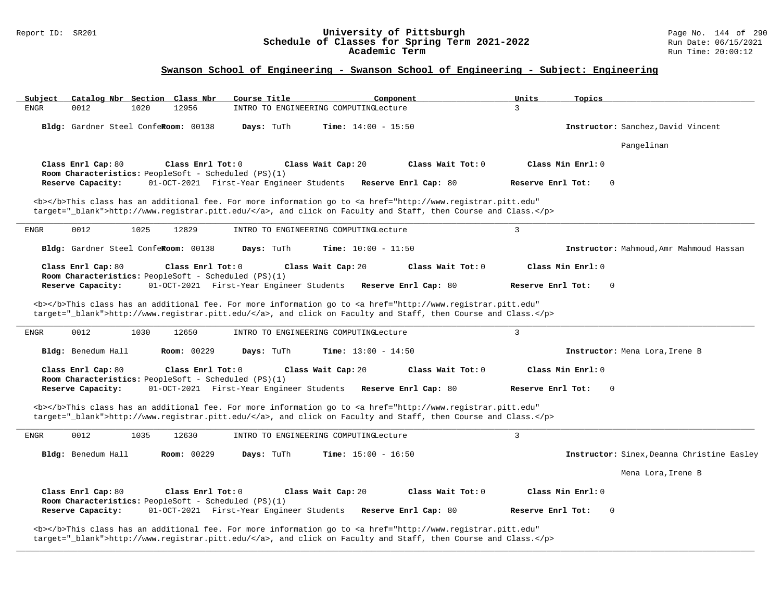#### Report ID: SR201 **University of Pittsburgh** Page No. 144 of 290 **Schedule of Classes for Spring Term 2021-2022** Run Date: 06/15/2021 **Academic Term** Run Time: 20:00:12

### **Swanson School of Engineering - Swanson School of Engineering - Subject: Engineering**

|              | Catalog Nbr Section Class Nbr        |      |                    | Course Title                                                                                     |                                       | Component                                                                                                                                                                                                                          | Units<br>Topics                  |                                            |
|--------------|--------------------------------------|------|--------------------|--------------------------------------------------------------------------------------------------|---------------------------------------|------------------------------------------------------------------------------------------------------------------------------------------------------------------------------------------------------------------------------------|----------------------------------|--------------------------------------------|
| ${\tt ENGR}$ | 0012                                 | 1020 | 12956              |                                                                                                  | INTRO TO ENGINEERING COMPUTINGLecture |                                                                                                                                                                                                                                    | 3                                |                                            |
|              | Bldg: Gardner Steel ConfeRoom: 00138 |      |                    | Days: TuTh                                                                                       | <b>Time:</b> $14:00 - 15:50$          |                                                                                                                                                                                                                                    |                                  | Instructor: Sanchez, David Vincent         |
|              |                                      |      |                    |                                                                                                  |                                       |                                                                                                                                                                                                                                    |                                  | Pangelinan                                 |
|              | Class Enrl Cap: 80                   |      | Class Enrl Tot: 0  | Room Characteristics: PeopleSoft - Scheduled (PS)(1)                                             | Class Wait Cap: 20                    | Class Wait Tot: 0                                                                                                                                                                                                                  | Class Min Enrl: 0                |                                            |
|              | Reserve Capacity:                    |      |                    | 01-OCT-2021 First-Year Engineer Students                                                         |                                       | Reserve Enrl Cap: 80                                                                                                                                                                                                               | Reserve Enrl Tot:<br>$\Omega$    |                                            |
|              |                                      |      |                    |                                                                                                  |                                       | <b></b> This class has an additional fee. For more information go to <a <br="" href="http://www.registrar.pitt.edu">target="_blank"&gt;http://www.registrar.pitt.edu/</a> , and click on Faculty and Staff, then Course and Class. |                                  |                                            |
| <b>ENGR</b>  | 0012                                 | 1025 | 12829              |                                                                                                  | INTRO TO ENGINEERING COMPUTINGLecture |                                                                                                                                                                                                                                    | $\mathbf{3}$                     |                                            |
|              | Bldg: Gardner Steel ConfeRoom: 00138 |      |                    | Days: TuTh                                                                                       | <b>Time:</b> $10:00 - 11:50$          |                                                                                                                                                                                                                                    |                                  | Instructor: Mahmoud, Amr Mahmoud Hassan    |
|              | Class Enrl Cap: 80                   |      | Class Enrl Tot: 0  | Room Characteristics: PeopleSoft - Scheduled (PS)(1)                                             | Class Wait Cap: 20                    | Class Wait Tot: 0                                                                                                                                                                                                                  | Class Min Enrl: 0                |                                            |
|              | Reserve Capacity:                    |      |                    | 01-OCT-2021 First-Year Engineer Students                                                         |                                       | Reserve Enrl Cap: 80                                                                                                                                                                                                               | Reserve Enrl Tot:<br>$\Omega$    |                                            |
|              |                                      |      |                    |                                                                                                  |                                       | <b></b> This class has an additional fee. For more information go to <a <br="" href="http://www.registrar.pitt.edu">target="_blank"&gt;http://www.registrar.pitt.edu/</a> , and click on Faculty and Staff, then Course and Class. |                                  |                                            |
| <b>ENGR</b>  | 0012                                 | 1030 | 12650              |                                                                                                  | INTRO TO ENGINEERING COMPUTINGLecture |                                                                                                                                                                                                                                    |                                  |                                            |
|              |                                      |      |                    |                                                                                                  |                                       |                                                                                                                                                                                                                                    | $\overline{3}$                   |                                            |
|              | Bldg: Benedum Hall                   |      | Room: 00229        | Days: TuTh                                                                                       | Time: $13:00 - 14:50$                 |                                                                                                                                                                                                                                    |                                  | Instructor: Mena Lora, Irene B             |
|              | Class Enrl Cap: 80                   |      | Class Enrl Tot: 0  |                                                                                                  | Class Wait Cap: 20                    | Class Wait Tot: 0                                                                                                                                                                                                                  | Class Min Enrl: 0                |                                            |
|              | Reserve Capacity:                    |      |                    | Room Characteristics: PeopleSoft - Scheduled (PS)(1)<br>01-OCT-2021 First-Year Engineer Students |                                       | Reserve Enrl Cap: 80                                                                                                                                                                                                               | Reserve Enrl Tot:<br>$\Omega$    |                                            |
|              |                                      |      |                    |                                                                                                  |                                       | <b></b> This class has an additional fee. For more information go to <a <="" href="http://www.registrar.pitt.edu" td=""><td></td><td></td></a>                                                                                     |                                  |                                            |
|              |                                      |      |                    |                                                                                                  |                                       | target="_blank">http://www.registrar.pitt.edu/, and click on Faculty and Staff, then Course and Class.                                                                                                                             |                                  |                                            |
| ENGR         | 0012                                 | 1035 | 12630              |                                                                                                  | INTRO TO ENGINEERING COMPUTINGLecture |                                                                                                                                                                                                                                    | $\overline{3}$                   |                                            |
|              | Bldg: Benedum Hall                   |      | <b>Room: 00229</b> | Days: TuTh                                                                                       | <b>Time:</b> $15:00 - 16:50$          |                                                                                                                                                                                                                                    |                                  | Instructor: Sinex, Deanna Christine Easley |
|              |                                      |      |                    |                                                                                                  |                                       |                                                                                                                                                                                                                                    |                                  | Mena Lora, Irene B                         |
|              | Class Enrl Cap: 80                   |      | Class Enrl Tot: 0  |                                                                                                  | Class Wait Cap: 20                    | Class Wait Tot: 0                                                                                                                                                                                                                  | Class Min Enrl: 0                |                                            |
|              | Reserve Capacity:                    |      |                    | Room Characteristics: PeopleSoft - Scheduled (PS)(1)<br>01-OCT-2021 First-Year Engineer Students |                                       | Reserve Enrl Cap: 80                                                                                                                                                                                                               | Reserve Enrl Tot:<br>$\mathbf 0$ |                                            |

**\_\_\_\_\_\_\_\_\_\_\_\_\_\_\_\_\_\_\_\_\_\_\_\_\_\_\_\_\_\_\_\_\_\_\_\_\_\_\_\_\_\_\_\_\_\_\_\_\_\_\_\_\_\_\_\_\_\_\_\_\_\_\_\_\_\_\_\_\_\_\_\_\_\_\_\_\_\_\_\_\_\_\_\_\_\_\_\_\_\_\_\_\_\_\_\_\_\_\_\_\_\_\_\_\_\_\_\_\_\_\_\_\_\_\_\_\_\_\_\_\_\_\_\_\_\_\_\_\_\_\_\_\_\_\_\_\_\_\_\_\_\_\_\_\_\_\_\_\_\_\_\_\_\_\_\_**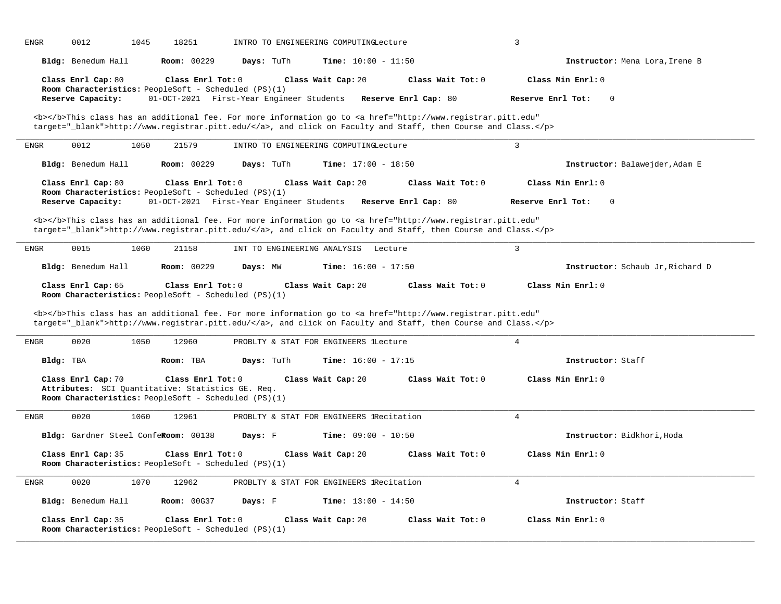| <b>ENGR</b><br>0012<br>1045<br>18251                                                                                            | INTRO TO ENGINEERING COMPUTINGLecture                                                                                                                                                                                              | 3                                                        |                                  |
|---------------------------------------------------------------------------------------------------------------------------------|------------------------------------------------------------------------------------------------------------------------------------------------------------------------------------------------------------------------------------|----------------------------------------------------------|----------------------------------|
| Bldg: Benedum Hall                                                                                                              | <b>Room: 00229</b><br>Days: TuTh<br><b>Time:</b> $10:00 - 11:50$                                                                                                                                                                   |                                                          | Instructor: Mena Lora, Irene B   |
| Class Enrl Cap: 80                                                                                                              | Class Enrl Tot: 0<br>Class Wait Cap: 20                                                                                                                                                                                            | Class Wait Tot: 0<br>Class Min Enrl: 0                   |                                  |
| Room Characteristics: PeopleSoft - Scheduled (PS)(1)<br>Reserve Capacity:                                                       | 01-OCT-2021 First-Year Engineer Students                                                                                                                                                                                           | Reserve Enrl Tot:<br>Reserve Enrl Cap: 80<br>$\mathbf 0$ |                                  |
|                                                                                                                                 | <b></b> This class has an additional fee. For more information go to <a <br="" href="http://www.registrar.pitt.edu">target="_blank"&gt;http://www.registrar.pitt.edu/</a> , and click on Faculty and Staff, then Course and Class. |                                                          |                                  |
| <b>ENGR</b><br>0012<br>1050<br>21579                                                                                            | INTRO TO ENGINEERING COMPUTINGLecture                                                                                                                                                                                              | $\overline{3}$                                           |                                  |
| Bldg: Benedum Hall<br><b>Room: 00229</b>                                                                                        | Days: TuTh<br><b>Time:</b> $17:00 - 18:50$                                                                                                                                                                                         |                                                          | Instructor: Balawejder, Adam E   |
| Class Enrl Cap: 80<br>Room Characteristics: PeopleSoft - Scheduled (PS)(1)                                                      | Class Enrl Tot: 0<br>Class Wait Cap: 20                                                                                                                                                                                            | Class Wait Tot: 0<br>Class Min Enrl: 0                   |                                  |
| Reserve Capacity:                                                                                                               | 01-OCT-2021 First-Year Engineer Students                                                                                                                                                                                           | Reserve Enrl Cap: 80<br>Reserve Enrl Tot:<br>$\mathbf 0$ |                                  |
|                                                                                                                                 | <b></b> This class has an additional fee. For more information go to <a <br="" href="http://www.registrar.pitt.edu">target="_blank"&gt;http://www.registrar.pitt.edu/</a> , and click on Faculty and Staff, then Course and Class. |                                                          |                                  |
| 0015<br><b>ENGR</b><br>1060<br>21158                                                                                            | INT TO ENGINEERING ANALYSIS Lecture                                                                                                                                                                                                | $\overline{3}$                                           |                                  |
| Bldg: Benedum Hall                                                                                                              | <b>Room: 00229</b><br>Days: MW<br><b>Time:</b> $16:00 - 17:50$                                                                                                                                                                     |                                                          | Instructor: Schaub Jr, Richard D |
| Class Enrl Cap: 65<br>Room Characteristics: PeopleSoft - Scheduled (PS)(1)                                                      | Class Enrl Tot: 0<br>Class Wait Cap: 20                                                                                                                                                                                            | Class Wait Tot: 0<br>Class Min Enrl: 0                   |                                  |
|                                                                                                                                 | <b></b> This class has an additional fee. For more information go to <a <br="" href="http://www.registrar.pitt.edu">target="_blank"&gt;http://www.registrar.pitt.edu/</a> , and click on Faculty and Staff, then Course and Class. |                                                          |                                  |
| 0020<br>1050<br>12960<br><b>ENGR</b>                                                                                            | PROBLTY & STAT FOR ENGINEERS lLecture                                                                                                                                                                                              | $\overline{4}$                                           |                                  |
| Bldg: TBA<br>Room: TBA                                                                                                          | Days: TuTh<br><b>Time:</b> $16:00 - 17:15$                                                                                                                                                                                         | Instructor: Staff                                        |                                  |
| Class Enrl Cap: 70<br>Attributes: SCI Quantitative: Statistics GE. Req.<br>Room Characteristics: PeopleSoft - Scheduled (PS)(1) | Class Enrl Tot: 0<br>Class Wait Cap: 20                                                                                                                                                                                            | Class Wait Tot: 0<br>Class Min Enrl: 0                   |                                  |
| 0020<br>1060<br>12961<br>ENGR                                                                                                   | PROBLTY & STAT FOR ENGINEERS lRecitation                                                                                                                                                                                           | 4                                                        |                                  |
| Bldg: Gardner Steel ConfeRoom: 00138                                                                                            | Days: F<br><b>Time:</b> $09:00 - 10:50$                                                                                                                                                                                            |                                                          | Instructor: Bidkhori, Hoda       |
| Class Enrl Cap: 35<br>Room Characteristics: PeopleSoft - Scheduled (PS)(1)                                                      | Class Enrl Tot: 0<br>Class Wait Cap: 20                                                                                                                                                                                            | Class Wait Tot: 0<br>Class Min Enrl: 0                   |                                  |
| 0020<br>1070<br>ENGR<br>12962                                                                                                   | PROBLTY & STAT FOR ENGINEERS lRecitation                                                                                                                                                                                           | $\overline{4}$                                           |                                  |
| Bldg: Benedum Hall                                                                                                              | <b>Room: 00G37</b><br><b>Time:</b> $13:00 - 14:50$<br>Days: F                                                                                                                                                                      | Instructor: Staff                                        |                                  |
| Class Enrl Cap: 35<br>Room Characteristics: PeopleSoft - Scheduled (PS)(1)                                                      | Class Enrl Tot: 0<br>Class Wait Cap: 20                                                                                                                                                                                            | Class Min Enrl: 0<br>Class Wait Tot: 0                   |                                  |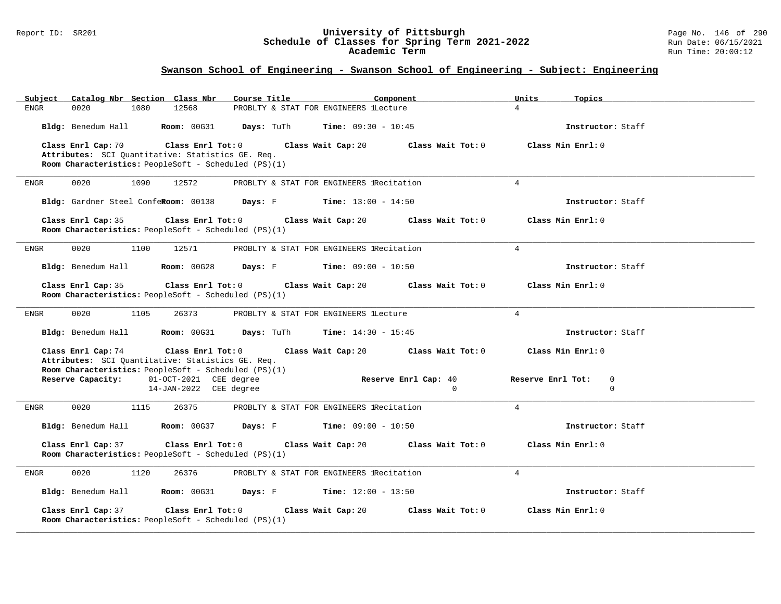#### Report ID: SR201 **University of Pittsburgh** Page No. 146 of 290 **Schedule of Classes for Spring Term 2021-2022** Run Date: 06/15/2021 **Academic Term** Run Time: 20:00:12

| Catalog Nbr Section Class Nbr<br>Subject             | Course Title                                | Component            | Units<br>Topics        |
|------------------------------------------------------|---------------------------------------------|----------------------|------------------------|
| 12568<br><b>ENGR</b><br>0020<br>1080                 | PROBLTY & STAT FOR ENGINEERS lLecture       |                      | $\overline{4}$         |
| Bldg: Benedum Hall<br>Room: 00G31                    | Days: TuTh<br><b>Time:</b> $09:30 - 10:45$  |                      | Instructor: Staff      |
| Class Enrl Cap: 70<br>Class Enrl Tot: 0              | Class Wait Cap: 20                          | Class Wait Tot: 0    | Class Min Enrl: 0      |
| Attributes: SCI Quantitative: Statistics GE. Req.    |                                             |                      |                        |
| Room Characteristics: PeopleSoft - Scheduled (PS)(1) |                                             |                      |                        |
|                                                      |                                             |                      |                        |
| 0020<br>1090<br>12572<br>ENGR                        | PROBLTY & STAT FOR ENGINEERS lRecitation    |                      | $4\overline{ }$        |
| Bldg: Gardner Steel ConfeRoom: 00138                 | Days: F<br><b>Time:</b> $13:00 - 14:50$     |                      | Instructor: Staff      |
| Class Enrl Cap: 35<br>Class Enrl Tot: 0              | Class Wait Cap: 20                          | Class Wait Tot: 0    | Class Min Enrl: 0      |
| Room Characteristics: PeopleSoft - Scheduled (PS)(1) |                                             |                      |                        |
|                                                      |                                             |                      |                        |
| <b>ENGR</b><br>0020<br>1100<br>12571                 | PROBLTY & STAT FOR ENGINEERS 1Recitation    |                      | $\overline{4}$         |
| Bldg: Benedum Hall<br><b>Room: 00G28</b>             | <b>Days:</b> F <b>Time:</b> $09:00 - 10:50$ |                      | Instructor: Staff      |
| Class Enrl Cap: 35<br>Class Enrl Tot: 0              | Class Wait Cap: 20                          | Class Wait Tot: 0    | Class Min Enrl: 0      |
| Room Characteristics: PeopleSoft - Scheduled (PS)(1) |                                             |                      |                        |
|                                                      |                                             |                      |                        |
| 0020<br>ENGR<br>1105<br>26373                        | PROBLTY & STAT FOR ENGINEERS lLecture       |                      | $\overline{4}$         |
| Bldg: Benedum Hall<br><b>Room: 00G31</b>             | Days: TuTh<br><b>Time:</b> $14:30 - 15:45$  |                      | Instructor: Staff      |
| Class Enrl Cap: 74<br>Class Enrl Tot: 0              | Class Wait Cap: 20                          | Class Wait Tot: 0    | Class Min Enrl: 0      |
| Attributes: SCI Quantitative: Statistics GE. Req.    |                                             |                      |                        |
| Room Characteristics: PeopleSoft - Scheduled (PS)(1) |                                             |                      |                        |
| Reserve Capacity:<br>01-OCT-2021 CEE degree          |                                             | Reserve Enrl Cap: 40 | Reserve Enrl Tot:<br>0 |
| 14-JAN-2022 CEE degree                               |                                             | $\mathbf{0}$         | $\mathbf 0$            |
| 0020<br>1115<br>26375<br>ENGR                        | PROBLTY & STAT FOR ENGINEERS lRecitation    |                      | $4\overline{ }$        |
| Bldg: Benedum Hall<br><b>Room: 00G37</b>             | <b>Days:</b> F <b>Time:</b> $09:00 - 10:50$ |                      | Instructor: Staff      |
| Class Enrl Cap: 37<br>Class Enrl Tot: 0              | Class Wait Cap: 20                          | Class Wait Tot: 0    | Class Min Enrl: 0      |
| Room Characteristics: PeopleSoft - Scheduled (PS)(1) |                                             |                      |                        |
|                                                      |                                             |                      |                        |
| 0020<br>1120<br>26376<br>ENGR                        | PROBLTY & STAT FOR ENGINEERS IRecitation    |                      | $\overline{4}$         |
| Bldg: Benedum Hall<br><b>Room: 00G31</b>             | Days: F Time: 12:00 - 13:50                 |                      | Instructor: Staff      |
| Class Enrl Cap: 37<br>Class Enrl Tot: 0              | Class Wait Cap: 20                          | Class Wait Tot: 0    | Class Min Enrl: 0      |
| Room Characteristics: PeopleSoft - Scheduled (PS)(1) |                                             |                      |                        |
|                                                      |                                             |                      |                        |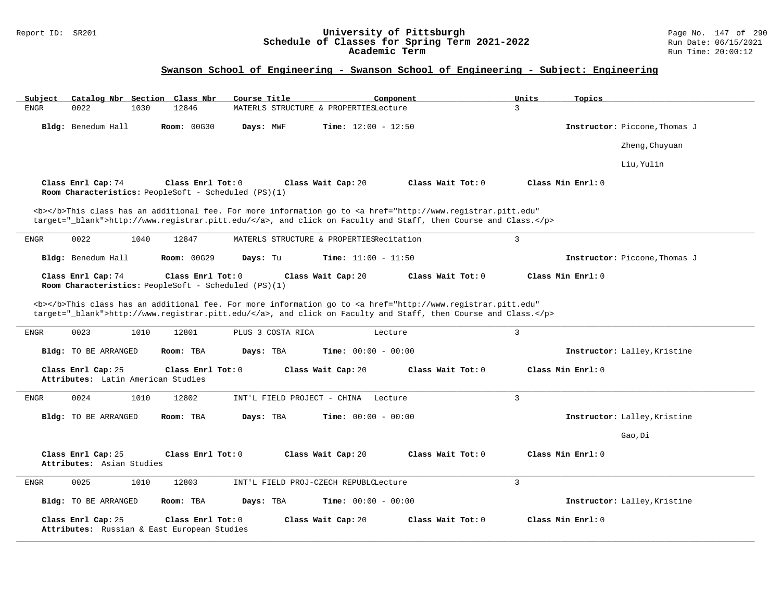#### Report ID: SR201 **University of Pittsburgh** Page No. 147 of 290 **Schedule of Classes for Spring Term 2021-2022** Run Date: 06/15/2021 **Academic Term** Run Time: 20:00:12

| Catalog Nbr Section Class Nbr<br>Subject                                                          | Course Title<br>Component                                                                                                                                                                                                          | Units<br>Topics               |
|---------------------------------------------------------------------------------------------------|------------------------------------------------------------------------------------------------------------------------------------------------------------------------------------------------------------------------------------|-------------------------------|
| 0022<br>1030<br>12846<br><b>ENGR</b>                                                              | MATERLS STRUCTURE & PROPERTIESLecture                                                                                                                                                                                              | 3                             |
| Bldg: Benedum Hall<br><b>Room: 00G30</b>                                                          | Days: MWF<br><b>Time:</b> $12:00 - 12:50$                                                                                                                                                                                          | Instructor: Piccone, Thomas J |
|                                                                                                   |                                                                                                                                                                                                                                    | Zheng, Chuyuan                |
|                                                                                                   |                                                                                                                                                                                                                                    | Liu, Yulin                    |
| Class Enrl Cap: 74<br>Class Enrl Tot: 0<br>Room Characteristics: PeopleSoft - Scheduled (PS)(1)   | Class Wait Cap: 20<br>Class Wait Tot: $0$                                                                                                                                                                                          | Class Min Enrl: 0             |
|                                                                                                   | <b></b> This class has an additional fee. For more information go to <a <br="" href="http://www.registrar.pitt.edu">target="_blank"&gt;http://www.registrar.pitt.edu/</a> , and click on Faculty and Staff, then Course and Class. |                               |
| 0022<br>1040<br>ENGR<br>12847                                                                     | MATERLS STRUCTURE & PROPERTIESRecitation                                                                                                                                                                                           | $\mathbf{3}$                  |
| Bldg: Benedum Hall<br>Room: 00G29                                                                 | Days: Tu<br><b>Time:</b> $11:00 - 11:50$                                                                                                                                                                                           | Instructor: Piccone, Thomas J |
| Class Enrl Cap: 74<br>Class Enrl Tot: $0$<br>Room Characteristics: PeopleSoft - Scheduled (PS)(1) | Class Wait Cap: 20<br>Class Wait Tot: $0$                                                                                                                                                                                          | Class Min Enrl: 0             |
|                                                                                                   | <b></b> This class has an additional fee. For more information go to <a <br="" href="http://www.registrar.pitt.edu">target="_blank"&gt;http://www.registrar.pitt.edu/</a> , and click on Faculty and Staff, then Course and Class. |                               |
| 0023<br>1010<br>12801<br>ENGR                                                                     | PLUS 3 COSTA RICA<br>Lecture                                                                                                                                                                                                       | $\overline{3}$                |
| <b>Bldg:</b> TO BE ARRANGED<br>Room: TBA                                                          | Days: TBA<br><b>Time:</b> $00:00 - 00:00$                                                                                                                                                                                          | Instructor: Lalley, Kristine  |
| Class Enrl Cap: 25<br>Class Enrl Tot: 0<br>Attributes: Latin American Studies                     | Class Wait Cap: 20<br>Class Wait Tot: 0                                                                                                                                                                                            | Class Min Enrl: 0             |
| <b>ENGR</b><br>0024<br>1010<br>12802                                                              | INT'L FIELD PROJECT - CHINA Lecture                                                                                                                                                                                                | 3                             |
| <b>Bldg:</b> TO BE ARRANGED<br>Room: TBA                                                          | Days: TBA<br><b>Time:</b> $00:00 - 00:00$                                                                                                                                                                                          | Instructor: Lalley, Kristine  |
|                                                                                                   |                                                                                                                                                                                                                                    | Gao, Di                       |
| Class Enrl Cap: 25<br>Class Enrl Tot: 0<br>Attributes: Asian Studies                              | Class Wait Tot: 0<br>Class Wait Cap: 20                                                                                                                                                                                            | Class Min Enrl: 0             |
| ENGR<br>0025<br>1010<br>12803                                                                     | INT'L FIELD PROJ-CZECH REPUBLCLecture                                                                                                                                                                                              | $\overline{3}$                |
| <b>Bldg:</b> TO BE ARRANGED<br>Room: TBA                                                          | Days: TBA<br><b>Time:</b> $00:00 - 00:00$                                                                                                                                                                                          | Instructor: Lalley, Kristine  |
| Class Enrl Cap: 25<br>Class Enrl Tot: 0<br>Attributes: Russian & East European Studies            | Class Wait Tot: 0<br>Class Wait Cap: 20                                                                                                                                                                                            | Class Min Enrl: 0             |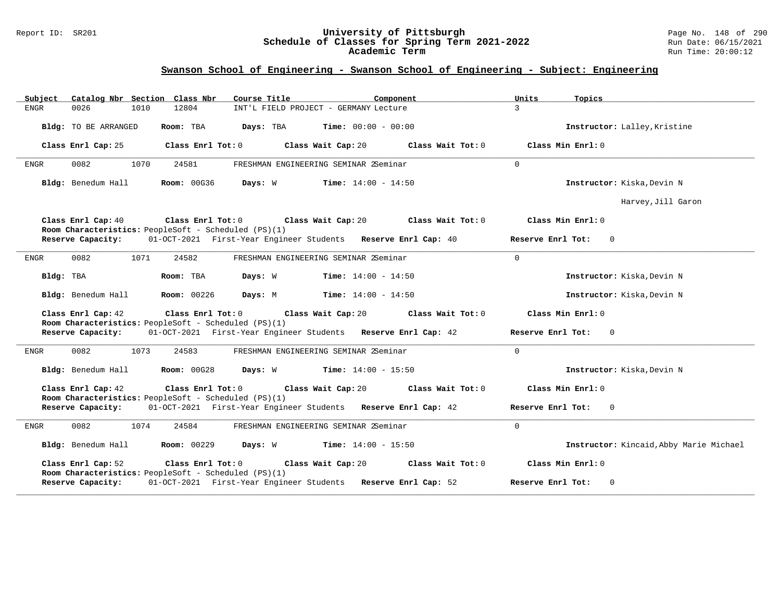#### Report ID: SR201 **University of Pittsburgh** Page No. 148 of 290 **Schedule of Classes for Spring Term 2021-2022** Run Date: 06/15/2021 **Academic Term** Run Time: 20:00:12

| Catalog Nbr Section Class Nbr<br>Course Title<br>Subject                                        | Component                                                     | Units<br>Topics                         |
|-------------------------------------------------------------------------------------------------|---------------------------------------------------------------|-----------------------------------------|
| 12804<br><b>ENGR</b><br>0026<br>1010                                                            | INT'L FIELD PROJECT - GERMANY Lecture                         | 3                                       |
| Room: TBA<br>Days: TBA<br>Bldg: TO BE ARRANGED                                                  | $Time: 00:00 - 00:00$                                         | Instructor: Lalley, Kristine            |
| Class Enrl Tot: 0<br>Class Enrl Cap: 25                                                         | Class Wait Cap: 20<br>Class Wait Tot: 0                       | Class Min Enrl: 0                       |
| 1070<br>0082<br>24581<br>ENGR                                                                   | FRESHMAN ENGINEERING SEMINAR 2Seminar                         | $\Omega$                                |
| Bldg: Benedum Hall<br><b>Room: 00G36</b><br>Days: W                                             | $Time: 14:00 - 14:50$                                         | Instructor: Kiska, Devin N              |
|                                                                                                 |                                                               | Harvey, Jill Garon                      |
| Class Enrl Cap: 40<br>Class Enrl Tot:0<br>Room Characteristics: PeopleSoft - Scheduled (PS)(1)  | Class Wait Cap: 20<br>Class Wait Tot: 0                       | Class Min $Enr1: 0$                     |
| Reserve Capacity:                                                                               | 01-OCT-2021 First-Year Engineer Students Reserve Enrl Cap: 40 | Reserve Enrl Tot:<br>$\Omega$           |
| 24582<br>0082<br>1071<br>ENGR                                                                   | FRESHMAN ENGINEERING SEMINAR 2Seminar                         | $\Omega$                                |
| Bldg: TBA<br>Room: TBA<br>Days: W                                                               | <b>Time:</b> $14:00 - 14:50$                                  | Instructor: Kiska, Devin N              |
| <b>Room: 00226</b><br>Bldg: Benedum Hall<br>Days: M                                             | <b>Time:</b> $14:00 - 14:50$                                  | Instructor: Kiska, Devin N              |
| Class Enrl Cap: 42<br>Class Enrl Tot: 0<br>Room Characteristics: PeopleSoft - Scheduled (PS)(1) | Class Wait Cap: 20<br>Class Wait Tot: 0                       | Class Min Enrl: 0                       |
| Reserve Capacity:                                                                               | 01-OCT-2021 First-Year Engineer Students Reserve Enrl Cap: 42 | Reserve Enrl Tot: 0                     |
| 0082<br>1073<br>24583<br>ENGR                                                                   | FRESHMAN ENGINEERING SEMINAR 2Seminar                         | $\overline{0}$                          |
| Bldg: Benedum Hall<br>Room: 00G28                                                               | <b>Days:</b> W <b>Time:</b> $14:00 - 15:50$                   | Instructor: Kiska, Devin N              |
| Class Enrl Cap: 42<br>Class Enrl Tot: 0                                                         | Class Wait Cap: 20<br>Class Wait Tot: 0                       | Class Min Enrl: 0                       |
| Room Characteristics: PeopleSoft - Scheduled (PS)(1)<br>Reserve Capacity:                       | 01-OCT-2021 First-Year Engineer Students Reserve Enrl Cap: 42 | Reserve Enrl Tot:<br>$\Omega$           |
| 0082<br>1074<br>24584<br>ENGR                                                                   | FRESHMAN ENGINEERING SEMINAR 2Seminar                         | $\Omega$                                |
| Bldg: Benedum Hall<br><b>Room: 00229</b><br>Days: W                                             | <b>Time:</b> $14:00 - 15:50$                                  | Instructor: Kincaid, Abby Marie Michael |
| Class Enrl Cap: 52<br>Class Enrl Tot: 0                                                         | Class Wait Cap: 20<br>Class Wait Tot: 0                       | Class Min Enrl: 0                       |
| Room Characteristics: PeopleSoft - Scheduled (PS)(1)<br>Reserve Capacity:                       | 01-OCT-2021 First-Year Engineer Students Reserve Enrl Cap: 52 | $\mathbf 0$<br>Reserve Enrl Tot:        |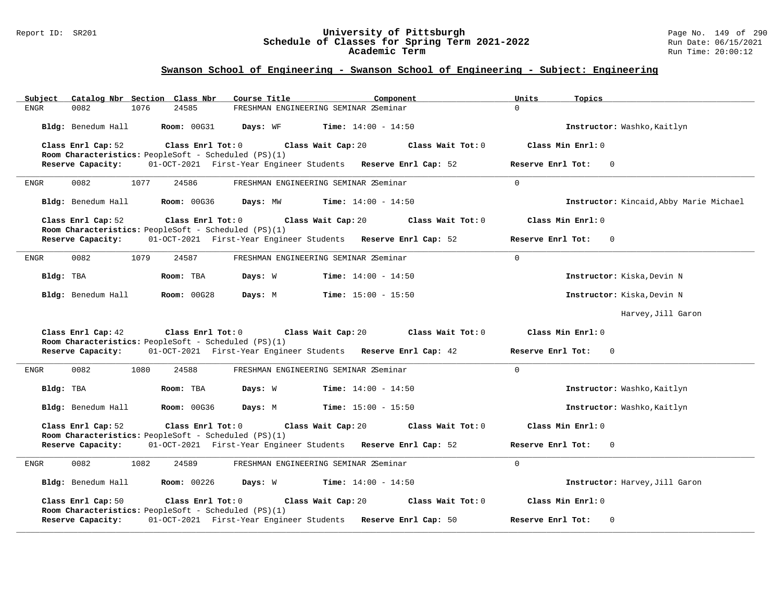#### Report ID: SR201 **University of Pittsburgh** Page No. 149 of 290 **Schedule of Classes for Spring Term 2021-2022** Run Date: 06/15/2021 **Academic Term** Run Time: 20:00:12

| Subject<br>Catalog Nbr Section Class Nbr                                                        | Course Title<br>Component                                     | Units<br>Topics                         |
|-------------------------------------------------------------------------------------------------|---------------------------------------------------------------|-----------------------------------------|
| 1076<br>24585<br><b>ENGR</b><br>0082                                                            | FRESHMAN ENGINEERING SEMINAR 2Seminar                         | $\Omega$                                |
| Bldg: Benedum Hall<br>Room: 00G31                                                               | Days: WF<br><b>Time:</b> $14:00 - 14:50$                      | Instructor: Washko, Kaitlyn             |
| Class Enrl Cap: 52<br>Class Enrl Tot: 0<br>Room Characteristics: PeopleSoft - Scheduled (PS)(1) | Class Wait Cap: 20<br>Class Wait Tot: 0                       | Class Min Enrl: 0                       |
| Reserve Capacity:                                                                               | 01-OCT-2021 First-Year Engineer Students Reserve Enrl Cap: 52 | Reserve Enrl Tot:<br>$\Omega$           |
| 0082<br>1077<br>24586<br>ENGR                                                                   | FRESHMAN ENGINEERING SEMINAR 2Seminar                         | $\Omega$                                |
| Bldg: Benedum Hall<br><b>Room: 00G36</b>                                                        | <b>Time:</b> $14:00 - 14:50$<br>Days: MW                      | Instructor: Kincaid, Abby Marie Michael |
| Class Enrl Cap: 52<br>Class Enrl Tot: 0<br>Room Characteristics: PeopleSoft - Scheduled (PS)(1) | Class Wait Cap: 20<br>Class Wait Tot: 0                       | Class Min Enrl: 0                       |
| Reserve Capacity:                                                                               | 01-OCT-2021 First-Year Engineer Students Reserve Enrl Cap: 52 | Reserve Enrl Tot:<br>$\overline{0}$     |
| 0082<br>1079<br>24587<br>ENGR                                                                   | FRESHMAN ENGINEERING SEMINAR 2Seminar                         | $\overline{0}$                          |
| Bldg: TBA<br>Room: TBA                                                                          | Days: W<br><b>Time:</b> $14:00 - 14:50$                       | Instructor: Kiska, Devin N              |
| Bldg: Benedum Hall<br><b>Room: 00G28</b>                                                        | Days: M<br><b>Time:</b> $15:00 - 15:50$                       | Instructor: Kiska, Devin N              |
|                                                                                                 |                                                               | Harvey, Jill Garon                      |
| Class Enrl Tot: 0<br>Class Enrl Cap: 42<br>Room Characteristics: PeopleSoft - Scheduled (PS)(1) | Class Wait Cap: 20<br>Class Wait Tot: 0                       | Class Min Enrl: 0                       |
| Reserve Capacity:                                                                               | 01-OCT-2021 First-Year Engineer Students Reserve Enrl Cap: 42 | Reserve Enrl Tot:<br>$\overline{0}$     |
| 0082<br>1080<br>24588<br>ENGR                                                                   | FRESHMAN ENGINEERING SEMINAR 2Seminar                         | $\Omega$                                |
| Bldg: TBA<br>Room: TBA                                                                          | Days: W<br>$Time: 14:00 - 14:50$                              | Instructor: Washko, Kaitlyn             |
| Bldg: Benedum Hall<br><b>Room: 00G36</b>                                                        | Days: M<br><b>Time:</b> $15:00 - 15:50$                       | Instructor: Washko, Kaitlyn             |
| Class Enrl Cap: 52<br>Class Enrl Tot: 0<br>Room Characteristics: PeopleSoft - Scheduled (PS)(1) | Class Wait Cap: 20<br>Class Wait Tot: 0                       | Class Min Enrl: 0                       |
| Reserve Capacity:                                                                               | 01-OCT-2021 First-Year Engineer Students Reserve Enrl Cap: 52 | Reserve Enrl Tot:<br>$\Omega$           |
| 0082<br>1082<br>24589<br><b>ENGR</b>                                                            | FRESHMAN ENGINEERING SEMINAR 2Seminar                         | $\Omega$                                |
| Bldg: Benedum Hall<br><b>Room: 00226</b>                                                        | $Time: 14:00 - 14:50$<br>Days: W                              | Instructor: Harvey, Jill Garon          |
| Class Enrl Cap: 50<br>Class Enrl Tot: 0<br>Room Characteristics: PeopleSoft - Scheduled (PS)(1) | Class Wait Cap: 20<br>Class Wait Tot: 0                       | Class Min Enrl: 0                       |
| Reserve Capacity:                                                                               | 01-OCT-2021 First-Year Engineer Students Reserve Enrl Cap: 50 | Reserve Enrl Tot:<br>0                  |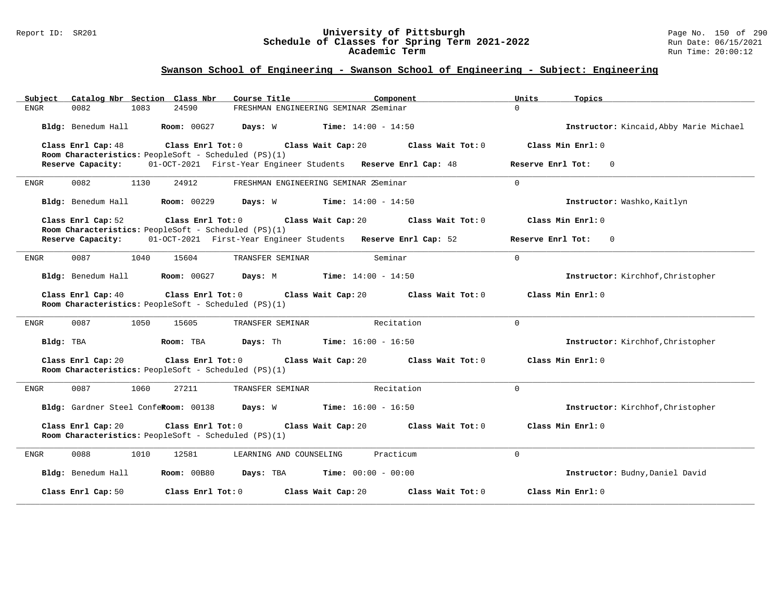#### Report ID: SR201 **University of Pittsburgh** Page No. 150 of 290 **Schedule of Classes for Spring Term 2021-2022** Run Date: 06/15/2021 **Academic Term** Run Time: 20:00:12

| Catalog Nbr Section Class Nbr<br>Subject                                                        | Course Title<br>Component                                     | Units<br>Topics                         |
|-------------------------------------------------------------------------------------------------|---------------------------------------------------------------|-----------------------------------------|
| 0082<br>1083<br>24590<br>ENGR                                                                   | FRESHMAN ENGINEERING SEMINAR 2Seminar                         | $\Omega$                                |
| Bldg: Benedum Hall<br><b>Room: 00G27</b>                                                        | Days: W<br><b>Time:</b> $14:00 - 14:50$                       | Instructor: Kincaid, Abby Marie Michael |
| Class Enrl Tot: 0<br>Class Enrl Cap: 48<br>Room Characteristics: PeopleSoft - Scheduled (PS)(1) | Class Wait Cap: 20<br>Class Wait Tot: 0                       | Class Min Enrl: 0                       |
| Reserve Capacity:                                                                               | 01-OCT-2021 First-Year Engineer Students Reserve Enrl Cap: 48 | Reserve Enrl Tot:<br>$\mathbf{0}$       |
| 0082<br>1130<br>24912<br><b>ENGR</b>                                                            | FRESHMAN ENGINEERING SEMINAR 2Seminar                         | $\Omega$                                |
| Bldg: Benedum Hall<br><b>Room: 00229</b>                                                        | Days: W<br>$Time: 14:00 - 14:50$                              | Instructor: Washko, Kaitlyn             |
| Class Enrl Cap: 52<br>Class Enrl Tot: 0                                                         | Class Wait Cap: 20<br>Class Wait Tot: 0                       | Class Min Enrl: 0                       |
| Room Characteristics: PeopleSoft - Scheduled (PS)(1)<br>Reserve Capacity:                       | 01-OCT-2021 First-Year Engineer Students Reserve Enrl Cap: 52 | Reserve Enrl Tot:<br>$\mathbf{0}$       |
| 0087<br>1040<br>15604<br>ENGR                                                                   | Seminar<br>TRANSFER SEMINAR                                   | $\Omega$                                |
| Bldg: Benedum Hall<br><b>Room: 00G27</b>                                                        | Days: M<br><b>Time:</b> $14:00 - 14:50$                       | Instructor: Kirchhof, Christopher       |
| Class Enrl Cap: 40<br>Class Enrl Tot: 0<br>Room Characteristics: PeopleSoft - Scheduled (PS)(1) | Class Wait Cap: 20<br>Class Wait Tot: 0                       | Class Min Enrl: 0                       |
| 0087<br>1050<br>15605<br>ENGR                                                                   | TRANSFER SEMINAR<br>Recitation                                | $\mathbf 0$                             |
| Bldg: TBA<br>Room: TBA                                                                          | Days: Th<br><b>Time:</b> $16:00 - 16:50$                      | Instructor: Kirchhof, Christopher       |
| Class Enrl Cap: 20<br>Class Enrl Tot: 0<br>Room Characteristics: PeopleSoft - Scheduled (PS)(1) | Class Wait Cap: 20<br>Class Wait Tot: 0                       | Class Min Enrl: 0                       |
| <b>ENGR</b><br>0087<br>1060<br>27211                                                            | TRANSFER SEMINAR<br>Recitation                                | $\Omega$                                |
| Bldg: Gardner Steel ConfeRoom: 00138                                                            | Days: W<br><b>Time:</b> $16:00 - 16:50$                       | Instructor: Kirchhof, Christopher       |
| Class Enrl Cap: 20<br>Class Enrl Tot: 0<br>Room Characteristics: PeopleSoft - Scheduled (PS)(1) | Class Wait Cap: 20<br>Class Wait Tot: 0                       | Class Min Enrl: 0                       |
| 0088<br>ENGR<br>1010<br>12581                                                                   | Practicum<br>LEARNING AND COUNSELING                          | $\Omega$                                |
| Bldg: Benedum Hall<br>Room: 00B80                                                               | Days: TBA<br><b>Time:</b> $00:00 - 00:00$                     | Instructor: Budny, Daniel David         |
| Class Enrl Cap: 50<br>Class Enrl Tot: 0                                                         | Class Wait Tot: 0<br>Class Wait Cap: 20                       | Class Min Enrl: 0                       |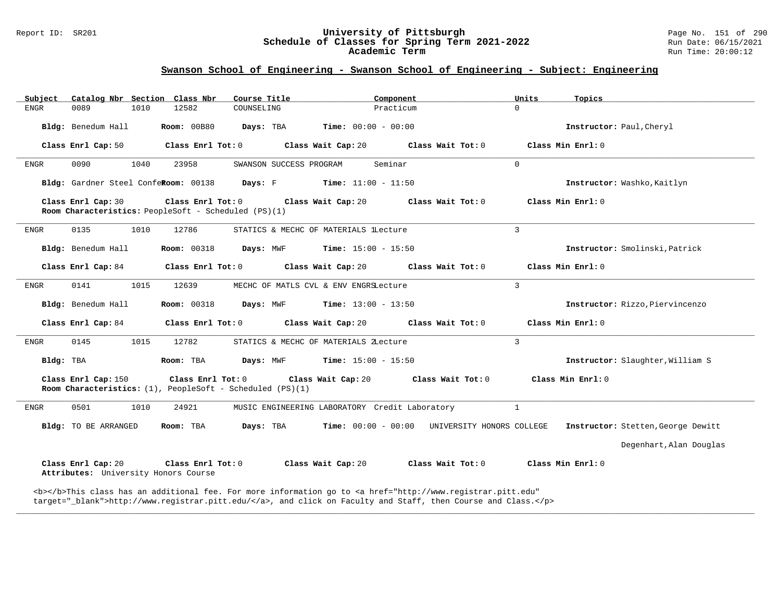#### Report ID: SR201 **University of Pittsburgh** Page No. 151 of 290 **Schedule of Classes for Spring Term 2021-2022** Run Date: 06/15/2021 **Academic Term** Run Time: 20:00:12

### **Swanson School of Engineering - Swanson School of Engineering - Subject: Engineering**

| Subject     |                                                            |      | Catalog Nbr Section Class Nbr                                             | Course Title                                              | Component                                      |                                                                                                                                                                                                                                    | Units        | Topics                             |
|-------------|------------------------------------------------------------|------|---------------------------------------------------------------------------|-----------------------------------------------------------|------------------------------------------------|------------------------------------------------------------------------------------------------------------------------------------------------------------------------------------------------------------------------------------|--------------|------------------------------------|
| <b>ENGR</b> | 0089                                                       | 1010 | 12582                                                                     | COUNSELING                                                | Practicum                                      |                                                                                                                                                                                                                                    | $\Omega$     |                                    |
|             | Bldg: Benedum Hall                                         |      | Room: 00B80                                                               | Days: TBA                                                 | <b>Time:</b> $00:00 - 00:00$                   |                                                                                                                                                                                                                                    |              | Instructor: Paul, Cheryl           |
|             | Class Enrl Cap: 50                                         |      | Class Enrl Tot: 0                                                         |                                                           | Class Wait Cap: 20                             | Class Wait Tot: 0                                                                                                                                                                                                                  |              | Class Min Enrl: 0                  |
| ENGR        | 0090                                                       | 1040 | 23958                                                                     | SWANSON SUCCESS PROGRAM                                   | Seminar                                        |                                                                                                                                                                                                                                    | $\Omega$     |                                    |
|             | Bldg: Gardner Steel ConfeRoom: 00138                       |      |                                                                           | Days: F                                                   | <b>Time:</b> $11:00 - 11:50$                   |                                                                                                                                                                                                                                    |              | Instructor: Washko, Kaitlyn        |
|             | Class Enrl Cap: 30                                         |      | Class Enrl Tot: 0<br>Room Characteristics: PeopleSoft - Scheduled (PS)(1) |                                                           | Class Wait Cap: 20                             | Class Wait Tot: 0                                                                                                                                                                                                                  |              | Class Min Enrl: 0                  |
| ENGR        | 0135                                                       | 1010 | 12786                                                                     |                                                           | STATICS & MECHC OF MATERIALS lLecture          |                                                                                                                                                                                                                                    | 3            |                                    |
|             | Bldg: Benedum Hall                                         |      | <b>Room: 00318</b>                                                        | Days: MWF                                                 | <b>Time:</b> $15:00 - 15:50$                   |                                                                                                                                                                                                                                    |              | Instructor: Smolinski, Patrick     |
|             | Class Enrl Cap: 84                                         |      | Class Enrl Tot: 0                                                         |                                                           | Class Wait Cap: 20                             | Class Wait Tot: 0                                                                                                                                                                                                                  |              | Class Min Enrl: 0                  |
| ENGR        | 0141                                                       | 1015 | 12639                                                                     |                                                           | MECHC OF MATLS CVL & ENV ENGRSLecture          |                                                                                                                                                                                                                                    | 3            |                                    |
|             | Bldg: Benedum Hall                                         |      | <b>Room: 00318</b>                                                        | Days: MWF                                                 | <b>Time:</b> $13:00 - 13:50$                   |                                                                                                                                                                                                                                    |              | Instructor: Rizzo, Piervincenzo    |
|             | Class Enrl Cap: 84                                         |      | Class Enrl Tot: 0                                                         |                                                           | Class Wait Cap: 20                             | Class Wait Tot: 0                                                                                                                                                                                                                  |              | Class Min Enrl: 0                  |
| ENGR        | 0145                                                       | 1015 | 12782                                                                     |                                                           | STATICS & MECHC OF MATERIALS ZLecture          |                                                                                                                                                                                                                                    | $\mathbf{3}$ |                                    |
| Bldg: TBA   |                                                            |      | Room: TBA                                                                 | Days: MWF                                                 | <b>Time:</b> $15:00 - 15:50$                   |                                                                                                                                                                                                                                    |              | Instructor: Slaughter, William S   |
|             | Class Enrl Cap: 150                                        |      | Class Enrl Tot: 0                                                         | Room Characteristics: (1), PeopleSoft - Scheduled (PS)(1) | Class Wait Cap: 20                             | Class Wait Tot: 0                                                                                                                                                                                                                  |              | Class Min Enrl: 0                  |
| ENGR        | 0501                                                       | 1010 | 24921                                                                     |                                                           | MUSIC ENGINEERING LABORATORY Credit Laboratory |                                                                                                                                                                                                                                    | $\mathbf{1}$ |                                    |
|             | Bldg: TO BE ARRANGED                                       |      | Room: TBA                                                                 | Days: TBA                                                 | <b>Time:</b> $00:00 - 00:00$                   | UNIVERSITY HONORS COLLEGE                                                                                                                                                                                                          |              | Instructor: Stetten, George Dewitt |
|             |                                                            |      |                                                                           |                                                           |                                                |                                                                                                                                                                                                                                    |              | Degenhart, Alan Douglas            |
|             | Class Enrl Cap: 20<br>Attributes: University Honors Course |      | Class Enrl Tot: 0                                                         |                                                           | Class Wait Cap: 20                             | Class Wait Tot: 0                                                                                                                                                                                                                  |              | Class Min Enrl: 0                  |
|             |                                                            |      |                                                                           |                                                           |                                                | <b></b> This class has an additional fee. For more information go to <a <br="" href="http://www.registrar.pitt.edu">target="_blank"&gt;http://www.registrar.pitt.edu/</a> , and click on Faculty and Staff, then Course and Class. |              |                                    |

**\_\_\_\_\_\_\_\_\_\_\_\_\_\_\_\_\_\_\_\_\_\_\_\_\_\_\_\_\_\_\_\_\_\_\_\_\_\_\_\_\_\_\_\_\_\_\_\_\_\_\_\_\_\_\_\_\_\_\_\_\_\_\_\_\_\_\_\_\_\_\_\_\_\_\_\_\_\_\_\_\_\_\_\_\_\_\_\_\_\_\_\_\_\_\_\_\_\_\_\_\_\_\_\_\_\_\_\_\_\_\_\_\_\_\_\_\_\_\_\_\_\_\_\_\_\_\_\_\_\_\_\_\_\_\_\_\_\_\_\_\_\_\_\_\_\_\_\_\_\_\_\_\_\_\_\_**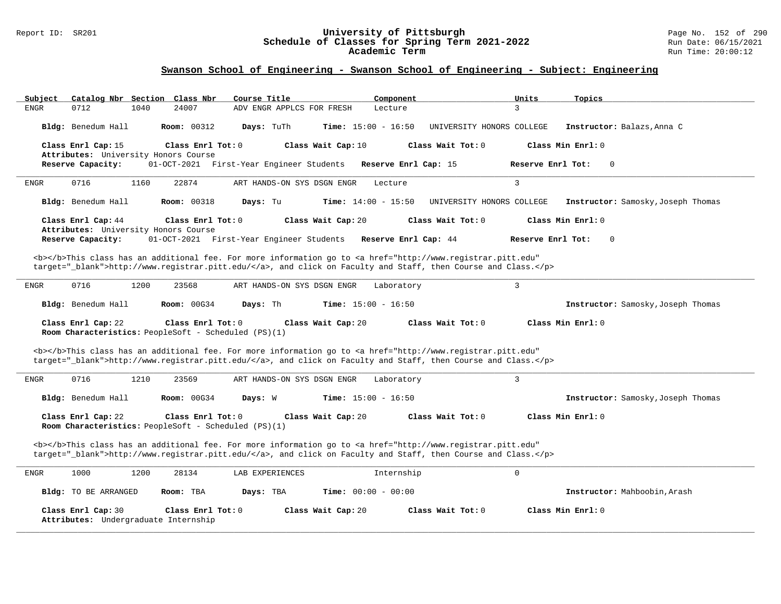#### Report ID: SR201 **University of Pittsburgh** Page No. 152 of 290 **Schedule of Classes for Spring Term 2021-2022** Run Date: 06/15/2021 **Academic Term** Run Time: 20:00:12

| Catalog Nbr Section Class Nbr<br>Subject                                                                                                                 | Course Title                               | Component<br>Units        | Topics                             |
|----------------------------------------------------------------------------------------------------------------------------------------------------------|--------------------------------------------|---------------------------|------------------------------------|
| <b>ENGR</b><br>0712<br>1040<br>24007                                                                                                                     | ADV ENGR APPLCS FOR FRESH                  | 3<br>Lecture              |                                    |
|                                                                                                                                                          |                                            |                           |                                    |
| Bldg: Benedum Hall<br><b>Room: 00312</b>                                                                                                                 | Days: TuTh<br><b>Time:</b> $15:00 - 16:50$ | UNIVERSITY HONORS COLLEGE | Instructor: Balazs, Anna C         |
|                                                                                                                                                          |                                            |                           |                                    |
| Class Enrl Cap: 15<br>Class Enrl Tot: 0                                                                                                                  | Class Wait Cap: 10                         | Class Wait Tot: 0         | Class Min Enrl: 0                  |
| Attributes: University Honors Course                                                                                                                     |                                            |                           |                                    |
| Reserve Capacity:                                                                                                                                        | 01-OCT-2021 First-Year Engineer Students   | Reserve Enrl Cap: 15      | Reserve Enrl Tot:<br>$\Omega$      |
|                                                                                                                                                          |                                            |                           |                                    |
| 0716<br>1160<br>22874<br>ENGR                                                                                                                            | ART HANDS-ON SYS DSGN ENGR                 | $\overline{3}$<br>Lecture |                                    |
|                                                                                                                                                          |                                            |                           |                                    |
| Bldg: Benedum Hall<br><b>Room: 00318</b>                                                                                                                 | Days: Tu<br><b>Time:</b> $14:00 - 15:50$   | UNIVERSITY HONORS COLLEGE | Instructor: Samosky, Joseph Thomas |
|                                                                                                                                                          |                                            |                           |                                    |
| Class Enrl Cap: 44<br>Class Enrl Tot: $0$                                                                                                                | Class Wait Cap: 20                         | Class Wait Tot: $0$       | Class Min $Err1:0$                 |
| Attributes: University Honors Course                                                                                                                     |                                            |                           |                                    |
|                                                                                                                                                          |                                            | Reserve Enrl Cap: 44      | Reserve Enrl Tot:<br>$\mathbf 0$   |
| Reserve Capacity:                                                                                                                                        | 01-OCT-2021 First-Year Engineer Students   |                           |                                    |
|                                                                                                                                                          |                                            |                           |                                    |
| <b></b> >This class has an additional fee. For more information go to <a <="" href="http://www.registrar.pitt.edu" td=""><td></td><td></td><td></td></a> |                                            |                           |                                    |
| target="_blank">http://www.registrar.pitt.edu/, and click on Faculty and Staff, then Course and Class.                                                   |                                            |                           |                                    |
|                                                                                                                                                          |                                            |                           |                                    |
| 0716<br>1200<br>23568<br><b>ENGR</b>                                                                                                                     | ART HANDS-ON SYS DSGN ENGR                 | 3<br>Laboratory           |                                    |
|                                                                                                                                                          |                                            |                           |                                    |
| Bldg: Benedum Hall<br><b>Room: 00G34</b>                                                                                                                 | Days: Th<br><b>Time:</b> $15:00 - 16:50$   |                           | Instructor: Samosky, Joseph Thomas |
|                                                                                                                                                          |                                            |                           |                                    |
|                                                                                                                                                          |                                            |                           |                                    |
| Class Enrl Cap: 22<br>Class Enrl Tot: 0                                                                                                                  | Class Wait Cap: 20                         | Class Wait Tot: 0         | Class Min Enrl: 0                  |
| Room Characteristics: PeopleSoft - Scheduled (PS)(1)                                                                                                     |                                            |                           |                                    |
|                                                                                                                                                          |                                            |                           |                                    |
| <b></b> >This class has an additional fee. For more information go to <a <="" href="http://www.registrar.pitt.edu" td=""><td></td><td></td><td></td></a> |                                            |                           |                                    |
| target="_blank">http://www.registrar.pitt.edu/, and click on Faculty and Staff, then Course and Class.                                                   |                                            |                           |                                    |
|                                                                                                                                                          |                                            |                           |                                    |
| 0716<br>1210<br>23569<br>ENGR                                                                                                                            | ART HANDS-ON SYS DSGN ENGR                 | 3<br>Laboratory           |                                    |
|                                                                                                                                                          |                                            |                           |                                    |
| Bldg: Benedum Hall<br>Room: 00G34                                                                                                                        | Days: W<br><b>Time:</b> $15:00 - 16:50$    |                           | Instructor: Samosky, Joseph Thomas |
|                                                                                                                                                          |                                            |                           |                                    |
| Class Enrl Cap: 22<br>Class Enrl Tot: 0                                                                                                                  | Class Wait Cap: 20                         | Class Wait $Tot: 0$       | Class Min Enrl: 0                  |
| Room Characteristics: PeopleSoft - Scheduled (PS)(1)                                                                                                     |                                            |                           |                                    |
|                                                                                                                                                          |                                            |                           |                                    |
|                                                                                                                                                          |                                            |                           |                                    |
| <b></b> This class has an additional fee. For more information go to <a <="" href="http://www.registrar.pitt.edu" td=""><td></td><td></td><td></td></a>  |                                            |                           |                                    |
| target="_blank">http://www.registrar.pitt.edu/, and click on Faculty and Staff, then Course and Class.                                                   |                                            |                           |                                    |
|                                                                                                                                                          |                                            |                           |                                    |
| 1000<br>28134<br>ENGR<br>1200                                                                                                                            | LAB EXPERIENCES                            | $\Omega$<br>Internship    |                                    |
|                                                                                                                                                          |                                            |                           |                                    |
| <b>Bldg:</b> TO BE ARRANGED<br>Room: TBA                                                                                                                 | <b>Time:</b> $00:00 - 00:00$<br>Days: TBA  |                           | Instructor: Mahboobin, Arash       |
|                                                                                                                                                          |                                            |                           |                                    |
| Class Enrl Cap: 30<br>Class Enrl Tot: 0                                                                                                                  | Class Wait Cap: 20                         | Class Wait Tot: 0         | Class Min Enrl: 0                  |
| Attributes: Undergraduate Internship                                                                                                                     |                                            |                           |                                    |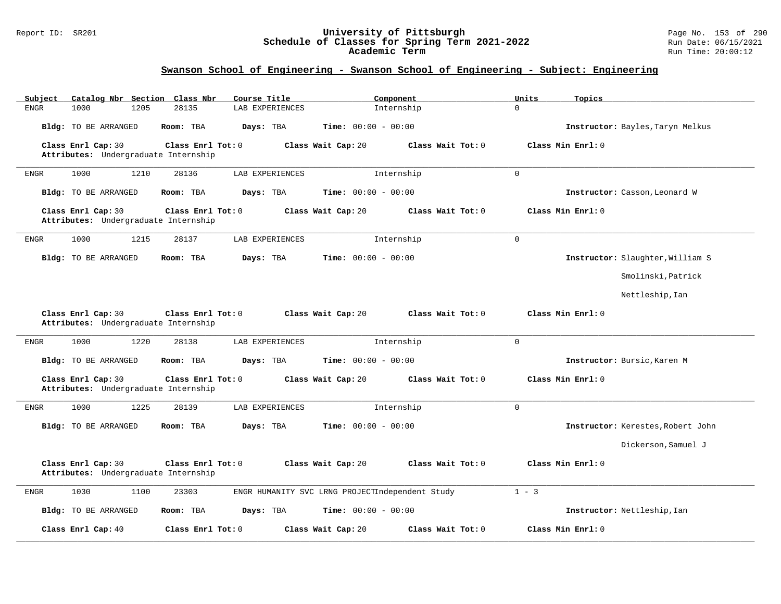#### Report ID: SR201 **University of Pittsburgh** Page No. 153 of 290 **Schedule of Classes for Spring Term 2021-2022** Run Date: 06/15/2021 **Academic Term** Run Time: 20:00:12

| Catalog Nbr Section Class Nbr<br>Subject                   | Course Title             | Component                                       | Units<br>Topics                   |
|------------------------------------------------------------|--------------------------|-------------------------------------------------|-----------------------------------|
| ${\tt ENGR}$<br>1000<br>1205                               | 28135<br>LAB EXPERIENCES | Internship                                      | $\Omega$                          |
| <b>Bldg:</b> TO BE ARRANGED                                | Room: TBA<br>Days: TBA   | Time: $00:00 - 00:00$                           | Instructor: Bayles, Taryn Melkus  |
| Class Enrl Cap: 30<br>Attributes: Undergraduate Internship | Class Enrl Tot: 0        | Class Wait Tot: 0<br>Class Wait Cap: 20         | Class Min Enrl: 0                 |
| 1000<br>1210<br><b>ENGR</b>                                | 28136<br>LAB EXPERIENCES | Internship                                      | $\Omega$                          |
| <b>Bldg:</b> TO BE ARRANGED                                | Days: TBA<br>Room: TBA   | Time: $00:00 - 00:00$                           | Instructor: Casson, Leonard W     |
| Class Enrl Cap: 30<br>Attributes: Undergraduate Internship | Class Enrl Tot: 0        | Class Wait Cap: 20<br>Class Wait Tot: 0         | Class Min Enrl: 0                 |
| 1215<br><b>ENGR</b><br>1000                                | 28137<br>LAB EXPERIENCES | Internship                                      | $\mathbf 0$                       |
| <b>Bldg:</b> TO BE ARRANGED                                | Days: TBA<br>Room: TBA   | <b>Time:</b> $00:00 - 00:00$                    | Instructor: Slaughter, William S  |
|                                                            |                          |                                                 | Smolinski, Patrick                |
|                                                            |                          |                                                 | Nettleship, Ian                   |
| Class Enrl Cap: 30<br>Attributes: Undergraduate Internship | Class Enrl Tot: 0        | Class Wait Tot: 0<br>Class Wait Cap: 20         | Class Min Enrl: 0                 |
| 1000<br>1220<br><b>ENGR</b>                                | 28138<br>LAB EXPERIENCES | Internship                                      | $\Omega$                          |
| <b>Bldg:</b> TO BE ARRANGED                                | Room: TBA<br>Days: TBA   | Time: $00:00 - 00:00$                           | Instructor: Bursic, Karen M       |
| Class Enrl Cap: 30<br>Attributes: Undergraduate Internship | Class Enrl Tot: 0        | Class Wait Cap: 20<br>Class Wait $Tot: 0$       | Class Min Enrl: 0                 |
| 1000<br>1225<br><b>ENGR</b>                                | 28139<br>LAB EXPERIENCES | Internship                                      | $\mathsf 0$                       |
| Bldg: TO BE ARRANGED                                       | Room: TBA<br>Days: TBA   | <b>Time:</b> $00:00 - 00:00$                    | Instructor: Kerestes, Robert John |
|                                                            |                          |                                                 | Dickerson, Samuel J               |
| Class Enrl Cap: 30<br>Attributes: Undergraduate Internship | Class Enrl Tot: 0        | Class Wait Cap: 20<br>Class Wait Tot: 0         | Class Min Enrl: 0                 |
| 1030<br>${\tt ENGR}$<br>1100                               | 23303                    | ENGR HUMANITY SVC LRNG PROJECTIndependent Study | $1 - 3$                           |
| <b>Bldg:</b> TO BE ARRANGED                                | Room: TBA<br>Days: TBA   | Time: $00:00 - 00:00$                           | Instructor: Nettleship, Ian       |
| Class Enrl Cap: 40                                         | Class Enrl Tot: 0        | Class Wait Cap: 20<br>Class Wait Tot: 0         | Class Min Enrl: 0                 |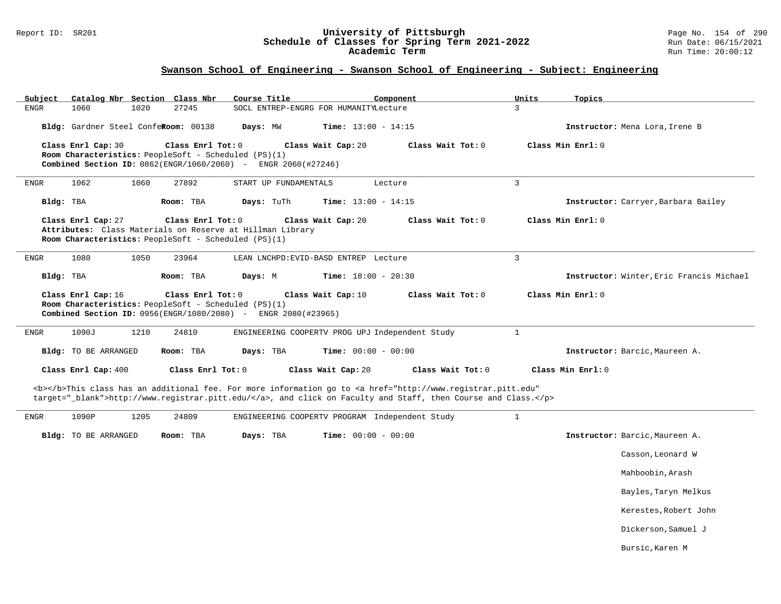#### Report ID: SR201 **University of Pittsburgh** Page No. 154 of 290 **Schedule of Classes for Spring Term 2021-2022** Run Date: 06/15/2021 **Academic Term** Run Time: 20:00:12

| Catalog Nbr Section Class Nbr<br>Course Title<br>Subject<br>Component                                                                                                                                                              | Units<br>Topics                          |
|------------------------------------------------------------------------------------------------------------------------------------------------------------------------------------------------------------------------------------|------------------------------------------|
| 27245<br><b>ENGR</b><br>1060<br>1020<br>SOCL ENTREP-ENGRG FOR HUMANITYLecture                                                                                                                                                      | 3                                        |
| Bldg: Gardner Steel ConfeRoom: 00138<br>Days: MW<br><b>Time:</b> $13:00 - 14:15$                                                                                                                                                   | Instructor: Mena Lora, Irene B           |
| Class Enrl Cap: 30<br>Class Enrl Tot: 0<br>Class Wait Cap: 20<br>Class Wait Tot: 0<br>Room Characteristics: PeopleSoft - Scheduled (PS)(1)<br>Combined Section ID: 0862(ENGR/1060/2060) - ENGR 2060(#27246)                        | Class Min Enrl: 0                        |
| 1062<br>1060<br>27892<br>START UP FUNDAMENTALS<br><b>ENGR</b><br>Lecture                                                                                                                                                           | $\overline{3}$                           |
| Bldg: TBA<br>Days: TuTh<br>Time: $13:00 - 14:15$<br>Room: TBA                                                                                                                                                                      | Instructor: Carryer, Barbara Bailey      |
| Class Enrl Cap: 27<br>Class Enrl Tot: 0<br>Class Wait Cap: 20<br>Class Wait Tot: 0<br>Attributes: Class Materials on Reserve at Hillman Library<br>Room Characteristics: PeopleSoft - Scheduled (PS)(1)                            | Class Min Enrl: 0                        |
| 1080<br>1050<br>23964<br>ENGR<br>LEAN LNCHPD: EVID-BASD ENTREP Lecture                                                                                                                                                             | $\mathbf{3}$                             |
| Bldg: TBA<br>Room: TBA<br>Days: M<br><b>Time:</b> $18:00 - 20:30$                                                                                                                                                                  | Instructor: Winter, Eric Francis Michael |
| Class Enrl Cap: 16<br>Class Enrl Tot: 0<br>Class Wait Cap: 10<br>Class Wait Tot: 0<br>Room Characteristics: PeopleSoft - Scheduled (PS)(1)<br><b>Combined Section ID:</b> 0956(ENGR/1080/2080) - ENGR 2080(#23965)                 | Class Min Enrl: 0                        |
| 1090J<br>1210<br>24810<br>ENGINEERING COOPERTV PROG UPJ Independent Study<br>ENGR                                                                                                                                                  | $\mathbf{1}$                             |
| Bldg: TO BE ARRANGED<br>Room: TBA<br>Days: TBA<br>Time: $00:00 - 00:00$                                                                                                                                                            | Instructor: Barcic, Maureen A.           |
| Class Enrl Cap: 400<br>Class Enrl Tot: 0<br>Class Wait Cap: 20<br>Class Wait Tot: 0                                                                                                                                                | Class Min Enrl: 0                        |
| <b></b> This class has an additional fee. For more information go to <a <br="" href="http://www.registrar.pitt.edu">target="_blank"&gt;http://www.registrar.pitt.edu/</a> , and click on Faculty and Staff, then Course and Class. |                                          |
| 1090P<br>1205<br>ENGR<br>24809<br>ENGINEERING COOPERTV PROGRAM Independent Study                                                                                                                                                   | $\mathbf{1}$                             |
| Bldg: TO BE ARRANGED<br>Room: TBA<br>Days: TBA<br>Time: $00:00 - 00:00$                                                                                                                                                            |                                          |
|                                                                                                                                                                                                                                    | Instructor: Barcic, Maureen A.           |
|                                                                                                                                                                                                                                    | Casson, Leonard W                        |
|                                                                                                                                                                                                                                    | Mahboobin, Arash                         |
|                                                                                                                                                                                                                                    | Bayles, Taryn Melkus                     |
|                                                                                                                                                                                                                                    | Kerestes, Robert John                    |
|                                                                                                                                                                                                                                    | Dickerson, Samuel J                      |
|                                                                                                                                                                                                                                    | Bursic, Karen M                          |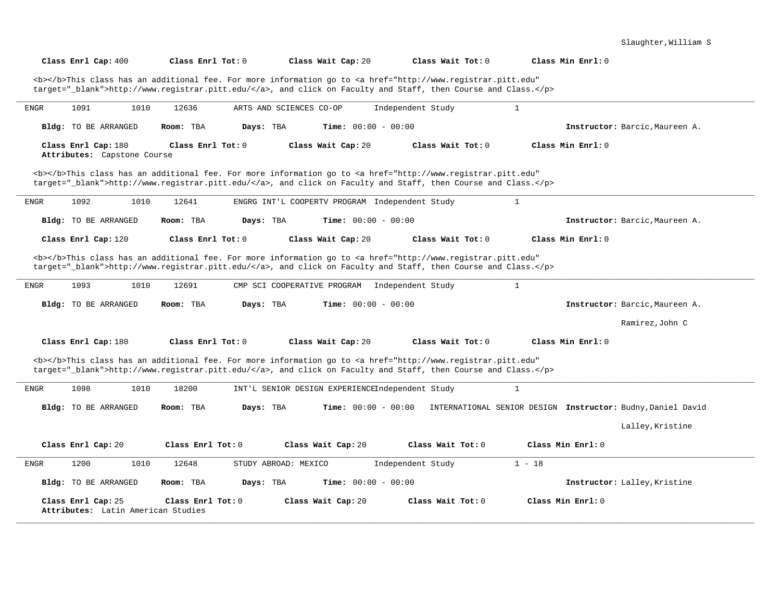| Class Enrl Cap: 400                                      | Class Enrl Tot: 0      | Class Wait Cap: 20                                                                                                                                                                                                                 | Class Wait Tot: 0   | Class Min Enrl: 0                                           |
|----------------------------------------------------------|------------------------|------------------------------------------------------------------------------------------------------------------------------------------------------------------------------------------------------------------------------------|---------------------|-------------------------------------------------------------|
|                                                          |                        | <b></b> This class has an additional fee. For more information go to <a <br="" href="http://www.registrar.pitt.edu">target="_blank"&gt;http://www.registrar.pitt.edu/</a> , and click on Faculty and Staff, then Course and Class. |                     |                                                             |
| 1091<br>1010<br><b>ENGR</b>                              | 12636                  | ARTS AND SCIENCES CO-OP                                                                                                                                                                                                            | Independent Study   | $\mathbf{1}$                                                |
| Bldg: TO BE ARRANGED                                     | Room: TBA<br>Days: TBA | <b>Time:</b> $00:00 - 00:00$                                                                                                                                                                                                       |                     | Instructor: Barcic, Maureen A.                              |
| Class Enrl Cap: 180<br>Attributes: Capstone Course       | Class Enrl Tot: 0      | Class Wait Cap: 20                                                                                                                                                                                                                 | Class Wait Tot: 0   | Class Min Enrl: 0                                           |
|                                                          |                        | <b></b> This class has an additional fee. For more information go to <a <br="" href="http://www.registrar.pitt.edu">target="_blank"&gt;http://www.registrar.pitt.edu/</a> , and click on Faculty and Staff, then Course and Class. |                     |                                                             |
| 1092<br>1010<br><b>ENGR</b>                              | 12641                  | ENGRG INT'L COOPERTV PROGRAM Independent Study                                                                                                                                                                                     |                     | $\mathbf{1}$                                                |
| <b>Bldg:</b> TO BE ARRANGED                              | Room: TBA<br>Days: TBA | <b>Time:</b> $00:00 - 00:00$                                                                                                                                                                                                       |                     | Instructor: Barcic, Maureen A.                              |
| Class Enrl Cap: 120                                      | Class Enrl Tot: 0      | Class Wait Cap: 20                                                                                                                                                                                                                 | Class Wait Tot: $0$ | Class Min Enrl: 0                                           |
|                                                          |                        | <b></b> This class has an additional fee. For more information go to <a <br="" href="http://www.registrar.pitt.edu">target="_blank"&gt;http://www.registrar.pitt.edu/</a> , and click on Faculty and Staff, then Course and Class. |                     |                                                             |
| 1093<br>1010<br>ENGR                                     | 12691                  | CMP SCI COOPERATIVE PROGRAM                                                                                                                                                                                                        | Independent Study   | $\mathbf{1}$                                                |
| Bldg: TO BE ARRANGED                                     | Room: TBA<br>Days: TBA | <b>Time:</b> $00:00 - 00:00$                                                                                                                                                                                                       |                     | Instructor: Barcic, Maureen A.                              |
|                                                          |                        |                                                                                                                                                                                                                                    |                     | Ramirez, John C                                             |
| Class Enrl Cap: 180                                      | Class Enrl Tot: $0$    | Class Wait Cap: 20                                                                                                                                                                                                                 | Class Wait Tot: 0   | Class Min $Enrl: 0$                                         |
|                                                          |                        | <b></b> This class has an additional fee. For more information go to <a <br="" href="http://www.registrar.pitt.edu">target="_blank"&gt;http://www.registrar.pitt.edu/</a> , and click on Faculty and Staff, then Course and Class. |                     |                                                             |
| 1098<br>1010<br>ENGR                                     | 18200                  | INT'L SENIOR DESIGN EXPERIENCEIndependent Study                                                                                                                                                                                    |                     | 1                                                           |
| Bldg: TO BE ARRANGED                                     | Room: TBA<br>Days: TBA | <b>Time:</b> $00:00 - 00:00$                                                                                                                                                                                                       |                     | INTERNATIONAL SENIOR DESIGN Instructor: Budny, Daniel David |
|                                                          |                        |                                                                                                                                                                                                                                    |                     | Lalley, Kristine                                            |
| Class Enrl Cap: 20                                       | Class Enrl Tot: $0$    | Class Wait Cap: 20                                                                                                                                                                                                                 | Class Wait Tot: 0   | $Class Min Ernst: 0$                                        |
| 1200<br>1010<br><b>ENGR</b>                              | 12648                  | STUDY ABROAD: MEXICO                                                                                                                                                                                                               | Independent Study   | $1 - 18$                                                    |
| Bldg: TO BE ARRANGED                                     | Room: TBA<br>Days: TBA | <b>Time:</b> $00:00 - 00:00$                                                                                                                                                                                                       |                     | Instructor: Lalley, Kristine                                |
| Class Enrl Cap: 25<br>Attributes: Latin American Studies | Class Enrl Tot: 0      | Class Wait Cap: 20                                                                                                                                                                                                                 | Class Wait Tot: 0   | Class Min Enrl: 0                                           |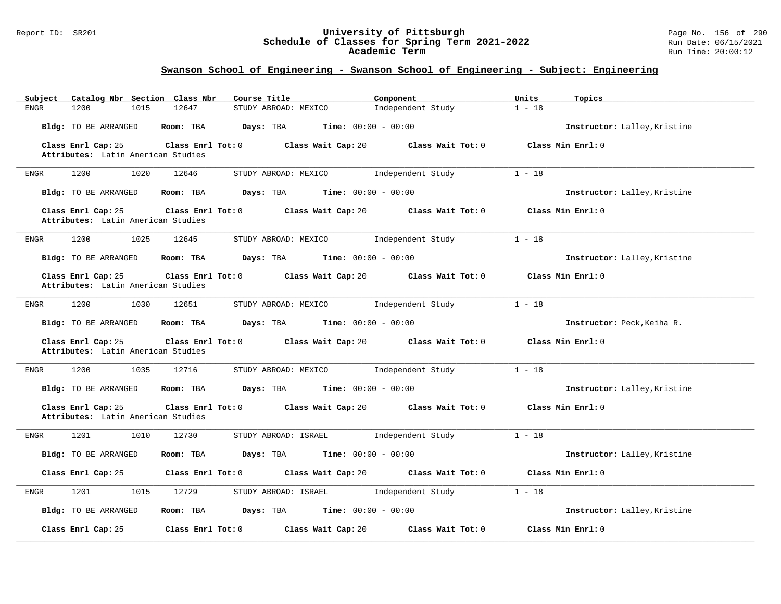#### Report ID: SR201 **University of Pittsburgh** Page No. 156 of 290 **Schedule of Classes for Spring Term 2021-2022** Run Date: 06/15/2021 **Academic Term** Run Time: 20:00:12

| Catalog Nbr Section Class Nbr<br>Subject                 | Course Title                                           | Component         | Units<br>Topics              |
|----------------------------------------------------------|--------------------------------------------------------|-------------------|------------------------------|
| <b>ENGR</b><br>1200<br>1015                              | 12647<br>STUDY ABROAD: MEXICO                          | Independent Study | $1 - 18$                     |
| Bldg: TO BE ARRANGED                                     | Room: TBA<br>Days: TBA<br><b>Time:</b> $00:00 - 00:00$ |                   | Instructor: Lalley, Kristine |
| Class Enrl Cap: 25                                       | Class Enrl Tot: 0<br>Class Wait Cap: 20                | Class Wait Tot: 0 | Class Min Enrl: 0            |
| Attributes: Latin American Studies                       |                                                        |                   |                              |
| 1200<br>1020<br>ENGR                                     | 12646<br>STUDY ABROAD: MEXICO                          | Independent Study | $1 - 18$                     |
| Bldg: TO BE ARRANGED                                     | <b>Time:</b> $00:00 - 00:00$<br>Room: TBA<br>Days: TBA |                   | Instructor: Lalley, Kristine |
| Class Enrl Cap: 25<br>Attributes: Latin American Studies | Class Enrl Tot: 0<br>Class Wait Cap: 20                | Class Wait Tot: 0 | Class Min Enrl: 0            |
|                                                          |                                                        |                   |                              |
| 1200<br>1025<br>ENGR                                     | 12645<br>STUDY ABROAD: MEXICO                          | Independent Study | $1 - 18$                     |
| <b>Bldg:</b> TO BE ARRANGED                              | Room: TBA<br>Days: TBA<br><b>Time:</b> $00:00 - 00:00$ |                   | Instructor: Lalley, Kristine |
| Class Enrl Cap: 25                                       | Class Wait Cap: 20<br>Class Enrl Tot: 0                | Class Wait Tot: 0 | Class Min Enrl: 0            |
| Attributes: Latin American Studies                       |                                                        |                   |                              |
| 1200<br>1030<br>ENGR                                     | 12651<br>STUDY ABROAD: MEXICO                          | Independent Study | $1 - 18$                     |
| Bldg: TO BE ARRANGED                                     | Room: TBA<br>Days: TBA<br><b>Time:</b> $00:00 - 00:00$ |                   | Instructor: Peck, Keiha R.   |
| Class Enrl Cap: 25<br>Attributes: Latin American Studies | Class Enrl Tot: 0<br>Class Wait Cap: 20                | Class Wait Tot: 0 | Class Min Enrl: 0            |
| 1200<br>1035<br>ENGR                                     | 12716<br>STUDY ABROAD: MEXICO                          | Independent Study | $1 - 18$                     |
| Bldg: TO BE ARRANGED                                     | <b>Time:</b> $00:00 - 00:00$<br>Room: TBA<br>Days: TBA |                   | Instructor: Lalley, Kristine |
| Class Enrl Cap: 25                                       | Class Enrl Tot: 0<br>Class Wait Cap: 20                | Class Wait Tot: 0 | Class Min Enrl: 0            |
| Attributes: Latin American Studies                       |                                                        |                   |                              |
| 1201<br>1010<br>ENGR                                     | 12730<br>STUDY ABROAD: ISRAEL                          | Independent Study | $1 - 18$                     |
| Bldg: TO BE ARRANGED                                     | Room: TBA<br>Days: TBA<br>$Time: 00:00 - 00:00$        |                   | Instructor: Lalley, Kristine |
| Class Enrl Cap: 25                                       | Class Enrl Tot: 0<br>Class Wait Cap: 20                | Class Wait Tot: 0 | Class Min Enrl: 0            |
| 1201<br>${\rm ENGR}$<br>1015                             | 12729<br>STUDY ABROAD: ISRAEL                          | Independent Study | $1 - 18$                     |
| <b>Bldg:</b> TO BE ARRANGED                              | Room: TBA<br>Days: TBA<br><b>Time:</b> $00:00 - 00:00$ |                   | Instructor: Lalley, Kristine |
| Class Enrl Cap: 25                                       | Class Enrl Tot: 0<br>Class Wait Cap: 20                | Class Wait Tot: 0 | Class Min Enrl: 0            |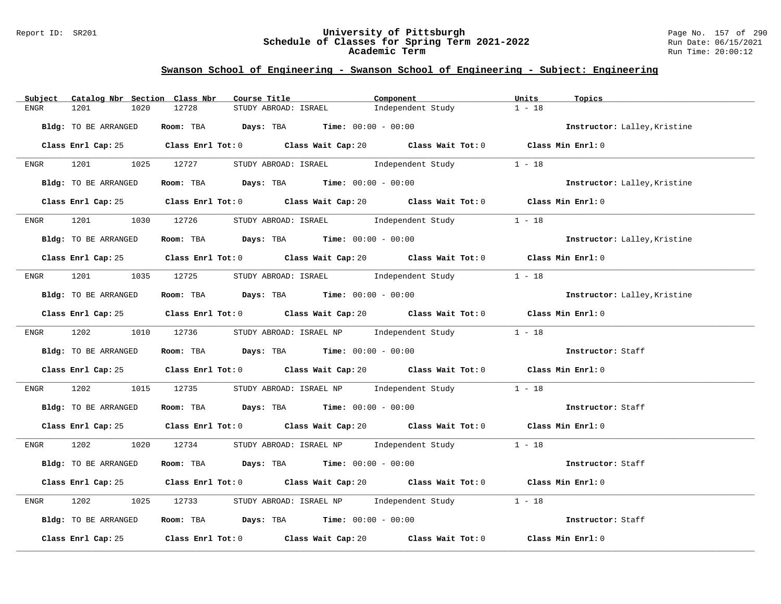#### Report ID: SR201 **University of Pittsburgh** Page No. 157 of 290 **Schedule of Classes for Spring Term 2021-2022** Run Date: 06/15/2021 **Academic Term** Run Time: 20:00:12

| Catalog Nbr Section Class Nbr<br>Subject | Course Title                                                                                | Component                                        | Units<br>Topics              |
|------------------------------------------|---------------------------------------------------------------------------------------------|--------------------------------------------------|------------------------------|
| 1020<br>1201<br>ENGR                     | 12728<br>STUDY ABROAD: ISRAEL                                                               | Independent Study                                | $1 - 18$                     |
| Bldg: TO BE ARRANGED                     | Room: TBA $\rule{1em}{0.15mm}$ Days: TBA $\rule{1.5mm}{0.15mm}$ Time: $00:00 - 00:00$       |                                                  | Instructor: Lalley, Kristine |
|                                          | Class Enrl Cap: 25 Class Enrl Tot: 0 Class Wait Cap: 20 Class Wait Tot: 0 Class Min Enrl: 0 |                                                  |                              |
| ENGR 1201 1025 12727                     |                                                                                             | STUDY ABROAD: ISRAEL Independent Study           | $1 - 18$                     |
| Bldg: TO BE ARRANGED                     | <b>Room:</b> TBA <b>Days:</b> TBA <b>Time:</b> 00:00 - 00:00                                |                                                  | Instructor: Lalley, Kristine |
|                                          | Class Enrl Cap: 25 Class Enrl Tot: 0 Class Wait Cap: 20 Class Wait Tot: 0 Class Min Enrl: 0 |                                                  |                              |
| 1201<br>ENGR                             | 1030 12726 STUDY ABROAD: ISRAEL Independent Study                                           |                                                  | $1 - 18$                     |
| Bldg: TO BE ARRANGED                     | Room: TBA $Days:$ TBA $Time: 00:00 - 00:00$                                                 |                                                  | Instructor: Lalley, Kristine |
|                                          | Class Enrl Cap: 25 Class Enrl Tot: 0 Class Wait Cap: 20 Class Wait Tot: 0 Class Min Enrl: 0 |                                                  |                              |
|                                          | ENGR 1201 1035 12725 STUDYABROAD: ISRAEL Independent Study                                  |                                                  | $1 - 18$                     |
| Bldg: TO BE ARRANGED                     | Room: TBA $Days:$ TBA $Time: 00:00 - 00:00$                                                 |                                                  | Instructor: Lalley, Kristine |
|                                          | Class Enrl Cap: 25 Class Enrl Tot: 0 Class Wait Cap: 20 Class Wait Tot: 0 Class Min Enrl: 0 |                                                  |                              |
|                                          | ENGR 1202 1010 12736 STUDY ABROAD: ISRAEL NP Independent Study 1 - 18                       |                                                  |                              |
| Bldg: TO BE ARRANGED                     | Room: TBA $\rule{1em}{0.15mm}$ Days: TBA Time: $00:00 - 00:00$                              |                                                  | Instructor: Staff            |
|                                          | Class Enrl Cap: 25 Class Enrl Tot: 0 Class Wait Cap: 20 Class Wait Tot: 0 Class Min Enrl: 0 |                                                  |                              |
| 1202<br>ENGR                             | 1015 12735                                                                                  | STUDY ABROAD: ISRAEL NP Independent Study 1 - 18 |                              |
| Bldg: TO BE ARRANGED                     | Room: TBA $Days:$ TBA Time: $00:00 - 00:00$                                                 |                                                  | Instructor: Staff            |
|                                          | Class Enrl Cap: 25 Class Enrl Tot: 0 Class Wait Cap: 20 Class Wait Tot: 0 Class Min Enrl: 0 |                                                  |                              |
| 1202 1020 12734<br>ENGR                  |                                                                                             | STUDY ABROAD: ISRAEL NP Independent Study 1 - 18 |                              |
| Bldg: TO BE ARRANGED                     | Room: TBA $Days:$ TBA $Time:$ 00:00 - 00:00                                                 |                                                  | Instructor: Staff            |
|                                          | Class Enrl Cap: 25 Class Enrl Tot: 0 Class Wait Cap: 20 Class Wait Tot: 0 Class Min Enrl: 0 |                                                  |                              |
| 1202<br>1025<br>ENGR                     | 12733                                                                                       | STUDY ABROAD: ISRAEL NP Independent Study        | $1 - 18$                     |
| Bldg: TO BE ARRANGED                     | Room: TBA $\rule{1em}{0.15mm}$ Days: TBA Time: $00:00 - 00:00$                              |                                                  | Instructor: Staff            |
|                                          | Class Enrl Cap: 25 Class Enrl Tot: 0 Class Wait Cap: 20 Class Wait Tot: 0 Class Min Enrl: 0 |                                                  |                              |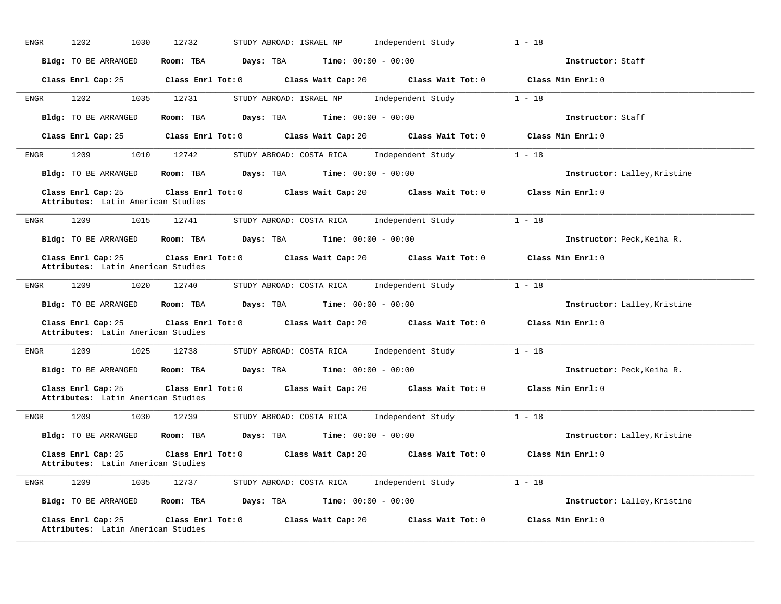| <b>ENGR</b> | 1202<br>1030                                             | 12732                   | STUDY ABROAD: ISRAEL NP                                | Independent Study                                      | $1 - 18$                     |
|-------------|----------------------------------------------------------|-------------------------|--------------------------------------------------------|--------------------------------------------------------|------------------------------|
|             | Bldg: TO BE ARRANGED                                     | Room: TBA               | Days: TBA                                              | <b>Time:</b> $00:00 - 00:00$                           | Instructor: Staff            |
|             | Class Enrl Cap: 25                                       | $Class$ $Enrl$ $Tot: 0$ |                                                        | Class Wait Cap: 20 Class Wait Tot: 0                   | Class Min Enrl: 0            |
| ENGR        | 1202<br>1035                                             | 12731                   | STUDY ABROAD: ISRAEL NP                                | Independent Study                                      | $1 - 18$                     |
|             | Bldg: TO BE ARRANGED                                     | Room: TBA               | Days: TBA                                              | <b>Time:</b> $00:00 - 00:00$                           | Instructor: Staff            |
|             | Class Enrl Cap: 25                                       | Class Enrl Tot: 0       | Class Wait Cap: 20                                     | Class Wait Tot: 0                                      | Class Min Enrl: 0            |
| ENGR        | 1209<br>1010                                             | 12742                   | STUDY ABROAD: COSTA RICA                               | Independent Study                                      | $1 - 18$                     |
|             | Bldg: TO BE ARRANGED                                     | Room: TBA               | Days: TBA                                              | <b>Time:</b> $00:00 - 00:00$                           | Instructor: Lalley, Kristine |
|             | Class Enrl Cap: 25<br>Attributes: Latin American Studies | $Class$ $Enrl$ $Tot: 0$ |                                                        | Class Wait Cap: 20 Class Wait Tot: 0                   | Class Min Enrl: 0            |
| ENGR        | 1209<br>1015                                             | 12741                   | STUDY ABROAD: COSTA RICA                               | Independent Study                                      | $1 - 18$                     |
|             | Bldg: TO BE ARRANGED                                     | Room: TBA               | Days: TBA                                              | <b>Time:</b> $00:00 - 00:00$                           | Instructor: Peck, Keiha R.   |
|             | Class Enrl Cap: 25<br>Attributes: Latin American Studies | Class Enrl Tot: 0       |                                                        | Class Wait Cap: 20 Class Wait Tot: 0                   | Class Min Enrl: 0            |
| ENGR        | 1209<br>1020                                             | 12740                   | STUDY ABROAD: COSTA RICA                               | Independent Study                                      | $1 - 18$                     |
|             | Bldg: TO BE ARRANGED                                     | Room: TBA               | Days: TBA                                              | <b>Time:</b> $00:00 - 00:00$                           | Instructor: Lalley, Kristine |
|             | Class Enrl Cap: 25<br>Attributes: Latin American Studies |                         | Class Enrl Tot: 0 Class Wait Cap: 20 Class Wait Tot: 0 |                                                        | Class Min Enrl: 0            |
| ENGR        | 1209<br>1025                                             | 12738                   | STUDY ABROAD: COSTA RICA                               | Independent Study                                      | $1 - 18$                     |
|             | Bldg: TO BE ARRANGED                                     | Room: TBA               | Days: TBA                                              | <b>Time:</b> $00:00 - 00:00$                           | Instructor: Peck, Keiha R.   |
|             | Class Enrl Cap: 25<br>Attributes: Latin American Studies |                         |                                                        | Class Enrl Tot: 0 Class Wait Cap: 20 Class Wait Tot: 0 | Class Min Enrl: 0            |
| <b>ENGR</b> | 1209<br>1030                                             | 12739                   | STUDY ABROAD: COSTA RICA                               | Independent Study                                      | $1 - 18$                     |
|             | Bldg: TO BE ARRANGED                                     | Room: TBA               | Days: TBA                                              | <b>Time:</b> $00:00 - 00:00$                           | Instructor: Lalley, Kristine |
|             | Class Enrl Cap: 25<br>Attributes: Latin American Studies |                         | Class Enrl Tot: 0 Class Wait Cap: 20                   | Class Wait Tot: 0                                      | Class Min Enrl: 0            |
| ENGR        | 1209<br>1035                                             | 12737                   | STUDY ABROAD: COSTA RICA Independent Study             |                                                        | $1 - 18$                     |
|             | Bldg: TO BE ARRANGED                                     | Room: TBA               | Days: TBA                                              | <b>Time:</b> $00:00 - 00:00$                           | Instructor: Lalley, Kristine |
|             | Class Enrl Cap: 25<br>Attributes: Latin American Studies | $Class$ $Enr1$ $Tot: 0$ | Class Wait Cap: 20                                     | Class Wait Tot: 0                                      | Class Min Enrl: 0            |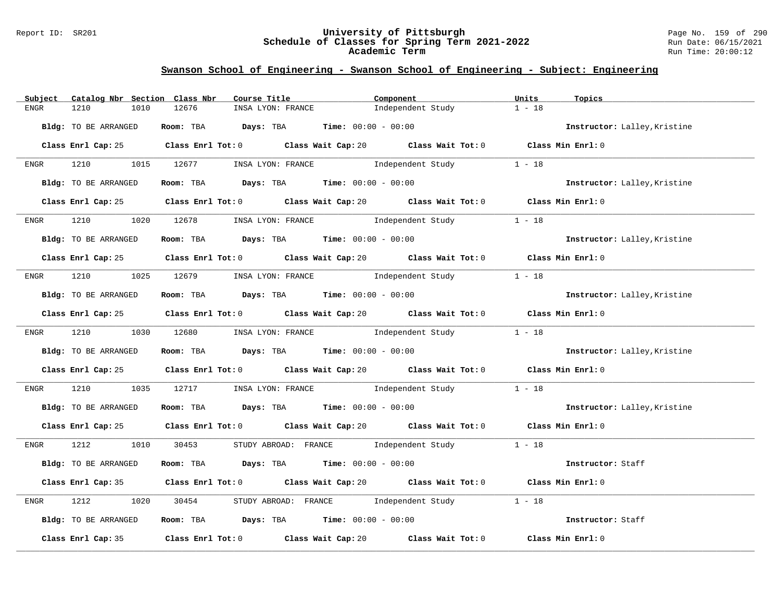#### Report ID: SR201 **University of Pittsburgh** Page No. 159 of 290 **Schedule of Classes for Spring Term 2021-2022** Run Date: 06/15/2021 **Academic Term** Run Time: 20:00:12

| Subject     | Catalog Nbr Section Class Nbr | Course Title                                                                                | Component                                     | Units<br>Topics              |
|-------------|-------------------------------|---------------------------------------------------------------------------------------------|-----------------------------------------------|------------------------------|
| <b>ENGR</b> | 1210<br>1010                  | 12676<br>INSA LYON: FRANCE                                                                  | Independent Study                             | $1 - 18$                     |
|             | Bldg: TO BE ARRANGED          | Room: TBA $Days: TBA$ Time: $00:00 - 00:00$                                                 |                                               | Instructor: Lalley, Kristine |
|             |                               | Class Enrl Cap: 25 Class Enrl Tot: 0 Class Wait Cap: 20 Class Wait Tot: 0 Class Min Enrl: 0 |                                               |                              |
| ENGR        | 1210                          | 1015 12677 INSA LYON: FRANCE Independent Study                                              |                                               | $1 - 18$                     |
|             | Bldg: TO BE ARRANGED          | Room: TBA $Days:$ TBA Time: $00:00 - 00:00$                                                 |                                               | Instructor: Lalley, Kristine |
|             |                               | Class Enrl Cap: 25 Class Enrl Tot: 0 Class Wait Cap: 20 Class Wait Tot: 0 Class Min Enrl: 0 |                                               |                              |
| ENGR        | 1210                          | 1020 12678 INSA LYON: FRANCE Independent Study                                              |                                               | $1 - 18$                     |
|             | Bldg: TO BE ARRANGED          | Room: TBA $\rule{1em}{0.15mm}$ Days: TBA $\rule{1.5mm}{0.15mm}$ Time: $00:00 - 00:00$       |                                               | Instructor: Lalley, Kristine |
|             |                               | Class Enrl Cap: 25 Class Enrl Tot: 0 Class Wait Cap: 20 Class Wait Tot: 0 Class Min Enrl: 0 |                                               |                              |
| ENGR        |                               | 1210 1025 12679 INSA LYON: FRANCE Independent Study                                         |                                               | $1 - 18$                     |
|             | Bldg: TO BE ARRANGED          | Room: TBA Days: TBA Time: $00:00 - 00:00$                                                   |                                               | Instructor: Lalley, Kristine |
|             |                               | Class Enrl Cap: 25 Class Enrl Tot: 0 Class Wait Cap: 20 Class Wait Tot: 0 Class Min Enrl: 0 |                                               |                              |
|             |                               | ENGR 1210 1030 12680 INSA LYON: FRANCE Independent Study 1 - 18                             |                                               |                              |
|             | Bldg: TO BE ARRANGED          | Room: TBA Days: TBA Time: $00:00 - 00:00$                                                   |                                               | Instructor: Lalley, Kristine |
|             |                               | Class Enrl Cap: 25 Class Enrl Tot: 0 Class Wait Cap: 20 Class Wait Tot: 0 Class Min Enrl: 0 |                                               |                              |
| ENGR        | 1210<br>1035                  | 12717        INSA LYON: FRANCE                Independent Study               1 - 18        |                                               |                              |
|             | Bldg: TO BE ARRANGED          | Room: TBA $Days:$ TBA $Time: 00:00 - 00:00$                                                 |                                               | Instructor: Lalley, Kristine |
|             |                               | Class Enrl Cap: 25 Class Enrl Tot: 0 Class Wait Cap: 20 Class Wait Tot: 0 Class Min Enrl: 0 |                                               |                              |
| ENGR        | 1212<br>1010                  | 30453                                                                                       | STUDY ABROAD: FRANCE Independent Study 1 - 18 |                              |
|             | Bldg: TO BE ARRANGED          | Room: TBA $Days:$ TBA $Time: 00:00 - 00:00$                                                 |                                               | Instructor: Staff            |
|             |                               | Class Enrl Cap: 35 Class Enrl Tot: 0 Class Wait Cap: 20 Class Wait Tot: 0 Class Min Enrl: 0 |                                               |                              |
| ENGR        | 1212<br>1020                  | 30454                                                                                       | STUDY ABROAD: FRANCE Independent Study        | $1 - 18$                     |
|             | Bldg: TO BE ARRANGED          | Room: TBA Days: TBA Time: $00:00 - 00:00$                                                   |                                               | Instructor: Staff            |
|             |                               | Class Enrl Cap: 35 Class Enrl Tot: 0 Class Wait Cap: 20                                     | Class Wait Tot: 0                             | Class Min Enrl: 0            |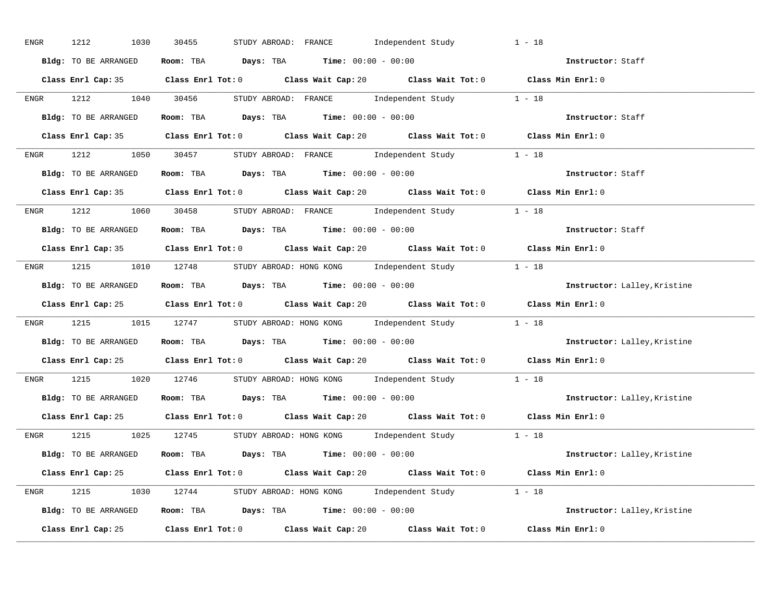| ENGR | 1212<br>1030         | STUDY ABROAD: FRANCE Independent Study<br>30455                                             | $1 - 18$                     |
|------|----------------------|---------------------------------------------------------------------------------------------|------------------------------|
|      | Bldg: TO BE ARRANGED | Room: TBA $Days:$ TBA $Time:$ $00:00 - 00:00$                                               | Instructor: Staff            |
|      |                      | Class Enrl Cap: 35 Class Enrl Tot: 0 Class Wait Cap: 20 Class Wait Tot: 0 Class Min Enrl: 0 |                              |
|      |                      | ENGR 1212 1040 30456 STUDYABROAD: FRANCE Independent Study 1 - 18                           |                              |
|      | Bldg: TO BE ARRANGED | Room: TBA $Days:$ TBA Time: $00:00 - 00:00$                                                 | Instructor: Staff            |
|      |                      | Class Enrl Cap: 35 Class Enrl Tot: 0 Class Wait Cap: 20 Class Wait Tot: 0 Class Min Enrl: 0 |                              |
|      |                      | ENGR 1212 1050 30457 STUDY ABROAD: FRANCE Independent Study 1 - 18                          |                              |
|      |                      | Bldg: TO BE ARRANGED ROOM: TBA Days: TBA Time: 00:00 - 00:00                                | Instructor: Staff            |
|      |                      | Class Enrl Cap: 35 Class Enrl Tot: 0 Class Wait Cap: 20 Class Wait Tot: 0 Class Min Enrl: 0 |                              |
|      |                      | ENGR 1212 1060 30458 STUDY ABROAD: FRANCE Independent Study 1 - 18                          |                              |
|      | Bldg: TO BE ARRANGED | Room: TBA $Days:$ TBA $Time:$ $00:00 - 00:00$                                               | Instructor: Staff            |
|      |                      | Class Enrl Cap: 35 Class Enrl Tot: 0 Class Wait Cap: 20 Class Wait Tot: 0 Class Min Enrl: 0 |                              |
|      |                      | ENGR 1215 1010 12748 STUDY ABROAD: HONG KONG Independent Study 1 - 18                       |                              |
|      | Bldg: TO BE ARRANGED | Room: TBA $\rule{1em}{0.15mm}$ Days: TBA $\rule{1.15mm}]{0.15mm}$ Time: $00:00 - 00:00$     | Instructor: Lalley, Kristine |
|      |                      | Class Enrl Cap: 25 Class Enrl Tot: 0 Class Wait Cap: 20 Class Wait Tot: 0 Class Min Enrl: 0 |                              |
|      |                      | ENGR 1215 1015 12747 STUDY ABROAD: HONG KONG Independent Study 1 - 18                       |                              |
|      | Bldg: TO BE ARRANGED | Room: TBA Days: TBA Time: $00:00 - 00:00$                                                   | Instructor: Lalley, Kristine |
|      |                      | Class Enrl Cap: 25 Class Enrl Tot: 0 Class Wait Cap: 20 Class Wait Tot: 0 Class Min Enrl: 0 |                              |
| ENGR |                      | 1215 1020 12746 STUDY ABROAD: HONG KONG Independent Study 1 - 18                            |                              |
|      |                      | Bldg: TO BE ARRANGED ROOM: TBA Days: TBA Time: 00:00 - 00:00                                | Instructor: Lalley, Kristine |
|      |                      | Class Enrl Cap: 25 Class Enrl Tot: 0 Class Wait Cap: 20 Class Wait Tot: 0 Class Min Enrl: 0 |                              |
|      |                      | ENGR 1215 1025 12745 STUDYABROAD: HONG KONG Independent Study 1 - 18                        |                              |
|      | Bldg: TO BE ARRANGED | Room: TBA $Days:$ TBA $Time: 00:00 - 00:00$                                                 | Instructor: Lalley, Kristine |
|      |                      | Class Enrl Cap: 25 Class Enrl Tot: 0 Class Wait Cap: 20 Class Wait Tot: 0 Class Min Enrl: 0 |                              |
|      |                      | ENGR 1215 1030 12744 STUDY ABROAD: HONG KONG Independent Study 1 - 18                       |                              |
|      |                      | <b>Bldg:</b> TO BE ARRANGED <b>Room:</b> TBA <b>Days:</b> TBA <b>Time:</b> $00:00 - 00:00$  | Instructor: Lalley, Kristine |
|      |                      | Class Enrl Cap: 25 Class Enrl Tot: 0 Class Wait Cap: 20 Class Wait Tot: 0                   | Class Min Enrl: 0            |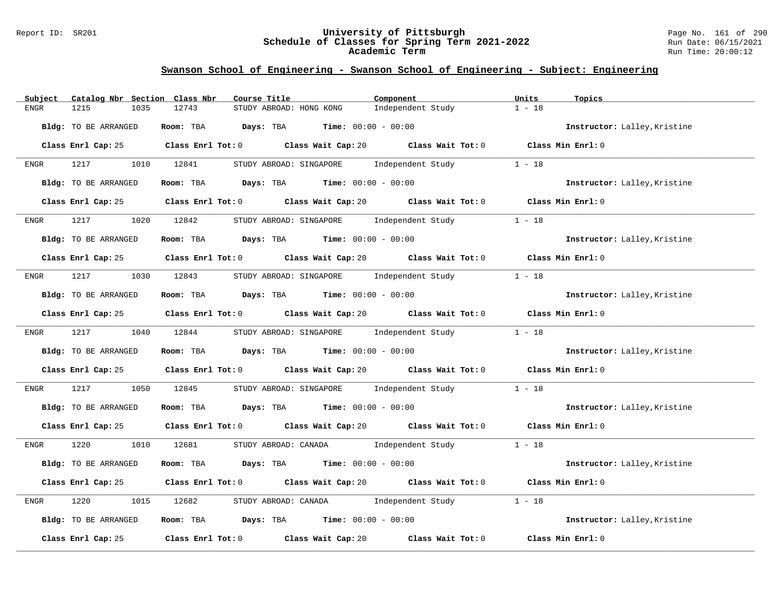#### Report ID: SR201 **University of Pittsburgh** Page No. 161 of 290 **Schedule of Classes for Spring Term 2021-2022** Run Date: 06/15/2021 **Academic Term** Run Time: 20:00:12

| Subject     | Catalog Nbr Section Class Nbr | Course Title                                                                                | Component                                     | Units<br>Topics              |
|-------------|-------------------------------|---------------------------------------------------------------------------------------------|-----------------------------------------------|------------------------------|
| <b>ENGR</b> | 1215<br>1035                  | 12743<br>STUDY ABROAD: HONG KONG                                                            | Independent Study                             | $1 - 18$                     |
|             | Bldg: TO BE ARRANGED          | Room: TBA<br><b>Days:</b> TBA <b>Time:</b> $00:00 - 00:00$                                  |                                               | Instructor: Lalley, Kristine |
|             |                               | Class Enrl Cap: 25 Class Enrl Tot: 0 Class Wait Cap: 20 Class Wait Tot: 0 Class Min Enrl: 0 |                                               |                              |
| ENGR        | 1217                          | 1010 12841<br>STUDY ABROAD: SINGAPORE                                                       | Independent Study                             | $1 - 18$                     |
|             | Bldg: TO BE ARRANGED          | Room: TBA $Days:$ TBA $Time: 00:00 - 00:00$                                                 |                                               | Instructor: Lalley, Kristine |
|             |                               | Class Enrl Cap: 25 Class Enrl Tot: 0 Class Wait Cap: 20 Class Wait Tot: 0 Class Min Enrl: 0 |                                               |                              |
| ENGR        | 1217                          | 1020 12842<br>STUDY ABROAD: SINGAPORE                                                       | Independent Study                             | $1 - 18$                     |
|             | <b>Bldg:</b> TO BE ARRANGED   | Room: TBA $Days:$ TBA Time: $00:00 - 00:00$                                                 |                                               | Instructor: Lalley, Kristine |
|             |                               | Class Enrl Cap: 25 Class Enrl Tot: 0 Class Wait Cap: 20 Class Wait Tot: 0 Class Min Enrl: 0 |                                               |                              |
| ENGR        | 1217                          | 1030 12843                                                                                  | STUDY ABROAD: SINGAPORE Independent Study     | $1 - 18$                     |
|             | Bldg: TO BE ARRANGED          | Room: TBA $Days:$ TBA $Time: 00:00 - 00:00$                                                 |                                               | Instructor: Lalley, Kristine |
|             |                               | Class Enrl Cap: 25 Class Enrl Tot: 0 Class Wait Cap: 20 Class Wait Tot: 0 Class Min Enrl: 0 |                                               |                              |
| ENGR        | 1217                          | 1040 12844                                                                                  | STUDY ABROAD: SINGAPORE Independent Study     | $1 - 18$                     |
|             | Bldg: TO BE ARRANGED          | Room: TBA $Days:$ TBA $Time: 00:00 - 00:00$                                                 |                                               | Instructor: Lalley, Kristine |
|             |                               | Class Enrl Cap: 25 Class Enrl Tot: 0 Class Wait Cap: 20 Class Wait Tot: 0 Class Min Enrl: 0 |                                               |                              |
| ENGR        | 1217<br>1050                  | 12845                                                                                       | STUDY ABROAD: SINGAPORE Independent Study     | $1 - 18$                     |
|             | Bldg: TO BE ARRANGED          | Room: TBA $Days:$ TBA $Time: 00:00 - 00:00$                                                 |                                               | Instructor: Lalley, Kristine |
|             |                               | Class Enrl Cap: 25 Class Enrl Tot: 0 Class Wait Cap: 20 Class Wait Tot: 0 Class Min Enrl: 0 |                                               |                              |
| ENGR        | 1220                          | 1010 12681                                                                                  | STUDY ABROAD: CANADA 1ndependent Study 1 - 18 |                              |
|             | Bldg: TO BE ARRANGED          | Room: TBA $Days:$ TBA $Time: 00:00 - 00:00$                                                 |                                               | Instructor: Lalley, Kristine |
|             |                               | Class Enrl Cap: 25 Class Enrl Tot: 0 Class Wait Cap: 20 Class Wait Tot: 0 Class Min Enrl: 0 |                                               |                              |
| ENGR        | 1220<br>1015                  | 12682                                                                                       | STUDY ABROAD: CANADA Independent Study        | $1 - 18$                     |
|             | Bldg: TO BE ARRANGED          | Room: TBA $Days:$ TBA $Time:$ $00:00 - 00:00$                                               |                                               | Instructor: Lalley, Kristine |
|             | Class Enrl Cap: 25            | Class Enrl Tot: 0 Class Wait Cap: 20                                                        | Class Wait Tot: 0                             | Class Min Enrl: 0            |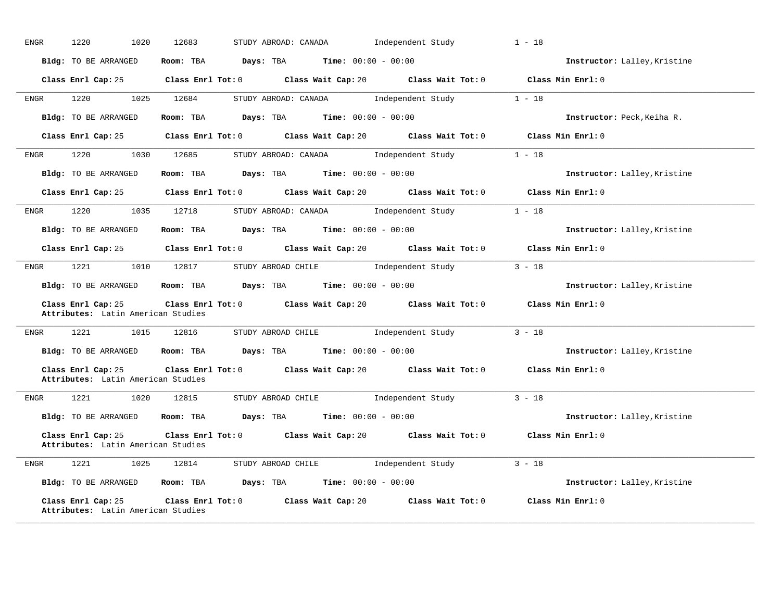| ENGR | 1220<br>1020                                             | 12683<br>STUDY ABROAD: CANADA                                                               | Independent Study                                | $1 - 18$                     |
|------|----------------------------------------------------------|---------------------------------------------------------------------------------------------|--------------------------------------------------|------------------------------|
|      | Bldg: TO BE ARRANGED                                     | $Time: 00:00 - 00:00$<br>Room: TBA Days: TBA                                                |                                                  | Instructor: Lalley, Kristine |
|      |                                                          | Class Enrl Cap: 25 Class Enrl Tot: 0 Class Wait Cap: 20 Class Wait Tot: 0 Class Min Enrl: 0 |                                                  |                              |
| ENGR | 1220                                                     | 1025 12684                                                                                  | STUDY ABROAD: CANADA Independent Study 1 - 18    |                              |
|      | Bldg: TO BE ARRANGED                                     | Room: TBA $Days: TBA$ Time: $00:00 - 00:00$                                                 |                                                  | Instructor: Peck, Keiha R.   |
|      |                                                          | Class Enrl Cap: 25 Class Enrl Tot: 0 Class Wait Cap: 20 Class Wait Tot: 0 Class Min Enrl: 0 |                                                  |                              |
| ENGR |                                                          | 1220 1030 12685 STUDY ABROAD: CANADA Independent Study 1 - 18                               |                                                  |                              |
|      | Bldg: TO BE ARRANGED                                     | Room: TBA $\rule{1em}{0.15mm}$ Days: TBA Time: $00:00 - 00:00$                              |                                                  | Instructor: Lalley, Kristine |
|      |                                                          | Class Enrl Cap: 25 Class Enrl Tot: 0 Class Wait Cap: 20 Class Wait Tot: 0 Class Min Enrl: 0 |                                                  |                              |
| ENGR | 1220<br>1035                                             | STUDY ABROAD: CANADA<br>12718                                                               | Independent Study                                | $1 - 18$                     |
|      | Bldg: TO BE ARRANGED                                     | Room: TBA $Days:$ TBA $Time: 00:00 - 00:00$                                                 |                                                  | Instructor: Lalley, Kristine |
|      |                                                          | Class Enrl Cap: 25 Class Enrl Tot: 0 Class Wait Cap: 20 Class Wait Tot: 0 Class Min Enrl: 0 |                                                  |                              |
| ENGR | 1221 1010 12817                                          |                                                                                             | STUDY ABROAD CHILE 5 10 Independent Study 3 - 18 |                              |
|      |                                                          | Bldg: TO BE ARRANGED Room: TBA Days: TBA Time: 00:00 - 00:00                                |                                                  | Instructor: Lalley, Kristine |
|      | Class Enrl Cap: 25<br>Attributes: Latin American Studies | Class Enrl Tot: 0 Class Wait Cap: 20 Class Wait Tot: 0                                      |                                                  | Class Min Enrl: 0            |
| ENGR | 1221 1015 12816                                          | STUDY ABROAD CHILE 1ndependent Study                                                        |                                                  | $3 - 18$                     |
|      |                                                          | Bldg: TO BE ARRANGED Room: TBA Days: TBA Time: 00:00 - 00:00                                |                                                  | Instructor: Lalley, Kristine |
|      | Class Enrl Cap: 25<br>Attributes: Latin American Studies | Class Enrl Tot: 0 Class Wait Cap: 20 Class Wait Tot: 0                                      |                                                  | Class Min Enrl: 0            |
| ENGR | 1221                                                     | 1020 12815<br>STUDY ABROAD CHILE 1ndependent Study                                          |                                                  | $3 - 18$                     |
|      |                                                          | Bldg: TO BE ARRANGED Room: TBA Days: TBA Time: 00:00 - 00:00                                |                                                  | Instructor: Lalley, Kristine |
|      | Class Enrl Cap: 25<br>Attributes: Latin American Studies | Class Enrl Tot: 0 Class Wait Cap: 20 Class Wait Tot: 0                                      |                                                  | Class Min Enrl: 0            |
| ENGR | 1221                                                     | STUDY ABROAD CHILE 1ndependent Study<br>1025 12814                                          |                                                  | $3 - 18$                     |
|      |                                                          | Bldg: TO BE ARRANGED Room: TBA Days: TBA                                                    | <b>Time:</b> $00:00 - 00:00$                     | Instructor: Lalley, Kristine |
|      | Class Enrl Cap: 25<br>Attributes: Latin American Studies | Class Enrl Tot: $0$ Class Wait Cap: $20$ Class Wait Tot: $0$                                |                                                  | Class Min Enrl: 0            |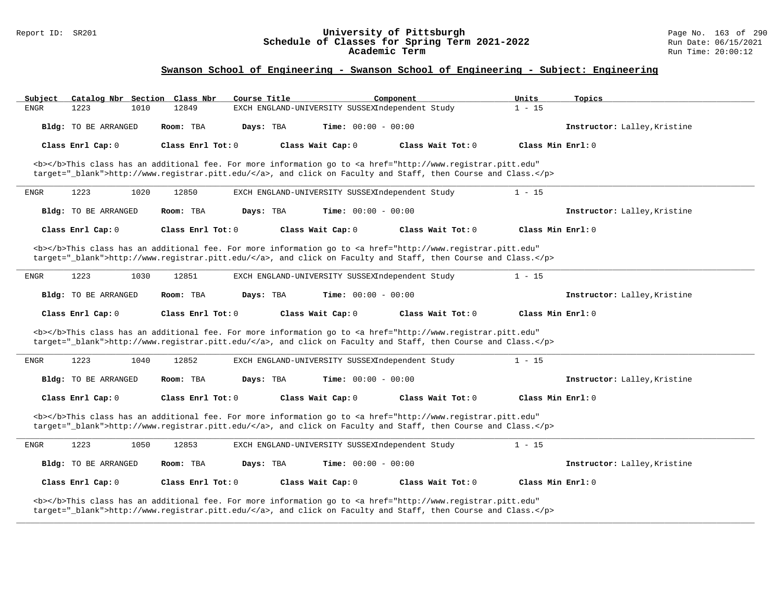#### Report ID: SR201 **University of Pittsburgh** Page No. 163 of 290 **Schedule of Classes for Spring Term 2021-2022** Run Date: 06/15/2021 **Academic Term** Run Time: 20:00:12

# **Swanson School of Engineering - Swanson School of Engineering - Subject: Engineering**

| Subject     |                      | Catalog Nbr Section Class Nbr | Course Title |                                                 | Component                                                                                                                                                                                                                          | Units               | Topics                       |
|-------------|----------------------|-------------------------------|--------------|-------------------------------------------------|------------------------------------------------------------------------------------------------------------------------------------------------------------------------------------------------------------------------------------|---------------------|------------------------------|
| <b>ENGR</b> | 1223                 | 1010<br>12849                 |              | EXCH ENGLAND-UNIVERSITY SUSSEXIndependent Study |                                                                                                                                                                                                                                    | $1 - 15$            |                              |
|             | Bldg: TO BE ARRANGED | Room: TBA                     | Days: TBA    | <b>Time:</b> $00:00 - 00:00$                    |                                                                                                                                                                                                                                    |                     | Instructor: Lalley, Kristine |
|             | Class Enrl Cap: 0    | Class Enrl Tot: $0$           |              | Class Wait Cap: 0                               | Class Wait Tot: $0$                                                                                                                                                                                                                | Class Min $Enr1: 0$ |                              |
|             |                      |                               |              |                                                 | <b></b> This class has an additional fee. For more information go to <a <br="" href="http://www.registrar.pitt.edu">target="_blank"&gt;http://www.registrar.pitt.edu/</a> , and click on Faculty and Staff, then Course and Class. |                     |                              |
| ENGR        | 1223                 | 1020<br>12850                 |              | EXCH ENGLAND-UNIVERSITY SUSSEXIndependent Study |                                                                                                                                                                                                                                    | $1 - 15$            |                              |
|             | Bldg: TO BE ARRANGED | Room: TBA                     | Days: TBA    | <b>Time:</b> $00:00 - 00:00$                    |                                                                                                                                                                                                                                    |                     | Instructor: Lalley, Kristine |
|             | Class Enrl Cap: 0    | Class Enrl Tot: 0             |              | Class Wait Cap: 0                               | Class Wait Tot: 0                                                                                                                                                                                                                  | Class Min Enrl: 0   |                              |
|             |                      |                               |              |                                                 | <b></b> This class has an additional fee. For more information go to <a <br="" href="http://www.registrar.pitt.edu">target="_blank"&gt;http://www.registrar.pitt.edu/</a> , and click on Faculty and Staff, then Course and Class. |                     |                              |
| <b>ENGR</b> | 1223                 | 1030<br>12851                 |              | EXCH ENGLAND-UNIVERSITY SUSSEXIndependent Study |                                                                                                                                                                                                                                    | $1 - 15$            |                              |
|             | Bldg: TO BE ARRANGED | Room: TBA                     | Days: TBA    | Time: $00:00 - 00:00$                           |                                                                                                                                                                                                                                    |                     | Instructor: Lalley, Kristine |
|             |                      |                               |              |                                                 |                                                                                                                                                                                                                                    |                     |                              |
|             | Class Enrl Cap: 0    | Class Enrl Tot: 0             |              | Class Wait Cap: 0                               | Class Wait Tot: 0                                                                                                                                                                                                                  | Class Min Enrl: 0   |                              |
|             |                      |                               |              |                                                 | <b></b> This class has an additional fee. For more information go to <a <br="" href="http://www.registrar.pitt.edu">target="_blank"&gt;http://www.registrar.pitt.edu/</a> , and click on Faculty and Staff, then Course and Class. |                     |                              |
| <b>ENGR</b> | 1223                 | 1040<br>12852                 |              | EXCH ENGLAND-UNIVERSITY SUSSEXIndependent Study |                                                                                                                                                                                                                                    | $1 - 15$            |                              |
|             | Bldg: TO BE ARRANGED | Room: TBA                     | Days: TBA    | <b>Time:</b> $00:00 - 00:00$                    |                                                                                                                                                                                                                                    |                     | Instructor: Lalley, Kristine |
|             | Class Enrl Cap: 0    | Class Enrl Tot: 0             |              | Class Wait Cap: 0                               | Class Wait Tot: 0                                                                                                                                                                                                                  | Class Min $Enr1: 0$ |                              |
|             |                      |                               |              |                                                 | <b></b> This class has an additional fee. For more information go to <a <br="" href="http://www.registrar.pitt.edu">target="_blank"&gt;http://www.registrar.pitt.edu/</a> , and click on Faculty and Staff, then Course and Class. |                     |                              |
| ENGR        | 1223                 | 1050<br>12853                 |              | EXCH ENGLAND-UNIVERSITY SUSSEXIndependent Study |                                                                                                                                                                                                                                    | $1 - 15$            |                              |
|             | Bldg: TO BE ARRANGED | Room: TBA                     | Days: TBA    | <b>Time:</b> $00:00 - 00:00$                    |                                                                                                                                                                                                                                    |                     | Instructor: Lalley, Kristine |
|             | Class Enrl Cap: 0    | Class Enrl Tot: 0             |              | Class Wait Cap: 0                               | Class Wait Tot: 0                                                                                                                                                                                                                  | Class Min Enrl: 0   |                              |

**\_\_\_\_\_\_\_\_\_\_\_\_\_\_\_\_\_\_\_\_\_\_\_\_\_\_\_\_\_\_\_\_\_\_\_\_\_\_\_\_\_\_\_\_\_\_\_\_\_\_\_\_\_\_\_\_\_\_\_\_\_\_\_\_\_\_\_\_\_\_\_\_\_\_\_\_\_\_\_\_\_\_\_\_\_\_\_\_\_\_\_\_\_\_\_\_\_\_\_\_\_\_\_\_\_\_\_\_\_\_\_\_\_\_\_\_\_\_\_\_\_\_\_\_\_\_\_\_\_\_\_\_\_\_\_\_\_\_\_\_\_\_\_\_\_\_\_\_\_\_\_\_\_\_\_\_**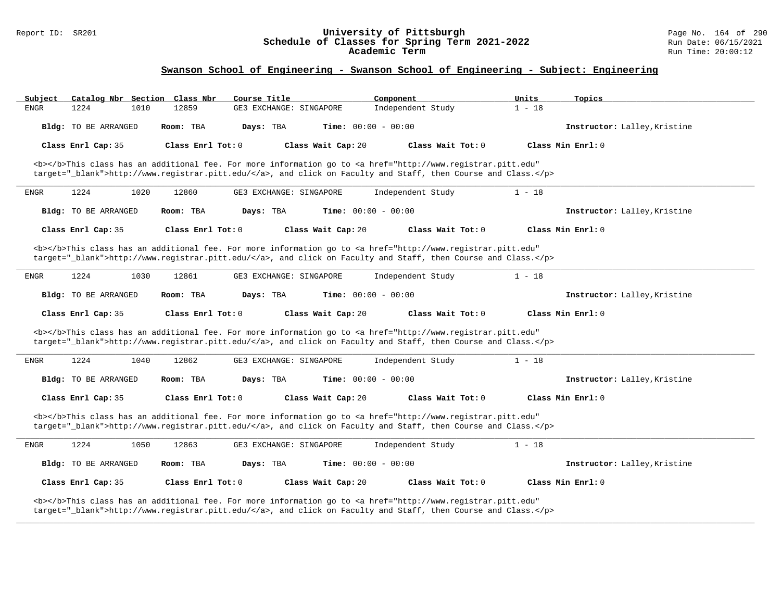#### Report ID: SR201 **University of Pittsburgh** Page No. 164 of 290 **Schedule of Classes for Spring Term 2021-2022** Run Date: 06/15/2021 **Academic Term** Run Time: 20:00:12

| Catalog Nbr Section Class Nbr<br>Subject | Course Title                                                                                                                                                                                                                       | Component<br>Units            | Topics                       |
|------------------------------------------|------------------------------------------------------------------------------------------------------------------------------------------------------------------------------------------------------------------------------------|-------------------------------|------------------------------|
| 1224<br>1010<br><b>ENGR</b>              | 12859<br>GE3 EXCHANGE: SINGAPORE                                                                                                                                                                                                   | Independent Study<br>$1 - 18$ |                              |
| Bldg: TO BE ARRANGED                     | Room: TBA<br>Days: TBA                                                                                                                                                                                                             | <b>Time:</b> $00:00 - 00:00$  | Instructor: Lalley, Kristine |
| Class Enrl Cap: 35                       | Class Enrl Tot: 0<br>Class Wait Cap: 20                                                                                                                                                                                            | Class Wait Tot: 0             | Class Min Enrl: 0            |
|                                          | <b></b> This class has an additional fee. For more information go to <a <br="" href="http://www.registrar.pitt.edu">target="_blank"&gt;http://www.registrar.pitt.edu/</a> , and click on Faculty and Staff, then Course and Class. |                               |                              |
| 1224<br>1020<br><b>ENGR</b>              | 12860<br>GE3 EXCHANGE: SINGAPORE                                                                                                                                                                                                   | Independent Study<br>$1 - 18$ |                              |
| Bldg: TO BE ARRANGED                     | Room: TBA<br>Days: TBA                                                                                                                                                                                                             | Time: $00:00 - 00:00$         | Instructor: Lalley, Kristine |
| Class Enrl Cap: 35                       | Class Enrl Tot: $0$<br>Class Wait Cap: 20                                                                                                                                                                                          | Class Wait Tot: 0             | Class Min Enrl: 0            |
|                                          | <b></b> This class has an additional fee. For more information go to <a <br="" href="http://www.registrar.pitt.edu">target="_blank"&gt;http://www.registrar.pitt.edu/</a> , and click on Faculty and Staff, then Course and Class. |                               |                              |
| 1224<br>ENGR<br>1030                     | 12861<br>GE3 EXCHANGE: SINGAPORE                                                                                                                                                                                                   | Independent Study<br>$1 - 18$ |                              |
| Bldg: TO BE ARRANGED                     | Room: TBA<br>Days: TBA                                                                                                                                                                                                             | Time: $00:00 - 00:00$         | Instructor: Lalley, Kristine |
| Class Enrl Cap: 35                       | Class Enrl Tot: 0<br>Class Wait Cap: 20                                                                                                                                                                                            | Class Wait Tot: 0             | Class Min Enrl: 0            |
|                                          | <b></b> This class has an additional fee. For more information go to <a <br="" href="http://www.registrar.pitt.edu">target="_blank"&gt;http://www.registrar.pitt.edu/</a> , and click on Faculty and Staff, then Course and Class. |                               |                              |
| 1224<br>1040<br><b>ENGR</b>              | 12862<br>GE3 EXCHANGE: SINGAPORE                                                                                                                                                                                                   | $1 - 18$<br>Independent Study |                              |
| Bldg: TO BE ARRANGED                     | Room: TBA<br>Days: TBA                                                                                                                                                                                                             | <b>Time:</b> $00:00 - 00:00$  | Instructor: Lalley, Kristine |
| Class Enrl Cap: 35                       | Class Wait Cap: 20<br>Class Enrl Tot: 0                                                                                                                                                                                            | Class Wait Tot: 0             | Class Min Enrl: 0            |
|                                          | <b></b> This class has an additional fee. For more information go to <a <br="" href="http://www.registrar.pitt.edu">target="_blank"&gt;http://www.registrar.pitt.edu/</a> , and click on Faculty and Staff, then Course and Class. |                               |                              |
| 1224<br>1050<br>ENGR                     | 12863<br>GE3 EXCHANGE: SINGAPORE                                                                                                                                                                                                   | $1 - 18$<br>Independent Study |                              |
| Bldg: TO BE ARRANGED                     | Room: TBA<br>Days: TBA                                                                                                                                                                                                             | Time: $00:00 - 00:00$         | Instructor: Lalley, Kristine |
| Class Enrl Cap: 35                       | Class Enrl Tot: 0<br>Class Wait Cap: 20                                                                                                                                                                                            | Class Wait Tot: 0             | Class Min Enrl: 0            |
|                                          | <b></b> This class has an additional fee. For more information go to <a <br="" href="http://www.registrar.pitt.edu">target="_blank"&gt;http://www.registrar.pitt.edu/</a> , and click on Faculty and Staff, then Course and Class. |                               |                              |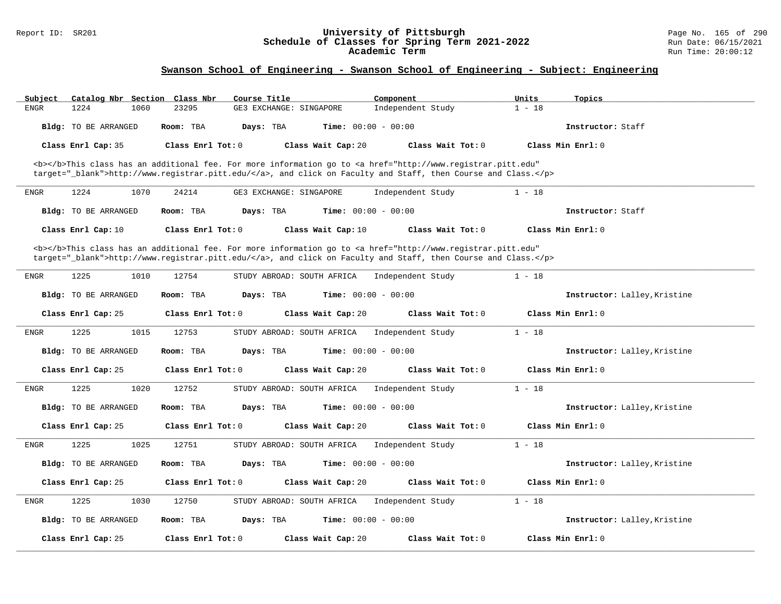#### Report ID: SR201 **University of Pittsburgh** Page No. 165 of 290 **Schedule of Classes for Spring Term 2021-2022** Run Date: 06/15/2021 **Academic Term** Run Time: 20:00:12

| Subject              | Catalog Nbr Section Class Nbr | Course Title               | Component                                                                                                                                      | Units<br>Topics              |  |
|----------------------|-------------------------------|----------------------------|------------------------------------------------------------------------------------------------------------------------------------------------|------------------------------|--|
| <b>ENGR</b><br>1224  | 23295<br>1060                 | GE3 EXCHANGE: SINGAPORE    | Independent Study                                                                                                                              | $1 - 18$                     |  |
| Bldg: TO BE ARRANGED | Room: TBA                     | Days: TBA                  | Time: $00:00 - 00:00$                                                                                                                          | Instructor: Staff            |  |
| Class Enrl Cap: 35   | Class Enrl Tot: 0             | Class Wait Cap: 20         | Class Wait Tot: 0                                                                                                                              | Class Min Enrl: 0            |  |
|                      |                               |                            | <b></b> This class has an additional fee. For more information go to <a <="" href="http://www.registrar.pitt.edu" td=""><td></td><td></td></a> |                              |  |
|                      |                               |                            | target="_blank">http://www.registrar.pitt.edu/, and click on Faculty and Staff, then Course and Class.                                         |                              |  |
| <b>ENGR</b><br>1224  | 1070<br>24214                 | GE3 EXCHANGE: SINGAPORE    | Independent Study                                                                                                                              | $1 - 18$                     |  |
| Bldg: TO BE ARRANGED | Room: TBA                     | Days: TBA                  | <b>Time:</b> $00:00 - 00:00$                                                                                                                   | Instructor: Staff            |  |
| Class Enrl Cap: 10   | Class Enrl Tot: 0             | Class Wait Cap: 10         | Class Wait Tot: 0                                                                                                                              | Class Min Enrl: 0            |  |
|                      |                               |                            | <b></b> This class has an additional fee. For more information go to <a <="" href="http://www.registrar.pitt.edu" td=""><td></td><td></td></a> |                              |  |
|                      |                               |                            | target="_blank">http://www.registrar.pitt.edu/, and click on Faculty and Staff, then Course and Class.                                         |                              |  |
| 1225<br>ENGR         | 12754<br>1010                 | STUDY ABROAD: SOUTH AFRICA | Independent Study                                                                                                                              | $1 - 18$                     |  |
| Bldg: TO BE ARRANGED | Room: TBA                     | Days: TBA                  | <b>Time:</b> $00:00 - 00:00$                                                                                                                   | Instructor: Lalley, Kristine |  |
| Class Enrl Cap: 25   | Class Enrl Tot: $0$           | Class Wait Cap: 20         | Class Wait $Tot: 0$                                                                                                                            | $Class Min Ernst: 0$         |  |
| <b>ENGR</b><br>1225  | 1015<br>12753                 | STUDY ABROAD: SOUTH AFRICA | Independent Study                                                                                                                              | $1 - 18$                     |  |
| Bldg: TO BE ARRANGED | Room: TBA                     | Days: TBA                  | <b>Time:</b> $00:00 - 00:00$                                                                                                                   | Instructor: Lalley, Kristine |  |
| Class Enrl Cap: 25   | Class Enrl Tot: 0             | Class Wait Cap: 20         | Class Wait Tot: 0                                                                                                                              | Class Min Enrl: 0            |  |
| <b>ENGR</b><br>1225  | 1020<br>12752                 | STUDY ABROAD: SOUTH AFRICA | Independent Study                                                                                                                              | $1 - 18$                     |  |
| Bldg: TO BE ARRANGED | Room: TBA                     | Days: TBA                  | <b>Time:</b> $00:00 - 00:00$                                                                                                                   | Instructor: Lalley, Kristine |  |
| Class Enrl Cap: 25   | Class Enrl Tot: 0             | Class Wait Cap: 20         | Class Wait Tot: 0                                                                                                                              | Class Min Enrl: 0            |  |
| 1225<br><b>ENGR</b>  | 1025<br>12751                 | STUDY ABROAD: SOUTH AFRICA | Independent Study                                                                                                                              | $1 - 18$                     |  |
|                      |                               |                            |                                                                                                                                                |                              |  |
| Bldg: TO BE ARRANGED | Room: TBA                     | Days: TBA                  | Time: $00:00 - 00:00$                                                                                                                          | Instructor: Lalley, Kristine |  |
| Class Enrl Cap: 25   | Class Enrl Tot: 0             | Class Wait Cap: 20         | Class Wait Tot: 0                                                                                                                              | Class Min Enrl: 0            |  |
| 1225<br><b>ENGR</b>  | 1030<br>12750                 | STUDY ABROAD: SOUTH AFRICA | Independent Study                                                                                                                              | $1 - 18$                     |  |
| Bldg: TO BE ARRANGED | Room: TBA                     | Days: TBA                  | Time: $00:00 - 00:00$                                                                                                                          | Instructor: Lalley, Kristine |  |
| Class Enrl Cap: 25   | Class Enrl Tot: 0             | Class Wait Cap: 20         | Class Wait Tot: 0                                                                                                                              | Class Min Enrl: 0            |  |
|                      |                               |                            |                                                                                                                                                |                              |  |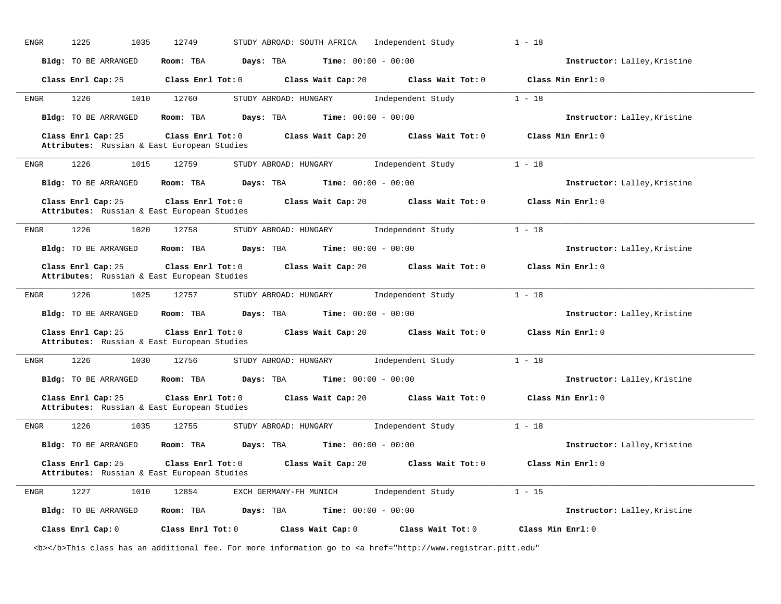| <b>ENGR</b><br>1225<br>1035                                       | 12749<br>STUDY ABROAD: SOUTH AFRICA     | $1 - 18$<br>Independent Study          |                              |
|-------------------------------------------------------------------|-----------------------------------------|----------------------------------------|------------------------------|
| Bldg: TO BE ARRANGED                                              | Days: TBA<br>Room: TBA                  | <b>Time:</b> $00:00 - 00:00$           | Instructor: Lalley, Kristine |
| Class Enrl Cap: 25                                                | Class Enrl Tot: 0<br>Class Wait Cap: 20 | Class Wait Tot: 0<br>Class Min Enrl: 0 |                              |
| 1010<br>1226<br>ENGR                                              | 12760<br>STUDY ABROAD: HUNGARY          | $1 - 18$<br>Independent Study          |                              |
| Bldg: TO BE ARRANGED                                              | Room: TBA<br>Days: TBA                  | <b>Time:</b> $00:00 - 00:00$           | Instructor: Lalley, Kristine |
| Class Enrl Cap: 25<br>Attributes: Russian & East European Studies | Class Enrl Tot: 0<br>Class Wait Cap: 20 | Class Wait Tot: 0<br>Class Min Enrl: 0 |                              |
| 1226<br>1015<br>ENGR                                              | 12759<br>STUDY ABROAD: HUNGARY          | $1 - 18$<br>Independent Study          |                              |
| Bldg: TO BE ARRANGED                                              | Days: TBA<br>Room: TBA                  | <b>Time:</b> $00:00 - 00:00$           | Instructor: Lalley, Kristine |
| Class Enrl Cap: 25<br>Attributes: Russian & East European Studies | Class Enrl Tot: 0<br>Class Wait Cap: 20 | Class Min Enrl: 0<br>Class Wait Tot: 0 |                              |
| 1226<br>1020<br>ENGR                                              | 12758<br>STUDY ABROAD: HUNGARY          | $1 - 18$<br>Independent Study          |                              |
| Bldg: TO BE ARRANGED                                              | Days: TBA<br>Room: TBA                  | <b>Time:</b> $00:00 - 00:00$           | Instructor: Lalley, Kristine |
| Class Enrl Cap: 25<br>Attributes: Russian & East European Studies | Class Enrl Tot: 0<br>Class Wait Cap: 20 | Class Wait Tot: 0<br>Class Min Enrl: 0 |                              |
|                                                                   |                                         |                                        |                              |
| 1226<br>1025<br>ENGR                                              | 12757<br>STUDY ABROAD: HUNGARY          | $1 - 18$<br>Independent Study          |                              |
| Bldg: TO BE ARRANGED                                              | Room: TBA<br>Days: TBA                  | <b>Time:</b> $00:00 - 00:00$           | Instructor: Lalley, Kristine |
| Class Enrl Cap: 25<br>Attributes: Russian & East European Studies | Class Enrl Tot: 0<br>Class Wait Cap: 20 | Class Wait Tot: 0<br>Class Min Enrl: 0 |                              |
| 1226<br>1030<br>ENGR                                              | 12756<br>STUDY ABROAD: HUNGARY          | Independent Study<br>$1 - 18$          |                              |
| Bldg: TO BE ARRANGED                                              | Room: TBA<br>Days: TBA                  | <b>Time:</b> $00:00 - 00:00$           | Instructor: Lalley, Kristine |
| Class Enrl Cap: 25<br>Attributes: Russian & East European Studies | Class Enrl Tot: 0<br>Class Wait Cap: 20 | Class Wait Tot: 0<br>Class Min Enrl: 0 |                              |
| 1226<br>1035<br>ENGR                                              | 12755<br>STUDY ABROAD: HUNGARY          | $1 - 18$<br>Independent Study          |                              |
| Bldg: TO BE ARRANGED                                              | Room: TBA<br>Days: TBA                  | <b>Time:</b> $00:00 - 00:00$           | Instructor: Lalley, Kristine |
| Class Enrl Cap: 25<br>Attributes: Russian & East European Studies | Class Enrl Tot: 0<br>Class Wait Cap: 20 | Class Min Enrl: 0<br>Class Wait Tot: 0 |                              |
| 1227<br><b>ENGR</b><br>1010                                       | 12854<br>EXCH GERMANY-FH MUNICH         | Independent Study<br>$1 - 15$          |                              |
| Bldg: TO BE ARRANGED                                              | Room: TBA<br>Days: TBA                  | <b>Time:</b> $00:00 - 00:00$           | Instructor: Lalley, Kristine |

<b></b>This class has an additional fee. For more information go to <a href="http://www.registrar.pitt.edu"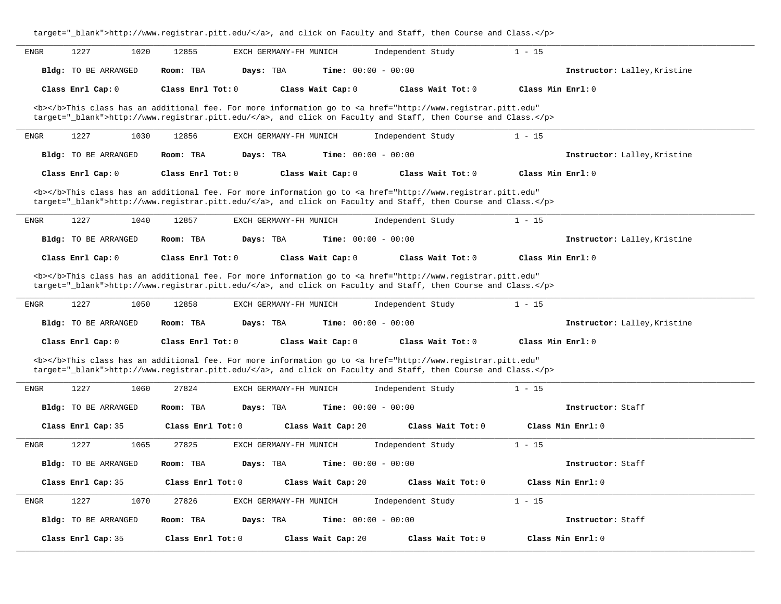| target="_blank">http://www.registrar.pitt.edu/, and click on Faculty and Staff, then Course and Class.                                                                                                                             |                              |  |  |  |
|------------------------------------------------------------------------------------------------------------------------------------------------------------------------------------------------------------------------------------|------------------------------|--|--|--|
| 1227<br>1020<br>12855<br>EXCH GERMANY-FH MUNICH<br>Independent Study<br>ENGR                                                                                                                                                       | $1 - 15$                     |  |  |  |
| <b>Bldg:</b> TO BE ARRANGED<br>Room: TBA<br>Days: TBA<br><b>Time:</b> $00:00 - 00:00$                                                                                                                                              | Instructor: Lalley, Kristine |  |  |  |
| Class Enrl Cap: 0<br>Class Enrl Tot: 0<br>Class Wait Cap: 0<br>Class Wait Tot: 0                                                                                                                                                   | Class Min Enrl: 0            |  |  |  |
| <b></b> This class has an additional fee. For more information go to <a <br="" href="http://www.registrar.pitt.edu">target="_blank"&gt;http://www.registrar.pitt.edu/</a> , and click on Faculty and Staff, then Course and Class. |                              |  |  |  |
| 1227<br>1030<br>12856<br>EXCH GERMANY-FH MUNICH<br>Independent Study<br>ENGR                                                                                                                                                       | $1 - 15$                     |  |  |  |
| Days: TBA<br><b>Time:</b> $00:00 - 00:00$<br><b>Bldg:</b> TO BE ARRANGED<br>Room: TBA                                                                                                                                              | Instructor: Lalley, Kristine |  |  |  |
| Class Enrl Cap: 0<br>Class Enrl Tot: 0<br>Class Wait Cap: 0<br>Class Wait Tot: 0                                                                                                                                                   | Class Min Enrl: 0            |  |  |  |
| <b></b> This class has an additional fee. For more information go to <a <br="" href="http://www.registrar.pitt.edu">target="_blank"&gt;http://www.registrar.pitt.edu/</a> , and click on Faculty and Staff, then Course and Class. |                              |  |  |  |
| 1227<br>1040<br>12857<br>EXCH GERMANY-FH MUNICH<br>Independent Study<br>ENGR                                                                                                                                                       | $1 - 15$                     |  |  |  |
| Bldg: TO BE ARRANGED<br>Room: TBA<br>Days: TBA<br><b>Time:</b> $00:00 - 00:00$                                                                                                                                                     | Instructor: Lalley, Kristine |  |  |  |
| Class Enrl Cap: 0<br>Class Enrl Tot: 0<br>Class Wait Cap: 0<br>Class Wait Tot: 0                                                                                                                                                   | Class Min Enrl: 0            |  |  |  |
| <b></b> This class has an additional fee. For more information go to <a <br="" href="http://www.registrar.pitt.edu">target="_blank"&gt;http://www.registrar.pitt.edu/</a> , and click on Faculty and Staff, then Course and Class. |                              |  |  |  |
| 1227<br>Independent Study<br>1050<br>12858<br>EXCH GERMANY-FH MUNICH<br>ENGR                                                                                                                                                       | $1 - 15$                     |  |  |  |
| Bldg: TO BE ARRANGED<br>Room: TBA<br>Days: TBA<br><b>Time:</b> $00:00 - 00:00$                                                                                                                                                     | Instructor: Lalley, Kristine |  |  |  |
| Class Enrl Cap: 0<br>Class Enrl Tot: 0<br>Class Wait Cap: 0<br>Class Wait Tot: 0                                                                                                                                                   | Class Min Enrl: 0            |  |  |  |
| <b></b> This class has an additional fee. For more information go to <a <br="" href="http://www.registrar.pitt.edu">target="_blank"&gt;http://www.registrar.pitt.edu/</a> , and click on Faculty and Staff, then Course and Class. |                              |  |  |  |
| 1227<br>1060<br>27824<br>EXCH GERMANY-FH MUNICH<br>Independent Study<br>ENGR                                                                                                                                                       | $1 - 15$                     |  |  |  |
| Bldg: TO BE ARRANGED<br>Room: TBA<br>Days: TBA<br><b>Time:</b> $00:00 - 00:00$                                                                                                                                                     | Instructor: Staff            |  |  |  |
| Class Enrl Cap: 35<br>Class Enrl Tot: 0<br>Class Wait Cap: 20<br>Class Wait Tot: 0                                                                                                                                                 | Class Min Enrl: 0            |  |  |  |
| 1227<br>1065<br>27825<br>Independent Study<br>ENGR<br>EXCH GERMANY-FH MUNICH                                                                                                                                                       | $1 - 15$                     |  |  |  |
| Days: TBA<br>Time: $00:00 - 00:00$<br>Bldg: TO BE ARRANGED<br>Room: TBA                                                                                                                                                            | Instructor: Staff            |  |  |  |
| Class Enrl Cap: 35<br>Class Wait Cap: 20<br>Class Wait Tot: 0<br>Class Enrl Tot: 0                                                                                                                                                 | Class Min Enrl: 0            |  |  |  |
| 1227<br>1070<br>27826<br>Independent Study<br>ENGR<br>EXCH GERMANY-FH MUNICH                                                                                                                                                       | $1 - 15$                     |  |  |  |
| Bldg: TO BE ARRANGED<br>Room: TBA<br>Days: TBA<br><b>Time:</b> $00:00 - 00:00$                                                                                                                                                     | Instructor: Staff            |  |  |  |
| Class Enrl Cap: 35<br>Class Enrl Tot: 0<br>Class Wait Cap: 20<br>Class Wait Tot: 0                                                                                                                                                 | Class Min Enrl: 0            |  |  |  |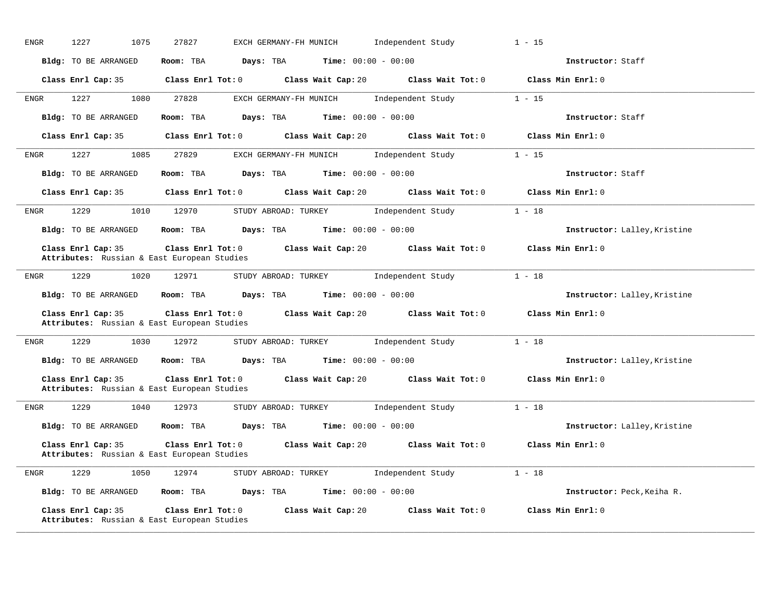| 1227<br>ENGR       | 1075                 | 27827                                                                  | EXCH GERMANY-FH MUNICH                        | Independent Study                                                        | $1 - 15$                     |
|--------------------|----------------------|------------------------------------------------------------------------|-----------------------------------------------|--------------------------------------------------------------------------|------------------------------|
|                    | Bldg: TO BE ARRANGED | Days: TBA<br>Room: TBA                                                 | <b>Time:</b> $00:00 - 00:00$                  |                                                                          | Instructor: Staff            |
|                    | Class Enrl Cap: 35   | $Class$ $Enr1$ $Tot: 0$                                                |                                               | Class Wait Cap: 20 $\qquad$ Class Wait Tot: 0                            | Class Min Enrl: 0            |
| 1227<br>ENGR       | 1080                 | 27828                                                                  | EXCH GERMANY-FH MUNICH                        | Independent Study                                                        | $1 - 15$                     |
|                    | Bldg: TO BE ARRANGED | Room: TBA                                                              | Days: TBA<br><b>Time:</b> $00:00 - 00:00$     |                                                                          | Instructor: Staff            |
|                    | Class Enrl Cap: 35   |                                                                        |                                               | Class Enrl Tot: 0 Class Wait Cap: 20 Class Wait Tot: 0 Class Min Enrl: 0 |                              |
| ENGR               | 1227<br>1085         | 27829                                                                  | EXCH GERMANY-FH MUNICH                        | Independent Study                                                        | $1 - 15$                     |
|                    | Bldg: TO BE ARRANGED | Room: TBA Days: TBA                                                    | <b>Time:</b> $00:00 - 00:00$                  |                                                                          | Instructor: Staff            |
| Class Enrl Cap: 35 |                      |                                                                        |                                               | Class Enrl Tot: 0 Class Wait Cap: 20 Class Wait Tot: 0                   | Class Min Enrl: 0            |
| 1229<br>ENGR       | 1010                 | 12970                                                                  | STUDY ABROAD: TURKEY                          | Independent Study                                                        | $1 - 18$                     |
|                    | Bldg: TO BE ARRANGED | Room: TBA                                                              | <b>Days:</b> TBA <b>Time:</b> $00:00 - 00:00$ |                                                                          | Instructor: Lalley, Kristine |
| Class Enrl Cap: 35 |                      | Attributes: Russian & East European Studies                            |                                               | Class Enrl Tot: 0 Class Wait Cap: 20 Class Wait Tot: 0                   | Class Min Enrl: 0            |
| 1229<br>ENGR       | 1020                 | 12971                                                                  | STUDY ABROAD: TURKEY [Independent Study       |                                                                          | $1 - 18$                     |
|                    | Bldg: TO BE ARRANGED | Room: TBA                                                              | <b>Days:</b> TBA <b>Time:</b> $00:00 - 00:00$ |                                                                          | Instructor: Lalley, Kristine |
| Class Enrl Cap: 35 |                      | Attributes: Russian & East European Studies                            | Class Enrl Tot: 0 Class Wait Cap: 20          | Class Wait Tot: 0                                                        | Class Min Enrl: 0            |
| 1229<br>ENGR       | 1030                 | 12972                                                                  | STUDY ABROAD: TURKEY Independent Study        |                                                                          | $1 - 18$                     |
|                    | Bldg: TO BE ARRANGED | Room: TBA                                                              | <b>Days:</b> TBA <b>Time:</b> $00:00 - 00:00$ |                                                                          | Instructor: Lalley, Kristine |
| Class Enrl Cap: 35 |                      | Attributes: Russian & East European Studies                            | Class Enrl Tot: 0 Class Wait Cap: 20          | Class Wait Tot: 0                                                        | Class Min Enrl: 0            |
| 1229<br>ENGR       | 1040                 | 12973                                                                  | STUDY ABROAD: TURKEY Independent Study        |                                                                          | $1 - 18$                     |
|                    | Bldg: TO BE ARRANGED | Room: TBA                                                              | Days: TBA<br><b>Time:</b> $00:00 - 00:00$     |                                                                          | Instructor: Lalley, Kristine |
| Class Enrl Cap: 35 |                      | $Class$ $Enr1$ $Tot: 0$<br>Attributes: Russian & East European Studies | Class Wait Cap: 20                            | Class Wait Tot: 0                                                        | Class Min Enrl: 0            |
| 1229<br>ENGR       | 1050                 | 12974                                                                  | STUDY ABROAD: TURKEY                          | Independent Study                                                        | $1 - 18$                     |
|                    | Bldg: TO BE ARRANGED | Room: TBA<br>Days: TBA                                                 | <b>Time:</b> $00:00 - 00:00$                  |                                                                          | Instructor: Peck, Keiha R.   |
| Class Enrl Cap: 35 |                      | Class Enrl Tot:0<br>Attributes: Russian & East European Studies        | Class Wait Cap: 20                            | Class Wait Tot: 0                                                        | Class Min Enrl: 0            |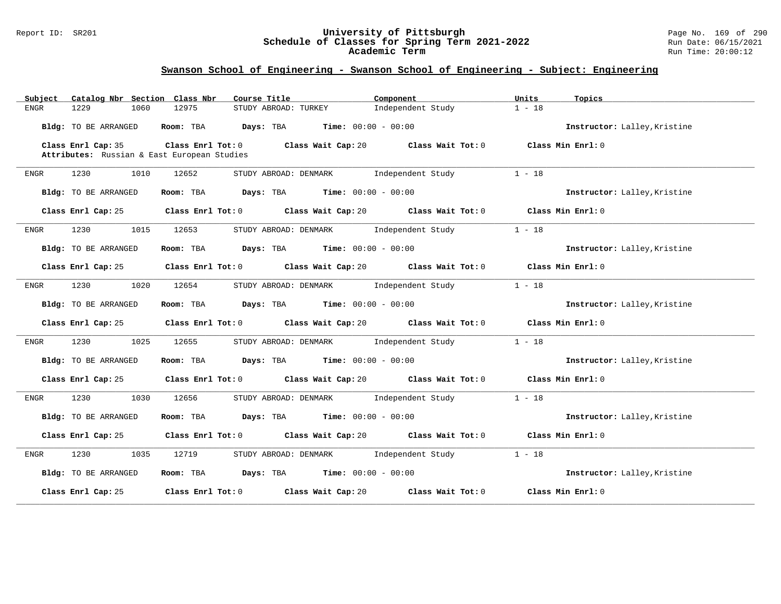#### Report ID: SR201 **University of Pittsburgh** Page No. 169 of 290 **Schedule of Classes for Spring Term 2021-2022** Run Date: 06/15/2021 **Academic Term** Run Time: 20:00:12

| Catalog Nbr Section Class Nbr<br>Subject                          | Course Title                                                             | Component                    | Units<br>Topics              |
|-------------------------------------------------------------------|--------------------------------------------------------------------------|------------------------------|------------------------------|
| <b>ENGR</b><br>1229<br>1060                                       | 12975<br>STUDY ABROAD: TURKEY                                            | Independent Study            | $1 - 18$                     |
| Bldg: TO BE ARRANGED                                              | Room: TBA Days: TBA                                                      | <b>Time:</b> $00:00 - 00:00$ | Instructor: Lalley, Kristine |
| Class Enrl Cap: 35<br>Attributes: Russian & East European Studies | Class Enrl Tot: 0 Class Wait Cap: 20 Class Wait Tot: 0                   |                              | Class Min Enrl: 0            |
|                                                                   |                                                                          |                              |                              |
| 1230<br>1010<br>ENGR                                              | 12652<br>STUDY ABROAD: DENMARK                                           | Independent Study            | $1 - 18$                     |
| Bldg: TO BE ARRANGED                                              | Room: TBA $Days:$ TBA $Time: 00:00 - 00:00$                              |                              | Instructor: Lalley, Kristine |
| Class Enrl Cap: 25                                                | Class Enrl Tot: 0 Class Wait Cap: 20 Class Wait Tot: 0                   |                              | Class Min Enrl: 0            |
| 1015<br>1230<br>ENGR                                              | 12653<br>STUDY ABROAD: DENMARK                                           | Independent Study            | $1 - 18$                     |
| Bldg: TO BE ARRANGED                                              | Room: TBA $Days:$ TBA $Time: 00:00 - 00:00$                              |                              | Instructor: Lalley, Kristine |
| Class Enrl Cap: 25                                                | Class Enrl Tot: 0 Class Wait Cap: 20 Class Wait Tot: 0                   |                              | Class Min Enrl: 0            |
| 1230<br>1020<br>ENGR                                              | STUDY ABROAD: DENMARK Independent Study<br>12654                         |                              | $1 - 18$                     |
| Bldg: TO BE ARRANGED                                              | Room: TBA $Days:$ TBA $Time: 00:00 - 00:00$                              |                              | Instructor: Lalley, Kristine |
| Class Enrl Cap: 25                                                | Class Enrl Tot: $0$ Class Wait Cap: $20$ Class Wait Tot: $0$             |                              | Class Min Enrl: 0            |
| 1230<br>1025<br>ENGR                                              | 12655<br>STUDY ABROAD: DENMARK Independent Study                         |                              | $1 - 18$                     |
| Bldg: TO BE ARRANGED                                              | Room: TBA $Days:$ TBA $Time: 00:00 - 00:00$                              |                              | Instructor: Lalley, Kristine |
| Class Enrl Cap: 25                                                | Class Enrl Tot: 0 Class Wait Cap: 20 Class Wait Tot: 0 Class Min Enrl: 0 |                              |                              |
| 1230<br>1030<br>ENGR                                              | STUDY ABROAD: DENMARK Independent Study<br>12656                         |                              | $1 - 18$                     |
| Bldg: TO BE ARRANGED                                              | $Days: TBA$ Time: $00:00 - 00:00$<br>Room: TBA                           |                              | Instructor: Lalley, Kristine |
| Class Enrl Cap: 25                                                | Class Enrl Tot: 0 Class Wait Cap: 20 Class Wait Tot: 0 Class Min Enrl: 0 |                              |                              |
| 1230<br>1035<br>ENGR                                              | 12719<br>STUDY ABROAD: DENMARK Independent Study                         |                              | $1 - 18$                     |
| Bldg: TO BE ARRANGED                                              | Room: TBA $Days:$ TBA $Time: 00:00 - 00:00$                              |                              | Instructor: Lalley, Kristine |
| Class Enrl Cap: 25                                                | Class Enrl Tot: 0 Class Wait Cap: 20                                     | Class Wait Tot: 0            | Class Min Enrl: 0            |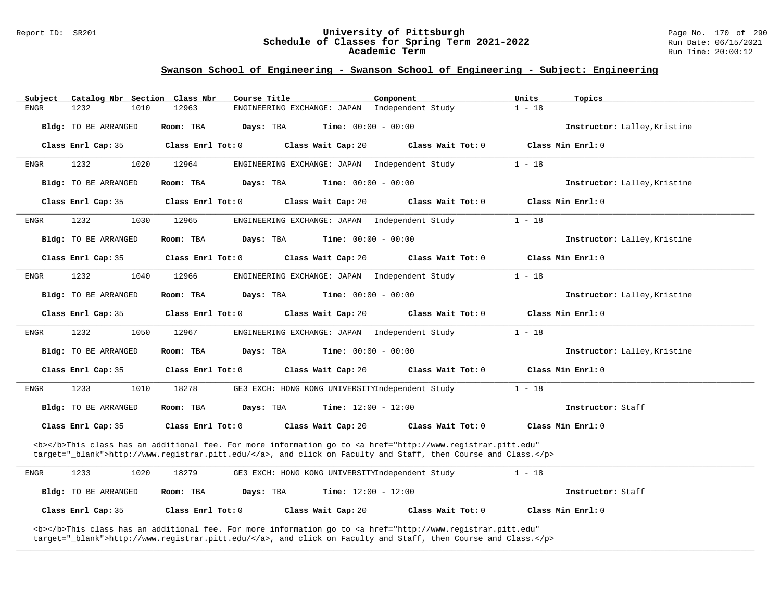#### Report ID: SR201 **University of Pittsburgh** Page No. 170 of 290 **Schedule of Classes for Spring Term 2021-2022** Run Date: 06/15/2021 **Academic Term** Run Time: 20:00:12

### **Swanson School of Engineering - Swanson School of Engineering - Subject: Engineering**

| Subject | Catalog Nbr Section Class Nbr |                   | Course Title                                                                                                                                                                                                                       | Component                    | Units<br>Topics              |  |
|---------|-------------------------------|-------------------|------------------------------------------------------------------------------------------------------------------------------------------------------------------------------------------------------------------------------------|------------------------------|------------------------------|--|
| ENGR    | 1232<br>1010                  | 12963             | ENGINEERING EXCHANGE: JAPAN                                                                                                                                                                                                        | Independent Study            | $1 - 18$                     |  |
|         | Bldg: TO BE ARRANGED          | Room: TBA         | Days: TBA<br><b>Time:</b> $00:00 - 00:00$                                                                                                                                                                                          |                              | Instructor: Lalley, Kristine |  |
|         | Class Enrl Cap: 35            | Class Enrl Tot: 0 | Class Wait Cap: 20                                                                                                                                                                                                                 | Class Wait Tot: 0            | Class Min Enrl: 0            |  |
| ENGR    | 1232<br>1020                  | 12964             | ENGINEERING EXCHANGE: JAPAN                                                                                                                                                                                                        | Independent Study            | $1 - 18$                     |  |
|         | Bldg: TO BE ARRANGED          | Room: TBA         | Days: TBA                                                                                                                                                                                                                          | <b>Time:</b> $00:00 - 00:00$ | Instructor: Lalley, Kristine |  |
|         | Class Enrl Cap: 35            | Class Enrl Tot: 0 | Class Wait Cap: 20                                                                                                                                                                                                                 | Class Wait Tot: 0            | Class Min Enrl: 0            |  |
| ENGR    | 1232<br>1030                  | 12965             | ENGINEERING EXCHANGE: JAPAN                                                                                                                                                                                                        | Independent Study            | $1 - 18$                     |  |
|         | Bldg: TO BE ARRANGED          | Room: TBA         | Days: TBA                                                                                                                                                                                                                          | <b>Time:</b> $00:00 - 00:00$ | Instructor: Lalley, Kristine |  |
|         | Class Enrl Cap: 35            | Class Enrl Tot: 0 | Class Wait Cap: 20                                                                                                                                                                                                                 | Class Wait Tot: 0            | Class Min Enrl: 0            |  |
| ENGR    | 1232<br>1040                  | 12966             | ENGINEERING EXCHANGE: JAPAN                                                                                                                                                                                                        | Independent Study            | $1 - 18$                     |  |
|         | Bldg: TO BE ARRANGED          | Room: TBA         | Days: TBA                                                                                                                                                                                                                          | <b>Time:</b> $00:00 - 00:00$ | Instructor: Lalley, Kristine |  |
|         | Class Enrl Cap: 35            | Class Enrl Tot: 0 | Class Wait Cap: 20                                                                                                                                                                                                                 | Class Wait Tot: 0            | Class Min Enrl: 0            |  |
| ENGR    | 1232<br>1050                  | 12967             | ENGINEERING EXCHANGE: JAPAN                                                                                                                                                                                                        | Independent Study            | $1 - 18$                     |  |
|         | Bldg: TO BE ARRANGED          | Room: TBA         | Days: TBA                                                                                                                                                                                                                          | <b>Time:</b> $00:00 - 00:00$ | Instructor: Lalley, Kristine |  |
|         | Class Enrl Cap: 35            | Class Enrl Tot: 0 | Class Wait Cap: 20                                                                                                                                                                                                                 | Class Wait Tot: 0            | Class Min Enrl: 0            |  |
| ENGR    | 1233<br>1010                  | 18278             | GE3 EXCH: HONG KONG UNIVERSITYIndependent Study                                                                                                                                                                                    |                              | $1 - 18$                     |  |
|         | Bldg: TO BE ARRANGED          | Room: TBA         | Days: TBA<br><b>Time:</b> $12:00 - 12:00$                                                                                                                                                                                          |                              | Instructor: Staff            |  |
|         | Class Enrl Cap: 35            | Class Enrl Tot: 0 | Class Wait Cap: 20                                                                                                                                                                                                                 | Class Wait Tot: 0            | Class Min Enrl: 0            |  |
|         |                               |                   | <b></b> This class has an additional fee. For more information go to <a <br="" href="http://www.registrar.pitt.edu">target="_blank"&gt;http://www.registrar.pitt.edu/</a> , and click on Faculty and Staff, then Course and Class. |                              |                              |  |
| ENGR    | 1233<br>1020                  | 18279             | GE3 EXCH: HONG KONG UNIVERSITYIndependent Study                                                                                                                                                                                    |                              | $1 - 18$                     |  |
|         | Bldg: TO BE ARRANGED          | Room: TBA         | Time: $12:00 - 12:00$<br>Days: TBA                                                                                                                                                                                                 |                              | Instructor: Staff            |  |
|         | Class Enrl Cap: 35            | Class Enrl Tot: 0 | Class Wait Cap: 20                                                                                                                                                                                                                 | Class Wait Tot: 0            | Class Min Enrl: 0            |  |
|         |                               |                   | <b></b> This class has an additional fee. For more information go to <a <="" href="http://www.registrar.pitt.edu" td=""><td></td><td></td><td></td></a>                                                                            |                              |                              |  |

**\_\_\_\_\_\_\_\_\_\_\_\_\_\_\_\_\_\_\_\_\_\_\_\_\_\_\_\_\_\_\_\_\_\_\_\_\_\_\_\_\_\_\_\_\_\_\_\_\_\_\_\_\_\_\_\_\_\_\_\_\_\_\_\_\_\_\_\_\_\_\_\_\_\_\_\_\_\_\_\_\_\_\_\_\_\_\_\_\_\_\_\_\_\_\_\_\_\_\_\_\_\_\_\_\_\_\_\_\_\_\_\_\_\_\_\_\_\_\_\_\_\_\_\_\_\_\_\_\_\_\_\_\_\_\_\_\_\_\_\_\_\_\_\_\_\_\_\_\_\_\_\_\_\_\_\_**

target="\_blank">http://www.registrar.pitt.edu/</a>, and click on Faculty and Staff, then Course and Class.</p>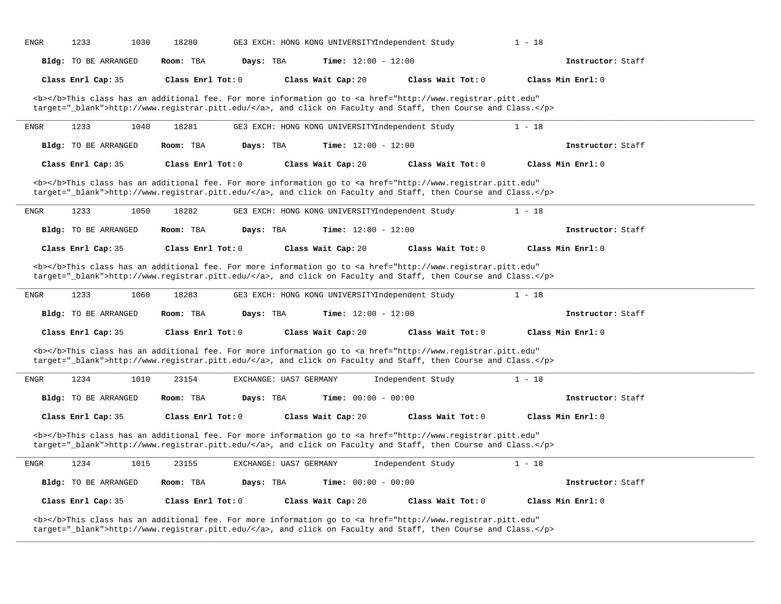| <b>ENGR</b> | 1233                        | 1030<br>18280     |                        | GE3 EXCH: HONG KONG UNIVERSITYIndependent Study |                                                                                                                                                                                                                                    | $1 - 18$          |  |
|-------------|-----------------------------|-------------------|------------------------|-------------------------------------------------|------------------------------------------------------------------------------------------------------------------------------------------------------------------------------------------------------------------------------------|-------------------|--|
|             | Bldg: TO BE ARRANGED        | Room: TBA         | Days: TBA              | <b>Time:</b> $12:00 - 12:00$                    |                                                                                                                                                                                                                                    | Instructor: Staff |  |
|             | Class Enrl Cap: 35          | Class Enrl Tot: 0 |                        | Class Wait Cap: 20                              | Class Wait Tot: 0                                                                                                                                                                                                                  | Class Min Enrl: 0 |  |
|             |                             |                   |                        |                                                 | <b></b> This class has an additional fee. For more information go to <a <br="" href="http://www.registrar.pitt.edu">target="_blank"&gt;http://www.registrar.pitt.edu/</a> , and click on Faculty and Staff, then Course and Class. |                   |  |
| ENGR        | 1233                        | 18281<br>1040     |                        | GE3 EXCH: HONG KONG UNIVERSITYIndependent Study |                                                                                                                                                                                                                                    | $1 - 18$          |  |
|             | <b>Bldg:</b> TO BE ARRANGED | Room: TBA         | Days: TBA              | Time: $12:00 - 12:00$                           |                                                                                                                                                                                                                                    | Instructor: Staff |  |
|             | Class Enrl Cap: 35          | Class Enrl Tot: 0 |                        | Class Wait Cap: 20                              | Class Wait Tot: 0                                                                                                                                                                                                                  | Class Min Enrl: 0 |  |
|             |                             |                   |                        |                                                 | <b></b> This class has an additional fee. For more information go to <a <br="" href="http://www.registrar.pitt.edu">target="_blank"&gt;http://www.registrar.pitt.edu/</a> , and click on Faculty and Staff, then Course and Class. |                   |  |
| <b>ENGR</b> | 1233                        | 1050<br>18282     |                        | GE3 EXCH: HONG KONG UNIVERSITYIndependent Study |                                                                                                                                                                                                                                    | $1 - 18$          |  |
|             | Bldg: TO BE ARRANGED        | Room: TBA         | Days: TBA              | Time: $12:00 - 12:00$                           |                                                                                                                                                                                                                                    | Instructor: Staff |  |
|             | Class Enrl Cap: 35          | Class Enrl Tot: 0 |                        | Class Wait Cap: 20                              | Class Wait Tot: 0                                                                                                                                                                                                                  | Class Min Enrl: 0 |  |
|             |                             |                   |                        |                                                 | <b></b> This class has an additional fee. For more information go to <a <br="" href="http://www.registrar.pitt.edu">target="_blank"&gt;http://www.registrar.pitt.edu/</a> , and click on Faculty and Staff, then Course and Class. |                   |  |
| ENGR        | 1233                        | 1060<br>18283     |                        | GE3 EXCH: HONG KONG UNIVERSITYIndependent Study |                                                                                                                                                                                                                                    | $1 - 18$          |  |
|             | Bldg: TO BE ARRANGED        | Room: TBA         | Days: TBA              | Time: $12:00 - 12:00$                           |                                                                                                                                                                                                                                    | Instructor: Staff |  |
|             | Class Enrl Cap: 35          | Class Enrl Tot: 0 |                        | Class Wait Cap: 20                              | Class Wait Tot: 0                                                                                                                                                                                                                  | Class Min Enrl: 0 |  |
|             |                             |                   |                        |                                                 | <b></b> This class has an additional fee. For more information go to <a <br="" href="http://www.registrar.pitt.edu">target="_blank"&gt;http://www.registrar.pitt.edu/</a> , and click on Faculty and Staff, then Course and Class. |                   |  |
| ENGR        | 1234                        | 1010<br>23154     | EXCHANGE: UAS7 GERMANY |                                                 | Independent Study                                                                                                                                                                                                                  | $1 - 18$          |  |
|             | Bldg: TO BE ARRANGED        | Room: TBA         | Days: TBA              | Time: $00:00 - 00:00$                           |                                                                                                                                                                                                                                    | Instructor: Staff |  |
|             | Class Enrl Cap: 35          | Class Enrl Tot: 0 |                        | Class Wait Cap: 20                              | Class Wait Tot: 0                                                                                                                                                                                                                  | Class Min Enrl: 0 |  |
|             |                             |                   |                        |                                                 | <b></b> This class has an additional fee. For more information go to <a <br="" href="http://www.registrar.pitt.edu">target="_blank"&gt;http://www.registrar.pitt.edu/</a> , and click on Faculty and Staff, then Course and Class. |                   |  |
| ENGR        | 1234                        | 1015<br>23155     | EXCHANGE: UAS7 GERMANY |                                                 | Independent Study                                                                                                                                                                                                                  | $1 - 18$          |  |
|             | Bldg: TO BE ARRANGED        | Room: TBA         | Days: TBA              | Time: $00:00 - 00:00$                           |                                                                                                                                                                                                                                    | Instructor: Staff |  |
|             | Class Enrl Cap: 35          | Class Enrl Tot: 0 |                        | Class Wait Cap: 20                              | Class Wait Tot: 0                                                                                                                                                                                                                  | Class Min Enrl: 0 |  |
|             |                             |                   |                        |                                                 | <b></b> This class has an additional fee. For more information go to <a <="" href="http://www.registrar.pitt.edu" td=""><td></td><td></td></a>                                                                                     |                   |  |

**\_\_\_\_\_\_\_\_\_\_\_\_\_\_\_\_\_\_\_\_\_\_\_\_\_\_\_\_\_\_\_\_\_\_\_\_\_\_\_\_\_\_\_\_\_\_\_\_\_\_\_\_\_\_\_\_\_\_\_\_\_\_\_\_\_\_\_\_\_\_\_\_\_\_\_\_\_\_\_\_\_\_\_\_\_\_\_\_\_\_\_\_\_\_\_\_\_\_\_\_\_\_\_\_\_\_\_\_\_\_\_\_\_\_\_\_\_\_\_\_\_\_\_\_\_\_\_\_\_\_\_\_\_\_\_\_\_\_\_\_\_\_\_\_\_\_\_\_\_\_\_\_\_\_\_\_**

target="\_blank">http://www.registrar.pitt.edu/</a>, and click on Faculty and Staff, then Course and Class.</p>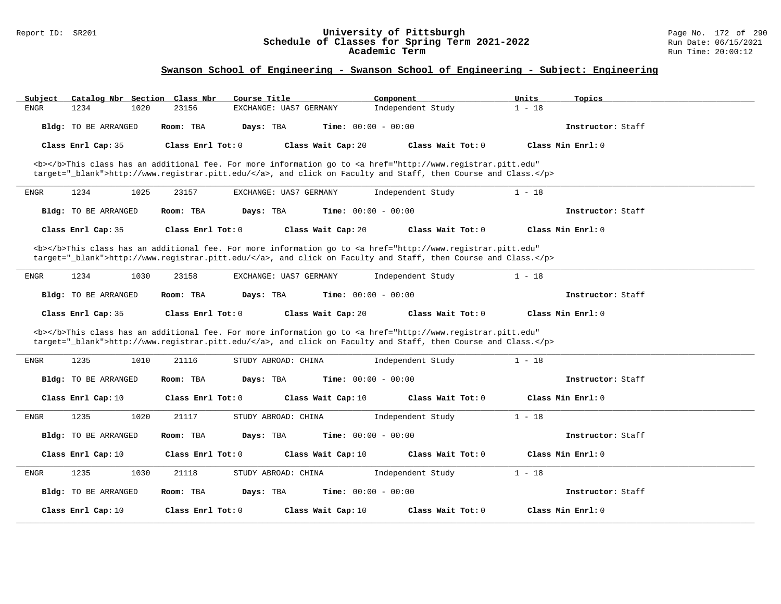#### Report ID: SR201 **University of Pittsburgh** Page No. 172 of 290 **Schedule of Classes for Spring Term 2021-2022** Run Date: 06/15/2021 **Academic Term** Run Time: 20:00:12

| Subject                     | Catalog Nbr Section Class Nbr<br>Course Title                                                                                                                                                                                      | Component                    | Units<br>Topics   |  |
|-----------------------------|------------------------------------------------------------------------------------------------------------------------------------------------------------------------------------------------------------------------------------|------------------------------|-------------------|--|
| 1234<br><b>ENGR</b><br>1020 | 23156<br>EXCHANGE: UAS7 GERMANY                                                                                                                                                                                                    | Independent Study            | $1 - 18$          |  |
| Bldg: TO BE ARRANGED        | Room: TBA<br>Days: TBA                                                                                                                                                                                                             | <b>Time:</b> $00:00 - 00:00$ | Instructor: Staff |  |
| Class Enrl Cap: 35          | Class Enrl Tot: 0<br>Class Wait Cap: 20                                                                                                                                                                                            | Class Wait Tot: 0            | Class Min Enrl: 0 |  |
|                             | <b></b> This class has an additional fee. For more information go to <a <br="" href="http://www.registrar.pitt.edu">target="_blank"&gt;http://www.registrar.pitt.edu/</a> , and click on Faculty and Staff, then Course and Class. |                              |                   |  |
| 1234<br>1025<br><b>ENGR</b> | 23157<br>EXCHANGE: UAS7 GERMANY                                                                                                                                                                                                    | Independent Study            | $1 - 18$          |  |
| Bldg: TO BE ARRANGED        | Room: TBA<br>Days: TBA                                                                                                                                                                                                             | <b>Time:</b> $00:00 - 00:00$ | Instructor: Staff |  |
| Class Enrl Cap: 35          | Class Enrl Tot: 0<br>Class Wait Cap: 20                                                                                                                                                                                            | Class Wait Tot: 0            | Class Min Enrl: 0 |  |
|                             | <b></b> This class has an additional fee. For more information go to <a <br="" href="http://www.registrar.pitt.edu">target="_blank"&gt;http://www.registrar.pitt.edu/</a> , and click on Faculty and Staff, then Course and Class. |                              |                   |  |
| 1234<br>1030<br>ENGR        | 23158<br>EXCHANGE: UAS7 GERMANY                                                                                                                                                                                                    | Independent Study            | $1 - 18$          |  |
| Bldg: TO BE ARRANGED        | Room: TBA<br>Days: TBA                                                                                                                                                                                                             | <b>Time:</b> $00:00 - 00:00$ | Instructor: Staff |  |
|                             |                                                                                                                                                                                                                                    |                              |                   |  |
| Class Enrl Cap: 35          | Class Enrl Tot: 0<br>Class Wait Cap: 20                                                                                                                                                                                            | Class Wait Tot: 0            | Class Min Enrl: 0 |  |
|                             | <b></b> This class has an additional fee. For more information go to <a <br="" href="http://www.registrar.pitt.edu">target="_blank"&gt;http://www.registrar.pitt.edu/</a> , and click on Faculty and Staff, then Course and Class. |                              |                   |  |
| 1235<br>1010<br><b>ENGR</b> | 21116<br>STUDY ABROAD: CHINA                                                                                                                                                                                                       | Independent Study            | $1 - 18$          |  |
| <b>Bldg:</b> TO BE ARRANGED | Room: TBA<br>Days: TBA                                                                                                                                                                                                             | <b>Time:</b> $00:00 - 00:00$ | Instructor: Staff |  |
| Class Enrl Cap: 10          | Class Wait Cap: 10<br>Class Enrl Tot: 0                                                                                                                                                                                            | Class Wait Tot: 0            | Class Min Enrl: 0 |  |
| 1235<br>ENGR<br>1020        | 21117<br>STUDY ABROAD: CHINA                                                                                                                                                                                                       | Independent Study            | $1 - 18$          |  |
| <b>Bldg:</b> TO BE ARRANGED | Room: TBA<br>Days: TBA                                                                                                                                                                                                             | <b>Time:</b> $00:00 - 00:00$ | Instructor: Staff |  |
| Class Enrl Cap: 10          | Class Enrl Tot: 0<br>Class Wait Cap: 10                                                                                                                                                                                            | Class Wait Tot: 0            | Class Min Enrl: 0 |  |
| 1235<br>1030<br>ENGR        | STUDY ABROAD: CHINA<br>21118                                                                                                                                                                                                       | Independent Study            | $1 - 18$          |  |
| Bldg: TO BE ARRANGED        | Room: TBA<br>Days: TBA                                                                                                                                                                                                             | <b>Time:</b> $00:00 - 00:00$ | Instructor: Staff |  |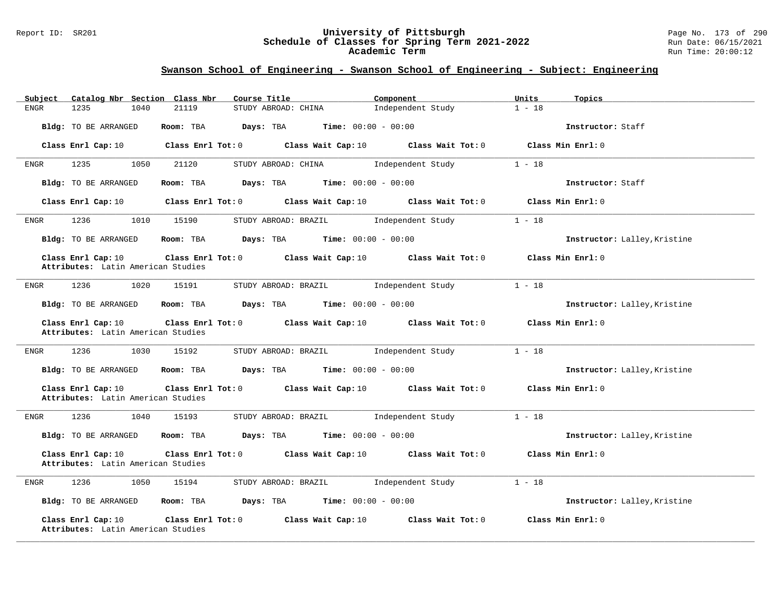#### Report ID: SR201 **University of Pittsburgh** Page No. 173 of 290 **Schedule of Classes for Spring Term 2021-2022** Run Date: 06/15/2021 **Academic Term** Run Time: 20:00:12

| Catalog Nbr Section Class Nbr<br>Subject                 | Course Title                                               | Component                                | Units<br>Topics              |
|----------------------------------------------------------|------------------------------------------------------------|------------------------------------------|------------------------------|
| 1235<br>1040<br>ENGR                                     | 21119<br>STUDY ABROAD: CHINA                               | Independent Study                        | $1 - 18$                     |
| Bldg: TO BE ARRANGED                                     | Room: TBA<br>Days: TBA                                     | $Time: 00:00 - 00:00$                    | Instructor: Staff            |
| Class Enrl Cap: 10                                       | $Class$ $Enrl$ $Tot: 0$                                    | Class Wait Cap: 10 Class Wait Tot: 0     | Class Min Enrl: 0            |
| 1235<br>1050<br>ENGR                                     | STUDY ABROAD: CHINA<br>21120                               | Independent Study                        | $1 - 18$                     |
| Bldg: TO BE ARRANGED                                     | $Days: TBA$ Time: $00:00 - 00:00$<br>Room: TBA             |                                          | Instructor: Staff            |
| Class Enrl Cap: 10                                       | Class Enrl Tot: 0<br>Class Wait Cap: 10                    | Class Wait Tot: 0                        | Class Min Enrl: 0            |
| 1236<br>1010<br><b>ENGR</b>                              | 15190<br>STUDY ABROAD: BRAZIL                              | Independent Study                        | $1 - 18$                     |
| Bldg: TO BE ARRANGED                                     | Room: TBA<br>Days: TBA                                     | <b>Time:</b> $00:00 - 00:00$             | Instructor: Lalley, Kristine |
| Class Enrl Cap: 10<br>Attributes: Latin American Studies | Class Enrl Tot: 0<br>Class Wait Cap: 10                    | Class Wait Tot: 0                        | Class Min Enrl: 0            |
| 1236<br>1020<br>ENGR                                     | 15191<br>STUDY ABROAD: BRAZIL                              | Independent Study                        | $1 - 18$                     |
| Bldg: TO BE ARRANGED                                     | Room: TBA<br><b>Days:</b> TBA <b>Time:</b> $00:00 - 00:00$ |                                          | Instructor: Lalley, Kristine |
| Class Enrl Cap: 10<br>Attributes: Latin American Studies | Class Enrl Tot: 0                                          | Class Wait Cap: $10$ Class Wait Tot: $0$ | Class Min Enrl: 0            |
| 1236<br>1030<br>ENGR                                     | 15192<br>STUDY ABROAD: BRAZIL                              | Independent Study                        | $1 - 18$                     |
| Bldg: TO BE ARRANGED                                     | Room: TBA<br>Days: TBA                                     | $Time: 00:00 - 00:00$                    | Instructor: Lalley, Kristine |
| Class Enrl Cap: 10<br>Attributes: Latin American Studies | Class Enrl Tot: 0<br>Class Wait Cap: 10                    | Class Wait Tot: 0                        | Class Min Enrl: 0            |
| 1236<br>1040<br>ENGR                                     | 15193<br>STUDY ABROAD: BRAZIL                              | Independent Study                        | $1 - 18$                     |
| Bldg: TO BE ARRANGED                                     | <b>Days:</b> TBA <b>Time:</b> $00:00 - 00:00$<br>Room: TBA |                                          | Instructor: Lalley, Kristine |
| Class Enrl Cap: 10<br>Attributes: Latin American Studies | Class Enrl Tot: 0 Class Wait Cap: 10 Class Wait Tot: 0     |                                          | Class Min Enrl: 0            |
| 1236<br>1050<br>ENGR                                     | 15194<br>STUDY ABROAD: BRAZIL                              | Independent Study                        | $1 - 18$                     |
| Bldg: TO BE ARRANGED                                     | Room: TBA<br>Days: TBA                                     | $Time: 00:00 - 00:00$                    | Instructor: Lalley, Kristine |
| Class Enrl Cap: 10<br>Attributes: Latin American Studies | Class Enrl Tot: 0<br>Class Wait Cap: 10                    | Class Wait Tot: 0                        | Class Min Enrl: 0            |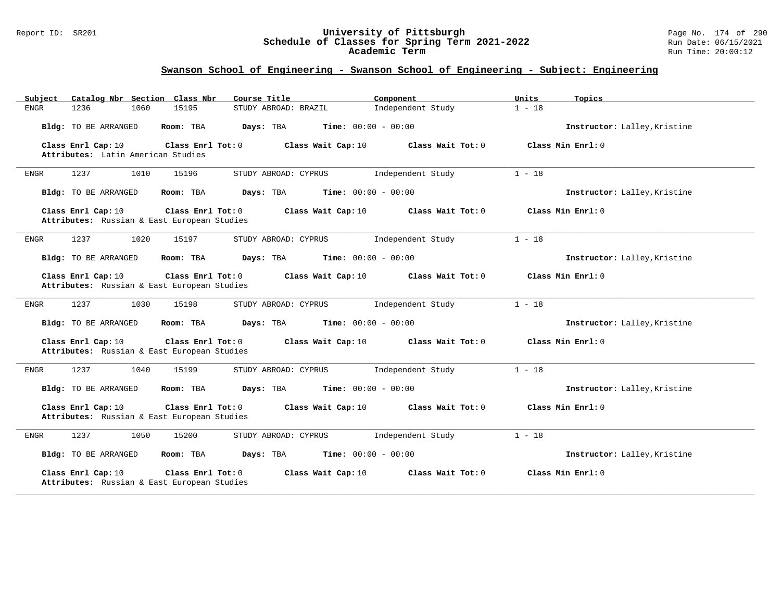#### Report ID: SR201 **University of Pittsburgh** Page No. 174 of 290 **Schedule of Classes for Spring Term 2021-2022** Run Date: 06/15/2021 **Academic Term** Run Time: 20:00:12

| Catalog Nbr Section Class Nbr<br>Subject                                                 | Course Title<br>Component                 | Units<br>Topics              |
|------------------------------------------------------------------------------------------|-------------------------------------------|------------------------------|
| 1060<br><b>ENGR</b><br>1236<br>15195                                                     | Independent Study<br>STUDY ABROAD: BRAZIL | $1 - 18$                     |
| Bldg: TO BE ARRANGED<br>Room: TBA                                                        | Time: $00:00 - 00:00$<br>Days: TBA        | Instructor: Lalley, Kristine |
| Class Enrl Cap: 10<br>Class Enrl Tot: 0<br>Attributes: Latin American Studies            | Class Wait Cap: 10<br>Class Wait Tot: 0   | Class Min Enrl: 0            |
| 1237<br>1010<br>15196<br>ENGR                                                            | Independent Study<br>STUDY ABROAD: CYPRUS | $1 - 18$                     |
| Bldg: TO BE ARRANGED<br>Room: TBA                                                        | <b>Time:</b> $00:00 - 00:00$<br>Days: TBA | Instructor: Lalley, Kristine |
| Class Enrl Cap: 10<br>Class Enrl Tot: 0<br>Attributes: Russian & East European Studies   | Class Wait Cap: 10<br>Class Wait Tot: 0   | Class Min Enrl: 0            |
| 1237<br>1020<br>15197<br>ENGR                                                            | STUDY ABROAD: CYPRUS<br>Independent Study | $1 - 18$                     |
| Bldg: TO BE ARRANGED<br>Room: TBA                                                        | <b>Time:</b> $00:00 - 00:00$<br>Days: TBA | Instructor: Lalley, Kristine |
| Class Enrl Cap: 10<br>Class Enrl Tot: $0$<br>Attributes: Russian & East European Studies | Class Wait Cap: 10<br>Class Wait Tot: 0   | Class Min Enrl: 0            |
| 1237<br>1030<br>ENGR<br>15198                                                            | STUDY ABROAD: CYPRUS<br>Independent Study | $1 - 18$                     |
| Bldg: TO BE ARRANGED<br>Room: TBA                                                        | Days: TBA<br><b>Time:</b> $00:00 - 00:00$ | Instructor: Lalley, Kristine |
| Class Enrl Cap: 10<br>Class Enrl Tot: 0<br>Attributes: Russian & East European Studies   | Class Wait Cap: 10<br>Class Wait Tot: 0   | Class Min Enrl: 0            |
| 1237<br><b>ENGR</b><br>1040<br>15199                                                     | STUDY ABROAD: CYPRUS<br>Independent Study | $1 - 18$                     |
| Bldg: TO BE ARRANGED<br>Room: TBA                                                        | Days: TBA<br><b>Time:</b> $00:00 - 00:00$ | Instructor: Lalley, Kristine |
| Class Enrl Cap: 10<br>Class Enrl Tot: 0<br>Attributes: Russian & East European Studies   | Class Wait Cap: 10<br>Class Wait Tot: 0   | Class Min Enrl: 0            |
| 1237<br>1050<br>15200<br><b>ENGR</b>                                                     | STUDY ABROAD: CYPRUS<br>Independent Study | $1 - 18$                     |
| Bldg: TO BE ARRANGED<br>Room: TBA                                                        | Time: $00:00 - 00:00$<br>Days: TBA        | Instructor: Lalley, Kristine |
| Class Enrl Cap: 10<br>Class Enrl Tot: 0<br>Attributes: Russian & East European Studies   | Class Wait Cap: 10<br>Class Wait Tot: 0   | Class Min Enrl: 0            |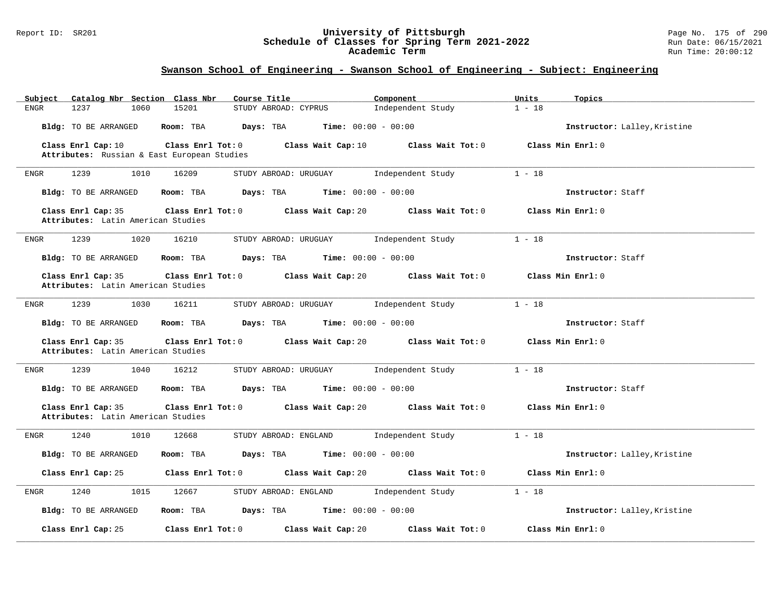#### Report ID: SR201 **University of Pittsburgh** Page No. 175 of 290 **Schedule of Classes for Spring Term 2021-2022** Run Date: 06/15/2021 **Academic Term** Run Time: 20:00:12

| Catalog Nbr Section Class Nbr<br>Subject                 | Course Title                                               | Component         | Units<br>Topics              |
|----------------------------------------------------------|------------------------------------------------------------|-------------------|------------------------------|
| 1237<br>1060<br><b>ENGR</b>                              | 15201<br>STUDY ABROAD: CYPRUS                              | Independent Study | $1 - 18$                     |
| Bldg: TO BE ARRANGED                                     | Room: TBA<br>Days: TBA<br><b>Time:</b> $00:00 - 00:00$     |                   | Instructor: Lalley, Kristine |
| Class Enrl Cap: 10                                       | Class Enrl Tot: 0<br>Class Wait Cap: 10                    | Class Wait Tot: 0 | Class Min Enrl: 0            |
| Attributes: Russian & East European Studies              |                                                            |                   |                              |
| 1239<br>1010<br>ENGR                                     | 16209<br>STUDY ABROAD: URUGUAY                             | Independent Study | $1 - 18$                     |
| Bldg: TO BE ARRANGED                                     | <b>Time:</b> $00:00 - 00:00$<br>Room: TBA<br>Days: TBA     |                   | Instructor: Staff            |
| Class Enrl Cap: 35<br>Attributes: Latin American Studies | Class Enrl Tot: 0<br>Class Wait Cap: 20                    | Class Wait Tot: 0 | Class Min Enrl: 0            |
| 1239<br>1020<br>ENGR                                     | 16210<br>STUDY ABROAD: URUGUAY                             | Independent Study | $1 - 18$                     |
| <b>Bldg:</b> TO BE ARRANGED                              | Room: TBA<br>Days: TBA<br><b>Time:</b> $00:00 - 00:00$     |                   | Instructor: Staff            |
| Class Enrl Cap: 35                                       | Class Wait Cap: 20<br>Class Enrl Tot: 0                    | Class Wait Tot: 0 | Class Min Enrl: 0            |
| Attributes: Latin American Studies                       |                                                            |                   |                              |
| 1239<br>1030<br>ENGR                                     | 16211<br>STUDY ABROAD: URUGUAY                             | Independent Study | $1 - 18$                     |
| Bldg: TO BE ARRANGED                                     | Room: TBA<br>Days: TBA<br><b>Time:</b> $00:00 - 00:00$     |                   | Instructor: Staff            |
| Class Enrl Cap: 35<br>Attributes: Latin American Studies | Class Enrl Tot: 0<br>Class Wait Cap: 20                    | Class Wait Tot: 0 | Class Min Enrl: 0            |
| 1239<br>1040<br>ENGR                                     | 16212<br>STUDY ABROAD: URUGUAY                             | Independent Study | $1 - 18$                     |
| Bldg: TO BE ARRANGED                                     | <b>Days:</b> TBA <b>Time:</b> $00:00 - 00:00$<br>Room: TBA |                   | Instructor: Staff            |
| Class Enrl Cap: 35<br>Attributes: Latin American Studies | Class Enrl Tot: 0<br>Class Wait Cap: 20                    | Class Wait Tot: 0 | Class Min Enrl: 0            |
| 1240<br>1010<br>ENGR                                     | 12668<br>STUDY ABROAD: ENGLAND                             | Independent Study | $1 - 18$                     |
| Bldg: TO BE ARRANGED                                     | $Time: 00:00 - 00:00$<br>Room: TBA<br>Days: TBA            |                   | Instructor: Lalley, Kristine |
| Class Enrl Cap: 25                                       | Class Enrl Tot: 0<br>Class Wait Cap: 20                    | Class Wait Tot: 0 | Class Min Enrl: 0            |
| 1240<br>1015<br>ENGR                                     | 12667<br>STUDY ABROAD: ENGLAND                             | Independent Study | $1 - 18$                     |
| <b>Bldg:</b> TO BE ARRANGED                              | Room: TBA<br>Days: TBA<br><b>Time:</b> $00:00 - 00:00$     |                   | Instructor: Lalley, Kristine |
| Class Enrl Cap: 25                                       | Class Enrl Tot: 0<br>Class Wait Cap: 20                    | Class Wait Tot: 0 | Class Min Enrl: 0            |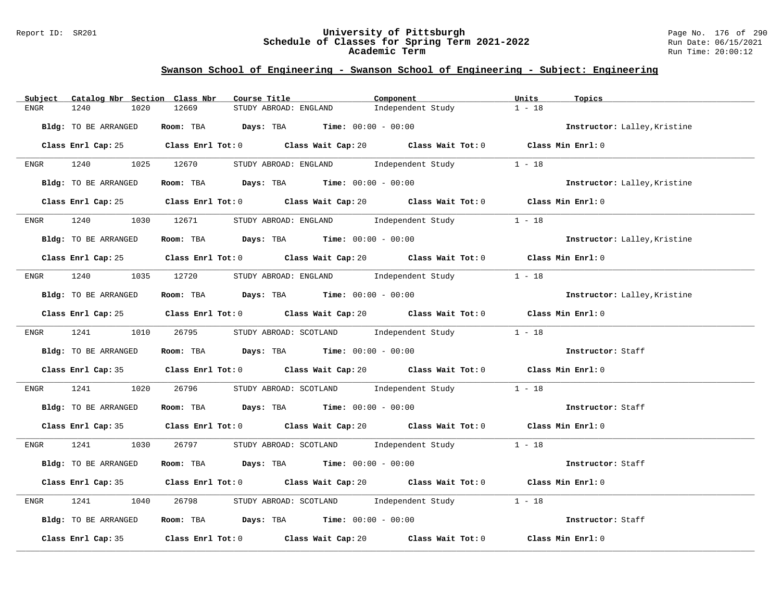#### Report ID: SR201 **University of Pittsburgh** Page No. 176 of 290 **Schedule of Classes for Spring Term 2021-2022** Run Date: 06/15/2021 **Academic Term** Run Time: 20:00:12

| Catalog Nbr Section Class Nbr<br>Subject | Course Title                                                                                | Component                                       | Units<br>Topics              |
|------------------------------------------|---------------------------------------------------------------------------------------------|-------------------------------------------------|------------------------------|
| 1240<br><b>ENGR</b><br>1020              | 12669<br>STUDY ABROAD: ENGLAND                                                              | Independent Study                               | $1 - 18$                     |
| Bldg: TO BE ARRANGED                     | Room: TBA $Days: TBA$ Time: $00:00 - 00:00$                                                 |                                                 | Instructor: Lalley, Kristine |
|                                          | Class Enrl Cap: 25 Class Enrl Tot: 0 Class Wait Cap: 20 Class Wait Tot: 0 Class Min Enrl: 0 |                                                 |                              |
| ENGR 1240 1025 12670                     |                                                                                             | STUDY ABROAD: ENGLAND Independent Study         | $1 - 18$                     |
| Bldg: TO BE ARRANGED                     | <b>Room:</b> TBA <b>Days:</b> TBA <b>Time:</b> 00:00 - 00:00                                |                                                 | Instructor: Lalley, Kristine |
|                                          | Class Enrl Cap: 25 Class Enrl Tot: 0 Class Wait Cap: 20 Class Wait Tot: 0 Class Min Enrl: 0 |                                                 |                              |
| 1240<br>ENGR                             | 1030 12671 STUDY ABROAD: ENGLAND Independent Study                                          |                                                 | $1 - 18$                     |
| Bldg: TO BE ARRANGED                     | Room: TBA $Days:$ TBA $Time: 00:00 - 00:00$                                                 |                                                 | Instructor: Lalley, Kristine |
|                                          | Class Enrl Cap: 25 Class Enrl Tot: 0 Class Wait Cap: 20 Class Wait Tot: 0 Class Min Enrl: 0 |                                                 |                              |
|                                          | ENGR 1240 1035 12720 STUDY ABROAD: ENGLAND Independent Study                                |                                                 | $1 - 18$                     |
| Bldg: TO BE ARRANGED                     | Room: TBA $Days:$ TBA $Time: 00:00 - 00:00$                                                 |                                                 | Instructor: Lalley, Kristine |
|                                          | Class Enrl Cap: 25 Class Enrl Tot: 0 Class Wait Cap: 20 Class Wait Tot: 0 Class Min Enrl: 0 |                                                 |                              |
|                                          | ENGR 1241 1010 26795 STUDY ABROAD: SCOTLAND Independent Study 1 - 18                        |                                                 |                              |
| Bldg: TO BE ARRANGED                     | Room: TBA $\rule{1em}{0.15mm}$ Days: TBA Time: $00:00 - 00:00$                              |                                                 | Instructor: Staff            |
|                                          | Class Enrl Cap: 35 Class Enrl Tot: 0 Class Wait Cap: 20 Class Wait Tot: 0 Class Min Enrl: 0 |                                                 |                              |
| 1241<br>1020<br>ENGR                     | 26796                                                                                       | STUDY ABROAD: SCOTLAND Independent Study 1 - 18 |                              |
| Bldg: TO BE ARRANGED                     | Room: TBA $Days:$ TBA $Time: 00:00 - 00:00$                                                 |                                                 | Instructor: Staff            |
|                                          | Class Enrl Cap: 35 Class Enrl Tot: 0 Class Wait Cap: 20 Class Wait Tot: 0 Class Min Enrl: 0 |                                                 |                              |
| ENGR 1241 1030 26797                     |                                                                                             | STUDY ABROAD: SCOTLAND Independent Study 1 - 18 |                              |
| Bldg: TO BE ARRANGED                     | Room: TBA $Days:$ TBA $Time:$ 00:00 - 00:00                                                 |                                                 | Instructor: Staff            |
|                                          | Class Enrl Cap: 35 Class Enrl Tot: 0 Class Wait Cap: 20 Class Wait Tot: 0 Class Min Enrl: 0 |                                                 |                              |
| 1241<br>1040<br>ENGR                     | 26798                                                                                       | STUDY ABROAD: SCOTLAND Independent Study        | $1 - 18$                     |
| Bldg: TO BE ARRANGED                     | Room: TBA $\rule{1em}{0.15mm}$ Days: TBA Time: $00:00 - 00:00$                              |                                                 | Instructor: Staff            |
|                                          | Class Enrl Cap: 35 Class Enrl Tot: 0 Class Wait Cap: 20 Class Wait Tot: 0 Class Min Enrl: 0 |                                                 |                              |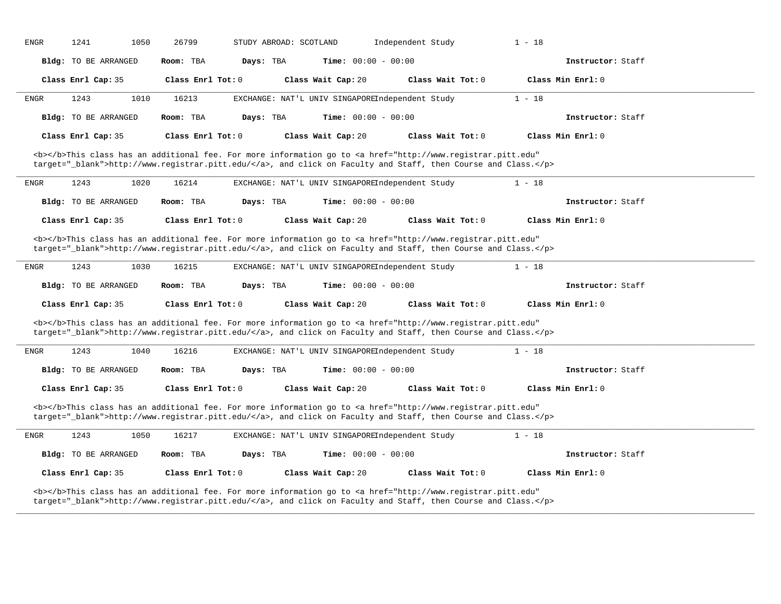| ENGR                 | 1050<br>26799                                                                                                                                                                                                                      | STUDY ABROAD: SCOTLAND                          | Independent Study<br>$1 - 18$ |                   |
|----------------------|------------------------------------------------------------------------------------------------------------------------------------------------------------------------------------------------------------------------------------|-------------------------------------------------|-------------------------------|-------------------|
| Bldg: TO BE ARRANGED | Room: TBA<br>Days: TBA                                                                                                                                                                                                             | <b>Time:</b> $00:00 - 00:00$                    |                               | Instructor: Staff |
| Class Enrl Cap: 35   | Class Enrl Tot: 0                                                                                                                                                                                                                  | Class Wait Cap: 20                              | Class Wait Tot: 0             | Class Min Enrl: 0 |
| 1243<br>ENGR         | 16213<br>1010                                                                                                                                                                                                                      | EXCHANGE: NAT'L UNIV SINGAPOREIndependent Study | $1 - 18$                      |                   |
| Bldg: TO BE ARRANGED | Room: TBA<br>Days: TBA                                                                                                                                                                                                             | Time: $00:00 - 00:00$                           |                               | Instructor: Staff |
| Class Enrl Cap: 35   | Class Enrl Tot: 0                                                                                                                                                                                                                  | Class Wait Cap: 20                              | Class Wait Tot: 0             | Class Min Enrl: 0 |
|                      | <b></b> This class has an additional fee. For more information go to <a <br="" href="http://www.registrar.pitt.edu">target="_blank"&gt;http://www.registrar.pitt.edu/</a> , and click on Faculty and Staff, then Course and Class. |                                                 |                               |                   |
| 1243<br><b>ENGR</b>  | 1020<br>16214                                                                                                                                                                                                                      | EXCHANGE: NAT'L UNIV SINGAPOREIndependent Study | $1 - 18$                      |                   |
| Bldg: TO BE ARRANGED | Room: TBA<br>Days: TBA                                                                                                                                                                                                             | <b>Time:</b> $00:00 - 00:00$                    |                               | Instructor: Staff |
| Class Enrl Cap: 35   | Class Enrl Tot: 0                                                                                                                                                                                                                  | Class Wait Cap: 20                              | Class Wait Tot: 0             | Class Min Enrl: 0 |
|                      | <b></b> This class has an additional fee. For more information go to <a <br="" href="http://www.registrar.pitt.edu">target="_blank"&gt;http://www.registrar.pitt.edu/</a> , and click on Faculty and Staff, then Course and Class. |                                                 |                               |                   |
| 1243<br>ENGR         | 1030<br>16215                                                                                                                                                                                                                      | EXCHANGE: NAT'L UNIV SINGAPOREIndependent Study | $1 - 18$                      |                   |
| Bldg: TO BE ARRANGED | Room: TBA<br>Days: TBA                                                                                                                                                                                                             | Time: $00:00 - 00:00$                           |                               | Instructor: Staff |
|                      |                                                                                                                                                                                                                                    |                                                 |                               |                   |
| Class Enrl Cap: 35   | Class Enrl Tot: 0                                                                                                                                                                                                                  | Class Wait Cap: 20                              | Class Wait Tot: 0             | Class Min Enrl: 0 |
|                      | <b></b> This class has an additional fee. For more information go to <a <br="" href="http://www.registrar.pitt.edu">target="_blank"&gt;http://www.registrar.pitt.edu/</a> , and click on Faculty and Staff, then Course and Class. |                                                 |                               |                   |
| 1243<br>ENGR         | 1040<br>16216                                                                                                                                                                                                                      | EXCHANGE: NAT'L UNIV SINGAPOREIndependent Study | $1 - 18$                      |                   |
| Bldg: TO BE ARRANGED | Room: TBA<br>Days: TBA                                                                                                                                                                                                             | <b>Time:</b> $00:00 - 00:00$                    |                               | Instructor: Staff |
| Class Enrl Cap: 35   | Class Enrl Tot: $0$                                                                                                                                                                                                                | Class Wait Cap: 20                              | Class Wait Tot: $0$           | Class Min Enrl: 0 |
|                      | <b></b> This class has an additional fee. For more information go to <a <br="" href="http://www.registrar.pitt.edu">target="_blank"&gt;http://www.registrar.pitt.edu/</a> , and click on Faculty and Staff, then Course and Class. |                                                 |                               |                   |
| 1243<br>ENGR         | 1050<br>16217                                                                                                                                                                                                                      | EXCHANGE: NAT'L UNIV SINGAPOREIndependent Study | $1 - 18$                      |                   |
| Bldg: TO BE ARRANGED | Room: TBA<br>Days: TBA                                                                                                                                                                                                             | Time: $00:00 - 00:00$                           |                               | Instructor: Staff |
| Class Enrl Cap: 35   | Class Enrl Tot: 0                                                                                                                                                                                                                  | Class Wait Cap: 20                              | Class Wait Tot: 0             | Class Min Enrl: 0 |

**\_\_\_\_\_\_\_\_\_\_\_\_\_\_\_\_\_\_\_\_\_\_\_\_\_\_\_\_\_\_\_\_\_\_\_\_\_\_\_\_\_\_\_\_\_\_\_\_\_\_\_\_\_\_\_\_\_\_\_\_\_\_\_\_\_\_\_\_\_\_\_\_\_\_\_\_\_\_\_\_\_\_\_\_\_\_\_\_\_\_\_\_\_\_\_\_\_\_\_\_\_\_\_\_\_\_\_\_\_\_\_\_\_\_\_\_\_\_\_\_\_\_\_\_\_\_\_\_\_\_\_\_\_\_\_\_\_\_\_\_\_\_\_\_\_\_\_\_\_\_\_\_\_\_\_\_**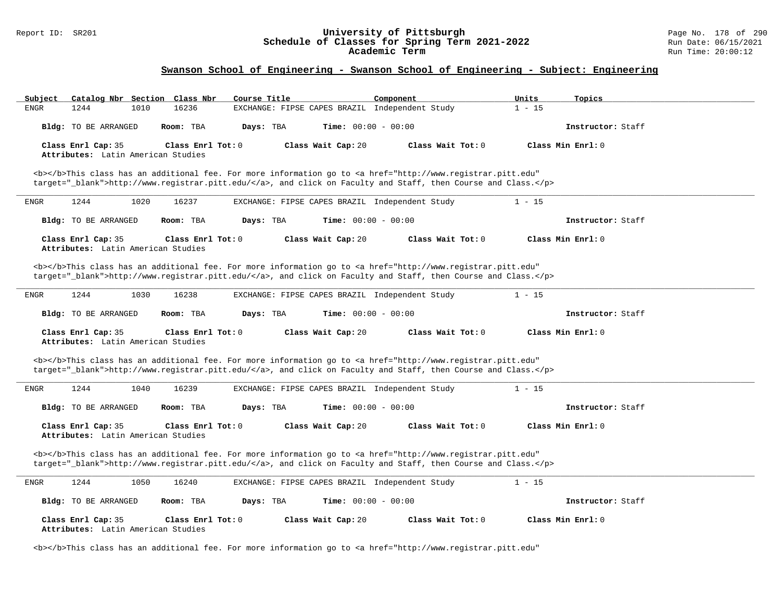# Report ID: SR201 **1998** Consequence of Classes for Spring Term 2021-2022 Page No. 178 of 290 Page No. 178 of 290<br>**Schedule of Classes for Spring Term 2021-2022** Run Date: 06/15/2021 Schedule of Classes for Spring Term 2021-2022<br>Academic Term

### **Swanson School of Engineering - Swanson School of Engineering - Subject: Engineering**

| Subject<br>Catalog Nbr Section Class Nbr                                                                                                                                                                                           | Course Title                                   | Component         | Units<br>Topics   |
|------------------------------------------------------------------------------------------------------------------------------------------------------------------------------------------------------------------------------------|------------------------------------------------|-------------------|-------------------|
| 16236<br><b>ENGR</b><br>1244<br>1010                                                                                                                                                                                               | EXCHANGE: FIPSE CAPES BRAZIL Independent Study |                   | $1 - 15$          |
| Bldg: TO BE ARRANGED<br>Room: TBA                                                                                                                                                                                                  | <b>Time:</b> $00:00 - 00:00$<br>Days: TBA      |                   | Instructor: Staff |
| Class Enrl Cap: 35<br>Class Enrl Tot: 0                                                                                                                                                                                            | Class Wait Cap: 20                             | Class Wait Tot: 0 | Class Min Enrl: 0 |
| Attributes: Latin American Studies                                                                                                                                                                                                 |                                                |                   |                   |
| <b></b> This class has an additional fee. For more information go to <a <br="" href="http://www.registrar.pitt.edu">target="_blank"&gt;http://www.registrar.pitt.edu/</a> , and click on Faculty and Staff, then Course and Class. |                                                |                   |                   |
| 1244<br>1020<br>16237<br>ENGR                                                                                                                                                                                                      | EXCHANGE: FIPSE CAPES BRAZIL Independent Study |                   | $1 - 15$          |
| Bldg: TO BE ARRANGED<br>Room: TBA                                                                                                                                                                                                  | Time: $00:00 - 00:00$<br>Days: TBA             |                   | Instructor: Staff |
| Class Enrl Cap: 35<br>Class Enrl Tot: 0                                                                                                                                                                                            | Class Wait Cap: 20                             | Class Wait Tot: 0 | Class Min Enrl: 0 |
| Attributes: Latin American Studies                                                                                                                                                                                                 |                                                |                   |                   |
| <b></b> This class has an additional fee. For more information go to <a <="" href="http://www.registrar.pitt.edu" td=""><td></td><td></td><td></td></a>                                                                            |                                                |                   |                   |
| target="_blank">http://www.registrar.pitt.edu/, and click on Faculty and Staff, then Course and Class.                                                                                                                             |                                                |                   |                   |
| 1244<br>1030<br>16238<br>ENGR                                                                                                                                                                                                      | EXCHANGE: FIPSE CAPES BRAZIL Independent Study |                   | $1 - 15$          |
| Bldg: TO BE ARRANGED<br>Room: TBA                                                                                                                                                                                                  | Days: TBA<br>Time: $00:00 - 00:00$             |                   | Instructor: Staff |
| Class Enrl Cap: 35<br>Class Enrl Tot: 0<br>Attributes: Latin American Studies                                                                                                                                                      | Class Wait Cap: 20                             | Class Wait Tot: 0 | Class Min Enrl: 0 |
| <b></b> This class has an additional fee. For more information go to <a <="" href="http://www.registrar.pitt.edu" td=""><td></td><td></td><td></td></a>                                                                            |                                                |                   |                   |
| target="_blank">http://www.registrar.pitt.edu/, and click on Faculty and Staff, then Course and Class.                                                                                                                             |                                                |                   |                   |
| 1244<br>1040<br>16239<br>ENGR                                                                                                                                                                                                      | EXCHANGE: FIPSE CAPES BRAZIL Independent Study |                   | $1 - 15$          |
| Bldg: TO BE ARRANGED<br>Room: TBA                                                                                                                                                                                                  | Days: TBA<br><b>Time:</b> $00:00 - 00:00$      |                   | Instructor: Staff |
| Class Enrl Cap: 35<br>Class Enrl Tot: 0<br>Attributes: Latin American Studies                                                                                                                                                      | Class Wait Cap: 20                             | Class Wait Tot: 0 | Class Min Enrl: 0 |
| <b></b> This class has an additional fee. For more information go to <a <="" href="http://www.registrar.pitt.edu" td=""><td></td><td></td><td></td></a>                                                                            |                                                |                   |                   |
| target="_blank">http://www.registrar.pitt.edu/, and click on Faculty and Staff, then Course and Class.                                                                                                                             |                                                |                   |                   |
| 1244<br><b>ENGR</b><br>1050<br>16240                                                                                                                                                                                               | EXCHANGE: FIPSE CAPES BRAZIL Independent Study |                   | $1 - 15$          |
| Bldg: TO BE ARRANGED<br>Room: TBA                                                                                                                                                                                                  | Days: TBA<br><b>Time:</b> $00:00 - 00:00$      |                   | Instructor: Staff |
| Class Enrl Cap: 35<br>Class Enrl Tot: 0                                                                                                                                                                                            | Class Wait Cap: 20                             | Class Wait Tot: 0 | Class Min Enrl: 0 |
| Attributes: Latin American Studies                                                                                                                                                                                                 |                                                |                   |                   |

<b></b>This class has an additional fee. For more information go to <a href="http://www.registrar.pitt.edu"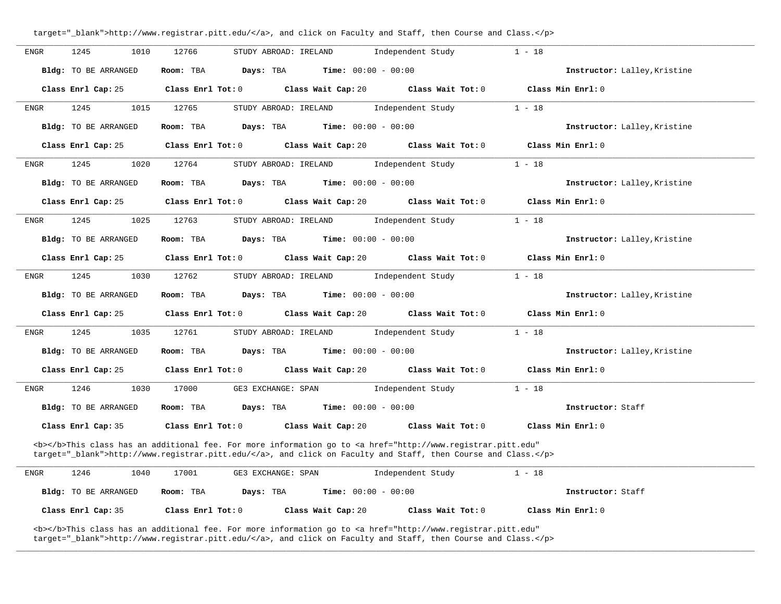| <b>ENGR</b>  | 1245<br>1010                | 12766<br>STUDY ABROAD: IRELAND<br>Independent Study                                                                                                                                                                                | $1 - 18$                     |
|--------------|-----------------------------|------------------------------------------------------------------------------------------------------------------------------------------------------------------------------------------------------------------------------------|------------------------------|
|              | <b>Bldg:</b> TO BE ARRANGED | <b>Time:</b> $00:00 - 00:00$<br>Days: TBA<br>Room: TBA                                                                                                                                                                             | Instructor: Lalley, Kristine |
|              | Class Enrl Cap: 25          | Class Enrl Tot: 0<br>Class Wait Cap: 20<br>Class Wait Tot: 0                                                                                                                                                                       | Class Min Enrl: 0            |
| <b>ENGR</b>  | 1245<br>1015                | 12765<br>STUDY ABROAD: IRELAND<br>Independent Study                                                                                                                                                                                | $1 - 18$                     |
|              | Bldg: TO BE ARRANGED        | Time: $00:00 - 00:00$<br>Room: TBA<br>Days: TBA                                                                                                                                                                                    | Instructor: Lalley, Kristine |
|              | Class Enrl Cap: 25          | Class Enrl Tot: 0<br>Class Wait Cap: 20<br>Class Wait Tot: 0                                                                                                                                                                       | Class Min Enrl: 0            |
| ENGR         | 1020<br>1245                | 12764<br>Independent Study<br>STUDY ABROAD: IRELAND                                                                                                                                                                                | $1 - 18$                     |
|              | Bldg: TO BE ARRANGED        | Room: TBA<br>Days: TBA<br><b>Time:</b> $00:00 - 00:00$                                                                                                                                                                             | Instructor: Lalley, Kristine |
|              | Class Enrl Cap: 25          | Class Enrl Tot: 0<br>Class Wait Cap: 20<br>Class Wait Tot: 0                                                                                                                                                                       | Class Min Enrl: 0            |
| <b>ENGR</b>  | 1245<br>1025                | 12763<br>STUDY ABROAD: IRELAND<br>Independent Study                                                                                                                                                                                | $1 - 18$                     |
|              | Bldg: TO BE ARRANGED        | Days: TBA<br><b>Time:</b> $00:00 - 00:00$<br>Room: TBA                                                                                                                                                                             | Instructor: Lalley, Kristine |
|              | Class Enrl Cap: 25          | Class Enrl Tot: 0<br>Class Wait Cap: 20<br>Class Wait Tot: 0                                                                                                                                                                       | Class Min Enrl: 0            |
| ENGR         | 1245<br>1030                | 12762<br>STUDY ABROAD: IRELAND<br>Independent Study                                                                                                                                                                                | $1 - 18$                     |
|              | Bldg: TO BE ARRANGED        | Room: TBA<br>Days: TBA<br><b>Time:</b> $00:00 - 00:00$                                                                                                                                                                             | Instructor: Lalley, Kristine |
|              | Class Enrl Cap: 25          | Class Enrl Tot: 0<br>Class Wait Cap: 20<br>Class Wait Tot: 0                                                                                                                                                                       | Class Min Enrl: 0            |
| ${\rm ENGR}$ | 1035<br>1245                | 12761<br>STUDY ABROAD: IRELAND<br>Independent Study                                                                                                                                                                                | $1 - 18$                     |
|              | Bldg: TO BE ARRANGED        | Room: TBA<br>Days: TBA<br><b>Time:</b> $00:00 - 00:00$                                                                                                                                                                             | Instructor: Lalley, Kristine |
|              | Class Enrl Cap: 25          | Class Wait Cap: 20<br>Class Wait Tot: 0<br>Class Enrl Tot: 0                                                                                                                                                                       | Class Min Enrl: 0            |
| ENGR         | 1246<br>1030                | Independent Study<br>17000<br>GE3 EXCHANGE: SPAN                                                                                                                                                                                   | $1 - 18$                     |
|              | Bldg: TO BE ARRANGED        | Room: TBA<br>Days: TBA<br><b>Time:</b> $00:00 - 00:00$                                                                                                                                                                             | Instructor: Staff            |
|              | Class Enrl Cap: 35          | Class Enrl Tot: 0<br>Class Wait Cap: 20<br>Class Wait Tot: 0                                                                                                                                                                       | Class Min Enrl: 0            |
|              |                             | <b></b> This class has an additional fee. For more information go to <a <br="" href="http://www.registrar.pitt.edu">target="_blank"&gt;http://www.registrar.pitt.edu/</a> , and click on Faculty and Staff, then Course and Class. |                              |
| ENGR         | 1246<br>1040                | 17001<br>GE3 EXCHANGE: SPAN<br>Independent Study                                                                                                                                                                                   | $1 - 18$                     |
|              | <b>Bldg:</b> TO BE ARRANGED | Days: TBA<br><b>Time:</b> $00:00 - 00:00$<br>Room: TBA                                                                                                                                                                             | Instructor: Staff            |
|              | Class Enrl Cap: 35          | Class Enrl Tot: 0<br>Class Wait Cap: 20<br>Class Wait Tot: 0                                                                                                                                                                       | Class Min Enrl: 0            |

**\_\_\_\_\_\_\_\_\_\_\_\_\_\_\_\_\_\_\_\_\_\_\_\_\_\_\_\_\_\_\_\_\_\_\_\_\_\_\_\_\_\_\_\_\_\_\_\_\_\_\_\_\_\_\_\_\_\_\_\_\_\_\_\_\_\_\_\_\_\_\_\_\_\_\_\_\_\_\_\_\_\_\_\_\_\_\_\_\_\_\_\_\_\_\_\_\_\_\_\_\_\_\_\_\_\_\_\_\_\_\_\_\_\_\_\_\_\_\_\_\_\_\_\_\_\_\_\_\_\_\_\_\_\_\_\_\_\_\_\_\_\_\_\_\_\_\_\_\_\_\_\_\_\_\_\_**

target="\_blank">http://www.registrar.pitt.edu/</a>, and click on Faculty and Staff, then Course and Class.</p>

<b></b>This class has an additional fee. For more information go to <a href="http://www.registrar.pitt.edu" target="\_blank">http://www.registrar.pitt.edu/</a>, and click on Faculty and Staff, then Course and Class.</p>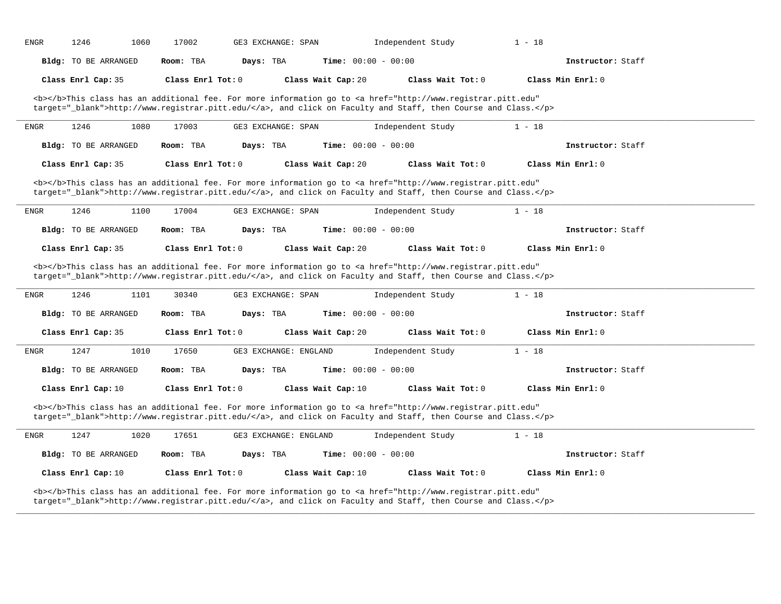| <b>ENGR</b> | 1246                        | 1060<br>17002     | GE3 EXCHANGE: SPAN    |                              | Independent Study                                                                                                                                                                                                                  | $1 - 18$          |  |
|-------------|-----------------------------|-------------------|-----------------------|------------------------------|------------------------------------------------------------------------------------------------------------------------------------------------------------------------------------------------------------------------------------|-------------------|--|
|             | Bldg: TO BE ARRANGED        | Room: TBA         | Days: TBA             | Time: $00:00 - 00:00$        |                                                                                                                                                                                                                                    | Instructor: Staff |  |
|             | Class Enrl Cap: 35          | Class Enrl Tot: 0 |                       | Class Wait Cap: 20           | Class Wait Tot: 0                                                                                                                                                                                                                  | Class Min Enrl: 0 |  |
|             |                             |                   |                       |                              | <b></b> This class has an additional fee. For more information go to <a <br="" href="http://www.registrar.pitt.edu">target="_blank"&gt;http://www.registrar.pitt.edu/</a> , and click on Faculty and Staff, then Course and Class. |                   |  |
| ENGR        | 1246                        | 1080<br>17003     | GE3 EXCHANGE: SPAN    |                              | Independent Study                                                                                                                                                                                                                  | $1 - 18$          |  |
|             | Bldg: TO BE ARRANGED        | Room: TBA         | Days: TBA             | <b>Time:</b> $00:00 - 00:00$ |                                                                                                                                                                                                                                    | Instructor: Staff |  |
|             | Class Enrl Cap: 35          | Class Enrl Tot: 0 |                       | Class Wait Cap: 20           | Class Wait Tot: 0                                                                                                                                                                                                                  | Class Min Enrl: 0 |  |
|             |                             |                   |                       |                              | <b></b> This class has an additional fee. For more information go to <a <br="" href="http://www.registrar.pitt.edu">target="_blank"&gt;http://www.registrar.pitt.edu/</a> , and click on Faculty and Staff, then Course and Class. |                   |  |
| ENGR        | 1246                        | 1100<br>17004     | GE3 EXCHANGE: SPAN    |                              | Independent Study                                                                                                                                                                                                                  | $1 - 18$          |  |
|             | Bldg: TO BE ARRANGED        | Room: TBA         | Days: TBA             | Time: $00:00 - 00:00$        |                                                                                                                                                                                                                                    | Instructor: Staff |  |
|             | Class Enrl Cap: 35          | Class Enrl Tot: 0 |                       | Class Wait Cap: 20           | Class Wait Tot: 0                                                                                                                                                                                                                  | Class Min Enrl: 0 |  |
|             |                             |                   |                       |                              | <b></b> This class has an additional fee. For more information go to <a <br="" href="http://www.registrar.pitt.edu">target="_blank"&gt;http://www.registrar.pitt.edu/</a> , and click on Faculty and Staff, then Course and Class. |                   |  |
| <b>ENGR</b> | 1246                        | 1101<br>30340     | GE3 EXCHANGE: SPAN    |                              | Independent Study                                                                                                                                                                                                                  | $1 - 18$          |  |
|             | Bldg: TO BE ARRANGED        | Room: TBA         | Days: TBA             | Time: $00:00 - 00:00$        |                                                                                                                                                                                                                                    | Instructor: Staff |  |
|             | Class Enrl Cap: 35          | Class Enrl Tot: 0 |                       | Class Wait Cap: 20           | Class Wait Tot: 0                                                                                                                                                                                                                  | Class Min Enrl: 0 |  |
| ENGR        | 1247                        | 1010<br>17650     | GE3 EXCHANGE: ENGLAND |                              | Independent Study                                                                                                                                                                                                                  | $1 - 18$          |  |
|             | Bldg: TO BE ARRANGED        | Room: TBA         | Days: TBA             | Time: $00:00 - 00:00$        |                                                                                                                                                                                                                                    | Instructor: Staff |  |
|             | Class Enrl Cap: 10          | Class Enrl Tot: 0 |                       | Class Wait Cap: 10           | Class Wait Tot: 0                                                                                                                                                                                                                  | Class Min Enrl: 0 |  |
|             |                             |                   |                       |                              | <b></b> This class has an additional fee. For more information go to <a <br="" href="http://www.registrar.pitt.edu">target="_blank"&gt;http://www.registrar.pitt.edu/</a> , and click on Faculty and Staff, then Course and Class. |                   |  |
| ENGR        |                             |                   | GE3 EXCHANGE: ENGLAND |                              | Independent Study                                                                                                                                                                                                                  | $1 - 18$          |  |
|             | 1247                        | 1020<br>17651     |                       |                              |                                                                                                                                                                                                                                    |                   |  |
|             | <b>Bldg:</b> TO BE ARRANGED | Room: TBA         | Days: TBA             | Time: $00:00 - 00:00$        |                                                                                                                                                                                                                                    | Instructor: Staff |  |
|             | Class Enrl Cap: 10          | Class Enrl Tot: 0 |                       | Class Wait Cap: 10           | Class Wait Tot: 0                                                                                                                                                                                                                  | Class Min Enrl: 0 |  |

**\_\_\_\_\_\_\_\_\_\_\_\_\_\_\_\_\_\_\_\_\_\_\_\_\_\_\_\_\_\_\_\_\_\_\_\_\_\_\_\_\_\_\_\_\_\_\_\_\_\_\_\_\_\_\_\_\_\_\_\_\_\_\_\_\_\_\_\_\_\_\_\_\_\_\_\_\_\_\_\_\_\_\_\_\_\_\_\_\_\_\_\_\_\_\_\_\_\_\_\_\_\_\_\_\_\_\_\_\_\_\_\_\_\_\_\_\_\_\_\_\_\_\_\_\_\_\_\_\_\_\_\_\_\_\_\_\_\_\_\_\_\_\_\_\_\_\_\_\_\_\_\_\_\_\_\_**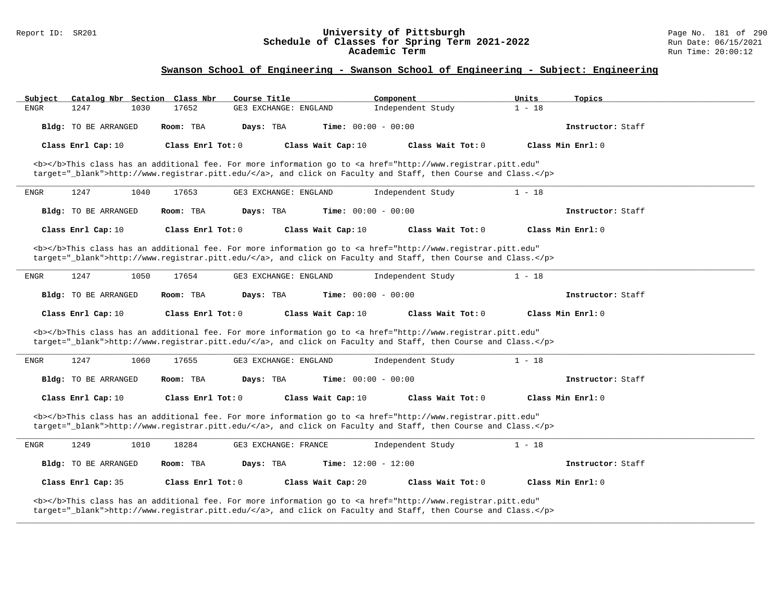#### Report ID: SR201 **University of Pittsburgh** Page No. 181 of 290 **Schedule of Classes for Spring Term 2021-2022** Run Date: 06/15/2021 **Academic Term** Run Time: 20:00:12

| Catalog Nbr Section Class Nbr<br>Subject | Course Title                                                                                                                                                                                                                       | Component<br>Units            | Topics              |
|------------------------------------------|------------------------------------------------------------------------------------------------------------------------------------------------------------------------------------------------------------------------------------|-------------------------------|---------------------|
| 1247<br>1030<br><b>ENGR</b>              | 17652<br>GE3 EXCHANGE: ENGLAND                                                                                                                                                                                                     | Independent Study<br>$1 - 18$ |                     |
| Bldg: TO BE ARRANGED                     | Room: TBA<br>Days: TBA<br><b>Time:</b> $00:00 - 00:00$                                                                                                                                                                             |                               | Instructor: Staff   |
| Class Enrl Cap: 10                       | Class Enrl Tot: 0<br>Class Wait Cap: 10                                                                                                                                                                                            | Class Wait Tot: 0             | Class Min Enrl: 0   |
|                                          | <b></b> This class has an additional fee. For more information go to <a <br="" href="http://www.registrar.pitt.edu">target="_blank"&gt;http://www.registrar.pitt.edu/</a> , and click on Faculty and Staff, then Course and Class. |                               |                     |
| 1247<br><b>ENGR</b><br>1040              | 17653<br>GE3 EXCHANGE: ENGLAND                                                                                                                                                                                                     | Independent Study<br>$1 - 18$ |                     |
| Bldg: TO BE ARRANGED                     | <b>Time:</b> $00:00 - 00:00$<br>Room: TBA<br>Days: TBA                                                                                                                                                                             |                               | Instructor: Staff   |
| Class Enrl Cap: 10                       | Class Enrl Tot: $0$<br>Class Wait Cap: 10                                                                                                                                                                                          | Class Wait Tot: $0$           | Class Min $Enr1: 0$ |
|                                          | <b></b> This class has an additional fee. For more information go to <a <br="" href="http://www.registrar.pitt.edu">target="_blank"&gt;http://www.registrar.pitt.edu/</a> , and click on Faculty and Staff, then Course and Class. |                               |                     |
| 1247<br>ENGR<br>1050                     | 17654<br>GE3 EXCHANGE: ENGLAND                                                                                                                                                                                                     | Independent Study<br>$1 - 18$ |                     |
| Bldg: TO BE ARRANGED                     | Room: TBA<br>Days: TBA<br><b>Time:</b> $00:00 - 00:00$                                                                                                                                                                             |                               | Instructor: Staff   |
| Class Enrl Cap: 10                       | Class Enrl Tot: 0<br>Class Wait Cap: 10                                                                                                                                                                                            | Class Wait Tot: 0             | Class Min Enrl: 0   |
|                                          | <b></b> This class has an additional fee. For more information go to <a <br="" href="http://www.registrar.pitt.edu">target="_blank"&gt;http://www.registrar.pitt.edu/</a> , and click on Faculty and Staff, then Course and Class. |                               |                     |
| 1247<br>1060<br>ENGR                     | 17655<br>GE3 EXCHANGE: ENGLAND                                                                                                                                                                                                     | $1 - 18$<br>Independent Study |                     |
| Bldg: TO BE ARRANGED                     | Time: $00:00 - 00:00$<br>Room: TBA<br>Days: TBA                                                                                                                                                                                    |                               | Instructor: Staff   |
| Class Enrl Cap: 10                       | Class Wait Cap: 10<br>Class Enrl Tot: 0                                                                                                                                                                                            | Class Wait Tot: 0             | Class Min Enrl: 0   |
|                                          | <b></b> This class has an additional fee. For more information go to <a <br="" href="http://www.registrar.pitt.edu">target="_blank"&gt;http://www.registrar.pitt.edu/</a> , and click on Faculty and Staff, then Course and Class. |                               |                     |
| 1249<br>1010<br>ENGR                     | 18284<br>GE3 EXCHANGE: FRANCE                                                                                                                                                                                                      | $1 - 18$<br>Independent Study |                     |
| Bldg: TO BE ARRANGED                     | Time: $12:00 - 12:00$<br>Room: TBA<br>Days: TBA                                                                                                                                                                                    |                               | Instructor: Staff   |
| Class Enrl Cap: 35                       | Class Enrl Tot: 0<br>Class Wait Cap: 20                                                                                                                                                                                            | Class Wait Tot: 0             | Class Min Enrl: 0   |
|                                          | <b></b> This class has an additional fee. For more information go to <a <br="" href="http://www.registrar.pitt.edu">target="_blank"&gt;http://www.registrar.pitt.edu/</a> , and click on Faculty and Staff, then Course and Class. |                               |                     |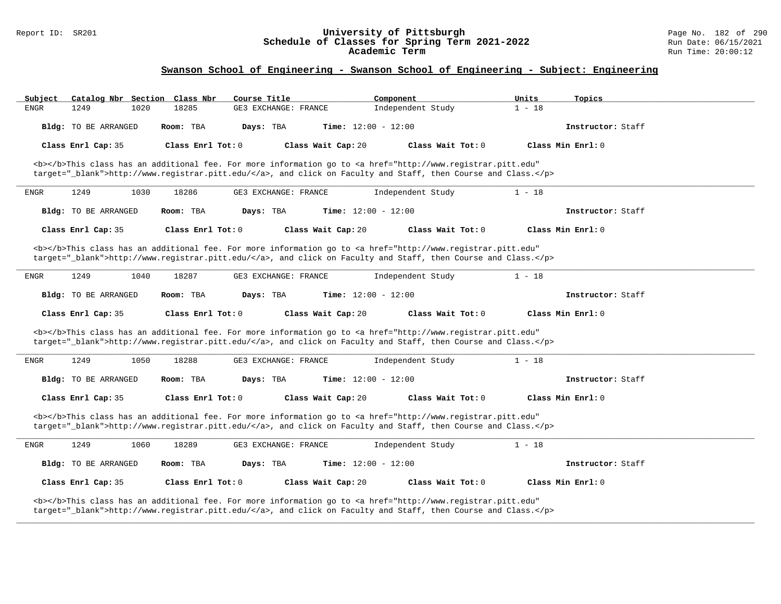#### Report ID: SR201 **University of Pittsburgh** Page No. 182 of 290 **Schedule of Classes for Spring Term 2021-2022** Run Date: 06/15/2021 **Academic Term** Run Time: 20:00:12

| Subject<br>Catalog Nbr Section Class Nbr                                                                                                                                                                                           | Course Title                                                                                                                                                                                                                       | Component         | Units<br>Topics   |  |  |  |
|------------------------------------------------------------------------------------------------------------------------------------------------------------------------------------------------------------------------------------|------------------------------------------------------------------------------------------------------------------------------------------------------------------------------------------------------------------------------------|-------------------|-------------------|--|--|--|
| 1249<br><b>ENGR</b><br>1020                                                                                                                                                                                                        | 18285<br>GE3 EXCHANGE: FRANCE                                                                                                                                                                                                      | Independent Study | $1 - 18$          |  |  |  |
| Bldg: TO BE ARRANGED                                                                                                                                                                                                               | Room: TBA<br>Days: TBA<br><b>Time:</b> $12:00 - 12:00$                                                                                                                                                                             |                   | Instructor: Staff |  |  |  |
| Class Enrl Cap: 35                                                                                                                                                                                                                 | Class Enrl Tot: 0<br>Class Wait Cap: 20                                                                                                                                                                                            | Class Wait Tot: 0 | Class Min Enrl: 0 |  |  |  |
|                                                                                                                                                                                                                                    | <b></b> This class has an additional fee. For more information go to <a <br="" href="http://www.registrar.pitt.edu">target=" blank"&gt;http://www.registrar.pitt.edu/</a> , and click on Faculty and Staff, then Course and Class. |                   |                   |  |  |  |
| 1249<br>ENGR<br>1030                                                                                                                                                                                                               | 18286<br>GE3 EXCHANGE: FRANCE                                                                                                                                                                                                      | Independent Study | $1 - 18$          |  |  |  |
| Bldg: TO BE ARRANGED                                                                                                                                                                                                               | Time: $12:00 - 12:00$<br>Room: TBA<br>Days: TBA                                                                                                                                                                                    |                   | Instructor: Staff |  |  |  |
| Class Enrl Cap: 35                                                                                                                                                                                                                 | Class Enrl Tot: 0<br>Class Wait Cap: 20                                                                                                                                                                                            | Class Wait Tot: 0 | Class Min Enrl: 0 |  |  |  |
|                                                                                                                                                                                                                                    | <b></b> This class has an additional fee. For more information go to <a <br="" href="http://www.registrar.pitt.edu">target="_blank"&gt;http://www.registrar.pitt.edu/</a> , and click on Faculty and Staff, then Course and Class. |                   |                   |  |  |  |
| 1249<br>1040<br>ENGR                                                                                                                                                                                                               | 18287<br>GE3 EXCHANGE: FRANCE                                                                                                                                                                                                      | Independent Study | $1 - 18$          |  |  |  |
| Bldg: TO BE ARRANGED                                                                                                                                                                                                               | Time: $12:00 - 12:00$<br>Room: TBA<br>Days: TBA                                                                                                                                                                                    |                   | Instructor: Staff |  |  |  |
| Class Enrl Cap: 35                                                                                                                                                                                                                 | Class Enrl Tot: 0<br>Class Wait Cap: 20                                                                                                                                                                                            | Class Wait Tot: 0 | Class Min Enrl: 0 |  |  |  |
|                                                                                                                                                                                                                                    | <b></b> This class has an additional fee. For more information go to <a <br="" href="http://www.registrar.pitt.edu">target="_blank"&gt;http://www.registrar.pitt.edu/</a> , and click on Faculty and Staff, then Course and Class. |                   |                   |  |  |  |
| 1249<br>1050<br>ENGR                                                                                                                                                                                                               | 18288<br>GE3 EXCHANGE: FRANCE                                                                                                                                                                                                      | Independent Study | $1 - 18$          |  |  |  |
| Bldg: TO BE ARRANGED                                                                                                                                                                                                               | Time: $12:00 - 12:00$<br>Room: TBA<br>Days: TBA                                                                                                                                                                                    |                   | Instructor: Staff |  |  |  |
| Class Enrl Cap: 35                                                                                                                                                                                                                 | Class Enrl Tot: 0<br>Class Wait Cap: 20                                                                                                                                                                                            | Class Wait Tot: 0 | Class Min Enrl: 0 |  |  |  |
| <b></b> This class has an additional fee. For more information go to <a <br="" href="http://www.registrar.pitt.edu">target="_blank"&gt;http://www.registrar.pitt.edu/</a> , and click on Faculty and Staff, then Course and Class. |                                                                                                                                                                                                                                    |                   |                   |  |  |  |
| 1249<br>1060<br>ENGR                                                                                                                                                                                                               | 18289<br>GE3 EXCHANGE: FRANCE                                                                                                                                                                                                      | Independent Study | $1 - 18$          |  |  |  |
| Bldg: TO BE ARRANGED                                                                                                                                                                                                               | Time: $12:00 - 12:00$<br>Room: TBA<br>Days: TBA                                                                                                                                                                                    |                   | Instructor: Staff |  |  |  |
| Class Enrl Cap: 35                                                                                                                                                                                                                 | Class Enrl Tot: 0<br>Class Wait Cap: 20                                                                                                                                                                                            | Class Wait Tot: 0 | Class Min Enrl: 0 |  |  |  |
|                                                                                                                                                                                                                                    | <b></b> This class has an additional fee. For more information go to <a <br="" href="http://www.registrar.pitt.edu">target="_blank"&gt;http://www.registrar.pitt.edu/</a> , and click on Faculty and Staff, then Course and Class. |                   |                   |  |  |  |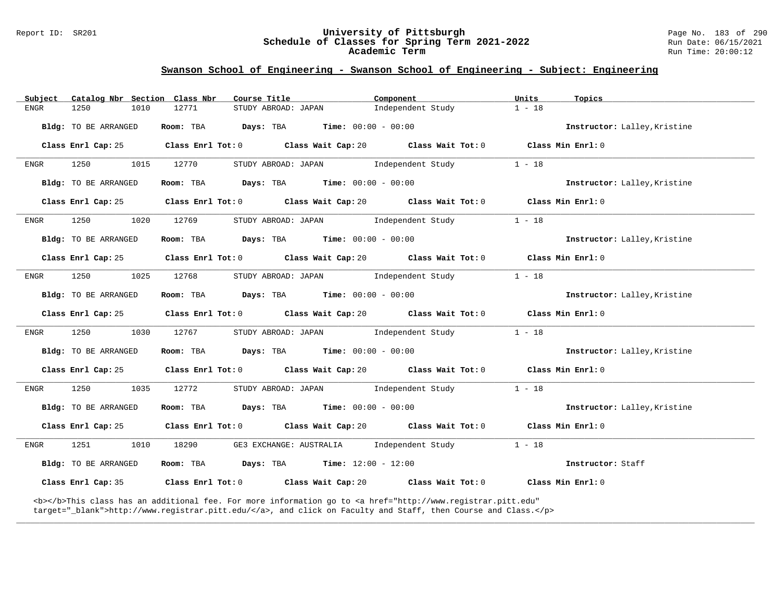#### Report ID: SR201 **University of Pittsburgh** Page No. 183 of 290 **Schedule of Classes for Spring Term 2021-2022** Run Date: 06/15/2021 **Academic Term** Run Time: 20:00:12

# **Swanson School of Engineering - Swanson School of Engineering - Subject: Engineering**

| Subject     | Catalog Nbr Section Class Nbr | Course Title                                           |                                               | Component                                                                                                                                                                                                                          | Units             | Topics                       |
|-------------|-------------------------------|--------------------------------------------------------|-----------------------------------------------|------------------------------------------------------------------------------------------------------------------------------------------------------------------------------------------------------------------------------------|-------------------|------------------------------|
| <b>ENGR</b> | 1250<br>1010                  | 12771                                                  | STUDY ABROAD: JAPAN                           | Independent Study                                                                                                                                                                                                                  | $1 - 18$          |                              |
|             | Bldg: TO BE ARRANGED          | Room: TBA<br>Days: TBA                                 | <b>Time:</b> $00:00 - 00:00$                  |                                                                                                                                                                                                                                    |                   | Instructor: Lalley, Kristine |
|             | Class Enrl Cap: 25            |                                                        |                                               | Class Enrl Tot: 0 Class Wait Cap: 20 Class Wait Tot: 0                                                                                                                                                                             |                   | Class Min Enrl: 0            |
| ENGR        | 1250<br>1015                  | 12770                                                  | STUDY ABROAD: JAPAN                           | Independent Study                                                                                                                                                                                                                  | $1 - 18$          |                              |
|             | Bldg: TO BE ARRANGED          | Room: TBA                                              | $Days: TBA$ $Time: 00:00 - 00:00$             |                                                                                                                                                                                                                                    |                   | Instructor: Lalley, Kristine |
|             | Class Enrl Cap: 25            | Class Enrl Tot: 0 Class Wait Cap: 20 Class Wait Tot: 0 |                                               |                                                                                                                                                                                                                                    | Class Min Enrl: 0 |                              |
| ENGR        | 1250<br>1020                  | 12769                                                  | STUDY ABROAD: JAPAN                           | Independent Study                                                                                                                                                                                                                  | $1 - 18$          |                              |
|             | Bldg: TO BE ARRANGED          | Room: TBA                                              | <b>Days:</b> TBA <b>Time:</b> $00:00 - 00:00$ |                                                                                                                                                                                                                                    |                   | Instructor: Lalley, Kristine |
|             | Class Enrl Cap: 25            |                                                        |                                               | Class Enrl Tot: 0 Class Wait Cap: 20 Class Wait Tot: 0                                                                                                                                                                             | Class Min Enrl: 0 |                              |
| ENGR        | 1250<br>1025                  | 12768                                                  | STUDY ABROAD: JAPAN                           | Independent Study                                                                                                                                                                                                                  | $1 - 18$          |                              |
|             | Bldg: TO BE ARRANGED          | Days: TBA<br>Room: TBA                                 | $Time: 00:00 - 00:00$                         |                                                                                                                                                                                                                                    |                   | Instructor: Lalley, Kristine |
|             | Class Enrl Cap: 25            |                                                        |                                               | Class Enrl Tot: 0 Class Wait Cap: 20 Class Wait Tot: 0                                                                                                                                                                             | Class Min Enrl: 0 |                              |
| ENGR        | 1250<br>1030                  | 12767                                                  | STUDY ABROAD: JAPAN                           | Independent Study                                                                                                                                                                                                                  | $1 - 18$          |                              |
|             | Bldg: TO BE ARRANGED          | Room: TBA                                              | <b>Days:</b> TBA <b>Time:</b> $00:00 - 00:00$ |                                                                                                                                                                                                                                    |                   | Instructor: Lalley, Kristine |
|             | Class Enrl Cap: 25            |                                                        |                                               | Class Enrl Tot: 0 Class Wait Cap: 20 Class Wait Tot: 0                                                                                                                                                                             | Class Min Enrl: 0 |                              |
| ENGR        | 1250<br>1035                  | 12772                                                  | STUDY ABROAD: JAPAN                           | Independent Study                                                                                                                                                                                                                  | $1 - 18$          |                              |
|             | Bldg: TO BE ARRANGED          | Room: TBA                                              | <b>Days:</b> TBA <b>Time:</b> $00:00 - 00:00$ |                                                                                                                                                                                                                                    |                   | Instructor: Lalley, Kristine |
|             | Class Enrl Cap: 25            |                                                        |                                               | Class Enrl Tot: 0 Class Wait Cap: 20 Class Wait Tot: 0                                                                                                                                                                             | Class Min Enrl: 0 |                              |
| ENGR        | 1251<br>1010                  | 18290                                                  | GE3 EXCHANGE: AUSTRALIA Independent Study     |                                                                                                                                                                                                                                    | $1 - 18$          |                              |
|             | Bldg: TO BE ARRANGED          | Room: TBA                                              | <b>Days:</b> TBA <b>Time:</b> $12:00 - 12:00$ |                                                                                                                                                                                                                                    |                   | Instructor: Staff            |
|             | Class Enrl Cap: 35            | Class Enrl Tot: 0 Class Wait Cap: 20                   |                                               | Class Wait Tot: 0                                                                                                                                                                                                                  |                   | Class Min Enrl: 0            |
|             |                               |                                                        |                                               | <b></b> This class has an additional fee. For more information go to <a <br="" href="http://www.registrar.pitt.edu">target="_blank"&gt;http://www.registrar.pitt.edu/</a> , and click on Faculty and Staff, then Course and Class. |                   |                              |

**\_\_\_\_\_\_\_\_\_\_\_\_\_\_\_\_\_\_\_\_\_\_\_\_\_\_\_\_\_\_\_\_\_\_\_\_\_\_\_\_\_\_\_\_\_\_\_\_\_\_\_\_\_\_\_\_\_\_\_\_\_\_\_\_\_\_\_\_\_\_\_\_\_\_\_\_\_\_\_\_\_\_\_\_\_\_\_\_\_\_\_\_\_\_\_\_\_\_\_\_\_\_\_\_\_\_\_\_\_\_\_\_\_\_\_\_\_\_\_\_\_\_\_\_\_\_\_\_\_\_\_\_\_\_\_\_\_\_\_\_\_\_\_\_\_\_\_\_\_\_\_\_\_\_\_\_**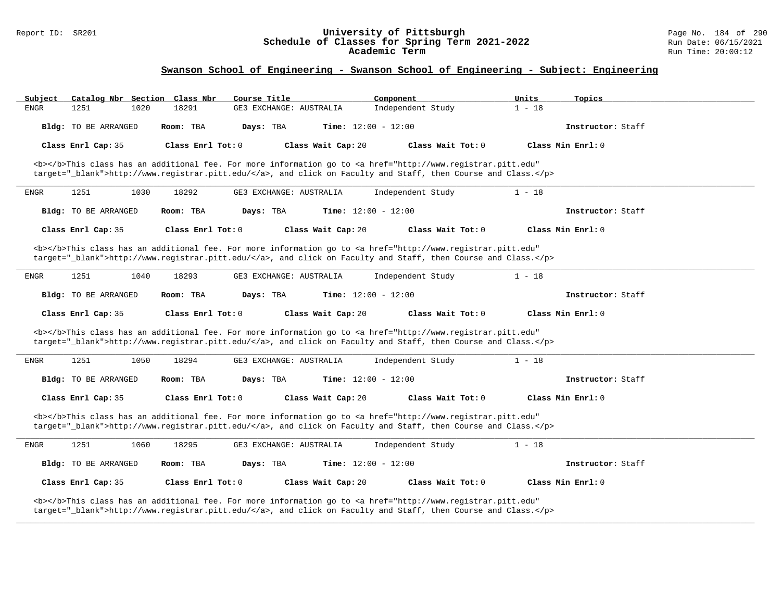#### Report ID: SR201 **University of Pittsburgh** Page No. 184 of 290 **Schedule of Classes for Spring Term 2021-2022** Run Date: 06/15/2021 **Academic Term** Run Time: 20:00:12

| Subject                                                                                                                                                                                                                            | Catalog Nbr Section Class Nbr |      |                     | Course Title            |                    | Component             |                                                                                                                                                                                                                                    | Units    | Topics            |  |
|------------------------------------------------------------------------------------------------------------------------------------------------------------------------------------------------------------------------------------|-------------------------------|------|---------------------|-------------------------|--------------------|-----------------------|------------------------------------------------------------------------------------------------------------------------------------------------------------------------------------------------------------------------------------|----------|-------------------|--|
| ENGR                                                                                                                                                                                                                               | 1251                          | 1020 | 18291               | GE3 EXCHANGE: AUSTRALIA |                    | Independent Study     |                                                                                                                                                                                                                                    | $1 - 18$ |                   |  |
|                                                                                                                                                                                                                                    | Bldg: TO BE ARRANGED          |      | Room: TBA           | Days: TBA               |                    | Time: $12:00 - 12:00$ |                                                                                                                                                                                                                                    |          | Instructor: Staff |  |
|                                                                                                                                                                                                                                    | Class Enrl Cap: 35            |      | Class Enrl Tot: $0$ |                         | Class Wait Cap: 20 |                       | Class Wait Tot: 0                                                                                                                                                                                                                  |          | Class Min Enrl: 0 |  |
|                                                                                                                                                                                                                                    |                               |      |                     |                         |                    |                       | <b></b> This class has an additional fee. For more information go to <a <br="" href="http://www.registrar.pitt.edu">target="_blank"&gt;http://www.registrar.pitt.edu/</a> , and click on Faculty and Staff, then Course and Class. |          |                   |  |
| <b>ENGR</b>                                                                                                                                                                                                                        | 1251                          | 1030 | 18292               | GE3 EXCHANGE: AUSTRALIA |                    | Independent Study     |                                                                                                                                                                                                                                    | $1 - 18$ |                   |  |
|                                                                                                                                                                                                                                    | Bldg: TO BE ARRANGED          |      | Room: TBA           | Days: TBA               |                    | Time: $12:00 - 12:00$ |                                                                                                                                                                                                                                    |          | Instructor: Staff |  |
|                                                                                                                                                                                                                                    | Class Enrl Cap: 35            |      | Class Enrl Tot: 0   |                         | Class Wait Cap: 20 |                       | Class Wait Tot: 0                                                                                                                                                                                                                  |          | Class Min Enrl: 0 |  |
|                                                                                                                                                                                                                                    |                               |      |                     |                         |                    |                       | <b></b> This class has an additional fee. For more information go to <a <br="" href="http://www.registrar.pitt.edu">target="_blank"&gt;http://www.registrar.pitt.edu/</a> , and click on Faculty and Staff, then Course and Class. |          |                   |  |
| ENGR                                                                                                                                                                                                                               | 1251                          | 1040 | 18293               | GE3 EXCHANGE: AUSTRALIA |                    | Independent Study     |                                                                                                                                                                                                                                    | $1 - 18$ |                   |  |
|                                                                                                                                                                                                                                    | Bldg: TO BE ARRANGED          |      | Room: TBA           | Days: TBA               |                    | Time: $12:00 - 12:00$ |                                                                                                                                                                                                                                    |          | Instructor: Staff |  |
|                                                                                                                                                                                                                                    | Class Enrl Cap: 35            |      | Class Enrl Tot: 0   |                         | Class Wait Cap: 20 |                       | Class Wait Tot: 0                                                                                                                                                                                                                  |          | Class Min Enrl: 0 |  |
|                                                                                                                                                                                                                                    |                               |      |                     |                         |                    |                       | <b></b> This class has an additional fee. For more information go to <a <br="" href="http://www.registrar.pitt.edu">target="_blank"&gt;http://www.registrar.pitt.edu/</a> , and click on Faculty and Staff, then Course and Class. |          |                   |  |
| ENGR                                                                                                                                                                                                                               | 1251                          | 1050 | 18294               | GE3 EXCHANGE: AUSTRALIA |                    | Independent Study     |                                                                                                                                                                                                                                    | $1 - 18$ |                   |  |
|                                                                                                                                                                                                                                    | Bldg: TO BE ARRANGED          |      | Room: TBA           | Days: TBA               |                    | Time: $12:00 - 12:00$ |                                                                                                                                                                                                                                    |          | Instructor: Staff |  |
|                                                                                                                                                                                                                                    | Class Enrl Cap: 35            |      | Class Enrl Tot: $0$ |                         | Class Wait Cap: 20 |                       | Class Wait Tot: 0                                                                                                                                                                                                                  |          | Class Min Enrl: 0 |  |
| <b></b> This class has an additional fee. For more information go to <a <br="" href="http://www.registrar.pitt.edu">target=" blank"&gt;http://www.registrar.pitt.edu/</a> , and click on Faculty and Staff, then Course and Class. |                               |      |                     |                         |                    |                       |                                                                                                                                                                                                                                    |          |                   |  |
| <b>ENGR</b>                                                                                                                                                                                                                        | 1251                          | 1060 | 18295               | GE3 EXCHANGE: AUSTRALIA |                    | Independent Study     |                                                                                                                                                                                                                                    | $1 - 18$ |                   |  |
|                                                                                                                                                                                                                                    | Bldg: TO BE ARRANGED          |      | Room: TBA           | Days: TBA               |                    | Time: $12:00 - 12:00$ |                                                                                                                                                                                                                                    |          | Instructor: Staff |  |
|                                                                                                                                                                                                                                    | Class Enrl Cap: 35            |      | Class Enrl Tot: 0   |                         | Class Wait Cap: 20 |                       | Class Wait Tot: 0                                                                                                                                                                                                                  |          | Class Min Enrl: 0 |  |
|                                                                                                                                                                                                                                    |                               |      |                     |                         |                    |                       | <b></b> This class has an additional fee. For more information go to <a <br="" href="http://www.registrar.pitt.edu">target="_blank"&gt;http://www.registrar.pitt.edu/</a> , and click on Faculty and Staff, then Course and Class. |          |                   |  |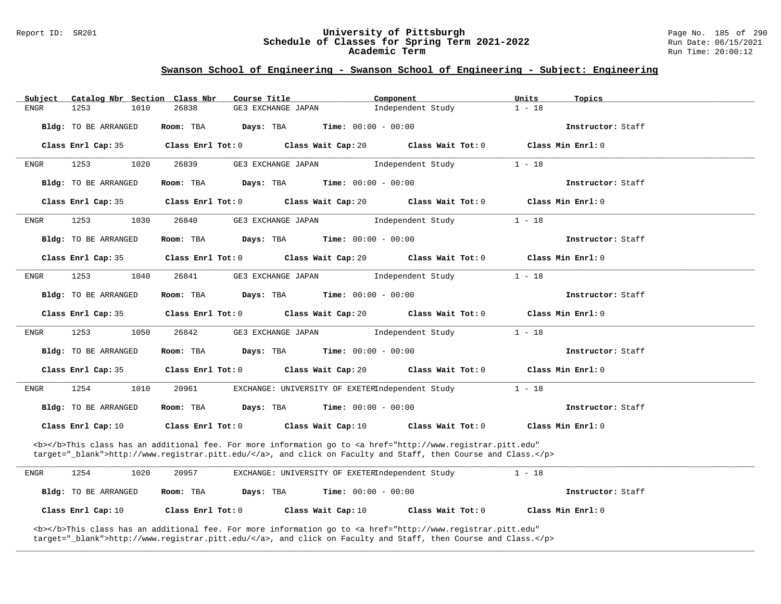#### Report ID: SR201 **University of Pittsburgh** Page No. 185 of 290 **Schedule of Classes for Spring Term 2021-2022** Run Date: 06/15/2021 **Academic Term** Run Time: 20:00:12

## **Swanson School of Engineering - Swanson School of Engineering - Subject: Engineering**

| Subject                                                                                                                                                                                                                            | Catalog Nbr Section Class Nbr |                   | Course Title                                                                                                                                            | Component         | Units<br>Topics   |  |
|------------------------------------------------------------------------------------------------------------------------------------------------------------------------------------------------------------------------------------|-------------------------------|-------------------|---------------------------------------------------------------------------------------------------------------------------------------------------------|-------------------|-------------------|--|
| <b>ENGR</b>                                                                                                                                                                                                                        | 1253<br>1010                  | 26838             | <b>GE3 EXCHANGE JAPAN</b>                                                                                                                               | Independent Study | $1 - 18$          |  |
|                                                                                                                                                                                                                                    | Bldg: TO BE ARRANGED          | Room: TBA         | Days: TBA<br><b>Time:</b> $00:00 - 00:00$                                                                                                               |                   | Instructor: Staff |  |
|                                                                                                                                                                                                                                    | Class Enrl Cap: 35            | Class Enrl Tot: 0 | Class Wait Cap: 20                                                                                                                                      | Class Wait Tot: 0 | Class Min Enrl: 0 |  |
| ENGR                                                                                                                                                                                                                               | 1253<br>1020                  | 26839             | GE3 EXCHANGE JAPAN                                                                                                                                      | Independent Study | $1 - 18$          |  |
|                                                                                                                                                                                                                                    | Bldg: TO BE ARRANGED          | Room: TBA         | Days: TBA<br><b>Time:</b> $00:00 - 00:00$                                                                                                               |                   | Instructor: Staff |  |
|                                                                                                                                                                                                                                    | Class Enrl Cap: 35            | Class Enrl Tot: 0 | Class Wait Cap: 20                                                                                                                                      | Class Wait Tot: 0 | Class Min Enrl: 0 |  |
| ENGR                                                                                                                                                                                                                               | 1253<br>1030                  | 26840             | GE3 EXCHANGE JAPAN                                                                                                                                      | Independent Study | $1 - 18$          |  |
|                                                                                                                                                                                                                                    | Bldg: TO BE ARRANGED          | Room: TBA         | Days: TBA<br><b>Time:</b> $00:00 - 00:00$                                                                                                               |                   | Instructor: Staff |  |
|                                                                                                                                                                                                                                    | Class Enrl Cap: 35            | Class Enrl Tot: 0 | Class Wait Cap: 20                                                                                                                                      | Class Wait Tot: 0 | Class Min Enrl: 0 |  |
| ENGR                                                                                                                                                                                                                               | 1253<br>1040                  | 26841             | GE3 EXCHANGE JAPAN                                                                                                                                      | Independent Study | $1 - 18$          |  |
|                                                                                                                                                                                                                                    | Bldg: TO BE ARRANGED          | Room: TBA         | Days: TBA<br><b>Time:</b> $00:00 - 00:00$                                                                                                               |                   | Instructor: Staff |  |
|                                                                                                                                                                                                                                    | Class Enrl Cap: 35            | Class Enrl Tot: 0 | Class Wait Cap: 20                                                                                                                                      | Class Wait Tot: 0 | Class Min Enrl: 0 |  |
| ENGR                                                                                                                                                                                                                               | 1253<br>1050                  | 26842             | GE3 EXCHANGE JAPAN                                                                                                                                      | Independent Study | $1 - 18$          |  |
|                                                                                                                                                                                                                                    | Bldg: TO BE ARRANGED          | Room: TBA         | <b>Time:</b> $00:00 - 00:00$<br>Days: TBA                                                                                                               |                   | Instructor: Staff |  |
|                                                                                                                                                                                                                                    | Class Enrl Cap: 35            | Class Enrl Tot: 0 | Class Wait Cap: 20                                                                                                                                      | Class Wait Tot: 0 | Class Min Enrl: 0 |  |
| ENGR                                                                                                                                                                                                                               | 1254<br>1010                  | 20961             | EXCHANGE: UNIVERSITY OF EXETERIndependent Study                                                                                                         |                   | $1 - 18$          |  |
|                                                                                                                                                                                                                                    | Bldg: TO BE ARRANGED          | Room: TBA         | Days: TBA<br><b>Time:</b> $00:00 - 00:00$                                                                                                               |                   | Instructor: Staff |  |
|                                                                                                                                                                                                                                    | Class Enrl Cap: 10            | Class Enrl Tot: 0 | Class Wait Cap: 10                                                                                                                                      | Class Wait Tot: 0 | Class Min Enrl: 0 |  |
| <b></b> This class has an additional fee. For more information go to <a <br="" href="http://www.registrar.pitt.edu">target="_blank"&gt;http://www.registrar.pitt.edu/</a> , and click on Faculty and Staff, then Course and Class. |                               |                   |                                                                                                                                                         |                   |                   |  |
| ENGR                                                                                                                                                                                                                               | 1254<br>1020                  | 20957             | EXCHANGE: UNIVERSITY OF EXETERIndependent Study                                                                                                         |                   | $1 - 18$          |  |
|                                                                                                                                                                                                                                    | Bldg: TO BE ARRANGED          | Room: TBA         | <b>Time:</b> $00:00 - 00:00$<br>Days: TBA                                                                                                               |                   | Instructor: Staff |  |
|                                                                                                                                                                                                                                    | Class Enrl Cap: 10            | Class Enrl Tot: 0 | Class Wait Cap: 10                                                                                                                                      | Class Wait Tot: 0 | Class Min Enrl: 0 |  |
|                                                                                                                                                                                                                                    |                               |                   | <b></b> This class has an additional fee. For more information go to <a <="" href="http://www.registrar.pitt.edu" td=""><td></td><td></td><td></td></a> |                   |                   |  |

**\_\_\_\_\_\_\_\_\_\_\_\_\_\_\_\_\_\_\_\_\_\_\_\_\_\_\_\_\_\_\_\_\_\_\_\_\_\_\_\_\_\_\_\_\_\_\_\_\_\_\_\_\_\_\_\_\_\_\_\_\_\_\_\_\_\_\_\_\_\_\_\_\_\_\_\_\_\_\_\_\_\_\_\_\_\_\_\_\_\_\_\_\_\_\_\_\_\_\_\_\_\_\_\_\_\_\_\_\_\_\_\_\_\_\_\_\_\_\_\_\_\_\_\_\_\_\_\_\_\_\_\_\_\_\_\_\_\_\_\_\_\_\_\_\_\_\_\_\_\_\_\_\_\_\_\_**

target="\_blank">http://www.registrar.pitt.edu/</a>, and click on Faculty and Staff, then Course and Class.</p>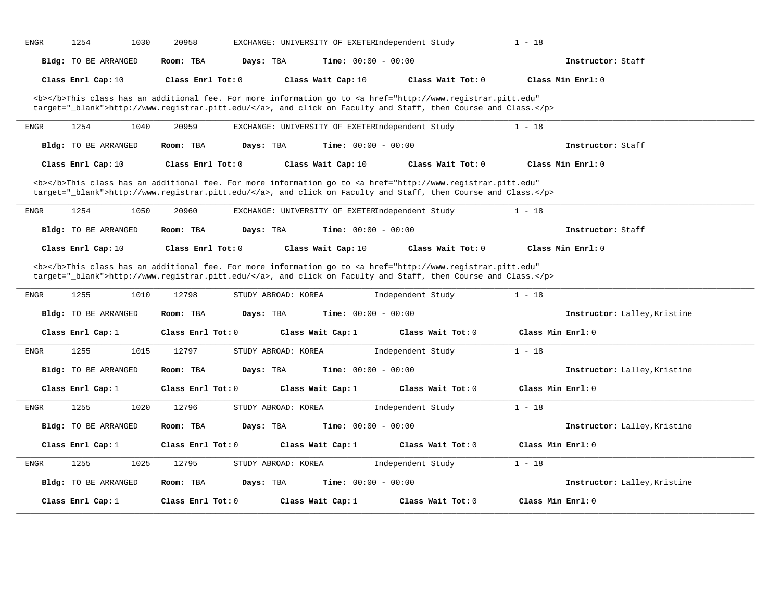| <b>ENGR</b>         |                                             |                    |                                  |                                                 |                                                                                                                                                                                                                                                         |                                          |
|---------------------|---------------------------------------------|--------------------|----------------------------------|-------------------------------------------------|---------------------------------------------------------------------------------------------------------------------------------------------------------------------------------------------------------------------------------------------------------|------------------------------------------|
|                     | <b>Bldg:</b> TO BE ARRANGED                 | Room: TBA          | Days: TBA                        | <b>Time:</b> $00:00 - 00:00$                    |                                                                                                                                                                                                                                                         | Instructor: Staff                        |
|                     | Class Enrl Cap: 10                          | Class Enrl Tot: 0  |                                  | Class Wait Cap: 10                              | Class Wait Tot: 0                                                                                                                                                                                                                                       | Class Min Enrl: 0                        |
|                     |                                             |                    |                                  |                                                 | <b></b> This class has an additional fee. For more information go to <a <br="" href="http://www.registrar.pitt.edu">target="_blank"&gt;http://www.registrar.pitt.edu/</a> , and click on Faculty and Staff, then Course and Class.                      |                                          |
| ${\tt ENGR}$        | 1254<br>1040                                | 20959              |                                  | EXCHANGE: UNIVERSITY OF EXETERIndependent Study |                                                                                                                                                                                                                                                         | $1 - 18$                                 |
|                     | Bldg: TO BE ARRANGED                        | Room: TBA          | Days: TBA                        | <b>Time:</b> $00:00 - 00:00$                    |                                                                                                                                                                                                                                                         | Instructor: Staff                        |
|                     | Class Enrl Cap: 10                          | Class Enrl Tot: 0  |                                  | Class Wait Cap: 10                              | Class Wait Tot: 0                                                                                                                                                                                                                                       | Class Min Enrl: 0                        |
|                     |                                             |                    |                                  |                                                 | <b></b> This class has an additional fee. For more information go to <a <br="" href="http://www.registrar.pitt.edu">target="_blank"&gt;http://www.registrar.pitt.edu/</a> , and click on Faculty and Staff, then Course and Class.                      |                                          |
| <b>ENGR</b>         | 1254<br>1050                                | 20960              |                                  | EXCHANGE: UNIVERSITY OF EXETERIndependent Study |                                                                                                                                                                                                                                                         | $1 - 18$                                 |
|                     | <b>Bldg:</b> TO BE ARRANGED                 | Room: TBA          | Days: TBA                        | Time: $00:00 - 00:00$                           |                                                                                                                                                                                                                                                         | Instructor: Staff                        |
|                     |                                             |                    |                                  |                                                 |                                                                                                                                                                                                                                                         |                                          |
|                     | Class Enrl Cap: 10                          | Class Enrl Tot: 0  |                                  | Class Wait Cap: 10                              | Class Wait Tot: 0<br><b></b> This class has an additional fee. For more information go to <a <br="" href="http://www.registrar.pitt.edu">target="_blank"&gt;http://www.registrar.pitt.edu/</a> , and click on Faculty and Staff, then Course and Class. | Class Min Enrl: 0                        |
|                     | 1255<br>1010<br><b>Bldg:</b> TO BE ARRANGED | 12798<br>Room: TBA | STUDY ABROAD: KOREA<br>Days: TBA | <b>Time:</b> $00:00 - 00:00$                    | Independent Study                                                                                                                                                                                                                                       | $1 - 18$<br>Instructor: Lalley, Kristine |
|                     | Class Enrl Cap: 1                           | Class Enrl Tot: 0  |                                  | Class Wait Cap: 1                               | Class Wait Tot: 0                                                                                                                                                                                                                                       | Class Min Enrl: 0                        |
| <b>ENGR</b>         | 1015<br>1255                                | 12797              | STUDY ABROAD: KOREA              |                                                 | Independent Study                                                                                                                                                                                                                                       | $1 - 18$                                 |
|                     | <b>Bldg:</b> TO BE ARRANGED                 | Room: TBA          | Days: TBA                        | Time: $00:00 - 00:00$                           |                                                                                                                                                                                                                                                         | Instructor: Lalley, Kristine             |
|                     | Class Enrl Cap: 1                           | Class Enrl Tot: 0  |                                  | Class Wait Cap: 1                               | Class Wait Tot: 0                                                                                                                                                                                                                                       | Class Min Enrl: 0                        |
| <b>ENGR</b><br>ENGR | 1255<br>1020                                | 12796              | STUDY ABROAD: KOREA              |                                                 | Independent Study                                                                                                                                                                                                                                       | $1 - 18$                                 |
|                     | <b>Bldg:</b> TO BE ARRANGED                 | Room: TBA          | Days: TBA                        | Time: $00:00 - 00:00$                           |                                                                                                                                                                                                                                                         | Instructor: Lalley, Kristine             |
|                     | Class Enrl Cap: 1                           | Class Enrl Tot: 0  |                                  | Class Wait Cap: 1                               | Class Wait Tot: 0                                                                                                                                                                                                                                       | Class Min Enrl: 0                        |
| <b>ENGR</b>         | 1255<br>1025                                | 12795              | STUDY ABROAD: KOREA              |                                                 | Independent Study                                                                                                                                                                                                                                       | $1 - 18$                                 |
|                     | <b>Bldg:</b> TO BE ARRANGED                 | Room: TBA          | Days: TBA                        | Time: $00:00 - 00:00$                           |                                                                                                                                                                                                                                                         | Instructor: Lalley, Kristine             |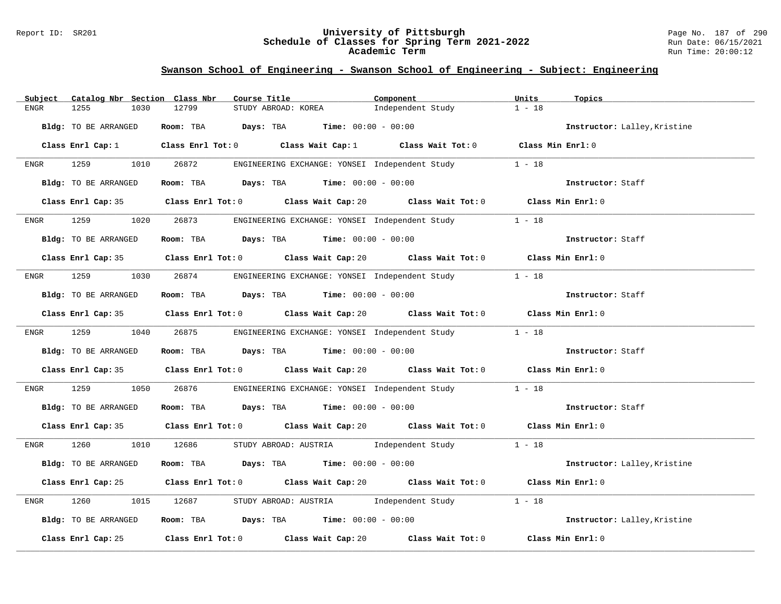#### Report ID: SR201 **University of Pittsburgh** Page No. 187 of 290 **Schedule of Classes for Spring Term 2021-2022** Run Date: 06/15/2021 **Academic Term** Run Time: 20:00:12

| Subject     | Catalog Nbr Section Class Nbr | Course Title                                                                                       | Component                                  | Units<br>Topics              |
|-------------|-------------------------------|----------------------------------------------------------------------------------------------------|--------------------------------------------|------------------------------|
| <b>ENGR</b> | 1255<br>1030                  | 12799<br>STUDY ABROAD: KOREA                                                                       | Independent Study                          | $1 - 18$                     |
|             | Bldg: TO BE ARRANGED          | Room: TBA $Days: TBA$ Time: $00:00 - 00:00$                                                        |                                            | Instructor: Lalley, Kristine |
|             | Class Enrl Cap: 1             | Class Enrl Tot: 0 $\qquad$ Class Wait Cap: 1 $\qquad$ Class Wait Tot: 0 $\qquad$ Class Min Enrl: 0 |                                            |                              |
| ENGR        | 1259 32<br>1010               | 26872<br>ENGINEERING EXCHANGE: YONSEI Independent Study                                            |                                            | $1 - 18$                     |
|             | Bldg: TO BE ARRANGED          | Room: TBA $Days:$ TBA $Time: 00:00 - 00:00$                                                        |                                            | Instructor: Staff            |
|             |                               | Class Enrl Cap: 35 Class Enrl Tot: 0 Class Wait Cap: 20 Class Wait Tot: 0 Class Min Enrl: 0        |                                            |                              |
| ENGR        | 1259<br>1020                  | 26873<br>ENGINEERING EXCHANGE: YONSEI Independent Study                                            |                                            | $1 - 18$                     |
|             | Bldg: TO BE ARRANGED          | Room: TBA $Days:$ TBA $Time: 00:00 - 00:00$                                                        |                                            | Instructor: Staff            |
|             |                               | Class Enrl Cap: 35 Class Enrl Tot: 0 Class Wait Cap: 20 Class Wait Tot: 0 Class Min Enrl: 0        |                                            |                              |
| ENGR        | 1259 32<br>1030               | 26874<br>ENGINEERING EXCHANGE: YONSEI Independent Study                                            |                                            | $1 - 18$                     |
|             | Bldg: TO BE ARRANGED          | Room: TBA $Days:$ TBA $Time: 00:00 - 00:00$                                                        |                                            | Instructor: Staff            |
|             |                               | Class Enrl Cap: 35 Class Enrl Tot: 0 Class Wait Cap: 20 Class Wait Tot: 0 Class Min Enrl: 0        |                                            |                              |
| <b>ENGR</b> | 1259                          | 1040 26875<br>ENGINEERING EXCHANGE: YONSEI Independent Study 1 - 18                                |                                            |                              |
|             | Bldg: TO BE ARRANGED          | Room: TBA $Days:$ TBA $Time: 00:00 - 00:00$                                                        |                                            | Instructor: Staff            |
|             |                               | Class Enrl Cap: 35 Class Enrl Tot: 0 Class Wait Cap: 20 Class Wait Tot: 0 Class Min Enrl: 0        |                                            |                              |
| ENGR        | 1259<br>1050                  | 26876<br>ENGINEERING EXCHANGE: YONSEI Independent Study 1 - 18                                     |                                            |                              |
|             | Bldg: TO BE ARRANGED          | Room: TBA $Days:$ TBA $Time: 00:00 - 00:00$                                                        |                                            | Instructor: Staff            |
|             |                               | Class Enrl Cap: 35 Class Enrl Tot: 0 Class Wait Cap: 20 Class Wait Tot: 0 Class Min Enrl: 0        |                                            |                              |
| ENGR        | 1260 120                      | 1010 12686<br>STUDY ABROAD: AUSTRIA Independent Study 1 - 18                                       |                                            |                              |
|             | Bldg: TO BE ARRANGED          | Room: TBA $Days:$ TBA $Time: 00:00 - 00:00$                                                        |                                            | Instructor: Lalley, Kristine |
|             |                               | Class Enrl Cap: 25 Class Enrl Tot: 0 Class Wait Cap: 20 Class Wait Tot: 0 Class Min Enrl: 0        |                                            |                              |
| ENGR        | 1260<br>1015                  | STUDY ABROAD: AUSTRIA Independent Study<br>12687                                                   |                                            | $1 - 18$                     |
|             | Bldg: TO BE ARRANGED          | Room: TBA $Days:$ TBA $Time: 00:00 - 00:00$                                                        |                                            | Instructor: Lalley, Kristine |
|             | Class Enrl Cap: 25            | Class Enrl Tot: 0 Class Wait Cap: 20                                                               | Class Wait Tot: $0$ $C$ Lass Min Enrl: $0$ |                              |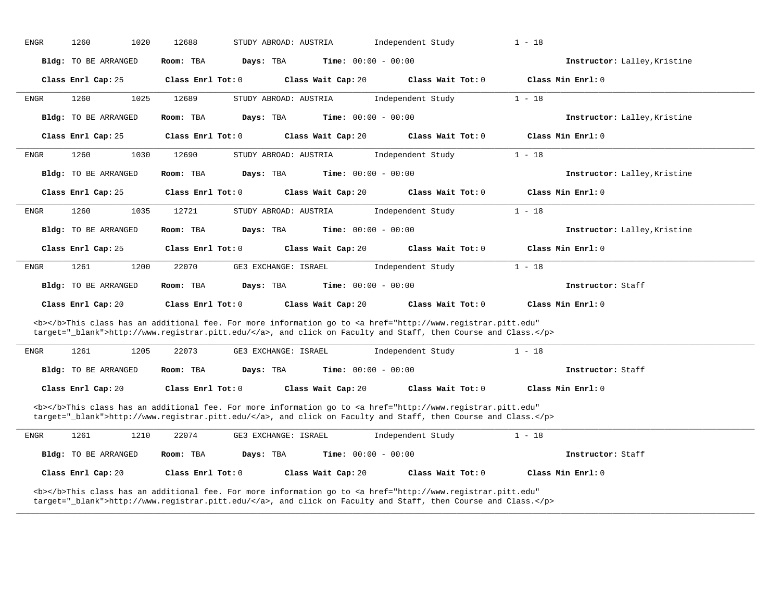| ENGR                                                                                                                                                                                                                               | 1020<br>1260                | 12688                  | STUDY ABROAD: AUSTRIA        | Independent Study                                                                                                                                                                                                                                                                                                                                                                                                                                                                                                                                 | $1 - 18$                     |
|------------------------------------------------------------------------------------------------------------------------------------------------------------------------------------------------------------------------------------|-----------------------------|------------------------|------------------------------|---------------------------------------------------------------------------------------------------------------------------------------------------------------------------------------------------------------------------------------------------------------------------------------------------------------------------------------------------------------------------------------------------------------------------------------------------------------------------------------------------------------------------------------------------|------------------------------|
|                                                                                                                                                                                                                                    | Bldg: TO BE ARRANGED        | Room: TBA<br>Days: TBA | Time: $00:00 - 00:00$        |                                                                                                                                                                                                                                                                                                                                                                                                                                                                                                                                                   | Instructor: Lalley, Kristine |
|                                                                                                                                                                                                                                    | Class Enrl Cap: 25          | Class Enrl Tot: 0      | Class Wait Cap: 20           | Class Wait Tot: 0                                                                                                                                                                                                                                                                                                                                                                                                                                                                                                                                 | Class Min Enrl: 0            |
| ENGR                                                                                                                                                                                                                               | 1260<br>1025                | 12689                  | STUDY ABROAD: AUSTRIA        | Independent Study                                                                                                                                                                                                                                                                                                                                                                                                                                                                                                                                 | $1 - 18$                     |
|                                                                                                                                                                                                                                    | <b>Bldg:</b> TO BE ARRANGED | Room: TBA<br>Days: TBA | <b>Time:</b> $00:00 - 00:00$ |                                                                                                                                                                                                                                                                                                                                                                                                                                                                                                                                                   | Instructor: Lalley, Kristine |
|                                                                                                                                                                                                                                    | Class Enrl Cap: 25          | Class Enrl Tot: 0      | Class Wait Cap: 20           | Class Wait Tot: 0                                                                                                                                                                                                                                                                                                                                                                                                                                                                                                                                 | Class Min Enrl: 0            |
| ENGR                                                                                                                                                                                                                               | 1260<br>1030                | 12690                  | STUDY ABROAD: AUSTRIA        | Independent Study                                                                                                                                                                                                                                                                                                                                                                                                                                                                                                                                 | $1 - 18$                     |
|                                                                                                                                                                                                                                    | <b>Bldg:</b> TO BE ARRANGED | Room: TBA<br>Days: TBA | <b>Time:</b> $00:00 - 00:00$ |                                                                                                                                                                                                                                                                                                                                                                                                                                                                                                                                                   | Instructor: Lalley, Kristine |
|                                                                                                                                                                                                                                    | Class Enrl Cap: 25          | Class Enrl Tot: 0      | Class Wait Cap: 20           | Class Wait Tot: 0                                                                                                                                                                                                                                                                                                                                                                                                                                                                                                                                 | Class Min Enrl: 0            |
| ENGR                                                                                                                                                                                                                               | 1260<br>1035                | 12721                  | STUDY ABROAD: AUSTRIA        | Independent Study                                                                                                                                                                                                                                                                                                                                                                                                                                                                                                                                 | $1 - 18$                     |
|                                                                                                                                                                                                                                    | Bldg: TO BE ARRANGED        | Days: TBA<br>Room: TBA | <b>Time:</b> $00:00 - 00:00$ |                                                                                                                                                                                                                                                                                                                                                                                                                                                                                                                                                   | Instructor: Lalley, Kristine |
|                                                                                                                                                                                                                                    | Class Enrl Cap: 25          | Class Enrl Tot: 0      | Class Wait Cap: 20           | Class Wait Tot: 0                                                                                                                                                                                                                                                                                                                                                                                                                                                                                                                                 | Class Min $Enr1: 0$          |
| ENGR                                                                                                                                                                                                                               | 1261<br>1200                | 22070                  | GE3 EXCHANGE: ISRAEL         | Independent Study                                                                                                                                                                                                                                                                                                                                                                                                                                                                                                                                 | $1 - 18$                     |
|                                                                                                                                                                                                                                    | Bldg: TO BE ARRANGED        | Room: TBA<br>Days: TBA | <b>Time:</b> $00:00 - 00:00$ |                                                                                                                                                                                                                                                                                                                                                                                                                                                                                                                                                   | Instructor: Staff            |
|                                                                                                                                                                                                                                    | Class Enrl Cap: 20          | Class Enrl Tot: 0      | Class Wait Cap: 20           | Class Wait Tot: 0                                                                                                                                                                                                                                                                                                                                                                                                                                                                                                                                 | Class Min Enrl: 0            |
|                                                                                                                                                                                                                                    |                             |                        |                              | <b></b> This class has an additional fee. For more information go to <a <br="" href="http://www.registrar.pitt.edu">target="_blank"&gt;http://www.registrar.pitt.edu/</a> , and click on Faculty and Staff, then Course and Class.                                                                                                                                                                                                                                                                                                                |                              |
| ENGR                                                                                                                                                                                                                               | 1261<br>1205                | 22073                  | GE3 EXCHANGE: ISRAEL         | Independent Study                                                                                                                                                                                                                                                                                                                                                                                                                                                                                                                                 | $1 - 18$                     |
|                                                                                                                                                                                                                                    | Bldg: TO BE ARRANGED        | Room: TBA<br>Days: TBA | <b>Time:</b> $00:00 - 00:00$ |                                                                                                                                                                                                                                                                                                                                                                                                                                                                                                                                                   | Instructor: Staff            |
|                                                                                                                                                                                                                                    | Class Enrl Cap: 20          | Class Enrl Tot: 0      | Class Wait Cap: 20           | Class Wait Tot: 0                                                                                                                                                                                                                                                                                                                                                                                                                                                                                                                                 | Class Min Enrl: 0            |
| <b></b> This class has an additional fee. For more information go to <a <br="" href="http://www.registrar.pitt.edu">target="_blank"&gt;http://www.registrar.pitt.edu/</a> , and click on Faculty and Staff, then Course and Class. |                             |                        |                              |                                                                                                                                                                                                                                                                                                                                                                                                                                                                                                                                                   |                              |
| ENGR                                                                                                                                                                                                                               | 1261<br>1210                | 22074                  | GE3 EXCHANGE: ISRAEL         | Independent Study                                                                                                                                                                                                                                                                                                                                                                                                                                                                                                                                 | $1 - 18$                     |
|                                                                                                                                                                                                                                    | Bldg: TO BE ARRANGED        | Room: TBA<br>Days: TBA | <b>Time:</b> $00:00 - 00:00$ |                                                                                                                                                                                                                                                                                                                                                                                                                                                                                                                                                   | Instructor: Staff            |
|                                                                                                                                                                                                                                    | Class Enrl Cap: 20          | Class Enrl Tot: 0      | Class Wait Cap: 20           | Class Wait Tot: 0                                                                                                                                                                                                                                                                                                                                                                                                                                                                                                                                 | Class Min Enrl: 0            |
|                                                                                                                                                                                                                                    |                             |                        |                              | <b></b> This class has an additional fee. For more information go to <a <br="" href="http://www.registrar.pitt.edu"><math>t</math> and <math>t</math> = <math>\frac{1}{2}</math> b) only <math>\frac{1}{2}</math> b) <math>\frac{1}{2}</math> and <math>\frac{1}{2}</math> b) <math>\frac{1}{2}</math> and <math>\frac{1}{2}</math> and <math>\frac{1}{2}</math> and <math>\frac{1}{2}</math> and <math>\frac{1}{2}</math> and <math>\frac{1}{2}</math> b) <math>\frac{1}{2}</math> and <math>\frac{1}{2}</math> and <math>\frac{1}{2}</math></a> |                              |

**\_\_\_\_\_\_\_\_\_\_\_\_\_\_\_\_\_\_\_\_\_\_\_\_\_\_\_\_\_\_\_\_\_\_\_\_\_\_\_\_\_\_\_\_\_\_\_\_\_\_\_\_\_\_\_\_\_\_\_\_\_\_\_\_\_\_\_\_\_\_\_\_\_\_\_\_\_\_\_\_\_\_\_\_\_\_\_\_\_\_\_\_\_\_\_\_\_\_\_\_\_\_\_\_\_\_\_\_\_\_\_\_\_\_\_\_\_\_\_\_\_\_\_\_\_\_\_\_\_\_\_\_\_\_\_\_\_\_\_\_\_\_\_\_\_\_\_\_\_\_\_\_\_\_\_\_**

target="\_blank">http://www.registrar.pitt.edu/</a>, and click on Faculty and Staff, then Course and Class.</p>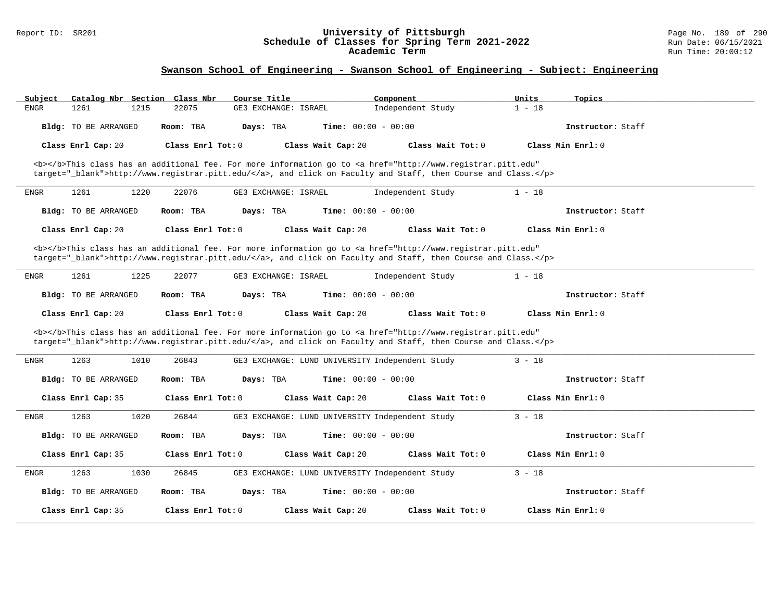#### Report ID: SR201 **University of Pittsburgh** Page No. 189 of 290 **Schedule of Classes for Spring Term 2021-2022** Run Date: 06/15/2021 **Academic Term** Run Time: 20:00:12

| Catalog Nbr Section Class Nbr<br>Subject | Course Title                                                                                                                                                                                                                       | Component         | Units<br>Topics     |
|------------------------------------------|------------------------------------------------------------------------------------------------------------------------------------------------------------------------------------------------------------------------------------|-------------------|---------------------|
| 1261<br><b>ENGR</b><br>1215              | 22075<br>GE3 EXCHANGE: ISRAEL                                                                                                                                                                                                      | Independent Study | $1 - 18$            |
| Bldg: TO BE ARRANGED                     | Room: TBA<br>Days: TBA<br><b>Time:</b> $00:00 - 00:00$                                                                                                                                                                             |                   | Instructor: Staff   |
| Class Enrl Cap: 20                       | Class Enrl Tot: 0<br>Class Wait Cap: 20                                                                                                                                                                                            | Class Wait Tot: 0 | Class Min $Enr1: 0$ |
|                                          | <b></b> This class has an additional fee. For more information go to <a <br="" href="http://www.registrar.pitt.edu">target="_blank"&gt;http://www.registrar.pitt.edu/</a> , and click on Faculty and Staff, then Course and Class. |                   |                     |
| 1261<br>1220<br><b>ENGR</b>              | 22076<br>GE3 EXCHANGE: ISRAEL                                                                                                                                                                                                      | Independent Study | $1 - 18$            |
| Bldg: TO BE ARRANGED                     | <b>Time:</b> $00:00 - 00:00$<br>Room: TBA<br>Days: TBA                                                                                                                                                                             |                   | Instructor: Staff   |
| Class Enrl Cap: 20                       | Class Enrl Tot: 0<br>Class Wait Cap: 20                                                                                                                                                                                            | Class Wait Tot: 0 | Class Min Enrl: 0   |
|                                          | <b></b> This class has an additional fee. For more information go to <a <br="" href="http://www.registrar.pitt.edu">target="_blank"&gt;http://www.registrar.pitt.edu/</a> , and click on Faculty and Staff, then Course and Class. |                   |                     |
| 1261<br>1225<br><b>ENGR</b>              | 22077<br>GE3 EXCHANGE: ISRAEL                                                                                                                                                                                                      | Independent Study | $1 - 18$            |
| Bldg: TO BE ARRANGED                     | Room: TBA<br>Days: TBA<br><b>Time:</b> $00:00 - 00:00$                                                                                                                                                                             |                   | Instructor: Staff   |
| Class Enrl Cap: 20                       | Class Enrl Tot: 0<br>Class Wait Cap: 20                                                                                                                                                                                            | Class Wait Tot: 0 | Class Min Enrl: 0   |
|                                          | <b></b> This class has an additional fee. For more information go to <a <br="" href="http://www.registrar.pitt.edu">target="_blank"&gt;http://www.registrar.pitt.edu/</a> , and click on Faculty and Staff, then Course and Class. |                   |                     |
| 1263<br>1010<br><b>ENGR</b>              | 26843<br>GE3 EXCHANGE: LUND UNIVERSITY Independent Study                                                                                                                                                                           |                   | $3 - 18$            |
| Bldg: TO BE ARRANGED                     | Room: TBA<br>Days: TBA<br><b>Time:</b> $00:00 - 00:00$                                                                                                                                                                             |                   | Instructor: Staff   |
| Class Enrl Cap: 35                       | Class Enrl Tot: 0<br>Class Wait Cap: 20                                                                                                                                                                                            | Class Wait Tot: 0 | Class Min Enrl: 0   |
| 1263<br>1020<br><b>ENGR</b>              | 26844<br>GE3 EXCHANGE: LUND UNIVERSITY Independent Study                                                                                                                                                                           |                   | $3 - 18$            |
| Bldg: TO BE ARRANGED                     | <b>Time:</b> $00:00 - 00:00$<br>Room: TBA<br>Days: TBA                                                                                                                                                                             |                   | Instructor: Staff   |
| Class Enrl Cap: 35                       | Class Wait Cap: 20<br>Class Enrl Tot: 0                                                                                                                                                                                            | Class Wait Tot: 0 | Class Min Enrl: 0   |
| 1263<br>1030<br><b>ENGR</b>              | 26845<br>GE3 EXCHANGE: LUND UNIVERSITY Independent Study                                                                                                                                                                           |                   | $3 - 18$            |
| Bldg: TO BE ARRANGED                     | <b>Time:</b> $00:00 - 00:00$<br>Room: TBA<br>Days: TBA                                                                                                                                                                             |                   | Instructor: Staff   |
| Class Enrl Cap: 35                       | Class Enrl Tot: $0$<br>Class Wait Cap: 20                                                                                                                                                                                          | Class Wait Tot: 0 | Class Min Enrl: 0   |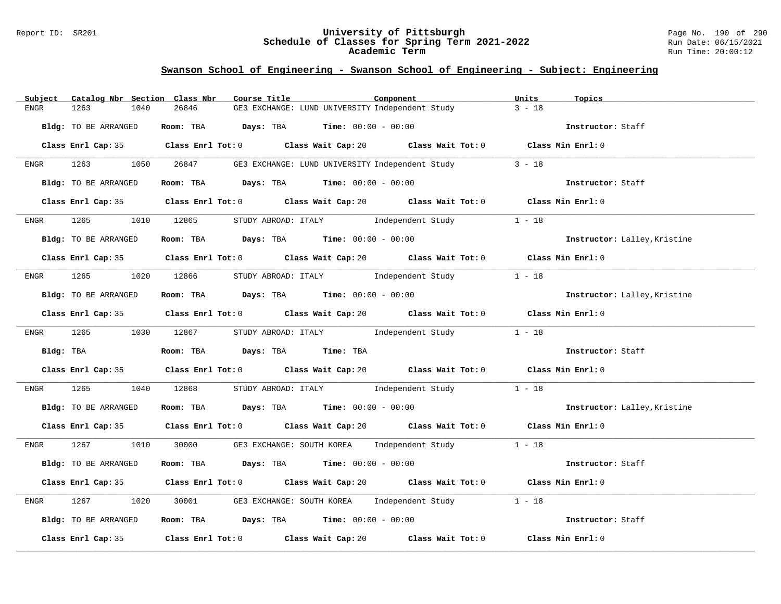#### Report ID: SR201 **University of Pittsburgh** Page No. 190 of 290 **Schedule of Classes for Spring Term 2021-2022** Run Date: 06/15/2021 **Academic Term** Run Time: 20:00:12

| Catalog Nbr Section Class Nbr<br>Subject | Course Title<br>Component                                                                   | Units<br>Topics              |
|------------------------------------------|---------------------------------------------------------------------------------------------|------------------------------|
| 1263<br>1040<br>ENGR                     | 26846<br>GE3 EXCHANGE: LUND UNIVERSITY Independent Study                                    | $3 - 18$                     |
| Bldg: TO BE ARRANGED                     | Room: TBA $Days:$ TBA $Time: 00:00 - 00:00$                                                 | Instructor: Staff            |
|                                          | Class Enrl Cap: 35 Class Enrl Tot: 0 Class Wait Cap: 20 Class Wait Tot: 0 Class Min Enrl: 0 |                              |
|                                          | ENGR 1263 1050 26847 GE3 EXCHANGE: LUND UNIVERSITY Independent Study                        | $3 - 18$                     |
| Bldg: TO BE ARRANGED                     | Room: TBA $Days:$ TBA $Time:$ $00:00 - 00:00$                                               | Instructor: Staff            |
|                                          | Class Enrl Cap: 35 Class Enrl Tot: 0 Class Wait Cap: 20 Class Wait Tot: 0 Class Min Enrl: 0 |                              |
| 1265 1010 12865<br>ENGR                  | STUDY ABROAD: ITALY 1 - 18                                                                  |                              |
| Bldg: TO BE ARRANGED                     | Room: TBA $Days:$ TBA $Time: 00:00 - 00:00$                                                 | Instructor: Lalley, Kristine |
|                                          | Class Enrl Cap: 35 Class Enrl Tot: 0 Class Wait Cap: 20 Class Wait Tot: 0 Class Min Enrl: 0 |                              |
|                                          | ENGR 1265 1020 12866 STUDY ABROAD: ITALY Independent Study 1 - 18                           |                              |
| Bldg: TO BE ARRANGED                     | Room: TBA Days: TBA Time: $00:00 - 00:00$                                                   | Instructor: Lalley, Kristine |
|                                          | Class Enrl Cap: 35 Class Enrl Tot: 0 Class Wait Cap: 20 Class Wait Tot: 0 Class Min Enrl: 0 |                              |
| ENGR 1265 1030 12867                     | STUDY ABROAD: ITALY 1ndependent Study 1 - 18                                                |                              |
| Bldg: TBA                                | Room: TBA Days: TBA Time: TBA                                                               | Instructor: Staff            |
|                                          | Class Enrl Cap: 35 Class Enrl Tot: 0 Class Wait Cap: 20 Class Wait Tot: 0 Class Min Enrl: 0 |                              |
| 1265<br>ENGR                             | 1040 12868<br>STUDY ABROAD: ITALY 1ndependent Study 1 - 18                                  |                              |
| Bldg: TO BE ARRANGED                     | Room: TBA $\rule{1em}{0.15mm}$ Days: TBA Time: $00:00 - 00:00$                              | Instructor: Lalley, Kristine |
|                                          | Class Enrl Cap: 35 Class Enrl Tot: 0 Class Wait Cap: 20 Class Wait Tot: 0 Class Min Enrl: 0 |                              |
|                                          | ENGR 1267 1010 30000 GE3 EXCHANGE: SOUTH KOREA Independent Study 1 - 18                     |                              |
| Bldg: TO BE ARRANGED                     | Room: TBA $Days:$ TBA $Time: 00:00 - 00:00$                                                 | Instructor: Staff            |
|                                          | Class Enrl Cap: 35 Class Enrl Tot: 0 Class Wait Cap: 20 Class Wait Tot: 0 Class Min Enrl: 0 |                              |
| 1267<br>1020<br>ENGR                     | 30001 GE3 EXCHANGE: SOUTH KOREA Independent Study 1 - 18                                    |                              |
| Bldg: TO BE ARRANGED                     | Room: TBA $Days:$ TBA Time: $00:00 - 00:00$                                                 | Instructor: Staff            |
|                                          | Class Enrl Cap: 35 Class Enrl Tot: 0 Class Wait Cap: 20 Class Wait Tot: 0 Class Min Enrl: 0 |                              |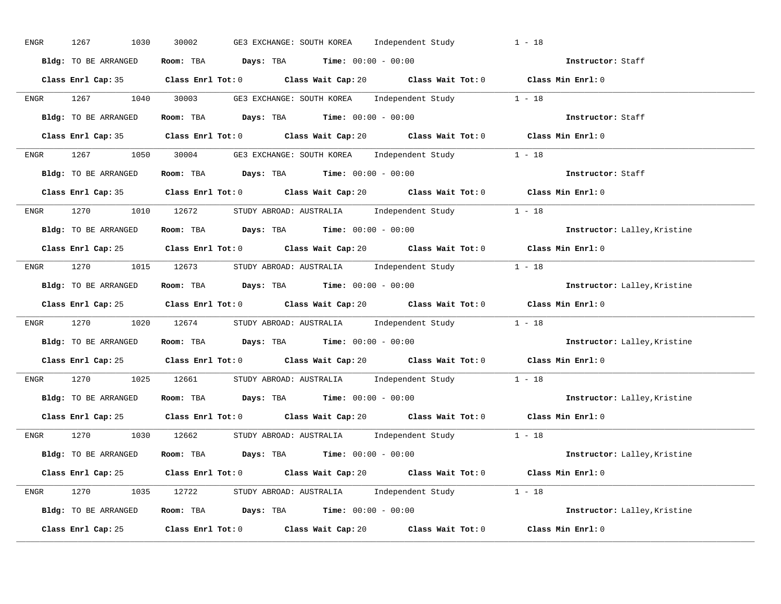| ENGR | 1267<br>1030         | 30002<br>GE3 EXCHANGE: SOUTH KOREA Independent Study                                        | $1 - 18$                     |
|------|----------------------|---------------------------------------------------------------------------------------------|------------------------------|
|      | Bldg: TO BE ARRANGED | Room: TBA $Days:$ TBA $Time: 00:00 - 00:00$                                                 | Instructor: Staff            |
|      |                      | Class Enrl Cap: 35 Class Enrl Tot: 0 Class Wait Cap: 20 Class Wait Tot: 0 Class Min Enrl: 0 |                              |
|      |                      | ENGR 1267 1040 30003 GE3 EXCHANGE: SOUTH KOREA Independent Study 1 - 18                     |                              |
|      | Bldg: TO BE ARRANGED | Room: TBA $Days:$ TBA $Time: 00:00 - 00:00$                                                 | Instructor: Staff            |
|      |                      | Class Enrl Cap: 35 Class Enrl Tot: 0 Class Wait Cap: 20 Class Wait Tot: 0 Class Min Enrl: 0 |                              |
|      |                      | ENGR 1267 1050 30004 GE3 EXCHANGE: SOUTH KOREA Independent Study 1 - 18                     |                              |
|      | Bldg: TO BE ARRANGED | Room: TBA $Days:$ TBA $Time: 00:00 - 00:00$                                                 | Instructor: Staff            |
|      |                      | Class Enrl Cap: 35 Class Enrl Tot: 0 Class Wait Cap: 20 Class Wait Tot: 0 Class Min Enrl: 0 |                              |
|      |                      | ENGR 1270 1010 12672 STUDY ABROAD: AUSTRALIA Independent Study 1 - 18                       |                              |
|      | Bldg: TO BE ARRANGED | Room: TBA $Days:$ TBA $Time:$ $00:00 - 00:00$                                               | Instructor: Lalley, Kristine |
|      |                      | Class Enrl Cap: 25 Class Enrl Tot: 0 Class Wait Cap: 20 Class Wait Tot: 0 Class Min Enrl: 0 |                              |
|      |                      | ENGR 1270 1015 12673 STUDY ABROAD: AUSTRALIA Independent Study 1 - 18                       |                              |
|      | Bldg: TO BE ARRANGED | Room: TBA $\rule{1em}{0.15mm}$ Days: TBA $\rule{1.15mm}]{0.15mm}$ Time: $00:00 - 00:00$     | Instructor: Lalley, Kristine |
|      |                      | Class Enrl Cap: 25 Class Enrl Tot: 0 Class Wait Cap: 20 Class Wait Tot: 0 Class Min Enrl: 0 |                              |
| ENGR |                      | 1270 1020 12674 STUDY ABROAD: AUSTRALIA Independent Study 1 - 18                            |                              |
|      | Bldg: TO BE ARRANGED | Room: TBA Days: TBA Time: $00:00 - 00:00$                                                   | Instructor: Lalley, Kristine |
|      |                      | Class Enrl Cap: 25 Class Enrl Tot: 0 Class Wait Cap: 20 Class Wait Tot: 0 Class Min Enrl: 0 |                              |
| ENGR |                      | 1270 1025 12661 STUDY ABROAD: AUSTRALIA Independent Study 1 - 18                            |                              |
|      |                      | Bldg: TO BE ARRANGED ROOM: TBA Days: TBA Time: 00:00 - 00:00                                | Instructor: Lalley, Kristine |
|      |                      | Class Enrl Cap: 25 Class Enrl Tot: 0 Class Wait Cap: 20 Class Wait Tot: 0 Class Min Enrl: 0 |                              |
|      |                      | ENGR 1270 1030 12662 STUDYABROAD: AUSTRALIA Independent Study 1 - 18                        |                              |
|      | Bldg: TO BE ARRANGED | Room: TBA $Days:$ TBA $Time: 00:00 - 00:00$                                                 | Instructor: Lalley, Kristine |
|      |                      | Class Enrl Cap: 25 Class Enrl Tot: 0 Class Wait Cap: 20 Class Wait Tot: 0 Class Min Enrl: 0 |                              |
|      |                      | ENGR 1270 1035 12722 STUDY ABROAD: AUSTRALIA Independent Study 1 - 18                       |                              |
|      |                      | Bldg: TO BE ARRANGED Room: TBA Days: TBA Time: 00:00 - 00:00                                | Instructor: Lalley, Kristine |
|      |                      | Class Enrl Cap: 25 Class Enrl Tot: 0 Class Wait Cap: 20 Class Wait Tot: 0                   | Class Min Enrl: 0            |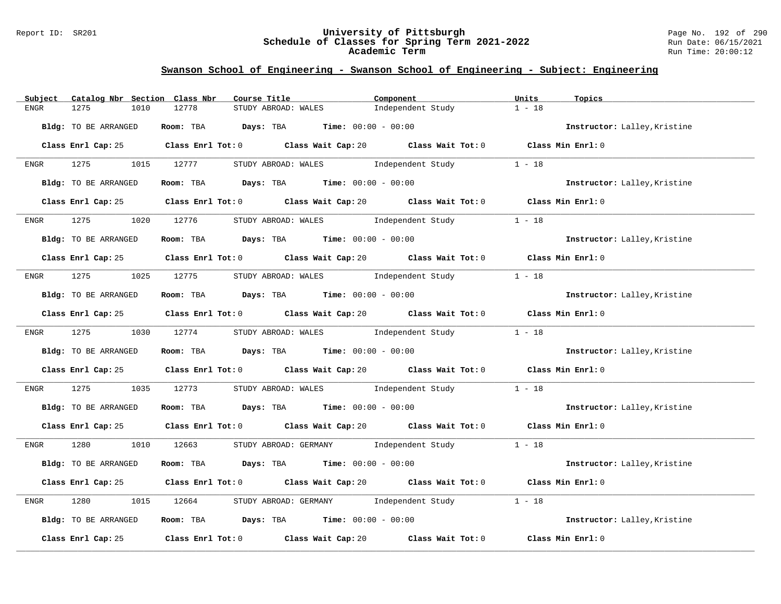#### Report ID: SR201 **University of Pittsburgh** Page No. 192 of 290 **Schedule of Classes for Spring Term 2021-2022** Run Date: 06/15/2021 **Academic Term** Run Time: 20:00:12

| Subject<br>Catalog Nbr Section Class Nbr | Course Title                                                                                | Component         | Units<br>Topics                     |
|------------------------------------------|---------------------------------------------------------------------------------------------|-------------------|-------------------------------------|
| 1275<br>1010<br>ENGR                     | 12778<br>STUDY ABROAD: WALES                                                                | Independent Study | $1 - 18$                            |
| Bldg: TO BE ARRANGED                     | Room: TBA $Days:$ TBA $Time: 00:00 - 00:00$                                                 |                   | Instructor: Lalley, Kristine        |
|                                          | Class Enrl Cap: 25 Class Enrl Tot: 0 Class Wait Cap: 20 Class Wait Tot: 0 Class Min Enrl: 0 |                   |                                     |
| 1275<br><b>ENGR</b>                      | STUDY ABROAD: WALES Independent Study<br>1015 12777                                         |                   | $1 - 18$                            |
| Bldg: TO BE ARRANGED                     | Room: TBA $Days:$ TBA $Time: 00:00 - 00:00$                                                 |                   | Instructor: Lalley, Kristine        |
| Class Enrl Cap: 25                       | Class Enrl Tot: 0 Class Wait Cap: 20 Class Wait Tot: 0 Class Min Enrl: 0                    |                   |                                     |
| 1275<br>1020<br>ENGR                     | STUDY ABROAD: WALES Independent Study<br>12776                                              |                   | $1 - 18$                            |
| <b>Bldg:</b> TO BE ARRANGED              | Room: TBA $Days:$ TBA $Time: 00:00 - 00:00$                                                 |                   | Instructor: Lalley, Kristine        |
|                                          | Class Enrl Cap: 25 Class Enrl Tot: 0 Class Wait Cap: 20 Class Wait Tot: 0 Class Min Enrl: 0 |                   |                                     |
| 1275 1025 12775<br>ENGR                  | STUDY ABROAD: WALES Independent Study                                                       |                   | $1 - 18$                            |
| Bldg: TO BE ARRANGED                     | Room: TBA Days: TBA Time: $00:00 - 00:00$                                                   |                   | Instructor: Lalley, Kristine        |
|                                          | Class Enrl Cap: 25 Class Enrl Tot: 0 Class Wait Cap: 20 Class Wait Tot: 0 Class Min Enrl: 0 |                   |                                     |
|                                          | ENGR 1275 1030 12774 STUDYABROAD: WALES Independent Study                                   |                   | $1 - 18$                            |
| Bldg: TO BE ARRANGED                     | Room: TBA Days: TBA Time: $00:00 - 00:00$                                                   |                   | Instructor: Lalley, Kristine        |
|                                          | Class Enrl Cap: 25 Class Enrl Tot: 0 Class Wait Cap: 20 Class Wait Tot: 0 Class Min Enrl: 0 |                   |                                     |
| 1275<br>1035<br>ENGR                     | 12773<br>STUDY ABROAD: WALES Independent Study                                              |                   | $1 - 18$                            |
| Bldg: TO BE ARRANGED                     | Room: TBA $Days: TBA$ Time: $00:00 - 00:00$                                                 |                   | Instructor: Lalley, Kristine        |
|                                          | Class Enrl Cap: 25 Class Enrl Tot: 0 Class Wait Cap: 20 Class Wait Tot: 0 Class Min Enrl: 0 |                   |                                     |
| 1280<br>ENGR                             | 1010 12663<br>STUDY ABROAD: GERMANY 1 - 18                                                  |                   |                                     |
| Bldg: TO BE ARRANGED                     | Room: TBA $Days:$ TBA $Time: 00:00 - 00:00$                                                 |                   | Instructor: Lalley, Kristine        |
|                                          | Class Enrl Cap: 25 Class Enrl Tot: 0 Class Wait Cap: 20 Class Wait Tot: 0 Class Min Enrl: 0 |                   |                                     |
| 1280<br>1015<br>ENGR                     | STUDY ABROAD: GERMANY Independent Study<br>12664                                            |                   | $1 - 18$                            |
| Bldg: TO BE ARRANGED                     | Room: TBA $Days:$ TBA $Time: 00:00 - 00:00$                                                 |                   | Instructor: Lalley, Kristine        |
| Class Enrl Cap: 25                       | Class Enrl Tot: 0 Class Wait Cap: 20                                                        |                   | Class Wait Tot: 0 Class Min Enrl: 0 |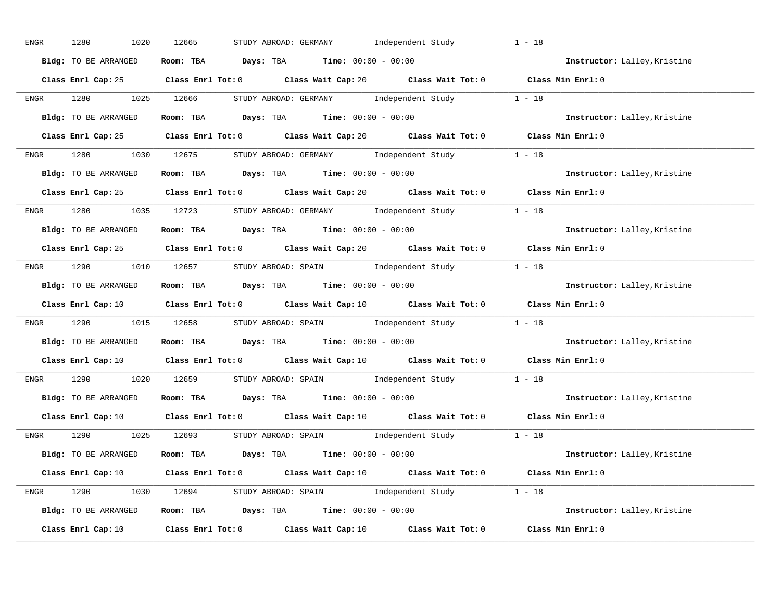| ENGR        | 1280<br>1020         | 12665<br>STUDY ABROAD: GERMANY 1ndependent Study                                                                                | $1 - 18$                     |
|-------------|----------------------|---------------------------------------------------------------------------------------------------------------------------------|------------------------------|
|             | Bldg: TO BE ARRANGED | Room: TBA $Days:$ TBA $Time: 00:00 - 00:00$                                                                                     | Instructor: Lalley, Kristine |
|             |                      | Class Enrl Cap: 25 Class Enrl Tot: 0 Class Wait Cap: 20 Class Wait Tot: 0 Class Min Enrl: 0                                     |                              |
|             |                      | ENGR 1280 1025 12666 STUDY ABROAD: GERMANY Independent Study 1 - 18                                                             |                              |
|             | Bldg: TO BE ARRANGED | Room: TBA $\rule{1em}{0.15mm}$ Days: TBA Time: $00:00 - 00:00$                                                                  | Instructor: Lalley, Kristine |
|             |                      | Class Enrl Cap: 25 Class Enrl Tot: 0 Class Wait Cap: 20 Class Wait Tot: 0 Class Min Enrl: 0                                     |                              |
|             |                      | ENGR 1280 1030 12675 STUDY ABROAD: GERMANY Independent Study 1 - 18                                                             |                              |
|             | Bldg: TO BE ARRANGED | Room: TBA Days: TBA Time: $00:00 - 00:00$                                                                                       | Instructor: Lalley, Kristine |
|             |                      | Class Enrl Cap: 25 Class Enrl Tot: 0 Class Wait Cap: 20 Class Wait Tot: 0 Class Min Enrl: 0                                     |                              |
|             |                      | ENGR 1280 1035 12723 STUDY ABROAD: GERMANY Independent Study 1 - 18                                                             |                              |
|             | Bldg: TO BE ARRANGED | Room: TBA $Days:$ TBA Time: $00:00 - 00:00$                                                                                     | Instructor: Lalley, Kristine |
|             |                      | Class Enrl Cap: 25 Class Enrl Tot: 0 Class Wait Cap: 20 Class Wait Tot: 0 Class Min Enrl: 0                                     |                              |
|             |                      | ENGR 1290 1010 12657 STUDYABROAD: SPAIN Independent Study 1 - 18                                                                |                              |
|             | Bldg: TO BE ARRANGED | Room: TBA $\rule{1em}{0.15mm}$ Days: TBA Time: $00:00 - 00:00$                                                                  | Instructor: Lalley, Kristine |
|             |                      | Class Enrl Cap: 10 Class Enrl Tot: 0 Class Wait Cap: 10 Class Wait Tot: 0 Class Min Enrl: 0                                     |                              |
| <b>ENGR</b> |                      | 1290 1015 12658 STUDY ABROAD: SPAIN Independent Study 1 - 18                                                                    |                              |
|             | Bldg: TO BE ARRANGED | Room: TBA $Days:$ TBA Time: $00:00 - 00:00$                                                                                     | Instructor: Lalley, Kristine |
|             |                      | Class Enrl Cap: 10 $\qquad$ Class Enrl Tot: 0 $\qquad$ Class Wait Cap: 10 $\qquad$ Class Wait Tot: 0 $\qquad$ Class Min Enrl: 0 |                              |
| ENGR        |                      | 1290 1200 12659 STUDY ABROAD: SPAIN Independent Study 1 - 18                                                                    |                              |
|             | Bldg: TO BE ARRANGED | Room: TBA $\rule{1em}{0.15mm}$ Days: TBA $\rule{1.5mm}{0.15mm}$ Time: $00:00 - 00:00$                                           | Instructor: Lalley, Kristine |
|             | Class Enrl Cap: 10   | Class Enrl Tot: $0$ Class Wait Cap: $10$ Class Wait Tot: $0$ Class Min Enrl: $0$                                                |                              |
|             |                      | ENGR 1290 1025 12693 STUDYABROAD: SPAIN Independent Study 1 - 18                                                                |                              |
|             | Bldg: TO BE ARRANGED | Room: TBA $Days:$ TBA $Time:$ $00:00 - 00:00$                                                                                   | Instructor: Lalley, Kristine |
|             |                      | Class Enrl Cap: 10 $\qquad$ Class Enrl Tot: 0 $\qquad$ Class Wait Cap: 10 $\qquad$ Class Wait Tot: 0 $\qquad$ Class Min Enrl: 0 |                              |
|             |                      | ENGR 1290 1030 12694 STUDY ABROAD: SPAIN Independent Study 1 - 18                                                               |                              |
|             | Bldg: TO BE ARRANGED | Room: TBA $Days:$ TBA $Time: 00:00 - 00:00$                                                                                     | Instructor: Lalley, Kristine |
|             |                      | Class Enrl Cap: 10 $\qquad$ Class Enrl Tot: 0 $\qquad$ Class Wait Cap: 10 $\qquad$ Class Wait Tot: 0                            | Class Min Enrl: 0            |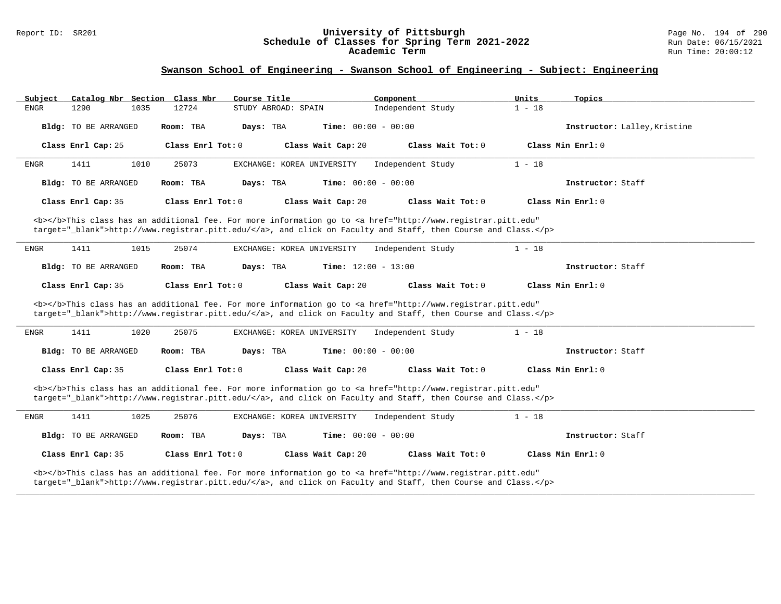#### Report ID: SR201 **University of Pittsburgh** Page No. 194 of 290 **Schedule of Classes for Spring Term 2021-2022** Run Date: 06/15/2021 **Academic Term** Run Time: 20:00:12

| Subject     |                             |      | Catalog Nbr Section Class Nbr | Course Title        |                                                                                                                                                                                                                                    | Component                    |                     | Units    | Topics                       |
|-------------|-----------------------------|------|-------------------------------|---------------------|------------------------------------------------------------------------------------------------------------------------------------------------------------------------------------------------------------------------------------|------------------------------|---------------------|----------|------------------------------|
| <b>ENGR</b> | 1290                        | 1035 | 12724                         | STUDY ABROAD: SPAIN |                                                                                                                                                                                                                                    | Independent Study            |                     | $1 - 18$ |                              |
|             | Bldg: TO BE ARRANGED        |      | Room: TBA                     | Days: TBA           |                                                                                                                                                                                                                                    | Time: $00:00 - 00:00$        |                     |          | Instructor: Lalley, Kristine |
|             | Class Enrl Cap: 25          |      | Class Enrl Tot: 0             |                     | Class Wait Cap: 20                                                                                                                                                                                                                 |                              | Class Wait $Tot: 0$ |          | Class Min Enrl: 0            |
| ENGR        | 1411                        | 1010 | 25073                         |                     | EXCHANGE: KOREA UNIVERSITY                                                                                                                                                                                                         | Independent Study            |                     | $1 - 18$ |                              |
|             | Bldg: TO BE ARRANGED        |      | Room: TBA                     | Days: TBA           |                                                                                                                                                                                                                                    | Time: $00:00 - 00:00$        |                     |          | Instructor: Staff            |
|             | Class Enrl Cap: 35          |      | Class Enrl Tot: 0             |                     | Class Wait Cap: 20                                                                                                                                                                                                                 |                              | Class Wait Tot: 0   |          | Class Min Enrl: 0            |
|             |                             |      |                               |                     | <b></b> This class has an additional fee. For more information go to <a <br="" href="http://www.registrar.pitt.edu">target="_blank"&gt;http://www.registrar.pitt.edu/</a> , and click on Faculty and Staff, then Course and Class. |                              |                     |          |                              |
| ENGR        | 1411                        | 1015 | 25074                         |                     | EXCHANGE: KOREA UNIVERSITY                                                                                                                                                                                                         | Independent Study            |                     | $1 - 18$ |                              |
|             | <b>Bldg:</b> TO BE ARRANGED |      | Room: TBA                     | Days: TBA           |                                                                                                                                                                                                                                    | Time: $12:00 - 13:00$        |                     |          | Instructor: Staff            |
|             | Class Enrl Cap: 35          |      | Class Enrl Tot: 0             |                     | Class Wait Cap: 20                                                                                                                                                                                                                 |                              | Class Wait Tot: 0   |          | Class Min Enrl: 0            |
|             |                             |      |                               |                     | <b></b> This class has an additional fee. For more information go to <a <br="" href="http://www.registrar.pitt.edu">target="_blank"&gt;http://www.registrar.pitt.edu/</a> , and click on Faculty and Staff, then Course and Class. |                              |                     |          |                              |
| <b>ENGR</b> | 1411                        | 1020 | 25075                         |                     | EXCHANGE: KOREA UNIVERSITY                                                                                                                                                                                                         | Independent Study            |                     | $1 - 18$ |                              |
|             | Bldg: TO BE ARRANGED        |      | Room: TBA                     | Days: TBA           |                                                                                                                                                                                                                                    | <b>Time:</b> $00:00 - 00:00$ |                     |          | Instructor: Staff            |
|             | Class Enrl Cap: 35          |      | Class Enrl Tot: 0             |                     | Class Wait Cap: 20                                                                                                                                                                                                                 |                              | Class Wait Tot: 0   |          | Class Min Enrl: 0            |
|             |                             |      |                               |                     | <b></b> This class has an additional fee. For more information go to <a <br="" href="http://www.registrar.pitt.edu">target="_blank"&gt;http://www.registrar.pitt.edu/</a> , and click on Faculty and Staff, then Course and Class. |                              |                     |          |                              |
| ENGR        | 1411                        | 1025 | 25076                         |                     | EXCHANGE: KOREA UNIVERSITY                                                                                                                                                                                                         | Independent Study            |                     | $1 - 18$ |                              |
|             | <b>Bldg:</b> TO BE ARRANGED |      | Room: TBA                     | Days: TBA           |                                                                                                                                                                                                                                    | <b>Time:</b> $00:00 - 00:00$ |                     |          | Instructor: Staff            |
|             | Class Enrl Cap: 35          |      | Class Enrl Tot: 0             |                     | Class Wait Cap: 20                                                                                                                                                                                                                 |                              | Class Wait Tot: 0   |          | Class Min Enrl: 0            |
|             |                             |      |                               |                     | <b></b> This class has an additional fee. For more information go to <a <br="" href="http://www.registrar.pitt.edu">target="_blank"&gt;http://www.registrar.pitt.edu/</a> , and click on Faculty and Staff, then Course and Class. |                              |                     |          |                              |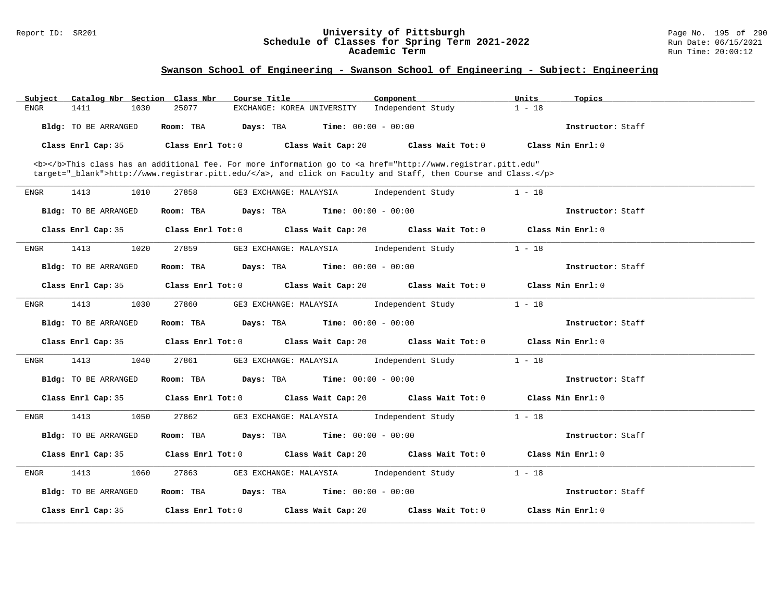#### Report ID: SR201 **University of Pittsburgh** Page No. 195 of 290 **Schedule of Classes for Spring Term 2021-2022** Run Date: 06/15/2021 **Academic Term** Run Time: 20:00:12

| Subject              | Catalog Nbr Section Class Nbr | Course Title               | Component                                                                                                                                                                                                                          | Units<br>Topics   |  |
|----------------------|-------------------------------|----------------------------|------------------------------------------------------------------------------------------------------------------------------------------------------------------------------------------------------------------------------------|-------------------|--|
| 1411<br><b>ENGR</b>  | 1030<br>25077                 | EXCHANGE: KOREA UNIVERSITY | Independent Study                                                                                                                                                                                                                  | $1 - 18$          |  |
| Bldg: TO BE ARRANGED | Room: TBA                     | Days: TBA                  | <b>Time:</b> $00:00 - 00:00$                                                                                                                                                                                                       | Instructor: Staff |  |
| Class Enrl Cap: 35   | Class Enrl Tot: 0             | Class Wait Cap: 20         | Class Wait Tot: 0                                                                                                                                                                                                                  | Class Min Enrl: 0 |  |
|                      |                               |                            | <b></b> This class has an additional fee. For more information go to <a <br="" href="http://www.registrar.pitt.edu">target="_blank"&gt;http://www.registrar.pitt.edu/</a> , and click on Faculty and Staff, then Course and Class. |                   |  |
| <b>ENGR</b><br>1413  | 1010<br>27858                 | GE3 EXCHANGE: MALAYSIA     | Independent Study                                                                                                                                                                                                                  | $1 - 18$          |  |
| Bldg: TO BE ARRANGED | Room: TBA                     | Days: TBA                  | <b>Time:</b> $00:00 - 00:00$                                                                                                                                                                                                       | Instructor: Staff |  |
| Class Enrl Cap: 35   | Class Enrl Tot: 0             | Class Wait Cap: 20         | Class Wait Tot: 0                                                                                                                                                                                                                  | Class Min Enrl: 0 |  |
| 1413<br>ENGR         | 1020<br>27859                 | GE3 EXCHANGE: MALAYSIA     | Independent Study                                                                                                                                                                                                                  | $1 - 18$          |  |
| Bldg: TO BE ARRANGED | Room: TBA                     | Days: TBA                  | <b>Time:</b> $00:00 - 00:00$                                                                                                                                                                                                       | Instructor: Staff |  |
| Class Enrl Cap: 35   | Class Enrl Tot: 0             | Class Wait Cap: 20         | Class Wait Tot: 0                                                                                                                                                                                                                  | Class Min Enrl: 0 |  |
| 1413<br>ENGR         | 1030<br>27860                 | GE3 EXCHANGE: MALAYSIA     | Independent Study                                                                                                                                                                                                                  | $1 - 18$          |  |
| Bldg: TO BE ARRANGED | Room: TBA                     | Days: TBA                  | <b>Time:</b> $00:00 - 00:00$                                                                                                                                                                                                       | Instructor: Staff |  |
| Class Enrl Cap: 35   | Class Enrl Tot: 0             | Class Wait Cap: 20         | Class Wait Tot: 0                                                                                                                                                                                                                  | Class Min Enrl: 0 |  |
| 1413<br>ENGR         | 1040<br>27861                 | GE3 EXCHANGE: MALAYSIA     | Independent Study                                                                                                                                                                                                                  | $1 - 18$          |  |
| Bldg: TO BE ARRANGED | Room: TBA                     | Days: TBA                  | <b>Time:</b> $00:00 - 00:00$                                                                                                                                                                                                       | Instructor: Staff |  |
| Class Enrl Cap: 35   | Class Enrl Tot: 0             | Class Wait Cap: 20         | Class Wait Tot: 0                                                                                                                                                                                                                  | Class Min Enrl: 0 |  |
| 1413<br>ENGR         | 1050<br>27862                 | GE3 EXCHANGE: MALAYSIA     | Independent Study                                                                                                                                                                                                                  | $1 - 18$          |  |
| Bldg: TO BE ARRANGED | Room: TBA                     | Days: TBA                  | <b>Time:</b> $00:00 - 00:00$                                                                                                                                                                                                       | Instructor: Staff |  |
| Class Enrl Cap: 35   | Class Enrl Tot: 0             | Class Wait Cap: 20         | Class Wait Tot: 0                                                                                                                                                                                                                  | Class Min Enrl: 0 |  |
| 1413<br>ENGR         | 1060<br>27863                 | GE3 EXCHANGE: MALAYSIA     | Independent Study                                                                                                                                                                                                                  | $1 - 18$          |  |
| Bldg: TO BE ARRANGED | Room: TBA                     | Days: TBA                  | <b>Time:</b> $00:00 - 00:00$                                                                                                                                                                                                       | Instructor: Staff |  |
| Class Enrl Cap: 35   | Class Enrl Tot: 0             | Class Wait Cap: 20         | Class Wait Tot: 0                                                                                                                                                                                                                  | Class Min Enrl: 0 |  |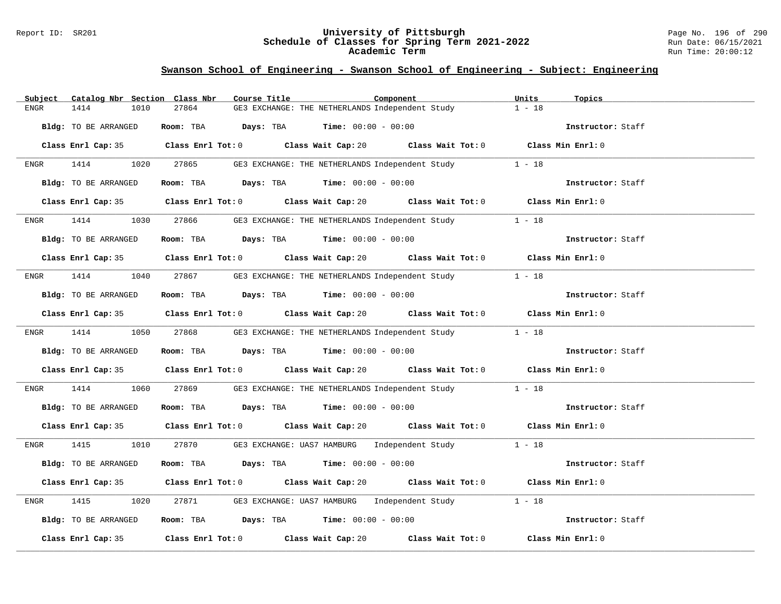#### Report ID: SR201 **University of Pittsburgh** Page No. 196 of 290 **Schedule of Classes for Spring Term 2021-2022** Run Date: 06/15/2021 **Academic Term** Run Time: 20:00:12

| Catalog Nbr Section Class Nbr<br>Subject | Course Title<br>Component                                                                   | Units<br>Topics   |
|------------------------------------------|---------------------------------------------------------------------------------------------|-------------------|
| 1414<br>1010<br>ENGR                     | 27864<br>GE3 EXCHANGE: THE NETHERLANDS Independent Study                                    | $1 - 18$          |
| Bldg: TO BE ARRANGED                     | Room: TBA $Days:$ TBA $Time: 00:00 - 00:00$                                                 | Instructor: Staff |
|                                          | Class Enrl Cap: 35 Class Enrl Tot: 0 Class Wait Cap: 20 Class Wait Tot: 0 Class Min Enrl: 0 |                   |
|                                          | ENGR 1414 1020 27865 GE3 EXCHANGE: THE NETHERLANDS Independent Study                        | $1 - 18$          |
| Bldg: TO BE ARRANGED                     | Room: TBA $Days: TBA$ Time: $00:00 - 00:00$                                                 | Instructor: Staff |
|                                          | Class Enrl Cap: 35 Class Enrl Tot: 0 Class Wait Cap: 20 Class Wait Tot: 0 Class Min Enrl: 0 |                   |
| ENGR                                     | 1414 1030 27866 GE3 EXCHANGE: THE NETHERLANDS Independent Study 1 - 18                      |                   |
| Bldg: TO BE ARRANGED                     | Room: TBA Days: TBA Time: $00:00 - 00:00$                                                   | Instructor: Staff |
|                                          | Class Enrl Cap: 35 Class Enrl Tot: 0 Class Wait Cap: 20 Class Wait Tot: 0 Class Min Enrl: 0 |                   |
| ENGR                                     | 1414 1040 27867 GE3 EXCHANGE: THE NETHERLANDS Independent Study 1 - 18                      |                   |
| Bldg: TO BE ARRANGED                     | Room: TBA $Days:$ TBA $Time: 00:00 - 00:00$                                                 | Instructor: Staff |
|                                          | Class Enrl Cap: 35 Class Enrl Tot: 0 Class Wait Cap: 20 Class Wait Tot: 0 Class Min Enrl: 0 |                   |
|                                          | ENGR 1414 1050 27868 GE3 EXCHANGE: THE NETHERLANDS Independent Study 1 - 18                 |                   |
| Bldg: TO BE ARRANGED                     | Room: TBA $\rule{1em}{0.15mm}$ Days: TBA Time: $00:00 - 00:00$                              | Instructor: Staff |
|                                          | Class Enrl Cap: 35 Class Enrl Tot: 0 Class Wait Cap: 20 Class Wait Tot: 0 Class Min Enrl: 0 |                   |
| 1414<br>1060<br>ENGR                     | 27869 GE3 EXCHANGE: THE NETHERLANDS Independent Study 1 - 18                                |                   |
| Bldg: TO BE ARRANGED                     | Room: TBA $\rule{1em}{0.15mm}$ Days: TBA Time: $00:00 - 00:00$                              | Instructor: Staff |
|                                          | Class Enrl Cap: 35 Class Enrl Tot: 0 Class Wait Cap: 20 Class Wait Tot: 0 Class Min Enrl: 0 |                   |
| ENGR                                     | 1415 1010 27870 GE3 EXCHANGE: UAS7 HAMBURG Independent Study 1 - 18                         |                   |
| Bldg: TO BE ARRANGED                     | Room: TBA $Days:$ TBA Time: $00:00 - 00:00$                                                 | Instructor: Staff |
|                                          | Class Enrl Cap: 35 Class Enrl Tot: 0 Class Wait Cap: 20 Class Wait Tot: 0 Class Min Enrl: 0 |                   |
| 1415<br>1020<br>ENGR                     | 27871 GE3 EXCHANGE: UAS7 HAMBURG Independent Study 1 - 18                                   |                   |
| Bldg: TO BE ARRANGED                     | Room: TBA $Days:$ TBA $Time: 00:00 - 00:00$                                                 | Instructor: Staff |
|                                          | Class Enrl Cap: 35 Class Enrl Tot: 0 Class Wait Cap: 20 Class Wait Tot: 0 Class Min Enrl: 0 |                   |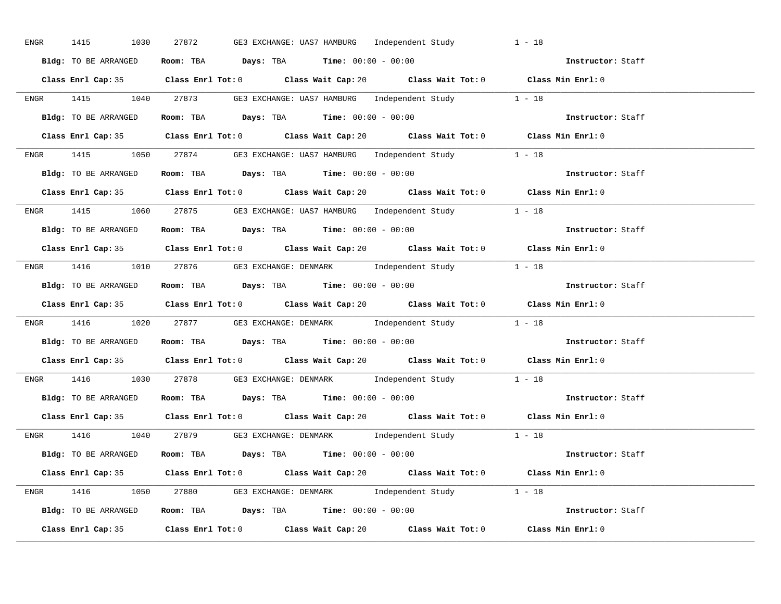| ENGR | 1415 1030            | 27872<br>GE3 EXCHANGE: UAS7 HAMBURG - Independent Study                                     | $1 - 18$          |
|------|----------------------|---------------------------------------------------------------------------------------------|-------------------|
|      | Bldg: TO BE ARRANGED | Room: TBA $Days:$ TBA $Time: 00:00 - 00:00$                                                 | Instructor: Staff |
|      |                      | Class Enrl Cap: 35 Class Enrl Tot: 0 Class Wait Cap: 20 Class Wait Tot: 0 Class Min Enrl: 0 |                   |
|      |                      | ENGR 1415 1040 27873 GE3 EXCHANGE: UAS7 HAMBURG Independent Study 1 - 18                    |                   |
|      | Bldg: TO BE ARRANGED | Room: TBA $Days:$ TBA $Time: 00:00 - 00:00$                                                 | Instructor: Staff |
|      |                      | Class Enrl Cap: 35 Class Enrl Tot: 0 Class Wait Cap: 20 Class Wait Tot: 0 Class Min Enrl: 0 |                   |
|      |                      | ENGR 1415 1050 27874 GE3 EXCHANGE: UAS7 HAMBURG Independent Study 1 - 18                    |                   |
|      |                      | Bldg: TO BE ARRANGED Room: TBA Days: TBA Time: 00:00 - 00:00                                | Instructor: Staff |
|      |                      | Class Enrl Cap: 35 Class Enrl Tot: 0 Class Wait Cap: 20 Class Wait Tot: 0 Class Min Enrl: 0 |                   |
|      |                      | ENGR 1415 1060 27875 GE3 EXCHANGE: UAS7 HAMBURG Independent Study 1 - 18                    |                   |
|      | Bldg: TO BE ARRANGED | Room: TBA $\rule{1em}{0.15mm}$ Days: TBA $\rule{1.15mm}]{0.15mm}$ Time: $0.000 - 0.000$     | Instructor: Staff |
|      |                      | Class Enrl Cap: 35 Class Enrl Tot: 0 Class Wait Cap: 20 Class Wait Tot: 0 Class Min Enrl: 0 |                   |
|      |                      | ENGR 1416 1010 27876 GE3 EXCHANGE: DENMARK Independent Study 1 - 18                         |                   |
|      | Bldg: TO BE ARRANGED | Room: TBA Days: TBA Time: $00:00 - 00:00$                                                   | Instructor: Staff |
|      |                      | Class Enrl Cap: 35 Class Enrl Tot: 0 Class Wait Cap: 20 Class Wait Tot: 0 Class Min Enrl: 0 |                   |
|      |                      | ENGR 1416 1020 27877 GE3 EXCHANGE: DENMARK Independent Study 1 - 18                         |                   |
|      |                      | <b>Bldg:</b> TO BE ARRANGED <b>ROOM:</b> TBA <b>Days:</b> TBA <b>Time:</b> $00:00 - 00:00$  | Instructor: Staff |
|      |                      | Class Enrl Cap: 35 Class Enrl Tot: 0 Class Wait Cap: 20 Class Wait Tot: 0 Class Min Enrl: 0 |                   |
|      |                      | ENGR 1416 1030 27878 GE3 EXCHANGE: DENMARK Independent Study 1 - 18                         |                   |
|      |                      | Bldg: TO BE ARRANGED Room: TBA Days: TBA Time: 00:00 - 00:00                                | Instructor: Staff |
|      |                      | Class Enrl Cap: 35 Class Enrl Tot: 0 Class Wait Cap: 20 Class Wait Tot: 0 Class Min Enrl: 0 |                   |
|      |                      | ENGR 1416 1040 27879 GE3 EXCHANGE: DENMARK Independent Study 1 - 18                         |                   |
|      | Bldg: TO BE ARRANGED | Room: TBA Days: TBA Time: $00:00 - 00:00$                                                   |                   |
|      |                      | Class Enrl Cap: 35 Class Enrl Tot: 0 Class Wait Cap: 20 Class Wait Tot: 0 Class Min Enrl: 0 |                   |
|      |                      | ENGR 1416 1050 27880 GE3 EXCHANGE: DENMARK Independent Study 1 - 18                         |                   |
|      |                      | Bldg: TO BE ARRANGED Room: TBA Days: TBA Time: $00:00 - 00:00$                              |                   |
|      |                      | Class Enrl Cap: 35 Class Enrl Tot: 0 Class Wait Cap: 20 Class Wait Tot: 0                   | Class Min Enrl: 0 |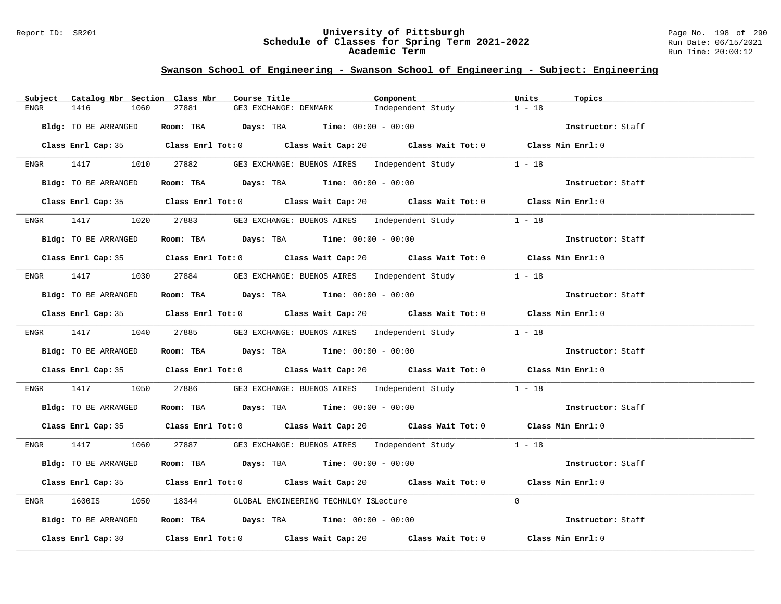#### Report ID: SR201 **University of Pittsburgh** Page No. 198 of 290 **Schedule of Classes for Spring Term 2021-2022** Run Date: 06/15/2021 **Academic Term** Run Time: 20:00:12

| Catalog Nbr Section Class Nbr<br>Subject | Course Title                                                                                | Component         | Units<br>Topics   |
|------------------------------------------|---------------------------------------------------------------------------------------------|-------------------|-------------------|
| 1416<br>1060<br>ENGR                     | 27881<br>GE3 EXCHANGE: DENMARK                                                              | Independent Study | $1 - 18$          |
| Bldg: TO BE ARRANGED                     | Room: TBA $Days:$ TBA $Time: 00:00 - 00:00$                                                 |                   | Instructor: Staff |
|                                          | Class Enrl Cap: 35 Class Enrl Tot: 0 Class Wait Cap: 20 Class Wait Tot: 0 Class Min Enrl: 0 |                   |                   |
|                                          | ENGR 1417 1010 27882 GE3 EXCHANGE: BUENOS AIRES Independent Study 1 - 18                    |                   |                   |
| Bldg: TO BE ARRANGED                     | <b>Room:</b> TBA <b>Days:</b> TBA <b>Time:</b> 00:00 - 00:00                                |                   | Instructor: Staff |
|                                          | Class Enrl Cap: 35 Class Enrl Tot: 0 Class Wait Cap: 20 Class Wait Tot: 0 Class Min Enrl: 0 |                   |                   |
| $ENGR$ 1417                              | 1020 27883 GE3 EXCHANGE: BUENOS AIRES Independent Study                                     |                   | $1 - 18$          |
| Bldg: TO BE ARRANGED                     | Room: TBA $Days:$ TBA $Time: 00:00 - 00:00$                                                 |                   | Instructor: Staff |
|                                          | Class Enrl Cap: 35 Class Enrl Tot: 0 Class Wait Cap: 20 Class Wait Tot: 0 Class Min Enrl: 0 |                   |                   |
|                                          | ENGR 1417 1030 27884 GE3 EXCHANGE: BUENOS AIRES Independent Study                           |                   | $1 - 18$          |
| Bldg: TO BE ARRANGED                     | Room: TBA $Days:$ TBA $Time:$ 00:00 - 00:00                                                 |                   | Instructor: Staff |
|                                          | Class Enrl Cap: 35 Class Enrl Tot: 0 Class Wait Cap: 20 Class Wait Tot: 0 Class Min Enrl: 0 |                   |                   |
|                                          | ENGR 1417 1040 27885 GE3 EXCHANGE: BUENOS AIRES Independent Study 1 - 18                    |                   |                   |
| Bldg: TO BE ARRANGED                     | Room: TBA $\rule{1em}{0.15mm}$ Days: TBA $\rule{1.5mm}{0.15mm}$ Time: $00:00 - 00:00$       |                   | Instructor: Staff |
|                                          | Class Enrl Cap: 35 Class Enrl Tot: 0 Class Wait Cap: 20 Class Wait Tot: 0 Class Min Enrl: 0 |                   |                   |
| 1417<br>ENGR                             | 1050 27886 GE3 EXCHANGE: BUENOS AIRES Independent Study 1 - 18                              |                   |                   |
| Bldg: TO BE ARRANGED                     | Room: TBA $\rule{1em}{0.15mm}$ Days: TBA Time: $00:00 - 00:00$                              |                   | Instructor: Staff |
|                                          | Class Enrl Cap: 35 Class Enrl Tot: 0 Class Wait Cap: 20 Class Wait Tot: 0 Class Min Enrl: 0 |                   |                   |
|                                          | ENGR 1417 1060 27887 GE3 EXCHANGE: BUENOS AIRES Independent Study 1 - 18                    |                   |                   |
| Bldg: TO BE ARRANGED                     | Room: TBA $\rule{1em}{0.15mm}$ Days: TBA Time: $00:00 - 00:00$                              |                   | Instructor: Staff |
|                                          | Class Enrl Cap: 35 Class Enrl Tot: 0 Class Wait Cap: 20 Class Wait Tot: 0 Class Min Enrl: 0 |                   |                   |
| 1600IS<br>ENGR<br>1050                   | 18344 GLOBAL ENGINEERING TECHNLGY ISLecture                                                 |                   | $\Omega$          |
| Bldg: TO BE ARRANGED                     | Room: TBA $\rule{1em}{0.15mm}$ Days: TBA $\rule{1.15mm}{0.15mm}$ Time: $00:00 - 00:00$      |                   | Instructor: Staff |
|                                          | Class Enrl Cap: 30 Class Enrl Tot: 0 Class Wait Cap: 20 Class Wait Tot: 0 Class Min Enrl: 0 |                   |                   |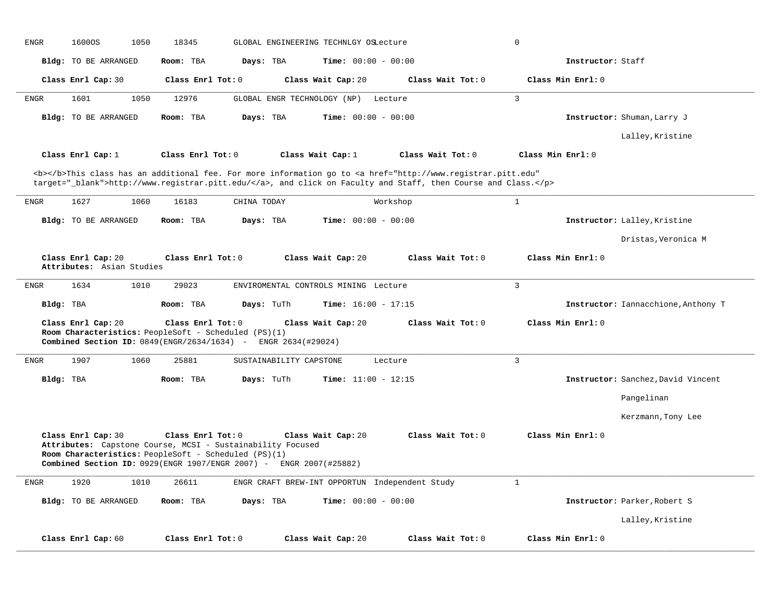| <b>ENGR</b> | 16000S                                          | 18345<br>1050 |                                                                                                                                                                                                               | GLOBAL ENGINEERING TECHNLGY OSLecture          |                              |                                                                                                                                                                                                                                    | 0                 |                   |                                     |
|-------------|-------------------------------------------------|---------------|---------------------------------------------------------------------------------------------------------------------------------------------------------------------------------------------------------------|------------------------------------------------|------------------------------|------------------------------------------------------------------------------------------------------------------------------------------------------------------------------------------------------------------------------------|-------------------|-------------------|-------------------------------------|
|             | Bldg: TO BE ARRANGED                            | Room: TBA     |                                                                                                                                                                                                               | Days: TBA                                      | Time: $00:00 - 00:00$        |                                                                                                                                                                                                                                    |                   | Instructor: Staff |                                     |
|             | Class Enrl Cap: 30                              |               | Class Enrl Tot: 0                                                                                                                                                                                             | Class Wait Cap: 20                             |                              | Class Wait Tot: 0                                                                                                                                                                                                                  |                   | Class Min Enrl: 0 |                                     |
| <b>ENGR</b> | 1601                                            | 1050<br>12976 |                                                                                                                                                                                                               | GLOBAL ENGR TECHNOLOGY (NP)                    | Lecture                      |                                                                                                                                                                                                                                    | $\overline{3}$    |                   |                                     |
|             | Bldg: TO BE ARRANGED                            | Room: TBA     |                                                                                                                                                                                                               | Days: TBA                                      | Time: $00:00 - 00:00$        |                                                                                                                                                                                                                                    |                   |                   | Instructor: Shuman, Larry J         |
|             |                                                 |               |                                                                                                                                                                                                               |                                                |                              |                                                                                                                                                                                                                                    |                   |                   | Lalley, Kristine                    |
|             | Class Enrl Cap: 1                               |               | Class Enrl Tot: 0                                                                                                                                                                                             | Class Wait Cap: 1                              |                              | Class Wait Tot: 0                                                                                                                                                                                                                  | Class Min Enrl: 0 |                   |                                     |
|             |                                                 |               |                                                                                                                                                                                                               |                                                |                              | <b></b> This class has an additional fee. For more information go to <a <br="" href="http://www.registrar.pitt.edu">target="_blank"&gt;http://www.registrar.pitt.edu/</a> , and click on Faculty and Staff, then Course and Class. |                   |                   |                                     |
| ENGR        | 1627                                            | 1060<br>16183 | CHINA TODAY                                                                                                                                                                                                   |                                                |                              | Workshop                                                                                                                                                                                                                           | $\mathbf{1}$      |                   |                                     |
|             | Bldg: TO BE ARRANGED                            | Room: TBA     |                                                                                                                                                                                                               | Days: TBA                                      | <b>Time:</b> $00:00 - 00:00$ |                                                                                                                                                                                                                                    |                   |                   | Instructor: Lalley, Kristine        |
|             |                                                 |               |                                                                                                                                                                                                               |                                                |                              |                                                                                                                                                                                                                                    |                   |                   | Dristas, Veronica M                 |
|             | Class Enrl Cap: 20<br>Attributes: Asian Studies |               | Class Enrl Tot: 0                                                                                                                                                                                             | Class Wait Cap: 20                             |                              | Class Wait Tot: 0                                                                                                                                                                                                                  |                   | Class Min Enrl: 0 |                                     |
| <b>ENGR</b> | 1634                                            | 1010<br>29023 |                                                                                                                                                                                                               | ENVIROMENTAL CONTROLS MINING Lecture           |                              |                                                                                                                                                                                                                                    | $\overline{3}$    |                   |                                     |
| Bldg: TBA   |                                                 | Room: TBA     |                                                                                                                                                                                                               | Days: TuTh                                     | Time: $16:00 - 17:15$        |                                                                                                                                                                                                                                    |                   |                   | Instructor: Iannacchione, Anthony T |
|             | Class Enrl Cap: 20                              |               | Class Enrl Tot: 0<br>Room Characteristics: PeopleSoft - Scheduled (PS)(1)<br>Combined Section ID: 0849(ENGR/2634/1634) - ENGR 2634(#29024)                                                                    | Class Wait Cap: 20                             |                              | Class Wait Tot: 0                                                                                                                                                                                                                  |                   | Class Min Enrl: 0 |                                     |
| <b>ENGR</b> | 1907                                            | 1060<br>25881 |                                                                                                                                                                                                               | SUSTAINABILITY CAPSTONE                        | Lecture                      |                                                                                                                                                                                                                                    | $\overline{3}$    |                   |                                     |
| Bldg: TBA   |                                                 | Room: TBA     |                                                                                                                                                                                                               | Days: TuTh                                     | <b>Time:</b> $11:00 - 12:15$ |                                                                                                                                                                                                                                    |                   |                   | Instructor: Sanchez, David Vincent  |
|             |                                                 |               |                                                                                                                                                                                                               |                                                |                              |                                                                                                                                                                                                                                    |                   |                   | Pangelinan                          |
|             |                                                 |               |                                                                                                                                                                                                               |                                                |                              |                                                                                                                                                                                                                                    |                   |                   | Kerzmann, Tony Lee                  |
|             | Class Enrl Cap: 30                              |               | Class Enrl Tot: 0<br>Attributes: Capstone Course, MCSI - Sustainability Focused<br>Room Characteristics: PeopleSoft - Scheduled (PS)(1)<br>Combined Section ID: 0929(ENGR 1907/ENGR 2007) - ENGR 2007(#25882) | Class Wait Cap: 20                             |                              | Class Wait Tot: 0                                                                                                                                                                                                                  |                   | Class Min Enrl: 0 |                                     |
| <b>ENGR</b> | 1920                                            | 1010<br>26611 |                                                                                                                                                                                                               | ENGR CRAFT BREW-INT OPPORTUN Independent Study |                              |                                                                                                                                                                                                                                    | $\mathbf{1}$      |                   |                                     |
|             | <b>Bldg:</b> TO BE ARRANGED                     | Room: TBA     |                                                                                                                                                                                                               | Days: TBA                                      | <b>Time:</b> $00:00 - 00:00$ |                                                                                                                                                                                                                                    |                   |                   | Instructor: Parker, Robert S        |
|             |                                                 |               |                                                                                                                                                                                                               |                                                |                              |                                                                                                                                                                                                                                    |                   |                   | Lalley, Kristine                    |
|             | Class Enrl Cap: 60                              |               | Class Enrl Tot: 0                                                                                                                                                                                             | Class Wait Cap: 20                             |                              | Class Wait Tot: 0                                                                                                                                                                                                                  |                   | Class Min Enrl: 0 |                                     |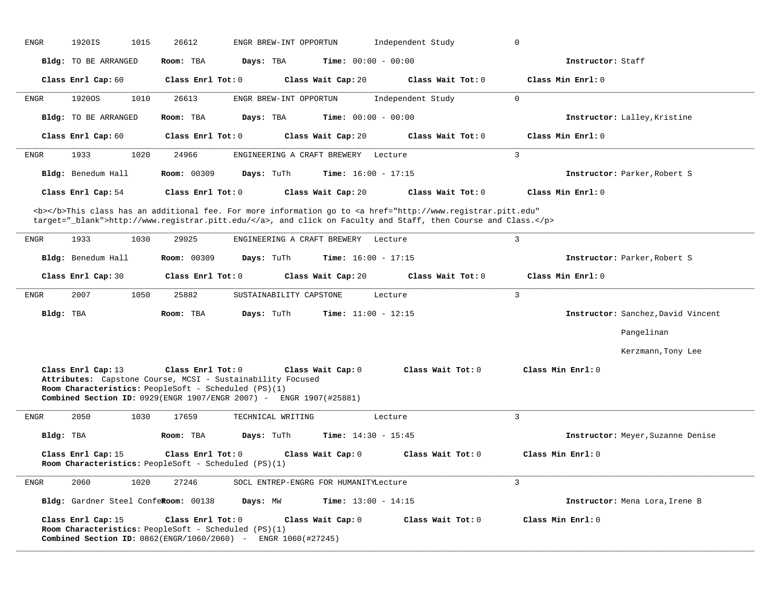| <b>ENGR</b> | 1920IS                                                                                                                                                                                                           | 1015 | 26612               |                   | ENGR BREW-INT OPPORTUN                |                              |         | Independent Study                                                                                                                                                                                                                  | $\mathbf 0$    |                   |                                    |
|-------------|------------------------------------------------------------------------------------------------------------------------------------------------------------------------------------------------------------------|------|---------------------|-------------------|---------------------------------------|------------------------------|---------|------------------------------------------------------------------------------------------------------------------------------------------------------------------------------------------------------------------------------------|----------------|-------------------|------------------------------------|
|             | Bldg: TO BE ARRANGED                                                                                                                                                                                             |      | Room: TBA           | Days: TBA         |                                       | Time: $00:00 - 00:00$        |         |                                                                                                                                                                                                                                    |                | Instructor: Staff |                                    |
|             | Class Enrl Cap: 60                                                                                                                                                                                               |      | Class Enrl Tot: 0   |                   |                                       | Class Wait Cap: 20           |         | Class Wait Tot: 0                                                                                                                                                                                                                  |                | Class Min Enrl: 0 |                                    |
| ENGR        | 1920OS                                                                                                                                                                                                           | 1010 | 26613               |                   | ENGR BREW-INT OPPORTUN                |                              |         | Independent Study                                                                                                                                                                                                                  | $\mathbf 0$    |                   |                                    |
|             | Bldg: TO BE ARRANGED                                                                                                                                                                                             |      | Room: TBA           | Days: TBA         |                                       | <b>Time:</b> $00:00 - 00:00$ |         |                                                                                                                                                                                                                                    |                |                   | Instructor: Lalley, Kristine       |
|             | Class Enrl Cap: 60                                                                                                                                                                                               |      | Class Enrl Tot: $0$ |                   |                                       | Class Wait Cap: 20           |         | Class Wait Tot: 0                                                                                                                                                                                                                  |                | Class Min Enrl: 0 |                                    |
| <b>ENGR</b> | 1933                                                                                                                                                                                                             | 1020 | 24966               |                   | ENGINEERING A CRAFT BREWERY Lecture   |                              |         |                                                                                                                                                                                                                                    | 3              |                   |                                    |
|             | Bldg: Benedum Hall                                                                                                                                                                                               |      | <b>Room: 00309</b>  | Days: TuTh        |                                       | <b>Time:</b> $16:00 - 17:15$ |         |                                                                                                                                                                                                                                    |                |                   | Instructor: Parker, Robert S       |
|             | Class Enrl Cap: 54                                                                                                                                                                                               |      | Class Enrl Tot: 0   |                   |                                       | Class Wait Cap: 20           |         | Class Wait Tot: 0                                                                                                                                                                                                                  |                | Class Min Enrl: 0 |                                    |
|             |                                                                                                                                                                                                                  |      |                     |                   |                                       |                              |         | <b></b> This class has an additional fee. For more information go to <a <br="" href="http://www.registrar.pitt.edu">target="_blank"&gt;http://www.registrar.pitt.edu/</a> , and click on Faculty and Staff, then Course and Class. |                |                   |                                    |
| <b>ENGR</b> | 1933                                                                                                                                                                                                             | 1030 | 29025               |                   | ENGINEERING A CRAFT BREWERY Lecture   |                              |         |                                                                                                                                                                                                                                    | $\overline{3}$ |                   |                                    |
|             | Bldg: Benedum Hall                                                                                                                                                                                               |      | Room: 00309         | Days: TuTh        |                                       | <b>Time:</b> $16:00 - 17:15$ |         |                                                                                                                                                                                                                                    |                |                   | Instructor: Parker, Robert S       |
|             | Class Enrl Cap: 30                                                                                                                                                                                               |      | Class Enrl Tot: 0   |                   |                                       | Class Wait Cap: 20           |         | Class Wait Tot: 0                                                                                                                                                                                                                  |                | Class Min Enrl: 0 |                                    |
| ENGR        | 2007                                                                                                                                                                                                             | 1050 | 25882               |                   | SUSTAINABILITY CAPSTONE               |                              | Lecture |                                                                                                                                                                                                                                    | $\overline{3}$ |                   |                                    |
| Bldg: TBA   |                                                                                                                                                                                                                  |      | Room: TBA           | Days: TuTh        |                                       | Time: $11:00 - 12:15$        |         |                                                                                                                                                                                                                                    |                |                   | Instructor: Sanchez, David Vincent |
|             |                                                                                                                                                                                                                  |      |                     |                   |                                       |                              |         |                                                                                                                                                                                                                                    |                |                   | Pangelinan                         |
|             |                                                                                                                                                                                                                  |      |                     |                   |                                       |                              |         |                                                                                                                                                                                                                                    |                |                   | Kerzmann, Tony Lee                 |
|             | Class Enrl Cap: 13<br>Attributes: Capstone Course, MCSI - Sustainability Focused<br>Room Characteristics: PeopleSoft - Scheduled (PS)(1)<br>Combined Section ID: 0929 (ENGR 1907/ENGR 2007) - ENGR 1907 (#25881) |      | Class Enrl Tot: 0   |                   |                                       | Class Wait Cap: 0            |         | Class Wait Tot: 0                                                                                                                                                                                                                  |                | Class Min Enrl: 0 |                                    |
| <b>ENGR</b> | 2050                                                                                                                                                                                                             | 1030 | 17659               | TECHNICAL WRITING |                                       |                              | Lecture |                                                                                                                                                                                                                                    | $\overline{3}$ |                   |                                    |
| Bldg: TBA   |                                                                                                                                                                                                                  |      | Room: TBA           | Days: TuTh        |                                       | <b>Time:</b> $14:30 - 15:45$ |         |                                                                                                                                                                                                                                    |                |                   | Instructor: Meyer, Suzanne Denise  |
|             | Class Enrl Cap: 15<br>Room Characteristics: PeopleSoft - Scheduled (PS)(1)                                                                                                                                       |      | Class Enrl Tot: 0   |                   |                                       | Class Wait Cap: 0            |         | Class Wait Tot: 0                                                                                                                                                                                                                  |                | Class Min Enrl: 0 |                                    |
| <b>ENGR</b> | 2060                                                                                                                                                                                                             | 1020 | 27246               |                   | SOCL ENTREP-ENGRG FOR HUMANITYLecture |                              |         |                                                                                                                                                                                                                                    | $\overline{3}$ |                   |                                    |
|             | Bldg: Gardner Steel ConfeRoom: 00138                                                                                                                                                                             |      |                     | Days: MW          |                                       | <b>Time:</b> $13:00 - 14:15$ |         |                                                                                                                                                                                                                                    |                |                   | Instructor: Mena Lora, Irene B     |
|             | Class Enrl Cap: 15<br>Room Characteristics: PeopleSoft - Scheduled (PS)(1)<br><b>Combined Section ID:</b> 0862(ENGR/1060/2060) - ENGR 1060(#27245)                                                               |      | Class Enrl Tot: 0   |                   |                                       | Class Wait Cap: 0            |         | Class Wait Tot: 0                                                                                                                                                                                                                  |                | Class Min Enrl: 0 |                                    |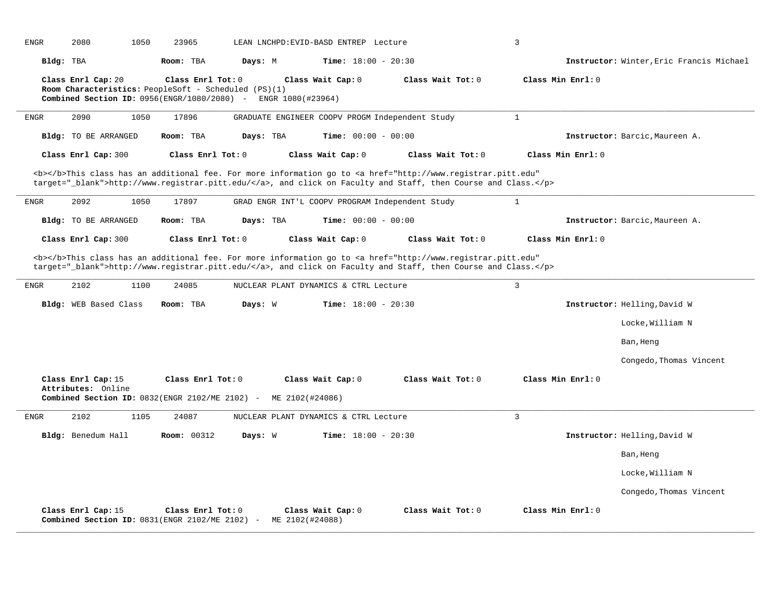| <b>ENGR</b>  | 2080                        | 1050 | 23965                                                                                                                       |           | LEAN LNCHPD: EVID-BASD ENTREP Lecture                                                                                                                                                                                              |                              |                   | $\overline{3}$    |                   |                                          |
|--------------|-----------------------------|------|-----------------------------------------------------------------------------------------------------------------------------|-----------|------------------------------------------------------------------------------------------------------------------------------------------------------------------------------------------------------------------------------------|------------------------------|-------------------|-------------------|-------------------|------------------------------------------|
| Bldg: TBA    |                             |      | Room: TBA                                                                                                                   | Days: M   |                                                                                                                                                                                                                                    | <b>Time:</b> $18:00 - 20:30$ |                   |                   |                   | Instructor: Winter, Eric Francis Michael |
|              | Class Enrl Cap: 20          |      | Class Enrl Tot: 0<br>Room Characteristics: PeopleSoft - Scheduled (PS)(1)<br>Combined Section ID: $0956$ (ENGR/1080/2080) - |           | Class Wait Cap: 0<br>ENGR 1080(#23964)                                                                                                                                                                                             |                              | Class Wait Tot: 0 | Class Min Enrl: 0 |                   |                                          |
| <b>ENGR</b>  | 2090                        | 1050 | 17896                                                                                                                       |           | GRADUATE ENGINEER COOPV PROGM Independent Study                                                                                                                                                                                    |                              |                   | $\mathbf{1}$      |                   |                                          |
|              | <b>Bldg:</b> TO BE ARRANGED |      | Room: TBA                                                                                                                   | Days: TBA |                                                                                                                                                                                                                                    | <b>Time:</b> $00:00 - 00:00$ |                   |                   |                   | Instructor: Barcic, Maureen A.           |
|              | Class Enrl Cap: 300         |      | Class Enrl Tot: 0                                                                                                           |           | Class Wait Cap: 0                                                                                                                                                                                                                  |                              | Class Wait Tot: 0 |                   | Class Min Enrl: 0 |                                          |
|              |                             |      |                                                                                                                             |           | <b></b> This class has an additional fee. For more information go to <a <br="" href="http://www.registrar.pitt.edu">target="_blank"&gt;http://www.registrar.pitt.edu/</a> , and click on Faculty and Staff, then Course and Class. |                              |                   |                   |                   |                                          |
| <b>ENGR</b>  | 2092                        | 1050 | 17897                                                                                                                       |           | GRAD ENGR INT'L COOPV PROGRAM Independent Study                                                                                                                                                                                    |                              |                   | $\mathbf{1}$      |                   |                                          |
|              | Bldg: TO BE ARRANGED        |      | Room: TBA                                                                                                                   | Days: TBA |                                                                                                                                                                                                                                    | <b>Time:</b> $00:00 - 00:00$ |                   |                   |                   | Instructor: Barcic, Maureen A.           |
|              | Class Enrl Cap: 300         |      | Class Enr1 Tot: 0                                                                                                           |           | Class Wait Cap: 0                                                                                                                                                                                                                  |                              | Class Wait Tot: 0 |                   | Class Min Enrl: 0 |                                          |
|              |                             |      |                                                                                                                             |           | <b></b> This class has an additional fee. For more information go to <a <br="" href="http://www.registrar.pitt.edu">target="_blank"&gt;http://www.registrar.pitt.edu/</a> , and click on Faculty and Staff, then Course and Class. |                              |                   |                   |                   |                                          |
| <b>ENGR</b>  | 2102                        | 1100 | 24085                                                                                                                       |           | NUCLEAR PLANT DYNAMICS & CTRL Lecture                                                                                                                                                                                              |                              |                   | 3                 |                   |                                          |
|              | Bldg: WEB Based Class       |      | Room: TBA                                                                                                                   | Days: W   |                                                                                                                                                                                                                                    | <b>Time:</b> $18:00 - 20:30$ |                   |                   |                   | Instructor: Helling, David W             |
|              |                             |      |                                                                                                                             |           |                                                                                                                                                                                                                                    |                              |                   |                   |                   | Locke, William N                         |
|              |                             |      |                                                                                                                             |           |                                                                                                                                                                                                                                    |                              |                   |                   |                   | Ban, Heng                                |
|              |                             |      |                                                                                                                             |           |                                                                                                                                                                                                                                    |                              |                   |                   |                   | Congedo, Thomas Vincent                  |
|              | Class Enrl Cap: 15          |      | Class Enrl Tot: 0                                                                                                           |           | Class Wait Cap: 0                                                                                                                                                                                                                  |                              | Class Wait Tot: 0 | Class Min Enrl: 0 |                   |                                          |
|              | Attributes: Online          |      |                                                                                                                             |           | <b>Combined Section ID:</b> $0832$ (ENGR 2102/ME 2102) - ME 2102 (#24086)                                                                                                                                                          |                              |                   |                   |                   |                                          |
| ${\tt ENGR}$ | 2102                        | 1105 | 24087                                                                                                                       |           | NUCLEAR PLANT DYNAMICS & CTRL Lecture                                                                                                                                                                                              |                              |                   | $\overline{3}$    |                   |                                          |
|              | Bldg: Benedum Hall          |      | <b>Room: 00312</b>                                                                                                          | Days: W   |                                                                                                                                                                                                                                    | <b>Time:</b> $18:00 - 20:30$ |                   |                   |                   | Instructor: Helling, David W             |
|              |                             |      |                                                                                                                             |           |                                                                                                                                                                                                                                    |                              |                   |                   |                   | Ban, Heng                                |
|              |                             |      |                                                                                                                             |           |                                                                                                                                                                                                                                    |                              |                   |                   |                   | Locke, William N                         |
|              |                             |      |                                                                                                                             |           |                                                                                                                                                                                                                                    |                              |                   |                   |                   | Congedo, Thomas Vincent                  |
|              | Class Enrl Cap: 15          |      | Class Enrl Tot: 0                                                                                                           |           | Class Wait Cap: 0<br>Combined Section ID: 0831(ENGR 2102/ME 2102) - ME 2102(#24088)                                                                                                                                                |                              | Class Wait Tot: 0 | Class Min Enrl: 0 |                   |                                          |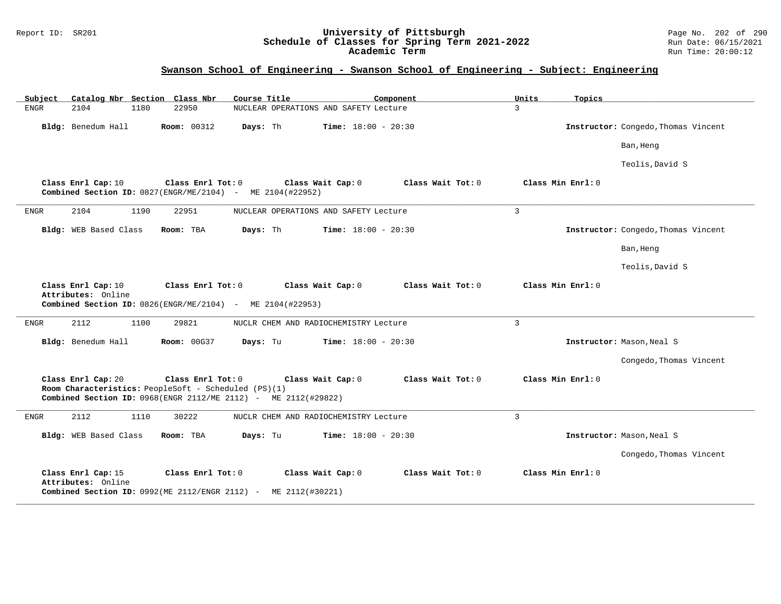#### Report ID: SR201 **University of Pittsburgh** Page No. 202 of 290 **Schedule of Classes for Spring Term 2021-2022** Run Date: 06/15/2021 **Academic Term** Run Time: 20:00:12

| Catalog Nbr Section Class Nbr<br>Subject                                   | Course Title                                                                                                        | Component         | Units<br>Topics   |                                     |
|----------------------------------------------------------------------------|---------------------------------------------------------------------------------------------------------------------|-------------------|-------------------|-------------------------------------|
| <b>ENGR</b><br>2104<br>1180                                                | 22950<br>NUCLEAR OPERATIONS AND SAFETY Lecture                                                                      |                   | $\mathcal{L}$     |                                     |
| Bldg: Benedum Hall                                                         | <b>Room: 00312</b><br><b>Time:</b> $18:00 - 20:30$<br>Days: Th                                                      |                   |                   | Instructor: Congedo, Thomas Vincent |
|                                                                            |                                                                                                                     |                   |                   | Ban, Heng                           |
|                                                                            |                                                                                                                     |                   |                   | Teolis, David S                     |
| Class Enrl Cap: 10                                                         | Class Enrl Tot: 0<br>Class Wait Cap: 0<br>Combined Section ID: 0827(ENGR/ME/2104) - ME 2104(#22952)                 | Class Wait Tot: 0 | Class Min Enrl: 0 |                                     |
| ENGR<br>2104<br>1190                                                       | 22951<br>NUCLEAR OPERATIONS AND SAFETY Lecture                                                                      |                   | $\overline{3}$    |                                     |
| Bldg: WEB Based Class                                                      | Room: TBA<br>Days: Th<br><b>Time:</b> $18:00 - 20:30$                                                               |                   |                   | Instructor: Congedo, Thomas Vincent |
|                                                                            |                                                                                                                     |                   |                   | Ban, Heng                           |
|                                                                            |                                                                                                                     |                   |                   | Teolis, David S                     |
| Class Enrl Cap: 10<br>Attributes: Online                                   | Class Enrl Tot: 0<br>Class Wait Cap: 0<br>Combined Section ID: 0826(ENGR/ME/2104) - ME 2104(#22953)                 | Class Wait Tot: 0 | Class Min Enrl: 0 |                                     |
| 2112<br>1100<br>ENGR                                                       | 29821<br>NUCLR CHEM AND RADIOCHEMISTRY Lecture                                                                      |                   | $\overline{3}$    |                                     |
| Bldg: Benedum Hall                                                         | <b>Room: 00G37</b><br>Days: Tu<br><b>Time:</b> $18:00 - 20:30$                                                      |                   |                   | Instructor: Mason, Neal S           |
|                                                                            |                                                                                                                     |                   |                   | Congedo, Thomas Vincent             |
| Class Enrl Cap: 20<br>Room Characteristics: PeopleSoft - Scheduled (PS)(1) | Class Enrl Tot: 0<br>Class Wait Cap: 0<br>Combined Section ID: 0968(ENGR 2112/ME 2112) - ME 2112(#29822)            | Class Wait Tot: 0 | Class Min Enrl: 0 |                                     |
| 2112<br><b>ENGR</b><br>1110                                                | 30222<br>NUCLR CHEM AND RADIOCHEMISTRY Lecture                                                                      |                   | $\mathbf{3}$      |                                     |
| Bldg: WEB Based Class                                                      | Room: TBA<br>Days: Tu<br><b>Time:</b> $18:00 - 20:30$                                                               |                   |                   | Instructor: Mason, Neal S           |
|                                                                            |                                                                                                                     |                   |                   | Congedo, Thomas Vincent             |
| Class Enrl Cap: 15<br>Attributes: Online                                   | Class Wait Cap: 0<br>Class Enrl Tot: 0<br><b>Combined Section ID:</b> $0992(ME 2112/ENGR 2112)$ - ME $2112(#30221)$ | Class Wait Tot: 0 | Class Min Enrl: 0 |                                     |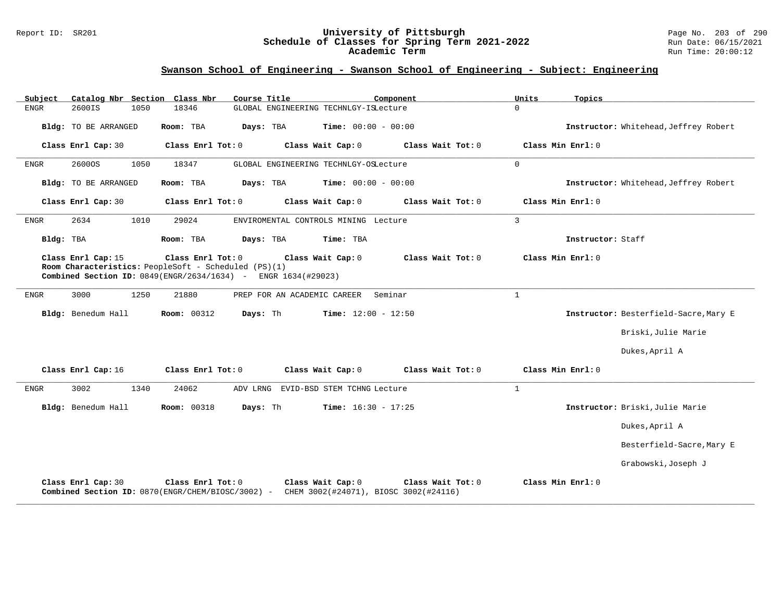#### Report ID: SR201 **University of Pittsburgh** Page No. 203 of 290 **Schedule of Classes for Spring Term 2021-2022** Run Date: 06/15/2021 **Academic Term** Run Time: 20:00:12

| Subject<br>Catalog Nbr Section Class Nbr | Course Title                                                                                   | Component                                                  | Units<br>Topics                       |
|------------------------------------------|------------------------------------------------------------------------------------------------|------------------------------------------------------------|---------------------------------------|
| <b>ENGR</b><br>2600IS<br>1050            | GLOBAL ENGINEERING TECHNLGY-ISLecture<br>18346                                                 |                                                            | $\Omega$                              |
| <b>Bldg:</b> TO BE ARRANGED              | Room: TBA<br>Days: TBA                                                                         | <b>Time:</b> $00:00 - 00:00$                               | Instructor: Whitehead, Jeffrey Robert |
| Class Enrl Cap: 30                       | Class Enrl Tot: 0<br>Class Wait Cap: 0                                                         | Class Wait Tot: 0                                          | Class Min Enrl: 0                     |
| 26000S<br>1050<br><b>ENGR</b>            | 18347<br>GLOBAL ENGINEERING TECHNLGY-OSLecture                                                 |                                                            | $\Omega$                              |
| <b>Bldg:</b> TO BE ARRANGED              | Days: TBA<br>Room: TBA                                                                         | <b>Time:</b> $00:00 - 00:00$                               | Instructor: Whitehead, Jeffrey Robert |
| Class Enrl Cap: 30                       | Class Enrl Tot: 0<br>Class Wait Cap: 0                                                         | Class Wait Tot: 0                                          | Class Min Enrl: 0                     |
| 2634<br>1010<br>ENGR                     | 29024<br>ENVIROMENTAL CONTROLS MINING Lecture                                                  |                                                            | $\overline{3}$                        |
| Bldg: TBA                                | Room: TBA<br>Days: TBA<br>Time: TBA                                                            |                                                            | Instructor: Staff                     |
| Class Enrl Cap: 15                       | Class Wait Cap: 0<br>Class Enrl Tot: 0<br>Room Characteristics: PeopleSoft - Scheduled (PS)(1) | Class Wait Tot: 0                                          | Class Min Enrl: 0                     |
|                                          | Combined Section ID: 0849(ENGR/2634/1634) - ENGR 1634(#29023)                                  |                                                            |                                       |
| 3000<br>1250<br><b>ENGR</b>              | 21880<br>PREP FOR AN ACADEMIC CAREER                                                           | Seminar                                                    | $\mathbf{1}$                          |
| Bldg: Benedum Hall                       | <b>Room: 00312</b><br>Days: Th                                                                 | <b>Time:</b> $12:00 - 12:50$                               | Instructor: Besterfield-Sacre, Mary E |
|                                          |                                                                                                |                                                            | Briski, Julie Marie                   |
|                                          |                                                                                                |                                                            | Dukes, April A                        |
| Class Enrl Cap: 16                       | Class Enrl Tot: 0<br>Class Wait Cap: 0                                                         | Class Wait Tot: 0                                          | Class Min Enrl: 0                     |
| 3002<br>1340<br>ENGR                     | 24062<br>ADV LRNG EVID-BSD STEM TCHNG Lecture                                                  |                                                            | $\mathbf{1}$                          |
| Bldg: Benedum Hall                       | Days: Th<br><b>Room: 00318</b>                                                                 | <b>Time:</b> $16:30 - 17:25$                               | Instructor: Briski, Julie Marie       |
|                                          |                                                                                                |                                                            | Dukes, April A                        |
|                                          |                                                                                                |                                                            | Besterfield-Sacre, Mary E             |
|                                          |                                                                                                |                                                            | Grabowski, Joseph J                   |
| Class Enrl Cap: 30                       | Class Wait Cap: 0<br>Class Enrl Tot: 0<br>Combined Section ID: 0870(ENGR/CHEM/BIOSC/3002) -    | Class Wait Tot: 0<br>CHEM 3002(#24071), BIOSC 3002(#24116) | Class Min Enrl: 0                     |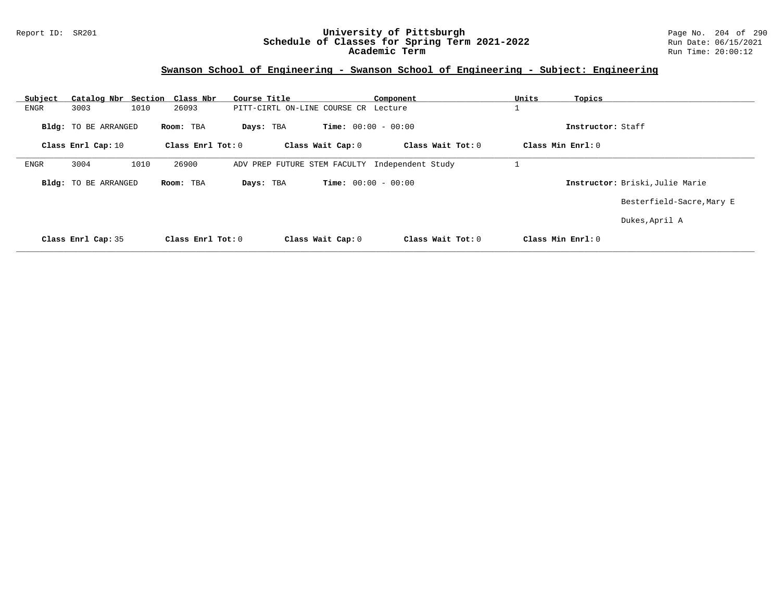#### Report ID: SR201 **University of Pittsburgh** Page No. 204 of 290 **Schedule of Classes for Spring Term 2021-2022** Run Date: 06/15/2021 **Academic Term** Run Time: 20:00:12

| Subject | Catalog Nbr Section  | Class Nbr         | Course Title                         |                              | Component         | Units | Topics                          |
|---------|----------------------|-------------------|--------------------------------------|------------------------------|-------------------|-------|---------------------------------|
| ENGR    | 3003                 | 1010<br>26093     | PITT-CIRTL ON-LINE COURSE CR Lecture |                              |                   |       |                                 |
|         | Bldg: TO BE ARRANGED | Room: TBA         | Days: TBA                            | <b>Time:</b> $00:00 - 00:00$ |                   |       | Instructor: Staff               |
|         | Class Enrl Cap: 10   | Class Enrl Tot: 0 |                                      | Class Wait Cap: 0            | Class Wait Tot: 0 |       | Class Min Enrl: 0               |
| ENGR    | 3004                 | 1010<br>26900     | ADV PREP FUTURE STEM FACULTY         |                              | Independent Study |       |                                 |
|         | Bldg: TO BE ARRANGED | Room: TBA         | Days: TBA                            | <b>Time:</b> $00:00 - 00:00$ |                   |       | Instructor: Briski, Julie Marie |
|         |                      |                   |                                      |                              |                   |       | Besterfield-Sacre, Mary E       |
|         |                      |                   |                                      |                              |                   |       | Dukes, April A                  |
|         | Class Enrl Cap: 35   | Class Enrl Tot: 0 |                                      | Class Wait Cap: 0            | Class Wait Tot: 0 |       | Class Min Enrl: 0               |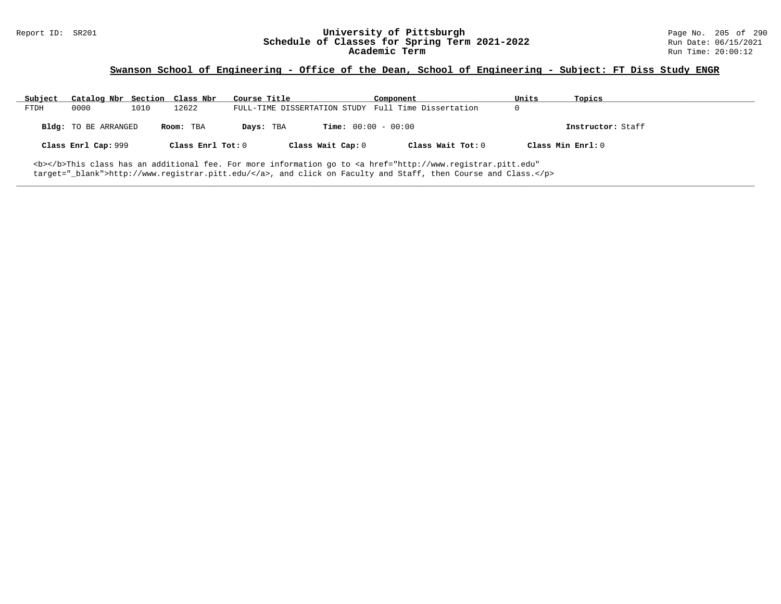# Report ID: SR201 **1998 Mixersity of Pittsburgh University of Pittsburgh** Page No. 205 of 290 Page No. 205 of 290<br>**Schedule of Classes for Spring Term 2021-2022** Run Date: 06/15/2021 Schedule of Classes for Spring Term 2021-2022<br>Academic Term

## **Swanson School of Engineering - Office of the Dean, School of Engineering - Subject: FT Diss Study ENGR**

| Subject | Catalog Nbr Section Class Nbr |      |                   | Course Title |                              | Component                                                                                                                                               | Units | Topics            |  |
|---------|-------------------------------|------|-------------------|--------------|------------------------------|---------------------------------------------------------------------------------------------------------------------------------------------------------|-------|-------------------|--|
| FTDH    | 0000                          | 1010 | 12622             |              |                              | FULL-TIME DISSERTATION STUDY Full Time Dissertation                                                                                                     |       |                   |  |
|         | Bldg: TO BE ARRANGED          |      | Room: TBA         | Days: TBA    | <b>Time:</b> $00:00 - 00:00$ |                                                                                                                                                         |       | Instructor: Staff |  |
|         | Class Enrl Cap: 999           |      | Class Enrl Tot: 0 |              | Class Wait Cap: 0            | Class Wait Tot: 0                                                                                                                                       |       | Class Min Enrl: 0 |  |
|         |                               |      |                   |              |                              | <b></b> This class has an additional fee. For more information go to <a <="" href="http://www.registrar.pitt.edu" td=""><td></td><td></td><td></td></a> |       |                   |  |

**\_\_\_\_\_\_\_\_\_\_\_\_\_\_\_\_\_\_\_\_\_\_\_\_\_\_\_\_\_\_\_\_\_\_\_\_\_\_\_\_\_\_\_\_\_\_\_\_\_\_\_\_\_\_\_\_\_\_\_\_\_\_\_\_\_\_\_\_\_\_\_\_\_\_\_\_\_\_\_\_\_\_\_\_\_\_\_\_\_\_\_\_\_\_\_\_\_\_\_\_\_\_\_\_\_\_\_\_\_\_\_\_\_\_\_\_\_\_\_\_\_\_\_\_\_\_\_\_\_\_\_\_\_\_\_\_\_\_\_\_\_\_\_\_\_\_\_\_\_\_\_\_\_\_\_\_**

target="\_blank">http://www.registrar.pitt.edu/</a>, and click on Faculty and Staff, then Course and Class.</p>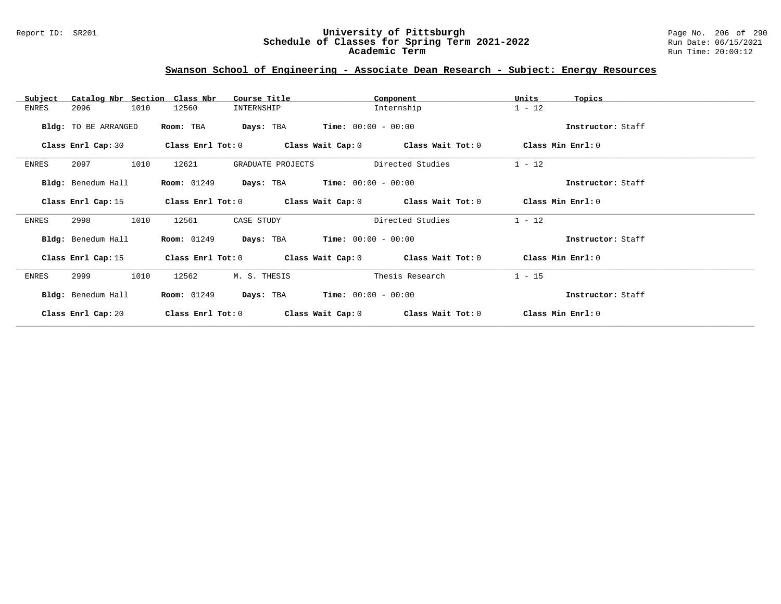#### Report ID: SR201 **University of Pittsburgh** Page No. 206 of 290 **Schedule of Classes for Spring Term 2021-2022** Run Date: 06/15/2021 **Academic Term** Run Time: 20:00:12

# **Swanson School of Engineering - Associate Dean Research - Subject: Energy Resources**

| Subject | Catalog Nbr Section  | Class Nbr               | Course Title      |                       | Component                                                   | Units             | Topics            |
|---------|----------------------|-------------------------|-------------------|-----------------------|-------------------------------------------------------------|-------------------|-------------------|
| ENRES   | 2096<br>1010         | 12560                   | INTERNSHIP        |                       | Internship                                                  | $1 - 12$          |                   |
|         | Bldg: TO BE ARRANGED | Room: TBA               | Days: TBA         | $Time: 00:00 - 00:00$ |                                                             |                   | Instructor: Staff |
|         | Class Enrl Cap: 30   | Class Enrl Tot: 0       |                   |                       | Class Wait Cap: 0 Class Wait Tot: 0                         | Class Min Enrl: 0 |                   |
| ENRES   | 2097<br>1010         | 12621                   | GRADUATE PROJECTS |                       | Directed Studies                                            | $1 - 12$          |                   |
|         | Bldg: Benedum Hall   | <b>Room: 01249</b>      | Days: TBA         | $Time: 00:00 - 00:00$ |                                                             |                   | Instructor: Staff |
|         | Class Enrl Cap: 15   | $Class$ $Enrl$ $Tot: 0$ |                   |                       | Class Wait Cap: 0 Class Wait Tot: 0                         | Class Min Enrl: 0 |                   |
| ENRES   | 2998<br>1010         | 12561                   | CASE STUDY        |                       | Directed Studies                                            | $1 - 12$          |                   |
|         | Bldg: Benedum Hall   | <b>Room: 01249</b>      | Days: TBA         | $Time: 00:00 - 00:00$ |                                                             |                   | Instructor: Staff |
|         | Class Enrl Cap: 15   |                         |                   |                       | Class Enrl Tot: $0$ Class Wait Cap: $0$ Class Wait Tot: $0$ | Class Min Enrl: 0 |                   |
| ENRES   | 2999<br>1010         | 12562                   | M. S. THESIS      |                       | Thesis Research                                             | $1 - 15$          |                   |
|         | Bldg: Benedum Hall   | <b>Room: 01249</b>      | Days: TBA         | $Time: 00:00 - 00:00$ |                                                             |                   | Instructor: Staff |
|         | Class Enrl Cap: 20   | Class Enrl Tot: $0$     | Class Wait Cap: 0 |                       | Class Wait Tot: 0                                           | Class Min Enrl: 0 |                   |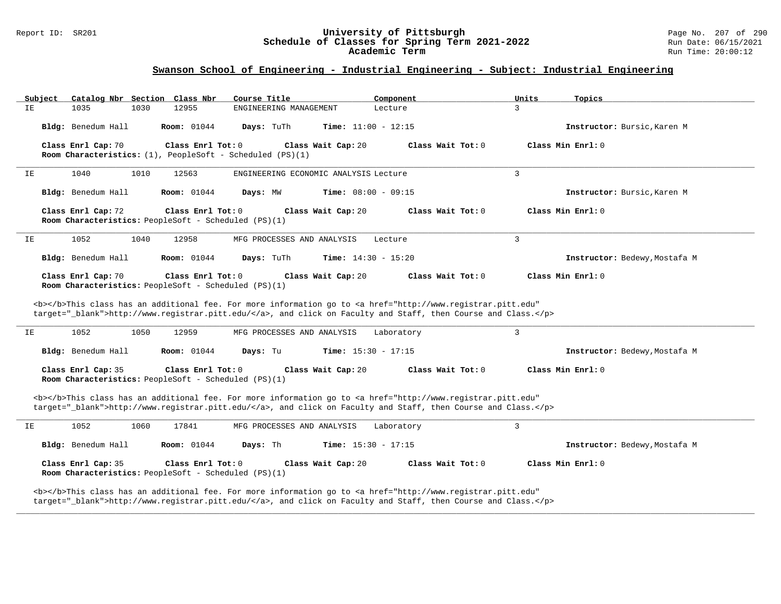#### Report ID: SR201 **University of Pittsburgh** Page No. 207 of 290 **Schedule of Classes for Spring Term 2021-2022** Run Date: 06/15/2021 **Academic Term** Run Time: 20:00:12

## **Swanson School of Engineering - Industrial Engineering - Subject: Industrial Engineering**

| Subject            | Catalog Nbr Section Class Nbr                                                        | Course Title                          | Component                                                                                                                                                                                                                          | Units<br>Topics               |
|--------------------|--------------------------------------------------------------------------------------|---------------------------------------|------------------------------------------------------------------------------------------------------------------------------------------------------------------------------------------------------------------------------------|-------------------------------|
| IE<br>1035         | 12955<br>1030                                                                        | ENGINEERING MANAGEMENT                | Lecture                                                                                                                                                                                                                            | 3                             |
| Bldg: Benedum Hall | <b>Room:</b> 01044                                                                   | Days: TuTh                            | Time: $11:00 - 12:15$                                                                                                                                                                                                              | Instructor: Bursic, Karen M   |
| Class Enrl Cap: 70 | Class Enrl Tot: 0<br>Room Characteristics: $(1)$ , PeopleSoft - Scheduled (PS) $(1)$ | Class Wait Cap: 20                    | Class Wait Tot: 0                                                                                                                                                                                                                  | Class Min Enrl: 0             |
| 1040<br>IΕ         | 1010<br>12563                                                                        | ENGINEERING ECONOMIC ANALYSIS Lecture |                                                                                                                                                                                                                                    | 3                             |
| Bldg: Benedum Hall | <b>Room:</b> 01044                                                                   | Days: MW                              | Time: $08:00 - 09:15$                                                                                                                                                                                                              | Instructor: Bursic, Karen M   |
| Class Enrl Cap: 72 | Class Enrl Tot: 0<br>Room Characteristics: PeopleSoft - Scheduled (PS)(1)            | Class Wait Cap: 20                    | Class Wait Tot: 0                                                                                                                                                                                                                  | Class Min Enrl: 0             |
| 1052<br>ΙE         | 1040<br>12958                                                                        | MFG PROCESSES AND ANALYSIS            | Lecture                                                                                                                                                                                                                            | $\overline{3}$                |
| Bldg: Benedum Hall | <b>Room:</b> 01044                                                                   | Days: TuTh                            | <b>Time:</b> $14:30 - 15:20$                                                                                                                                                                                                       | Instructor: Bedewy, Mostafa M |
| Class Enrl Cap: 70 | Class Enrl Tot: 0<br>Room Characteristics: PeopleSoft - Scheduled (PS)(1)            | Class Wait Cap: 20                    | Class Wait Tot: 0                                                                                                                                                                                                                  | Class Min Enrl: 0             |
|                    |                                                                                      |                                       | <b></b> This class has an additional fee. For more information go to <a <br="" href="http://www.registrar.pitt.edu">target="_blank"&gt;http://www.registrar.pitt.edu/</a> , and click on Faculty and Staff, then Course and Class. |                               |
| 1052<br>IΕ         | 1050<br>12959                                                                        | MFG PROCESSES AND ANALYSIS            | Laboratory                                                                                                                                                                                                                         | 3                             |
| Bldg: Benedum Hall | <b>Room:</b> 01044                                                                   | Days: Tu                              | <b>Time:</b> $15:30 - 17:15$                                                                                                                                                                                                       | Instructor: Bedewy, Mostafa M |
| Class Enrl Cap: 35 | Class Enrl Tot: $0$<br><b>Room Characteristics:</b> PeopleSoft - Scheduled (PS)(1)   | Class Wait Cap: 20                    | Class Wait Tot: 0                                                                                                                                                                                                                  | Class Min $Enr1: 0$           |
|                    |                                                                                      |                                       | <b></b> This class has an additional fee. For more information go to <a <br="" href="http://www.registrar.pitt.edu">target="_blank"&gt;http://www.registrar.pitt.edu/</a> , and click on Faculty and Staff, then Course and Class. |                               |
| 1052<br>IE         | 1060<br>17841                                                                        | MFG PROCESSES AND ANALYSIS            | Laboratory                                                                                                                                                                                                                         | $\mathbf{3}$                  |
| Bldg: Benedum Hall | <b>Room:</b> 01044                                                                   | Days: Th                              | <b>Time:</b> $15:30 - 17:15$                                                                                                                                                                                                       | Instructor: Bedewy, Mostafa M |
| Class Enrl Cap: 35 | Class Enrl Tot: 0<br>Room Characteristics: PeopleSoft - Scheduled (PS)(1)            | Class Wait Cap: 20                    | Class Wait Tot: 0                                                                                                                                                                                                                  | Class Min Enrl: 0             |

**\_\_\_\_\_\_\_\_\_\_\_\_\_\_\_\_\_\_\_\_\_\_\_\_\_\_\_\_\_\_\_\_\_\_\_\_\_\_\_\_\_\_\_\_\_\_\_\_\_\_\_\_\_\_\_\_\_\_\_\_\_\_\_\_\_\_\_\_\_\_\_\_\_\_\_\_\_\_\_\_\_\_\_\_\_\_\_\_\_\_\_\_\_\_\_\_\_\_\_\_\_\_\_\_\_\_\_\_\_\_\_\_\_\_\_\_\_\_\_\_\_\_\_\_\_\_\_\_\_\_\_\_\_\_\_\_\_\_\_\_\_\_\_\_\_\_\_\_\_\_\_\_\_\_\_\_**

target="\_blank">http://www.registrar.pitt.edu/</a>, and click on Faculty and Staff, then Course and Class.</p>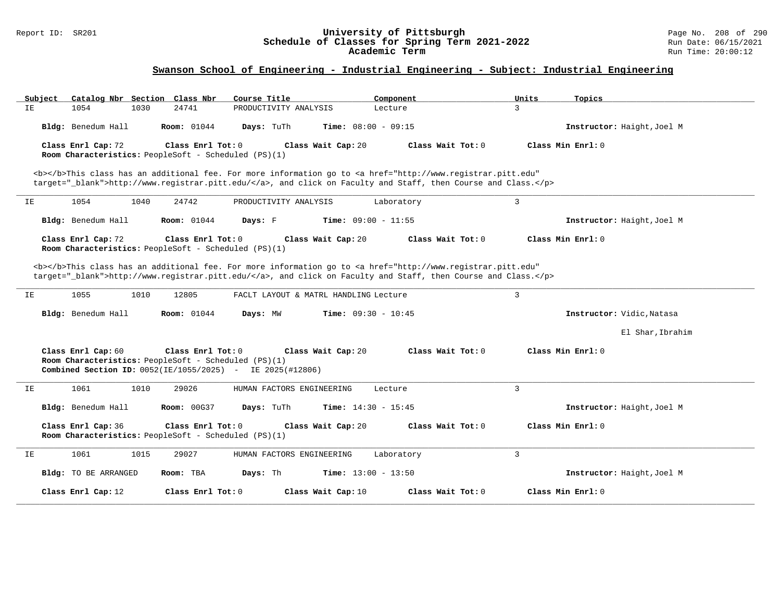#### Report ID: SR201 **University of Pittsburgh** Page No. 208 of 290 **Schedule of Classes for Spring Term 2021-2022** Run Date: 06/15/2021 **Academic Term** Run Time: 20:00:12

| Subject<br>Catalog Nbr Section Class Nbr                                   | Course Title                                                                                                                                                                                                                       | Component                  | Units<br>Topics            |
|----------------------------------------------------------------------------|------------------------------------------------------------------------------------------------------------------------------------------------------------------------------------------------------------------------------------|----------------------------|----------------------------|
| 1054<br>1030<br>IE                                                         | 24741<br>PRODUCTIVITY ANALYSIS                                                                                                                                                                                                     | 3<br>Lecture               |                            |
| Bldg: Benedum Hall                                                         | <b>Room: 01044</b><br>Days: TuTh<br><b>Time:</b> $08:00 - 09:15$                                                                                                                                                                   |                            | Instructor: Haight, Joel M |
| Class Enrl Cap: 72<br>Room Characteristics: PeopleSoft - Scheduled (PS)(1) | Class Enrl Tot: 0<br>Class Wait Cap: 20                                                                                                                                                                                            | Class Wait Tot: 0          | Class Min Enrl: 0          |
|                                                                            | <b></b> This class has an additional fee. For more information go to <a <br="" href="http://www.registrar.pitt.edu">target=" blank"&gt;http://www.registrar.pitt.edu/</a> , and click on Faculty and Staff, then Course and Class. |                            |                            |
| 1054<br>1040<br>IE                                                         | 24742<br>PRODUCTIVITY ANALYSIS                                                                                                                                                                                                     | $\mathbf{3}$<br>Laboratory |                            |
| Bldg: Benedum Hall                                                         | <b>Room:</b> 01044<br>Days: F<br>Time: $09:00 - 11:55$                                                                                                                                                                             |                            | Instructor: Haight, Joel M |
| Class Enrl Cap: 72<br>Room Characteristics: PeopleSoft - Scheduled (PS)(1) | Class Enrl Tot: $0$<br>Class Wait Cap: 20                                                                                                                                                                                          | Class Wait Tot: 0          | Class Min Enrl: 0          |
|                                                                            | <b></b> This class has an additional fee. For more information go to <a <br="" href="http://www.registrar.pitt.edu">target="_blank"&gt;http://www.registrar.pitt.edu/</a> , and click on Faculty and Staff, then Course and Class. |                            |                            |
| 1055<br>1010<br>IΕ                                                         | FACLT LAYOUT & MATRL HANDLING Lecture<br>12805                                                                                                                                                                                     | $\overline{3}$             |                            |
| Bldg: Benedum Hall                                                         | <b>Room:</b> 01044<br>Days: MW<br><b>Time:</b> $09:30 - 10:45$                                                                                                                                                                     |                            | Instructor: Vidic, Natasa  |
|                                                                            |                                                                                                                                                                                                                                    |                            | El Shar, Ibrahim           |
| Class Enrl Cap: 60<br>Room Characteristics: PeopleSoft - Scheduled (PS)(1) | Class Enrl Tot: 0<br>Class Wait Cap: 20<br><b>Combined Section ID:</b> 0052(IE/1055/2025) - IE 2025(#12806)                                                                                                                        | Class Wait Tot: 0          | Class Min Enrl: 0          |
| 1061<br>1010<br>IΕ                                                         | 29026<br>HUMAN FACTORS ENGINEERING                                                                                                                                                                                                 | $\overline{3}$<br>Lecture  |                            |
| Bldg: Benedum Hall                                                         | <b>Room: 00G37</b><br>Time: $14:30 - 15:45$<br>Days: TuTh                                                                                                                                                                          |                            | Instructor: Haight, Joel M |
| Class Enrl Cap: 36<br>Room Characteristics: PeopleSoft - Scheduled (PS)(1) | Class Enrl Tot: 0<br>Class Wait Cap: 20                                                                                                                                                                                            | Class Wait Tot: 0          | Class Min Enrl: 0          |
| 1061<br>1015<br>IΕ                                                         | 29027<br>HUMAN FACTORS ENGINEERING                                                                                                                                                                                                 | 3<br>Laboratory            |                            |
| <b>Bldg:</b> TO BE ARRANGED                                                | Days: Th<br>Time: $13:00 - 13:50$<br>Room: TBA                                                                                                                                                                                     |                            | Instructor: Haight, Joel M |
| Class Enrl Cap: 12                                                         | Class Enrl Tot: 0<br>Class Wait Cap: 10                                                                                                                                                                                            | Class Wait Tot: 0          | Class Min Enrl: 0          |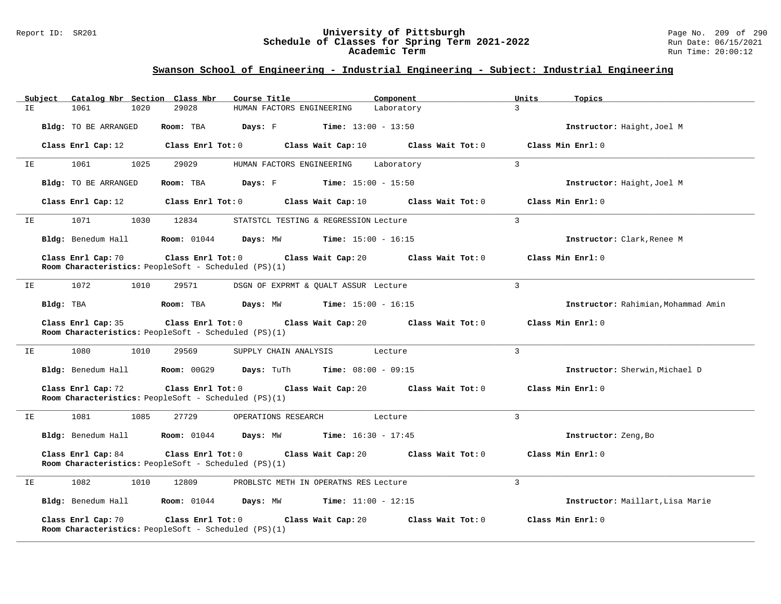#### Report ID: SR201 **University of Pittsburgh** Page No. 209 of 290 **Schedule of Classes for Spring Term 2021-2022** Run Date: 06/15/2021 **Academic Term** Run Time: 20:00:12

| Subject              | Catalog Nbr Section Class Nbr                                                    | Course Title                                 | Component                    | Units          | Topics                              |
|----------------------|----------------------------------------------------------------------------------|----------------------------------------------|------------------------------|----------------|-------------------------------------|
| IE<br>1061           | 29028<br>1020                                                                    | HUMAN FACTORS ENGINEERING                    | Laboratory                   | $\overline{3}$ |                                     |
| Bldg: TO BE ARRANGED | Room: TBA                                                                        | <b>Days:</b> F <b>Time:</b> $13:00 - 13:50$  |                              |                | Instructor: Haight, Joel M          |
| Class Enrl Cap: 12   | Class Enrl Tot: 0                                                                | Class Wait Cap: 10                           | Class Wait Tot: 0            |                | Class Min Enrl: 0                   |
| 1061<br>ΙE           | 1025<br>29029                                                                    | HUMAN FACTORS ENGINEERING                    | Laboratory                   | $\overline{3}$ |                                     |
| Bldg: TO BE ARRANGED | Room: TBA                                                                        | <b>Days:</b> F <b>Time:</b> $15:00 - 15:50$  |                              |                | Instructor: Haight, Joel M          |
| Class Enrl Cap: 12   | Class Enrl Tot: 0                                                                | Class Wait Cap: 10                           | Class Wait Tot: 0            |                | Class Min Enrl: 0                   |
| 1071<br>ΙE           | 1030<br>12834                                                                    | STATSTCL TESTING & REGRESSION Lecture        |                              | $\overline{3}$ |                                     |
| Bldg: Benedum Hall   | <b>Room:</b> 01044                                                               | Days: MW                                     | <b>Time:</b> $15:00 - 16:15$ |                | Instructor: Clark, Renee M          |
| Class Enrl Cap: 70   | Class Enrl Tot: 0<br>Room Characteristics: PeopleSoft - Scheduled (PS)(1)        | Class Wait Cap: 20                           | Class Wait Tot: 0            |                | Class Min Enrl: 0                   |
| 1072<br>ΙE           | 1010<br>29571                                                                    | DSGN OF EXPRMT & QUALT ASSUR Lecture         |                              | $\overline{3}$ |                                     |
| Bldg: TBA            | Room: TBA                                                                        | Days: MW                                     | $Time: 15:00 - 16:15$        |                | Instructor: Rahimian, Mohammad Amin |
| Class Enrl Cap: 35   | $Class$ $Enr1$ $Tot: 0$<br>Room Characteristics: PeopleSoft - Scheduled (PS)(1)  | Class Wait Cap: 20                           | Class Wait Tot: 0            |                | Class Min Enrl: 0                   |
| 1080<br>ΙE           | 1010<br>29569                                                                    | SUPPLY CHAIN ANALYSIS                        | Lecture                      | 3              |                                     |
| Bldg: Benedum Hall   | <b>Room:</b> 00G29                                                               | Days: TuTh                                   | <b>Time:</b> $08:00 - 09:15$ |                | Instructor: Sherwin, Michael D      |
| Class Enrl Cap: 72   | Class Enrl Tot: 0<br>Room Characteristics: PeopleSoft - Scheduled (PS)(1)        | Class Wait Cap: 20                           | Class Wait Tot: 0            |                | Class Min Enrl: 0                   |
| 1081<br>ΙE           | 1085<br>27729                                                                    | OPERATIONS RESEARCH                          | Lecture                      | $\overline{3}$ |                                     |
| Bldg: Benedum Hall   | <b>Room:</b> 01044                                                               | <b>Days:</b> MW <b>Time:</b> $16:30 - 17:45$ |                              |                | Instructor: Zeng, Bo                |
| Class Enrl Cap: 84   | Class Enrl Tot: 0<br>Room Characteristics: PeopleSoft - Scheduled (PS)(1)        | Class Wait Cap: 20                           | Class Wait Tot: 0            |                | Class Min Enrl: 0                   |
| 1082<br>IE           | 1010<br>12809                                                                    | PROBLSTC METH IN OPERATNS RES Lecture        |                              | 3              |                                     |
|                      | Bldg: Benedum Hall Room: 01044                                                   | <b>Days:</b> MW <b>Time:</b> $11:00 - 12:15$ |                              |                | Instructor: Maillart, Lisa Marie    |
| Class Enrl Cap: 70   | Class Enrl Tot: 0<br><b>Room Characteristics:</b> PeopleSoft - Scheduled (PS)(1) | Class Wait Cap: 20                           | Class Wait Tot: 0            |                | Class Min Enrl: 0                   |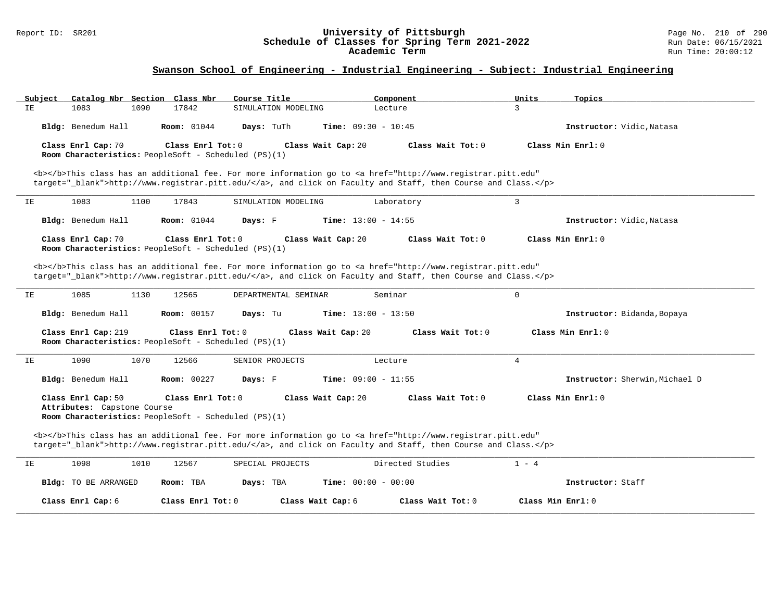#### Report ID: SR201 **University of Pittsburgh** Page No. 210 of 290 **Schedule of Classes for Spring Term 2021-2022** Run Date: 06/15/2021 **Academic Term** Run Time: 20:00:12

| Subject<br>Catalog Nbr Section Class Nbr          | Course Title                                                              | Component                                                                                                                                                                                                                          | Units<br>Topics                |
|---------------------------------------------------|---------------------------------------------------------------------------|------------------------------------------------------------------------------------------------------------------------------------------------------------------------------------------------------------------------------------|--------------------------------|
| IE<br>1083<br>1090                                | 17842<br>SIMULATION MODELING                                              | Lecture                                                                                                                                                                                                                            | $\mathbf{R}$                   |
| Bldg: Benedum Hall                                | <b>Room:</b> 01044<br>Days: TuTh                                          | Time: $09:30 - 10:45$                                                                                                                                                                                                              | Instructor: Vidic, Natasa      |
| Class Enrl Cap: 70                                | Class Enrl Tot: 0<br>Room Characteristics: PeopleSoft - Scheduled (PS)(1) | Class Wait Cap: 20<br>Class Wait Tot: 0                                                                                                                                                                                            | Class Min Enrl: 0              |
|                                                   |                                                                           | <b></b> This class has an additional fee. For more information go to <a <br="" href="http://www.registrar.pitt.edu">target="_blank"&gt;http://www.registrar.pitt.edu/</a> , and click on Faculty and Staff, then Course and Class. |                                |
| 1083<br>1100<br>IΕ                                | 17843<br>SIMULATION MODELING                                              | Laboratory                                                                                                                                                                                                                         | 3                              |
| Bldg: Benedum Hall                                | <b>Room:</b> 01044<br>Days: F                                             | Time: $13:00 - 14:55$                                                                                                                                                                                                              | Instructor: Vidic, Natasa      |
| Class Enrl Cap: 70                                | Class Enrl Tot: 0<br>Room Characteristics: PeopleSoft - Scheduled (PS)(1) | Class Wait Cap: 20<br>Class Wait Tot: 0                                                                                                                                                                                            | Class Min Enrl: 0              |
|                                                   |                                                                           | <b></b> This class has an additional fee. For more information go to <a <br="" href="http://www.registrar.pitt.edu">target="_blank"&gt;http://www.registrar.pitt.edu/</a> , and click on Faculty and Staff, then Course and Class. |                                |
| 1085<br>1130<br>IE                                | 12565<br>DEPARTMENTAL SEMINAR                                             | Seminar                                                                                                                                                                                                                            | 0                              |
| Bldg: Benedum Hall                                | <b>Room: 00157</b><br>Days: Tu                                            | <b>Time:</b> $13:00 - 13:50$                                                                                                                                                                                                       | Instructor: Bidanda, Bopaya    |
| Class Enrl Cap: 219                               | Class Enrl Tot: 0<br>Room Characteristics: PeopleSoft - Scheduled (PS)(1) | Class Wait Cap: 20<br>Class Wait $Tot: 0$                                                                                                                                                                                          | Class Min Enrl: 0              |
| 1090<br>1070<br>IE                                | 12566<br>SENIOR PROJECTS                                                  | Lecture                                                                                                                                                                                                                            | $\overline{4}$                 |
| Bldg: Benedum Hall                                | Room: 00227<br>Days: F                                                    | Time: $09:00 - 11:55$                                                                                                                                                                                                              | Instructor: Sherwin, Michael D |
| Class Enrl Cap: 50<br>Attributes: Capstone Course | Class Enrl Tot: 0<br>Room Characteristics: PeopleSoft - Scheduled (PS)(1) | Class Wait Cap: 20<br>Class Wait Tot: 0                                                                                                                                                                                            | Class Min Enrl: 0              |
|                                                   |                                                                           | <b></b> This class has an additional fee. For more information go to <a <br="" href="http://www.registrar.pitt.edu">target="_blank"&gt;http://www.registrar.pitt.edu/</a> , and click on Faculty and Staff, then Course and Class. |                                |
| 1098<br>1010<br>IE                                | 12567<br>SPECIAL PROJECTS                                                 | Directed Studies                                                                                                                                                                                                                   | $1 - 4$                        |
| Bldg: TO BE ARRANGED                              | Room: TBA<br>Days: TBA                                                    | Time: $00:00 - 00:00$                                                                                                                                                                                                              | Instructor: Staff              |
| Class Enrl Cap: 6                                 | Class Enrl Tot: 0                                                         | Class Wait Cap: 6<br>Class Wait Tot: 0                                                                                                                                                                                             | Class Min Enrl: 0              |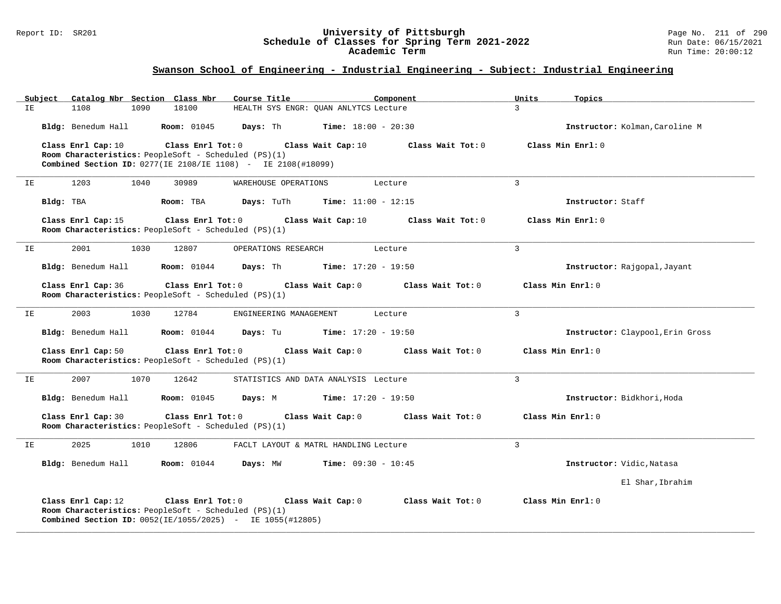#### Report ID: SR201 **University of Pittsburgh** Page No. 211 of 290 **Schedule of Classes for Spring Term 2021-2022** Run Date: 06/15/2021 **Academic Term** Run Time: 20:00:12

| Subject | Catalog Nbr Section Class Nbr                                                                                                                     |                         | Course Title           | Component                             |                   | Units<br>Topics                  |  |
|---------|---------------------------------------------------------------------------------------------------------------------------------------------------|-------------------------|------------------------|---------------------------------------|-------------------|----------------------------------|--|
| IΕ      | 1108<br>1090                                                                                                                                      | 18100                   |                        | HEALTH SYS ENGR: QUAN ANLYTCS Lecture |                   | $\mathcal{E}$                    |  |
|         | Bldg: Benedum Hall                                                                                                                                | <b>Room:</b> 01045      | Days: Th               | <b>Time:</b> $18:00 - 20:30$          |                   | Instructor: Kolman, Caroline M   |  |
|         | Class Enrl Cap: 10<br>Room Characteristics: PeopleSoft - Scheduled (PS)(1)<br><b>Combined Section ID:</b> 0277(IE 2108/IE 1108) - IE 2108(#18099) | Class Enrl Tot: 0       |                        | Class Wait Cap: 10                    | Class Wait Tot: 0 | Class Min Enrl: 0                |  |
| IE      | 1203<br>1040                                                                                                                                      | 30989                   | WAREHOUSE OPERATIONS   | Lecture                               |                   | $\overline{3}$                   |  |
|         | Bldg: TBA                                                                                                                                         | Room: TBA               | Days: TuTh             | <b>Time:</b> $11:00 - 12:15$          |                   | Instructor: Staff                |  |
|         | Class Enrl Cap: 15<br>Room Characteristics: PeopleSoft - Scheduled (PS)(1)                                                                        | Class Enrl Tot: 0       |                        | Class Wait Cap: 10                    | Class Wait Tot: 0 | Class Min Enrl: 0                |  |
| IE      | 2001<br>1030                                                                                                                                      | 12807                   | OPERATIONS RESEARCH    | Lecture                               |                   | $\overline{3}$                   |  |
|         | Bldg: Benedum Hall                                                                                                                                | <b>Room:</b> 01044      | Days: Th               | <b>Time:</b> $17:20 - 19:50$          |                   | Instructor: Rajgopal, Jayant     |  |
|         | Class Enrl Cap: 36<br>Room Characteristics: PeopleSoft - Scheduled (PS)(1)                                                                        | Class Enrl Tot: 0       |                        | Class Wait Cap: 0                     | Class Wait Tot: 0 | Class Min Enrl: 0                |  |
| ΙE      | 2003<br>1030                                                                                                                                      | 12784                   | ENGINEERING MANAGEMENT | Lecture                               |                   | $\overline{3}$                   |  |
|         | Bldg: Benedum Hall                                                                                                                                | <b>Room:</b> 01044      | Days: Tu               | $Time: 17:20 - 19:50$                 |                   | Instructor: Claypool, Erin Gross |  |
|         | Class Enrl Cap: 50<br>Room Characteristics: PeopleSoft - Scheduled (PS)(1)                                                                        | Class Enrl Tot: 0       |                        | Class Wait Cap: 0                     | Class Wait Tot: 0 | Class Min Enrl: 0                |  |
| IΕ      | 2007<br>1070                                                                                                                                      | 12642                   |                        | STATISTICS AND DATA ANALYSIS Lecture  |                   | $\mathbf{3}$                     |  |
|         | Bldg: Benedum Hall                                                                                                                                | <b>Room: 01045</b>      | Days: M                | <b>Time:</b> $17:20 - 19:50$          |                   | Instructor: Bidkhori, Hoda       |  |
|         | Class Enrl Cap: 30<br>Room Characteristics: PeopleSoft - Scheduled (PS)(1)                                                                        | Class Enrl Tot: 0       |                        | Class Wait Cap: 0                     | Class Wait Tot: 0 | Class Min Enrl: 0                |  |
| IE      | 2025<br>1010                                                                                                                                      | 12806                   |                        | FACLT LAYOUT & MATRL HANDLING Lecture |                   | $\overline{3}$                   |  |
|         | Bldg: Benedum Hall                                                                                                                                | <b>Room:</b> 01044      | Days: MW               | <b>Time:</b> $09:30 - 10:45$          |                   | Instructor: Vidic, Natasa        |  |
|         |                                                                                                                                                   |                         |                        |                                       |                   | El Shar, Ibrahim                 |  |
|         | Class Enrl Cap: 12<br>Room Characteristics: PeopleSoft - Scheduled (PS)(1)<br>Combined Section ID: 0052(IE/1055/2025) - IE 1055(#12805)           | $Class$ $Enr1$ $Tot: 0$ |                        | Class Wait Cap: 0                     | Class Wait Tot: 0 | Class Min Enrl: 0                |  |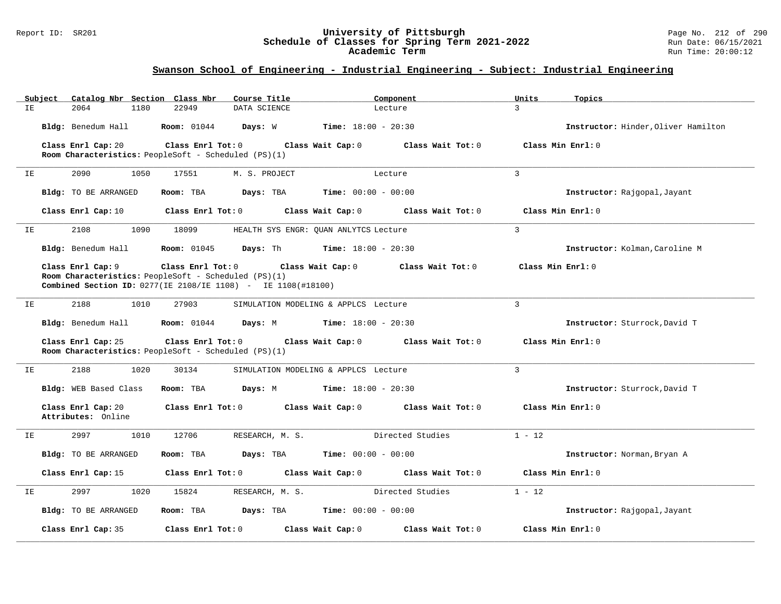#### Report ID: SR201 **University of Pittsburgh** Page No. 212 of 290 **Schedule of Classes for Spring Term 2021-2022** Run Date: 06/15/2021 **Academic Term** Run Time: 20:00:12

| ΙE | Subject | Catalog Nbr Section Class Nbr<br>2064<br>1180 | Course Title<br>22949<br>DATA SCIENCE                                                                                                            |                                           | Component<br>Lecture | Units<br>3        | Topics                              |
|----|---------|-----------------------------------------------|--------------------------------------------------------------------------------------------------------------------------------------------------|-------------------------------------------|----------------------|-------------------|-------------------------------------|
|    |         | Bldg: Benedum Hall                            | <b>Room:</b> 01044<br>Days: W                                                                                                                    | <b>Time:</b> $18:00 - 20:30$              |                      |                   | Instructor: Hinder, Oliver Hamilton |
|    |         | Class Enrl Cap: 20                            | Class Enrl Tot: 0<br>Room Characteristics: PeopleSoft - Scheduled (PS)(1)                                                                        | Class Wait Cap: 0                         | Class Wait Tot: 0    |                   | Class Min Enrl: 0                   |
| IE |         | 2090<br>1050                                  | 17551                                                                                                                                            | M. S. PROJECT                             | Lecture              | $\overline{3}$    |                                     |
|    |         | Bldg: TO BE ARRANGED                          | Room: TBA                                                                                                                                        | Days: TBA<br>$Time: 00:00 - 00:00$        |                      |                   | Instructor: Rajgopal, Jayant        |
|    |         | Class Enrl Cap: 10                            | Class Enrl Tot: 0                                                                                                                                | Class Wait Cap: 0                         | Class Wait Tot: 0    |                   | Class Min Enrl: 0                   |
| IΕ |         | 2108<br>1090                                  | 18099                                                                                                                                            | HEALTH SYS ENGR: QUAN ANLYTCS Lecture     |                      | $\mathbf{3}$      |                                     |
|    |         | Bldg: Benedum Hall                            | <b>Room:</b> 01045<br>Days: Th                                                                                                                   | <b>Time:</b> $18:00 - 20:30$              |                      |                   | Instructor: Kolman, Caroline M      |
|    |         | Class Enrl Cap: 9                             | Class Enrl Tot: 0<br>Room Characteristics: PeopleSoft - Scheduled (PS)(1)<br><b>Combined Section ID:</b> 0277(IE 2108/IE 1108) - IE 1108(#18100) | Class Wait Cap: 0                         | Class Wait Tot: 0    | Class Min Enrl: 0 |                                     |
| IΕ |         | 2188<br>1010                                  | 27903                                                                                                                                            | SIMULATION MODELING & APPLCS Lecture      |                      | $\mathbf{3}$      |                                     |
|    |         | Bldg: Benedum Hall                            | <b>Room:</b> 01044<br>Days: M                                                                                                                    | <b>Time:</b> $18:00 - 20:30$              |                      |                   | Instructor: Sturrock, David T       |
|    |         | Class Enrl Cap: 25                            | Class Enrl Tot: 0<br>Room Characteristics: PeopleSoft - Scheduled (PS)(1)                                                                        | Class Wait Cap: 0                         | Class Wait Tot: 0    |                   | Class Min Enrl: 0                   |
| IE |         | 2188<br>1020                                  | 30134                                                                                                                                            | SIMULATION MODELING & APPLCS Lecture      |                      | $\overline{3}$    |                                     |
|    |         | Bldg: WEB Based Class                         | Room: TBA<br>Days: M                                                                                                                             | <b>Time:</b> $18:00 - 20:30$              |                      |                   | Instructor: Sturrock, David T       |
|    |         | Class Enrl Cap: 20<br>Attributes: Online      | Class Enrl Tot: 0                                                                                                                                | Class Wait Cap: 0                         | Class Wait Tot: 0    |                   | Class Min Enrl: 0                   |
| IE |         | 2997<br>1010                                  | 12706                                                                                                                                            | RESEARCH, M. S.                           | Directed Studies     | $1 - 12$          |                                     |
|    |         | <b>Bldg:</b> TO BE ARRANGED                   | Room: TBA                                                                                                                                        | Time: $00:00 - 00:00$<br>Days: TBA        |                      |                   | Instructor: Norman, Bryan A         |
|    |         | Class Enrl Cap: 15                            | Class Enrl Tot: 0                                                                                                                                | Class Wait Cap: 0                         | Class Wait Tot: 0    |                   | Class Min Enrl: 0                   |
| IΕ |         | 2997<br>1020                                  | 15824                                                                                                                                            | RESEARCH, M. S.                           | Directed Studies     | $1 - 12$          |                                     |
|    |         | Bldg: TO BE ARRANGED                          | Room: TBA                                                                                                                                        | <b>Time:</b> $00:00 - 00:00$<br>Days: TBA |                      |                   | Instructor: Rajgopal, Jayant        |
|    |         | Class Enrl Cap: 35                            | Class Enrl Tot: 0                                                                                                                                | Class Wait Cap: 0                         | Class Wait Tot: 0    |                   | Class Min Enrl: 0                   |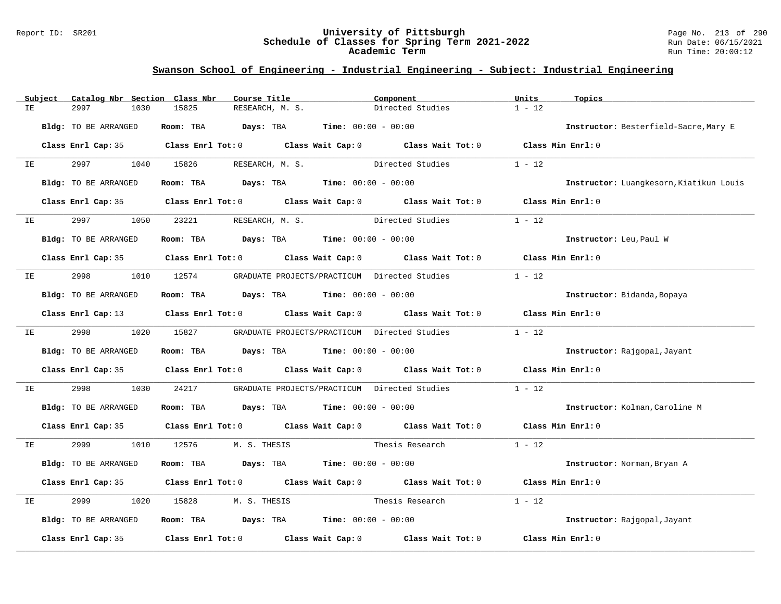#### Report ID: SR201 **University of Pittsburgh** Page No. 213 of 290 **Schedule of Classes for Spring Term 2021-2022** Run Date: 06/15/2021 **Academic Term** Run Time: 20:00:12

|    | Subject | Catalog Nbr Section Class Nbr | Course Title                                |                                                     | Component                                                                                  | Units<br>Topics   |                                         |
|----|---------|-------------------------------|---------------------------------------------|-----------------------------------------------------|--------------------------------------------------------------------------------------------|-------------------|-----------------------------------------|
| IE |         | 2997<br>1030                  | 15825                                       | RESEARCH, M. S.                                     | Directed Studies                                                                           | $1 - 12$          |                                         |
|    |         | Bldg: TO BE ARRANGED          | Room: TBA                                   | $\texttt{Days:}$ TBA $\texttt{Time:}$ 00:00 - 00:00 |                                                                                            |                   | Instructor: Besterfield-Sacre, Mary E   |
|    |         | Class Enrl Cap: 35            |                                             |                                                     | Class Enrl Tot: 0 Class Wait Cap: 0 Class Wait Tot: 0 Class Min Enrl: 0                    |                   |                                         |
| IE |         | 2997 — 2007<br>1040           | 15826                                       | RESEARCH, M. S.                                     | Directed Studies                                                                           | $1 - 12$          |                                         |
|    |         | Bldg: TO BE ARRANGED          | Room: TBA $Days: TBA$ Time: $00:00 - 00:00$ |                                                     |                                                                                            |                   | Instructor: Luangkesorn, Kiatikun Louis |
|    |         | Class Enrl Cap: 35            |                                             |                                                     | Class Enrl Tot: 0 Class Wait Cap: 0 Class Wait Tot: 0                                      | Class Min Enrl: 0 |                                         |
| IE |         | 2997<br>1050                  | 23221                                       | RESEARCH, M. S.                                     | Directed Studies                                                                           | $1 - 12$          |                                         |
|    |         | Bldg: TO BE ARRANGED          | Room: TBA $Days:$ TBA $Time: 00:00 - 00:00$ |                                                     |                                                                                            |                   | Instructor: Leu, Paul W                 |
|    |         |                               |                                             |                                                     | Class Enrl Cap: 35 Class Enrl Tot: 0 Class Wait Cap: 0 Class Wait Tot: 0 Class Min Enrl: 0 |                   |                                         |
| ΙE |         | 2998<br>1010                  | 12574                                       | GRADUATE PROJECTS/PRACTICUM Directed Studies        |                                                                                            | $1 - 12$          |                                         |
|    |         | Bldg: TO BE ARRANGED          | Room: TBA $Days:$ TBA $Time: 00:00 - 00:00$ |                                                     |                                                                                            |                   | Instructor: Bidanda, Bopaya             |
|    |         | Class Enrl Cap: 13            |                                             |                                                     | Class Enrl Tot: 0 Class Wait Cap: 0 Class Wait Tot: 0                                      | Class Min Enrl: 0 |                                         |
| IE |         | 2998 and the state of $\sim$  | 1020 15827                                  |                                                     | GRADUATE PROJECTS/PRACTICUM Directed Studies                                               | $1 - 12$          |                                         |
|    |         | Bldg: TO BE ARRANGED          | Room: TBA                                   | <b>Days:</b> TBA <b>Time:</b> $00:00 - 00:00$       |                                                                                            |                   | Instructor: Rajgopal, Jayant            |
|    |         |                               |                                             |                                                     | Class Enrl Cap: 35 Class Enrl Tot: 0 Class Wait Cap: 0 Class Wait Tot: 0                   | Class Min Enrl: 0 |                                         |
| IΕ |         | 2998<br>1030                  | 24217                                       |                                                     | GRADUATE PROJECTS/PRACTICUM Directed Studies                                               | $1 - 12$          |                                         |
|    |         | Bldg: TO BE ARRANGED          | Room: TBA $Days:$ TBA $Time: 00:00 - 00:00$ |                                                     |                                                                                            |                   | Instructor: Kolman, Caroline M          |
|    |         |                               |                                             |                                                     | Class Enrl Cap: 35 Class Enrl Tot: 0 Class Wait Cap: 0 Class Wait Tot: 0 Class Min Enrl: 0 |                   |                                         |
| IE |         | 2999<br>1010                  | 12576<br>M. S. THESIS                       |                                                     | Thesis Research                                                                            | $1 - 12$          |                                         |
|    |         | Bldg: TO BE ARRANGED          | Room: TBA                                   | $\texttt{DayS:}$ TBA $\texttt{Time:}$ 00:00 - 00:00 |                                                                                            |                   | Instructor: Norman, Bryan A             |
|    |         | Class Enrl Cap: 35            |                                             |                                                     | Class Enrl Tot: 0 Class Wait Cap: 0 Class Wait Tot: 0                                      | Class Min Enrl: 0 |                                         |
| ΙE |         | 2999<br>1020                  | 15828<br>M. S. THESIS                       |                                                     | Thesis Research                                                                            | $1 - 12$          |                                         |
|    |         | Bldg: TO BE ARRANGED          | Room: TBA $Days: TBA$ Time: $00:00 - 00:00$ |                                                     |                                                                                            |                   | Instructor: Rajgopal, Jayant            |
|    |         | Class Enrl Cap: 35            |                                             |                                                     | Class Enrl Tot: $0$ Class Wait Cap: $0$ Class Wait Tot: $0$                                | Class Min Enrl: 0 |                                         |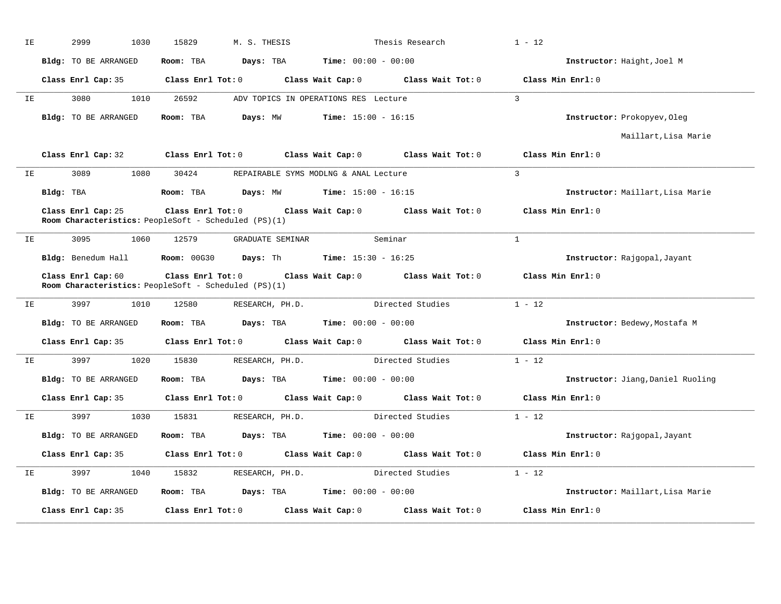| IE |           | 2999<br>1030                                                               | 15829                   | M. S. THESIS                                  |                                               | Thesis Research                                       | $1 - 12$                          |
|----|-----------|----------------------------------------------------------------------------|-------------------------|-----------------------------------------------|-----------------------------------------------|-------------------------------------------------------|-----------------------------------|
|    |           | Bldg: TO BE ARRANGED                                                       | Room: TBA               | Days: TBA                                     | $Time: 00:00 - 00:00$                         |                                                       | Instructor: Haight, Joel M        |
|    |           | Class Enrl Cap: 35                                                         | $Class$ $Enr1$ $Tot: 0$ |                                               |                                               | Class Wait Cap: 0 Class Wait Tot: 0 Class Min Enrl: 0 |                                   |
| IE |           | 3080<br>1010                                                               | 26592                   |                                               | ADV TOPICS IN OPERATIONS RES Lecture          |                                                       | $\overline{3}$                    |
|    |           | Bldg: TO BE ARRANGED                                                       | Room: TBA               | Days: MW                                      | <b>Time:</b> $15:00 - 16:15$                  |                                                       | Instructor: Prokopyev, Oleg       |
|    |           |                                                                            |                         |                                               |                                               |                                                       | Maillart, Lisa Marie              |
|    |           | Class Enrl Cap: 32                                                         | Class Enrl Tot: 0       |                                               | Class Wait Cap: 0                             | Class Wait Tot: 0                                     | Class Min Enrl: 0                 |
| ΙE |           | 3089<br>1080                                                               | 30424                   |                                               | REPAIRABLE SYMS MODLNG & ANAL Lecture         |                                                       | $\overline{3}$                    |
|    | Bldg: TBA |                                                                            | Room: TBA               | <b>Days:</b> MW <b>Time:</b> $15:00 - 16:15$  |                                               |                                                       | Instructor: Maillart, Lisa Marie  |
|    |           | Class Enrl Cap: 25<br>Room Characteristics: PeopleSoft - Scheduled (PS)(1) | $Class$ $Enr1$ $Tot: 0$ |                                               |                                               | Class Wait Cap: 0 Class Wait Tot: 0                   | Class Min Enrl: 0                 |
|    |           | 3095<br>1060                                                               | 12579                   |                                               | GRADUATE SEMINAR                              | Seminar                                               | $\mathbf{1}$                      |
| IE |           |                                                                            |                         |                                               |                                               |                                                       |                                   |
|    |           | Bldg: Benedum Hall                                                         | Room: 00G30             | <b>Days:</b> Th <b>Time:</b> $15:30 - 16:25$  |                                               |                                                       | Instructor: Rajgopal, Jayant      |
|    |           | Class Enrl Cap: 60<br>Room Characteristics: PeopleSoft - Scheduled (PS)(1) | $Class$ $Enr1$ $Tot: 0$ |                                               |                                               | Class Wait Cap: 0 Class Wait Tot: 0                   | Class Min Enrl: 0                 |
| ΙE |           | 3997<br>1010                                                               | 12580                   | RESEARCH, PH.D.                               |                                               | Directed Studies                                      | $1 - 12$                          |
|    |           | Bldg: TO BE ARRANGED                                                       | Room: TBA               |                                               | <b>Days:</b> TBA <b>Time:</b> $00:00 - 00:00$ |                                                       | Instructor: Bedewy, Mostafa M     |
|    |           | Class Enrl Cap: 35                                                         | $Class$ $Enr1$ $Tot: 0$ |                                               |                                               | Class Wait Cap: 0 Class Wait Tot: 0 Class Min Enrl: 0 |                                   |
| IE |           | 3997<br>1020                                                               | 15830                   | RESEARCH, PH.D.                               |                                               | Directed Studies                                      | $1 - 12$                          |
|    |           | <b>Bldg:</b> TO BE ARRANGED                                                | Room: TBA               |                                               | <b>Days:</b> TBA <b>Time:</b> $00:00 - 00:00$ |                                                       | Instructor: Jiang, Daniel Ruoling |
|    |           | Class Enrl Cap: 35                                                         |                         |                                               |                                               | Class Enrl Tot: 0 Class Wait Cap: 0 Class Wait Tot: 0 | Class Min Enrl: 0                 |
| IE |           | 3997<br>1030                                                               | 15831                   | RESEARCH, PH.D.                               |                                               | Directed Studies                                      | $1 - 12$                          |
|    |           | Bldg: TO BE ARRANGED                                                       | Room: TBA               | <b>Days:</b> TBA <b>Time:</b> $00:00 - 00:00$ |                                               |                                                       | Instructor: Rajgopal, Jayant      |
|    |           | Class Enrl Cap: 35                                                         |                         |                                               |                                               | Class Enrl Tot: 0 Class Wait Cap: 0 Class Wait Tot: 0 | Class Min Enrl: 0                 |
| IΕ |           | 3997<br>1040                                                               | 15832                   | RESEARCH, PH.D.                               |                                               | Directed Studies                                      | $1 - 12$                          |
|    |           | Bldg: TO BE ARRANGED                                                       | Room: TBA               |                                               | <b>Days:</b> TBA <b>Time:</b> $00:00 - 00:00$ |                                                       | Instructor: Maillart, Lisa Marie  |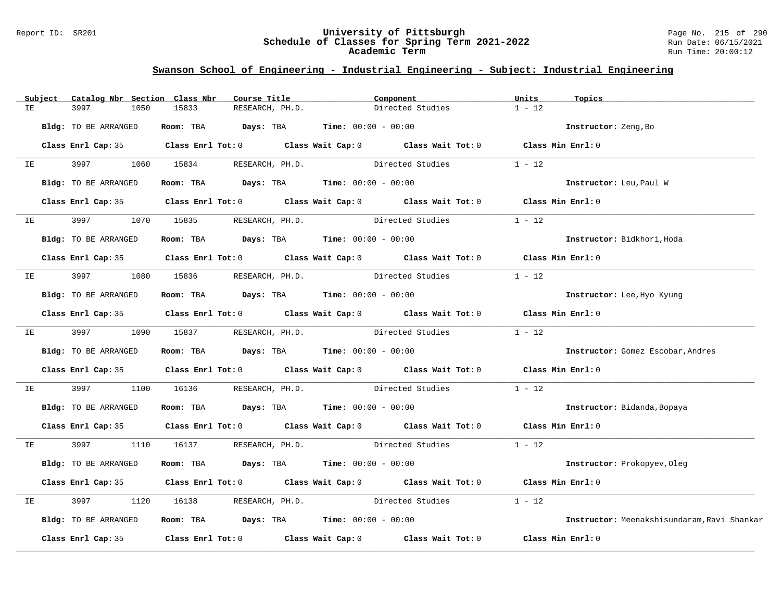#### Report ID: SR201 **University of Pittsburgh** Page No. 215 of 290 **Schedule of Classes for Spring Term 2021-2022** Run Date: 06/15/2021 **Academic Term** Run Time: 20:00:12

| $1 - 12$<br>ΙE<br>3997<br>1050<br>15833<br>RESEARCH, PH.D.<br>Directed Studies<br>Room: TBA $Days:$ TBA $Time: 00:00 - 00:00$<br>Bldg: TO BE ARRANGED<br>Instructor: Zeng, Bo<br>Class Enrl Cap: 35 Class Enrl Tot: 0 Class Wait Cap: 0 Class Wait Tot: 0 Class Min Enrl: 0<br>3997 1060 15834 RESEARCH, PH.D.<br>$1 - 12$<br>Directed Studies<br>IE<br>Room: TBA $Days: TBA$ Time: $00:00 - 00:00$<br>Bldg: TO BE ARRANGED<br>Instructor: Leu, Paul W<br>Class Enrl Cap: 35 Class Enrl Tot: 0 Class Wait Cap: 0 Class Wait Tot: 0 Class Min Enrl: 0<br>$1 - 12$<br>3997 — 100<br>1070 15835 RESEARCH, PH.D.<br>Directed Studies<br>IE OO STERN TE<br>Bldg: TO BE ARRANGED<br>Room: TBA $Days:$ TBA $Time: 00:00 - 00:00$<br>Instructor: Bidkhori, Hoda<br>Class Enrl Cap: 35 Class Enrl Tot: 0 Class Wait Cap: 0 Class Wait Tot: 0 Class Min Enrl: 0<br>3997 1080 15836 RESEARCH, PH.D. Directed Studies<br>$1 - 12$<br>IE |  |
|-----------------------------------------------------------------------------------------------------------------------------------------------------------------------------------------------------------------------------------------------------------------------------------------------------------------------------------------------------------------------------------------------------------------------------------------------------------------------------------------------------------------------------------------------------------------------------------------------------------------------------------------------------------------------------------------------------------------------------------------------------------------------------------------------------------------------------------------------------------------------------------------------------------------------------|--|
|                                                                                                                                                                                                                                                                                                                                                                                                                                                                                                                                                                                                                                                                                                                                                                                                                                                                                                                             |  |
|                                                                                                                                                                                                                                                                                                                                                                                                                                                                                                                                                                                                                                                                                                                                                                                                                                                                                                                             |  |
|                                                                                                                                                                                                                                                                                                                                                                                                                                                                                                                                                                                                                                                                                                                                                                                                                                                                                                                             |  |
|                                                                                                                                                                                                                                                                                                                                                                                                                                                                                                                                                                                                                                                                                                                                                                                                                                                                                                                             |  |
|                                                                                                                                                                                                                                                                                                                                                                                                                                                                                                                                                                                                                                                                                                                                                                                                                                                                                                                             |  |
|                                                                                                                                                                                                                                                                                                                                                                                                                                                                                                                                                                                                                                                                                                                                                                                                                                                                                                                             |  |
|                                                                                                                                                                                                                                                                                                                                                                                                                                                                                                                                                                                                                                                                                                                                                                                                                                                                                                                             |  |
|                                                                                                                                                                                                                                                                                                                                                                                                                                                                                                                                                                                                                                                                                                                                                                                                                                                                                                                             |  |
|                                                                                                                                                                                                                                                                                                                                                                                                                                                                                                                                                                                                                                                                                                                                                                                                                                                                                                                             |  |
|                                                                                                                                                                                                                                                                                                                                                                                                                                                                                                                                                                                                                                                                                                                                                                                                                                                                                                                             |  |
| Room: TBA $Days: TBA$ Time: $00:00 - 00:00$<br>Bldg: TO BE ARRANGED<br>Instructor: Lee, Hyo Kyung                                                                                                                                                                                                                                                                                                                                                                                                                                                                                                                                                                                                                                                                                                                                                                                                                           |  |
| Class Enrl Cap: 35 Class Enrl Tot: 0 Class Wait Cap: 0 Class Wait Tot: 0 Class Min Enrl: 0                                                                                                                                                                                                                                                                                                                                                                                                                                                                                                                                                                                                                                                                                                                                                                                                                                  |  |
| IE 3997 1090 15837 RESEARCH, PH.D. Directed Studies 1 - 12                                                                                                                                                                                                                                                                                                                                                                                                                                                                                                                                                                                                                                                                                                                                                                                                                                                                  |  |
| Room: TBA $\rule{1em}{0.15mm}$ Days: TBA $\rule{1.5mm}{0.15mm}$ Time: $00:00 - 00:00$<br>Bldg: TO BE ARRANGED<br>Instructor: Gomez Escobar, Andres                                                                                                                                                                                                                                                                                                                                                                                                                                                                                                                                                                                                                                                                                                                                                                          |  |
| Class Enrl Cap: 35 Class Enrl Tot: 0 Class Wait Cap: 0 Class Wait Tot: 0 Class Min Enrl: 0                                                                                                                                                                                                                                                                                                                                                                                                                                                                                                                                                                                                                                                                                                                                                                                                                                  |  |
| 16136 RESEARCH, PH.D. Directed Studies<br>$1 - 12$<br>3997<br>1100<br>IE                                                                                                                                                                                                                                                                                                                                                                                                                                                                                                                                                                                                                                                                                                                                                                                                                                                    |  |
| Bldg: TO BE ARRANGED<br>Room: TBA $Days:$ TBA $Time: 00:00 - 00:00$<br>Instructor: Bidanda, Bopaya                                                                                                                                                                                                                                                                                                                                                                                                                                                                                                                                                                                                                                                                                                                                                                                                                          |  |
| Class Enrl Cap: 35 Class Enrl Tot: 0 Class Wait Cap: 0 Class Wait Tot: 0 Class Min Enrl: 0                                                                                                                                                                                                                                                                                                                                                                                                                                                                                                                                                                                                                                                                                                                                                                                                                                  |  |
| 3997 1110 16137 RESEARCH, PH.D. Directed Studies 1 - 12<br>IE                                                                                                                                                                                                                                                                                                                                                                                                                                                                                                                                                                                                                                                                                                                                                                                                                                                               |  |
| Room: TBA $Days:$ TBA $Time: 00:00 - 00:00$<br>Bldg: TO BE ARRANGED<br>Instructor: Prokopyev, Oleg                                                                                                                                                                                                                                                                                                                                                                                                                                                                                                                                                                                                                                                                                                                                                                                                                          |  |
| Class Enrl Cap: 35 Class Enrl Tot: 0 Class Wait Cap: 0 Class Wait Tot: 0<br>Class Min Enrl: 0                                                                                                                                                                                                                                                                                                                                                                                                                                                                                                                                                                                                                                                                                                                                                                                                                               |  |
| $1 - 12$<br>3997<br>RESEARCH, PH.D. Directed Studies<br>1120<br>16138<br>IE                                                                                                                                                                                                                                                                                                                                                                                                                                                                                                                                                                                                                                                                                                                                                                                                                                                 |  |
| Room: TBA $Days:$ TBA $Time: 00:00 - 00:00$<br>Bldg: TO BE ARRANGED<br>Instructor: Meenakshisundaram, Ravi Shankar                                                                                                                                                                                                                                                                                                                                                                                                                                                                                                                                                                                                                                                                                                                                                                                                          |  |
| Class Enrl Cap: 35 $\,$ Class Enrl Tot: 0 $\,$ Class Wait Cap: 0 $\,$ Class Wait Tot: 0 $\,$ Class Wait Tot: 0 $\,$<br>Class Min Enrl: 0                                                                                                                                                                                                                                                                                                                                                                                                                                                                                                                                                                                                                                                                                                                                                                                    |  |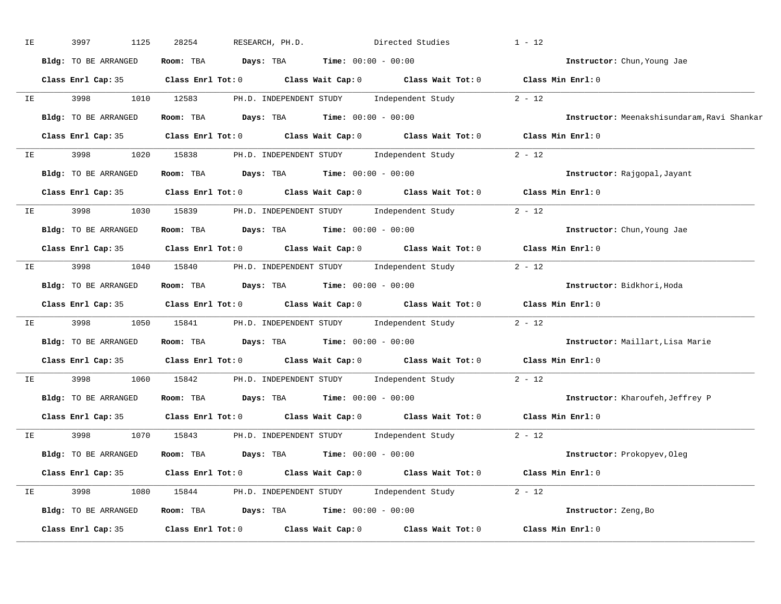| ΙE |      | 1125<br>3997         | 28254<br>RESEARCH, PH.D.                                                                   | Directed Studies |                                                  | $1 - 12$                                    |
|----|------|----------------------|--------------------------------------------------------------------------------------------|------------------|--------------------------------------------------|---------------------------------------------|
|    |      | Bldg: TO BE ARRANGED | Room: TBA $Days:$ TBA $Time: 00:00 - 00:00$                                                |                  |                                                  | Instructor: Chun, Young Jae                 |
|    |      |                      | Class Enrl Cap: 35 Class Enrl Tot: 0 Class Wait Cap: 0 Class Wait Tot: 0 Class Min Enrl: 0 |                  |                                                  |                                             |
| IE |      | 3998                 | 1010 12583                                                                                 |                  | PH.D. INDEPENDENT STUDY Independent Study 2 - 12 |                                             |
|    |      | Bldg: TO BE ARRANGED | Room: TBA $Days:$ TBA $Time: 00:00 - 00:00$                                                |                  |                                                  | Instructor: Meenakshisundaram, Ravi Shankar |
|    |      |                      | Class Enrl Cap: 35 Class Enrl Tot: 0 Class Wait Cap: 0 Class Wait Tot: 0 Class Min Enrl: 0 |                  |                                                  |                                             |
|    |      |                      | IE 3998 1020 15838 PH.D. INDEPENDENT STUDY Independent Study 2 - 12                        |                  |                                                  |                                             |
|    |      | Bldg: TO BE ARRANGED | Room: TBA $Days:$ TBA $Time: 00:00 - 00:00$                                                |                  |                                                  | Instructor: Rajgopal, Jayant                |
|    |      |                      | Class Enrl Cap: 35 Class Enrl Tot: 0 Class Wait Cap: 0 Class Wait Tot: 0 Class Min Enrl: 0 |                  |                                                  |                                             |
|    |      | IE 3998              | 1030 15839 PH.D. INDEPENDENT STUDY Independent Study 2 - 12                                |                  |                                                  |                                             |
|    |      | Bldg: TO BE ARRANGED | Room: TBA $Days:$ TBA $Time: 00:00 - 00:00$                                                |                  |                                                  | Instructor: Chun, Young Jae                 |
|    |      |                      | Class Enrl Cap: 35 Class Enrl Tot: 0 Class Wait Cap: 0 Class Wait Tot: 0 Class Min Enrl: 0 |                  |                                                  |                                             |
|    |      |                      | IE 3998 1040 15840 PH.D. INDEPENDENT STUDY Independent Study 2 - 12                        |                  |                                                  |                                             |
|    |      | Bldg: TO BE ARRANGED | Room: TBA $Days:$ TBA $Time: 00:00 - 00:00$                                                |                  |                                                  | Instructor: Bidkhori, Hoda                  |
|    |      |                      | Class Enrl Cap: 35 Class Enrl Tot: 0 Class Wait Cap: 0 Class Wait Tot: 0 Class Min Enrl: 0 |                  |                                                  |                                             |
| IE | 3998 |                      | 1050 15841 PH.D. INDEPENDENT STUDY Independent Study                                       |                  |                                                  | $2 - 12$                                    |
|    |      | Bldg: TO BE ARRANGED | Room: TBA $Days:$ TBA $Time: 00:00 - 00:00$                                                |                  |                                                  | Instructor: Maillart, Lisa Marie            |
|    |      |                      | Class Enrl Cap: 35 Class Enrl Tot: 0 Class Wait Cap: 0 Class Wait Tot: 0                   |                  |                                                  | Class Min Enrl: 0                           |
| IE |      | 3998 399             | 1060 15842                                                                                 |                  | PH.D. INDEPENDENT STUDY Independent Study        | $2 - 12$                                    |
|    |      | Bldg: TO BE ARRANGED | Room: TBA $Days:$ TBA $Time: 00:00 - 00:00$                                                |                  |                                                  | Instructor: Kharoufeh, Jeffrey P            |
|    |      |                      | Class Enrl Cap: 35 Class Enrl Tot: 0 Class Wait Cap: 0 Class Wait Tot: 0                   |                  |                                                  | Class Min Enrl: 0                           |
| IE |      | 3998                 | 1070 15843 PH.D. INDEPENDENT STUDY Independent Study 2 - 12                                |                  |                                                  |                                             |
|    |      | Bldg: TO BE ARRANGED | Room: TBA $Days:$ TBA $Time:$ $00:00 - 00:00$                                              |                  |                                                  | Instructor: Prokopyev, Oleg                 |
|    |      |                      | Class Enrl Cap: 35 Class Enrl Tot: 0 Class Wait Cap: 0 Class Wait Tot: 0 Class Min Enrl: 0 |                  |                                                  |                                             |
|    |      |                      | IE 3998 1080 15844 PH.D. INDEPENDENT STUDY Independent Study 2 - 12                        |                  |                                                  |                                             |
|    |      | Bldg: TO BE ARRANGED | Room: TBA $Days:$ TBA $Time: 00:00 - 00:00$                                                |                  |                                                  | Instructor: Zeng, Bo                        |
|    |      | Class Enrl Cap: 35   | Class Enrl Tot: 0 Class Wait Cap: 0 Class Wait Tot: 0                                      |                  |                                                  | Class Min Enrl: 0                           |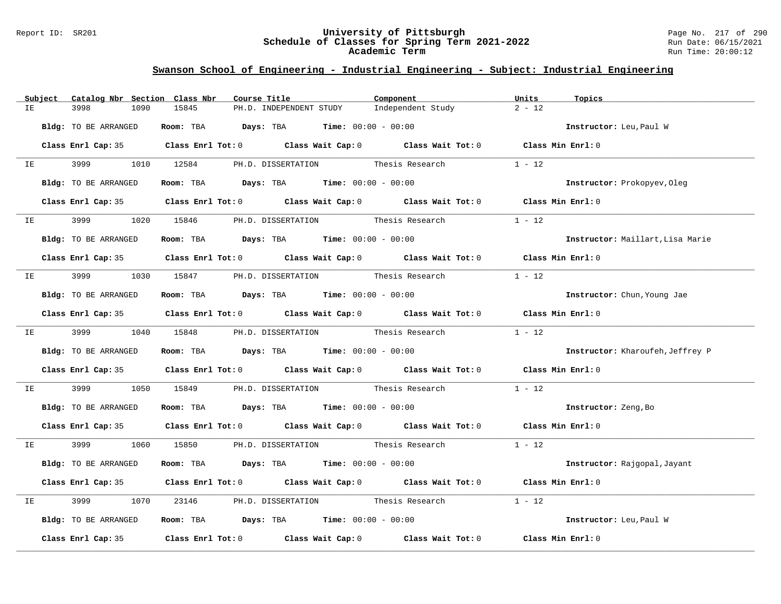#### Report ID: SR201 **University of Pittsburgh** Page No. 217 of 290 **Schedule of Classes for Spring Term 2021-2022** Run Date: 06/15/2021 **Academic Term** Run Time: 20:00:12

# **Swanson School of Engineering - Industrial Engineering - Subject: Industrial Engineering**

|    | Subject                                                                                                       | Catalog Nbr Section Class Nbr | Course Title                                                                               |                         | Component                                | Units<br>Topics                  |  |
|----|---------------------------------------------------------------------------------------------------------------|-------------------------------|--------------------------------------------------------------------------------------------|-------------------------|------------------------------------------|----------------------------------|--|
| IE |                                                                                                               | 3998<br>1090                  | 15845                                                                                      | PH.D. INDEPENDENT STUDY | Independent Study                        | $2 - 12$                         |  |
|    |                                                                                                               | Bldg: TO BE ARRANGED          | Room: TBA $Days: TBA$ Time: $00:00 - 00:00$                                                |                         |                                          | Instructor: Leu, Paul W          |  |
|    |                                                                                                               |                               | Class Enrl Cap: 35 Class Enrl Tot: 0 Class Wait Cap: 0 Class Wait Tot: 0 Class Min Enrl: 0 |                         |                                          |                                  |  |
|    |                                                                                                               |                               | IE 3999 1010 12584 PH.D. DISSERTATION Thesis Research                                      |                         |                                          | $1 - 12$                         |  |
|    |                                                                                                               | Bldg: TO BE ARRANGED          | Room: TBA $\rule{1em}{0.15mm}$ Days: TBA $\rule{1.15mm}{0.15mm}$ Time: $00:00 - 00:00$     |                         |                                          | Instructor: Prokopyev, Oleg      |  |
|    |                                                                                                               |                               | Class Enrl Cap: 35 Class Enrl Tot: 0 Class Wait Cap: 0 Class Wait Tot: 0 Class Min Enrl: 0 |                         |                                          |                                  |  |
|    |                                                                                                               | IE 3999                       | 1020 15846 PH.D. DISSERTATION Thesis Research                                              |                         |                                          | $1 - 12$                         |  |
|    |                                                                                                               | Bldg: TO BE ARRANGED          | Room: TBA $\rule{1em}{0.15mm}$ Days: TBA Time: $00:00 - 00:00$                             |                         |                                          | Instructor: Maillart, Lisa Marie |  |
|    |                                                                                                               |                               | Class Enrl Cap: 35 Class Enrl Tot: 0 Class Wait Cap: 0 Class Wait Tot: 0 Class Min Enrl: 0 |                         |                                          |                                  |  |
|    |                                                                                                               |                               | IE 3999 1030 15847 PH.D. DISSERTATION Thesis Research                                      |                         |                                          | $1 - 12$                         |  |
|    |                                                                                                               | Bldg: TO BE ARRANGED          | Room: TBA $\rule{1em}{0.15mm}$ Days: TBA $\rule{1.5mm}{0.15mm}$ Time: $00:00 - 00:00$      |                         |                                          | Instructor: Chun, Young Jae      |  |
|    |                                                                                                               |                               | Class Enrl Cap: 35 Class Enrl Tot: 0 Class Wait Cap: 0 Class Wait Tot: 0 Class Min Enrl: 0 |                         |                                          |                                  |  |
|    |                                                                                                               |                               | IE 3999 1040 15848 PH.D. DISSERTATION Thesis Research                                      |                         |                                          | $1 - 12$                         |  |
|    |                                                                                                               | Bldg: TO BE ARRANGED          | Room: TBA $Days:$ TBA $Time: 00:00 - 00:00$                                                |                         |                                          | Instructor: Kharoufeh, Jeffrey P |  |
|    |                                                                                                               |                               | Class Enrl Cap: 35 Class Enrl Tot: 0 Class Wait Cap: 0 Class Wait Tot: 0 Class Min Enrl: 0 |                         |                                          |                                  |  |
|    | IE and the set of the set of the set of the set of the set of the set of the set of the set of the set of the | 3999 7                        | 1050 15849 PH.D. DISSERTATION Thesis Research                                              |                         |                                          | $1 - 12$                         |  |
|    |                                                                                                               | Bldg: TO BE ARRANGED          | Room: TBA $Days:$ TBA $Time: 00:00 - 00:00$                                                |                         |                                          | Instructor: Zeng, Bo             |  |
|    |                                                                                                               |                               | Class Enrl Cap: 35 Class Enrl Tot: 0 Class Wait Cap: 0 Class Wait Tot: 0 Class Min Enrl: 0 |                         |                                          |                                  |  |
|    |                                                                                                               |                               | IE 3999 1060 15850 PH.D. DISSERTATION Thesis Research 1 - 12                               |                         |                                          |                                  |  |
|    |                                                                                                               | Bldg: TO BE ARRANGED          | Room: TBA $Days:$ TBA $Time: 00:00 - 00:00$                                                |                         |                                          | Instructor: Rajgopal, Jayant     |  |
|    |                                                                                                               |                               | Class Enrl Cap: 35 Class Enrl Tot: 0 Class Wait Cap: 0 Class Wait Tot: 0 Class Min Enrl: 0 |                         |                                          |                                  |  |
|    | IE OO STATE                                                                                                   | 3999<br>1070                  |                                                                                            |                         | 23146 PH.D. DISSERTATION Thesis Research | $1 - 12$                         |  |
|    |                                                                                                               | Bldg: TO BE ARRANGED          | Room: TBA $\rule{1em}{0.15mm}$ Days: TBA Time: $00:00 - 00:00$                             |                         |                                          | Instructor: Leu, Paul W          |  |
|    |                                                                                                               |                               | Class Enrl Cap: 35 Class Enrl Tot: 0 Class Wait Cap: 0 Class Wait Tot: 0                   |                         |                                          | Class Min Enrl: 0                |  |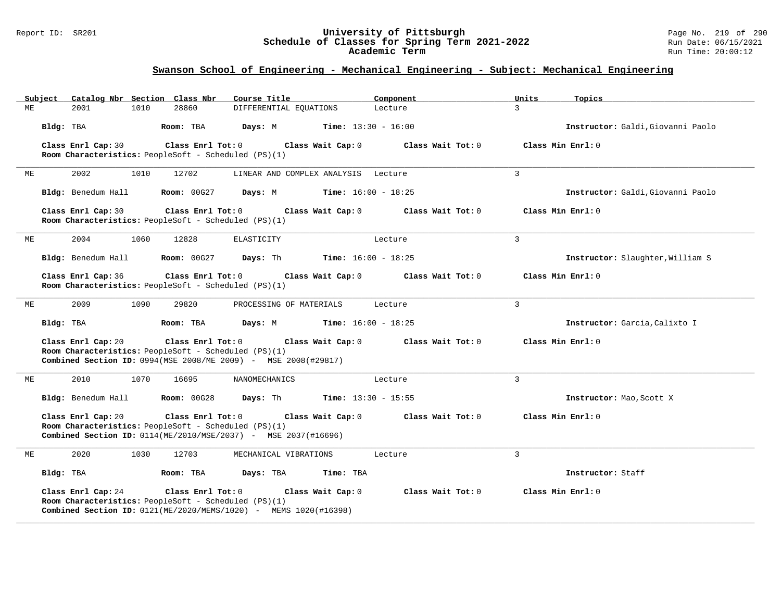#### Report ID: SR201 **University of Pittsburgh** Page No. 219 of 290 **Schedule of Classes for Spring Term 2021-2022** Run Date: 06/15/2021 **Academic Term** Run Time: 20:00:12

| Subject | Catalog Nbr Section Class Nbr                                              |      |                    | Course Title                                                     |                              | Component         | Units          | Topics                            |
|---------|----------------------------------------------------------------------------|------|--------------------|------------------------------------------------------------------|------------------------------|-------------------|----------------|-----------------------------------|
| ME      | 2001                                                                       | 1010 | 28860              | DIFFERENTIAL EQUATIONS                                           |                              | Lecture           | 3              |                                   |
|         | Bldg: TBA                                                                  |      | Room: TBA          | Days: M                                                          | <b>Time:</b> $13:30 - 16:00$ |                   |                | Instructor: Galdi, Giovanni Paolo |
|         | Class Enrl Cap: 30<br>Room Characteristics: PeopleSoft - Scheduled (PS)(1) |      | Class Enrl Tot: 0  |                                                                  | Class Wait Cap: 0            | Class Wait Tot: 0 |                | Class Min Enrl: 0                 |
| МE      | 2002                                                                       | 1010 | 12702              | LINEAR AND COMPLEX ANALYSIS Lecture                              |                              |                   | $\overline{3}$ |                                   |
|         | Bldg: Benedum Hall                                                         |      | <b>Room: 00G27</b> | Days: M                                                          | <b>Time:</b> $16:00 - 18:25$ |                   |                | Instructor: Galdi, Giovanni Paolo |
|         | Class Enrl Cap: 30<br>Room Characteristics: PeopleSoft - Scheduled (PS)(1) |      | Class Enrl Tot: 0  |                                                                  | Class Wait Cap: 0            | Class Wait Tot: 0 |                | Class Min Enrl: 0                 |
| ME      | 2004                                                                       | 1060 | 12828              | ELASTICITY                                                       |                              | Lecture           | $\overline{3}$ |                                   |
|         | Bldg: Benedum Hall                                                         |      | <b>Room: 00G27</b> | Days: Th                                                         | Time: $16:00 - 18:25$        |                   |                | Instructor: Slaughter, William S  |
|         | Class Enrl Cap: 36<br>Room Characteristics: PeopleSoft - Scheduled (PS)(1) |      | Class Enrl Tot: 0  |                                                                  | Class Wait Cap: 0            | Class Wait Tot: 0 |                | Class Min Enrl: 0                 |
| ME      | 2009                                                                       | 1090 | 29820              | PROCESSING OF MATERIALS                                          |                              | Lecture           | $\overline{3}$ |                                   |
|         | Bldg: TBA                                                                  |      | Room: TBA          | Days: M                                                          | <b>Time:</b> $16:00 - 18:25$ |                   |                | Instructor: Garcia, Calixto I     |
|         | Class Enrl Cap: 20<br>Room Characteristics: PeopleSoft - Scheduled (PS)(1) |      | Class Enrl Tot: 0  | Combined Section ID: 0994 (MSE 2008/ME 2009) - MSE 2008 (#29817) | Class Wait Cap: 0            | Class Wait Tot: 0 |                | Class Min Enrl: 0                 |
| МE      | 2010                                                                       | 1070 | 16695              | NANOMECHANICS                                                    |                              | Lecture           | $\overline{3}$ |                                   |
|         | Bldg: Benedum Hall                                                         |      | <b>Room: 00G28</b> | Days: Th                                                         | <b>Time:</b> $13:30 - 15:55$ |                   |                | Instructor: Mao, Scott X          |
|         | Class Enrl Cap: 20<br>Room Characteristics: PeopleSoft - Scheduled (PS)(1) |      | Class Enrl Tot: 0  | Combined Section ID: 0114(ME/2010/MSE/2037) - MSE 2037(#16696)   | Class Wait Cap: 0            | Class Wait Tot: 0 |                | Class Min Enrl: 0                 |
| ME      | 2020                                                                       | 1030 | 12703              | MECHANICAL VIBRATIONS                                            |                              | Lecture           | 3              |                                   |
|         | Bldg: TBA                                                                  |      | Room: TBA          | Days: TBA                                                        | Time: TBA                    |                   |                | Instructor: Staff                 |
|         | Class Enrl Cap: 24<br>Room Characteristics: PeopleSoft - Scheduled (PS)(1) |      | Class Enrl Tot: 0  | Combined Section ID: 0121(ME/2020/MEMS/1020) - MEMS 1020(#16398) | Class Wait Cap: 0            | Class Wait Tot: 0 |                | Class Min Enrl: 0                 |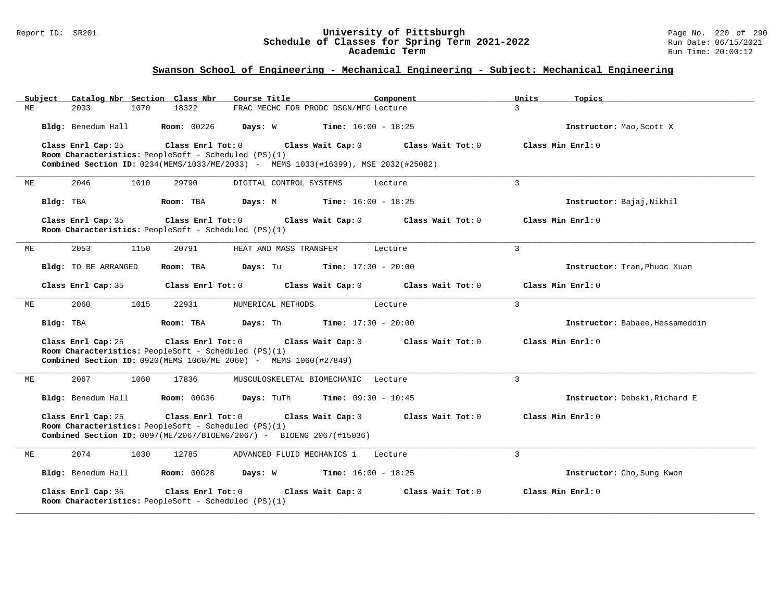#### Report ID: SR201 **University of Pittsburgh** Page No. 220 of 290 **Schedule of Classes for Spring Term 2021-2022** Run Date: 06/15/2021 **Academic Term** Run Time: 20:00:12

| Subiect | Catalog Nbr Section Class Nbr                                                                                                                                    |                    | Course Title                                 |                              | Component         | Units          | Topics                          |
|---------|------------------------------------------------------------------------------------------------------------------------------------------------------------------|--------------------|----------------------------------------------|------------------------------|-------------------|----------------|---------------------------------|
| ME      | 2033<br>1070                                                                                                                                                     | 18322              | FRAC MECHC FOR PRODC DSGN/MFG Lecture        |                              |                   | $\mathcal{L}$  |                                 |
|         | Bldg: Benedum Hall                                                                                                                                               | <b>Room: 00226</b> | Days: W                                      | <b>Time:</b> $16:00 - 18:25$ |                   |                | Instructor: Mao, Scott X        |
|         | Class Enrl Cap: 25<br>Room Characteristics: PeopleSoft - Scheduled (PS)(1)<br>Combined Section ID: 0234(MEMS/1033/ME/2033) - MEMS 1033(#16399), MSE 2032(#25082) | Class Enrl Tot: 0  | Class Wait Cap: 0                            |                              | Class Wait Tot: 0 |                | Class Min Enrl: 0               |
| МE      | 2046<br>1010                                                                                                                                                     | 29790              | DIGITAL CONTROL SYSTEMS                      | Lecture                      |                   | $\overline{3}$ |                                 |
|         | Bldg: TBA                                                                                                                                                        | Room: TBA          | Days: M                                      | <b>Time:</b> $16:00 - 18:25$ |                   |                | Instructor: Bajaj, Nikhil       |
|         | Class Enrl Cap: 35<br>Room Characteristics: PeopleSoft - Scheduled (PS)(1)                                                                                       | Class Enrl Tot:0   | Class Wait Cap: 0                            |                              | Class Wait Tot: 0 |                | Class Min Enrl: 0               |
| ME      | 2053<br>1150                                                                                                                                                     | 20791              | HEAT AND MASS TRANSFER                       | Lecture                      |                   | $\mathbf{3}$   |                                 |
|         | Bldg: TO BE ARRANGED                                                                                                                                             | Room: TBA          | Days: Tu                                     | <b>Time:</b> $17:30 - 20:00$ |                   |                | Instructor: Tran, Phuoc Xuan    |
|         | Class Enrl Cap: 35                                                                                                                                               | Class Enrl Tot: 0  | Class Wait Cap: 0                            |                              | Class Wait Tot: 0 |                | Class Min Enrl: 0               |
| MЕ      | 2060<br>1015                                                                                                                                                     | 22931              | NUMERICAL METHODS                            | Lecture                      |                   | $\overline{3}$ |                                 |
|         | Bldg: TBA                                                                                                                                                        | Room: TBA          | <b>Days:</b> Th <b>Time:</b> $17:30 - 20:00$ |                              |                   |                | Instructor: Babaee, Hessameddin |
|         | Class Enrl Cap: 25<br>Room Characteristics: PeopleSoft - Scheduled (PS)(1)<br>Combined Section ID: 0920 (MEMS 1060/ME 2060) - MEMS 1060 (#27849)                 | Class Enrl Tot: 0  | Class Wait Cap: 0                            |                              | Class Wait Tot: 0 |                | Class Min Enrl: 0               |
| МE      | 2067<br>1060                                                                                                                                                     | 17836              | MUSCULOSKELETAL BIOMECHANIC Lecture          |                              |                   | $\mathbf{3}$   |                                 |
|         | Bldg: Benedum Hall                                                                                                                                               | <b>Room: 00G36</b> | Days: TuTh                                   | <b>Time:</b> $09:30 - 10:45$ |                   |                | Instructor: Debski, Richard E   |
|         | Class Enrl Cap: 25<br>Room Characteristics: PeopleSoft - Scheduled (PS)(1)<br><b>Combined Section ID:</b> $0097(ME/2067/BIOENG/2067)$ - BIOENG 2067(#15036)      | Class Enrl Tot: 0  | Class Wait Cap: 0                            |                              | Class Wait Tot: 0 |                | Class Min Enrl: 0               |
| МE      | 2074<br>1030                                                                                                                                                     | 12785              | ADVANCED FLUID MECHANICS 1                   | Lecture                      |                   | $\overline{3}$ |                                 |
|         | Bldg: Benedum Hall                                                                                                                                               | <b>Room: 00G28</b> | Days: W                                      | <b>Time:</b> $16:00 - 18:25$ |                   |                | Instructor: Cho, Sung Kwon      |
|         | Class Enrl Cap: 35<br>Room Characteristics: PeopleSoft - Scheduled (PS)(1)                                                                                       | Class Enrl Tot: 0  | Class Wait Cap: 0                            |                              | Class Wait Tot: 0 |                | Class Min Enrl: 0               |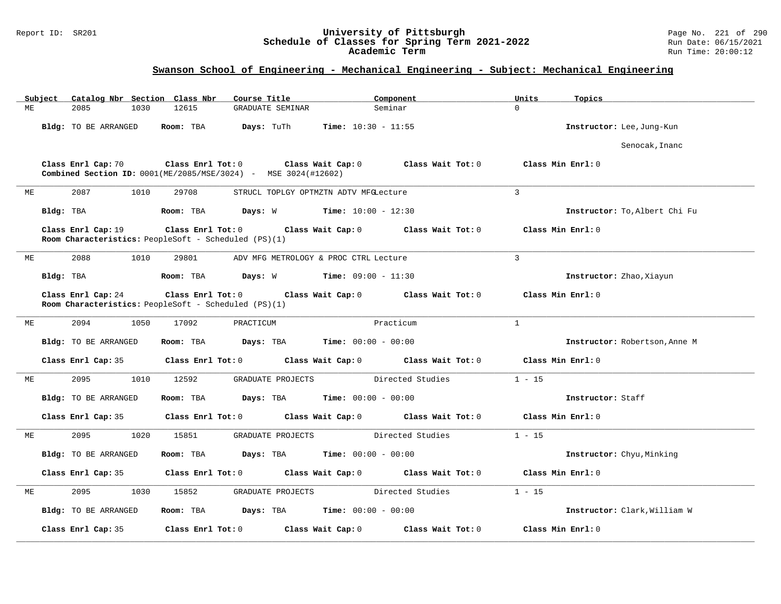#### Report ID: SR201 **University of Pittsburgh** Page No. 221 of 290 **Schedule of Classes for Spring Term 2021-2022** Run Date: 06/15/2021 **Academic Term** Run Time: 20:00:12

|    | Subject   |                             |      | Catalog Nbr Section Class Nbr | Course Title                                                                                |                                       | Component                               | Units             | Topics                        |
|----|-----------|-----------------------------|------|-------------------------------|---------------------------------------------------------------------------------------------|---------------------------------------|-----------------------------------------|-------------------|-------------------------------|
| МE |           | 2085                        | 1030 | 12615                         | GRADUATE SEMINAR                                                                            |                                       | Seminar                                 | $\Omega$          |                               |
|    |           | Bldg: TO BE ARRANGED        |      | Room: TBA                     | Days: TuTh                                                                                  | Time: $10:30 - 11:55$                 |                                         |                   | Instructor: Lee, Jung-Kun     |
|    |           |                             |      |                               |                                                                                             |                                       |                                         |                   | Senocak, Inanc                |
|    |           | Class Enrl Cap: 70          |      | Class Enrl Tot: 0             | Combined Section ID: 0001(ME/2085/MSE/3024) - MSE 3024(#12602)                              | Class Wait Cap: 0                     | Class Wait Tot: 0                       | Class Min Enrl: 0 |                               |
| МE |           | 2087                        | 1010 | 29708                         |                                                                                             | STRUCL TOPLGY OPTMZTN ADTV MFGLecture |                                         | $\overline{3}$    |                               |
|    | Bldg: TBA |                             |      | Room: TBA                     | <b>Days:</b> W <b>Time:</b> $10:00 - 12:30$                                                 |                                       |                                         |                   | Instructor: To, Albert Chi Fu |
|    |           | Class Enrl Cap: 19          |      |                               | Class Enrl Tot: 0 Class Wait Cap: 0<br>Room Characteristics: PeopleSoft - Scheduled (PS)(1) |                                       | Class Wait Tot: 0                       |                   | Class Min Enrl: 0             |
| МE |           | 2088                        | 1010 | 29801                         |                                                                                             | ADV MFG METROLOGY & PROC CTRL Lecture |                                         | $\overline{3}$    |                               |
|    | Bldg: TBA |                             |      | Room: TBA                     | <b>Days:</b> W <b>Time:</b> $09:00 - 11:30$                                                 |                                       |                                         |                   | Instructor: Zhao, Xiayun      |
|    |           | Class Enrl Cap: 24          |      | Class Enrl Tot: 0             | Room Characteristics: PeopleSoft - Scheduled (PS)(1)                                        |                                       | Class Wait Cap: 0 Class Wait Tot: 0     |                   | Class Min Enrl: $0$           |
| МE |           | 2094                        | 1050 | 17092                         | PRACTICUM                                                                                   |                                       | Practicum                               | $\mathbf{1}$      |                               |
|    |           | Bldg: TO BE ARRANGED        |      | Room: TBA                     | $\texttt{Davis:}$ TBA $\texttt{Time:}$ 00:00 - 00:00                                        |                                       |                                         |                   | Instructor: Robertson, Anne M |
|    |           | Class Enrl Cap: 35          |      | Class Enrl Tot: 0             |                                                                                             | Class Wait Cap: 0                     | Class Wait Tot: 0                       |                   | Class Min Enrl: 0             |
| МE |           | 2095                        | 1010 | 12592                         | GRADUATE PROJECTS                                                                           |                                       | Directed Studies                        | $1 - 15$          |                               |
|    |           | Bldg: TO BE ARRANGED        |      | Room: TBA                     | <b>Days:</b> TBA <b>Time:</b> $00:00 - 00:00$                                               |                                       |                                         |                   | Instructor: Staff             |
|    |           | Class Enrl Cap: 35          |      | Class Enrl Tot: 0             |                                                                                             |                                       | Class Wait Cap: $0$ Class Wait Tot: $0$ |                   | Class Min Enrl: 0             |
| МE |           | 2095                        | 1020 | 15851                         | GRADUATE PROJECTS                                                                           |                                       | Directed Studies                        | $1 - 15$          |                               |
|    |           | Bldg: TO BE ARRANGED        |      | Room: TBA                     | <b>Days:</b> TBA <b>Time:</b> $00:00 - 00:00$                                               |                                       |                                         |                   | Instructor: Chyu, Minking     |
|    |           | Class Enrl Cap: 35          |      | Class Enrl Tot: 0             |                                                                                             |                                       | Class Wait Cap: $0$ Class Wait Tot: $0$ |                   | Class Min Enrl: 0             |
| МE |           | 2095                        | 1030 | 15852                         | GRADUATE PROJECTS                                                                           |                                       | Directed Studies                        | $1 - 15$          |                               |
|    |           | <b>Bldg:</b> TO BE ARRANGED |      | Room: TBA                     | Days: TBA                                                                                   | <b>Time:</b> $00:00 - 00:00$          |                                         |                   | Instructor: Clark, William W  |
|    |           | Class Enrl Cap: 35          |      | Class Enrl Tot: 0             |                                                                                             | Class Wait Cap: 0                     | Class Wait Tot: 0                       |                   | Class Min Enrl: 0             |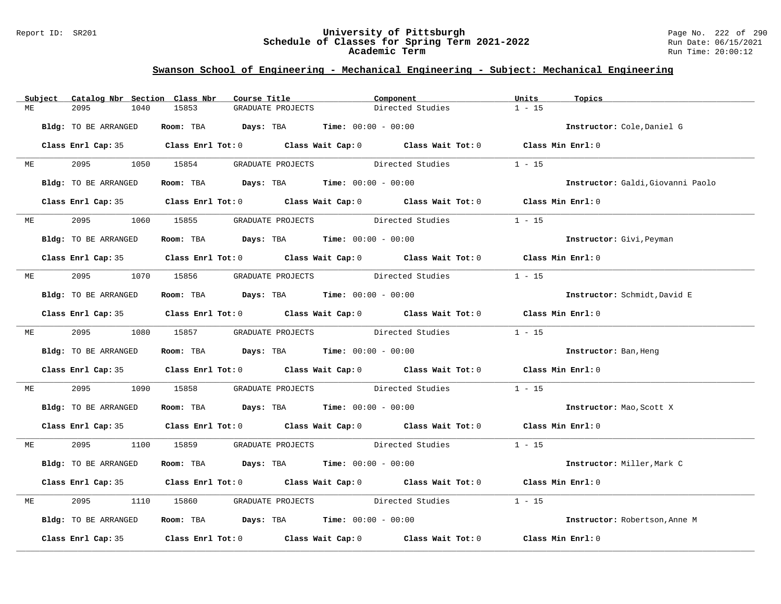#### Report ID: SR201 **University of Pittsburgh** Page No. 222 of 290 **Schedule of Classes for Spring Term 2021-2022** Run Date: 06/15/2021 **Academic Term** Run Time: 20:00:12

|    | Subject   | Catalog Nbr Section Class Nbr | Course Title                                                   |                   | Component                                                                                           | Units<br>Topics                   |  |
|----|-----------|-------------------------------|----------------------------------------------------------------|-------------------|-----------------------------------------------------------------------------------------------------|-----------------------------------|--|
| ME |           | 2095<br>1040                  | 15853                                                          | GRADUATE PROJECTS | Directed Studies                                                                                    | $1 - 15$                          |  |
|    |           | Bldg: TO BE ARRANGED          | Room: TBA $Days: TBA$ Time: $00:00 - 00:00$                    |                   |                                                                                                     | Instructor: Cole, Daniel G        |  |
|    |           |                               |                                                                |                   | Class Enrl Cap: 35 Class Enrl Tot: 0 Class Wait Cap: 0 Class Wait Tot: 0 Class Min Enrl: 0          |                                   |  |
|    | ME        |                               | 2095 1050 15854 GRADUATE PROJECTS Directed Studies             |                   |                                                                                                     | $1 - 15$                          |  |
|    |           | Bldg: TO BE ARRANGED          | Room: TBA $Days:$ TBA $Time: 00:00 - 00:00$                    |                   |                                                                                                     | Instructor: Galdi, Giovanni Paolo |  |
|    |           |                               |                                                                |                   | Class Enrl Cap: 35 Class Enrl Tot: 0 Class Wait Cap: 0 Class Wait Tot: 0 Class Min Enrl: 0          |                                   |  |
|    | <b>ME</b> | 2095 — 2005                   | 1060 15855 GRADUATE PROJECTS Directed Studies                  |                   |                                                                                                     | $1 - 15$                          |  |
|    |           | Bldg: TO BE ARRANGED          | Room: TBA $Days:$ TBA $Time: 00:00 - 00:00$                    |                   |                                                                                                     | Instructor: Givi, Peyman          |  |
|    |           |                               |                                                                |                   | Class Enrl Cap: 35 Class Enrl Tot: 0 Class Wait Cap: 0 Class Wait Tot: 0 Class Min Enrl: 0          |                                   |  |
| ME |           |                               | 2095 1070 15856 GRADUATE PROJECTS Directed Studies             |                   |                                                                                                     | $1 - 15$                          |  |
|    |           | Bldg: TO BE ARRANGED          | Room: TBA $Days:$ TBA $Time: 00:00 - 00:00$                    |                   |                                                                                                     | Instructor: Schmidt, David E      |  |
|    |           |                               |                                                                |                   | Class Enrl Cap: 35 Class Enrl Tot: 0 Class Wait Cap: 0 Class Wait Tot: 0 Class Min Enrl: 0          |                                   |  |
|    |           |                               |                                                                |                   | ME 2095 1080 15857 GRADUATE PROJECTS Directed Studies                                               | $1 - 15$                          |  |
|    |           | Bldg: TO BE ARRANGED          | Room: TBA $Days:$ TBA $Time: 00:00 - 00:00$                    |                   |                                                                                                     | Instructor: Ban, Heng             |  |
|    |           |                               |                                                                |                   | Class Enrl Cap: 35 Class Enrl Tot: 0 Class Wait Cap: 0 Class Wait Tot: 0 Class Min Enrl: 0          |                                   |  |
| ME |           | 2095                          |                                                                |                   | 1090 15858 GRADUATE PROJECTS Directed Studies                                                       | $1 - 15$                          |  |
|    |           | Bldg: TO BE ARRANGED          | Room: TBA $Days:$ TBA $Time: 00:00 - 00:00$                    |                   |                                                                                                     | Instructor: Mao, Scott X          |  |
|    |           |                               |                                                                |                   | Class Enrl Cap: 35 Class Enrl Tot: 0 Class Wait Cap: 0 Class Wait Tot: 0 Class Min Enrl: 0          |                                   |  |
| ME |           |                               |                                                                |                   | 2095 1100 15859 GRADUATE PROJECTS Directed Studies 1 - 15                                           |                                   |  |
|    |           | Bldg: TO BE ARRANGED          | Room: TBA $Days:$ TBA $Time: 00:00 - 00:00$                    |                   |                                                                                                     | Instructor: Miller, Mark C        |  |
|    |           |                               |                                                                |                   | Class Enrl Cap: 35 Class Enrl Tot: 0 Class Wait Cap: 0 Class Wait Tot: 0 Class Min Enrl: 0          |                                   |  |
| ME |           | 2095                          |                                                                |                   | 1110 15860 GRADUATE PROJECTS Directed Studies                                                       | $1 - 15$                          |  |
|    |           | Bldg: TO BE ARRANGED          | Room: TBA $\rule{1em}{0.15mm}$ Days: TBA Time: $00:00 - 00:00$ |                   |                                                                                                     | Instructor: Robertson, Anne M     |  |
|    |           |                               |                                                                |                   | Class Enrl Cap: 35 $\qquad$ Class Enrl Tot: 0 $\qquad$ Class Wait Cap: 0 $\qquad$ Class Wait Tot: 0 | Class Min Enrl: 0                 |  |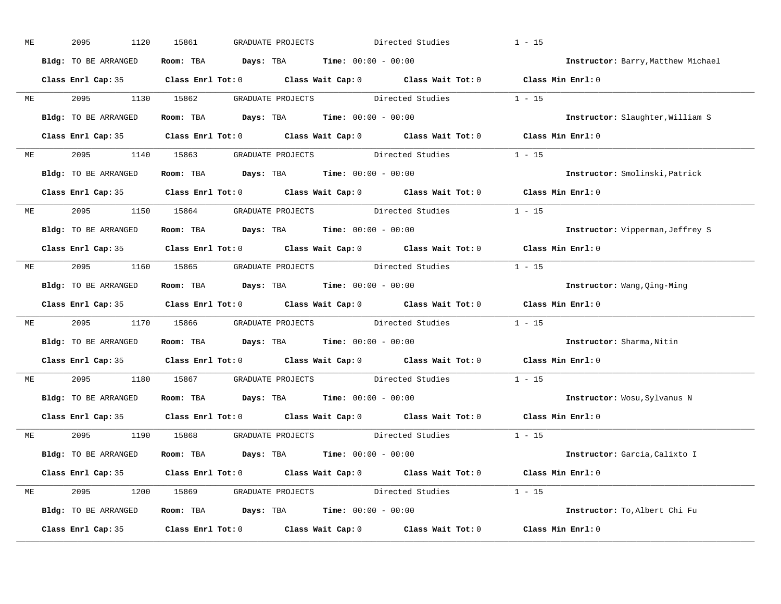| МE | 2095<br>1120         | 15861<br>GRADUATE PROJECTS                                                                 | Directed Studies<br>$1 - 15$       |
|----|----------------------|--------------------------------------------------------------------------------------------|------------------------------------|
|    | Bldg: TO BE ARRANGED | <b>Room:</b> TBA <b>Days:</b> TBA <b>Time:</b> 00:00 - 00:00                               | Instructor: Barry, Matthew Michael |
|    |                      | Class Enrl Cap: 35 Class Enrl Tot: 0 Class Wait Cap: 0 Class Wait Tot: 0 Class Min Enrl: 0 |                                    |
| ME | 2095                 | GRADUATE PROJECTS Directed Studies 1 - 15<br>1130 15862                                    |                                    |
|    | Bldg: TO BE ARRANGED | Room: TBA $Days:$ TBA $Time: 00:00 - 00:00$                                                | Instructor: Slaughter, William S   |
|    |                      | Class Enrl Cap: 35 Class Enrl Tot: 0 Class Wait Cap: 0 Class Wait Tot: 0 Class Min Enrl: 0 |                                    |
| ME |                      | 2095 1140 15863 GRADUATE PROJECTS Directed Studies 1 - 15                                  |                                    |
|    | Bldg: TO BE ARRANGED | Room: TBA Days: TBA Time: $00:00 - 00:00$                                                  | Instructor: Smolinski, Patrick     |
|    |                      | Class Enrl Cap: 35 Class Enrl Tot: 0 Class Wait Cap: 0 Class Wait Tot: 0 Class Min Enrl: 0 |                                    |
|    | ME 2095 1150 15864   | GRADUATE PROJECTS Directed Studies 1 - 15                                                  |                                    |
|    | Bldg: TO BE ARRANGED | Room: TBA $\rule{1em}{0.15mm}$ Days: TBA $\rule{1.5mm}{0.15mm}$ Time: $00:00 - 00:00$      | Instructor: Vipperman, Jeffrey S   |
|    |                      | Class Enrl Cap: 35 Class Enrl Tot: 0 Class Wait Cap: 0 Class Wait Tot: 0 Class Min Enrl: 0 |                                    |
|    |                      | ME 2095 1160 15865 GRADUATE PROJECTS Directed Studies 1 - 15                               |                                    |
|    | Bldg: TO BE ARRANGED | Room: TBA $\rule{1em}{0.15mm}$ Days: TBA Time: $00:00 - 00:00$                             | Instructor: Wang, Qing-Ming        |
|    |                      | Class Enrl Cap: 35 Class Enrl Tot: 0 Class Wait Cap: 0 Class Wait Tot: 0 Class Min Enrl: 0 |                                    |
| ME | 2095<br>1170         | 15866 GRADUATE PROJECTS Directed Studies 1 - 15                                            |                                    |
|    | Bldg: TO BE ARRANGED | Room: TBA $Days: TBA$ Time: $00:00 - 00:00$                                                | Instructor: Sharma, Nitin          |
|    |                      | Class Enrl Cap: 35 Class Enrl Tot: 0 Class Wait Cap: 0 Class Wait Tot: 0 Class Min Enrl: 0 |                                    |
| ME | 2095                 | GRADUATE PROJECTS Directed Studies 1 - 15<br>1180 15867                                    |                                    |
|    | Bldg: TO BE ARRANGED | Room: TBA $\rule{1em}{0.15mm}$ Days: TBA $\rule{1.15mm}{0.15mm}$ Time: $00:00 - 00:00$     | Instructor: Wosu, Sylvanus N       |
|    |                      | Class Enrl Cap: 35 Class Enrl Tot: 0 Class Wait Cap: 0 Class Wait Tot: 0 Class Min Enrl: 0 |                                    |
| МE | 2095                 | 1190 15868 GRADUATE PROJECTS Directed Studies 1 - 15                                       |                                    |
|    | Bldg: TO BE ARRANGED | Room: TBA $\rule{1em}{0.15mm}$ Days: TBA Time: $00:00 - 00:00$                             | Instructor: Garcia, Calixto I      |
|    |                      | Class Enrl Cap: 35 Class Enrl Tot: 0 Class Wait Cap: 0 Class Wait Tot: 0 Class Min Enrl: 0 |                                    |
| ME |                      | 2095 1200 15869 GRADUATE PROJECTS Directed Studies 1 - 15                                  |                                    |
|    | Bldg: TO BE ARRANGED | Room: TBA $Days:$ TBA $Time: 00:00 - 00:00$                                                | Instructor: To, Albert Chi Fu      |
|    | Class Enrl Cap: 35   | Class Enrl Tot: $0$ Class Wait Cap: $0$ Class Wait Tot: $0$                                | Class Min Enrl: 0                  |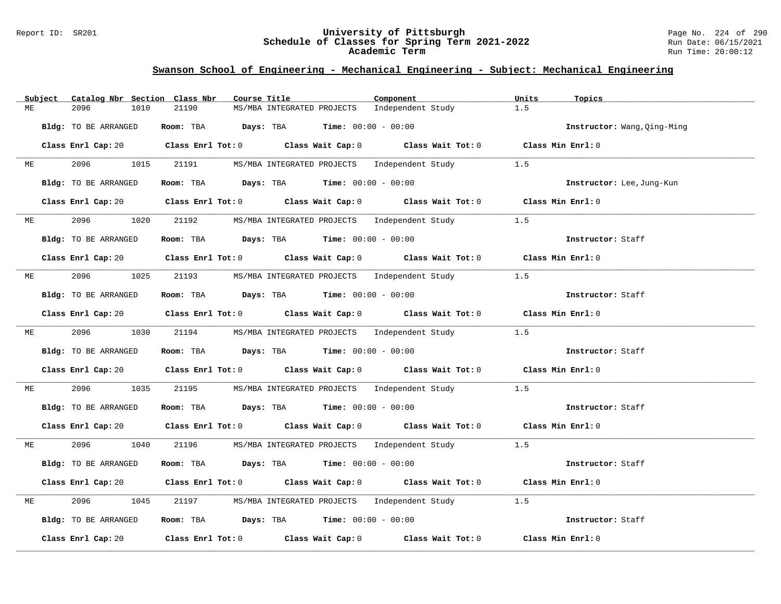#### Report ID: SR201 **University of Pittsburgh** Page No. 224 of 290 **Schedule of Classes for Spring Term 2021-2022** Run Date: 06/15/2021 **Academic Term** Run Time: 20:00:12

|    | Subject | Catalog Nbr Section Class Nbr | Course Title                                                                                                                   | Component         | Units<br>Topics             |
|----|---------|-------------------------------|--------------------------------------------------------------------------------------------------------------------------------|-------------------|-----------------------------|
| МE |         | 2096<br>1010                  | 21190<br>MS/MBA INTEGRATED PROJECTS                                                                                            | Independent Study | 1.5                         |
|    |         | Bldg: TO BE ARRANGED          | Room: TBA $Days:$ TBA $Time: 00:00 - 00:00$                                                                                    |                   | Instructor: Wang, Qing-Ming |
|    |         |                               | Class Enrl Cap: 20 		 Class Enrl Tot: 0 		 Class Wait Cap: 0 		 Class Wait Tot: 0 		 Class Min Enrl: 0                         |                   |                             |
| МE |         | 2096 70<br>1015               | 21191<br>MS/MBA INTEGRATED PROJECTS Independent Study                                                                          |                   | 1.5                         |
|    |         | Bldg: TO BE ARRANGED          | Room: TBA $Days:$ TBA $Time: 00:00 - 00:00$                                                                                    |                   | Instructor: Lee, Jung-Kun   |
|    |         |                               | Class Enrl Cap: 20 Class Enrl Tot: 0 Class Wait Cap: 0 Class Wait Tot: 0 Class Min Enrl: 0                                     |                   |                             |
|    | ME      | 2096 — 100                    | 1020 21192 MS/MBA INTEGRATED PROJECTS Independent Study                                                                        |                   | 1.5                         |
|    |         | Bldg: TO BE ARRANGED          | Room: TBA $\rule{1em}{0.15mm}$ Days: TBA Time: $00:00 - 00:00$                                                                 |                   | Instructor: Staff           |
|    |         |                               | Class Enrl Cap: 20 Class Enrl Tot: 0 Class Wait Cap: 0 Class Wait Tot: 0 Class Min Enrl: 0                                     |                   |                             |
| МE |         | 2096 70                       | 1025 21193 MS/MBA INTEGRATED PROJECTS Independent Study                                                                        |                   | 1.5                         |
|    |         | Bldg: TO BE ARRANGED          | Room: TBA $\rule{1em}{0.15mm}$ Days: TBA $\rule{1.5mm}{0.15mm}$ Time: $00:00 - 00:00$                                          |                   | Instructor: Staff           |
|    |         |                               | Class Enrl Cap: 20 Class Enrl Tot: 0 Class Wait Cap: 0 Class Wait Tot: 0 Class Min Enrl: 0                                     |                   |                             |
|    | ME      | 2096 70                       | 1030 21194 MS/MBA INTEGRATED PROJECTS Independent Study 1.5                                                                    |                   |                             |
|    |         | Bldg: TO BE ARRANGED          | Room: TBA $Days:$ TBA $Time: 00:00 - 00:00$                                                                                    |                   | Instructor: Staff           |
|    |         |                               | Class Enrl Cap: 20 		 Class Enrl Tot: 0 		 Class Wait Cap: 0 		 Class Wait Tot: 0 		 Class Min Enrl: 0                         |                   |                             |
| МE |         | 2096<br>1035                  | 21195<br>MS/MBA INTEGRATED PROJECTS Independent Study                                                                          |                   | 1.5                         |
|    |         | Bldg: TO BE ARRANGED          | Room: TBA $\rule{1em}{0.15mm}$ Days: TBA Time: $00:00 - 00:00$                                                                 |                   | Instructor: Staff           |
|    |         |                               | Class Enrl Cap: 20 $\qquad$ Class Enrl Tot: 0 $\qquad$ Class Wait Cap: 0 $\qquad$ Class Wait Tot: 0 $\qquad$ Class Min Enrl: 0 |                   |                             |
| ME |         | 2096 70<br>1040               | 21196 MS/MBA INTEGRATED PROJECTS Independent Study 1.5                                                                         |                   |                             |
|    |         | Bldg: TO BE ARRANGED          | Room: TBA $Days:$ TBA $Time: 00:00 - 00:00$                                                                                    |                   | Instructor: Staff           |
|    |         |                               | Class Enrl Cap: 20 		 Class Enrl Tot: 0 		 Class Wait Cap: 0 		 Class Wait Tot: 0 		 Class Min Enrl: 0                         |                   |                             |
| МE |         | 2096<br>1045                  | 21197 MS/MBA INTEGRATED PROJECTS Independent Study                                                                             |                   | 1.5                         |
|    |         | Bldg: TO BE ARRANGED          | Room: TBA $Days:$ TBA $Time: 00:00 - 00:00$                                                                                    |                   | Instructor: Staff           |
|    |         | Class Enrl Cap: 20            | Class Enrl Tot: $0$ Class Wait Cap: $0$ Class Wait Tot: $0$                                                                    |                   | Class Min Enrl: 0           |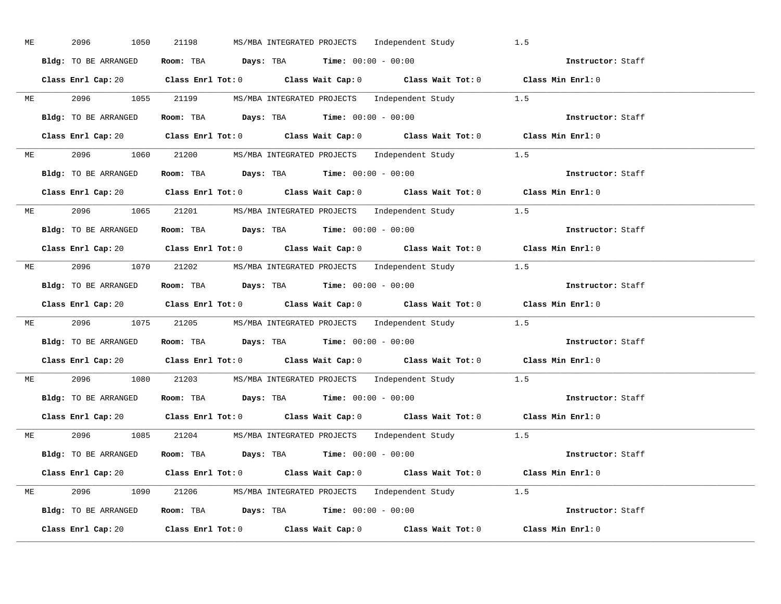| ME | 2096<br>1050         | 21198<br>MS/MBA INTEGRATED PROJECTS Independent Study                                                  | 1.5               |
|----|----------------------|--------------------------------------------------------------------------------------------------------|-------------------|
|    | Bldg: TO BE ARRANGED | Room: TBA $\rule{1em}{0.15mm}$ Days: TBA Time: $00:00 - 00:00$                                         | Instructor: Staff |
|    |                      | Class Enrl Cap: 20 Class Enrl Tot: 0 Class Wait Cap: 0 Class Wait Tot: 0 Class Min Enrl: 0             |                   |
|    |                      | ME 2096 1055 21199 MS/MBA INTEGRATED PROJECTS Independent Study 1.5                                    |                   |
|    | Bldg: TO BE ARRANGED | Room: TBA $Days: TBA$ Time: $00:00 - 00:00$                                                            | Instructor: Staff |
|    |                      | Class Enrl Cap: 20 Class Enrl Tot: 0 Class Wait Cap: 0 Class Wait Tot: 0 Class Min Enrl: 0             |                   |
|    |                      | ME 2096 1060 21200 MS/MBA INTEGRATED PROJECTS Independent Study 1.5                                    |                   |
|    |                      | Bldg: TO BE ARRANGED ROOM: TBA Days: TBA Time: 00:00 - 00:00                                           | Instructor: Staff |
|    |                      | Class Enrl Cap: 20 Class Enrl Tot: 0 Class Wait Cap: 0 Class Wait Tot: 0 Class Min Enrl: 0             |                   |
|    |                      | ME 2096 1065 21201 MS/MBA INTEGRATED PROJECTS Independent Study 1.5                                    |                   |
|    | Bldg: TO BE ARRANGED | Room: TBA $Days:$ TBA $Time: 00:00 - 00:00$                                                            | Instructor: Staff |
|    |                      | Class Enrl Cap: 20 Class Enrl Tot: 0 Class Wait Cap: 0 Class Wait Tot: 0 Class Min Enrl: 0             |                   |
|    |                      | ME 2096 1070 21202 MS/MBA INTEGRATED PROJECTS Independent Study 1.5                                    |                   |
|    |                      | Bldg: TO BE ARRANGED Room: TBA Days: TBA Time: 00:00 - 00:00                                           | Instructor: Staff |
|    |                      | Class Enrl Cap: 20 		 Class Enrl Tot: 0 		 Class Wait Cap: 0 		 Class Wait Tot: 0 		 Class Min Enrl: 0 |                   |
|    |                      | ME 2096 1075 21205 MS/MBA INTEGRATED PROJECTS Independent Study 1.5                                    |                   |
|    |                      | Bldg: TO BE ARRANGED ROOM: TBA Days: TBA Time: 00:00 - 00:00                                           | Instructor: Staff |
|    |                      | Class Enrl Cap: 20 Class Enrl Tot: 0 Class Wait Cap: 0 Class Wait Tot: 0 Class Min Enrl: 0             |                   |
|    |                      | ME 2096 1080 21203 MS/MBA INTEGRATED PROJECTS Independent Study 1.5                                    |                   |
|    |                      | <b>Bldg:</b> TO BE ARRANGED <b>Room:</b> TBA <b>Days:</b> TBA <b>Time:</b> $00:00 - 00:00$             | Instructor: Staff |
|    |                      | Class Enrl Cap: 20 Class Enrl Tot: 0 Class Wait Cap: 0 Class Wait Tot: 0 Class Min Enrl: 0             |                   |
|    |                      | ME 2096 1085 21204 MS/MBA INTEGRATED PROJECTS Independent Study 1.5                                    |                   |
|    |                      | Bldg: TO BE ARRANGED Room: TBA Days: TBA Time: $00:00 - 00:00$                                         |                   |
|    |                      | Class Enrl Cap: 20 Class Enrl Tot: 0 Class Wait Cap: 0 Class Wait Tot: 0 Class Min Enrl: 0             |                   |
|    |                      | ME 2096 1090 21206 MS/MBA INTEGRATED PROJECTS Independent Study 1.5                                    |                   |
|    |                      | Bldg: TO BE ARRANGED Room: TBA Days: TBA Time: 00:00 - 00:00                                           | Instructor: Staff |
|    |                      | Class Enrl Cap: 20 Class Enrl Tot: 0 Class Wait Cap: 0 Class Wait Tot: 0 Class Min Enrl: 0             |                   |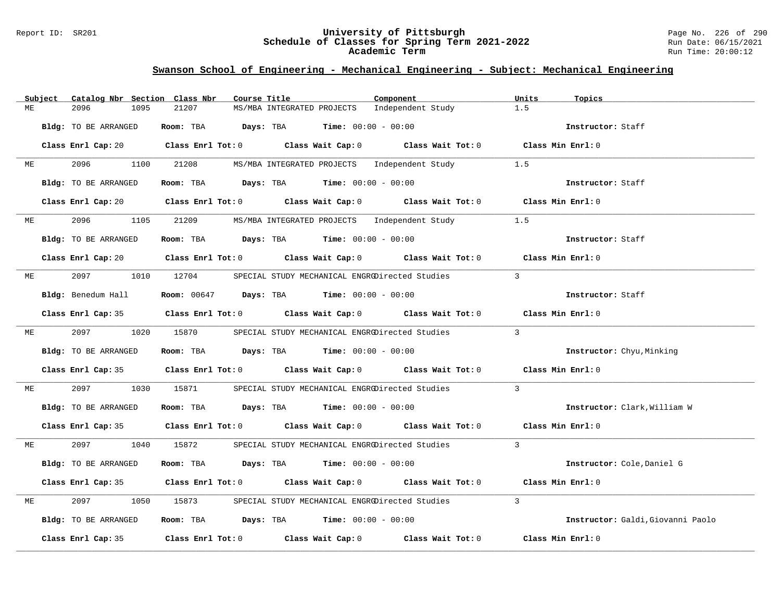#### Report ID: SR201 **University of Pittsburgh** Page No. 226 of 290 **Schedule of Classes for Spring Term 2021-2022** Run Date: 06/15/2021 **Academic Term** Run Time: 20:00:12

|    | Subject | Catalog Nbr Section Class Nbr | Course Title |                                                                                       | Component                                                                                                                                                                                                                     | Units<br>Topics                   |
|----|---------|-------------------------------|--------------|---------------------------------------------------------------------------------------|-------------------------------------------------------------------------------------------------------------------------------------------------------------------------------------------------------------------------------|-----------------------------------|
| МE |         | 2096<br>1095                  | 21207        | MS/MBA INTEGRATED PROJECTS                                                            | Independent Study                                                                                                                                                                                                             | 1.5                               |
|    |         | Bldg: TO BE ARRANGED          |              | Room: TBA $Days:$ TBA $Time: 00:00 - 00:00$                                           |                                                                                                                                                                                                                               | Instructor: Staff                 |
|    |         |                               |              |                                                                                       | Class Enrl Cap: 20 Class Enrl Tot: 0 Class Wait Cap: 0 Class Wait Tot: 0 Class Min Enrl: 0                                                                                                                                    |                                   |
| МE |         | 2096 — 100<br>1100            | 21208        | MS/MBA INTEGRATED PROJECTS Independent Study                                          |                                                                                                                                                                                                                               | 1.5                               |
|    |         | Bldg: TO BE ARRANGED          |              | Room: TBA $Days:$ TBA $Time: 00:00 - 00:00$                                           |                                                                                                                                                                                                                               | Instructor: Staff                 |
|    |         |                               |              |                                                                                       | Class Enrl Cap: 20 Class Enrl Tot: 0 Class Wait Cap: 0 Class Wait Tot: 0 Class Min Enrl: 0                                                                                                                                    |                                   |
| МE |         | 2096                          | 1105 21209   | MS/MBA INTEGRATED PROJECTS Independent Study                                          |                                                                                                                                                                                                                               | 1.5                               |
|    |         | Bldg: TO BE ARRANGED          |              | Room: TBA $Days:$ TBA $Time: 00:00 - 00:00$                                           |                                                                                                                                                                                                                               | Instructor: Staff                 |
|    |         |                               |              |                                                                                       | Class Enrl Cap: 20 $\qquad$ Class Enrl Tot: 0 $\qquad$ Class Wait Cap: 0 $\qquad$ Class Wait Tot: 0 $\qquad$ Class Min Enrl: 0                                                                                                |                                   |
| МE |         | 2097 1010 12704               |              | SPECIAL STUDY MECHANICAL ENGRODirected Studies                                        |                                                                                                                                                                                                                               | $\overline{3}$                    |
|    |         | Bldg: Benedum Hall            |              | <b>Room:</b> 00647 <b>Days:</b> TBA <b>Time:</b> $00:00 - 00:00$                      |                                                                                                                                                                                                                               | Instructor: Staff                 |
|    |         |                               |              |                                                                                       | Class Enrl Cap: 35 Class Enrl Tot: 0 Class Wait Cap: 0 Class Wait Tot: 0 Class Min Enrl: 0                                                                                                                                    |                                   |
| ME |         | 2097 — 2007                   | 1020 15870   |                                                                                       | SPECIAL STUDY MECHANICAL ENGRODirected Studies                                                                                                                                                                                | $\overline{\mathbf{3}}$           |
|    |         | Bldg: TO BE ARRANGED          |              | Room: TBA $\rule{1em}{0.15mm}$ Days: TBA Time: $00:00 - 00:00$                        |                                                                                                                                                                                                                               | Instructor: Chyu, Minking         |
|    |         |                               |              |                                                                                       | Class Enrl Cap: 35 $\,$ Class Enrl Tot: 0 $\,$ Class Wait Cap: 0 $\,$ Class Wait Tot: 0 $\,$ Class Enrl Tot: 0 $\,$ Class Enrl Tot: 0 $\,$ Class Enrl Tot: 0 $\,$ Class Enrl Tot: 0 $\,$ Class Enrl Tot: 0 $\,$ Class Enrl To | Class Min Enrl: 0                 |
| МE |         | 2097<br>1030                  | 15871        | SPECIAL STUDY MECHANICAL ENGRODirected Studies                                        |                                                                                                                                                                                                                               | $\overline{3}$                    |
|    |         | Bldg: TO BE ARRANGED          |              | Room: TBA $Days:$ TBA $Time: 00:00 - 00:00$                                           |                                                                                                                                                                                                                               | Instructor: Clark, William W      |
|    |         |                               |              |                                                                                       | Class Enrl Cap: 35 Class Enrl Tot: 0 Class Wait Cap: 0 Class Wait Tot: 0 Class Min Enrl: 0                                                                                                                                    |                                   |
| ME |         | 2097 — 2007                   | 1040 15872   |                                                                                       | SPECIAL STUDY MECHANICAL ENGRODirected Studies                                                                                                                                                                                | $\overline{\mathbf{3}}$           |
|    |         | Bldg: TO BE ARRANGED          |              | Room: TBA $Days:$ TBA $Time: 00:00 - 00:00$                                           |                                                                                                                                                                                                                               | Instructor: Cole, Daniel G        |
|    |         |                               |              |                                                                                       | Class Enrl Cap: 35 Class Enrl Tot: 0 Class Wait Cap: 0 Class Wait Tot: 0                                                                                                                                                      | Class Min Enrl: 0                 |
| MЕ |         | 2097<br>1050                  | 15873        | SPECIAL STUDY MECHANICAL ENGRODirected Studies                                        |                                                                                                                                                                                                                               | $\mathcal{E}$                     |
|    |         | Bldg: TO BE ARRANGED          |              | Room: TBA $\rule{1em}{0.15mm}$ Days: TBA $\rule{1.5mm}{0.15mm}$ Time: $00:00 - 00:00$ |                                                                                                                                                                                                                               | Instructor: Galdi, Giovanni Paolo |
|    |         |                               |              |                                                                                       | Class Enrl Cap: 35 Class Enrl Tot: 0 Class Wait Cap: 0 Class Wait Tot: 0                                                                                                                                                      | Class Min Enrl: 0                 |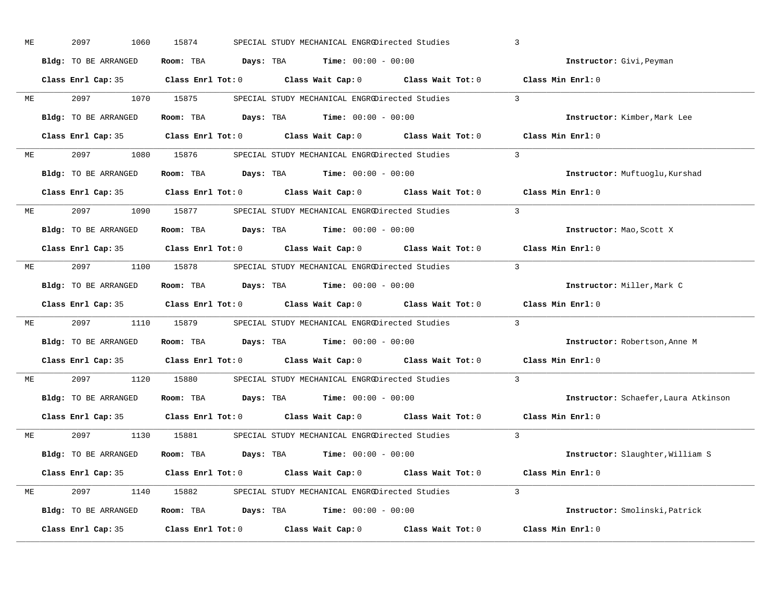| ME | 2097<br>1060         | 15874      | SPECIAL STUDY MECHANICAL ENGRODirected Studies                                                      |          | $\overline{3}$                       |  |
|----|----------------------|------------|-----------------------------------------------------------------------------------------------------|----------|--------------------------------------|--|
|    | Bldg: TO BE ARRANGED |            | Room: TBA $\rule{1em}{0.15mm}$ Days: TBA $\rule{1.5mm}{0.15mm}$ Time: $00:00 - 00:00$               |          | Instructor: Givi, Peyman             |  |
|    |                      |            | Class Enrl Cap: 35 $\qquad$ Class Enrl Tot: 0 $\qquad$ Class Wait Cap: 0 $\qquad$ Class Wait Tot: 0 |          | Class Min Enrl: 0                    |  |
| ME | 2097 — 2007          | 1070 15875 | SPECIAL STUDY MECHANICAL ENGRODirected Studies                                                      |          | $\mathbf{3}$                         |  |
|    | Bldg: TO BE ARRANGED |            | Room: TBA $Days: TBA$ Time: $00:00 - 00:00$                                                         |          | Instructor: Kimber, Mark Lee         |  |
|    |                      |            | Class Enrl Cap: 35 Class Enrl Tot: 0 Class Wait Cap: 0 Class Wait Tot: 0 Class Min Enrl: 0          |          |                                      |  |
| МE |                      |            | 2097 1080 15876 SPECIAL STUDY MECHANICAL ENGRODirected Studies                                      |          | $\mathcal{L}$                        |  |
|    | Bldg: TO BE ARRANGED |            | Room: TBA Days: TBA Time: $00:00 - 00:00$                                                           |          | Instructor: Muftuoglu, Kurshad       |  |
|    |                      |            | Class Enrl Cap: 35 Class Enrl Tot: 0 Class Wait Cap: 0 Class Wait Tot: 0 Class Min Enrl: 0          |          |                                      |  |
| МE | 2097 1090 15877      |            | SPECIAL STUDY MECHANICAL ENGRODirected Studies                                                      |          | $\mathcal{E}$                        |  |
|    | Bldg: TO BE ARRANGED |            | Room: TBA $Days:$ TBA $Time: 00:00 - 00:00$                                                         |          | Instructor: Mao, Scott X             |  |
|    |                      |            | Class Enrl Cap: 35 Class Enrl Tot: 0 Class Wait Cap: 0 Class Wait Tot: 0                            |          | Class Min Enrl: 0                    |  |
| ME |                      |            | 2097 1100 15878 SPECIAL STUDY MECHANICAL ENGROPirected Studies                                      | $\sim$ 3 |                                      |  |
|    | Bldg: TO BE ARRANGED |            | Room: TBA $Days:$ TBA $Time: 00:00 - 00:00$                                                         |          | Instructor: Miller, Mark C           |  |
|    |                      |            | Class Enrl Cap: 35 Class Enrl Tot: 0 Class Wait Cap: 0 Class Wait Tot: 0 Class Min Enrl: 0          |          |                                      |  |
|    |                      |            |                                                                                                     |          |                                      |  |
| ME |                      |            | 2097 1110 15879 SPECIAL STUDY MECHANICAL ENGRODirected Studies                                      |          | $\mathbf{3}$                         |  |
|    | Bldg: TO BE ARRANGED |            | Room: TBA $Days:$ TBA $Time: 00:00 - 00:00$                                                         |          | Instructor: Robertson, Anne M        |  |
|    |                      |            | Class Enrl Cap: 35 Class Enrl Tot: 0 Class Wait Cap: 0 Class Wait Tot: 0                            |          | Class Min Enrl: 0                    |  |
| ME | 2097                 | 1120 15880 | SPECIAL STUDY MECHANICAL ENGRODirected Studies                                                      |          | $\overline{3}$                       |  |
|    | Bldg: TO BE ARRANGED |            | Room: TBA $\rule{1em}{0.15mm}$ Days: TBA $\rule{1.15mm}]{0.15mm}$ Time: $0.000 - 0.0000$            |          | Instructor: Schaefer, Laura Atkinson |  |
|    | Class Enrl Cap: 35   |            | Class Enrl Tot: $0$ Class Wait Cap: $0$ Class Wait Tot: $0$                                         |          | Class Min Enrl: 0                    |  |
| ME |                      |            | 2097 1130 15881 SPECIAL STUDY MECHANICAL ENGRODirected Studies                                      |          | $\mathbf{3}$                         |  |
|    | Bldg: TO BE ARRANGED |            | Room: TBA $\rule{1em}{0.15mm}$ Days: TBA $\rule{1.15mm}]{0.15mm}$ Time: $0.000 - 0.0000$            |          | Instructor: Slaughter, William S     |  |
|    |                      |            | Class Enrl Cap: 35 Class Enrl Tot: 0 Class Wait Cap: 0 Class Wait Tot: 0 Class Min Enrl: 0          |          |                                      |  |
| ME |                      |            | 2097 1140 15882 SPECIAL STUDY MECHANICAL ENGRODirected Studies 3                                    |          |                                      |  |
|    | Bldg: TO BE ARRANGED |            | Room: TBA $Days: TBA$ Time: $00:00 - 00:00$                                                         |          | Instructor: Smolinski, Patrick       |  |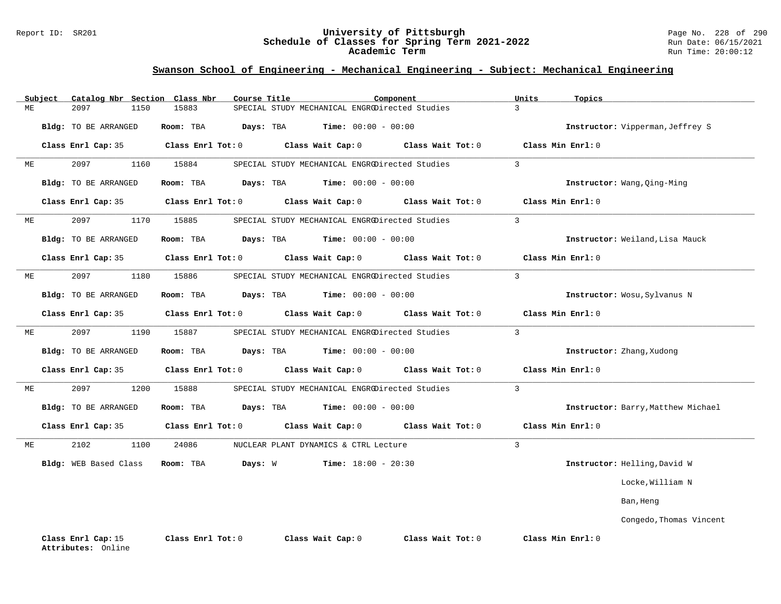#### Report ID: SR201 **University of Pittsburgh** Page No. 228 of 290 **Schedule of Classes for Spring Term 2021-2022** Run Date: 06/15/2021 **Academic Term** Run Time: 20:00:12

| ME | Subject | 2097<br>1150                             | Catalog Nbr Section Class Nbr<br>15883 | Course Title | SPECIAL STUDY MECHANICAL ENGRODirected Studies | Component                    |                   | Units<br>$\overline{3}$ | Topics                             |
|----|---------|------------------------------------------|----------------------------------------|--------------|------------------------------------------------|------------------------------|-------------------|-------------------------|------------------------------------|
|    |         |                                          |                                        |              |                                                |                              |                   |                         |                                    |
|    |         | Bldg: TO BE ARRANGED                     | Room: TBA                              | Days: TBA    |                                                | <b>Time:</b> $00:00 - 00:00$ |                   |                         | Instructor: Vipperman, Jeffrey S   |
|    |         | Class Enrl Cap: 35                       | Class Enrl Tot: 0                      |              | Class Wait Cap: 0                              |                              | Class Wait Tot: 0 |                         | Class Min Enrl: 0                  |
| ME |         | 2097<br>1160                             | 15884                                  |              | SPECIAL STUDY MECHANICAL ENGRODirected Studies |                              |                   | $\overline{3}$          |                                    |
|    |         | <b>Bldg:</b> TO BE ARRANGED              | Room: TBA                              | Days: TBA    |                                                | <b>Time:</b> $00:00 - 00:00$ |                   |                         | Instructor: Wang, Qing-Ming        |
|    |         | Class Enrl Cap: 35                       | Class Enrl Tot: 0                      |              | Class Wait Cap: 0                              |                              | Class Wait Tot: 0 |                         | Class Min Enrl: 0                  |
| ME |         | 2097<br>1170                             | 15885                                  |              | SPECIAL STUDY MECHANICAL ENGRODirected Studies |                              |                   | 3                       |                                    |
|    |         | Bldg: TO BE ARRANGED                     | Room: TBA                              | Days: TBA    |                                                | <b>Time:</b> $00:00 - 00:00$ |                   |                         | Instructor: Weiland, Lisa Mauck    |
|    |         | Class Enrl Cap: 35                       | Class Enrl Tot: 0                      |              | Class Wait Cap: 0                              |                              | Class Wait Tot: 0 |                         | Class Min Enrl: 0                  |
| МE |         | 2097<br>1180                             | 15886                                  |              | SPECIAL STUDY MECHANICAL ENGRODirected Studies |                              |                   | $\overline{3}$          |                                    |
|    |         | Bldg: TO BE ARRANGED                     | Room: TBA                              | Days: TBA    |                                                | $Time: 00:00 - 00:00$        |                   |                         | Instructor: Wosu, Sylvanus N       |
|    |         | Class Enrl Cap: 35                       | Class Enrl Tot: 0                      |              | Class Wait Cap: 0                              |                              | Class Wait Tot: 0 |                         | Class Min Enrl: 0                  |
| ME |         | 2097<br>1190                             | 15887                                  |              | SPECIAL STUDY MECHANICAL ENGRODirected Studies |                              |                   | $\overline{3}$          |                                    |
|    |         | Bldg: TO BE ARRANGED                     | Room: TBA                              | Days: TBA    |                                                | $Time: 00:00 - 00:00$        |                   |                         | Instructor: Zhang, Xudong          |
|    |         | Class Enrl Cap: 35                       | Class Enrl Tot: 0                      |              | Class Wait Cap: 0                              |                              | Class Wait Tot: 0 |                         | Class Min Enrl: 0                  |
| МE |         | 2097<br>1200                             | 15888                                  |              | SPECIAL STUDY MECHANICAL ENGRODirected Studies |                              |                   | $\overline{3}$          |                                    |
|    |         | Bldg: TO BE ARRANGED                     | Room: TBA                              | Days: TBA    |                                                | <b>Time:</b> $00:00 - 00:00$ |                   |                         | Instructor: Barry, Matthew Michael |
|    |         | Class Enrl Cap: 35                       | Class Enrl Tot: 0                      |              | Class Wait Cap: 0                              |                              | Class Wait Tot: 0 |                         | Class Min Enrl: 0                  |
| ME |         | 2102<br>1100                             | 24086                                  |              | NUCLEAR PLANT DYNAMICS & CTRL Lecture          |                              |                   | $\mathcal{E}$           |                                    |
|    |         | Bldg: WEB Based Class                    | Room: TBA                              | Days: W      |                                                | <b>Time:</b> $18:00 - 20:30$ |                   |                         | Instructor: Helling, David W       |
|    |         |                                          |                                        |              |                                                |                              |                   |                         | Locke, William N                   |
|    |         |                                          |                                        |              |                                                |                              |                   |                         | Ban, Heng                          |
|    |         |                                          |                                        |              |                                                |                              |                   |                         | Congedo, Thomas Vincent            |
|    |         | Class Enrl Cap: 15<br>Attributes: Online | Class Enrl Tot: 0                      |              | Class Wait Cap: 0                              |                              | Class Wait Tot: 0 |                         | Class Min Enrl: 0                  |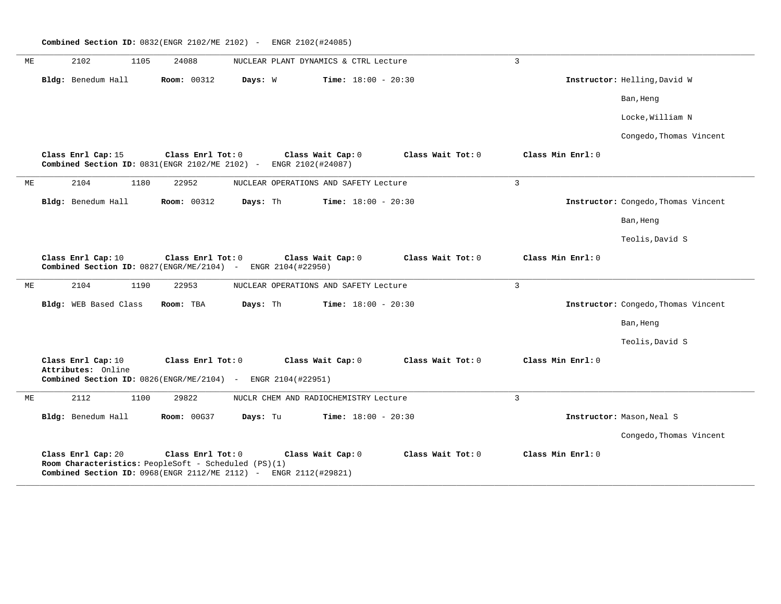**\_\_\_\_\_\_\_\_\_\_\_\_\_\_\_\_\_\_\_\_\_\_\_\_\_\_\_\_\_\_\_\_\_\_\_\_\_\_\_\_\_\_\_\_\_\_\_\_\_\_\_\_\_\_\_\_\_\_\_\_\_\_\_\_\_\_\_\_\_\_\_\_\_\_\_\_\_\_\_\_\_\_\_\_\_\_\_\_\_\_\_\_\_\_\_\_\_\_\_\_\_\_\_\_\_\_\_\_\_\_\_\_\_\_\_\_\_\_\_\_\_\_\_\_\_\_\_\_\_\_\_\_\_\_\_\_\_\_\_\_\_\_\_\_\_\_\_\_\_\_\_\_\_\_\_\_** ME 2102 1105 24088 NUCLEAR PLANT DYNAMICS & CTRL Lecture 3 **Bldg:** Benedum Hall **Room:** 00312 **Days:** W **Time:** 18:00 - 20:30 **Instructor:** Helling,David W Ban, Heng Locke,William N Congedo,Thomas Vincent **Class Enrl Cap:** 15 **Class Enrl Tot:** 0 **Class Wait Cap:** 0 **Class Wait Tot:** 0 **Class Min Enrl:** 0 **Combined Section ID:** 0831(ENGR 2102/ME 2102) - ENGR 2102(#24087) **\_\_\_\_\_\_\_\_\_\_\_\_\_\_\_\_\_\_\_\_\_\_\_\_\_\_\_\_\_\_\_\_\_\_\_\_\_\_\_\_\_\_\_\_\_\_\_\_\_\_\_\_\_\_\_\_\_\_\_\_\_\_\_\_\_\_\_\_\_\_\_\_\_\_\_\_\_\_\_\_\_\_\_\_\_\_\_\_\_\_\_\_\_\_\_\_\_\_\_\_\_\_\_\_\_\_\_\_\_\_\_\_\_\_\_\_\_\_\_\_\_\_\_\_\_\_\_\_\_\_\_\_\_\_\_\_\_\_\_\_\_\_\_\_\_\_\_\_\_\_\_\_\_\_\_\_** ME 2104 1180 22952 NUCLEAR OPERATIONS AND SAFETY Lecture 3 **Bldg:** Benedum Hall **Room:** 00312 **Days:** Th **Time:** 18:00 - 20:30 **Instructor:** Congedo,Thomas Vincent Ban, Heng Teolis,David S **Class Enrl Cap:** 10 **Class Enrl Tot:** 0 **Class Wait Cap:** 0 **Class Wait Tot:** 0 **Class Min Enrl:** 0 **Combined Section ID:** 0827(ENGR/ME/2104) - ENGR 2104(#22950) **\_\_\_\_\_\_\_\_\_\_\_\_\_\_\_\_\_\_\_\_\_\_\_\_\_\_\_\_\_\_\_\_\_\_\_\_\_\_\_\_\_\_\_\_\_\_\_\_\_\_\_\_\_\_\_\_\_\_\_\_\_\_\_\_\_\_\_\_\_\_\_\_\_\_\_\_\_\_\_\_\_\_\_\_\_\_\_\_\_\_\_\_\_\_\_\_\_\_\_\_\_\_\_\_\_\_\_\_\_\_\_\_\_\_\_\_\_\_\_\_\_\_\_\_\_\_\_\_\_\_\_\_\_\_\_\_\_\_\_\_\_\_\_\_\_\_\_\_\_\_\_\_\_\_\_\_** ME 2104 1190 22953 NUCLEAR OPERATIONS AND SAFETY Lecture 3 **Bldg:** WEB Based Class **Room:** TBA **Days:** Th **Time:** 18:00 - 20:30 **Instructor:** Congedo,Thomas Vincent Ban, Heng Teolis,David S **Class Enrl Cap:** 10 **Class Enrl Tot:** 0 **Class Wait Cap:** 0 **Class Wait Tot:** 0 **Class Min Enrl:** 0 **Attributes:** Online **Combined Section ID:** 0826(ENGR/ME/2104) - ENGR 2104(#22951) **\_\_\_\_\_\_\_\_\_\_\_\_\_\_\_\_\_\_\_\_\_\_\_\_\_\_\_\_\_\_\_\_\_\_\_\_\_\_\_\_\_\_\_\_\_\_\_\_\_\_\_\_\_\_\_\_\_\_\_\_\_\_\_\_\_\_\_\_\_\_\_\_\_\_\_\_\_\_\_\_\_\_\_\_\_\_\_\_\_\_\_\_\_\_\_\_\_\_\_\_\_\_\_\_\_\_\_\_\_\_\_\_\_\_\_\_\_\_\_\_\_\_\_\_\_\_\_\_\_\_\_\_\_\_\_\_\_\_\_\_\_\_\_\_\_\_\_\_\_\_\_\_\_\_\_\_** ME 2112 1100 29822 NUCLR CHEM AND RADIOCHEMISTRY Lecture 3 **Bldg:** Benedum Hall **Room:** 00G37 **Days:** Tu **Time:** 18:00 - 20:30 **Instructor:** Mason,Neal S Congedo, Thomas Vincent **Class Enrl Cap:** 20 **Class Enrl Tot:** 0 **Class Wait Cap:** 0 **Class Wait Tot:** 0 **Class Min Enrl:** 0 **Room Characteristics:** PeopleSoft - Scheduled (PS)(1) **Combined Section ID:** 0968(ENGR 2112/ME 2112) - ENGR 2112(#29821) **\_\_\_\_\_\_\_\_\_\_\_\_\_\_\_\_\_\_\_\_\_\_\_\_\_\_\_\_\_\_\_\_\_\_\_\_\_\_\_\_\_\_\_\_\_\_\_\_\_\_\_\_\_\_\_\_\_\_\_\_\_\_\_\_\_\_\_\_\_\_\_\_\_\_\_\_\_\_\_\_\_\_\_\_\_\_\_\_\_\_\_\_\_\_\_\_\_\_\_\_\_\_\_\_\_\_\_\_\_\_\_\_\_\_\_\_\_\_\_\_\_\_\_\_\_\_\_\_\_\_\_\_\_\_\_\_\_\_\_\_\_\_\_\_\_\_\_\_\_\_\_\_\_\_\_\_**

**Combined Section ID:** 0832(ENGR 2102/ME 2102) - ENGR 2102(#24085)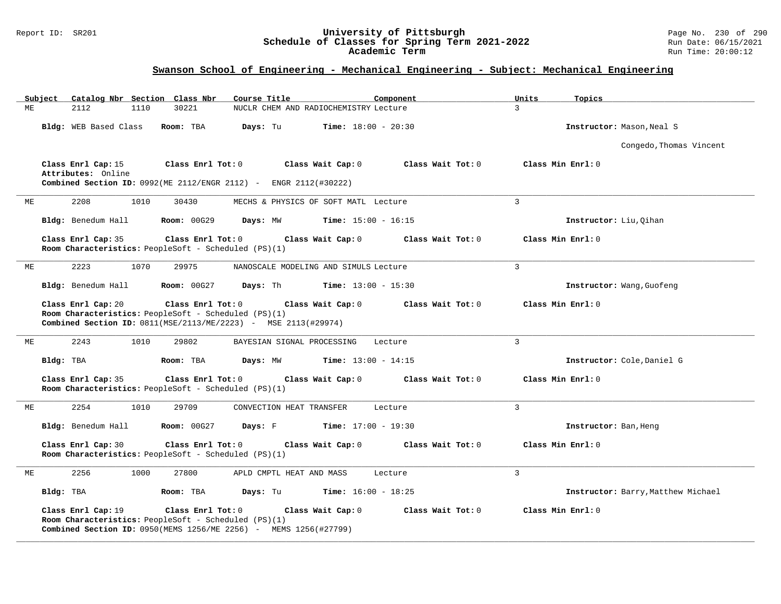#### Report ID: SR201 **University of Pittsburgh** Page No. 230 of 290 **Schedule of Classes for Spring Term 2021-2022** Run Date: 06/15/2021 **Academic Term** Run Time: 20:00:12

| Subject                                  | Course Title<br>Catalog Nbr Section Class Nbr                                                                                                 | Component                              | Units<br>Topics                    |
|------------------------------------------|-----------------------------------------------------------------------------------------------------------------------------------------------|----------------------------------------|------------------------------------|
| 2112<br>МE<br>1110                       | 30221                                                                                                                                         | NUCLR CHEM AND RADIOCHEMISTRY Lecture  | $\mathbf{3}$                       |
| Bldg: WEB Based Class                    | Room: TBA<br>Days: Tu                                                                                                                         | <b>Time:</b> $18:00 - 20:30$           | Instructor: Mason, Neal S          |
|                                          |                                                                                                                                               |                                        | Congedo, Thomas Vincent            |
| Class Enrl Cap: 15<br>Attributes: Online | Class Enrl Tot: 0<br>Combined Section ID: 0992(ME 2112/ENGR 2112) - ENGR 2112(#30222)                                                         | Class Wait Cap: 0<br>Class Wait Tot: 0 | Class Min Enrl: 0                  |
| 2208<br>1010<br>МE                       | 30430                                                                                                                                         | MECHS & PHYSICS OF SOFT MATL Lecture   | $\overline{3}$                     |
| Bldg: Benedum Hall                       | <b>Room: 00G29</b><br>Days: MW                                                                                                                | <b>Time:</b> $15:00 - 16:15$           | Instructor: Liu, Oihan             |
| Class Enrl Cap: 35                       | Class Enrl Tot: 0<br>Room Characteristics: PeopleSoft - Scheduled (PS)(1)                                                                     | Class Wait Cap: 0<br>Class Wait Tot: 0 | Class Min Enrl: 0                  |
| 2223<br>1070<br>ME                       | 29975                                                                                                                                         | NANOSCALE MODELING AND SIMULS Lecture  | $\mathbf{3}$                       |
| Bldg: Benedum Hall                       | <b>Room: 00G27</b><br>Days: Th                                                                                                                | <b>Time:</b> $13:00 - 15:30$           | Instructor: Wang, Guofeng          |
| Class Enrl Cap: 20                       | Class Enrl Tot: 0<br>Room Characteristics: PeopleSoft - Scheduled (PS)(1)<br>Combined Section ID: 0811(MSE/2113/ME/2223) - MSE 2113(#29974)   | Class Wait Cap: 0<br>Class Wait Tot: 0 | Class Min Enrl: 0                  |
| 2243<br>1010<br>МE                       | 29802<br>BAYESIAN SIGNAL PROCESSING                                                                                                           | Lecture                                | $\overline{3}$                     |
| Bldg: TBA                                | Room: TBA<br>Days: MW                                                                                                                         | <b>Time:</b> $13:00 - 14:15$           | Instructor: Cole, Daniel G         |
| Class Enrl Cap: 35                       | Class Enrl Tot: 0<br>Room Characteristics: PeopleSoft - Scheduled (PS)(1)                                                                     | Class Wait Cap: 0<br>Class Wait Tot: 0 | Class Min Enrl: 0                  |
| 2254<br>1010<br>МE                       | 29709<br>CONVECTION HEAT TRANSFER                                                                                                             | Lecture                                | $\mathbf{3}$                       |
| Bldg: Benedum Hall                       | <b>Room: 00G27</b><br>Days: F                                                                                                                 | <b>Time:</b> $17:00 - 19:30$           | Instructor: Ban, Heng              |
| Class Enrl Cap: 30                       | Class Enrl Tot: 0<br>Room Characteristics: PeopleSoft - Scheduled (PS)(1)                                                                     | Class Wait Cap: 0<br>Class Wait Tot: 0 | Class Min Enrl: 0                  |
| 2256<br>1000<br>ME                       | 27800<br>APLD CMPTL HEAT AND MASS                                                                                                             | Lecture                                | $\mathbf{3}$                       |
| Bldg: TBA                                | Room: TBA<br>Days: Tu                                                                                                                         | <b>Time:</b> $16:00 - 18:25$           | Instructor: Barry, Matthew Michael |
| Class Enrl Cap: 19                       | Class Enrl Tot: 0<br>Room Characteristics: PeopleSoft - Scheduled (PS)(1)<br>Combined Section ID: 0950(MEMS 1256/ME 2256) - MEMS 1256(#27799) | Class Wait Cap: 0<br>Class Wait Tot: 0 | Class Min Enrl: 0                  |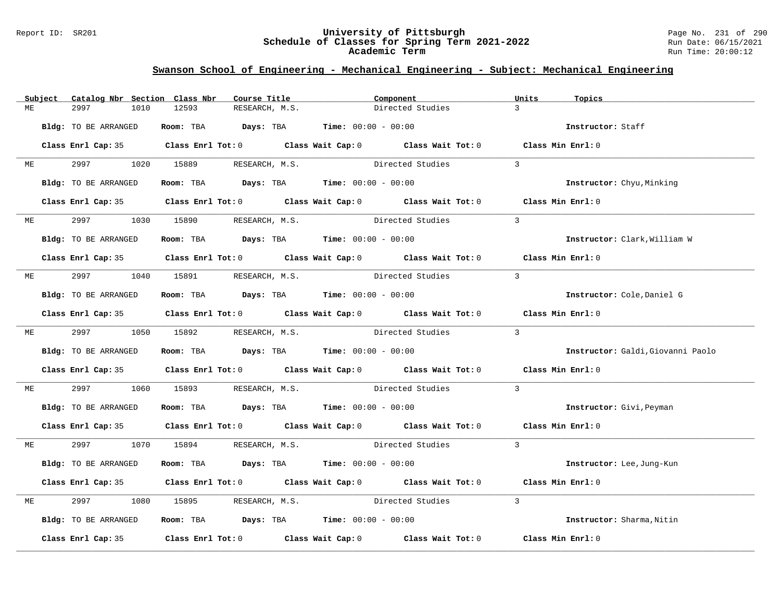#### Report ID: SR201 **University of Pittsburgh** Page No. 231 of 290 **Schedule of Classes for Spring Term 2021-2022** Run Date: 06/15/2021 **Academic Term** Run Time: 20:00:12

|    | Subject | Catalog Nbr Section Class Nbr | Course Title                                | Component                                                                                                                                                                                                                     | Units<br>Topics                   |
|----|---------|-------------------------------|---------------------------------------------|-------------------------------------------------------------------------------------------------------------------------------------------------------------------------------------------------------------------------------|-----------------------------------|
| МE |         | 2997<br>1010                  | 12593<br>RESEARCH, M.S.                     | Directed Studies                                                                                                                                                                                                              | $\overline{3}$                    |
|    |         | Bldg: TO BE ARRANGED          | Room: TBA $Days:$ TBA $Time: 00:00 - 00:00$ |                                                                                                                                                                                                                               | Instructor: Staff                 |
|    |         |                               |                                             | Class Enrl Cap: 35 Class Enrl Tot: 0 Class Wait Cap: 0 Class Wait Tot: 0 Class Min Enrl: 0                                                                                                                                    |                                   |
| МE |         |                               | 2997 1020 15889 RESEARCH, M.S.              | Directed Studies                                                                                                                                                                                                              | $\mathcal{E}$                     |
|    |         | Bldg: TO BE ARRANGED          |                                             | Room: TBA $Days:$ TBA $Time: 00:00 - 00:00$                                                                                                                                                                                   | Instructor: Chyu, Minking         |
|    |         |                               |                                             | Class Enrl Cap: 35 Class Enrl Tot: 0 Class Wait Cap: 0 Class Wait Tot: 0 Class Min Enrl: 0                                                                                                                                    |                                   |
| ME |         | 2997 — 2007                   | 1030 15890 RESEARCH, M.S.                   | Directed Studies                                                                                                                                                                                                              | $\overline{3}$                    |
|    |         | Bldg: TO BE ARRANGED          |                                             | Room: TBA $Days:$ TBA $Time: 00:00 - 00:00$                                                                                                                                                                                   | Instructor: Clark, William W      |
|    |         |                               |                                             | Class Enrl Cap: 35 Class Enrl Tot: 0 Class Wait Cap: 0 Class Wait Tot: 0 Class Min Enrl: 0                                                                                                                                    |                                   |
| МE |         |                               |                                             | 2997 1040 15891 RESEARCH, M.S. Directed Studies                                                                                                                                                                               | $\overline{3}$                    |
|    |         | Bldg: TO BE ARRANGED          |                                             | Room: TBA $Days: TBA$ Time: $00:00 - 00:00$                                                                                                                                                                                   | Instructor: Cole, Daniel G        |
|    |         |                               |                                             | Class Enrl Cap: 35 Class Enrl Tot: 0 Class Wait Cap: 0 Class Wait Tot: 0 Class Min Enrl: 0                                                                                                                                    |                                   |
|    |         |                               |                                             | ME 2997 1050 15892 RESEARCH, M.S. Directed Studies                                                                                                                                                                            | $\overline{\phantom{a}}$ 3        |
|    |         | Bldg: TO BE ARRANGED          |                                             | Room: TBA $\rule{1em}{0.15mm}$ Days: TBA $\rule{1.5mm}{0.15mm}$ Time: $00:00 - 00:00$                                                                                                                                         | Instructor: Galdi, Giovanni Paolo |
|    |         |                               |                                             | Class Enrl Cap: 35 Class Enrl Tot: 0 Class Wait Cap: 0 Class Wait Tot: 0 Class Min Enrl: 0                                                                                                                                    |                                   |
| МE |         | 2997<br>1060                  | 15893                                       | RESEARCH, M.S. Directed Studies                                                                                                                                                                                               | $\overline{3}$                    |
|    |         | Bldg: TO BE ARRANGED          |                                             | Room: TBA $Days:$ TBA $Time: 00:00 - 00:00$                                                                                                                                                                                   | Instructor: Givi, Peyman          |
|    |         |                               |                                             | Class Enrl Cap: 35 Class Enrl Tot: 0 Class Wait Cap: 0 Class Wait Tot: 0 Class Min Enrl: 0                                                                                                                                    |                                   |
| ME |         |                               |                                             | 2997 1070 15894 RESEARCH, M.S. Directed Studies 3                                                                                                                                                                             |                                   |
|    |         | Bldg: TO BE ARRANGED          |                                             | Room: TBA $\rule{1em}{0.15mm}$ Days: TBA Time: $00:00 - 00:00$                                                                                                                                                                | Instructor: Lee, Jung-Kun         |
|    |         |                               |                                             | Class Enrl Cap: 35 Class Enrl Tot: 0 Class Wait Cap: 0 Class Wait Tot: 0                                                                                                                                                      | Class Min Enrl: 0                 |
| МE |         | 2997<br>1080                  |                                             | 15895 RESEARCH, M.S. Directed Studies                                                                                                                                                                                         | $\mathcal{E}$                     |
|    |         | Bldg: TO BE ARRANGED          |                                             | Room: TBA $Days:$ TBA Time: $00:00 - 00:00$                                                                                                                                                                                   | Instructor: Sharma, Nitin         |
|    |         |                               |                                             | Class Enrl Cap: 35 $\,$ Class Enrl Tot: 0 $\,$ Class Wait Cap: 0 $\,$ Class Wait Tot: 0 $\,$ Class Enrl Tot: 0 $\,$ Class Enrl Tot: 0 $\,$ Class Enrl Tot: 0 $\,$ Class Enrl Tot: 0 $\,$ Class Enrl Tot: 0 $\,$ Class Enrl To | Class Min Enrl: 0                 |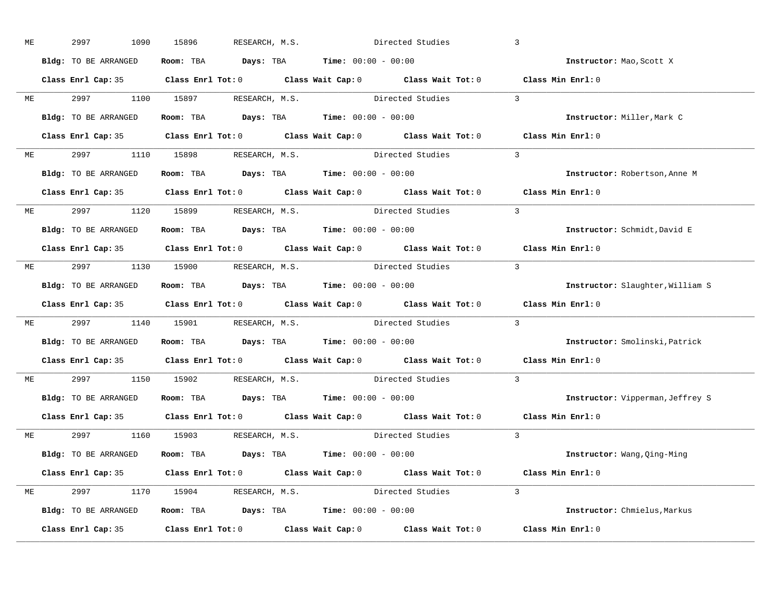| МE |           | 2997<br>1090         | 15896<br>RESEARCH, M.S.                                                                    | Directed Studies |                              | $\overline{3}$                   |
|----|-----------|----------------------|--------------------------------------------------------------------------------------------|------------------|------------------------------|----------------------------------|
|    |           | Bldg: TO BE ARRANGED | Room: TBA $\rule{1em}{0.15mm}$ Days: TBA $\rule{1.5mm}{0.15mm}$ Time: $00:00 - 00:00$      |                  |                              | Instructor: Mao, Scott X         |
|    |           |                      | Class Enrl Cap: 35 Class Enrl Tot: 0 Class Wait Cap: 0 Class Wait Tot: 0 Class Min Enrl: 0 |                  |                              |                                  |
|    |           |                      | ME 2997 1100 15897 RESEARCH, M.S. Directed Studies 3                                       |                  |                              |                                  |
|    |           | Bldg: TO BE ARRANGED | Room: TBA $\rule{1em}{0.15mm}$ Days: TBA Time: $00:00 - 00:00$                             |                  |                              | Instructor: Miller, Mark C       |
|    |           |                      | Class Enrl Cap: 35 Class Enrl Tot: 0 Class Wait Cap: 0 Class Wait Tot: 0 Class Min Enrl: 0 |                  |                              |                                  |
|    |           |                      | ME 2997 1110 15898 RESEARCH, M.S. Directed Studies 3                                       |                  |                              |                                  |
|    |           |                      | Bldg: TO BE ARRANGED Room: TBA Days: TBA Time: 00:00 - 00:00                               |                  |                              | Instructor: Robertson, Anne M    |
|    |           |                      | Class Enrl Cap: 35 Class Enrl Tot: 0 Class Wait Cap: 0 Class Wait Tot: 0 Class Min Enrl: 0 |                  |                              |                                  |
|    |           |                      | ME 2997 1120 15899 RESEARCH, M.S. Directed Studies 3                                       |                  |                              |                                  |
|    |           | Bldg: TO BE ARRANGED | Room: TBA $\rule{1em}{0.15mm}$ Days: TBA Time: $00:00 - 00:00$                             |                  |                              | Instructor: Schmidt, David E     |
|    |           |                      | Class Enrl Cap: 35 Class Enrl Tot: 0 Class Wait Cap: 0 Class Wait Tot: 0 Class Min Enrl: 0 |                  |                              |                                  |
|    |           |                      | ME 2997 1130 15900 RESEARCH, M.S.                                                          |                  | Directed Studies 3           |                                  |
|    |           | Bldg: TO BE ARRANGED | Room: TBA $\rule{1em}{0.15mm}$ Days: TBA Time: $00:00 - 00:00$                             |                  |                              | Instructor: Slaughter, William S |
|    |           |                      | Class Enrl Cap: 35 Class Enrl Tot: 0 Class Wait Cap: 0 Class Wait Tot: 0 Class Min Enrl: 0 |                  |                              |                                  |
| ME |           |                      | 2997 1140 15901 RESEARCH, M.S. Directed Studies                                            |                  |                              | $\overline{3}$                   |
|    |           | Bldg: TO BE ARRANGED | Room: TBA $\rule{1em}{0.15mm}$ Days: TBA Time: $00:00 - 00:00$                             |                  |                              | Instructor: Smolinski, Patrick   |
|    |           |                      | Class Enrl Cap: 35 Class Enrl Tot: 0 Class Wait Cap: 0 Class Wait Tot: 0 Class Min Enrl: 0 |                  |                              |                                  |
|    | <b>ME</b> |                      | 2997 1150 15902 RESEARCH, M.S. Directed Studies                                            |                  |                              | $\overline{3}$                   |
|    |           |                      | Bldg: TO BE ARRANGED Room: TBA Days: TBA Time: 00:00 - 00:00                               |                  |                              | Instructor: Vipperman, Jeffrey S |
|    |           | Class Enrl Cap: 35   | Class Enrl Tot: $0$ Class Wait Cap: $0$ Class Wait Tot: $0$                                |                  |                              | Class Min Enrl: 0                |
|    |           |                      | ME 2997 1160 15903 RESEARCH, M.S.                                                          |                  | $\sim$ 3<br>Directed Studies |                                  |
|    |           | Bldg: TO BE ARRANGED | Room: TBA $\rule{1em}{0.15mm}$ Days: TBA $\rule{1.5mm}{0.15mm}$ Time: $00:00 - 00:00$      |                  |                              | Instructor: Wang, Qing-Ming      |
|    |           |                      | Class Enrl Cap: 35 Class Enrl Tot: 0 Class Wait Cap: 0 Class Wait Tot: 0 Class Min Enrl: 0 |                  |                              |                                  |
|    |           |                      | ME 2997 1170 15904 RESEARCH, M.S. Directed Studies 3                                       |                  |                              |                                  |
|    |           | Bldg: TO BE ARRANGED | Room: TBA $Days:$ TBA $Time: 00:00 - 00:00$                                                |                  |                              | Instructor: Chmielus, Markus     |
|    |           |                      | Class Enrl Cap: 35 Class Enrl Tot: 0 Class Wait Cap: 0 Class Wait Tot: 0 Class Min Enrl: 0 |                  |                              |                                  |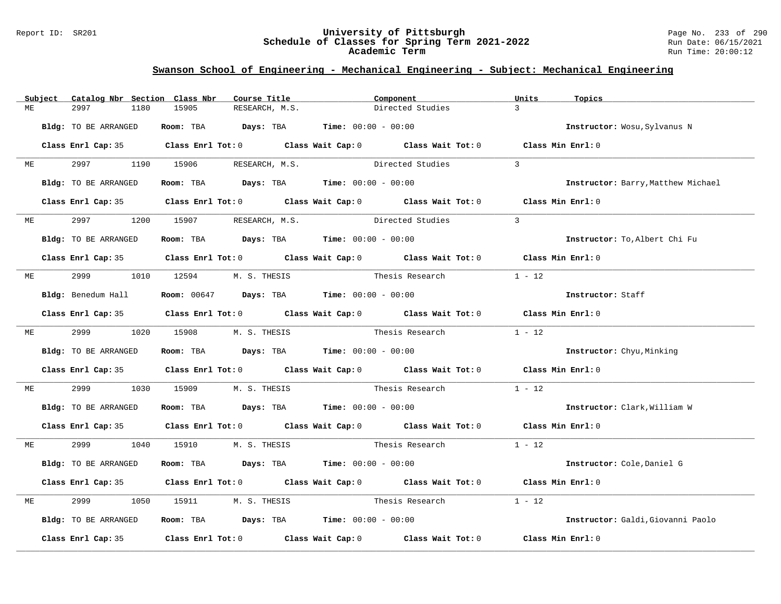#### Report ID: SR201 **University of Pittsburgh** Page No. 233 of 290 **Schedule of Classes for Spring Term 2021-2022** Run Date: 06/15/2021 **Academic Term** Run Time: 20:00:12

|    | Subject | Catalog Nbr Section Class Nbr | Course Title                                                     | Component                                                                                                                                                                                                                     | Units<br>Topics   |                                    |
|----|---------|-------------------------------|------------------------------------------------------------------|-------------------------------------------------------------------------------------------------------------------------------------------------------------------------------------------------------------------------------|-------------------|------------------------------------|
| MЕ |         | 2997<br>1180                  | 15905<br>RESEARCH, M.S.                                          | Directed Studies                                                                                                                                                                                                              | $\mathcal{L}$     |                                    |
|    |         | Bldg: TO BE ARRANGED          | Room: TBA $Days:$ TBA $Time: 00:00 - 00:00$                      |                                                                                                                                                                                                                               |                   | Instructor: Wosu, Sylvanus N       |
|    |         |                               |                                                                  | Class Enrl Cap: 35 Class Enrl Tot: 0 Class Wait Cap: 0 Class Wait Tot: 0 Class Min Enrl: 0                                                                                                                                    |                   |                                    |
| MЕ |         |                               | 1190 15906 RESEARCH, M.S.                                        | Directed Studies                                                                                                                                                                                                              | $\mathcal{R}$     |                                    |
|    |         | Bldg: TO BE ARRANGED          | <b>Room:</b> TBA <b>Days:</b> TBA <b>Time:</b> 00:00 - 00:00     |                                                                                                                                                                                                                               |                   | Instructor: Barry, Matthew Michael |
|    |         |                               |                                                                  | Class Enrl Cap: 35 Class Enrl Tot: 0 Class Wait Cap: 0 Class Wait Tot: 0 Class Min Enrl: 0                                                                                                                                    |                   |                                    |
| ME |         | 2997                          | 1200 15907 RESEARCH, M.S.                                        | Directed Studies                                                                                                                                                                                                              | $\mathcal{L}$     |                                    |
|    |         | Bldg: TO BE ARRANGED          | Room: TBA $Days:$ TBA $Time: 00:00 - 00:00$                      |                                                                                                                                                                                                                               |                   | Instructor: To, Albert Chi Fu      |
|    |         |                               |                                                                  | Class Enrl Cap: 35 Class Enrl Tot: 0 Class Wait Cap: 0 Class Wait Tot: 0 Class Min Enrl: 0                                                                                                                                    |                   |                                    |
| МE |         | 2999                          | 1010  12594  M.S. THESIS                                         | Thesis Research                                                                                                                                                                                                               | $1 - 12$          |                                    |
|    |         | Bldg: Benedum Hall            | <b>Room:</b> 00647 <b>Days:</b> TBA <b>Time:</b> $00:00 - 00:00$ |                                                                                                                                                                                                                               |                   | Instructor: Staff                  |
|    |         |                               |                                                                  | Class Enrl Cap: 35 Class Enrl Tot: 0 Class Wait Cap: 0 Class Wait Tot: 0 Class Min Enrl: 0                                                                                                                                    |                   |                                    |
| МE |         | 2999                          | 1020 15908 M.S. THESIS                                           | Thesis Research                                                                                                                                                                                                               | $1 - 12$          |                                    |
|    |         | Bldg: TO BE ARRANGED          | Room: TBA $Days:$ TBA $Time: 00:00 - 00:00$                      |                                                                                                                                                                                                                               |                   | <b>Instructor:</b> Chyu, Minking   |
|    |         |                               |                                                                  | Class Enrl Cap: 35 Class Enrl Tot: 0 Class Wait Cap: 0 Class Wait Tot: 0 Class Min Enrl: 0                                                                                                                                    |                   |                                    |
| МE |         | 2999<br>1030                  | 15909                                                            |                                                                                                                                                                                                                               | $1 - 12$          |                                    |
|    |         | Bldg: TO BE ARRANGED          | <b>Room:</b> TBA $Days: TBA$ <b>Time:</b> $00:00 - 00:00$        |                                                                                                                                                                                                                               |                   | Instructor: Clark, William W       |
|    |         |                               |                                                                  | Class Enrl Cap: 35 Class Enrl Tot: 0 Class Wait Cap: 0 Class Wait Tot: 0 Class Min Enrl: 0                                                                                                                                    |                   |                                    |
| ME |         |                               | 2999 1040 15910 M.S. THESIS                                      |                                                                                                                                                                                                                               |                   |                                    |
|    |         | Bldg: TO BE ARRANGED          | Room: TBA $Days: TBA$ Time: $00:00 - 00:00$                      |                                                                                                                                                                                                                               |                   | Instructor: Cole, Daniel G         |
|    |         |                               |                                                                  | Class Enrl Cap: 35 Class Enrl Tot: 0 Class Wait Cap: 0 Class Wait Tot: 0 Class Min Enrl: 0                                                                                                                                    |                   |                                    |
| МE |         | 2999<br>1050                  | 15911<br>M. S. THESIS                                            | Thesis Research                                                                                                                                                                                                               | $1 - 12$          |                                    |
|    |         | Bldg: TO BE ARRANGED          | Room: TBA $Days:$ TBA $Time:$ $00:00 - 00:00$                    |                                                                                                                                                                                                                               |                   | Instructor: Galdi, Giovanni Paolo  |
|    |         |                               |                                                                  | Class Enrl Cap: 35 $\,$ Class Enrl Tot: 0 $\,$ Class Wait Cap: 0 $\,$ Class Wait Tot: 0 $\,$ Class Enrl Tot: 0 $\,$ Class Enrl Tot: 0 $\,$ Class Enrl Tot: 0 $\,$ Class Enrl Tot: 0 $\,$ Class Enrl Tot: 0 $\,$ Class Enrl To | Class Min Enrl: 0 |                                    |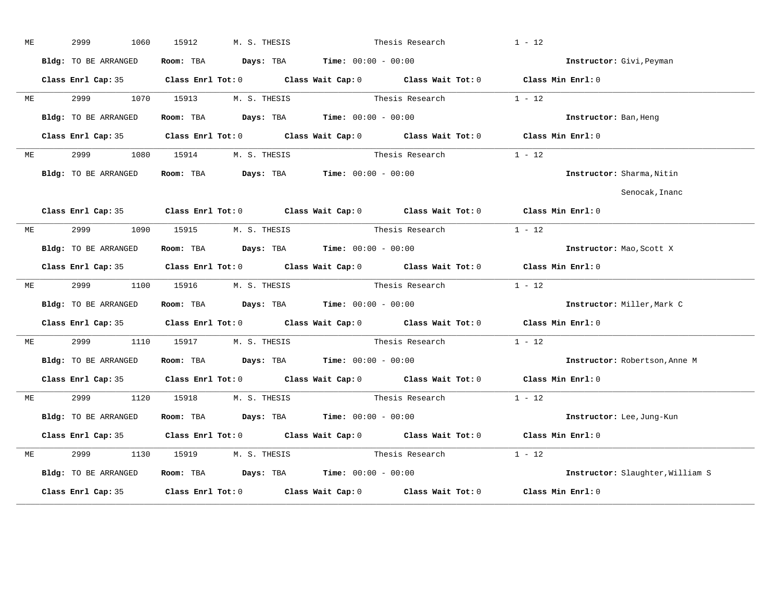| МE | 2999<br>1060         | 15912     | M. S. THESIS |                                                                | Thesis Research                                                                            | $1 - 12$                         |
|----|----------------------|-----------|--------------|----------------------------------------------------------------|--------------------------------------------------------------------------------------------|----------------------------------|
|    | Bldg: TO BE ARRANGED | Room: TBA |              | $\texttt{DayS:}$ TBA $\texttt{Time:}$ 00:00 - 00:00            |                                                                                            | Instructor: Givi, Peyman         |
|    | Class Enrl Cap: 35   |           |              |                                                                | Class Enrl Tot: 0 Class Wait Cap: 0 Class Wait Tot: 0 Class Min Enrl: 0                    |                                  |
| ME | 2999<br>1070         | 15913     | M. S. THESIS |                                                                | Thesis Research                                                                            | $1 - 12$                         |
|    | Bldg: TO BE ARRANGED | Room: TBA |              | $\texttt{DayS:}$ TBA $\texttt{Time:}$ 00:00 - 00:00            |                                                                                            | Instructor: Ban, Heng            |
|    | Class Enrl Cap: 35   |           |              |                                                                | Class Enrl Tot: 0 Class Wait Cap: 0 Class Wait Tot: 0                                      | Class Min Enrl: 0                |
| ME | 2999<br>1080         | 15914     | M. S. THESIS |                                                                | Thesis Research                                                                            | $1 - 12$                         |
|    | Bldg: TO BE ARRANGED |           |              | Room: TBA $Days:$ TBA $Time: 00:00 - 00:00$                    |                                                                                            | Instructor: Sharma, Nitin        |
|    |                      |           |              |                                                                |                                                                                            | Senocak, Inanc                   |
|    | Class Enrl Cap: 35   |           |              |                                                                | Class Enrl Tot: 0 Class Wait Cap: 0 Class Wait Tot: 0                                      | Class Min Enrl: 0                |
| МE | 2999<br>1090         | 15915     | M. S. THESIS |                                                                | Thesis Research                                                                            | $1 - 12$                         |
|    | Bldg: TO BE ARRANGED |           |              | Room: TBA $Days:$ TBA $Time:$ $00:00 - 00:00$                  |                                                                                            | Instructor: Mao, Scott X         |
|    | Class Enrl Cap: 35   |           |              |                                                                | Class Enrl Tot: 0 Class Wait Cap: 0 Class Wait Tot: 0 Class Min Enrl: 0                    |                                  |
| МE | 2999 720<br>1100     | 15916     | M. S. THESIS |                                                                | Thesis Research 1 - 12                                                                     |                                  |
|    | Bldg: TO BE ARRANGED |           |              | Room: TBA $\rule{1em}{0.15mm}$ Days: TBA Time: $00:00 - 00:00$ |                                                                                            | Instructor: Miller, Mark C       |
|    | Class Enrl Cap: 35   |           |              |                                                                | Class Enrl Tot: 0 Class Wait Cap: 0 Class Wait Tot: 0                                      | Class Min Enrl: 0                |
| ME | 2999<br>1110         | 15917     | M. S. THESIS |                                                                | Thesis Research                                                                            | $1 - 12$                         |
|    | Bldg: TO BE ARRANGED |           |              | Room: TBA $Days:$ TBA $Time:$ $00:00 - 00:00$                  |                                                                                            | Instructor: Robertson, Anne M    |
|    |                      |           |              |                                                                | Class Enrl Cap: 35 Class Enrl Tot: 0 Class Wait Cap: 0 Class Wait Tot: 0 Class Min Enrl: 0 |                                  |
| ME | 2999 70<br>1120      | 15918     | M. S. THESIS |                                                                | Thesis Research $1 - 12$                                                                   |                                  |
|    | Bldg: TO BE ARRANGED | Room: TBA |              | $\texttt{Days:}$ TBA $\texttt{Time:}$ 00:00 - 00:00            |                                                                                            | Instructor: Lee, Jung-Kun        |
|    | Class Enrl Cap: 35   |           |              |                                                                | Class Enrl Tot: 0 Class Wait Cap: 0 Class Wait Tot: 0                                      | Class Min Enrl: 0                |
| МE | 2999<br>1130         | 15919     | M. S. THESIS |                                                                | Thesis Research                                                                            | $1 - 12$                         |
|    | Bldg: TO BE ARRANGED |           |              |                                                                | Room: TBA $Days:$ TBA $Time:$ $00:00 - 00:00$                                              | Instructor: Slaughter, William S |
|    |                      |           |              |                                                                |                                                                                            |                                  |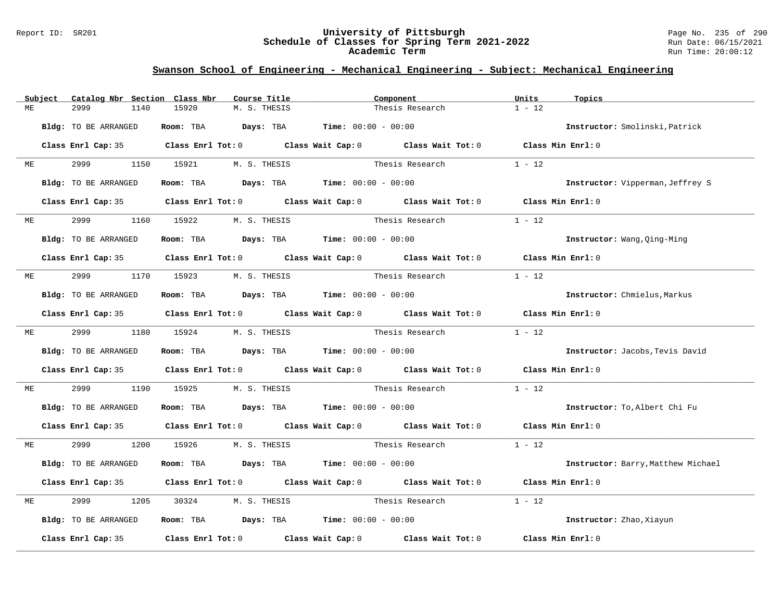#### Report ID: SR201 **University of Pittsburgh** Page No. 235 of 290 **Schedule of Classes for Spring Term 2021-2022** Run Date: 06/15/2021 **Academic Term** Run Time: 20:00:12

|    | Subject |                      | Catalog Nbr Section Class Nbr | Course Title                                                                          | Component                                                                                                                                                                                                                     | Units             | Topics                             |
|----|---------|----------------------|-------------------------------|---------------------------------------------------------------------------------------|-------------------------------------------------------------------------------------------------------------------------------------------------------------------------------------------------------------------------------|-------------------|------------------------------------|
| МE |         | 2999                 | 15920<br>1140                 | M. S. THESIS                                                                          | Thesis Research                                                                                                                                                                                                               | $1 - 12$          |                                    |
|    |         | Bldg: TO BE ARRANGED |                               | Room: TBA $Days:$ TBA $Time: 00:00 - 00:00$                                           |                                                                                                                                                                                                                               |                   | Instructor: Smolinski, Patrick     |
|    |         |                      |                               |                                                                                       | Class Enrl Cap: 35 Class Enrl Tot: 0 Class Wait Cap: 0 Class Wait Tot: 0 Class Min Enrl: 0                                                                                                                                    |                   |                                    |
| МE |         | 2999 72              | 1150 15921                    | M. S. THESIS                                                                          | Thesis Research                                                                                                                                                                                                               | $1 - 12$          |                                    |
|    |         | Bldg: TO BE ARRANGED |                               | Room: TBA $\rule{1em}{0.15mm}$ Days: TBA $\rule{1.5mm}{0.15mm}$ Time: $00:00 - 00:00$ |                                                                                                                                                                                                                               |                   | Instructor: Vipperman, Jeffrey S   |
|    |         |                      |                               |                                                                                       | Class Enrl Cap: 35 Class Enrl Tot: 0 Class Wait Cap: 0 Class Wait Tot: 0 Class Min Enrl: 0                                                                                                                                    |                   |                                    |
| МE |         | 2999                 | 15922<br>1160                 | M. S. THESIS                                                                          | Thesis Research                                                                                                                                                                                                               | $1 - 12$          |                                    |
|    |         | Bldg: TO BE ARRANGED |                               | Room: TBA $\rule{1em}{0.15mm}$ Days: TBA Time: $00:00 - 00:00$                        |                                                                                                                                                                                                                               |                   | Instructor: Wang, Qing-Ming        |
|    |         |                      |                               |                                                                                       | Class Enrl Cap: 35 Class Enrl Tot: 0 Class Wait Cap: 0 Class Wait Tot: 0 Class Min Enrl: 0                                                                                                                                    |                   |                                    |
| ME |         |                      | 2999 1170 15923               | M. S. THESIS                                                                          | Thesis Research                                                                                                                                                                                                               | $1 - 12$          |                                    |
|    |         | Bldg: TO BE ARRANGED |                               | Room: TBA $Days:$ TBA $Time: 00:00 - 00:00$                                           |                                                                                                                                                                                                                               |                   | Instructor: Chmielus, Markus       |
|    |         |                      |                               |                                                                                       | Class Enrl Cap: 35 Class Enrl Tot: 0 Class Wait Cap: 0 Class Wait Tot: 0 Class Min Enrl: 0                                                                                                                                    |                   |                                    |
| ME |         |                      |                               | 2999 1180 15924 M.S. THESIS                                                           | Thesis Research                                                                                                                                                                                                               | $1 - 12$          |                                    |
|    |         | Bldg: TO BE ARRANGED |                               | Room: TBA $Days$ : TBA Time: $00:00 - 00:00$                                          |                                                                                                                                                                                                                               |                   | Instructor: Jacobs, Tevis David    |
|    |         |                      |                               |                                                                                       | Class Enrl Cap: 35 Class Enrl Tot: 0 Class Wait Cap: 0 Class Wait Tot: 0 Class Min Enrl: 0                                                                                                                                    |                   |                                    |
| МE |         | 2999                 | 1190<br>15925                 |                                                                                       | M. S. THESIS Thesis Research                                                                                                                                                                                                  | $1 - 12$          |                                    |
|    |         | Bldg: TO BE ARRANGED |                               | Room: TBA $Days: TBA$ Time: $00:00 - 00:00$                                           |                                                                                                                                                                                                                               |                   | Instructor: To, Albert Chi Fu      |
|    |         |                      |                               |                                                                                       | Class Enrl Cap: 35 Class Enrl Tot: 0 Class Wait Cap: 0 Class Wait Tot: 0 Class Min Enrl: 0                                                                                                                                    |                   |                                    |
| МE |         | 2999 72              |                               | 1200 15926 M.S. THESIS                                                                | Thesis Research                                                                                                                                                                                                               | $1 - 12$          |                                    |
|    |         | Bldg: TO BE ARRANGED |                               | Room: TBA $Days:$ TBA $Time: 00:00 - 00:00$                                           |                                                                                                                                                                                                                               |                   | Instructor: Barry, Matthew Michael |
|    |         |                      |                               |                                                                                       | Class Enrl Cap: 35 Class Enrl Tot: 0 Class Wait Cap: 0 Class Wait Tot: 0 Class Min Enrl: 0                                                                                                                                    |                   |                                    |
| МE |         | 2999                 | 1205<br>30324                 | M. S. THESIS                                                                          | Thesis Research                                                                                                                                                                                                               | $1 - 12$          |                                    |
|    |         | Bldg: TO BE ARRANGED |                               | Room: TBA $Days: TBA$ Time: $00:00 - 00:00$                                           |                                                                                                                                                                                                                               |                   | Instructor: Zhao, Xiayun           |
|    |         |                      |                               |                                                                                       | Class Enrl Cap: 35 $\,$ Class Enrl Tot: 0 $\,$ Class Wait Cap: 0 $\,$ Class Wait Tot: 0 $\,$ Class Enrl Tot: 0 $\,$ Class Enrl Tot: 0 $\,$ Class Enrl Tot: 0 $\,$ Class Enrl Tot: 0 $\,$ Class Enrl Tot: 0 $\,$ Class Enrl To | Class Min Enrl: 0 |                                    |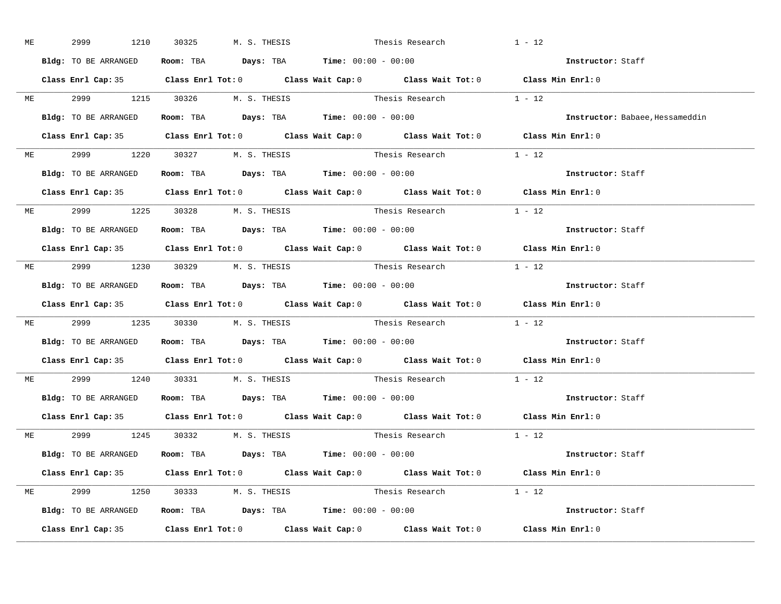| <b>ME</b> | 2999 1210                      | 30325 M. S. THESIS Thesis Research                           |                                                       | $1 - 12$                                                                                   |
|-----------|--------------------------------|--------------------------------------------------------------|-------------------------------------------------------|--------------------------------------------------------------------------------------------|
|           | Bldg: TO BE ARRANGED           | Room: TBA $Days:$ TBA Time: $00:00 - 00:00$                  |                                                       | Instructor: Staff                                                                          |
|           |                                |                                                              |                                                       | Class Enrl Cap: 35 Class Enrl Tot: 0 Class Wait Cap: 0 Class Wait Tot: 0 Class Min Enrl: 0 |
|           |                                |                                                              | ME 2999 1215 30326 M.S. THESIS Thesis Research 1 - 12 |                                                                                            |
|           |                                | Bldg: TO BE ARRANGED Room: TBA Days: TBA Time: 00:00 - 00:00 |                                                       | Instructor: Babaee, Hessameddin                                                            |
|           |                                |                                                              |                                                       | Class Enrl Cap: 35 Class Enrl Tot: 0 Class Wait Cap: 0 Class Wait Tot: 0 Class Min Enrl: 0 |
|           |                                | ME 2999 1220 30327 M.S. THESIS                               | Thesis Research 1 - 12                                |                                                                                            |
|           |                                | Bldg: TO BE ARRANGED Room: TBA Days: TBA Time: 00:00 - 00:00 |                                                       | Instructor: Staff                                                                          |
|           |                                |                                                              |                                                       | Class Enrl Cap: 35 Class Enrl Tot: 0 Class Wait Cap: 0 Class Wait Tot: 0 Class Min Enrl: 0 |
|           |                                | ME 2999 1225 30328 M.S. THESIS                               | Thesis Research $1 - 12$                              |                                                                                            |
|           | Bldg: TO BE ARRANGED           | Room: TBA $Days:$ TBA $Time: 00:00 - 00:00$                  |                                                       | Instructor: Staff                                                                          |
|           |                                |                                                              |                                                       | Class Enrl Cap: 35 Class Enrl Tot: 0 Class Wait Cap: 0 Class Wait Tot: 0 Class Min Enrl: 0 |
|           |                                | ME 2999 1230 30329 M.S. THESIS                               | Thesis Research $1 - 12$                              |                                                                                            |
|           |                                | Bldg: TO BE ARRANGED Room: TBA Days: TBA Time: 00:00 - 00:00 |                                                       | Instructor: Staff                                                                          |
|           |                                |                                                              |                                                       | Class Enrl Cap: 35 Class Enrl Tot: 0 Class Wait Cap: 0 Class Wait Tot: 0 Class Min Enrl: 0 |
|           |                                |                                                              | ME 2999 1235 30330 M.S. THESIS Thesis Research 1 - 12 |                                                                                            |
|           |                                | Bldg: TO BE ARRANGED Room: TBA Days: TBA Time: 00:00 - 00:00 |                                                       | Instructor: Staff                                                                          |
|           |                                |                                                              |                                                       | Class Enrl Cap: 35 Class Enrl Tot: 0 Class Wait Cap: 0 Class Wait Tot: 0 Class Min Enrl: 0 |
|           |                                |                                                              | ME 2999 1240 30331 M.S. THESIS Thesis Research        | $1 - 12$                                                                                   |
|           |                                | Bldg: TO BE ARRANGED ROOM: TBA Days: TBA Time: 00:00 - 00:00 |                                                       | Instructor: Staff                                                                          |
|           |                                |                                                              |                                                       | Class Enrl Cap: 35 Class Enrl Tot: 0 Class Wait Cap: 0 Class Wait Tot: 0 Class Min Enrl: 0 |
|           |                                | ME 2999 1245 30332 M.S. THESIS                               | Thesis Research $1 - 12$                              |                                                                                            |
|           |                                | Bldg: TO BE ARRANGED Room: TBA Days: TBA Time: 00:00 - 00:00 |                                                       | Instructor: Staff                                                                          |
|           |                                |                                                              |                                                       | Class Enrl Cap: 35 Class Enrl Tot: 0 Class Wait Cap: 0 Class Wait Tot: 0 Class Min Enrl: 0 |
|           | ME 2999 1250 30333 M.S. THESIS |                                                              | Thesis Research $1 - 12$                              |                                                                                            |
|           |                                | Bldg: TO BE ARRANGED ROOM: TBA Days: TBA Time: 00:00 - 00:00 |                                                       | Instructor: Staff                                                                          |
|           |                                |                                                              |                                                       | Class Enrl Cap: 35 Class Enrl Tot: 0 Class Wait Cap: 0 Class Wait Tot: 0 Class Min Enrl: 0 |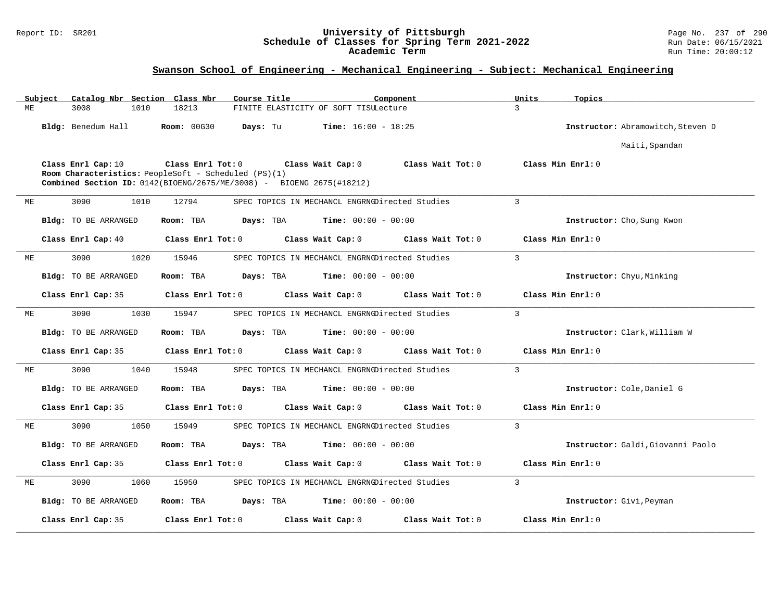#### Report ID: SR201 **University of Pittsburgh** Page No. 237 of 290 **Schedule of Classes for Spring Term 2021-2022** Run Date: 06/15/2021 **Academic Term** Run Time: 20:00:12

|    | Subject |                      |      | Catalog Nbr Section Class Nbr | Course Title                                         |                                                                                                      | Component         | Units          | Topics                            |
|----|---------|----------------------|------|-------------------------------|------------------------------------------------------|------------------------------------------------------------------------------------------------------|-------------------|----------------|-----------------------------------|
| МE |         | 3008                 | 1010 | 18213                         |                                                      | FINITE ELASTICITY OF SOFT TISULecture                                                                |                   | 3              |                                   |
|    |         | Bldg: Benedum Hall   |      | <b>Room: 00G30</b>            | Days: Tu                                             | <b>Time:</b> $16:00 - 18:25$                                                                         |                   |                | Instructor: Abramowitch, Steven D |
|    |         |                      |      |                               |                                                      |                                                                                                      |                   |                | Maiti, Spandan                    |
|    |         | Class Enrl Cap: 10   |      | Class Enrl Tot: 0             | Room Characteristics: PeopleSoft - Scheduled (PS)(1) | Class Wait Cap: 0<br><b>Combined Section ID:</b> $0142(BIOENG/2675/ME/3008)$ - BIOENG $2675(H18212)$ | Class Wait Tot: 0 |                | Class Min Enrl: 0                 |
| МE |         | 3090                 | 1010 | 12794                         |                                                      | SPEC TOPICS IN MECHANCL ENGRNODirected Studies                                                       |                   | $\overline{3}$ |                                   |
|    |         | Bldg: TO BE ARRANGED |      | Room: TBA                     | Days: TBA                                            | <b>Time:</b> $00:00 - 00:00$                                                                         |                   |                | Instructor: Cho, Sung Kwon        |
|    |         | Class Enrl Cap: 40   |      | Class Enrl Tot: 0             |                                                      | Class Wait Cap: 0                                                                                    | Class Wait Tot: 0 |                | Class Min Enrl: 0                 |
| МE |         | 3090                 | 1020 | 15946                         |                                                      | SPEC TOPICS IN MECHANCL ENGRNODirected Studies                                                       |                   | 3              |                                   |
|    |         | Bldg: TO BE ARRANGED |      | Room: TBA                     | Days: TBA                                            | Time: $00:00 - 00:00$                                                                                |                   |                | Instructor: Chyu, Minking         |
|    |         | Class Enrl Cap: 35   |      | Class Enrl Tot: 0             |                                                      | Class Wait Cap: 0                                                                                    | Class Wait Tot: 0 |                | Class Min Enrl: 0                 |
| ME |         | 3090                 | 1030 | 15947                         |                                                      | SPEC TOPICS IN MECHANCL ENGRNODirected Studies                                                       |                   | $\mathbf{3}$   |                                   |
|    |         | Bldg: TO BE ARRANGED |      | Room: TBA                     | Days: TBA                                            | <b>Time:</b> $00:00 - 00:00$                                                                         |                   |                | Instructor: Clark, William W      |
|    |         | Class Enrl Cap: 35   |      | Class Enrl Tot: 0             |                                                      | Class Wait Cap: 0                                                                                    | Class Wait Tot: 0 |                | Class Min Enrl: 0                 |
| ME |         | 3090                 | 1040 | 15948                         |                                                      | SPEC TOPICS IN MECHANCL ENGRNODirected Studies                                                       |                   | $\mathbf{3}$   |                                   |
|    |         | Bldg: TO BE ARRANGED |      | Room: TBA                     | Days: TBA                                            | <b>Time:</b> $00:00 - 00:00$                                                                         |                   |                | Instructor: Cole, Daniel G        |
|    |         | Class Enrl Cap: 35   |      | Class Enrl Tot: 0             |                                                      | Class Wait Cap: 0                                                                                    | Class Wait Tot: 0 |                | Class Min Enrl: 0                 |
| MЕ |         | 3090                 | 1050 | 15949                         |                                                      | SPEC TOPICS IN MECHANCL ENGRNODirected Studies                                                       |                   | $\mathbf{3}$   |                                   |
|    |         | Bldg: TO BE ARRANGED |      | Room: TBA                     | Days: TBA                                            | <b>Time:</b> $00:00 - 00:00$                                                                         |                   |                | Instructor: Galdi, Giovanni Paolo |
|    |         | Class Enrl Cap: 35   |      | Class Enrl Tot: 0             |                                                      | Class Wait Cap: 0                                                                                    | Class Wait Tot: 0 |                | Class Min Enrl: 0                 |
| MЕ |         | 3090                 | 1060 | 15950                         |                                                      | SPEC TOPICS IN MECHANCL ENGRNODirected Studies                                                       |                   | $\overline{3}$ |                                   |
|    |         | Bldg: TO BE ARRANGED |      | Room: TBA                     | Days: TBA                                            | <b>Time:</b> $00:00 - 00:00$                                                                         |                   |                | Instructor: Givi, Peyman          |
|    |         | Class Enrl Cap: 35   |      | Class Enrl Tot: 0             |                                                      | Class Wait Cap: 0                                                                                    | Class Wait Tot: 0 |                | Class Min Enrl: 0                 |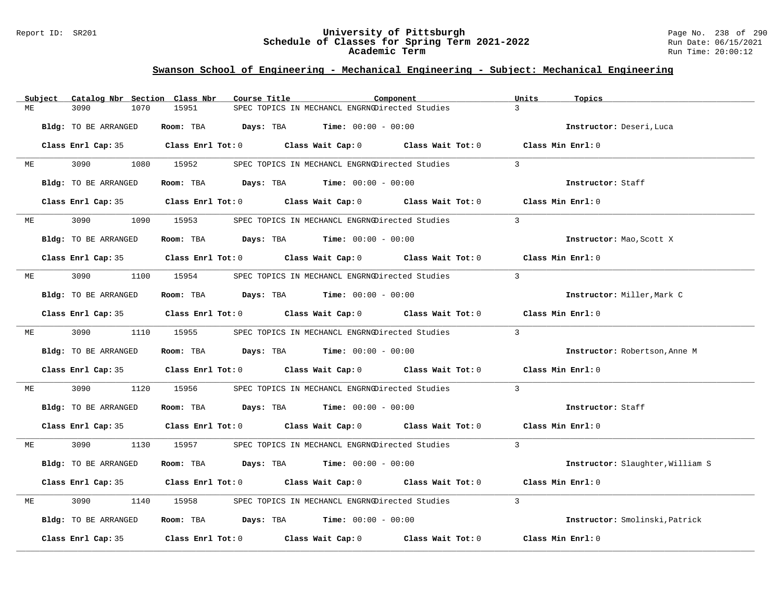#### Report ID: SR201 **University of Pittsburgh** Page No. 238 of 290 **Schedule of Classes for Spring Term 2021-2022** Run Date: 06/15/2021 **Academic Term** Run Time: 20:00:12

|    | Subject | Catalog Nbr Section Class Nbr |            | Course Title                                                             | Component         | Units<br>Topics                           |
|----|---------|-------------------------------|------------|--------------------------------------------------------------------------|-------------------|-------------------------------------------|
| MЕ |         | 3090<br>1070                  | 15951      | SPEC TOPICS IN MECHANCL ENGRNODirected Studies                           |                   | $\mathcal{L}$                             |
|    |         | Bldg: TO BE ARRANGED          | Room: TBA  | <b>Days:</b> TBA <b>Time:</b> $00:00 - 00:00$                            |                   | Instructor: Deseri, Luca                  |
|    |         |                               |            | Class Enrl Cap: 35 Class Enrl Tot: 0 Class Wait Cap: 0 Class Wait Tot: 0 |                   | $\texttt{Class Min}$ $\texttt{Enrl:}$ $0$ |
| MЕ |         | 3090                          | 1080 15952 | SPEC TOPICS IN MECHANCL ENGRNODirected Studies                           |                   | $\overline{3}$                            |
|    |         | Bldg: TO BE ARRANGED          |            | Room: TBA $Days: TBA$ Time: $00:00 - 00:00$                              |                   | Instructor: Staff                         |
|    |         | Class Enrl Cap: 35            |            | Class Enrl Tot: 0 Class Wait Cap: 0 Class Wait Tot: 0                    |                   | Class Min Enrl: 0                         |
| МE |         | 3090<br>1090                  | 15953      | SPEC TOPICS IN MECHANCL ENGRNODirected Studies                           |                   | $\mathcal{E}$                             |
|    |         | Bldg: TO BE ARRANGED          |            | Room: TBA $Days:$ TBA $Time: 00:00 - 00:00$                              |                   | Instructor: Mao, Scott X                  |
|    |         |                               |            | Class Enrl Cap: 35 Class Enrl Tot: 0 Class Wait Cap: 0 Class Wait Tot: 0 |                   | Class Min Enrl: 0                         |
| МE |         | 3090<br>1100                  | 15954      | SPEC TOPICS IN MECHANCL ENGRNODirected Studies                           |                   | $\overline{3}$                            |
|    |         | Bldg: TO BE ARRANGED          |            | Room: TBA $Days:$ TBA $Time: 00:00 - 00:00$                              |                   | Instructor: Miller, Mark C                |
|    |         |                               |            | Class Enrl Cap: 35 Class Enrl Tot: 0 Class Wait Cap: 0 Class Wait Tot: 0 |                   | Class Min Enrl: 0                         |
| ME |         | 3090 000                      | 1110 15955 | SPEC TOPICS IN MECHANCL ENGRNODirected Studies                           |                   | $\overline{3}$                            |
|    |         | Bldg: TO BE ARRANGED          |            | Room: TBA $Days:$ TBA $Time: 00:00 - 00:00$                              |                   | Instructor: Robertson, Anne M             |
|    |         |                               |            | Class Enrl Cap: 35 Class Enrl Tot: 0 Class Wait Cap: 0 Class Wait Tot: 0 |                   | Class Min Enrl: 0                         |
| МE |         | 3090<br>1120                  | 15956      | SPEC TOPICS IN MECHANCL ENGRNODirected Studies                           |                   | $\overline{3}$                            |
|    |         | Bldg: TO BE ARRANGED          |            | Room: TBA $Days:$ TBA $Time: 00:00 - 00:00$                              |                   | Instructor: Staff                         |
|    |         |                               |            | Class Enrl Cap: 35 Class Enrl Tot: 0 Class Wait Cap: 0 Class Wait Tot: 0 |                   | Class Min Enrl: 0                         |
| ME |         | 3090 000<br>1130              | 15957      | SPEC TOPICS IN MECHANCL ENGRNODirected Studies                           |                   | $\overline{3}$                            |
|    |         | Bldg: TO BE ARRANGED          |            | Room: TBA $Days:$ TBA $Time: 00:00 - 00:00$                              |                   | Instructor: Slaughter, William S          |
|    |         |                               |            | Class Enrl Cap: 35 Class Enrl Tot: 0 Class Wait Cap: 0 Class Wait Tot: 0 |                   | Class Min Enrl: 0                         |
| МE |         | 3090<br>1140                  | 15958      | SPEC TOPICS IN MECHANCL ENGRNODirected Studies                           |                   | $\mathbf{3}$                              |
|    |         | Bldg: TO BE ARRANGED          |            | Room: TBA $Days:$ TBA $Time: 00:00 - 00:00$                              |                   | Instructor: Smolinski, Patrick            |
|    |         | Class Enrl Cap: 35            |            | Class Enrl Tot: $0$ Class Wait Cap: $0$                                  | Class Wait Tot: 0 | Class Min Enrl: 0                         |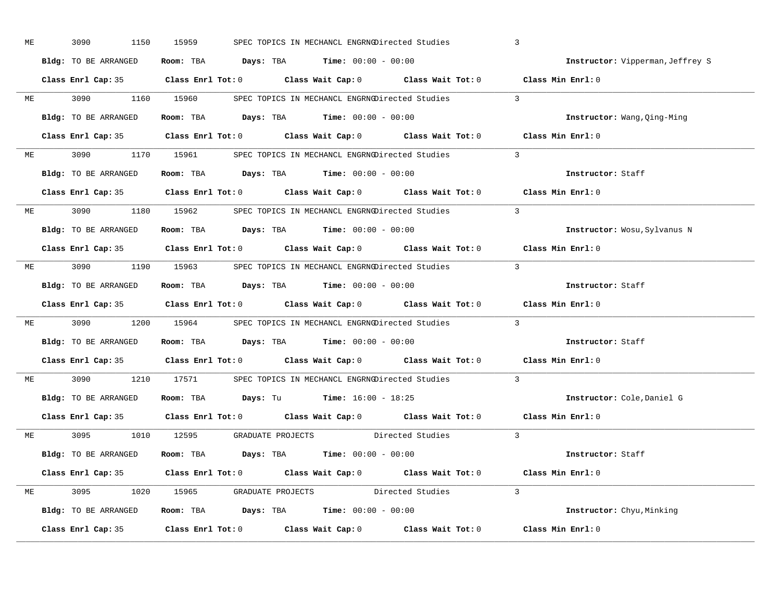| ME |           | 3090<br>1150         | 15959 | SPEC TOPICS IN MECHANCL ENGRNODirected Studies               |                                                                                                     | $\overline{3}$                                                                             |
|----|-----------|----------------------|-------|--------------------------------------------------------------|-----------------------------------------------------------------------------------------------------|--------------------------------------------------------------------------------------------|
|    |           | Bldg: TO BE ARRANGED |       | Room: TBA $Days:$ TBA Time: $00:00 - 00:00$                  |                                                                                                     | Instructor: Vipperman, Jeffrey S                                                           |
|    |           |                      |       |                                                              | Class Enrl Cap: 35 Class Enrl Tot: 0 Class Wait Cap: 0 Class Wait Tot: 0 Class Min Enrl: 0          |                                                                                            |
|    |           |                      |       |                                                              | ME 3090 1160 15960 SPEC TOPICS IN MECHANCL ENGRNGDirected Studies 3                                 |                                                                                            |
|    |           | Bldg: TO BE ARRANGED |       | Room: TBA $Days:$ TBA $Time: 00:00 - 00:00$                  |                                                                                                     | Instructor: Wang, Qing-Ming                                                                |
|    |           |                      |       |                                                              | Class Enrl Cap: 35 Class Enrl Tot: 0 Class Wait Cap: 0 Class Wait Tot: 0 Class Min Enrl: 0          |                                                                                            |
|    |           |                      |       |                                                              | ME 3090 1170 15961 SPEC TOPICS IN MECHANCL ENGRNGDirected Studies 3                                 |                                                                                            |
|    |           |                      |       | Bldg: TO BE ARRANGED ROOM: TBA Days: TBA Time: 00:00 - 00:00 |                                                                                                     | Instructor: Staff                                                                          |
|    |           |                      |       |                                                              | Class Enrl Cap: 35 Class Enrl Tot: 0 Class Wait Cap: 0 Class Wait Tot: 0 Class Min Enrl: 0          |                                                                                            |
|    |           |                      |       |                                                              | ME 3090 1180 15962 SPEC TOPICS IN MECHANCL ENGRNGDirected Studies 3                                 |                                                                                            |
|    |           | Bldg: TO BE ARRANGED |       | Room: TBA $Days:$ TBA Time: $00:00 - 00:00$                  |                                                                                                     | Instructor: Wosu, Sylvanus N                                                               |
|    |           |                      |       |                                                              | Class Enrl Cap: 35 Class Enrl Tot: 0 Class Wait Cap: 0 Class Wait Tot: 0 Class Min Enrl: 0          |                                                                                            |
|    |           |                      |       |                                                              | ME 3090 1190 15963 SPEC TOPICS IN MECHANCL ENGRNODirected Studies 3                                 |                                                                                            |
|    |           | Bldg: TO BE ARRANGED |       | Room: TBA $Days:$ TBA $Time: 00:00 - 00:00$                  |                                                                                                     | Instructor: Staff                                                                          |
|    |           |                      |       |                                                              |                                                                                                     |                                                                                            |
|    |           |                      |       |                                                              |                                                                                                     | Class Enrl Cap: 35 Class Enrl Tot: 0 Class Wait Cap: 0 Class Wait Tot: 0 Class Min Enrl: 0 |
|    |           |                      |       |                                                              | ME 3090 1200 15964 SPEC TOPICS IN MECHANCL ENGRNODirected Studies 3                                 |                                                                                            |
|    |           | Bldg: TO BE ARRANGED |       | Room: TBA $Days:$ TBA Time: $00:00 - 00:00$                  |                                                                                                     | Instructor: Staff                                                                          |
|    |           |                      |       |                                                              | Class Enrl Cap: 35 Class Enrl Tot: 0 Class Wait Cap: 0 Class Wait Tot: 0 Class Min Enrl: 0          |                                                                                            |
|    | <b>ME</b> |                      |       |                                                              | 3090 1210 17571 SPEC TOPICS IN MECHANCL ENGRNODirected Studies                                      | $\overline{3}$                                                                             |
|    |           |                      |       | Bldg: TO BE ARRANGED Room: TBA Days: Tu Time: 16:00 - 18:25  |                                                                                                     | Instructor: Cole, Daniel G                                                                 |
|    |           |                      |       |                                                              | Class Enrl Cap: 35 $\qquad$ Class Enrl Tot: 0 $\qquad$ Class Wait Cap: 0 $\qquad$ Class Wait Tot: 0 | Class Min Enrl: 0                                                                          |
|    |           |                      |       |                                                              | ME 3095 1010 12595 GRADUATE PROJECTS Directed Studies 3                                             |                                                                                            |
|    |           | Bldg: TO BE ARRANGED |       | Room: TBA $Days:$ TBA Time: $00:00 - 00:00$                  |                                                                                                     | Instructor: Staff                                                                          |
|    |           |                      |       |                                                              | Class Enrl Cap: 35 Class Enrl Tot: 0 Class Wait Cap: 0 Class Wait Tot: 0 Class Min Enrl: 0          |                                                                                            |
|    |           |                      |       |                                                              | ME 3095 1020 15965 GRADUATE PROJECTS Directed Studies 3                                             |                                                                                            |
|    |           |                      |       |                                                              | Bldg: TO BE ARRANGED ROOM: TBA Days: TBA Time: 00:00 - 00:00                                        | Instructor: Chyu, Minking                                                                  |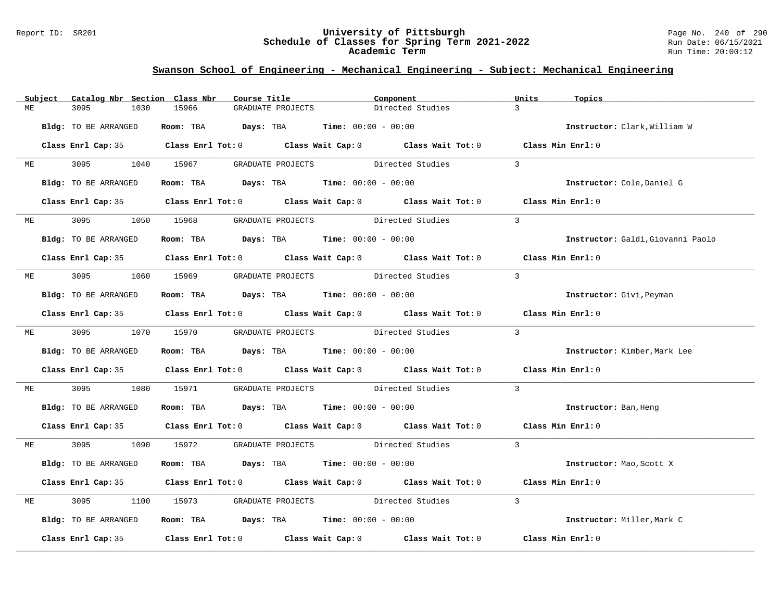#### Report ID: SR201 **University of Pittsburgh** Page No. 240 of 290 **Schedule of Classes for Spring Term 2021-2022** Run Date: 06/15/2021 **Academic Term** Run Time: 20:00:12

|    | Subject | Catalog Nbr Section Class Nbr | Course Title                                                   |                                    | Component                                                                                                                                                                                                                     | Units<br>Topics                   |
|----|---------|-------------------------------|----------------------------------------------------------------|------------------------------------|-------------------------------------------------------------------------------------------------------------------------------------------------------------------------------------------------------------------------------|-----------------------------------|
| ME |         | 3095<br>1030                  | 15966                                                          | GRADUATE PROJECTS                  | Directed Studies                                                                                                                                                                                                              | $\mathcal{L}$                     |
|    |         | Bldg: TO BE ARRANGED          | Room: TBA $Days: TBA$ Time: $00:00 - 00:00$                    |                                    |                                                                                                                                                                                                                               | Instructor: Clark, William W      |
|    |         |                               |                                                                |                                    | Class Enrl Cap: 35 Class Enrl Tot: 0 Class Wait Cap: 0 Class Wait Tot: 0 Class Min Enrl: 0                                                                                                                                    |                                   |
|    | ME      |                               | 3095 1040 15967 GRADUATE PROJECTS Directed Studies             |                                    |                                                                                                                                                                                                                               | $\mathbf{3}$                      |
|    |         | Bldg: TO BE ARRANGED          | Room: TBA $\rule{1em}{0.15mm}$ Days: TBA Time: $00:00 - 00:00$ |                                    |                                                                                                                                                                                                                               | Instructor: Cole, Daniel G        |
|    |         |                               |                                                                |                                    | Class Enrl Cap: 35 Class Enrl Tot: 0 Class Wait Cap: 0 Class Wait Tot: 0 Class Min Enrl: 0                                                                                                                                    |                                   |
|    | ME      | 3095 300                      | 1050 15968 GRADUATE PROJECTS Directed Studies                  |                                    |                                                                                                                                                                                                                               | $\mathbf{3}$                      |
|    |         | Bldg: TO BE ARRANGED          | Room: TBA $\rule{1em}{0.15mm}$ Days: TBA Time: $00:00 - 00:00$ |                                    |                                                                                                                                                                                                                               | Instructor: Galdi, Giovanni Paolo |
|    |         |                               |                                                                |                                    | Class Enrl Cap: 35 Class Enrl Tot: 0 Class Wait Cap: 0 Class Wait Tot: 0 Class Min Enrl: 0                                                                                                                                    |                                   |
| МE |         |                               | 3095 1060 15969 GRADUATE PROJECTS Directed Studies             |                                    |                                                                                                                                                                                                                               | $\mathbf{3}$                      |
|    |         | Bldg: TO BE ARRANGED          | Room: TBA $Days: TBA$ Time: $00:00 - 00:00$                    |                                    |                                                                                                                                                                                                                               | Instructor: Givi, Peyman          |
|    |         |                               |                                                                |                                    | Class Enrl Cap: 35 Class Enrl Tot: 0 Class Wait Cap: 0 Class Wait Tot: 0 Class Min Enrl: 0                                                                                                                                    |                                   |
|    |         | ME 3095 1070 15970            |                                                                | GRADUATE PROJECTS Directed Studies |                                                                                                                                                                                                                               | $\overline{3}$                    |
|    |         | Bldg: TO BE ARRANGED          | Room: TBA $Days:$ TBA $Time: 00:00 - 00:00$                    |                                    |                                                                                                                                                                                                                               | Instructor: Kimber, Mark Lee      |
|    |         |                               |                                                                |                                    | Class Enrl Cap: 35 Class Enrl Tot: 0 Class Wait Cap: 0 Class Wait Tot: 0 Class Min Enrl: 0                                                                                                                                    |                                   |
| МE |         | 3095                          | 1080 15971                                                     |                                    | GRADUATE PROJECTS Directed Studies                                                                                                                                                                                            | $\overline{3}$                    |
|    |         | Bldg: TO BE ARRANGED          | Room: TBA $Days: TBA$ Time: $00:00 - 00:00$                    |                                    |                                                                                                                                                                                                                               | Instructor: Ban, Heng             |
|    |         |                               |                                                                |                                    | Class Enrl Cap: 35 Class Enrl Tot: 0 Class Wait Cap: 0 Class Wait Tot: 0 Class Min Enrl: 0                                                                                                                                    |                                   |
| МE |         |                               |                                                                |                                    | 3095 1090 15972 GRADUATE PROJECTS Directed Studies 3                                                                                                                                                                          |                                   |
|    |         | Bldg: TO BE ARRANGED          | Room: TBA $Days:$ TBA $Time: 00:00 - 00:00$                    |                                    |                                                                                                                                                                                                                               | Instructor: Mao, Scott X          |
|    |         |                               |                                                                |                                    | Class Enrl Cap: 35 Class Enrl Tot: 0 Class Wait Cap: 0 Class Wait Tot: 0 Class Min Enrl: 0                                                                                                                                    |                                   |
| МE |         | 3095<br>1100                  | 15973                                                          |                                    | GRADUATE PROJECTS Directed Studies                                                                                                                                                                                            | $\mathbf{3}$                      |
|    |         | Bldg: TO BE ARRANGED          | Room: TBA $\rule{1em}{0.15mm}$ Days: TBA Time: $00:00 - 00:00$ |                                    |                                                                                                                                                                                                                               | Instructor: Miller, Mark C        |
|    |         |                               |                                                                |                                    | Class Enrl Cap: 35 $\,$ Class Enrl Tot: 0 $\,$ Class Wait Cap: 0 $\,$ Class Wait Tot: 0 $\,$ Class Enrl Tot: 0 $\,$ Class Enrl Tot: 0 $\,$ Class Enrl Tot: 0 $\,$ Class Enrl Tot: 0 $\,$ Class Enrl Tot: 0 $\,$ Class Enrl To | Class Min Enrl: 0                 |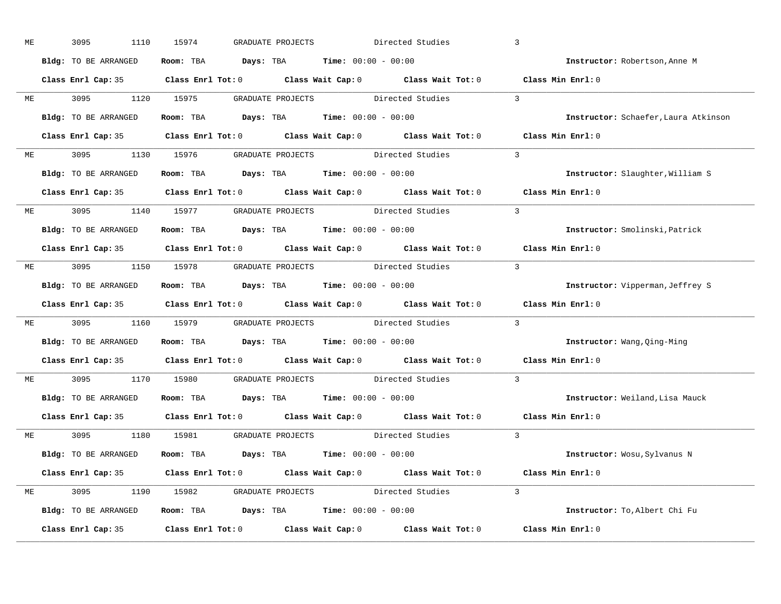| МE |           | 3095<br>1110         | 15974<br>GRADUATE PROJECTS                            | Directed Studies                                                                           | $\overline{3}$                       |
|----|-----------|----------------------|-------------------------------------------------------|--------------------------------------------------------------------------------------------|--------------------------------------|
|    |           | Bldg: TO BE ARRANGED | Room: TBA $Days:$ TBA $Time: 00:00 - 00:00$           |                                                                                            | Instructor: Robertson, Anne M        |
|    |           |                      |                                                       | Class Enrl Cap: 35 Class Enrl Tot: 0 Class Wait Cap: 0 Class Wait Tot: 0 Class Min Enrl: 0 |                                      |
|    |           |                      | ME 3095 1120 15975 GRADUATE PROJECTS Directed Studies |                                                                                            | $\overline{3}$                       |
|    |           | Bldg: TO BE ARRANGED | Room: TBA $Days:$ TBA Time: $00:00 - 00:00$           |                                                                                            | Instructor: Schaefer, Laura Atkinson |
|    |           |                      |                                                       | Class Enrl Cap: 35 Class Enrl Tot: 0 Class Wait Cap: 0 Class Wait Tot: 0 Class Min Enrl: 0 |                                      |
| ME |           |                      |                                                       | 3095 1130 15976 GRADUATE PROJECTS Directed Studies 3                                       |                                      |
|    |           | Bldg: TO BE ARRANGED | Room: TBA $Days:$ TBA Time: $00:00 - 00:00$           |                                                                                            | Instructor: Slaughter, William S     |
|    |           |                      |                                                       | Class Enrl Cap: 35 Class Enrl Tot: 0 Class Wait Cap: 0 Class Wait Tot: 0 Class Min Enrl: 0 |                                      |
|    |           |                      | ME 3095 1140 15977 GRADUATE PROJECTS Directed Studies |                                                                                            | $\overline{3}$                       |
|    |           | Bldg: TO BE ARRANGED | Room: TBA $Days:$ TBA $Time: 00:00 - 00:00$           |                                                                                            | Instructor: Smolinski, Patrick       |
|    |           |                      |                                                       | Class Enrl Cap: 35 Class Enrl Tot: 0 Class Wait Cap: 0 Class Wait Tot: 0 Class Min Enrl: 0 |                                      |
|    |           |                      |                                                       | ME 3095 1150 15978 GRADUATE PROJECTS Directed Studies 3                                    |                                      |
|    |           | Bldg: TO BE ARRANGED | Room: TBA $Days:$ TBA $Time: 00:00 - 00:00$           |                                                                                            | Instructor: Vipperman, Jeffrey S     |
|    |           |                      |                                                       | Class Enrl Cap: 35 Class Enrl Tot: 0 Class Wait Cap: 0 Class Wait Tot: 0 Class Min Enrl: 0 |                                      |
| МE |           |                      | 3095 1160 15979 GRADUATE PROJECTS Directed Studies    |                                                                                            | $\overline{3}$                       |
|    |           | Bldg: TO BE ARRANGED | Room: TBA $Days:$ TBA $Time: 00:00 - 00:00$           |                                                                                            | Instructor: Wang, Qing-Ming          |
|    |           |                      |                                                       | Class Enrl Cap: 35 Class Enrl Tot: 0 Class Wait Cap: 0 Class Wait Tot: 0                   | Class Min Enrl: 0                    |
|    | <b>ME</b> |                      | 3095 1170 15980 GRADUATE PROJECTS Directed Studies    |                                                                                            | $\overline{3}$                       |
|    |           | Bldg: TO BE ARRANGED | Room: TBA $Days:$ TBA $Time: 00:00 - 00:00$           |                                                                                            | Instructor: Weiland, Lisa Mauck      |
|    |           |                      |                                                       | Class Enrl Cap: 35 Class Enrl Tot: 0 Class Wait Cap: 0 Class Wait Tot: 0                   | Class Min Enrl: 0                    |
|    |           |                      | ME 3095 1180 15981 GRADUATE PROJECTS Directed Studies |                                                                                            | $\overline{3}$                       |
|    |           | Bldg: TO BE ARRANGED | Room: TBA $Days:$ TBA $Time: 00:00 - 00:00$           |                                                                                            | Instructor: Wosu, Sylvanus N         |
|    |           |                      |                                                       | Class Enrl Cap: 35 Class Enrl Tot: 0 Class Wait Cap: 0 Class Wait Tot: 0 Class Min Enrl: 0 |                                      |
|    |           |                      |                                                       | ME 3095 1190 15982 GRADUATE PROJECTS Directed Studies 3                                    |                                      |
|    |           | Bldg: TO BE ARRANGED | Room: TBA $Days: TBA$ Time: $00:00 - 00:00$           |                                                                                            | Instructor: To, Albert Chi Fu        |
|    |           | Class Enrl Cap: 35   |                                                       | Class Enrl Tot: 0 Class Wait Cap: 0 Class Wait Tot: 0 Class Min Enrl: 0                    |                                      |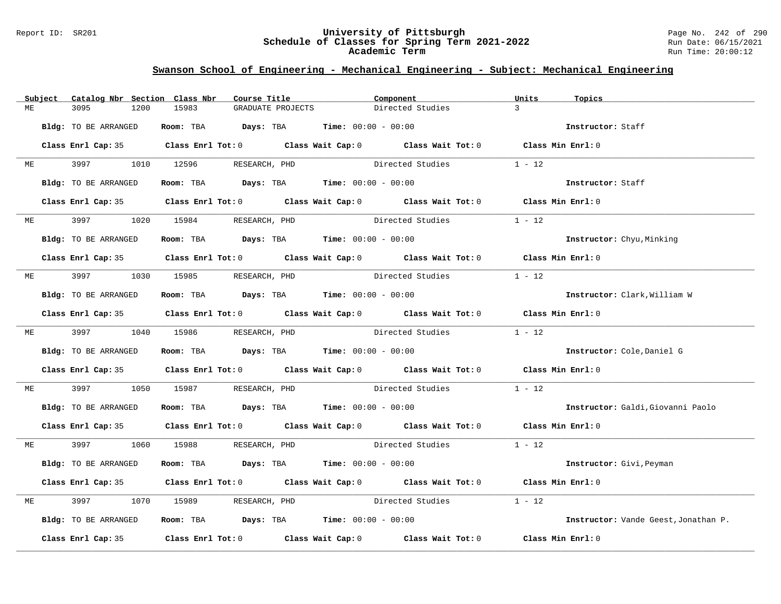#### Report ID: SR201 **University of Pittsburgh** Page No. 242 of 290 **Schedule of Classes for Spring Term 2021-2022** Run Date: 06/15/2021 **Academic Term** Run Time: 20:00:12

|    | Subject | Catalog Nbr Section Class Nbr | Course Title                                                                               | Component                      |                  | Units<br>Topics |                                      |
|----|---------|-------------------------------|--------------------------------------------------------------------------------------------|--------------------------------|------------------|-----------------|--------------------------------------|
| МE |         | 3095<br>1200                  | 15983<br>GRADUATE PROJECTS                                                                 |                                | Directed Studies | $\overline{3}$  |                                      |
|    |         | Bldg: TO BE ARRANGED          | Room: TBA $Days:$ TBA $Time: 00:00 - 00:00$                                                |                                |                  |                 | Instructor: Staff                    |
|    |         |                               | Class Enrl Cap: 35 Class Enrl Tot: 0 Class Wait Cap: 0 Class Wait Tot: 0 Class Min Enrl: 0 |                                |                  |                 |                                      |
| МE |         |                               | 3997 1010 12596 RESEARCH, PHD                                                              |                                | Directed Studies | $1 - 12$        |                                      |
|    |         | Bldg: TO BE ARRANGED          | Room: TBA $Days:$ TBA $Time: 00:00 - 00:00$                                                |                                |                  |                 | Instructor: Staff                    |
|    |         |                               | Class Enrl Cap: 35 Class Enrl Tot: 0 Class Wait Cap: 0 Class Wait Tot: 0 Class Min Enrl: 0 |                                |                  |                 |                                      |
| ME |         | 3997                          | 1020 15984 RESEARCH, PHD                                                                   | Directed Studies               |                  | $1 - 12$        |                                      |
|    |         | Bldg: TO BE ARRANGED          | Room: TBA $Days:$ TBA $Time: 00:00 - 00:00$                                                |                                |                  |                 | Instructor: Chyu, Minking            |
|    |         |                               | Class Enrl Cap: 35 Class Enrl Tot: 0 Class Wait Cap: 0 Class Wait Tot: 0 Class Min Enrl: 0 |                                |                  |                 |                                      |
| МE |         |                               | 3997 1030 15985 RESEARCH, PHD Directed Studies                                             |                                |                  | $1 - 12$        |                                      |
|    |         | Bldg: TO BE ARRANGED          | Room: TBA $Days:$ TBA $Time: 00:00 - 00:00$                                                |                                |                  |                 | Instructor: Clark, William W         |
|    |         |                               | Class Enrl Cap: 35 Class Enrl Tot: 0 Class Wait Cap: 0 Class Wait Tot: 0 Class Min Enrl: 0 |                                |                  |                 |                                      |
|    |         |                               | ME 3997 1040 15986 RESEARCH, PHD                                                           |                                | Directed Studies | $1 - 12$        |                                      |
|    |         | Bldg: TO BE ARRANGED          | Room: TBA $Days:$ TBA $Time: 00:00 - 00:00$                                                |                                |                  |                 | Instructor: Cole, Daniel G           |
|    |         |                               | Class Enrl Cap: 35 Class Enrl Tot: 0 Class Wait Cap: 0 Class Wait Tot: 0 Class Min Enrl: 0 |                                |                  |                 |                                      |
| МE |         | 3997<br>1050                  | 15987                                                                                      | RESEARCH, PHD Directed Studies |                  | $1 - 12$        |                                      |
|    |         | Bldg: TO BE ARRANGED          | Room: TBA $Days:$ TBA $Time: 00:00 - 00:00$                                                |                                |                  |                 | Instructor: Galdi, Giovanni Paolo    |
|    |         |                               | Class Enrl Cap: 35 Class Enrl Tot: 0 Class Wait Cap: 0 Class Wait Tot: 0 Class Min Enrl: 0 |                                |                  |                 |                                      |
| ME |         |                               | 3997 1060 15988 RESEARCH, PHD                                                              |                                | Directed Studies | $1 - 12$        |                                      |
|    |         | Bldg: TO BE ARRANGED          | Room: TBA $Days:$ TBA $Time: 00:00 - 00:00$                                                |                                |                  |                 | Instructor: Givi, Peyman             |
|    |         |                               | Class Enrl Cap: 35 Class Enrl Tot: 0 Class Wait Cap: 0 Class Wait Tot: 0 Class Min Enrl: 0 |                                |                  |                 |                                      |
| МE |         | 3997<br>1070                  | 15989 RESEARCH, PHD                                                                        |                                | Directed Studies | $1 - 12$        |                                      |
|    |         | Bldg: TO BE ARRANGED          | Room: TBA $Days:$ TBA Time: $00:00 - 00:00$                                                |                                |                  |                 | Instructor: Vande Geest, Jonathan P. |
|    |         |                               | Class Enrl Cap: 35 Class Enrl Tot: 0 Class Wait Cap: 0 Class Wait Tot: 0 Class Min Enrl: 0 |                                |                  |                 |                                      |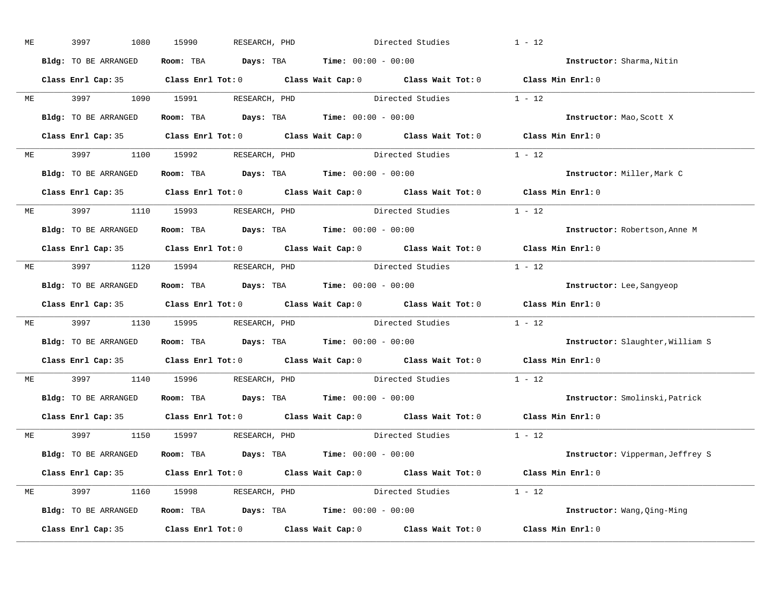| МE | 3997<br>1080         | 15990<br>RESEARCH, PHD                                                                     | Directed Studies                                                                                    | $1 - 12$                         |
|----|----------------------|--------------------------------------------------------------------------------------------|-----------------------------------------------------------------------------------------------------|----------------------------------|
|    | Bldg: TO BE ARRANGED | Room: TBA $Days:$ TBA $Time: 00:00 - 00:00$                                                |                                                                                                     | Instructor: Sharma, Nitin        |
|    |                      |                                                                                            | Class Enrl Cap: 35 Class Enrl Tot: 0 Class Wait Cap: 0 Class Wait Tot: 0 Class Min Enrl: 0          |                                  |
|    |                      |                                                                                            | ME 3997 1090 15991 RESEARCH, PHD Directed Studies 1 - 12                                            |                                  |
|    | Bldg: TO BE ARRANGED | Room: TBA $Days:$ TBA Time: $00:00 - 00:00$                                                |                                                                                                     | Instructor: Mao, Scott X         |
|    |                      |                                                                                            | Class Enrl Cap: 35 Class Enrl Tot: 0 Class Wait Cap: 0 Class Wait Tot: 0 Class Min Enrl: 0          |                                  |
|    |                      |                                                                                            | ME 3997 1100 15992 RESEARCH, PHD Directed Studies 1 - 12                                            |                                  |
|    |                      | <b>Bldg:</b> TO BE ARRANGED <b>Room:</b> TBA <b>Days:</b> TBA <b>Time:</b> $00:00 - 00:00$ |                                                                                                     | Instructor: Miller, Mark C       |
|    |                      |                                                                                            | Class Enrl Cap: 35 Class Enrl Tot: 0 Class Wait Cap: 0 Class Wait Tot: 0 Class Min Enrl: 0          |                                  |
|    |                      | ME 3997 1110 15993 RESEARCH, PHD                                                           | Directed Studies                                                                                    | $1 - 12$                         |
|    | Bldg: TO BE ARRANGED | Room: TBA $Days:$ TBA $Time: 00:00 - 00:00$                                                |                                                                                                     | Instructor: Robertson, Anne M    |
|    |                      |                                                                                            | Class Enrl Cap: 35 Class Enrl Tot: 0 Class Wait Cap: 0 Class Wait Tot: 0 Class Min Enrl: 0          |                                  |
|    |                      |                                                                                            | ME 3997 1120 15994 RESEARCH, PHD Directed Studies 1 - 12                                            |                                  |
|    | Bldg: TO BE ARRANGED | Room: TBA $Days:$ TBA $Time: 00:00 - 00:00$                                                |                                                                                                     | Instructor: Lee, Sangyeop        |
|    |                      |                                                                                            | Class Enrl Cap: 35 Class Enrl Tot: 0 Class Wait Cap: 0 Class Wait Tot: 0 Class Min Enrl: 0          |                                  |
| ME |                      |                                                                                            | 3997 1130 15995 RESEARCH, PHD Directed Studies 1 - 12                                               |                                  |
|    | Bldg: TO BE ARRANGED | Room: TBA $Days:$ TBA $Time: 00:00 - 00:00$                                                |                                                                                                     | Instructor: Slaughter, William S |
|    |                      |                                                                                            | Class Enrl Cap: 35 $\qquad$ Class Enrl Tot: 0 $\qquad$ Class Wait Cap: 0 $\qquad$ Class Wait Tot: 0 | Class Min Enrl: 0                |
|    |                      | ME 3997 1140 15996 RESEARCH, PHD                                                           | Directed Studies                                                                                    | $1 - 12$                         |
|    |                      | Bldg: TO BE ARRANGED Room: TBA Days: TBA Time: 00:00 - 00:00                               |                                                                                                     | Instructor: Smolinski, Patrick   |
|    |                      |                                                                                            | Class Enrl Cap: 35 Class Enrl Tot: 0 Class Wait Cap: 0 Class Wait Tot: 0 Class Min Enrl: 0          |                                  |
|    |                      | ME 3997 1150 15997 RESEARCH, PHD                                                           | Directed Studies 1 - 12                                                                             |                                  |
|    | Bldg: TO BE ARRANGED | Room: TBA $\rule{1em}{0.15mm}$ Days: TBA $\rule{1.15mm}]{0.15mm}$ Time: $0.000 - 0.000$    |                                                                                                     | Instructor: Vipperman, Jeffrey S |
|    |                      |                                                                                            | Class Enrl Cap: 35 Class Enrl Tot: 0 Class Wait Cap: 0 Class Wait Tot: 0 Class Min Enrl: 0          |                                  |
|    |                      | ME 3997 1160 15998 RESEARCH, PHD                                                           | Directed Studies 1 - 12                                                                             |                                  |
|    |                      | Bldg: TO BE ARRANGED Room: TBA Days: TBA Time: 00:00 - 00:00                               |                                                                                                     | Instructor: Wang, Qing-Ming      |
|    |                      |                                                                                            | Class Enrl Cap: 35 Class Enrl Tot: 0 Class Wait Cap: 0 Class Wait Tot: 0 Class Min Enrl: 0          |                                  |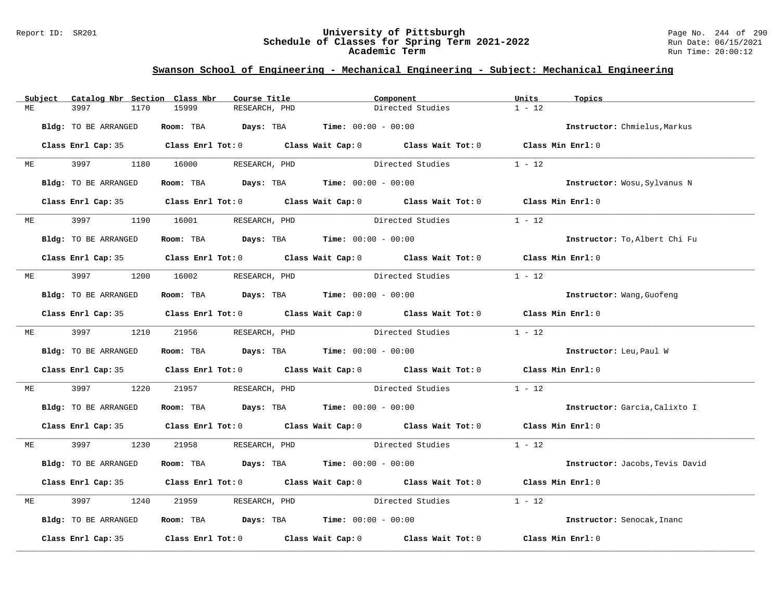#### Report ID: SR201 **University of Pittsburgh** Page No. 244 of 290 **Schedule of Classes for Spring Term 2021-2022** Run Date: 06/15/2021 **Academic Term** Run Time: 20:00:12

|    | Subject | Catalog Nbr Section Class Nbr | Course Title                                                                               | Component                                                   | Units<br>Topics            |                                 |
|----|---------|-------------------------------|--------------------------------------------------------------------------------------------|-------------------------------------------------------------|----------------------------|---------------------------------|
| ME |         | 3997<br>1170                  | 15999<br>RESEARCH, PHD                                                                     | Directed Studies                                            | $1 - 12$                   |                                 |
|    |         | Bldg: TO BE ARRANGED          | Room: TBA $Days:$ TBA $Time: 00:00 - 00:00$                                                |                                                             |                            | Instructor: Chmielus, Markus    |
|    |         |                               | Class Enrl Cap: 35 Class Enrl Tot: 0 Class Wait Cap: 0 Class Wait Tot: 0 Class Min Enrl: 0 |                                                             |                            |                                 |
|    | ME      |                               | 3997 1180 16000 RESEARCH, PHD                                                              | Directed Studies                                            | $1 - 12$                   |                                 |
|    |         | Bldg: TO BE ARRANGED          | Room: TBA $Days:$ TBA $Time: 00:00 - 00:00$                                                |                                                             |                            | Instructor: Wosu, Sylvanus N    |
|    |         |                               | Class Enrl Cap: 35 Class Enrl Tot: 0 Class Wait Cap: 0 Class Wait Tot: 0 Class Min Enrl: 0 |                                                             |                            |                                 |
|    | ME      |                               | 1190 16001 RESEARCH, PHD                                                                   | Directed Studies                                            | $1 - 12$                   |                                 |
|    |         | Bldg: TO BE ARRANGED          | Room: TBA $Days:$ TBA $Time: 00:00 - 00:00$                                                |                                                             |                            | Instructor: To, Albert Chi Fu   |
|    |         |                               | Class Enrl Cap: 35 Class Enrl Tot: 0 Class Wait Cap: 0 Class Wait Tot: 0 Class Min Enrl: 0 |                                                             |                            |                                 |
| ME |         | 3997 — 100                    | 1200 16002 RESEARCH, PHD                                                                   | Directed Studies                                            | $1 - 12$                   |                                 |
|    |         | Bldg: TO BE ARRANGED          | Room: TBA $Days:$ TBA $Time: 00:00 - 00:00$                                                |                                                             | Instructor: Wang, Guofeng  |                                 |
|    |         |                               | Class Enrl Cap: 35 Class Enrl Tot: 0 Class Wait Cap: 0 Class Wait Tot: 0 Class Min Enrl: 0 |                                                             |                            |                                 |
|    |         |                               | ME 3997 1210 21956 RESEARCH, PHD                                                           | Directed Studies                                            | $1 - 12$                   |                                 |
|    |         | Bldg: TO BE ARRANGED          | Room: TBA $Days:$ TBA $Time: 00:00 - 00:00$                                                |                                                             | Instructor: Leu, Paul W    |                                 |
|    |         |                               | Class Enrl Cap: 35 Class Enrl Tot: 0 Class Wait Cap: 0 Class Wait Tot: 0 Class Min Enrl: 0 |                                                             |                            |                                 |
| МE |         | 3997 399<br>1220              | 21957                                                                                      | RESEARCH, PHD Directed Studies                              | $1 - 12$                   |                                 |
|    |         | Bldg: TO BE ARRANGED          | Room: TBA $Days:$ TBA $Time: 00:00 - 00:00$                                                |                                                             |                            | Instructor: Garcia, Calixto I   |
|    |         |                               | Class Enrl Cap: 35 Class Enrl Tot: 0 Class Wait Cap: 0 Class Wait Tot: 0 Class Min Enrl: 0 |                                                             |                            |                                 |
| ME |         |                               | 3997 1230 21958 RESEARCH, PHD                                                              | Directed Studies 1 - 12                                     |                            |                                 |
|    |         | Bldg: TO BE ARRANGED          | Room: TBA $Days: TBA$ Time: $00:00 - 00:00$                                                |                                                             |                            | Instructor: Jacobs, Tevis David |
|    |         |                               | Class Enrl Cap: 35 Class Enrl Tot: 0 Class Wait Cap: 0 Class Wait Tot: 0 Class Min Enrl: 0 |                                                             |                            |                                 |
| MЕ |         | 3997<br>1240                  | 21959<br>RESEARCH, PHD                                                                     | Directed Studies                                            | $1 - 12$                   |                                 |
|    |         | Bldg: TO BE ARRANGED          | Room: TBA $\rule{1em}{0.15mm}$ Days: TBA Time: $00:00 - 00:00$                             |                                                             | Instructor: Senocak, Inanc |                                 |
|    |         | Class Enrl Cap: 35            |                                                                                            | Class Enrl Tot: $0$ Class Wait Cap: $0$ Class Wait Tot: $0$ | Class Min Enrl: 0          |                                 |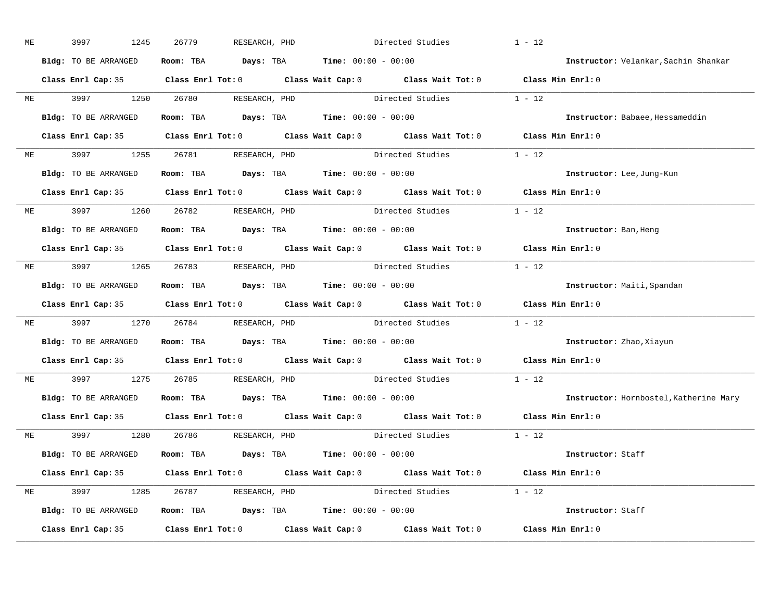| ME | 3997<br>1245         | 26779<br>RESEARCH, PHD                                                                     | Directed Studies |                         | $1 - 12$                               |
|----|----------------------|--------------------------------------------------------------------------------------------|------------------|-------------------------|----------------------------------------|
|    | Bldg: TO BE ARRANGED | Room: TBA $Days: TBA$ Time: $00:00 - 00:00$                                                |                  |                         | Instructor: Velankar, Sachin Shankar   |
|    |                      | Class Enrl Cap: 35 Class Enrl Tot: 0 Class Wait Cap: 0 Class Wait Tot: 0 Class Min Enrl: 0 |                  |                         |                                        |
|    |                      | ME 3997 1250 26780 RESEARCH, PHD Directed Studies 1 - 12                                   |                  |                         |                                        |
|    | Bldg: TO BE ARRANGED | Room: TBA $Days:$ TBA Time: $00:00 - 00:00$                                                |                  |                         | Instructor: Babaee, Hessameddin        |
|    |                      | Class Enrl Cap: 35 Class Enrl Tot: 0 Class Wait Cap: 0 Class Wait Tot: 0 Class Min Enrl: 0 |                  |                         |                                        |
|    |                      | ME 3997 1255 26781 RESEARCH, PHD Directed Studies 1 - 12                                   |                  |                         |                                        |
|    |                      | <b>Bldg:</b> TO BE ARRANGED <b>Room:</b> TBA <b>Days:</b> TBA <b>Time:</b> $00:00 - 00:00$ |                  |                         | Instructor: Lee, Jung-Kun              |
|    |                      | Class Enrl Cap: 35 Class Enrl Tot: 0 Class Wait Cap: 0 Class Wait Tot: 0 Class Min Enrl: 0 |                  |                         |                                        |
|    |                      | ME 3997 1260 26782 RESEARCH, PHD                                                           |                  | Directed Studies 1 - 12 |                                        |
|    | Bldg: TO BE ARRANGED | Room: TBA $\rule{1em}{0.15mm}$ Days: TBA Time: $00:00 - 00:00$                             |                  |                         | Instructor: Ban, Heng                  |
|    |                      | Class Enrl Cap: 35 Class Enrl Tot: 0 Class Wait Cap: 0 Class Wait Tot: 0 Class Min Enrl: 0 |                  |                         |                                        |
|    |                      | ME 3997 1265 26783 RESEARCH, PHD Directed Studies 1 - 12                                   |                  |                         |                                        |
|    | Bldg: TO BE ARRANGED | Room: TBA $Days:$ TBA $Time: 00:00 - 00:00$                                                |                  |                         | Instructor: Maiti, Spandan             |
|    |                      | Class Enrl Cap: 35 Class Enrl Tot: 0 Class Wait Cap: 0 Class Wait Tot: 0 Class Min Enrl: 0 |                  |                         |                                        |
| ME |                      | 3997 1270 26784 RESEARCH, PHD Directed Studies 1 - 12                                      |                  |                         |                                        |
|    |                      | Bldg: TO BE ARRANGED Room: TBA Days: TBA Time: 00:00 - 00:00                               |                  |                         | Instructor: Zhao, Xiayun               |
|    |                      | Class Enrl Cap: 35 Class Enrl Tot: 0 Class Wait Cap: 0 Class Wait Tot: 0 Class Min Enrl: 0 |                  |                         |                                        |
|    |                      | ME 3997 1275 26785 RESEARCH, PHD                                                           |                  | Directed Studies        | $1 - 12$                               |
|    |                      | Bldg: TO BE ARRANGED Room: TBA Days: TBA Time: 00:00 - 00:00                               |                  |                         | Instructor: Hornbostel, Katherine Mary |
|    |                      | Class Enrl Cap: 35 Class Enrl Tot: 0 Class Wait Cap: 0 Class Wait Tot: 0 Class Min Enrl: 0 |                  |                         |                                        |
|    |                      | ME 3997 1280 26786 RESEARCH, PHD                                                           |                  | Directed Studies 1 - 12 |                                        |
|    | Bldg: TO BE ARRANGED | Room: TBA $Days:$ TBA $Time: 00:00 - 00:00$                                                |                  |                         | Instructor: Staff                      |
|    |                      | Class Enrl Cap: 35 Class Enrl Tot: 0 Class Wait Cap: 0 Class Wait Tot: 0 Class Min Enrl: 0 |                  |                         |                                        |
|    |                      | ME 3997 1285 26787 RESEARCH, PHD                                                           |                  | Directed Studies 1 - 12 |                                        |
|    |                      | $Bldg: TO BE ARRANGED$ Room: TBA Days: TBA Time: $00:00 - 00:00$                           |                  |                         | Instructor: Staff                      |
|    |                      | Class Enrl Cap: 35 Class Enrl Tot: 0 Class Wait Cap: 0 Class Wait Tot: 0 Class Min Enrl: 0 |                  |                         |                                        |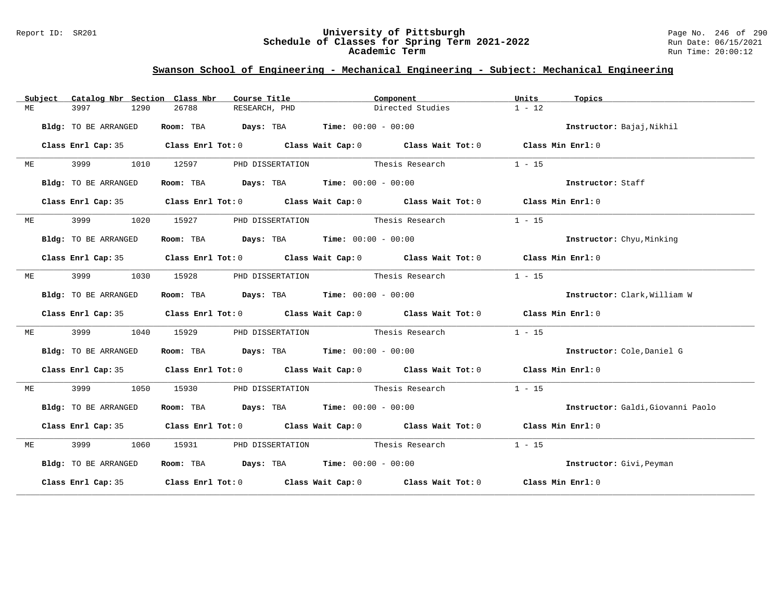#### Report ID: SR201 **University of Pittsburgh** Page No. 246 of 290 **Schedule of Classes for Spring Term 2021-2022** Run Date: 06/15/2021 **Academic Term** Run Time: 20:00:12

|    | Subject | Catalog Nbr Section Class Nbr |      |                                                                | Course Title                                                                          |  | Component |                                                                                            | Units    | Topics                            |
|----|---------|-------------------------------|------|----------------------------------------------------------------|---------------------------------------------------------------------------------------|--|-----------|--------------------------------------------------------------------------------------------|----------|-----------------------------------|
| МE |         | 3997                          | 1290 | 26788                                                          | RESEARCH, PHD                                                                         |  |           | Directed Studies                                                                           | $1 - 12$ |                                   |
|    |         | Bldg: TO BE ARRANGED          |      | Room: TBA $\rule{1em}{0.15mm}$ Days: TBA Time: $00:00 - 00:00$ |                                                                                       |  |           |                                                                                            |          | Instructor: Bajaj, Nikhil         |
|    |         | Class Enrl Cap: 35            |      |                                                                |                                                                                       |  |           | Class Enrl Tot: 0 Class Wait Cap: 0 Class Wait Tot: 0 Class Min Enrl: 0                    |          |                                   |
|    | ME      | 3999 (1988)                   | 1010 | 12597                                                          |                                                                                       |  |           | PHD DISSERTATION Thesis Research                                                           | $1 - 15$ |                                   |
|    |         | Bldg: TO BE ARRANGED          |      |                                                                | Room: TBA $Days:$ TBA $Time: 00:00 - 00:00$                                           |  |           |                                                                                            |          | Instructor: Staff                 |
|    |         |                               |      |                                                                |                                                                                       |  |           | Class Enrl Cap: 35 Class Enrl Tot: 0 Class Wait Cap: 0 Class Wait Tot: 0 Class Min Enrl: 0 |          |                                   |
| МE |         |                               | 1020 | 15927                                                          |                                                                                       |  |           | PHD DISSERTATION Thesis Research                                                           | $1 - 15$ |                                   |
|    |         | Bldg: TO BE ARRANGED          |      | Room: TBA $Days:$ TBA $Time: 00:00 - 00:00$                    |                                                                                       |  |           |                                                                                            |          | <b>Instructor:</b> Chyu, Minking  |
|    |         |                               |      |                                                                |                                                                                       |  |           | Class Enrl Cap: 35 Class Enrl Tot: 0 Class Wait Cap: 0 Class Wait Tot: 0 Class Min Enrl: 0 |          |                                   |
| МE |         | 3999                          | 1030 | 15928                                                          |                                                                                       |  |           | PHD DISSERTATION Thesis Research                                                           | $1 - 15$ |                                   |
|    |         | Bldg: TO BE ARRANGED          |      |                                                                | Room: TBA $\rule{1em}{0.15mm}$ Days: TBA $\rule{1.5mm}{0.15mm}$ Time: $00:00 - 00:00$ |  |           |                                                                                            |          | Instructor: Clark, William W      |
|    |         |                               |      |                                                                |                                                                                       |  |           | Class Enrl Cap: 35 Class Enrl Tot: 0 Class Wait Cap: 0 Class Wait Tot: 0 Class Min Enrl: 0 |          |                                   |
| МE |         | 3999                          | 1040 | 15929                                                          |                                                                                       |  |           | PHD DISSERTATION Thesis Research                                                           | $1 - 15$ |                                   |
|    |         | Bldg: TO BE ARRANGED          |      |                                                                | Room: TBA $Days:$ TBA $Time: 00:00 - 00:00$                                           |  |           |                                                                                            |          | Instructor: Cole, Daniel G        |
|    |         | Class Enrl Cap: 35            |      |                                                                |                                                                                       |  |           | Class Enrl Tot: 0 Class Wait Cap: 0 Class Wait Tot: 0 Class Min Enrl: 0                    |          |                                   |
| ME |         | 3999                          | 1050 | 15930                                                          |                                                                                       |  |           | PHD DISSERTATION Thesis Research                                                           | $1 - 15$ |                                   |
|    |         | Bldg: TO BE ARRANGED          |      | Room: TBA $Days:$ TBA $Time: 00:00 - 00:00$                    |                                                                                       |  |           |                                                                                            |          | Instructor: Galdi, Giovanni Paolo |
|    |         |                               |      |                                                                |                                                                                       |  |           | Class Enrl Cap: 35 Class Enrl Tot: 0 Class Wait Cap: 0 Class Wait Tot: 0 Class Min Enrl: 0 |          |                                   |
| ME |         | 3999 700                      | 1060 | 15931                                                          |                                                                                       |  |           | PHD DISSERTATION Thesis Research                                                           | $1 - 15$ |                                   |
|    |         | Bldg: TO BE ARRANGED          |      | Room: TBA $Days:$ TBA $Time: 00:00 - 00:00$                    |                                                                                       |  |           |                                                                                            |          | Instructor: Givi, Peyman          |
|    |         |                               |      |                                                                |                                                                                       |  |           | Class Enrl Cap: 35 Class Enrl Tot: 0 Class Wait Cap: 0 Class Wait Tot: 0 Class Min Enrl: 0 |          |                                   |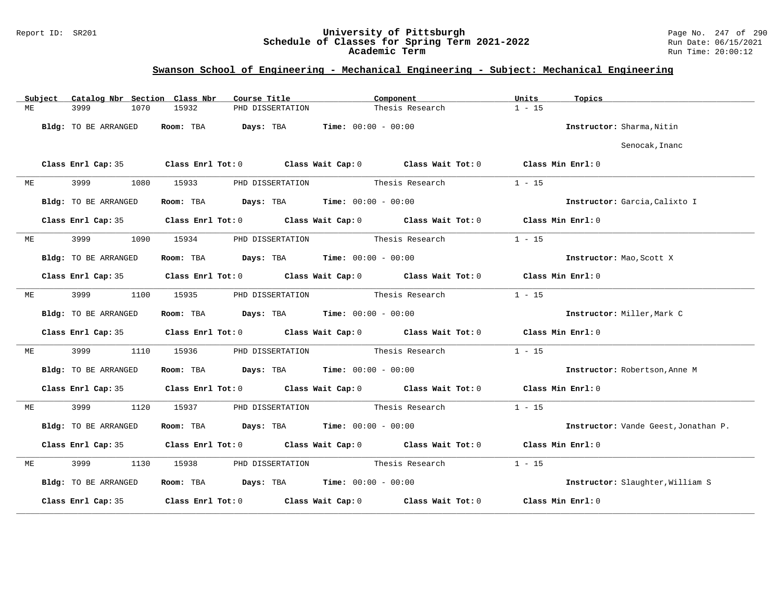### Report ID: SR201 **University of Pittsburgh** Page No. 247 of 290 **Schedule of Classes for Spring Term 2021-2022** Run Date: 06/15/2021 **Academic Term** Run Time: 20:00:12

|    | Subject | Catalog Nbr Section Class Nbr |           | Course Title<br>Component                                                             |                                  | Units                                                                                      | Topics            |                                      |
|----|---------|-------------------------------|-----------|---------------------------------------------------------------------------------------|----------------------------------|--------------------------------------------------------------------------------------------|-------------------|--------------------------------------|
| МE |         | 3999<br>1070                  | 15932     | PHD DISSERTATION                                                                      |                                  | Thesis Research                                                                            | $1 - 15$          |                                      |
|    |         | Bldg: TO BE ARRANGED          | Room: TBA | Days: TBA                                                                             | <b>Time:</b> $00:00 - 00:00$     |                                                                                            |                   | Instructor: Sharma, Nitin            |
|    |         |                               |           |                                                                                       |                                  |                                                                                            |                   | Senocak, Inanc                       |
|    |         |                               |           |                                                                                       |                                  | Class Enrl Cap: 35 Class Enrl Tot: 0 Class Wait Cap: 0 Class Wait Tot: 0 Class Min Enrl: 0 |                   |                                      |
| МE |         | 3999<br>1080                  | 15933     | PHD DISSERTATION                                                                      | Thesis Research                  |                                                                                            | $1 - 15$          |                                      |
|    |         | Bldg: TO BE ARRANGED          |           | <b>Room:</b> TBA <b>Days:</b> TBA <b>Time:</b> 00:00 - 00:00                          |                                  |                                                                                            |                   | Instructor: Garcia, Calixto I        |
|    |         | Class Enrl Cap: 35            |           |                                                                                       |                                  | Class Enrl Tot: 0 Class Wait Cap: 0 Class Wait Tot: 0 Class Min Enrl: 0                    |                   |                                      |
| МE |         | 3999<br>1090                  | 15934     | PHD DISSERTATION                                                                      | Thesis Research                  |                                                                                            | $1 - 15$          |                                      |
|    |         | Bldg: TO BE ARRANGED          |           | Room: TBA $\rule{1em}{0.15mm}$ Days: TBA $\rule{1.5mm}{0.15mm}$ Time: $00:00 - 00:00$ |                                  |                                                                                            |                   | Instructor: Mao, Scott X             |
|    |         | Class Enrl Cap: 35            |           |                                                                                       |                                  | Class Enrl Tot: 0 Class Wait Cap: 0 Class Wait Tot: 0 Class Min Enrl: 0                    |                   |                                      |
| МE |         | 3999<br>1100                  | 15935     |                                                                                       | PHD DISSERTATION Thesis Research |                                                                                            | $1 - 15$          |                                      |
|    |         | Bldg: TO BE ARRANGED          |           | Room: TBA $\rule{1em}{0.15mm}$ Days: TBA $\rule{1.5mm}{0.15mm}$ Time: $00:00 - 00:00$ |                                  |                                                                                            |                   | Instructor: Miller, Mark C           |
|    |         |                               |           |                                                                                       |                                  | Class Enrl Cap: 35 Class Enrl Tot: 0 Class Wait Cap: 0 Class Wait Tot: 0 Class Min Enrl: 0 |                   |                                      |
| МE |         | 3999<br>1110                  | 15936     | PHD DISSERTATION Thesis Research                                                      |                                  |                                                                                            | $1 - 15$          |                                      |
|    |         | Bldg: TO BE ARRANGED          |           | Room: TBA $Days:$ TBA $Time: 00:00 - 00:00$                                           |                                  |                                                                                            |                   | Instructor: Robertson, Anne M        |
|    |         | Class Enrl Cap: 35            |           |                                                                                       |                                  | Class Enrl Tot: 0 Class Wait Cap: 0 Class Wait Tot: 0 Class Min Enrl: 0                    |                   |                                      |
| МE |         | 3999<br>1120                  | 15937     | PHD DISSERTATION Thesis Research                                                      |                                  |                                                                                            | $1 - 15$          |                                      |
|    |         | Bldg: TO BE ARRANGED          |           | Room: TBA $Days: TBA$ Time: $00:00 - 00:00$                                           |                                  |                                                                                            |                   | Instructor: Vande Geest, Jonathan P. |
|    |         |                               |           |                                                                                       |                                  | Class Enrl Cap: 35 Class Enrl Tot: 0 Class Wait Cap: 0 Class Wait Tot: 0 Class Min Enrl: 0 |                   |                                      |
| МE |         | 3999<br>1130                  | 15938     | PHD DISSERTATION Thesis Research                                                      |                                  |                                                                                            | $1 - 15$          |                                      |
|    |         | Bldg: TO BE ARRANGED          |           | Room: TBA $Days:$ TBA $Time: 00:00 - 00:00$                                           |                                  |                                                                                            |                   | Instructor: Slaughter, William S     |
|    |         | Class Enrl Cap: 35            |           | Class Enrl Tot: $0$ Class Wait Cap: $0$ Class Wait Tot: $0$                           |                                  |                                                                                            | Class Min Enrl: 0 |                                      |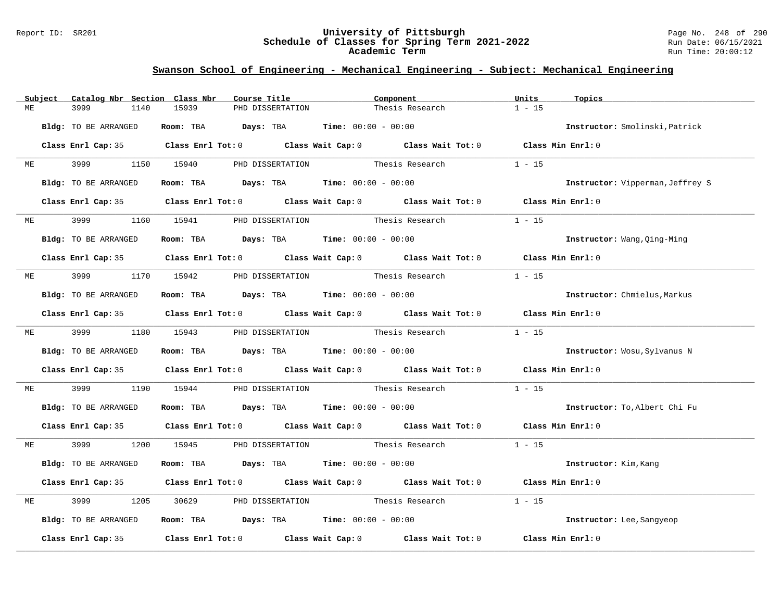#### Report ID: SR201 **University of Pittsburgh** Page No. 248 of 290 **Schedule of Classes for Spring Term 2021-2022** Run Date: 06/15/2021 **Academic Term** Run Time: 20:00:12

|    | Subject   | Catalog Nbr Section Class Nbr |      |       | Course Title |                  | Component                                                      |  | Units                                                                                                                                                                                                                         | Topics   |                                  |
|----|-----------|-------------------------------|------|-------|--------------|------------------|----------------------------------------------------------------|--|-------------------------------------------------------------------------------------------------------------------------------------------------------------------------------------------------------------------------------|----------|----------------------------------|
| MЕ |           | 3999                          | 1140 | 15939 |              | PHD DISSERTATION |                                                                |  | Thesis Research                                                                                                                                                                                                               | $1 - 15$ |                                  |
|    |           |                               |      |       |              |                  |                                                                |  |                                                                                                                                                                                                                               |          |                                  |
|    |           | Bldg: TO BE ARRANGED          |      |       |              |                  | Room: TBA $Days:$ TBA $Time: 00:00 - 00:00$                    |  |                                                                                                                                                                                                                               |          | Instructor: Smolinski, Patrick   |
|    |           |                               |      |       |              |                  |                                                                |  | Class Enrl Cap: 35 Class Enrl Tot: 0 Class Wait Cap: 0 Class Wait Tot: 0 Class Min Enrl: 0                                                                                                                                    |          |                                  |
|    |           |                               |      |       |              |                  |                                                                |  |                                                                                                                                                                                                                               |          |                                  |
| ME |           | 3999 1150 15940               |      |       |              |                  |                                                                |  | PHD DISSERTATION Thesis Research                                                                                                                                                                                              | $1 - 15$ |                                  |
|    |           |                               |      |       |              |                  |                                                                |  |                                                                                                                                                                                                                               |          |                                  |
|    |           | Bldg: TO BE ARRANGED          |      |       |              |                  | Room: TBA $Days:$ TBA $Time: 00:00 - 00:00$                    |  |                                                                                                                                                                                                                               |          | Instructor: Vipperman, Jeffrey S |
|    |           |                               |      |       |              |                  |                                                                |  | Class Enrl Cap: 35 Class Enrl Tot: 0 Class Wait Cap: 0 Class Wait Tot: 0 Class Min Enrl: 0                                                                                                                                    |          |                                  |
|    |           |                               |      |       |              |                  |                                                                |  |                                                                                                                                                                                                                               |          |                                  |
|    | <b>ME</b> | 3999                          | 1160 | 15941 |              |                  | PHD DISSERTATION Thesis Research                               |  |                                                                                                                                                                                                                               | $1 - 15$ |                                  |
|    |           |                               |      |       |              |                  |                                                                |  |                                                                                                                                                                                                                               |          |                                  |
|    |           | Bldg: TO BE ARRANGED          |      |       |              |                  | Room: TBA $Days:$ TBA $Time: 00:00 - 00:00$                    |  |                                                                                                                                                                                                                               |          | Instructor: Wang, Qing-Ming      |
|    |           |                               |      |       |              |                  |                                                                |  | Class Enrl Cap: 35 Class Enrl Tot: 0 Class Wait Cap: 0 Class Wait Tot: 0 Class Min Enrl: 0                                                                                                                                    |          |                                  |
|    |           |                               |      |       |              |                  |                                                                |  |                                                                                                                                                                                                                               |          |                                  |
| МE |           | 3999 (1990)                   |      |       |              |                  | 1170 15942 PHD DISSERTATION Thesis Research                    |  |                                                                                                                                                                                                                               | $1 - 15$ |                                  |
|    |           | Bldg: TO BE ARRANGED          |      |       |              |                  | Room: TBA $Days:$ TBA $Time: 00:00 - 00:00$                    |  |                                                                                                                                                                                                                               |          | Instructor: Chmielus, Markus     |
|    |           |                               |      |       |              |                  |                                                                |  |                                                                                                                                                                                                                               |          |                                  |
|    |           |                               |      |       |              |                  |                                                                |  | Class Enrl Cap: 35 Class Enrl Tot: 0 Class Wait Cap: 0 Class Wait Tot: 0 Class Min Enrl: 0                                                                                                                                    |          |                                  |
|    |           |                               |      |       |              |                  |                                                                |  |                                                                                                                                                                                                                               |          |                                  |
|    |           |                               |      |       |              |                  |                                                                |  | ME 3999 1180 15943 PHD DISSERTATION Thesis Research                                                                                                                                                                           | $1 - 15$ |                                  |
|    |           | Bldg: TO BE ARRANGED          |      |       |              |                  | Room: TBA $\rule{1em}{0.15mm}$ Days: TBA Time: $00:00 - 00:00$ |  |                                                                                                                                                                                                                               |          | Instructor: Wosu, Sylvanus N     |
|    |           |                               |      |       |              |                  |                                                                |  |                                                                                                                                                                                                                               |          |                                  |
|    |           |                               |      |       |              |                  |                                                                |  | Class Enrl Cap: 35 Class Enrl Tot: 0 Class Wait Cap: 0 Class Wait Tot: 0 Class Min Enrl: 0                                                                                                                                    |          |                                  |
|    |           |                               |      |       |              |                  |                                                                |  |                                                                                                                                                                                                                               |          |                                  |
| МE |           | 3999                          | 1190 | 15944 |              |                  |                                                                |  | PHD DISSERTATION Thesis Research                                                                                                                                                                                              | $1 - 15$ |                                  |
|    |           | Bldg: TO BE ARRANGED          |      |       |              |                  | Room: TBA $Days:$ TBA $Time: 00:00 - 00:00$                    |  |                                                                                                                                                                                                                               |          | Instructor: To, Albert Chi Fu    |
|    |           |                               |      |       |              |                  |                                                                |  |                                                                                                                                                                                                                               |          |                                  |
|    |           |                               |      |       |              |                  |                                                                |  | Class Enrl Cap: 35 Class Enrl Tot: 0 Class Wait Cap: 0 Class Wait Tot: 0 Class Min Enrl: 0                                                                                                                                    |          |                                  |
|    |           |                               |      |       |              |                  |                                                                |  |                                                                                                                                                                                                                               |          |                                  |
| МE |           | 3999                          |      |       |              |                  |                                                                |  | 1200 15945 PHD DISSERTATION Thesis Research                                                                                                                                                                                   | $1 - 15$ |                                  |
|    |           | Bldg: TO BE ARRANGED          |      |       |              |                  | Room: TBA $Days:$ TBA $Time: 00:00 - 00:00$                    |  |                                                                                                                                                                                                                               |          | Instructor: Kim, Kang            |
|    |           |                               |      |       |              |                  |                                                                |  |                                                                                                                                                                                                                               |          |                                  |
|    |           |                               |      |       |              |                  |                                                                |  | Class Enrl Cap: 35 Class Enrl Tot: 0 Class Wait Cap: 0 Class Wait Tot: 0 Class Min Enrl: 0                                                                                                                                    |          |                                  |
| МE |           | 3999                          | 1205 | 30629 |              |                  | PHD DISSERTATION Thesis Research                               |  |                                                                                                                                                                                                                               | $1 - 15$ |                                  |
|    |           |                               |      |       |              |                  |                                                                |  |                                                                                                                                                                                                                               |          |                                  |
|    |           | Bldg: TO BE ARRANGED          |      |       |              |                  | Room: TBA $Days:$ TBA $Time: 00:00 - 00:00$                    |  |                                                                                                                                                                                                                               |          | Instructor: Lee, Sangyeop        |
|    |           |                               |      |       |              |                  |                                                                |  |                                                                                                                                                                                                                               |          |                                  |
|    |           |                               |      |       |              |                  |                                                                |  | Class Enrl Cap: 35 $\,$ Class Enrl Tot: 0 $\,$ Class Wait Cap: 0 $\,$ Class Wait Tot: 0 $\,$ Class Enrl Tot: 0 $\,$ Class Enrl Tot: 0 $\,$ Class Enrl Tot: 0 $\,$ Class Enrl Tot: 0 $\,$ Class Enrl Tot: 0 $\,$ Class Enrl To |          | Class Min Enrl: 0                |
|    |           |                               |      |       |              |                  |                                                                |  |                                                                                                                                                                                                                               |          |                                  |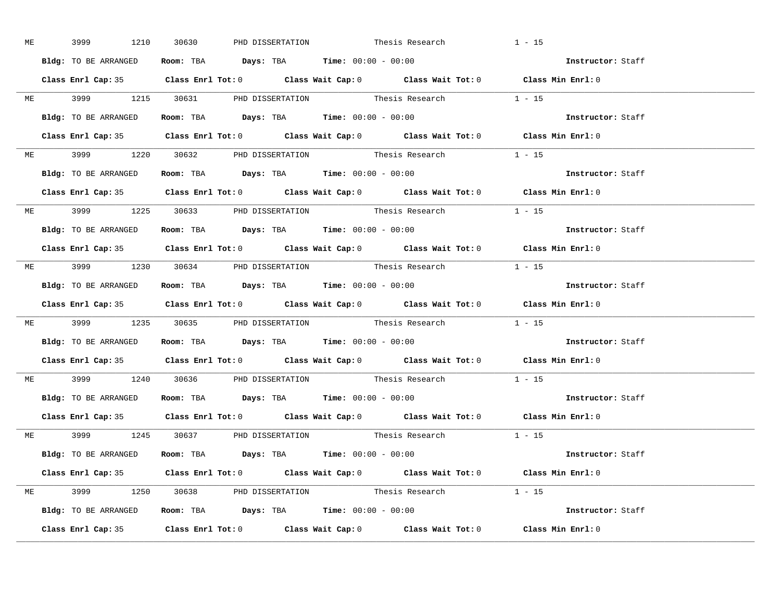|  |                      |                                                                                            | ME 3999 1210 30630 PHD DISSERTATION Thesis Research |                                                                                            | $1 - 15$          |  |
|--|----------------------|--------------------------------------------------------------------------------------------|-----------------------------------------------------|--------------------------------------------------------------------------------------------|-------------------|--|
|  | Bldg: TO BE ARRANGED | Room: TBA $\rule{1em}{0.15mm}$ Days: TBA Time: $00:00 - 00:00$                             |                                                     |                                                                                            | Instructor: Staff |  |
|  |                      |                                                                                            |                                                     | Class Enrl Cap: 35 Class Enrl Tot: 0 Class Wait Cap: 0 Class Wait Tot: 0 Class Min Enrl: 0 |                   |  |
|  |                      |                                                                                            |                                                     | ME 3999 1215 30631 PHD DISSERTATION Thesis Research 1 - 15                                 |                   |  |
|  |                      | Bldg: TO BE ARRANGED Room: TBA Days: TBA Time: 00:00 - 00:00                               |                                                     |                                                                                            | Instructor: Staff |  |
|  |                      |                                                                                            |                                                     | Class Enrl Cap: 35 Class Enrl Tot: 0 Class Wait Cap: 0 Class Wait Tot: 0 Class Min Enrl: 0 |                   |  |
|  |                      |                                                                                            |                                                     | ME 3999 1220 30632 PHD DISSERTATION Thesis Research 1 - 15                                 |                   |  |
|  |                      | Bldg: TO BE ARRANGED ROOM: TBA Days: TBA Time: 00:00 - 00:00                               |                                                     |                                                                                            | Instructor: Staff |  |
|  |                      |                                                                                            |                                                     | Class Enrl Cap: 35 Class Enrl Tot: 0 Class Wait Cap: 0 Class Wait Tot: 0 Class Min Enrl: 0 |                   |  |
|  |                      |                                                                                            |                                                     | ME 3999 1225 30633 PHD DISSERTATION Thesis Research 1 - 15                                 |                   |  |
|  | Bldg: TO BE ARRANGED | Room: TBA $Days:$ TBA $Time: 00:00 - 00:00$                                                |                                                     |                                                                                            | Instructor: Staff |  |
|  |                      |                                                                                            |                                                     | Class Enrl Cap: 35 Class Enrl Tot: 0 Class Wait Cap: 0 Class Wait Tot: 0 Class Min Enrl: 0 |                   |  |
|  |                      |                                                                                            |                                                     | ME 3999 1230 30634 PHD DISSERTATION Thesis Research 1 - 15                                 |                   |  |
|  |                      | Bldg: TO BE ARRANGED Room: TBA Days: TBA Time: 00:00 - 00:00                               |                                                     |                                                                                            | Instructor: Staff |  |
|  |                      |                                                                                            |                                                     | Class Enrl Cap: 35 Class Enrl Tot: 0 Class Wait Cap: 0 Class Wait Tot: 0 Class Min Enrl: 0 |                   |  |
|  |                      |                                                                                            |                                                     | ME 3999 1235 30635 PHD DISSERTATION Thesis Research 1 - 15                                 |                   |  |
|  |                      | Bldg: TO BE ARRANGED ROOM: TBA Days: TBA Time: 00:00 - 00:00                               |                                                     |                                                                                            | Instructor: Staff |  |
|  |                      |                                                                                            |                                                     | Class Enrl Cap: 35 Class Enrl Tot: 0 Class Wait Cap: 0 Class Wait Tot: 0 Class Min Enrl: 0 |                   |  |
|  |                      |                                                                                            |                                                     | ME 3999 1240 30636 PHD DISSERTATION Thesis Research 1 - 15                                 |                   |  |
|  |                      | Bldg: TO BE ARRANGED ROOM: TBA Days: TBA Time: 00:00 - 00:00                               |                                                     |                                                                                            | Instructor: Staff |  |
|  |                      |                                                                                            |                                                     | Class Enrl Cap: 35 Class Enrl Tot: 0 Class Wait Cap: 0 Class Wait Tot: 0 Class Min Enrl: 0 |                   |  |
|  |                      |                                                                                            |                                                     | ME 3999 1245 30637 PHD DISSERTATION Thesis Research 1 - 15                                 |                   |  |
|  |                      | <b>Bldg:</b> TO BE ARRANGED <b>Room:</b> TBA <b>Days:</b> TBA <b>Time:</b> $00:00 - 00:00$ |                                                     |                                                                                            | Instructor: Staff |  |
|  |                      |                                                                                            |                                                     | Class Enrl Cap: 35 Class Enrl Tot: 0 Class Wait Cap: 0 Class Wait Tot: 0 Class Min Enrl: 0 |                   |  |
|  |                      |                                                                                            |                                                     | ME 3999 1250 30638 PHD DISSERTATION Thesis Research 1 - 15                                 |                   |  |
|  |                      | Bldg: TO BE ARRANGED ROOM: TBA Days: TBA Time: 00:00 - 00:00                               |                                                     |                                                                                            | Instructor: Staff |  |
|  |                      |                                                                                            |                                                     | Class Enrl Cap: 35 Class Enrl Tot: 0 Class Wait Cap: 0 Class Wait Tot: 0 Class Min Enrl: 0 |                   |  |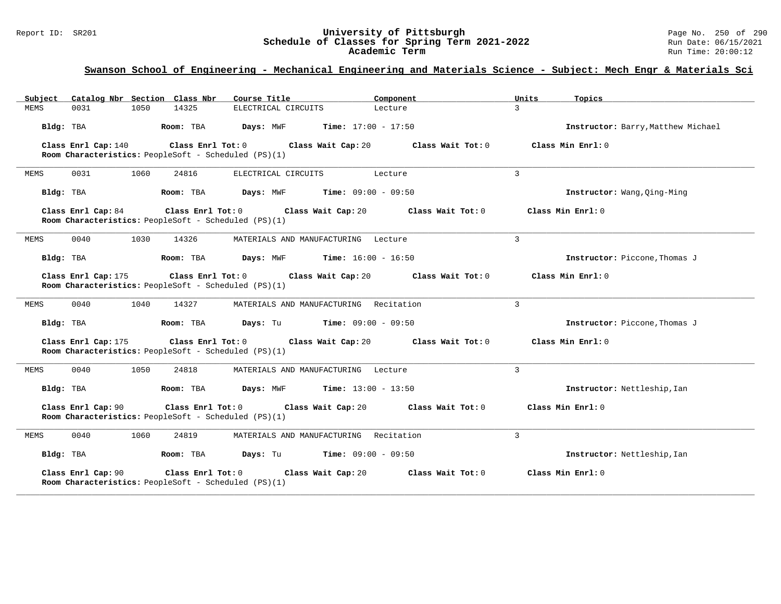#### Report ID: SR201 **University of Pittsburgh** Page No. 250 of 290 **Schedule of Classes for Spring Term 2021-2022** Run Date: 06/15/2021 **Academic Term** Run Time: 20:00:12

### **Swanson School of Engineering - Mechanical Engineering and Materials Science - Subject: Mech Engr & Materials Sci**

| Catalog Nbr Section Class Nbr<br>Subject                                                         | Course Title                                  | Component                    | Units               | Topics                             |
|--------------------------------------------------------------------------------------------------|-----------------------------------------------|------------------------------|---------------------|------------------------------------|
| MEMS<br>0031<br>1050<br>14325                                                                    | ELECTRICAL CIRCUITS                           | Lecture                      | 3                   |                                    |
| Bldg: TBA<br>Room: TBA                                                                           | Days: MWF                                     | <b>Time:</b> $17:00 - 17:50$ |                     | Instructor: Barry, Matthew Michael |
| Class Enrl Cap: 140<br>Class Enrl Tot: 0<br>Room Characteristics: PeopleSoft - Scheduled (PS)(1) | Class Wait Cap: 20                            | Class Wait Tot: 0            | Class Min $Enrl: 0$ |                                    |
| 0031<br>1060<br>MEMS<br>24816                                                                    | ELECTRICAL CIRCUITS                           | Lecture                      | 3                   |                                    |
| Bldg: TBA<br>Room: TBA                                                                           | <b>Days:</b> MWF <b>Time:</b> $09:00 - 09:50$ |                              |                     | Instructor: Wang, Qing-Ming        |
| Class Enrl Cap: 84<br>Room Characteristics: PeopleSoft - Scheduled (PS)(1)                       | $Class$ $Enr1$ $Tot: 0$<br>Class Wait Cap: 20 | Class Wait Tot: 0            | Class Min $Enr1: 0$ |                                    |
| MEMS<br>0040<br>1030<br>14326                                                                    | MATERIALS AND MANUFACTURING Lecture           |                              | 3                   |                                    |
| Bldg: TBA<br>Room: TBA                                                                           | <b>Days:</b> MWF <b>Time:</b> $16:00 - 16:50$ |                              |                     | Instructor: Piccone, Thomas J      |
| Class Enrl Cap: 175<br>Room Characteristics: PeopleSoft - Scheduled (PS)(1)                      | Class Enrl Tot: 0 Class Wait Cap: 20          | Class Wait Tot: 0            | Class Min Enrl: 0   |                                    |
| 0040<br>1040<br>MEMS<br>14327                                                                    | MATERIALS AND MANUFACTURING Recitation        |                              | $\mathcal{L}$       |                                    |
| Bldg: TBA<br>Room: TBA                                                                           | <b>Days:</b> Tu <b>Time:</b> $09:00 - 09:50$  |                              |                     | Instructor: Piccone, Thomas J      |
| Class Enrl Cap: 175<br>Class Enrl Tot: 0<br>Room Characteristics: PeopleSoft - Scheduled (PS)(1) | Class Wait Cap: 20                            | Class Wait Tot: 0            | Class Min Enrl: 0   |                                    |
| 0040<br>1050<br>24818<br>MEMS                                                                    | MATERIALS AND MANUFACTURING Lecture           |                              | 3                   |                                    |
| Bldg: TBA<br>Room: TBA                                                                           | Days: MWF                                     | <b>Time:</b> $13:00 - 13:50$ |                     | Instructor: Nettleship, Ian        |
| Class Enrl Cap: 90<br>Class Enrl Tot: 0<br>Room Characteristics: PeopleSoft - Scheduled (PS)(1)  | Class Wait Cap: 20                            | Class Wait Tot: 0            | Class Min Enrl: 0   |                                    |
| 0040<br><b>MEMS</b><br>1060<br>24819                                                             | MATERIALS AND MANUFACTURING Recitation        |                              | $\overline{3}$      |                                    |
| Bldg: TBA<br>Room: TBA                                                                           | Days: Tu                                      | $Time: 09:00 - 09:50$        |                     | Instructor: Nettleship, Ian        |
| Class Enrl Cap: 90<br>Class Enrl Tot: 0<br>Room Characteristics: PeopleSoft - Scheduled (PS)(1)  | Class Wait Cap: 20                            | Class Wait Tot: 0            | Class Min Enrl: 0   |                                    |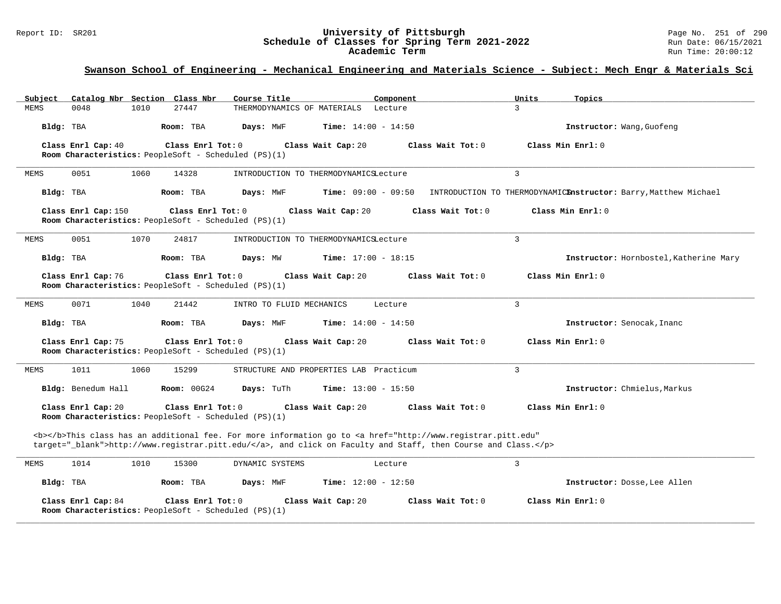#### Report ID: SR201 **University of Pittsburgh** Page No. 251 of 290 **Schedule of Classes for Spring Term 2021-2022** Run Date: 06/15/2021 **Academic Term** Run Time: 20:00:12

# **Swanson School of Engineering - Mechanical Engineering and Materials Science - Subject: Mech Engr & Materials Sci**

| Subject   |                                                                                                                                                                        |      | Catalog Nbr Section Class Nbr                                             | Course Title                | Component                                                                                                                                                                                                                          |                   | Units         | Topics                                                          |  |  |
|-----------|------------------------------------------------------------------------------------------------------------------------------------------------------------------------|------|---------------------------------------------------------------------------|-----------------------------|------------------------------------------------------------------------------------------------------------------------------------------------------------------------------------------------------------------------------------|-------------------|---------------|-----------------------------------------------------------------|--|--|
| MEMS      | 0048                                                                                                                                                                   | 1010 | 27447                                                                     | THERMODYNAMICS OF MATERIALS | Lecture                                                                                                                                                                                                                            |                   | $\mathcal{L}$ |                                                                 |  |  |
| Bldg: TBA |                                                                                                                                                                        |      | Room: TBA                                                                 | Days: MWF                   | <b>Time:</b> $14:00 - 14:50$                                                                                                                                                                                                       |                   |               | Instructor: Wang, Guofeng                                       |  |  |
|           | Class Enrl Cap: 40                                                                                                                                                     |      | Class Enrl Tot: 0<br>Room Characteristics: PeopleSoft - Scheduled (PS)(1) |                             | Class Wait Cap: 20                                                                                                                                                                                                                 | Class Wait Tot: 0 |               | Class Min Enrl: 0                                               |  |  |
| MEMS      | 0051                                                                                                                                                                   | 1060 | 14328                                                                     |                             | INTRODUCTION TO THERMODYNAMICSLecture                                                                                                                                                                                              |                   | 3             |                                                                 |  |  |
| Bldg: TBA |                                                                                                                                                                        |      | Room: TBA                                                                 | Days: MWF                   | <b>Time:</b> $09:00 - 09:50$                                                                                                                                                                                                       |                   |               | INTRODUCTION TO THERMODYNAMICEnstructor: Barry, Matthew Michael |  |  |
|           | Class Enrl Cap: 150                                                                                                                                                    |      | Class Enrl Tot: 0                                                         |                             | Class Wait Cap: 20                                                                                                                                                                                                                 | Class Wait Tot: 0 |               | Class Min $Enrl: 0$                                             |  |  |
|           |                                                                                                                                                                        |      | Room Characteristics: PeopleSoft - Scheduled (PS)(1)                      |                             |                                                                                                                                                                                                                                    |                   |               |                                                                 |  |  |
| MEMS      | 0051                                                                                                                                                                   | 1070 | 24817                                                                     |                             | INTRODUCTION TO THERMODYNAMICSLecture                                                                                                                                                                                              |                   | 3             |                                                                 |  |  |
| Bldg: TBA |                                                                                                                                                                        |      | Room: TBA                                                                 | Days: MW                    | <b>Time:</b> $17:00 - 18:15$                                                                                                                                                                                                       |                   |               | Instructor: Hornbostel, Katherine Mary                          |  |  |
|           | Class Enrl Cap: 76<br>Class Enrl Tot: 0<br>Class Wait Cap: 20<br>Class Wait Tot: 0<br>Class Min Enrl: 0<br><b>Room Characteristics:</b> PeopleSoft - Scheduled (PS)(1) |      |                                                                           |                             |                                                                                                                                                                                                                                    |                   |               |                                                                 |  |  |
| MEMS      | 0071                                                                                                                                                                   | 1040 | 21442                                                                     | INTRO TO FLUID MECHANICS    | Lecture                                                                                                                                                                                                                            |                   | 3             |                                                                 |  |  |
| Bldg: TBA |                                                                                                                                                                        |      | Room: TBA                                                                 | Days: MWF                   | <b>Time:</b> $14:00 - 14:50$                                                                                                                                                                                                       |                   |               | Instructor: Senocak, Inanc                                      |  |  |
|           | Class Enrl Cap: 75                                                                                                                                                     |      | Class Enrl Tot: 0<br>Room Characteristics: PeopleSoft - Scheduled (PS)(1) |                             | Class Wait Cap: 20                                                                                                                                                                                                                 | Class Wait Tot: 0 |               | Class Min Enrl: 0                                               |  |  |
| MEMS      | 1011                                                                                                                                                                   | 1060 | 15299                                                                     |                             | STRUCTURE AND PROPERTIES LAB Practicum                                                                                                                                                                                             |                   | 3             |                                                                 |  |  |
|           | Bldg: Benedum Hall                                                                                                                                                     |      | Room: 00G24                                                               | Days: TuTh                  | <b>Time:</b> $13:00 - 15:50$                                                                                                                                                                                                       |                   |               | Instructor: Chmielus, Markus                                    |  |  |
|           | Class Enrl Cap: 20                                                                                                                                                     |      | Class Enrl Tot: 0<br>Room Characteristics: PeopleSoft - Scheduled (PS)(1) |                             | Class Wait Cap: 20                                                                                                                                                                                                                 | Class Wait Tot: 0 |               | Class Min $Enr1: 0$                                             |  |  |
|           |                                                                                                                                                                        |      |                                                                           |                             | <b></b> This class has an additional fee. For more information go to <a <br="" href="http://www.registrar.pitt.edu">target="_blank"&gt;http://www.registrar.pitt.edu/</a> , and click on Faculty and Staff, then Course and Class. |                   |               |                                                                 |  |  |
| MEMS      | 1014                                                                                                                                                                   | 1010 | 15300                                                                     | DYNAMIC SYSTEMS             | Lecture                                                                                                                                                                                                                            |                   | 3             |                                                                 |  |  |
| Bldg: TBA |                                                                                                                                                                        |      | Room: TBA                                                                 | Days: MWF                   | Time: $12:00 - 12:50$                                                                                                                                                                                                              |                   |               | Instructor: Dosse, Lee Allen                                    |  |  |
|           | Class Enrl Cap: 84                                                                                                                                                     |      | Class Enrl Tot: 0<br>Room Characteristics: PeopleSoft - Scheduled (PS)(1) |                             | Class Wait Cap: 20                                                                                                                                                                                                                 | Class Wait Tot: 0 |               | Class Min Enrl: 0                                               |  |  |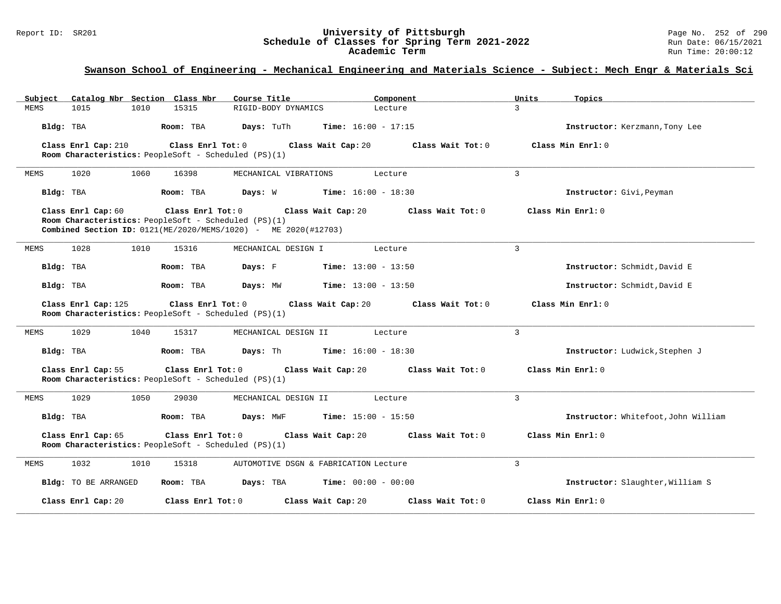# Report ID: SR201 **1998 Mixersity of Pittsburgh University of Pittsburgh** Page No. 252 of 290 **Schedule of Classes for Spring Term 2021-2022** Page No. 252 of 290 Run Date: 06/15/2021 Schedule of Classes for Spring Term 2021-2022<br>**Academic Term**

**Academic Term** Run Time: 20:00:12

### **Swanson School of Engineering - Mechanical Engineering and Materials Science - Subject: Mech Engr & Materials Sci**

| Subject     |                      |      | Catalog Nbr Section Class Nbr | Course Title                                                                                                           | Component                             |                   | Units          | Topics                              |
|-------------|----------------------|------|-------------------------------|------------------------------------------------------------------------------------------------------------------------|---------------------------------------|-------------------|----------------|-------------------------------------|
| <b>MEMS</b> | 1015                 | 1010 | 15315                         | RIGID-BODY DYNAMICS                                                                                                    | Lecture                               |                   | 3              |                                     |
| Bldg: TBA   |                      |      | Room: TBA                     | Days: TuTh                                                                                                             | <b>Time:</b> $16:00 - 17:15$          |                   |                | Instructor: Kerzmann, Tony Lee      |
|             | Class Enrl Cap: 210  |      | Class Enrl Tot: 0             | Room Characteristics: PeopleSoft - Scheduled (PS)(1)                                                                   | Class Wait Cap: 20                    | Class Wait Tot: 0 |                | Class Min Enrl: 0                   |
| <b>MEMS</b> | 1020                 | 1060 | 16398                         | MECHANICAL VIBRATIONS                                                                                                  | Lecture                               |                   | $\overline{3}$ |                                     |
| Bldg: TBA   |                      |      | Room: TBA                     | Days: W                                                                                                                | <b>Time:</b> $16:00 - 18:30$          |                   |                | Instructor: Givi, Peyman            |
|             | Class Enrl Cap: 60   |      | Class $Enrl$ Tot: $0$         | Room Characteristics: PeopleSoft - Scheduled (PS)(1)<br>Combined Section ID: 0121(ME/2020/MEMS/1020) - ME 2020(#12703) | Class Wait Cap: 20                    | Class Wait Tot: 0 |                | Class Min $Enr1: 0$                 |
| MEMS        | 1028                 | 1010 | 15316                         | MECHANICAL DESIGN I                                                                                                    | Lecture                               |                   | 3              |                                     |
| Bldg: TBA   |                      |      | Room: TBA                     | Days: F                                                                                                                | <b>Time:</b> $13:00 - 13:50$          |                   |                | Instructor: Schmidt, David E        |
| Bldg: TBA   |                      |      | Room: TBA                     | Days: MW                                                                                                               | <b>Time:</b> $13:00 - 13:50$          |                   |                | Instructor: Schmidt, David E        |
|             | Class Enrl Cap: 125  |      | Class Enrl Tot: 0             | Room Characteristics: PeopleSoft - Scheduled (PS)(1)                                                                   | Class Wait Cap: 20                    | Class Wait Tot: 0 |                | Class Min Enrl: 0                   |
| <b>MEMS</b> | 1029                 | 1040 | 15317                         | MECHANICAL DESIGN II                                                                                                   | Lecture                               |                   | 3              |                                     |
| Bldg: TBA   |                      |      | Room: TBA                     | Days: Th                                                                                                               | <b>Time:</b> $16:00 - 18:30$          |                   |                | Instructor: Ludwick, Stephen J      |
|             | Class Enrl Cap: 55   |      | Class Enrl Tot: 0             | Room Characteristics: PeopleSoft - Scheduled (PS)(1)                                                                   | Class Wait Cap: 20                    | Class Wait Tot: 0 |                | Class Min Enrl: 0                   |
| MEMS        | 1029                 | 1050 | 29030                         | MECHANICAL DESIGN II                                                                                                   | Lecture                               |                   | $\overline{3}$ |                                     |
| Bldg: TBA   |                      |      | Room: TBA                     | Days: MWF                                                                                                              | <b>Time:</b> $15:00 - 15:50$          |                   |                | Instructor: Whitefoot, John William |
|             | Class Enrl Cap: 65   |      | Class Enrl Tot: 0             | Room Characteristics: PeopleSoft - Scheduled (PS)(1)                                                                   | Class Wait Cap: 20                    | Class Wait Tot: 0 |                | Class Min Enrl: 0                   |
| MEMS        | 1032                 | 1010 | 15318                         |                                                                                                                        | AUTOMOTIVE DSGN & FABRICATION Lecture |                   | 3              |                                     |
|             | Bldg: TO BE ARRANGED |      | Room: TBA                     | Days: TBA                                                                                                              | <b>Time:</b> $00:00 - 00:00$          |                   |                | Instructor: Slaughter, William S    |
|             | Class Enrl Cap: 20   |      | Class Enrl Tot: 0             |                                                                                                                        | Class Wait Cap: 20                    | Class Wait Tot: 0 |                | Class Min Enrl: 0                   |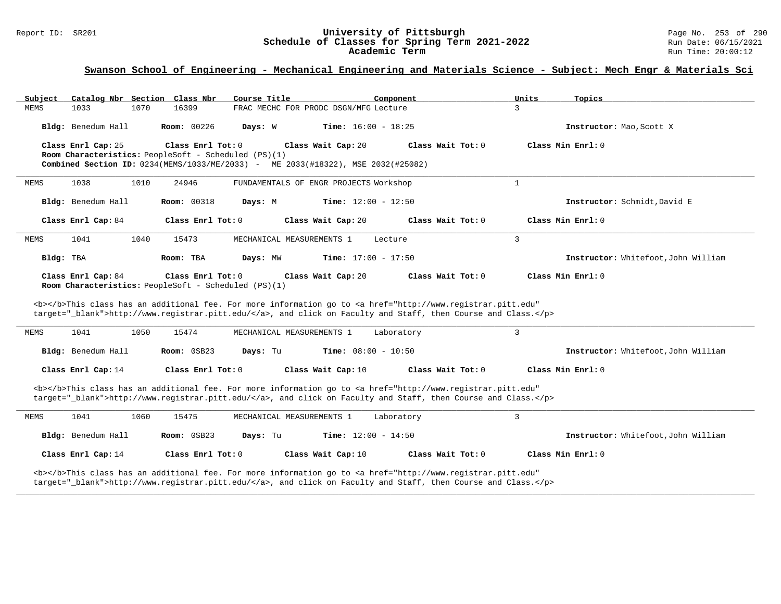# Report ID: SR201 **1998** Consequence of Classes for Spring Term 2021-2022 Page No. 253 of 290 Page No. 253 of 290<br>Schedule of Classes for Spring Term 2021-2022 Schedule of Classes for Spring Term 2021-2022<br>Academic Term

### **Swanson School of Engineering - Mechanical Engineering and Materials Science - Subject: Mech Engr & Materials Sci**

| Catalog Nbr Section Class Nbr<br>Subject                                   | Course Title                                                                                                                                                                                                                       | Component<br>Units           | Topics                              |
|----------------------------------------------------------------------------|------------------------------------------------------------------------------------------------------------------------------------------------------------------------------------------------------------------------------------|------------------------------|-------------------------------------|
| <b>MEMS</b><br>1033<br>1070                                                | 16399<br>FRAC MECHC FOR PRODC DSGN/MFG Lecture                                                                                                                                                                                     | 3                            |                                     |
| Bldg: Benedum Hall                                                         | <b>Room:</b> 00226<br>Days: W                                                                                                                                                                                                      | <b>Time:</b> $16:00 - 18:25$ | Instructor: Mao, Scott X            |
| Class Enrl Cap: 25                                                         | Class Enrl Tot: $0$<br>Class Wait Cap: 20                                                                                                                                                                                          | Class Wait Tot: 0            | Class Min $Enr1: 0$                 |
| Room Characteristics: PeopleSoft - Scheduled (PS)(1)                       | Combined Section ID: 0234(MEMS/1033/ME/2033) - ME 2033(#18322), MSE 2032(#25082)                                                                                                                                                   |                              |                                     |
|                                                                            |                                                                                                                                                                                                                                    |                              |                                     |
| 1010<br><b>MEMS</b><br>1038                                                | 24946<br>FUNDAMENTALS OF ENGR PROJECTS Workshop                                                                                                                                                                                    | $\mathbf{1}$                 |                                     |
| Bldg: Benedum Hall                                                         | Room: 00318<br>Days: M                                                                                                                                                                                                             | <b>Time:</b> $12:00 - 12:50$ | Instructor: Schmidt, David E        |
| Class Enrl Cap: 84                                                         | Class Enrl Tot: 0<br>Class Wait Cap: 20                                                                                                                                                                                            | Class Wait Tot: 0            | Class Min Enrl: 0                   |
| 1041<br>1040<br><b>MEMS</b>                                                | MECHANICAL MEASUREMENTS 1<br>15473                                                                                                                                                                                                 | 3<br>Lecture                 |                                     |
| Bldg: TBA                                                                  | Room: TBA<br>Days: MW                                                                                                                                                                                                              | <b>Time:</b> $17:00 - 17:50$ | Instructor: Whitefoot, John William |
| Class Enrl Cap: 84<br>Room Characteristics: PeopleSoft - Scheduled (PS)(1) | Class Enrl Tot: 0<br>Class Wait Cap: 20                                                                                                                                                                                            | Class Wait Tot: 0            | Class Min Enrl: 0                   |
|                                                                            | <b></b> This class has an additional fee. For more information go to <a <br="" href="http://www.registrar.pitt.edu">target="_blank"&gt;http://www.registrar.pitt.edu/</a> , and click on Faculty and Staff, then Course and Class. |                              |                                     |
| 1041<br>1050<br>MEMS                                                       | 15474<br>MECHANICAL MEASUREMENTS 1                                                                                                                                                                                                 | 3<br>Laboratory              |                                     |
| Bldg: Benedum Hall                                                         | Room: 0SB23<br>Days: Tu                                                                                                                                                                                                            | <b>Time:</b> $08:00 - 10:50$ | Instructor: Whitefoot, John William |
| Class Enrl Cap: 14                                                         | Class Enrl Tot: 0<br>Class Wait Cap: 10                                                                                                                                                                                            | Class Wait Tot: 0            | Class Min Enrl: 0                   |
|                                                                            | <b></b> This class has an additional fee. For more information go to <a <br="" href="http://www.registrar.pitt.edu">target="_blank"&gt;http://www.registrar.pitt.edu/</a> , and click on Faculty and Staff, then Course and Class. |                              |                                     |
| 1041<br>1060<br>MEMS                                                       | 15475<br>MECHANICAL MEASUREMENTS 1                                                                                                                                                                                                 | 3<br>Laboratory              |                                     |
| Bldg: Benedum Hall                                                         | Room: 0SB23<br>Days: Tu                                                                                                                                                                                                            | <b>Time:</b> $12:00 - 14:50$ | Instructor: Whitefoot, John William |
| Class Enrl Cap: 14                                                         | Class Enrl Tot: 0<br>Class Wait Cap: 10                                                                                                                                                                                            | Class Wait Tot: 0            | Class Min $Enr1: 0$                 |

**\_\_\_\_\_\_\_\_\_\_\_\_\_\_\_\_\_\_\_\_\_\_\_\_\_\_\_\_\_\_\_\_\_\_\_\_\_\_\_\_\_\_\_\_\_\_\_\_\_\_\_\_\_\_\_\_\_\_\_\_\_\_\_\_\_\_\_\_\_\_\_\_\_\_\_\_\_\_\_\_\_\_\_\_\_\_\_\_\_\_\_\_\_\_\_\_\_\_\_\_\_\_\_\_\_\_\_\_\_\_\_\_\_\_\_\_\_\_\_\_\_\_\_\_\_\_\_\_\_\_\_\_\_\_\_\_\_\_\_\_\_\_\_\_\_\_\_\_\_\_\_\_\_\_\_\_**

<b></b>This class has an additional fee. For more information go to <a href="http://www.registrar.pitt.edu" target="\_blank">http://www.registrar.pitt.edu/</a>, and click on Faculty and Staff, then Course and Class.</p>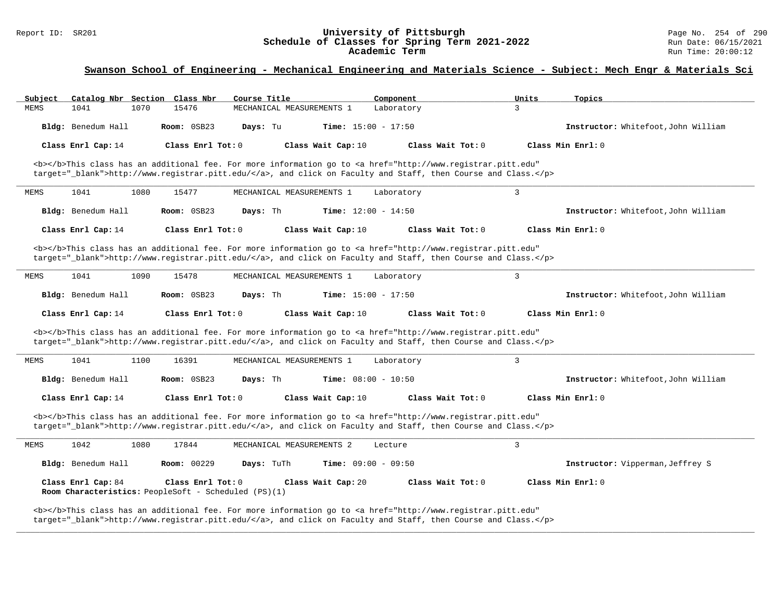#### Report ID: SR201 **University of Pittsburgh** Page No. 254 of 290 **Schedule of Classes for Spring Term 2021-2022** Run Date: 06/15/2021 **Academic Term** Run Time: 20:00:12

### **Swanson School of Engineering - Mechanical Engineering and Materials Science - Subject: Mech Engr & Materials Sci**

| Subject              | Catalog Nbr Section Class Nbr<br>Course Title                                                                                                                                                                                      | Component                    | Units<br>Topics                     |
|----------------------|------------------------------------------------------------------------------------------------------------------------------------------------------------------------------------------------------------------------------------|------------------------------|-------------------------------------|
| 1041<br>MEMS<br>1070 | 15476<br>MECHANICAL MEASUREMENTS 1                                                                                                                                                                                                 | Laboratory                   | 3                                   |
| Bldg: Benedum Hall   | Room: 0SB23<br>Days: Tu                                                                                                                                                                                                            | <b>Time:</b> $15:00 - 17:50$ | Instructor: Whitefoot, John William |
| Class Enrl Cap: 14   | Class Enrl Tot: 0<br>Class Wait Cap: 10                                                                                                                                                                                            | Class Wait Tot: 0            | Class Min Enrl: 0                   |
|                      | <b></b> This class has an additional fee. For more information go to <a <br="" href="http://www.registrar.pitt.edu">target="_blank"&gt;http://www.registrar.pitt.edu/</a> , and click on Faculty and Staff, then Course and Class. |                              |                                     |
| 1041<br>1080<br>MEMS | MECHANICAL MEASUREMENTS 1<br>15477                                                                                                                                                                                                 | Laboratory                   | $\overline{3}$                      |
| Bldg: Benedum Hall   | Days: Th<br>Room: 0SB23                                                                                                                                                                                                            | <b>Time:</b> $12:00 - 14:50$ | Instructor: Whitefoot, John William |
| Class Enrl Cap: 14   | Class Enrl Tot: 0<br>Class Wait Cap: 10                                                                                                                                                                                            | Class Wait Tot: 0            | Class Min Enrl: 0                   |
|                      | <b></b> This class has an additional fee. For more information go to <a <br="" href="http://www.registrar.pitt.edu">target="_blank"&gt;http://www.registrar.pitt.edu/</a> , and click on Faculty and Staff, then Course and Class. |                              |                                     |
| 1041<br>1090<br>MEMS | 15478<br>MECHANICAL MEASUREMENTS 1                                                                                                                                                                                                 | Laboratory                   | 3                                   |
| Bldg: Benedum Hall   | Room: 0SB23<br>Days: Th                                                                                                                                                                                                            | <b>Time:</b> $15:00 - 17:50$ | Instructor: Whitefoot, John William |
| Class Enrl Cap: 14   | Class Enrl Tot: 0<br>Class Wait Cap: 10                                                                                                                                                                                            | Class Wait Tot: 0            | Class Min Enrl: 0                   |
|                      |                                                                                                                                                                                                                                    |                              |                                     |
|                      | <b></b> This class has an additional fee. For more information go to <a <br="" href="http://www.registrar.pitt.edu">target="_blank"&gt;http://www.registrar.pitt.edu/</a> , and click on Faculty and Staff, then Course and Class. |                              |                                     |
| 1041<br>1100<br>MEMS | 16391<br>MECHANICAL MEASUREMENTS 1                                                                                                                                                                                                 | Laboratory                   | $\overline{3}$                      |
| Bldg: Benedum Hall   | Days: Th<br>Room: 0SB23                                                                                                                                                                                                            | <b>Time:</b> $08:00 - 10:50$ | Instructor: Whitefoot, John William |
| Class Enrl Cap: 14   | Class Enrl Tot: 0<br>Class Wait Cap: 10                                                                                                                                                                                            | Class Wait Tot: 0            | Class Min Enrl: 0                   |
|                      | <b></b> This class has an additional fee. For more information go to <a <br="" href="http://www.registrar.pitt.edu">target="_blank"&gt;http://www.registrar.pitt.edu/</a> , and click on Faculty and Staff, then Course and Class. |                              |                                     |
| 1042<br>1080<br>MEMS | 17844<br>MECHANICAL MEASUREMENTS 2                                                                                                                                                                                                 | Lecture                      | $\overline{3}$                      |
| Bldg: Benedum Hall   | Room: 00229<br>Days: TuTh                                                                                                                                                                                                          | Time: $09:00 - 09:50$        | Instructor: Vipperman, Jeffrey S    |
| Class Enrl Cap: 84   | Class Enrl Tot: $0$<br>Class Wait Cap: 20<br>Room Characteristics: PeopleSoft - Scheduled (PS)(1)                                                                                                                                  | Class Wait $Tot: 0$          | Class Min Enrl: 0                   |

**\_\_\_\_\_\_\_\_\_\_\_\_\_\_\_\_\_\_\_\_\_\_\_\_\_\_\_\_\_\_\_\_\_\_\_\_\_\_\_\_\_\_\_\_\_\_\_\_\_\_\_\_\_\_\_\_\_\_\_\_\_\_\_\_\_\_\_\_\_\_\_\_\_\_\_\_\_\_\_\_\_\_\_\_\_\_\_\_\_\_\_\_\_\_\_\_\_\_\_\_\_\_\_\_\_\_\_\_\_\_\_\_\_\_\_\_\_\_\_\_\_\_\_\_\_\_\_\_\_\_\_\_\_\_\_\_\_\_\_\_\_\_\_\_\_\_\_\_\_\_\_\_\_\_\_\_**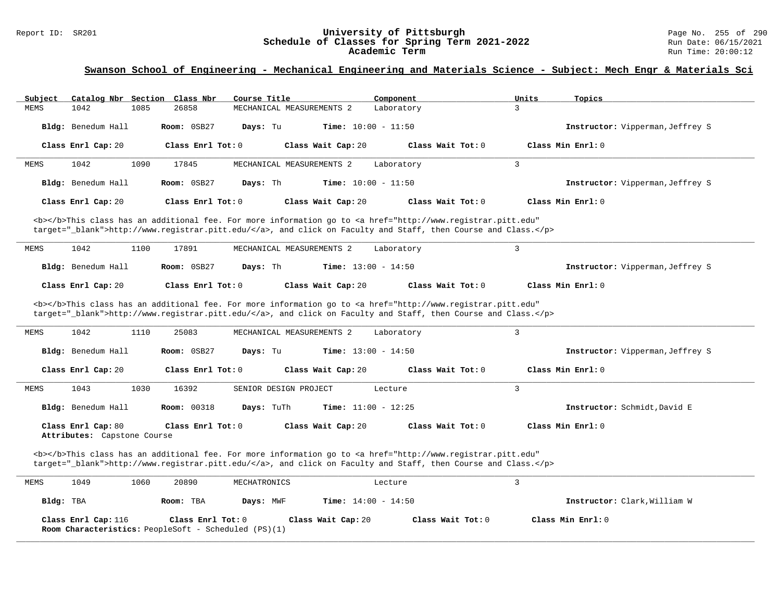# Report ID: SR201 **1988 Chedule of Classes for Spring Term 2021-2022** Page No. 255 of 290 Page No. 255 of 290 Schedule of Classes for Spring Term 2021-2022 Schedule of Classes for Spring Term 2021-2022<br>Academic Term

### **Swanson School of Engineering - Mechanical Engineering and Materials Science - Subject: Mech Engr & Materials Sci**

| Subject                                           | Catalog Nbr Section Class Nbr<br>Course Title                                                                                                                                                                                      | Component                    | Units<br>Topics                  |
|---------------------------------------------------|------------------------------------------------------------------------------------------------------------------------------------------------------------------------------------------------------------------------------------|------------------------------|----------------------------------|
| <b>MEMS</b><br>1042<br>1085                       | 26858<br>MECHANICAL MEASUREMENTS 2                                                                                                                                                                                                 | Laboratory                   | $\overline{3}$                   |
| Bldg: Benedum Hall                                | Room: 0SB27<br>Days: Tu                                                                                                                                                                                                            | <b>Time:</b> $10:00 - 11:50$ | Instructor: Vipperman, Jeffrey S |
| Class Enrl Cap: 20                                | Class Enrl Tot: 0<br>Class Wait Cap: 20                                                                                                                                                                                            | Class Wait Tot: 0            | Class Min Enrl: 0                |
| 1042<br>1090<br>MEMS                              | MECHANICAL MEASUREMENTS 2<br>17845                                                                                                                                                                                                 | Laboratory                   | $\mathbf{3}$                     |
| Bldg: Benedum Hall                                | Room: 0SB27<br>Days: Th                                                                                                                                                                                                            | <b>Time:</b> $10:00 - 11:50$ | Instructor: Vipperman, Jeffrey S |
| Class Enrl Cap: 20                                | Class Enrl Tot: 0<br>Class Wait Cap: 20                                                                                                                                                                                            | Class Wait Tot: 0            | Class Min Enrl: 0                |
|                                                   | <b></b> This class has an additional fee. For more information go to <a <br="" href="http://www.registrar.pitt.edu">target="_blank"&gt;http://www.registrar.pitt.edu/</a> , and click on Faculty and Staff, then Course and Class. |                              |                                  |
| 1042<br>1100<br><b>MEMS</b>                       | 17891<br>MECHANICAL MEASUREMENTS 2                                                                                                                                                                                                 | Laboratory                   | 3                                |
| Bldg: Benedum Hall                                | Room: 0SB27<br>Days: Th                                                                                                                                                                                                            | <b>Time:</b> $13:00 - 14:50$ | Instructor: Vipperman, Jeffrey S |
| Class Enrl Cap: 20                                | Class Enrl Tot: $0$<br>Class Wait Cap: 20                                                                                                                                                                                          | Class Wait Tot: 0            | Class Min Enrl: 0                |
|                                                   | <b></b> This class has an additional fee. For more information go to <a <br="" href="http://www.registrar.pitt.edu">target="_blank"&gt;http://www.registrar.pitt.edu/</a> , and click on Faculty and Staff, then Course and Class. |                              |                                  |
| 1042<br>1110<br><b>MEMS</b>                       | 25083<br>MECHANICAL MEASUREMENTS 2                                                                                                                                                                                                 | Laboratory                   | $\overline{3}$                   |
| Bldg: Benedum Hall                                | Room: 0SB27<br>Days: Tu                                                                                                                                                                                                            | <b>Time:</b> $13:00 - 14:50$ | Instructor: Vipperman, Jeffrey S |
| Class Enrl Cap: 20                                | Class Enrl Tot: 0<br>Class Wait Cap: 20                                                                                                                                                                                            | Class Wait Tot: $0$          | Class Min Enrl: 0                |
| 1043<br>1030<br>MEMS                              | 16392<br>SENIOR DESIGN PROJECT                                                                                                                                                                                                     | Lecture                      | $\mathbf{3}$                     |
|                                                   |                                                                                                                                                                                                                                    |                              |                                  |
| Bldg: Benedum Hall                                | <b>Room: 00318</b><br>Days: TuTh                                                                                                                                                                                                   | Time: $11:00 - 12:25$        | Instructor: Schmidt, David E     |
| Class Enrl Cap: 80<br>Attributes: Capstone Course | Class Enrl Tot: 0<br>Class Wait Cap: 20                                                                                                                                                                                            | Class Wait Tot: 0            | Class Min Enrl: 0                |
|                                                   | <b></b> This class has an additional fee. For more information go to <a <br="" href="http://www.registrar.pitt.edu">target="_blank"&gt;http://www.registrar.pitt.edu/</a> , and click on Faculty and Staff, then Course and Class. |                              |                                  |

| Class Enrl Cap: 116 | Class Enrl Tot: 0                                           | Class Wait Cap: 20 | Class Wait Tot: 0 | Class Min Enrl: 0 |
|---------------------|-------------------------------------------------------------|--------------------|-------------------|-------------------|
|                     | <b>Room Characteristics:</b> PeopleSoft - Scheduled (PS)(1) |                    |                   |                   |

**\_\_\_\_\_\_\_\_\_\_\_\_\_\_\_\_\_\_\_\_\_\_\_\_\_\_\_\_\_\_\_\_\_\_\_\_\_\_\_\_\_\_\_\_\_\_\_\_\_\_\_\_\_\_\_\_\_\_\_\_\_\_\_\_\_\_\_\_\_\_\_\_\_\_\_\_\_\_\_\_\_\_\_\_\_\_\_\_\_\_\_\_\_\_\_\_\_\_\_\_\_\_\_\_\_\_\_\_\_\_\_\_\_\_\_\_\_\_\_\_\_\_\_\_\_\_\_\_\_\_\_\_\_\_\_\_\_\_\_\_\_\_\_\_\_\_\_\_\_\_\_\_\_\_\_\_**

**Bldg:** TBA **Room:** TBA **Days:** MWF **Time:** 14:00 - 14:50 **Instructor:** Clark,William W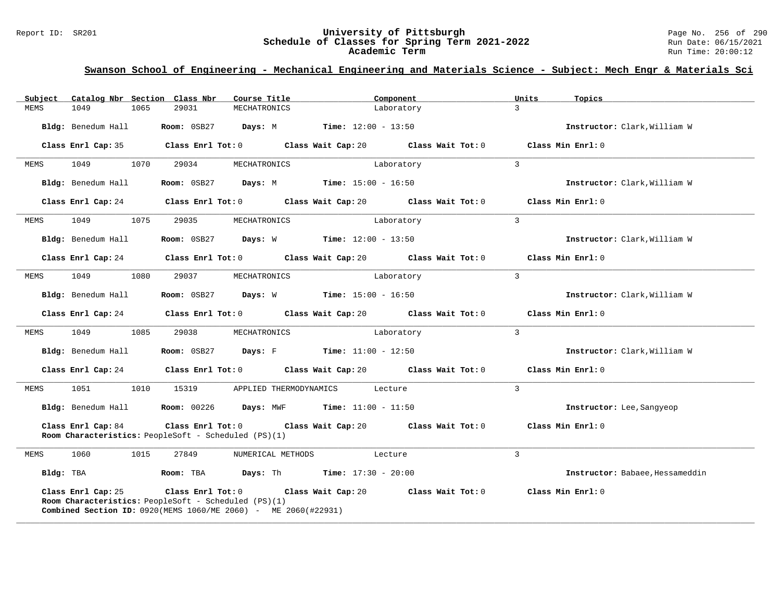#### Report ID: SR201 **University of Pittsburgh** Page No. 256 of 290 **Schedule of Classes for Spring Term 2021-2022** Run Date: 06/15/2021 **Academic Term** Run Time: 20:00:12

| Subject | Catalog Nbr Section Class Nbr | Course Title                                                                                                                              | Component                                                                                     | Units<br>Topics                 |
|---------|-------------------------------|-------------------------------------------------------------------------------------------------------------------------------------------|-----------------------------------------------------------------------------------------------|---------------------------------|
| MEMS    | 1049<br>1065                  | 29031<br>MECHATRONICS                                                                                                                     | Laboratory                                                                                    | $\mathcal{L}$                   |
|         | Bldg: Benedum Hall            | <b>Room:</b> $0SB27$ <b>Days:</b> M <b>Time:</b> $12:00 - 13:50$                                                                          |                                                                                               | Instructor: Clark, William W    |
|         | Class Enrl Cap: 35            |                                                                                                                                           | Class Enrl Tot: $0$ Class Wait Cap: $20$ Class Wait Tot: $0$                                  | Class Min Enrl: 0               |
| MEMS    | 1070<br>1049                  | 29034<br>MECHATRONICS                                                                                                                     | Laboratory                                                                                    | $\overline{3}$                  |
|         | Bldg: Benedum Hall            | <b>Room:</b> $0SB27$ <b>Days:</b> M <b>Time:</b> $15:00 - 16:50$                                                                          |                                                                                               | Instructor: Clark, William W    |
|         |                               |                                                                                                                                           | Class Enrl Cap: 24 Class Enrl Tot: 0 Class Wait Cap: 20 Class Wait Tot: 0                     | Class Min Enrl: 0               |
| MEMS    | 1049<br>1075                  | 29035<br>MECHATRONICS                                                                                                                     | Laboratory                                                                                    | $\overline{3}$                  |
|         | Bldg: Benedum Hall            | <b>Room:</b> $0SB27$ <b>Days:</b> W <b>Time:</b> $12:00 - 13:50$                                                                          |                                                                                               | Instructor: Clark, William W    |
|         |                               |                                                                                                                                           | Class Enrl Cap: 24 $\hbox{Class Enrl Tot: 0}$ Class Wait Cap: 20 $\hbox{Class Nuid: 0}$       | Class Min Enrl: 0               |
| MEMS    | 1049<br>1080                  | 29037<br>MECHATRONICS                                                                                                                     | Laboratory                                                                                    | $\mathbf{3}$                    |
|         | Bldg: Benedum Hall            | <b>Room:</b> $0SB27$ <b>Days:</b> $W$ <b>Time:</b> $15:00 - 16:50$                                                                        |                                                                                               | Instructor: Clark, William W    |
|         |                               |                                                                                                                                           | Class Enrl Cap: 24 $\,$ Class Enrl Tot: 0 $\,$ Class Wait Cap: 20 $\,$ Class Wait Tot: 0 $\,$ | Class Min Enrl: 0               |
| MEMS    | 1049<br>1085                  | 29038<br>MECHATRONICS                                                                                                                     | Laboratory                                                                                    | $\mathbf{3}$                    |
|         | Bldg: Benedum Hall            | <b>Room:</b> $0SB27$ <b>Days:</b> F <b>Time:</b> $11:00 - 12:50$                                                                          |                                                                                               | Instructor: Clark, William W    |
|         |                               |                                                                                                                                           | Class Enrl Cap: 24 Class Enrl Tot: 0 Class Wait Cap: 20 Class Wait Tot: 0                     | Class Min Enrl: 0               |
| MEMS    | 1051                          | 1010 15319<br>APPLIED THERMODYNAMICS                                                                                                      | Lecture                                                                                       | $\overline{3}$                  |
|         |                               | Bldg: Benedum Hall <b>Room:</b> 00226 <b>Days:</b> MWF                                                                                    | <b>Time:</b> $11:00 - 11:50$                                                                  | Instructor: Lee, Sangyeop       |
|         | Class Enrl Cap: 84            | Room Characteristics: PeopleSoft - Scheduled (PS)(1)                                                                                      | Class Enrl Tot: $0$ Class Wait Cap: $20$ Class Wait Tot: $0$                                  | Class Min Enrl: 0               |
| MEMS    | 1060<br>1015                  | 27849<br>NUMERICAL METHODS                                                                                                                | Lecture                                                                                       | 3                               |
|         |                               | $Bldq$ : TBA $Room$ : TBA $Days$ : Th $Time$ : 17:30 - 20:00                                                                              |                                                                                               | Instructor: Babaee, Hessameddin |
|         | Class Enrl Cap: 25            | Room Characteristics: PeopleSoft - Scheduled (PS)(1)<br><b>Combined Section ID:</b> $0920$ (MEMS $1060$ /ME $2060$ ) - ME $2060$ (#22931) | Class Enrl Tot: $0$ Class Wait Cap: $20$ Class Wait Tot: $0$                                  | Class Min $Enr1:0$              |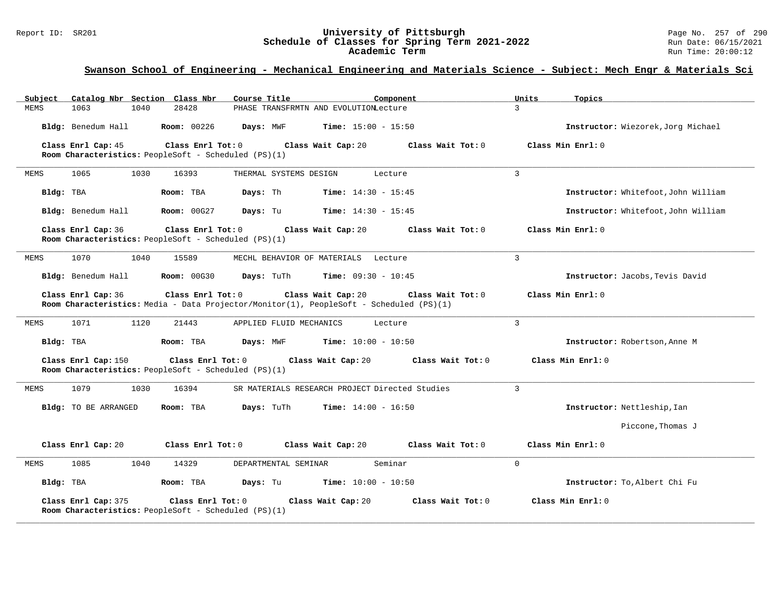#### Report ID: SR201 **University of Pittsburgh** Page No. 257 of 290 **Schedule of Classes for Spring Term 2021-2022** Run Date: 06/15/2021 **Academic Term** Run Time: 20:00:12

| Catalog Nbr Section Class Nbr<br>Subject                                                         | Course Title<br>Component                                                                                                          | Units<br>Topics                     |
|--------------------------------------------------------------------------------------------------|------------------------------------------------------------------------------------------------------------------------------------|-------------------------------------|
| 28428<br>1063<br>1040<br><b>MEMS</b>                                                             | PHASE TRANSFRMTN AND EVOLUTIONLecture                                                                                              | $\overline{3}$                      |
| Bldg: Benedum Hall<br><b>Room: 00226</b>                                                         | <b>Time:</b> $15:00 - 15:50$<br>Days: MWF                                                                                          | Instructor: Wiezorek, Jorg Michael  |
| Class Enrl Cap: 45<br>Class Enrl Tot: 0<br>Room Characteristics: PeopleSoft - Scheduled (PS)(1)  | Class Wait Cap: 20<br>Class Wait Tot: 0                                                                                            | Class Min Enrl: 0                   |
| 1030<br>1065<br>16393<br><b>MEMS</b>                                                             | THERMAL SYSTEMS DESIGN<br>Lecture                                                                                                  | $\overline{3}$                      |
| Bldg: TBA<br>Room: TBA                                                                           | Days: Th<br><b>Time:</b> $14:30 - 15:45$                                                                                           | Instructor: Whitefoot, John William |
| Bldg: Benedum Hall<br><b>Room: 00G27</b>                                                         | Days: Tu<br><b>Time:</b> $14:30 - 15:45$                                                                                           | Instructor: Whitefoot, John William |
| Class Enrl Cap: 36<br>Class Enrl Tot: 0<br>Room Characteristics: PeopleSoft - Scheduled (PS)(1)  | Class Wait Cap: 20<br>Class Wait Tot: 0                                                                                            | Class Min Enrl: 0                   |
| 1070<br>1040<br>15589<br>MEMS                                                                    | MECHL BEHAVIOR OF MATERIALS Lecture                                                                                                | $\mathbf{3}$                        |
| Bldg: Benedum Hall<br><b>Room: 00G30</b>                                                         | Days: TuTh<br><b>Time:</b> $09:30 - 10:45$                                                                                         | Instructor: Jacobs, Tevis David     |
| Class Enrl Cap: 36<br>Class Enrl Tot: 0                                                          | Class Wait Cap: 20<br>Class Wait Tot: 0<br>Room Characteristics: Media - Data Projector/Monitor(1), PeopleSoft - Scheduled (PS)(1) | Class Min Enrl: 0                   |
| 1071<br>1120<br>21443<br>MEMS                                                                    | APPLIED FLUID MECHANICS<br>Lecture                                                                                                 | 3                                   |
| Bldg: TBA<br>Room: TBA                                                                           | Days: MWF<br><b>Time:</b> $10:00 - 10:50$                                                                                          | Instructor: Robertson, Anne M       |
| Class Enrl Cap: 150<br>Class Enrl Tot: 0<br>Room Characteristics: PeopleSoft - Scheduled (PS)(1) | Class Wait Cap: 20<br>Class Wait Tot: 0                                                                                            | Class Min Enrl: 0                   |
| 1079<br>1030<br>16394<br><b>MEMS</b>                                                             | SR MATERIALS RESEARCH PROJECT Directed Studies                                                                                     | $\mathbf{3}$                        |
| Bldg: TO BE ARRANGED<br>Room: TBA                                                                | Days: TuTh<br><b>Time:</b> $14:00 - 16:50$                                                                                         | Instructor: Nettleship, Ian         |
|                                                                                                  |                                                                                                                                    | Piccone, Thomas J                   |
| Class Enrl Cap: 20<br>Class Enrl Tot: 0                                                          | Class Wait Cap: 20<br>Class Wait Tot: 0                                                                                            | Class Min $Enr1: 0$                 |
| 1085<br>1040<br>MEMS<br>14329                                                                    | Seminar<br>DEPARTMENTAL SEMINAR                                                                                                    | $\mathbf 0$                         |
| Bldg: TBA<br>Room: TBA                                                                           | <b>Time:</b> $10:00 - 10:50$<br>Days: Tu                                                                                           | Instructor: To, Albert Chi Fu       |
| Class Enrl Cap: 375<br>Class Enrl Tot: 0<br>Room Characteristics: PeopleSoft - Scheduled (PS)(1) | Class Wait Cap: 20<br>Class Wait Tot: 0                                                                                            | Class Min Enrl: 0                   |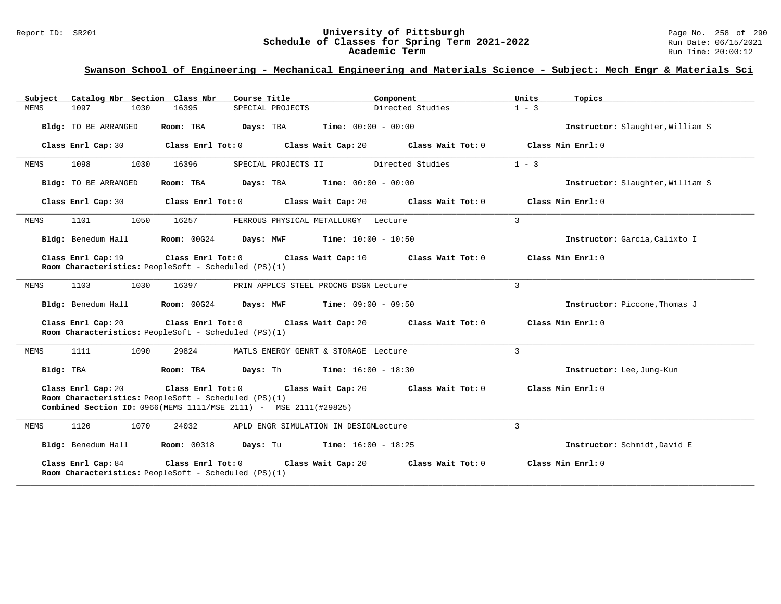#### Report ID: SR201 **University of Pittsburgh** Page No. 258 of 290 **Schedule of Classes for Spring Term 2021-2022** Run Date: 06/15/2021 **Academic Term** Run Time: 20:00:12

| Catalog Nbr Section Class Nbr<br>Subject | Course Title                                                                                                                                                     | Component                                     | Units<br>Topics                  |
|------------------------------------------|------------------------------------------------------------------------------------------------------------------------------------------------------------------|-----------------------------------------------|----------------------------------|
| 1097<br>1030<br><b>MEMS</b>              | 16395<br>SPECIAL PROJECTS                                                                                                                                        | Directed Studies                              | $1 - 3$                          |
| Bldg: TO BE ARRANGED                     | Days: TBA<br>Room: TBA                                                                                                                                           | <b>Time:</b> $00:00 - 00:00$                  | Instructor: Slaughter, William S |
| Class Enrl Cap: 30                       | Class Enrl Tot: 0                                                                                                                                                | Class Wait Cap: 20<br>Class Wait Tot: 0       | Class Min Enrl: 0                |
| 1098<br>1030<br>MEMS                     | 16396<br>SPECIAL PROJECTS II                                                                                                                                     | Directed Studies                              | $1 - 3$                          |
| Bldg: TO BE ARRANGED                     | Room: TBA                                                                                                                                                        | <b>Days:</b> TBA <b>Time:</b> $00:00 - 00:00$ | Instructor: Slaughter, William S |
| Class Enrl Cap: 30                       | Class Enrl Tot: 0                                                                                                                                                | Class Wait Cap: 20<br>Class Wait Tot: 0       | Class Min Enrl: 0                |
| 1101<br>1050<br>MEMS                     | 16257                                                                                                                                                            | FERROUS PHYSICAL METALLURGY Lecture           | 3                                |
| Bldg: Benedum Hall                       | Room: 00G24                                                                                                                                                      | <b>Days:</b> MWF <b>Time:</b> $10:00 - 10:50$ | Instructor: Garcia, Calixto I    |
| Class Enrl Cap: 19                       | Class Enrl Tot: 0<br>Room Characteristics: PeopleSoft - Scheduled (PS)(1)                                                                                        | Class Wait Tot: 0<br>Class Wait Cap: 10       | Class Min Enrl: 0                |
| 1030<br>1103<br>MEMS                     | 16397                                                                                                                                                            | PRIN APPLCS STEEL PROCNG DSGN Lecture         | 3                                |
| Bldg: Benedum Hall                       | Room: 00G24<br>Days: MWF                                                                                                                                         | <b>Time:</b> $09:00 - 09:50$                  | Instructor: Piccone, Thomas J    |
| Class Enrl Cap: 20                       | Class Enrl Tot: 0<br>Room Characteristics: PeopleSoft - Scheduled (PS)(1)                                                                                        | Class Wait Cap: 20<br>Class Wait Tot: 0       | Class Min Enrl: 0                |
| 1111<br>1090<br><b>MEMS</b>              | 29824                                                                                                                                                            | MATLS ENERGY GENRT & STORAGE Lecture          | 3                                |
| Bldg: TBA                                | Room: TBA                                                                                                                                                        | <b>Days:</b> Th <b>Time:</b> $16:00 - 18:30$  | Instructor: Lee, Jung-Kun        |
| Class Enrl Cap: 20                       | Class Enrl Tot: 0 Class Wait Cap: 20<br>Room Characteristics: PeopleSoft - Scheduled (PS)(1)<br>Combined Section ID: 0966(MEMS 1111/MSE 2111) - MSE 2111(#29825) | Class Wait Tot: 0                             | Class Min Enrl: 0                |
| 1120<br>1070<br>MEMS                     | 24032                                                                                                                                                            | APLD ENGR SIMULATION IN DESIGNLecture         | 3                                |
| Bldg: Benedum Hall                       | <b>Room: 00318</b>                                                                                                                                               | <b>Days:</b> Tu <b>Time:</b> $16:00 - 18:25$  | Instructor: Schmidt, David E     |
| Class Enrl Cap: 84                       | Class Enrl Tot: 0<br>Room Characteristics: PeopleSoft - Scheduled (PS)(1)                                                                                        | Class Wait Cap: 20<br>Class Wait $Tot: 0$     | Class Min Enrl: 0                |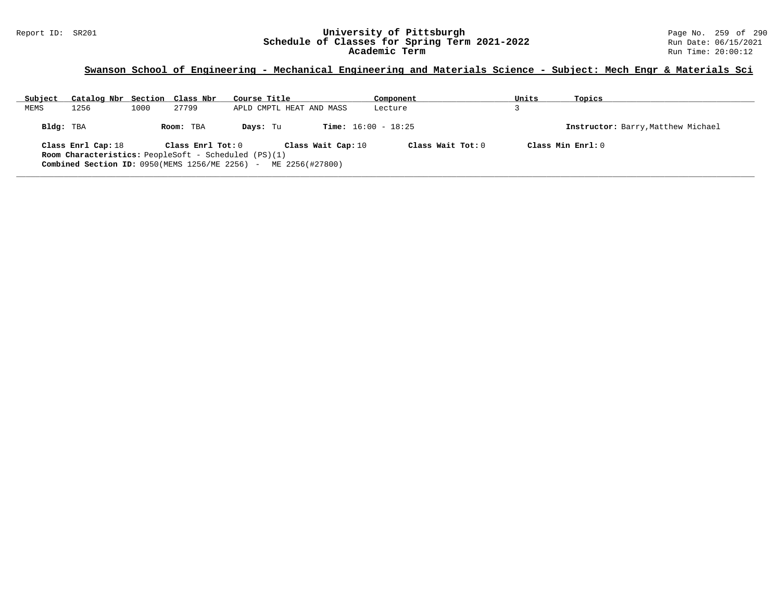#### Report ID: SR201 **University of Pittsburgh** Page No. 259 of 290 **Schedule of Classes for Spring Term 2021-2022** Run Date: 06/15/2021 **Academic Term** Run Time: 20:00:12

| Subject   | Catalog Nbr Section Class Nbr                               |      |                   | Course Title |                              | Component         | Units | Topics                             |
|-----------|-------------------------------------------------------------|------|-------------------|--------------|------------------------------|-------------------|-------|------------------------------------|
| MEMS      | 1256                                                        | 1000 | 27799             |              | APLD CMPTL HEAT AND MASS     | Lecture           |       |                                    |
| Bldg: TBA |                                                             |      | Room: TBA         | Days: Tu     | <b>Time:</b> $16:00 - 18:25$ |                   |       | Instructor: Barry, Matthew Michael |
|           | Class Enrl Cap: 18                                          |      | Class Enrl Tot: 0 |              | Class Wait Cap: 10           | Class Wait Tot: 0 |       | Class Min $Enr1:0$                 |
|           | <b>Room Characteristics:</b> PeopleSoft - Scheduled (PS)(1) |      |                   |              |                              |                   |       |                                    |
|           | Combined Section ID: $0950$ (MEMS $1256$ /ME $2256$ ) -     |      |                   |              | ME 2256(#27800)              |                   |       |                                    |
|           |                                                             |      |                   |              |                              |                   |       |                                    |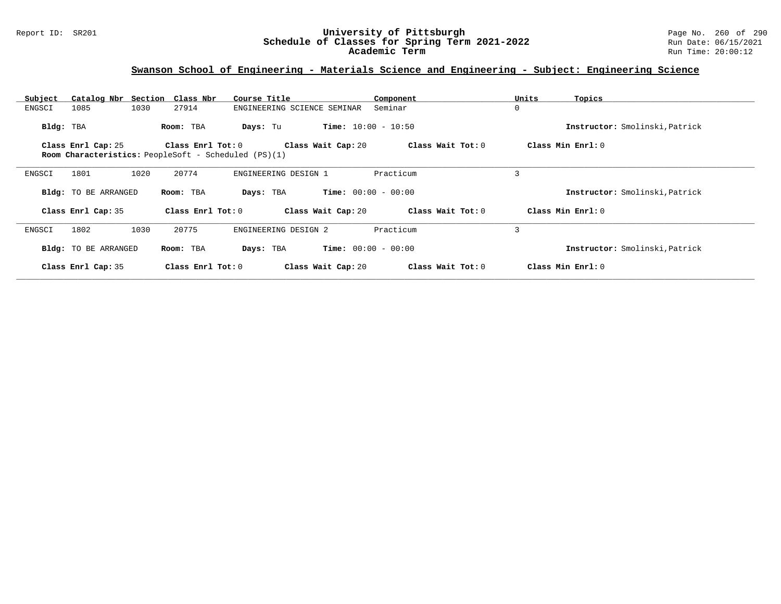#### Report ID: SR201 **University of Pittsburgh** Page No. 260 of 290 **Schedule of Classes for Spring Term 2021-2022** Run Date: 06/15/2021 **Academic Term** Run Time: 20:00:12

# **Swanson School of Engineering - Materials Science and Engineering - Subject: Engineering Science**

| Catalog Nbr Section Class Nbr<br>Subject<br>1030<br>1085<br>ENGSCI | Course Title<br>27914<br>ENGINEERING SCIENCE SEMINAR                                                   | Component<br>Seminar | Units<br>Topics<br>0           |
|--------------------------------------------------------------------|--------------------------------------------------------------------------------------------------------|----------------------|--------------------------------|
|                                                                    |                                                                                                        |                      |                                |
| Bldg: TBA                                                          | <b>Time:</b> $10:00 - 10:50$<br>Room: TBA<br>Days: Tu                                                  |                      | Instructor: Smolinski, Patrick |
| Class Enrl Cap: 25                                                 | Class Enrl Tot: 0<br>Class Wait Cap: 20<br><b>Room Characteristics:</b> PeopleSoft - Scheduled (PS)(1) | Class Wait Tot: 0    | Class Min Enrl: 0              |
| 1020<br>1801<br>ENGSCI                                             | 20774<br>ENGINEERING DESIGN 1                                                                          | Practicum            | 3                              |
| Bldg: TO BE ARRANGED                                               | <b>Time:</b> $00:00 - 00:00$<br>Room: TBA<br>Days: TBA                                                 |                      | Instructor: Smolinski, Patrick |
| Class Enrl Cap: 35                                                 | Class Wait Cap: 20<br>Class $Enr1 Tot: 0$                                                              | Class Wait Tot: 0    | Class Min Enrl: 0              |
| 1802<br>1030<br>ENGSCI                                             | 20775<br>ENGINEERING DESIGN 2                                                                          | Practicum            | 3                              |
| Bldg: TO BE ARRANGED                                               | <b>Time:</b> $00:00 - 00:00$<br>Room: TBA<br>Days: TBA                                                 |                      | Instructor: Smolinski, Patrick |
| Class Enrl Cap: 35                                                 | Class Enrl Tot: $0$<br>Class Wait Cap: 20                                                              | Class Wait Tot: 0    | Class Min Enrl: 0              |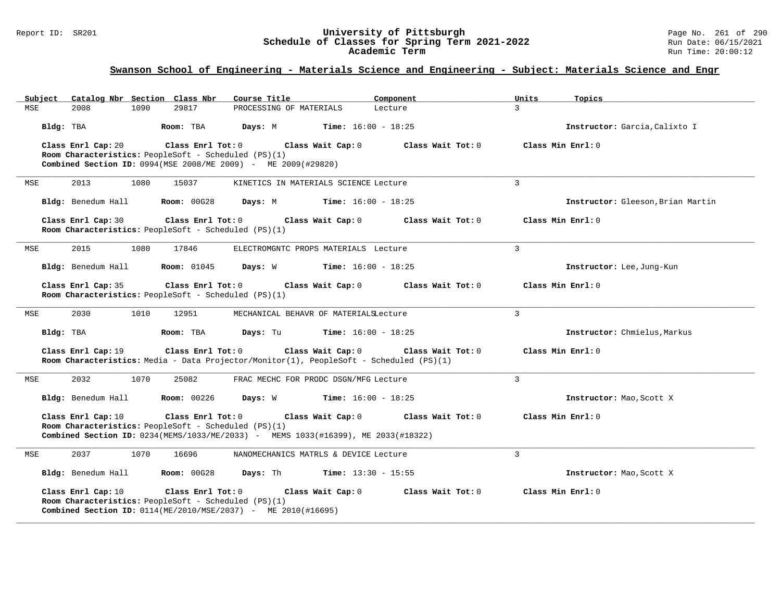#### Report ID: SR201 **University of Pittsburgh** Page No. 261 of 290 **Schedule of Classes for Spring Term 2021-2022** Run Date: 06/15/2021 **Academic Term** Run Time: 20:00:12

| Subject |                    |      | Catalog Nbr Section Class Nbr                                               | Course Title                                                    |                                                                                                              | Component         | Units         | Topics                            |
|---------|--------------------|------|-----------------------------------------------------------------------------|-----------------------------------------------------------------|--------------------------------------------------------------------------------------------------------------|-------------------|---------------|-----------------------------------|
| MSE     | 2008               | 1090 | 29817                                                                       | PROCESSING OF MATERIALS                                         | Lecture                                                                                                      |                   | $\mathcal{L}$ |                                   |
|         | Bldg: TBA          |      | Room: TBA                                                                   | Days: M                                                         | <b>Time:</b> $16:00 - 18:25$                                                                                 |                   |               | Instructor: Garcia, Calixto I     |
|         | Class Enrl Cap: 20 |      | Class Enrl Tot: 0                                                           |                                                                 | Class Wait Cap: 0                                                                                            | Class Wait Tot: 0 |               | Class Min Enrl: 0                 |
|         |                    |      | Room Characteristics: PeopleSoft - Scheduled (PS)(1)                        |                                                                 |                                                                                                              |                   |               |                                   |
|         |                    |      |                                                                             | Combined Section ID: 0994 (MSE 2008/ME 2009) - ME 2009 (#29820) |                                                                                                              |                   |               |                                   |
| MSE     | 2013               | 1080 | 15037                                                                       |                                                                 | KINETICS IN MATERIALS SCIENCE Lecture                                                                        |                   | 3             |                                   |
|         | Bldg: Benedum Hall |      | Room: 00G28                                                                 | Days: M                                                         | <b>Time:</b> $16:00 - 18:25$                                                                                 |                   |               | Instructor: Gleeson, Brian Martin |
|         | Class Enrl Cap: 30 |      | Class Enrl Tot: 0<br>Room Characteristics: PeopleSoft - Scheduled (PS)(1)   |                                                                 | Class Wait Cap: 0                                                                                            | Class Wait Tot: 0 |               | Class Min Enrl: 0                 |
| MSE     | 2015               | 1080 | 17846                                                                       |                                                                 | ELECTROMGNTC PROPS MATERIALS Lecture                                                                         |                   | $\mathbf{3}$  |                                   |
|         | Bldg: Benedum Hall |      | <b>Room: 01045</b>                                                          | Days: W                                                         | <b>Time:</b> $16:00 - 18:25$                                                                                 |                   |               | Instructor: Lee, Jung-Kun         |
|         | Class Enrl Cap: 35 |      | Class Enrl Tot: 0<br>Room Characteristics: PeopleSoft - Scheduled (PS)(1)   |                                                                 | Class Wait Cap: 0                                                                                            | Class Wait Tot: 0 |               | Class Min Enrl: 0                 |
|         |                    |      |                                                                             |                                                                 |                                                                                                              |                   |               |                                   |
| MSE     | 2030               | 1010 | 12951                                                                       |                                                                 | MECHANICAL BEHAVR OF MATERIALSLecture                                                                        |                   | 3             |                                   |
|         | Bldg: TBA          |      | Room: TBA                                                                   | Days: Tu                                                        | <b>Time:</b> $16:00 - 18:25$                                                                                 |                   |               | Instructor: Chmielus, Markus      |
|         | Class Enrl Cap: 19 |      | Class Enrl Tot: 0                                                           |                                                                 | Class Wait Cap: 0<br>Room Characteristics: Media - Data Projector/Monitor(1), PeopleSoft - Scheduled (PS)(1) | Class Wait Tot: 0 |               | Class Min Enrl: 0                 |
| MSE     | 2032               | 1070 | 25082                                                                       |                                                                 | FRAC MECHC FOR PRODC DSGN/MFG Lecture                                                                        |                   | 3             |                                   |
|         | Bldg: Benedum Hall |      | <b>Room:</b> 00226                                                          | Days: W                                                         | <b>Time:</b> $16:00 - 18:25$                                                                                 |                   |               | Instructor: Mao, Scott X          |
|         | Class Enrl Cap: 10 |      | Class Enrl Tot: 0<br>Room Characteristics: PeopleSoft - Scheduled (PS)(1)   |                                                                 | Class Wait Cap: 0<br>Combined Section ID: 0234(MEMS/1033/ME/2033) - MEMS 1033(#16399), ME 2033(#18322)       | Class Wait Tot: 0 |               | Class Min Enrl: 0                 |
| MSE     | 2037               | 1070 | 16696                                                                       |                                                                 | NANOMECHANICS MATRLS & DEVICE Lecture                                                                        |                   | 3             |                                   |
|         | Bldg: Benedum Hall |      | Room: 00G28                                                                 | Days: Th                                                        | <b>Time:</b> $13:30 - 15:55$                                                                                 |                   |               | Instructor: Mao, Scott X          |
|         | Class Enrl Cap: 10 |      | Class Enrl Tot: $0$<br>Room Characteristics: PeopleSoft - Scheduled (PS)(1) | Combined Section ID: 0114(ME/2010/MSE/2037) - ME 2010(#16695)   | Class Wait Cap: 0                                                                                            | Class Wait Tot: 0 |               | Class Min $Enrl: 0$               |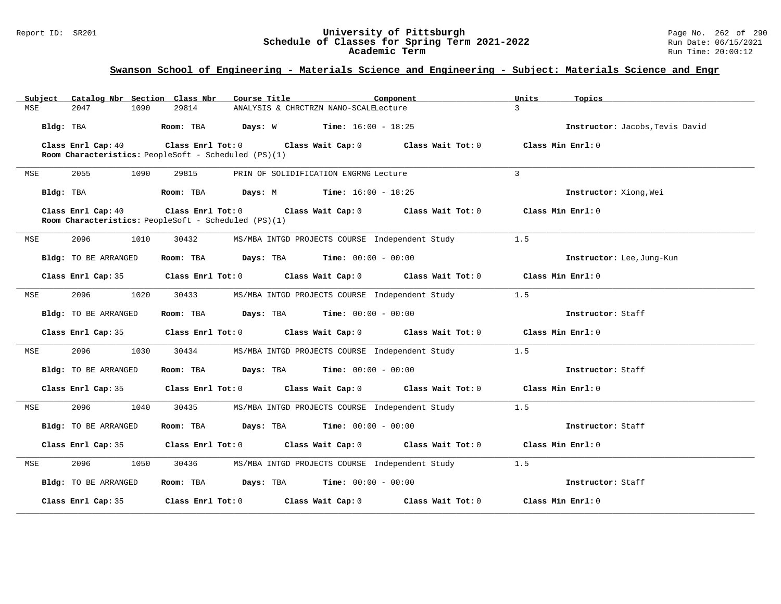#### Report ID: SR201 **University of Pittsburgh** Page No. 262 of 290 **Schedule of Classes for Spring Term 2021-2022** Run Date: 06/15/2021 **Academic Term** Run Time: 20:00:12

| Catalog Nbr Section Class Nbr<br>Subject | Course Title                                                                        | Component                                                                                                           | Units<br>Topics                 |
|------------------------------------------|-------------------------------------------------------------------------------------|---------------------------------------------------------------------------------------------------------------------|---------------------------------|
| 2047<br>1090<br>MSE                      | 29814                                                                               | ANALYSIS & CHRCTRZN NANO-SCALELecture                                                                               | $\mathcal{L}$                   |
| Bldg: TBA                                | Room: TBA $Days: W$ Time: $16:00 - 18:25$                                           |                                                                                                                     | Instructor: Jacobs, Tevis David |
| Class Enrl Cap: 40                       | Room Characteristics: PeopleSoft - Scheduled (PS)(1)                                | Class Enrl Tot: $0$ Class Wait Cap: $0$ Class Wait Tot: $0$                                                         | Class Min Enrl: 0               |
| 2055<br>1090<br>MSE                      | 29815                                                                               | PRIN OF SOLIDIFICATION ENGRNG Lecture                                                                               | $\overline{3}$                  |
| Bldg: TBA                                | <b>Room:</b> TBA <b>Days:</b> M <b>Time:</b> 16:00 - 18:25                          |                                                                                                                     | Instructor: Xiong, Wei          |
| Class Enrl Cap: 40                       | Room Characteristics: PeopleSoft - Scheduled (PS)(1)                                | Class Enrl Tot: 0 Class Wait Cap: 0 Class Wait Tot: 0 Class Min Enrl: 0                                             |                                 |
| 2096<br>1010<br>MSE                      | 30432                                                                               | MS/MBA INTGD PROJECTS COURSE Independent Study                                                                      | 1.5                             |
| Bldg: TO BE ARRANGED                     | Room: TBA $Days:$ TBA $Time: 00:00 - 00:00$                                         |                                                                                                                     | Instructor: Lee, Jung-Kun       |
|                                          |                                                                                     | Class Enrl Cap: 35 Class Enrl Tot: 0 Class Wait Cap: 0 Class Wait Tot: 0 Class Min Enrl: 0                          |                                 |
| 2096<br>1020<br>MSE                      | 30433                                                                               | MS/MBA INTGD PROJECTS COURSE Independent Study                                                                      | 1.5                             |
| Bldg: TO BE ARRANGED                     | Room: TBA $Days:$ TBA $Time: 00:00 - 00:00$                                         |                                                                                                                     | Instructor: Staff               |
|                                          |                                                                                     | Class Enrl Cap: 35 Class Enrl Tot: 0 Class Wait Cap: 0 Class Wait Tot: 0 Class Min Enrl: 0                          |                                 |
| 2096<br>1030<br>MSE                      | 30434                                                                               | MS/MBA INTGD PROJECTS COURSE Independent Study                                                                      | 1.5                             |
| Bldg: TO BE ARRANGED                     | Room: TBA $Days:$ TBA $Time: 00:00 - 00:00$                                         |                                                                                                                     | Instructor: Staff               |
|                                          |                                                                                     | Class Enrl Cap: 35 $\,$ Class Enrl Tot: 0 $\,$ Class Wait Cap: 0 $\,$ Class Wait Tot: 0 $\,$ Class Min Enrl: 0 $\,$ |                                 |
| 2096<br>1040<br>MSE                      | 30435                                                                               | MS/MBA INTGD PROJECTS COURSE Independent Study                                                                      | 1.5                             |
| <b>Bldg:</b> TO BE ARRANGED              | Room: TBA $\rule{1em}{0.15mm}$ Days: TBA $\rule{1em}{0.15mm}$ Time: $00:00 - 00:00$ |                                                                                                                     | Instructor: Staff               |
|                                          |                                                                                     | Class Enrl Cap: 35 Class Enrl Tot: 0 Class Wait Cap: 0 Class Wait Tot: 0 Class Min Enrl: 0                          |                                 |
| 2096<br>1050<br>MSE                      | 30436                                                                               | MS/MBA INTGD PROJECTS COURSE Independent Study                                                                      | 1.5                             |
| Bldg: TO BE ARRANGED                     | Room: TBA $Days:$ TBA Time: $00:00 - 00:00$                                         |                                                                                                                     | Instructor: Staff               |
| Class Enrl Cap: 35                       |                                                                                     | Class Enrl Tot: $0$ Class Wait Cap: $0$ Class Wait Tot: $0$                                                         | Class Min Enrl: 0               |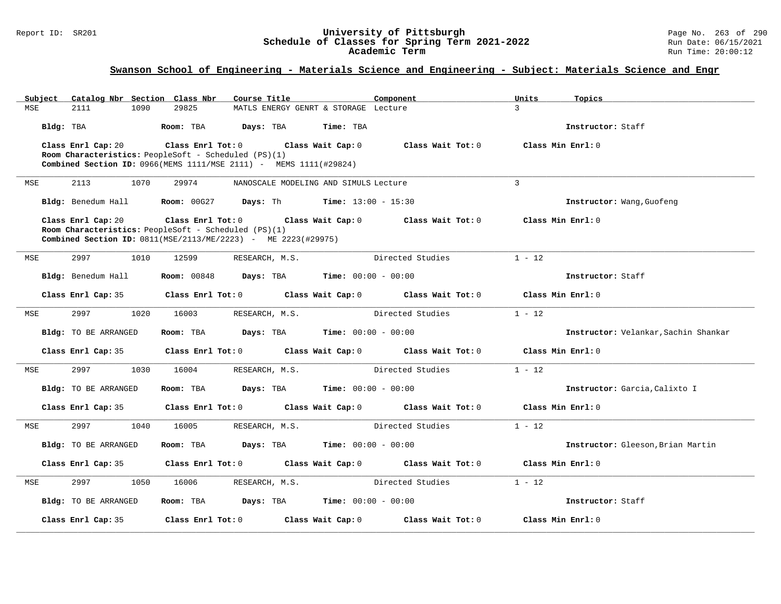#### Report ID: SR201 **University of Pittsburgh** Page No. 263 of 290 **Schedule of Classes for Spring Term 2021-2022** Run Date: 06/15/2021 **Academic Term** Run Time: 20:00:12

| Subject | Catalog Nbr Section Class Nbr                                     |                                                      | Course Title                                                   |                   | Component                                             | Units        | Topics                               |
|---------|-------------------------------------------------------------------|------------------------------------------------------|----------------------------------------------------------------|-------------------|-------------------------------------------------------|--------------|--------------------------------------|
| MSE     | 2111<br>1090                                                      | 29825                                                | MATLS ENERGY GENRT & STORAGE Lecture                           |                   |                                                       | 3            |                                      |
|         | Bldg: TBA                                                         | Room: TBA                                            | Days: TBA                                                      | Time: TBA         |                                                       |              | Instructor: Staff                    |
|         | Class Enrl Cap: 20                                                | $\texttt{Class}$ $\texttt{Enrl}$ $\texttt{Tot:}$ $0$ | Class Wait Cap: 0                                              |                   | Class Wait Tot: 0                                     |              | Class Min Enrl: 0                    |
|         | <b>Room Characteristics:</b> PeopleSoft - Scheduled (PS)(1)       |                                                      |                                                                |                   |                                                       |              |                                      |
|         | Combined Section ID: 0966(MEMS 1111/MSE 2111) - MEMS 1111(#29824) |                                                      |                                                                |                   |                                                       |              |                                      |
| MSE     | 2113<br>1070                                                      | 29974                                                | NANOSCALE MODELING AND SIMULS Lecture                          |                   |                                                       | $\mathbf{3}$ |                                      |
|         | Bldg: Benedum Hall                                                | <b>Room: 00G27</b>                                   | <b>Days:</b> Th <b>Time:</b> $13:00 - 15:30$                   |                   |                                                       |              | Instructor: Wang, Guofeng            |
|         | Class Enrl Cap: 20                                                | $Class$ $Enr1$ $Tot: 0$                              |                                                                | Class Wait Cap: 0 | $Class$ Wait Tot: $0$                                 |              | Class Min Enrl: 0                    |
|         | Room Characteristics: PeopleSoft - Scheduled (PS)(1)              |                                                      |                                                                |                   |                                                       |              |                                      |
|         | Combined Section ID: 0811(MSE/2113/ME/2223) - ME 2223(#29975)     |                                                      |                                                                |                   |                                                       |              |                                      |
| MSE     | 2997<br>1010                                                      | 12599                                                | RESEARCH, M.S.                                                 |                   | Directed Studies                                      | $1 - 12$     |                                      |
|         | Bldg: Benedum Hall                                                |                                                      | <b>Room:</b> 00848 <b>Days:</b> TBA <b>Time:</b> 00:00 - 00:00 |                   |                                                       |              | Instructor: Staff                    |
|         | Class Enrl Cap: 35                                                | Class Enrl Tot: 0                                    | Class Wait Cap: 0                                              |                   | Class Wait Tot: 0                                     |              | Class Min Enrl: 0                    |
| MSE     | 2997<br>1020                                                      | 16003                                                | RESEARCH, M.S.                                                 |                   | Directed Studies                                      | $1 - 12$     |                                      |
|         | Bldg: TO BE ARRANGED                                              | Room: TBA                                            | $\texttt{Davis:}$ TBA $\texttt{Time:}$ 00:00 - 00:00           |                   |                                                       |              | Instructor: Velankar, Sachin Shankar |
|         | Class Enrl Cap: 35                                                |                                                      | Class Enrl Tot: 0 Class Wait Cap: 0                            |                   | Class Wait Tot: 0                                     |              | Class Min Enrl: 0                    |
| MSE     | 1030<br>2997                                                      | 16004                                                | RESEARCH, M.S.                                                 |                   | Directed Studies                                      | $1 - 12$     |                                      |
|         | Bldg: TO BE ARRANGED                                              | Room: TBA                                            | <b>Days:</b> TBA <b>Time:</b> $00:00 - 00:00$                  |                   |                                                       |              | Instructor: Garcia, Calixto I        |
|         | Class Enrl Cap: 35                                                |                                                      |                                                                |                   | Class Enrl Tot: 0 Class Wait Cap: 0 Class Wait Tot: 0 |              | Class Min Enrl: 0                    |
| MSE     | 2997<br>1040                                                      | 16005                                                | RESEARCH, M.S.                                                 |                   | Directed Studies                                      | $1 - 12$     |                                      |
|         | Bldg: TO BE ARRANGED                                              | Room: TBA                                            | $\texttt{Davis:}$ TBA $\texttt{Time:}$ 00:00 - 00:00           |                   |                                                       |              | Instructor: Gleeson, Brian Martin    |
|         | Class Enrl Cap: 35                                                | Class Enrl Tot: 0                                    |                                                                |                   | Class Wait Cap: 0 Class Wait Tot: 0                   |              | Class Min Enrl: 0                    |
| MSE     | 2997<br>1050                                                      | 16006                                                | RESEARCH, M.S.                                                 |                   | Directed Studies                                      | $1 - 12$     |                                      |
|         | Bldg: TO BE ARRANGED                                              | Room: TBA                                            | <b>Days:</b> TBA <b>Time:</b> $00:00 - 00:00$                  |                   |                                                       |              | Instructor: Staff                    |
|         | Class Enrl Cap: 35                                                | Class Enrl Tot: $0$                                  |                                                                | Class Wait Cap: 0 | Class Wait $Tot: 0$                                   |              | Class Min Enrl: 0                    |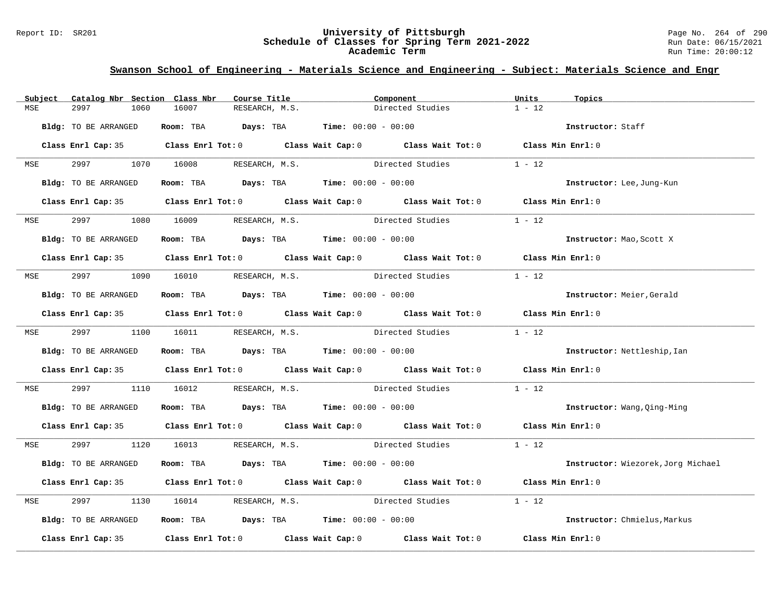#### Report ID: SR201 **University of Pittsburgh** Page No. 264 of 290 **Schedule of Classes for Spring Term 2021-2022** Run Date: 06/15/2021 **Academic Term** Run Time: 20:00:12

| Subject    | Catalog Nbr Section Class Nbr | Course Title                                | Component                                                                                  | Units<br>Topics                    |
|------------|-------------------------------|---------------------------------------------|--------------------------------------------------------------------------------------------|------------------------------------|
| MSE        | 2997<br>1060                  | 16007<br>RESEARCH, M.S.                     | Directed Studies                                                                           | $1 - 12$                           |
|            | Bldg: TO BE ARRANGED          | Room: TBA $Days:$ TBA $Time: 00:00 - 00:00$ |                                                                                            | Instructor: Staff                  |
|            |                               |                                             | Class Enrl Cap: 35 Class Enrl Tot: 0 Class Wait Cap: 0 Class Wait Tot: 0 Class Min Enrl: 0 |                                    |
| <b>MSE</b> |                               | 2997 1070 16008 RESEARCH, M.S.              | Directed Studies                                                                           | $1 - 12$                           |
|            | Bldg: TO BE ARRANGED          | Room: TBA $Days:$ TBA $Time: 00:00 - 00:00$ |                                                                                            | Instructor: Lee, Jung-Kun          |
|            |                               |                                             | Class Enrl Cap: 35 Class Enrl Tot: 0 Class Wait Cap: 0 Class Wait Tot: 0 Class Min Enrl: 0 |                                    |
| MSE        | 2997 — 200                    | 1080 16009<br>RESEARCH, M.S.                | Directed Studies                                                                           | $1 - 12$                           |
|            | Bldg: TO BE ARRANGED          | Room: TBA $Days:$ TBA Time: $00:00 - 00:00$ |                                                                                            | Instructor: Mao, Scott X           |
|            |                               |                                             | Class Enrl Cap: 35 Class Enrl Tot: 0 Class Wait Cap: 0 Class Wait Tot: 0 Class Min Enrl: 0 |                                    |
|            |                               | MSE 2997 1090 16010 RESEARCH, M.S.          | Directed Studies                                                                           | $1 - 12$                           |
|            | Bldg: TO BE ARRANGED          | Room: TBA $Days:$ TBA $Time: 00:00 - 00:00$ |                                                                                            | Instructor: Meier, Gerald          |
|            |                               |                                             | Class Enrl Cap: 35 Class Enrl Tot: 0 Class Wait Cap: 0 Class Wait Tot: 0 Class Min Enrl: 0 |                                    |
|            |                               |                                             | MSE 2997 1100 16011 RESEARCH, M.S. Directed Studies 1 - 12                                 |                                    |
|            | Bldg: TO BE ARRANGED          | Room: TBA $Days:$ TBA $Time: 00:00 - 00:00$ |                                                                                            | Instructor: Nettleship, Ian        |
|            |                               |                                             | Class Enrl Cap: 35 Class Enrl Tot: 0 Class Wait Cap: 0 Class Wait Tot: 0 Class Min Enrl: 0 |                                    |
| MSE        | 2997 — 200                    |                                             | 1110 16012 RESEARCH, M.S. Directed Studies                                                 | $1 - 12$                           |
|            | Bldg: TO BE ARRANGED          | Room: TBA $Days:$ TBA $Time: 00:00 - 00:00$ |                                                                                            | Instructor: Wang, Qing-Ming        |
|            |                               |                                             | Class Enrl Cap: 35 Class Enrl Tot: 0 Class Wait Cap: 0 Class Wait Tot: 0 Class Min Enrl: 0 |                                    |
|            |                               |                                             | MSE 2997 1120 16013 RESEARCH, M.S. Directed Studies 1 - 12                                 |                                    |
|            | Bldg: TO BE ARRANGED          | Room: TBA $Days:$ TBA $Time: 00:00 - 00:00$ |                                                                                            | Instructor: Wiezorek, Jorg Michael |
|            |                               |                                             | Class Enrl Cap: 35 Class Enrl Tot: 0 Class Wait Cap: 0 Class Wait Tot: 0 Class Min Enrl: 0 |                                    |
| MSE        | 2997                          |                                             | 1130 16014 RESEARCH, M.S. Directed Studies                                                 | $1 - 12$                           |
|            | Bldg: TO BE ARRANGED          | Room: TBA $Days:$ TBA Time: $00:00 - 00:00$ |                                                                                            | Instructor: Chmielus, Markus       |
|            |                               |                                             | Class Enrl Cap: 35 Class Enrl Tot: 0 Class Wait Cap: 0 Class Wait Tot: 0 Class Min Enrl: 0 |                                    |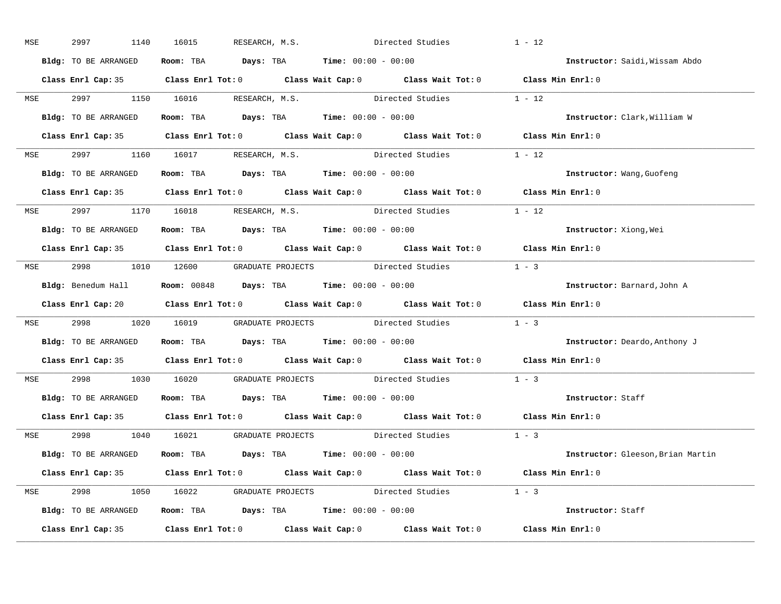| MSE        | 2997<br>1140         | RESEARCH, M.S.<br>16015                                                                                | Directed Studies | $1 - 12$                             |
|------------|----------------------|--------------------------------------------------------------------------------------------------------|------------------|--------------------------------------|
|            | Bldg: TO BE ARRANGED | Room: TBA $Days:$ TBA $Time: 00:00 - 00:00$                                                            |                  | Instructor: Saidi, Wissam Abdo       |
|            |                      | Class Enrl Cap: 35 Class Enrl Tot: 0 Class Wait Cap: 0 Class Wait Tot: 0 Class Min Enrl: 0             |                  |                                      |
|            |                      | MSE 2997 1150 16016 RESEARCH, M.S. Directed Studies 1 - 12                                             |                  |                                      |
|            | Bldg: TO BE ARRANGED | Room: TBA Days: TBA Time: $00:00 - 00:00$                                                              |                  | Instructor: Clark, William W         |
|            |                      | Class Enrl Cap: 35 Class Enrl Tot: 0 Class Wait Cap: 0 Class Wait Tot: 0 Class Min Enrl: 0             |                  |                                      |
|            |                      | MSE 2997 1160 16017 RESEARCH, M.S. Directed Studies 1 - 12                                             |                  |                                      |
|            |                      | <b>Bldg:</b> TO BE ARRANGED <b>Room:</b> TBA <b>Days:</b> TBA <b>Time:</b> $00:00 - 00:00$             |                  | Instructor: Wang, Guofeng            |
|            |                      | Class Enrl Cap: 35 Class Enrl Tot: 0 Class Wait Cap: 0 Class Wait Tot: 0 Class Min Enrl: 0             |                  |                                      |
|            |                      | MSE 2997 1170 16018 RESEARCH, M.S.                                                                     | Directed Studies | $1 - 12$                             |
|            | Bldg: TO BE ARRANGED | Room: TBA $\rule{1em}{0.15mm}$ Days: TBA Time: $00:00 - 00:00$                                         |                  | Instructor: Xiong, Wei               |
|            |                      | Class Enrl Cap: 35 Class Enrl Tot: 0 Class Wait Cap: 0 Class Wait Tot: 0 Class Min Enrl: 0             |                  |                                      |
|            |                      | MSE 2998 1010 12600 GRADUATE PROJECTS Directed Studies 1 - 3                                           |                  |                                      |
|            |                      | Bldg: Benedum Hall <b>Room:</b> 00848 <b>Days:</b> TBA <b>Time:</b> 00:00 - 00:00                      |                  | Instructor: Barnard, John A          |
|            |                      | Class Enrl Cap: 20 		 Class Enrl Tot: 0 		 Class Wait Cap: 0 		 Class Wait Tot: 0 		 Class Min Enrl: 0 |                  |                                      |
| <b>MSE</b> |                      | 2998 1020 16019 GRADUATE PROJECTS Directed Studies 1 - 3                                               |                  |                                      |
|            |                      | Bldg: TO BE ARRANGED Room: TBA Days: TBA Time: 00:00 - 00:00                                           |                  | <b>Instructor:</b> Deardo, Anthony J |
|            |                      | Class Enrl Cap: 35 Class Enrl Tot: 0 Class Wait Cap: 0 Class Wait Tot: 0 Class Min Enrl: 0             |                  |                                      |
| <b>MSE</b> |                      | 2998 1030 16020 GRADUATE PROJECTS Directed Studies                                                     |                  | $1 - 3$                              |
|            |                      | Bldg: TO BE ARRANGED Room: TBA Days: TBA Time: 00:00 - 00:00                                           |                  | Instructor: Staff                    |
|            |                      | Class Enrl Cap: 35 Class Enrl Tot: 0 Class Wait Cap: 0 Class Wait Tot: 0 Class Min Enrl: 0             |                  |                                      |
|            |                      | MSE 2998 1040 16021 GRADUATE PROJECTS Directed Studies 1 - 3                                           |                  |                                      |
|            | Bldg: TO BE ARRANGED | Room: TBA $Days:$ TBA Time: $00:00 - 00:00$                                                            |                  | Instructor: Gleeson, Brian Martin    |
|            |                      | Class Enrl Cap: 35 Class Enrl Tot: 0 Class Wait Cap: 0 Class Wait Tot: 0 Class Min Enrl: 0             |                  |                                      |
|            |                      | MSE 2998 1050 16022 GRADUATE PROJECTS Directed Studies 1 - 3                                           |                  |                                      |
|            |                      | Bldg: TO BE ARRANGED Room: TBA Days: TBA Time: 00:00 - 00:00                                           |                  | Instructor: Staff                    |
|            |                      | Class Enrl Cap: 35 Class Enrl Tot: 0 Class Wait Cap: 0 Class Wait Tot: 0 Class Min Enrl: 0             |                  |                                      |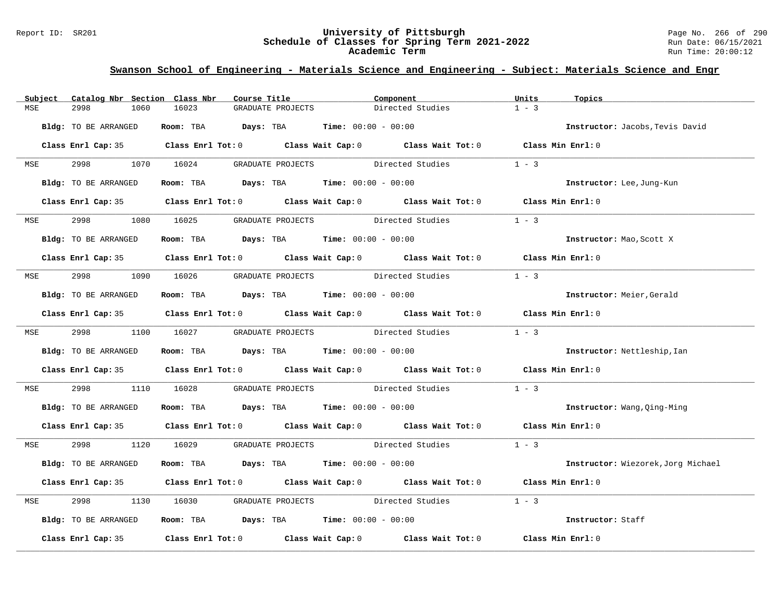#### Report ID: SR201 **University of Pittsburgh** Page No. 266 of 290 **Schedule of Classes for Spring Term 2021-2022** Run Date: 06/15/2021 **Academic Term** Run Time: 20:00:12

| Subject    | Catalog Nbr Section Class Nbr | Course Title                                                                            | Component                                                                                  | Units<br>Topics                    |
|------------|-------------------------------|-----------------------------------------------------------------------------------------|--------------------------------------------------------------------------------------------|------------------------------------|
| MSE        | 2998<br>1060                  | 16023<br>GRADUATE PROJECTS                                                              | Directed Studies                                                                           | $1 - 3$                            |
|            | Bldg: TO BE ARRANGED          | Room: TBA $Days:$ TBA $Time: 00:00 - 00:00$                                             |                                                                                            | Instructor: Jacobs, Tevis David    |
|            |                               |                                                                                         | Class Enrl Cap: 35 Class Enrl Tot: 0 Class Wait Cap: 0 Class Wait Tot: 0 Class Min Enrl: 0 |                                    |
|            | MSE 2998 1070 16024           |                                                                                         | GRADUATE PROJECTS Directed Studies                                                         | $1 - 3$                            |
|            | Bldg: TO BE ARRANGED          | Room: TBA $Days: TBA$ Time: $00:00 - 00:00$                                             |                                                                                            | Instructor: Lee, Jung-Kun          |
|            |                               |                                                                                         | Class Enrl Cap: 35 Class Enrl Tot: 0 Class Wait Cap: 0 Class Wait Tot: 0 Class Min Enrl: 0 |                                    |
| <b>MSE</b> |                               | 2998 1080 16025 GRADUATE PROJECTS Directed Studies                                      |                                                                                            | $1 - 3$                            |
|            | Bldg: TO BE ARRANGED          | Room: TBA $Days:$ TBA $Time: 00:00 - 00:00$                                             |                                                                                            | Instructor: Mao, Scott X           |
|            |                               |                                                                                         | Class Enrl Cap: 35 Class Enrl Tot: 0 Class Wait Cap: 0 Class Wait Tot: 0 Class Min Enrl: 0 |                                    |
|            |                               |                                                                                         | MSE 2998 1090 16026 GRADUATE PROJECTS Directed Studies                                     | $1 - 3$                            |
|            | Bldg: TO BE ARRANGED          | Room: TBA $Days:$ TBA $Time: 00:00 - 00:00$                                             |                                                                                            | Instructor: Meier, Gerald          |
|            |                               |                                                                                         | Class Enrl Cap: 35 Class Enrl Tot: 0 Class Wait Cap: 0 Class Wait Tot: 0 Class Min Enrl: 0 |                                    |
|            |                               |                                                                                         | MSE 2998 1100 16027 GRADUATE PROJECTS Directed Studies                                     | $1 - 3$                            |
|            | Bldg: TO BE ARRANGED          | Room: TBA $Days:$ TBA $Time: 00:00 - 00:00$                                             |                                                                                            | Instructor: Nettleship, Ian        |
|            |                               |                                                                                         | Class Enrl Cap: 35 Class Enrl Tot: 0 Class Wait Cap: 0 Class Wait Tot: 0 Class Min Enrl: 0 |                                    |
| MSE        | 2998                          |                                                                                         | 1110 16028 GRADUATE PROJECTS Directed Studies                                              | $1 - 3$                            |
|            | Bldg: TO BE ARRANGED          | Room: TBA $Days:$ TBA $Time: 00:00 - 00:00$                                             |                                                                                            | Instructor: Wang, Qing-Ming        |
|            |                               |                                                                                         | Class Enrl Cap: 35 Class Enrl Tot: 0 Class Wait Cap: 0 Class Wait Tot: 0 Class Min Enrl: 0 |                                    |
|            |                               |                                                                                         | MSE 2998 1120 16029 GRADUATE PROJECTS Directed Studies 1 - 3                               |                                    |
|            | Bldg: TO BE ARRANGED          | Room: TBA $Days:$ TBA $Time: 00:00 - 00:00$                                             |                                                                                            | Instructor: Wiezorek, Jorg Michael |
|            |                               |                                                                                         | Class Enrl Cap: 35 Class Enrl Tot: 0 Class Wait Cap: 0 Class Wait Tot: 0 Class Min Enrl: 0 |                                    |
| MSE        | 2998                          |                                                                                         | 1130 16030 GRADUATE PROJECTS Directed Studies                                              | $1 - 3$                            |
|            | Bldg: TO BE ARRANGED          | Room: TBA $\rule{1em}{0.15mm}$ Days: TBA $\rule{1.15mm}]{0.15mm}$ Time: $00:00 - 00:00$ |                                                                                            | Instructor: Staff                  |
|            |                               |                                                                                         | Class Enrl Cap: 35 Class Enrl Tot: 0 Class Wait Cap: 0 Class Wait Tot: 0 Class Min Enrl: 0 |                                    |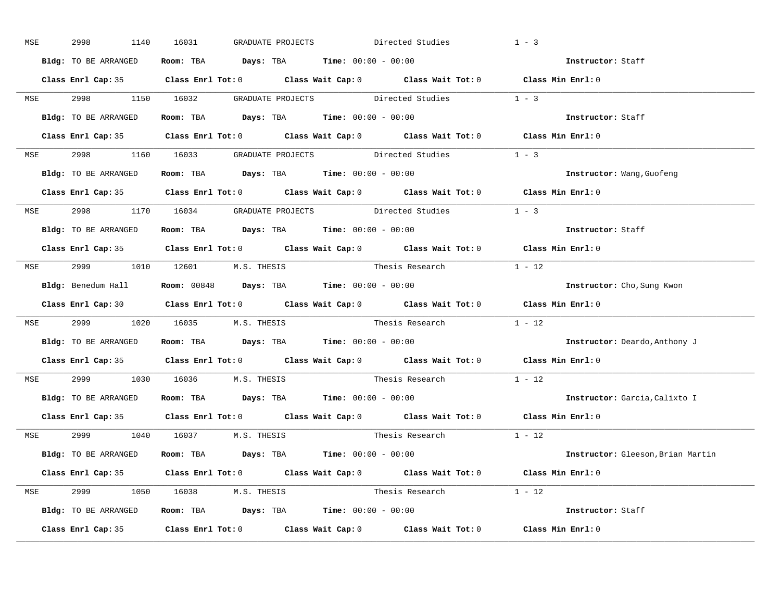| MSE        | 2998 — 100<br>1140   | 16031<br>GRADUATE PROJECTS                                                                 | $1 - 3$<br>Directed Studies |                                          |
|------------|----------------------|--------------------------------------------------------------------------------------------|-----------------------------|------------------------------------------|
|            | Bldg: TO BE ARRANGED | Room: TBA $Days:$ TBA $Time: 00:00 - 00:00$                                                |                             | Instructor: Staff                        |
|            |                      | Class Enrl Cap: 35 Class Enrl Tot: 0 Class Wait Cap: 0 Class Wait Tot: 0 Class Min Enrl: 0 |                             |                                          |
|            |                      | MSE 2998 1150 16032 GRADUATE PROJECTS Directed Studies 1 - 3                               |                             |                                          |
|            | Bldg: TO BE ARRANGED | Room: TBA $Days:$ TBA Time: $00:00 - 00:00$                                                |                             | Instructor: Staff                        |
|            |                      | Class Enrl Cap: 35 Class Enrl Tot: 0 Class Wait Cap: 0 Class Wait Tot: 0 Class Min Enrl: 0 |                             |                                          |
|            |                      | MSE 2998 1160 16033 GRADUATE PROJECTS Directed Studies 1 - 3                               |                             |                                          |
|            |                      | <b>Bldg:</b> TO BE ARRANGED <b>Room:</b> TBA <b>Days:</b> TBA <b>Time:</b> $00:00 - 00:00$ |                             | Instructor: Wang, Guofeng                |
|            |                      | Class Enrl Cap: 35 Class Enrl Tot: 0 Class Wait Cap: 0 Class Wait Tot: 0 Class Min Enrl: 0 |                             |                                          |
|            |                      | MSE 2998 1170 16034 GRADUATE PROJECTS Directed Studies                                     | $1 - 3$                     |                                          |
|            | Bldg: TO BE ARRANGED | Room: TBA $Days:$ TBA $Time: 00:00 - 00:00$                                                |                             | Instructor: Staff                        |
|            |                      | Class Enrl Cap: 35 Class Enrl Tot: 0 Class Wait Cap: 0 Class Wait Tot: 0 Class Min Enrl: 0 |                             |                                          |
|            |                      | MSE 2999 1010 12601 M.S. THESIS Thesis Research 1 - 12                                     |                             |                                          |
|            |                      | Bldg: Benedum Hall <b>Room:</b> 00848 <b>Days:</b> TBA <b>Time:</b> 00:00 - 00:00          |                             | Instructor: Cho, Sung Kwon               |
|            |                      | Class Enrl Cap: 30 Class Enrl Tot: 0 Class Wait Cap: 0 Class Wait Tot: 0 Class Min Enrl: 0 |                             |                                          |
|            |                      | MSE 2999 1020 16035 M.S. THESIS Thesis Research 1 - 12                                     |                             |                                          |
|            |                      | Bldg: TO BE ARRANGED Room: TBA Days: TBA Time: 00:00 - 00:00                               |                             | <b>Instructor:</b> Deardo, Anthony J     |
|            |                      | Class Enrl Cap: 35 Class Enrl Tot: 0 Class Wait Cap: 0 Class Wait Tot: 0 Class Min Enrl: 0 |                             |                                          |
| <b>MSE</b> |                      | 2999 1030 16036 M.S. THESIS                                                                | $1 - 12$<br>Thesis Research |                                          |
|            |                      | Bldg: TO BE ARRANGED Room: TBA Days: TBA Time: 00:00 - 00:00                               |                             | Instructor: Garcia, Calixto I            |
|            |                      | Class Enrl Cap: 35 Class Enrl Tot: 0 Class Wait Cap: 0 Class Wait Tot: 0 Class Min Enrl: 0 |                             |                                          |
|            |                      | MSE 2999 1040 16037 M.S. THESIS                                                            | Thesis Research $1 - 12$    |                                          |
|            |                      | Bldg: TO BE ARRANGED Room: TBA Days: TBA Time: 00:00 - 00:00                               |                             | <b>Instructor:</b> Gleeson, Brian Martin |
|            |                      | Class Enrl Cap: 35 Class Enrl Tot: 0 Class Wait Cap: 0 Class Wait Tot: 0 Class Min Enrl: 0 |                             |                                          |
|            |                      | MSE 2999 1050 16038 M.S. THESIS                                                            | Thesis Research 1 - 12      |                                          |
|            |                      | <b>Bldg:</b> TO BE ARRANGED <b>ROOM:</b> TBA <b>Days:</b> TBA <b>Time:</b> $00:00 - 00:00$ |                             | Instructor: Staff                        |
|            |                      | Class Enrl Cap: 35 Class Enrl Tot: 0 Class Wait Cap: 0 Class Wait Tot: 0 Class Min Enrl: 0 |                             |                                          |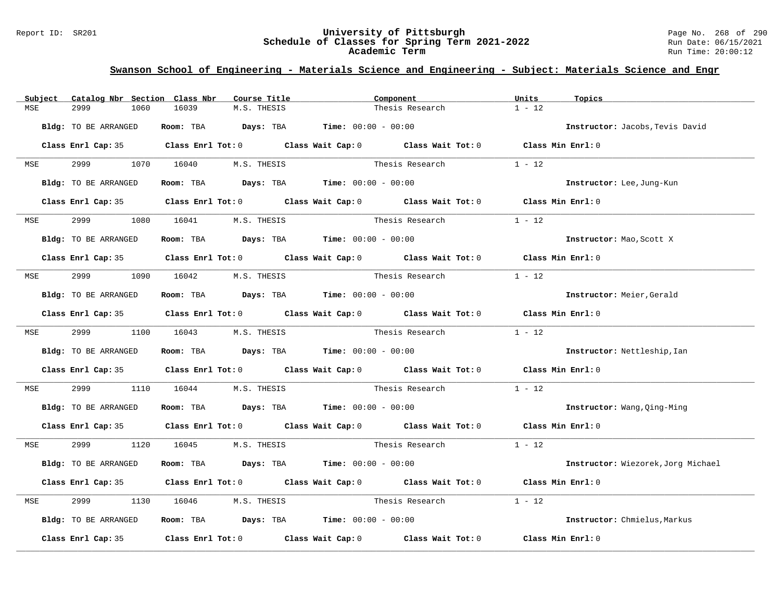#### Report ID: SR201 **University of Pittsburgh** Page No. 268 of 290 **Schedule of Classes for Spring Term 2021-2022** Run Date: 06/15/2021 **Academic Term** Run Time: 20:00:12

| Subject    | Catalog Nbr Section Class Nbr | Course Title                                                                          | Component                                                                                  | Units<br>Topics                    |
|------------|-------------------------------|---------------------------------------------------------------------------------------|--------------------------------------------------------------------------------------------|------------------------------------|
| MSE        | 2999<br>1060                  | 16039<br>M.S. THESIS                                                                  | Thesis Research                                                                            | $1 - 12$                           |
|            | Bldg: TO BE ARRANGED          | Room: TBA $Days:$ TBA $Time: 00:00 - 00:00$                                           |                                                                                            | Instructor: Jacobs, Tevis David    |
|            |                               |                                                                                       | Class Enrl Cap: 35 Class Enrl Tot: 0 Class Wait Cap: 0 Class Wait Tot: 0 Class Min Enrl: 0 |                                    |
| <b>MSE</b> |                               | 2999 1070 16040 M.S. THESIS                                                           | Thesis Research                                                                            | $1 - 12$                           |
|            | Bldg: TO BE ARRANGED          | <b>Room:</b> TBA <b>Days:</b> TBA <b>Time:</b> 00:00 - 00:00                          |                                                                                            | Instructor: Lee, Jung-Kun          |
|            |                               |                                                                                       | Class Enrl Cap: 35 Class Enrl Tot: 0 Class Wait Cap: 0 Class Wait Tot: 0 Class Min Enrl: 0 |                                    |
| MSE        | 2999                          | 1080 16041 M.S. THESIS                                                                | Thesis Research                                                                            | $1 - 12$                           |
|            | Bldg: TO BE ARRANGED          | Room: TBA $Days:$ TBA Time: $00:00 - 00:00$                                           |                                                                                            | Instructor: Mao, Scott X           |
|            |                               |                                                                                       | Class Enrl Cap: 35 Class Enrl Tot: 0 Class Wait Cap: 0 Class Wait Tot: 0 Class Min Enrl: 0 |                                    |
|            |                               | MSE 2999 1090 16042 M.S. THESIS                                                       | Thesis Research                                                                            | $1 - 12$                           |
|            | Bldg: TO BE ARRANGED          | Room: TBA $\rule{1em}{0.15mm}$ Days: TBA $\rule{1.5mm}{0.15mm}$ Time: $00:00 - 00:00$ |                                                                                            | Instructor: Meier, Gerald          |
|            |                               |                                                                                       | Class Enrl Cap: 35 Class Enrl Tot: 0 Class Wait Cap: 0 Class Wait Tot: 0 Class Min Enrl: 0 |                                    |
|            |                               | MSE 2999 1100 16043 M.S. THESIS                                                       | Thesis Research                                                                            | $1 - 12$                           |
|            | Bldg: TO BE ARRANGED          | Room: TBA $Days: TBA$ Time: $00:00 - 00:00$                                           |                                                                                            | Instructor: Nettleship, Ian        |
|            |                               |                                                                                       | Class Enrl Cap: 35 Class Enrl Tot: 0 Class Wait Cap: 0 Class Wait Tot: 0 Class Min Enrl: 0 |                                    |
| MSE        | 2999                          | 1110 16044                                                                            | M.S. THESIS Thesis Research                                                                | $1 - 12$                           |
|            | Bldg: TO BE ARRANGED          | Room: TBA $Days:$ TBA $Time: 00:00 - 00:00$                                           |                                                                                            | Instructor: Wang, Qing-Ming        |
|            |                               |                                                                                       | Class Enrl Cap: 35 Class Enrl Tot: 0 Class Wait Cap: 0 Class Wait Tot: 0 Class Min Enrl: 0 |                                    |
|            |                               | MSE 2999 1120 16045 M.S. THESIS                                                       |                                                                                            |                                    |
|            | Bldg: TO BE ARRANGED          | Room: TBA $Days: TBA$ Time: $00:00 - 00:00$                                           |                                                                                            | Instructor: Wiezorek, Jorg Michael |
|            |                               |                                                                                       | Class Enrl Cap: 35 Class Enrl Tot: 0 Class Wait Cap: 0 Class Wait Tot: 0 Class Min Enrl: 0 |                                    |
| MSE        | 2999                          | 1130 16046 M.S. THESIS                                                                | Thesis Research                                                                            | $1 - 12$                           |
|            | Bldg: TO BE ARRANGED          | Room: TBA $Days:$ TBA $Time: 00:00 - 00:00$                                           |                                                                                            | Instructor: Chmielus, Markus       |
|            |                               |                                                                                       | Class Enrl Cap: 35 Class Enrl Tot: 0 Class Wait Cap: 0 Class Wait Tot: 0 Class Min Enrl: 0 |                                    |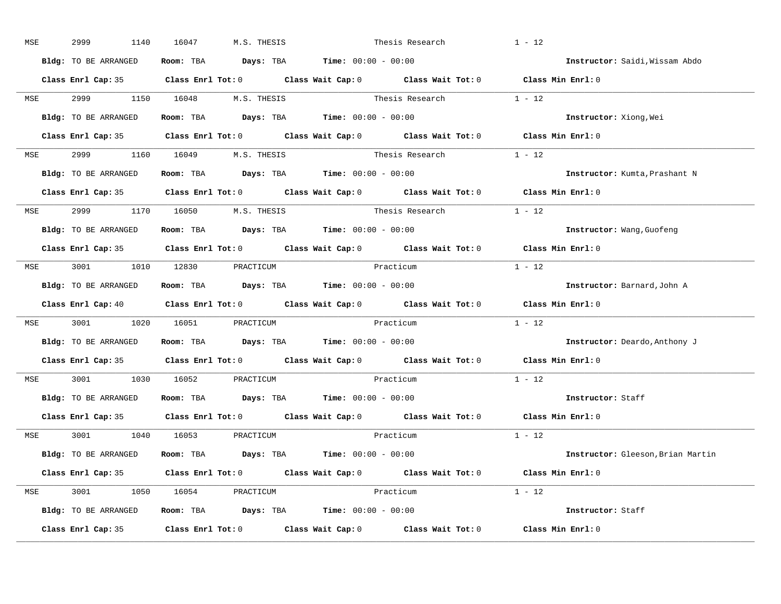| MSE        | 2999<br>1140         | 16047<br>M.S. THESIS                                                                  | Thesis Research                                                                            | $1 - 12$                          |
|------------|----------------------|---------------------------------------------------------------------------------------|--------------------------------------------------------------------------------------------|-----------------------------------|
|            | Bldg: TO BE ARRANGED | Room: TBA $\rule{1em}{0.15mm}$ Days: TBA $\rule{1.5mm}{0.15mm}$ Time: $00:00 - 00:00$ |                                                                                            | Instructor: Saidi, Wissam Abdo    |
|            |                      |                                                                                       | Class Enrl Cap: 35 Class Enrl Tot: 0 Class Wait Cap: 0 Class Wait Tot: 0 Class Min Enrl: 0 |                                   |
|            |                      |                                                                                       | MSE 2999 1150 16048 M.S. THESIS Thesis Research 1 - 12                                     |                                   |
|            | Bldg: TO BE ARRANGED | Room: TBA Days: TBA Time: $00:00 - 00:00$                                             |                                                                                            | Instructor: Xiong, Wei            |
|            |                      |                                                                                       | Class Enrl Cap: 35 Class Enrl Tot: 0 Class Wait Cap: 0 Class Wait Tot: 0 Class Min Enrl: 0 |                                   |
|            |                      | MSE 2999 1160 16049 M.S. THESIS                                                       | Thesis Research $1 - 12$                                                                   |                                   |
|            |                      | Bldg: TO BE ARRANGED Room: TBA Days: TBA Time: 00:00 - 00:00                          |                                                                                            | Instructor: Kumta, Prashant N     |
|            |                      |                                                                                       | Class Enrl Cap: 35 Class Enrl Tot: 0 Class Wait Cap: 0 Class Wait Tot: 0 Class Min Enrl: 0 |                                   |
|            |                      | MSE 2999 1170 16050 M.S. THESIS                                                       | Thesis Research $1 - 12$                                                                   |                                   |
|            | Bldg: TO BE ARRANGED | Room: TBA $\rule{1em}{0.15mm}$ Days: TBA $\rule{1.5mm}{0.15mm}$ Time: $00:00 - 00:00$ |                                                                                            | Instructor: Wang, Guofeng         |
|            |                      |                                                                                       | Class Enrl Cap: 35 Class Enrl Tot: 0 Class Wait Cap: 0 Class Wait Tot: 0                   | Class Min Enrl: 0                 |
|            |                      | MSE 3001 1010 12830 PRACTICUM                                                         | Practicum                                                                                  | $1 - 12$                          |
|            | Bldg: TO BE ARRANGED | Room: TBA $\rule{1em}{0.15mm}$ Days: TBA Time: $00:00 - 00:00$                        |                                                                                            | Instructor: Barnard, John A       |
|            |                      |                                                                                       | Class Enrl Cap: 40 Class Enrl Tot: 0 Class Wait Cap: 0 Class Wait Tot: 0 Class Min Enrl: 0 |                                   |
| MSE        |                      | 3001 1020 16051 PRACTICUM                                                             | Practicum                                                                                  | $1 - 12$                          |
|            | Bldg: TO BE ARRANGED | Room: TBA $Days:$ TBA $Time: 00:00 - 00:00$                                           |                                                                                            | Instructor: Deardo, Anthony J     |
|            |                      |                                                                                       | Class Enrl Cap: 35 Class Enrl Tot: 0 Class Wait Cap: 0 Class Wait Tot: 0                   | Class Min Enrl: 0                 |
| <b>MSE</b> |                      | 3001 1030 16052 PRACTICUM                                                             | Practicum                                                                                  | $1 - 12$                          |
|            |                      | Bldg: TO BE ARRANGED Room: TBA Days: TBA Time: 00:00 - 00:00                          |                                                                                            | Instructor: Staff                 |
|            | Class Enrl Cap: 35   |                                                                                       | Class Enrl Tot: $0$ Class Wait Cap: $0$ Class Wait Tot: $0$                                | Class Min Enrl: 0                 |
|            |                      | MSE 3001 1040 16053 PRACTICUM                                                         | Practicum                                                                                  | $1 - 12$                          |
|            | Bldg: TO BE ARRANGED | Room: TBA $Days:$ TBA $Time: 00:00 - 00:00$                                           |                                                                                            | Instructor: Gleeson, Brian Martin |
|            |                      |                                                                                       | Class Enrl Cap: 35 Class Enrl Tot: 0 Class Wait Cap: 0 Class Wait Tot: 0 Class Min Enrl: 0 |                                   |
|            |                      | MSE 3001 1050 16054 PRACTICUM                                                         | Practicum                                                                                  | $1 - 12$                          |
|            | Bldg: TO BE ARRANGED | Room: TBA $\rule{1em}{0.15mm}$ Days: TBA Time: $00:00 - 00:00$                        |                                                                                            | Instructor: Staff                 |
|            |                      |                                                                                       | Class Enrl Cap: 35 Class Enrl Tot: 0 Class Wait Cap: 0 Class Wait Tot: 0 Class Min Enrl: 0 |                                   |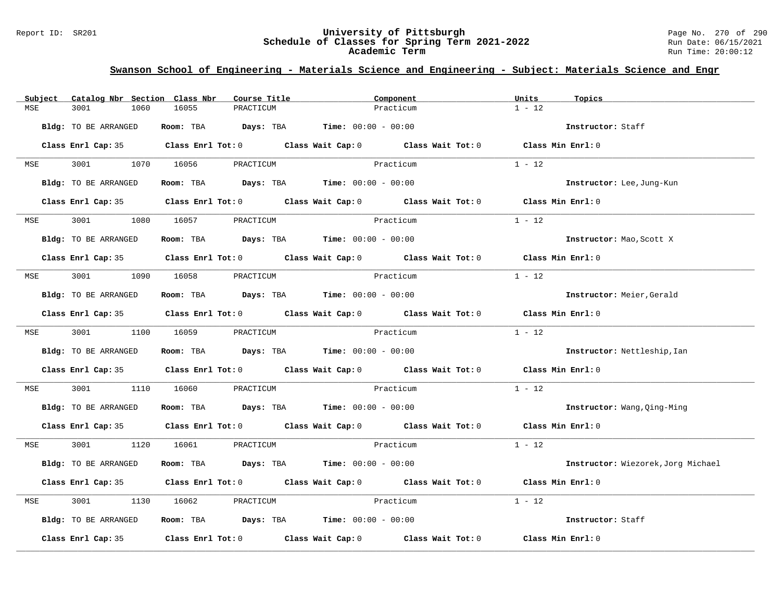#### Report ID: SR201 **University of Pittsburgh** Page No. 270 of 290 **Schedule of Classes for Spring Term 2021-2022** Run Date: 06/15/2021 **Academic Term** Run Time: 20:00:12

| Subject    | Catalog Nbr Section Class Nbr | Course Title                                                   | Component                                                                                           | Units<br>Topics                    |
|------------|-------------------------------|----------------------------------------------------------------|-----------------------------------------------------------------------------------------------------|------------------------------------|
| MSE        | 3001<br>1060                  | 16055<br>PRACTICUM                                             | Practicum                                                                                           | $1 - 12$                           |
|            | Bldg: TO BE ARRANGED          | Room: TBA $Days:$ TBA $Time: 00:00 - 00:00$                    |                                                                                                     | Instructor: Staff                  |
|            |                               |                                                                | Class Enrl Cap: 35 Class Enrl Tot: 0 Class Wait Cap: 0 Class Wait Tot: 0 Class Min Enrl: 0          |                                    |
|            | MSE 3001 1070 16056           | PRACTICUM                                                      | Practicum                                                                                           | $1 - 12$                           |
|            | Bldg: TO BE ARRANGED          | Room: TBA $Days:$ TBA $Time: 00:00 - 00:00$                    |                                                                                                     | Instructor: Lee, Jung-Kun          |
|            |                               |                                                                | Class Enrl Cap: 35 Class Enrl Tot: 0 Class Wait Cap: 0 Class Wait Tot: 0 Class Min Enrl: 0          |                                    |
| <b>MSE</b> | 3001                          | 1080 16057<br>PRACTICUM                                        | Practicum                                                                                           | $1 - 12$                           |
|            | Bldg: TO BE ARRANGED          | Room: TBA $Days:$ TBA $Time: 00:00 - 00:00$                    |                                                                                                     | Instructor: Mao, Scott X           |
|            |                               |                                                                | Class Enrl Cap: 35 $\qquad$ Class Enrl Tot: 0 $\qquad$ Class Wait Cap: 0 $\qquad$ Class Wait Tot: 0 | Class Min Enrl: 0                  |
|            |                               | MSE 3001 1090 16058 PRACTICUM                                  | Practicum                                                                                           | $1 - 12$                           |
|            | Bldg: TO BE ARRANGED          | Room: TBA $\rule{1em}{0.15mm}$ Days: TBA Time: $00:00 - 00:00$ |                                                                                                     | Instructor: Meier, Gerald          |
|            |                               |                                                                | Class Enrl Cap: 35 Class Enrl Tot: 0 Class Wait Cap: 0 Class Wait Tot: 0 Class Min Enrl: 0          |                                    |
|            | MSE 3001 1100 16059           | PRACTICUM                                                      | Practicum                                                                                           | $1 - 12$                           |
|            | Bldg: TO BE ARRANGED          | Room: TBA $Days:$ TBA $Time: 00:00 - 00:00$                    |                                                                                                     | Instructor: Nettleship, Ian        |
|            |                               |                                                                | Class Enrl Cap: 35 Class Enrl Tot: 0 Class Wait Cap: 0 Class Wait Tot: 0 Class Min Enrl: 0          |                                    |
| MSE        | 3001                          | 1110 16060<br>PRACTICUM                                        | Practicum                                                                                           | $1 - 12$                           |
|            | Bldg: TO BE ARRANGED          | Room: TBA $Days: TBA$ Time: $00:00 - 00:00$                    |                                                                                                     | Instructor: Wang, Qing-Ming        |
|            |                               |                                                                | Class Enrl Cap: 35 Class Enrl Tot: 0 Class Wait Cap: 0 Class Wait Tot: 0 Class Min Enrl: 0          |                                    |
|            |                               | MSE 3001 1120 16061 PRACTICUM                                  | Practicum                                                                                           | $1 - 12$                           |
|            | Bldg: TO BE ARRANGED          | Room: TBA $Days: TBA$ Time: $00:00 - 00:00$                    |                                                                                                     | Instructor: Wiezorek, Jorg Michael |
|            |                               |                                                                | Class Enrl Cap: 35 Class Enrl Tot: 0 Class Wait Cap: 0 Class Wait Tot: 0 Class Min Enrl: 0          |                                    |
| MSE        | 3001                          | 1130 16062<br>PRACTICUM                                        | <b>Practicum</b>                                                                                    | $1 - 12$                           |
|            | Bldg: TO BE ARRANGED          | Room: TBA $Days:$ TBA $Time: 00:00 - 00:00$                    |                                                                                                     | Instructor: Staff                  |
|            |                               |                                                                | Class Enrl Cap: 35 $\qquad$ Class Enrl Tot: 0 $\qquad$ Class Wait Cap: 0 $\qquad$ Class Wait Tot: 0 | Class Min Enrl: 0                  |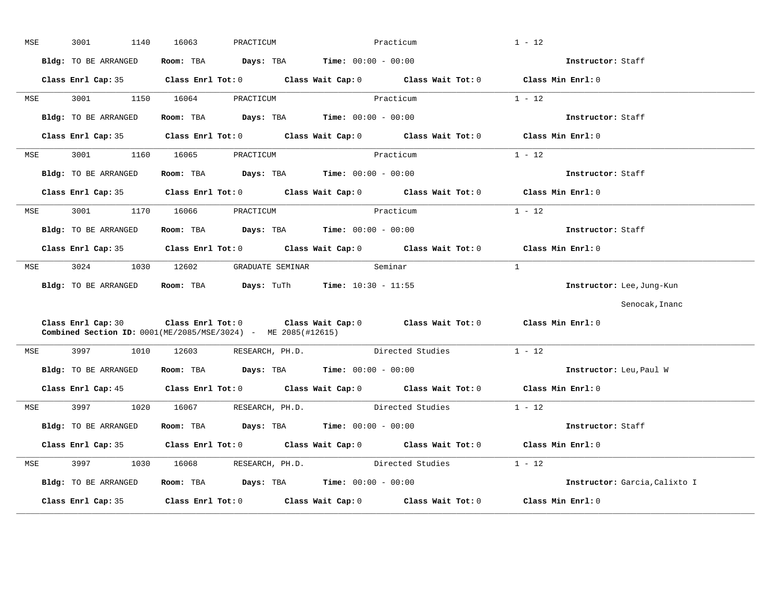|     | 3001<br>1140                                                  | 16063      | PRACTICUM                                                      | Practicum                                                                                  | $1 - 12$                      |
|-----|---------------------------------------------------------------|------------|----------------------------------------------------------------|--------------------------------------------------------------------------------------------|-------------------------------|
|     | Bldg: TO BE ARRANGED                                          |            | Room: TBA $Days:$ TBA $Time: 00:00 - 00:00$                    |                                                                                            | Instructor: Staff             |
|     | Class Enrl Cap: 35                                            |            |                                                                | Class Enrl Tot: 0 Class Wait Cap: 0 Class Wait Tot: 0 Class Min Enrl: 0                    |                               |
| MSE | 3001                                                          | 1150 16064 | PRACTICUM                                                      | Practicum                                                                                  | $1 - 12$                      |
|     | Bldg: TO BE ARRANGED                                          |            | Room: TBA $Days:$ TBA $Time: 00:00 - 00:00$                    |                                                                                            | Instructor: Staff             |
|     | Class Enrl Cap: 35                                            |            |                                                                | Class Enrl Tot: 0 Class Wait Cap: 0 Class Wait Tot: 0                                      | Class Min Enrl: 0             |
| MSE | 3001<br>1160                                                  | 16065      | PRACTICUM                                                      | Practicum                                                                                  | $1 - 12$                      |
|     | Bldg: TO BE ARRANGED                                          |            | Room: TBA $Days:$ TBA $Time: 00:00 - 00:00$                    |                                                                                            | Instructor: Staff             |
|     | Class Enrl Cap: 35                                            |            |                                                                | Class Enrl Tot: 0 Class Wait Cap: 0 Class Wait Tot: 0                                      | Class Min Enrl: 0             |
| MSE | 3001                                                          | 1170 16066 | PRACTICUM                                                      | Practicum                                                                                  | $1 - 12$                      |
|     | Bldg: TO BE ARRANGED                                          |            | Room: TBA $Days:$ TBA $Time: 00:00 - 00:00$                    |                                                                                            | Instructor: Staff             |
|     | Class Enrl Cap: 35                                            |            |                                                                | Class Enrl Tot: $0$ Class Wait Cap: $0$ Class Wait Tot: $0$                                | Class Min Enrl: 0             |
| MSE | 3024                                                          | 1030 12602 | GRADUATE SEMINAR Seminar                                       |                                                                                            | $\overline{1}$                |
|     | Bldg: TO BE ARRANGED                                          |            | Room: TBA $Days: Turl$ Time: $10:30 - 11:55$                   |                                                                                            | Instructor: Lee, Jung-Kun     |
|     |                                                               |            |                                                                |                                                                                            | Senocak, Inanc                |
|     |                                                               |            |                                                                |                                                                                            |                               |
|     | Combined Section ID: 0001(ME/2085/MSE/3024) - ME 2085(#12615) |            |                                                                | Class Enrl Cap: 30 Class Enrl Tot: 0 Class Wait Cap: 0 Class Wait Tot: 0 Class Min Enrl: 0 |                               |
| MSE | 3997<br>1010                                                  | 12603      | RESEARCH, PH.D.                                                | Directed Studies                                                                           | $1 - 12$                      |
|     | Bldg: TO BE ARRANGED                                          |            | Room: TBA $\rule{1em}{0.15mm}$ Days: TBA Time: $00:00 - 00:00$ |                                                                                            | Instructor: Leu, Paul W       |
|     |                                                               |            |                                                                | Class Enrl Cap: 45 Class Enrl Tot: 0 Class Wait Cap: 0 Class Wait Tot: 0 Class Min Enrl: 0 |                               |
| MSE | 3997 — 100                                                    | 1020 16067 |                                                                | RESEARCH, PH.D. Directed Studies                                                           | $1 - 12$                      |
|     | Bldg: TO BE ARRANGED                                          | Room: TBA  | $Days: TBA$ $Time: 00:00 - 00:00$                              |                                                                                            | Instructor: Staff             |
|     | Class Enrl Cap: 35                                            |            |                                                                | Class Enrl Tot: 0 Class Wait Cap: 0 Class Wait Tot: 0                                      | Class Min Enrl: 0             |
| MSE | 3997<br>1030                                                  | 16068      | RESEARCH, PH.D.                                                | Directed Studies                                                                           | $1 - 12$                      |
|     | Bldg: TO BE ARRANGED                                          |            | Room: TBA $\rule{1em}{0.15mm}$ Days: TBA Time: $00:00 - 00:00$ |                                                                                            | Instructor: Garcia, Calixto I |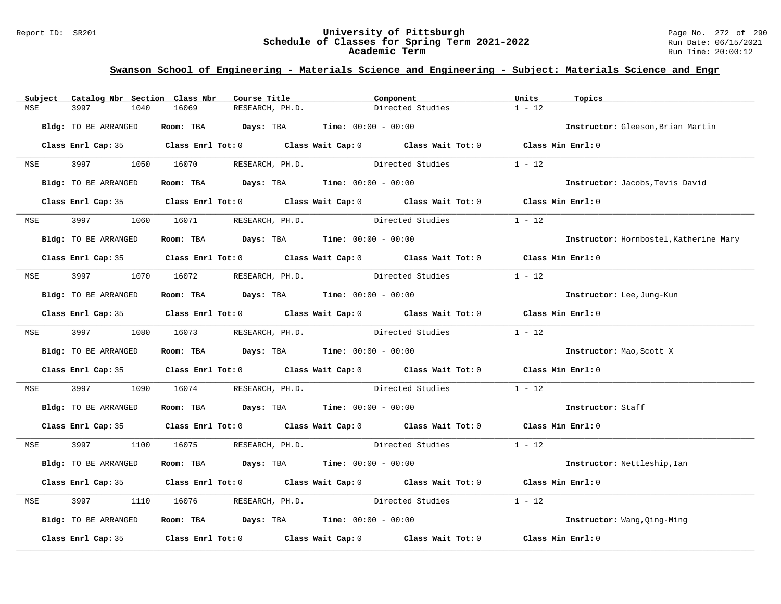#### Report ID: SR201 **University of Pittsburgh** Page No. 272 of 290 **Schedule of Classes for Spring Term 2021-2022** Run Date: 06/15/2021 **Academic Term** Run Time: 20:00:12

| Subject | Catalog Nbr Section Class Nbr | Course Title                                                                            | Component                                                                                  | Units<br>Topics                        |
|---------|-------------------------------|-----------------------------------------------------------------------------------------|--------------------------------------------------------------------------------------------|----------------------------------------|
| MSE     | 3997<br>1040                  | 16069<br>RESEARCH, PH.D.                                                                | Directed Studies                                                                           | $1 - 12$                               |
|         | Bldg: TO BE ARRANGED          | Room: TBA $Days:$ TBA $Time: 00:00 - 00:00$                                             |                                                                                            | Instructor: Gleeson, Brian Martin      |
|         |                               |                                                                                         | Class Enrl Cap: 35 Class Enrl Tot: 0 Class Wait Cap: 0 Class Wait Tot: 0 Class Min Enrl: 0 |                                        |
|         |                               | MSE 3997 1050 16070 RESEARCH, PH.D.                                                     | Directed Studies                                                                           | $1 - 12$                               |
|         | Bldg: TO BE ARRANGED          | Room: TBA $Days:$ TBA $Time: 00:00 - 00:00$                                             |                                                                                            | Instructor: Jacobs, Tevis David        |
|         |                               |                                                                                         | Class Enrl Cap: 35 Class Enrl Tot: 0 Class Wait Cap: 0 Class Wait Tot: 0 Class Min Enrl: 0 |                                        |
|         |                               | MSE 3997 1060 16071 RESEARCH, PH.D.                                                     | Directed Studies                                                                           | $1 - 12$                               |
|         | Bldg: TO BE ARRANGED          | Room: TBA $Days:$ TBA Time: $00:00 - 00:00$                                             |                                                                                            | Instructor: Hornbostel, Katherine Mary |
|         |                               |                                                                                         | Class Enrl Cap: 35 Class Enrl Tot: 0 Class Wait Cap: 0 Class Wait Tot: 0 Class Min Enrl: 0 |                                        |
|         |                               |                                                                                         | MSE 3997 1070 16072 RESEARCH, PH.D. Directed Studies                                       | $1 - 12$                               |
|         | Bldg: TO BE ARRANGED          | Room: TBA $Days:$ TBA $Time: 00:00 - 00:00$                                             |                                                                                            | Instructor: Lee, Jung-Kun              |
|         |                               |                                                                                         | Class Enrl Cap: 35 Class Enrl Tot: 0 Class Wait Cap: 0 Class Wait Tot: 0 Class Min Enrl: 0 |                                        |
|         |                               |                                                                                         | MSE 3997 1080 16073 RESEARCH, PH.D. Directed Studies                                       | $1 - 12$                               |
|         | Bldg: TO BE ARRANGED          | Room: TBA $Days: TBA$ Time: $00:00 - 00:00$                                             |                                                                                            | Instructor: Mao, Scott X               |
|         |                               |                                                                                         | Class Enrl Cap: 35 Class Enrl Tot: 0 Class Wait Cap: 0 Class Wait Tot: 0 Class Min Enrl: 0 |                                        |
| MSE     | 3997 399                      | 1090 16074                                                                              | RESEARCH, PH.D. Directed Studies                                                           | $1 - 12$                               |
|         | Bldg: TO BE ARRANGED          | Room: TBA $Days:$ TBA $Time: 00:00 - 00:00$                                             |                                                                                            | Instructor: Staff                      |
|         |                               |                                                                                         | Class Enrl Cap: 35 Class Enrl Tot: 0 Class Wait Cap: 0 Class Wait Tot: 0 Class Min Enrl: 0 |                                        |
|         |                               |                                                                                         | MSE 3997 1100 16075 RESEARCH, PH.D. Directed Studies 1 - 12                                |                                        |
|         | Bldg: TO BE ARRANGED          | Room: TBA $Days:$ TBA $Time: 00:00 - 00:00$                                             |                                                                                            | Instructor: Nettleship, Ian            |
|         |                               |                                                                                         | Class Enrl Cap: 35 Class Enrl Tot: 0 Class Wait Cap: 0 Class Wait Tot: 0 Class Min Enrl: 0 |                                        |
| MSE     | 3997                          |                                                                                         | 1110 16076 RESEARCH, PH.D. Directed Studies                                                | $1 - 12$                               |
|         | Bldg: TO BE ARRANGED          | Room: TBA $\rule{1em}{0.15mm}$ Days: TBA $\rule{1.15mm}]{0.15mm}$ Time: $00:00 - 00:00$ |                                                                                            | Instructor: Wang, Qing-Ming            |
|         |                               |                                                                                         | Class Enrl Cap: 35 Class Enrl Tot: 0 Class Wait Cap: 0 Class Wait Tot: 0 Class Min Enrl: 0 |                                        |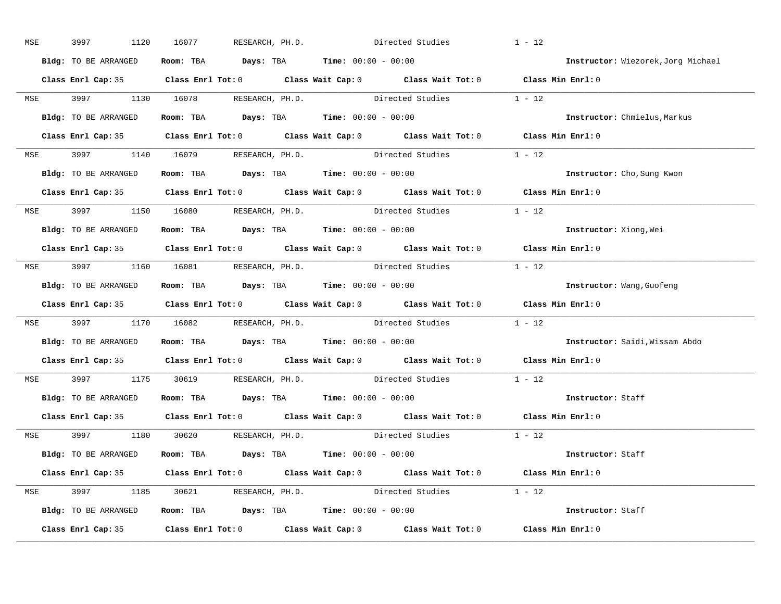| MSE        | 3997                 | 1120 | 16077 |                                     | RESEARCH, PH.D. Directed Studies                                                           |                                                              | $1 - 12$                                                                                   |  |
|------------|----------------------|------|-------|-------------------------------------|--------------------------------------------------------------------------------------------|--------------------------------------------------------------|--------------------------------------------------------------------------------------------|--|
|            | Bldg: TO BE ARRANGED |      |       |                                     | Room: TBA $Days:$ TBA $Time: 00:00 - 00:00$                                                |                                                              | Instructor: Wiezorek, Jorg Michael                                                         |  |
|            |                      |      |       |                                     |                                                                                            |                                                              | Class Enrl Cap: 35 Class Enrl Tot: 0 Class Wait Cap: 0 Class Wait Tot: 0 Class Min Enrl: 0 |  |
|            |                      |      |       |                                     |                                                                                            | MSE 3997 1130 16078 RESEARCH, PH.D. Directed Studies 1 - 12  |                                                                                            |  |
|            | Bldg: TO BE ARRANGED |      |       |                                     | Room: TBA Days: TBA Time: $00:00 - 00:00$                                                  |                                                              | Instructor: Chmielus, Markus                                                               |  |
|            |                      |      |       |                                     |                                                                                            |                                                              | Class Enrl Cap: 35 Class Enrl Tot: 0 Class Wait Cap: 0 Class Wait Tot: 0 Class Min Enrl: 0 |  |
|            |                      |      |       |                                     |                                                                                            | MSE 3997 1140 16079 RESEARCH, PH.D. Directed Studies 1 - 12  |                                                                                            |  |
|            |                      |      |       |                                     | <b>Bldg:</b> TO BE ARRANGED <b>Room:</b> TBA <b>Days:</b> TBA <b>Time:</b> $00:00 - 00:00$ |                                                              | Instructor: Cho, Sung Kwon                                                                 |  |
|            |                      |      |       |                                     |                                                                                            |                                                              | Class Enrl Cap: 35 Class Enrl Tot: 0 Class Wait Cap: 0 Class Wait Tot: 0 Class Min Enrl: 0 |  |
|            |                      |      |       | MSE 3997 1150 16080 RESEARCH, PH.D. |                                                                                            | Directed Studies                                             | $1 - 12$                                                                                   |  |
|            | Bldg: TO BE ARRANGED |      |       |                                     | Room: TBA $\rule{1em}{0.15mm}$ Days: TBA Time: $00:00 - 00:00$                             |                                                              | Instructor: Xiong, Wei                                                                     |  |
|            |                      |      |       |                                     |                                                                                            |                                                              | Class Enrl Cap: 35 Class Enrl Tot: 0 Class Wait Cap: 0 Class Wait Tot: 0 Class Min Enrl: 0 |  |
|            |                      |      |       |                                     |                                                                                            | MSE 3997 1160 16081 RESEARCH, PH.D. Directed Studies 1 - 12  |                                                                                            |  |
|            | Bldg: TO BE ARRANGED |      |       |                                     | Room: TBA $Days:$ TBA $Time: 00:00 - 00:00$                                                |                                                              | Instructor: Wang, Guofeng                                                                  |  |
|            |                      |      |       |                                     |                                                                                            |                                                              | Class Enrl Cap: 35 Class Enrl Tot: 0 Class Wait Cap: 0 Class Wait Tot: 0 Class Min Enrl: 0 |  |
|            |                      |      |       |                                     |                                                                                            | MSE 3997 1170 16082 RESEARCH, PH.D. Directed Studies 1 - 12  |                                                                                            |  |
|            |                      |      |       |                                     | Bldg: TO BE ARRANGED Room: TBA Days: TBA Time: 00:00 - 00:00                               |                                                              | Instructor: Saidi, Wissam Abdo                                                             |  |
|            |                      |      |       |                                     |                                                                                            |                                                              | Class Enrl Cap: 35 Class Enrl Tot: 0 Class Wait Cap: 0 Class Wait Tot: 0 Class Min Enrl: 0 |  |
| <b>MSE</b> |                      |      |       |                                     |                                                                                            | 3997 1175 30619 RESEARCH, PH.D. Directed Studies             | $1 - 12$                                                                                   |  |
|            |                      |      |       |                                     | Bldg: TO BE ARRANGED Room: TBA Days: TBA Time: 00:00 - 00:00                               |                                                              | Instructor: Staff                                                                          |  |
|            |                      |      |       |                                     |                                                                                            |                                                              | Class Enrl Cap: 35 Class Enrl Tot: 0 Class Wait Cap: 0 Class Wait Tot: 0 Class Min Enrl: 0 |  |
|            |                      |      |       | MSE 3997 1180 30620 RESEARCH, PH.D. |                                                                                            | Directed Studies 1 - 12                                      |                                                                                            |  |
|            |                      |      |       |                                     | Bldg: TO BE ARRANGED Room: TBA Days: TBA Time: 00:00 - 00:00                               |                                                              | Instructor: Staff                                                                          |  |
|            |                      |      |       |                                     |                                                                                            |                                                              | Class Enrl Cap: 35 Class Enrl Tot: 0 Class Wait Cap: 0 Class Wait Tot: 0 Class Min Enrl: 0 |  |
|            |                      |      |       |                                     |                                                                                            | MSE 3997 1185 30621 RESEARCH, PH.D. Directed Studies 1 - 12  |                                                                                            |  |
|            |                      |      |       |                                     |                                                                                            | Bldg: TO BE ARRANGED ROOM: TBA Days: TBA Time: 00:00 - 00:00 | Instructor: Staff                                                                          |  |
|            |                      |      |       |                                     |                                                                                            |                                                              | Class Enrl Cap: 35 Class Enrl Tot: 0 Class Wait Cap: 0 Class Wait Tot: 0 Class Min Enrl: 0 |  |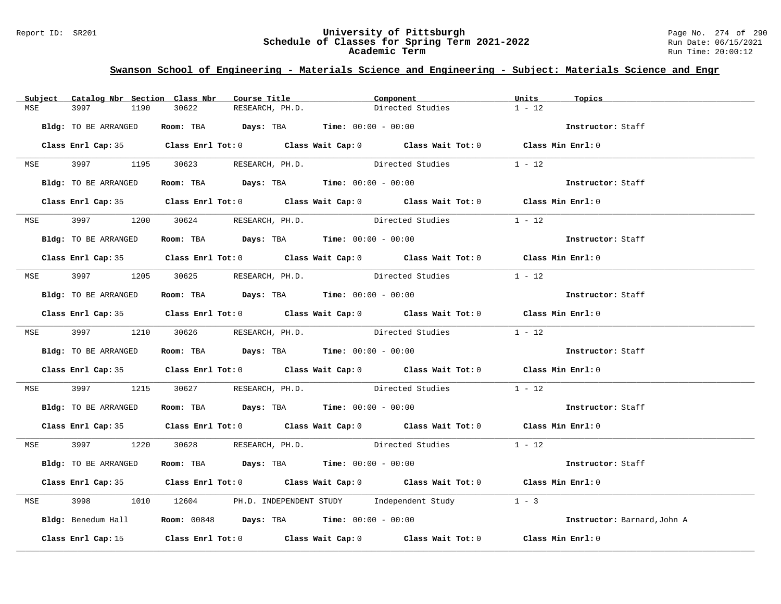#### Report ID: SR201 **University of Pittsburgh** Page No. 274 of 290 **Schedule of Classes for Spring Term 2021-2022** Run Date: 06/15/2021 **Academic Term** Run Time: 20:00:12

| Subject    | Catalog Nbr Section Class Nbr | Course Title                                | Component                                                                                  | Units<br>Topics             |
|------------|-------------------------------|---------------------------------------------|--------------------------------------------------------------------------------------------|-----------------------------|
| MSE        | 3997<br>1190                  | 30622<br>RESEARCH, PH.D.                    | Directed Studies                                                                           | $1 - 12$                    |
|            | Bldg: TO BE ARRANGED          | Room: TBA $Days:$ TBA $Time: 00:00 - 00:00$ |                                                                                            | Instructor: Staff           |
|            |                               |                                             |                                                                                            |                             |
|            |                               |                                             | Class Enrl Cap: 35 Class Enrl Tot: 0 Class Wait Cap: 0 Class Wait Tot: 0 Class Min Enrl: 0 |                             |
|            |                               | MSE 3997 1195 30623 RESEARCH, PH.D.         | Directed Studies                                                                           | $1 - 12$                    |
|            | Bldg: TO BE ARRANGED          | Room: TBA $Days: TBA$ Time: $00:00 - 00:00$ |                                                                                            | Instructor: Staff           |
|            |                               |                                             | Class Enrl Cap: 35 Class Enrl Tot: 0 Class Wait Cap: 0 Class Wait Tot: 0 Class Min Enrl: 0 |                             |
|            |                               | MSE 3997 1200 30624 RESEARCH, PH.D.         | Directed Studies                                                                           | $1 - 12$                    |
|            | Bldg: TO BE ARRANGED          | Room: TBA $Days:$ TBA $Time: 00:00 - 00:00$ |                                                                                            | Instructor: Staff           |
|            |                               |                                             | Class Enrl Cap: 35 Class Enrl Tot: 0 Class Wait Cap: 0 Class Wait Tot: 0 Class Min Enrl: 0 |                             |
|            |                               |                                             | MSE 3997 1205 30625 RESEARCH, PH.D. Directed Studies 1 - 12                                |                             |
|            | Bldg: TO BE ARRANGED          | Room: TBA Days: TBA Time: $00:00 - 00:00$   |                                                                                            | Instructor: Staff           |
|            |                               |                                             | Class Enrl Cap: 35 Class Enrl Tot: 0 Class Wait Cap: 0 Class Wait Tot: 0 Class Min Enrl: 0 |                             |
|            |                               |                                             | MSE 3997 1210 30626 RESEARCH, PH.D. Directed Studies 1 - 12                                |                             |
|            | Bldg: TO BE ARRANGED          |                                             | Room: TBA $Days$ : TBA $Time: 00:00 - 00:00$                                               | Instructor: Staff           |
|            |                               |                                             | Class Enrl Cap: 35 Class Enrl Tot: 0 Class Wait Cap: 0 Class Wait Tot: 0 Class Min Enrl: 0 |                             |
| MSE        |                               |                                             | 3997 1215 30627 RESEARCH, PH.D. Directed Studies 1 - 12                                    |                             |
|            | Bldg: TO BE ARRANGED          | Room: TBA Days: TBA Time: $00:00 - 00:00$   |                                                                                            | Instructor: Staff           |
|            |                               |                                             | Class Enrl Cap: 35 Class Enrl Tot: 0 Class Wait Cap: 0 Class Wait Tot: 0 Class Min Enrl: 0 |                             |
|            |                               |                                             | MSE 3997 1220 30628 RESEARCH, PH.D. Directed Studies 1 - 12                                |                             |
|            | Bldg: TO BE ARRANGED          | Room: TBA $Days:$ TBA Time: $00:00 - 00:00$ |                                                                                            | Instructor: Staff           |
|            |                               |                                             | Class Enrl Cap: 35 Class Enrl Tot: 0 Class Wait Cap: 0 Class Wait Tot: 0 Class Min Enrl: 0 |                             |
| <b>MSE</b> |                               |                                             | 3998 1010 12604 PH.D. INDEPENDENT STUDY Independent Study 1 - 3                            |                             |
|            |                               |                                             | <b>Bldg:</b> Benedum Hall <b>Room:</b> 00848 <b>Days:</b> TBA <b>Time:</b> $00:00 - 00:00$ | Instructor: Barnard, John A |
|            |                               |                                             | Class Enrl Cap: 15 Class Enrl Tot: 0 Class Wait Cap: 0 Class Wait Tot: 0 Class Min Enrl: 0 |                             |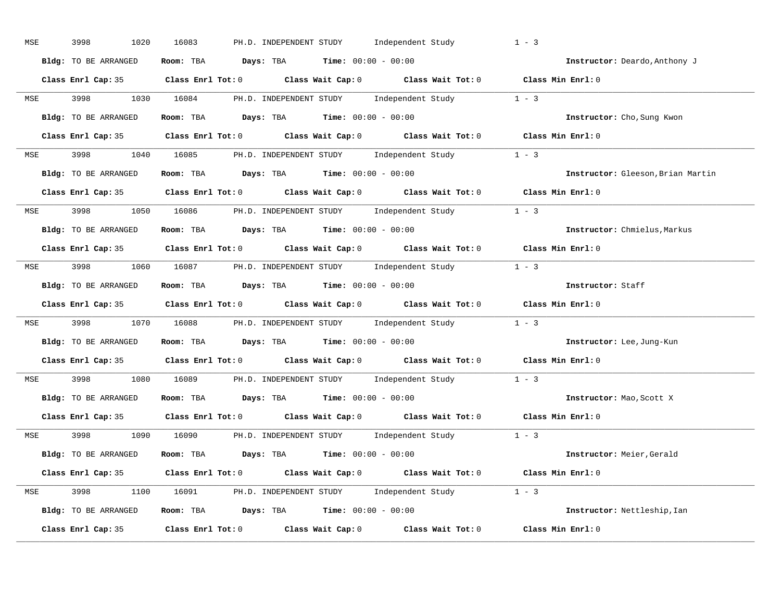| MSE        | 3998<br>1020         | 16083<br>PH.D. INDEPENDENT STUDY Independent Study                                                  | $1 - 3$                           |
|------------|----------------------|-----------------------------------------------------------------------------------------------------|-----------------------------------|
|            | Bldg: TO BE ARRANGED | Room: TBA $Days:$ TBA $Time: 00:00 - 00:00$                                                         | Instructor: Deardo, Anthony J     |
|            |                      | Class Enrl Cap: 35 Class Enrl Tot: 0 Class Wait Cap: 0 Class Wait Tot: 0 Class Min Enrl: 0          |                                   |
|            |                      | MSE 3998 1030 16084 PH.D. INDEPENDENT STUDY Independent Study 1 - 3                                 |                                   |
|            | Bldg: TO BE ARRANGED | Room: TBA $Days:$ TBA $Time: 00:00 - 00:00$                                                         | Instructor: Cho, Sung Kwon        |
|            |                      | Class Enrl Cap: 35 Class Enrl Tot: 0 Class Wait Cap: 0 Class Wait Tot: 0 Class Min Enrl: 0          |                                   |
|            |                      | MSE 3998 1040 16085 PH.D. INDEPENDENT STUDY Independent Study 1 - 3                                 |                                   |
|            | Bldg: TO BE ARRANGED | Room: TBA $Days:$ TBA $Time: 00:00 - 00:00$                                                         | Instructor: Gleeson, Brian Martin |
|            |                      | Class Enrl Cap: 35 Class Enrl Tot: 0 Class Wait Cap: 0 Class Wait Tot: 0 Class Min Enrl: 0          |                                   |
|            |                      | MSE 3998 1050 16086 PH.D. INDEPENDENT STUDY Independent Study 1 - 3                                 |                                   |
|            | Bldg: TO BE ARRANGED | Room: TBA $Days:$ TBA $Time: 00:00 - 00:00$                                                         | Instructor: Chmielus, Markus      |
|            |                      | Class Enrl Cap: 35 Class Enrl Tot: 0 Class Wait Cap: 0 Class Wait Tot: 0 Class Min Enrl: 0          |                                   |
| MSE        |                      | 3998 1060 16087 PH.D. INDEPENDENT STUDY Independent Study 1 - 3                                     |                                   |
|            | Bldg: TO BE ARRANGED | Room: TBA $Days:$ TBA $Time:$ $00:00 - 00:00$                                                       | Instructor: Staff                 |
|            |                      | Class Enrl Cap: 35 Class Enrl Tot: 0 Class Wait Cap: 0 Class Wait Tot: 0 Class Min Enrl: 0          |                                   |
| MSE        |                      | 3998 1070 16088 PH.D. INDEPENDENT STUDY Independent Study 1 - 3                                     |                                   |
|            | Bldg: TO BE ARRANGED | Room: TBA $Days:$ TBA $Time: 00:00 - 00:00$                                                         | Instructor: Lee, Jung-Kun         |
|            |                      | Class Enrl Cap: 35 Class Enrl Tot: 0 Class Wait Cap: 0 Class Wait Tot: 0 Class Min Enrl: 0          |                                   |
| <b>MSE</b> | 3998 3998            | 1080 16089 PH.D. INDEPENDENT STUDY Independent Study 1 - 3                                          |                                   |
|            | Bldg: TO BE ARRANGED | Room: TBA $Days:$ TBA $Time: 00:00 - 00:00$                                                         | Instructor: Mao, Scott X          |
|            |                      | Class Enrl Cap: 35 Class Enrl Tot: 0 Class Wait Cap: 0 Class Wait Tot: 0                            | Class Min Enrl: 0                 |
|            |                      | MSE 3998 1090 16090 PH.D. INDEPENDENT STUDY Independent Study 1 - 3                                 |                                   |
|            | Bldg: TO BE ARRANGED | Room: TBA $Days:$ TBA $Time: 00:00 - 00:00$                                                         | Instructor: Meier, Gerald         |
|            |                      | Class Enrl Cap: 35 Class Enrl Tot: 0 Class Wait Cap: 0 Class Wait Tot: 0 Class Min Enrl: 0          |                                   |
|            |                      | MSE 3998 1100 16091 PH.D. INDEPENDENT STUDY Independent Study 1 - 3                                 |                                   |
|            | Bldg: TO BE ARRANGED | Room: TBA $\rule{1em}{0.15mm}$ Days: TBA $\qquad$ Time: $00:00 - 00:00$                             | Instructor: Nettleship, Ian       |
|            |                      | Class Enrl Cap: 35 $\qquad$ Class Enrl Tot: 0 $\qquad$ Class Wait Cap: 0 $\qquad$ Class Wait Tot: 0 | Class Min Enrl: 0                 |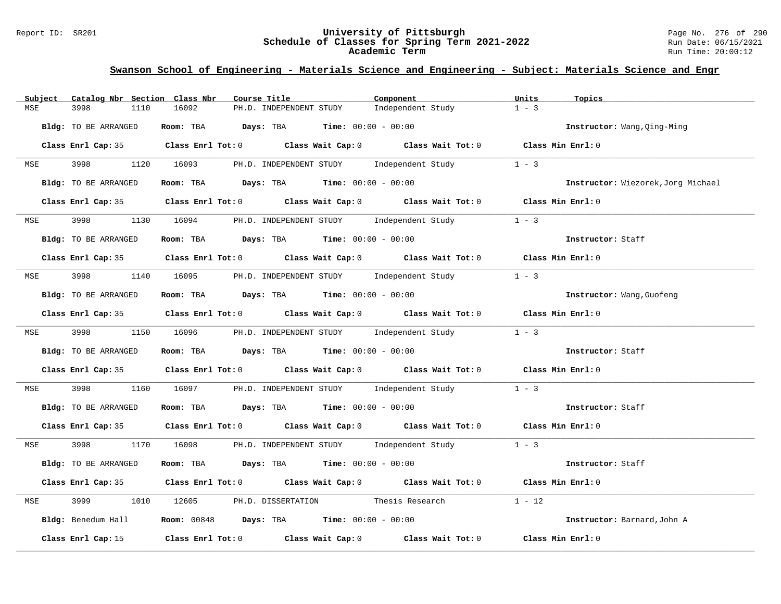#### Report ID: SR201 **University of Pittsburgh** Page No. 276 of 290 **Schedule of Classes for Spring Term 2021-2022** Run Date: 06/15/2021 **Academic Term** Run Time: 20:00:12

| Subject    | Catalog Nbr Section Class Nbr | Course Title                                                                               | Component         | Units<br>Topics                    |
|------------|-------------------------------|--------------------------------------------------------------------------------------------|-------------------|------------------------------------|
| MSE        | 3998<br>1110                  | 16092<br>PH.D. INDEPENDENT STUDY                                                           | Independent Study | $1 - 3$                            |
|            | Bldg: TO BE ARRANGED          | Room: TBA $Days:$ TBA $Time: 00:00 - 00:00$                                                |                   | Instructor: Wang, Qing-Ming        |
|            |                               | Class Enrl Cap: 35 Class Enrl Tot: 0 Class Wait Cap: 0 Class Wait Tot: 0 Class Min Enrl: 0 |                   |                                    |
| <b>MSE</b> |                               | 3998 1120 16093 PH.D. INDEPENDENT STUDY Independent Study                                  |                   | $1 - 3$                            |
|            | Bldg: TO BE ARRANGED          | Room: TBA $Days:$ TBA $Time: 00:00 - 00:00$                                                |                   | Instructor: Wiezorek, Jorg Michael |
|            |                               | Class Enrl Cap: 35 Class Enrl Tot: 0 Class Wait Cap: 0 Class Wait Tot: 0 Class Min Enrl: 0 |                   |                                    |
| MSE        | 3998                          | 1130 16094 PH.D. INDEPENDENT STUDY Independent Study 1 - 3                                 |                   |                                    |
|            | Bldg: TO BE ARRANGED          | Room: TBA Days: TBA Time: $00:00 - 00:00$                                                  |                   | Instructor: Staff                  |
|            |                               | Class Enrl Cap: 35 Class Enrl Tot: 0 Class Wait Cap: 0 Class Wait Tot: 0 Class Min Enrl: 0 |                   |                                    |
|            |                               | MSE 3998 1140 16095 PH.D. INDEPENDENT STUDY Independent Study                              |                   | $1 - 3$                            |
|            | Bldg: TO BE ARRANGED          | Room: TBA $\rule{1em}{0.15mm}$ Days: TBA Time: $00:00 - 00:00$                             |                   | Instructor: Wang, Guofeng          |
|            |                               | Class Enrl Cap: 35 Class Enrl Tot: 0 Class Wait Cap: 0 Class Wait Tot: 0 Class Min Enrl: 0 |                   |                                    |
|            |                               | MSE 3998 1150 16096 PH.D. INDEPENDENT STUDY Independent Study 1 - 3                        |                   |                                    |
|            | Bldg: TO BE ARRANGED          | Room: TBA $\rule{1em}{0.15mm}$ Days: TBA $\rule{1.5mm}{0.15mm}$ Time: $00:00 - 00:00$      |                   | Instructor: Staff                  |
|            |                               | Class Enrl Cap: 35 Class Enrl Tot: 0 Class Wait Cap: 0 Class Wait Tot: 0 Class Min Enrl: 0 |                   |                                    |
| MSE        | 3998                          | 1160 16097 PH.D. INDEPENDENT STUDY Independent Study 1 - 3                                 |                   |                                    |
|            | Bldg: TO BE ARRANGED          | Room: TBA $Days:$ TBA $Time:$ $00:00 - 00:00$                                              |                   | Instructor: Staff                  |
|            |                               | Class Enrl Cap: 35 Class Enrl Tot: 0 Class Wait Cap: 0 Class Wait Tot: 0 Class Min Enrl: 0 |                   |                                    |
|            |                               | MSE 3998 1170 16098 PH.D. INDEPENDENT STUDY Independent Study 1 - 3                        |                   |                                    |
|            | Bldg: TO BE ARRANGED          | Room: TBA $Days: TBA$ Time: $00:00 - 00:00$                                                |                   | Instructor: Staff                  |
|            |                               | Class Enrl Cap: 35 Class Enrl Tot: 0 Class Wait Cap: 0 Class Wait Tot: 0 Class Min Enrl: 0 |                   |                                    |
| MSE        | 3999                          | 1010 12605 PH.D. DISSERTATION Thesis Research                                              |                   | $1 - 12$                           |
|            |                               | Bldg: Benedum Hall <b>Room:</b> 00848 <b>Days: TBA Time:</b> 00:00 - 00:00                 |                   | Instructor: Barnard, John A        |
|            | Class Enrl Cap: 15            | Class Enrl Tot: $0$ Class Wait Cap: $0$ Class Wait Tot: $0$ Class Min Enrl: $0$            |                   |                                    |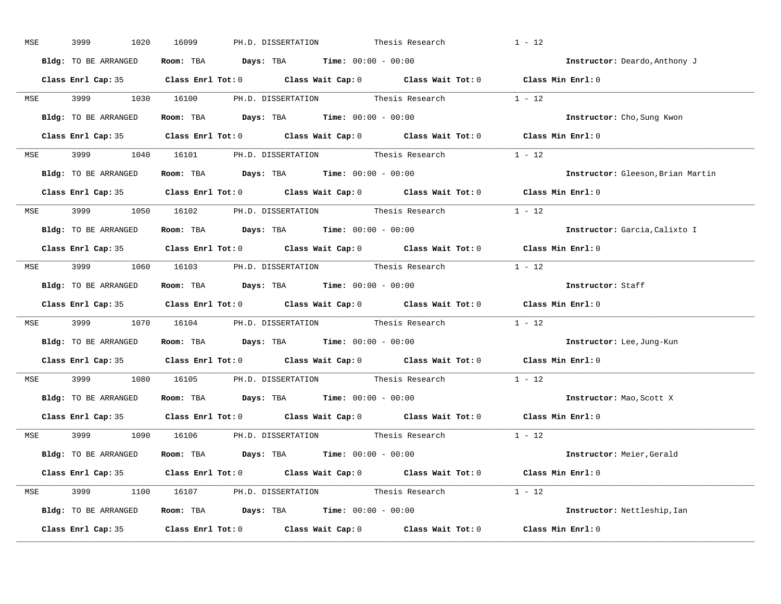| MSE        | 3999<br>1020         | 16099<br>PH.D. DISSERTATION Thesis Research                                                         | $1 - 12$                          |
|------------|----------------------|-----------------------------------------------------------------------------------------------------|-----------------------------------|
|            | Bldg: TO BE ARRANGED | Room: TBA $Days:$ TBA $Time: 00:00 - 00:00$                                                         | Instructor: Deardo, Anthony J     |
|            |                      | Class Enrl Cap: 35 Class Enrl Tot: 0 Class Wait Cap: 0 Class Wait Tot: 0 Class Min Enrl: 0          |                                   |
|            |                      | MSE 3999 1030 16100 PH.D. DISSERTATION Thesis Research 1 - 12                                       |                                   |
|            | Bldg: TO BE ARRANGED | Room: TBA $Days:$ TBA Time: $00:00 - 00:00$                                                         | Instructor: Cho, Sung Kwon        |
|            |                      | Class Enrl Cap: 35 Class Enrl Tot: 0 Class Wait Cap: 0 Class Wait Tot: 0 Class Min Enrl: 0          |                                   |
|            |                      | MSE 3999 1040 16101 PH.D. DISSERTATION Thesis Research 1 - 12                                       |                                   |
|            |                      | Bldg: TO BE ARRANGED Room: TBA Days: TBA Time: 00:00 - 00:00                                        | Instructor: Gleeson, Brian Martin |
|            |                      | Class Enrl Cap: 35 Class Enrl Tot: 0 Class Wait Cap: 0 Class Wait Tot: 0 Class Min Enrl: 0          |                                   |
|            |                      | MSE 3999 1050 16102 PH.D. DISSERTATION Thesis Research 1 - 12                                       |                                   |
|            | Bldg: TO BE ARRANGED | Room: TBA $\rule{1em}{0.15mm}$ Days: TBA Time: $00:00 - 00:00$                                      | Instructor: Garcia, Calixto I     |
|            |                      | Class Enrl Cap: 35 Class Enrl Tot: 0 Class Wait Cap: 0 Class Wait Tot: 0 Class Min Enrl: 0          |                                   |
|            |                      | MSE 3999 1060 16103 PH.D. DISSERTATION Thesis Research 1 - 12                                       |                                   |
|            | Bldg: TO BE ARRANGED | Room: TBA $Days:$ TBA $Time: 00:00 - 00:00$                                                         | Instructor: Staff                 |
|            |                      | Class Enrl Cap: 35 Class Enrl Tot: 0 Class Wait Cap: 0 Class Wait Tot: 0 Class Min Enrl: 0          |                                   |
|            |                      | MSE 3999 1070 16104 PH.D. DISSERTATION Thesis Research 1 - 12                                       |                                   |
|            |                      | Bldg: TO BE ARRANGED ROOM: TBA Days: TBA Time: 00:00 - 00:00                                        | Instructor: Lee, Jung-Kun         |
|            |                      | Class Enrl Cap: 35 $\qquad$ Class Enrl Tot: 0 $\qquad$ Class Wait Cap: 0 $\qquad$ Class Wait Tot: 0 | Class Min Enrl: 0                 |
| <b>MSE</b> |                      | 3999 1080 16105 PH.D. DISSERTATION Thesis Research                                                  | $1 - 12$                          |
|            |                      | <b>Bldg:</b> TO BE ARRANGED <b>Room:</b> TBA <b>Days:</b> TBA <b>Time:</b> $00:00 - 00:00$          | Instructor: Mao, Scott X          |
|            |                      | Class Enrl Cap: 35 Class Enrl Tot: 0 Class Wait Cap: 0 Class Wait Tot: 0 Class Min Enrl: 0          |                                   |
|            |                      | MSE 3999 1090 16106 PH.D. DISSERTATION Thesis Research 1 - 12                                       |                                   |
|            | Bldg: TO BE ARRANGED | Room: TBA $\rule{1em}{0.15mm}$ Days: TBA Time: $00:00 - 00:00$                                      | Instructor: Meier, Gerald         |
|            |                      | Class Enrl Cap: 35 Class Enrl Tot: 0 Class Wait Cap: 0 Class Wait Tot: 0 Class Min Enrl: 0          |                                   |
|            |                      | MSE 3999 1100 16107 PH.D. DISSERTATION Thesis Research 1 - 12                                       |                                   |
|            |                      | Bldg: TO BE ARRANGED Room: TBA Days: TBA Time: 00:00 - 00:00                                        | Instructor: Nettleship, Ian       |
|            |                      | Class Enrl Cap: 35 Class Enrl Tot: 0 Class Wait Cap: 0 Class Wait Tot: 0 Class Min Enrl: 0          |                                   |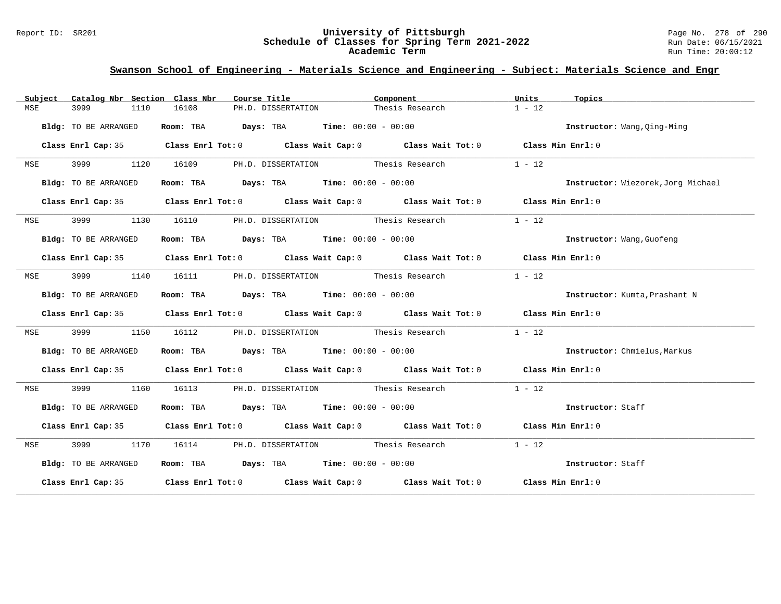#### Report ID: SR201 **University of Pittsburgh** Page No. 278 of 290 **Schedule of Classes for Spring Term 2021-2022** Run Date: 06/15/2021 **Academic Term** Run Time: 20:00:12

| Catalog Nbr Section Class Nbr<br>Subject | Course Title                                                                               | Component       | Units<br>Topics                    |
|------------------------------------------|--------------------------------------------------------------------------------------------|-----------------|------------------------------------|
| 3999<br>1110<br>MSE                      | 16108<br>PH.D. DISSERTATION                                                                | Thesis Research | $1 - 12$                           |
| Bldg: TO BE ARRANGED                     | Room: TBA $Days:$ TBA $Time: 00:00 - 00:00$                                                |                 | Instructor: Wang, Qing-Ming        |
|                                          | Class Enrl Cap: 35 Class Enrl Tot: 0 Class Wait Cap: 0 Class Wait Tot: 0 Class Min Enrl: 0 |                 |                                    |
| 3999 1120 16109<br><b>MSE</b>            | PH.D. DISSERTATION Thesis Research                                                         |                 | $1 - 12$                           |
| Bldg: TO BE ARRANGED                     | Room: TBA $Days:$ TBA $Time: 00:00 - 00:00$                                                |                 | Instructor: Wiezorek, Jorg Michael |
|                                          | Class Enrl Cap: 35 Class Enrl Tot: 0 Class Wait Cap: 0 Class Wait Tot: 0 Class Min Enrl: 0 |                 |                                    |
| 3999 1130 16110<br><b>MSE</b>            | PH.D. DISSERTATION Thesis Research                                                         |                 | $1 - 12$                           |
| Bldg: TO BE ARRANGED                     | Room: TBA $Days:$ TBA $Time: 00:00 - 00:00$                                                |                 | Instructor: Wang, Guofeng          |
|                                          | Class Enrl Cap: 35 Class Enrl Tot: 0 Class Wait Cap: 0 Class Wait Tot: 0 Class Min Enrl: 0 |                 |                                    |
| 3999 700<br><b>MSE</b>                   | 1140 16111 PH.D. DISSERTATION Thesis Research                                              |                 | $1 - 12$                           |
| Bldg: TO BE ARRANGED                     | Room: TBA $Days:$ TBA $Time: 00:00 - 00:00$                                                |                 | Instructor: Kumta, Prashant N      |
|                                          | Class Enrl Cap: 35 Class Enrl Tot: 0 Class Wait Cap: 0 Class Wait Tot: 0 Class Min Enrl: 0 |                 |                                    |
| 3999<br>1150<br>MSE                      | PH.D. DISSERTATION Thesis Research<br>16112                                                |                 | $1 - 12$                           |
| Bldg: TO BE ARRANGED                     | Room: TBA $\rule{1em}{0.15mm}$ Days: TBA $\qquad$ Time: $00:00 - 00:00$                    |                 | Instructor: Chmielus, Markus       |
|                                          | Class Enrl Cap: 35 Class Enrl Tot: 0 Class Wait Cap: 0 Class Wait Tot: 0 Class Min Enrl: 0 |                 |                                    |
| 3999<br>MSE<br>1160                      | PH.D. DISSERTATION Thesis Research<br>16113                                                |                 | $1 - 12$                           |
| Bldg: TO BE ARRANGED                     | Room: TBA $Days:$ TBA $Time:$ $00:00 - 00:00$                                              |                 | Instructor: Staff                  |
|                                          | Class Enrl Cap: 35 Class Enrl Tot: 0 Class Wait Cap: 0 Class Wait Tot: 0 Class Min Enrl: 0 |                 |                                    |
| <b>MSE</b>                               | 3999 1170 16114 PH.D. DISSERTATION Thesis Research                                         |                 | $1 - 12$                           |
| Bldg: TO BE ARRANGED                     | Room: TBA $Days:$ TBA $Time: 00:00 - 00:00$                                                |                 | Instructor: Staff                  |
|                                          | Class Enrl Cap: 35 Class Enrl Tot: 0 Class Wait Cap: 0 Class Wait Tot: 0 Class Min Enrl: 0 |                 |                                    |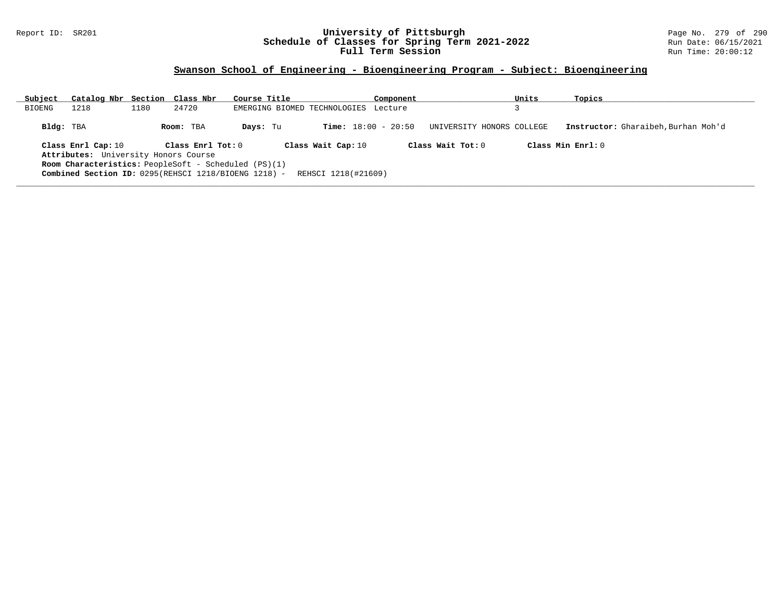#### Report ID: SR201 **University of Pittsburgh** Page No. 279 of 290 **Schedule of Classes for Spring Term 2021-2022** Run Date: 06/15/2021 **Full Term Session Rundall Term Session Rundall Term Session**

### **Swanson School of Engineering - Bioengineering Program - Subject: Bioengineering**

| Subject   | Catalog Nbr Section Class Nbr                               |      |                   | Course Title                         |                     | Component                    |                           | Units | Topics                              |
|-----------|-------------------------------------------------------------|------|-------------------|--------------------------------------|---------------------|------------------------------|---------------------------|-------|-------------------------------------|
| BIOENG    | 1218                                                        | 1180 | 24720             | EMERGING BIOMED TECHNOLOGIES Lecture |                     |                              |                           |       |                                     |
| Bldg: TBA |                                                             |      | Room: TBA         | Days: Tu                             |                     | <b>Time:</b> $18:00 - 20:50$ | UNIVERSITY HONORS COLLEGE |       | Instructor: Gharaibeh, Burhan Moh'd |
|           | Class Enrl Cap: 10                                          |      | Class Enrl Tot: 0 |                                      | Class Wait Cap: 10  |                              | Class Wait Tot: $0$       |       | Class Min $Enrl: 0$                 |
|           | Attributes: University Honors Course                        |      |                   |                                      |                     |                              |                           |       |                                     |
|           | <b>Room Characteristics:</b> PeopleSoft - Scheduled (PS)(1) |      |                   |                                      |                     |                              |                           |       |                                     |
|           | Combined Section ID: 0295(REHSCI 1218/BIOENG 1218) -        |      |                   |                                      | REHSCI 1218(#21609) |                              |                           |       |                                     |
|           |                                                             |      |                   |                                      |                     |                              |                           |       |                                     |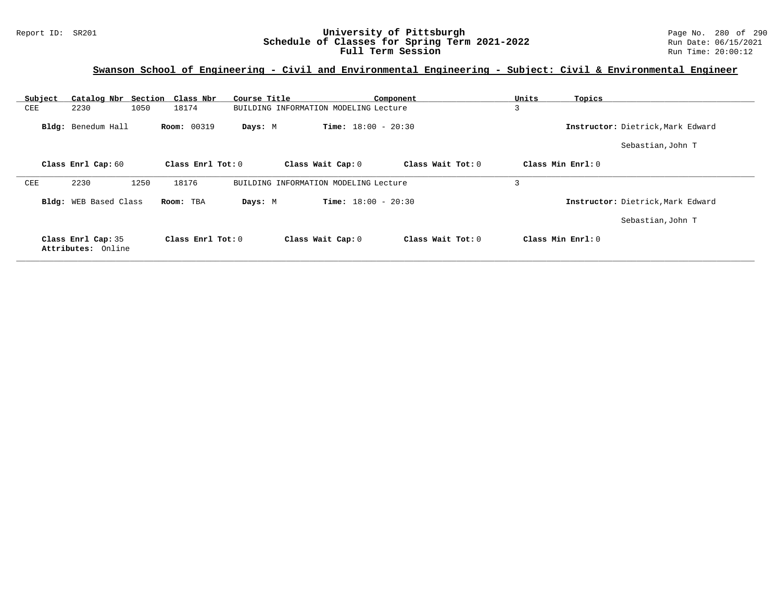#### Report ID: SR201 **University of Pittsburgh** Page No. 280 of 290 **Schedule of Classes for Spring Term 2021-2022** Run Date: 06/15/2021 **Full Term Session Rundall Term Session Rundall Term Session**

# **Swanson School of Engineering - Civil and Environmental Engineering - Subject: Civil & Environmental Engineer**

| Subject | Catalog Nbr Section Class Nbr            |                    | Course Title      |                                       | Component                    | Units | Topics                            |
|---------|------------------------------------------|--------------------|-------------------|---------------------------------------|------------------------------|-------|-----------------------------------|
| CEE     | 2230                                     | 1050<br>18174      |                   | BUILDING INFORMATION MODELING Lecture |                              | 3     |                                   |
|         | Bldg: Benedum Hall                       | <b>Room: 00319</b> | Days: M           |                                       | <b>Time:</b> $18:00 - 20:30$ |       | Instructor: Dietrick, Mark Edward |
|         |                                          |                    |                   |                                       |                              |       | Sebastian, John T                 |
|         | Class Enrl Cap: 60                       |                    | Class Enrl Tot: 0 | Class Wait Cap: 0                     | Class Wait Tot: 0            |       | Class Min Enrl: 0                 |
| CEE     | 2230                                     | 1250<br>18176      |                   | BUILDING INFORMATION MODELING Lecture |                              | 3     |                                   |
|         | Bldg: WEB Based Class                    | Room: TBA          | Days: M           |                                       | <b>Time:</b> $18:00 - 20:30$ |       | Instructor: Dietrick, Mark Edward |
|         |                                          |                    |                   |                                       |                              |       | Sebastian, John T                 |
|         | Class Enrl Cap: 35<br>Attributes: Online |                    | Class Enrl Tot: 0 | Class Wait Cap: 0                     | Class Wait Tot: 0            |       | Class Min Enrl: 0                 |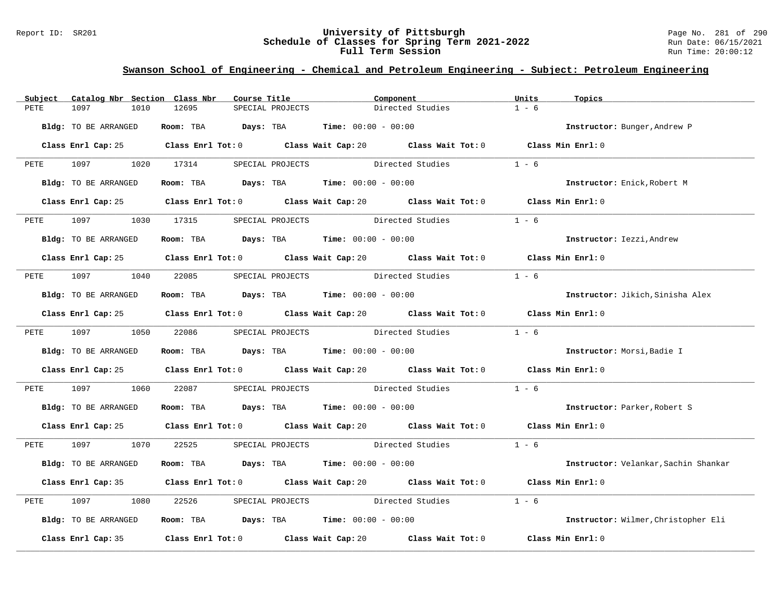#### Report ID: SR201 **University of Pittsburgh** Page No. 281 of 290 **Schedule of Classes for Spring Term 2021-2022** Run Date: 06/15/2021 **Full Term Session Rundall Term Session Rundall Term Session**

### **Swanson School of Engineering - Chemical and Petroleum Engineering - Subject: Petroleum Engineering**

| Subject     | Catalog Nbr Section Class Nbr | Course Title                                                                                |                                                                                       | Component        | Units<br>Topics                      |
|-------------|-------------------------------|---------------------------------------------------------------------------------------------|---------------------------------------------------------------------------------------|------------------|--------------------------------------|
| <b>PETE</b> | 1097<br>1010                  | 12695<br>SPECIAL PROJECTS                                                                   |                                                                                       | Directed Studies | $1 - 6$                              |
|             | Bldg: TO BE ARRANGED          |                                                                                             | Room: TBA $Days:$ TBA Time: $00:00 - 00:00$                                           |                  | Instructor: Bunger, Andrew P         |
|             |                               | Class Enrl Cap: 25 Class Enrl Tot: 0 Class Wait Cap: 20 Class Wait Tot: 0 Class Min Enrl: 0 |                                                                                       |                  |                                      |
|             | PETE 1097 1020 17314          |                                                                                             | SPECIAL PROJECTS Directed Studies                                                     |                  | $1 - 6$                              |
|             | Bldg: TO BE ARRANGED          |                                                                                             | Room: TBA $Days:$ TBA Time: $00:00 - 00:00$                                           |                  | Instructor: Enick, Robert M          |
|             |                               | Class Enrl Cap: 25 Class Enrl Tot: 0 Class Wait Cap: 20 Class Wait Tot: 0 Class Min Enrl: 0 |                                                                                       |                  |                                      |
| PETE        | 1097 100                      | 1030 17315 SPECIAL PROJECTS Directed Studies                                                |                                                                                       |                  | $1 - 6$                              |
|             | Bldg: TO BE ARRANGED          |                                                                                             | Room: TBA $Days:$ TBA $Time: 00:00 - 00:00$                                           |                  | Instructor: Iezzi, Andrew            |
|             |                               | Class Enrl Cap: 25 Class Enrl Tot: 0 Class Wait Cap: 20 Class Wait Tot: 0 Class Min Enrl: 0 |                                                                                       |                  |                                      |
|             |                               | PETE 1097 1040 22085 SPECIAL PROJECTS Directed Studies                                      |                                                                                       |                  | $1 - 6$                              |
|             | Bldg: TO BE ARRANGED          |                                                                                             | Room: TBA $Days:$ TBA Time: $00:00 - 00:00$                                           |                  | Instructor: Jikich, Sinisha Alex     |
|             |                               | Class Enrl Cap: 25 Class Enrl Tot: 0 Class Wait Cap: 20 Class Wait Tot: 0 Class Min Enrl: 0 |                                                                                       |                  |                                      |
|             |                               | PETE 1097 1050 22086 SPECIAL PROJECTS Directed Studies 1 - 6                                |                                                                                       |                  |                                      |
|             | Bldg: TO BE ARRANGED          |                                                                                             | Room: TBA $Days:$ TBA $Time:$ 00:00 - 00:00                                           |                  | Instructor: Morsi, Badie I           |
|             |                               | Class Enrl Cap: 25 Class Enrl Tot: 0 Class Wait Cap: 20 Class Wait Tot: 0 Class Min Enrl: 0 |                                                                                       |                  |                                      |
| PETE        | 1097 1060 22087               |                                                                                             | SPECIAL PROJECTS Directed Studies                                                     |                  | $1 - 6$                              |
|             | Bldg: TO BE ARRANGED          |                                                                                             | Room: TBA $Days:$ TBA $Time: 00:00 - 00:00$                                           |                  | Instructor: Parker, Robert S         |
|             |                               | Class Enrl Cap: 25 Class Enrl Tot: 0 Class Wait Cap: 20 Class Wait Tot: 0 Class Min Enrl: 0 |                                                                                       |                  |                                      |
|             |                               | PETE 1097 1070 22525 SPECIAL PROJECTS Directed Studies 1 - 6                                |                                                                                       |                  |                                      |
|             | Bldg: TO BE ARRANGED          |                                                                                             | Room: TBA $Days:$ TBA $Time: 00:00 - 00:00$                                           |                  | Instructor: Velankar, Sachin Shankar |
|             |                               | Class Enrl Cap: 35 Class Enrl Tot: 0 Class Wait Cap: 20 Class Wait Tot: 0 Class Min Enrl: 0 |                                                                                       |                  |                                      |
| PETE        | 1097<br>1080                  | 22526                                                                                       | SPECIAL PROJECTS Directed Studies                                                     |                  | $1 - 6$                              |
|             | Bldg: TO BE ARRANGED          |                                                                                             | Room: TBA $\rule{1em}{0.15mm}$ Days: TBA $\rule{1.5mm}{0.15mm}$ Time: $00:00 - 00:00$ |                  | Instructor: Wilmer, Christopher Eli  |
|             |                               | Class Enrl Cap: 35 Class Enrl Tot: 0 Class Wait Cap: 20 Class Wait Tot: 0                   |                                                                                       |                  | Class Min Enrl: 0                    |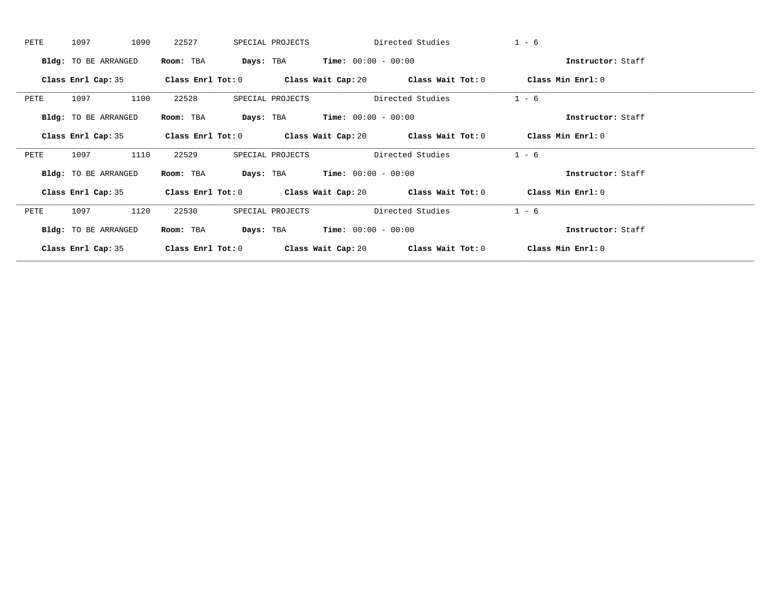| PETE | 1097                        | 1090 | 22527               |           | SPECIAL PROJECTS |                                               | Directed Studies                                             | $1 - 6$           |  |
|------|-----------------------------|------|---------------------|-----------|------------------|-----------------------------------------------|--------------------------------------------------------------|-------------------|--|
|      | Bldg: TO BE ARRANGED        |      | Room: TBA           |           |                  | <b>Days:</b> TBA <b>Time:</b> $00:00 - 00:00$ |                                                              | Instructor: Staff |  |
|      | Class Enrl Cap: 35          |      | Class Enrl Tot: 0   |           |                  |                                               | Class Wait Cap: 20 $\qquad$ Class Wait Tot: 0                | Class Min Enrl: 0 |  |
| PETE | 1097                        | 1100 | 22528               |           | SPECIAL PROJECTS |                                               | Directed Studies                                             | $1 - 6$           |  |
|      | Bldg: TO BE ARRANGED        |      | Room: TBA           | Days: TBA |                  | $Time: 00:00 - 00:00$                         |                                                              | Instructor: Staff |  |
|      | Class Enrl Cap: 35          |      |                     |           |                  |                                               | Class Enrl Tot: $0$ Class Wait Cap: $20$ Class Wait Tot: $0$ | Class Min Enrl: 0 |  |
| PETE | 1097                        | 1110 | 22529               |           | SPECIAL PROJECTS |                                               | Directed Studies                                             | $1 - 6$           |  |
|      | <b>Bldg:</b> TO BE ARRANGED |      | Room: TBA           |           |                  | <b>Days:</b> TBA <b>Time:</b> $00:00 - 00:00$ |                                                              | Instructor: Staff |  |
|      | Class Enrl Cap: 35          |      | Class Enrl Tot: $0$ |           |                  |                                               | Class Wait Cap: 20 Class Wait Tot: 0                         | Class Min Enrl: 0 |  |
| PETE | 1097                        | 1120 | 22530               |           | SPECIAL PROJECTS |                                               | Directed Studies                                             | $1 - 6$           |  |
|      | Bldg: TO BE ARRANGED        |      | Room: TBA           |           |                  | <b>Days:</b> TBA <b>Time:</b> $00:00 - 00:00$ |                                                              | Instructor: Staff |  |
|      | Class Enrl Cap: 35          |      | Class Enrl Tot: 0   |           |                  | Class Wait Cap: 20                            | Class Wait Tot: 0                                            | Class Min Enrl: 0 |  |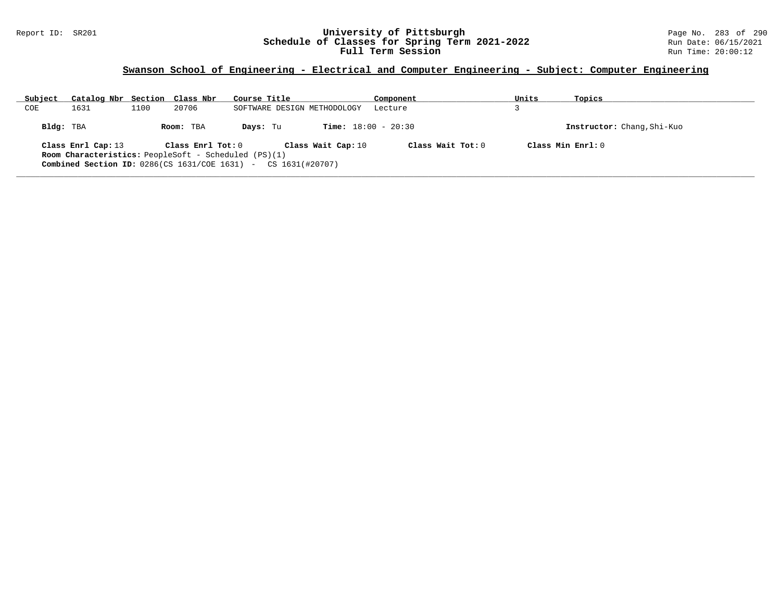#### Report ID: SR201 **University of Pittsburgh** Page No. 283 of 290 **Schedule of Classes for Spring Term 2021-2022** Run Date: 06/15/2021 **Full Term Session Rundall Term Session Rundall Term Session**

### **Swanson School of Engineering - Electrical and Computer Engineering - Subject: Computer Engineering**

| Subject   | Catalog Nbr Section Class Nbr |      |                   | Course Title                                                                     | Component                    | Units               | Topics                     |
|-----------|-------------------------------|------|-------------------|----------------------------------------------------------------------------------|------------------------------|---------------------|----------------------------|
| COE       | 1631                          | 1100 | 20706             | SOFTWARE DESIGN METHODOLOGY                                                      | Lecture                      |                     |                            |
| Bldg: TBA |                               |      | Room: TBA         | Davs: Tu                                                                         | <b>Time:</b> $18:00 - 20:30$ |                     | Instructor: Chang, Shi-Kuo |
|           | Class Enrl Cap: 13            |      | Class Enrl Tot: 0 | Class Wait Cap: 10                                                               | Class Wait Tot: $0$          | Class Min $Enrl: 0$ |                            |
|           |                               |      |                   | <b>Room Characteristics:</b> PeopleSoft - Scheduled (PS)(1)                      |                              |                     |                            |
|           |                               |      |                   | <b>Combined Section ID:</b> $0286$ (CS $1631$ /COE $1631$ ) - CS $1631$ (#20707) |                              |                     |                            |
|           |                               |      |                   |                                                                                  |                              |                     |                            |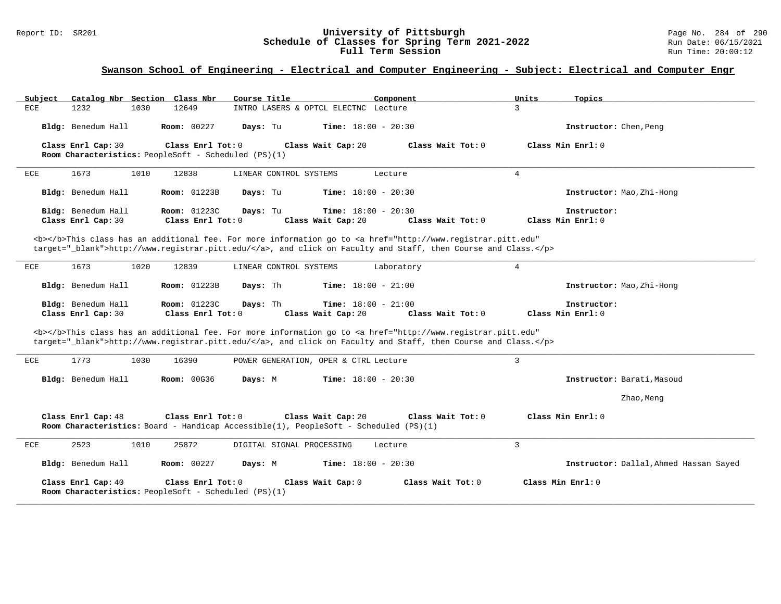#### Report ID: SR201 **University of Pittsburgh** Page No. 284 of 290 **Schedule of Classes for Spring Term 2021-2022** Run Date: 06/15/2021 **Full Term Session Rundall Term Session Rundall Term Session**

# **Swanson School of Engineering - Electrical and Computer Engineering - Subject: Electrical and Computer Engr**

| Catalog Nbr Section Class Nbr<br>Subject | Course Title                                                                                                                                                                                                                       | Component<br>Units           | Topics                                 |
|------------------------------------------|------------------------------------------------------------------------------------------------------------------------------------------------------------------------------------------------------------------------------------|------------------------------|----------------------------------------|
| ECE<br>1232<br>1030                      | 12649<br>INTRO LASERS & OPTCL ELECTNC Lecture                                                                                                                                                                                      | 3                            |                                        |
| Bldg: Benedum Hall                       | <b>Room: 00227</b><br>Days: Tu<br><b>Time:</b> $18:00 - 20:30$                                                                                                                                                                     |                              | Instructor: Chen, Peng                 |
| Class Enrl Cap: 30                       | Class Enrl Tot: 0<br>Class Wait Cap: 20<br>Room Characteristics: PeopleSoft - Scheduled (PS)(1)                                                                                                                                    | Class Wait Tot: 0            | Class Min $Enr1: 0$                    |
| 1673<br>1010<br>ECE                      | LINEAR CONTROL SYSTEMS<br>12838                                                                                                                                                                                                    | $\overline{4}$<br>Lecture    |                                        |
| Bldg: Benedum Hall                       | Time: $18:00 - 20:30$<br><b>Room:</b> 01223B<br>Days: Tu                                                                                                                                                                           |                              | Instructor: Mao, Zhi-Hong              |
| Bldg: Benedum Hall<br>Class Enrl Cap: 30 | Room: 01223C<br>Days: Tu<br><b>Time:</b> $18:00 - 20:30$<br>Class Enrl Tot: 0<br>Class Wait Cap: 20                                                                                                                                | Class Wait Tot: 0            | Instructor:<br>Class Min Enrl: 0       |
|                                          | <b></b> This class has an additional fee. For more information go to <a <br="" href="http://www.registrar.pitt.edu">target="_blank"&gt;http://www.registrar.pitt.edu/</a> , and click on Faculty and Staff, then Course and Class. |                              |                                        |
| 1673<br>ECE<br>1020                      | 12839<br>LINEAR CONTROL SYSTEMS                                                                                                                                                                                                    | $\overline{4}$<br>Laboratory |                                        |
| Bldg: Benedum Hall                       | <b>Room: 01223B</b><br>Days: Th<br><b>Time:</b> $18:00 - 21:00$                                                                                                                                                                    |                              | Instructor: Mao, Zhi-Hong              |
| Bldg: Benedum Hall<br>Class Enrl Cap: 30 | <b>Room: 01223C</b><br><b>Time:</b> $18:00 - 21:00$<br>Days: Th<br>Class Enrl Tot: $0$<br>Class Wait Cap: 20                                                                                                                       | Class Wait Tot: 0            | Instructor:<br>Class Min Enrl: 0       |
|                                          | <b></b> This class has an additional fee. For more information go to <a <br="" href="http://www.registrar.pitt.edu">target="_blank"&gt;http://www.registrar.pitt.edu/</a> , and click on Faculty and Staff, then Course and Class. |                              |                                        |
| 1773<br>ECE<br>1030                      | 16390<br>POWER GENERATION, OPER & CTRL Lecture                                                                                                                                                                                     | $\mathbf{3}$                 |                                        |
| Bldg: Benedum Hall                       | <b>Room: 00G36</b><br>Days: M<br><b>Time:</b> $18:00 - 20:30$                                                                                                                                                                      |                              | Instructor: Barati, Masoud             |
|                                          |                                                                                                                                                                                                                                    |                              | Zhao, Meng                             |
| Class Enrl Cap: 48                       | Class Enrl Tot: 0<br>Class Wait Cap: 20<br>Room Characteristics: Board - Handicap Accessible(1), PeopleSoft - Scheduled (PS)(1)                                                                                                    | Class Wait Tot: 0            | Class Min Enrl: 0                      |
| 2523<br>1010<br>ECE                      | 25872<br>DIGITAL SIGNAL PROCESSING                                                                                                                                                                                                 | 3<br>Lecture                 |                                        |
| Bldg: Benedum Hall                       | <b>Room: 00227</b><br><b>Time:</b> $18:00 - 20:30$<br>Days: M                                                                                                                                                                      |                              | Instructor: Dallal, Ahmed Hassan Sayed |
| Class Enrl Cap: 40                       | Class Enrl Tot: 0<br>Class Wait Cap: 0<br>Room Characteristics: PeopleSoft - Scheduled (PS)(1)                                                                                                                                     | Class Wait Tot: 0            | Class Min Enrl: 0                      |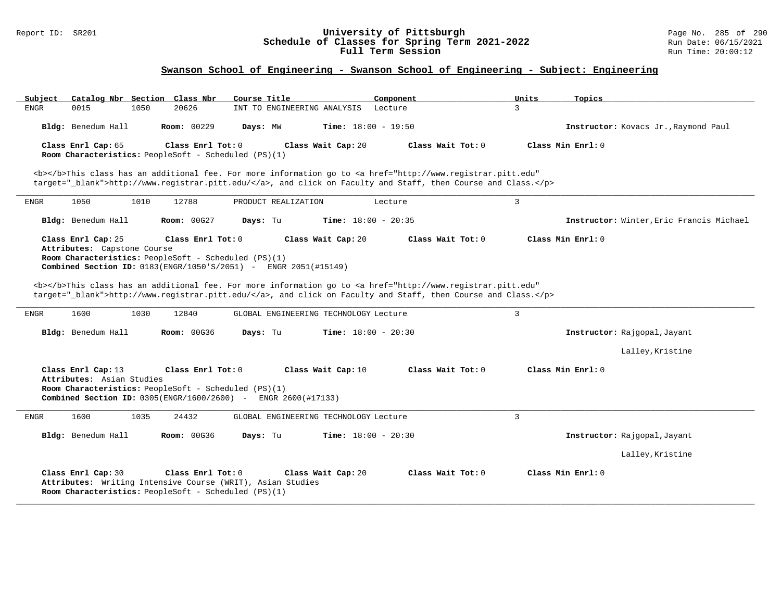#### Report ID: SR201 **University of Pittsburgh** Page No. 285 of 290 **Schedule of Classes for Spring Term 2021-2022** Run Date: 06/15/2021 **Full Term Session Rundall Term Session Rundall Term Session**

### **Swanson School of Engineering - Swanson School of Engineering - Subject: Engineering**

| Catalog Nbr Section Class Nbr<br>Subject                                            | Course Title                                                                                                                                                                                                                       | Component         | Units<br>Topics                          |
|-------------------------------------------------------------------------------------|------------------------------------------------------------------------------------------------------------------------------------------------------------------------------------------------------------------------------------|-------------------|------------------------------------------|
| 0015<br>1050<br><b>ENGR</b>                                                         | 20626<br>INT TO ENGINEERING ANALYSIS                                                                                                                                                                                               | Lecture           | 3                                        |
| Bldg: Benedum Hall                                                                  | <b>Room: 00229</b><br><b>Time:</b> $18:00 - 19:50$<br>Days: MW                                                                                                                                                                     |                   | Instructor: Kovacs Jr., Raymond Paul     |
| Class Enrl Cap: 65<br>Room Characteristics: PeopleSoft - Scheduled (PS)(1)          | Class Enrl Tot: 0<br>Class Wait Cap: 20                                                                                                                                                                                            | Class Wait Tot: 0 | Class Min Enrl: 0                        |
|                                                                                     | <b></b> This class has an additional fee. For more information go to <a <br="" href="http://www.registrar.pitt.edu">target="_blank"&gt;http://www.registrar.pitt.edu/</a> , and click on Faculty and Staff, then Course and Class. |                   |                                          |
| 1050<br>1010<br><b>ENGR</b>                                                         | 12788<br>PRODUCT REALIZATION                                                                                                                                                                                                       | Lecture           | $\overline{3}$                           |
| Bldg: Benedum Hall                                                                  | Time: $18:00 - 20:35$<br><b>Room: 00G27</b><br>Days: Tu                                                                                                                                                                            |                   | Instructor: Winter, Eric Francis Michael |
| Class Enrl Cap: 25                                                                  | Class Enrl Tot: 0<br>Class Wait Cap: 20                                                                                                                                                                                            | Class Wait Tot: 0 | Class Min Enrl: 0                        |
| Attributes: Capstone Course<br>Room Characteristics: PeopleSoft - Scheduled (PS)(1) | <b>Combined Section ID:</b> $0183$ (ENGR/1050'S/2051) - ENGR 2051 (#15149)                                                                                                                                                         |                   |                                          |
|                                                                                     | <b></b> This class has an additional fee. For more information go to <a <="" href="http://www.registrar.pitt.edu" td=""><td></td><td></td></a>                                                                                     |                   |                                          |
|                                                                                     | target="_blank">http://www.registrar.pitt.edu/, and click on Faculty and Staff, then Course and Class.                                                                                                                             |                   |                                          |
| 1600<br>1030<br>ENGR                                                                | 12840<br>GLOBAL ENGINEERING TECHNOLOGY Lecture                                                                                                                                                                                     |                   | 3                                        |
| Bldg: Benedum Hall                                                                  | <b>Room: 00G36</b><br>Days: Tu<br><b>Time:</b> $18:00 - 20:30$                                                                                                                                                                     |                   | Instructor: Rajgopal, Jayant             |
|                                                                                     |                                                                                                                                                                                                                                    |                   | Lalley, Kristine                         |
| Class Enrl Cap: 13                                                                  | Class Enrl Tot: 0<br>Class Wait Cap: 10                                                                                                                                                                                            | Class Wait Tot: 0 | Class Min Enrl: 0                        |
| Attributes: Asian Studies<br>Room Characteristics: PeopleSoft - Scheduled (PS)(1)   |                                                                                                                                                                                                                                    |                   |                                          |
|                                                                                     | <b>Combined Section ID:</b> 0305(ENGR/1600/2600) - ENGR 2600(#17133)                                                                                                                                                               |                   |                                          |
| 1600<br>1035<br><b>ENGR</b>                                                         | 24432<br>GLOBAL ENGINEERING TECHNOLOGY Lecture                                                                                                                                                                                     |                   | 3                                        |
| Bldg: Benedum Hall                                                                  | <b>Room: 00G36</b><br>Days: Tu<br><b>Time:</b> $18:00 - 20:30$                                                                                                                                                                     |                   | Instructor: Rajgopal, Jayant             |
|                                                                                     |                                                                                                                                                                                                                                    |                   | Lalley, Kristine                         |
| Class Enrl Cap: 30<br>Room Characteristics: PeopleSoft - Scheduled (PS)(1)          | Class Enrl Tot: 0<br>Class Wait Cap: 20<br>Attributes: Writing Intensive Course (WRIT), Asian Studies                                                                                                                              | Class Wait Tot: 0 | Class Min Enrl: 0                        |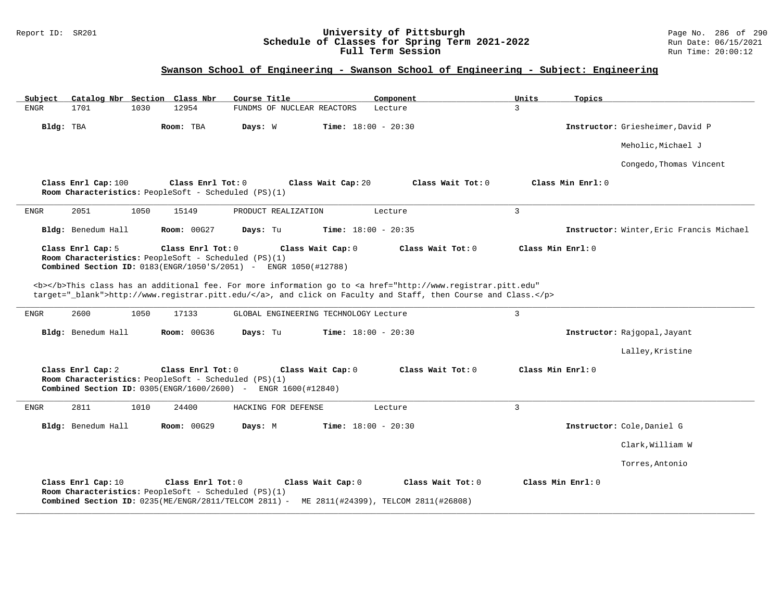#### Report ID: SR201 **University of Pittsburgh** Page No. 286 of 290 **Schedule of Classes for Spring Term 2021-2022** Run Date: 06/15/2021 **Full Term Session Rundall Term Session Rundall Term Session**

### **Swanson School of Engineering - Swanson School of Engineering - Subject: Engineering**

| Catalog Nbr Section Class Nbr<br>Subject | Course Title                                                                                                                                                                                                                       | Component                    | Units<br>Topics                          |
|------------------------------------------|------------------------------------------------------------------------------------------------------------------------------------------------------------------------------------------------------------------------------------|------------------------------|------------------------------------------|
| <b>ENGR</b><br>1701<br>1030              | 12954<br>FUNDMS OF NUCLEAR REACTORS                                                                                                                                                                                                | Lecture                      | $\mathbf{R}$                             |
| Bldg: TBA                                | Room: TBA<br>Days: W                                                                                                                                                                                                               | <b>Time:</b> $18:00 - 20:30$ | Instructor: Griesheimer, David P         |
|                                          |                                                                                                                                                                                                                                    |                              | Meholic, Michael J                       |
|                                          |                                                                                                                                                                                                                                    |                              | Congedo, Thomas Vincent                  |
| Class Enrl Cap: 100                      | Class Enrl Tot: 0<br>Class Wait Cap: 20<br>Room Characteristics: PeopleSoft - Scheduled (PS)(1)                                                                                                                                    | Class Wait Tot: 0            | Class Min Enrl: 0                        |
| 2051<br>1050<br>ENGR                     | 15149<br>PRODUCT REALIZATION                                                                                                                                                                                                       | Lecture                      | $\overline{3}$                           |
| Bldg: Benedum Hall                       | Room: 00G27<br>Days: Tu                                                                                                                                                                                                            | <b>Time:</b> $18:00 - 20:35$ | Instructor: Winter, Eric Francis Michael |
| Class Enrl Cap: 5                        | Class Enrl Tot: 0<br>Class Wait Cap: 0<br>Room Characteristics: PeopleSoft - Scheduled (PS)(1)<br>Combined Section ID: 0183(ENGR/1050'S/2051) - ENGR 1050(#12788)                                                                  | Class Wait Tot: 0            | Class Min Enrl: 0                        |
|                                          | <b></b> This class has an additional fee. For more information go to <a <br="" href="http://www.registrar.pitt.edu">target="_blank"&gt;http://www.registrar.pitt.edu/</a> , and click on Faculty and Staff, then Course and Class. |                              |                                          |
| 2600<br>1050<br>ENGR                     | 17133<br>GLOBAL ENGINEERING TECHNOLOGY Lecture                                                                                                                                                                                     |                              | $\overline{3}$                           |
| Bldg: Benedum Hall                       | <b>Room: 00G36</b><br>Days: Tu                                                                                                                                                                                                     | <b>Time:</b> $18:00 - 20:30$ | Instructor: Rajgopal, Jayant             |
|                                          |                                                                                                                                                                                                                                    |                              | Lalley, Kristine                         |
| Class Enrl Cap: 2                        | Class Enrl Tot: 0<br>Class Wait Cap: 0<br>Room Characteristics: PeopleSoft - Scheduled (PS)(1)<br><b>Combined Section ID:</b> 0305(ENGR/1600/2600) - ENGR 1600(#12840)                                                             | Class Wait Tot: 0            | Class Min Enrl: 0                        |
| 2811<br><b>ENGR</b><br>1010              | 24400<br>HACKING FOR DEFENSE                                                                                                                                                                                                       | Lecture                      | $\mathbf{3}$                             |
| Bldg: Benedum Hall                       | <b>Room: 00G29</b><br>Days: M                                                                                                                                                                                                      | <b>Time:</b> $18:00 - 20:30$ | Instructor: Cole, Daniel G               |
|                                          |                                                                                                                                                                                                                                    |                              | Clark, William W                         |
|                                          |                                                                                                                                                                                                                                    |                              | Torres, Antonio                          |
| Class Enrl Cap: 10                       | Class Enrl Tot: 0<br>Class Wait Cap: 0<br>Room Characteristics: PeopleSoft - Scheduled (PS)(1)<br>Combined Section ID: 0235(ME/ENGR/2811/TELCOM 2811) - ME 2811(#24399), TELCOM 2811(#26808)                                       | Class Wait Tot: 0            | Class Min Enrl: 0                        |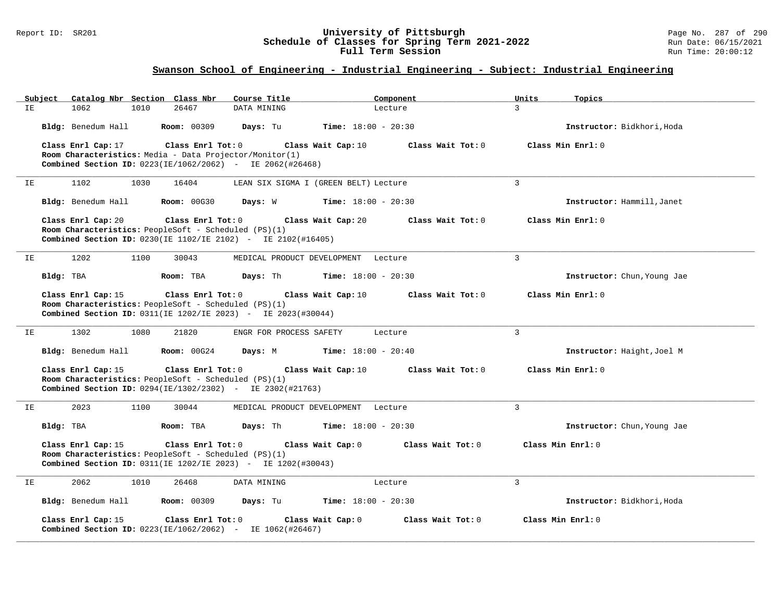#### Report ID: SR201 **University of Pittsburgh** Page No. 287 of 290 **Schedule of Classes for Spring Term 2021-2022** Run Date: 06/15/2021 **Full Term Session Rundall Term Session Rundall Term Session**

# **Swanson School of Engineering - Industrial Engineering - Subject: Industrial Engineering**

| Subject | Catalog Nbr Section Class Nbr                                        |                    | Course Title            | Component                               | Units<br>Topics             |
|---------|----------------------------------------------------------------------|--------------------|-------------------------|-----------------------------------------|-----------------------------|
| IΕ      | 1062<br>1010                                                         | 26467              | DATA MINING             | Lecture                                 | 3                           |
|         | Bldg: Benedum Hall                                                   | <b>Room: 00309</b> | Days: Tu                | <b>Time:</b> $18:00 - 20:30$            | Instructor: Bidkhori, Hoda  |
|         | Class Enrl Cap: 17                                                   | Class Enrl Tot: 0  |                         | Class Wait Cap: 10<br>Class Wait Tot: 0 | Class Min Enrl: 0           |
|         | Room Characteristics: Media - Data Projector/Monitor(1)              |                    |                         |                                         |                             |
|         | Combined Section ID: 0223(IE/1062/2062) - IE 2062(#26468)            |                    |                         |                                         |                             |
| ΙE      | 1102<br>1030                                                         | 16404              |                         | LEAN SIX SIGMA I (GREEN BELT) Lecture   | $\overline{3}$              |
|         | Bldg: Benedum Hall                                                   | <b>Room: 00G30</b> | Days: W                 | <b>Time:</b> $18:00 - 20:30$            | Instructor: Hammill, Janet  |
|         | Class Enrl Cap: 20                                                   | Class Enrl Tot: 0  |                         | Class Wait Cap: 20<br>Class Wait Tot: 0 | Class Min Enrl: 0           |
|         | Room Characteristics: PeopleSoft - Scheduled (PS)(1)                 |                    |                         |                                         |                             |
|         | <b>Combined Section ID:</b> 0230(IE 1102/IE 2102) - IE 2102(#16405)  |                    |                         |                                         |                             |
| IE      | 1202<br>1100                                                         | 30043              |                         | MEDICAL PRODUCT DEVELOPMENT Lecture     | $\overline{3}$              |
|         | Bldg: TBA                                                            | Room: TBA          | Days: Th                | <b>Time:</b> $18:00 - 20:30$            | Instructor: Chun, Young Jae |
|         | Class Enrl Cap: 15                                                   | Class Enrl Tot: 0  |                         | Class Wait Cap: 10<br>Class Wait Tot: 0 | Class Min Enrl: 0           |
|         | Room Characteristics: PeopleSoft - Scheduled (PS)(1)                 |                    |                         |                                         |                             |
|         | Combined Section ID: 0311(IE 1202/IE 2023) - IE 2023(#30044)         |                    |                         |                                         |                             |
| ΙE      | 1302<br>1080                                                         | 21820              | ENGR FOR PROCESS SAFETY | Lecture                                 | $\overline{3}$              |
|         | Bldg: Benedum Hall                                                   | Room: 00G24        | Days: M                 | <b>Time:</b> $18:00 - 20:40$            | Instructor: Haight, Joel M  |
|         | Class Enrl Cap: 15                                                   | Class Enrl Tot: 0  |                         | Class Wait Cap: 10<br>Class Wait Tot: 0 | Class Min Enrl: 0           |
|         | Room Characteristics: PeopleSoft - Scheduled (PS)(1)                 |                    |                         |                                         |                             |
|         | Combined Section ID: 0294(IE/1302/2302) - IE 2302(#21763)            |                    |                         |                                         |                             |
| IE      | 2023<br>1100                                                         | 30044              |                         | MEDICAL PRODUCT DEVELOPMENT Lecture     | $\overline{3}$              |
|         | Bldg: TBA                                                            | Room: TBA          | Days: Th                | <b>Time:</b> $18:00 - 20:30$            | Instructor: Chun, Young Jae |
|         | Class Enrl Cap: 15                                                   | Class Enrl Tot: 0  |                         | Class Wait Cap: 0<br>Class Wait Tot: 0  | Class Min Enrl: 0           |
|         | Room Characteristics: PeopleSoft - Scheduled (PS)(1)                 |                    |                         |                                         |                             |
|         | <b>Combined Section ID:</b> 0311(IE 1202/IE 2023) - IE 1202(#30043)  |                    |                         |                                         |                             |
| IE      | 2062<br>1010                                                         | 26468              | DATA MINING             | Lecture                                 | $\mathbf{3}$                |
|         | Bldg: Benedum Hall                                                   | <b>Room: 00309</b> | Days: Tu                | <b>Time:</b> $18:00 - 20:30$            | Instructor: Bidkhori, Hoda  |
|         | Class Enrl Cap: 15                                                   | Class Enrl Tot: 0  |                         | Class Wait Tot: 0<br>Class Wait Cap: 0  | Class Min Enrl: 0           |
|         | <b>Combined Section ID:</b> $0223(IE/1062/2062)$ - IE $1062(#26467)$ |                    |                         |                                         |                             |
|         |                                                                      |                    |                         |                                         |                             |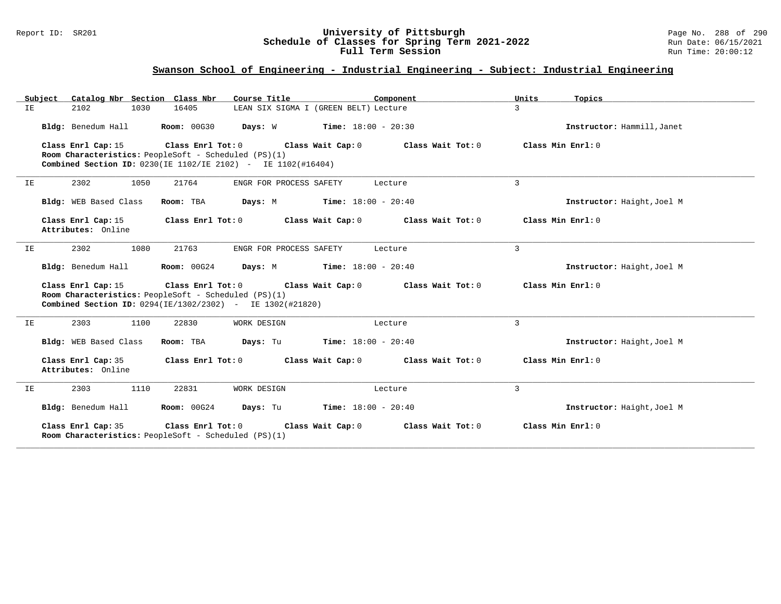#### Report ID: SR201 **University of Pittsburgh** Page No. 288 of 290 **Schedule of Classes for Spring Term 2021-2022** Run Date: 06/15/2021 **Full Term Session Rundall Term Session Rundall Term Session**

# **Swanson School of Engineering - Industrial Engineering - Subject: Industrial Engineering**

|    | Catalog Nbr Section Class Nbr<br>Subject                                                                                                                                                                                     | Course Title                                                                                                     | Component         | Units<br>Topics            |
|----|------------------------------------------------------------------------------------------------------------------------------------------------------------------------------------------------------------------------------|------------------------------------------------------------------------------------------------------------------|-------------------|----------------------------|
| ΙE | 2102<br>1030                                                                                                                                                                                                                 | 16405<br>LEAN SIX SIGMA I (GREEN BELT) Lecture                                                                   |                   | 3                          |
|    | Bldg: Benedum Hall                                                                                                                                                                                                           | Room: 00G30<br><b>Days:</b> W <b>Time:</b> $18:00 - 20:30$                                                       |                   | Instructor: Hammill, Janet |
|    | Class Enrl Cap: 15<br>Room Characteristics: PeopleSoft - Scheduled (PS)(1)                                                                                                                                                   | Class Enrl Tot: 0<br>Class Wait Cap: 0<br><b>Combined Section ID:</b> $0230$ (IE 1102/IE 2102) - IE 1102(#16404) | Class Wait Tot: 0 | Class Min Enrl: 0          |
| IE | 2302<br>1050                                                                                                                                                                                                                 | 21764<br>ENGR FOR PROCESS SAFETY                                                                                 | Lecture           | 3                          |
|    | Bldg: WEB Based Class                                                                                                                                                                                                        | <b>Days:</b> M <b>Time:</b> $18:00 - 20:40$<br>Room: TBA                                                         |                   | Instructor: Haight, Joel M |
|    | Class Enrl Cap: 15<br>Attributes: Online                                                                                                                                                                                     | Class Enrl Tot: 0<br>Class Wait Cap: 0                                                                           | Class Wait Tot: 0 | Class Min Enrl: 0          |
| ΙE | 2302<br>1080                                                                                                                                                                                                                 | 21763<br>ENGR FOR PROCESS SAFETY                                                                                 | Lecture           | 3                          |
|    | Bldg: Benedum Hall                                                                                                                                                                                                           | Room: 00G24<br><b>Days:</b> M <b>Time:</b> $18:00 - 20:40$                                                       |                   | Instructor: Haight, Joel M |
|    | Class Enrl Cap: 15<br>Class Enrl Tot: $0$ Class Wait Cap: $0$<br>Class Min Enrl: 0<br>Class Wait Tot: 0<br>Room Characteristics: PeopleSoft - Scheduled (PS)(1)<br>Combined Section ID: 0294(IE/1302/2302) - IE 1302(#21820) |                                                                                                                  |                   |                            |
| IE | 2303<br>1100                                                                                                                                                                                                                 | 22830<br>WORK DESIGN                                                                                             | Lecture           | $\overline{3}$             |
|    | Bldg: WEB Based Class                                                                                                                                                                                                        | $Time: 18:00 - 20:40$<br>Room: TBA<br>Days: Tu                                                                   |                   | Instructor: Haight, Joel M |
|    | Class Enrl Cap: 35<br>Attributes: Online                                                                                                                                                                                     | Class Wait Cap: 0<br>Class Enrl Tot: 0                                                                           | Class Wait Tot: 0 | Class Min Enrl: 0          |
| IE | 2303<br>1110                                                                                                                                                                                                                 | 22831<br>WORK DESIGN                                                                                             | Lecture           | $\overline{3}$             |
|    | Bldg: Benedum Hall                                                                                                                                                                                                           | <b>Room: 00G24</b><br><b>Days:</b> Tu <b>Time:</b> $18:00 - 20:40$                                               |                   | Instructor: Haight, Joel M |
|    | Class Enrl Cap: 35<br>Room Characteristics: PeopleSoft - Scheduled (PS)(1)                                                                                                                                                   | Class Enrl Tot: 0<br>Class Wait Cap: 0                                                                           | Class Wait Tot: 0 | Class Min Enrl: 0          |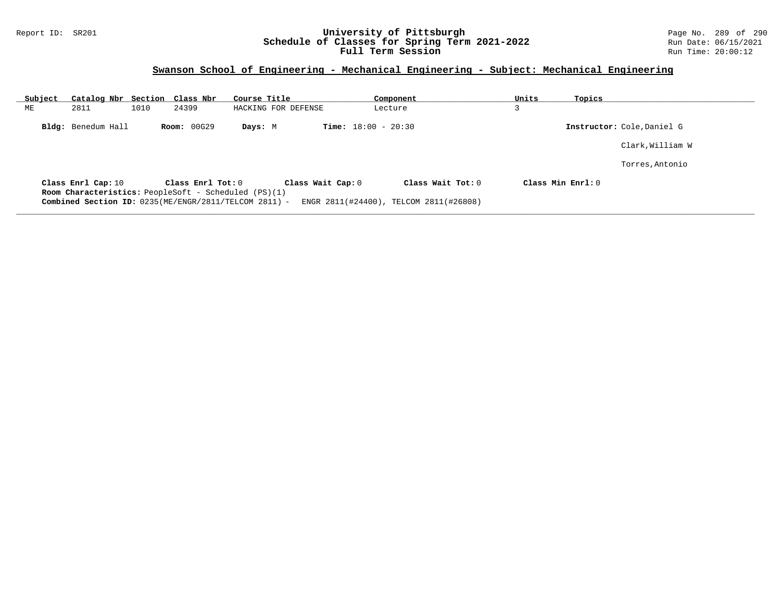## Report ID: SR201 **University of Pittsburgh** Page No. 289 of 290 **Schedule of Classes for Spring Term 2021-2022** Run Date: 06/15/2021 **Full Term Session Rundall Term Session Rundall Term Session**

## **Swanson School of Engineering - Mechanical Engineering - Subject: Mechanical Engineering**

| Subject | Catalog Nbr Section Class Nbr |      |                    | Course Title                                                                                                                              |                              | Component                                                   | Units              | Topics |                            |
|---------|-------------------------------|------|--------------------|-------------------------------------------------------------------------------------------------------------------------------------------|------------------------------|-------------------------------------------------------------|--------------------|--------|----------------------------|
| ME      | 2811                          | 1010 | 24399              | HACKING FOR DEFENSE                                                                                                                       |                              | Lecture                                                     |                    |        |                            |
|         | Bldg: Benedum Hall            |      | <b>Room: 00G29</b> | Days: M                                                                                                                                   | <b>Time:</b> $18:00 - 20:30$ |                                                             |                    |        | Instructor: Cole, Daniel G |
|         |                               |      |                    |                                                                                                                                           |                              |                                                             |                    |        | Clark, William W           |
|         |                               |      |                    |                                                                                                                                           |                              |                                                             |                    |        | Torres, Antonio            |
|         | Class Enrl Cap: 10            |      | Class Enrl Tot: 0  | Class Wait Cap: 0<br><b>Room Characteristics:</b> PeopleSoft - Scheduled (PS)(1)<br>Combined Section ID: 0235(ME/ENGR/2811/TELCOM 2811) - |                              | Class Wait Tot: 0<br>ENGR 2811(#24400), TELCOM 2811(#26808) | Class Min $Err1:0$ |        |                            |